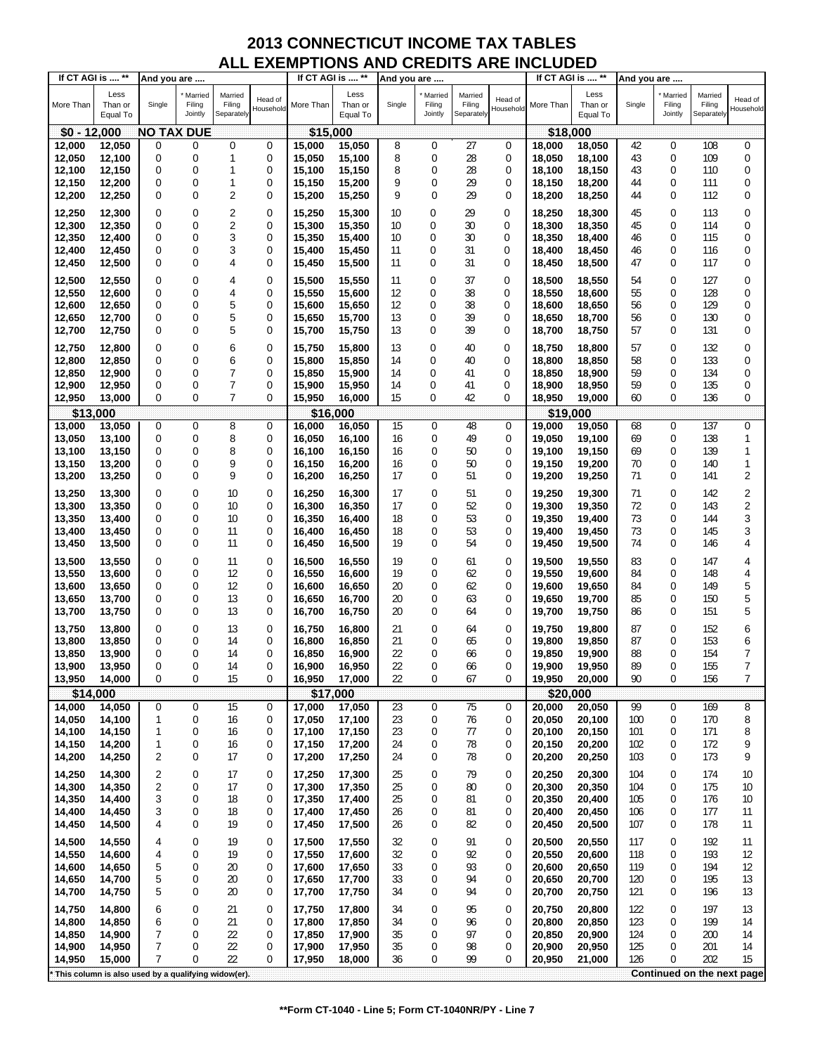| If CT AGI is  ** |                                                     | And you are       |                              |                                 |                      | If CT AGI is  ** |                             | And you are |                              |                                 |                      | If CT AGI is  ** |                             | And you are |                              |                                 |                         |
|------------------|-----------------------------------------------------|-------------------|------------------------------|---------------------------------|----------------------|------------------|-----------------------------|-------------|------------------------------|---------------------------------|----------------------|------------------|-----------------------------|-------------|------------------------------|---------------------------------|-------------------------|
| More Than        | Less<br>Than or<br>Equal To                         | Single            | Married<br>Filing<br>Jointly | Married<br>Filing<br>Separately | Head of<br>Household | More Than        | Less<br>Than or<br>Equal To | Single      | Married<br>Filing<br>Jointly | Married<br>Filing<br>Separately | Head of<br>Household | More Than        | Less<br>Than or<br>Equal To | Single      | Married<br>Filing<br>Jointly | Married<br>Filing<br>Separately | Head of<br>Household    |
| $$0 - 12,000$    |                                                     | <b>NO TAX DUE</b> |                              |                                 |                      | \$15,000         |                             |             |                              |                                 |                      | \$18,000         |                             |             |                              |                                 |                         |
| 12,000           | 12,050                                              | 0                 | 0                            | 0                               | 0                    | 15,000           | 15,050                      | 8           | 0                            | 27                              | 0                    | 18,000           | 18,050                      | 42          | 0                            | 108                             | $\mathbf 0$             |
|                  |                                                     |                   |                              | $\mathbf{1}$                    | 0                    |                  |                             |             | 0                            | 28                              |                      |                  |                             |             | 0                            |                                 |                         |
| 12,050           | 12,100                                              | 0                 | 0                            |                                 |                      | 15,050           | 15,100                      | 8           |                              |                                 | 0                    | 18,050           | 18,100                      | 43          |                              | 109                             | 0                       |
| 12,100           | 12,150                                              | 0                 | 0                            | 1                               | 0                    | 15,100           | 15,150                      | 8           | 0                            | 28                              | 0                    | 18,100           | 18,150                      | 43          | 0                            | 110                             | 0                       |
| 12,150           | 12,200                                              | 0                 | 0                            | 1                               | 0                    | 15,150           | 15,200                      | 9           | 0                            | 29                              | 0                    | 18,150           | 18,200                      | 44          | 0                            | 111                             | 0                       |
| 12,200           | 12,250                                              | 0                 | $\mathbf 0$                  | $\overline{2}$                  | 0                    | 15,200           | 15,250                      | 9           | 0                            | 29                              | 0                    | 18,200           | 18,250                      | 44          | 0                            | 112                             | 0                       |
| 12,250           |                                                     | 0                 | $\boldsymbol{0}$             | $\overline{2}$                  | 0                    | 15.250           |                             | 10          | $\mathbf 0$                  | 29                              | 0                    | 18,250           |                             | 45          | 0                            | 113                             | 0                       |
|                  | 12,300                                              |                   |                              |                                 |                      |                  | 15,300                      |             |                              |                                 |                      |                  | 18,300                      |             |                              |                                 |                         |
| 12,300           | 12,350                                              | 0                 | 0                            | 2                               | 0                    | 15,300           | 15,350                      | 10          | $\mathbf 0$                  | 30                              | 0                    | 18,300           | 18,350                      | 45          | 0                            | 114                             | 0                       |
| 12,350           | 12,400                                              | 0                 | 0                            | 3                               | 0                    | 15,350           | 15,400                      | 10          | $\mathbf 0$                  | 30                              | 0                    | 18,350           | 18,400                      | 46          | 0                            | 115                             | 0                       |
| 12,400           | 12,450                                              | 0                 | 0                            | 3                               | 0                    | 15,400           | 15,450                      | 11          | $\mathbf 0$                  | 31                              | 0                    | 18,400           | 18,450                      | 46          | 0                            | 116                             | 0                       |
| 12,450           | 12,500                                              | $\mathbf 0$       | 0                            | 4                               | 0                    | 15,450           | 15,500                      | 11          | 0                            | 31                              | 0                    | 18,450           | 18,500                      | 47          | 0                            | 117                             | 0                       |
| 12,500           | 12,550                                              | 0                 | $\boldsymbol{0}$             | 4                               | 0                    | 15,500           | 15,550                      | 11          | 0                            | 37                              | 0                    | 18,500           | 18,550                      | 54          | 0                            | 127                             | 0                       |
|                  |                                                     | 0                 | 0                            | 4                               | 0                    |                  |                             | 12          | $\mathbf 0$                  | 38                              | 0                    |                  |                             | 55          | 0                            | 128                             | 0                       |
| 12,550           | 12,600                                              |                   |                              |                                 |                      | 15,550           | 15,600                      |             |                              |                                 |                      | 18,550           | 18,600                      |             |                              |                                 |                         |
| 12,600           | 12,650                                              | 0                 | 0                            | 5                               | 0                    | 15,600           | 15,650                      | 12          | $\mathbf 0$                  | 38                              | 0                    | 18,600           | 18,650                      | 56          | 0                            | 129                             | 0                       |
| 12,650           | 12,700                                              | 0                 | 0                            | 5                               | 0                    | 15,650           | 15,700                      | 13          | 0                            | 39                              | 0                    | 18,650           | 18,700                      | 56          | 0                            | 130                             | 0                       |
| 12,700           | 12,750                                              | 0                 | 0                            | 5                               | 0                    | 15,700           | 15,750                      | 13          | $\mathbf 0$                  | 39                              | 0                    | 18,700           | 18,750                      | 57          | 0                            | 131                             | 0                       |
| 12,750           | 12,800                                              | 0                 | 0                            | 6                               | 0                    | 15.750           | 15,800                      | 13          | 0                            | 40                              | 0                    | 18,750           | 18,800                      | 57          | 0                            | 132                             | 0                       |
| 12,800           | 12,850                                              | 0                 | 0                            | 6                               | 0                    | 15,800           | 15,850                      | 14          | $\mathbf 0$                  | 40                              | 0                    | 18,800           | 18,850                      | 58          | 0                            | 133                             | 0                       |
| 12,850           | 12,900                                              | 0                 | 0                            | 7                               | 0                    | 15,850           | 15,900                      | 14          | $\mathbf 0$                  | 41                              | 0                    | 18,850           | 18,900                      | 59          | 0                            | 134                             | 0                       |
| 12,900           |                                                     | 0                 | 0                            | 7                               | 0                    |                  |                             | 14          | $\mathbf 0$                  | 41                              | 0                    | 18,900           |                             | 59          | 0                            | 135                             | 0                       |
| 12,950           | 12,950                                              | 0                 | 0                            | 7                               | 0                    | 15,900<br>15,950 | 15,950                      | 15          | 0                            | 42                              | 0                    | 18,950           | 18,950                      | 60          | 0                            | 136                             | 0                       |
|                  | 13,000                                              |                   |                              |                                 |                      |                  | 16,000                      |             |                              |                                 |                      |                  | 19,000                      |             |                              |                                 |                         |
| \$13,000         |                                                     |                   |                              |                                 |                      | \$16,000         |                             |             |                              |                                 |                      | \$19,000         |                             |             |                              |                                 |                         |
| 13,000           | 13,050                                              | 0                 | 0                            | 8                               | 0                    | 16,000           | 16,050                      | 15          | 0                            | 48                              | 0                    | 19,000           | 19,050                      | 68          | 0                            | 137                             | 0                       |
| 13,050           | 13,100                                              | 0                 | 0                            | 8                               | 0                    | 16,050           | 16,100                      | 16          | 0                            | 49                              | 0                    | 19,050           | 19,100                      | 69          | 0                            | 138                             | 1                       |
| 13,100           | 13,150                                              | 0                 | 0                            | 8                               | 0                    | 16.100           | 16,150                      | 16          | 0                            | 50                              | 0                    | 19,100           | 19,150                      | 69          | 0                            | 139                             | 1                       |
| 13,150           | 13,200                                              | 0                 | $\boldsymbol{0}$             | 9                               | 0                    | 16,150           | 16,200                      | 16          | 0                            | 50                              | 0                    | 19,150           | 19,200                      | 70          | 0                            | 140                             | 1                       |
| 13,200           | 13,250                                              | 0                 | 0                            | 9                               | 0                    | 16,200           | 16,250                      | 17          | 0                            | 51                              | 0                    | 19,200           | 19,250                      | 71          | 0                            | 141                             | 2                       |
| 13,250           | 13,300                                              | 0                 | 0                            | 10                              | 0                    | 16,250           | 16,300                      | 17          | 0                            | 51                              | 0                    | 19,250           | 19,300                      | 71          | 0                            | 142                             | $\overline{\mathbf{c}}$ |
| 13,300           | 13,350                                              | $\mathbf 0$       | 0                            | 10                              | 0                    | 16,300           | 16,350                      | 17          | 0                            | 52                              | 0                    | 19,300           | 19,350                      | 72          | 0                            | 143                             | 2                       |
| 13,350           | 13,400                                              | 0                 | 0                            | 10                              | 0                    | 16,350           | 16,400                      | 18          | 0                            | 53                              | 0                    | 19,350           | 19,400                      | 73          | 0                            | 144                             | 3                       |
| 13,400           | 13,450                                              | 0                 | 0                            | 11                              | 0                    | 16,400           |                             | 18          | 0                            | 53                              | 0                    | 19,400           |                             | 73          | 0                            | 145                             | 3                       |
|                  |                                                     |                   | $\mathbf 0$                  |                                 |                      |                  | 16,450                      |             |                              |                                 |                      |                  | 19,450                      |             |                              |                                 |                         |
| 13,450           | 13,500                                              | 0                 |                              | 11                              | 0                    | 16,450           | 16,500                      | 19          | 0                            | 54                              | 0                    | 19,450           | 19,500                      | 74          | 0                            | 146                             | 4                       |
| 13,500           | 13,550                                              | 0                 | $\boldsymbol{0}$             | 11                              | 0                    | 16,500           | 16,550                      | 19          | 0                            | 61                              | 0                    | 19,500           | 19,550                      | 83          | 0                            | 147                             | 4                       |
| 13,550           | 13,600                                              | 0                 | 0                            | 12                              | 0                    | 16,550           | 16,600                      | 19          | 0                            | 62                              | 0                    | 19,550           | 19,600                      | 84          | 0                            | 148                             | 4                       |
| 13,600           | 13,650                                              | 0                 | 0                            | 12                              | 0                    | 16,600           | 16,650                      | 20          | 0                            | 62                              | 0                    | 19,600           | 19,650                      | 84          | 0                            | 149                             | 5                       |
| 13,650           | 13,700                                              | 0                 | 0                            | 13                              | 0                    | 16,650           | 16,700                      | 20          | 0                            | 63                              | 0                    | 19,650           | 19,700                      | 85          | 0                            | 150                             | 5                       |
| 13,700           | 13,750                                              | 0                 | 0                            | 13                              | 0                    | 16,700           | 16,750                      | 20          | 0                            | 64                              | 0                    | 19,700           | 19,750                      | 86          | 0                            | 151                             | 5                       |
|                  |                                                     |                   |                              |                                 |                      |                  |                             |             |                              |                                 |                      |                  |                             |             |                              |                                 |                         |
| 13,750           | 13,800                                              | 0                 | 0                            | 13                              | 0                    | 16,750           | 16,800                      | 21          | 0                            | 64                              | 0                    | 19.750           | 19,800                      | 87          | 0                            | 152                             | 6                       |
| 13,800           | 13,850                                              | 0                 | 0                            | 14                              | 0                    | 16,800           | 16,850                      | 21          | 0                            | 65                              | 0                    | 19,800           | 19,850                      | 87          | 0                            | 153                             | 6                       |
| 13,850           | 13,900                                              | 0                 | 0                            | 14                              | 0                    | 16,850           | 16,900                      | 22          | 0                            | 66                              | 0                    | 19,850           | 19,900                      | 88          | $\mathbf 0$                  | 154                             | 7                       |
| 13,900           | 13,950                                              | $\Omega$          | 0                            | 14                              | 0                    | 16,900           | 16,950                      | 22          | 0                            | 66                              | $\Omega$             | 19,900           | 19,950                      | 89          | $\theta$                     | 155                             | 7                       |
| 13,950           | 14,000                                              | $\mathbf 0$       | 0                            | 15                              | 0                    | 16,950           | 17,000                      | 22          | 0                            | 67                              | 0                    | 19,950           | 20,000                      | 90          | 0                            | 156                             | 7                       |
| \$14,000         |                                                     |                   |                              |                                 |                      | \$17,000         |                             |             |                              |                                 |                      | \$20,000         |                             |             |                              |                                 |                         |
| 14,000           | 14,050                                              | 0                 | 0                            | 15                              | 0                    | 17,000           | 17,050                      | 23          | 0                            | 75                              | 0                    | 20,000           | 20,050                      | 99          | 0                            | 169                             | 8                       |
| 14,050           | 14,100                                              | 1                 | 0                            | 16                              | 0                    | 17,050           | 17,100                      | 23          | 0                            | 76                              | 0                    | 20,050           | 20,100                      | 100         | 0                            | 170                             | 8                       |
| 14,100           | 14,150                                              | 1                 | 0                            | 16                              | 0                    | 17,100           | 17,150                      | 23          | 0                            | 77                              | 0                    | 20,100           | 20,150                      | 101         | 0                            | 171                             | 8                       |
| 14,150           | 14,200                                              | 1                 | 0                            | 16                              | 0                    | 17,150           | 17,200                      | 24          | 0                            | 78                              | 0                    | 20,150           | 20,200                      | 102         | 0                            | 172                             | 9                       |
| 14,200           | 14,250                                              | 2                 | 0                            | 17                              | 0                    | 17,200           | 17,250                      | 24          | 0                            | 78                              | 0                    | 20,200           | 20,250                      | 103         | 0                            | 173                             | 9                       |
|                  |                                                     |                   |                              |                                 |                      |                  |                             |             |                              |                                 |                      |                  |                             |             |                              |                                 |                         |
| 14,250           | 14,300                                              | 2                 | 0                            | 17                              | 0                    | 17,250           | 17,300                      | 25          | $\mathbf 0$                  | 79                              | 0                    | 20,250           | 20,300                      | 104         | 0                            | 174                             | 10                      |
| 14,300           | 14,350                                              | 2                 | 0                            | 17                              | 0                    | 17,300           | 17,350                      | 25          | 0                            | 80                              | 0                    | 20,300           | 20,350                      | 104         | 0                            | 175                             | 10                      |
| 14,350           | 14,400                                              | 3                 | 0                            | 18                              | 0                    | 17,350           | 17,400                      | 25          | 0                            | 81                              | 0                    | 20,350           | 20,400                      | 105         | 0                            | 176                             | 10                      |
| 14,400           | 14,450                                              | 3                 | 0                            | 18                              | 0                    | 17,400           | 17,450                      | 26          | 0                            | 81                              | 0                    | 20,400           | 20,450                      | 106         | 0                            | 177                             | 11                      |
| 14,450           | 14,500                                              | 4                 | 0                            | 19                              | 0                    | 17,450           | 17,500                      | 26          | 0                            | 82                              | 0                    | 20,450           | 20,500                      | 107         | 0                            | 178                             | 11                      |
| 14,500           | 14,550                                              | 4                 | 0                            | 19                              | 0                    | 17,500           | 17,550                      | 32          | 0                            | 91                              | 0                    | 20,500           | 20,550                      | 117         | 0                            | 192                             | 11                      |
| 14,550           | 14,600                                              | 4                 | 0                            | 19                              | 0                    | 17,550           | 17,600                      | 32          | 0                            | 92                              | 0                    | 20,550           | 20,600                      | 118         | 0                            | 193                             | 12                      |
| 14,600           | 14,650                                              | 5                 | 0                            | 20                              | 0                    | 17,600           | 17,650                      | 33          | 0                            | 93                              | 0                    | 20,600           | 20,650                      | 119         | 0                            | 194                             | 12                      |
|                  |                                                     |                   |                              | 20                              |                      |                  |                             | 33          |                              | 94                              |                      |                  |                             |             |                              | 195                             | 13                      |
| 14,650           | 14,700                                              | 5                 | 0<br>0                       |                                 | 0                    | 17,650           | 17,700                      |             | 0                            |                                 | 0                    | 20,650           | 20,700                      | 120         | 0                            |                                 |                         |
| 14,700           | 14,750                                              | 5                 |                              | 20                              | 0                    | 17,700           | 17,750                      | 34          | 0                            | 94                              | 0                    | 20,700           | 20,750                      | 121         | 0                            | 196                             | 13                      |
| 14,750           | 14,800                                              | 6                 | 0                            | 21                              | 0                    | 17,750           | 17,800                      | 34          | 0                            | 95                              | 0                    | 20,750           | 20,800                      | 122         | 0                            | 197                             | 13                      |
| 14,800           | 14,850                                              | 6                 | 0                            | 21                              | 0                    | 17,800           | 17,850                      | 34          | 0                            | 96                              | 0                    | 20,800           | 20,850                      | 123         | 0                            | 199                             | 14                      |
| 14,850           | 14,900                                              | 7                 | 0                            | 22                              | 0                    | 17,850           | 17,900                      | 35          | 0                            | 97                              | 0                    | 20,850           | 20,900                      | 124         | 0                            | 200                             | 14                      |
| 14,900           | 14,950                                              | 7                 | 0                            | 22                              | 0                    | 17,900           | 17,950                      | 35          | 0                            | 98                              | 0                    | 20,900           | 20,950                      | 125         | 0                            | 201                             | 14                      |
| 14,950           | 15,000                                              | 7                 | 0                            | 22                              | 0                    | 17,950           | 18,000                      | 36          | 0                            | 99                              | 0                    | 20,950           | 21,000                      | 126         | 0                            | 202                             | 15                      |
|                  | This column is also used by a qualifying widow(er). |                   |                              |                                 |                      |                  |                             |             |                              |                                 |                      |                  |                             |             | Continued on the next page   |                                 |                         |
|                  |                                                     |                   |                              |                                 |                      |                  |                             |             |                              |                                 |                      |                  |                             |             |                              |                                 |                         |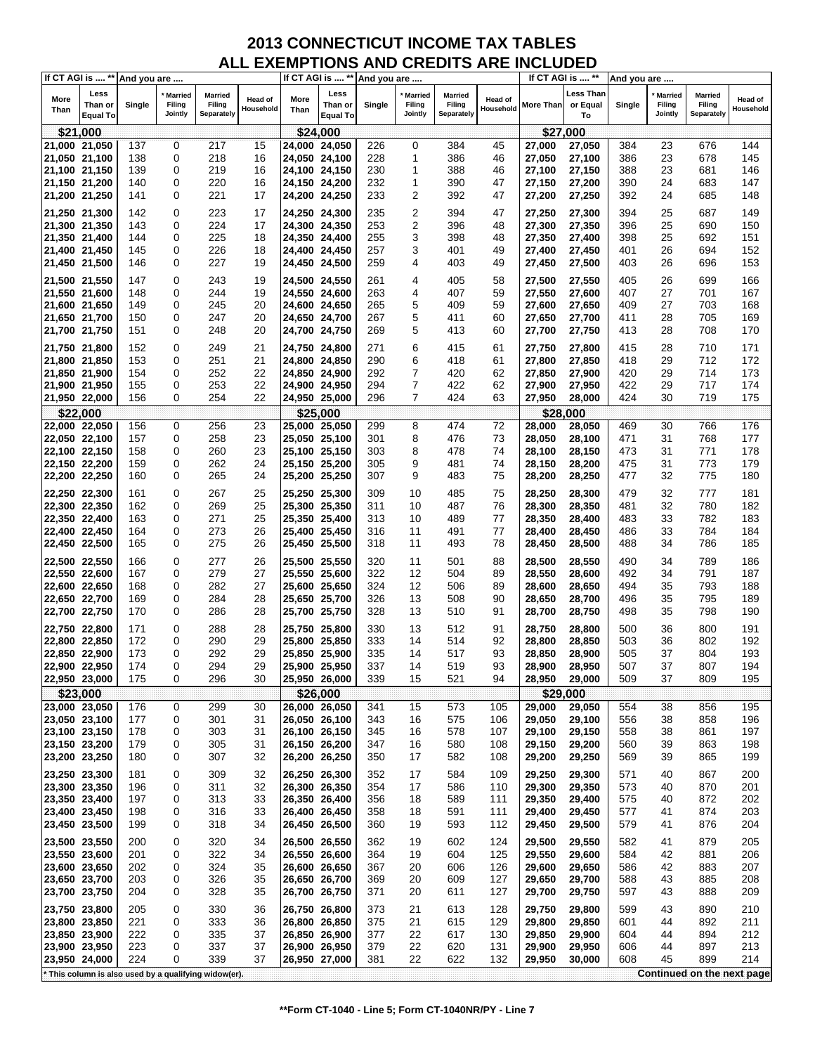|               | If CT AGI is  ** | And you are |                   |                                                       |           |               |                 | If CT AGI is  ** And you are |                   |                      |           | If CT AGI is  ** |                | And you are |                   |                            |                |
|---------------|------------------|-------------|-------------------|-------------------------------------------------------|-----------|---------------|-----------------|------------------------------|-------------------|----------------------|-----------|------------------|----------------|-------------|-------------------|----------------------------|----------------|
| More          | Less             |             | <b>Married</b>    | <b>Married</b>                                        | Head of   | More          | Less            |                              | <b>Married</b>    | <b>Married</b>       | Head of   |                  | Less Than      |             | <b>Married</b>    | <b>Married</b>             | <b>Head of</b> |
| Than          | Than or          | Single      | Filing<br>Jointly | Filing<br>Separately                                  | Household | Than          | Than or         | Single                       | Filing<br>Jointly | Filing<br>Separately | Household | More Than        | or Equal<br>To | Single      | Filing<br>Jointly | Filing<br>Separately       | Household      |
|               | <b>Equal To</b>  |             |                   |                                                       |           |               | <b>Equal To</b> |                              |                   |                      |           |                  |                |             |                   |                            |                |
|               | \$21,000         |             |                   |                                                       |           |               | \$24,000        |                              |                   |                      |           |                  | \$27,000       |             |                   |                            |                |
| 21,000 21,050 |                  | 137         | $\mathbf 0$       | 217                                                   | 15        | 24,000 24,050 |                 | 226                          | 0                 | 384                  | 45        | 27,000           | 27,050         | 384         | 23                | 676                        | 144            |
| 21,050 21,100 |                  | 138         | 0                 | 218                                                   | 16        | 24,050 24,100 |                 | 228                          | 1                 | 386                  | 46        | 27,050           | 27,100         | 386         | 23                | 678                        | 145            |
| 21,100 21,150 |                  | 139         | 0                 | 219                                                   | 16        | 24,100 24,150 |                 | 230                          | 1                 | 388                  | 46        | 27,100           | 27,150         | 388         | 23                | 681                        | 146            |
| 21,150 21,200 |                  | 140         | 0<br>0            | 220                                                   | 16        | 24,150 24,200 |                 | 232                          | 1<br>2            | 390                  | 47        | 27,150           | 27,200         | 390         | 24<br>24          | 683                        | 147            |
| 21,200 21,250 |                  | 141         |                   | 221                                                   | 17        | 24,200 24,250 |                 | 233                          |                   | 392                  | 47        | 27,200           | 27,250         | 392         |                   | 685                        | 148            |
| 21,250 21,300 |                  | 142         | 0                 | 223                                                   | 17        | 24,250 24,300 |                 | 235                          | 2                 | 394                  | 47        | 27,250           | 27,300         | 394         | 25                | 687                        | 149            |
| 21,300 21,350 |                  | 143         | 0                 | 224                                                   | 17        | 24,300 24,350 |                 | 253                          | 2                 | 396                  | 48        | 27,300           | 27,350         | 396         | 25                | 690                        | 150            |
| 21,350 21,400 |                  | 144         | 0                 | 225                                                   | 18        | 24,350 24,400 |                 | 255                          | 3                 | 398                  | 48        | 27,350           | 27,400         | 398         | 25                | 692                        | 151            |
| 21,400 21,450 |                  | 145         | 0                 | 226                                                   | 18        | 24,400 24,450 |                 | 257                          | 3                 | 401                  | 49        | 27,400           | 27,450         | 401         | 26                | 694                        | 152            |
| 21,450 21,500 |                  | 146         | 0                 | 227                                                   | 19        | 24,450 24,500 |                 | 259                          | 4                 | 403                  | 49        | 27,450           | 27,500         | 403         | 26                | 696                        | 153            |
| 21,500 21,550 |                  | 147         | 0                 | 243                                                   | 19        | 24,500 24,550 |                 | 261                          | 4                 | 405                  | 58        | 27,500           | 27,550         | 405         | 26                | 699                        | 166            |
| 21,550 21,600 |                  | 148         | 0                 | 244                                                   | 19        | 24,550 24,600 |                 | 263                          | 4                 | 407                  | 59        | 27,550           | 27,600         | 407         | 27                | 701                        | 167            |
| 21,600 21,650 |                  | 149         | 0                 | 245                                                   | 20        | 24,600 24,650 |                 | 265                          | 5                 | 409                  | 59        | 27,600           | 27,650         | 409         | 27                | 703                        | 168            |
| 21,650 21,700 |                  | 150         | 0                 | 247                                                   | 20        | 24,650 24,700 |                 | 267                          | 5                 | 411                  | 60        | 27,650           | 27,700         | 411         | 28                | 705                        | 169            |
| 21,700 21,750 |                  | 151         | 0                 | 248                                                   | 20        | 24,700 24,750 |                 | 269                          | 5                 | 413                  | 60        | 27,700           | 27,750         | 413         | 28                | 708                        | 170            |
| 21,750 21,800 |                  | 152         | 0                 | 249                                                   | 21        | 24,750 24,800 |                 | 271                          | 6                 | 415                  | 61        | 27,750           | 27,800         | 415         | 28                | 710                        | 171            |
| 21,800 21,850 |                  | 153         | 0                 | 251                                                   | 21        | 24,800 24,850 |                 | 290                          | 6                 | 418                  | 61        | 27,800           | 27,850         | 418         | 29                | 712                        | 172            |
| 21,850 21,900 |                  | 154         | 0                 | 252                                                   | 22        | 24,850 24,900 |                 | 292                          | 7                 | 420                  | 62        | 27,850           | 27,900         | 420         | 29                | 714                        | 173            |
| 21,900 21,950 |                  | 155         | 0                 | 253                                                   | 22        | 24,900 24,950 |                 | 294                          | 7                 | 422                  | 62        | 27,900           | 27,950         | 422         | 29                | 717                        | 174            |
| 21,950 22,000 |                  | 156         | 0                 | 254                                                   | 22        | 24,950 25,000 |                 | 296                          | 7                 | 424                  | 63        | 27,950           | 28,000         | 424         | 30                | 719                        | 175            |
|               | \$22,000         |             |                   |                                                       |           |               | \$25,000        |                              |                   |                      |           |                  | \$28,000       |             |                   |                            |                |
| 22,000 22,050 |                  | 156         | 0                 | 256                                                   | 23        | 25,000 25,050 |                 | 299                          | 8                 | 474                  | 72        | 28,000           | 28,050         | 469         | 30                | 766                        | 176            |
| 22,050 22,100 |                  | 157         | 0                 | 258                                                   | 23        | 25,050 25,100 |                 | 301                          | 8                 | 476                  | 73        | 28,050           | 28,100         | 471         | 31                | 768                        | 177            |
| 22,100 22,150 |                  | 158         | 0                 | 260                                                   | 23        | 25,100 25,150 |                 | 303                          | 8                 | 478                  | 74        | 28,100           | 28,150         | 473         | 31                | 771                        | 178            |
| 22,150 22,200 |                  | 159         | 0                 | 262                                                   | 24        | 25,150 25,200 |                 | 305                          | 9                 | 481                  | 74        | 28,150           | 28,200         | 475         | 31                | 773                        | 179            |
| 22,200 22,250 |                  | 160         | 0                 | 265                                                   | 24        | 25,200 25,250 |                 | 307                          | 9                 | 483                  | 75        | 28,200           | 28,250         | 477         | 32                | 775                        | 180            |
| 22,250 22,300 |                  | 161         | 0                 | 267                                                   | 25        | 25,250 25,300 |                 | 309                          | 10                | 485                  | 75        | 28,250           | 28,300         | 479         | 32                | 777                        | 181            |
| 22,300 22,350 |                  | 162         | 0                 | 269                                                   | 25        | 25,300 25,350 |                 | 311                          | 10                | 487                  | 76        | 28,300           | 28,350         | 481         | 32                | 780                        | 182            |
| 22,350 22,400 |                  | 163         | 0                 | 271                                                   | 25        | 25,350 25,400 |                 | 313                          | 10                | 489                  | 77        | 28,350           | 28,400         | 483         | 33                | 782                        | 183            |
| 22,400 22,450 |                  | 164         | 0                 | 273                                                   | 26        | 25,400 25,450 |                 | 316                          | 11                | 491                  | 77        | 28,400           | 28,450         | 486         | 33                | 784                        | 184            |
| 22,450 22,500 |                  | 165         | 0                 | 275                                                   | 26        | 25,450 25,500 |                 | 318                          | 11                | 493                  | 78        | 28,450           | 28,500         | 488         | 34                | 786                        | 185            |
| 22,500 22,550 |                  | 166         | 0                 | 277                                                   | 26        | 25,500 25,550 |                 | 320                          | 11                | 501                  | 88        | 28,500           | 28,550         | 490         | 34                | 789                        | 186            |
| 22,550 22,600 |                  | 167         | 0                 | 279                                                   | 27        | 25,550 25,600 |                 | 322                          | 12                | 504                  | 89        | 28,550           | 28,600         | 492         | 34                | 791                        | 187            |
| 22,600 22,650 |                  | 168         | 0                 | 282                                                   | 27        | 25,600 25,650 |                 | 324                          | 12                | 506                  | 89        | 28,600           | 28,650         | 494         | 35                | 793                        | 188            |
| 22,650 22,700 |                  | 169         | 0                 | 284                                                   | 28        | 25,650 25,700 |                 | 326                          | 13                | 508                  | 90        | 28,650           | 28,700         | 496         | 35                | 795                        | 189            |
| 22,700 22,750 |                  | 170         | 0                 | 286                                                   | 28        | 25,700 25,750 |                 | 328                          | 13                | 510                  | 91        | 28,700           | 28,750         | 498         | 35                | 798                        | 190            |
| 22,750 22,800 |                  | 171         | 0                 | 288                                                   | 28        | 25,750 25,800 |                 | 330                          | 13                | 512                  | 91        | 28,750           | 28,800         | 500         | 36                | 800                        | 191            |
| 22,800 22,850 |                  | 172         | 0                 | 290                                                   | 29        | 25,800 25,850 |                 | 333                          | 14                | 514                  | 92        | 28,800           | 28,850         | 503         | 36                | 802                        | 192            |
| 22,850 22,900 |                  | 173         | 0                 | 292                                                   | 29        | 25,850 25,900 |                 | 335                          | 14                | 517                  | 93        | 28,850           | 28,900         | 505         | 37                | 804                        | 193            |
| 22,900 22,950 |                  | 174         | 0                 | 294                                                   | 29        | 25,900 25,950 |                 | 337                          | 14                | 519                  | 93        | 28,900           | 28,950         | 507         | 37                | 807                        | 194            |
| 22,950 23,000 |                  | 175         | 0                 | 296                                                   | 30        | 25,950 26,000 |                 | 339                          | 15                | 521                  | 94        | 28,950           | 29,000         | 509         | 37                | 809                        | 195            |
|               | \$23,000         |             |                   |                                                       |           |               | \$26,000        |                              |                   |                      |           | \$29,000         |                |             |                   |                            |                |
| 23,000 23,050 |                  | 176         | 0                 | 299                                                   | 30        | 26,000 26,050 |                 | 341                          | 15                | 573                  | 105       | 29,000           | 29,050         | 554         | 38                | 856                        | 195            |
| 23,050 23,100 |                  | 177         | 0                 | 301                                                   | 31        | 26,050 26,100 |                 | 343                          | 16                | 575                  | 106       | 29,050           | 29,100         | 556         | 38                | 858                        | 196            |
| 23,100 23,150 |                  | 178         | 0                 | 303                                                   | 31        | 26,100 26,150 |                 | 345                          | 16                | 578                  | 107       | 29,100           | 29,150         | 558         | 38                | 861                        | 197            |
| 23,150 23,200 |                  | 179         | 0                 | 305                                                   | 31        | 26,150 26,200 |                 | 347                          | 16                | 580                  | 108       | 29,150           | 29,200         | 560         | 39                | 863                        | 198            |
| 23,200 23,250 |                  | 180         | 0                 | 307                                                   | 32        | 26,200 26,250 |                 | 350                          | 17                | 582                  | 108       | 29,200           | 29,250         | 569         | 39                | 865                        | 199            |
| 23,250 23,300 |                  | 181         | 0                 | 309                                                   | 32        | 26,250 26,300 |                 | 352                          | 17                | 584                  | 109       | 29,250           | 29,300         | 571         | 40                | 867                        | 200            |
| 23,300 23,350 |                  | 196         | 0                 | 311                                                   | 32        | 26,300 26,350 |                 | 354                          | 17                | 586                  | 110       | 29,300           | 29,350         | 573         | 40                | 870                        | 201            |
| 23,350 23,400 |                  | 197         | 0                 | 313                                                   | 33        | 26,350 26,400 |                 | 356                          | 18                | 589                  | 111       | 29,350           | 29,400         | 575         | 40                | 872                        | 202            |
| 23,400 23,450 |                  | 198         | 0                 | 316                                                   | 33        | 26,400 26,450 |                 | 358                          | 18                | 591                  | 111       | 29,400           | 29,450         | 577         | 41                | 874                        | 203            |
| 23,450 23,500 |                  | 199         | 0                 | 318                                                   | 34        | 26,450 26,500 |                 | 360                          | 19                | 593                  | 112       | 29,450           | 29,500         | 579         | 41                | 876                        | 204            |
| 23,500 23,550 |                  | 200         | 0                 | 320                                                   | 34        | 26,500 26,550 |                 | 362                          | 19                | 602                  | 124       | 29,500           | 29,550         | 582         | 41                | 879                        | 205            |
| 23,550 23,600 |                  | 201         | 0                 | 322                                                   | 34        | 26,550 26,600 |                 | 364                          | 19                | 604                  | 125       | 29,550           | 29,600         | 584         | 42                | 881                        | 206            |
| 23,600 23,650 |                  | 202         | 0                 | 324                                                   | 35        | 26,600 26,650 |                 | 367                          | 20                | 606                  | 126       | 29,600           | 29,650         | 586         | 42                | 883                        | 207            |
| 23,650 23,700 |                  | 203         | 0                 | 326                                                   | 35        | 26,650 26,700 |                 | 369                          | 20                | 609                  | 127       | 29,650           | 29,700         | 588         | 43                | 885                        | 208            |
| 23,700 23,750 |                  | 204         | 0                 | 328                                                   | 35        | 26,700 26,750 |                 | 371                          | 20                | 611                  | 127       | 29,700           | 29,750         | 597         | 43                | 888                        | 209            |
| 23,750 23,800 |                  | 205         | 0                 | 330                                                   | 36        | 26,750 26,800 |                 | 373                          | 21                | 613                  | 128       | 29,750           | 29,800         | 599         | 43                | 890                        | 210            |
| 23,800 23,850 |                  | 221         | 0                 | 333                                                   | 36        | 26,800 26,850 |                 | 375                          | 21                | 615                  | 129       | 29,800           | 29,850         | 601         | 44                | 892                        | 211            |
| 23,850 23,900 |                  | 222         | 0                 | 335                                                   | 37        | 26,850 26,900 |                 | 377                          | 22                | 617                  | 130       | 29,850           | 29,900         | 604         | 44                | 894                        | 212            |
| 23,900 23,950 |                  | 223         | 0                 | 337                                                   | 37        | 26,900 26,950 |                 | 379                          | 22                | 620                  | 131       | 29,900           | 29,950         | 606         | 44                | 897                        | 213            |
| 23,950 24,000 |                  | 224         | 0                 | 339                                                   | 37        | 26,950 27,000 |                 | 381                          | 22                | 622                  | 132       | 29,950           | 30,000         | 608         | 45                | 899                        | 214            |
|               |                  |             |                   | * This column is also used by a qualifying widow(er). |           |               |                 |                              |                   |                      |           |                  |                |             |                   | Continued on the next page |                |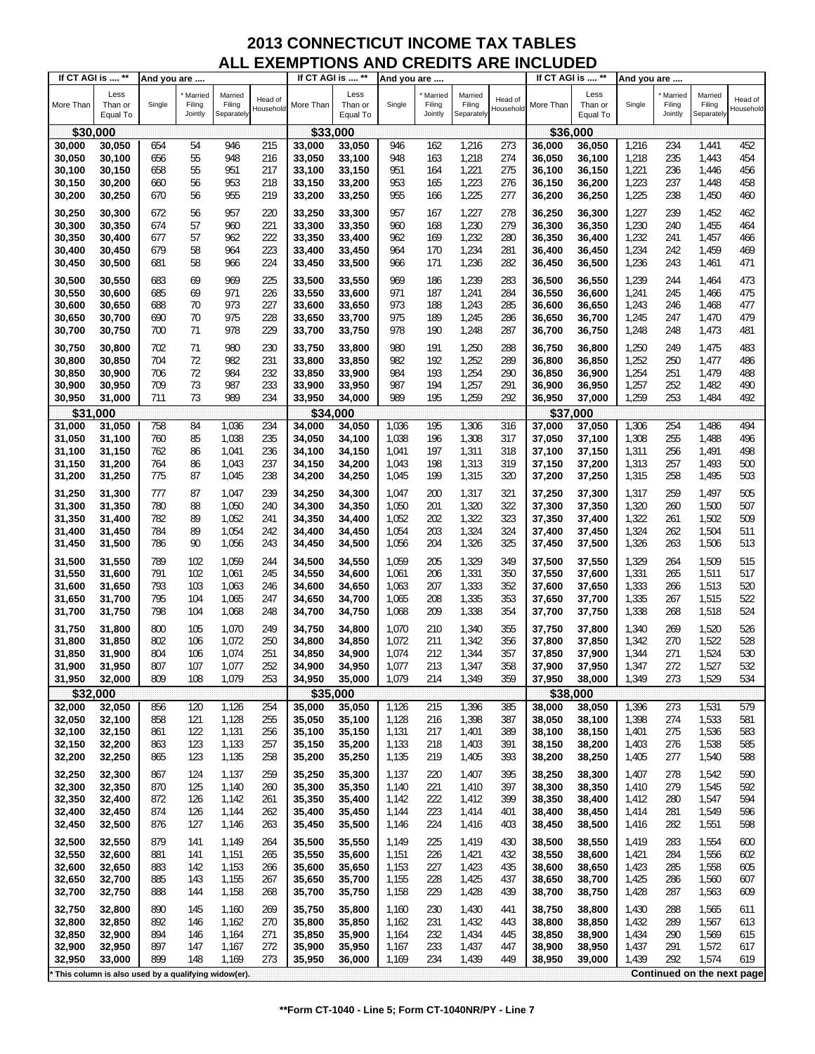| Less<br>Less<br>Less<br>Married<br>Married<br>Married<br>Married<br>Married<br>Married<br>Head of<br>Head of<br>Head of<br>More Than<br>Than or<br>Single<br>Filing<br>Filing<br>More Than<br>Than or<br>Single<br>Filing<br>Filing<br>More Than<br>Than or<br>Single<br>Filing<br>Filing<br>Household<br>Household<br>Household<br>Jointly<br>Separately<br>Jointly<br>Separately<br>Jointly<br>Separately<br>Equal To<br>Equal To<br>Equal To<br>\$30,000<br>\$33,000<br>\$36,000<br>54<br>946<br>215<br>162<br>1,216<br>273<br>452<br>30,000<br>30,050<br>654<br>33,000<br>33,050<br>946<br>36,000<br>36,050<br>1,216<br>234<br>1,441<br>55<br>948<br>948<br>163<br>1,218<br>274<br>1,218<br>235<br>454<br>30,050<br>30,100<br>656<br>216<br>33,050<br>33,100<br>36,050<br>36,100<br>1,443<br>55<br>951<br>951<br>1,221<br>275<br>1,221<br>236<br>456<br>30,100<br>30,150<br>658<br>217<br>33,100<br>33,150<br>164<br>36,100<br>36,150<br>1,446<br>953<br>953<br>1,223<br>276<br>1,223<br>237<br>458<br>30,150<br>30,200<br>56<br>218<br>33,150<br>33,200<br>165<br>36,150<br>1,448<br>660<br>36,200<br>30,200<br>670<br>955<br>219<br>33,200<br>955<br>166<br>1,225<br>277<br>36,200<br>1,225<br>238<br>1,450<br>460<br>30,250<br>56<br>33,250<br>36,250<br>957<br>30,250<br>957<br>220<br>1,227<br>36,250<br>1,227<br>239<br>1,452<br>30,300<br>672<br>56<br>33,250<br>33,300<br>167<br>278<br>36,300<br>462<br>57<br>221<br>1,230<br>279<br>36,300<br>1,230<br>1,455<br>30,300<br>30,350<br>674<br>960<br>33,300<br>33,350<br>960<br>168<br>36,350<br>240<br>464<br>57<br>962<br>222<br>962<br>169<br>1,232<br>280<br>1,232<br>1,457<br>30,350<br>30,400<br>677<br>33,350<br>33,400<br>36,350<br>36,400<br>241<br>466<br>58<br>223<br>964<br>1,234<br>281<br>1,234<br>1,459<br>30,400<br>679<br>964<br>33,400<br>170<br>36,400<br>242<br>469<br>30,450<br>33,450<br>36,450<br>58<br>1,236<br>1,236<br>471<br>30,450<br>30,500<br>681<br>966<br>224<br>33,450<br>966<br>171<br>282<br>36,450<br>243<br>1,461<br>33,500<br>36,500<br>969<br>473<br>30,500<br>69<br>969<br>225<br>33,500<br>186<br>1,239<br>283<br>36,500<br>1,239<br>30,550<br>683<br>33,550<br>36,550<br>244<br>1,464<br>971<br>226<br>971<br>1,241<br>475<br>30,550<br>30,600<br>685<br>69<br>33,550<br>33,600<br>187<br>284<br>36,550<br>36,600<br>1,241<br>245<br>1,466<br>973<br>227<br>973<br>188<br>1,243<br>477<br>30,600<br>30,650<br>688<br>70<br>33,600<br>33,650<br>285<br>36,600<br>36,650<br>1,243<br>246<br>1,468<br>70<br>975<br>228<br>975<br>189<br>1,245<br>1,245<br>1,470<br>479<br>30,650<br>30,700<br>690<br>33,650<br>33,700<br>286<br>36,650<br>36,700<br>247<br>978<br>229<br>978<br>190<br>1,473<br>481<br>30,700<br>700<br>71<br>33,700<br>1,248<br>287<br>1,248<br>248<br>30,750<br>33,750<br>36,700<br>36,750<br>30,750<br>702<br>71<br>980<br>230<br>980<br>1,250<br>288<br>1,250<br>249<br>1,475<br>483<br>30,800<br>33,750<br>33,800<br>191<br>36,750<br>36,800<br>72<br>982<br>231<br>982<br>1,252<br>1,252<br>1,477<br>704<br>192<br>289<br>36,800<br>250<br>486<br>30,800<br>30,850<br>33,800<br>33,850<br>36,850<br>984<br>232<br>1,254<br>1,479<br>30,850<br>30,900<br>706<br>72<br>33,850<br>33,900<br>984<br>193<br>290<br>36,850<br>36,900<br>1,254<br>251<br>488<br>709<br>73<br>987<br>233<br>987<br>194<br>1,257<br>291<br>1,257<br>1,482<br>490<br>30,900<br>30,950<br>33,900<br>33,950<br>36,900<br>252<br>36,950<br>711<br>73<br>989<br>234<br>989<br>195<br>1,259<br>292<br>1,259<br>253<br>1,484<br>492<br>30,950<br>31,000<br>33,950<br>36,950<br>37,000<br>34,000<br>\$31<br>\$34.000<br>\$37<br>,000<br>,000<br>494<br>758<br>84<br>1,036<br>234<br>1,036<br>195<br>1,306<br>316<br>1,306<br>254<br>1,486<br>31,000<br>34,000<br>34,050<br>37,000<br>37,050<br>31,050<br>85<br>1,038<br>235<br>196<br>1,308<br>317<br>1,308<br>255<br>496<br>31,050<br>31,100<br>760<br>34,050<br>34,100<br>1,038<br>37,050<br>37,100<br>1,488<br>197<br>31,100<br>31,150<br>762<br>86<br>1,041<br>236<br>34,100<br>34,150<br>1,041<br>1,311<br>318<br>37,100<br>1,311<br>256<br>1,491<br>498<br>37,150<br>1,043<br>237<br>1,313<br>319<br>1,313<br>257<br>1,493<br>500<br>31,150<br>31,200<br>764<br>86<br>34,150<br>34,200<br>1,043<br>198<br>37,150<br>37,200<br>1,315<br>1,315<br>1,495<br>503<br>31,200<br>31,250<br>775<br>87<br>1,045<br>238<br>34,200<br>34,250<br>199<br>320<br>37,200<br>37,250<br>258<br>1,045<br>31,250<br>31,300<br>777<br>87<br>1,047<br>239<br>34,250<br>1,047<br>200<br>1,317<br>321<br>37,250<br>1,317<br>259<br>1,497<br>505<br>34,300<br>37,300<br>780<br>88<br>1,050<br>201<br>1,320<br>322<br>1,320<br>1,500<br>507<br>31,300<br>31,350<br>240<br>34,300<br>34,350<br>1,050<br>37,300<br>260<br>37,350<br>1,052<br>202<br>1,322<br>323<br>1,322<br>1,502<br>509<br>31,350<br>31,400<br>782<br>89<br>241<br>34,350<br>34,400<br>1,052<br>37,350<br>261<br>37,400<br>203<br>1,324<br>1,324<br>1,504<br>31,400<br>784<br>89<br>1,054<br>242<br>34,400<br>1,054<br>324<br>37,400<br>262<br>511<br>31,450<br>34,450<br>37,450<br>90<br>1,056<br>204<br>1,326<br>325<br>1,326<br>1,506<br>31,450<br>31,500<br>786<br>243<br>34,450<br>1,056<br>37,450<br>263<br>513<br>34,500<br>37,500<br>31,500<br>789<br>102<br>1,059<br>244<br>34,500<br>34,550<br>1,059<br>205<br>1,329<br>349<br>37,500<br>1,329<br>264<br>1,509<br>515<br>31,550<br>37,550<br>791<br>102<br>1,061<br>34,550<br>206<br>1,331<br>350<br>37,550<br>1,331<br>517<br>31,550<br>31,600<br>245<br>34,600<br>1,061<br>37,600<br>265<br>1,511<br>793<br>103<br>207<br>1,333<br>352<br>1,333<br>520<br>31,600<br>1,063<br>246<br>34,600<br>1,063<br>37,600<br>266<br>1,513<br>31,650<br>34,650<br>37,650<br>1,335<br>1,335<br>522<br>31,650<br>795<br>104<br>1,065<br>247<br>34,650<br>34,700<br>1,065<br>208<br>353<br>37,650<br>267<br>1,515<br>31,700<br>37,700<br>209<br>1,338<br>1,338<br>1,518<br>524<br>31,700<br>798<br>104<br>1,068<br>248<br>34,700<br>1,068<br>354<br>37,700<br>268<br>31,750<br>34,750<br>37,750<br>31,750<br>1,070<br>526<br>31,800<br>800<br>105<br>1,070<br>249<br>34,750<br>34,800<br>210<br>1,340<br>355<br>37,750<br>37,800<br>1,340<br>269<br>1,520<br>106<br>1,072<br>211<br>1,342<br>270<br>1,522<br>528<br>31,800<br>31,850<br>802<br>250<br>34,800<br>34,850<br>1,072<br>356<br>37,800<br>37,850<br>1,342<br>212<br>1,524<br>530<br>804<br>106<br>1,074<br>251<br>1,074<br>1,344<br>357<br>1,344<br>271<br>31,850<br>31,900<br>34,850<br>34,900<br>37,850<br>37,900<br>532<br>807<br>107<br>1,077<br>252<br>1,077<br>213<br>358<br>272<br>1,527<br>31,900<br>31,950<br>34,900<br>34,950<br>1,347<br>37,900<br>37,950<br>1,347<br>809<br>108<br>1,079<br>34,950<br>1,079<br>214<br>1,349<br>1,349<br>1,529<br>31,950<br>32,000<br>253<br>35,000<br>359<br>37,950<br>38,000<br>273<br>534<br>\$38,000<br>\$32,000<br>\$35,000<br>120<br>1,126<br>254<br>1,126<br>215<br>1,396<br>385<br>1,396<br>273<br>1,531<br>579<br>32,000<br>32,050<br>856<br>35,000<br>35,050<br>38,000<br>38,050<br>858<br>121<br>1,128<br>255<br>35,050<br>35,100<br>1,128<br>216<br>1,398<br>387<br>38,050<br>38,100<br>1,398<br>274<br>1,533<br>581<br>32,050<br>32,100<br>122<br>1,131<br>256<br>35,100<br>1,131<br>217<br>1,401<br>1,401<br>275<br>1,536<br>583<br>32,100<br>32,150<br>861<br>35,150<br>389<br>38,100<br>38,150<br>1,133<br>585<br>32,150<br>32,200<br>863<br>123<br>257<br>35,150<br>35,200<br>1,133<br>218<br>1,403<br>391<br>38,150<br>38,200<br>1,403<br>276<br>1,538<br>123<br>219<br>1,405<br>1,540<br>588<br>32,200<br>32,250<br>865<br>1,135<br>258<br>35,200<br>35,250<br>1,135<br>393<br>38,200<br>1,405<br>277<br>38,250<br>32,250<br>32,300<br>867<br>124<br>1,137<br>259<br>35,250<br>35,300<br>1,137<br>220<br>1,407<br>395<br>38,250<br>38,300<br>1,407<br>278<br>1,542<br>590<br>32,300<br>32,350<br>125<br>35,300<br>221<br>1,410<br>397<br>38,300<br>279<br>1,545<br>592<br>870<br>1,140<br>260<br>35,350<br>1,140<br>38,350<br>1,410<br>32,350<br>872<br>1,142<br>35,350<br>1,142<br>222<br>1,412<br>399<br>38,350<br>1,412<br>280<br>594<br>32,400<br>126<br>261<br>35,400<br>38,400<br>1,547<br>223<br>1,414<br>1,549<br>32,400<br>32,450<br>874<br>126<br>1,144<br>262<br>35,400<br>35,450<br>1,144<br>38,400<br>1,414<br>281<br>596<br>401<br>38,450<br>32,450<br>32,500<br>876<br>127<br>1,146<br>35,450<br>1,146<br>224<br>1,416<br>38,450<br>1,416<br>282<br>1,551<br>598<br>263<br>35,500<br>403<br>38,500<br>879<br>32,500<br>32,550<br>141<br>1,149<br>35,500<br>35,550<br>1,149<br>225<br>1,419<br>38,500<br>1,419<br>283<br>1,554<br>600<br>264<br>430<br>38,550<br>32,550<br>32,600<br>1,151<br>35,550<br>35,600<br>1,151<br>226<br>1,421<br>38,550<br>1,421<br>1,556<br>881<br>141<br>265<br>432<br>38,600<br>284<br>602<br>32,600<br>142<br>1,153<br>35,600<br>227<br>1,423<br>38,600<br>1,423<br>1,558<br>32,650<br>883<br>35,650<br>1,153<br>435<br>38,650<br>285<br>605<br>266<br>885<br>1,155<br>1,155<br>228<br>1,425<br>1,425<br>607<br>32,650<br>32,700<br>143<br>267<br>35,650<br>35,700<br>437<br>38,650<br>38,700<br>286<br>1,560<br>32,700<br>32,750<br>888<br>144<br>1,158<br>35,700<br>35,750<br>1,158<br>229<br>1,428<br>439<br>38,700<br>1,428<br>287<br>1,563<br>609<br>268<br>38,750<br>32,750<br>32,800<br>890<br>269<br>35,750<br>35,800<br>230<br>1,430<br>1,430<br>288<br>1,565<br>145<br>1,160<br>1,160<br>441<br>38,750<br>38,800<br>611<br>1,432<br>32,800<br>32,850<br>892<br>146<br>1,162<br>270<br>35,800<br>35,850<br>1,162<br>231<br>443<br>38,800<br>38,850<br>1,432<br>289<br>1,567<br>613<br>32,850<br>32,900<br>232<br>1,434<br>38,850<br>1,569<br>894<br>146<br>1,164<br>271<br>35,850<br>35,900<br>1,164<br>445<br>38,900<br>1,434<br>290<br>615<br>233<br>1,437<br>1,572<br>32,900<br>32,950<br>897<br>147<br>1,167<br>272<br>35,900<br>35,950<br>1,167<br>447<br>38,900<br>38,950<br>1,437<br>291<br>617<br>899<br>1,169<br>273<br>234<br>1,439<br>1,439<br>292<br>1,574<br>619<br>32,950<br>33,000<br>148<br>35,950<br>36,000<br>1,169<br>449<br>38,950<br>39,000<br>Continued on the next page<br>This column is also used by a qualifying widow(er). | If CT AGI is  ** | And you are |  | If CT AGI is  ** | And you are |  | If CT AGI is  ** | And you are |  |  |
|--------------------------------------------------------------------------------------------------------------------------------------------------------------------------------------------------------------------------------------------------------------------------------------------------------------------------------------------------------------------------------------------------------------------------------------------------------------------------------------------------------------------------------------------------------------------------------------------------------------------------------------------------------------------------------------------------------------------------------------------------------------------------------------------------------------------------------------------------------------------------------------------------------------------------------------------------------------------------------------------------------------------------------------------------------------------------------------------------------------------------------------------------------------------------------------------------------------------------------------------------------------------------------------------------------------------------------------------------------------------------------------------------------------------------------------------------------------------------------------------------------------------------------------------------------------------------------------------------------------------------------------------------------------------------------------------------------------------------------------------------------------------------------------------------------------------------------------------------------------------------------------------------------------------------------------------------------------------------------------------------------------------------------------------------------------------------------------------------------------------------------------------------------------------------------------------------------------------------------------------------------------------------------------------------------------------------------------------------------------------------------------------------------------------------------------------------------------------------------------------------------------------------------------------------------------------------------------------------------------------------------------------------------------------------------------------------------------------------------------------------------------------------------------------------------------------------------------------------------------------------------------------------------------------------------------------------------------------------------------------------------------------------------------------------------------------------------------------------------------------------------------------------------------------------------------------------------------------------------------------------------------------------------------------------------------------------------------------------------------------------------------------------------------------------------------------------------------------------------------------------------------------------------------------------------------------------------------------------------------------------------------------------------------------------------------------------------------------------------------------------------------------------------------------------------------------------------------------------------------------------------------------------------------------------------------------------------------------------------------------------------------------------------------------------------------------------------------------------------------------------------------------------------------------------------------------------------------------------------------------------------------------------------------------------------------------------------------------------------------------------------------------------------------------------------------------------------------------------------------------------------------------------------------------------------------------------------------------------------------------------------------------------------------------------------------------------------------------------------------------------------------------------------------------------------------------------------------------------------------------------------------------------------------------------------------------------------------------------------------------------------------------------------------------------------------------------------------------------------------------------------------------------------------------------------------------------------------------------------------------------------------------------------------------------------------------------------------------------------------------------------------------------------------------------------------------------------------------------------------------------------------------------------------------------------------------------------------------------------------------------------------------------------------------------------------------------------------------------------------------------------------------------------------------------------------------------------------------------------------------------------------------------------------------------------------------------------------------------------------------------------------------------------------------------------------------------------------------------------------------------------------------------------------------------------------------------------------------------------------------------------------------------------------------------------------------------------------------------------------------------------------------------------------------------------------------------------------------------------------------------------------------------------------------------------------------------------------------------------------------------------------------------------------------------------------------------------------------------------------------------------------------------------------------------------------------------------------------------------------------------------------------------------------------------------------------------------------------------------------------------------------------------------------------------------------------------------------------------------------------------------------------------------------------------------------------------------------------------------------------------------------------------------------------------------------------------------------------------------------------------------------------------------------------------------------------------------------------------------------------------------------------------------------------------------------------------------------------------------------------------------------------------------------------------------------------------------------------------------------------------------------------------------------------------------------------------------------------------------------------------------------------------------------------------------------------------------------------------------------------------------------------------------------------------------------------------------------------------------------------------------------------------------------------------------------------------------------------------------------------------------------------------------------------------------------------------------------------------------------------------------------------------------------------------------------------------------------------------------------------------------------------------------------------------------------------------------------------------------------------------------------------------------------------------------------------------------------------------------------------------------------------------------------------------------------------------------------------------------------------------------------------------------------------------------------------------------------------------------------------------------------------------------------------------------------------------------------------------------------------------------------------------------------------------------------------------------------------------------------------------------------------------------------------------------------------------------------------------------------------------------------------------------------------------------------------------------------------------------------------------------------------------------------------------------------------------------------------------------------------------------------------------------------------------------------------------------------------------------------------------------------------------------------------------------------------------------------------------------------------------------------------------------------------------------------------------------------------------------------------------------------------------------------------------------------------------------------------------------------------------------------------------------------------|------------------|-------------|--|------------------|-------------|--|------------------|-------------|--|--|
|                                                                                                                                                                                                                                                                                                                                                                                                                                                                                                                                                                                                                                                                                                                                                                                                                                                                                                                                                                                                                                                                                                                                                                                                                                                                                                                                                                                                                                                                                                                                                                                                                                                                                                                                                                                                                                                                                                                                                                                                                                                                                                                                                                                                                                                                                                                                                                                                                                                                                                                                                                                                                                                                                                                                                                                                                                                                                                                                                                                                                                                                                                                                                                                                                                                                                                                                                                                                                                                                                                                                                                                                                                                                                                                                                                                                                                                                                                                                                                                                                                                                                                                                                                                                                                                                                                                                                                                                                                                                                                                                                                                                                                                                                                                                                                                                                                                                                                                                                                                                                                                                                                                                                                                                                                                                                                                                                                                                                                                                                                                                                                                                                                                                                                                                                                                                                                                                                                                                                                                                                                                                                                                                                                                                                                                                                                                                                                                                                                                                                                                                                                                                                                                                                                                                                                                                                                                                                                                                                                                                                                                                                                                                                                                                                                                                                                                                                                                                                                                                                                                                                                                                                                                                                                                                                                                                                                                                                                                                                                                                                                                                                                                                                                                                                                                                                                                                                                                                                                                                                                                                                                                                                                                                                                                                                                                                                                                                                                                                                                                                                                                                                                                                                                                                                                                                                                                                                                                                                                                                                                                                                                                                                                                                                                                                                                                                                                                                                                                                                                                                                                                                                                                                                                    |                  |             |  |                  |             |  |                  |             |  |  |
|                                                                                                                                                                                                                                                                                                                                                                                                                                                                                                                                                                                                                                                                                                                                                                                                                                                                                                                                                                                                                                                                                                                                                                                                                                                                                                                                                                                                                                                                                                                                                                                                                                                                                                                                                                                                                                                                                                                                                                                                                                                                                                                                                                                                                                                                                                                                                                                                                                                                                                                                                                                                                                                                                                                                                                                                                                                                                                                                                                                                                                                                                                                                                                                                                                                                                                                                                                                                                                                                                                                                                                                                                                                                                                                                                                                                                                                                                                                                                                                                                                                                                                                                                                                                                                                                                                                                                                                                                                                                                                                                                                                                                                                                                                                                                                                                                                                                                                                                                                                                                                                                                                                                                                                                                                                                                                                                                                                                                                                                                                                                                                                                                                                                                                                                                                                                                                                                                                                                                                                                                                                                                                                                                                                                                                                                                                                                                                                                                                                                                                                                                                                                                                                                                                                                                                                                                                                                                                                                                                                                                                                                                                                                                                                                                                                                                                                                                                                                                                                                                                                                                                                                                                                                                                                                                                                                                                                                                                                                                                                                                                                                                                                                                                                                                                                                                                                                                                                                                                                                                                                                                                                                                                                                                                                                                                                                                                                                                                                                                                                                                                                                                                                                                                                                                                                                                                                                                                                                                                                                                                                                                                                                                                                                                                                                                                                                                                                                                                                                                                                                                                                                                                                                                                    |                  |             |  |                  |             |  |                  |             |  |  |
|                                                                                                                                                                                                                                                                                                                                                                                                                                                                                                                                                                                                                                                                                                                                                                                                                                                                                                                                                                                                                                                                                                                                                                                                                                                                                                                                                                                                                                                                                                                                                                                                                                                                                                                                                                                                                                                                                                                                                                                                                                                                                                                                                                                                                                                                                                                                                                                                                                                                                                                                                                                                                                                                                                                                                                                                                                                                                                                                                                                                                                                                                                                                                                                                                                                                                                                                                                                                                                                                                                                                                                                                                                                                                                                                                                                                                                                                                                                                                                                                                                                                                                                                                                                                                                                                                                                                                                                                                                                                                                                                                                                                                                                                                                                                                                                                                                                                                                                                                                                                                                                                                                                                                                                                                                                                                                                                                                                                                                                                                                                                                                                                                                                                                                                                                                                                                                                                                                                                                                                                                                                                                                                                                                                                                                                                                                                                                                                                                                                                                                                                                                                                                                                                                                                                                                                                                                                                                                                                                                                                                                                                                                                                                                                                                                                                                                                                                                                                                                                                                                                                                                                                                                                                                                                                                                                                                                                                                                                                                                                                                                                                                                                                                                                                                                                                                                                                                                                                                                                                                                                                                                                                                                                                                                                                                                                                                                                                                                                                                                                                                                                                                                                                                                                                                                                                                                                                                                                                                                                                                                                                                                                                                                                                                                                                                                                                                                                                                                                                                                                                                                                                                                                                                                    |                  |             |  |                  |             |  |                  |             |  |  |
|                                                                                                                                                                                                                                                                                                                                                                                                                                                                                                                                                                                                                                                                                                                                                                                                                                                                                                                                                                                                                                                                                                                                                                                                                                                                                                                                                                                                                                                                                                                                                                                                                                                                                                                                                                                                                                                                                                                                                                                                                                                                                                                                                                                                                                                                                                                                                                                                                                                                                                                                                                                                                                                                                                                                                                                                                                                                                                                                                                                                                                                                                                                                                                                                                                                                                                                                                                                                                                                                                                                                                                                                                                                                                                                                                                                                                                                                                                                                                                                                                                                                                                                                                                                                                                                                                                                                                                                                                                                                                                                                                                                                                                                                                                                                                                                                                                                                                                                                                                                                                                                                                                                                                                                                                                                                                                                                                                                                                                                                                                                                                                                                                                                                                                                                                                                                                                                                                                                                                                                                                                                                                                                                                                                                                                                                                                                                                                                                                                                                                                                                                                                                                                                                                                                                                                                                                                                                                                                                                                                                                                                                                                                                                                                                                                                                                                                                                                                                                                                                                                                                                                                                                                                                                                                                                                                                                                                                                                                                                                                                                                                                                                                                                                                                                                                                                                                                                                                                                                                                                                                                                                                                                                                                                                                                                                                                                                                                                                                                                                                                                                                                                                                                                                                                                                                                                                                                                                                                                                                                                                                                                                                                                                                                                                                                                                                                                                                                                                                                                                                                                                                                                                                                                                    |                  |             |  |                  |             |  |                  |             |  |  |
|                                                                                                                                                                                                                                                                                                                                                                                                                                                                                                                                                                                                                                                                                                                                                                                                                                                                                                                                                                                                                                                                                                                                                                                                                                                                                                                                                                                                                                                                                                                                                                                                                                                                                                                                                                                                                                                                                                                                                                                                                                                                                                                                                                                                                                                                                                                                                                                                                                                                                                                                                                                                                                                                                                                                                                                                                                                                                                                                                                                                                                                                                                                                                                                                                                                                                                                                                                                                                                                                                                                                                                                                                                                                                                                                                                                                                                                                                                                                                                                                                                                                                                                                                                                                                                                                                                                                                                                                                                                                                                                                                                                                                                                                                                                                                                                                                                                                                                                                                                                                                                                                                                                                                                                                                                                                                                                                                                                                                                                                                                                                                                                                                                                                                                                                                                                                                                                                                                                                                                                                                                                                                                                                                                                                                                                                                                                                                                                                                                                                                                                                                                                                                                                                                                                                                                                                                                                                                                                                                                                                                                                                                                                                                                                                                                                                                                                                                                                                                                                                                                                                                                                                                                                                                                                                                                                                                                                                                                                                                                                                                                                                                                                                                                                                                                                                                                                                                                                                                                                                                                                                                                                                                                                                                                                                                                                                                                                                                                                                                                                                                                                                                                                                                                                                                                                                                                                                                                                                                                                                                                                                                                                                                                                                                                                                                                                                                                                                                                                                                                                                                                                                                                                                                                    |                  |             |  |                  |             |  |                  |             |  |  |
|                                                                                                                                                                                                                                                                                                                                                                                                                                                                                                                                                                                                                                                                                                                                                                                                                                                                                                                                                                                                                                                                                                                                                                                                                                                                                                                                                                                                                                                                                                                                                                                                                                                                                                                                                                                                                                                                                                                                                                                                                                                                                                                                                                                                                                                                                                                                                                                                                                                                                                                                                                                                                                                                                                                                                                                                                                                                                                                                                                                                                                                                                                                                                                                                                                                                                                                                                                                                                                                                                                                                                                                                                                                                                                                                                                                                                                                                                                                                                                                                                                                                                                                                                                                                                                                                                                                                                                                                                                                                                                                                                                                                                                                                                                                                                                                                                                                                                                                                                                                                                                                                                                                                                                                                                                                                                                                                                                                                                                                                                                                                                                                                                                                                                                                                                                                                                                                                                                                                                                                                                                                                                                                                                                                                                                                                                                                                                                                                                                                                                                                                                                                                                                                                                                                                                                                                                                                                                                                                                                                                                                                                                                                                                                                                                                                                                                                                                                                                                                                                                                                                                                                                                                                                                                                                                                                                                                                                                                                                                                                                                                                                                                                                                                                                                                                                                                                                                                                                                                                                                                                                                                                                                                                                                                                                                                                                                                                                                                                                                                                                                                                                                                                                                                                                                                                                                                                                                                                                                                                                                                                                                                                                                                                                                                                                                                                                                                                                                                                                                                                                                                                                                                                                                                    |                  |             |  |                  |             |  |                  |             |  |  |
|                                                                                                                                                                                                                                                                                                                                                                                                                                                                                                                                                                                                                                                                                                                                                                                                                                                                                                                                                                                                                                                                                                                                                                                                                                                                                                                                                                                                                                                                                                                                                                                                                                                                                                                                                                                                                                                                                                                                                                                                                                                                                                                                                                                                                                                                                                                                                                                                                                                                                                                                                                                                                                                                                                                                                                                                                                                                                                                                                                                                                                                                                                                                                                                                                                                                                                                                                                                                                                                                                                                                                                                                                                                                                                                                                                                                                                                                                                                                                                                                                                                                                                                                                                                                                                                                                                                                                                                                                                                                                                                                                                                                                                                                                                                                                                                                                                                                                                                                                                                                                                                                                                                                                                                                                                                                                                                                                                                                                                                                                                                                                                                                                                                                                                                                                                                                                                                                                                                                                                                                                                                                                                                                                                                                                                                                                                                                                                                                                                                                                                                                                                                                                                                                                                                                                                                                                                                                                                                                                                                                                                                                                                                                                                                                                                                                                                                                                                                                                                                                                                                                                                                                                                                                                                                                                                                                                                                                                                                                                                                                                                                                                                                                                                                                                                                                                                                                                                                                                                                                                                                                                                                                                                                                                                                                                                                                                                                                                                                                                                                                                                                                                                                                                                                                                                                                                                                                                                                                                                                                                                                                                                                                                                                                                                                                                                                                                                                                                                                                                                                                                                                                                                                                                                    |                  |             |  |                  |             |  |                  |             |  |  |
|                                                                                                                                                                                                                                                                                                                                                                                                                                                                                                                                                                                                                                                                                                                                                                                                                                                                                                                                                                                                                                                                                                                                                                                                                                                                                                                                                                                                                                                                                                                                                                                                                                                                                                                                                                                                                                                                                                                                                                                                                                                                                                                                                                                                                                                                                                                                                                                                                                                                                                                                                                                                                                                                                                                                                                                                                                                                                                                                                                                                                                                                                                                                                                                                                                                                                                                                                                                                                                                                                                                                                                                                                                                                                                                                                                                                                                                                                                                                                                                                                                                                                                                                                                                                                                                                                                                                                                                                                                                                                                                                                                                                                                                                                                                                                                                                                                                                                                                                                                                                                                                                                                                                                                                                                                                                                                                                                                                                                                                                                                                                                                                                                                                                                                                                                                                                                                                                                                                                                                                                                                                                                                                                                                                                                                                                                                                                                                                                                                                                                                                                                                                                                                                                                                                                                                                                                                                                                                                                                                                                                                                                                                                                                                                                                                                                                                                                                                                                                                                                                                                                                                                                                                                                                                                                                                                                                                                                                                                                                                                                                                                                                                                                                                                                                                                                                                                                                                                                                                                                                                                                                                                                                                                                                                                                                                                                                                                                                                                                                                                                                                                                                                                                                                                                                                                                                                                                                                                                                                                                                                                                                                                                                                                                                                                                                                                                                                                                                                                                                                                                                                                                                                                                                                    |                  |             |  |                  |             |  |                  |             |  |  |
|                                                                                                                                                                                                                                                                                                                                                                                                                                                                                                                                                                                                                                                                                                                                                                                                                                                                                                                                                                                                                                                                                                                                                                                                                                                                                                                                                                                                                                                                                                                                                                                                                                                                                                                                                                                                                                                                                                                                                                                                                                                                                                                                                                                                                                                                                                                                                                                                                                                                                                                                                                                                                                                                                                                                                                                                                                                                                                                                                                                                                                                                                                                                                                                                                                                                                                                                                                                                                                                                                                                                                                                                                                                                                                                                                                                                                                                                                                                                                                                                                                                                                                                                                                                                                                                                                                                                                                                                                                                                                                                                                                                                                                                                                                                                                                                                                                                                                                                                                                                                                                                                                                                                                                                                                                                                                                                                                                                                                                                                                                                                                                                                                                                                                                                                                                                                                                                                                                                                                                                                                                                                                                                                                                                                                                                                                                                                                                                                                                                                                                                                                                                                                                                                                                                                                                                                                                                                                                                                                                                                                                                                                                                                                                                                                                                                                                                                                                                                                                                                                                                                                                                                                                                                                                                                                                                                                                                                                                                                                                                                                                                                                                                                                                                                                                                                                                                                                                                                                                                                                                                                                                                                                                                                                                                                                                                                                                                                                                                                                                                                                                                                                                                                                                                                                                                                                                                                                                                                                                                                                                                                                                                                                                                                                                                                                                                                                                                                                                                                                                                                                                                                                                                                                                    |                  |             |  |                  |             |  |                  |             |  |  |
|                                                                                                                                                                                                                                                                                                                                                                                                                                                                                                                                                                                                                                                                                                                                                                                                                                                                                                                                                                                                                                                                                                                                                                                                                                                                                                                                                                                                                                                                                                                                                                                                                                                                                                                                                                                                                                                                                                                                                                                                                                                                                                                                                                                                                                                                                                                                                                                                                                                                                                                                                                                                                                                                                                                                                                                                                                                                                                                                                                                                                                                                                                                                                                                                                                                                                                                                                                                                                                                                                                                                                                                                                                                                                                                                                                                                                                                                                                                                                                                                                                                                                                                                                                                                                                                                                                                                                                                                                                                                                                                                                                                                                                                                                                                                                                                                                                                                                                                                                                                                                                                                                                                                                                                                                                                                                                                                                                                                                                                                                                                                                                                                                                                                                                                                                                                                                                                                                                                                                                                                                                                                                                                                                                                                                                                                                                                                                                                                                                                                                                                                                                                                                                                                                                                                                                                                                                                                                                                                                                                                                                                                                                                                                                                                                                                                                                                                                                                                                                                                                                                                                                                                                                                                                                                                                                                                                                                                                                                                                                                                                                                                                                                                                                                                                                                                                                                                                                                                                                                                                                                                                                                                                                                                                                                                                                                                                                                                                                                                                                                                                                                                                                                                                                                                                                                                                                                                                                                                                                                                                                                                                                                                                                                                                                                                                                                                                                                                                                                                                                                                                                                                                                                                                                    |                  |             |  |                  |             |  |                  |             |  |  |
|                                                                                                                                                                                                                                                                                                                                                                                                                                                                                                                                                                                                                                                                                                                                                                                                                                                                                                                                                                                                                                                                                                                                                                                                                                                                                                                                                                                                                                                                                                                                                                                                                                                                                                                                                                                                                                                                                                                                                                                                                                                                                                                                                                                                                                                                                                                                                                                                                                                                                                                                                                                                                                                                                                                                                                                                                                                                                                                                                                                                                                                                                                                                                                                                                                                                                                                                                                                                                                                                                                                                                                                                                                                                                                                                                                                                                                                                                                                                                                                                                                                                                                                                                                                                                                                                                                                                                                                                                                                                                                                                                                                                                                                                                                                                                                                                                                                                                                                                                                                                                                                                                                                                                                                                                                                                                                                                                                                                                                                                                                                                                                                                                                                                                                                                                                                                                                                                                                                                                                                                                                                                                                                                                                                                                                                                                                                                                                                                                                                                                                                                                                                                                                                                                                                                                                                                                                                                                                                                                                                                                                                                                                                                                                                                                                                                                                                                                                                                                                                                                                                                                                                                                                                                                                                                                                                                                                                                                                                                                                                                                                                                                                                                                                                                                                                                                                                                                                                                                                                                                                                                                                                                                                                                                                                                                                                                                                                                                                                                                                                                                                                                                                                                                                                                                                                                                                                                                                                                                                                                                                                                                                                                                                                                                                                                                                                                                                                                                                                                                                                                                                                                                                                                                                    |                  |             |  |                  |             |  |                  |             |  |  |
|                                                                                                                                                                                                                                                                                                                                                                                                                                                                                                                                                                                                                                                                                                                                                                                                                                                                                                                                                                                                                                                                                                                                                                                                                                                                                                                                                                                                                                                                                                                                                                                                                                                                                                                                                                                                                                                                                                                                                                                                                                                                                                                                                                                                                                                                                                                                                                                                                                                                                                                                                                                                                                                                                                                                                                                                                                                                                                                                                                                                                                                                                                                                                                                                                                                                                                                                                                                                                                                                                                                                                                                                                                                                                                                                                                                                                                                                                                                                                                                                                                                                                                                                                                                                                                                                                                                                                                                                                                                                                                                                                                                                                                                                                                                                                                                                                                                                                                                                                                                                                                                                                                                                                                                                                                                                                                                                                                                                                                                                                                                                                                                                                                                                                                                                                                                                                                                                                                                                                                                                                                                                                                                                                                                                                                                                                                                                                                                                                                                                                                                                                                                                                                                                                                                                                                                                                                                                                                                                                                                                                                                                                                                                                                                                                                                                                                                                                                                                                                                                                                                                                                                                                                                                                                                                                                                                                                                                                                                                                                                                                                                                                                                                                                                                                                                                                                                                                                                                                                                                                                                                                                                                                                                                                                                                                                                                                                                                                                                                                                                                                                                                                                                                                                                                                                                                                                                                                                                                                                                                                                                                                                                                                                                                                                                                                                                                                                                                                                                                                                                                                                                                                                                                                                    |                  |             |  |                  |             |  |                  |             |  |  |
|                                                                                                                                                                                                                                                                                                                                                                                                                                                                                                                                                                                                                                                                                                                                                                                                                                                                                                                                                                                                                                                                                                                                                                                                                                                                                                                                                                                                                                                                                                                                                                                                                                                                                                                                                                                                                                                                                                                                                                                                                                                                                                                                                                                                                                                                                                                                                                                                                                                                                                                                                                                                                                                                                                                                                                                                                                                                                                                                                                                                                                                                                                                                                                                                                                                                                                                                                                                                                                                                                                                                                                                                                                                                                                                                                                                                                                                                                                                                                                                                                                                                                                                                                                                                                                                                                                                                                                                                                                                                                                                                                                                                                                                                                                                                                                                                                                                                                                                                                                                                                                                                                                                                                                                                                                                                                                                                                                                                                                                                                                                                                                                                                                                                                                                                                                                                                                                                                                                                                                                                                                                                                                                                                                                                                                                                                                                                                                                                                                                                                                                                                                                                                                                                                                                                                                                                                                                                                                                                                                                                                                                                                                                                                                                                                                                                                                                                                                                                                                                                                                                                                                                                                                                                                                                                                                                                                                                                                                                                                                                                                                                                                                                                                                                                                                                                                                                                                                                                                                                                                                                                                                                                                                                                                                                                                                                                                                                                                                                                                                                                                                                                                                                                                                                                                                                                                                                                                                                                                                                                                                                                                                                                                                                                                                                                                                                                                                                                                                                                                                                                                                                                                                                                                                    |                  |             |  |                  |             |  |                  |             |  |  |
|                                                                                                                                                                                                                                                                                                                                                                                                                                                                                                                                                                                                                                                                                                                                                                                                                                                                                                                                                                                                                                                                                                                                                                                                                                                                                                                                                                                                                                                                                                                                                                                                                                                                                                                                                                                                                                                                                                                                                                                                                                                                                                                                                                                                                                                                                                                                                                                                                                                                                                                                                                                                                                                                                                                                                                                                                                                                                                                                                                                                                                                                                                                                                                                                                                                                                                                                                                                                                                                                                                                                                                                                                                                                                                                                                                                                                                                                                                                                                                                                                                                                                                                                                                                                                                                                                                                                                                                                                                                                                                                                                                                                                                                                                                                                                                                                                                                                                                                                                                                                                                                                                                                                                                                                                                                                                                                                                                                                                                                                                                                                                                                                                                                                                                                                                                                                                                                                                                                                                                                                                                                                                                                                                                                                                                                                                                                                                                                                                                                                                                                                                                                                                                                                                                                                                                                                                                                                                                                                                                                                                                                                                                                                                                                                                                                                                                                                                                                                                                                                                                                                                                                                                                                                                                                                                                                                                                                                                                                                                                                                                                                                                                                                                                                                                                                                                                                                                                                                                                                                                                                                                                                                                                                                                                                                                                                                                                                                                                                                                                                                                                                                                                                                                                                                                                                                                                                                                                                                                                                                                                                                                                                                                                                                                                                                                                                                                                                                                                                                                                                                                                                                                                                                                                    |                  |             |  |                  |             |  |                  |             |  |  |
|                                                                                                                                                                                                                                                                                                                                                                                                                                                                                                                                                                                                                                                                                                                                                                                                                                                                                                                                                                                                                                                                                                                                                                                                                                                                                                                                                                                                                                                                                                                                                                                                                                                                                                                                                                                                                                                                                                                                                                                                                                                                                                                                                                                                                                                                                                                                                                                                                                                                                                                                                                                                                                                                                                                                                                                                                                                                                                                                                                                                                                                                                                                                                                                                                                                                                                                                                                                                                                                                                                                                                                                                                                                                                                                                                                                                                                                                                                                                                                                                                                                                                                                                                                                                                                                                                                                                                                                                                                                                                                                                                                                                                                                                                                                                                                                                                                                                                                                                                                                                                                                                                                                                                                                                                                                                                                                                                                                                                                                                                                                                                                                                                                                                                                                                                                                                                                                                                                                                                                                                                                                                                                                                                                                                                                                                                                                                                                                                                                                                                                                                                                                                                                                                                                                                                                                                                                                                                                                                                                                                                                                                                                                                                                                                                                                                                                                                                                                                                                                                                                                                                                                                                                                                                                                                                                                                                                                                                                                                                                                                                                                                                                                                                                                                                                                                                                                                                                                                                                                                                                                                                                                                                                                                                                                                                                                                                                                                                                                                                                                                                                                                                                                                                                                                                                                                                                                                                                                                                                                                                                                                                                                                                                                                                                                                                                                                                                                                                                                                                                                                                                                                                                                                                                    |                  |             |  |                  |             |  |                  |             |  |  |
|                                                                                                                                                                                                                                                                                                                                                                                                                                                                                                                                                                                                                                                                                                                                                                                                                                                                                                                                                                                                                                                                                                                                                                                                                                                                                                                                                                                                                                                                                                                                                                                                                                                                                                                                                                                                                                                                                                                                                                                                                                                                                                                                                                                                                                                                                                                                                                                                                                                                                                                                                                                                                                                                                                                                                                                                                                                                                                                                                                                                                                                                                                                                                                                                                                                                                                                                                                                                                                                                                                                                                                                                                                                                                                                                                                                                                                                                                                                                                                                                                                                                                                                                                                                                                                                                                                                                                                                                                                                                                                                                                                                                                                                                                                                                                                                                                                                                                                                                                                                                                                                                                                                                                                                                                                                                                                                                                                                                                                                                                                                                                                                                                                                                                                                                                                                                                                                                                                                                                                                                                                                                                                                                                                                                                                                                                                                                                                                                                                                                                                                                                                                                                                                                                                                                                                                                                                                                                                                                                                                                                                                                                                                                                                                                                                                                                                                                                                                                                                                                                                                                                                                                                                                                                                                                                                                                                                                                                                                                                                                                                                                                                                                                                                                                                                                                                                                                                                                                                                                                                                                                                                                                                                                                                                                                                                                                                                                                                                                                                                                                                                                                                                                                                                                                                                                                                                                                                                                                                                                                                                                                                                                                                                                                                                                                                                                                                                                                                                                                                                                                                                                                                                                                                                    |                  |             |  |                  |             |  |                  |             |  |  |
|                                                                                                                                                                                                                                                                                                                                                                                                                                                                                                                                                                                                                                                                                                                                                                                                                                                                                                                                                                                                                                                                                                                                                                                                                                                                                                                                                                                                                                                                                                                                                                                                                                                                                                                                                                                                                                                                                                                                                                                                                                                                                                                                                                                                                                                                                                                                                                                                                                                                                                                                                                                                                                                                                                                                                                                                                                                                                                                                                                                                                                                                                                                                                                                                                                                                                                                                                                                                                                                                                                                                                                                                                                                                                                                                                                                                                                                                                                                                                                                                                                                                                                                                                                                                                                                                                                                                                                                                                                                                                                                                                                                                                                                                                                                                                                                                                                                                                                                                                                                                                                                                                                                                                                                                                                                                                                                                                                                                                                                                                                                                                                                                                                                                                                                                                                                                                                                                                                                                                                                                                                                                                                                                                                                                                                                                                                                                                                                                                                                                                                                                                                                                                                                                                                                                                                                                                                                                                                                                                                                                                                                                                                                                                                                                                                                                                                                                                                                                                                                                                                                                                                                                                                                                                                                                                                                                                                                                                                                                                                                                                                                                                                                                                                                                                                                                                                                                                                                                                                                                                                                                                                                                                                                                                                                                                                                                                                                                                                                                                                                                                                                                                                                                                                                                                                                                                                                                                                                                                                                                                                                                                                                                                                                                                                                                                                                                                                                                                                                                                                                                                                                                                                                                                                    |                  |             |  |                  |             |  |                  |             |  |  |
|                                                                                                                                                                                                                                                                                                                                                                                                                                                                                                                                                                                                                                                                                                                                                                                                                                                                                                                                                                                                                                                                                                                                                                                                                                                                                                                                                                                                                                                                                                                                                                                                                                                                                                                                                                                                                                                                                                                                                                                                                                                                                                                                                                                                                                                                                                                                                                                                                                                                                                                                                                                                                                                                                                                                                                                                                                                                                                                                                                                                                                                                                                                                                                                                                                                                                                                                                                                                                                                                                                                                                                                                                                                                                                                                                                                                                                                                                                                                                                                                                                                                                                                                                                                                                                                                                                                                                                                                                                                                                                                                                                                                                                                                                                                                                                                                                                                                                                                                                                                                                                                                                                                                                                                                                                                                                                                                                                                                                                                                                                                                                                                                                                                                                                                                                                                                                                                                                                                                                                                                                                                                                                                                                                                                                                                                                                                                                                                                                                                                                                                                                                                                                                                                                                                                                                                                                                                                                                                                                                                                                                                                                                                                                                                                                                                                                                                                                                                                                                                                                                                                                                                                                                                                                                                                                                                                                                                                                                                                                                                                                                                                                                                                                                                                                                                                                                                                                                                                                                                                                                                                                                                                                                                                                                                                                                                                                                                                                                                                                                                                                                                                                                                                                                                                                                                                                                                                                                                                                                                                                                                                                                                                                                                                                                                                                                                                                                                                                                                                                                                                                                                                                                                                                                    |                  |             |  |                  |             |  |                  |             |  |  |
|                                                                                                                                                                                                                                                                                                                                                                                                                                                                                                                                                                                                                                                                                                                                                                                                                                                                                                                                                                                                                                                                                                                                                                                                                                                                                                                                                                                                                                                                                                                                                                                                                                                                                                                                                                                                                                                                                                                                                                                                                                                                                                                                                                                                                                                                                                                                                                                                                                                                                                                                                                                                                                                                                                                                                                                                                                                                                                                                                                                                                                                                                                                                                                                                                                                                                                                                                                                                                                                                                                                                                                                                                                                                                                                                                                                                                                                                                                                                                                                                                                                                                                                                                                                                                                                                                                                                                                                                                                                                                                                                                                                                                                                                                                                                                                                                                                                                                                                                                                                                                                                                                                                                                                                                                                                                                                                                                                                                                                                                                                                                                                                                                                                                                                                                                                                                                                                                                                                                                                                                                                                                                                                                                                                                                                                                                                                                                                                                                                                                                                                                                                                                                                                                                                                                                                                                                                                                                                                                                                                                                                                                                                                                                                                                                                                                                                                                                                                                                                                                                                                                                                                                                                                                                                                                                                                                                                                                                                                                                                                                                                                                                                                                                                                                                                                                                                                                                                                                                                                                                                                                                                                                                                                                                                                                                                                                                                                                                                                                                                                                                                                                                                                                                                                                                                                                                                                                                                                                                                                                                                                                                                                                                                                                                                                                                                                                                                                                                                                                                                                                                                                                                                                                                                    |                  |             |  |                  |             |  |                  |             |  |  |
|                                                                                                                                                                                                                                                                                                                                                                                                                                                                                                                                                                                                                                                                                                                                                                                                                                                                                                                                                                                                                                                                                                                                                                                                                                                                                                                                                                                                                                                                                                                                                                                                                                                                                                                                                                                                                                                                                                                                                                                                                                                                                                                                                                                                                                                                                                                                                                                                                                                                                                                                                                                                                                                                                                                                                                                                                                                                                                                                                                                                                                                                                                                                                                                                                                                                                                                                                                                                                                                                                                                                                                                                                                                                                                                                                                                                                                                                                                                                                                                                                                                                                                                                                                                                                                                                                                                                                                                                                                                                                                                                                                                                                                                                                                                                                                                                                                                                                                                                                                                                                                                                                                                                                                                                                                                                                                                                                                                                                                                                                                                                                                                                                                                                                                                                                                                                                                                                                                                                                                                                                                                                                                                                                                                                                                                                                                                                                                                                                                                                                                                                                                                                                                                                                                                                                                                                                                                                                                                                                                                                                                                                                                                                                                                                                                                                                                                                                                                                                                                                                                                                                                                                                                                                                                                                                                                                                                                                                                                                                                                                                                                                                                                                                                                                                                                                                                                                                                                                                                                                                                                                                                                                                                                                                                                                                                                                                                                                                                                                                                                                                                                                                                                                                                                                                                                                                                                                                                                                                                                                                                                                                                                                                                                                                                                                                                                                                                                                                                                                                                                                                                                                                                                                                                    |                  |             |  |                  |             |  |                  |             |  |  |
|                                                                                                                                                                                                                                                                                                                                                                                                                                                                                                                                                                                                                                                                                                                                                                                                                                                                                                                                                                                                                                                                                                                                                                                                                                                                                                                                                                                                                                                                                                                                                                                                                                                                                                                                                                                                                                                                                                                                                                                                                                                                                                                                                                                                                                                                                                                                                                                                                                                                                                                                                                                                                                                                                                                                                                                                                                                                                                                                                                                                                                                                                                                                                                                                                                                                                                                                                                                                                                                                                                                                                                                                                                                                                                                                                                                                                                                                                                                                                                                                                                                                                                                                                                                                                                                                                                                                                                                                                                                                                                                                                                                                                                                                                                                                                                                                                                                                                                                                                                                                                                                                                                                                                                                                                                                                                                                                                                                                                                                                                                                                                                                                                                                                                                                                                                                                                                                                                                                                                                                                                                                                                                                                                                                                                                                                                                                                                                                                                                                                                                                                                                                                                                                                                                                                                                                                                                                                                                                                                                                                                                                                                                                                                                                                                                                                                                                                                                                                                                                                                                                                                                                                                                                                                                                                                                                                                                                                                                                                                                                                                                                                                                                                                                                                                                                                                                                                                                                                                                                                                                                                                                                                                                                                                                                                                                                                                                                                                                                                                                                                                                                                                                                                                                                                                                                                                                                                                                                                                                                                                                                                                                                                                                                                                                                                                                                                                                                                                                                                                                                                                                                                                                                                                                    |                  |             |  |                  |             |  |                  |             |  |  |
|                                                                                                                                                                                                                                                                                                                                                                                                                                                                                                                                                                                                                                                                                                                                                                                                                                                                                                                                                                                                                                                                                                                                                                                                                                                                                                                                                                                                                                                                                                                                                                                                                                                                                                                                                                                                                                                                                                                                                                                                                                                                                                                                                                                                                                                                                                                                                                                                                                                                                                                                                                                                                                                                                                                                                                                                                                                                                                                                                                                                                                                                                                                                                                                                                                                                                                                                                                                                                                                                                                                                                                                                                                                                                                                                                                                                                                                                                                                                                                                                                                                                                                                                                                                                                                                                                                                                                                                                                                                                                                                                                                                                                                                                                                                                                                                                                                                                                                                                                                                                                                                                                                                                                                                                                                                                                                                                                                                                                                                                                                                                                                                                                                                                                                                                                                                                                                                                                                                                                                                                                                                                                                                                                                                                                                                                                                                                                                                                                                                                                                                                                                                                                                                                                                                                                                                                                                                                                                                                                                                                                                                                                                                                                                                                                                                                                                                                                                                                                                                                                                                                                                                                                                                                                                                                                                                                                                                                                                                                                                                                                                                                                                                                                                                                                                                                                                                                                                                                                                                                                                                                                                                                                                                                                                                                                                                                                                                                                                                                                                                                                                                                                                                                                                                                                                                                                                                                                                                                                                                                                                                                                                                                                                                                                                                                                                                                                                                                                                                                                                                                                                                                                                                                                                    |                  |             |  |                  |             |  |                  |             |  |  |
|                                                                                                                                                                                                                                                                                                                                                                                                                                                                                                                                                                                                                                                                                                                                                                                                                                                                                                                                                                                                                                                                                                                                                                                                                                                                                                                                                                                                                                                                                                                                                                                                                                                                                                                                                                                                                                                                                                                                                                                                                                                                                                                                                                                                                                                                                                                                                                                                                                                                                                                                                                                                                                                                                                                                                                                                                                                                                                                                                                                                                                                                                                                                                                                                                                                                                                                                                                                                                                                                                                                                                                                                                                                                                                                                                                                                                                                                                                                                                                                                                                                                                                                                                                                                                                                                                                                                                                                                                                                                                                                                                                                                                                                                                                                                                                                                                                                                                                                                                                                                                                                                                                                                                                                                                                                                                                                                                                                                                                                                                                                                                                                                                                                                                                                                                                                                                                                                                                                                                                                                                                                                                                                                                                                                                                                                                                                                                                                                                                                                                                                                                                                                                                                                                                                                                                                                                                                                                                                                                                                                                                                                                                                                                                                                                                                                                                                                                                                                                                                                                                                                                                                                                                                                                                                                                                                                                                                                                                                                                                                                                                                                                                                                                                                                                                                                                                                                                                                                                                                                                                                                                                                                                                                                                                                                                                                                                                                                                                                                                                                                                                                                                                                                                                                                                                                                                                                                                                                                                                                                                                                                                                                                                                                                                                                                                                                                                                                                                                                                                                                                                                                                                                                                                                    |                  |             |  |                  |             |  |                  |             |  |  |
|                                                                                                                                                                                                                                                                                                                                                                                                                                                                                                                                                                                                                                                                                                                                                                                                                                                                                                                                                                                                                                                                                                                                                                                                                                                                                                                                                                                                                                                                                                                                                                                                                                                                                                                                                                                                                                                                                                                                                                                                                                                                                                                                                                                                                                                                                                                                                                                                                                                                                                                                                                                                                                                                                                                                                                                                                                                                                                                                                                                                                                                                                                                                                                                                                                                                                                                                                                                                                                                                                                                                                                                                                                                                                                                                                                                                                                                                                                                                                                                                                                                                                                                                                                                                                                                                                                                                                                                                                                                                                                                                                                                                                                                                                                                                                                                                                                                                                                                                                                                                                                                                                                                                                                                                                                                                                                                                                                                                                                                                                                                                                                                                                                                                                                                                                                                                                                                                                                                                                                                                                                                                                                                                                                                                                                                                                                                                                                                                                                                                                                                                                                                                                                                                                                                                                                                                                                                                                                                                                                                                                                                                                                                                                                                                                                                                                                                                                                                                                                                                                                                                                                                                                                                                                                                                                                                                                                                                                                                                                                                                                                                                                                                                                                                                                                                                                                                                                                                                                                                                                                                                                                                                                                                                                                                                                                                                                                                                                                                                                                                                                                                                                                                                                                                                                                                                                                                                                                                                                                                                                                                                                                                                                                                                                                                                                                                                                                                                                                                                                                                                                                                                                                                                                                    |                  |             |  |                  |             |  |                  |             |  |  |
|                                                                                                                                                                                                                                                                                                                                                                                                                                                                                                                                                                                                                                                                                                                                                                                                                                                                                                                                                                                                                                                                                                                                                                                                                                                                                                                                                                                                                                                                                                                                                                                                                                                                                                                                                                                                                                                                                                                                                                                                                                                                                                                                                                                                                                                                                                                                                                                                                                                                                                                                                                                                                                                                                                                                                                                                                                                                                                                                                                                                                                                                                                                                                                                                                                                                                                                                                                                                                                                                                                                                                                                                                                                                                                                                                                                                                                                                                                                                                                                                                                                                                                                                                                                                                                                                                                                                                                                                                                                                                                                                                                                                                                                                                                                                                                                                                                                                                                                                                                                                                                                                                                                                                                                                                                                                                                                                                                                                                                                                                                                                                                                                                                                                                                                                                                                                                                                                                                                                                                                                                                                                                                                                                                                                                                                                                                                                                                                                                                                                                                                                                                                                                                                                                                                                                                                                                                                                                                                                                                                                                                                                                                                                                                                                                                                                                                                                                                                                                                                                                                                                                                                                                                                                                                                                                                                                                                                                                                                                                                                                                                                                                                                                                                                                                                                                                                                                                                                                                                                                                                                                                                                                                                                                                                                                                                                                                                                                                                                                                                                                                                                                                                                                                                                                                                                                                                                                                                                                                                                                                                                                                                                                                                                                                                                                                                                                                                                                                                                                                                                                                                                                                                                                                                    |                  |             |  |                  |             |  |                  |             |  |  |
|                                                                                                                                                                                                                                                                                                                                                                                                                                                                                                                                                                                                                                                                                                                                                                                                                                                                                                                                                                                                                                                                                                                                                                                                                                                                                                                                                                                                                                                                                                                                                                                                                                                                                                                                                                                                                                                                                                                                                                                                                                                                                                                                                                                                                                                                                                                                                                                                                                                                                                                                                                                                                                                                                                                                                                                                                                                                                                                                                                                                                                                                                                                                                                                                                                                                                                                                                                                                                                                                                                                                                                                                                                                                                                                                                                                                                                                                                                                                                                                                                                                                                                                                                                                                                                                                                                                                                                                                                                                                                                                                                                                                                                                                                                                                                                                                                                                                                                                                                                                                                                                                                                                                                                                                                                                                                                                                                                                                                                                                                                                                                                                                                                                                                                                                                                                                                                                                                                                                                                                                                                                                                                                                                                                                                                                                                                                                                                                                                                                                                                                                                                                                                                                                                                                                                                                                                                                                                                                                                                                                                                                                                                                                                                                                                                                                                                                                                                                                                                                                                                                                                                                                                                                                                                                                                                                                                                                                                                                                                                                                                                                                                                                                                                                                                                                                                                                                                                                                                                                                                                                                                                                                                                                                                                                                                                                                                                                                                                                                                                                                                                                                                                                                                                                                                                                                                                                                                                                                                                                                                                                                                                                                                                                                                                                                                                                                                                                                                                                                                                                                                                                                                                                                                                    |                  |             |  |                  |             |  |                  |             |  |  |
|                                                                                                                                                                                                                                                                                                                                                                                                                                                                                                                                                                                                                                                                                                                                                                                                                                                                                                                                                                                                                                                                                                                                                                                                                                                                                                                                                                                                                                                                                                                                                                                                                                                                                                                                                                                                                                                                                                                                                                                                                                                                                                                                                                                                                                                                                                                                                                                                                                                                                                                                                                                                                                                                                                                                                                                                                                                                                                                                                                                                                                                                                                                                                                                                                                                                                                                                                                                                                                                                                                                                                                                                                                                                                                                                                                                                                                                                                                                                                                                                                                                                                                                                                                                                                                                                                                                                                                                                                                                                                                                                                                                                                                                                                                                                                                                                                                                                                                                                                                                                                                                                                                                                                                                                                                                                                                                                                                                                                                                                                                                                                                                                                                                                                                                                                                                                                                                                                                                                                                                                                                                                                                                                                                                                                                                                                                                                                                                                                                                                                                                                                                                                                                                                                                                                                                                                                                                                                                                                                                                                                                                                                                                                                                                                                                                                                                                                                                                                                                                                                                                                                                                                                                                                                                                                                                                                                                                                                                                                                                                                                                                                                                                                                                                                                                                                                                                                                                                                                                                                                                                                                                                                                                                                                                                                                                                                                                                                                                                                                                                                                                                                                                                                                                                                                                                                                                                                                                                                                                                                                                                                                                                                                                                                                                                                                                                                                                                                                                                                                                                                                                                                                                                                                                    |                  |             |  |                  |             |  |                  |             |  |  |
|                                                                                                                                                                                                                                                                                                                                                                                                                                                                                                                                                                                                                                                                                                                                                                                                                                                                                                                                                                                                                                                                                                                                                                                                                                                                                                                                                                                                                                                                                                                                                                                                                                                                                                                                                                                                                                                                                                                                                                                                                                                                                                                                                                                                                                                                                                                                                                                                                                                                                                                                                                                                                                                                                                                                                                                                                                                                                                                                                                                                                                                                                                                                                                                                                                                                                                                                                                                                                                                                                                                                                                                                                                                                                                                                                                                                                                                                                                                                                                                                                                                                                                                                                                                                                                                                                                                                                                                                                                                                                                                                                                                                                                                                                                                                                                                                                                                                                                                                                                                                                                                                                                                                                                                                                                                                                                                                                                                                                                                                                                                                                                                                                                                                                                                                                                                                                                                                                                                                                                                                                                                                                                                                                                                                                                                                                                                                                                                                                                                                                                                                                                                                                                                                                                                                                                                                                                                                                                                                                                                                                                                                                                                                                                                                                                                                                                                                                                                                                                                                                                                                                                                                                                                                                                                                                                                                                                                                                                                                                                                                                                                                                                                                                                                                                                                                                                                                                                                                                                                                                                                                                                                                                                                                                                                                                                                                                                                                                                                                                                                                                                                                                                                                                                                                                                                                                                                                                                                                                                                                                                                                                                                                                                                                                                                                                                                                                                                                                                                                                                                                                                                                                                                                                                    |                  |             |  |                  |             |  |                  |             |  |  |
|                                                                                                                                                                                                                                                                                                                                                                                                                                                                                                                                                                                                                                                                                                                                                                                                                                                                                                                                                                                                                                                                                                                                                                                                                                                                                                                                                                                                                                                                                                                                                                                                                                                                                                                                                                                                                                                                                                                                                                                                                                                                                                                                                                                                                                                                                                                                                                                                                                                                                                                                                                                                                                                                                                                                                                                                                                                                                                                                                                                                                                                                                                                                                                                                                                                                                                                                                                                                                                                                                                                                                                                                                                                                                                                                                                                                                                                                                                                                                                                                                                                                                                                                                                                                                                                                                                                                                                                                                                                                                                                                                                                                                                                                                                                                                                                                                                                                                                                                                                                                                                                                                                                                                                                                                                                                                                                                                                                                                                                                                                                                                                                                                                                                                                                                                                                                                                                                                                                                                                                                                                                                                                                                                                                                                                                                                                                                                                                                                                                                                                                                                                                                                                                                                                                                                                                                                                                                                                                                                                                                                                                                                                                                                                                                                                                                                                                                                                                                                                                                                                                                                                                                                                                                                                                                                                                                                                                                                                                                                                                                                                                                                                                                                                                                                                                                                                                                                                                                                                                                                                                                                                                                                                                                                                                                                                                                                                                                                                                                                                                                                                                                                                                                                                                                                                                                                                                                                                                                                                                                                                                                                                                                                                                                                                                                                                                                                                                                                                                                                                                                                                                                                                                                                                    |                  |             |  |                  |             |  |                  |             |  |  |
|                                                                                                                                                                                                                                                                                                                                                                                                                                                                                                                                                                                                                                                                                                                                                                                                                                                                                                                                                                                                                                                                                                                                                                                                                                                                                                                                                                                                                                                                                                                                                                                                                                                                                                                                                                                                                                                                                                                                                                                                                                                                                                                                                                                                                                                                                                                                                                                                                                                                                                                                                                                                                                                                                                                                                                                                                                                                                                                                                                                                                                                                                                                                                                                                                                                                                                                                                                                                                                                                                                                                                                                                                                                                                                                                                                                                                                                                                                                                                                                                                                                                                                                                                                                                                                                                                                                                                                                                                                                                                                                                                                                                                                                                                                                                                                                                                                                                                                                                                                                                                                                                                                                                                                                                                                                                                                                                                                                                                                                                                                                                                                                                                                                                                                                                                                                                                                                                                                                                                                                                                                                                                                                                                                                                                                                                                                                                                                                                                                                                                                                                                                                                                                                                                                                                                                                                                                                                                                                                                                                                                                                                                                                                                                                                                                                                                                                                                                                                                                                                                                                                                                                                                                                                                                                                                                                                                                                                                                                                                                                                                                                                                                                                                                                                                                                                                                                                                                                                                                                                                                                                                                                                                                                                                                                                                                                                                                                                                                                                                                                                                                                                                                                                                                                                                                                                                                                                                                                                                                                                                                                                                                                                                                                                                                                                                                                                                                                                                                                                                                                                                                                                                                                                                                    |                  |             |  |                  |             |  |                  |             |  |  |
|                                                                                                                                                                                                                                                                                                                                                                                                                                                                                                                                                                                                                                                                                                                                                                                                                                                                                                                                                                                                                                                                                                                                                                                                                                                                                                                                                                                                                                                                                                                                                                                                                                                                                                                                                                                                                                                                                                                                                                                                                                                                                                                                                                                                                                                                                                                                                                                                                                                                                                                                                                                                                                                                                                                                                                                                                                                                                                                                                                                                                                                                                                                                                                                                                                                                                                                                                                                                                                                                                                                                                                                                                                                                                                                                                                                                                                                                                                                                                                                                                                                                                                                                                                                                                                                                                                                                                                                                                                                                                                                                                                                                                                                                                                                                                                                                                                                                                                                                                                                                                                                                                                                                                                                                                                                                                                                                                                                                                                                                                                                                                                                                                                                                                                                                                                                                                                                                                                                                                                                                                                                                                                                                                                                                                                                                                                                                                                                                                                                                                                                                                                                                                                                                                                                                                                                                                                                                                                                                                                                                                                                                                                                                                                                                                                                                                                                                                                                                                                                                                                                                                                                                                                                                                                                                                                                                                                                                                                                                                                                                                                                                                                                                                                                                                                                                                                                                                                                                                                                                                                                                                                                                                                                                                                                                                                                                                                                                                                                                                                                                                                                                                                                                                                                                                                                                                                                                                                                                                                                                                                                                                                                                                                                                                                                                                                                                                                                                                                                                                                                                                                                                                                                                                                    |                  |             |  |                  |             |  |                  |             |  |  |
|                                                                                                                                                                                                                                                                                                                                                                                                                                                                                                                                                                                                                                                                                                                                                                                                                                                                                                                                                                                                                                                                                                                                                                                                                                                                                                                                                                                                                                                                                                                                                                                                                                                                                                                                                                                                                                                                                                                                                                                                                                                                                                                                                                                                                                                                                                                                                                                                                                                                                                                                                                                                                                                                                                                                                                                                                                                                                                                                                                                                                                                                                                                                                                                                                                                                                                                                                                                                                                                                                                                                                                                                                                                                                                                                                                                                                                                                                                                                                                                                                                                                                                                                                                                                                                                                                                                                                                                                                                                                                                                                                                                                                                                                                                                                                                                                                                                                                                                                                                                                                                                                                                                                                                                                                                                                                                                                                                                                                                                                                                                                                                                                                                                                                                                                                                                                                                                                                                                                                                                                                                                                                                                                                                                                                                                                                                                                                                                                                                                                                                                                                                                                                                                                                                                                                                                                                                                                                                                                                                                                                                                                                                                                                                                                                                                                                                                                                                                                                                                                                                                                                                                                                                                                                                                                                                                                                                                                                                                                                                                                                                                                                                                                                                                                                                                                                                                                                                                                                                                                                                                                                                                                                                                                                                                                                                                                                                                                                                                                                                                                                                                                                                                                                                                                                                                                                                                                                                                                                                                                                                                                                                                                                                                                                                                                                                                                                                                                                                                                                                                                                                                                                                                                                                    |                  |             |  |                  |             |  |                  |             |  |  |
|                                                                                                                                                                                                                                                                                                                                                                                                                                                                                                                                                                                                                                                                                                                                                                                                                                                                                                                                                                                                                                                                                                                                                                                                                                                                                                                                                                                                                                                                                                                                                                                                                                                                                                                                                                                                                                                                                                                                                                                                                                                                                                                                                                                                                                                                                                                                                                                                                                                                                                                                                                                                                                                                                                                                                                                                                                                                                                                                                                                                                                                                                                                                                                                                                                                                                                                                                                                                                                                                                                                                                                                                                                                                                                                                                                                                                                                                                                                                                                                                                                                                                                                                                                                                                                                                                                                                                                                                                                                                                                                                                                                                                                                                                                                                                                                                                                                                                                                                                                                                                                                                                                                                                                                                                                                                                                                                                                                                                                                                                                                                                                                                                                                                                                                                                                                                                                                                                                                                                                                                                                                                                                                                                                                                                                                                                                                                                                                                                                                                                                                                                                                                                                                                                                                                                                                                                                                                                                                                                                                                                                                                                                                                                                                                                                                                                                                                                                                                                                                                                                                                                                                                                                                                                                                                                                                                                                                                                                                                                                                                                                                                                                                                                                                                                                                                                                                                                                                                                                                                                                                                                                                                                                                                                                                                                                                                                                                                                                                                                                                                                                                                                                                                                                                                                                                                                                                                                                                                                                                                                                                                                                                                                                                                                                                                                                                                                                                                                                                                                                                                                                                                                                                                                                    |                  |             |  |                  |             |  |                  |             |  |  |
|                                                                                                                                                                                                                                                                                                                                                                                                                                                                                                                                                                                                                                                                                                                                                                                                                                                                                                                                                                                                                                                                                                                                                                                                                                                                                                                                                                                                                                                                                                                                                                                                                                                                                                                                                                                                                                                                                                                                                                                                                                                                                                                                                                                                                                                                                                                                                                                                                                                                                                                                                                                                                                                                                                                                                                                                                                                                                                                                                                                                                                                                                                                                                                                                                                                                                                                                                                                                                                                                                                                                                                                                                                                                                                                                                                                                                                                                                                                                                                                                                                                                                                                                                                                                                                                                                                                                                                                                                                                                                                                                                                                                                                                                                                                                                                                                                                                                                                                                                                                                                                                                                                                                                                                                                                                                                                                                                                                                                                                                                                                                                                                                                                                                                                                                                                                                                                                                                                                                                                                                                                                                                                                                                                                                                                                                                                                                                                                                                                                                                                                                                                                                                                                                                                                                                                                                                                                                                                                                                                                                                                                                                                                                                                                                                                                                                                                                                                                                                                                                                                                                                                                                                                                                                                                                                                                                                                                                                                                                                                                                                                                                                                                                                                                                                                                                                                                                                                                                                                                                                                                                                                                                                                                                                                                                                                                                                                                                                                                                                                                                                                                                                                                                                                                                                                                                                                                                                                                                                                                                                                                                                                                                                                                                                                                                                                                                                                                                                                                                                                                                                                                                                                                                                                    |                  |             |  |                  |             |  |                  |             |  |  |
|                                                                                                                                                                                                                                                                                                                                                                                                                                                                                                                                                                                                                                                                                                                                                                                                                                                                                                                                                                                                                                                                                                                                                                                                                                                                                                                                                                                                                                                                                                                                                                                                                                                                                                                                                                                                                                                                                                                                                                                                                                                                                                                                                                                                                                                                                                                                                                                                                                                                                                                                                                                                                                                                                                                                                                                                                                                                                                                                                                                                                                                                                                                                                                                                                                                                                                                                                                                                                                                                                                                                                                                                                                                                                                                                                                                                                                                                                                                                                                                                                                                                                                                                                                                                                                                                                                                                                                                                                                                                                                                                                                                                                                                                                                                                                                                                                                                                                                                                                                                                                                                                                                                                                                                                                                                                                                                                                                                                                                                                                                                                                                                                                                                                                                                                                                                                                                                                                                                                                                                                                                                                                                                                                                                                                                                                                                                                                                                                                                                                                                                                                                                                                                                                                                                                                                                                                                                                                                                                                                                                                                                                                                                                                                                                                                                                                                                                                                                                                                                                                                                                                                                                                                                                                                                                                                                                                                                                                                                                                                                                                                                                                                                                                                                                                                                                                                                                                                                                                                                                                                                                                                                                                                                                                                                                                                                                                                                                                                                                                                                                                                                                                                                                                                                                                                                                                                                                                                                                                                                                                                                                                                                                                                                                                                                                                                                                                                                                                                                                                                                                                                                                                                                                                                    |                  |             |  |                  |             |  |                  |             |  |  |
|                                                                                                                                                                                                                                                                                                                                                                                                                                                                                                                                                                                                                                                                                                                                                                                                                                                                                                                                                                                                                                                                                                                                                                                                                                                                                                                                                                                                                                                                                                                                                                                                                                                                                                                                                                                                                                                                                                                                                                                                                                                                                                                                                                                                                                                                                                                                                                                                                                                                                                                                                                                                                                                                                                                                                                                                                                                                                                                                                                                                                                                                                                                                                                                                                                                                                                                                                                                                                                                                                                                                                                                                                                                                                                                                                                                                                                                                                                                                                                                                                                                                                                                                                                                                                                                                                                                                                                                                                                                                                                                                                                                                                                                                                                                                                                                                                                                                                                                                                                                                                                                                                                                                                                                                                                                                                                                                                                                                                                                                                                                                                                                                                                                                                                                                                                                                                                                                                                                                                                                                                                                                                                                                                                                                                                                                                                                                                                                                                                                                                                                                                                                                                                                                                                                                                                                                                                                                                                                                                                                                                                                                                                                                                                                                                                                                                                                                                                                                                                                                                                                                                                                                                                                                                                                                                                                                                                                                                                                                                                                                                                                                                                                                                                                                                                                                                                                                                                                                                                                                                                                                                                                                                                                                                                                                                                                                                                                                                                                                                                                                                                                                                                                                                                                                                                                                                                                                                                                                                                                                                                                                                                                                                                                                                                                                                                                                                                                                                                                                                                                                                                                                                                                                                                    |                  |             |  |                  |             |  |                  |             |  |  |
|                                                                                                                                                                                                                                                                                                                                                                                                                                                                                                                                                                                                                                                                                                                                                                                                                                                                                                                                                                                                                                                                                                                                                                                                                                                                                                                                                                                                                                                                                                                                                                                                                                                                                                                                                                                                                                                                                                                                                                                                                                                                                                                                                                                                                                                                                                                                                                                                                                                                                                                                                                                                                                                                                                                                                                                                                                                                                                                                                                                                                                                                                                                                                                                                                                                                                                                                                                                                                                                                                                                                                                                                                                                                                                                                                                                                                                                                                                                                                                                                                                                                                                                                                                                                                                                                                                                                                                                                                                                                                                                                                                                                                                                                                                                                                                                                                                                                                                                                                                                                                                                                                                                                                                                                                                                                                                                                                                                                                                                                                                                                                                                                                                                                                                                                                                                                                                                                                                                                                                                                                                                                                                                                                                                                                                                                                                                                                                                                                                                                                                                                                                                                                                                                                                                                                                                                                                                                                                                                                                                                                                                                                                                                                                                                                                                                                                                                                                                                                                                                                                                                                                                                                                                                                                                                                                                                                                                                                                                                                                                                                                                                                                                                                                                                                                                                                                                                                                                                                                                                                                                                                                                                                                                                                                                                                                                                                                                                                                                                                                                                                                                                                                                                                                                                                                                                                                                                                                                                                                                                                                                                                                                                                                                                                                                                                                                                                                                                                                                                                                                                                                                                                                                                                                    |                  |             |  |                  |             |  |                  |             |  |  |
|                                                                                                                                                                                                                                                                                                                                                                                                                                                                                                                                                                                                                                                                                                                                                                                                                                                                                                                                                                                                                                                                                                                                                                                                                                                                                                                                                                                                                                                                                                                                                                                                                                                                                                                                                                                                                                                                                                                                                                                                                                                                                                                                                                                                                                                                                                                                                                                                                                                                                                                                                                                                                                                                                                                                                                                                                                                                                                                                                                                                                                                                                                                                                                                                                                                                                                                                                                                                                                                                                                                                                                                                                                                                                                                                                                                                                                                                                                                                                                                                                                                                                                                                                                                                                                                                                                                                                                                                                                                                                                                                                                                                                                                                                                                                                                                                                                                                                                                                                                                                                                                                                                                                                                                                                                                                                                                                                                                                                                                                                                                                                                                                                                                                                                                                                                                                                                                                                                                                                                                                                                                                                                                                                                                                                                                                                                                                                                                                                                                                                                                                                                                                                                                                                                                                                                                                                                                                                                                                                                                                                                                                                                                                                                                                                                                                                                                                                                                                                                                                                                                                                                                                                                                                                                                                                                                                                                                                                                                                                                                                                                                                                                                                                                                                                                                                                                                                                                                                                                                                                                                                                                                                                                                                                                                                                                                                                                                                                                                                                                                                                                                                                                                                                                                                                                                                                                                                                                                                                                                                                                                                                                                                                                                                                                                                                                                                                                                                                                                                                                                                                                                                                                                                                                    |                  |             |  |                  |             |  |                  |             |  |  |
|                                                                                                                                                                                                                                                                                                                                                                                                                                                                                                                                                                                                                                                                                                                                                                                                                                                                                                                                                                                                                                                                                                                                                                                                                                                                                                                                                                                                                                                                                                                                                                                                                                                                                                                                                                                                                                                                                                                                                                                                                                                                                                                                                                                                                                                                                                                                                                                                                                                                                                                                                                                                                                                                                                                                                                                                                                                                                                                                                                                                                                                                                                                                                                                                                                                                                                                                                                                                                                                                                                                                                                                                                                                                                                                                                                                                                                                                                                                                                                                                                                                                                                                                                                                                                                                                                                                                                                                                                                                                                                                                                                                                                                                                                                                                                                                                                                                                                                                                                                                                                                                                                                                                                                                                                                                                                                                                                                                                                                                                                                                                                                                                                                                                                                                                                                                                                                                                                                                                                                                                                                                                                                                                                                                                                                                                                                                                                                                                                                                                                                                                                                                                                                                                                                                                                                                                                                                                                                                                                                                                                                                                                                                                                                                                                                                                                                                                                                                                                                                                                                                                                                                                                                                                                                                                                                                                                                                                                                                                                                                                                                                                                                                                                                                                                                                                                                                                                                                                                                                                                                                                                                                                                                                                                                                                                                                                                                                                                                                                                                                                                                                                                                                                                                                                                                                                                                                                                                                                                                                                                                                                                                                                                                                                                                                                                                                                                                                                                                                                                                                                                                                                                                                                                                    |                  |             |  |                  |             |  |                  |             |  |  |
|                                                                                                                                                                                                                                                                                                                                                                                                                                                                                                                                                                                                                                                                                                                                                                                                                                                                                                                                                                                                                                                                                                                                                                                                                                                                                                                                                                                                                                                                                                                                                                                                                                                                                                                                                                                                                                                                                                                                                                                                                                                                                                                                                                                                                                                                                                                                                                                                                                                                                                                                                                                                                                                                                                                                                                                                                                                                                                                                                                                                                                                                                                                                                                                                                                                                                                                                                                                                                                                                                                                                                                                                                                                                                                                                                                                                                                                                                                                                                                                                                                                                                                                                                                                                                                                                                                                                                                                                                                                                                                                                                                                                                                                                                                                                                                                                                                                                                                                                                                                                                                                                                                                                                                                                                                                                                                                                                                                                                                                                                                                                                                                                                                                                                                                                                                                                                                                                                                                                                                                                                                                                                                                                                                                                                                                                                                                                                                                                                                                                                                                                                                                                                                                                                                                                                                                                                                                                                                                                                                                                                                                                                                                                                                                                                                                                                                                                                                                                                                                                                                                                                                                                                                                                                                                                                                                                                                                                                                                                                                                                                                                                                                                                                                                                                                                                                                                                                                                                                                                                                                                                                                                                                                                                                                                                                                                                                                                                                                                                                                                                                                                                                                                                                                                                                                                                                                                                                                                                                                                                                                                                                                                                                                                                                                                                                                                                                                                                                                                                                                                                                                                                                                                                                                    |                  |             |  |                  |             |  |                  |             |  |  |
|                                                                                                                                                                                                                                                                                                                                                                                                                                                                                                                                                                                                                                                                                                                                                                                                                                                                                                                                                                                                                                                                                                                                                                                                                                                                                                                                                                                                                                                                                                                                                                                                                                                                                                                                                                                                                                                                                                                                                                                                                                                                                                                                                                                                                                                                                                                                                                                                                                                                                                                                                                                                                                                                                                                                                                                                                                                                                                                                                                                                                                                                                                                                                                                                                                                                                                                                                                                                                                                                                                                                                                                                                                                                                                                                                                                                                                                                                                                                                                                                                                                                                                                                                                                                                                                                                                                                                                                                                                                                                                                                                                                                                                                                                                                                                                                                                                                                                                                                                                                                                                                                                                                                                                                                                                                                                                                                                                                                                                                                                                                                                                                                                                                                                                                                                                                                                                                                                                                                                                                                                                                                                                                                                                                                                                                                                                                                                                                                                                                                                                                                                                                                                                                                                                                                                                                                                                                                                                                                                                                                                                                                                                                                                                                                                                                                                                                                                                                                                                                                                                                                                                                                                                                                                                                                                                                                                                                                                                                                                                                                                                                                                                                                                                                                                                                                                                                                                                                                                                                                                                                                                                                                                                                                                                                                                                                                                                                                                                                                                                                                                                                                                                                                                                                                                                                                                                                                                                                                                                                                                                                                                                                                                                                                                                                                                                                                                                                                                                                                                                                                                                                                                                                                                                    |                  |             |  |                  |             |  |                  |             |  |  |
|                                                                                                                                                                                                                                                                                                                                                                                                                                                                                                                                                                                                                                                                                                                                                                                                                                                                                                                                                                                                                                                                                                                                                                                                                                                                                                                                                                                                                                                                                                                                                                                                                                                                                                                                                                                                                                                                                                                                                                                                                                                                                                                                                                                                                                                                                                                                                                                                                                                                                                                                                                                                                                                                                                                                                                                                                                                                                                                                                                                                                                                                                                                                                                                                                                                                                                                                                                                                                                                                                                                                                                                                                                                                                                                                                                                                                                                                                                                                                                                                                                                                                                                                                                                                                                                                                                                                                                                                                                                                                                                                                                                                                                                                                                                                                                                                                                                                                                                                                                                                                                                                                                                                                                                                                                                                                                                                                                                                                                                                                                                                                                                                                                                                                                                                                                                                                                                                                                                                                                                                                                                                                                                                                                                                                                                                                                                                                                                                                                                                                                                                                                                                                                                                                                                                                                                                                                                                                                                                                                                                                                                                                                                                                                                                                                                                                                                                                                                                                                                                                                                                                                                                                                                                                                                                                                                                                                                                                                                                                                                                                                                                                                                                                                                                                                                                                                                                                                                                                                                                                                                                                                                                                                                                                                                                                                                                                                                                                                                                                                                                                                                                                                                                                                                                                                                                                                                                                                                                                                                                                                                                                                                                                                                                                                                                                                                                                                                                                                                                                                                                                                                                                                                                                                    |                  |             |  |                  |             |  |                  |             |  |  |
|                                                                                                                                                                                                                                                                                                                                                                                                                                                                                                                                                                                                                                                                                                                                                                                                                                                                                                                                                                                                                                                                                                                                                                                                                                                                                                                                                                                                                                                                                                                                                                                                                                                                                                                                                                                                                                                                                                                                                                                                                                                                                                                                                                                                                                                                                                                                                                                                                                                                                                                                                                                                                                                                                                                                                                                                                                                                                                                                                                                                                                                                                                                                                                                                                                                                                                                                                                                                                                                                                                                                                                                                                                                                                                                                                                                                                                                                                                                                                                                                                                                                                                                                                                                                                                                                                                                                                                                                                                                                                                                                                                                                                                                                                                                                                                                                                                                                                                                                                                                                                                                                                                                                                                                                                                                                                                                                                                                                                                                                                                                                                                                                                                                                                                                                                                                                                                                                                                                                                                                                                                                                                                                                                                                                                                                                                                                                                                                                                                                                                                                                                                                                                                                                                                                                                                                                                                                                                                                                                                                                                                                                                                                                                                                                                                                                                                                                                                                                                                                                                                                                                                                                                                                                                                                                                                                                                                                                                                                                                                                                                                                                                                                                                                                                                                                                                                                                                                                                                                                                                                                                                                                                                                                                                                                                                                                                                                                                                                                                                                                                                                                                                                                                                                                                                                                                                                                                                                                                                                                                                                                                                                                                                                                                                                                                                                                                                                                                                                                                                                                                                                                                                                                                                                    |                  |             |  |                  |             |  |                  |             |  |  |
|                                                                                                                                                                                                                                                                                                                                                                                                                                                                                                                                                                                                                                                                                                                                                                                                                                                                                                                                                                                                                                                                                                                                                                                                                                                                                                                                                                                                                                                                                                                                                                                                                                                                                                                                                                                                                                                                                                                                                                                                                                                                                                                                                                                                                                                                                                                                                                                                                                                                                                                                                                                                                                                                                                                                                                                                                                                                                                                                                                                                                                                                                                                                                                                                                                                                                                                                                                                                                                                                                                                                                                                                                                                                                                                                                                                                                                                                                                                                                                                                                                                                                                                                                                                                                                                                                                                                                                                                                                                                                                                                                                                                                                                                                                                                                                                                                                                                                                                                                                                                                                                                                                                                                                                                                                                                                                                                                                                                                                                                                                                                                                                                                                                                                                                                                                                                                                                                                                                                                                                                                                                                                                                                                                                                                                                                                                                                                                                                                                                                                                                                                                                                                                                                                                                                                                                                                                                                                                                                                                                                                                                                                                                                                                                                                                                                                                                                                                                                                                                                                                                                                                                                                                                                                                                                                                                                                                                                                                                                                                                                                                                                                                                                                                                                                                                                                                                                                                                                                                                                                                                                                                                                                                                                                                                                                                                                                                                                                                                                                                                                                                                                                                                                                                                                                                                                                                                                                                                                                                                                                                                                                                                                                                                                                                                                                                                                                                                                                                                                                                                                                                                                                                                                                                    |                  |             |  |                  |             |  |                  |             |  |  |
|                                                                                                                                                                                                                                                                                                                                                                                                                                                                                                                                                                                                                                                                                                                                                                                                                                                                                                                                                                                                                                                                                                                                                                                                                                                                                                                                                                                                                                                                                                                                                                                                                                                                                                                                                                                                                                                                                                                                                                                                                                                                                                                                                                                                                                                                                                                                                                                                                                                                                                                                                                                                                                                                                                                                                                                                                                                                                                                                                                                                                                                                                                                                                                                                                                                                                                                                                                                                                                                                                                                                                                                                                                                                                                                                                                                                                                                                                                                                                                                                                                                                                                                                                                                                                                                                                                                                                                                                                                                                                                                                                                                                                                                                                                                                                                                                                                                                                                                                                                                                                                                                                                                                                                                                                                                                                                                                                                                                                                                                                                                                                                                                                                                                                                                                                                                                                                                                                                                                                                                                                                                                                                                                                                                                                                                                                                                                                                                                                                                                                                                                                                                                                                                                                                                                                                                                                                                                                                                                                                                                                                                                                                                                                                                                                                                                                                                                                                                                                                                                                                                                                                                                                                                                                                                                                                                                                                                                                                                                                                                                                                                                                                                                                                                                                                                                                                                                                                                                                                                                                                                                                                                                                                                                                                                                                                                                                                                                                                                                                                                                                                                                                                                                                                                                                                                                                                                                                                                                                                                                                                                                                                                                                                                                                                                                                                                                                                                                                                                                                                                                                                                                                                                                                                    |                  |             |  |                  |             |  |                  |             |  |  |
|                                                                                                                                                                                                                                                                                                                                                                                                                                                                                                                                                                                                                                                                                                                                                                                                                                                                                                                                                                                                                                                                                                                                                                                                                                                                                                                                                                                                                                                                                                                                                                                                                                                                                                                                                                                                                                                                                                                                                                                                                                                                                                                                                                                                                                                                                                                                                                                                                                                                                                                                                                                                                                                                                                                                                                                                                                                                                                                                                                                                                                                                                                                                                                                                                                                                                                                                                                                                                                                                                                                                                                                                                                                                                                                                                                                                                                                                                                                                                                                                                                                                                                                                                                                                                                                                                                                                                                                                                                                                                                                                                                                                                                                                                                                                                                                                                                                                                                                                                                                                                                                                                                                                                                                                                                                                                                                                                                                                                                                                                                                                                                                                                                                                                                                                                                                                                                                                                                                                                                                                                                                                                                                                                                                                                                                                                                                                                                                                                                                                                                                                                                                                                                                                                                                                                                                                                                                                                                                                                                                                                                                                                                                                                                                                                                                                                                                                                                                                                                                                                                                                                                                                                                                                                                                                                                                                                                                                                                                                                                                                                                                                                                                                                                                                                                                                                                                                                                                                                                                                                                                                                                                                                                                                                                                                                                                                                                                                                                                                                                                                                                                                                                                                                                                                                                                                                                                                                                                                                                                                                                                                                                                                                                                                                                                                                                                                                                                                                                                                                                                                                                                                                                                                                                    |                  |             |  |                  |             |  |                  |             |  |  |
|                                                                                                                                                                                                                                                                                                                                                                                                                                                                                                                                                                                                                                                                                                                                                                                                                                                                                                                                                                                                                                                                                                                                                                                                                                                                                                                                                                                                                                                                                                                                                                                                                                                                                                                                                                                                                                                                                                                                                                                                                                                                                                                                                                                                                                                                                                                                                                                                                                                                                                                                                                                                                                                                                                                                                                                                                                                                                                                                                                                                                                                                                                                                                                                                                                                                                                                                                                                                                                                                                                                                                                                                                                                                                                                                                                                                                                                                                                                                                                                                                                                                                                                                                                                                                                                                                                                                                                                                                                                                                                                                                                                                                                                                                                                                                                                                                                                                                                                                                                                                                                                                                                                                                                                                                                                                                                                                                                                                                                                                                                                                                                                                                                                                                                                                                                                                                                                                                                                                                                                                                                                                                                                                                                                                                                                                                                                                                                                                                                                                                                                                                                                                                                                                                                                                                                                                                                                                                                                                                                                                                                                                                                                                                                                                                                                                                                                                                                                                                                                                                                                                                                                                                                                                                                                                                                                                                                                                                                                                                                                                                                                                                                                                                                                                                                                                                                                                                                                                                                                                                                                                                                                                                                                                                                                                                                                                                                                                                                                                                                                                                                                                                                                                                                                                                                                                                                                                                                                                                                                                                                                                                                                                                                                                                                                                                                                                                                                                                                                                                                                                                                                                                                                                                                    |                  |             |  |                  |             |  |                  |             |  |  |
|                                                                                                                                                                                                                                                                                                                                                                                                                                                                                                                                                                                                                                                                                                                                                                                                                                                                                                                                                                                                                                                                                                                                                                                                                                                                                                                                                                                                                                                                                                                                                                                                                                                                                                                                                                                                                                                                                                                                                                                                                                                                                                                                                                                                                                                                                                                                                                                                                                                                                                                                                                                                                                                                                                                                                                                                                                                                                                                                                                                                                                                                                                                                                                                                                                                                                                                                                                                                                                                                                                                                                                                                                                                                                                                                                                                                                                                                                                                                                                                                                                                                                                                                                                                                                                                                                                                                                                                                                                                                                                                                                                                                                                                                                                                                                                                                                                                                                                                                                                                                                                                                                                                                                                                                                                                                                                                                                                                                                                                                                                                                                                                                                                                                                                                                                                                                                                                                                                                                                                                                                                                                                                                                                                                                                                                                                                                                                                                                                                                                                                                                                                                                                                                                                                                                                                                                                                                                                                                                                                                                                                                                                                                                                                                                                                                                                                                                                                                                                                                                                                                                                                                                                                                                                                                                                                                                                                                                                                                                                                                                                                                                                                                                                                                                                                                                                                                                                                                                                                                                                                                                                                                                                                                                                                                                                                                                                                                                                                                                                                                                                                                                                                                                                                                                                                                                                                                                                                                                                                                                                                                                                                                                                                                                                                                                                                                                                                                                                                                                                                                                                                                                                                                                                                    |                  |             |  |                  |             |  |                  |             |  |  |
|                                                                                                                                                                                                                                                                                                                                                                                                                                                                                                                                                                                                                                                                                                                                                                                                                                                                                                                                                                                                                                                                                                                                                                                                                                                                                                                                                                                                                                                                                                                                                                                                                                                                                                                                                                                                                                                                                                                                                                                                                                                                                                                                                                                                                                                                                                                                                                                                                                                                                                                                                                                                                                                                                                                                                                                                                                                                                                                                                                                                                                                                                                                                                                                                                                                                                                                                                                                                                                                                                                                                                                                                                                                                                                                                                                                                                                                                                                                                                                                                                                                                                                                                                                                                                                                                                                                                                                                                                                                                                                                                                                                                                                                                                                                                                                                                                                                                                                                                                                                                                                                                                                                                                                                                                                                                                                                                                                                                                                                                                                                                                                                                                                                                                                                                                                                                                                                                                                                                                                                                                                                                                                                                                                                                                                                                                                                                                                                                                                                                                                                                                                                                                                                                                                                                                                                                                                                                                                                                                                                                                                                                                                                                                                                                                                                                                                                                                                                                                                                                                                                                                                                                                                                                                                                                                                                                                                                                                                                                                                                                                                                                                                                                                                                                                                                                                                                                                                                                                                                                                                                                                                                                                                                                                                                                                                                                                                                                                                                                                                                                                                                                                                                                                                                                                                                                                                                                                                                                                                                                                                                                                                                                                                                                                                                                                                                                                                                                                                                                                                                                                                                                                                                                                                    |                  |             |  |                  |             |  |                  |             |  |  |
|                                                                                                                                                                                                                                                                                                                                                                                                                                                                                                                                                                                                                                                                                                                                                                                                                                                                                                                                                                                                                                                                                                                                                                                                                                                                                                                                                                                                                                                                                                                                                                                                                                                                                                                                                                                                                                                                                                                                                                                                                                                                                                                                                                                                                                                                                                                                                                                                                                                                                                                                                                                                                                                                                                                                                                                                                                                                                                                                                                                                                                                                                                                                                                                                                                                                                                                                                                                                                                                                                                                                                                                                                                                                                                                                                                                                                                                                                                                                                                                                                                                                                                                                                                                                                                                                                                                                                                                                                                                                                                                                                                                                                                                                                                                                                                                                                                                                                                                                                                                                                                                                                                                                                                                                                                                                                                                                                                                                                                                                                                                                                                                                                                                                                                                                                                                                                                                                                                                                                                                                                                                                                                                                                                                                                                                                                                                                                                                                                                                                                                                                                                                                                                                                                                                                                                                                                                                                                                                                                                                                                                                                                                                                                                                                                                                                                                                                                                                                                                                                                                                                                                                                                                                                                                                                                                                                                                                                                                                                                                                                                                                                                                                                                                                                                                                                                                                                                                                                                                                                                                                                                                                                                                                                                                                                                                                                                                                                                                                                                                                                                                                                                                                                                                                                                                                                                                                                                                                                                                                                                                                                                                                                                                                                                                                                                                                                                                                                                                                                                                                                                                                                                                                                                                    |                  |             |  |                  |             |  |                  |             |  |  |
|                                                                                                                                                                                                                                                                                                                                                                                                                                                                                                                                                                                                                                                                                                                                                                                                                                                                                                                                                                                                                                                                                                                                                                                                                                                                                                                                                                                                                                                                                                                                                                                                                                                                                                                                                                                                                                                                                                                                                                                                                                                                                                                                                                                                                                                                                                                                                                                                                                                                                                                                                                                                                                                                                                                                                                                                                                                                                                                                                                                                                                                                                                                                                                                                                                                                                                                                                                                                                                                                                                                                                                                                                                                                                                                                                                                                                                                                                                                                                                                                                                                                                                                                                                                                                                                                                                                                                                                                                                                                                                                                                                                                                                                                                                                                                                                                                                                                                                                                                                                                                                                                                                                                                                                                                                                                                                                                                                                                                                                                                                                                                                                                                                                                                                                                                                                                                                                                                                                                                                                                                                                                                                                                                                                                                                                                                                                                                                                                                                                                                                                                                                                                                                                                                                                                                                                                                                                                                                                                                                                                                                                                                                                                                                                                                                                                                                                                                                                                                                                                                                                                                                                                                                                                                                                                                                                                                                                                                                                                                                                                                                                                                                                                                                                                                                                                                                                                                                                                                                                                                                                                                                                                                                                                                                                                                                                                                                                                                                                                                                                                                                                                                                                                                                                                                                                                                                                                                                                                                                                                                                                                                                                                                                                                                                                                                                                                                                                                                                                                                                                                                                                                                                                                                                    |                  |             |  |                  |             |  |                  |             |  |  |
|                                                                                                                                                                                                                                                                                                                                                                                                                                                                                                                                                                                                                                                                                                                                                                                                                                                                                                                                                                                                                                                                                                                                                                                                                                                                                                                                                                                                                                                                                                                                                                                                                                                                                                                                                                                                                                                                                                                                                                                                                                                                                                                                                                                                                                                                                                                                                                                                                                                                                                                                                                                                                                                                                                                                                                                                                                                                                                                                                                                                                                                                                                                                                                                                                                                                                                                                                                                                                                                                                                                                                                                                                                                                                                                                                                                                                                                                                                                                                                                                                                                                                                                                                                                                                                                                                                                                                                                                                                                                                                                                                                                                                                                                                                                                                                                                                                                                                                                                                                                                                                                                                                                                                                                                                                                                                                                                                                                                                                                                                                                                                                                                                                                                                                                                                                                                                                                                                                                                                                                                                                                                                                                                                                                                                                                                                                                                                                                                                                                                                                                                                                                                                                                                                                                                                                                                                                                                                                                                                                                                                                                                                                                                                                                                                                                                                                                                                                                                                                                                                                                                                                                                                                                                                                                                                                                                                                                                                                                                                                                                                                                                                                                                                                                                                                                                                                                                                                                                                                                                                                                                                                                                                                                                                                                                                                                                                                                                                                                                                                                                                                                                                                                                                                                                                                                                                                                                                                                                                                                                                                                                                                                                                                                                                                                                                                                                                                                                                                                                                                                                                                                                                                                                                                    |                  |             |  |                  |             |  |                  |             |  |  |
|                                                                                                                                                                                                                                                                                                                                                                                                                                                                                                                                                                                                                                                                                                                                                                                                                                                                                                                                                                                                                                                                                                                                                                                                                                                                                                                                                                                                                                                                                                                                                                                                                                                                                                                                                                                                                                                                                                                                                                                                                                                                                                                                                                                                                                                                                                                                                                                                                                                                                                                                                                                                                                                                                                                                                                                                                                                                                                                                                                                                                                                                                                                                                                                                                                                                                                                                                                                                                                                                                                                                                                                                                                                                                                                                                                                                                                                                                                                                                                                                                                                                                                                                                                                                                                                                                                                                                                                                                                                                                                                                                                                                                                                                                                                                                                                                                                                                                                                                                                                                                                                                                                                                                                                                                                                                                                                                                                                                                                                                                                                                                                                                                                                                                                                                                                                                                                                                                                                                                                                                                                                                                                                                                                                                                                                                                                                                                                                                                                                                                                                                                                                                                                                                                                                                                                                                                                                                                                                                                                                                                                                                                                                                                                                                                                                                                                                                                                                                                                                                                                                                                                                                                                                                                                                                                                                                                                                                                                                                                                                                                                                                                                                                                                                                                                                                                                                                                                                                                                                                                                                                                                                                                                                                                                                                                                                                                                                                                                                                                                                                                                                                                                                                                                                                                                                                                                                                                                                                                                                                                                                                                                                                                                                                                                                                                                                                                                                                                                                                                                                                                                                                                                                                                                    |                  |             |  |                  |             |  |                  |             |  |  |
|                                                                                                                                                                                                                                                                                                                                                                                                                                                                                                                                                                                                                                                                                                                                                                                                                                                                                                                                                                                                                                                                                                                                                                                                                                                                                                                                                                                                                                                                                                                                                                                                                                                                                                                                                                                                                                                                                                                                                                                                                                                                                                                                                                                                                                                                                                                                                                                                                                                                                                                                                                                                                                                                                                                                                                                                                                                                                                                                                                                                                                                                                                                                                                                                                                                                                                                                                                                                                                                                                                                                                                                                                                                                                                                                                                                                                                                                                                                                                                                                                                                                                                                                                                                                                                                                                                                                                                                                                                                                                                                                                                                                                                                                                                                                                                                                                                                                                                                                                                                                                                                                                                                                                                                                                                                                                                                                                                                                                                                                                                                                                                                                                                                                                                                                                                                                                                                                                                                                                                                                                                                                                                                                                                                                                                                                                                                                                                                                                                                                                                                                                                                                                                                                                                                                                                                                                                                                                                                                                                                                                                                                                                                                                                                                                                                                                                                                                                                                                                                                                                                                                                                                                                                                                                                                                                                                                                                                                                                                                                                                                                                                                                                                                                                                                                                                                                                                                                                                                                                                                                                                                                                                                                                                                                                                                                                                                                                                                                                                                                                                                                                                                                                                                                                                                                                                                                                                                                                                                                                                                                                                                                                                                                                                                                                                                                                                                                                                                                                                                                                                                                                                                                                                                                    |                  |             |  |                  |             |  |                  |             |  |  |
|                                                                                                                                                                                                                                                                                                                                                                                                                                                                                                                                                                                                                                                                                                                                                                                                                                                                                                                                                                                                                                                                                                                                                                                                                                                                                                                                                                                                                                                                                                                                                                                                                                                                                                                                                                                                                                                                                                                                                                                                                                                                                                                                                                                                                                                                                                                                                                                                                                                                                                                                                                                                                                                                                                                                                                                                                                                                                                                                                                                                                                                                                                                                                                                                                                                                                                                                                                                                                                                                                                                                                                                                                                                                                                                                                                                                                                                                                                                                                                                                                                                                                                                                                                                                                                                                                                                                                                                                                                                                                                                                                                                                                                                                                                                                                                                                                                                                                                                                                                                                                                                                                                                                                                                                                                                                                                                                                                                                                                                                                                                                                                                                                                                                                                                                                                                                                                                                                                                                                                                                                                                                                                                                                                                                                                                                                                                                                                                                                                                                                                                                                                                                                                                                                                                                                                                                                                                                                                                                                                                                                                                                                                                                                                                                                                                                                                                                                                                                                                                                                                                                                                                                                                                                                                                                                                                                                                                                                                                                                                                                                                                                                                                                                                                                                                                                                                                                                                                                                                                                                                                                                                                                                                                                                                                                                                                                                                                                                                                                                                                                                                                                                                                                                                                                                                                                                                                                                                                                                                                                                                                                                                                                                                                                                                                                                                                                                                                                                                                                                                                                                                                                                                                                                                    |                  |             |  |                  |             |  |                  |             |  |  |
|                                                                                                                                                                                                                                                                                                                                                                                                                                                                                                                                                                                                                                                                                                                                                                                                                                                                                                                                                                                                                                                                                                                                                                                                                                                                                                                                                                                                                                                                                                                                                                                                                                                                                                                                                                                                                                                                                                                                                                                                                                                                                                                                                                                                                                                                                                                                                                                                                                                                                                                                                                                                                                                                                                                                                                                                                                                                                                                                                                                                                                                                                                                                                                                                                                                                                                                                                                                                                                                                                                                                                                                                                                                                                                                                                                                                                                                                                                                                                                                                                                                                                                                                                                                                                                                                                                                                                                                                                                                                                                                                                                                                                                                                                                                                                                                                                                                                                                                                                                                                                                                                                                                                                                                                                                                                                                                                                                                                                                                                                                                                                                                                                                                                                                                                                                                                                                                                                                                                                                                                                                                                                                                                                                                                                                                                                                                                                                                                                                                                                                                                                                                                                                                                                                                                                                                                                                                                                                                                                                                                                                                                                                                                                                                                                                                                                                                                                                                                                                                                                                                                                                                                                                                                                                                                                                                                                                                                                                                                                                                                                                                                                                                                                                                                                                                                                                                                                                                                                                                                                                                                                                                                                                                                                                                                                                                                                                                                                                                                                                                                                                                                                                                                                                                                                                                                                                                                                                                                                                                                                                                                                                                                                                                                                                                                                                                                                                                                                                                                                                                                                                                                                                                                                                    |                  |             |  |                  |             |  |                  |             |  |  |
|                                                                                                                                                                                                                                                                                                                                                                                                                                                                                                                                                                                                                                                                                                                                                                                                                                                                                                                                                                                                                                                                                                                                                                                                                                                                                                                                                                                                                                                                                                                                                                                                                                                                                                                                                                                                                                                                                                                                                                                                                                                                                                                                                                                                                                                                                                                                                                                                                                                                                                                                                                                                                                                                                                                                                                                                                                                                                                                                                                                                                                                                                                                                                                                                                                                                                                                                                                                                                                                                                                                                                                                                                                                                                                                                                                                                                                                                                                                                                                                                                                                                                                                                                                                                                                                                                                                                                                                                                                                                                                                                                                                                                                                                                                                                                                                                                                                                                                                                                                                                                                                                                                                                                                                                                                                                                                                                                                                                                                                                                                                                                                                                                                                                                                                                                                                                                                                                                                                                                                                                                                                                                                                                                                                                                                                                                                                                                                                                                                                                                                                                                                                                                                                                                                                                                                                                                                                                                                                                                                                                                                                                                                                                                                                                                                                                                                                                                                                                                                                                                                                                                                                                                                                                                                                                                                                                                                                                                                                                                                                                                                                                                                                                                                                                                                                                                                                                                                                                                                                                                                                                                                                                                                                                                                                                                                                                                                                                                                                                                                                                                                                                                                                                                                                                                                                                                                                                                                                                                                                                                                                                                                                                                                                                                                                                                                                                                                                                                                                                                                                                                                                                                                                                                                    |                  |             |  |                  |             |  |                  |             |  |  |
|                                                                                                                                                                                                                                                                                                                                                                                                                                                                                                                                                                                                                                                                                                                                                                                                                                                                                                                                                                                                                                                                                                                                                                                                                                                                                                                                                                                                                                                                                                                                                                                                                                                                                                                                                                                                                                                                                                                                                                                                                                                                                                                                                                                                                                                                                                                                                                                                                                                                                                                                                                                                                                                                                                                                                                                                                                                                                                                                                                                                                                                                                                                                                                                                                                                                                                                                                                                                                                                                                                                                                                                                                                                                                                                                                                                                                                                                                                                                                                                                                                                                                                                                                                                                                                                                                                                                                                                                                                                                                                                                                                                                                                                                                                                                                                                                                                                                                                                                                                                                                                                                                                                                                                                                                                                                                                                                                                                                                                                                                                                                                                                                                                                                                                                                                                                                                                                                                                                                                                                                                                                                                                                                                                                                                                                                                                                                                                                                                                                                                                                                                                                                                                                                                                                                                                                                                                                                                                                                                                                                                                                                                                                                                                                                                                                                                                                                                                                                                                                                                                                                                                                                                                                                                                                                                                                                                                                                                                                                                                                                                                                                                                                                                                                                                                                                                                                                                                                                                                                                                                                                                                                                                                                                                                                                                                                                                                                                                                                                                                                                                                                                                                                                                                                                                                                                                                                                                                                                                                                                                                                                                                                                                                                                                                                                                                                                                                                                                                                                                                                                                                                                                                                                                                    |                  |             |  |                  |             |  |                  |             |  |  |
|                                                                                                                                                                                                                                                                                                                                                                                                                                                                                                                                                                                                                                                                                                                                                                                                                                                                                                                                                                                                                                                                                                                                                                                                                                                                                                                                                                                                                                                                                                                                                                                                                                                                                                                                                                                                                                                                                                                                                                                                                                                                                                                                                                                                                                                                                                                                                                                                                                                                                                                                                                                                                                                                                                                                                                                                                                                                                                                                                                                                                                                                                                                                                                                                                                                                                                                                                                                                                                                                                                                                                                                                                                                                                                                                                                                                                                                                                                                                                                                                                                                                                                                                                                                                                                                                                                                                                                                                                                                                                                                                                                                                                                                                                                                                                                                                                                                                                                                                                                                                                                                                                                                                                                                                                                                                                                                                                                                                                                                                                                                                                                                                                                                                                                                                                                                                                                                                                                                                                                                                                                                                                                                                                                                                                                                                                                                                                                                                                                                                                                                                                                                                                                                                                                                                                                                                                                                                                                                                                                                                                                                                                                                                                                                                                                                                                                                                                                                                                                                                                                                                                                                                                                                                                                                                                                                                                                                                                                                                                                                                                                                                                                                                                                                                                                                                                                                                                                                                                                                                                                                                                                                                                                                                                                                                                                                                                                                                                                                                                                                                                                                                                                                                                                                                                                                                                                                                                                                                                                                                                                                                                                                                                                                                                                                                                                                                                                                                                                                                                                                                                                                                                                                                                                    |                  |             |  |                  |             |  |                  |             |  |  |
|                                                                                                                                                                                                                                                                                                                                                                                                                                                                                                                                                                                                                                                                                                                                                                                                                                                                                                                                                                                                                                                                                                                                                                                                                                                                                                                                                                                                                                                                                                                                                                                                                                                                                                                                                                                                                                                                                                                                                                                                                                                                                                                                                                                                                                                                                                                                                                                                                                                                                                                                                                                                                                                                                                                                                                                                                                                                                                                                                                                                                                                                                                                                                                                                                                                                                                                                                                                                                                                                                                                                                                                                                                                                                                                                                                                                                                                                                                                                                                                                                                                                                                                                                                                                                                                                                                                                                                                                                                                                                                                                                                                                                                                                                                                                                                                                                                                                                                                                                                                                                                                                                                                                                                                                                                                                                                                                                                                                                                                                                                                                                                                                                                                                                                                                                                                                                                                                                                                                                                                                                                                                                                                                                                                                                                                                                                                                                                                                                                                                                                                                                                                                                                                                                                                                                                                                                                                                                                                                                                                                                                                                                                                                                                                                                                                                                                                                                                                                                                                                                                                                                                                                                                                                                                                                                                                                                                                                                                                                                                                                                                                                                                                                                                                                                                                                                                                                                                                                                                                                                                                                                                                                                                                                                                                                                                                                                                                                                                                                                                                                                                                                                                                                                                                                                                                                                                                                                                                                                                                                                                                                                                                                                                                                                                                                                                                                                                                                                                                                                                                                                                                                                                                                                                    |                  |             |  |                  |             |  |                  |             |  |  |
|                                                                                                                                                                                                                                                                                                                                                                                                                                                                                                                                                                                                                                                                                                                                                                                                                                                                                                                                                                                                                                                                                                                                                                                                                                                                                                                                                                                                                                                                                                                                                                                                                                                                                                                                                                                                                                                                                                                                                                                                                                                                                                                                                                                                                                                                                                                                                                                                                                                                                                                                                                                                                                                                                                                                                                                                                                                                                                                                                                                                                                                                                                                                                                                                                                                                                                                                                                                                                                                                                                                                                                                                                                                                                                                                                                                                                                                                                                                                                                                                                                                                                                                                                                                                                                                                                                                                                                                                                                                                                                                                                                                                                                                                                                                                                                                                                                                                                                                                                                                                                                                                                                                                                                                                                                                                                                                                                                                                                                                                                                                                                                                                                                                                                                                                                                                                                                                                                                                                                                                                                                                                                                                                                                                                                                                                                                                                                                                                                                                                                                                                                                                                                                                                                                                                                                                                                                                                                                                                                                                                                                                                                                                                                                                                                                                                                                                                                                                                                                                                                                                                                                                                                                                                                                                                                                                                                                                                                                                                                                                                                                                                                                                                                                                                                                                                                                                                                                                                                                                                                                                                                                                                                                                                                                                                                                                                                                                                                                                                                                                                                                                                                                                                                                                                                                                                                                                                                                                                                                                                                                                                                                                                                                                                                                                                                                                                                                                                                                                                                                                                                                                                                                                                                                    |                  |             |  |                  |             |  |                  |             |  |  |
|                                                                                                                                                                                                                                                                                                                                                                                                                                                                                                                                                                                                                                                                                                                                                                                                                                                                                                                                                                                                                                                                                                                                                                                                                                                                                                                                                                                                                                                                                                                                                                                                                                                                                                                                                                                                                                                                                                                                                                                                                                                                                                                                                                                                                                                                                                                                                                                                                                                                                                                                                                                                                                                                                                                                                                                                                                                                                                                                                                                                                                                                                                                                                                                                                                                                                                                                                                                                                                                                                                                                                                                                                                                                                                                                                                                                                                                                                                                                                                                                                                                                                                                                                                                                                                                                                                                                                                                                                                                                                                                                                                                                                                                                                                                                                                                                                                                                                                                                                                                                                                                                                                                                                                                                                                                                                                                                                                                                                                                                                                                                                                                                                                                                                                                                                                                                                                                                                                                                                                                                                                                                                                                                                                                                                                                                                                                                                                                                                                                                                                                                                                                                                                                                                                                                                                                                                                                                                                                                                                                                                                                                                                                                                                                                                                                                                                                                                                                                                                                                                                                                                                                                                                                                                                                                                                                                                                                                                                                                                                                                                                                                                                                                                                                                                                                                                                                                                                                                                                                                                                                                                                                                                                                                                                                                                                                                                                                                                                                                                                                                                                                                                                                                                                                                                                                                                                                                                                                                                                                                                                                                                                                                                                                                                                                                                                                                                                                                                                                                                                                                                                                                                                                                                                    |                  |             |  |                  |             |  |                  |             |  |  |
|                                                                                                                                                                                                                                                                                                                                                                                                                                                                                                                                                                                                                                                                                                                                                                                                                                                                                                                                                                                                                                                                                                                                                                                                                                                                                                                                                                                                                                                                                                                                                                                                                                                                                                                                                                                                                                                                                                                                                                                                                                                                                                                                                                                                                                                                                                                                                                                                                                                                                                                                                                                                                                                                                                                                                                                                                                                                                                                                                                                                                                                                                                                                                                                                                                                                                                                                                                                                                                                                                                                                                                                                                                                                                                                                                                                                                                                                                                                                                                                                                                                                                                                                                                                                                                                                                                                                                                                                                                                                                                                                                                                                                                                                                                                                                                                                                                                                                                                                                                                                                                                                                                                                                                                                                                                                                                                                                                                                                                                                                                                                                                                                                                                                                                                                                                                                                                                                                                                                                                                                                                                                                                                                                                                                                                                                                                                                                                                                                                                                                                                                                                                                                                                                                                                                                                                                                                                                                                                                                                                                                                                                                                                                                                                                                                                                                                                                                                                                                                                                                                                                                                                                                                                                                                                                                                                                                                                                                                                                                                                                                                                                                                                                                                                                                                                                                                                                                                                                                                                                                                                                                                                                                                                                                                                                                                                                                                                                                                                                                                                                                                                                                                                                                                                                                                                                                                                                                                                                                                                                                                                                                                                                                                                                                                                                                                                                                                                                                                                                                                                                                                                                                                                                                                    |                  |             |  |                  |             |  |                  |             |  |  |
|                                                                                                                                                                                                                                                                                                                                                                                                                                                                                                                                                                                                                                                                                                                                                                                                                                                                                                                                                                                                                                                                                                                                                                                                                                                                                                                                                                                                                                                                                                                                                                                                                                                                                                                                                                                                                                                                                                                                                                                                                                                                                                                                                                                                                                                                                                                                                                                                                                                                                                                                                                                                                                                                                                                                                                                                                                                                                                                                                                                                                                                                                                                                                                                                                                                                                                                                                                                                                                                                                                                                                                                                                                                                                                                                                                                                                                                                                                                                                                                                                                                                                                                                                                                                                                                                                                                                                                                                                                                                                                                                                                                                                                                                                                                                                                                                                                                                                                                                                                                                                                                                                                                                                                                                                                                                                                                                                                                                                                                                                                                                                                                                                                                                                                                                                                                                                                                                                                                                                                                                                                                                                                                                                                                                                                                                                                                                                                                                                                                                                                                                                                                                                                                                                                                                                                                                                                                                                                                                                                                                                                                                                                                                                                                                                                                                                                                                                                                                                                                                                                                                                                                                                                                                                                                                                                                                                                                                                                                                                                                                                                                                                                                                                                                                                                                                                                                                                                                                                                                                                                                                                                                                                                                                                                                                                                                                                                                                                                                                                                                                                                                                                                                                                                                                                                                                                                                                                                                                                                                                                                                                                                                                                                                                                                                                                                                                                                                                                                                                                                                                                                                                                                                                                                    |                  |             |  |                  |             |  |                  |             |  |  |
|                                                                                                                                                                                                                                                                                                                                                                                                                                                                                                                                                                                                                                                                                                                                                                                                                                                                                                                                                                                                                                                                                                                                                                                                                                                                                                                                                                                                                                                                                                                                                                                                                                                                                                                                                                                                                                                                                                                                                                                                                                                                                                                                                                                                                                                                                                                                                                                                                                                                                                                                                                                                                                                                                                                                                                                                                                                                                                                                                                                                                                                                                                                                                                                                                                                                                                                                                                                                                                                                                                                                                                                                                                                                                                                                                                                                                                                                                                                                                                                                                                                                                                                                                                                                                                                                                                                                                                                                                                                                                                                                                                                                                                                                                                                                                                                                                                                                                                                                                                                                                                                                                                                                                                                                                                                                                                                                                                                                                                                                                                                                                                                                                                                                                                                                                                                                                                                                                                                                                                                                                                                                                                                                                                                                                                                                                                                                                                                                                                                                                                                                                                                                                                                                                                                                                                                                                                                                                                                                                                                                                                                                                                                                                                                                                                                                                                                                                                                                                                                                                                                                                                                                                                                                                                                                                                                                                                                                                                                                                                                                                                                                                                                                                                                                                                                                                                                                                                                                                                                                                                                                                                                                                                                                                                                                                                                                                                                                                                                                                                                                                                                                                                                                                                                                                                                                                                                                                                                                                                                                                                                                                                                                                                                                                                                                                                                                                                                                                                                                                                                                                                                                                                                                                                    |                  |             |  |                  |             |  |                  |             |  |  |
|                                                                                                                                                                                                                                                                                                                                                                                                                                                                                                                                                                                                                                                                                                                                                                                                                                                                                                                                                                                                                                                                                                                                                                                                                                                                                                                                                                                                                                                                                                                                                                                                                                                                                                                                                                                                                                                                                                                                                                                                                                                                                                                                                                                                                                                                                                                                                                                                                                                                                                                                                                                                                                                                                                                                                                                                                                                                                                                                                                                                                                                                                                                                                                                                                                                                                                                                                                                                                                                                                                                                                                                                                                                                                                                                                                                                                                                                                                                                                                                                                                                                                                                                                                                                                                                                                                                                                                                                                                                                                                                                                                                                                                                                                                                                                                                                                                                                                                                                                                                                                                                                                                                                                                                                                                                                                                                                                                                                                                                                                                                                                                                                                                                                                                                                                                                                                                                                                                                                                                                                                                                                                                                                                                                                                                                                                                                                                                                                                                                                                                                                                                                                                                                                                                                                                                                                                                                                                                                                                                                                                                                                                                                                                                                                                                                                                                                                                                                                                                                                                                                                                                                                                                                                                                                                                                                                                                                                                                                                                                                                                                                                                                                                                                                                                                                                                                                                                                                                                                                                                                                                                                                                                                                                                                                                                                                                                                                                                                                                                                                                                                                                                                                                                                                                                                                                                                                                                                                                                                                                                                                                                                                                                                                                                                                                                                                                                                                                                                                                                                                                                                                                                                                                                                    |                  |             |  |                  |             |  |                  |             |  |  |
|                                                                                                                                                                                                                                                                                                                                                                                                                                                                                                                                                                                                                                                                                                                                                                                                                                                                                                                                                                                                                                                                                                                                                                                                                                                                                                                                                                                                                                                                                                                                                                                                                                                                                                                                                                                                                                                                                                                                                                                                                                                                                                                                                                                                                                                                                                                                                                                                                                                                                                                                                                                                                                                                                                                                                                                                                                                                                                                                                                                                                                                                                                                                                                                                                                                                                                                                                                                                                                                                                                                                                                                                                                                                                                                                                                                                                                                                                                                                                                                                                                                                                                                                                                                                                                                                                                                                                                                                                                                                                                                                                                                                                                                                                                                                                                                                                                                                                                                                                                                                                                                                                                                                                                                                                                                                                                                                                                                                                                                                                                                                                                                                                                                                                                                                                                                                                                                                                                                                                                                                                                                                                                                                                                                                                                                                                                                                                                                                                                                                                                                                                                                                                                                                                                                                                                                                                                                                                                                                                                                                                                                                                                                                                                                                                                                                                                                                                                                                                                                                                                                                                                                                                                                                                                                                                                                                                                                                                                                                                                                                                                                                                                                                                                                                                                                                                                                                                                                                                                                                                                                                                                                                                                                                                                                                                                                                                                                                                                                                                                                                                                                                                                                                                                                                                                                                                                                                                                                                                                                                                                                                                                                                                                                                                                                                                                                                                                                                                                                                                                                                                                                                                                                                                                    |                  |             |  |                  |             |  |                  |             |  |  |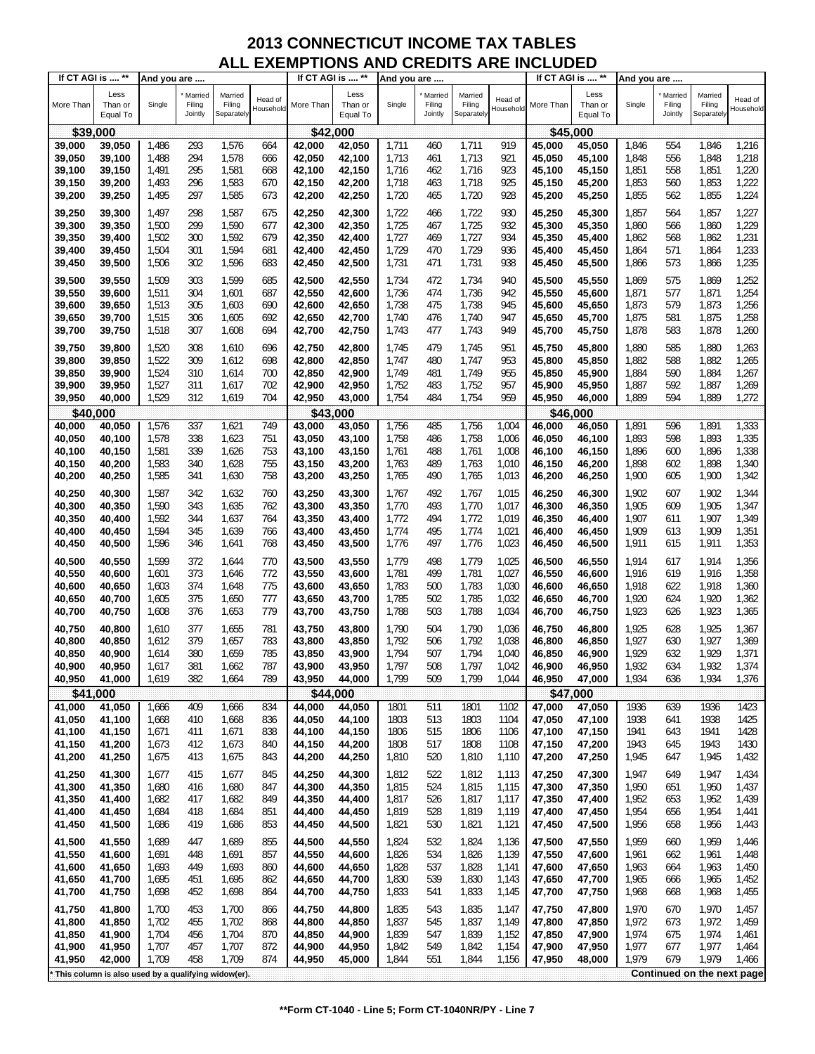| If CT AGI is  **   |                                                     | And you are    |                              |                                 |                      | If CT AGI is  **   |                             | And you are    |                              |                                 |                      |                  | If CT AGI is  **            | And you are    |                              |                                 |                      |
|--------------------|-----------------------------------------------------|----------------|------------------------------|---------------------------------|----------------------|--------------------|-----------------------------|----------------|------------------------------|---------------------------------|----------------------|------------------|-----------------------------|----------------|------------------------------|---------------------------------|----------------------|
| More Than          | Less<br>Than or<br>Equal To                         | Single         | Married<br>Filing<br>Jointly | Married<br>Filing<br>Separately | Head of<br>Household | More Than          | Less<br>Than or<br>Equal To | Single         | Married<br>Filing<br>Jointly | Married<br>Filing<br>Separately | Head of<br>Household | More Than        | Less<br>Than or<br>Equal To | Single         | Married<br>Filing<br>Jointly | Married<br>Filing<br>Separately | Head of<br>Household |
| \$39,000           |                                                     |                |                              |                                 |                      | \$42,000           |                             |                |                              |                                 |                      |                  | \$45,000                    |                |                              |                                 |                      |
| 39,000             | 39,050                                              | 1,486          | 293                          | 1,576                           | 664                  | 42,000             | 42,050                      | 1,711          | 460                          | 1,711                           | 919                  | 45,000           | 45,050                      | 1,846          | 554                          | 1,846                           | 1,216                |
| 39,050             | 39,100                                              | 1,488          | 294                          | 1,578                           | 666                  | 42,050             | 42,100                      | 1,713          | 461                          | 1,713                           | 921                  | 45,050           | 45,100                      | 1,848          | 556                          | 1,848                           | 1,218                |
| 39,100             | 39,150                                              | 1,491          | 295                          | 1,581                           | 668                  | 42,100             | 42,150                      | 1,716          | 462                          | 1,716                           | 923                  | 45,100           | 45,150                      | 1,851          | 558                          | 1,851                           | 1,220                |
| 39,150             | 39,200                                              | 1,493          | 296                          | 1,583                           | 670                  | 42,150             | 42,200                      | 1,718          | 463                          | 1,718                           | 925                  | 45,150           | 45,200                      | 1,853          | 560                          | 1,853                           | 1,222                |
| 39,200             | 39,250                                              | 1,495          | 297                          | 1,585                           | 673                  | 42,200             | 42,250                      | 1,720          | 465                          | 1,720                           | 928                  | 45,200           | 45,250                      | 1,855          | 562                          | 1,855                           | 1,224                |
|                    |                                                     |                |                              |                                 |                      |                    |                             |                |                              |                                 |                      |                  |                             |                |                              |                                 |                      |
| 39,250             | 39,300                                              | 1,497          | 298                          | 1,587                           | 675                  | 42,250             | 42,300                      | 1,722          | 466                          | 1,722                           | 930                  | 45,250           | 45,300                      | 1,857          | 564                          | 1,857                           | 1,227                |
| 39,300             | 39,350                                              | 1,500          | 299                          | 1,590                           | 677                  | 42,300             | 42,350                      | 1,725          | 467                          | 1,725                           | 932                  | 45,300           | 45,350                      | 1,860          | 566                          | 1,860                           | 1,229                |
| 39,350             | 39,400                                              | 1,502          | 300                          | 1,592                           | 679                  | 42,350             | 42,400                      | 1,727          | 469                          | 1,727                           | 934                  | 45,350           | 45,400                      | 1,862          | 568                          | 1,862                           | 1,231                |
| 39,400             | 39,450                                              | 1,504          | 301                          | 1,594                           | 681                  | 42,400             | 42,450                      | 1,729          | 470                          | 1,729                           | 936                  | 45,400           | 45,450                      | 1,864          | 571                          | 1,864                           | 1,233                |
| 39,450             | 39,500                                              | 1,506          | 302                          | 1,596                           | 683                  | 42,450             | 42,500                      | 1,731          | 471                          | 1,731                           | 938                  | 45,450           | 45,500                      | 1,866          | 573                          | 1,866                           | 1,235                |
| 39,500             | 39,550                                              | 1,509          | 303                          | 1,599                           | 685                  | 42,500             | 42,550                      | 1,734          | 472                          | 1,734                           | 940                  | 45,500           | 45,550                      | 1,869          | 575                          | 1,869                           | 1,252                |
| 39,550             | 39,600                                              | 1,511          | 304                          | 1,601                           | 687                  | 42,550             | 42,600                      | 1,736          | 474                          | 1,736                           | 942                  | 45,550           | 45,600                      | 1,871          | 577                          | 1,871                           | 1,254                |
| 39,600             | 39,650                                              | 1,513          | 305                          | 1,603                           | 690                  | 42,600             | 42,650                      | 1,738          | 475                          | 1,738                           | 945                  | 45,600           | 45,650                      | 1,873          | 579                          | 1,873                           | 1,256                |
| 39,650             | 39,700                                              | 1,515          | 306                          | 1,605                           | 692                  | 42,650             | 42,700                      | 1,740          | 476                          | 1,740                           | 947                  | 45,650           | 45,700                      | 1,875          | 581                          | 1,875                           | 1,258                |
| 39,700             | 39,750                                              | 1,518          | 307                          | 1,608                           | 694                  | 42,700             | 42,750                      | 1,743          | 477                          | 1,743                           | 949                  | 45,700           | 45,750                      | 1,878          | 583                          | 1,878                           | 1,260                |
|                    |                                                     |                |                              |                                 |                      |                    |                             |                |                              |                                 |                      |                  |                             |                |                              |                                 |                      |
| 39,750             | 39,800                                              | 1,520          | 308                          | 1,610                           | 696                  | 42,750             | 42,800                      | 1,745          | 479                          | 1,745                           | 951                  | 45,750           | 45,800                      | 1,880          | 585                          | 1,880                           | 1,263                |
| 39,800             | 39,850                                              | 1,522          | 309                          | 1,612                           | 698                  | 42,800             | 42,850                      | 1,747          | 480                          | 1,747                           | 953                  | 45,800           | 45,850                      | 1,882          | 588                          | 1,882                           | 1,265                |
| 39,850             | 39,900                                              | 1,524          | 310                          | 1,614                           | 700                  | 42,850             | 42,900                      | 1,749          | 481                          | 1,749                           | 955                  | 45,850           | 45,900                      | 1,884          | 590                          | 1,884                           | 1,267                |
| 39,900             | 39,950                                              | 1,527          | 311                          | 1,617                           | 702                  | 42,900             | 42,950                      | 1,752          | 483                          | 1,752                           | 957                  | 45,900           | 45,950                      | 1,887          | 592                          | 1,887                           | 1,269                |
| 39,950             | 40,000                                              | 1,529          | 312                          | 1,619                           | 704                  | 42,950             | 43,000                      | 1,754          | 484                          | 1,754                           | 959                  | 45,950           | 46,000                      | 1,889          | 594                          | 1,889                           | 1,272                |
| \$40,000           |                                                     |                |                              |                                 |                      | \$43,000           |                             |                |                              |                                 |                      |                  | \$46,000                    |                |                              |                                 |                      |
| 40,000             | 40,050                                              | 1,576<br>1,578 | 337<br>338                   | 1,621<br>1,623                  | 749<br>751           | 43,000             | 43,050                      | 1,756<br>1,758 | 485                          | 1,756<br>1,758                  | 1,004<br>1,006       | 46,000           | 46,050                      | 1,891<br>1,893 | 596<br>598                   | 1,891<br>1,893                  | 1,333<br>1,335       |
| 40,050             | 40,100                                              |                | 339                          |                                 | 753                  | 43,050             | 43,100                      |                | 486                          |                                 |                      | 46,050           | 46,100                      |                |                              |                                 |                      |
| 40,100<br>40,150   | 40,150<br>40,200                                    | 1,581<br>1,583 | 340                          | 1,626<br>1,628                  | 755                  | 43,100<br>43,150   | 43,150<br>43,200            | 1,761<br>1,763 | 488<br>489                   | 1,761<br>1,763                  | 1,008<br>1,010       | 46,100<br>46,150 | 46,150                      | 1,896<br>1,898 | 600<br>602                   | 1,896<br>1,898                  | 1,338<br>1,340       |
|                    |                                                     | 1,585          |                              |                                 |                      |                    |                             |                |                              | 1,765                           |                      |                  | 46,200                      |                |                              | 1,900                           |                      |
| 40,200             | 40,250                                              |                | 341                          | 1,630                           | 758                  | 43,200             | 43,250                      | 1,765          | 490                          |                                 | 1,013                | 46,200           | 46,250                      | 1,900          | 605                          |                                 | 1,342                |
| 40,250             | 40,300                                              | 1,587          | 342                          | 1,632                           | 760                  | 43,250             | 43,300                      | 1,767          | 492                          | 1,767                           | 1,015                | 46,250           | 46,300                      | 1,902          | 607                          | 1,902                           | 1,344                |
| 40,300             | 40,350                                              | 1,590          | 343                          | 1,635                           | 762                  | 43,300             | 43,350                      | 1,770          | 493                          | 1,770                           | 1,017                | 46,300           | 46,350                      | 1,905          | 609                          | 1,905                           | 1,347                |
| 40,350             | 40,400                                              | 1,592          | 344                          | 1,637                           | 764                  | 43,350             | 43,400                      | 1,772          | 494                          | 1,772                           | 1,019                | 46,350           | 46,400                      | 1,907          | 611                          | 1,907                           | 1,349                |
| 40,400             | 40,450                                              | 1,594          | 345                          | 1,639                           | 766                  | 43,400             | 43,450                      | 1,774          | 495                          | 1,774                           | 1,021                | 46,400           | 46,450                      | 1,909          | 613                          | 1,909                           | 1,351                |
| 40,450             | 40,500                                              | 1,596          | 346                          | 1,641                           | 768                  | 43,450             | 43,500                      | 1,776          | 497                          | 1,776                           | 1,023                | 46,450           | 46,500                      | 1,911          | 615                          | 1,911                           | 1,353                |
| 40,500             | 40,550                                              | 1,599          | 372                          | 1,644                           | 770                  | 43,500             | 43,550                      | 1,779          | 498                          | 1,779                           | 1,025                | 46,500           | 46,550                      | 1,914          | 617                          | 1,914                           | 1,356                |
| 40,550             | 40,600                                              | 1,601          | 373                          | 1,646                           | 772                  | 43,550             | 43,600                      | 1,781          | 499                          | 1,781                           | 1,027                | 46,550           | 46,600                      | 1,916          | 619                          | 1,916                           | 1,358                |
| 40,600             | 40,650                                              | 1,603          | 374                          | 1,648                           | 775                  | 43,600             | 43,650                      | 1,783          | 500                          | 1,783                           | 1,030                | 46,600           | 46,650                      | 1,918          | 622                          | 1,918                           | 1,360                |
| 40,650             | 40,700                                              | 1,605          | 375                          | 1,650                           | 777                  | 43,650             | 43,700                      | 1,785          | 502                          | 1,785                           | 1,032                | 46,650           | 46,700                      | 1,920          | 624                          | 1,920                           | 1,362                |
| 40,700             | 40,750                                              | 1,608          | 376                          | 1,653                           | 779                  | 43,700             | 43,750                      | 1,788          | 503                          | 1,788                           | 1,034                | 46,700           | 46,750                      | 1,923          | 626                          | 1,923                           | 1,365                |
| 40,750             |                                                     |                |                              |                                 |                      |                    |                             | 1,790          | 504                          | 1,790                           |                      | 46.750           |                             |                |                              | 1,925                           |                      |
| 40,800             | 40,800<br>40,850                                    | 1,610<br>1,612 | 377<br>379                   | 1,655<br>1,657                  | 781<br>783           | 43,750<br>43,800   | 43,800<br>43,850            | 1,792          | 506                          | 1,792                           | 1,036<br>1,038       | 46,800           | 46,800<br>46,850            | 1,925<br>1,927 | 628<br>630                   | 1,927                           | 1,367<br>1,369       |
|                    |                                                     |                | 380                          | 1,659                           | 785                  |                    |                             | 1,794          | 507                          | 1,794                           | 1,040                |                  |                             | 1,929          | 632                          | 1,929                           | 1,371                |
| 40,850<br>40,900   | 40,900<br>40,950                                    | 1,614<br>1,617 | 381                          | 1,662                           | 787                  | 43,850<br>43,900   | 43,900<br>43,950            | 1,797          | 508                          | 1,797                           | 1,042                | 46,850<br>46,900 | 46,900<br>46,950            | 1,932          | 634                          | 1,932                           | 1,374                |
| 40,950             | 41,000                                              | 1,619          | 382                          | 1,664                           | 789                  | 43,950             | 44,000                      | 1,799          | 509                          | 1,799                           | 1,044                | 46,950           | 47,000                      | 1,934          | 636                          | 1,934                           | 1,376                |
|                    |                                                     |                |                              |                                 |                      |                    |                             |                |                              |                                 |                      |                  |                             |                |                              |                                 |                      |
| \$41,000<br>41,000 | 41,050                                              | 1,666          | 409                          | 1,666                           | 834                  | \$44,000<br>44,000 | 44,050                      | 1801           | 511                          | 1801                            | 1102                 | 47,000           | \$47,000<br>47,050          | 1936           | 639                          | 1936                            | 1423                 |
| 41,050             | 41,100                                              | 1,668          | 410                          | 1,668                           | 836                  | 44,050             | 44,100                      | 1803           | 513                          | 1803                            | 1104                 | 47,050           | 47,100                      | 1938           | 641                          | 1938                            | 1425                 |
| 41,100             | 41,150                                              | 1,671          | 411                          | 1,671                           | 838                  | 44,100             | 44,150                      | 1806           | 515                          | 1806                            | 1106                 | 47,100           | 47,150                      | 1941           | 643                          | 1941                            | 1428                 |
| 41,150             | 41,200                                              | 1,673          | 412                          | 1,673                           | 840                  | 44,150             | 44,200                      | 1808           | 517                          | 1808                            | 1108                 | 47,150           | 47,200                      | 1943           | 645                          | 1943                            | 1430                 |
| 41,200             | 41,250                                              | 1,675          | 413                          | 1,675                           | 843                  | 44,200             | 44,250                      | 1,810          | 520                          | 1,810                           | 1,110                | 47,200           | 47,250                      | 1,945          | 647                          | 1,945                           | 1,432                |
|                    |                                                     |                |                              |                                 |                      |                    |                             |                |                              |                                 |                      |                  |                             |                |                              |                                 |                      |
| 41,250             | 41,300                                              | 1,677          | 415                          | 1,677                           | 845                  | 44,250             | 44,300                      | 1,812          | 522                          | 1,812                           | 1,113                | 47,250           | 47,300                      | 1,947          | 649                          | 1,947                           | 1,434                |
| 41,300             | 41,350                                              | 1,680          | 416                          | 1,680                           | 847                  | 44,300             | 44,350                      | 1,815          | 524                          | 1,815                           | 1,115                | 47,300           | 47,350                      | 1,950          | 651                          | 1,950                           | 1,437                |
| 41,350             | 41,400                                              | 1,682          | 417                          | 1,682                           | 849                  | 44,350             | 44,400                      | 1,817          | 526                          | 1,817                           | 1,117                | 47,350           | 47,400                      | 1,952          | 653                          | 1,952                           | 1,439                |
| 41,400             | 41,450                                              | 1,684          | 418                          | 1,684                           | 851                  | 44,400             | 44,450                      | 1,819          | 528                          | 1,819                           | 1,119                | 47,400           | 47,450                      | 1,954          | 656                          | 1,954                           | 1,441                |
| 41,450             | 41,500                                              | 1,686          | 419                          | 1,686                           | 853                  | 44,450             | 44,500                      | 1,821          | 530                          | 1,821                           | 1,121                | 47,450           | 47,500                      | 1,956          | 658                          | 1,956                           | 1,443                |
| 41,500             | 41,550                                              | 1,689          | 447                          | 1,689                           | 855                  | 44,500             | 44,550                      | 1,824          | 532                          | 1,824                           | 1,136                | 47,500           | 47,550                      | 1,959          | 660                          | 1,959                           | 1,446                |
| 41,550             | 41,600                                              | 1,691          | 448                          | 1,691                           | 857                  | 44,550             | 44,600                      | 1,826          | 534                          | 1,826                           | 1,139                | 47,550           | 47,600                      | 1,961          | 662                          | 1,961                           | 1,448                |
| 41,600             | 41,650                                              | 1,693          | 449                          | 1,693                           | 860                  | 44,600             | 44,650                      | 1,828          | 537                          | 1,828                           | 1,141                | 47,600           | 47,650                      | 1,963          | 664                          | 1,963                           | 1,450                |
| 41,650             | 41,700                                              | 1,695          | 451                          | 1,695                           | 862                  | 44,650             | 44,700                      | 1,830          | 539                          | 1,830                           | 1,143                | 47,650           | 47,700                      | 1,965          | 666                          | 1,965                           | 1,452                |
| 41,700             | 41,750                                              | 1,698          | 452                          | 1,698                           | 864                  | 44,700             | 44,750                      | 1,833          | 541                          | 1,833                           | 1,145                | 47,700           | 47,750                      | 1,968          | 668                          | 1,968                           | 1,455                |
| 41,750             | 41,800                                              | 1,700          | 453                          | 1,700                           | 866                  | 44,750             | 44,800                      | 1,835          | 543                          | 1,835                           | 1,147                | 47,750           | 47,800                      | 1,970          | 670                          | 1,970                           | 1,457                |
| 41,800             | 41,850                                              | 1,702          | 455                          | 1,702                           | 868                  | 44,800             | 44,850                      | 1,837          | 545                          | 1,837                           | 1,149                | 47,800           | 47,850                      | 1,972          | 673                          | 1,972                           | 1,459                |
| 41,850             | 41,900                                              | 1,704          | 456                          | 1,704                           | 870                  | 44,850             | 44,900                      | 1,839          | 547                          | 1,839                           | 1,152                | 47,850           | 47,900                      | 1,974          | 675                          | 1,974                           | 1,461                |
| 41,900             | 41,950                                              | 1,707          | 457                          | 1,707                           | 872                  | 44,900             | 44,950                      | 1,842          | 549                          | 1,842                           | 1,154                | 47,900           | 47,950                      | 1,977          | 677                          | 1,977                           | 1,464                |
| 41,950             | 42,000                                              | 1,709          | 458                          | 1,709                           | 874                  | 44,950             | 45,000                      | 1,844          | 551                          | 1,844                           | 1,156                | 47,950           | 48,000                      | 1,979          | 679                          | 1,979                           | 1,466                |
|                    |                                                     |                |                              |                                 |                      |                    |                             |                |                              |                                 |                      |                  |                             |                |                              |                                 |                      |
|                    | This column is also used by a qualifying widow(er). |                |                              |                                 |                      |                    |                             |                |                              |                                 |                      |                  |                             |                |                              | Continued on the next page      |                      |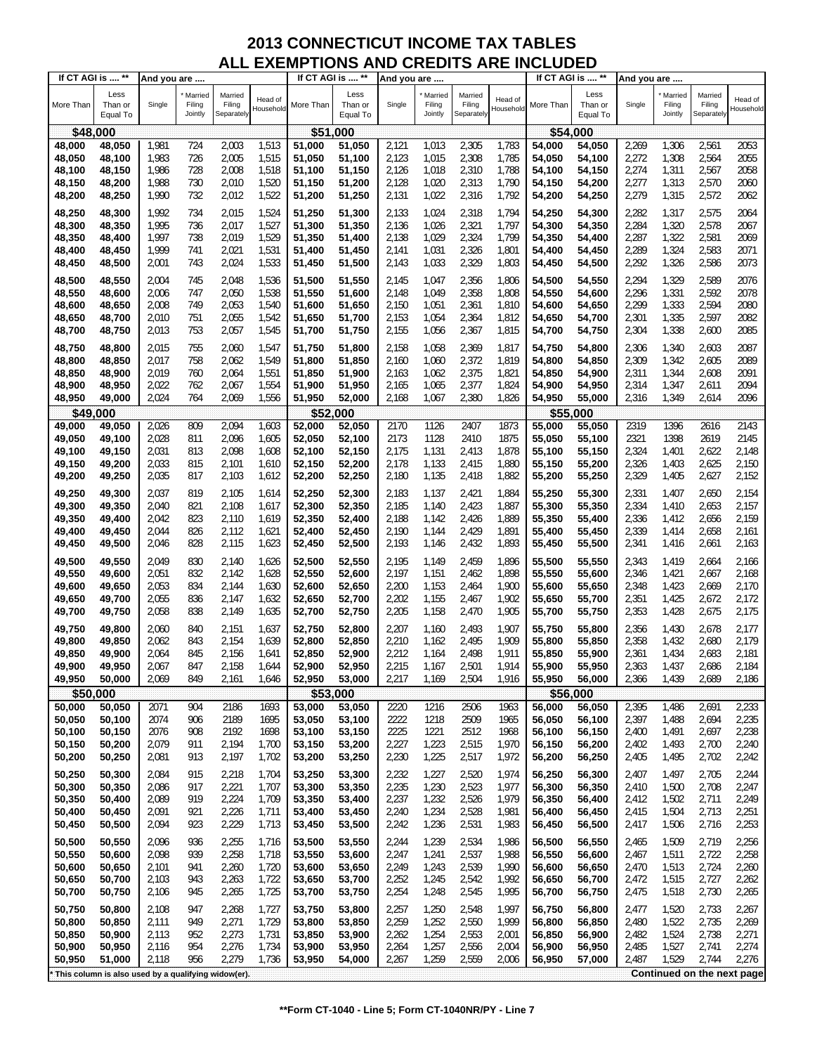| If CT AGI is  **   |                                                     | And you are    |                              |                                 |                      | If CT AGI is  ** |                             | And you are |                              |                                 |                      | If CT AGI is  ** |                             | And you are    |                              |                                 |                      |
|--------------------|-----------------------------------------------------|----------------|------------------------------|---------------------------------|----------------------|------------------|-----------------------------|-------------|------------------------------|---------------------------------|----------------------|------------------|-----------------------------|----------------|------------------------------|---------------------------------|----------------------|
| More Than          | Less<br>Than or<br>Equal To                         | Single         | Married<br>Filing<br>Jointly | Married<br>Filing<br>Separately | Head of<br>Household | More Than        | Less<br>Than or<br>Equal To | Single      | Married<br>Filing<br>Jointly | Married<br>Filing<br>Separately | Head of<br>Household | More Than        | Less<br>Than or<br>Equal To | Single         | Married<br>Filing<br>Jointly | Married<br>Filing<br>Separately | Head of<br>Household |
| \$48,000           |                                                     |                |                              |                                 |                      | \$51,000         |                             |             |                              |                                 |                      | \$54,000         |                             |                |                              |                                 |                      |
| 48,000             | 48,050                                              | 1,981          | 724                          | 2,003                           | 1,513                | 51,000           | 51,050                      | 2,121       | 1,013                        | 2,305                           | 1,783                | 54,000           | 54,050                      | 2,269          | 1,306                        | 2,561                           | 2053                 |
| 48,050             | 48,100                                              | 1,983          | 726                          | 2,005                           | 1,515                | 51,050           | 51,100                      | 2,123       | 1,015                        | 2,308                           | 1,785                | 54,050           | 54,100                      | 2,272          | 1,308                        | 2,564                           | 2055                 |
| 48,100             | 48,150                                              | 1,986          | 728                          | 2,008                           | 1,518                | 51,100           | 51,150                      | 2,126       | 1,018                        | 2,310                           | 1,788                | 54,100           | 54,150                      | 2,274          | 1,311                        | 2,567                           | 2058                 |
| 48,150             | 48,200                                              | 1,988          | 730                          | 2,010                           | 1,520                | 51,150           | 51,200                      | 2,128       | 1,020                        | 2,313                           | 1,790                | 54,150           | 54,200                      | 2,277          | 1,313                        | 2,570                           | 2060                 |
|                    |                                                     |                | 732                          |                                 |                      |                  |                             |             |                              |                                 | 1,792                |                  |                             |                |                              |                                 | 2062                 |
| 48,200             | 48,250                                              | 1,990          |                              | 2,012                           | 1,522                | 51,200           | 51,250                      | 2,131       | 1,022                        | 2,316                           |                      | 54,200           | 54,250                      | 2,279          | 1,315                        | 2,572                           |                      |
| 48,250             | 48,300                                              | 1,992          | 734                          | 2,015                           | 1,524                | 51,250           | 51,300                      | 2,133       | 1,024                        | 2,318                           | 1,794                | 54,250           | 54,300                      | 2,282          | 1,317                        | 2,575                           | 2064                 |
| 48,300             | 48,350                                              | 1,995          | 736                          | 2,017                           | 1,527                | 51,300           | 51,350                      | 2,136       | 1,026                        | 2,321                           | 1,797                | 54,300           | 54,350                      | 2,284          | 1,320                        | 2,578                           | 2067                 |
| 48,350             | 48,400                                              | 1,997          | 738                          | 2,019                           | 1,529                | 51,350           | 51,400                      | 2,138       | 1,029                        | 2,324                           | 1,799                | 54,350           | 54,400                      | 2,287          | 1,322                        | 2,581                           | 2069                 |
| 48,400             | 48,450                                              | 1,999          | 741                          | 2,021                           | 1,531                | 51,400           | 51,450                      | 2,141       | 1,031                        | 2,326                           | 1,801                | 54,400           | 54,450                      | 2,289          | 1,324                        | 2,583                           | 2071                 |
| 48,450             | 48,500                                              | 2,001          | 743                          | 2,024                           | 1,533                | 51,450           | 51,500                      | 2,143       | 1,033                        | 2,329                           | 1,803                | 54,450           | 54,500                      | 2,292          | 1,326                        | 2,586                           | 2073                 |
|                    |                                                     |                |                              |                                 |                      |                  |                             |             |                              |                                 |                      |                  |                             |                |                              |                                 |                      |
| 48,500             | 48,550                                              | 2,004          | 745                          | 2,048                           | 1,536                | 51,500           | 51,550                      | 2,145       | 1,047                        | 2,356                           | 1,806                | 54,500           | 54,550                      | 2,294          | 1,329                        | 2,589                           | 2076                 |
| 48,550             | 48,600                                              | 2,006          | 747                          | 2,050                           | 1,538                | 51,550           | 51,600                      | 2,148       | 1,049                        | 2,358                           | 1,808                | 54,550           | 54,600                      | 2,296          | 1,331                        | 2,592                           | 2078                 |
| 48,600             | 48,650                                              | 2,008          | 749                          | 2,053                           | 1,540                | 51,600           | 51,650                      | 2,150       | 1,051                        | 2,361                           | 1,810                | 54,600           | 54,650                      | 2,299          | 1,333                        | 2,594                           | 2080                 |
| 48,650             | 48,700                                              | 2,010          | 751                          | 2,055                           | 1,542                | 51,650           | 51,700                      | 2,153       | 1,054                        | 2,364                           | 1,812                | 54,650           | 54,700                      | 2,301          | 1,335                        | 2,597                           | 2082                 |
| 48,700             | 48,750                                              | 2,013          | 753                          | 2,057                           | 1,545                | 51,700           | 51,750                      | 2,155       | 1,056                        | 2,367                           | 1,815                | 54,700           | 54,750                      | 2,304          | 1,338                        | 2,600                           | 2085                 |
| 48,750             | 48,800                                              | 2,015          | 755                          | 2,060                           | 1,547                | 51,750           | 51,800                      | 2,158       | 1,058                        | 2,369                           | 1,817                | 54.750           | 54,800                      | 2,306          | 1,340                        | 2,603                           | 2087                 |
| 48,800             | 48,850                                              | 2,017          | 758                          | 2,062                           | 1,549                | 51,800           | 51,850                      | 2,160       | 1,060                        | 2,372                           | 1,819                | 54,800           | 54,850                      | 2,309          | 1,342                        | 2,605                           | 2089                 |
| 48,850             | 48,900                                              | 2,019          | 760                          | 2,064                           | 1,551                | 51,850           | 51,900                      | 2,163       | 1,062                        | 2,375                           | 1,821                | 54,850           | 54,900                      | 2,311          | 1,344                        | 2,608                           | 2091                 |
| 48,900             | 48,950                                              | 2,022          | 762                          | 2,067                           | 1,554                | 51,900           | 51,950                      | 2,165       | 1,065                        | 2,377                           | 1,824                | 54,900           | 54,950                      | 2,314          | 1,347                        | 2,611                           | 2094                 |
| 48,950             | 49,000                                              | 2,024          | 764                          | 2,069                           | 1,556                | 51,950           | 52,000                      | 2,168       | 1,067                        | 2,380                           | 1,826                | 54,950           | 55,000                      | 2,316          | 1,349                        | 2,614                           | 2096                 |
|                    |                                                     |                |                              |                                 |                      |                  |                             |             |                              |                                 |                      |                  |                             |                |                              |                                 |                      |
| \$49,000<br>49,000 | 49,050                                              | 2,026          | 809                          | 2,094                           | 1,603                | \$52<br>52,000   | ,000<br>52,050              | 2170        | 1126                         | 2407                            | 1873                 | \$55<br>55,000   | 000<br>55,050               | 2319           | 1396                         | 2616                            | 2143                 |
|                    |                                                     |                |                              | 2,096                           |                      |                  |                             | 2173        |                              |                                 | 1875                 |                  |                             |                |                              |                                 | 2145                 |
| 49,050             | 49,100                                              | 2,028          | 811<br>813                   |                                 | 1,605                | 52,050           | 52,100                      |             | 1128<br>1,131                | 2410                            |                      | 55,050<br>55,100 | 55,100                      | 2321           | 1398<br>1,401                | 2619<br>2,622                   | 2,148                |
| 49,100             | 49,150                                              | 2,031<br>2,033 | 815                          | 2,098                           | 1,608                | 52,100           | 52,150                      | 2,175       | 1,133                        | 2,413<br>2,415                  | 1,878<br>1,880       |                  | 55,150                      | 2,324          | 1,403                        | 2,625                           |                      |
| 49,150             | 49,200                                              |                |                              | 2,101                           | 1,610                | 52,150           | 52,200                      | 2,178       |                              |                                 |                      | 55,150           | 55,200                      | 2,326          |                              |                                 | 2,150                |
| 49,200             | 49,250                                              | 2,035          | 817                          | 2,103                           | 1,612                | 52,200           | 52,250                      | 2,180       | 1,135                        | 2,418                           | 1,882                | 55,200           | 55,250                      | 2,329          | 1,405                        | 2,627                           | 2,152                |
| 49,250             | 49,300                                              | 2,037          | 819                          | 2,105                           | 1,614                | 52,250           | 52,300                      | 2,183       | 1,137                        | 2,421                           | 1,884                | 55,250           | 55,300                      | 2,331          | 1,407                        | 2,650                           | 2,154                |
| 49,300             | 49,350                                              | 2,040          | 821                          | 2,108                           | 1,617                | 52,300           | 52,350                      | 2,185       | 1,140                        | 2,423                           | 1,887                | 55,300           | 55,350                      | 2,334          | 1,410                        | 2,653                           | 2,157                |
| 49,350             | 49,400                                              | 2,042          | 823                          | 2,110                           | 1,619                | 52,350           | 52,400                      | 2,188       | 1,142                        | 2,426                           | 1,889                | 55,350           | 55,400                      | 2,336          | 1,412                        | 2,656                           | 2,159                |
| 49,400             | 49,450                                              | 2,044          | 826                          | 2,112                           | 1,621                | 52,400           | 52,450                      | 2,190       | 1,144                        | 2,429                           | 1,891                | 55,400           | 55,450                      | 2,339          | 1,414                        | 2,658                           | 2,161                |
| 49,450             | 49,500                                              | 2,046          | 828                          | 2,115                           | 1,623                | 52,450           | 52,500                      | 2,193       | 1,146                        | 2,432                           | 1,893                | 55,450           | 55,500                      | 2,341          | 1,416                        | 2,661                           | 2,163                |
| 49,500             | 49,550                                              | 2,049          | 830                          |                                 | 1,626                | 52,500           | 52,550                      | 2,195       |                              | 2,459                           | 1,896                | 55,500           |                             |                |                              | 2,664                           |                      |
|                    |                                                     |                | 832                          | 2,140                           | 1,628                |                  |                             |             | 1,149                        | 2,462                           | 1,898                |                  | 55,550                      | 2,343<br>2,346 | 1,419<br>1,421               |                                 | 2,166                |
| 49,550             | 49,600                                              | 2,051          |                              | 2,142                           |                      | 52,550           | 52,600                      | 2,197       | 1,151                        |                                 |                      | 55,550           | 55,600                      |                |                              | 2,667                           | 2,168                |
| 49,600             | 49,650                                              | 2,053          | 834                          | 2,144                           | 1,630                | 52,600           | 52,650                      | 2,200       | 1,153                        | 2,464                           | 1,900                | 55.600           | 55,650                      | 2,348          | 1,423                        | 2,669                           | 2,170                |
| 49,650             | 49,700                                              | 2,055          | 836                          | 2,147                           | 1,632                | 52,650           | 52,700                      | 2,202       | 1,155                        | 2,467                           | 1,902                | 55,650           | 55,700                      | 2,351          | 1,425                        | 2,672                           | 2,172                |
| 49,700             | 49,750                                              | 2,058          | 838                          | 2,149                           | 1,635                | 52,700           | 52,750                      | 2,205       | 1,158                        | 2,470                           | 1,905                | 55,700           | 55,750                      | 2,353          | 1,428                        | 2,675                           | 2,175                |
| 49,750             | 49,800                                              | 2,060          | 840                          | 2,151                           | 1,637                | 52,750           | 52,800                      | 2,207       | 1,160                        | 2,493                           | 1,907                | 55,750           | 55,800                      | 2,356          | 1,430                        | 2,678                           | 2,177                |
| 49,800             | 49,850                                              | 2,062          | 843                          | 2,154                           | 1,639                | 52,800           | 52,850                      | 2,210       | 1,162                        | 2,495                           | 1,909                | 55,800           | 55,850                      | 2,358          | 1,432                        | 2,680                           | 2,179                |
| 49,850             | 49,900                                              | 2,064          | 845                          | 2,156                           | 1,641                | 52,850           | 52,900                      | 2,212       | 1,164                        | 2,498                           | 1,911                | 55,850           | 55,900                      | 2,361          | 1,434                        | 2,683                           | 2,181                |
| 49,900             | 49,950                                              | 2,067          | 847                          | 2,158                           | 1,644                | 52,900           | 52,950                      | 2,215       | 1,167                        | 2,501                           | 1,914                | 55,900           | 55,950                      | 2,363          | 1,437                        | 2,686                           | 2,184                |
| 49,950             | 50,000                                              | 2,069          | 849                          | 2,161                           | 1,646                | 52,950           | 53,000                      | 2,217       | 1,169                        | 2,504                           | 1,916                | 55,950           | 56,000                      | 2,366          | 1,439                        | 2,689                           | 2,186                |
| \$50,000           |                                                     |                |                              |                                 |                      | \$53,000         |                             |             |                              |                                 |                      |                  | \$56,000                    |                |                              |                                 |                      |
| 50,000             | 50,050                                              | 2071           | 904                          | 2186                            | 1693                 | 53,000           | 53,050                      | 2220        | 1216                         | 2506                            | 1963                 | 56,000           | 56,050                      | 2,395          | 1,486                        | 2,691                           | 2,233                |
| 50,050             | 50,100                                              | 2074           | 906                          | 2189                            | 1695                 | 53,050           | 53,100                      | 2222        | 1218                         | 2509                            | 1965                 | 56,050           | 56,100                      | 2,397          | 1,488                        | 2,694                           | 2,235                |
| 50,100             | 50,150                                              | 2076           | 908                          | 2192                            | 1698                 | 53,100           | 53,150                      | 2225        | 1221                         | 2512                            | 1968                 | 56,100           | 56,150                      | 2,400          | 1,491                        | 2,697                           | 2,238                |
| 50,150             | 50,200                                              | 2,079          | 911                          | 2,194                           | 1,700                | 53,150           | 53,200                      | 2,227       | 1,223                        | 2,515                           | 1,970                | 56,150           | 56,200                      | 2,402          | 1,493                        | 2,700                           | 2,240                |
| 50,200             | 50,250                                              | 2,081          | 913                          | 2,197                           | 1,702                | 53,200           | 53,250                      | 2,230       | 1,225                        | 2,517                           | 1,972                | 56,200           | 56,250                      | 2,405          | 1,495                        | 2,702                           | 2,242                |
|                    | 50,300                                              | 2,084          | 915                          |                                 |                      | 53,250           |                             |             |                              |                                 | 1,974                | 56,250           | 56,300                      |                | 1,497                        | 2,705                           | 2,244                |
| 50,250             | 50,350                                              |                | 917                          | 2,218                           | 1,704<br>1,707       |                  | 53,300                      | 2,232       | 1,227                        | 2,520                           | 1,977                | 56,300           |                             | 2,407          |                              | 2,708                           | 2,247                |
| 50,300             |                                                     | 2,086          |                              | 2,221                           | 1,709                | 53,300           | 53,350                      | 2,235       | 1,230                        | 2,523                           |                      |                  | 56,350                      | 2,410          | 1,500                        |                                 |                      |
| 50,350             | 50,400                                              | 2,089          | 919                          | 2,224                           |                      | 53,350           | 53,400                      | 2,237       | 1,232                        | 2,526                           | 1,979                | 56,350           | 56,400                      | 2,412          | 1,502                        | 2,711                           | 2,249                |
| 50,400             | 50,450                                              | 2,091          | 921                          | 2,226                           | 1,711                | 53,400           | 53,450                      | 2,240       | 1,234                        | 2,528                           | 1,981                | 56,400           | 56,450                      | 2,415          | 1,504                        | 2,713                           | 2,251                |
| 50,450             | 50,500                                              | 2,094          | 923                          | 2,229                           | 1,713                | 53,450           | 53,500                      | 2,242       | 1,236                        | 2,531                           | 1,983                | 56,450           | 56,500                      | 2,417          | 1,506                        | 2,716                           | 2,253                |
| 50,500             | 50,550                                              | 2,096          | 936                          | 2,255                           | 1,716                | 53,500           | 53,550                      | 2,244       | 1,239                        | 2,534                           | 1,986                | 56,500           | 56,550                      | 2,465          | 1,509                        | 2,719                           | 2,256                |
| 50,550             | 50,600                                              | 2,098          | 939                          | 2,258                           | 1,718                | 53,550           | 53,600                      | 2,247       | 1,241                        | 2,537                           | 1,988                | 56,550           | 56,600                      | 2,467          | 1,511                        | 2,722                           | 2,258                |
| 50,600             | 50,650                                              | 2,101          | 941                          | 2,260                           | 1,720                | 53,600           | 53,650                      | 2,249       | 1,243                        | 2,539                           | 1,990                | 56,600           | 56,650                      | 2,470          | 1,513                        | 2,724                           | 2,260                |
| 50,650             | 50,700                                              | 2,103          | 943                          | 2,263                           | 1,722                | 53,650           | 53,700                      | 2,252       | 1,245                        | 2,542                           | 1,992                | 56,650           | 56,700                      | 2,472          | 1,515                        | 2,727                           | 2,262                |
| 50,700             | 50,750                                              | 2,106          | 945                          | 2,265                           | 1,725                | 53,700           | 53,750                      | 2,254       | 1,248                        | 2,545                           | 1,995                | 56,700           | 56,750                      | 2,475          | 1,518                        | 2,730                           | 2,265                |
|                    |                                                     |                |                              |                                 |                      |                  |                             |             |                              |                                 |                      |                  |                             |                |                              |                                 |                      |
| 50,750             | 50,800                                              | 2,108          | 947                          | 2,268                           | 1,727                | 53,750           | 53,800                      | 2,257       | 1,250                        | 2,548                           | 1,997                | 56,750           | 56,800                      | 2,477          | 1,520                        | 2,733                           | 2,267                |
| 50,800             | 50,850                                              | 2,111          | 949                          | 2,271                           | 1,729                | 53,800           | 53,850                      | 2,259       | 1,252                        | 2,550                           | 1,999                | 56,800           | 56,850                      | 2,480          | 1,522                        | 2,735                           | 2,269                |
| 50,850             | 50,900                                              | 2,113          | 952                          | 2,273                           | 1,731                | 53,850           | 53,900                      | 2,262       | 1,254                        | 2,553                           | 2,001                | 56,850           | 56,900                      | 2,482          | 1,524                        | 2,738                           | 2,271                |
| 50,900             | 50,950                                              | 2,116          | 954                          | 2,276                           | 1,734                | 53,900           | 53,950                      | 2,264       | 1,257                        | 2,556                           | 2,004                | 56,900           | 56,950                      | 2,485          | 1,527                        | 2,741                           | 2,274                |
| 50,950             | 51,000                                              | 2,118          | 956                          | 2,279                           | 1,736                | 53,950           | 54,000                      | 2,267       | 1,259                        | 2,559                           | 2,006                | 56,950           | 57,000                      | 2,487          | 1,529                        | 2,744                           | 2,276                |
|                    | This column is also used by a qualifying widow(er). |                |                              |                                 |                      |                  |                             |             |                              |                                 |                      |                  |                             |                |                              | Continued on the next page      |                      |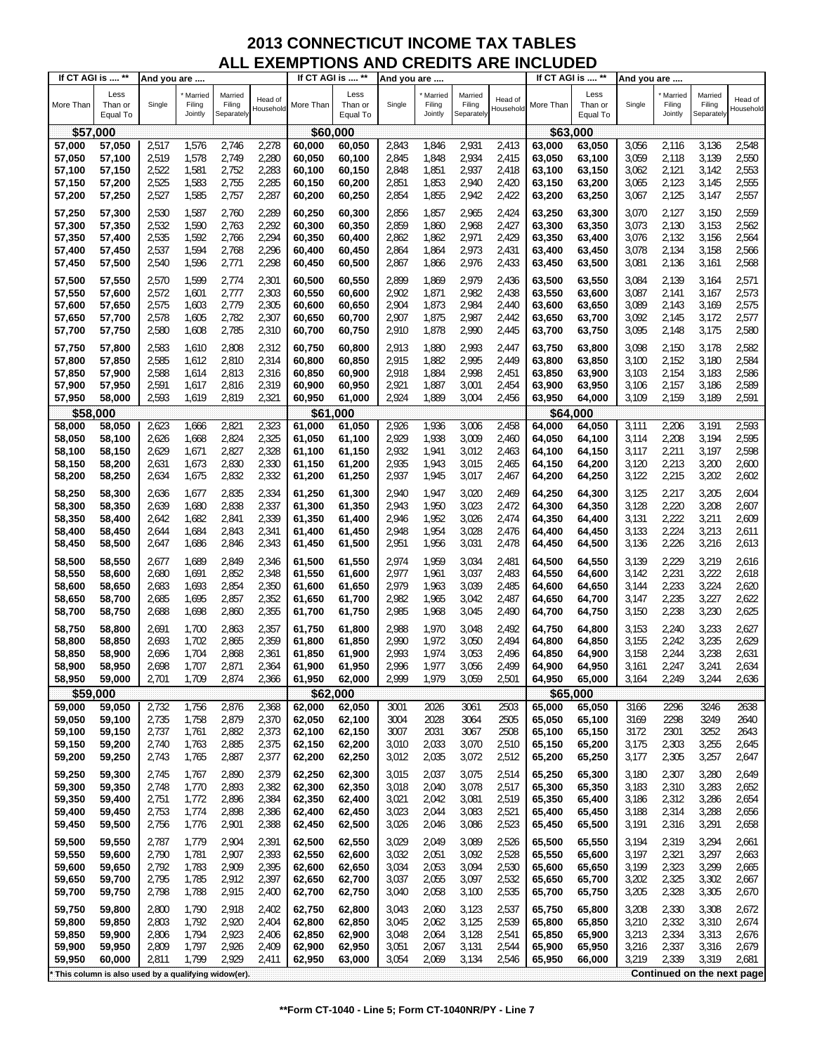| Less<br>Less<br>Less<br>Married<br>Married<br>Married<br>Married<br>Married<br>Married<br>Head of<br>Head of<br>Head of<br>More Than<br>Than or<br>Single<br>Filing<br>Filing<br>More Than<br>Than or<br>Single<br>Filing<br>Filing<br>More Than<br>Than or<br>Single<br>Filing<br>Filing<br>Household<br>Household<br>Household<br>Jointly<br>Separately<br>Jointly<br>Jointly<br>Separately<br>Separately<br>Equal To<br>Equal To<br>Equal To<br>\$57,000<br>\$60,000<br>\$63,000<br>2,517<br>1,576<br>2,746<br>2,278<br>2,843<br>1,846<br>2,931<br>2,413<br>3,056<br>2,116<br>3,136<br>2,548<br>57,000<br>60,050<br>63,000<br>57,050<br>60,000<br>63,050<br>2,519<br>1,578<br>2,749<br>2,280<br>2,845<br>2,934<br>2,415<br>3,059<br>2,118<br>3,139<br>2,550<br>57,050<br>57,100<br>60,050<br>60,100<br>1,848<br>63,050<br>63,100<br>1,581<br>2,752<br>2,283<br>2,937<br>2,553<br>57,100<br>57,150<br>2,522<br>60,100<br>60,150<br>2,848<br>1,851<br>2,418<br>63,100<br>3,062<br>2,121<br>3,142<br>63,150<br>2,525<br>1,583<br>2,755<br>2,285<br>1,853<br>2,940<br>2,420<br>3,065<br>2,123<br>3,145<br>2,555<br>57,150<br>57,200<br>60,150<br>60,200<br>2,851<br>63,150<br>63,200<br>2,527<br>1,585<br>2,757<br>2,287<br>1,855<br>2,942<br>2,422<br>2,125<br>3,147<br>2,557<br>57,200<br>57,250<br>60,200<br>2,854<br>63,200<br>63,250<br>3,067<br>60,250<br>57,250<br>2,530<br>1,587<br>2,760<br>2,289<br>60,250<br>2,856<br>1,857<br>2,965<br>2,424<br>3,070<br>2,127<br>3,150<br>2,559<br>57,300<br>60,300<br>63,250<br>63,300<br>1,590<br>2,763<br>2,292<br>2,859<br>2,968<br>2,427<br>3,073<br>2,130<br>3,153<br>2,562<br>57,300<br>57,350<br>2,532<br>60,300<br>60,350<br>1,860<br>63,300<br>63,350<br>2,294<br>2,535<br>1,592<br>2,766<br>2,971<br>2,429<br>3,076<br>2,132<br>3,156<br>2,564<br>57,350<br>57,400<br>60,350<br>60,400<br>2,862<br>1,862<br>63,350<br>63,400<br>1,594<br>2,296<br>2,973<br>2,134<br>57,400<br>2,537<br>2,768<br>60,400<br>2,864<br>1,864<br>2,431<br>63,400<br>3,078<br>3,158<br>2,566<br>57,450<br>60,450<br>63,450<br>1,596<br>2,771<br>2,298<br>2,976<br>2,433<br>3,081<br>2,136<br>2,568<br>57,450<br>57,500<br>2,540<br>2,867<br>1,866<br>3,161<br>60,450<br>60,500<br>63,450<br>63,500<br>2,570<br>1,599<br>2,301<br>2,899<br>2,979<br>2,436<br>3,084<br>2,139<br>2,571<br>57,500<br>57,550<br>2,774<br>60,500<br>60,550<br>1,869<br>63,500<br>63,550<br>3,164<br>57,550<br>2,572<br>1,601<br>2,777<br>2,303<br>60,550<br>2,902<br>1,871<br>2,982<br>2,438<br>3,087<br>2,141<br>2,573<br>57,600<br>60,600<br>63,550<br>63,600<br>3,167<br>1,603<br>2,779<br>2,305<br>2,984<br>2,440<br>3,089<br>2,143<br>2,575<br>57,600<br>57,650<br>2,575<br>60,600<br>60,650<br>2,904<br>1,873<br>63,600<br>3,169<br>63,650<br>2,782<br>2,307<br>2,987<br>2,442<br>3,092<br>2,145<br>2,577<br>2,578<br>1,605<br>2,907<br>1,875<br>3,172<br>57,650<br>57,700<br>60,650<br>60,700<br>63,650<br>63,700<br>57,700<br>2,580<br>1,608<br>2,785<br>2,310<br>2,910<br>1,878<br>2,990<br>2,445<br>63,700<br>3,095<br>2,148<br>3,175<br>2,580<br>57,750<br>60,700<br>60,750<br>63,750<br>2,583<br>2,913<br>3,098<br>2,582<br>57,750<br>57,800<br>1,610<br>2,808<br>2,312<br>60,750<br>60,800<br>1,880<br>2,993<br>2,447<br>63,750<br>63,800<br>2,150<br>3,178<br>2,810<br>2,314<br>1,882<br>2,995<br>2,449<br>3,100<br>2,152<br>3,180<br>2,584<br>57,800<br>57,850<br>2,585<br>1,612<br>60,800<br>60,850<br>2,915<br>63,800<br>63,850<br>2,588<br>1,614<br>2,813<br>2,316<br>2,918<br>1,884<br>2,998<br>2,451<br>3,103<br>2,154<br>3,183<br>2,586<br>57,850<br>57,900<br>60,850<br>60,900<br>63,850<br>63,900<br>2,816<br>2,319<br>1,887<br>3,001<br>2,454<br>2,157<br>3,186<br>2,589<br>57,900<br>2,591<br>1,617<br>60,900<br>2,921<br>3,106<br>57,950<br>60,950<br>63,900<br>63,950<br>2,321<br>2,159<br>57,950<br>2,593<br>1,619<br>2,819<br>60,950<br>2,924<br>1,889<br>3,004<br>2,456<br>63,950<br>64,000<br>3,109<br>3,189<br>2,591<br>58,000<br>61,000<br>\$58,000<br>\$61,000<br>\$64,000<br>1,666<br>2,821<br>2,323<br>1,936<br>3,006<br>2,458<br>2,206<br>3,191<br>2,593<br>58,000<br>58,050<br>2,623<br>61,000<br>61,050<br>2,926<br>64,000<br>3,111<br>64,050<br>2,325<br>2,208<br>2,626<br>2,824<br>2,929<br>1,938<br>3,009<br>2,460<br>3,114<br>3,194<br>2,595<br>58,050<br>58,100<br>1,668<br>61,050<br>61,100<br>64,050<br>64,100<br>2,629<br>1,671<br>2,827<br>2,328<br>2,932<br>1,941<br>3,012<br>2,463<br>3,117<br>2,211<br>3,197<br>2,598<br>58,100<br>58,150<br>61,100<br>61,150<br>64,100<br>64,150<br>1,673<br>2,830<br>2,330<br>2,935<br>1,943<br>3,015<br>2,465<br>3,120<br>2,213<br>3,200<br>2,600<br>58,150<br>58,200<br>2,631<br>61,150<br>61,200<br>64,150<br>64,200<br>1,675<br>2,832<br>2,215<br>3,202<br>58,200<br>58,250<br>2,634<br>2,332<br>61,200<br>61,250<br>2,937<br>1,945<br>3,017<br>2,467<br>64,200<br>3,122<br>2,602<br>64,250<br>2,334<br>2,217<br>2,835<br>2,940<br>3,020<br>2,469<br>3,125<br>3,205<br>2,604<br>58,250<br>58,300<br>2,636<br>1,677<br>61,250<br>61,300<br>1,947<br>64,250<br>64,300<br>1,680<br>2,838<br>2,337<br>1,950<br>3,023<br>2,472<br>3,128<br>2,220<br>3,208<br>58,300<br>58,350<br>2,639<br>61,300<br>61,350<br>2,943<br>64,300<br>64,350<br>2,607<br>2,222<br>58,350<br>1,682<br>2,841<br>2,339<br>1,952<br>3,026<br>2,474<br>3,131<br>3,211<br>2,609<br>2,642<br>61,350<br>61,400<br>2,946<br>64,350<br>64,400<br>58,400<br>2,224<br>1,684<br>2,843<br>1,954<br>2,476<br>3,133<br>3,213<br>2,611<br>58,400<br>2,644<br>2,341<br>61,400<br>2,948<br>3,028<br>64,400<br>58,450<br>61,450<br>64,450<br>2,226<br>3,216<br>2,613<br>58,450<br>58,500<br>1,686<br>2,846<br>2,343<br>61,450<br>2,951<br>1,956<br>3,031<br>2,478<br>64,450<br>3,136<br>2,647<br>61,500<br>64,500<br>2,346<br>2,677<br>1,689<br>2,849<br>2,974<br>1,959<br>3,034<br>2,481<br>3,139<br>2,229<br>3,219<br>2,616<br>58,500<br>58,550<br>61,500<br>61,550<br>64,500<br>64,550<br>2,231<br>2,852<br>2,348<br>3,037<br>2,483<br>3,222<br>2,618<br>58,550<br>58,600<br>2,680<br>1,691<br>61,550<br>61,600<br>2,977<br>1,961<br>64,550<br>64,600<br>3,142<br>1,693<br>2,854<br>2,350<br>3,039<br>2,485<br>2,233<br>3,224<br>58,600<br>58,650<br>2,683<br>61,600<br>61,650<br>2,979<br>1,963<br>64,600<br>3,144<br>2,620<br>64,650<br>1,695<br>2,857<br>2,352<br>2,982<br>3,042<br>2,487<br>2,235<br>3,227<br>2,622<br>58,650<br>58,700<br>2,685<br>61,650<br>61,700<br>1,965<br>64,650<br>64,700<br>3,147<br>2,238<br>3,230<br>1,698<br>2,860<br>2,355<br>2,985<br>1,968<br>2,490<br>3,150<br>2,625<br>58,700<br>58,750<br>2,688<br>61,700<br>61,750<br>3,045<br>64,700<br>64,750<br>2,691<br>1,700<br>2,863<br>2,357<br>2,988<br>1,970<br>3,048<br>2,492<br>3,153<br>2,240<br>3,233<br>2,627<br>58,750<br>58,800<br>61,750<br>61,800<br>64,750<br>64,800<br>3,235<br>1,702<br>2,865<br>2,359<br>3,050<br>2,494<br>2,242<br>2,629<br>58,800<br>2,693<br>61,800<br>2,990<br>1,972<br>64,800<br>3,155<br>58,850<br>61,850<br>64,850<br>2,244<br>3,238<br>1,704<br>2,868<br>2,361<br>2,993<br>1,974<br>3,053<br>2,496<br>3,158<br>2,631<br>58,850<br>58,900<br>2,696<br>61,850<br>61,900<br>64,850<br>64,900<br>2,499<br>58,900<br>58,950<br>2,698<br>1,707<br>2,871<br>2,364<br>61,900<br>61,950<br>2,996<br>1,977<br>3,056<br>64,900<br>64,950<br>3,161<br>2,247<br>3,241<br>2,634<br>2,999<br>59,000<br>2,701<br>1,709<br>2,874<br>2,366<br>1,979<br>3,059<br>2,501<br>65,000<br>3,164<br>2,249<br>3,244<br>58,950<br>61,950<br>62,000<br>64,950<br>2,636<br>\$62,000<br>\$65,000<br>\$59,000<br>2,732<br>1,756<br>2,876<br>2,368<br>62,000<br>2026<br>3061<br>2503<br>65,000<br>3166<br>2296<br>3246<br>2638<br>59,000<br>59,050<br>62,050<br>3001<br>65,050<br>59,050<br>1,758<br>2,879<br>2,370<br>62,050<br>2028<br>3064<br>2505<br>65,050<br>3169<br>2298<br>3249<br>59,100<br>2,735<br>62,100<br>3004<br>65,100<br>2640<br>59,150<br>2,737<br>1,761<br>2,882<br>2,373<br>3007<br>2031<br>3067<br>2508<br>65,100<br>3172<br>2301<br>3252<br>59,100<br>62,100<br>62,150<br>65,150<br>2643<br>59,150<br>2,885<br>2,375<br>3,010<br>2,033<br>3,070<br>2,303<br>3,255<br>2,645<br>59,200<br>2,740<br>1,763<br>62,150<br>62,200<br>2,510<br>65,150<br>3,175<br>65,200<br>3,072<br>59,200<br>59,250<br>1,765<br>2,887<br>2,377<br>62,200<br>3,012<br>2,035<br>2,512<br>65,200<br>3,177<br>2,305<br>3,257<br>2,647<br>2,743<br>62,250<br>65,250<br>59,250<br>59,300<br>2,890<br>2,379<br>62,250<br>62,300<br>3,015<br>2,037<br>3,075<br>2,514<br>65,250<br>65,300<br>3,180<br>2,307<br>3,280<br>2,649<br>2,745<br>1,767<br>59,300<br>59,350<br>2,748<br>1,770<br>2,893<br>2,382<br>62,300<br>2,040<br>3,078<br>2,517<br>65,300<br>3,183<br>2,310<br>3,283<br>2,652<br>62,350<br>3,018<br>65,350<br>59,350<br>1,772<br>2,042<br>2,519<br>2,312<br>59,400<br>2,751<br>2,896<br>2,384<br>62,350<br>62,400<br>3,021<br>3,081<br>65,350<br>65,400<br>3,186<br>3,286<br>2,654<br>1,774<br>2,898<br>2,386<br>2,044<br>2,521<br>2,314<br>3,288<br>59,400<br>59,450<br>2,753<br>62,400<br>62,450<br>3,023<br>3,083<br>65,400<br>65,450<br>3,188<br>2,656<br>59,450<br>59,500<br>2,756<br>1,776<br>2,901<br>2,388<br>62,450<br>3,026<br>2,046<br>3,086<br>2,523<br>3,191<br>2,316<br>3,291<br>2,658<br>62,500<br>65,450<br>65,500<br>59,500<br>59,550<br>2,787<br>1,779<br>2,904<br>2,391<br>62,500<br>62,550<br>3,029<br>2,049<br>3,089<br>2,526<br>65,500<br>3,194<br>2,319<br>3,294<br>2,661<br>65,550<br>3,092<br>2,321<br>59,550<br>2,790<br>1,781<br>2,907<br>2,393<br>62,550<br>3,032<br>2,051<br>2,528<br>65,550<br>3,197<br>3,297<br>59,600<br>62,600<br>65,600<br>2,663<br>1,783<br>2,909<br>62,600<br>2,530<br>65,600<br>2,323<br>3,299<br>59,600<br>59,650<br>2,792<br>2,395<br>62,650<br>3,034<br>2,053<br>3,094<br>65,650<br>3,199<br>2,665<br>1,785<br>2,397<br>2,055<br>3,097<br>2,325<br>59,650<br>59,700<br>2,795<br>2,912<br>62,650<br>62,700<br>3,037<br>2,532<br>65,650<br>65,700<br>3,202<br>3,302<br>2,667<br>59,700<br>59,750<br>1,788<br>2,915<br>2,058<br>3,100<br>2,328<br>3,305<br>2,798<br>2,400<br>62,700<br>62,750<br>3,040<br>2,535<br>65,700<br>65,750<br>3,205<br>2,670<br>59,750<br>2,918<br>3,043<br>2,060<br>3,123<br>2,537<br>3,208<br>2,330<br>3,308<br>2,672<br>59,800<br>2,800<br>1,790<br>2,402<br>62,750<br>62,800<br>65,750<br>65,800<br>59,800<br>2,803<br>1,792<br>2,920<br>3,045<br>2,062<br>3,125<br>2,539<br>65,800<br>3,210<br>2,332<br>3,310<br>2,674<br>59,850<br>2,404<br>62,800<br>62,850<br>65,850<br>59,850<br>1,794<br>2,923<br>2,064<br>3,128<br>2,541<br>3,213<br>2,334<br>3,313<br>59,900<br>2,806<br>2,406<br>62,850<br>62,900<br>3,048<br>65,850<br>65,900<br>2,676<br>59,900<br>59,950<br>2,809<br>1,797<br>2,926<br>2,409<br>62,900<br>62,950<br>3,051<br>2,067<br>3,131<br>2,544<br>65,900<br>65,950<br>3,216<br>2,337<br>3,316<br>2,679<br>1,799<br>2,929<br>3,219<br>2,339<br>59,950<br>60,000<br>2,811<br>2,411<br>62,950<br>63,000<br>3,054<br>2,069<br>3,134<br>2,546<br>65,950<br>66,000<br>3,319<br>2,681<br>Continued on the next page<br>This column is also used by a qualifying widow(er). | If CT AGI is  ** | And you are |  | If CT AGI is  ** | And you are |  | If CT AGI is  ** | And you are |  |  |
|--------------------------------------------------------------------------------------------------------------------------------------------------------------------------------------------------------------------------------------------------------------------------------------------------------------------------------------------------------------------------------------------------------------------------------------------------------------------------------------------------------------------------------------------------------------------------------------------------------------------------------------------------------------------------------------------------------------------------------------------------------------------------------------------------------------------------------------------------------------------------------------------------------------------------------------------------------------------------------------------------------------------------------------------------------------------------------------------------------------------------------------------------------------------------------------------------------------------------------------------------------------------------------------------------------------------------------------------------------------------------------------------------------------------------------------------------------------------------------------------------------------------------------------------------------------------------------------------------------------------------------------------------------------------------------------------------------------------------------------------------------------------------------------------------------------------------------------------------------------------------------------------------------------------------------------------------------------------------------------------------------------------------------------------------------------------------------------------------------------------------------------------------------------------------------------------------------------------------------------------------------------------------------------------------------------------------------------------------------------------------------------------------------------------------------------------------------------------------------------------------------------------------------------------------------------------------------------------------------------------------------------------------------------------------------------------------------------------------------------------------------------------------------------------------------------------------------------------------------------------------------------------------------------------------------------------------------------------------------------------------------------------------------------------------------------------------------------------------------------------------------------------------------------------------------------------------------------------------------------------------------------------------------------------------------------------------------------------------------------------------------------------------------------------------------------------------------------------------------------------------------------------------------------------------------------------------------------------------------------------------------------------------------------------------------------------------------------------------------------------------------------------------------------------------------------------------------------------------------------------------------------------------------------------------------------------------------------------------------------------------------------------------------------------------------------------------------------------------------------------------------------------------------------------------------------------------------------------------------------------------------------------------------------------------------------------------------------------------------------------------------------------------------------------------------------------------------------------------------------------------------------------------------------------------------------------------------------------------------------------------------------------------------------------------------------------------------------------------------------------------------------------------------------------------------------------------------------------------------------------------------------------------------------------------------------------------------------------------------------------------------------------------------------------------------------------------------------------------------------------------------------------------------------------------------------------------------------------------------------------------------------------------------------------------------------------------------------------------------------------------------------------------------------------------------------------------------------------------------------------------------------------------------------------------------------------------------------------------------------------------------------------------------------------------------------------------------------------------------------------------------------------------------------------------------------------------------------------------------------------------------------------------------------------------------------------------------------------------------------------------------------------------------------------------------------------------------------------------------------------------------------------------------------------------------------------------------------------------------------------------------------------------------------------------------------------------------------------------------------------------------------------------------------------------------------------------------------------------------------------------------------------------------------------------------------------------------------------------------------------------------------------------------------------------------------------------------------------------------------------------------------------------------------------------------------------------------------------------------------------------------------------------------------------------------------------------------------------------------------------------------------------------------------------------------------------------------------------------------------------------------------------------------------------------------------------------------------------------------------------------------------------------------------------------------------------------------------------------------------------------------------------------------------------------------------------------------------------------------------------------------------------------------------------------------------------------------------------------------------------------------------------------------------------------------------------------------------------------------------------------------------------------------------------------------------------------------------------------------------------------------------------------------------------------------------------------------------------------------------------------------------------------------------------------------------------------------------------------------------------------------------------------------------------------------------------------------------------------------------------------------------------------------------------------------------------------------------------------------------------------------------------------------------------------------------------------------------------------------------------------------------------------------------------------------------------------------------------------------------------------------------------------------------------------------------------------------------------------------------------------------------------------------------------------------------------------------------------------------------------------------------------------------------------------------------------------------------------------------------------------------------------------------------------------------------------------------------------------------------------------------------------------------------------------------------------------------------------------------------------------------------------------------------------------------------------------------------------------------------------------------------------------------------------------------------------------------------------------------------------------------------------------------------------------------------------------------------------------------------------------------------------------------------------------------------------------------------------------------------------------------------------------------------------------------------------------------------------------------------------------------------------------------------------------------------------------------------------------------------------------------------------------------------------------------------------------------------------------------------------------------------------------------------------------------------------------------------------------------------------------------------------------------------------------------------------------------------------------------------------------------------------------------------------------------------------------------------------------------------------------------------------------------------------------------------------------------------------------------------------------------------------------------------------------------------------------------------------------------------------------------------------------------------------------------------------------------------------------------------------------------------------------------------------------------------------------------------------------------------------------------------------------------------------------------------------------------------------------------------------------|------------------|-------------|--|------------------|-------------|--|------------------|-------------|--|--|
|                                                                                                                                                                                                                                                                                                                                                                                                                                                                                                                                                                                                                                                                                                                                                                                                                                                                                                                                                                                                                                                                                                                                                                                                                                                                                                                                                                                                                                                                                                                                                                                                                                                                                                                                                                                                                                                                                                                                                                                                                                                                                                                                                                                                                                                                                                                                                                                                                                                                                                                                                                                                                                                                                                                                                                                                                                                                                                                                                                                                                                                                                                                                                                                                                                                                                                                                                                                                                                                                                                                                                                                                                                                                                                                                                                                                                                                                                                                                                                                                                                                                                                                                                                                                                                                                                                                                                                                                                                                                                                                                                                                                                                                                                                                                                                                                                                                                                                                                                                                                                                                                                                                                                                                                                                                                                                                                                                                                                                                                                                                                                                                                                                                                                                                                                                                                                                                                                                                                                                                                                                                                                                                                                                                                                                                                                                                                                                                                                                                                                                                                                                                                                                                                                                                                                                                                                                                                                                                                                                                                                                                                                                                                                                                                                                                                                                                                                                                                                                                                                                                                                                                                                                                                                                                                                                                                                                                                                                                                                                                                                                                                                                                                                                                                                                                                                                                                                                                                                                                                                                                                                                                                                                                                                                                                                                                                                                                                                                                                                                                                                                                                                                                                                                                                                                                                                                                                                                                                                                                                                                                                                                                                                                                                                                                                                                                                                                                                                                                                                                                                                                                                                                                                                                                                                                                                                                                                                                                                                                                                                                                                                                                                                                                                                                                                                                                                                                                                                                                                                                                                                                                                                                                          |                  |             |  |                  |             |  |                  |             |  |  |
|                                                                                                                                                                                                                                                                                                                                                                                                                                                                                                                                                                                                                                                                                                                                                                                                                                                                                                                                                                                                                                                                                                                                                                                                                                                                                                                                                                                                                                                                                                                                                                                                                                                                                                                                                                                                                                                                                                                                                                                                                                                                                                                                                                                                                                                                                                                                                                                                                                                                                                                                                                                                                                                                                                                                                                                                                                                                                                                                                                                                                                                                                                                                                                                                                                                                                                                                                                                                                                                                                                                                                                                                                                                                                                                                                                                                                                                                                                                                                                                                                                                                                                                                                                                                                                                                                                                                                                                                                                                                                                                                                                                                                                                                                                                                                                                                                                                                                                                                                                                                                                                                                                                                                                                                                                                                                                                                                                                                                                                                                                                                                                                                                                                                                                                                                                                                                                                                                                                                                                                                                                                                                                                                                                                                                                                                                                                                                                                                                                                                                                                                                                                                                                                                                                                                                                                                                                                                                                                                                                                                                                                                                                                                                                                                                                                                                                                                                                                                                                                                                                                                                                                                                                                                                                                                                                                                                                                                                                                                                                                                                                                                                                                                                                                                                                                                                                                                                                                                                                                                                                                                                                                                                                                                                                                                                                                                                                                                                                                                                                                                                                                                                                                                                                                                                                                                                                                                                                                                                                                                                                                                                                                                                                                                                                                                                                                                                                                                                                                                                                                                                                                                                                                                                                                                                                                                                                                                                                                                                                                                                                                                                                                                                                                                                                                                                                                                                                                                                                                                                                                                                                                                                                                          |                  |             |  |                  |             |  |                  |             |  |  |
|                                                                                                                                                                                                                                                                                                                                                                                                                                                                                                                                                                                                                                                                                                                                                                                                                                                                                                                                                                                                                                                                                                                                                                                                                                                                                                                                                                                                                                                                                                                                                                                                                                                                                                                                                                                                                                                                                                                                                                                                                                                                                                                                                                                                                                                                                                                                                                                                                                                                                                                                                                                                                                                                                                                                                                                                                                                                                                                                                                                                                                                                                                                                                                                                                                                                                                                                                                                                                                                                                                                                                                                                                                                                                                                                                                                                                                                                                                                                                                                                                                                                                                                                                                                                                                                                                                                                                                                                                                                                                                                                                                                                                                                                                                                                                                                                                                                                                                                                                                                                                                                                                                                                                                                                                                                                                                                                                                                                                                                                                                                                                                                                                                                                                                                                                                                                                                                                                                                                                                                                                                                                                                                                                                                                                                                                                                                                                                                                                                                                                                                                                                                                                                                                                                                                                                                                                                                                                                                                                                                                                                                                                                                                                                                                                                                                                                                                                                                                                                                                                                                                                                                                                                                                                                                                                                                                                                                                                                                                                                                                                                                                                                                                                                                                                                                                                                                                                                                                                                                                                                                                                                                                                                                                                                                                                                                                                                                                                                                                                                                                                                                                                                                                                                                                                                                                                                                                                                                                                                                                                                                                                                                                                                                                                                                                                                                                                                                                                                                                                                                                                                                                                                                                                                                                                                                                                                                                                                                                                                                                                                                                                                                                                                                                                                                                                                                                                                                                                                                                                                                                                                                                                                                          |                  |             |  |                  |             |  |                  |             |  |  |
|                                                                                                                                                                                                                                                                                                                                                                                                                                                                                                                                                                                                                                                                                                                                                                                                                                                                                                                                                                                                                                                                                                                                                                                                                                                                                                                                                                                                                                                                                                                                                                                                                                                                                                                                                                                                                                                                                                                                                                                                                                                                                                                                                                                                                                                                                                                                                                                                                                                                                                                                                                                                                                                                                                                                                                                                                                                                                                                                                                                                                                                                                                                                                                                                                                                                                                                                                                                                                                                                                                                                                                                                                                                                                                                                                                                                                                                                                                                                                                                                                                                                                                                                                                                                                                                                                                                                                                                                                                                                                                                                                                                                                                                                                                                                                                                                                                                                                                                                                                                                                                                                                                                                                                                                                                                                                                                                                                                                                                                                                                                                                                                                                                                                                                                                                                                                                                                                                                                                                                                                                                                                                                                                                                                                                                                                                                                                                                                                                                                                                                                                                                                                                                                                                                                                                                                                                                                                                                                                                                                                                                                                                                                                                                                                                                                                                                                                                                                                                                                                                                                                                                                                                                                                                                                                                                                                                                                                                                                                                                                                                                                                                                                                                                                                                                                                                                                                                                                                                                                                                                                                                                                                                                                                                                                                                                                                                                                                                                                                                                                                                                                                                                                                                                                                                                                                                                                                                                                                                                                                                                                                                                                                                                                                                                                                                                                                                                                                                                                                                                                                                                                                                                                                                                                                                                                                                                                                                                                                                                                                                                                                                                                                                                                                                                                                                                                                                                                                                                                                                                                                                                                                                                                          |                  |             |  |                  |             |  |                  |             |  |  |
|                                                                                                                                                                                                                                                                                                                                                                                                                                                                                                                                                                                                                                                                                                                                                                                                                                                                                                                                                                                                                                                                                                                                                                                                                                                                                                                                                                                                                                                                                                                                                                                                                                                                                                                                                                                                                                                                                                                                                                                                                                                                                                                                                                                                                                                                                                                                                                                                                                                                                                                                                                                                                                                                                                                                                                                                                                                                                                                                                                                                                                                                                                                                                                                                                                                                                                                                                                                                                                                                                                                                                                                                                                                                                                                                                                                                                                                                                                                                                                                                                                                                                                                                                                                                                                                                                                                                                                                                                                                                                                                                                                                                                                                                                                                                                                                                                                                                                                                                                                                                                                                                                                                                                                                                                                                                                                                                                                                                                                                                                                                                                                                                                                                                                                                                                                                                                                                                                                                                                                                                                                                                                                                                                                                                                                                                                                                                                                                                                                                                                                                                                                                                                                                                                                                                                                                                                                                                                                                                                                                                                                                                                                                                                                                                                                                                                                                                                                                                                                                                                                                                                                                                                                                                                                                                                                                                                                                                                                                                                                                                                                                                                                                                                                                                                                                                                                                                                                                                                                                                                                                                                                                                                                                                                                                                                                                                                                                                                                                                                                                                                                                                                                                                                                                                                                                                                                                                                                                                                                                                                                                                                                                                                                                                                                                                                                                                                                                                                                                                                                                                                                                                                                                                                                                                                                                                                                                                                                                                                                                                                                                                                                                                                                                                                                                                                                                                                                                                                                                                                                                                                                                                                                                          |                  |             |  |                  |             |  |                  |             |  |  |
|                                                                                                                                                                                                                                                                                                                                                                                                                                                                                                                                                                                                                                                                                                                                                                                                                                                                                                                                                                                                                                                                                                                                                                                                                                                                                                                                                                                                                                                                                                                                                                                                                                                                                                                                                                                                                                                                                                                                                                                                                                                                                                                                                                                                                                                                                                                                                                                                                                                                                                                                                                                                                                                                                                                                                                                                                                                                                                                                                                                                                                                                                                                                                                                                                                                                                                                                                                                                                                                                                                                                                                                                                                                                                                                                                                                                                                                                                                                                                                                                                                                                                                                                                                                                                                                                                                                                                                                                                                                                                                                                                                                                                                                                                                                                                                                                                                                                                                                                                                                                                                                                                                                                                                                                                                                                                                                                                                                                                                                                                                                                                                                                                                                                                                                                                                                                                                                                                                                                                                                                                                                                                                                                                                                                                                                                                                                                                                                                                                                                                                                                                                                                                                                                                                                                                                                                                                                                                                                                                                                                                                                                                                                                                                                                                                                                                                                                                                                                                                                                                                                                                                                                                                                                                                                                                                                                                                                                                                                                                                                                                                                                                                                                                                                                                                                                                                                                                                                                                                                                                                                                                                                                                                                                                                                                                                                                                                                                                                                                                                                                                                                                                                                                                                                                                                                                                                                                                                                                                                                                                                                                                                                                                                                                                                                                                                                                                                                                                                                                                                                                                                                                                                                                                                                                                                                                                                                                                                                                                                                                                                                                                                                                                                                                                                                                                                                                                                                                                                                                                                                                                                                                                                                          |                  |             |  |                  |             |  |                  |             |  |  |
|                                                                                                                                                                                                                                                                                                                                                                                                                                                                                                                                                                                                                                                                                                                                                                                                                                                                                                                                                                                                                                                                                                                                                                                                                                                                                                                                                                                                                                                                                                                                                                                                                                                                                                                                                                                                                                                                                                                                                                                                                                                                                                                                                                                                                                                                                                                                                                                                                                                                                                                                                                                                                                                                                                                                                                                                                                                                                                                                                                                                                                                                                                                                                                                                                                                                                                                                                                                                                                                                                                                                                                                                                                                                                                                                                                                                                                                                                                                                                                                                                                                                                                                                                                                                                                                                                                                                                                                                                                                                                                                                                                                                                                                                                                                                                                                                                                                                                                                                                                                                                                                                                                                                                                                                                                                                                                                                                                                                                                                                                                                                                                                                                                                                                                                                                                                                                                                                                                                                                                                                                                                                                                                                                                                                                                                                                                                                                                                                                                                                                                                                                                                                                                                                                                                                                                                                                                                                                                                                                                                                                                                                                                                                                                                                                                                                                                                                                                                                                                                                                                                                                                                                                                                                                                                                                                                                                                                                                                                                                                                                                                                                                                                                                                                                                                                                                                                                                                                                                                                                                                                                                                                                                                                                                                                                                                                                                                                                                                                                                                                                                                                                                                                                                                                                                                                                                                                                                                                                                                                                                                                                                                                                                                                                                                                                                                                                                                                                                                                                                                                                                                                                                                                                                                                                                                                                                                                                                                                                                                                                                                                                                                                                                                                                                                                                                                                                                                                                                                                                                                                                                                                                                                                          |                  |             |  |                  |             |  |                  |             |  |  |
|                                                                                                                                                                                                                                                                                                                                                                                                                                                                                                                                                                                                                                                                                                                                                                                                                                                                                                                                                                                                                                                                                                                                                                                                                                                                                                                                                                                                                                                                                                                                                                                                                                                                                                                                                                                                                                                                                                                                                                                                                                                                                                                                                                                                                                                                                                                                                                                                                                                                                                                                                                                                                                                                                                                                                                                                                                                                                                                                                                                                                                                                                                                                                                                                                                                                                                                                                                                                                                                                                                                                                                                                                                                                                                                                                                                                                                                                                                                                                                                                                                                                                                                                                                                                                                                                                                                                                                                                                                                                                                                                                                                                                                                                                                                                                                                                                                                                                                                                                                                                                                                                                                                                                                                                                                                                                                                                                                                                                                                                                                                                                                                                                                                                                                                                                                                                                                                                                                                                                                                                                                                                                                                                                                                                                                                                                                                                                                                                                                                                                                                                                                                                                                                                                                                                                                                                                                                                                                                                                                                                                                                                                                                                                                                                                                                                                                                                                                                                                                                                                                                                                                                                                                                                                                                                                                                                                                                                                                                                                                                                                                                                                                                                                                                                                                                                                                                                                                                                                                                                                                                                                                                                                                                                                                                                                                                                                                                                                                                                                                                                                                                                                                                                                                                                                                                                                                                                                                                                                                                                                                                                                                                                                                                                                                                                                                                                                                                                                                                                                                                                                                                                                                                                                                                                                                                                                                                                                                                                                                                                                                                                                                                                                                                                                                                                                                                                                                                                                                                                                                                                                                                                                                                          |                  |             |  |                  |             |  |                  |             |  |  |
|                                                                                                                                                                                                                                                                                                                                                                                                                                                                                                                                                                                                                                                                                                                                                                                                                                                                                                                                                                                                                                                                                                                                                                                                                                                                                                                                                                                                                                                                                                                                                                                                                                                                                                                                                                                                                                                                                                                                                                                                                                                                                                                                                                                                                                                                                                                                                                                                                                                                                                                                                                                                                                                                                                                                                                                                                                                                                                                                                                                                                                                                                                                                                                                                                                                                                                                                                                                                                                                                                                                                                                                                                                                                                                                                                                                                                                                                                                                                                                                                                                                                                                                                                                                                                                                                                                                                                                                                                                                                                                                                                                                                                                                                                                                                                                                                                                                                                                                                                                                                                                                                                                                                                                                                                                                                                                                                                                                                                                                                                                                                                                                                                                                                                                                                                                                                                                                                                                                                                                                                                                                                                                                                                                                                                                                                                                                                                                                                                                                                                                                                                                                                                                                                                                                                                                                                                                                                                                                                                                                                                                                                                                                                                                                                                                                                                                                                                                                                                                                                                                                                                                                                                                                                                                                                                                                                                                                                                                                                                                                                                                                                                                                                                                                                                                                                                                                                                                                                                                                                                                                                                                                                                                                                                                                                                                                                                                                                                                                                                                                                                                                                                                                                                                                                                                                                                                                                                                                                                                                                                                                                                                                                                                                                                                                                                                                                                                                                                                                                                                                                                                                                                                                                                                                                                                                                                                                                                                                                                                                                                                                                                                                                                                                                                                                                                                                                                                                                                                                                                                                                                                                                                                                          |                  |             |  |                  |             |  |                  |             |  |  |
|                                                                                                                                                                                                                                                                                                                                                                                                                                                                                                                                                                                                                                                                                                                                                                                                                                                                                                                                                                                                                                                                                                                                                                                                                                                                                                                                                                                                                                                                                                                                                                                                                                                                                                                                                                                                                                                                                                                                                                                                                                                                                                                                                                                                                                                                                                                                                                                                                                                                                                                                                                                                                                                                                                                                                                                                                                                                                                                                                                                                                                                                                                                                                                                                                                                                                                                                                                                                                                                                                                                                                                                                                                                                                                                                                                                                                                                                                                                                                                                                                                                                                                                                                                                                                                                                                                                                                                                                                                                                                                                                                                                                                                                                                                                                                                                                                                                                                                                                                                                                                                                                                                                                                                                                                                                                                                                                                                                                                                                                                                                                                                                                                                                                                                                                                                                                                                                                                                                                                                                                                                                                                                                                                                                                                                                                                                                                                                                                                                                                                                                                                                                                                                                                                                                                                                                                                                                                                                                                                                                                                                                                                                                                                                                                                                                                                                                                                                                                                                                                                                                                                                                                                                                                                                                                                                                                                                                                                                                                                                                                                                                                                                                                                                                                                                                                                                                                                                                                                                                                                                                                                                                                                                                                                                                                                                                                                                                                                                                                                                                                                                                                                                                                                                                                                                                                                                                                                                                                                                                                                                                                                                                                                                                                                                                                                                                                                                                                                                                                                                                                                                                                                                                                                                                                                                                                                                                                                                                                                                                                                                                                                                                                                                                                                                                                                                                                                                                                                                                                                                                                                                                                                                                          |                  |             |  |                  |             |  |                  |             |  |  |
|                                                                                                                                                                                                                                                                                                                                                                                                                                                                                                                                                                                                                                                                                                                                                                                                                                                                                                                                                                                                                                                                                                                                                                                                                                                                                                                                                                                                                                                                                                                                                                                                                                                                                                                                                                                                                                                                                                                                                                                                                                                                                                                                                                                                                                                                                                                                                                                                                                                                                                                                                                                                                                                                                                                                                                                                                                                                                                                                                                                                                                                                                                                                                                                                                                                                                                                                                                                                                                                                                                                                                                                                                                                                                                                                                                                                                                                                                                                                                                                                                                                                                                                                                                                                                                                                                                                                                                                                                                                                                                                                                                                                                                                                                                                                                                                                                                                                                                                                                                                                                                                                                                                                                                                                                                                                                                                                                                                                                                                                                                                                                                                                                                                                                                                                                                                                                                                                                                                                                                                                                                                                                                                                                                                                                                                                                                                                                                                                                                                                                                                                                                                                                                                                                                                                                                                                                                                                                                                                                                                                                                                                                                                                                                                                                                                                                                                                                                                                                                                                                                                                                                                                                                                                                                                                                                                                                                                                                                                                                                                                                                                                                                                                                                                                                                                                                                                                                                                                                                                                                                                                                                                                                                                                                                                                                                                                                                                                                                                                                                                                                                                                                                                                                                                                                                                                                                                                                                                                                                                                                                                                                                                                                                                                                                                                                                                                                                                                                                                                                                                                                                                                                                                                                                                                                                                                                                                                                                                                                                                                                                                                                                                                                                                                                                                                                                                                                                                                                                                                                                                                                                                                                                                          |                  |             |  |                  |             |  |                  |             |  |  |
|                                                                                                                                                                                                                                                                                                                                                                                                                                                                                                                                                                                                                                                                                                                                                                                                                                                                                                                                                                                                                                                                                                                                                                                                                                                                                                                                                                                                                                                                                                                                                                                                                                                                                                                                                                                                                                                                                                                                                                                                                                                                                                                                                                                                                                                                                                                                                                                                                                                                                                                                                                                                                                                                                                                                                                                                                                                                                                                                                                                                                                                                                                                                                                                                                                                                                                                                                                                                                                                                                                                                                                                                                                                                                                                                                                                                                                                                                                                                                                                                                                                                                                                                                                                                                                                                                                                                                                                                                                                                                                                                                                                                                                                                                                                                                                                                                                                                                                                                                                                                                                                                                                                                                                                                                                                                                                                                                                                                                                                                                                                                                                                                                                                                                                                                                                                                                                                                                                                                                                                                                                                                                                                                                                                                                                                                                                                                                                                                                                                                                                                                                                                                                                                                                                                                                                                                                                                                                                                                                                                                                                                                                                                                                                                                                                                                                                                                                                                                                                                                                                                                                                                                                                                                                                                                                                                                                                                                                                                                                                                                                                                                                                                                                                                                                                                                                                                                                                                                                                                                                                                                                                                                                                                                                                                                                                                                                                                                                                                                                                                                                                                                                                                                                                                                                                                                                                                                                                                                                                                                                                                                                                                                                                                                                                                                                                                                                                                                                                                                                                                                                                                                                                                                                                                                                                                                                                                                                                                                                                                                                                                                                                                                                                                                                                                                                                                                                                                                                                                                                                                                                                                                                                                          |                  |             |  |                  |             |  |                  |             |  |  |
|                                                                                                                                                                                                                                                                                                                                                                                                                                                                                                                                                                                                                                                                                                                                                                                                                                                                                                                                                                                                                                                                                                                                                                                                                                                                                                                                                                                                                                                                                                                                                                                                                                                                                                                                                                                                                                                                                                                                                                                                                                                                                                                                                                                                                                                                                                                                                                                                                                                                                                                                                                                                                                                                                                                                                                                                                                                                                                                                                                                                                                                                                                                                                                                                                                                                                                                                                                                                                                                                                                                                                                                                                                                                                                                                                                                                                                                                                                                                                                                                                                                                                                                                                                                                                                                                                                                                                                                                                                                                                                                                                                                                                                                                                                                                                                                                                                                                                                                                                                                                                                                                                                                                                                                                                                                                                                                                                                                                                                                                                                                                                                                                                                                                                                                                                                                                                                                                                                                                                                                                                                                                                                                                                                                                                                                                                                                                                                                                                                                                                                                                                                                                                                                                                                                                                                                                                                                                                                                                                                                                                                                                                                                                                                                                                                                                                                                                                                                                                                                                                                                                                                                                                                                                                                                                                                                                                                                                                                                                                                                                                                                                                                                                                                                                                                                                                                                                                                                                                                                                                                                                                                                                                                                                                                                                                                                                                                                                                                                                                                                                                                                                                                                                                                                                                                                                                                                                                                                                                                                                                                                                                                                                                                                                                                                                                                                                                                                                                                                                                                                                                                                                                                                                                                                                                                                                                                                                                                                                                                                                                                                                                                                                                                                                                                                                                                                                                                                                                                                                                                                                                                                                                                                          |                  |             |  |                  |             |  |                  |             |  |  |
|                                                                                                                                                                                                                                                                                                                                                                                                                                                                                                                                                                                                                                                                                                                                                                                                                                                                                                                                                                                                                                                                                                                                                                                                                                                                                                                                                                                                                                                                                                                                                                                                                                                                                                                                                                                                                                                                                                                                                                                                                                                                                                                                                                                                                                                                                                                                                                                                                                                                                                                                                                                                                                                                                                                                                                                                                                                                                                                                                                                                                                                                                                                                                                                                                                                                                                                                                                                                                                                                                                                                                                                                                                                                                                                                                                                                                                                                                                                                                                                                                                                                                                                                                                                                                                                                                                                                                                                                                                                                                                                                                                                                                                                                                                                                                                                                                                                                                                                                                                                                                                                                                                                                                                                                                                                                                                                                                                                                                                                                                                                                                                                                                                                                                                                                                                                                                                                                                                                                                                                                                                                                                                                                                                                                                                                                                                                                                                                                                                                                                                                                                                                                                                                                                                                                                                                                                                                                                                                                                                                                                                                                                                                                                                                                                                                                                                                                                                                                                                                                                                                                                                                                                                                                                                                                                                                                                                                                                                                                                                                                                                                                                                                                                                                                                                                                                                                                                                                                                                                                                                                                                                                                                                                                                                                                                                                                                                                                                                                                                                                                                                                                                                                                                                                                                                                                                                                                                                                                                                                                                                                                                                                                                                                                                                                                                                                                                                                                                                                                                                                                                                                                                                                                                                                                                                                                                                                                                                                                                                                                                                                                                                                                                                                                                                                                                                                                                                                                                                                                                                                                                                                                                                                          |                  |             |  |                  |             |  |                  |             |  |  |
|                                                                                                                                                                                                                                                                                                                                                                                                                                                                                                                                                                                                                                                                                                                                                                                                                                                                                                                                                                                                                                                                                                                                                                                                                                                                                                                                                                                                                                                                                                                                                                                                                                                                                                                                                                                                                                                                                                                                                                                                                                                                                                                                                                                                                                                                                                                                                                                                                                                                                                                                                                                                                                                                                                                                                                                                                                                                                                                                                                                                                                                                                                                                                                                                                                                                                                                                                                                                                                                                                                                                                                                                                                                                                                                                                                                                                                                                                                                                                                                                                                                                                                                                                                                                                                                                                                                                                                                                                                                                                                                                                                                                                                                                                                                                                                                                                                                                                                                                                                                                                                                                                                                                                                                                                                                                                                                                                                                                                                                                                                                                                                                                                                                                                                                                                                                                                                                                                                                                                                                                                                                                                                                                                                                                                                                                                                                                                                                                                                                                                                                                                                                                                                                                                                                                                                                                                                                                                                                                                                                                                                                                                                                                                                                                                                                                                                                                                                                                                                                                                                                                                                                                                                                                                                                                                                                                                                                                                                                                                                                                                                                                                                                                                                                                                                                                                                                                                                                                                                                                                                                                                                                                                                                                                                                                                                                                                                                                                                                                                                                                                                                                                                                                                                                                                                                                                                                                                                                                                                                                                                                                                                                                                                                                                                                                                                                                                                                                                                                                                                                                                                                                                                                                                                                                                                                                                                                                                                                                                                                                                                                                                                                                                                                                                                                                                                                                                                                                                                                                                                                                                                                                                                                          |                  |             |  |                  |             |  |                  |             |  |  |
|                                                                                                                                                                                                                                                                                                                                                                                                                                                                                                                                                                                                                                                                                                                                                                                                                                                                                                                                                                                                                                                                                                                                                                                                                                                                                                                                                                                                                                                                                                                                                                                                                                                                                                                                                                                                                                                                                                                                                                                                                                                                                                                                                                                                                                                                                                                                                                                                                                                                                                                                                                                                                                                                                                                                                                                                                                                                                                                                                                                                                                                                                                                                                                                                                                                                                                                                                                                                                                                                                                                                                                                                                                                                                                                                                                                                                                                                                                                                                                                                                                                                                                                                                                                                                                                                                                                                                                                                                                                                                                                                                                                                                                                                                                                                                                                                                                                                                                                                                                                                                                                                                                                                                                                                                                                                                                                                                                                                                                                                                                                                                                                                                                                                                                                                                                                                                                                                                                                                                                                                                                                                                                                                                                                                                                                                                                                                                                                                                                                                                                                                                                                                                                                                                                                                                                                                                                                                                                                                                                                                                                                                                                                                                                                                                                                                                                                                                                                                                                                                                                                                                                                                                                                                                                                                                                                                                                                                                                                                                                                                                                                                                                                                                                                                                                                                                                                                                                                                                                                                                                                                                                                                                                                                                                                                                                                                                                                                                                                                                                                                                                                                                                                                                                                                                                                                                                                                                                                                                                                                                                                                                                                                                                                                                                                                                                                                                                                                                                                                                                                                                                                                                                                                                                                                                                                                                                                                                                                                                                                                                                                                                                                                                                                                                                                                                                                                                                                                                                                                                                                                                                                                                                                          |                  |             |  |                  |             |  |                  |             |  |  |
|                                                                                                                                                                                                                                                                                                                                                                                                                                                                                                                                                                                                                                                                                                                                                                                                                                                                                                                                                                                                                                                                                                                                                                                                                                                                                                                                                                                                                                                                                                                                                                                                                                                                                                                                                                                                                                                                                                                                                                                                                                                                                                                                                                                                                                                                                                                                                                                                                                                                                                                                                                                                                                                                                                                                                                                                                                                                                                                                                                                                                                                                                                                                                                                                                                                                                                                                                                                                                                                                                                                                                                                                                                                                                                                                                                                                                                                                                                                                                                                                                                                                                                                                                                                                                                                                                                                                                                                                                                                                                                                                                                                                                                                                                                                                                                                                                                                                                                                                                                                                                                                                                                                                                                                                                                                                                                                                                                                                                                                                                                                                                                                                                                                                                                                                                                                                                                                                                                                                                                                                                                                                                                                                                                                                                                                                                                                                                                                                                                                                                                                                                                                                                                                                                                                                                                                                                                                                                                                                                                                                                                                                                                                                                                                                                                                                                                                                                                                                                                                                                                                                                                                                                                                                                                                                                                                                                                                                                                                                                                                                                                                                                                                                                                                                                                                                                                                                                                                                                                                                                                                                                                                                                                                                                                                                                                                                                                                                                                                                                                                                                                                                                                                                                                                                                                                                                                                                                                                                                                                                                                                                                                                                                                                                                                                                                                                                                                                                                                                                                                                                                                                                                                                                                                                                                                                                                                                                                                                                                                                                                                                                                                                                                                                                                                                                                                                                                                                                                                                                                                                                                                                                                                                          |                  |             |  |                  |             |  |                  |             |  |  |
|                                                                                                                                                                                                                                                                                                                                                                                                                                                                                                                                                                                                                                                                                                                                                                                                                                                                                                                                                                                                                                                                                                                                                                                                                                                                                                                                                                                                                                                                                                                                                                                                                                                                                                                                                                                                                                                                                                                                                                                                                                                                                                                                                                                                                                                                                                                                                                                                                                                                                                                                                                                                                                                                                                                                                                                                                                                                                                                                                                                                                                                                                                                                                                                                                                                                                                                                                                                                                                                                                                                                                                                                                                                                                                                                                                                                                                                                                                                                                                                                                                                                                                                                                                                                                                                                                                                                                                                                                                                                                                                                                                                                                                                                                                                                                                                                                                                                                                                                                                                                                                                                                                                                                                                                                                                                                                                                                                                                                                                                                                                                                                                                                                                                                                                                                                                                                                                                                                                                                                                                                                                                                                                                                                                                                                                                                                                                                                                                                                                                                                                                                                                                                                                                                                                                                                                                                                                                                                                                                                                                                                                                                                                                                                                                                                                                                                                                                                                                                                                                                                                                                                                                                                                                                                                                                                                                                                                                                                                                                                                                                                                                                                                                                                                                                                                                                                                                                                                                                                                                                                                                                                                                                                                                                                                                                                                                                                                                                                                                                                                                                                                                                                                                                                                                                                                                                                                                                                                                                                                                                                                                                                                                                                                                                                                                                                                                                                                                                                                                                                                                                                                                                                                                                                                                                                                                                                                                                                                                                                                                                                                                                                                                                                                                                                                                                                                                                                                                                                                                                                                                                                                                                                                          |                  |             |  |                  |             |  |                  |             |  |  |
|                                                                                                                                                                                                                                                                                                                                                                                                                                                                                                                                                                                                                                                                                                                                                                                                                                                                                                                                                                                                                                                                                                                                                                                                                                                                                                                                                                                                                                                                                                                                                                                                                                                                                                                                                                                                                                                                                                                                                                                                                                                                                                                                                                                                                                                                                                                                                                                                                                                                                                                                                                                                                                                                                                                                                                                                                                                                                                                                                                                                                                                                                                                                                                                                                                                                                                                                                                                                                                                                                                                                                                                                                                                                                                                                                                                                                                                                                                                                                                                                                                                                                                                                                                                                                                                                                                                                                                                                                                                                                                                                                                                                                                                                                                                                                                                                                                                                                                                                                                                                                                                                                                                                                                                                                                                                                                                                                                                                                                                                                                                                                                                                                                                                                                                                                                                                                                                                                                                                                                                                                                                                                                                                                                                                                                                                                                                                                                                                                                                                                                                                                                                                                                                                                                                                                                                                                                                                                                                                                                                                                                                                                                                                                                                                                                                                                                                                                                                                                                                                                                                                                                                                                                                                                                                                                                                                                                                                                                                                                                                                                                                                                                                                                                                                                                                                                                                                                                                                                                                                                                                                                                                                                                                                                                                                                                                                                                                                                                                                                                                                                                                                                                                                                                                                                                                                                                                                                                                                                                                                                                                                                                                                                                                                                                                                                                                                                                                                                                                                                                                                                                                                                                                                                                                                                                                                                                                                                                                                                                                                                                                                                                                                                                                                                                                                                                                                                                                                                                                                                                                                                                                                                                                          |                  |             |  |                  |             |  |                  |             |  |  |
|                                                                                                                                                                                                                                                                                                                                                                                                                                                                                                                                                                                                                                                                                                                                                                                                                                                                                                                                                                                                                                                                                                                                                                                                                                                                                                                                                                                                                                                                                                                                                                                                                                                                                                                                                                                                                                                                                                                                                                                                                                                                                                                                                                                                                                                                                                                                                                                                                                                                                                                                                                                                                                                                                                                                                                                                                                                                                                                                                                                                                                                                                                                                                                                                                                                                                                                                                                                                                                                                                                                                                                                                                                                                                                                                                                                                                                                                                                                                                                                                                                                                                                                                                                                                                                                                                                                                                                                                                                                                                                                                                                                                                                                                                                                                                                                                                                                                                                                                                                                                                                                                                                                                                                                                                                                                                                                                                                                                                                                                                                                                                                                                                                                                                                                                                                                                                                                                                                                                                                                                                                                                                                                                                                                                                                                                                                                                                                                                                                                                                                                                                                                                                                                                                                                                                                                                                                                                                                                                                                                                                                                                                                                                                                                                                                                                                                                                                                                                                                                                                                                                                                                                                                                                                                                                                                                                                                                                                                                                                                                                                                                                                                                                                                                                                                                                                                                                                                                                                                                                                                                                                                                                                                                                                                                                                                                                                                                                                                                                                                                                                                                                                                                                                                                                                                                                                                                                                                                                                                                                                                                                                                                                                                                                                                                                                                                                                                                                                                                                                                                                                                                                                                                                                                                                                                                                                                                                                                                                                                                                                                                                                                                                                                                                                                                                                                                                                                                                                                                                                                                                                                                                                                                          |                  |             |  |                  |             |  |                  |             |  |  |
|                                                                                                                                                                                                                                                                                                                                                                                                                                                                                                                                                                                                                                                                                                                                                                                                                                                                                                                                                                                                                                                                                                                                                                                                                                                                                                                                                                                                                                                                                                                                                                                                                                                                                                                                                                                                                                                                                                                                                                                                                                                                                                                                                                                                                                                                                                                                                                                                                                                                                                                                                                                                                                                                                                                                                                                                                                                                                                                                                                                                                                                                                                                                                                                                                                                                                                                                                                                                                                                                                                                                                                                                                                                                                                                                                                                                                                                                                                                                                                                                                                                                                                                                                                                                                                                                                                                                                                                                                                                                                                                                                                                                                                                                                                                                                                                                                                                                                                                                                                                                                                                                                                                                                                                                                                                                                                                                                                                                                                                                                                                                                                                                                                                                                                                                                                                                                                                                                                                                                                                                                                                                                                                                                                                                                                                                                                                                                                                                                                                                                                                                                                                                                                                                                                                                                                                                                                                                                                                                                                                                                                                                                                                                                                                                                                                                                                                                                                                                                                                                                                                                                                                                                                                                                                                                                                                                                                                                                                                                                                                                                                                                                                                                                                                                                                                                                                                                                                                                                                                                                                                                                                                                                                                                                                                                                                                                                                                                                                                                                                                                                                                                                                                                                                                                                                                                                                                                                                                                                                                                                                                                                                                                                                                                                                                                                                                                                                                                                                                                                                                                                                                                                                                                                                                                                                                                                                                                                                                                                                                                                                                                                                                                                                                                                                                                                                                                                                                                                                                                                                                                                                                                                                                          |                  |             |  |                  |             |  |                  |             |  |  |
|                                                                                                                                                                                                                                                                                                                                                                                                                                                                                                                                                                                                                                                                                                                                                                                                                                                                                                                                                                                                                                                                                                                                                                                                                                                                                                                                                                                                                                                                                                                                                                                                                                                                                                                                                                                                                                                                                                                                                                                                                                                                                                                                                                                                                                                                                                                                                                                                                                                                                                                                                                                                                                                                                                                                                                                                                                                                                                                                                                                                                                                                                                                                                                                                                                                                                                                                                                                                                                                                                                                                                                                                                                                                                                                                                                                                                                                                                                                                                                                                                                                                                                                                                                                                                                                                                                                                                                                                                                                                                                                                                                                                                                                                                                                                                                                                                                                                                                                                                                                                                                                                                                                                                                                                                                                                                                                                                                                                                                                                                                                                                                                                                                                                                                                                                                                                                                                                                                                                                                                                                                                                                                                                                                                                                                                                                                                                                                                                                                                                                                                                                                                                                                                                                                                                                                                                                                                                                                                                                                                                                                                                                                                                                                                                                                                                                                                                                                                                                                                                                                                                                                                                                                                                                                                                                                                                                                                                                                                                                                                                                                                                                                                                                                                                                                                                                                                                                                                                                                                                                                                                                                                                                                                                                                                                                                                                                                                                                                                                                                                                                                                                                                                                                                                                                                                                                                                                                                                                                                                                                                                                                                                                                                                                                                                                                                                                                                                                                                                                                                                                                                                                                                                                                                                                                                                                                                                                                                                                                                                                                                                                                                                                                                                                                                                                                                                                                                                                                                                                                                                                                                                                                                                          |                  |             |  |                  |             |  |                  |             |  |  |
|                                                                                                                                                                                                                                                                                                                                                                                                                                                                                                                                                                                                                                                                                                                                                                                                                                                                                                                                                                                                                                                                                                                                                                                                                                                                                                                                                                                                                                                                                                                                                                                                                                                                                                                                                                                                                                                                                                                                                                                                                                                                                                                                                                                                                                                                                                                                                                                                                                                                                                                                                                                                                                                                                                                                                                                                                                                                                                                                                                                                                                                                                                                                                                                                                                                                                                                                                                                                                                                                                                                                                                                                                                                                                                                                                                                                                                                                                                                                                                                                                                                                                                                                                                                                                                                                                                                                                                                                                                                                                                                                                                                                                                                                                                                                                                                                                                                                                                                                                                                                                                                                                                                                                                                                                                                                                                                                                                                                                                                                                                                                                                                                                                                                                                                                                                                                                                                                                                                                                                                                                                                                                                                                                                                                                                                                                                                                                                                                                                                                                                                                                                                                                                                                                                                                                                                                                                                                                                                                                                                                                                                                                                                                                                                                                                                                                                                                                                                                                                                                                                                                                                                                                                                                                                                                                                                                                                                                                                                                                                                                                                                                                                                                                                                                                                                                                                                                                                                                                                                                                                                                                                                                                                                                                                                                                                                                                                                                                                                                                                                                                                                                                                                                                                                                                                                                                                                                                                                                                                                                                                                                                                                                                                                                                                                                                                                                                                                                                                                                                                                                                                                                                                                                                                                                                                                                                                                                                                                                                                                                                                                                                                                                                                                                                                                                                                                                                                                                                                                                                                                                                                                                                                                          |                  |             |  |                  |             |  |                  |             |  |  |
|                                                                                                                                                                                                                                                                                                                                                                                                                                                                                                                                                                                                                                                                                                                                                                                                                                                                                                                                                                                                                                                                                                                                                                                                                                                                                                                                                                                                                                                                                                                                                                                                                                                                                                                                                                                                                                                                                                                                                                                                                                                                                                                                                                                                                                                                                                                                                                                                                                                                                                                                                                                                                                                                                                                                                                                                                                                                                                                                                                                                                                                                                                                                                                                                                                                                                                                                                                                                                                                                                                                                                                                                                                                                                                                                                                                                                                                                                                                                                                                                                                                                                                                                                                                                                                                                                                                                                                                                                                                                                                                                                                                                                                                                                                                                                                                                                                                                                                                                                                                                                                                                                                                                                                                                                                                                                                                                                                                                                                                                                                                                                                                                                                                                                                                                                                                                                                                                                                                                                                                                                                                                                                                                                                                                                                                                                                                                                                                                                                                                                                                                                                                                                                                                                                                                                                                                                                                                                                                                                                                                                                                                                                                                                                                                                                                                                                                                                                                                                                                                                                                                                                                                                                                                                                                                                                                                                                                                                                                                                                                                                                                                                                                                                                                                                                                                                                                                                                                                                                                                                                                                                                                                                                                                                                                                                                                                                                                                                                                                                                                                                                                                                                                                                                                                                                                                                                                                                                                                                                                                                                                                                                                                                                                                                                                                                                                                                                                                                                                                                                                                                                                                                                                                                                                                                                                                                                                                                                                                                                                                                                                                                                                                                                                                                                                                                                                                                                                                                                                                                                                                                                                                                                                          |                  |             |  |                  |             |  |                  |             |  |  |
|                                                                                                                                                                                                                                                                                                                                                                                                                                                                                                                                                                                                                                                                                                                                                                                                                                                                                                                                                                                                                                                                                                                                                                                                                                                                                                                                                                                                                                                                                                                                                                                                                                                                                                                                                                                                                                                                                                                                                                                                                                                                                                                                                                                                                                                                                                                                                                                                                                                                                                                                                                                                                                                                                                                                                                                                                                                                                                                                                                                                                                                                                                                                                                                                                                                                                                                                                                                                                                                                                                                                                                                                                                                                                                                                                                                                                                                                                                                                                                                                                                                                                                                                                                                                                                                                                                                                                                                                                                                                                                                                                                                                                                                                                                                                                                                                                                                                                                                                                                                                                                                                                                                                                                                                                                                                                                                                                                                                                                                                                                                                                                                                                                                                                                                                                                                                                                                                                                                                                                                                                                                                                                                                                                                                                                                                                                                                                                                                                                                                                                                                                                                                                                                                                                                                                                                                                                                                                                                                                                                                                                                                                                                                                                                                                                                                                                                                                                                                                                                                                                                                                                                                                                                                                                                                                                                                                                                                                                                                                                                                                                                                                                                                                                                                                                                                                                                                                                                                                                                                                                                                                                                                                                                                                                                                                                                                                                                                                                                                                                                                                                                                                                                                                                                                                                                                                                                                                                                                                                                                                                                                                                                                                                                                                                                                                                                                                                                                                                                                                                                                                                                                                                                                                                                                                                                                                                                                                                                                                                                                                                                                                                                                                                                                                                                                                                                                                                                                                                                                                                                                                                                                                                                          |                  |             |  |                  |             |  |                  |             |  |  |
|                                                                                                                                                                                                                                                                                                                                                                                                                                                                                                                                                                                                                                                                                                                                                                                                                                                                                                                                                                                                                                                                                                                                                                                                                                                                                                                                                                                                                                                                                                                                                                                                                                                                                                                                                                                                                                                                                                                                                                                                                                                                                                                                                                                                                                                                                                                                                                                                                                                                                                                                                                                                                                                                                                                                                                                                                                                                                                                                                                                                                                                                                                                                                                                                                                                                                                                                                                                                                                                                                                                                                                                                                                                                                                                                                                                                                                                                                                                                                                                                                                                                                                                                                                                                                                                                                                                                                                                                                                                                                                                                                                                                                                                                                                                                                                                                                                                                                                                                                                                                                                                                                                                                                                                                                                                                                                                                                                                                                                                                                                                                                                                                                                                                                                                                                                                                                                                                                                                                                                                                                                                                                                                                                                                                                                                                                                                                                                                                                                                                                                                                                                                                                                                                                                                                                                                                                                                                                                                                                                                                                                                                                                                                                                                                                                                                                                                                                                                                                                                                                                                                                                                                                                                                                                                                                                                                                                                                                                                                                                                                                                                                                                                                                                                                                                                                                                                                                                                                                                                                                                                                                                                                                                                                                                                                                                                                                                                                                                                                                                                                                                                                                                                                                                                                                                                                                                                                                                                                                                                                                                                                                                                                                                                                                                                                                                                                                                                                                                                                                                                                                                                                                                                                                                                                                                                                                                                                                                                                                                                                                                                                                                                                                                                                                                                                                                                                                                                                                                                                                                                                                                                                                                                          |                  |             |  |                  |             |  |                  |             |  |  |
|                                                                                                                                                                                                                                                                                                                                                                                                                                                                                                                                                                                                                                                                                                                                                                                                                                                                                                                                                                                                                                                                                                                                                                                                                                                                                                                                                                                                                                                                                                                                                                                                                                                                                                                                                                                                                                                                                                                                                                                                                                                                                                                                                                                                                                                                                                                                                                                                                                                                                                                                                                                                                                                                                                                                                                                                                                                                                                                                                                                                                                                                                                                                                                                                                                                                                                                                                                                                                                                                                                                                                                                                                                                                                                                                                                                                                                                                                                                                                                                                                                                                                                                                                                                                                                                                                                                                                                                                                                                                                                                                                                                                                                                                                                                                                                                                                                                                                                                                                                                                                                                                                                                                                                                                                                                                                                                                                                                                                                                                                                                                                                                                                                                                                                                                                                                                                                                                                                                                                                                                                                                                                                                                                                                                                                                                                                                                                                                                                                                                                                                                                                                                                                                                                                                                                                                                                                                                                                                                                                                                                                                                                                                                                                                                                                                                                                                                                                                                                                                                                                                                                                                                                                                                                                                                                                                                                                                                                                                                                                                                                                                                                                                                                                                                                                                                                                                                                                                                                                                                                                                                                                                                                                                                                                                                                                                                                                                                                                                                                                                                                                                                                                                                                                                                                                                                                                                                                                                                                                                                                                                                                                                                                                                                                                                                                                                                                                                                                                                                                                                                                                                                                                                                                                                                                                                                                                                                                                                                                                                                                                                                                                                                                                                                                                                                                                                                                                                                                                                                                                                                                                                                                                                          |                  |             |  |                  |             |  |                  |             |  |  |
|                                                                                                                                                                                                                                                                                                                                                                                                                                                                                                                                                                                                                                                                                                                                                                                                                                                                                                                                                                                                                                                                                                                                                                                                                                                                                                                                                                                                                                                                                                                                                                                                                                                                                                                                                                                                                                                                                                                                                                                                                                                                                                                                                                                                                                                                                                                                                                                                                                                                                                                                                                                                                                                                                                                                                                                                                                                                                                                                                                                                                                                                                                                                                                                                                                                                                                                                                                                                                                                                                                                                                                                                                                                                                                                                                                                                                                                                                                                                                                                                                                                                                                                                                                                                                                                                                                                                                                                                                                                                                                                                                                                                                                                                                                                                                                                                                                                                                                                                                                                                                                                                                                                                                                                                                                                                                                                                                                                                                                                                                                                                                                                                                                                                                                                                                                                                                                                                                                                                                                                                                                                                                                                                                                                                                                                                                                                                                                                                                                                                                                                                                                                                                                                                                                                                                                                                                                                                                                                                                                                                                                                                                                                                                                                                                                                                                                                                                                                                                                                                                                                                                                                                                                                                                                                                                                                                                                                                                                                                                                                                                                                                                                                                                                                                                                                                                                                                                                                                                                                                                                                                                                                                                                                                                                                                                                                                                                                                                                                                                                                                                                                                                                                                                                                                                                                                                                                                                                                                                                                                                                                                                                                                                                                                                                                                                                                                                                                                                                                                                                                                                                                                                                                                                                                                                                                                                                                                                                                                                                                                                                                                                                                                                                                                                                                                                                                                                                                                                                                                                                                                                                                                                                                          |                  |             |  |                  |             |  |                  |             |  |  |
|                                                                                                                                                                                                                                                                                                                                                                                                                                                                                                                                                                                                                                                                                                                                                                                                                                                                                                                                                                                                                                                                                                                                                                                                                                                                                                                                                                                                                                                                                                                                                                                                                                                                                                                                                                                                                                                                                                                                                                                                                                                                                                                                                                                                                                                                                                                                                                                                                                                                                                                                                                                                                                                                                                                                                                                                                                                                                                                                                                                                                                                                                                                                                                                                                                                                                                                                                                                                                                                                                                                                                                                                                                                                                                                                                                                                                                                                                                                                                                                                                                                                                                                                                                                                                                                                                                                                                                                                                                                                                                                                                                                                                                                                                                                                                                                                                                                                                                                                                                                                                                                                                                                                                                                                                                                                                                                                                                                                                                                                                                                                                                                                                                                                                                                                                                                                                                                                                                                                                                                                                                                                                                                                                                                                                                                                                                                                                                                                                                                                                                                                                                                                                                                                                                                                                                                                                                                                                                                                                                                                                                                                                                                                                                                                                                                                                                                                                                                                                                                                                                                                                                                                                                                                                                                                                                                                                                                                                                                                                                                                                                                                                                                                                                                                                                                                                                                                                                                                                                                                                                                                                                                                                                                                                                                                                                                                                                                                                                                                                                                                                                                                                                                                                                                                                                                                                                                                                                                                                                                                                                                                                                                                                                                                                                                                                                                                                                                                                                                                                                                                                                                                                                                                                                                                                                                                                                                                                                                                                                                                                                                                                                                                                                                                                                                                                                                                                                                                                                                                                                                                                                                                                                                          |                  |             |  |                  |             |  |                  |             |  |  |
|                                                                                                                                                                                                                                                                                                                                                                                                                                                                                                                                                                                                                                                                                                                                                                                                                                                                                                                                                                                                                                                                                                                                                                                                                                                                                                                                                                                                                                                                                                                                                                                                                                                                                                                                                                                                                                                                                                                                                                                                                                                                                                                                                                                                                                                                                                                                                                                                                                                                                                                                                                                                                                                                                                                                                                                                                                                                                                                                                                                                                                                                                                                                                                                                                                                                                                                                                                                                                                                                                                                                                                                                                                                                                                                                                                                                                                                                                                                                                                                                                                                                                                                                                                                                                                                                                                                                                                                                                                                                                                                                                                                                                                                                                                                                                                                                                                                                                                                                                                                                                                                                                                                                                                                                                                                                                                                                                                                                                                                                                                                                                                                                                                                                                                                                                                                                                                                                                                                                                                                                                                                                                                                                                                                                                                                                                                                                                                                                                                                                                                                                                                                                                                                                                                                                                                                                                                                                                                                                                                                                                                                                                                                                                                                                                                                                                                                                                                                                                                                                                                                                                                                                                                                                                                                                                                                                                                                                                                                                                                                                                                                                                                                                                                                                                                                                                                                                                                                                                                                                                                                                                                                                                                                                                                                                                                                                                                                                                                                                                                                                                                                                                                                                                                                                                                                                                                                                                                                                                                                                                                                                                                                                                                                                                                                                                                                                                                                                                                                                                                                                                                                                                                                                                                                                                                                                                                                                                                                                                                                                                                                                                                                                                                                                                                                                                                                                                                                                                                                                                                                                                                                                                                                          |                  |             |  |                  |             |  |                  |             |  |  |
|                                                                                                                                                                                                                                                                                                                                                                                                                                                                                                                                                                                                                                                                                                                                                                                                                                                                                                                                                                                                                                                                                                                                                                                                                                                                                                                                                                                                                                                                                                                                                                                                                                                                                                                                                                                                                                                                                                                                                                                                                                                                                                                                                                                                                                                                                                                                                                                                                                                                                                                                                                                                                                                                                                                                                                                                                                                                                                                                                                                                                                                                                                                                                                                                                                                                                                                                                                                                                                                                                                                                                                                                                                                                                                                                                                                                                                                                                                                                                                                                                                                                                                                                                                                                                                                                                                                                                                                                                                                                                                                                                                                                                                                                                                                                                                                                                                                                                                                                                                                                                                                                                                                                                                                                                                                                                                                                                                                                                                                                                                                                                                                                                                                                                                                                                                                                                                                                                                                                                                                                                                                                                                                                                                                                                                                                                                                                                                                                                                                                                                                                                                                                                                                                                                                                                                                                                                                                                                                                                                                                                                                                                                                                                                                                                                                                                                                                                                                                                                                                                                                                                                                                                                                                                                                                                                                                                                                                                                                                                                                                                                                                                                                                                                                                                                                                                                                                                                                                                                                                                                                                                                                                                                                                                                                                                                                                                                                                                                                                                                                                                                                                                                                                                                                                                                                                                                                                                                                                                                                                                                                                                                                                                                                                                                                                                                                                                                                                                                                                                                                                                                                                                                                                                                                                                                                                                                                                                                                                                                                                                                                                                                                                                                                                                                                                                                                                                                                                                                                                                                                                                                                                                                                          |                  |             |  |                  |             |  |                  |             |  |  |
|                                                                                                                                                                                                                                                                                                                                                                                                                                                                                                                                                                                                                                                                                                                                                                                                                                                                                                                                                                                                                                                                                                                                                                                                                                                                                                                                                                                                                                                                                                                                                                                                                                                                                                                                                                                                                                                                                                                                                                                                                                                                                                                                                                                                                                                                                                                                                                                                                                                                                                                                                                                                                                                                                                                                                                                                                                                                                                                                                                                                                                                                                                                                                                                                                                                                                                                                                                                                                                                                                                                                                                                                                                                                                                                                                                                                                                                                                                                                                                                                                                                                                                                                                                                                                                                                                                                                                                                                                                                                                                                                                                                                                                                                                                                                                                                                                                                                                                                                                                                                                                                                                                                                                                                                                                                                                                                                                                                                                                                                                                                                                                                                                                                                                                                                                                                                                                                                                                                                                                                                                                                                                                                                                                                                                                                                                                                                                                                                                                                                                                                                                                                                                                                                                                                                                                                                                                                                                                                                                                                                                                                                                                                                                                                                                                                                                                                                                                                                                                                                                                                                                                                                                                                                                                                                                                                                                                                                                                                                                                                                                                                                                                                                                                                                                                                                                                                                                                                                                                                                                                                                                                                                                                                                                                                                                                                                                                                                                                                                                                                                                                                                                                                                                                                                                                                                                                                                                                                                                                                                                                                                                                                                                                                                                                                                                                                                                                                                                                                                                                                                                                                                                                                                                                                                                                                                                                                                                                                                                                                                                                                                                                                                                                                                                                                                                                                                                                                                                                                                                                                                                                                                                                                          |                  |             |  |                  |             |  |                  |             |  |  |
|                                                                                                                                                                                                                                                                                                                                                                                                                                                                                                                                                                                                                                                                                                                                                                                                                                                                                                                                                                                                                                                                                                                                                                                                                                                                                                                                                                                                                                                                                                                                                                                                                                                                                                                                                                                                                                                                                                                                                                                                                                                                                                                                                                                                                                                                                                                                                                                                                                                                                                                                                                                                                                                                                                                                                                                                                                                                                                                                                                                                                                                                                                                                                                                                                                                                                                                                                                                                                                                                                                                                                                                                                                                                                                                                                                                                                                                                                                                                                                                                                                                                                                                                                                                                                                                                                                                                                                                                                                                                                                                                                                                                                                                                                                                                                                                                                                                                                                                                                                                                                                                                                                                                                                                                                                                                                                                                                                                                                                                                                                                                                                                                                                                                                                                                                                                                                                                                                                                                                                                                                                                                                                                                                                                                                                                                                                                                                                                                                                                                                                                                                                                                                                                                                                                                                                                                                                                                                                                                                                                                                                                                                                                                                                                                                                                                                                                                                                                                                                                                                                                                                                                                                                                                                                                                                                                                                                                                                                                                                                                                                                                                                                                                                                                                                                                                                                                                                                                                                                                                                                                                                                                                                                                                                                                                                                                                                                                                                                                                                                                                                                                                                                                                                                                                                                                                                                                                                                                                                                                                                                                                                                                                                                                                                                                                                                                                                                                                                                                                                                                                                                                                                                                                                                                                                                                                                                                                                                                                                                                                                                                                                                                                                                                                                                                                                                                                                                                                                                                                                                                                                                                                                                                          |                  |             |  |                  |             |  |                  |             |  |  |
|                                                                                                                                                                                                                                                                                                                                                                                                                                                                                                                                                                                                                                                                                                                                                                                                                                                                                                                                                                                                                                                                                                                                                                                                                                                                                                                                                                                                                                                                                                                                                                                                                                                                                                                                                                                                                                                                                                                                                                                                                                                                                                                                                                                                                                                                                                                                                                                                                                                                                                                                                                                                                                                                                                                                                                                                                                                                                                                                                                                                                                                                                                                                                                                                                                                                                                                                                                                                                                                                                                                                                                                                                                                                                                                                                                                                                                                                                                                                                                                                                                                                                                                                                                                                                                                                                                                                                                                                                                                                                                                                                                                                                                                                                                                                                                                                                                                                                                                                                                                                                                                                                                                                                                                                                                                                                                                                                                                                                                                                                                                                                                                                                                                                                                                                                                                                                                                                                                                                                                                                                                                                                                                                                                                                                                                                                                                                                                                                                                                                                                                                                                                                                                                                                                                                                                                                                                                                                                                                                                                                                                                                                                                                                                                                                                                                                                                                                                                                                                                                                                                                                                                                                                                                                                                                                                                                                                                                                                                                                                                                                                                                                                                                                                                                                                                                                                                                                                                                                                                                                                                                                                                                                                                                                                                                                                                                                                                                                                                                                                                                                                                                                                                                                                                                                                                                                                                                                                                                                                                                                                                                                                                                                                                                                                                                                                                                                                                                                                                                                                                                                                                                                                                                                                                                                                                                                                                                                                                                                                                                                                                                                                                                                                                                                                                                                                                                                                                                                                                                                                                                                                                                                                                          |                  |             |  |                  |             |  |                  |             |  |  |
|                                                                                                                                                                                                                                                                                                                                                                                                                                                                                                                                                                                                                                                                                                                                                                                                                                                                                                                                                                                                                                                                                                                                                                                                                                                                                                                                                                                                                                                                                                                                                                                                                                                                                                                                                                                                                                                                                                                                                                                                                                                                                                                                                                                                                                                                                                                                                                                                                                                                                                                                                                                                                                                                                                                                                                                                                                                                                                                                                                                                                                                                                                                                                                                                                                                                                                                                                                                                                                                                                                                                                                                                                                                                                                                                                                                                                                                                                                                                                                                                                                                                                                                                                                                                                                                                                                                                                                                                                                                                                                                                                                                                                                                                                                                                                                                                                                                                                                                                                                                                                                                                                                                                                                                                                                                                                                                                                                                                                                                                                                                                                                                                                                                                                                                                                                                                                                                                                                                                                                                                                                                                                                                                                                                                                                                                                                                                                                                                                                                                                                                                                                                                                                                                                                                                                                                                                                                                                                                                                                                                                                                                                                                                                                                                                                                                                                                                                                                                                                                                                                                                                                                                                                                                                                                                                                                                                                                                                                                                                                                                                                                                                                                                                                                                                                                                                                                                                                                                                                                                                                                                                                                                                                                                                                                                                                                                                                                                                                                                                                                                                                                                                                                                                                                                                                                                                                                                                                                                                                                                                                                                                                                                                                                                                                                                                                                                                                                                                                                                                                                                                                                                                                                                                                                                                                                                                                                                                                                                                                                                                                                                                                                                                                                                                                                                                                                                                                                                                                                                                                                                                                                                                                                          |                  |             |  |                  |             |  |                  |             |  |  |
|                                                                                                                                                                                                                                                                                                                                                                                                                                                                                                                                                                                                                                                                                                                                                                                                                                                                                                                                                                                                                                                                                                                                                                                                                                                                                                                                                                                                                                                                                                                                                                                                                                                                                                                                                                                                                                                                                                                                                                                                                                                                                                                                                                                                                                                                                                                                                                                                                                                                                                                                                                                                                                                                                                                                                                                                                                                                                                                                                                                                                                                                                                                                                                                                                                                                                                                                                                                                                                                                                                                                                                                                                                                                                                                                                                                                                                                                                                                                                                                                                                                                                                                                                                                                                                                                                                                                                                                                                                                                                                                                                                                                                                                                                                                                                                                                                                                                                                                                                                                                                                                                                                                                                                                                                                                                                                                                                                                                                                                                                                                                                                                                                                                                                                                                                                                                                                                                                                                                                                                                                                                                                                                                                                                                                                                                                                                                                                                                                                                                                                                                                                                                                                                                                                                                                                                                                                                                                                                                                                                                                                                                                                                                                                                                                                                                                                                                                                                                                                                                                                                                                                                                                                                                                                                                                                                                                                                                                                                                                                                                                                                                                                                                                                                                                                                                                                                                                                                                                                                                                                                                                                                                                                                                                                                                                                                                                                                                                                                                                                                                                                                                                                                                                                                                                                                                                                                                                                                                                                                                                                                                                                                                                                                                                                                                                                                                                                                                                                                                                                                                                                                                                                                                                                                                                                                                                                                                                                                                                                                                                                                                                                                                                                                                                                                                                                                                                                                                                                                                                                                                                                                                                                                          |                  |             |  |                  |             |  |                  |             |  |  |
|                                                                                                                                                                                                                                                                                                                                                                                                                                                                                                                                                                                                                                                                                                                                                                                                                                                                                                                                                                                                                                                                                                                                                                                                                                                                                                                                                                                                                                                                                                                                                                                                                                                                                                                                                                                                                                                                                                                                                                                                                                                                                                                                                                                                                                                                                                                                                                                                                                                                                                                                                                                                                                                                                                                                                                                                                                                                                                                                                                                                                                                                                                                                                                                                                                                                                                                                                                                                                                                                                                                                                                                                                                                                                                                                                                                                                                                                                                                                                                                                                                                                                                                                                                                                                                                                                                                                                                                                                                                                                                                                                                                                                                                                                                                                                                                                                                                                                                                                                                                                                                                                                                                                                                                                                                                                                                                                                                                                                                                                                                                                                                                                                                                                                                                                                                                                                                                                                                                                                                                                                                                                                                                                                                                                                                                                                                                                                                                                                                                                                                                                                                                                                                                                                                                                                                                                                                                                                                                                                                                                                                                                                                                                                                                                                                                                                                                                                                                                                                                                                                                                                                                                                                                                                                                                                                                                                                                                                                                                                                                                                                                                                                                                                                                                                                                                                                                                                                                                                                                                                                                                                                                                                                                                                                                                                                                                                                                                                                                                                                                                                                                                                                                                                                                                                                                                                                                                                                                                                                                                                                                                                                                                                                                                                                                                                                                                                                                                                                                                                                                                                                                                                                                                                                                                                                                                                                                                                                                                                                                                                                                                                                                                                                                                                                                                                                                                                                                                                                                                                                                                                                                                                                                          |                  |             |  |                  |             |  |                  |             |  |  |
|                                                                                                                                                                                                                                                                                                                                                                                                                                                                                                                                                                                                                                                                                                                                                                                                                                                                                                                                                                                                                                                                                                                                                                                                                                                                                                                                                                                                                                                                                                                                                                                                                                                                                                                                                                                                                                                                                                                                                                                                                                                                                                                                                                                                                                                                                                                                                                                                                                                                                                                                                                                                                                                                                                                                                                                                                                                                                                                                                                                                                                                                                                                                                                                                                                                                                                                                                                                                                                                                                                                                                                                                                                                                                                                                                                                                                                                                                                                                                                                                                                                                                                                                                                                                                                                                                                                                                                                                                                                                                                                                                                                                                                                                                                                                                                                                                                                                                                                                                                                                                                                                                                                                                                                                                                                                                                                                                                                                                                                                                                                                                                                                                                                                                                                                                                                                                                                                                                                                                                                                                                                                                                                                                                                                                                                                                                                                                                                                                                                                                                                                                                                                                                                                                                                                                                                                                                                                                                                                                                                                                                                                                                                                                                                                                                                                                                                                                                                                                                                                                                                                                                                                                                                                                                                                                                                                                                                                                                                                                                                                                                                                                                                                                                                                                                                                                                                                                                                                                                                                                                                                                                                                                                                                                                                                                                                                                                                                                                                                                                                                                                                                                                                                                                                                                                                                                                                                                                                                                                                                                                                                                                                                                                                                                                                                                                                                                                                                                                                                                                                                                                                                                                                                                                                                                                                                                                                                                                                                                                                                                                                                                                                                                                                                                                                                                                                                                                                                                                                                                                                                                                                                                                                          |                  |             |  |                  |             |  |                  |             |  |  |
|                                                                                                                                                                                                                                                                                                                                                                                                                                                                                                                                                                                                                                                                                                                                                                                                                                                                                                                                                                                                                                                                                                                                                                                                                                                                                                                                                                                                                                                                                                                                                                                                                                                                                                                                                                                                                                                                                                                                                                                                                                                                                                                                                                                                                                                                                                                                                                                                                                                                                                                                                                                                                                                                                                                                                                                                                                                                                                                                                                                                                                                                                                                                                                                                                                                                                                                                                                                                                                                                                                                                                                                                                                                                                                                                                                                                                                                                                                                                                                                                                                                                                                                                                                                                                                                                                                                                                                                                                                                                                                                                                                                                                                                                                                                                                                                                                                                                                                                                                                                                                                                                                                                                                                                                                                                                                                                                                                                                                                                                                                                                                                                                                                                                                                                                                                                                                                                                                                                                                                                                                                                                                                                                                                                                                                                                                                                                                                                                                                                                                                                                                                                                                                                                                                                                                                                                                                                                                                                                                                                                                                                                                                                                                                                                                                                                                                                                                                                                                                                                                                                                                                                                                                                                                                                                                                                                                                                                                                                                                                                                                                                                                                                                                                                                                                                                                                                                                                                                                                                                                                                                                                                                                                                                                                                                                                                                                                                                                                                                                                                                                                                                                                                                                                                                                                                                                                                                                                                                                                                                                                                                                                                                                                                                                                                                                                                                                                                                                                                                                                                                                                                                                                                                                                                                                                                                                                                                                                                                                                                                                                                                                                                                                                                                                                                                                                                                                                                                                                                                                                                                                                                                                                                          |                  |             |  |                  |             |  |                  |             |  |  |
|                                                                                                                                                                                                                                                                                                                                                                                                                                                                                                                                                                                                                                                                                                                                                                                                                                                                                                                                                                                                                                                                                                                                                                                                                                                                                                                                                                                                                                                                                                                                                                                                                                                                                                                                                                                                                                                                                                                                                                                                                                                                                                                                                                                                                                                                                                                                                                                                                                                                                                                                                                                                                                                                                                                                                                                                                                                                                                                                                                                                                                                                                                                                                                                                                                                                                                                                                                                                                                                                                                                                                                                                                                                                                                                                                                                                                                                                                                                                                                                                                                                                                                                                                                                                                                                                                                                                                                                                                                                                                                                                                                                                                                                                                                                                                                                                                                                                                                                                                                                                                                                                                                                                                                                                                                                                                                                                                                                                                                                                                                                                                                                                                                                                                                                                                                                                                                                                                                                                                                                                                                                                                                                                                                                                                                                                                                                                                                                                                                                                                                                                                                                                                                                                                                                                                                                                                                                                                                                                                                                                                                                                                                                                                                                                                                                                                                                                                                                                                                                                                                                                                                                                                                                                                                                                                                                                                                                                                                                                                                                                                                                                                                                                                                                                                                                                                                                                                                                                                                                                                                                                                                                                                                                                                                                                                                                                                                                                                                                                                                                                                                                                                                                                                                                                                                                                                                                                                                                                                                                                                                                                                                                                                                                                                                                                                                                                                                                                                                                                                                                                                                                                                                                                                                                                                                                                                                                                                                                                                                                                                                                                                                                                                                                                                                                                                                                                                                                                                                                                                                                                                                                                                                                          |                  |             |  |                  |             |  |                  |             |  |  |
|                                                                                                                                                                                                                                                                                                                                                                                                                                                                                                                                                                                                                                                                                                                                                                                                                                                                                                                                                                                                                                                                                                                                                                                                                                                                                                                                                                                                                                                                                                                                                                                                                                                                                                                                                                                                                                                                                                                                                                                                                                                                                                                                                                                                                                                                                                                                                                                                                                                                                                                                                                                                                                                                                                                                                                                                                                                                                                                                                                                                                                                                                                                                                                                                                                                                                                                                                                                                                                                                                                                                                                                                                                                                                                                                                                                                                                                                                                                                                                                                                                                                                                                                                                                                                                                                                                                                                                                                                                                                                                                                                                                                                                                                                                                                                                                                                                                                                                                                                                                                                                                                                                                                                                                                                                                                                                                                                                                                                                                                                                                                                                                                                                                                                                                                                                                                                                                                                                                                                                                                                                                                                                                                                                                                                                                                                                                                                                                                                                                                                                                                                                                                                                                                                                                                                                                                                                                                                                                                                                                                                                                                                                                                                                                                                                                                                                                                                                                                                                                                                                                                                                                                                                                                                                                                                                                                                                                                                                                                                                                                                                                                                                                                                                                                                                                                                                                                                                                                                                                                                                                                                                                                                                                                                                                                                                                                                                                                                                                                                                                                                                                                                                                                                                                                                                                                                                                                                                                                                                                                                                                                                                                                                                                                                                                                                                                                                                                                                                                                                                                                                                                                                                                                                                                                                                                                                                                                                                                                                                                                                                                                                                                                                                                                                                                                                                                                                                                                                                                                                                                                                                                                                                                          |                  |             |  |                  |             |  |                  |             |  |  |
|                                                                                                                                                                                                                                                                                                                                                                                                                                                                                                                                                                                                                                                                                                                                                                                                                                                                                                                                                                                                                                                                                                                                                                                                                                                                                                                                                                                                                                                                                                                                                                                                                                                                                                                                                                                                                                                                                                                                                                                                                                                                                                                                                                                                                                                                                                                                                                                                                                                                                                                                                                                                                                                                                                                                                                                                                                                                                                                                                                                                                                                                                                                                                                                                                                                                                                                                                                                                                                                                                                                                                                                                                                                                                                                                                                                                                                                                                                                                                                                                                                                                                                                                                                                                                                                                                                                                                                                                                                                                                                                                                                                                                                                                                                                                                                                                                                                                                                                                                                                                                                                                                                                                                                                                                                                                                                                                                                                                                                                                                                                                                                                                                                                                                                                                                                                                                                                                                                                                                                                                                                                                                                                                                                                                                                                                                                                                                                                                                                                                                                                                                                                                                                                                                                                                                                                                                                                                                                                                                                                                                                                                                                                                                                                                                                                                                                                                                                                                                                                                                                                                                                                                                                                                                                                                                                                                                                                                                                                                                                                                                                                                                                                                                                                                                                                                                                                                                                                                                                                                                                                                                                                                                                                                                                                                                                                                                                                                                                                                                                                                                                                                                                                                                                                                                                                                                                                                                                                                                                                                                                                                                                                                                                                                                                                                                                                                                                                                                                                                                                                                                                                                                                                                                                                                                                                                                                                                                                                                                                                                                                                                                                                                                                                                                                                                                                                                                                                                                                                                                                                                                                                                                                                          |                  |             |  |                  |             |  |                  |             |  |  |
|                                                                                                                                                                                                                                                                                                                                                                                                                                                                                                                                                                                                                                                                                                                                                                                                                                                                                                                                                                                                                                                                                                                                                                                                                                                                                                                                                                                                                                                                                                                                                                                                                                                                                                                                                                                                                                                                                                                                                                                                                                                                                                                                                                                                                                                                                                                                                                                                                                                                                                                                                                                                                                                                                                                                                                                                                                                                                                                                                                                                                                                                                                                                                                                                                                                                                                                                                                                                                                                                                                                                                                                                                                                                                                                                                                                                                                                                                                                                                                                                                                                                                                                                                                                                                                                                                                                                                                                                                                                                                                                                                                                                                                                                                                                                                                                                                                                                                                                                                                                                                                                                                                                                                                                                                                                                                                                                                                                                                                                                                                                                                                                                                                                                                                                                                                                                                                                                                                                                                                                                                                                                                                                                                                                                                                                                                                                                                                                                                                                                                                                                                                                                                                                                                                                                                                                                                                                                                                                                                                                                                                                                                                                                                                                                                                                                                                                                                                                                                                                                                                                                                                                                                                                                                                                                                                                                                                                                                                                                                                                                                                                                                                                                                                                                                                                                                                                                                                                                                                                                                                                                                                                                                                                                                                                                                                                                                                                                                                                                                                                                                                                                                                                                                                                                                                                                                                                                                                                                                                                                                                                                                                                                                                                                                                                                                                                                                                                                                                                                                                                                                                                                                                                                                                                                                                                                                                                                                                                                                                                                                                                                                                                                                                                                                                                                                                                                                                                                                                                                                                                                                                                                                                                          |                  |             |  |                  |             |  |                  |             |  |  |
|                                                                                                                                                                                                                                                                                                                                                                                                                                                                                                                                                                                                                                                                                                                                                                                                                                                                                                                                                                                                                                                                                                                                                                                                                                                                                                                                                                                                                                                                                                                                                                                                                                                                                                                                                                                                                                                                                                                                                                                                                                                                                                                                                                                                                                                                                                                                                                                                                                                                                                                                                                                                                                                                                                                                                                                                                                                                                                                                                                                                                                                                                                                                                                                                                                                                                                                                                                                                                                                                                                                                                                                                                                                                                                                                                                                                                                                                                                                                                                                                                                                                                                                                                                                                                                                                                                                                                                                                                                                                                                                                                                                                                                                                                                                                                                                                                                                                                                                                                                                                                                                                                                                                                                                                                                                                                                                                                                                                                                                                                                                                                                                                                                                                                                                                                                                                                                                                                                                                                                                                                                                                                                                                                                                                                                                                                                                                                                                                                                                                                                                                                                                                                                                                                                                                                                                                                                                                                                                                                                                                                                                                                                                                                                                                                                                                                                                                                                                                                                                                                                                                                                                                                                                                                                                                                                                                                                                                                                                                                                                                                                                                                                                                                                                                                                                                                                                                                                                                                                                                                                                                                                                                                                                                                                                                                                                                                                                                                                                                                                                                                                                                                                                                                                                                                                                                                                                                                                                                                                                                                                                                                                                                                                                                                                                                                                                                                                                                                                                                                                                                                                                                                                                                                                                                                                                                                                                                                                                                                                                                                                                                                                                                                                                                                                                                                                                                                                                                                                                                                                                                                                                                                                                          |                  |             |  |                  |             |  |                  |             |  |  |
|                                                                                                                                                                                                                                                                                                                                                                                                                                                                                                                                                                                                                                                                                                                                                                                                                                                                                                                                                                                                                                                                                                                                                                                                                                                                                                                                                                                                                                                                                                                                                                                                                                                                                                                                                                                                                                                                                                                                                                                                                                                                                                                                                                                                                                                                                                                                                                                                                                                                                                                                                                                                                                                                                                                                                                                                                                                                                                                                                                                                                                                                                                                                                                                                                                                                                                                                                                                                                                                                                                                                                                                                                                                                                                                                                                                                                                                                                                                                                                                                                                                                                                                                                                                                                                                                                                                                                                                                                                                                                                                                                                                                                                                                                                                                                                                                                                                                                                                                                                                                                                                                                                                                                                                                                                                                                                                                                                                                                                                                                                                                                                                                                                                                                                                                                                                                                                                                                                                                                                                                                                                                                                                                                                                                                                                                                                                                                                                                                                                                                                                                                                                                                                                                                                                                                                                                                                                                                                                                                                                                                                                                                                                                                                                                                                                                                                                                                                                                                                                                                                                                                                                                                                                                                                                                                                                                                                                                                                                                                                                                                                                                                                                                                                                                                                                                                                                                                                                                                                                                                                                                                                                                                                                                                                                                                                                                                                                                                                                                                                                                                                                                                                                                                                                                                                                                                                                                                                                                                                                                                                                                                                                                                                                                                                                                                                                                                                                                                                                                                                                                                                                                                                                                                                                                                                                                                                                                                                                                                                                                                                                                                                                                                                                                                                                                                                                                                                                                                                                                                                                                                                                                                                                          |                  |             |  |                  |             |  |                  |             |  |  |
|                                                                                                                                                                                                                                                                                                                                                                                                                                                                                                                                                                                                                                                                                                                                                                                                                                                                                                                                                                                                                                                                                                                                                                                                                                                                                                                                                                                                                                                                                                                                                                                                                                                                                                                                                                                                                                                                                                                                                                                                                                                                                                                                                                                                                                                                                                                                                                                                                                                                                                                                                                                                                                                                                                                                                                                                                                                                                                                                                                                                                                                                                                                                                                                                                                                                                                                                                                                                                                                                                                                                                                                                                                                                                                                                                                                                                                                                                                                                                                                                                                                                                                                                                                                                                                                                                                                                                                                                                                                                                                                                                                                                                                                                                                                                                                                                                                                                                                                                                                                                                                                                                                                                                                                                                                                                                                                                                                                                                                                                                                                                                                                                                                                                                                                                                                                                                                                                                                                                                                                                                                                                                                                                                                                                                                                                                                                                                                                                                                                                                                                                                                                                                                                                                                                                                                                                                                                                                                                                                                                                                                                                                                                                                                                                                                                                                                                                                                                                                                                                                                                                                                                                                                                                                                                                                                                                                                                                                                                                                                                                                                                                                                                                                                                                                                                                                                                                                                                                                                                                                                                                                                                                                                                                                                                                                                                                                                                                                                                                                                                                                                                                                                                                                                                                                                                                                                                                                                                                                                                                                                                                                                                                                                                                                                                                                                                                                                                                                                                                                                                                                                                                                                                                                                                                                                                                                                                                                                                                                                                                                                                                                                                                                                                                                                                                                                                                                                                                                                                                                                                                                                                                                                                          |                  |             |  |                  |             |  |                  |             |  |  |
|                                                                                                                                                                                                                                                                                                                                                                                                                                                                                                                                                                                                                                                                                                                                                                                                                                                                                                                                                                                                                                                                                                                                                                                                                                                                                                                                                                                                                                                                                                                                                                                                                                                                                                                                                                                                                                                                                                                                                                                                                                                                                                                                                                                                                                                                                                                                                                                                                                                                                                                                                                                                                                                                                                                                                                                                                                                                                                                                                                                                                                                                                                                                                                                                                                                                                                                                                                                                                                                                                                                                                                                                                                                                                                                                                                                                                                                                                                                                                                                                                                                                                                                                                                                                                                                                                                                                                                                                                                                                                                                                                                                                                                                                                                                                                                                                                                                                                                                                                                                                                                                                                                                                                                                                                                                                                                                                                                                                                                                                                                                                                                                                                                                                                                                                                                                                                                                                                                                                                                                                                                                                                                                                                                                                                                                                                                                                                                                                                                                                                                                                                                                                                                                                                                                                                                                                                                                                                                                                                                                                                                                                                                                                                                                                                                                                                                                                                                                                                                                                                                                                                                                                                                                                                                                                                                                                                                                                                                                                                                                                                                                                                                                                                                                                                                                                                                                                                                                                                                                                                                                                                                                                                                                                                                                                                                                                                                                                                                                                                                                                                                                                                                                                                                                                                                                                                                                                                                                                                                                                                                                                                                                                                                                                                                                                                                                                                                                                                                                                                                                                                                                                                                                                                                                                                                                                                                                                                                                                                                                                                                                                                                                                                                                                                                                                                                                                                                                                                                                                                                                                                                                                                                                          |                  |             |  |                  |             |  |                  |             |  |  |
|                                                                                                                                                                                                                                                                                                                                                                                                                                                                                                                                                                                                                                                                                                                                                                                                                                                                                                                                                                                                                                                                                                                                                                                                                                                                                                                                                                                                                                                                                                                                                                                                                                                                                                                                                                                                                                                                                                                                                                                                                                                                                                                                                                                                                                                                                                                                                                                                                                                                                                                                                                                                                                                                                                                                                                                                                                                                                                                                                                                                                                                                                                                                                                                                                                                                                                                                                                                                                                                                                                                                                                                                                                                                                                                                                                                                                                                                                                                                                                                                                                                                                                                                                                                                                                                                                                                                                                                                                                                                                                                                                                                                                                                                                                                                                                                                                                                                                                                                                                                                                                                                                                                                                                                                                                                                                                                                                                                                                                                                                                                                                                                                                                                                                                                                                                                                                                                                                                                                                                                                                                                                                                                                                                                                                                                                                                                                                                                                                                                                                                                                                                                                                                                                                                                                                                                                                                                                                                                                                                                                                                                                                                                                                                                                                                                                                                                                                                                                                                                                                                                                                                                                                                                                                                                                                                                                                                                                                                                                                                                                                                                                                                                                                                                                                                                                                                                                                                                                                                                                                                                                                                                                                                                                                                                                                                                                                                                                                                                                                                                                                                                                                                                                                                                                                                                                                                                                                                                                                                                                                                                                                                                                                                                                                                                                                                                                                                                                                                                                                                                                                                                                                                                                                                                                                                                                                                                                                                                                                                                                                                                                                                                                                                                                                                                                                                                                                                                                                                                                                                                                                                                                                                                          |                  |             |  |                  |             |  |                  |             |  |  |
|                                                                                                                                                                                                                                                                                                                                                                                                                                                                                                                                                                                                                                                                                                                                                                                                                                                                                                                                                                                                                                                                                                                                                                                                                                                                                                                                                                                                                                                                                                                                                                                                                                                                                                                                                                                                                                                                                                                                                                                                                                                                                                                                                                                                                                                                                                                                                                                                                                                                                                                                                                                                                                                                                                                                                                                                                                                                                                                                                                                                                                                                                                                                                                                                                                                                                                                                                                                                                                                                                                                                                                                                                                                                                                                                                                                                                                                                                                                                                                                                                                                                                                                                                                                                                                                                                                                                                                                                                                                                                                                                                                                                                                                                                                                                                                                                                                                                                                                                                                                                                                                                                                                                                                                                                                                                                                                                                                                                                                                                                                                                                                                                                                                                                                                                                                                                                                                                                                                                                                                                                                                                                                                                                                                                                                                                                                                                                                                                                                                                                                                                                                                                                                                                                                                                                                                                                                                                                                                                                                                                                                                                                                                                                                                                                                                                                                                                                                                                                                                                                                                                                                                                                                                                                                                                                                                                                                                                                                                                                                                                                                                                                                                                                                                                                                                                                                                                                                                                                                                                                                                                                                                                                                                                                                                                                                                                                                                                                                                                                                                                                                                                                                                                                                                                                                                                                                                                                                                                                                                                                                                                                                                                                                                                                                                                                                                                                                                                                                                                                                                                                                                                                                                                                                                                                                                                                                                                                                                                                                                                                                                                                                                                                                                                                                                                                                                                                                                                                                                                                                                                                                                                                                                          |                  |             |  |                  |             |  |                  |             |  |  |
|                                                                                                                                                                                                                                                                                                                                                                                                                                                                                                                                                                                                                                                                                                                                                                                                                                                                                                                                                                                                                                                                                                                                                                                                                                                                                                                                                                                                                                                                                                                                                                                                                                                                                                                                                                                                                                                                                                                                                                                                                                                                                                                                                                                                                                                                                                                                                                                                                                                                                                                                                                                                                                                                                                                                                                                                                                                                                                                                                                                                                                                                                                                                                                                                                                                                                                                                                                                                                                                                                                                                                                                                                                                                                                                                                                                                                                                                                                                                                                                                                                                                                                                                                                                                                                                                                                                                                                                                                                                                                                                                                                                                                                                                                                                                                                                                                                                                                                                                                                                                                                                                                                                                                                                                                                                                                                                                                                                                                                                                                                                                                                                                                                                                                                                                                                                                                                                                                                                                                                                                                                                                                                                                                                                                                                                                                                                                                                                                                                                                                                                                                                                                                                                                                                                                                                                                                                                                                                                                                                                                                                                                                                                                                                                                                                                                                                                                                                                                                                                                                                                                                                                                                                                                                                                                                                                                                                                                                                                                                                                                                                                                                                                                                                                                                                                                                                                                                                                                                                                                                                                                                                                                                                                                                                                                                                                                                                                                                                                                                                                                                                                                                                                                                                                                                                                                                                                                                                                                                                                                                                                                                                                                                                                                                                                                                                                                                                                                                                                                                                                                                                                                                                                                                                                                                                                                                                                                                                                                                                                                                                                                                                                                                                                                                                                                                                                                                                                                                                                                                                                                                                                                                                                          |                  |             |  |                  |             |  |                  |             |  |  |
|                                                                                                                                                                                                                                                                                                                                                                                                                                                                                                                                                                                                                                                                                                                                                                                                                                                                                                                                                                                                                                                                                                                                                                                                                                                                                                                                                                                                                                                                                                                                                                                                                                                                                                                                                                                                                                                                                                                                                                                                                                                                                                                                                                                                                                                                                                                                                                                                                                                                                                                                                                                                                                                                                                                                                                                                                                                                                                                                                                                                                                                                                                                                                                                                                                                                                                                                                                                                                                                                                                                                                                                                                                                                                                                                                                                                                                                                                                                                                                                                                                                                                                                                                                                                                                                                                                                                                                                                                                                                                                                                                                                                                                                                                                                                                                                                                                                                                                                                                                                                                                                                                                                                                                                                                                                                                                                                                                                                                                                                                                                                                                                                                                                                                                                                                                                                                                                                                                                                                                                                                                                                                                                                                                                                                                                                                                                                                                                                                                                                                                                                                                                                                                                                                                                                                                                                                                                                                                                                                                                                                                                                                                                                                                                                                                                                                                                                                                                                                                                                                                                                                                                                                                                                                                                                                                                                                                                                                                                                                                                                                                                                                                                                                                                                                                                                                                                                                                                                                                                                                                                                                                                                                                                                                                                                                                                                                                                                                                                                                                                                                                                                                                                                                                                                                                                                                                                                                                                                                                                                                                                                                                                                                                                                                                                                                                                                                                                                                                                                                                                                                                                                                                                                                                                                                                                                                                                                                                                                                                                                                                                                                                                                                                                                                                                                                                                                                                                                                                                                                                                                                                                                                                                          |                  |             |  |                  |             |  |                  |             |  |  |
|                                                                                                                                                                                                                                                                                                                                                                                                                                                                                                                                                                                                                                                                                                                                                                                                                                                                                                                                                                                                                                                                                                                                                                                                                                                                                                                                                                                                                                                                                                                                                                                                                                                                                                                                                                                                                                                                                                                                                                                                                                                                                                                                                                                                                                                                                                                                                                                                                                                                                                                                                                                                                                                                                                                                                                                                                                                                                                                                                                                                                                                                                                                                                                                                                                                                                                                                                                                                                                                                                                                                                                                                                                                                                                                                                                                                                                                                                                                                                                                                                                                                                                                                                                                                                                                                                                                                                                                                                                                                                                                                                                                                                                                                                                                                                                                                                                                                                                                                                                                                                                                                                                                                                                                                                                                                                                                                                                                                                                                                                                                                                                                                                                                                                                                                                                                                                                                                                                                                                                                                                                                                                                                                                                                                                                                                                                                                                                                                                                                                                                                                                                                                                                                                                                                                                                                                                                                                                                                                                                                                                                                                                                                                                                                                                                                                                                                                                                                                                                                                                                                                                                                                                                                                                                                                                                                                                                                                                                                                                                                                                                                                                                                                                                                                                                                                                                                                                                                                                                                                                                                                                                                                                                                                                                                                                                                                                                                                                                                                                                                                                                                                                                                                                                                                                                                                                                                                                                                                                                                                                                                                                                                                                                                                                                                                                                                                                                                                                                                                                                                                                                                                                                                                                                                                                                                                                                                                                                                                                                                                                                                                                                                                                                                                                                                                                                                                                                                                                                                                                                                                                                                                                                                          |                  |             |  |                  |             |  |                  |             |  |  |
|                                                                                                                                                                                                                                                                                                                                                                                                                                                                                                                                                                                                                                                                                                                                                                                                                                                                                                                                                                                                                                                                                                                                                                                                                                                                                                                                                                                                                                                                                                                                                                                                                                                                                                                                                                                                                                                                                                                                                                                                                                                                                                                                                                                                                                                                                                                                                                                                                                                                                                                                                                                                                                                                                                                                                                                                                                                                                                                                                                                                                                                                                                                                                                                                                                                                                                                                                                                                                                                                                                                                                                                                                                                                                                                                                                                                                                                                                                                                                                                                                                                                                                                                                                                                                                                                                                                                                                                                                                                                                                                                                                                                                                                                                                                                                                                                                                                                                                                                                                                                                                                                                                                                                                                                                                                                                                                                                                                                                                                                                                                                                                                                                                                                                                                                                                                                                                                                                                                                                                                                                                                                                                                                                                                                                                                                                                                                                                                                                                                                                                                                                                                                                                                                                                                                                                                                                                                                                                                                                                                                                                                                                                                                                                                                                                                                                                                                                                                                                                                                                                                                                                                                                                                                                                                                                                                                                                                                                                                                                                                                                                                                                                                                                                                                                                                                                                                                                                                                                                                                                                                                                                                                                                                                                                                                                                                                                                                                                                                                                                                                                                                                                                                                                                                                                                                                                                                                                                                                                                                                                                                                                                                                                                                                                                                                                                                                                                                                                                                                                                                                                                                                                                                                                                                                                                                                                                                                                                                                                                                                                                                                                                                                                                                                                                                                                                                                                                                                                                                                                                                                                                                                                                                          |                  |             |  |                  |             |  |                  |             |  |  |
|                                                                                                                                                                                                                                                                                                                                                                                                                                                                                                                                                                                                                                                                                                                                                                                                                                                                                                                                                                                                                                                                                                                                                                                                                                                                                                                                                                                                                                                                                                                                                                                                                                                                                                                                                                                                                                                                                                                                                                                                                                                                                                                                                                                                                                                                                                                                                                                                                                                                                                                                                                                                                                                                                                                                                                                                                                                                                                                                                                                                                                                                                                                                                                                                                                                                                                                                                                                                                                                                                                                                                                                                                                                                                                                                                                                                                                                                                                                                                                                                                                                                                                                                                                                                                                                                                                                                                                                                                                                                                                                                                                                                                                                                                                                                                                                                                                                                                                                                                                                                                                                                                                                                                                                                                                                                                                                                                                                                                                                                                                                                                                                                                                                                                                                                                                                                                                                                                                                                                                                                                                                                                                                                                                                                                                                                                                                                                                                                                                                                                                                                                                                                                                                                                                                                                                                                                                                                                                                                                                                                                                                                                                                                                                                                                                                                                                                                                                                                                                                                                                                                                                                                                                                                                                                                                                                                                                                                                                                                                                                                                                                                                                                                                                                                                                                                                                                                                                                                                                                                                                                                                                                                                                                                                                                                                                                                                                                                                                                                                                                                                                                                                                                                                                                                                                                                                                                                                                                                                                                                                                                                                                                                                                                                                                                                                                                                                                                                                                                                                                                                                                                                                                                                                                                                                                                                                                                                                                                                                                                                                                                                                                                                                                                                                                                                                                                                                                                                                                                                                                                                                                                                                                                          |                  |             |  |                  |             |  |                  |             |  |  |
|                                                                                                                                                                                                                                                                                                                                                                                                                                                                                                                                                                                                                                                                                                                                                                                                                                                                                                                                                                                                                                                                                                                                                                                                                                                                                                                                                                                                                                                                                                                                                                                                                                                                                                                                                                                                                                                                                                                                                                                                                                                                                                                                                                                                                                                                                                                                                                                                                                                                                                                                                                                                                                                                                                                                                                                                                                                                                                                                                                                                                                                                                                                                                                                                                                                                                                                                                                                                                                                                                                                                                                                                                                                                                                                                                                                                                                                                                                                                                                                                                                                                                                                                                                                                                                                                                                                                                                                                                                                                                                                                                                                                                                                                                                                                                                                                                                                                                                                                                                                                                                                                                                                                                                                                                                                                                                                                                                                                                                                                                                                                                                                                                                                                                                                                                                                                                                                                                                                                                                                                                                                                                                                                                                                                                                                                                                                                                                                                                                                                                                                                                                                                                                                                                                                                                                                                                                                                                                                                                                                                                                                                                                                                                                                                                                                                                                                                                                                                                                                                                                                                                                                                                                                                                                                                                                                                                                                                                                                                                                                                                                                                                                                                                                                                                                                                                                                                                                                                                                                                                                                                                                                                                                                                                                                                                                                                                                                                                                                                                                                                                                                                                                                                                                                                                                                                                                                                                                                                                                                                                                                                                                                                                                                                                                                                                                                                                                                                                                                                                                                                                                                                                                                                                                                                                                                                                                                                                                                                                                                                                                                                                                                                                                                                                                                                                                                                                                                                                                                                                                                                                                                                                                                          |                  |             |  |                  |             |  |                  |             |  |  |
|                                                                                                                                                                                                                                                                                                                                                                                                                                                                                                                                                                                                                                                                                                                                                                                                                                                                                                                                                                                                                                                                                                                                                                                                                                                                                                                                                                                                                                                                                                                                                                                                                                                                                                                                                                                                                                                                                                                                                                                                                                                                                                                                                                                                                                                                                                                                                                                                                                                                                                                                                                                                                                                                                                                                                                                                                                                                                                                                                                                                                                                                                                                                                                                                                                                                                                                                                                                                                                                                                                                                                                                                                                                                                                                                                                                                                                                                                                                                                                                                                                                                                                                                                                                                                                                                                                                                                                                                                                                                                                                                                                                                                                                                                                                                                                                                                                                                                                                                                                                                                                                                                                                                                                                                                                                                                                                                                                                                                                                                                                                                                                                                                                                                                                                                                                                                                                                                                                                                                                                                                                                                                                                                                                                                                                                                                                                                                                                                                                                                                                                                                                                                                                                                                                                                                                                                                                                                                                                                                                                                                                                                                                                                                                                                                                                                                                                                                                                                                                                                                                                                                                                                                                                                                                                                                                                                                                                                                                                                                                                                                                                                                                                                                                                                                                                                                                                                                                                                                                                                                                                                                                                                                                                                                                                                                                                                                                                                                                                                                                                                                                                                                                                                                                                                                                                                                                                                                                                                                                                                                                                                                                                                                                                                                                                                                                                                                                                                                                                                                                                                                                                                                                                                                                                                                                                                                                                                                                                                                                                                                                                                                                                                                                                                                                                                                                                                                                                                                                                                                                                                                                                                                                                          |                  |             |  |                  |             |  |                  |             |  |  |
|                                                                                                                                                                                                                                                                                                                                                                                                                                                                                                                                                                                                                                                                                                                                                                                                                                                                                                                                                                                                                                                                                                                                                                                                                                                                                                                                                                                                                                                                                                                                                                                                                                                                                                                                                                                                                                                                                                                                                                                                                                                                                                                                                                                                                                                                                                                                                                                                                                                                                                                                                                                                                                                                                                                                                                                                                                                                                                                                                                                                                                                                                                                                                                                                                                                                                                                                                                                                                                                                                                                                                                                                                                                                                                                                                                                                                                                                                                                                                                                                                                                                                                                                                                                                                                                                                                                                                                                                                                                                                                                                                                                                                                                                                                                                                                                                                                                                                                                                                                                                                                                                                                                                                                                                                                                                                                                                                                                                                                                                                                                                                                                                                                                                                                                                                                                                                                                                                                                                                                                                                                                                                                                                                                                                                                                                                                                                                                                                                                                                                                                                                                                                                                                                                                                                                                                                                                                                                                                                                                                                                                                                                                                                                                                                                                                                                                                                                                                                                                                                                                                                                                                                                                                                                                                                                                                                                                                                                                                                                                                                                                                                                                                                                                                                                                                                                                                                                                                                                                                                                                                                                                                                                                                                                                                                                                                                                                                                                                                                                                                                                                                                                                                                                                                                                                                                                                                                                                                                                                                                                                                                                                                                                                                                                                                                                                                                                                                                                                                                                                                                                                                                                                                                                                                                                                                                                                                                                                                                                                                                                                                                                                                                                                                                                                                                                                                                                                                                                                                                                                                                                                                                                                                          |                  |             |  |                  |             |  |                  |             |  |  |
|                                                                                                                                                                                                                                                                                                                                                                                                                                                                                                                                                                                                                                                                                                                                                                                                                                                                                                                                                                                                                                                                                                                                                                                                                                                                                                                                                                                                                                                                                                                                                                                                                                                                                                                                                                                                                                                                                                                                                                                                                                                                                                                                                                                                                                                                                                                                                                                                                                                                                                                                                                                                                                                                                                                                                                                                                                                                                                                                                                                                                                                                                                                                                                                                                                                                                                                                                                                                                                                                                                                                                                                                                                                                                                                                                                                                                                                                                                                                                                                                                                                                                                                                                                                                                                                                                                                                                                                                                                                                                                                                                                                                                                                                                                                                                                                                                                                                                                                                                                                                                                                                                                                                                                                                                                                                                                                                                                                                                                                                                                                                                                                                                                                                                                                                                                                                                                                                                                                                                                                                                                                                                                                                                                                                                                                                                                                                                                                                                                                                                                                                                                                                                                                                                                                                                                                                                                                                                                                                                                                                                                                                                                                                                                                                                                                                                                                                                                                                                                                                                                                                                                                                                                                                                                                                                                                                                                                                                                                                                                                                                                                                                                                                                                                                                                                                                                                                                                                                                                                                                                                                                                                                                                                                                                                                                                                                                                                                                                                                                                                                                                                                                                                                                                                                                                                                                                                                                                                                                                                                                                                                                                                                                                                                                                                                                                                                                                                                                                                                                                                                                                                                                                                                                                                                                                                                                                                                                                                                                                                                                                                                                                                                                                                                                                                                                                                                                                                                                                                                                                                                                                                                                                                          |                  |             |  |                  |             |  |                  |             |  |  |
|                                                                                                                                                                                                                                                                                                                                                                                                                                                                                                                                                                                                                                                                                                                                                                                                                                                                                                                                                                                                                                                                                                                                                                                                                                                                                                                                                                                                                                                                                                                                                                                                                                                                                                                                                                                                                                                                                                                                                                                                                                                                                                                                                                                                                                                                                                                                                                                                                                                                                                                                                                                                                                                                                                                                                                                                                                                                                                                                                                                                                                                                                                                                                                                                                                                                                                                                                                                                                                                                                                                                                                                                                                                                                                                                                                                                                                                                                                                                                                                                                                                                                                                                                                                                                                                                                                                                                                                                                                                                                                                                                                                                                                                                                                                                                                                                                                                                                                                                                                                                                                                                                                                                                                                                                                                                                                                                                                                                                                                                                                                                                                                                                                                                                                                                                                                                                                                                                                                                                                                                                                                                                                                                                                                                                                                                                                                                                                                                                                                                                                                                                                                                                                                                                                                                                                                                                                                                                                                                                                                                                                                                                                                                                                                                                                                                                                                                                                                                                                                                                                                                                                                                                                                                                                                                                                                                                                                                                                                                                                                                                                                                                                                                                                                                                                                                                                                                                                                                                                                                                                                                                                                                                                                                                                                                                                                                                                                                                                                                                                                                                                                                                                                                                                                                                                                                                                                                                                                                                                                                                                                                                                                                                                                                                                                                                                                                                                                                                                                                                                                                                                                                                                                                                                                                                                                                                                                                                                                                                                                                                                                                                                                                                                                                                                                                                                                                                                                                                                                                                                                                                                                                                                                          |                  |             |  |                  |             |  |                  |             |  |  |
|                                                                                                                                                                                                                                                                                                                                                                                                                                                                                                                                                                                                                                                                                                                                                                                                                                                                                                                                                                                                                                                                                                                                                                                                                                                                                                                                                                                                                                                                                                                                                                                                                                                                                                                                                                                                                                                                                                                                                                                                                                                                                                                                                                                                                                                                                                                                                                                                                                                                                                                                                                                                                                                                                                                                                                                                                                                                                                                                                                                                                                                                                                                                                                                                                                                                                                                                                                                                                                                                                                                                                                                                                                                                                                                                                                                                                                                                                                                                                                                                                                                                                                                                                                                                                                                                                                                                                                                                                                                                                                                                                                                                                                                                                                                                                                                                                                                                                                                                                                                                                                                                                                                                                                                                                                                                                                                                                                                                                                                                                                                                                                                                                                                                                                                                                                                                                                                                                                                                                                                                                                                                                                                                                                                                                                                                                                                                                                                                                                                                                                                                                                                                                                                                                                                                                                                                                                                                                                                                                                                                                                                                                                                                                                                                                                                                                                                                                                                                                                                                                                                                                                                                                                                                                                                                                                                                                                                                                                                                                                                                                                                                                                                                                                                                                                                                                                                                                                                                                                                                                                                                                                                                                                                                                                                                                                                                                                                                                                                                                                                                                                                                                                                                                                                                                                                                                                                                                                                                                                                                                                                                                                                                                                                                                                                                                                                                                                                                                                                                                                                                                                                                                                                                                                                                                                                                                                                                                                                                                                                                                                                                                                                                                                                                                                                                                                                                                                                                                                                                                                                                                                                                                                                          |                  |             |  |                  |             |  |                  |             |  |  |
|                                                                                                                                                                                                                                                                                                                                                                                                                                                                                                                                                                                                                                                                                                                                                                                                                                                                                                                                                                                                                                                                                                                                                                                                                                                                                                                                                                                                                                                                                                                                                                                                                                                                                                                                                                                                                                                                                                                                                                                                                                                                                                                                                                                                                                                                                                                                                                                                                                                                                                                                                                                                                                                                                                                                                                                                                                                                                                                                                                                                                                                                                                                                                                                                                                                                                                                                                                                                                                                                                                                                                                                                                                                                                                                                                                                                                                                                                                                                                                                                                                                                                                                                                                                                                                                                                                                                                                                                                                                                                                                                                                                                                                                                                                                                                                                                                                                                                                                                                                                                                                                                                                                                                                                                                                                                                                                                                                                                                                                                                                                                                                                                                                                                                                                                                                                                                                                                                                                                                                                                                                                                                                                                                                                                                                                                                                                                                                                                                                                                                                                                                                                                                                                                                                                                                                                                                                                                                                                                                                                                                                                                                                                                                                                                                                                                                                                                                                                                                                                                                                                                                                                                                                                                                                                                                                                                                                                                                                                                                                                                                                                                                                                                                                                                                                                                                                                                                                                                                                                                                                                                                                                                                                                                                                                                                                                                                                                                                                                                                                                                                                                                                                                                                                                                                                                                                                                                                                                                                                                                                                                                                                                                                                                                                                                                                                                                                                                                                                                                                                                                                                                                                                                                                                                                                                                                                                                                                                                                                                                                                                                                                                                                                                                                                                                                                                                                                                                                                                                                                                                                                                                                                                                          |                  |             |  |                  |             |  |                  |             |  |  |
|                                                                                                                                                                                                                                                                                                                                                                                                                                                                                                                                                                                                                                                                                                                                                                                                                                                                                                                                                                                                                                                                                                                                                                                                                                                                                                                                                                                                                                                                                                                                                                                                                                                                                                                                                                                                                                                                                                                                                                                                                                                                                                                                                                                                                                                                                                                                                                                                                                                                                                                                                                                                                                                                                                                                                                                                                                                                                                                                                                                                                                                                                                                                                                                                                                                                                                                                                                                                                                                                                                                                                                                                                                                                                                                                                                                                                                                                                                                                                                                                                                                                                                                                                                                                                                                                                                                                                                                                                                                                                                                                                                                                                                                                                                                                                                                                                                                                                                                                                                                                                                                                                                                                                                                                                                                                                                                                                                                                                                                                                                                                                                                                                                                                                                                                                                                                                                                                                                                                                                                                                                                                                                                                                                                                                                                                                                                                                                                                                                                                                                                                                                                                                                                                                                                                                                                                                                                                                                                                                                                                                                                                                                                                                                                                                                                                                                                                                                                                                                                                                                                                                                                                                                                                                                                                                                                                                                                                                                                                                                                                                                                                                                                                                                                                                                                                                                                                                                                                                                                                                                                                                                                                                                                                                                                                                                                                                                                                                                                                                                                                                                                                                                                                                                                                                                                                                                                                                                                                                                                                                                                                                                                                                                                                                                                                                                                                                                                                                                                                                                                                                                                                                                                                                                                                                                                                                                                                                                                                                                                                                                                                                                                                                                                                                                                                                                                                                                                                                                                                                                                                                                                                                                                          |                  |             |  |                  |             |  |                  |             |  |  |
|                                                                                                                                                                                                                                                                                                                                                                                                                                                                                                                                                                                                                                                                                                                                                                                                                                                                                                                                                                                                                                                                                                                                                                                                                                                                                                                                                                                                                                                                                                                                                                                                                                                                                                                                                                                                                                                                                                                                                                                                                                                                                                                                                                                                                                                                                                                                                                                                                                                                                                                                                                                                                                                                                                                                                                                                                                                                                                                                                                                                                                                                                                                                                                                                                                                                                                                                                                                                                                                                                                                                                                                                                                                                                                                                                                                                                                                                                                                                                                                                                                                                                                                                                                                                                                                                                                                                                                                                                                                                                                                                                                                                                                                                                                                                                                                                                                                                                                                                                                                                                                                                                                                                                                                                                                                                                                                                                                                                                                                                                                                                                                                                                                                                                                                                                                                                                                                                                                                                                                                                                                                                                                                                                                                                                                                                                                                                                                                                                                                                                                                                                                                                                                                                                                                                                                                                                                                                                                                                                                                                                                                                                                                                                                                                                                                                                                                                                                                                                                                                                                                                                                                                                                                                                                                                                                                                                                                                                                                                                                                                                                                                                                                                                                                                                                                                                                                                                                                                                                                                                                                                                                                                                                                                                                                                                                                                                                                                                                                                                                                                                                                                                                                                                                                                                                                                                                                                                                                                                                                                                                                                                                                                                                                                                                                                                                                                                                                                                                                                                                                                                                                                                                                                                                                                                                                                                                                                                                                                                                                                                                                                                                                                                                                                                                                                                                                                                                                                                                                                                                                                                                                                                                                          |                  |             |  |                  |             |  |                  |             |  |  |
|                                                                                                                                                                                                                                                                                                                                                                                                                                                                                                                                                                                                                                                                                                                                                                                                                                                                                                                                                                                                                                                                                                                                                                                                                                                                                                                                                                                                                                                                                                                                                                                                                                                                                                                                                                                                                                                                                                                                                                                                                                                                                                                                                                                                                                                                                                                                                                                                                                                                                                                                                                                                                                                                                                                                                                                                                                                                                                                                                                                                                                                                                                                                                                                                                                                                                                                                                                                                                                                                                                                                                                                                                                                                                                                                                                                                                                                                                                                                                                                                                                                                                                                                                                                                                                                                                                                                                                                                                                                                                                                                                                                                                                                                                                                                                                                                                                                                                                                                                                                                                                                                                                                                                                                                                                                                                                                                                                                                                                                                                                                                                                                                                                                                                                                                                                                                                                                                                                                                                                                                                                                                                                                                                                                                                                                                                                                                                                                                                                                                                                                                                                                                                                                                                                                                                                                                                                                                                                                                                                                                                                                                                                                                                                                                                                                                                                                                                                                                                                                                                                                                                                                                                                                                                                                                                                                                                                                                                                                                                                                                                                                                                                                                                                                                                                                                                                                                                                                                                                                                                                                                                                                                                                                                                                                                                                                                                                                                                                                                                                                                                                                                                                                                                                                                                                                                                                                                                                                                                                                                                                                                                                                                                                                                                                                                                                                                                                                                                                                                                                                                                                                                                                                                                                                                                                                                                                                                                                                                                                                                                                                                                                                                                                                                                                                                                                                                                                                                                                                                                                                                                                                                                                                          |                  |             |  |                  |             |  |                  |             |  |  |
|                                                                                                                                                                                                                                                                                                                                                                                                                                                                                                                                                                                                                                                                                                                                                                                                                                                                                                                                                                                                                                                                                                                                                                                                                                                                                                                                                                                                                                                                                                                                                                                                                                                                                                                                                                                                                                                                                                                                                                                                                                                                                                                                                                                                                                                                                                                                                                                                                                                                                                                                                                                                                                                                                                                                                                                                                                                                                                                                                                                                                                                                                                                                                                                                                                                                                                                                                                                                                                                                                                                                                                                                                                                                                                                                                                                                                                                                                                                                                                                                                                                                                                                                                                                                                                                                                                                                                                                                                                                                                                                                                                                                                                                                                                                                                                                                                                                                                                                                                                                                                                                                                                                                                                                                                                                                                                                                                                                                                                                                                                                                                                                                                                                                                                                                                                                                                                                                                                                                                                                                                                                                                                                                                                                                                                                                                                                                                                                                                                                                                                                                                                                                                                                                                                                                                                                                                                                                                                                                                                                                                                                                                                                                                                                                                                                                                                                                                                                                                                                                                                                                                                                                                                                                                                                                                                                                                                                                                                                                                                                                                                                                                                                                                                                                                                                                                                                                                                                                                                                                                                                                                                                                                                                                                                                                                                                                                                                                                                                                                                                                                                                                                                                                                                                                                                                                                                                                                                                                                                                                                                                                                                                                                                                                                                                                                                                                                                                                                                                                                                                                                                                                                                                                                                                                                                                                                                                                                                                                                                                                                                                                                                                                                                                                                                                                                                                                                                                                                                                                                                                                                                                                                                                          |                  |             |  |                  |             |  |                  |             |  |  |
|                                                                                                                                                                                                                                                                                                                                                                                                                                                                                                                                                                                                                                                                                                                                                                                                                                                                                                                                                                                                                                                                                                                                                                                                                                                                                                                                                                                                                                                                                                                                                                                                                                                                                                                                                                                                                                                                                                                                                                                                                                                                                                                                                                                                                                                                                                                                                                                                                                                                                                                                                                                                                                                                                                                                                                                                                                                                                                                                                                                                                                                                                                                                                                                                                                                                                                                                                                                                                                                                                                                                                                                                                                                                                                                                                                                                                                                                                                                                                                                                                                                                                                                                                                                                                                                                                                                                                                                                                                                                                                                                                                                                                                                                                                                                                                                                                                                                                                                                                                                                                                                                                                                                                                                                                                                                                                                                                                                                                                                                                                                                                                                                                                                                                                                                                                                                                                                                                                                                                                                                                                                                                                                                                                                                                                                                                                                                                                                                                                                                                                                                                                                                                                                                                                                                                                                                                                                                                                                                                                                                                                                                                                                                                                                                                                                                                                                                                                                                                                                                                                                                                                                                                                                                                                                                                                                                                                                                                                                                                                                                                                                                                                                                                                                                                                                                                                                                                                                                                                                                                                                                                                                                                                                                                                                                                                                                                                                                                                                                                                                                                                                                                                                                                                                                                                                                                                                                                                                                                                                                                                                                                                                                                                                                                                                                                                                                                                                                                                                                                                                                                                                                                                                                                                                                                                                                                                                                                                                                                                                                                                                                                                                                                                                                                                                                                                                                                                                                                                                                                                                                                                                                                                                          |                  |             |  |                  |             |  |                  |             |  |  |
|                                                                                                                                                                                                                                                                                                                                                                                                                                                                                                                                                                                                                                                                                                                                                                                                                                                                                                                                                                                                                                                                                                                                                                                                                                                                                                                                                                                                                                                                                                                                                                                                                                                                                                                                                                                                                                                                                                                                                                                                                                                                                                                                                                                                                                                                                                                                                                                                                                                                                                                                                                                                                                                                                                                                                                                                                                                                                                                                                                                                                                                                                                                                                                                                                                                                                                                                                                                                                                                                                                                                                                                                                                                                                                                                                                                                                                                                                                                                                                                                                                                                                                                                                                                                                                                                                                                                                                                                                                                                                                                                                                                                                                                                                                                                                                                                                                                                                                                                                                                                                                                                                                                                                                                                                                                                                                                                                                                                                                                                                                                                                                                                                                                                                                                                                                                                                                                                                                                                                                                                                                                                                                                                                                                                                                                                                                                                                                                                                                                                                                                                                                                                                                                                                                                                                                                                                                                                                                                                                                                                                                                                                                                                                                                                                                                                                                                                                                                                                                                                                                                                                                                                                                                                                                                                                                                                                                                                                                                                                                                                                                                                                                                                                                                                                                                                                                                                                                                                                                                                                                                                                                                                                                                                                                                                                                                                                                                                                                                                                                                                                                                                                                                                                                                                                                                                                                                                                                                                                                                                                                                                                                                                                                                                                                                                                                                                                                                                                                                                                                                                                                                                                                                                                                                                                                                                                                                                                                                                                                                                                                                                                                                                                                                                                                                                                                                                                                                                                                                                                                                                                                                                                                                          |                  |             |  |                  |             |  |                  |             |  |  |
|                                                                                                                                                                                                                                                                                                                                                                                                                                                                                                                                                                                                                                                                                                                                                                                                                                                                                                                                                                                                                                                                                                                                                                                                                                                                                                                                                                                                                                                                                                                                                                                                                                                                                                                                                                                                                                                                                                                                                                                                                                                                                                                                                                                                                                                                                                                                                                                                                                                                                                                                                                                                                                                                                                                                                                                                                                                                                                                                                                                                                                                                                                                                                                                                                                                                                                                                                                                                                                                                                                                                                                                                                                                                                                                                                                                                                                                                                                                                                                                                                                                                                                                                                                                                                                                                                                                                                                                                                                                                                                                                                                                                                                                                                                                                                                                                                                                                                                                                                                                                                                                                                                                                                                                                                                                                                                                                                                                                                                                                                                                                                                                                                                                                                                                                                                                                                                                                                                                                                                                                                                                                                                                                                                                                                                                                                                                                                                                                                                                                                                                                                                                                                                                                                                                                                                                                                                                                                                                                                                                                                                                                                                                                                                                                                                                                                                                                                                                                                                                                                                                                                                                                                                                                                                                                                                                                                                                                                                                                                                                                                                                                                                                                                                                                                                                                                                                                                                                                                                                                                                                                                                                                                                                                                                                                                                                                                                                                                                                                                                                                                                                                                                                                                                                                                                                                                                                                                                                                                                                                                                                                                                                                                                                                                                                                                                                                                                                                                                                                                                                                                                                                                                                                                                                                                                                                                                                                                                                                                                                                                                                                                                                                                                                                                                                                                                                                                                                                                                                                                                                                                                                                                                                          |                  |             |  |                  |             |  |                  |             |  |  |
|                                                                                                                                                                                                                                                                                                                                                                                                                                                                                                                                                                                                                                                                                                                                                                                                                                                                                                                                                                                                                                                                                                                                                                                                                                                                                                                                                                                                                                                                                                                                                                                                                                                                                                                                                                                                                                                                                                                                                                                                                                                                                                                                                                                                                                                                                                                                                                                                                                                                                                                                                                                                                                                                                                                                                                                                                                                                                                                                                                                                                                                                                                                                                                                                                                                                                                                                                                                                                                                                                                                                                                                                                                                                                                                                                                                                                                                                                                                                                                                                                                                                                                                                                                                                                                                                                                                                                                                                                                                                                                                                                                                                                                                                                                                                                                                                                                                                                                                                                                                                                                                                                                                                                                                                                                                                                                                                                                                                                                                                                                                                                                                                                                                                                                                                                                                                                                                                                                                                                                                                                                                                                                                                                                                                                                                                                                                                                                                                                                                                                                                                                                                                                                                                                                                                                                                                                                                                                                                                                                                                                                                                                                                                                                                                                                                                                                                                                                                                                                                                                                                                                                                                                                                                                                                                                                                                                                                                                                                                                                                                                                                                                                                                                                                                                                                                                                                                                                                                                                                                                                                                                                                                                                                                                                                                                                                                                                                                                                                                                                                                                                                                                                                                                                                                                                                                                                                                                                                                                                                                                                                                                                                                                                                                                                                                                                                                                                                                                                                                                                                                                                                                                                                                                                                                                                                                                                                                                                                                                                                                                                                                                                                                                                                                                                                                                                                                                                                                                                                                                                                                                                                                                                                          |                  |             |  |                  |             |  |                  |             |  |  |
|                                                                                                                                                                                                                                                                                                                                                                                                                                                                                                                                                                                                                                                                                                                                                                                                                                                                                                                                                                                                                                                                                                                                                                                                                                                                                                                                                                                                                                                                                                                                                                                                                                                                                                                                                                                                                                                                                                                                                                                                                                                                                                                                                                                                                                                                                                                                                                                                                                                                                                                                                                                                                                                                                                                                                                                                                                                                                                                                                                                                                                                                                                                                                                                                                                                                                                                                                                                                                                                                                                                                                                                                                                                                                                                                                                                                                                                                                                                                                                                                                                                                                                                                                                                                                                                                                                                                                                                                                                                                                                                                                                                                                                                                                                                                                                                                                                                                                                                                                                                                                                                                                                                                                                                                                                                                                                                                                                                                                                                                                                                                                                                                                                                                                                                                                                                                                                                                                                                                                                                                                                                                                                                                                                                                                                                                                                                                                                                                                                                                                                                                                                                                                                                                                                                                                                                                                                                                                                                                                                                                                                                                                                                                                                                                                                                                                                                                                                                                                                                                                                                                                                                                                                                                                                                                                                                                                                                                                                                                                                                                                                                                                                                                                                                                                                                                                                                                                                                                                                                                                                                                                                                                                                                                                                                                                                                                                                                                                                                                                                                                                                                                                                                                                                                                                                                                                                                                                                                                                                                                                                                                                                                                                                                                                                                                                                                                                                                                                                                                                                                                                                                                                                                                                                                                                                                                                                                                                                                                                                                                                                                                                                                                                                                                                                                                                                                                                                                                                                                                                                                                                                                                                                                          |                  |             |  |                  |             |  |                  |             |  |  |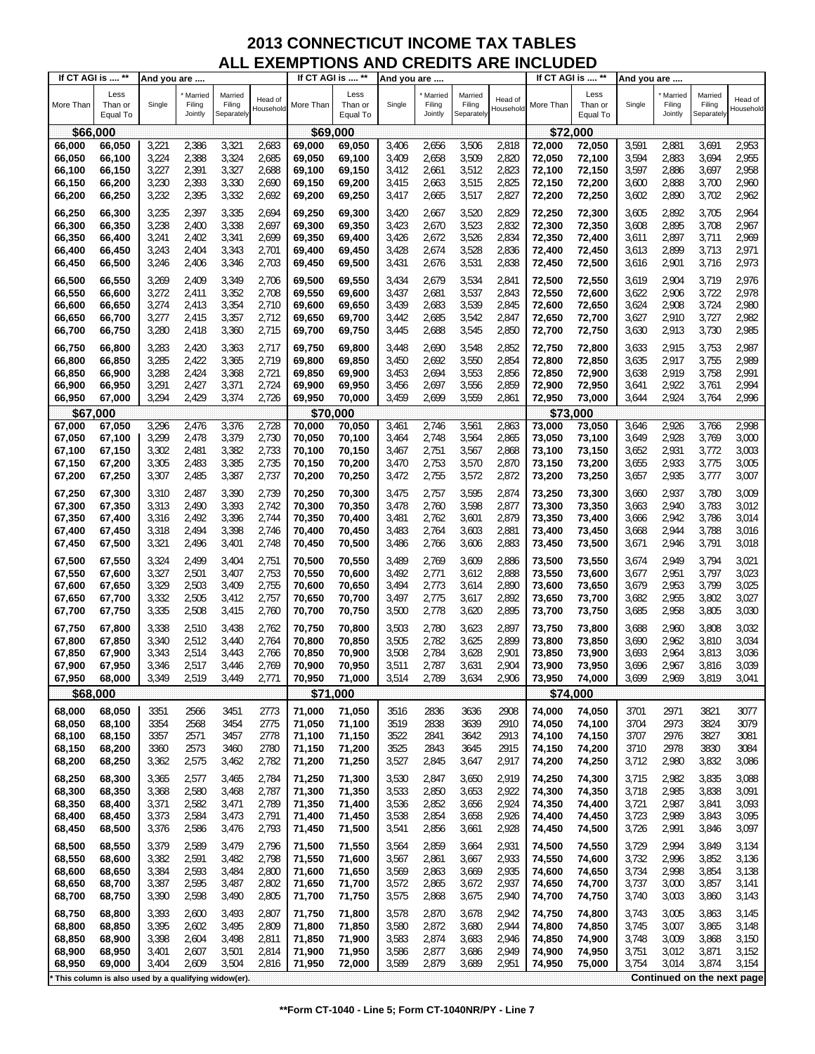| If CT AGI is  **                                    |                             | And you are    |                              |                                 |                      | If CT AGI is  ** |                             | And you are    |                              |                                 |                      |                  | If CT AGI is  **            | And you are    |                              |                                 |                      |
|-----------------------------------------------------|-----------------------------|----------------|------------------------------|---------------------------------|----------------------|------------------|-----------------------------|----------------|------------------------------|---------------------------------|----------------------|------------------|-----------------------------|----------------|------------------------------|---------------------------------|----------------------|
| More Than                                           | Less<br>Than or<br>Equal To | Single         | Married<br>Filing<br>Jointly | Married<br>Filing<br>Separately | Head of<br>Household | More Than        | Less<br>Than or<br>Equal To | Single         | Married<br>Filing<br>Jointly | Married<br>Filing<br>Separately | Head of<br>Household | More Than        | Less<br>Than or<br>Equal To | Single         | Married<br>Filing<br>Jointly | Married<br>Filing<br>Separately | Head of<br>Household |
| \$66,000                                            |                             |                |                              |                                 |                      | \$69,000         |                             |                |                              |                                 |                      |                  | \$72,000                    |                |                              |                                 |                      |
| 66,000                                              | 66,050                      | 3,221          | 2,386                        | 3,321                           | 2,683                | 69,000           | 69,050                      | 3,406          | 2,656                        | 3,506                           | 2,818                | 72,000           | 72,050                      | 3,591          | 2,881                        | 3,691                           | 2,953                |
| 66,050                                              | 66,100                      | 3,224          | 2,388                        | 3,324                           | 2,685                | 69,050           | 69,100                      | 3,409          | 2,658                        | 3,509                           | 2,820                | 72,050           | 72,100                      | 3,594          | 2,883                        | 3,694                           | 2,955                |
| 66,100                                              | 66,150                      | 3,227          | 2,391                        | 3,327                           | 2,688                | 69,100           | 69,150                      | 3,412          | 2,661                        | 3,512                           | 2,823                | 72,100           | 72,150                      | 3,597          | 2,886                        | 3,697                           | 2,958                |
| 66,150                                              | 66,200                      | 3,230          | 2,393                        | 3,330                           | 2,690                | 69,150           | 69,200                      | 3,415          | 2,663                        | 3,515                           | 2,825                | 72,150           | 72,200                      | 3,600          | 2,888                        | 3,700                           | 2,960                |
| 66,200                                              | 66,250                      | 3,232          | 2,395                        | 3,332                           | 2,692                | 69,200           | 69,250                      | 3,417          | 2,665                        | 3,517                           | 2,827                | 72,200           | 72,250                      | 3,602          | 2,890                        | 3,702                           | 2,962                |
|                                                     |                             |                |                              |                                 |                      |                  |                             |                |                              |                                 |                      |                  |                             |                |                              |                                 |                      |
| 66,250                                              | 66,300                      | 3,235          | 2,397                        | 3,335                           | 2,694                | 69,250           | 69,300                      | 3,420          | 2,667                        | 3,520                           | 2,829                | 72,250           | 72,300                      | 3,605<br>3,608 | 2,892                        | 3,705<br>3,708                  | 2,964                |
| 66,300                                              | 66,350                      | 3,238          | 2,400<br>2,402               | 3,338                           | 2,697<br>2,699       | 69,300           | 69,350                      | 3,423          | 2,670<br>2,672               | 3,523<br>3,526                  | 2,832<br>2,834       | 72,300           | 72,350                      |                | 2,895<br>2,897               | 3,711                           | 2,967<br>2,969       |
| 66,350                                              | 66,400                      | 3,241          |                              | 3,341                           |                      | 69,350           | 69,400                      | 3,426          |                              |                                 |                      | 72,350           | 72,400                      | 3,611          |                              | 3,713                           |                      |
| 66,400<br>66,450                                    | 66,450<br>66,500            | 3,243<br>3,246 | 2,404<br>2,406               | 3,343<br>3,346                  | 2,701<br>2,703       | 69,400           | 69,450<br>69,500            | 3,428<br>3,431 | 2,674<br>2,676               | 3,528<br>3,531                  | 2,836<br>2,838       | 72,400<br>72,450 | 72,450<br>72,500            | 3,613<br>3,616 | 2,899<br>2,901               | 3,716                           | 2,971<br>2,973       |
|                                                     |                             |                |                              |                                 |                      | 69,450           |                             |                |                              |                                 |                      |                  |                             |                |                              |                                 |                      |
| 66,500                                              | 66,550                      | 3,269          | 2,409                        | 3,349                           | 2,706                | 69,500           | 69,550                      | 3,434          | 2,679                        | 3,534                           | 2,841                | 72,500           | 72,550                      | 3,619          | 2,904                        | 3,719                           | 2,976                |
| 66,550                                              | 66,600                      | 3,272          | 2,411                        | 3,352                           | 2,708                | 69,550           | 69,600                      | 3,437          | 2,681                        | 3,537                           | 2,843                | 72,550           | 72,600                      | 3,622          | 2,906                        | 3,722                           | 2,978                |
| 66,600                                              | 66,650                      | 3,274          | 2,413                        | 3,354                           | 2,710                | 69,600           | 69,650                      | 3,439          | 2,683                        | 3,539                           | 2,845                | 72,600           | 72,650                      | 3,624          | 2,908                        | 3,724                           | 2,980                |
| 66,650                                              | 66,700                      | 3,277          | 2,415                        | 3,357                           | 2,712                | 69,650           | 69,700                      | 3,442          | 2,685                        | 3,542                           | 2,847                | 72,650           | 72,700                      | 3,627          | 2,910                        | 3,727                           | 2,982                |
| 66,700                                              | 66,750                      | 3,280          | 2,418                        | 3,360                           | 2,715                | 69,700           | 69,750                      | 3,445          | 2,688                        | 3,545                           | 2,850                | 72,700           | 72,750                      | 3,630          | 2,913                        | 3,730                           | 2,985                |
| 66,750                                              | 66,800                      | 3,283          | 2,420                        | 3,363                           | 2,717                | 69,750           | 69,800                      | 3,448          | 2,690                        | 3,548                           | 2,852                | 72,750           | 72,800                      | 3,633          | 2,915                        | 3,753                           | 2,987                |
| 66,800                                              | 66,850                      | 3,285          | 2,422                        | 3,365                           | 2,719                | 69,800           | 69,850                      | 3,450          | 2,692                        | 3,550                           | 2,854                | 72,800           | 72,850                      | 3,635          | 2,917                        | 3,755                           | 2,989                |
| 66,850                                              | 66,900                      | 3,288          | 2,424                        | 3,368                           | 2,721                | 69,850           | 69,900                      | 3,453          | 2,694                        | 3,553                           | 2,856                | 72,850           | 72,900                      | 3,638          | 2,919                        | 3,758                           | 2,991                |
| 66,900                                              | 66,950                      | 3,291          | 2,427                        | 3,371                           | 2,724                | 69,900           | 69,950                      | 3,456          | 2,697                        | 3,556                           | 2,859                | 72,900           | 72,950                      | 3,641          | 2,922                        | 3,761                           | 2,994                |
| 66,950                                              | 67,000                      | 3,294          | 2,429                        | 3,374                           | 2,726                | 69,950           | 70,000                      | 3,459          | 2,699                        | 3,559                           | 2,861                | 72,950           | 73,000                      | 3,644          | 2,924                        | 3,764                           | 2,996                |
| \$67,000                                            |                             |                |                              |                                 |                      | \$70,000         |                             |                |                              |                                 |                      |                  | \$73,000                    |                |                              |                                 |                      |
| 67,000                                              | 67,050                      | 3,296          | 2,476                        | 3,376                           | 2,728                | 70,000           | 70,050                      | 3,461          | 2,746                        | 3,561                           | 2,863                | 73,000           | 73,050                      | 3,646          | 2,926                        | 3,766                           | 2,998                |
| 67,050                                              | 67,100                      | 3,299          | 2,478                        | 3,379                           | 2,730                | 70,050           | 70,100                      | 3,464          | 2,748                        | 3,564                           | 2,865                | 73,050           | 73,100                      | 3,649          | 2,928                        | 3,769                           | 3,000                |
| 67,100                                              | 67,150                      | 3,302          | 2,481                        | 3,382                           | 2,733                | 70,100           | 70,150                      | 3,467          | 2,751                        | 3,567                           | 2,868                | 73,100           | 73,150                      | 3,652          | 2,931                        | 3,772                           | 3,003                |
| 67,150                                              | 67,200                      | 3,305          | 2,483                        | 3,385                           | 2,735                | 70,150           | 70,200                      | 3,470          | 2,753                        | 3,570                           | 2,870                | 73,150           | 73,200                      | 3,655          | 2,933                        | 3,775                           | 3,005                |
| 67,200                                              | 67,250                      | 3,307          | 2,485                        | 3,387                           | 2,737                | 70,200           | 70,250                      | 3,472          | 2,755                        | 3,572                           | 2,872                | 73,200           | 73,250                      | 3,657          | 2,935                        | 3,777                           | 3,007                |
| 67,250                                              | 67,300                      | 3,310          | 2,487                        | 3,390                           | 2,739                | 70,250           | 70,300                      | 3,475          | 2,757                        | 3,595                           | 2,874                | 73,250           | 73,300                      | 3,660          | 2,937                        | 3,780                           | 3,009                |
| 67,300                                              | 67,350                      | 3,313          | 2,490                        | 3,393                           | 2,742                | 70,300           | 70,350                      | 3,478          | 2,760                        | 3,598                           | 2,877                | 73,300           | 73,350                      | 3,663          | 2,940                        | 3,783                           | 3,012                |
| 67,350                                              |                             | 3,316          | 2,492                        | 3,396                           | 2,744                | 70,350           | 70,400                      | 3,481          | 2,762                        | 3,601                           | 2,879                | 73,350           | 73,400                      | 3,666          | 2,942                        | 3,786                           | 3,014                |
| 67,400                                              | 67,400<br>67,450            | 3,318          | 2,494                        | 3,398                           | 2,746                | 70,400           | 70,450                      | 3,483          | 2,764                        | 3,603                           | 2,881                | 73,400           |                             | 3,668          | 2,944                        | 3,788                           | 3,016                |
| 67,450                                              | 67,500                      | 3,321          | 2,496                        | 3,401                           | 2,748                |                  | 70,500                      |                | 2,766                        | 3,606                           | 2,883                | 73,450           | 73,450                      | 3,671          | 2,946                        | 3,791                           | 3,018                |
|                                                     |                             |                |                              |                                 |                      | 70,450           |                             | 3,486          |                              |                                 |                      |                  | 73,500                      |                |                              |                                 |                      |
| 67,500                                              | 67,550                      | 3,324          | 2,499                        | 3,404                           | 2,751                | 70,500           | 70,550                      | 3,489          | 2,769                        | 3,609                           | 2,886                | 73,500           | 73,550                      | 3,674          | 2,949                        | 3,794                           | 3,021                |
| 67,550                                              | 67,600                      | 3,327          | 2,501                        | 3,407                           | 2,753                | 70,550           | 70,600                      | 3,492          | 2,771                        | 3,612                           | 2,888                | 73,550           | 73,600                      | 3,677          | 2,951                        | 3,797                           | 3,023                |
| 67,600                                              | 67,650                      | 3,329          | 2,503                        | 3,409                           | 2,755                | 70,600           | 70,650                      | 3,494          | 2,773                        | 3,614                           | 2,890                | 73,600           | 73,650                      | 3,679          | 2,953                        | 3,799                           | 3,025                |
| 67,650                                              | 67,700                      | 3,332          | 2,505                        | 3,412                           | 2,757                | 70,650           | 70,700                      | 3,497          | 2,775                        | 3,617                           | 2,892                | 73,650           | 73,700                      | 3,682          | 2,955                        | 3,802                           | 3,027                |
| 67,700                                              | 67,750                      | 3,335          | 2,508                        | 3,415                           | 2,760                | 70,700           | 70,750                      | 3,500          | 2,778                        | 3,620                           | 2,895                | 73,700           | 73,750                      | 3,685          | 2,958                        | 3,805                           | 3,030                |
| 67,750                                              | 67,800                      | 3,338          | 2,510                        | 3,438                           | 2,762                | 70,750           | 70,800                      | 3,503          | 2,780                        | 3,623                           | 2,897                | 73,750           | 73,800                      | 3,688          | 2,960                        | 3,808                           | 3,032                |
| 67,800                                              | 67,850                      | 3,340          | 2,512                        | 3,440                           | 2,764                | 70,800           | 70,850                      | 3,505          | 2,782                        | 3,625                           | 2,899                | 73,800           | 73,850                      | 3,690          | 2,962                        | 3,810                           | 3,034                |
| 67,850                                              | 67,900                      | 3,343          | 2,514                        | 3,443                           | 2,766                | 70,850           | 70,900                      | 3,508          | 2,784                        | 3,628                           | 2,901                | 73,850           | 73,900                      | 3,693          | 2,964                        | 3,813                           | 3,036                |
| 67,900                                              | 67,950                      | 3,346          | 2,517                        | 3,446                           | 2,769                | 70,900           | 70,950                      | 3,511          | 2,787                        | 3,631                           | 2,904                | 73,900           | 73,950                      | 3,696          | 2,967                        | 3,816                           | 3,039                |
| 67,950                                              | 68,000                      | 3,349          | 2,519                        | 3,449                           | 2,771                | 70,950           | 71,000                      | 3,514          | 2,789                        | 3,634                           | 2,906                | 73,950           | 74,000                      | 3,699          | 2,969                        | 3,819                           | 3,041                |
| \$68,000                                            |                             |                |                              |                                 |                      | \$71             | ,000                        |                |                              |                                 |                      |                  | \$74,000                    |                |                              |                                 |                      |
| 68,000                                              | 68,050                      | 3351           | 2566                         | 3451                            | 2773                 | 71,000           | 71,050                      | 3516           | 2836                         | 3636                            | 2908                 | 74,000           | 74,050                      | 3701           | 2971                         | 3821                            | 3077                 |
| 68,050                                              | 68,100                      | 3354           | 2568                         | 3454                            | 2775                 | 71,050           | 71,100                      | 3519           | 2838                         | 3639                            | 2910                 | 74,050           | 74,100                      | 3704           | 2973                         | 3824                            | 3079                 |
| 68,100                                              | 68,150                      | 3357           | 2571                         | 3457                            | 2778                 | 71,100           | 71,150                      | 3522           | 2841                         | 3642                            | 2913                 | 74,100           | 74,150                      | 3707           | 2976                         | 3827                            | 3081                 |
| 68,150                                              | 68,200                      | 3360           | 2573                         | 3460                            | 2780                 | 71,150           | 71,200                      | 3525           | 2843                         | 3645                            | 2915                 | 74,150           | 74,200                      | 3710           | 2978                         | 3830                            | 3084                 |
| 68,200                                              | 68,250                      | 3,362          | 2,575                        | 3,462                           | 2,782                | 71,200           | 71,250                      | 3,527          | 2,845                        | 3,647                           | 2,917                | 74,200           | 74,250                      | 3,712          | 2,980                        | 3,832                           | 3,086                |
| 68,250                                              | 68,300                      | 3,365          | 2,577                        | 3,465                           | 2,784                | 71,250           | 71,300                      | 3,530          | 2,847                        | 3,650                           | 2,919                | 74,250           | 74,300                      | 3,715          | 2,982                        | 3,835                           | 3,088                |
| 68,300                                              | 68,350                      | 3,368          | 2,580                        | 3,468                           | 2,787                | 71,300           | 71,350                      | 3,533          | 2,850                        | 3,653                           | 2,922                | 74,300           | 74,350                      | 3,718          | 2,985                        | 3,838                           | 3,091                |
| 68,350                                              | 68,400                      | 3,371          | 2,582                        | 3,471                           | 2,789                | 71,350           | 71,400                      | 3,536          | 2,852                        | 3,656                           | 2,924                | 74,350           | 74,400                      | 3,721          | 2,987                        | 3,841                           | 3,093                |
| 68,400                                              | 68,450                      | 3,373          | 2,584                        | 3,473                           | 2,791                | 71,400           | 71,450                      | 3,538          | 2,854                        | 3,658                           | 2,926                | 74,400           | 74,450                      | 3,723          | 2,989                        | 3,843                           | 3,095                |
| 68,450                                              | 68,500                      | 3,376          | 2,586                        | 3,476                           | 2,793                | 71,450           | 71,500                      | 3,541          | 2,856                        | 3,661                           | 2,928                | 74,450           | 74,500                      | 3,726          | 2,991                        | 3,846                           | 3,097                |
|                                                     |                             |                |                              |                                 |                      |                  |                             |                |                              |                                 |                      |                  |                             |                |                              |                                 |                      |
| 68,500                                              | 68,550                      | 3,379          | 2,589                        | 3,479                           | 2,796                | 71,500           | 71,550                      | 3,564          | 2,859                        | 3,664                           | 2,931                | 74,500           | 74,550                      | 3,729          | 2,994                        | 3,849                           | 3,134                |
| 68,550                                              | 68,600                      | 3,382          | 2,591                        | 3,482                           | 2,798                | 71,550           | 71,600                      | 3,567          | 2,861                        | 3,667                           | 2,933                | 74,550           | 74,600                      | 3,732          | 2,996                        | 3,852                           | 3,136                |
| 68,600                                              | 68,650                      | 3,384          | 2,593                        | 3,484                           | 2,800                | 71,600           | 71,650                      | 3,569          | 2,863                        | 3,669                           | 2,935                | 74,600           | 74,650                      | 3,734          | 2,998                        | 3,854                           | 3,138                |
| 68,650                                              | 68,700                      | 3,387          | 2,595                        | 3,487                           | 2,802                | 71,650           | 71,700                      | 3,572          | 2,865                        | 3,672                           | 2,937                | 74,650           | 74,700                      | 3,737          | 3,000                        | 3,857                           | 3,141                |
| 68,700                                              | 68,750                      | 3,390          | 2,598                        | 3,490                           | 2,805                | 71,700           | 71,750                      | 3,575          | 2,868                        | 3,675                           | 2,940                | 74,700           | 74,750                      | 3,740          | 3,003                        | 3,860                           | 3,143                |
| 68,750                                              | 68,800                      | 3,393          | 2,600                        | 3,493                           | 2,807                | 71,750           | 71,800                      | 3,578          | 2,870                        | 3,678                           | 2,942                | 74,750           | 74,800                      | 3,743          | 3,005                        | 3,863                           | 3,145                |
| 68,800                                              | 68,850                      | 3,395          | 2,602                        | 3,495                           | 2,809                | 71,800           | 71,850                      | 3,580          | 2,872                        | 3,680                           | 2,944                | 74,800           | 74,850                      | 3,745          | 3,007                        | 3,865                           | 3,148                |
| 68,850                                              | 68,900                      | 3,398          | 2,604                        | 3,498                           | 2,811                | 71,850           | 71,900                      | 3,583          | 2,874                        | 3,683                           | 2,946                | 74,850           | 74,900                      | 3,748          | 3,009                        | 3,868                           | 3,150                |
| 68,900                                              | 68,950                      | 3,401          | 2,607                        | 3,501                           | 2,814                | 71,900           | 71,950                      | 3,586          | 2,877                        | 3,686                           | 2,949                | 74,900           | 74,950                      | 3,751          | 3,012                        | 3,871                           | 3,152                |
| 68,950                                              | 69,000                      | 3,404          | 2,609                        | 3,504                           | 2,816                | 71,950           | 72,000                      | 3,589          | 2,879                        | 3,689                           | 2,951                | 74,950           | 75,000                      | 3,754          | 3,014                        | 3,874                           | 3,154                |
| This column is also used by a qualifying widow(er). |                             |                |                              |                                 |                      |                  |                             |                |                              |                                 |                      |                  |                             |                |                              | Continued on the next page      |                      |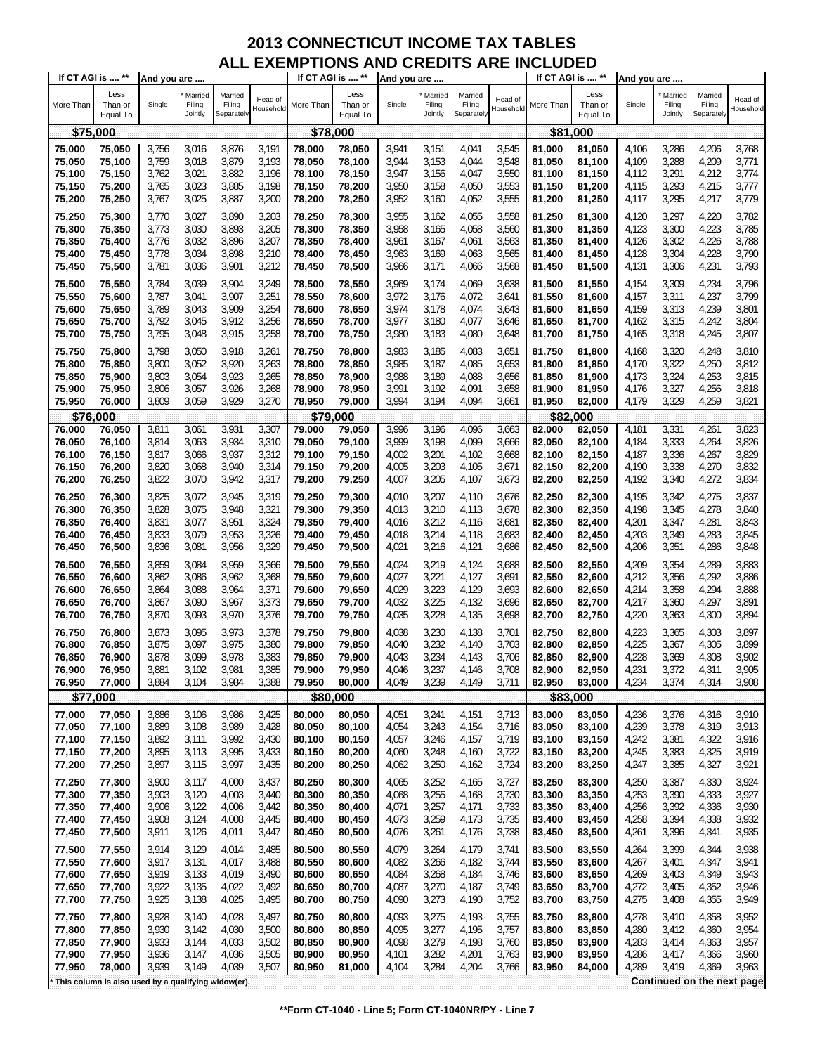| If CT AGI is  **                                      |                             | And you are    |                              |                                 |                      | If CT AGI is  ** |                             | And you are    |                              |                                 |                      |                  | If CT AGI is  **            | And you are    |                              |                                 |                            |
|-------------------------------------------------------|-----------------------------|----------------|------------------------------|---------------------------------|----------------------|------------------|-----------------------------|----------------|------------------------------|---------------------------------|----------------------|------------------|-----------------------------|----------------|------------------------------|---------------------------------|----------------------------|
| More Than                                             | Less<br>Than or<br>Equal To | Single         | Married<br>Filing<br>Jointly | Married<br>Filing<br>Separately | Head of<br>Household | More Than        | Less<br>Than or<br>Equal To | Single         | Married<br>Filing<br>Jointly | Married<br>Filing<br>Separately | Head of<br>Household | More Than        | Less<br>Than or<br>Equal To | Single         | Married<br>Filing<br>Jointly | Married<br>Filing<br>Separately | Head of<br>Household       |
| \$75,000                                              |                             |                |                              |                                 |                      | \$78,000         |                             |                |                              |                                 |                      |                  | \$81,000                    |                |                              |                                 |                            |
| 75,000                                                | 75,050                      | 3,756          | 3,016                        | 3,876                           | 3,191                | 78,000           | 78,050                      | 3,941          | 3,151                        | 4,041                           | 3,545                | 81.000           | 81,050                      | 4,106          | 3,286                        | 4,206                           | 3,768                      |
| 75,050                                                | 75,100                      | 3,759          | 3,018                        | 3,879                           | 3,193                | 78,050           | 78,100                      | 3,944          | 3,153                        | 4,044                           | 3,548                | 81,050           | 81,100                      | 4,109          | 3,288                        | 4,209                           | 3,771                      |
| 75,100                                                | 75,150                      | 3,762          | 3,021                        | 3,882                           | 3,196                | 78,100           | 78,150                      | 3,947          | 3,156                        | 4,047                           | 3,550                | 81,100           | 81,150                      | 4,112          | 3,291                        | 4,212                           | 3,774                      |
| 75,150                                                | 75,200                      | 3,765          | 3,023                        | 3,885                           | 3,198                | 78,150           | 78,200                      | 3,950          | 3,158                        | 4,050                           | 3,553                | 81,150           | 81,200                      | 4,115          | 3,293                        | 4,215                           | 3,777                      |
| 75,200                                                | 75,250                      | 3,767          | 3,025                        | 3,887                           | 3,200                | 78,200           | 78,250                      | 3,952          | 3,160                        | 4,052                           | 3,555                | 81,200           | 81,250                      | 4,117          | 3,295                        | 4,217                           | 3,779                      |
|                                                       |                             |                |                              |                                 |                      |                  |                             |                |                              |                                 |                      |                  |                             |                |                              |                                 |                            |
| 75,250                                                | 75,300                      | 3,770          | 3,027                        | 3,890                           | 3,203                | 78,250           | 78,300                      | 3,955          | 3,162                        | 4,055                           | 3,558                | 81,250           | 81,300                      | 4,120          | 3,297                        | 4,220                           | 3,782                      |
| 75,300                                                | 75,350                      | 3,773          | 3,030                        | 3,893                           | 3,205                | 78,300           | 78,350                      | 3,958          | 3,165                        | 4,058                           | 3,560                | 81,300           | 81,350                      | 4,123          | 3,300                        | 4,223                           | 3,785                      |
| 75,350                                                | 75,400                      | 3,776          | 3,032                        | 3,896                           | 3,207                | 78,350           | 78,400                      | 3,961          | 3,167                        | 4,061                           | 3,563                | 81,350           | 81,400                      | 4,126          | 3,302                        | 4,226                           | 3,788                      |
| 75,400                                                | 75,450                      | 3,778          | 3,034                        | 3,898                           | 3,210                | 78,400           | 78,450                      | 3,963          | 3,169                        | 4,063                           | 3,565                | 81,400           | 81,450                      | 4,128          | 3,304                        | 4,228                           | 3,790                      |
| 75,450                                                | 75,500                      | 3,781          | 3,036                        | 3,901                           | 3,212                | 78,450           | 78,500                      | 3,966          | 3,171                        | 4,066                           | 3,568                | 81,450           | 81,500                      | 4,131          | 3,306                        | 4,231                           | 3,793                      |
| 75,500                                                | 75,550                      | 3,784          | 3,039                        | 3,904                           | 3,249                | 78,500           | 78,550                      | 3,969          | 3,174                        | 4,069                           | 3,638                | 81,500           | 81,550                      | 4,154          | 3,309                        | 4,234                           | 3,796                      |
| 75,550                                                | 75,600                      | 3,787          | 3,041                        | 3,907                           | 3,251                | 78,550           | 78,600                      | 3,972          | 3,176                        | 4,072                           | 3,641                | 81,550           | 81,600                      | 4,157          | 3,311                        | 4,237                           | 3,799                      |
| 75,600                                                | 75,650                      | 3,789          | 3,043                        | 3,909                           | 3,254                | 78,600           | 78,650                      | 3,974          | 3,178                        | 4,074                           | 3,643                | 81,600           | 81,650                      | 4,159          | 3,313                        | 4,239                           | 3,801                      |
| 75,650                                                | 75,700                      | 3,792          | 3,045                        | 3,912                           | 3,256                | 78,650           | 78,700                      | 3,977          | 3,180                        | 4,077                           | 3,646                | 81,650           | 81,700                      | 4,162          | 3,315                        | 4,242                           | 3,804                      |
| 75,700                                                | 75,750                      | 3,795          | 3,048                        | 3,915                           | 3,258                | 78,700           | 78,750                      | 3,980          | 3,183                        | 4,080                           | 3,648                | 81,700           | 81,750                      | 4,165          | 3,318                        | 4,245                           | 3,807                      |
| 75,750                                                | 75,800                      | 3,798          | 3,050                        | 3,918                           | 3,261                | 78,750           | 78,800                      | 3,983          | 3,185                        | 4,083                           | 3,651                | 81,750           | 81,800                      | 4,168          | 3,320                        | 4,248                           | 3,810                      |
| 75,800                                                | 75,850                      | 3,800          | 3,052                        | 3,920                           | 3,263                | 78,800           | 78,850                      | 3,985          | 3,187                        | 4,085                           | 3,653                | 81,800           | 81,850                      | 4,170          | 3,322                        | 4,250                           | 3,812                      |
| 75,850                                                | 75,900                      | 3,803          | 3,054                        | 3,923                           | 3,265                | 78,850           | 78,900                      | 3,988          | 3,189                        | 4,088                           | 3,656                | 81,850           | 81,900                      | 4,173          | 3,324                        | 4,253                           | 3,815                      |
| 75,900                                                | 75,950                      | 3,806          | 3,057                        | 3,926                           | 3,268                | 78,900           | 78,950                      | 3,991          | 3,192                        | 4,091                           | 3,658                | 81,900           | 81,950                      | 4,176          | 3,327                        | 4,256                           | 3,818                      |
| 75,950                                                | 76,000                      | 3,809          | 3,059                        | 3,929                           | 3,270                | 78,950           | 79,000                      | 3,994          | 3,194                        | 4,094                           | 3,661                | 81,950           | 82,000                      | 4,179          | 3,329                        | 4,259                           | 3,821                      |
| \$76,000                                              |                             |                |                              |                                 |                      | \$79,000         |                             |                |                              |                                 |                      |                  | \$82,000                    |                |                              |                                 |                            |
| 76,000                                                | 76,050                      | 3,811          | 3,061                        | 3,931                           | 3,307                | 79,000           | 79,050                      | 3,996          | 3,196                        | 4,096                           | 3,663                | 82,000           | 82,050                      | 4,181          | 3,331                        | 4,261                           | 3,823                      |
| 76,050                                                | 76,100                      | 3,814          | 3,063                        | 3,934                           | 3,310                | 79,050           | 79,100                      | 3,999          | 3,198                        | 4,099                           | 3,666                | 82,050           | 82,100                      | 4,184          | 3,333                        | 4,264                           | 3,826                      |
| 76,100                                                | 76,150                      | 3,817          | 3,066                        | 3,937                           | 3,312                | 79,100           | 79,150                      | 4,002          | 3,201                        | 4,102                           | 3,668                | 82,100           | 82,150                      | 4,187          | 3,336                        | 4,267                           | 3,829                      |
| 76,150                                                | 76,200                      | 3,820          | 3,068                        | 3,940                           | 3,314                | 79,150           | 79,200                      | 4,005          | 3,203                        | 4,105                           | 3,671                | 82,150           | 82,200                      | 4,190          | 3,338                        | 4,270                           | 3,832                      |
| 76,200                                                | 76,250                      | 3,822          | 3,070                        | 3,942                           | 3,317                | 79,200           | 79,250                      | 4,007          | 3,205                        | 4,107                           | 3,673                | 82,200           | 82,250                      | 4,192          | 3,340                        | 4,272                           | 3,834                      |
| 76,250                                                | 76,300                      | 3,825          | 3,072                        | 3,945                           | 3,319                | 79,250           | 79,300                      | 4,010          | 3,207                        | 4,110                           | 3,676                | 82,250           | 82,300                      | 4,195          | 3,342                        | 4,275                           | 3,837                      |
| 76,300                                                | 76,350                      | 3,828          | 3,075                        | 3,948                           | 3,321                | 79,300           | 79,350                      | 4,013          | 3,210                        | 4,113                           | 3,678                | 82,300           | 82,350                      | 4,198          | 3,345                        | 4,278                           | 3,840                      |
| 76,350                                                | 76,400                      | 3,831          | 3,077                        | 3,951                           | 3,324                | 79,350           | 79,400                      | 4,016          | 3,212                        | 4,116                           | 3,681                | 82,350           | 82,400                      | 4,201          | 3,347                        | 4,281                           | 3,843                      |
| 76,400                                                | 76,450                      | 3,833          | 3,079                        | 3,953                           | 3,326                | 79,400           | 79,450                      | 4,018          | 3,214                        | 4,118                           | 3,683                | 82,400           | 82,450                      | 4,203          | 3,349                        | 4,283                           | 3,845                      |
| 76,450                                                | 76,500                      | 3,836          | 3,081                        | 3,956                           | 3,329                | 79,450           | 79,500                      | 4,021          | 3,216                        | 4,121                           | 3,686                | 82,450           | 82,500                      | 4,206          | 3,351                        | 4,286                           | 3,848                      |
|                                                       |                             |                |                              |                                 |                      |                  |                             |                |                              |                                 |                      |                  |                             |                |                              |                                 |                            |
| 76,500<br>76,550                                      | 76,550                      | 3,859          | 3,084                        | 3,959                           | 3,366                | 79,500           | 79,550                      | 4,024          | 3,219                        | 4,124<br>4,127                  | 3,688                | 82,500           | 82,550                      | 4,209          | 3,354                        | 4,289                           | 3,883<br>3,886             |
| 76,600                                                | 76,600<br>76,650            | 3,862<br>3,864 | 3,086<br>3,088               | 3,962<br>3,964                  | 3,368<br>3,371       | 79,550<br>79,600 | 79,600<br>79,650            | 4,027<br>4,029 | 3,221<br>3,223               | 4,129                           | 3,691<br>3,693       | 82,550<br>82,600 | 82,600<br>82,650            | 4,212<br>4,214 | 3,356<br>3,358               | 4,292<br>4,294                  | 3,888                      |
| 76,650                                                | 76,700                      | 3,867          | 3,090                        | 3,967                           | 3,373                | 79,650           | 79,700                      | 4,032          | 3,225                        | 4,132                           | 3,696                | 82,650           | 82,700                      | 4,217          | 3,360                        | 4,297                           | 3,891                      |
| 76,700                                                | 76,750                      | 3,870          | 3,093                        | 3,970                           | 3,376                | 79,700           | 79,750                      | 4,035          | 3,228                        | 4,135                           | 3,698                | 82,700           | 82,750                      | 4,220          | 3,363                        | 4,300                           | 3,894                      |
|                                                       |                             |                |                              |                                 |                      |                  |                             |                |                              |                                 |                      |                  |                             |                |                              |                                 |                            |
| 76,750                                                | 76,800                      | 3,873          | 3,095                        | 3,973                           | 3,378                | 79,750           | 79,800                      | 4,038          | 3,230                        | 4,138                           | 3,701                | 82,750           | 82,800                      | 4,223          | 3,365                        | 4,303                           | 3,897                      |
| 76,800                                                | 76,850                      | 3,875          | 3,097<br>3,099               | 3,975<br>3,978                  | 3,380<br>3,383       | 79,800           | 79,850                      | 4,040          | 3,232                        | 4,140                           | 3,703                | 82,800           | 82,850                      | 4,225<br>4,228 | 3,367                        | 4,305<br>4,308                  | 3,899                      |
| 76,850<br>76,900                                      | 76,900<br>76,950            | 3,878<br>3,881 | 3,102                        | 3,981                           | 3,385                | 79,850<br>79,900 | 79,900<br>79,950            | 4,043          | 3,234<br>3,237               | 4,143                           | 3,706<br>3,708       | 82,850<br>82,900 | 82,900<br>82,950            | 4,231          | 3,369<br>3,372               | 4,311                           | 3,902<br>3,905             |
| 76,950                                                | 77,000                      | 3,884          | 3,104                        | 3,984                           | 3,388                | 79,950           | 80,000                      | 4,046<br>4,049 | 3,239                        | 4,146<br>4,149                  | 3,711                | 82,950           | 83,000                      | 4,234          | 3,374                        | 4,314                           | 3,908                      |
| \$77,000                                              |                             |                |                              |                                 |                      | \$80,000         |                             |                |                              |                                 |                      |                  | \$83,000                    |                |                              |                                 |                            |
|                                                       |                             |                |                              |                                 |                      |                  |                             |                |                              |                                 |                      |                  |                             |                |                              |                                 |                            |
| 77,000                                                | 77,050                      | 3,886          | 3,106                        | 3,986                           | 3,425                | 80,000           | 80,050                      | 4,051          | 3,241                        | 4,151                           | 3,713                | 83,000           | 83,050                      | 4,236          | 3,376                        | 4,316                           | 3,910                      |
| 77,050                                                | 77,100                      | 3,889          | 3,108                        | 3,989                           | 3,428                | 80,050           | 80,100                      | 4,054          | 3,243                        | 4,154                           | 3,716                | 83,050           | 83,100                      | 4,239          | 3,378                        | 4,319                           | 3,913                      |
| 77,100<br>77,150                                      | 77,150<br>77,200            | 3,892<br>3,895 | 3,111<br>3,113               | 3,992<br>3,995                  | 3,430<br>3,433       | 80,100<br>80,150 | 80,150<br>80,200            | 4,057<br>4,060 | 3,246<br>3,248               | 4,157<br>4,160                  | 3,719<br>3,722       | 83,100<br>83,150 | 83,150<br>83,200            | 4,242<br>4,245 | 3,381<br>3,383               | 4,322<br>4,325                  | 3,916<br>3,919             |
| 77,200                                                | 77,250                      | 3,897          | 3,115                        | 3,997                           | 3,435                | 80,200           | 80,250                      | 4,062          | 3,250                        | 4,162                           | 3,724                | 83,200           | 83,250                      | 4,247          | 3,385                        | 4,327                           | 3,921                      |
|                                                       |                             |                |                              |                                 |                      |                  |                             |                |                              |                                 |                      |                  |                             |                |                              |                                 |                            |
| 77,250                                                | 77,300                      | 3,900          | 3,117                        | 4,000                           | 3,437                | 80,250           | 80,300                      | 4,065          | 3,252                        | 4,165                           | 3,727                | 83,250           | 83,300                      | 4,250          | 3,387                        | 4,330                           | 3,924                      |
| 77,300                                                | 77,350                      | 3,903          | 3,120                        | 4,003                           | 3,440                | 80,300           | 80,350                      | 4,068          | 3,255                        | 4,168                           | 3,730                | 83,300           | 83,350                      | 4,253          | 3,390                        | 4,333                           | 3,927                      |
| 77,350<br>77,400                                      | 77,400<br>77,450            | 3,906<br>3,908 | 3,122<br>3,124               | 4,006<br>4,008                  | 3,442<br>3,445       | 80,350<br>80,400 | 80,400<br>80,450            | 4,071<br>4,073 | 3,257<br>3,259               | 4,171<br>4,173                  | 3,733<br>3,735       | 83,350<br>83,400 | 83,400<br>83,450            | 4,256<br>4,258 | 3,392<br>3,394               | 4,336<br>4,338                  | 3,930<br>3,932             |
| 77,450                                                | 77,500                      | 3,911          | 3,126                        | 4,011                           | 3,447                | 80,450           | 80,500                      | 4,076          | 3,261                        | 4,176                           | 3,738                | 83,450           | 83,500                      | 4,261          | 3,396                        | 4,341                           | 3,935                      |
|                                                       |                             |                |                              |                                 |                      |                  |                             |                |                              |                                 |                      |                  |                             |                |                              |                                 |                            |
| 77,500                                                | 77,550                      | 3,914          | 3,129                        | 4,014                           | 3,485                | 80,500           | 80,550                      | 4,079          | 3,264                        | 4,179                           | 3,741                | 83,500           | 83,550                      | 4,264          | 3,399                        | 4,344                           | 3,938                      |
| 77,550                                                | 77,600                      | 3,917          | 3,131                        | 4,017                           | 3,488                | 80,550           | 80,600                      | 4,082          | 3,266                        | 4,182                           | 3,744                | 83,550           | 83,600                      | 4,267          | 3,401                        | 4,347                           | 3,941                      |
| 77,600                                                | 77,650                      | 3,919          | 3,133                        | 4,019                           | 3,490                | 80,600           | 80,650                      | 4,084          | 3,268                        | 4,184                           | 3,746                | 83,600           | 83,650                      | 4,269          | 3,403                        | 4,349                           | 3,943                      |
| 77,650<br>77,700                                      | 77,700<br>77,750            | 3,922<br>3,925 | 3,135<br>3,138               | 4,022<br>4,025                  | 3,492<br>3,495       | 80,650<br>80,700 | 80,700<br>80,750            | 4,087<br>4,090 | 3,270<br>3,273               | 4,187<br>4,190                  | 3,749<br>3,752       | 83,650<br>83,700 | 83,700                      | 4,272<br>4,275 | 3,405<br>3,408               | 4,352<br>4,355                  | 3,946<br>3,949             |
|                                                       |                             |                |                              |                                 |                      |                  |                             |                |                              |                                 |                      |                  | 83,750                      |                |                              |                                 |                            |
| 77,750                                                | 77,800                      | 3,928          | 3,140                        | 4,028                           | 3,497                | 80,750           | 80,800                      | 4,093          | 3,275                        | 4,193                           | 3,755                | 83,750           | 83,800                      | 4,278          | 3,410                        | 4,358                           | 3,952                      |
| 77,800                                                | 77,850                      | 3,930          | 3,142                        | 4,030                           | 3,500                | 80,800           | 80,850                      | 4,095          | 3,277                        | 4,195                           | 3,757                | 83,800           | 83,850                      | 4,280          | 3,412                        | 4,360                           | 3,954                      |
| 77,850                                                | 77,900                      | 3,933          | 3,144                        | 4,033                           | 3,502                | 80,850           | 80,900                      | 4,098          | 3,279                        | 4,198                           | 3,760                | 83,850           | 83,900                      | 4,283          | 3,414                        | 4,363                           | 3,957                      |
| 77,900                                                | 77,950                      | 3,936          | 3,147                        | 4,036                           | 3,505                | 80,900           | 80,950                      | 4,101          | 3,282                        | 4,201                           | 3,763                | 83,900           | 83,950                      | 4,286          | 3,417                        | 4,366                           | 3,960                      |
| 77,950                                                | 78,000                      | 3,939          | 3,149                        | 4,039                           | 3,507                | 80,950           | 81,000                      | 4,104          | 3,284                        | 4,204                           | 3,766                | 83,950           | 84,000                      | 4,289          | 3,419                        | 4,369                           | 3,963                      |
| * This column is also used by a qualifying widow(er). |                             |                |                              |                                 |                      |                  |                             |                |                              |                                 |                      |                  |                             |                |                              |                                 | Continued on the next page |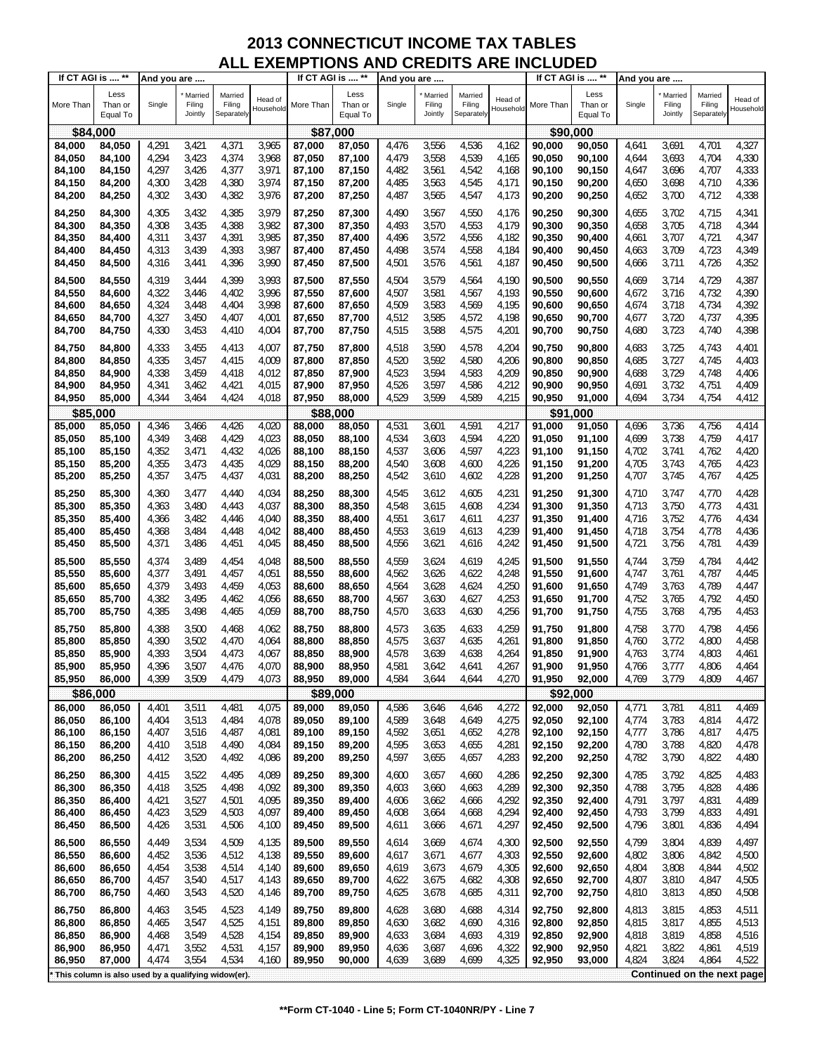| If CT AGI is  ** |                                                     | And you are |                              |                                 |                      | If CT AGI is  ** |                             | And you are |                              |                                 |                      | If CT AGI is  ** |                             | And you are |                              |                                 |                      |
|------------------|-----------------------------------------------------|-------------|------------------------------|---------------------------------|----------------------|------------------|-----------------------------|-------------|------------------------------|---------------------------------|----------------------|------------------|-----------------------------|-------------|------------------------------|---------------------------------|----------------------|
| More Than        | Less<br>Than or<br>Equal To                         | Single      | Married<br>Filing<br>Jointly | Married<br>Filing<br>Separately | Head of<br>Household | More Than        | Less<br>Than or<br>Equal To | Single      | Married<br>Filing<br>Jointly | Married<br>Filing<br>Separately | Head of<br>Household | More Than        | Less<br>Than or<br>Equal To | Single      | Married<br>Filing<br>Jointly | Married<br>Filing<br>Separately | Head of<br>Household |
| \$84,000         |                                                     |             |                              |                                 |                      | \$87,000         |                             |             |                              |                                 |                      | \$90,000         |                             |             |                              |                                 |                      |
| 84,000           |                                                     | 4,291       | 3,421                        | 4,371                           | 3,965                | 87,000           | 87,050                      | 4,476       | 3,556                        | 4,536                           | 4,162                | 90,000           |                             | 4,641       | 3,691                        | 4,701                           | 4,327                |
|                  | 84,050                                              |             |                              |                                 |                      |                  |                             |             |                              |                                 |                      |                  | 90,050                      |             |                              |                                 |                      |
| 84,050           | 84,100                                              | 4,294       | 3,423                        | 4,374                           | 3,968                | 87,050           | 87,100                      | 4,479       | 3,558                        | 4,539                           | 4,165                | 90,050           | 90,100                      | 4,644       | 3,693                        | 4,704                           | 4,330                |
| 84,100           | 84,150                                              | 4,297       | 3,426                        | 4,377                           | 3,971                | 87,100           | 87,150                      | 4,482       | 3,561                        | 4,542                           | 4,168                | 90,100           | 90,150                      | 4,647       | 3,696                        | 4,707                           | 4,333                |
| 84,150           | 84,200                                              | 4,300       | 3,428                        | 4,380                           | 3,974                | 87,150           | 87,200                      | 4,485       | 3,563                        | 4,545                           | 4,171                | 90,150           | 90,200                      | 4,650       | 3,698                        | 4,710                           | 4,336                |
| 84,200           | 84,250                                              | 4,302       | 3,430                        | 4,382                           | 3,976                | 87,200           | 87,250                      | 4,487       | 3,565                        | 4,547                           | 4,173                | 90,200           | 90,250                      | 4,652       | 3,700                        | 4,712                           | 4,338                |
| 84,250           | 84,300                                              | 4,305       | 3,432                        | 4,385                           | 3,979                | 87,250           | 87,300                      | 4,490       | 3,567                        | 4,550                           | 4,176                | 90,250           | 90,300                      | 4,655       | 3,702                        | 4,715                           | 4,341                |
| 84,300           | 84,350                                              | 4,308       | 3,435                        | 4,388                           | 3,982                | 87,300           | 87,350                      | 4,493       | 3,570                        | 4,553                           | 4,179                | 90,300           | 90,350                      | 4,658       | 3,705                        | 4,718                           | 4,344                |
|                  |                                                     |             |                              |                                 |                      |                  |                             |             |                              |                                 |                      |                  |                             |             |                              |                                 |                      |
| 84,350           | 84,400                                              | 4,311       | 3,437                        | 4,391                           | 3,985                | 87,350           | 87,400                      | 4,496       | 3,572                        | 4,556                           | 4,182                | 90,350           | 90,400                      | 4,661       | 3,707                        | 4,721                           | 4,347                |
| 84,400           | 84,450                                              | 4,313       | 3,439                        | 4,393                           | 3,987                | 87,400           | 87,450                      | 4,498       | 3,574                        | 4,558                           | 4,184                | 90,400           | 90,450                      | 4,663       | 3,709                        | 4,723                           | 4,349                |
| 84,450           | 84,500                                              | 4,316       | 3,441                        | 4,396                           | 3,990                | 87,450           | 87,500                      | 4,501       | 3,576                        | 4,561                           | 4,187                | 90,450           | 90,500                      | 4,666       | 3,711                        | 4,726                           | 4,352                |
| 84,500           | 84,550                                              | 4,319       | 3,444                        | 4,399                           | 3,993                | 87,500           | 87,550                      | 4,504       | 3,579                        | 4,564                           | 4,190                | 90,500           | 90,550                      | 4,669       | 3,714                        | 4,729                           | 4,387                |
| 84,550           | 84,600                                              | 4,322       | 3,446                        | 4,402                           | 3,996                | 87,550           | 87,600                      | 4,507       | 3,581                        | 4,567                           | 4,193                | 90,550           | 90,600                      | 4,672       | 3,716                        | 4,732                           | 4,390                |
| 84,600           | 84,650                                              | 4,324       | 3,448                        | 4,404                           | 3,998                | 87,600           | 87,650                      | 4,509       | 3,583                        | 4,569                           | 4,195                | 90,600           | 90,650                      | 4,674       | 3,718                        | 4,734                           | 4,392                |
|                  |                                                     | 4,327       | 3,450                        | 4,407                           | 4,001                | 87,650           |                             | 4,512       | 3,585                        | 4,572                           | 4,198                | 90,650           | 90,700                      | 4,677       | 3,720                        | 4,737                           | 4,395                |
| 84,650           | 84,700                                              |             |                              |                                 |                      |                  | 87,700                      |             |                              |                                 |                      |                  |                             |             |                              |                                 |                      |
| 84,700           | 84,750                                              | 4,330       | 3,453                        | 4,410                           | 4,004                | 87,700           | 87,750                      | 4,515       | 3,588                        | 4,575                           | 4,201                | 90,700           | 90,750                      | 4,680       | 3,723                        | 4,740                           | 4,398                |
| 84,750           | 84,800                                              | 4,333       | 3,455                        | 4,413                           | 4,007                | 87,750           | 87,800                      | 4,518       | 3,590                        | 4,578                           | 4,204                | 90,750           | 90,800                      | 4,683       | 3,725                        | 4,743                           | 4,401                |
| 84,800           | 84,850                                              | 4,335       | 3,457                        | 4,415                           | 4,009                | 87,800           | 87,850                      | 4,520       | 3,592                        | 4,580                           | 4,206                | 90.800           | 90,850                      | 4,685       | 3,727                        | 4,745                           | 4,403                |
| 84,850           | 84,900                                              | 4,338       | 3,459                        | 4,418                           | 4,012                | 87,850           | 87,900                      | 4,523       | 3,594                        | 4,583                           | 4,209                | 90,850           | 90,900                      | 4,688       | 3,729                        | 4,748                           | 4,406                |
| 84,900           | 84,950                                              | 4,341       | 3,462                        | 4,421                           | 4,015                | 87,900           | 87,950                      | 4,526       | 3,597                        | 4,586                           | 4,212                | 90,900           | 90,950                      | 4,691       | 3,732                        | 4,751                           | 4,409                |
| 84,950           | 85,000                                              | 4,344       | 3,464                        | 4,424                           | 4,018                | 87,950           | 88,000                      | 4,529       | 3,599                        | 4,589                           | 4,215                | 90,950           | 91,000                      | 4,694       | 3,734                        | 4,754                           | 4,412                |
| \$85             | ,000                                                |             |                              |                                 |                      | \$88             | ,000                        |             |                              |                                 |                      | \$91             | 000                         |             |                              |                                 |                      |
| 85,000           | 85,050                                              | 4,346       | 3,466                        | 4,426                           | 4,020                | 88,000           | 88,050                      | 4,531       | 3,601                        | 4,591                           | 4,217                | 91,000           | 91,050                      | 4,696       | 3,736                        | 4,756                           | 4,414                |
| 85,050           | 85,100                                              | 4,349       | 3,468                        | 4,429                           | 4,023                | 88,050           | 88,100                      | 4,534       | 3,603                        | 4,594                           | 4,220                | 91,050           | 91,100                      | 4,699       | 3,738                        | 4,759                           | 4,417                |
|                  |                                                     | 4,352       |                              |                                 | 4,026                |                  |                             | 4,537       |                              | 4,597                           | 4,223                |                  |                             | 4,702       |                              |                                 |                      |
| 85,100           | 85,150                                              |             | 3,471                        | 4,432                           |                      | 88,100           | 88,150                      |             | 3,606                        |                                 |                      | 91,100           | 91,150                      |             | 3,741                        | 4,762                           | 4,420                |
| 85,150           | 85,200                                              | 4,355       | 3,473                        | 4,435                           | 4,029                | 88,150           | 88,200                      | 4,540       | 3,608                        | 4,600                           | 4,226                | 91,150           | 91,200                      | 4,705       | 3,743                        | 4,765                           | 4,423                |
| 85,200           | 85,250                                              | 4,357       | 3,475                        | 4,437                           | 4,031                | 88,200           | 88,250                      | 4,542       | 3,610                        | 4,602                           | 4,228                | 91,200           | 91,250                      | 4,707       | 3,745                        | 4,767                           | 4,425                |
| 85,250           | 85,300                                              | 4,360       | 3,477                        | 4,440                           | 4,034                | 88,250           | 88,300                      | 4,545       | 3,612                        | 4,605                           | 4,231                | 91,250           | 91,300                      | 4,710       | 3,747                        | 4,770                           | 4,428                |
| 85,300           | 85,350                                              | 4,363       | 3,480                        | 4,443                           | 4,037                | 88,300           | 88,350                      | 4,548       | 3,615                        | 4,608                           | 4,234                | 91,300           | 91,350                      | 4,713       | 3,750                        | 4,773                           | 4,431                |
| 85,350           | 85,400                                              | 4,366       | 3,482                        | 4,446                           | 4,040                | 88,350           | 88,400                      | 4,551       | 3,617                        | 4,611                           | 4,237                | 91,350           | 91,400                      | 4,716       | 3,752                        | 4,776                           | 4,434                |
| 85,400           | 85,450                                              | 4,368       | 3,484                        | 4,448                           | 4,042                | 88,400           | 88,450                      | 4,553       | 3,619                        | 4,613                           | 4,239                | 91,400           | 91,450                      | 4,718       | 3,754                        | 4,778                           | 4,436                |
| 85,450           | 85,500                                              | 4,371       | 3,486                        | 4,451                           | 4,045                | 88,450           | 88,500                      | 4,556       | 3,621                        | 4,616                           | 4,242                | 91,450           | 91,500                      | 4,721       | 3,756                        | 4,781                           | 4,439                |
|                  |                                                     |             |                              |                                 |                      |                  |                             |             |                              |                                 |                      |                  |                             |             |                              |                                 |                      |
| 85,500           | 85,550                                              | 4,374       | 3,489                        | 4,454                           | 4,048                | 88,500           | 88,550                      | 4,559       | 3,624                        | 4,619                           | 4,245                | 91,500           | 91,550                      | 4,744       | 3,759                        | 4,784                           | 4,442                |
| 85,550           | 85,600                                              | 4,377       | 3,491                        | 4,457                           | 4,051                | 88,550           | 88,600                      | 4,562       | 3,626                        | 4,622                           | 4,248                | 91,550           | 91,600                      | 4,747       | 3,761                        | 4,787                           | 4,445                |
| 85,600           | 85,650                                              | 4,379       | 3,493                        | 4,459                           | 4,053                | 88,600           | 88,650                      | 4,564       | 3,628                        | 4,624                           | 4,250                | 91,600           | 91,650                      | 4,749       | 3,763                        | 4,789                           | 4,447                |
| 85,650           | 85,700                                              | 4,382       | 3,495                        | 4,462                           | 4,056                | 88,650           | 88,700                      | 4,567       | 3,630                        | 4,627                           | 4,253                | 91,650           | 91,700                      | 4,752       | 3,765                        | 4,792                           | 4,450                |
| 85,700           | 85,750                                              | 4,385       | 3,498                        | 4,465                           | 4,059                | 88,700           | 88,750                      | 4,570       | 3,633                        | 4,630                           | 4,256                | 91,700           | 91,750                      | 4,755       | 3,768                        | 4,795                           | 4,453                |
| 85,750           | 85,800                                              | 4,388       | 3,500                        | 4,468                           | 4,062                | 88,750           | 88,800                      | 4,573       | 3,635                        | 4,633                           | 4,259                | 91,750           | 91,800                      | 4,758       | 3,770                        | 4,798                           | 4,456                |
| 85,800           | 85,850                                              | 4,390       | 3,502                        | 4,470                           | 4,064                | 88,800           | 88,850                      | 4,575       | 3,637                        | 4,635                           | 4,261                | 91,800           | 91,850                      | 4,760       | 3,772                        | 4,800                           | 4,458                |
| 85,850           | 85,900                                              | 4,393       | 3,504                        | 4,473                           | 4,067                | 88,850           | 88,900                      | 4,578       | 3,639                        | 4,638                           | 4,264                | 91,850           | 91,900                      | 4,763       | 3,774                        | 4,803                           | 4,461                |
| 85,900           | 85,950                                              | 4,396       | 3,507                        | 4,476                           | 4,070                | 88,900           | 88,950                      | 4,581       | 3,642                        | 4,641                           | 4,267                | 91,900           | 91,950                      | 4,766       | 3,777                        | 4,806                           | 4,464                |
| 85,950           | 86,000                                              | 4,399       | 3,509                        | 4,479                           | 4,073                | 88,950           | 89,000                      | 4,584       | 3,644                        | 4,644                           | 4,270                | 91,950           | 92,000                      | 4,769       | 3,779                        | 4,809                           | 4,467                |
|                  |                                                     |             |                              |                                 |                      |                  |                             |             |                              |                                 |                      |                  |                             |             |                              |                                 |                      |
| \$86,000         |                                                     |             |                              |                                 |                      | \$89,000         |                             |             |                              |                                 |                      |                  | \$92,000                    |             |                              |                                 |                      |
| 86,000           | 86,050                                              | 4,401       | 3,511                        | 4,481                           | 4,075                | 89,000           | 89,050                      | 4,586       | 3,646                        | 4,646                           | 4,272                | 92,000           | 92,050                      | 4,771       | 3,781                        | 4,811                           | 4,469                |
| 86,050           | 86,100                                              | 4,404       | 3,513                        | 4,484                           | 4,078                | 89,050           | 89,100                      | 4,589       | 3,648                        | 4,649                           | 4,275                | 92,050           | 92,100                      | 4,774       | 3,783                        | 4,814                           | 4,472                |
| 86,100           | 86,150                                              | 4,407       | 3,516                        | 4,487                           | 4,081                | 89,100           | 89,150                      | 4,592       | 3,651                        | 4,652                           | 4,278                | 92,100           | 92,150                      | 4,777       | 3,786                        | 4,817                           | 4,475                |
| 86,150           | 86,200                                              | 4,410       | 3,518                        | 4,490                           | 4,084                | 89,150           | 89,200                      | 4,595       | 3,653                        | 4,655                           | 4,281                | 92,150           | 92,200                      | 4,780       | 3,788                        | 4,820                           | 4,478                |
| 86,200           | 86,250                                              | 4,412       | 3,520                        | 4,492                           | 4,086                | 89,200           | 89,250                      | 4,597       | 3,655                        | 4,657                           | 4,283                | 92,200           | 92,250                      | 4,782       | 3,790                        | 4,822                           | 4,480                |
| 86,250           | 86,300                                              | 4,415       | 3,522                        | 4,495                           | 4,089                | 89,250           | 89,300                      | 4,600       | 3,657                        | 4,660                           | 4,286                | 92,250           | 92,300                      | 4,785       | 3,792                        | 4,825                           | 4,483                |
| 86,300           | 86,350                                              | 4,418       | 3,525                        | 4,498                           | 4,092                | 89,300           | 89,350                      | 4,603       | 3,660                        | 4,663                           | 4,289                | 92,300           | 92,350                      | 4,788       | 3,795                        | 4,828                           | 4,486                |
| 86,350           | 86,400                                              | 4,421       | 3,527                        | 4,501                           | 4,095                | 89,350           | 89,400                      | 4,606       | 3,662                        | 4,666                           | 4,292                | 92,350           | 92,400                      | 4,791       | 3,797                        | 4,831                           | 4,489                |
| 86,400           | 86,450                                              | 4,423       | 3,529                        | 4,503                           | 4,097                | 89,400           | 89,450                      | 4,608       | 3,664                        | 4,668                           | 4,294                | 92,400           | 92,450                      | 4,793       | 3,799                        | 4,833                           | 4,491                |
| 86,450           | 86,500                                              | 4,426       | 3,531                        | 4,506                           | 4,100                | 89,450           | 89,500                      | 4,611       | 3,666                        | 4,671                           | 4,297                | 92,450           | 92,500                      | 4,796       | 3,801                        | 4,836                           | 4,494                |
|                  |                                                     |             |                              |                                 |                      |                  |                             |             |                              |                                 |                      |                  |                             |             |                              |                                 |                      |
| 86,500           | 86,550                                              | 4,449       | 3,534                        | 4,509                           | 4,135                | 89,500           | 89,550                      | 4,614       | 3,669                        | 4,674                           | 4,300                | 92,500           | 92,550                      | 4,799       | 3,804                        | 4,839                           | 4,497                |
| 86,550           | 86,600                                              | 4,452       | 3,536                        | 4,512                           | 4,138                | 89,550           | 89,600                      | 4,617       | 3,671                        | 4,677                           | 4,303                | 92,550           | 92,600                      | 4,802       | 3,806                        | 4,842                           | 4,500                |
| 86,600           | 86,650                                              | 4,454       | 3,538                        | 4,514                           | 4,140                | 89,600           | 89,650                      | 4,619       | 3,673                        | 4,679                           | 4,305                | 92,600           | 92,650                      | 4,804       | 3,808                        | 4,844                           | 4,502                |
| 86,650           | 86,700                                              | 4,457       | 3,540                        | 4,517                           | 4,143                | 89,650           | 89,700                      | 4,622       | 3,675                        | 4,682                           | 4,308                | 92,650           | 92,700                      | 4,807       | 3,810                        | 4,847                           | 4,505                |
| 86,700           | 86,750                                              | 4,460       | 3,543                        | 4,520                           | 4,146                | 89,700           | 89,750                      | 4,625       | 3,678                        | 4,685                           | 4,311                | 92,700           | 92,750                      | 4,810       | 3,813                        | 4,850                           | 4,508                |
| 86,750           | 86,800                                              | 4,463       | 3,545                        | 4,523                           | 4,149                | 89,750           | 89,800                      | 4,628       | 3,680                        | 4,688                           | 4,314                | 92,750           | 92,800                      | 4,813       | 3,815                        | 4,853                           | 4,511                |
| 86,800           | 86,850                                              | 4,465       | 3,547                        | 4,525                           | 4,151                | 89,800           | 89,850                      | 4,630       | 3,682                        | 4,690                           | 4,316                | 92,800           | 92,850                      | 4,815       | 3,817                        | 4,855                           | 4,513                |
| 86,850           | 86,900                                              | 4,468       | 3,549                        | 4,528                           | 4,154                | 89,850           | 89,900                      | 4,633       | 3,684                        | 4,693                           | 4,319                | 92,850           | 92,900                      | 4,818       | 3,819                        | 4,858                           | 4,516                |
| 86,900           | 86,950                                              | 4,471       | 3,552                        | 4,531                           | 4,157                | 89,900           | 89,950                      | 4,636       | 3,687                        | 4,696                           | 4,322                | 92,900           | 92,950                      | 4,821       | 3,822                        | 4,861                           | 4,519                |
|                  |                                                     |             |                              |                                 |                      |                  |                             |             |                              |                                 |                      |                  |                             |             |                              |                                 |                      |
| 86,950           | 87,000                                              | 4,474       | 3,554                        | 4,534                           | 4,160                | 89,950           | 90,000                      | 4,639       | 3,689                        | 4,699                           | 4,325                | 92,950           | 93,000                      | 4,824       | 3,824                        | 4,864                           | 4,522                |
|                  | This column is also used by a qualifying widow(er). |             |                              |                                 |                      |                  |                             |             |                              |                                 |                      |                  |                             |             |                              | Continued on the next page      |                      |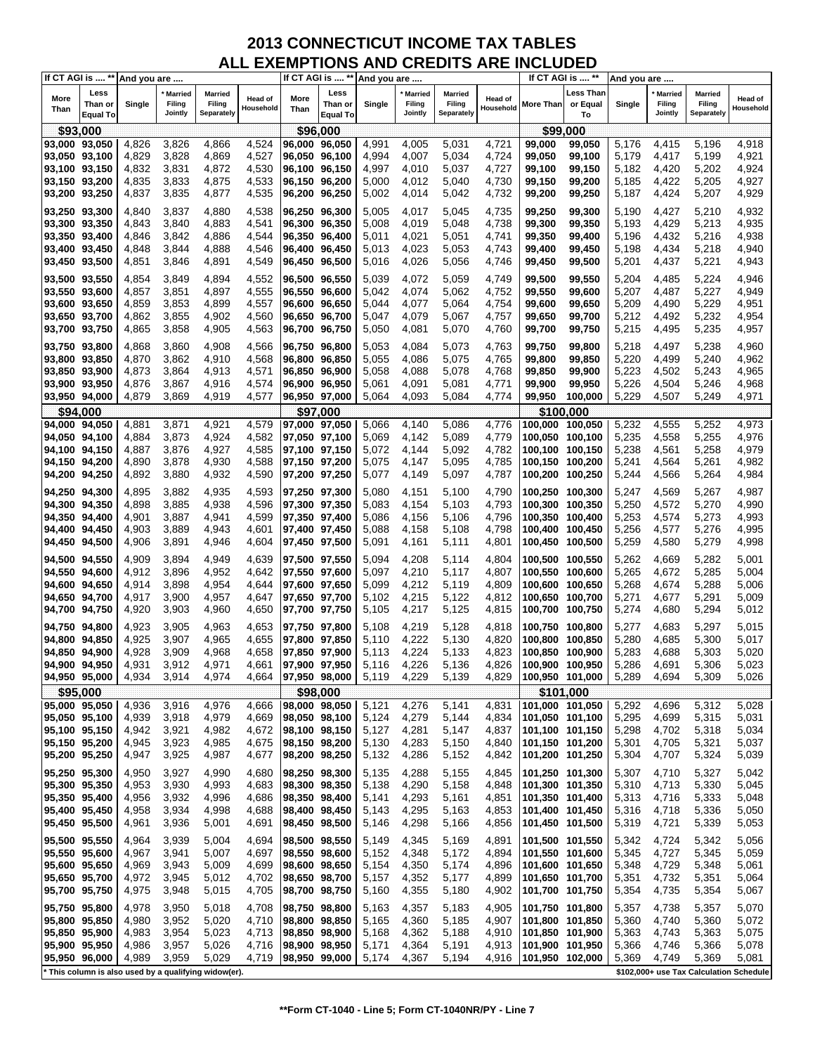| Less Than<br>Less<br>Less<br><b>Married</b><br>Married<br><b>Married</b><br><b>Married</b><br><b>Married</b><br><b>Married</b><br>More<br>More<br>Head of<br><b>Head of</b><br>Head of<br>Than or<br>Single<br>Filing<br>Than or<br>Single<br>Filing<br>Filing<br>More Than<br>or Equal<br>Single<br>Filing<br>Filing<br>Filing<br>Household<br>Household<br>Household<br>Than<br>Than<br>Jointly<br>Separately<br>Jointly<br>Separately<br>Jointly<br>Separately<br>To<br><b>Equal To</b><br><b>Equal To</b><br>\$93,000<br>\$99,000<br>\$96,000<br>3,826<br>4,866<br>4,524<br>4,415<br>5.196<br>4,918<br>93,000 93,050<br>4,826<br>96,000 96,050<br>4,991<br>4,005<br>5,031<br>4,721<br>99,000<br>99,050<br>5,176<br>4,829<br>3,828<br>4,869<br>4,527<br>93,050 93,100<br>96,050 96,100<br>4,994<br>4,007<br>5,034<br>4,724<br>99,050<br>99,100<br>5,179<br>4,417<br>5,199<br>4,921<br>4,832<br>4,872<br>4,530<br>4,924<br>93,100 93,150<br>3,831<br>96,100 96,150<br>4,997<br>4,010<br>5,037<br>4,727<br>99,150<br>5,182<br>4,420<br>5,202<br>99,100<br>93,150 93,200<br>4,835<br>3,833<br>4,875<br>4,533<br>96,150 96,200<br>5,000<br>4,012<br>5,040<br>4,730<br>99,150<br>99,200<br>5,185<br>4,422<br>5,205<br>4,927<br>4,929<br>93,200 93,250<br>4,837<br>3,835<br>4,877<br>4,535<br>96,200 96,250<br>5,002<br>4,014<br>5,042<br>4,732<br>99,200<br>99,250<br>5,187<br>4,424<br>5,207<br>4,538<br>5,210<br>4,932<br>93,250 93,300<br>4,840<br>3,837<br>4,880<br>96,250 96,300<br>5,005<br>4,017<br>5,045<br>4,735<br>99,250<br>99,300<br>5,190<br>4,427<br>4,883<br>4,541<br>4,429<br>5,213<br>4,935<br>93,300 93,350<br>4,843<br>3,840<br>96,300 96,350<br>5,008<br>4,019<br>5,048<br>4,738<br>99,300<br>99,350<br>5,193<br>4,886<br>4,021<br>4,432<br>5,216<br>93,350 93,400<br>4,846<br>3,842<br>4,544<br>96,350 96,400<br>5,011<br>5,051<br>99,350<br>99,400<br>5,196<br>4,938<br>4,741<br>4,546<br>4,940<br>93,400 93,450<br>4,848<br>3,844<br>4,888<br>96,400 96,450<br>5,013<br>4,023<br>5,053<br>99,450<br>5,198<br>4,434<br>5,218<br>4,743<br>99,400<br>93,450 93,500<br>4,851<br>3,846<br>4,891<br>4,549<br>96,450 96,500<br>5,016<br>4,026<br>5,056<br>4,746<br>99,450<br>99,500<br>5,201<br>4,437<br>5,221<br>4,943<br>5,224<br>4,946<br>93,500 93,550<br>4,854<br>3,849<br>4,894<br>4,552<br>96,500 96,550<br>5,039<br>4,072<br>5,059<br>4,749<br>99,500<br>99,550<br>5,204<br>4,485<br>4,857<br>3,851<br>4,897<br>4,555<br>5,042<br>4,074<br>5,062<br>99,550<br>99,600<br>5,207<br>4,487<br>5,227<br>4,949<br>93,550 93,600<br>96,550 96,600<br>4,752<br>4,899<br>5,209<br>5,229<br>4,951<br>93,600 93,650<br>4,859<br>3,853<br>4,557<br>96,600 96,650<br>5,044<br>4,077<br>5,064<br>4,754<br>99,600<br>99,650<br>4,490<br>5,232<br>93,650 93,700<br>4,862<br>3,855<br>4,902<br>4,560<br>96,650 96,700<br>5,047<br>4,079<br>99,650<br>99,700<br>5,212<br>4,492<br>4,954<br>5,067<br>4,757<br>93,700 93,750<br>4,865<br>3,858<br>4,905<br>4,563<br>96,700 96,750<br>5,050<br>4,081<br>5,070<br>4,760<br>99,750<br>5,215<br>4,495<br>5,235<br>4,957<br>99,700<br>4,566<br>4,084<br>4,868<br>3,860<br>4,908<br>5,053<br>5,073<br>4,763<br>99,750<br>99,800<br>5,218<br>4,497<br>5,238<br>4,960<br>93,750 93,800<br>96,750 96,800<br>4,568<br>93,800 93,850<br>4,870<br>3,862<br>4,910<br>96,800 96,850<br>5,055<br>4,086<br>5,075<br>4,765<br>99,800<br>99,850<br>5,220<br>4,499<br>5,240<br>4,962<br>5,223<br>93,850 93,900<br>4,873<br>3,864<br>4,913<br>4,571<br>96.850 96.900<br>5,058<br>4,088<br>5,078<br>4,768<br>99,850<br>99,900<br>4,502<br>5,243<br>4,965<br>93,900 93,950<br>4,876<br>3,867<br>4,916<br>4,574<br>96,900 96,950<br>5,061<br>4,091<br>5,081<br>4,771<br>99,950<br>5,226<br>4,504<br>5,246<br>4,968<br>99,900<br>5,229<br>93,950 94,000<br>4,879<br>3,869<br>4,919<br>4,577<br>96,950 97,000<br>5,064<br>4,093<br>5,084<br>4,774<br>99,950<br>4,507<br>5,249<br>4,971<br>100,000<br>\$94,000<br>\$97,000<br>\$100,000<br>4,579<br>4,140<br>5,086<br>5,232<br>4,555<br>5,252<br>4,973<br>4,881<br>3,871<br>4,921<br>5,066<br>4,776<br>94,000 94,050<br>97,000 97,050<br>100,000<br>100,050<br>4,582<br>5,235<br>4,558<br>94,050 94,100<br>4,884<br>3,873<br>4,924<br>97,050 97,100<br>5,069<br>4,142<br>5,089<br>4,779<br>100,050 100,100<br>5,255<br>4,976<br>4,927<br>4,585<br>5,238<br>4,979<br>4,887<br>3,876<br>97,100 97,150<br>5,072<br>4,144<br>5,092<br>4,782<br>100,150<br>4,561<br>5,258<br>94,100 94,150<br>100,100<br>4,930<br>4,588<br>5,241<br>5,261<br>4,890<br>3,878<br>97,150 97,200<br>5,075<br>4,147<br>5,095<br>4,785<br>4,564<br>4,982<br>94,150 94,200<br>100,150 100,200<br>4,892<br>3,880<br>4,932<br>4,590<br>5,097<br>4,787<br>5,244<br>4,566<br>5,264<br>4,984<br>94,200 94,250<br>97,200 97,250<br>5,077<br>4,149<br>100,200 100,250<br>4,987<br>4,895<br>3,882<br>4,935<br>4,593<br>5,080<br>4,151<br>5,100<br>4,790<br>5,247<br>4,569<br>5,267<br>94,250 94,300<br>97,250 97,300<br>100,250 100,300<br>4,990<br>94,300 94,350<br>4,898<br>3,885<br>4,938<br>4,596<br>97,300 97,350<br>5,083<br>4,154<br>5,103<br>4,793<br>100,300<br>100,350<br>5,250<br>4,572<br>5,270<br>4,941<br>4,599<br>5,253<br>4,574<br>5,273<br>4,993<br>94,350 94,400<br>4,901<br>3,887<br>97,350 97,400<br>5,086<br>4,156<br>5,106<br>4,796<br>100,350 100,400<br>4,903<br>3,889<br>4,943<br>4,601<br>5,088<br>5,108<br>4,798<br>5,256<br>4,577<br>5,276<br>4,995<br>94,400 94,450<br>97,400 97,450<br>4,158<br>100,400<br>100,450<br>5,259<br>4,580<br>5,279<br>94,450 94,500<br>4,906<br>3,891<br>4,946<br>4,604<br>97,450 97,500<br>5,091<br>4,161<br>5,111<br>4,801<br>100,450 100,500<br>4,998<br>4,909<br>3,894<br>4,949<br>4,639<br>5,094<br>4,208<br>5,262<br>4,669<br>5,282<br>5,001<br>94,500 94,550<br>97,500 97,550<br>5,114<br>4,804<br>100,500 100,550<br>4,952<br>4,210<br>5,265<br>94,550 94,600<br>4,912<br>3,896<br>4,642<br>97,550 97,600<br>5,097<br>5,117<br>4,807<br>100,550 100,600<br>4,672<br>5,285<br>5,004<br>94,600 94,650<br>4,914<br>3,898<br>4,954<br>4,644<br>97,600 97,650<br>5,099<br>4,212<br>5,119<br>4,809<br>100,600 100,650<br>5,268<br>4,674<br>5,288<br>5,006<br>4,215<br>94,650 94,700<br>4,917<br>3,900<br>4,957<br>4,647<br>97,650 97,700<br>5,102<br>5,122<br>4,812<br>100,650 100,700<br>5,271<br>4,677<br>5,291<br>5,009<br>4,920<br>4,217<br>94,700 94,750<br>3,903<br>4,960<br>4,650<br>5,105<br>5,125<br>4,815<br>5,274<br>4,680<br>5,294<br>5,012<br>97,700 97,750<br>100,700<br>100,750<br>4,963<br>4,219<br>5,297<br>5,015<br>94,750 94,800<br>4,923<br>3,905<br>4,653<br>97,750 97,800<br>5,108<br>5,128<br>4,818<br>100,750 100,800<br>5,277<br>4,683<br>4,925<br>3,907<br>4,965<br>4,222<br>5,280<br>4,685<br>5,300<br>94,800 94,850<br>4,655<br>97,800 97,850<br>5,110<br>5,130<br>4,820<br>100,800<br>100,850<br>5,017<br>4,224<br>4,928<br>3,909<br>5,283<br>4,688<br>5,020<br>94,850 94,900<br>4,968<br>4,658<br>97,850 97,900<br>5,113<br>5,133<br>4,823<br>100,850 100,900<br>5,303<br>94,900 94,950<br>4,931<br>3,912<br>4,971<br>4,661<br>97.900 97.950<br>5,116<br>4,226<br>5,136<br>4,826<br>100,900 100,950<br>5,286<br>4,691<br>5,306<br>5,023<br>4,934<br>3,914<br>4,974<br>4,664<br>5,119<br>4,229<br>5,139<br>4,829<br>5,289<br>4,694<br>5,309<br>5,026<br>94,950 95,000<br>97,950 98,000<br>100,950 101,000<br>\$98,000<br>\$95.000<br>\$101,000<br>4,276<br>4,831<br>5,292<br>5,312<br>95,000 95,050<br>4,936<br>3,916<br>4,976<br>4,666<br>98,000 98,050<br>5,121<br>5,141<br>101,000 101,050<br>4,696<br>5,028<br>95,050 95,100<br>4,939<br>3,918<br>4,979<br>4,669<br>5,124<br>4,279<br>5,144<br>4,834<br>5,295<br>4,699<br>5,315<br>5,031<br>98,050 98,100<br>101,050 101,100<br>95,100 95,150<br>4,942<br>3,921<br>4,982<br>4,672<br>5,127<br>4,281<br>5,298<br>4,702<br>5,318<br>5,034<br>98,100 98,150<br>5,147<br>4,837<br>101,100 101,150<br>4,985<br>4,283<br>5,321<br>4,945<br>3,923<br>4,675<br>98,150 98,200<br>5,130<br>5,150<br>4,840<br>5,301<br>4,705<br>5,037<br>95,150 95,200<br>101,150 101,200<br>95,200 95,250<br>3,925<br>4,987<br>4,677<br>5,132<br>4,286<br>5,152<br>101,200 101,250<br>5,304<br>4,707<br>5,324<br>5,039<br>4,947<br>98,200 98,250<br>4,842<br>4,288<br>5,042<br>95,250 95,300<br>4,950<br>3,927<br>4,990<br>4,680<br>98,250 98,300<br>5,135<br>5,155<br>4,845<br>101,250 101,300<br>5,307<br>4,710<br>5,327<br>3,930<br>95,300 95,350<br>4,953<br>4,993<br>4,683<br>98,300 98,350<br>5,138<br>4,290<br>5,158<br>101,300 101,350<br>5,310<br>4,713<br>5,330<br>5,045<br>4,848<br>5,048<br>95,350 95,400<br>4,956<br>3,932<br>4,996<br>4,686<br>98,350 98,400<br>5,141<br>4,293<br>5,161<br>5,313<br>4,716<br>5,333<br>4,851<br>101,350 101,400<br>3,934<br>4,998<br>4,688<br>4,295<br>5,316<br>4,718<br>5,336<br>5,050<br>95,400 95,450<br>4,958<br>98,400 98,450<br>5,143<br>5,163<br>4,853<br>101,400 101,450<br>3,936<br>4,691<br>4,298<br>5,319<br>4,721<br>5,339<br>5,053<br>95,450 95,500<br>4,961<br>5,001<br>98,450 98,500<br>5,146<br>5,166<br>4,856<br>101,450 101,500<br>3,939<br>5,004<br>4,694<br>4,345<br>5,169<br>4,891<br>101,500 101,550<br>5,342<br>4,724<br>5,342<br>5,056<br>95,500 95,550<br>4,964<br>98,500 98,550<br>5,149<br>5,007<br>4,727<br>95,550 95,600<br>4,967<br>3,941<br>4,697<br>98,550 98,600<br>5,152<br>4,348<br>5,172<br>4,894<br>101,550 101,600<br>5,345<br>5,345<br>5,059<br>4,969<br>3,943<br>5,009<br>4,699<br>4,350<br>5,174<br>4,896<br>5,348<br>4,729<br>5,348<br>5,061<br>95,600 95,650<br>98,600 98,650<br>5,154<br>101,600 101,650<br>4,352<br>5,177<br>4,732<br>5,351<br>5,064<br>95,650 95,700<br>4,972<br>3,945<br>5,012<br>4,702<br>98,650 98,700<br>5,157<br>4,899<br>101,650 101,700<br>5,351<br>5,015<br>4,705<br>4,355<br>4,735<br>5,354<br>5,067<br>95,700 95,750<br>4,975<br>3,948<br>98,700 98,750<br>5,160<br>5,180<br>4,902<br>101,700 101,750<br>5,354<br>95,750 95,800<br>4,978<br>3,950<br>5,018<br>4,708<br>98,750 98,800<br>5,163<br>4,357<br>5,183<br>4,905<br>101,750 101,800<br>5,357<br>4,738<br>5,357<br>5,070<br>95,800 95,850<br>4,980<br>3,952<br>5,020<br>4,710<br>98,800 98,850<br>5,165<br>4,360<br>5,185<br>4,907<br>101,800 101,850<br>5,360<br>4,740<br>5,360<br>5,072<br>4,362<br>95,850 95,900<br>4,983<br>3,954<br>5,023<br>4,713<br>98,850 98,900<br>5,168<br>5,188<br>4,910<br>101,850 101,900<br>5,363<br>4,743<br>5,363<br>5,075<br>5,026<br>5,366<br>5,078<br>95,900 95,950<br>4,986<br>3,957<br>4,716<br>98,900 98,950<br>5,171<br>4,364<br>5,191<br>4,913<br>101,900 101,950<br>5,366<br>4,746<br>95,950 96,000<br>4,989<br>3,959<br>5,029<br>4,719<br>98,950 99,000<br>5,174<br>4,367<br>5,194<br>4,916<br>101,950 102,000<br>5,369<br>5,369<br>5,081<br>4,749<br>\$102,000+ use Tax Calculation Schedule<br>This column is also used by a qualifying widow(er). | If CT AGI is  ** | And you are |  |  | If CT AGI is  ** And you are |  | If CT AGI is  ** | And you are |  |  |
|----------------------------------------------------------------------------------------------------------------------------------------------------------------------------------------------------------------------------------------------------------------------------------------------------------------------------------------------------------------------------------------------------------------------------------------------------------------------------------------------------------------------------------------------------------------------------------------------------------------------------------------------------------------------------------------------------------------------------------------------------------------------------------------------------------------------------------------------------------------------------------------------------------------------------------------------------------------------------------------------------------------------------------------------------------------------------------------------------------------------------------------------------------------------------------------------------------------------------------------------------------------------------------------------------------------------------------------------------------------------------------------------------------------------------------------------------------------------------------------------------------------------------------------------------------------------------------------------------------------------------------------------------------------------------------------------------------------------------------------------------------------------------------------------------------------------------------------------------------------------------------------------------------------------------------------------------------------------------------------------------------------------------------------------------------------------------------------------------------------------------------------------------------------------------------------------------------------------------------------------------------------------------------------------------------------------------------------------------------------------------------------------------------------------------------------------------------------------------------------------------------------------------------------------------------------------------------------------------------------------------------------------------------------------------------------------------------------------------------------------------------------------------------------------------------------------------------------------------------------------------------------------------------------------------------------------------------------------------------------------------------------------------------------------------------------------------------------------------------------------------------------------------------------------------------------------------------------------------------------------------------------------------------------------------------------------------------------------------------------------------------------------------------------------------------------------------------------------------------------------------------------------------------------------------------------------------------------------------------------------------------------------------------------------------------------------------------------------------------------------------------------------------------------------------------------------------------------------------------------------------------------------------------------------------------------------------------------------------------------------------------------------------------------------------------------------------------------------------------------------------------------------------------------------------------------------------------------------------------------------------------------------------------------------------------------------------------------------------------------------------------------------------------------------------------------------------------------------------------------------------------------------------------------------------------------------------------------------------------------------------------------------------------------------------------------------------------------------------------------------------------------------------------------------------------------------------------------------------------------------------------------------------------------------------------------------------------------------------------------------------------------------------------------------------------------------------------------------------------------------------------------------------------------------------------------------------------------------------------------------------------------------------------------------------------------------------------------------------------------------------------------------------------------------------------------------------------------------------------------------------------------------------------------------------------------------------------------------------------------------------------------------------------------------------------------------------------------------------------------------------------------------------------------------------------------------------------------------------------------------------------------------------------------------------------------------------------------------------------------------------------------------------------------------------------------------------------------------------------------------------------------------------------------------------------------------------------------------------------------------------------------------------------------------------------------------------------------------------------------------------------------------------------------------------------------------------------------------------------------------------------------------------------------------------------------------------------------------------------------------------------------------------------------------------------------------------------------------------------------------------------------------------------------------------------------------------------------------------------------------------------------------------------------------------------------------------------------------------------------------------------------------------------------------------------------------------------------------------------------------------------------------------------------------------------------------------------------------------------------------------------------------------------------------------------------------------------------------------------------------------------------------------------------------------------------------------------------------------------------------------------------------------------------------------------------------------------------------------------------------------------------------------------------------------------------------------------------------------------------------------------------------------------------------------------------------------------------------------------------------------------------------------------------------------------------------------------------------------------------------------------------------------------------------------------------------------------------------------------------------------------------------------------------------------------------------------------------------------------------------------------------------------------------------------------------------------------------------------------------------------------------------------------------------------------------------------------------------------------------------------------------------------------------------------------------------------------------------------------------------------------------------------------------------------------------------------------------------------------------------------------------------------------------------------------------------------------------------------------------------------------------------------------------------------------------------------------------------------------------------------------------------------------------------------------------------------------------------------------------------------------------------------------------------------------------------------------------------------------------------------------------------------------------------------------------------------------------------------------------------------------------------------------------------------------------------------------------------------------------------------------------------------------------------------------------------------------------------------------------------------------------------------------------------------------------------------------------------------------------------------------------------------------------------------------------------------------------------------------------------------------------------------------------------------------------------------------------------------------------------------------------------------------------------------------------------------------------------------------------------------------------------------------------------------------------------------------------------------------------------------------------------------------------------------------------------------------------------------------------------------------------------------------------------------------------------------------------------------------------------------------------------------------------------------------------------------------------------------------------------------------------------------------------------------------------------------------------------------------------------------------------------------------------------------------------------------------|------------------|-------------|--|--|------------------------------|--|------------------|-------------|--|--|
|                                                                                                                                                                                                                                                                                                                                                                                                                                                                                                                                                                                                                                                                                                                                                                                                                                                                                                                                                                                                                                                                                                                                                                                                                                                                                                                                                                                                                                                                                                                                                                                                                                                                                                                                                                                                                                                                                                                                                                                                                                                                                                                                                                                                                                                                                                                                                                                                                                                                                                                                                                                                                                                                                                                                                                                                                                                                                                                                                                                                                                                                                                                                                                                                                                                                                                                                                                                                                                                                                                                                                                                                                                                                                                                                                                                                                                                                                                                                                                                                                                                                                                                                                                                                                                                                                                                                                                                                                                                                                                                                                                                                                                                                                                                                                                                                                                                                                                                                                                                                                                                                                                                                                                                                                                                                                                                                                                                                                                                                                                                                                                                                                                                                                                                                                                                                                                                                                                                                                                                                                                                                                                                                                                                                                                                                                                                                                                                                                                                                                                                                                                                                                                                                                                                                                                                                                                                                                                                                                                                                                                                                                                                                                                                                                                                                                                                                                                                                                                                                                                                                                                                                                                                                                                                                                                                                                                                                                                                                                                                                                                                                                                                                                                                                                                                                                                                                                                                                                                                                                                                                                                                                                                                                                                                                                                                                                                                                                                                                                                                                                                                                                                                                                                                                                                                                                                                                                                                                                                                                                                                                                                                                                                                                                                                                                                                                                                                                                                                                                                                                                                                                                                                                                                                                                                                                                                                                                                                                                                                                                                                                                                                                                                                                                                                                                                                                                                  |                  |             |  |  |                              |  |                  |             |  |  |
|                                                                                                                                                                                                                                                                                                                                                                                                                                                                                                                                                                                                                                                                                                                                                                                                                                                                                                                                                                                                                                                                                                                                                                                                                                                                                                                                                                                                                                                                                                                                                                                                                                                                                                                                                                                                                                                                                                                                                                                                                                                                                                                                                                                                                                                                                                                                                                                                                                                                                                                                                                                                                                                                                                                                                                                                                                                                                                                                                                                                                                                                                                                                                                                                                                                                                                                                                                                                                                                                                                                                                                                                                                                                                                                                                                                                                                                                                                                                                                                                                                                                                                                                                                                                                                                                                                                                                                                                                                                                                                                                                                                                                                                                                                                                                                                                                                                                                                                                                                                                                                                                                                                                                                                                                                                                                                                                                                                                                                                                                                                                                                                                                                                                                                                                                                                                                                                                                                                                                                                                                                                                                                                                                                                                                                                                                                                                                                                                                                                                                                                                                                                                                                                                                                                                                                                                                                                                                                                                                                                                                                                                                                                                                                                                                                                                                                                                                                                                                                                                                                                                                                                                                                                                                                                                                                                                                                                                                                                                                                                                                                                                                                                                                                                                                                                                                                                                                                                                                                                                                                                                                                                                                                                                                                                                                                                                                                                                                                                                                                                                                                                                                                                                                                                                                                                                                                                                                                                                                                                                                                                                                                                                                                                                                                                                                                                                                                                                                                                                                                                                                                                                                                                                                                                                                                                                                                                                                                                                                                                                                                                                                                                                                                                                                                                                                                                                                                  |                  |             |  |  |                              |  |                  |             |  |  |
|                                                                                                                                                                                                                                                                                                                                                                                                                                                                                                                                                                                                                                                                                                                                                                                                                                                                                                                                                                                                                                                                                                                                                                                                                                                                                                                                                                                                                                                                                                                                                                                                                                                                                                                                                                                                                                                                                                                                                                                                                                                                                                                                                                                                                                                                                                                                                                                                                                                                                                                                                                                                                                                                                                                                                                                                                                                                                                                                                                                                                                                                                                                                                                                                                                                                                                                                                                                                                                                                                                                                                                                                                                                                                                                                                                                                                                                                                                                                                                                                                                                                                                                                                                                                                                                                                                                                                                                                                                                                                                                                                                                                                                                                                                                                                                                                                                                                                                                                                                                                                                                                                                                                                                                                                                                                                                                                                                                                                                                                                                                                                                                                                                                                                                                                                                                                                                                                                                                                                                                                                                                                                                                                                                                                                                                                                                                                                                                                                                                                                                                                                                                                                                                                                                                                                                                                                                                                                                                                                                                                                                                                                                                                                                                                                                                                                                                                                                                                                                                                                                                                                                                                                                                                                                                                                                                                                                                                                                                                                                                                                                                                                                                                                                                                                                                                                                                                                                                                                                                                                                                                                                                                                                                                                                                                                                                                                                                                                                                                                                                                                                                                                                                                                                                                                                                                                                                                                                                                                                                                                                                                                                                                                                                                                                                                                                                                                                                                                                                                                                                                                                                                                                                                                                                                                                                                                                                                                                                                                                                                                                                                                                                                                                                                                                                                                                                                                                  |                  |             |  |  |                              |  |                  |             |  |  |
|                                                                                                                                                                                                                                                                                                                                                                                                                                                                                                                                                                                                                                                                                                                                                                                                                                                                                                                                                                                                                                                                                                                                                                                                                                                                                                                                                                                                                                                                                                                                                                                                                                                                                                                                                                                                                                                                                                                                                                                                                                                                                                                                                                                                                                                                                                                                                                                                                                                                                                                                                                                                                                                                                                                                                                                                                                                                                                                                                                                                                                                                                                                                                                                                                                                                                                                                                                                                                                                                                                                                                                                                                                                                                                                                                                                                                                                                                                                                                                                                                                                                                                                                                                                                                                                                                                                                                                                                                                                                                                                                                                                                                                                                                                                                                                                                                                                                                                                                                                                                                                                                                                                                                                                                                                                                                                                                                                                                                                                                                                                                                                                                                                                                                                                                                                                                                                                                                                                                                                                                                                                                                                                                                                                                                                                                                                                                                                                                                                                                                                                                                                                                                                                                                                                                                                                                                                                                                                                                                                                                                                                                                                                                                                                                                                                                                                                                                                                                                                                                                                                                                                                                                                                                                                                                                                                                                                                                                                                                                                                                                                                                                                                                                                                                                                                                                                                                                                                                                                                                                                                                                                                                                                                                                                                                                                                                                                                                                                                                                                                                                                                                                                                                                                                                                                                                                                                                                                                                                                                                                                                                                                                                                                                                                                                                                                                                                                                                                                                                                                                                                                                                                                                                                                                                                                                                                                                                                                                                                                                                                                                                                                                                                                                                                                                                                                                                                                  |                  |             |  |  |                              |  |                  |             |  |  |
|                                                                                                                                                                                                                                                                                                                                                                                                                                                                                                                                                                                                                                                                                                                                                                                                                                                                                                                                                                                                                                                                                                                                                                                                                                                                                                                                                                                                                                                                                                                                                                                                                                                                                                                                                                                                                                                                                                                                                                                                                                                                                                                                                                                                                                                                                                                                                                                                                                                                                                                                                                                                                                                                                                                                                                                                                                                                                                                                                                                                                                                                                                                                                                                                                                                                                                                                                                                                                                                                                                                                                                                                                                                                                                                                                                                                                                                                                                                                                                                                                                                                                                                                                                                                                                                                                                                                                                                                                                                                                                                                                                                                                                                                                                                                                                                                                                                                                                                                                                                                                                                                                                                                                                                                                                                                                                                                                                                                                                                                                                                                                                                                                                                                                                                                                                                                                                                                                                                                                                                                                                                                                                                                                                                                                                                                                                                                                                                                                                                                                                                                                                                                                                                                                                                                                                                                                                                                                                                                                                                                                                                                                                                                                                                                                                                                                                                                                                                                                                                                                                                                                                                                                                                                                                                                                                                                                                                                                                                                                                                                                                                                                                                                                                                                                                                                                                                                                                                                                                                                                                                                                                                                                                                                                                                                                                                                                                                                                                                                                                                                                                                                                                                                                                                                                                                                                                                                                                                                                                                                                                                                                                                                                                                                                                                                                                                                                                                                                                                                                                                                                                                                                                                                                                                                                                                                                                                                                                                                                                                                                                                                                                                                                                                                                                                                                                                                                                  |                  |             |  |  |                              |  |                  |             |  |  |
|                                                                                                                                                                                                                                                                                                                                                                                                                                                                                                                                                                                                                                                                                                                                                                                                                                                                                                                                                                                                                                                                                                                                                                                                                                                                                                                                                                                                                                                                                                                                                                                                                                                                                                                                                                                                                                                                                                                                                                                                                                                                                                                                                                                                                                                                                                                                                                                                                                                                                                                                                                                                                                                                                                                                                                                                                                                                                                                                                                                                                                                                                                                                                                                                                                                                                                                                                                                                                                                                                                                                                                                                                                                                                                                                                                                                                                                                                                                                                                                                                                                                                                                                                                                                                                                                                                                                                                                                                                                                                                                                                                                                                                                                                                                                                                                                                                                                                                                                                                                                                                                                                                                                                                                                                                                                                                                                                                                                                                                                                                                                                                                                                                                                                                                                                                                                                                                                                                                                                                                                                                                                                                                                                                                                                                                                                                                                                                                                                                                                                                                                                                                                                                                                                                                                                                                                                                                                                                                                                                                                                                                                                                                                                                                                                                                                                                                                                                                                                                                                                                                                                                                                                                                                                                                                                                                                                                                                                                                                                                                                                                                                                                                                                                                                                                                                                                                                                                                                                                                                                                                                                                                                                                                                                                                                                                                                                                                                                                                                                                                                                                                                                                                                                                                                                                                                                                                                                                                                                                                                                                                                                                                                                                                                                                                                                                                                                                                                                                                                                                                                                                                                                                                                                                                                                                                                                                                                                                                                                                                                                                                                                                                                                                                                                                                                                                                                                                  |                  |             |  |  |                              |  |                  |             |  |  |
|                                                                                                                                                                                                                                                                                                                                                                                                                                                                                                                                                                                                                                                                                                                                                                                                                                                                                                                                                                                                                                                                                                                                                                                                                                                                                                                                                                                                                                                                                                                                                                                                                                                                                                                                                                                                                                                                                                                                                                                                                                                                                                                                                                                                                                                                                                                                                                                                                                                                                                                                                                                                                                                                                                                                                                                                                                                                                                                                                                                                                                                                                                                                                                                                                                                                                                                                                                                                                                                                                                                                                                                                                                                                                                                                                                                                                                                                                                                                                                                                                                                                                                                                                                                                                                                                                                                                                                                                                                                                                                                                                                                                                                                                                                                                                                                                                                                                                                                                                                                                                                                                                                                                                                                                                                                                                                                                                                                                                                                                                                                                                                                                                                                                                                                                                                                                                                                                                                                                                                                                                                                                                                                                                                                                                                                                                                                                                                                                                                                                                                                                                                                                                                                                                                                                                                                                                                                                                                                                                                                                                                                                                                                                                                                                                                                                                                                                                                                                                                                                                                                                                                                                                                                                                                                                                                                                                                                                                                                                                                                                                                                                                                                                                                                                                                                                                                                                                                                                                                                                                                                                                                                                                                                                                                                                                                                                                                                                                                                                                                                                                                                                                                                                                                                                                                                                                                                                                                                                                                                                                                                                                                                                                                                                                                                                                                                                                                                                                                                                                                                                                                                                                                                                                                                                                                                                                                                                                                                                                                                                                                                                                                                                                                                                                                                                                                                                                                  |                  |             |  |  |                              |  |                  |             |  |  |
|                                                                                                                                                                                                                                                                                                                                                                                                                                                                                                                                                                                                                                                                                                                                                                                                                                                                                                                                                                                                                                                                                                                                                                                                                                                                                                                                                                                                                                                                                                                                                                                                                                                                                                                                                                                                                                                                                                                                                                                                                                                                                                                                                                                                                                                                                                                                                                                                                                                                                                                                                                                                                                                                                                                                                                                                                                                                                                                                                                                                                                                                                                                                                                                                                                                                                                                                                                                                                                                                                                                                                                                                                                                                                                                                                                                                                                                                                                                                                                                                                                                                                                                                                                                                                                                                                                                                                                                                                                                                                                                                                                                                                                                                                                                                                                                                                                                                                                                                                                                                                                                                                                                                                                                                                                                                                                                                                                                                                                                                                                                                                                                                                                                                                                                                                                                                                                                                                                                                                                                                                                                                                                                                                                                                                                                                                                                                                                                                                                                                                                                                                                                                                                                                                                                                                                                                                                                                                                                                                                                                                                                                                                                                                                                                                                                                                                                                                                                                                                                                                                                                                                                                                                                                                                                                                                                                                                                                                                                                                                                                                                                                                                                                                                                                                                                                                                                                                                                                                                                                                                                                                                                                                                                                                                                                                                                                                                                                                                                                                                                                                                                                                                                                                                                                                                                                                                                                                                                                                                                                                                                                                                                                                                                                                                                                                                                                                                                                                                                                                                                                                                                                                                                                                                                                                                                                                                                                                                                                                                                                                                                                                                                                                                                                                                                                                                                                                                  |                  |             |  |  |                              |  |                  |             |  |  |
|                                                                                                                                                                                                                                                                                                                                                                                                                                                                                                                                                                                                                                                                                                                                                                                                                                                                                                                                                                                                                                                                                                                                                                                                                                                                                                                                                                                                                                                                                                                                                                                                                                                                                                                                                                                                                                                                                                                                                                                                                                                                                                                                                                                                                                                                                                                                                                                                                                                                                                                                                                                                                                                                                                                                                                                                                                                                                                                                                                                                                                                                                                                                                                                                                                                                                                                                                                                                                                                                                                                                                                                                                                                                                                                                                                                                                                                                                                                                                                                                                                                                                                                                                                                                                                                                                                                                                                                                                                                                                                                                                                                                                                                                                                                                                                                                                                                                                                                                                                                                                                                                                                                                                                                                                                                                                                                                                                                                                                                                                                                                                                                                                                                                                                                                                                                                                                                                                                                                                                                                                                                                                                                                                                                                                                                                                                                                                                                                                                                                                                                                                                                                                                                                                                                                                                                                                                                                                                                                                                                                                                                                                                                                                                                                                                                                                                                                                                                                                                                                                                                                                                                                                                                                                                                                                                                                                                                                                                                                                                                                                                                                                                                                                                                                                                                                                                                                                                                                                                                                                                                                                                                                                                                                                                                                                                                                                                                                                                                                                                                                                                                                                                                                                                                                                                                                                                                                                                                                                                                                                                                                                                                                                                                                                                                                                                                                                                                                                                                                                                                                                                                                                                                                                                                                                                                                                                                                                                                                                                                                                                                                                                                                                                                                                                                                                                                                                                  |                  |             |  |  |                              |  |                  |             |  |  |
|                                                                                                                                                                                                                                                                                                                                                                                                                                                                                                                                                                                                                                                                                                                                                                                                                                                                                                                                                                                                                                                                                                                                                                                                                                                                                                                                                                                                                                                                                                                                                                                                                                                                                                                                                                                                                                                                                                                                                                                                                                                                                                                                                                                                                                                                                                                                                                                                                                                                                                                                                                                                                                                                                                                                                                                                                                                                                                                                                                                                                                                                                                                                                                                                                                                                                                                                                                                                                                                                                                                                                                                                                                                                                                                                                                                                                                                                                                                                                                                                                                                                                                                                                                                                                                                                                                                                                                                                                                                                                                                                                                                                                                                                                                                                                                                                                                                                                                                                                                                                                                                                                                                                                                                                                                                                                                                                                                                                                                                                                                                                                                                                                                                                                                                                                                                                                                                                                                                                                                                                                                                                                                                                                                                                                                                                                                                                                                                                                                                                                                                                                                                                                                                                                                                                                                                                                                                                                                                                                                                                                                                                                                                                                                                                                                                                                                                                                                                                                                                                                                                                                                                                                                                                                                                                                                                                                                                                                                                                                                                                                                                                                                                                                                                                                                                                                                                                                                                                                                                                                                                                                                                                                                                                                                                                                                                                                                                                                                                                                                                                                                                                                                                                                                                                                                                                                                                                                                                                                                                                                                                                                                                                                                                                                                                                                                                                                                                                                                                                                                                                                                                                                                                                                                                                                                                                                                                                                                                                                                                                                                                                                                                                                                                                                                                                                                                                                                  |                  |             |  |  |                              |  |                  |             |  |  |
|                                                                                                                                                                                                                                                                                                                                                                                                                                                                                                                                                                                                                                                                                                                                                                                                                                                                                                                                                                                                                                                                                                                                                                                                                                                                                                                                                                                                                                                                                                                                                                                                                                                                                                                                                                                                                                                                                                                                                                                                                                                                                                                                                                                                                                                                                                                                                                                                                                                                                                                                                                                                                                                                                                                                                                                                                                                                                                                                                                                                                                                                                                                                                                                                                                                                                                                                                                                                                                                                                                                                                                                                                                                                                                                                                                                                                                                                                                                                                                                                                                                                                                                                                                                                                                                                                                                                                                                                                                                                                                                                                                                                                                                                                                                                                                                                                                                                                                                                                                                                                                                                                                                                                                                                                                                                                                                                                                                                                                                                                                                                                                                                                                                                                                                                                                                                                                                                                                                                                                                                                                                                                                                                                                                                                                                                                                                                                                                                                                                                                                                                                                                                                                                                                                                                                                                                                                                                                                                                                                                                                                                                                                                                                                                                                                                                                                                                                                                                                                                                                                                                                                                                                                                                                                                                                                                                                                                                                                                                                                                                                                                                                                                                                                                                                                                                                                                                                                                                                                                                                                                                                                                                                                                                                                                                                                                                                                                                                                                                                                                                                                                                                                                                                                                                                                                                                                                                                                                                                                                                                                                                                                                                                                                                                                                                                                                                                                                                                                                                                                                                                                                                                                                                                                                                                                                                                                                                                                                                                                                                                                                                                                                                                                                                                                                                                                                                                                  |                  |             |  |  |                              |  |                  |             |  |  |
|                                                                                                                                                                                                                                                                                                                                                                                                                                                                                                                                                                                                                                                                                                                                                                                                                                                                                                                                                                                                                                                                                                                                                                                                                                                                                                                                                                                                                                                                                                                                                                                                                                                                                                                                                                                                                                                                                                                                                                                                                                                                                                                                                                                                                                                                                                                                                                                                                                                                                                                                                                                                                                                                                                                                                                                                                                                                                                                                                                                                                                                                                                                                                                                                                                                                                                                                                                                                                                                                                                                                                                                                                                                                                                                                                                                                                                                                                                                                                                                                                                                                                                                                                                                                                                                                                                                                                                                                                                                                                                                                                                                                                                                                                                                                                                                                                                                                                                                                                                                                                                                                                                                                                                                                                                                                                                                                                                                                                                                                                                                                                                                                                                                                                                                                                                                                                                                                                                                                                                                                                                                                                                                                                                                                                                                                                                                                                                                                                                                                                                                                                                                                                                                                                                                                                                                                                                                                                                                                                                                                                                                                                                                                                                                                                                                                                                                                                                                                                                                                                                                                                                                                                                                                                                                                                                                                                                                                                                                                                                                                                                                                                                                                                                                                                                                                                                                                                                                                                                                                                                                                                                                                                                                                                                                                                                                                                                                                                                                                                                                                                                                                                                                                                                                                                                                                                                                                                                                                                                                                                                                                                                                                                                                                                                                                                                                                                                                                                                                                                                                                                                                                                                                                                                                                                                                                                                                                                                                                                                                                                                                                                                                                                                                                                                                                                                                                                                  |                  |             |  |  |                              |  |                  |             |  |  |
|                                                                                                                                                                                                                                                                                                                                                                                                                                                                                                                                                                                                                                                                                                                                                                                                                                                                                                                                                                                                                                                                                                                                                                                                                                                                                                                                                                                                                                                                                                                                                                                                                                                                                                                                                                                                                                                                                                                                                                                                                                                                                                                                                                                                                                                                                                                                                                                                                                                                                                                                                                                                                                                                                                                                                                                                                                                                                                                                                                                                                                                                                                                                                                                                                                                                                                                                                                                                                                                                                                                                                                                                                                                                                                                                                                                                                                                                                                                                                                                                                                                                                                                                                                                                                                                                                                                                                                                                                                                                                                                                                                                                                                                                                                                                                                                                                                                                                                                                                                                                                                                                                                                                                                                                                                                                                                                                                                                                                                                                                                                                                                                                                                                                                                                                                                                                                                                                                                                                                                                                                                                                                                                                                                                                                                                                                                                                                                                                                                                                                                                                                                                                                                                                                                                                                                                                                                                                                                                                                                                                                                                                                                                                                                                                                                                                                                                                                                                                                                                                                                                                                                                                                                                                                                                                                                                                                                                                                                                                                                                                                                                                                                                                                                                                                                                                                                                                                                                                                                                                                                                                                                                                                                                                                                                                                                                                                                                                                                                                                                                                                                                                                                                                                                                                                                                                                                                                                                                                                                                                                                                                                                                                                                                                                                                                                                                                                                                                                                                                                                                                                                                                                                                                                                                                                                                                                                                                                                                                                                                                                                                                                                                                                                                                                                                                                                                                                                  |                  |             |  |  |                              |  |                  |             |  |  |
|                                                                                                                                                                                                                                                                                                                                                                                                                                                                                                                                                                                                                                                                                                                                                                                                                                                                                                                                                                                                                                                                                                                                                                                                                                                                                                                                                                                                                                                                                                                                                                                                                                                                                                                                                                                                                                                                                                                                                                                                                                                                                                                                                                                                                                                                                                                                                                                                                                                                                                                                                                                                                                                                                                                                                                                                                                                                                                                                                                                                                                                                                                                                                                                                                                                                                                                                                                                                                                                                                                                                                                                                                                                                                                                                                                                                                                                                                                                                                                                                                                                                                                                                                                                                                                                                                                                                                                                                                                                                                                                                                                                                                                                                                                                                                                                                                                                                                                                                                                                                                                                                                                                                                                                                                                                                                                                                                                                                                                                                                                                                                                                                                                                                                                                                                                                                                                                                                                                                                                                                                                                                                                                                                                                                                                                                                                                                                                                                                                                                                                                                                                                                                                                                                                                                                                                                                                                                                                                                                                                                                                                                                                                                                                                                                                                                                                                                                                                                                                                                                                                                                                                                                                                                                                                                                                                                                                                                                                                                                                                                                                                                                                                                                                                                                                                                                                                                                                                                                                                                                                                                                                                                                                                                                                                                                                                                                                                                                                                                                                                                                                                                                                                                                                                                                                                                                                                                                                                                                                                                                                                                                                                                                                                                                                                                                                                                                                                                                                                                                                                                                                                                                                                                                                                                                                                                                                                                                                                                                                                                                                                                                                                                                                                                                                                                                                                                                                  |                  |             |  |  |                              |  |                  |             |  |  |
|                                                                                                                                                                                                                                                                                                                                                                                                                                                                                                                                                                                                                                                                                                                                                                                                                                                                                                                                                                                                                                                                                                                                                                                                                                                                                                                                                                                                                                                                                                                                                                                                                                                                                                                                                                                                                                                                                                                                                                                                                                                                                                                                                                                                                                                                                                                                                                                                                                                                                                                                                                                                                                                                                                                                                                                                                                                                                                                                                                                                                                                                                                                                                                                                                                                                                                                                                                                                                                                                                                                                                                                                                                                                                                                                                                                                                                                                                                                                                                                                                                                                                                                                                                                                                                                                                                                                                                                                                                                                                                                                                                                                                                                                                                                                                                                                                                                                                                                                                                                                                                                                                                                                                                                                                                                                                                                                                                                                                                                                                                                                                                                                                                                                                                                                                                                                                                                                                                                                                                                                                                                                                                                                                                                                                                                                                                                                                                                                                                                                                                                                                                                                                                                                                                                                                                                                                                                                                                                                                                                                                                                                                                                                                                                                                                                                                                                                                                                                                                                                                                                                                                                                                                                                                                                                                                                                                                                                                                                                                                                                                                                                                                                                                                                                                                                                                                                                                                                                                                                                                                                                                                                                                                                                                                                                                                                                                                                                                                                                                                                                                                                                                                                                                                                                                                                                                                                                                                                                                                                                                                                                                                                                                                                                                                                                                                                                                                                                                                                                                                                                                                                                                                                                                                                                                                                                                                                                                                                                                                                                                                                                                                                                                                                                                                                                                                                                                                  |                  |             |  |  |                              |  |                  |             |  |  |
|                                                                                                                                                                                                                                                                                                                                                                                                                                                                                                                                                                                                                                                                                                                                                                                                                                                                                                                                                                                                                                                                                                                                                                                                                                                                                                                                                                                                                                                                                                                                                                                                                                                                                                                                                                                                                                                                                                                                                                                                                                                                                                                                                                                                                                                                                                                                                                                                                                                                                                                                                                                                                                                                                                                                                                                                                                                                                                                                                                                                                                                                                                                                                                                                                                                                                                                                                                                                                                                                                                                                                                                                                                                                                                                                                                                                                                                                                                                                                                                                                                                                                                                                                                                                                                                                                                                                                                                                                                                                                                                                                                                                                                                                                                                                                                                                                                                                                                                                                                                                                                                                                                                                                                                                                                                                                                                                                                                                                                                                                                                                                                                                                                                                                                                                                                                                                                                                                                                                                                                                                                                                                                                                                                                                                                                                                                                                                                                                                                                                                                                                                                                                                                                                                                                                                                                                                                                                                                                                                                                                                                                                                                                                                                                                                                                                                                                                                                                                                                                                                                                                                                                                                                                                                                                                                                                                                                                                                                                                                                                                                                                                                                                                                                                                                                                                                                                                                                                                                                                                                                                                                                                                                                                                                                                                                                                                                                                                                                                                                                                                                                                                                                                                                                                                                                                                                                                                                                                                                                                                                                                                                                                                                                                                                                                                                                                                                                                                                                                                                                                                                                                                                                                                                                                                                                                                                                                                                                                                                                                                                                                                                                                                                                                                                                                                                                                                                                  |                  |             |  |  |                              |  |                  |             |  |  |
|                                                                                                                                                                                                                                                                                                                                                                                                                                                                                                                                                                                                                                                                                                                                                                                                                                                                                                                                                                                                                                                                                                                                                                                                                                                                                                                                                                                                                                                                                                                                                                                                                                                                                                                                                                                                                                                                                                                                                                                                                                                                                                                                                                                                                                                                                                                                                                                                                                                                                                                                                                                                                                                                                                                                                                                                                                                                                                                                                                                                                                                                                                                                                                                                                                                                                                                                                                                                                                                                                                                                                                                                                                                                                                                                                                                                                                                                                                                                                                                                                                                                                                                                                                                                                                                                                                                                                                                                                                                                                                                                                                                                                                                                                                                                                                                                                                                                                                                                                                                                                                                                                                                                                                                                                                                                                                                                                                                                                                                                                                                                                                                                                                                                                                                                                                                                                                                                                                                                                                                                                                                                                                                                                                                                                                                                                                                                                                                                                                                                                                                                                                                                                                                                                                                                                                                                                                                                                                                                                                                                                                                                                                                                                                                                                                                                                                                                                                                                                                                                                                                                                                                                                                                                                                                                                                                                                                                                                                                                                                                                                                                                                                                                                                                                                                                                                                                                                                                                                                                                                                                                                                                                                                                                                                                                                                                                                                                                                                                                                                                                                                                                                                                                                                                                                                                                                                                                                                                                                                                                                                                                                                                                                                                                                                                                                                                                                                                                                                                                                                                                                                                                                                                                                                                                                                                                                                                                                                                                                                                                                                                                                                                                                                                                                                                                                                                                                                  |                  |             |  |  |                              |  |                  |             |  |  |
|                                                                                                                                                                                                                                                                                                                                                                                                                                                                                                                                                                                                                                                                                                                                                                                                                                                                                                                                                                                                                                                                                                                                                                                                                                                                                                                                                                                                                                                                                                                                                                                                                                                                                                                                                                                                                                                                                                                                                                                                                                                                                                                                                                                                                                                                                                                                                                                                                                                                                                                                                                                                                                                                                                                                                                                                                                                                                                                                                                                                                                                                                                                                                                                                                                                                                                                                                                                                                                                                                                                                                                                                                                                                                                                                                                                                                                                                                                                                                                                                                                                                                                                                                                                                                                                                                                                                                                                                                                                                                                                                                                                                                                                                                                                                                                                                                                                                                                                                                                                                                                                                                                                                                                                                                                                                                                                                                                                                                                                                                                                                                                                                                                                                                                                                                                                                                                                                                                                                                                                                                                                                                                                                                                                                                                                                                                                                                                                                                                                                                                                                                                                                                                                                                                                                                                                                                                                                                                                                                                                                                                                                                                                                                                                                                                                                                                                                                                                                                                                                                                                                                                                                                                                                                                                                                                                                                                                                                                                                                                                                                                                                                                                                                                                                                                                                                                                                                                                                                                                                                                                                                                                                                                                                                                                                                                                                                                                                                                                                                                                                                                                                                                                                                                                                                                                                                                                                                                                                                                                                                                                                                                                                                                                                                                                                                                                                                                                                                                                                                                                                                                                                                                                                                                                                                                                                                                                                                                                                                                                                                                                                                                                                                                                                                                                                                                                                                                  |                  |             |  |  |                              |  |                  |             |  |  |
|                                                                                                                                                                                                                                                                                                                                                                                                                                                                                                                                                                                                                                                                                                                                                                                                                                                                                                                                                                                                                                                                                                                                                                                                                                                                                                                                                                                                                                                                                                                                                                                                                                                                                                                                                                                                                                                                                                                                                                                                                                                                                                                                                                                                                                                                                                                                                                                                                                                                                                                                                                                                                                                                                                                                                                                                                                                                                                                                                                                                                                                                                                                                                                                                                                                                                                                                                                                                                                                                                                                                                                                                                                                                                                                                                                                                                                                                                                                                                                                                                                                                                                                                                                                                                                                                                                                                                                                                                                                                                                                                                                                                                                                                                                                                                                                                                                                                                                                                                                                                                                                                                                                                                                                                                                                                                                                                                                                                                                                                                                                                                                                                                                                                                                                                                                                                                                                                                                                                                                                                                                                                                                                                                                                                                                                                                                                                                                                                                                                                                                                                                                                                                                                                                                                                                                                                                                                                                                                                                                                                                                                                                                                                                                                                                                                                                                                                                                                                                                                                                                                                                                                                                                                                                                                                                                                                                                                                                                                                                                                                                                                                                                                                                                                                                                                                                                                                                                                                                                                                                                                                                                                                                                                                                                                                                                                                                                                                                                                                                                                                                                                                                                                                                                                                                                                                                                                                                                                                                                                                                                                                                                                                                                                                                                                                                                                                                                                                                                                                                                                                                                                                                                                                                                                                                                                                                                                                                                                                                                                                                                                                                                                                                                                                                                                                                                                                                                  |                  |             |  |  |                              |  |                  |             |  |  |
|                                                                                                                                                                                                                                                                                                                                                                                                                                                                                                                                                                                                                                                                                                                                                                                                                                                                                                                                                                                                                                                                                                                                                                                                                                                                                                                                                                                                                                                                                                                                                                                                                                                                                                                                                                                                                                                                                                                                                                                                                                                                                                                                                                                                                                                                                                                                                                                                                                                                                                                                                                                                                                                                                                                                                                                                                                                                                                                                                                                                                                                                                                                                                                                                                                                                                                                                                                                                                                                                                                                                                                                                                                                                                                                                                                                                                                                                                                                                                                                                                                                                                                                                                                                                                                                                                                                                                                                                                                                                                                                                                                                                                                                                                                                                                                                                                                                                                                                                                                                                                                                                                                                                                                                                                                                                                                                                                                                                                                                                                                                                                                                                                                                                                                                                                                                                                                                                                                                                                                                                                                                                                                                                                                                                                                                                                                                                                                                                                                                                                                                                                                                                                                                                                                                                                                                                                                                                                                                                                                                                                                                                                                                                                                                                                                                                                                                                                                                                                                                                                                                                                                                                                                                                                                                                                                                                                                                                                                                                                                                                                                                                                                                                                                                                                                                                                                                                                                                                                                                                                                                                                                                                                                                                                                                                                                                                                                                                                                                                                                                                                                                                                                                                                                                                                                                                                                                                                                                                                                                                                                                                                                                                                                                                                                                                                                                                                                                                                                                                                                                                                                                                                                                                                                                                                                                                                                                                                                                                                                                                                                                                                                                                                                                                                                                                                                                                                                  |                  |             |  |  |                              |  |                  |             |  |  |
|                                                                                                                                                                                                                                                                                                                                                                                                                                                                                                                                                                                                                                                                                                                                                                                                                                                                                                                                                                                                                                                                                                                                                                                                                                                                                                                                                                                                                                                                                                                                                                                                                                                                                                                                                                                                                                                                                                                                                                                                                                                                                                                                                                                                                                                                                                                                                                                                                                                                                                                                                                                                                                                                                                                                                                                                                                                                                                                                                                                                                                                                                                                                                                                                                                                                                                                                                                                                                                                                                                                                                                                                                                                                                                                                                                                                                                                                                                                                                                                                                                                                                                                                                                                                                                                                                                                                                                                                                                                                                                                                                                                                                                                                                                                                                                                                                                                                                                                                                                                                                                                                                                                                                                                                                                                                                                                                                                                                                                                                                                                                                                                                                                                                                                                                                                                                                                                                                                                                                                                                                                                                                                                                                                                                                                                                                                                                                                                                                                                                                                                                                                                                                                                                                                                                                                                                                                                                                                                                                                                                                                                                                                                                                                                                                                                                                                                                                                                                                                                                                                                                                                                                                                                                                                                                                                                                                                                                                                                                                                                                                                                                                                                                                                                                                                                                                                                                                                                                                                                                                                                                                                                                                                                                                                                                                                                                                                                                                                                                                                                                                                                                                                                                                                                                                                                                                                                                                                                                                                                                                                                                                                                                                                                                                                                                                                                                                                                                                                                                                                                                                                                                                                                                                                                                                                                                                                                                                                                                                                                                                                                                                                                                                                                                                                                                                                                                                                  |                  |             |  |  |                              |  |                  |             |  |  |
|                                                                                                                                                                                                                                                                                                                                                                                                                                                                                                                                                                                                                                                                                                                                                                                                                                                                                                                                                                                                                                                                                                                                                                                                                                                                                                                                                                                                                                                                                                                                                                                                                                                                                                                                                                                                                                                                                                                                                                                                                                                                                                                                                                                                                                                                                                                                                                                                                                                                                                                                                                                                                                                                                                                                                                                                                                                                                                                                                                                                                                                                                                                                                                                                                                                                                                                                                                                                                                                                                                                                                                                                                                                                                                                                                                                                                                                                                                                                                                                                                                                                                                                                                                                                                                                                                                                                                                                                                                                                                                                                                                                                                                                                                                                                                                                                                                                                                                                                                                                                                                                                                                                                                                                                                                                                                                                                                                                                                                                                                                                                                                                                                                                                                                                                                                                                                                                                                                                                                                                                                                                                                                                                                                                                                                                                                                                                                                                                                                                                                                                                                                                                                                                                                                                                                                                                                                                                                                                                                                                                                                                                                                                                                                                                                                                                                                                                                                                                                                                                                                                                                                                                                                                                                                                                                                                                                                                                                                                                                                                                                                                                                                                                                                                                                                                                                                                                                                                                                                                                                                                                                                                                                                                                                                                                                                                                                                                                                                                                                                                                                                                                                                                                                                                                                                                                                                                                                                                                                                                                                                                                                                                                                                                                                                                                                                                                                                                                                                                                                                                                                                                                                                                                                                                                                                                                                                                                                                                                                                                                                                                                                                                                                                                                                                                                                                                                                                  |                  |             |  |  |                              |  |                  |             |  |  |
|                                                                                                                                                                                                                                                                                                                                                                                                                                                                                                                                                                                                                                                                                                                                                                                                                                                                                                                                                                                                                                                                                                                                                                                                                                                                                                                                                                                                                                                                                                                                                                                                                                                                                                                                                                                                                                                                                                                                                                                                                                                                                                                                                                                                                                                                                                                                                                                                                                                                                                                                                                                                                                                                                                                                                                                                                                                                                                                                                                                                                                                                                                                                                                                                                                                                                                                                                                                                                                                                                                                                                                                                                                                                                                                                                                                                                                                                                                                                                                                                                                                                                                                                                                                                                                                                                                                                                                                                                                                                                                                                                                                                                                                                                                                                                                                                                                                                                                                                                                                                                                                                                                                                                                                                                                                                                                                                                                                                                                                                                                                                                                                                                                                                                                                                                                                                                                                                                                                                                                                                                                                                                                                                                                                                                                                                                                                                                                                                                                                                                                                                                                                                                                                                                                                                                                                                                                                                                                                                                                                                                                                                                                                                                                                                                                                                                                                                                                                                                                                                                                                                                                                                                                                                                                                                                                                                                                                                                                                                                                                                                                                                                                                                                                                                                                                                                                                                                                                                                                                                                                                                                                                                                                                                                                                                                                                                                                                                                                                                                                                                                                                                                                                                                                                                                                                                                                                                                                                                                                                                                                                                                                                                                                                                                                                                                                                                                                                                                                                                                                                                                                                                                                                                                                                                                                                                                                                                                                                                                                                                                                                                                                                                                                                                                                                                                                                                                                  |                  |             |  |  |                              |  |                  |             |  |  |
|                                                                                                                                                                                                                                                                                                                                                                                                                                                                                                                                                                                                                                                                                                                                                                                                                                                                                                                                                                                                                                                                                                                                                                                                                                                                                                                                                                                                                                                                                                                                                                                                                                                                                                                                                                                                                                                                                                                                                                                                                                                                                                                                                                                                                                                                                                                                                                                                                                                                                                                                                                                                                                                                                                                                                                                                                                                                                                                                                                                                                                                                                                                                                                                                                                                                                                                                                                                                                                                                                                                                                                                                                                                                                                                                                                                                                                                                                                                                                                                                                                                                                                                                                                                                                                                                                                                                                                                                                                                                                                                                                                                                                                                                                                                                                                                                                                                                                                                                                                                                                                                                                                                                                                                                                                                                                                                                                                                                                                                                                                                                                                                                                                                                                                                                                                                                                                                                                                                                                                                                                                                                                                                                                                                                                                                                                                                                                                                                                                                                                                                                                                                                                                                                                                                                                                                                                                                                                                                                                                                                                                                                                                                                                                                                                                                                                                                                                                                                                                                                                                                                                                                                                                                                                                                                                                                                                                                                                                                                                                                                                                                                                                                                                                                                                                                                                                                                                                                                                                                                                                                                                                                                                                                                                                                                                                                                                                                                                                                                                                                                                                                                                                                                                                                                                                                                                                                                                                                                                                                                                                                                                                                                                                                                                                                                                                                                                                                                                                                                                                                                                                                                                                                                                                                                                                                                                                                                                                                                                                                                                                                                                                                                                                                                                                                                                                                                                                  |                  |             |  |  |                              |  |                  |             |  |  |
|                                                                                                                                                                                                                                                                                                                                                                                                                                                                                                                                                                                                                                                                                                                                                                                                                                                                                                                                                                                                                                                                                                                                                                                                                                                                                                                                                                                                                                                                                                                                                                                                                                                                                                                                                                                                                                                                                                                                                                                                                                                                                                                                                                                                                                                                                                                                                                                                                                                                                                                                                                                                                                                                                                                                                                                                                                                                                                                                                                                                                                                                                                                                                                                                                                                                                                                                                                                                                                                                                                                                                                                                                                                                                                                                                                                                                                                                                                                                                                                                                                                                                                                                                                                                                                                                                                                                                                                                                                                                                                                                                                                                                                                                                                                                                                                                                                                                                                                                                                                                                                                                                                                                                                                                                                                                                                                                                                                                                                                                                                                                                                                                                                                                                                                                                                                                                                                                                                                                                                                                                                                                                                                                                                                                                                                                                                                                                                                                                                                                                                                                                                                                                                                                                                                                                                                                                                                                                                                                                                                                                                                                                                                                                                                                                                                                                                                                                                                                                                                                                                                                                                                                                                                                                                                                                                                                                                                                                                                                                                                                                                                                                                                                                                                                                                                                                                                                                                                                                                                                                                                                                                                                                                                                                                                                                                                                                                                                                                                                                                                                                                                                                                                                                                                                                                                                                                                                                                                                                                                                                                                                                                                                                                                                                                                                                                                                                                                                                                                                                                                                                                                                                                                                                                                                                                                                                                                                                                                                                                                                                                                                                                                                                                                                                                                                                                                                                                  |                  |             |  |  |                              |  |                  |             |  |  |
|                                                                                                                                                                                                                                                                                                                                                                                                                                                                                                                                                                                                                                                                                                                                                                                                                                                                                                                                                                                                                                                                                                                                                                                                                                                                                                                                                                                                                                                                                                                                                                                                                                                                                                                                                                                                                                                                                                                                                                                                                                                                                                                                                                                                                                                                                                                                                                                                                                                                                                                                                                                                                                                                                                                                                                                                                                                                                                                                                                                                                                                                                                                                                                                                                                                                                                                                                                                                                                                                                                                                                                                                                                                                                                                                                                                                                                                                                                                                                                                                                                                                                                                                                                                                                                                                                                                                                                                                                                                                                                                                                                                                                                                                                                                                                                                                                                                                                                                                                                                                                                                                                                                                                                                                                                                                                                                                                                                                                                                                                                                                                                                                                                                                                                                                                                                                                                                                                                                                                                                                                                                                                                                                                                                                                                                                                                                                                                                                                                                                                                                                                                                                                                                                                                                                                                                                                                                                                                                                                                                                                                                                                                                                                                                                                                                                                                                                                                                                                                                                                                                                                                                                                                                                                                                                                                                                                                                                                                                                                                                                                                                                                                                                                                                                                                                                                                                                                                                                                                                                                                                                                                                                                                                                                                                                                                                                                                                                                                                                                                                                                                                                                                                                                                                                                                                                                                                                                                                                                                                                                                                                                                                                                                                                                                                                                                                                                                                                                                                                                                                                                                                                                                                                                                                                                                                                                                                                                                                                                                                                                                                                                                                                                                                                                                                                                                                                                                  |                  |             |  |  |                              |  |                  |             |  |  |
|                                                                                                                                                                                                                                                                                                                                                                                                                                                                                                                                                                                                                                                                                                                                                                                                                                                                                                                                                                                                                                                                                                                                                                                                                                                                                                                                                                                                                                                                                                                                                                                                                                                                                                                                                                                                                                                                                                                                                                                                                                                                                                                                                                                                                                                                                                                                                                                                                                                                                                                                                                                                                                                                                                                                                                                                                                                                                                                                                                                                                                                                                                                                                                                                                                                                                                                                                                                                                                                                                                                                                                                                                                                                                                                                                                                                                                                                                                                                                                                                                                                                                                                                                                                                                                                                                                                                                                                                                                                                                                                                                                                                                                                                                                                                                                                                                                                                                                                                                                                                                                                                                                                                                                                                                                                                                                                                                                                                                                                                                                                                                                                                                                                                                                                                                                                                                                                                                                                                                                                                                                                                                                                                                                                                                                                                                                                                                                                                                                                                                                                                                                                                                                                                                                                                                                                                                                                                                                                                                                                                                                                                                                                                                                                                                                                                                                                                                                                                                                                                                                                                                                                                                                                                                                                                                                                                                                                                                                                                                                                                                                                                                                                                                                                                                                                                                                                                                                                                                                                                                                                                                                                                                                                                                                                                                                                                                                                                                                                                                                                                                                                                                                                                                                                                                                                                                                                                                                                                                                                                                                                                                                                                                                                                                                                                                                                                                                                                                                                                                                                                                                                                                                                                                                                                                                                                                                                                                                                                                                                                                                                                                                                                                                                                                                                                                                                                                                  |                  |             |  |  |                              |  |                  |             |  |  |
|                                                                                                                                                                                                                                                                                                                                                                                                                                                                                                                                                                                                                                                                                                                                                                                                                                                                                                                                                                                                                                                                                                                                                                                                                                                                                                                                                                                                                                                                                                                                                                                                                                                                                                                                                                                                                                                                                                                                                                                                                                                                                                                                                                                                                                                                                                                                                                                                                                                                                                                                                                                                                                                                                                                                                                                                                                                                                                                                                                                                                                                                                                                                                                                                                                                                                                                                                                                                                                                                                                                                                                                                                                                                                                                                                                                                                                                                                                                                                                                                                                                                                                                                                                                                                                                                                                                                                                                                                                                                                                                                                                                                                                                                                                                                                                                                                                                                                                                                                                                                                                                                                                                                                                                                                                                                                                                                                                                                                                                                                                                                                                                                                                                                                                                                                                                                                                                                                                                                                                                                                                                                                                                                                                                                                                                                                                                                                                                                                                                                                                                                                                                                                                                                                                                                                                                                                                                                                                                                                                                                                                                                                                                                                                                                                                                                                                                                                                                                                                                                                                                                                                                                                                                                                                                                                                                                                                                                                                                                                                                                                                                                                                                                                                                                                                                                                                                                                                                                                                                                                                                                                                                                                                                                                                                                                                                                                                                                                                                                                                                                                                                                                                                                                                                                                                                                                                                                                                                                                                                                                                                                                                                                                                                                                                                                                                                                                                                                                                                                                                                                                                                                                                                                                                                                                                                                                                                                                                                                                                                                                                                                                                                                                                                                                                                                                                                                                                  |                  |             |  |  |                              |  |                  |             |  |  |
|                                                                                                                                                                                                                                                                                                                                                                                                                                                                                                                                                                                                                                                                                                                                                                                                                                                                                                                                                                                                                                                                                                                                                                                                                                                                                                                                                                                                                                                                                                                                                                                                                                                                                                                                                                                                                                                                                                                                                                                                                                                                                                                                                                                                                                                                                                                                                                                                                                                                                                                                                                                                                                                                                                                                                                                                                                                                                                                                                                                                                                                                                                                                                                                                                                                                                                                                                                                                                                                                                                                                                                                                                                                                                                                                                                                                                                                                                                                                                                                                                                                                                                                                                                                                                                                                                                                                                                                                                                                                                                                                                                                                                                                                                                                                                                                                                                                                                                                                                                                                                                                                                                                                                                                                                                                                                                                                                                                                                                                                                                                                                                                                                                                                                                                                                                                                                                                                                                                                                                                                                                                                                                                                                                                                                                                                                                                                                                                                                                                                                                                                                                                                                                                                                                                                                                                                                                                                                                                                                                                                                                                                                                                                                                                                                                                                                                                                                                                                                                                                                                                                                                                                                                                                                                                                                                                                                                                                                                                                                                                                                                                                                                                                                                                                                                                                                                                                                                                                                                                                                                                                                                                                                                                                                                                                                                                                                                                                                                                                                                                                                                                                                                                                                                                                                                                                                                                                                                                                                                                                                                                                                                                                                                                                                                                                                                                                                                                                                                                                                                                                                                                                                                                                                                                                                                                                                                                                                                                                                                                                                                                                                                                                                                                                                                                                                                                                                                  |                  |             |  |  |                              |  |                  |             |  |  |
|                                                                                                                                                                                                                                                                                                                                                                                                                                                                                                                                                                                                                                                                                                                                                                                                                                                                                                                                                                                                                                                                                                                                                                                                                                                                                                                                                                                                                                                                                                                                                                                                                                                                                                                                                                                                                                                                                                                                                                                                                                                                                                                                                                                                                                                                                                                                                                                                                                                                                                                                                                                                                                                                                                                                                                                                                                                                                                                                                                                                                                                                                                                                                                                                                                                                                                                                                                                                                                                                                                                                                                                                                                                                                                                                                                                                                                                                                                                                                                                                                                                                                                                                                                                                                                                                                                                                                                                                                                                                                                                                                                                                                                                                                                                                                                                                                                                                                                                                                                                                                                                                                                                                                                                                                                                                                                                                                                                                                                                                                                                                                                                                                                                                                                                                                                                                                                                                                                                                                                                                                                                                                                                                                                                                                                                                                                                                                                                                                                                                                                                                                                                                                                                                                                                                                                                                                                                                                                                                                                                                                                                                                                                                                                                                                                                                                                                                                                                                                                                                                                                                                                                                                                                                                                                                                                                                                                                                                                                                                                                                                                                                                                                                                                                                                                                                                                                                                                                                                                                                                                                                                                                                                                                                                                                                                                                                                                                                                                                                                                                                                                                                                                                                                                                                                                                                                                                                                                                                                                                                                                                                                                                                                                                                                                                                                                                                                                                                                                                                                                                                                                                                                                                                                                                                                                                                                                                                                                                                                                                                                                                                                                                                                                                                                                                                                                                                                                  |                  |             |  |  |                              |  |                  |             |  |  |
|                                                                                                                                                                                                                                                                                                                                                                                                                                                                                                                                                                                                                                                                                                                                                                                                                                                                                                                                                                                                                                                                                                                                                                                                                                                                                                                                                                                                                                                                                                                                                                                                                                                                                                                                                                                                                                                                                                                                                                                                                                                                                                                                                                                                                                                                                                                                                                                                                                                                                                                                                                                                                                                                                                                                                                                                                                                                                                                                                                                                                                                                                                                                                                                                                                                                                                                                                                                                                                                                                                                                                                                                                                                                                                                                                                                                                                                                                                                                                                                                                                                                                                                                                                                                                                                                                                                                                                                                                                                                                                                                                                                                                                                                                                                                                                                                                                                                                                                                                                                                                                                                                                                                                                                                                                                                                                                                                                                                                                                                                                                                                                                                                                                                                                                                                                                                                                                                                                                                                                                                                                                                                                                                                                                                                                                                                                                                                                                                                                                                                                                                                                                                                                                                                                                                                                                                                                                                                                                                                                                                                                                                                                                                                                                                                                                                                                                                                                                                                                                                                                                                                                                                                                                                                                                                                                                                                                                                                                                                                                                                                                                                                                                                                                                                                                                                                                                                                                                                                                                                                                                                                                                                                                                                                                                                                                                                                                                                                                                                                                                                                                                                                                                                                                                                                                                                                                                                                                                                                                                                                                                                                                                                                                                                                                                                                                                                                                                                                                                                                                                                                                                                                                                                                                                                                                                                                                                                                                                                                                                                                                                                                                                                                                                                                                                                                                                                                                  |                  |             |  |  |                              |  |                  |             |  |  |
|                                                                                                                                                                                                                                                                                                                                                                                                                                                                                                                                                                                                                                                                                                                                                                                                                                                                                                                                                                                                                                                                                                                                                                                                                                                                                                                                                                                                                                                                                                                                                                                                                                                                                                                                                                                                                                                                                                                                                                                                                                                                                                                                                                                                                                                                                                                                                                                                                                                                                                                                                                                                                                                                                                                                                                                                                                                                                                                                                                                                                                                                                                                                                                                                                                                                                                                                                                                                                                                                                                                                                                                                                                                                                                                                                                                                                                                                                                                                                                                                                                                                                                                                                                                                                                                                                                                                                                                                                                                                                                                                                                                                                                                                                                                                                                                                                                                                                                                                                                                                                                                                                                                                                                                                                                                                                                                                                                                                                                                                                                                                                                                                                                                                                                                                                                                                                                                                                                                                                                                                                                                                                                                                                                                                                                                                                                                                                                                                                                                                                                                                                                                                                                                                                                                                                                                                                                                                                                                                                                                                                                                                                                                                                                                                                                                                                                                                                                                                                                                                                                                                                                                                                                                                                                                                                                                                                                                                                                                                                                                                                                                                                                                                                                                                                                                                                                                                                                                                                                                                                                                                                                                                                                                                                                                                                                                                                                                                                                                                                                                                                                                                                                                                                                                                                                                                                                                                                                                                                                                                                                                                                                                                                                                                                                                                                                                                                                                                                                                                                                                                                                                                                                                                                                                                                                                                                                                                                                                                                                                                                                                                                                                                                                                                                                                                                                                                                                  |                  |             |  |  |                              |  |                  |             |  |  |
|                                                                                                                                                                                                                                                                                                                                                                                                                                                                                                                                                                                                                                                                                                                                                                                                                                                                                                                                                                                                                                                                                                                                                                                                                                                                                                                                                                                                                                                                                                                                                                                                                                                                                                                                                                                                                                                                                                                                                                                                                                                                                                                                                                                                                                                                                                                                                                                                                                                                                                                                                                                                                                                                                                                                                                                                                                                                                                                                                                                                                                                                                                                                                                                                                                                                                                                                                                                                                                                                                                                                                                                                                                                                                                                                                                                                                                                                                                                                                                                                                                                                                                                                                                                                                                                                                                                                                                                                                                                                                                                                                                                                                                                                                                                                                                                                                                                                                                                                                                                                                                                                                                                                                                                                                                                                                                                                                                                                                                                                                                                                                                                                                                                                                                                                                                                                                                                                                                                                                                                                                                                                                                                                                                                                                                                                                                                                                                                                                                                                                                                                                                                                                                                                                                                                                                                                                                                                                                                                                                                                                                                                                                                                                                                                                                                                                                                                                                                                                                                                                                                                                                                                                                                                                                                                                                                                                                                                                                                                                                                                                                                                                                                                                                                                                                                                                                                                                                                                                                                                                                                                                                                                                                                                                                                                                                                                                                                                                                                                                                                                                                                                                                                                                                                                                                                                                                                                                                                                                                                                                                                                                                                                                                                                                                                                                                                                                                                                                                                                                                                                                                                                                                                                                                                                                                                                                                                                                                                                                                                                                                                                                                                                                                                                                                                                                                                                                                  |                  |             |  |  |                              |  |                  |             |  |  |
|                                                                                                                                                                                                                                                                                                                                                                                                                                                                                                                                                                                                                                                                                                                                                                                                                                                                                                                                                                                                                                                                                                                                                                                                                                                                                                                                                                                                                                                                                                                                                                                                                                                                                                                                                                                                                                                                                                                                                                                                                                                                                                                                                                                                                                                                                                                                                                                                                                                                                                                                                                                                                                                                                                                                                                                                                                                                                                                                                                                                                                                                                                                                                                                                                                                                                                                                                                                                                                                                                                                                                                                                                                                                                                                                                                                                                                                                                                                                                                                                                                                                                                                                                                                                                                                                                                                                                                                                                                                                                                                                                                                                                                                                                                                                                                                                                                                                                                                                                                                                                                                                                                                                                                                                                                                                                                                                                                                                                                                                                                                                                                                                                                                                                                                                                                                                                                                                                                                                                                                                                                                                                                                                                                                                                                                                                                                                                                                                                                                                                                                                                                                                                                                                                                                                                                                                                                                                                                                                                                                                                                                                                                                                                                                                                                                                                                                                                                                                                                                                                                                                                                                                                                                                                                                                                                                                                                                                                                                                                                                                                                                                                                                                                                                                                                                                                                                                                                                                                                                                                                                                                                                                                                                                                                                                                                                                                                                                                                                                                                                                                                                                                                                                                                                                                                                                                                                                                                                                                                                                                                                                                                                                                                                                                                                                                                                                                                                                                                                                                                                                                                                                                                                                                                                                                                                                                                                                                                                                                                                                                                                                                                                                                                                                                                                                                                                                                                  |                  |             |  |  |                              |  |                  |             |  |  |
|                                                                                                                                                                                                                                                                                                                                                                                                                                                                                                                                                                                                                                                                                                                                                                                                                                                                                                                                                                                                                                                                                                                                                                                                                                                                                                                                                                                                                                                                                                                                                                                                                                                                                                                                                                                                                                                                                                                                                                                                                                                                                                                                                                                                                                                                                                                                                                                                                                                                                                                                                                                                                                                                                                                                                                                                                                                                                                                                                                                                                                                                                                                                                                                                                                                                                                                                                                                                                                                                                                                                                                                                                                                                                                                                                                                                                                                                                                                                                                                                                                                                                                                                                                                                                                                                                                                                                                                                                                                                                                                                                                                                                                                                                                                                                                                                                                                                                                                                                                                                                                                                                                                                                                                                                                                                                                                                                                                                                                                                                                                                                                                                                                                                                                                                                                                                                                                                                                                                                                                                                                                                                                                                                                                                                                                                                                                                                                                                                                                                                                                                                                                                                                                                                                                                                                                                                                                                                                                                                                                                                                                                                                                                                                                                                                                                                                                                                                                                                                                                                                                                                                                                                                                                                                                                                                                                                                                                                                                                                                                                                                                                                                                                                                                                                                                                                                                                                                                                                                                                                                                                                                                                                                                                                                                                                                                                                                                                                                                                                                                                                                                                                                                                                                                                                                                                                                                                                                                                                                                                                                                                                                                                                                                                                                                                                                                                                                                                                                                                                                                                                                                                                                                                                                                                                                                                                                                                                                                                                                                                                                                                                                                                                                                                                                                                                                                                                                  |                  |             |  |  |                              |  |                  |             |  |  |
|                                                                                                                                                                                                                                                                                                                                                                                                                                                                                                                                                                                                                                                                                                                                                                                                                                                                                                                                                                                                                                                                                                                                                                                                                                                                                                                                                                                                                                                                                                                                                                                                                                                                                                                                                                                                                                                                                                                                                                                                                                                                                                                                                                                                                                                                                                                                                                                                                                                                                                                                                                                                                                                                                                                                                                                                                                                                                                                                                                                                                                                                                                                                                                                                                                                                                                                                                                                                                                                                                                                                                                                                                                                                                                                                                                                                                                                                                                                                                                                                                                                                                                                                                                                                                                                                                                                                                                                                                                                                                                                                                                                                                                                                                                                                                                                                                                                                                                                                                                                                                                                                                                                                                                                                                                                                                                                                                                                                                                                                                                                                                                                                                                                                                                                                                                                                                                                                                                                                                                                                                                                                                                                                                                                                                                                                                                                                                                                                                                                                                                                                                                                                                                                                                                                                                                                                                                                                                                                                                                                                                                                                                                                                                                                                                                                                                                                                                                                                                                                                                                                                                                                                                                                                                                                                                                                                                                                                                                                                                                                                                                                                                                                                                                                                                                                                                                                                                                                                                                                                                                                                                                                                                                                                                                                                                                                                                                                                                                                                                                                                                                                                                                                                                                                                                                                                                                                                                                                                                                                                                                                                                                                                                                                                                                                                                                                                                                                                                                                                                                                                                                                                                                                                                                                                                                                                                                                                                                                                                                                                                                                                                                                                                                                                                                                                                                                                                                  |                  |             |  |  |                              |  |                  |             |  |  |
|                                                                                                                                                                                                                                                                                                                                                                                                                                                                                                                                                                                                                                                                                                                                                                                                                                                                                                                                                                                                                                                                                                                                                                                                                                                                                                                                                                                                                                                                                                                                                                                                                                                                                                                                                                                                                                                                                                                                                                                                                                                                                                                                                                                                                                                                                                                                                                                                                                                                                                                                                                                                                                                                                                                                                                                                                                                                                                                                                                                                                                                                                                                                                                                                                                                                                                                                                                                                                                                                                                                                                                                                                                                                                                                                                                                                                                                                                                                                                                                                                                                                                                                                                                                                                                                                                                                                                                                                                                                                                                                                                                                                                                                                                                                                                                                                                                                                                                                                                                                                                                                                                                                                                                                                                                                                                                                                                                                                                                                                                                                                                                                                                                                                                                                                                                                                                                                                                                                                                                                                                                                                                                                                                                                                                                                                                                                                                                                                                                                                                                                                                                                                                                                                                                                                                                                                                                                                                                                                                                                                                                                                                                                                                                                                                                                                                                                                                                                                                                                                                                                                                                                                                                                                                                                                                                                                                                                                                                                                                                                                                                                                                                                                                                                                                                                                                                                                                                                                                                                                                                                                                                                                                                                                                                                                                                                                                                                                                                                                                                                                                                                                                                                                                                                                                                                                                                                                                                                                                                                                                                                                                                                                                                                                                                                                                                                                                                                                                                                                                                                                                                                                                                                                                                                                                                                                                                                                                                                                                                                                                                                                                                                                                                                                                                                                                                                                                                  |                  |             |  |  |                              |  |                  |             |  |  |
|                                                                                                                                                                                                                                                                                                                                                                                                                                                                                                                                                                                                                                                                                                                                                                                                                                                                                                                                                                                                                                                                                                                                                                                                                                                                                                                                                                                                                                                                                                                                                                                                                                                                                                                                                                                                                                                                                                                                                                                                                                                                                                                                                                                                                                                                                                                                                                                                                                                                                                                                                                                                                                                                                                                                                                                                                                                                                                                                                                                                                                                                                                                                                                                                                                                                                                                                                                                                                                                                                                                                                                                                                                                                                                                                                                                                                                                                                                                                                                                                                                                                                                                                                                                                                                                                                                                                                                                                                                                                                                                                                                                                                                                                                                                                                                                                                                                                                                                                                                                                                                                                                                                                                                                                                                                                                                                                                                                                                                                                                                                                                                                                                                                                                                                                                                                                                                                                                                                                                                                                                                                                                                                                                                                                                                                                                                                                                                                                                                                                                                                                                                                                                                                                                                                                                                                                                                                                                                                                                                                                                                                                                                                                                                                                                                                                                                                                                                                                                                                                                                                                                                                                                                                                                                                                                                                                                                                                                                                                                                                                                                                                                                                                                                                                                                                                                                                                                                                                                                                                                                                                                                                                                                                                                                                                                                                                                                                                                                                                                                                                                                                                                                                                                                                                                                                                                                                                                                                                                                                                                                                                                                                                                                                                                                                                                                                                                                                                                                                                                                                                                                                                                                                                                                                                                                                                                                                                                                                                                                                                                                                                                                                                                                                                                                                                                                                                                                  |                  |             |  |  |                              |  |                  |             |  |  |
|                                                                                                                                                                                                                                                                                                                                                                                                                                                                                                                                                                                                                                                                                                                                                                                                                                                                                                                                                                                                                                                                                                                                                                                                                                                                                                                                                                                                                                                                                                                                                                                                                                                                                                                                                                                                                                                                                                                                                                                                                                                                                                                                                                                                                                                                                                                                                                                                                                                                                                                                                                                                                                                                                                                                                                                                                                                                                                                                                                                                                                                                                                                                                                                                                                                                                                                                                                                                                                                                                                                                                                                                                                                                                                                                                                                                                                                                                                                                                                                                                                                                                                                                                                                                                                                                                                                                                                                                                                                                                                                                                                                                                                                                                                                                                                                                                                                                                                                                                                                                                                                                                                                                                                                                                                                                                                                                                                                                                                                                                                                                                                                                                                                                                                                                                                                                                                                                                                                                                                                                                                                                                                                                                                                                                                                                                                                                                                                                                                                                                                                                                                                                                                                                                                                                                                                                                                                                                                                                                                                                                                                                                                                                                                                                                                                                                                                                                                                                                                                                                                                                                                                                                                                                                                                                                                                                                                                                                                                                                                                                                                                                                                                                                                                                                                                                                                                                                                                                                                                                                                                                                                                                                                                                                                                                                                                                                                                                                                                                                                                                                                                                                                                                                                                                                                                                                                                                                                                                                                                                                                                                                                                                                                                                                                                                                                                                                                                                                                                                                                                                                                                                                                                                                                                                                                                                                                                                                                                                                                                                                                                                                                                                                                                                                                                                                                                                                                  |                  |             |  |  |                              |  |                  |             |  |  |
|                                                                                                                                                                                                                                                                                                                                                                                                                                                                                                                                                                                                                                                                                                                                                                                                                                                                                                                                                                                                                                                                                                                                                                                                                                                                                                                                                                                                                                                                                                                                                                                                                                                                                                                                                                                                                                                                                                                                                                                                                                                                                                                                                                                                                                                                                                                                                                                                                                                                                                                                                                                                                                                                                                                                                                                                                                                                                                                                                                                                                                                                                                                                                                                                                                                                                                                                                                                                                                                                                                                                                                                                                                                                                                                                                                                                                                                                                                                                                                                                                                                                                                                                                                                                                                                                                                                                                                                                                                                                                                                                                                                                                                                                                                                                                                                                                                                                                                                                                                                                                                                                                                                                                                                                                                                                                                                                                                                                                                                                                                                                                                                                                                                                                                                                                                                                                                                                                                                                                                                                                                                                                                                                                                                                                                                                                                                                                                                                                                                                                                                                                                                                                                                                                                                                                                                                                                                                                                                                                                                                                                                                                                                                                                                                                                                                                                                                                                                                                                                                                                                                                                                                                                                                                                                                                                                                                                                                                                                                                                                                                                                                                                                                                                                                                                                                                                                                                                                                                                                                                                                                                                                                                                                                                                                                                                                                                                                                                                                                                                                                                                                                                                                                                                                                                                                                                                                                                                                                                                                                                                                                                                                                                                                                                                                                                                                                                                                                                                                                                                                                                                                                                                                                                                                                                                                                                                                                                                                                                                                                                                                                                                                                                                                                                                                                                                                                                                  |                  |             |  |  |                              |  |                  |             |  |  |
|                                                                                                                                                                                                                                                                                                                                                                                                                                                                                                                                                                                                                                                                                                                                                                                                                                                                                                                                                                                                                                                                                                                                                                                                                                                                                                                                                                                                                                                                                                                                                                                                                                                                                                                                                                                                                                                                                                                                                                                                                                                                                                                                                                                                                                                                                                                                                                                                                                                                                                                                                                                                                                                                                                                                                                                                                                                                                                                                                                                                                                                                                                                                                                                                                                                                                                                                                                                                                                                                                                                                                                                                                                                                                                                                                                                                                                                                                                                                                                                                                                                                                                                                                                                                                                                                                                                                                                                                                                                                                                                                                                                                                                                                                                                                                                                                                                                                                                                                                                                                                                                                                                                                                                                                                                                                                                                                                                                                                                                                                                                                                                                                                                                                                                                                                                                                                                                                                                                                                                                                                                                                                                                                                                                                                                                                                                                                                                                                                                                                                                                                                                                                                                                                                                                                                                                                                                                                                                                                                                                                                                                                                                                                                                                                                                                                                                                                                                                                                                                                                                                                                                                                                                                                                                                                                                                                                                                                                                                                                                                                                                                                                                                                                                                                                                                                                                                                                                                                                                                                                                                                                                                                                                                                                                                                                                                                                                                                                                                                                                                                                                                                                                                                                                                                                                                                                                                                                                                                                                                                                                                                                                                                                                                                                                                                                                                                                                                                                                                                                                                                                                                                                                                                                                                                                                                                                                                                                                                                                                                                                                                                                                                                                                                                                                                                                                                                                                  |                  |             |  |  |                              |  |                  |             |  |  |
|                                                                                                                                                                                                                                                                                                                                                                                                                                                                                                                                                                                                                                                                                                                                                                                                                                                                                                                                                                                                                                                                                                                                                                                                                                                                                                                                                                                                                                                                                                                                                                                                                                                                                                                                                                                                                                                                                                                                                                                                                                                                                                                                                                                                                                                                                                                                                                                                                                                                                                                                                                                                                                                                                                                                                                                                                                                                                                                                                                                                                                                                                                                                                                                                                                                                                                                                                                                                                                                                                                                                                                                                                                                                                                                                                                                                                                                                                                                                                                                                                                                                                                                                                                                                                                                                                                                                                                                                                                                                                                                                                                                                                                                                                                                                                                                                                                                                                                                                                                                                                                                                                                                                                                                                                                                                                                                                                                                                                                                                                                                                                                                                                                                                                                                                                                                                                                                                                                                                                                                                                                                                                                                                                                                                                                                                                                                                                                                                                                                                                                                                                                                                                                                                                                                                                                                                                                                                                                                                                                                                                                                                                                                                                                                                                                                                                                                                                                                                                                                                                                                                                                                                                                                                                                                                                                                                                                                                                                                                                                                                                                                                                                                                                                                                                                                                                                                                                                                                                                                                                                                                                                                                                                                                                                                                                                                                                                                                                                                                                                                                                                                                                                                                                                                                                                                                                                                                                                                                                                                                                                                                                                                                                                                                                                                                                                                                                                                                                                                                                                                                                                                                                                                                                                                                                                                                                                                                                                                                                                                                                                                                                                                                                                                                                                                                                                                                                                  |                  |             |  |  |                              |  |                  |             |  |  |
|                                                                                                                                                                                                                                                                                                                                                                                                                                                                                                                                                                                                                                                                                                                                                                                                                                                                                                                                                                                                                                                                                                                                                                                                                                                                                                                                                                                                                                                                                                                                                                                                                                                                                                                                                                                                                                                                                                                                                                                                                                                                                                                                                                                                                                                                                                                                                                                                                                                                                                                                                                                                                                                                                                                                                                                                                                                                                                                                                                                                                                                                                                                                                                                                                                                                                                                                                                                                                                                                                                                                                                                                                                                                                                                                                                                                                                                                                                                                                                                                                                                                                                                                                                                                                                                                                                                                                                                                                                                                                                                                                                                                                                                                                                                                                                                                                                                                                                                                                                                                                                                                                                                                                                                                                                                                                                                                                                                                                                                                                                                                                                                                                                                                                                                                                                                                                                                                                                                                                                                                                                                                                                                                                                                                                                                                                                                                                                                                                                                                                                                                                                                                                                                                                                                                                                                                                                                                                                                                                                                                                                                                                                                                                                                                                                                                                                                                                                                                                                                                                                                                                                                                                                                                                                                                                                                                                                                                                                                                                                                                                                                                                                                                                                                                                                                                                                                                                                                                                                                                                                                                                                                                                                                                                                                                                                                                                                                                                                                                                                                                                                                                                                                                                                                                                                                                                                                                                                                                                                                                                                                                                                                                                                                                                                                                                                                                                                                                                                                                                                                                                                                                                                                                                                                                                                                                                                                                                                                                                                                                                                                                                                                                                                                                                                                                                                                                                                  |                  |             |  |  |                              |  |                  |             |  |  |
|                                                                                                                                                                                                                                                                                                                                                                                                                                                                                                                                                                                                                                                                                                                                                                                                                                                                                                                                                                                                                                                                                                                                                                                                                                                                                                                                                                                                                                                                                                                                                                                                                                                                                                                                                                                                                                                                                                                                                                                                                                                                                                                                                                                                                                                                                                                                                                                                                                                                                                                                                                                                                                                                                                                                                                                                                                                                                                                                                                                                                                                                                                                                                                                                                                                                                                                                                                                                                                                                                                                                                                                                                                                                                                                                                                                                                                                                                                                                                                                                                                                                                                                                                                                                                                                                                                                                                                                                                                                                                                                                                                                                                                                                                                                                                                                                                                                                                                                                                                                                                                                                                                                                                                                                                                                                                                                                                                                                                                                                                                                                                                                                                                                                                                                                                                                                                                                                                                                                                                                                                                                                                                                                                                                                                                                                                                                                                                                                                                                                                                                                                                                                                                                                                                                                                                                                                                                                                                                                                                                                                                                                                                                                                                                                                                                                                                                                                                                                                                                                                                                                                                                                                                                                                                                                                                                                                                                                                                                                                                                                                                                                                                                                                                                                                                                                                                                                                                                                                                                                                                                                                                                                                                                                                                                                                                                                                                                                                                                                                                                                                                                                                                                                                                                                                                                                                                                                                                                                                                                                                                                                                                                                                                                                                                                                                                                                                                                                                                                                                                                                                                                                                                                                                                                                                                                                                                                                                                                                                                                                                                                                                                                                                                                                                                                                                                                                                                  |                  |             |  |  |                              |  |                  |             |  |  |
|                                                                                                                                                                                                                                                                                                                                                                                                                                                                                                                                                                                                                                                                                                                                                                                                                                                                                                                                                                                                                                                                                                                                                                                                                                                                                                                                                                                                                                                                                                                                                                                                                                                                                                                                                                                                                                                                                                                                                                                                                                                                                                                                                                                                                                                                                                                                                                                                                                                                                                                                                                                                                                                                                                                                                                                                                                                                                                                                                                                                                                                                                                                                                                                                                                                                                                                                                                                                                                                                                                                                                                                                                                                                                                                                                                                                                                                                                                                                                                                                                                                                                                                                                                                                                                                                                                                                                                                                                                                                                                                                                                                                                                                                                                                                                                                                                                                                                                                                                                                                                                                                                                                                                                                                                                                                                                                                                                                                                                                                                                                                                                                                                                                                                                                                                                                                                                                                                                                                                                                                                                                                                                                                                                                                                                                                                                                                                                                                                                                                                                                                                                                                                                                                                                                                                                                                                                                                                                                                                                                                                                                                                                                                                                                                                                                                                                                                                                                                                                                                                                                                                                                                                                                                                                                                                                                                                                                                                                                                                                                                                                                                                                                                                                                                                                                                                                                                                                                                                                                                                                                                                                                                                                                                                                                                                                                                                                                                                                                                                                                                                                                                                                                                                                                                                                                                                                                                                                                                                                                                                                                                                                                                                                                                                                                                                                                                                                                                                                                                                                                                                                                                                                                                                                                                                                                                                                                                                                                                                                                                                                                                                                                                                                                                                                                                                                                                                                  |                  |             |  |  |                              |  |                  |             |  |  |
|                                                                                                                                                                                                                                                                                                                                                                                                                                                                                                                                                                                                                                                                                                                                                                                                                                                                                                                                                                                                                                                                                                                                                                                                                                                                                                                                                                                                                                                                                                                                                                                                                                                                                                                                                                                                                                                                                                                                                                                                                                                                                                                                                                                                                                                                                                                                                                                                                                                                                                                                                                                                                                                                                                                                                                                                                                                                                                                                                                                                                                                                                                                                                                                                                                                                                                                                                                                                                                                                                                                                                                                                                                                                                                                                                                                                                                                                                                                                                                                                                                                                                                                                                                                                                                                                                                                                                                                                                                                                                                                                                                                                                                                                                                                                                                                                                                                                                                                                                                                                                                                                                                                                                                                                                                                                                                                                                                                                                                                                                                                                                                                                                                                                                                                                                                                                                                                                                                                                                                                                                                                                                                                                                                                                                                                                                                                                                                                                                                                                                                                                                                                                                                                                                                                                                                                                                                                                                                                                                                                                                                                                                                                                                                                                                                                                                                                                                                                                                                                                                                                                                                                                                                                                                                                                                                                                                                                                                                                                                                                                                                                                                                                                                                                                                                                                                                                                                                                                                                                                                                                                                                                                                                                                                                                                                                                                                                                                                                                                                                                                                                                                                                                                                                                                                                                                                                                                                                                                                                                                                                                                                                                                                                                                                                                                                                                                                                                                                                                                                                                                                                                                                                                                                                                                                                                                                                                                                                                                                                                                                                                                                                                                                                                                                                                                                                                                                                  |                  |             |  |  |                              |  |                  |             |  |  |
|                                                                                                                                                                                                                                                                                                                                                                                                                                                                                                                                                                                                                                                                                                                                                                                                                                                                                                                                                                                                                                                                                                                                                                                                                                                                                                                                                                                                                                                                                                                                                                                                                                                                                                                                                                                                                                                                                                                                                                                                                                                                                                                                                                                                                                                                                                                                                                                                                                                                                                                                                                                                                                                                                                                                                                                                                                                                                                                                                                                                                                                                                                                                                                                                                                                                                                                                                                                                                                                                                                                                                                                                                                                                                                                                                                                                                                                                                                                                                                                                                                                                                                                                                                                                                                                                                                                                                                                                                                                                                                                                                                                                                                                                                                                                                                                                                                                                                                                                                                                                                                                                                                                                                                                                                                                                                                                                                                                                                                                                                                                                                                                                                                                                                                                                                                                                                                                                                                                                                                                                                                                                                                                                                                                                                                                                                                                                                                                                                                                                                                                                                                                                                                                                                                                                                                                                                                                                                                                                                                                                                                                                                                                                                                                                                                                                                                                                                                                                                                                                                                                                                                                                                                                                                                                                                                                                                                                                                                                                                                                                                                                                                                                                                                                                                                                                                                                                                                                                                                                                                                                                                                                                                                                                                                                                                                                                                                                                                                                                                                                                                                                                                                                                                                                                                                                                                                                                                                                                                                                                                                                                                                                                                                                                                                                                                                                                                                                                                                                                                                                                                                                                                                                                                                                                                                                                                                                                                                                                                                                                                                                                                                                                                                                                                                                                                                                                                                  |                  |             |  |  |                              |  |                  |             |  |  |
|                                                                                                                                                                                                                                                                                                                                                                                                                                                                                                                                                                                                                                                                                                                                                                                                                                                                                                                                                                                                                                                                                                                                                                                                                                                                                                                                                                                                                                                                                                                                                                                                                                                                                                                                                                                                                                                                                                                                                                                                                                                                                                                                                                                                                                                                                                                                                                                                                                                                                                                                                                                                                                                                                                                                                                                                                                                                                                                                                                                                                                                                                                                                                                                                                                                                                                                                                                                                                                                                                                                                                                                                                                                                                                                                                                                                                                                                                                                                                                                                                                                                                                                                                                                                                                                                                                                                                                                                                                                                                                                                                                                                                                                                                                                                                                                                                                                                                                                                                                                                                                                                                                                                                                                                                                                                                                                                                                                                                                                                                                                                                                                                                                                                                                                                                                                                                                                                                                                                                                                                                                                                                                                                                                                                                                                                                                                                                                                                                                                                                                                                                                                                                                                                                                                                                                                                                                                                                                                                                                                                                                                                                                                                                                                                                                                                                                                                                                                                                                                                                                                                                                                                                                                                                                                                                                                                                                                                                                                                                                                                                                                                                                                                                                                                                                                                                                                                                                                                                                                                                                                                                                                                                                                                                                                                                                                                                                                                                                                                                                                                                                                                                                                                                                                                                                                                                                                                                                                                                                                                                                                                                                                                                                                                                                                                                                                                                                                                                                                                                                                                                                                                                                                                                                                                                                                                                                                                                                                                                                                                                                                                                                                                                                                                                                                                                                                                                                  |                  |             |  |  |                              |  |                  |             |  |  |
|                                                                                                                                                                                                                                                                                                                                                                                                                                                                                                                                                                                                                                                                                                                                                                                                                                                                                                                                                                                                                                                                                                                                                                                                                                                                                                                                                                                                                                                                                                                                                                                                                                                                                                                                                                                                                                                                                                                                                                                                                                                                                                                                                                                                                                                                                                                                                                                                                                                                                                                                                                                                                                                                                                                                                                                                                                                                                                                                                                                                                                                                                                                                                                                                                                                                                                                                                                                                                                                                                                                                                                                                                                                                                                                                                                                                                                                                                                                                                                                                                                                                                                                                                                                                                                                                                                                                                                                                                                                                                                                                                                                                                                                                                                                                                                                                                                                                                                                                                                                                                                                                                                                                                                                                                                                                                                                                                                                                                                                                                                                                                                                                                                                                                                                                                                                                                                                                                                                                                                                                                                                                                                                                                                                                                                                                                                                                                                                                                                                                                                                                                                                                                                                                                                                                                                                                                                                                                                                                                                                                                                                                                                                                                                                                                                                                                                                                                                                                                                                                                                                                                                                                                                                                                                                                                                                                                                                                                                                                                                                                                                                                                                                                                                                                                                                                                                                                                                                                                                                                                                                                                                                                                                                                                                                                                                                                                                                                                                                                                                                                                                                                                                                                                                                                                                                                                                                                                                                                                                                                                                                                                                                                                                                                                                                                                                                                                                                                                                                                                                                                                                                                                                                                                                                                                                                                                                                                                                                                                                                                                                                                                                                                                                                                                                                                                                                                                                  |                  |             |  |  |                              |  |                  |             |  |  |
|                                                                                                                                                                                                                                                                                                                                                                                                                                                                                                                                                                                                                                                                                                                                                                                                                                                                                                                                                                                                                                                                                                                                                                                                                                                                                                                                                                                                                                                                                                                                                                                                                                                                                                                                                                                                                                                                                                                                                                                                                                                                                                                                                                                                                                                                                                                                                                                                                                                                                                                                                                                                                                                                                                                                                                                                                                                                                                                                                                                                                                                                                                                                                                                                                                                                                                                                                                                                                                                                                                                                                                                                                                                                                                                                                                                                                                                                                                                                                                                                                                                                                                                                                                                                                                                                                                                                                                                                                                                                                                                                                                                                                                                                                                                                                                                                                                                                                                                                                                                                                                                                                                                                                                                                                                                                                                                                                                                                                                                                                                                                                                                                                                                                                                                                                                                                                                                                                                                                                                                                                                                                                                                                                                                                                                                                                                                                                                                                                                                                                                                                                                                                                                                                                                                                                                                                                                                                                                                                                                                                                                                                                                                                                                                                                                                                                                                                                                                                                                                                                                                                                                                                                                                                                                                                                                                                                                                                                                                                                                                                                                                                                                                                                                                                                                                                                                                                                                                                                                                                                                                                                                                                                                                                                                                                                                                                                                                                                                                                                                                                                                                                                                                                                                                                                                                                                                                                                                                                                                                                                                                                                                                                                                                                                                                                                                                                                                                                                                                                                                                                                                                                                                                                                                                                                                                                                                                                                                                                                                                                                                                                                                                                                                                                                                                                                                                                                                  |                  |             |  |  |                              |  |                  |             |  |  |
|                                                                                                                                                                                                                                                                                                                                                                                                                                                                                                                                                                                                                                                                                                                                                                                                                                                                                                                                                                                                                                                                                                                                                                                                                                                                                                                                                                                                                                                                                                                                                                                                                                                                                                                                                                                                                                                                                                                                                                                                                                                                                                                                                                                                                                                                                                                                                                                                                                                                                                                                                                                                                                                                                                                                                                                                                                                                                                                                                                                                                                                                                                                                                                                                                                                                                                                                                                                                                                                                                                                                                                                                                                                                                                                                                                                                                                                                                                                                                                                                                                                                                                                                                                                                                                                                                                                                                                                                                                                                                                                                                                                                                                                                                                                                                                                                                                                                                                                                                                                                                                                                                                                                                                                                                                                                                                                                                                                                                                                                                                                                                                                                                                                                                                                                                                                                                                                                                                                                                                                                                                                                                                                                                                                                                                                                                                                                                                                                                                                                                                                                                                                                                                                                                                                                                                                                                                                                                                                                                                                                                                                                                                                                                                                                                                                                                                                                                                                                                                                                                                                                                                                                                                                                                                                                                                                                                                                                                                                                                                                                                                                                                                                                                                                                                                                                                                                                                                                                                                                                                                                                                                                                                                                                                                                                                                                                                                                                                                                                                                                                                                                                                                                                                                                                                                                                                                                                                                                                                                                                                                                                                                                                                                                                                                                                                                                                                                                                                                                                                                                                                                                                                                                                                                                                                                                                                                                                                                                                                                                                                                                                                                                                                                                                                                                                                                                                                                  |                  |             |  |  |                              |  |                  |             |  |  |
|                                                                                                                                                                                                                                                                                                                                                                                                                                                                                                                                                                                                                                                                                                                                                                                                                                                                                                                                                                                                                                                                                                                                                                                                                                                                                                                                                                                                                                                                                                                                                                                                                                                                                                                                                                                                                                                                                                                                                                                                                                                                                                                                                                                                                                                                                                                                                                                                                                                                                                                                                                                                                                                                                                                                                                                                                                                                                                                                                                                                                                                                                                                                                                                                                                                                                                                                                                                                                                                                                                                                                                                                                                                                                                                                                                                                                                                                                                                                                                                                                                                                                                                                                                                                                                                                                                                                                                                                                                                                                                                                                                                                                                                                                                                                                                                                                                                                                                                                                                                                                                                                                                                                                                                                                                                                                                                                                                                                                                                                                                                                                                                                                                                                                                                                                                                                                                                                                                                                                                                                                                                                                                                                                                                                                                                                                                                                                                                                                                                                                                                                                                                                                                                                                                                                                                                                                                                                                                                                                                                                                                                                                                                                                                                                                                                                                                                                                                                                                                                                                                                                                                                                                                                                                                                                                                                                                                                                                                                                                                                                                                                                                                                                                                                                                                                                                                                                                                                                                                                                                                                                                                                                                                                                                                                                                                                                                                                                                                                                                                                                                                                                                                                                                                                                                                                                                                                                                                                                                                                                                                                                                                                                                                                                                                                                                                                                                                                                                                                                                                                                                                                                                                                                                                                                                                                                                                                                                                                                                                                                                                                                                                                                                                                                                                                                                                                                                                  |                  |             |  |  |                              |  |                  |             |  |  |
|                                                                                                                                                                                                                                                                                                                                                                                                                                                                                                                                                                                                                                                                                                                                                                                                                                                                                                                                                                                                                                                                                                                                                                                                                                                                                                                                                                                                                                                                                                                                                                                                                                                                                                                                                                                                                                                                                                                                                                                                                                                                                                                                                                                                                                                                                                                                                                                                                                                                                                                                                                                                                                                                                                                                                                                                                                                                                                                                                                                                                                                                                                                                                                                                                                                                                                                                                                                                                                                                                                                                                                                                                                                                                                                                                                                                                                                                                                                                                                                                                                                                                                                                                                                                                                                                                                                                                                                                                                                                                                                                                                                                                                                                                                                                                                                                                                                                                                                                                                                                                                                                                                                                                                                                                                                                                                                                                                                                                                                                                                                                                                                                                                                                                                                                                                                                                                                                                                                                                                                                                                                                                                                                                                                                                                                                                                                                                                                                                                                                                                                                                                                                                                                                                                                                                                                                                                                                                                                                                                                                                                                                                                                                                                                                                                                                                                                                                                                                                                                                                                                                                                                                                                                                                                                                                                                                                                                                                                                                                                                                                                                                                                                                                                                                                                                                                                                                                                                                                                                                                                                                                                                                                                                                                                                                                                                                                                                                                                                                                                                                                                                                                                                                                                                                                                                                                                                                                                                                                                                                                                                                                                                                                                                                                                                                                                                                                                                                                                                                                                                                                                                                                                                                                                                                                                                                                                                                                                                                                                                                                                                                                                                                                                                                                                                                                                                                                                  |                  |             |  |  |                              |  |                  |             |  |  |
|                                                                                                                                                                                                                                                                                                                                                                                                                                                                                                                                                                                                                                                                                                                                                                                                                                                                                                                                                                                                                                                                                                                                                                                                                                                                                                                                                                                                                                                                                                                                                                                                                                                                                                                                                                                                                                                                                                                                                                                                                                                                                                                                                                                                                                                                                                                                                                                                                                                                                                                                                                                                                                                                                                                                                                                                                                                                                                                                                                                                                                                                                                                                                                                                                                                                                                                                                                                                                                                                                                                                                                                                                                                                                                                                                                                                                                                                                                                                                                                                                                                                                                                                                                                                                                                                                                                                                                                                                                                                                                                                                                                                                                                                                                                                                                                                                                                                                                                                                                                                                                                                                                                                                                                                                                                                                                                                                                                                                                                                                                                                                                                                                                                                                                                                                                                                                                                                                                                                                                                                                                                                                                                                                                                                                                                                                                                                                                                                                                                                                                                                                                                                                                                                                                                                                                                                                                                                                                                                                                                                                                                                                                                                                                                                                                                                                                                                                                                                                                                                                                                                                                                                                                                                                                                                                                                                                                                                                                                                                                                                                                                                                                                                                                                                                                                                                                                                                                                                                                                                                                                                                                                                                                                                                                                                                                                                                                                                                                                                                                                                                                                                                                                                                                                                                                                                                                                                                                                                                                                                                                                                                                                                                                                                                                                                                                                                                                                                                                                                                                                                                                                                                                                                                                                                                                                                                                                                                                                                                                                                                                                                                                                                                                                                                                                                                                                                                                  |                  |             |  |  |                              |  |                  |             |  |  |
|                                                                                                                                                                                                                                                                                                                                                                                                                                                                                                                                                                                                                                                                                                                                                                                                                                                                                                                                                                                                                                                                                                                                                                                                                                                                                                                                                                                                                                                                                                                                                                                                                                                                                                                                                                                                                                                                                                                                                                                                                                                                                                                                                                                                                                                                                                                                                                                                                                                                                                                                                                                                                                                                                                                                                                                                                                                                                                                                                                                                                                                                                                                                                                                                                                                                                                                                                                                                                                                                                                                                                                                                                                                                                                                                                                                                                                                                                                                                                                                                                                                                                                                                                                                                                                                                                                                                                                                                                                                                                                                                                                                                                                                                                                                                                                                                                                                                                                                                                                                                                                                                                                                                                                                                                                                                                                                                                                                                                                                                                                                                                                                                                                                                                                                                                                                                                                                                                                                                                                                                                                                                                                                                                                                                                                                                                                                                                                                                                                                                                                                                                                                                                                                                                                                                                                                                                                                                                                                                                                                                                                                                                                                                                                                                                                                                                                                                                                                                                                                                                                                                                                                                                                                                                                                                                                                                                                                                                                                                                                                                                                                                                                                                                                                                                                                                                                                                                                                                                                                                                                                                                                                                                                                                                                                                                                                                                                                                                                                                                                                                                                                                                                                                                                                                                                                                                                                                                                                                                                                                                                                                                                                                                                                                                                                                                                                                                                                                                                                                                                                                                                                                                                                                                                                                                                                                                                                                                                                                                                                                                                                                                                                                                                                                                                                                                                                                                                  |                  |             |  |  |                              |  |                  |             |  |  |
|                                                                                                                                                                                                                                                                                                                                                                                                                                                                                                                                                                                                                                                                                                                                                                                                                                                                                                                                                                                                                                                                                                                                                                                                                                                                                                                                                                                                                                                                                                                                                                                                                                                                                                                                                                                                                                                                                                                                                                                                                                                                                                                                                                                                                                                                                                                                                                                                                                                                                                                                                                                                                                                                                                                                                                                                                                                                                                                                                                                                                                                                                                                                                                                                                                                                                                                                                                                                                                                                                                                                                                                                                                                                                                                                                                                                                                                                                                                                                                                                                                                                                                                                                                                                                                                                                                                                                                                                                                                                                                                                                                                                                                                                                                                                                                                                                                                                                                                                                                                                                                                                                                                                                                                                                                                                                                                                                                                                                                                                                                                                                                                                                                                                                                                                                                                                                                                                                                                                                                                                                                                                                                                                                                                                                                                                                                                                                                                                                                                                                                                                                                                                                                                                                                                                                                                                                                                                                                                                                                                                                                                                                                                                                                                                                                                                                                                                                                                                                                                                                                                                                                                                                                                                                                                                                                                                                                                                                                                                                                                                                                                                                                                                                                                                                                                                                                                                                                                                                                                                                                                                                                                                                                                                                                                                                                                                                                                                                                                                                                                                                                                                                                                                                                                                                                                                                                                                                                                                                                                                                                                                                                                                                                                                                                                                                                                                                                                                                                                                                                                                                                                                                                                                                                                                                                                                                                                                                                                                                                                                                                                                                                                                                                                                                                                                                                                                                                  |                  |             |  |  |                              |  |                  |             |  |  |
|                                                                                                                                                                                                                                                                                                                                                                                                                                                                                                                                                                                                                                                                                                                                                                                                                                                                                                                                                                                                                                                                                                                                                                                                                                                                                                                                                                                                                                                                                                                                                                                                                                                                                                                                                                                                                                                                                                                                                                                                                                                                                                                                                                                                                                                                                                                                                                                                                                                                                                                                                                                                                                                                                                                                                                                                                                                                                                                                                                                                                                                                                                                                                                                                                                                                                                                                                                                                                                                                                                                                                                                                                                                                                                                                                                                                                                                                                                                                                                                                                                                                                                                                                                                                                                                                                                                                                                                                                                                                                                                                                                                                                                                                                                                                                                                                                                                                                                                                                                                                                                                                                                                                                                                                                                                                                                                                                                                                                                                                                                                                                                                                                                                                                                                                                                                                                                                                                                                                                                                                                                                                                                                                                                                                                                                                                                                                                                                                                                                                                                                                                                                                                                                                                                                                                                                                                                                                                                                                                                                                                                                                                                                                                                                                                                                                                                                                                                                                                                                                                                                                                                                                                                                                                                                                                                                                                                                                                                                                                                                                                                                                                                                                                                                                                                                                                                                                                                                                                                                                                                                                                                                                                                                                                                                                                                                                                                                                                                                                                                                                                                                                                                                                                                                                                                                                                                                                                                                                                                                                                                                                                                                                                                                                                                                                                                                                                                                                                                                                                                                                                                                                                                                                                                                                                                                                                                                                                                                                                                                                                                                                                                                                                                                                                                                                                                                                                                  |                  |             |  |  |                              |  |                  |             |  |  |
|                                                                                                                                                                                                                                                                                                                                                                                                                                                                                                                                                                                                                                                                                                                                                                                                                                                                                                                                                                                                                                                                                                                                                                                                                                                                                                                                                                                                                                                                                                                                                                                                                                                                                                                                                                                                                                                                                                                                                                                                                                                                                                                                                                                                                                                                                                                                                                                                                                                                                                                                                                                                                                                                                                                                                                                                                                                                                                                                                                                                                                                                                                                                                                                                                                                                                                                                                                                                                                                                                                                                                                                                                                                                                                                                                                                                                                                                                                                                                                                                                                                                                                                                                                                                                                                                                                                                                                                                                                                                                                                                                                                                                                                                                                                                                                                                                                                                                                                                                                                                                                                                                                                                                                                                                                                                                                                                                                                                                                                                                                                                                                                                                                                                                                                                                                                                                                                                                                                                                                                                                                                                                                                                                                                                                                                                                                                                                                                                                                                                                                                                                                                                                                                                                                                                                                                                                                                                                                                                                                                                                                                                                                                                                                                                                                                                                                                                                                                                                                                                                                                                                                                                                                                                                                                                                                                                                                                                                                                                                                                                                                                                                                                                                                                                                                                                                                                                                                                                                                                                                                                                                                                                                                                                                                                                                                                                                                                                                                                                                                                                                                                                                                                                                                                                                                                                                                                                                                                                                                                                                                                                                                                                                                                                                                                                                                                                                                                                                                                                                                                                                                                                                                                                                                                                                                                                                                                                                                                                                                                                                                                                                                                                                                                                                                                                                                                                                                  |                  |             |  |  |                              |  |                  |             |  |  |
|                                                                                                                                                                                                                                                                                                                                                                                                                                                                                                                                                                                                                                                                                                                                                                                                                                                                                                                                                                                                                                                                                                                                                                                                                                                                                                                                                                                                                                                                                                                                                                                                                                                                                                                                                                                                                                                                                                                                                                                                                                                                                                                                                                                                                                                                                                                                                                                                                                                                                                                                                                                                                                                                                                                                                                                                                                                                                                                                                                                                                                                                                                                                                                                                                                                                                                                                                                                                                                                                                                                                                                                                                                                                                                                                                                                                                                                                                                                                                                                                                                                                                                                                                                                                                                                                                                                                                                                                                                                                                                                                                                                                                                                                                                                                                                                                                                                                                                                                                                                                                                                                                                                                                                                                                                                                                                                                                                                                                                                                                                                                                                                                                                                                                                                                                                                                                                                                                                                                                                                                                                                                                                                                                                                                                                                                                                                                                                                                                                                                                                                                                                                                                                                                                                                                                                                                                                                                                                                                                                                                                                                                                                                                                                                                                                                                                                                                                                                                                                                                                                                                                                                                                                                                                                                                                                                                                                                                                                                                                                                                                                                                                                                                                                                                                                                                                                                                                                                                                                                                                                                                                                                                                                                                                                                                                                                                                                                                                                                                                                                                                                                                                                                                                                                                                                                                                                                                                                                                                                                                                                                                                                                                                                                                                                                                                                                                                                                                                                                                                                                                                                                                                                                                                                                                                                                                                                                                                                                                                                                                                                                                                                                                                                                                                                                                                                                                                                  |                  |             |  |  |                              |  |                  |             |  |  |
|                                                                                                                                                                                                                                                                                                                                                                                                                                                                                                                                                                                                                                                                                                                                                                                                                                                                                                                                                                                                                                                                                                                                                                                                                                                                                                                                                                                                                                                                                                                                                                                                                                                                                                                                                                                                                                                                                                                                                                                                                                                                                                                                                                                                                                                                                                                                                                                                                                                                                                                                                                                                                                                                                                                                                                                                                                                                                                                                                                                                                                                                                                                                                                                                                                                                                                                                                                                                                                                                                                                                                                                                                                                                                                                                                                                                                                                                                                                                                                                                                                                                                                                                                                                                                                                                                                                                                                                                                                                                                                                                                                                                                                                                                                                                                                                                                                                                                                                                                                                                                                                                                                                                                                                                                                                                                                                                                                                                                                                                                                                                                                                                                                                                                                                                                                                                                                                                                                                                                                                                                                                                                                                                                                                                                                                                                                                                                                                                                                                                                                                                                                                                                                                                                                                                                                                                                                                                                                                                                                                                                                                                                                                                                                                                                                                                                                                                                                                                                                                                                                                                                                                                                                                                                                                                                                                                                                                                                                                                                                                                                                                                                                                                                                                                                                                                                                                                                                                                                                                                                                                                                                                                                                                                                                                                                                                                                                                                                                                                                                                                                                                                                                                                                                                                                                                                                                                                                                                                                                                                                                                                                                                                                                                                                                                                                                                                                                                                                                                                                                                                                                                                                                                                                                                                                                                                                                                                                                                                                                                                                                                                                                                                                                                                                                                                                                                                                                  |                  |             |  |  |                              |  |                  |             |  |  |
|                                                                                                                                                                                                                                                                                                                                                                                                                                                                                                                                                                                                                                                                                                                                                                                                                                                                                                                                                                                                                                                                                                                                                                                                                                                                                                                                                                                                                                                                                                                                                                                                                                                                                                                                                                                                                                                                                                                                                                                                                                                                                                                                                                                                                                                                                                                                                                                                                                                                                                                                                                                                                                                                                                                                                                                                                                                                                                                                                                                                                                                                                                                                                                                                                                                                                                                                                                                                                                                                                                                                                                                                                                                                                                                                                                                                                                                                                                                                                                                                                                                                                                                                                                                                                                                                                                                                                                                                                                                                                                                                                                                                                                                                                                                                                                                                                                                                                                                                                                                                                                                                                                                                                                                                                                                                                                                                                                                                                                                                                                                                                                                                                                                                                                                                                                                                                                                                                                                                                                                                                                                                                                                                                                                                                                                                                                                                                                                                                                                                                                                                                                                                                                                                                                                                                                                                                                                                                                                                                                                                                                                                                                                                                                                                                                                                                                                                                                                                                                                                                                                                                                                                                                                                                                                                                                                                                                                                                                                                                                                                                                                                                                                                                                                                                                                                                                                                                                                                                                                                                                                                                                                                                                                                                                                                                                                                                                                                                                                                                                                                                                                                                                                                                                                                                                                                                                                                                                                                                                                                                                                                                                                                                                                                                                                                                                                                                                                                                                                                                                                                                                                                                                                                                                                                                                                                                                                                                                                                                                                                                                                                                                                                                                                                                                                                                                                                                                  |                  |             |  |  |                              |  |                  |             |  |  |
|                                                                                                                                                                                                                                                                                                                                                                                                                                                                                                                                                                                                                                                                                                                                                                                                                                                                                                                                                                                                                                                                                                                                                                                                                                                                                                                                                                                                                                                                                                                                                                                                                                                                                                                                                                                                                                                                                                                                                                                                                                                                                                                                                                                                                                                                                                                                                                                                                                                                                                                                                                                                                                                                                                                                                                                                                                                                                                                                                                                                                                                                                                                                                                                                                                                                                                                                                                                                                                                                                                                                                                                                                                                                                                                                                                                                                                                                                                                                                                                                                                                                                                                                                                                                                                                                                                                                                                                                                                                                                                                                                                                                                                                                                                                                                                                                                                                                                                                                                                                                                                                                                                                                                                                                                                                                                                                                                                                                                                                                                                                                                                                                                                                                                                                                                                                                                                                                                                                                                                                                                                                                                                                                                                                                                                                                                                                                                                                                                                                                                                                                                                                                                                                                                                                                                                                                                                                                                                                                                                                                                                                                                                                                                                                                                                                                                                                                                                                                                                                                                                                                                                                                                                                                                                                                                                                                                                                                                                                                                                                                                                                                                                                                                                                                                                                                                                                                                                                                                                                                                                                                                                                                                                                                                                                                                                                                                                                                                                                                                                                                                                                                                                                                                                                                                                                                                                                                                                                                                                                                                                                                                                                                                                                                                                                                                                                                                                                                                                                                                                                                                                                                                                                                                                                                                                                                                                                                                                                                                                                                                                                                                                                                                                                                                                                                                                                                                                  |                  |             |  |  |                              |  |                  |             |  |  |
|                                                                                                                                                                                                                                                                                                                                                                                                                                                                                                                                                                                                                                                                                                                                                                                                                                                                                                                                                                                                                                                                                                                                                                                                                                                                                                                                                                                                                                                                                                                                                                                                                                                                                                                                                                                                                                                                                                                                                                                                                                                                                                                                                                                                                                                                                                                                                                                                                                                                                                                                                                                                                                                                                                                                                                                                                                                                                                                                                                                                                                                                                                                                                                                                                                                                                                                                                                                                                                                                                                                                                                                                                                                                                                                                                                                                                                                                                                                                                                                                                                                                                                                                                                                                                                                                                                                                                                                                                                                                                                                                                                                                                                                                                                                                                                                                                                                                                                                                                                                                                                                                                                                                                                                                                                                                                                                                                                                                                                                                                                                                                                                                                                                                                                                                                                                                                                                                                                                                                                                                                                                                                                                                                                                                                                                                                                                                                                                                                                                                                                                                                                                                                                                                                                                                                                                                                                                                                                                                                                                                                                                                                                                                                                                                                                                                                                                                                                                                                                                                                                                                                                                                                                                                                                                                                                                                                                                                                                                                                                                                                                                                                                                                                                                                                                                                                                                                                                                                                                                                                                                                                                                                                                                                                                                                                                                                                                                                                                                                                                                                                                                                                                                                                                                                                                                                                                                                                                                                                                                                                                                                                                                                                                                                                                                                                                                                                                                                                                                                                                                                                                                                                                                                                                                                                                                                                                                                                                                                                                                                                                                                                                                                                                                                                                                                                                                                                                  |                  |             |  |  |                              |  |                  |             |  |  |
|                                                                                                                                                                                                                                                                                                                                                                                                                                                                                                                                                                                                                                                                                                                                                                                                                                                                                                                                                                                                                                                                                                                                                                                                                                                                                                                                                                                                                                                                                                                                                                                                                                                                                                                                                                                                                                                                                                                                                                                                                                                                                                                                                                                                                                                                                                                                                                                                                                                                                                                                                                                                                                                                                                                                                                                                                                                                                                                                                                                                                                                                                                                                                                                                                                                                                                                                                                                                                                                                                                                                                                                                                                                                                                                                                                                                                                                                                                                                                                                                                                                                                                                                                                                                                                                                                                                                                                                                                                                                                                                                                                                                                                                                                                                                                                                                                                                                                                                                                                                                                                                                                                                                                                                                                                                                                                                                                                                                                                                                                                                                                                                                                                                                                                                                                                                                                                                                                                                                                                                                                                                                                                                                                                                                                                                                                                                                                                                                                                                                                                                                                                                                                                                                                                                                                                                                                                                                                                                                                                                                                                                                                                                                                                                                                                                                                                                                                                                                                                                                                                                                                                                                                                                                                                                                                                                                                                                                                                                                                                                                                                                                                                                                                                                                                                                                                                                                                                                                                                                                                                                                                                                                                                                                                                                                                                                                                                                                                                                                                                                                                                                                                                                                                                                                                                                                                                                                                                                                                                                                                                                                                                                                                                                                                                                                                                                                                                                                                                                                                                                                                                                                                                                                                                                                                                                                                                                                                                                                                                                                                                                                                                                                                                                                                                                                                                                                                                  |                  |             |  |  |                              |  |                  |             |  |  |
|                                                                                                                                                                                                                                                                                                                                                                                                                                                                                                                                                                                                                                                                                                                                                                                                                                                                                                                                                                                                                                                                                                                                                                                                                                                                                                                                                                                                                                                                                                                                                                                                                                                                                                                                                                                                                                                                                                                                                                                                                                                                                                                                                                                                                                                                                                                                                                                                                                                                                                                                                                                                                                                                                                                                                                                                                                                                                                                                                                                                                                                                                                                                                                                                                                                                                                                                                                                                                                                                                                                                                                                                                                                                                                                                                                                                                                                                                                                                                                                                                                                                                                                                                                                                                                                                                                                                                                                                                                                                                                                                                                                                                                                                                                                                                                                                                                                                                                                                                                                                                                                                                                                                                                                                                                                                                                                                                                                                                                                                                                                                                                                                                                                                                                                                                                                                                                                                                                                                                                                                                                                                                                                                                                                                                                                                                                                                                                                                                                                                                                                                                                                                                                                                                                                                                                                                                                                                                                                                                                                                                                                                                                                                                                                                                                                                                                                                                                                                                                                                                                                                                                                                                                                                                                                                                                                                                                                                                                                                                                                                                                                                                                                                                                                                                                                                                                                                                                                                                                                                                                                                                                                                                                                                                                                                                                                                                                                                                                                                                                                                                                                                                                                                                                                                                                                                                                                                                                                                                                                                                                                                                                                                                                                                                                                                                                                                                                                                                                                                                                                                                                                                                                                                                                                                                                                                                                                                                                                                                                                                                                                                                                                                                                                                                                                                                                                                                                  |                  |             |  |  |                              |  |                  |             |  |  |
|                                                                                                                                                                                                                                                                                                                                                                                                                                                                                                                                                                                                                                                                                                                                                                                                                                                                                                                                                                                                                                                                                                                                                                                                                                                                                                                                                                                                                                                                                                                                                                                                                                                                                                                                                                                                                                                                                                                                                                                                                                                                                                                                                                                                                                                                                                                                                                                                                                                                                                                                                                                                                                                                                                                                                                                                                                                                                                                                                                                                                                                                                                                                                                                                                                                                                                                                                                                                                                                                                                                                                                                                                                                                                                                                                                                                                                                                                                                                                                                                                                                                                                                                                                                                                                                                                                                                                                                                                                                                                                                                                                                                                                                                                                                                                                                                                                                                                                                                                                                                                                                                                                                                                                                                                                                                                                                                                                                                                                                                                                                                                                                                                                                                                                                                                                                                                                                                                                                                                                                                                                                                                                                                                                                                                                                                                                                                                                                                                                                                                                                                                                                                                                                                                                                                                                                                                                                                                                                                                                                                                                                                                                                                                                                                                                                                                                                                                                                                                                                                                                                                                                                                                                                                                                                                                                                                                                                                                                                                                                                                                                                                                                                                                                                                                                                                                                                                                                                                                                                                                                                                                                                                                                                                                                                                                                                                                                                                                                                                                                                                                                                                                                                                                                                                                                                                                                                                                                                                                                                                                                                                                                                                                                                                                                                                                                                                                                                                                                                                                                                                                                                                                                                                                                                                                                                                                                                                                                                                                                                                                                                                                                                                                                                                                                                                                                                                                                  |                  |             |  |  |                              |  |                  |             |  |  |
|                                                                                                                                                                                                                                                                                                                                                                                                                                                                                                                                                                                                                                                                                                                                                                                                                                                                                                                                                                                                                                                                                                                                                                                                                                                                                                                                                                                                                                                                                                                                                                                                                                                                                                                                                                                                                                                                                                                                                                                                                                                                                                                                                                                                                                                                                                                                                                                                                                                                                                                                                                                                                                                                                                                                                                                                                                                                                                                                                                                                                                                                                                                                                                                                                                                                                                                                                                                                                                                                                                                                                                                                                                                                                                                                                                                                                                                                                                                                                                                                                                                                                                                                                                                                                                                                                                                                                                                                                                                                                                                                                                                                                                                                                                                                                                                                                                                                                                                                                                                                                                                                                                                                                                                                                                                                                                                                                                                                                                                                                                                                                                                                                                                                                                                                                                                                                                                                                                                                                                                                                                                                                                                                                                                                                                                                                                                                                                                                                                                                                                                                                                                                                                                                                                                                                                                                                                                                                                                                                                                                                                                                                                                                                                                                                                                                                                                                                                                                                                                                                                                                                                                                                                                                                                                                                                                                                                                                                                                                                                                                                                                                                                                                                                                                                                                                                                                                                                                                                                                                                                                                                                                                                                                                                                                                                                                                                                                                                                                                                                                                                                                                                                                                                                                                                                                                                                                                                                                                                                                                                                                                                                                                                                                                                                                                                                                                                                                                                                                                                                                                                                                                                                                                                                                                                                                                                                                                                                                                                                                                                                                                                                                                                                                                                                                                                                                                                                  |                  |             |  |  |                              |  |                  |             |  |  |
|                                                                                                                                                                                                                                                                                                                                                                                                                                                                                                                                                                                                                                                                                                                                                                                                                                                                                                                                                                                                                                                                                                                                                                                                                                                                                                                                                                                                                                                                                                                                                                                                                                                                                                                                                                                                                                                                                                                                                                                                                                                                                                                                                                                                                                                                                                                                                                                                                                                                                                                                                                                                                                                                                                                                                                                                                                                                                                                                                                                                                                                                                                                                                                                                                                                                                                                                                                                                                                                                                                                                                                                                                                                                                                                                                                                                                                                                                                                                                                                                                                                                                                                                                                                                                                                                                                                                                                                                                                                                                                                                                                                                                                                                                                                                                                                                                                                                                                                                                                                                                                                                                                                                                                                                                                                                                                                                                                                                                                                                                                                                                                                                                                                                                                                                                                                                                                                                                                                                                                                                                                                                                                                                                                                                                                                                                                                                                                                                                                                                                                                                                                                                                                                                                                                                                                                                                                                                                                                                                                                                                                                                                                                                                                                                                                                                                                                                                                                                                                                                                                                                                                                                                                                                                                                                                                                                                                                                                                                                                                                                                                                                                                                                                                                                                                                                                                                                                                                                                                                                                                                                                                                                                                                                                                                                                                                                                                                                                                                                                                                                                                                                                                                                                                                                                                                                                                                                                                                                                                                                                                                                                                                                                                                                                                                                                                                                                                                                                                                                                                                                                                                                                                                                                                                                                                                                                                                                                                                                                                                                                                                                                                                                                                                                                                                                                                                                                                  |                  |             |  |  |                              |  |                  |             |  |  |
|                                                                                                                                                                                                                                                                                                                                                                                                                                                                                                                                                                                                                                                                                                                                                                                                                                                                                                                                                                                                                                                                                                                                                                                                                                                                                                                                                                                                                                                                                                                                                                                                                                                                                                                                                                                                                                                                                                                                                                                                                                                                                                                                                                                                                                                                                                                                                                                                                                                                                                                                                                                                                                                                                                                                                                                                                                                                                                                                                                                                                                                                                                                                                                                                                                                                                                                                                                                                                                                                                                                                                                                                                                                                                                                                                                                                                                                                                                                                                                                                                                                                                                                                                                                                                                                                                                                                                                                                                                                                                                                                                                                                                                                                                                                                                                                                                                                                                                                                                                                                                                                                                                                                                                                                                                                                                                                                                                                                                                                                                                                                                                                                                                                                                                                                                                                                                                                                                                                                                                                                                                                                                                                                                                                                                                                                                                                                                                                                                                                                                                                                                                                                                                                                                                                                                                                                                                                                                                                                                                                                                                                                                                                                                                                                                                                                                                                                                                                                                                                                                                                                                                                                                                                                                                                                                                                                                                                                                                                                                                                                                                                                                                                                                                                                                                                                                                                                                                                                                                                                                                                                                                                                                                                                                                                                                                                                                                                                                                                                                                                                                                                                                                                                                                                                                                                                                                                                                                                                                                                                                                                                                                                                                                                                                                                                                                                                                                                                                                                                                                                                                                                                                                                                                                                                                                                                                                                                                                                                                                                                                                                                                                                                                                                                                                                                                                                                                                  |                  |             |  |  |                              |  |                  |             |  |  |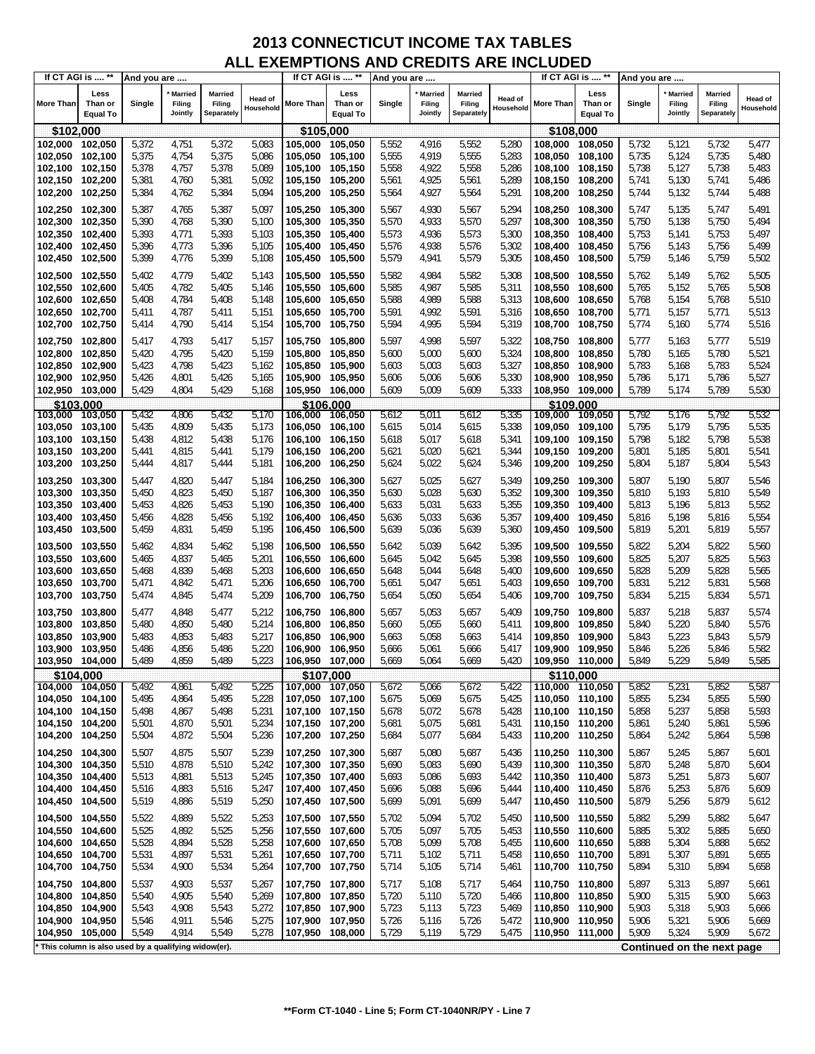|                  | If CT AGI is  **                                    | And you are |                              |                                        |                             |                 | If CT AGI is  **                   | And you are |                                     |                                 |                      |                 | If CT AGI is  **                   | And you are |                                     |                                        |                      |
|------------------|-----------------------------------------------------|-------------|------------------------------|----------------------------------------|-----------------------------|-----------------|------------------------------------|-------------|-------------------------------------|---------------------------------|----------------------|-----------------|------------------------------------|-------------|-------------------------------------|----------------------------------------|----------------------|
| <b>More Than</b> | Less<br>Than or<br><b>Equal To</b>                  | Single      | Married<br>Filing<br>Jointly | <b>Married</b><br>Filing<br>Separately | <b>Head of</b><br>Household | More Than       | Less<br>Than or<br><b>Equal To</b> | Single      | <b>Married</b><br>Filing<br>Jointly | Married<br>Filing<br>Separately | Head of<br>Household | More Than       | Less<br>Than or<br><b>Equal To</b> | Single      | <b>Married</b><br>Filing<br>Jointly | <b>Married</b><br>Filing<br>Separately | Head of<br>Household |
| \$102,000        |                                                     |             |                              |                                        |                             | \$105,000       |                                    |             |                                     |                                 |                      | \$108,000       |                                    |             |                                     |                                        |                      |
| 102,000          | 102,050                                             | 5,372       | 4,751                        | 5,372                                  | 5,083                       | 105,000         | 105,050                            | 5,552       | 4,916                               | 5,552                           | 5,280                | 108,000         | 108,050                            | 5,732       | 5,121                               | 5,732                                  | 5,477                |
| 102,050          | 102,100                                             | 5,375       | 4,754                        | 5,375                                  | 5,086                       | 105,050         | 105,100                            | 5,555       | 4,919                               | 5,555                           | 5,283                | 108,050         | 108,100                            | 5,735       | 5,124                               | 5,735                                  | 5,480                |
| 102,100          | 102,150                                             | 5,378       | 4,757                        | 5,378                                  | 5,089                       | 105,100         | 105,150                            | 5,558       | 4,922                               | 5,558                           | 5,286                | 108,100         | 108,150                            | 5,738       | 5,127                               | 5,738                                  | 5,483                |
|                  |                                                     |             |                              |                                        |                             |                 |                                    |             |                                     |                                 |                      |                 |                                    |             |                                     |                                        |                      |
| 102,150          | 102,200                                             | 5,381       | 4,760                        | 5,381                                  | 5,092                       | 105,150 105,200 |                                    | 5,561       | 4,925                               | 5,561                           | 5,289                | 108,150 108,200 |                                    | 5,741       | 5,130                               | 5,741                                  | 5,486                |
| 102,200          | 102,250                                             | 5,384       | 4,762                        | 5,384                                  | 5,094                       | 105,200         | 105,250                            | 5,564       | 4,927                               | 5,564                           | 5,291                | 108,200         | 108,250                            | 5,744       | 5,132                               | 5,744                                  | 5,488                |
| 102,250          | 102,300                                             | 5,387       | 4,765                        | 5,387                                  | 5,097                       | 105,250         | 105,300                            | 5,567       | 4,930                               | 5,567                           | 5,294                | 108,250 108,300 |                                    | 5,747       | 5,135                               | 5,747                                  | 5,491                |
| 102,300          | 102,350                                             | 5,390       | 4,768                        | 5,390                                  | 5,100                       | 105,300         | 105,350                            | 5,570       | 4,933                               | 5,570                           | 5,297                | 108,300 108,350 |                                    | 5,750       | 5,138                               | 5,750                                  | 5,494                |
| 102,350          | 102,400                                             | 5,393       | 4,771                        | 5,393                                  | 5,103                       | 105,350         | 105,400                            | 5,573       | 4,936                               | 5,573                           | 5,300                | 108,350         | 108,400                            | 5,753       | 5,141                               | 5,753                                  | 5,497                |
| 102,400          | 102,450                                             | 5,396       | 4,773                        | 5,396                                  | 5,105                       | 105,400         | 105,450                            | 5,576       | 4,938                               | 5,576                           | 5,302                | 108,400 108,450 |                                    | 5,756       | 5,143                               | 5,756                                  | 5,499                |
| 102,450          | 102,500                                             | 5,399       | 4,776                        | 5,399                                  | 5,108                       | 105,450         | 105,500                            | 5,579       | 4,941                               | 5,579                           | 5,305                | 108,450         | 108,500                            | 5,759       | 5,146                               | 5,759                                  | 5,502                |
|                  |                                                     |             |                              |                                        |                             |                 |                                    |             |                                     |                                 |                      |                 |                                    |             |                                     |                                        |                      |
| 102,500          | 102,550                                             | 5,402       | 4,779                        | 5,402                                  | 5,143                       | 105,500         | 105,550                            | 5,582       | 4,984                               | 5,582                           | 5,308                | 108,500         | 108,550                            | 5,762       | 5,149                               | 5,762                                  | 5,505                |
| 102,550          | 102,600                                             | 5,405       | 4,782                        | 5,405                                  | 5,146                       | 105,550         | 105,600                            | 5,585       | 4,987                               | 5,585                           | 5,311                | 108,550         | 108,600                            | 5,765       | 5,152                               | 5,765                                  | 5,508                |
| 102,600          | 102,650                                             | 5,408       | 4,784                        | 5,408                                  | 5,148                       | 105,600         | 105,650                            | 5,588       | 4,989                               | 5,588                           | 5,313                | 108,600         | 108,650                            | 5,768       | 5,154                               | 5,768                                  | 5,510                |
| 102,650          | 102,700                                             | 5,411       | 4,787                        | 5,411                                  | 5,151                       | 105,650         | 105,700                            | 5,591       | 4,992                               | 5,591                           | 5,316                | 108,650         | 108,700                            | 5,771       | 5,157                               | 5,771                                  | 5,513                |
| 102,700          | 102,750                                             | 5,414       | 4,790                        | 5,414                                  | 5,154                       | 105,700         | 105,750                            | 5,594       | 4,995                               | 5,594                           | 5,319                | 108,700 108,750 |                                    | 5,774       | 5,160                               | 5,774                                  | 5,516                |
|                  |                                                     |             |                              |                                        |                             |                 |                                    |             |                                     |                                 |                      |                 |                                    |             |                                     |                                        |                      |
| 102,750          | 102,800                                             | 5,417       | 4,793                        | 5,417                                  | 5,157                       | 105,750         | 105,800                            | 5,597       | 4,998                               | 5,597                           | 5,322                | 108,750         | 108,800                            | 5,777       | 5,163                               | 5,777                                  | 5,519                |
| 102,800          | 102,850                                             | 5,420       | 4,795                        | 5,420                                  | 5,159                       | 105,800         | 105,850                            | 5,600       | 5,000                               | 5,600                           | 5,324                | 108,800         | 108,850                            | 5,780       | 5,165                               | 5,780                                  | 5,521                |
| 102,850          | 102,900                                             | 5,423       | 4,798                        | 5,423                                  | 5,162                       | 105,850         | 105,900                            | 5,603       | 5,003                               | 5,603                           | 5,327                | 108,850 108,900 |                                    | 5,783       | 5,168                               | 5,783                                  | 5,524                |
| 102,900          | 102,950                                             | 5,426       | 4,801                        | 5,426                                  | 5,165                       | 105,900         | 105,950                            | 5,606       | 5,006                               | 5,606                           | 5,330                | 108,900 108,950 |                                    | 5,786       | 5,171                               | 5,786                                  | 5,527                |
| 102,950 103,000  |                                                     | 5,429       | 4,804                        | 5,429                                  | 5,168                       | 105,950 106,000 |                                    | 5,609       | 5,009                               | 5,609                           | 5,333                | 108,950 109,000 |                                    | 5,789       | 5,174                               | 5,789                                  | 5,530                |
| \$103.000        |                                                     |             |                              |                                        |                             |                 | \$106.000                          |             |                                     |                                 |                      | \$109.000       |                                    |             |                                     |                                        |                      |
| 103,000          | 103,050                                             | 5,432       | 4,806                        | 5,432                                  | 5,170                       | 106,000         | 106,050                            | 5,612       | 5,011                               | 5,612                           | 5,335                | 109,000         | 109,050                            | 5,792       | 5,176                               | 5,792                                  | 5,532                |
| 103,050 103,100  |                                                     | 5,435       | 4,809                        | 5,435                                  | 5,173                       | 106,050         | 106,100                            | 5,615       | 5,014                               | 5,615                           | 5,338                | 109,050 109,100 |                                    | 5,795       | 5,179                               | 5,795                                  | 5,535                |
| 103,100          | 103,150                                             | 5,438       | 4,812                        | 5,438                                  | 5,176                       | 106,100         | 106,150                            | 5,618       | 5,017                               | 5,618                           | 5,341                | 109,100 109,150 |                                    | 5,798       | 5,182                               | 5,798                                  | 5,538                |
| 103,150          | 103,200                                             | 5,441       | 4,815                        | 5,441                                  | 5,179                       | 106,150         | 106,200                            | 5,621       | 5,020                               | 5,621                           | 5,344                | 109,150 109,200 |                                    | 5,801       | 5,185                               | 5,801                                  | 5,541                |
| 103,200          | 103,250                                             | 5,444       | 4,817                        | 5,444                                  | 5,181                       | 106,200         | 106,250                            | 5,624       | 5,022                               | 5,624                           | 5,346                | 109,200         | 109,250                            | 5,804       | 5,187                               | 5,804                                  | 5,543                |
|                  |                                                     |             |                              |                                        |                             |                 |                                    |             |                                     |                                 |                      |                 |                                    |             |                                     |                                        |                      |
| 103,250          | 103,300                                             | 5,447       | 4,820                        | 5,447                                  | 5,184                       | 106,250         | 106,300                            | 5,627       | 5,025                               | 5,627                           | 5,349                | 109,250         | 109,300                            | 5,807       | 5,190                               | 5,807                                  | 5,546                |
| 103,300          | 103,350                                             | 5,450       | 4,823                        | 5,450                                  | 5,187                       | 106,300         | 106,350                            | 5,630       | 5,028                               | 5,630                           | 5,352                | 109,300 109,350 |                                    | 5,810       | 5,193                               | 5,810                                  | 5,549                |
| 103,350          | 103,400                                             | 5,453       | 4,826                        | 5,453                                  | 5,190                       | 106,350         | 106,400                            | 5,633       | 5,031                               | 5,633                           | 5,355                | 109,350         | 109,400                            | 5,813       | 5,196                               | 5,813                                  | 5,552                |
| 103,400          | 103,450                                             | 5,456       | 4,828                        | 5,456                                  | 5,192                       | 106,400         | 106,450                            | 5,636       | 5,033                               | 5,636                           | 5,357                | 109,400 109,450 |                                    | 5,816       | 5,198                               | 5,816                                  | 5,554                |
| 103,450          | 103,500                                             | 5,459       | 4,831                        | 5,459                                  | 5,195                       | 106,450         | 106,500                            | 5,639       | 5,036                               | 5,639                           | 5,360                | 109,450         | 109,500                            | 5,819       | 5,201                               | 5,819                                  | 5,557                |
|                  |                                                     |             |                              |                                        |                             |                 |                                    |             |                                     |                                 |                      |                 |                                    |             |                                     |                                        |                      |
| 103,500          | 103,550                                             | 5,462       | 4,834                        | 5,462                                  | 5,198                       | 106,500         | 106,550                            | 5,642       | 5,039                               | 5,642                           | 5,395                | 109,500         | 109,550                            | 5,822       | 5,204                               | 5,822                                  | 5,560                |
| 103,550          | 103,600                                             | 5,465       | 4,837                        | 5,465                                  | 5,201                       | 106,550         | 106,600                            | 5,645       | 5,042                               | 5,645                           | 5,398                | 109,550 109,600 |                                    | 5,825       | 5,207                               | 5,825                                  | 5,563                |
| 103,600          | 103,650                                             | 5,468       | 4,839                        | 5,468                                  | 5,203                       | 106,600         | 106,650                            | 5,648       | 5,044                               | 5,648                           | 5,400                | 109,600         | 109,650                            | 5,828       | 5,209                               | 5,828                                  | 5,565                |
| 103,650          | 103,700                                             | 5,471       | 4,842                        | 5,471                                  | 5,206                       | 106,650         | 106,700                            | 5,651       | 5,047                               | 5,651                           | 5,403                | 109,650 109,700 |                                    | 5,831       | 5,212                               | 5,831                                  | 5,568                |
| 103,700          | 103,750                                             | 5,474       | 4,845                        | 5,474                                  | 5,209                       | 106,700         | 106,750                            | 5,654       | 5,050                               | 5,654                           | 5,406                | 109,700 109,750 |                                    | 5,834       | 5,215                               | 5,834                                  | 5,571                |
| 103,750          | 103,800                                             | 5,477       | 4,848                        | 5,477                                  | 5,212                       | 106,750         | 106,800                            | 5,657       | 5,053                               | 5,657                           | 5,409                | 109,750 109,800 |                                    | 5,837       | 5,218                               | 5,837                                  | 5,574                |
| 103,800          | 103,850                                             | 5,480       | 4,850                        | 5,480                                  | 5,214                       | 106,800         | 106,850                            | 5,660       | 5,055                               |                                 | 5,411                | 109,800         | 109,850                            | 5,840       | 5,220                               | 5,840                                  | 5,576                |
|                  |                                                     |             |                              |                                        |                             |                 |                                    |             |                                     | 5,660                           |                      |                 |                                    |             |                                     |                                        |                      |
| 103,850          | 103,900                                             | 5,483       | 4,853                        | 5,483                                  | 5,217                       | 106,850         | 106,900                            | 5,663       | 5,058                               | 5,663                           | 5,414                | 109,850         | 109,900                            | 5,843       | 5,223                               | 5,843                                  | 5,579                |
| 103,900          | 103,950                                             | 5,486       | 4,856                        | 5,486                                  | 5,220                       | 106,900         | 106,950                            | 5,666       | 5,061                               | 5,666                           | 5,417                | 109,900         | 109,950                            | 5,846       | 5,226                               | 5,846                                  | 5,582                |
| 103.950          | 104,000                                             | 5,489       | 4,859                        | 5,489                                  | 5,223                       | 106,950 107,000 |                                    | 5,669       | 5,064                               | 5,669                           | 5,420                | 109,950 110,000 |                                    | 5,849       | 5,229                               | 5,849                                  | 5,585                |
| \$104,000        |                                                     |             |                              |                                        |                             |                 | \$107,000                          |             |                                     |                                 |                      | \$110,000       |                                    |             |                                     |                                        |                      |
| 104,000 104,050  |                                                     | 5,492       | 4,861                        | 5,492                                  | 5,225                       | 107,000         | 107,050                            | 5,672       | 5,066                               | 5,672                           | 5,422                | 110,000 110,050 |                                    | 5,852       | 5,231                               | 5,852                                  | 5,587                |
| 104,050 104,100  |                                                     | 5,495       | 4,864                        | 5,495                                  | 5,228                       | 107,050 107,100 |                                    | 5,675       | 5,069                               | 5,675                           | 5,425                | 110,050 110,100 |                                    | 5,855       | 5,234                               | 5,855                                  | 5,590                |
| 104,100          | 104,150                                             | 5,498       | 4,867                        | 5,498                                  | 5,231                       | 107,100 107,150 |                                    | 5,678       | 5,072                               | 5,678                           | 5,428                | 110,100 110,150 |                                    | 5,858       | 5,237                               | 5,858                                  | 5,593                |
| 104,150          | 104,200                                             | 5,501       | 4,870                        | 5,501                                  | 5,234                       | 107,150 107,200 |                                    | 5,681       | 5,075                               | 5,681                           | 5,431                | 110,150 110,200 |                                    | 5,861       | 5,240                               | 5,861                                  | 5,596                |
| 104,200          | 104,250                                             | 5,504       | 4,872                        | 5,504                                  | 5,236                       | 107,200         | 107,250                            | 5,684       | 5,077                               | 5,684                           | 5,433                | 110,200 110,250 |                                    | 5,864       | 5,242                               | 5,864                                  | 5,598                |
| 104,250          | 104,300                                             | 5,507       | 4,875                        | 5,507                                  | 5,239                       | 107,250 107,300 |                                    | 5,687       | 5,080                               | 5,687                           | 5,436                | 110,250 110,300 |                                    | 5,867       | 5,245                               | 5,867                                  | 5,601                |
| 104,300          | 104,350                                             | 5,510       | 4,878                        | 5,510                                  | 5,242                       | 107,300 107,350 |                                    | 5,690       | 5,083                               | 5,690                           | 5,439                | 110,300 110,350 |                                    | 5,870       | 5,248                               | 5,870                                  | 5,604                |
|                  |                                                     |             |                              |                                        |                             |                 |                                    | 5,693       |                                     |                                 |                      |                 |                                    |             |                                     |                                        |                      |
| 104,350          | 104,400                                             | 5,513       | 4,881                        | 5,513                                  | 5,245                       | 107,350         | 107,400                            |             | 5,086                               | 5,693                           | 5,442                | 110,350 110,400 |                                    | 5,873       | 5,251                               | 5,873                                  | 5,607                |
| 104,400          | 104,450                                             | 5,516       | 4,883                        | 5,516                                  | 5,247                       | 107,400 107,450 |                                    | 5,696       | 5,088                               | 5,696                           | 5,444                | 110,400 110,450 |                                    | 5,876       | 5,253                               | 5,876                                  | 5,609                |
| 104,450          | 104,500                                             | 5,519       | 4,886                        | 5,519                                  | 5,250                       | 107,450 107,500 |                                    | 5,699       | 5,091                               | 5,699                           | 5,447                | 110,450         | 110,500                            | 5,879       | 5,256                               | 5,879                                  | 5,612                |
| 104,500          | 104,550                                             | 5,522       | 4,889                        | 5,522                                  | 5,253                       | 107,500 107,550 |                                    | 5,702       | 5,094                               | 5,702                           | 5,450                | 110,500 110,550 |                                    | 5,882       | 5,299                               | 5,882                                  | 5,647                |
| 104,550          | 104,600                                             | 5,525       | 4,892                        | 5,525                                  | 5,256                       | 107,550 107,600 |                                    | 5,705       | 5,097                               | 5,705                           | 5,453                | 110,550 110,600 |                                    | 5,885       | 5,302                               | 5,885                                  | 5,650                |
| 104,600          | 104,650                                             | 5,528       | 4,894                        | 5,528                                  | 5,258                       | 107,600         | 107,650                            | 5,708       | 5,099                               | 5,708                           | 5,455                | 110,600 110,650 |                                    | 5,888       | 5,304                               | 5,888                                  | 5,652                |
| 104,650          | 104,700                                             | 5,531       | 4,897                        | 5,531                                  | 5,261                       | 107,650         | 107,700                            | 5,711       | 5,102                               | 5,711                           | 5,458                | 110,650 110,700 |                                    | 5,891       | 5,307                               | 5,891                                  | 5,655                |
| 104,700          | 104,750                                             | 5,534       | 4,900                        | 5,534                                  | 5,264                       | 107,700 107,750 |                                    | 5,714       | 5,105                               | 5,714                           | 5,461                | 110,700 110,750 |                                    | 5,894       | 5,310                               | 5,894                                  | 5,658                |
|                  |                                                     |             |                              |                                        |                             |                 |                                    |             |                                     |                                 |                      |                 |                                    |             |                                     |                                        |                      |
| 104,750          | 104,800                                             | 5,537       | 4,903                        | 5,537                                  | 5,267                       | 107,750 107,800 |                                    | 5,717       | 5,108                               | 5,717                           | 5,464                | 110,750 110,800 |                                    | 5,897       | 5,313                               | 5,897                                  | 5,661                |
| 104,800          | 104,850                                             | 5,540       | 4,905                        | 5,540                                  | 5,269                       | 107,800         | 107,850                            | 5,720       | 5,110                               | 5,720                           | 5,466                | 110,800 110,850 |                                    | 5,900       | 5,315                               | 5,900                                  | 5,663                |
| 104,850          | 104,900                                             | 5,543       | 4,908                        | 5,543                                  | 5,272                       | 107,850         | 107,900                            | 5,723       | 5,113                               | 5,723                           | 5,469                | 110,850 110,900 |                                    | 5,903       | 5,318                               | 5,903                                  | 5,666                |
| 104,900          | 104,950                                             | 5,546       | 4,911                        | 5,546                                  | 5,275                       | 107,900         | 107,950                            | 5,726       | 5,116                               | 5,726                           | 5,472                | 110,900 110,950 |                                    | 5,906       | 5,321                               | 5,906                                  | 5,669                |
| 104,950          | 105,000                                             | 5,549       | 4,914                        | 5,549                                  | 5,278                       | 107,950         | 108,000                            | 5,729       | 5,119                               | 5,729                           | 5,475                | 110,950 111,000 |                                    | 5,909       | 5,324                               | 5,909                                  | 5,672                |
|                  | This column is also used by a qualifying widow(er). |             |                              |                                        |                             |                 |                                    |             |                                     |                                 |                      |                 |                                    |             |                                     | Continued on the next page             |                      |
|                  |                                                     |             |                              |                                        |                             |                 |                                    |             |                                     |                                 |                      |                 |                                    |             |                                     |                                        |                      |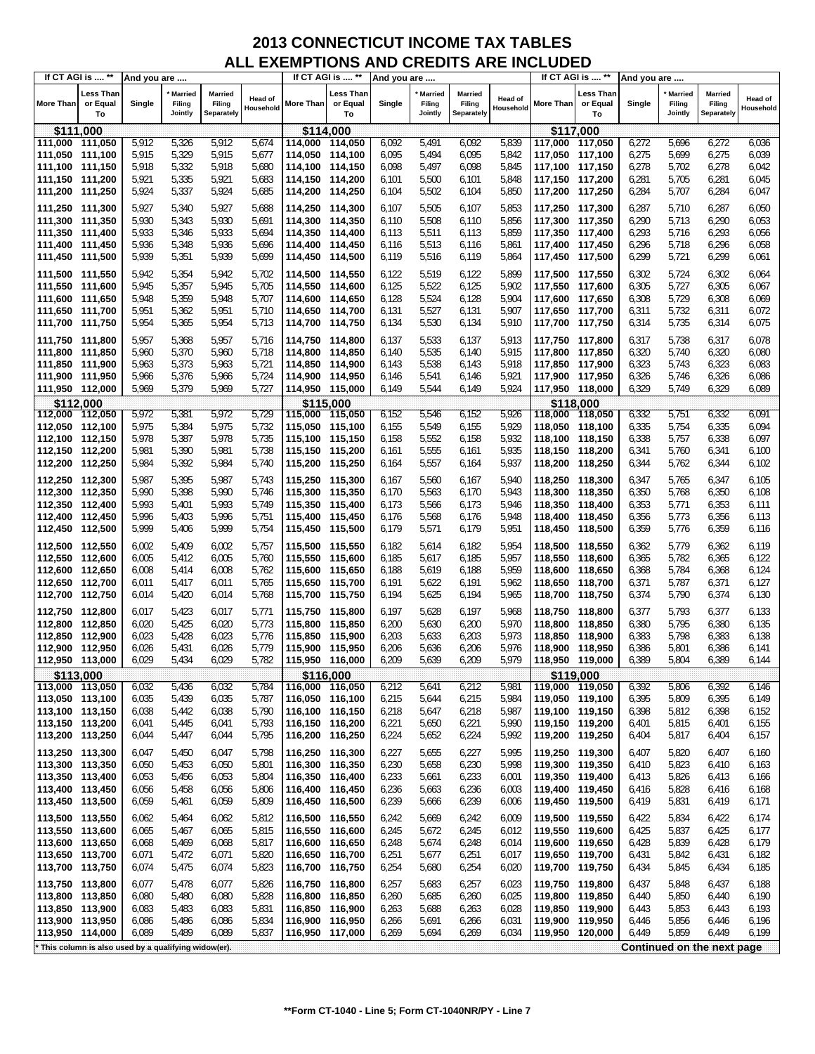|                                    | If CT AGI is  **                                    | And you are    |                              |                                 |                             |                                    | If CT AGI is  **            | And you are    |                                     |                                        |                      |                                    | If CT AGI is  **                   | And you are    |                                     |                                        |                             |
|------------------------------------|-----------------------------------------------------|----------------|------------------------------|---------------------------------|-----------------------------|------------------------------------|-----------------------------|----------------|-------------------------------------|----------------------------------------|----------------------|------------------------------------|------------------------------------|----------------|-------------------------------------|----------------------------------------|-----------------------------|
| <b>More Than</b>                   | Less Than<br>or Equal<br>To                         | Single         | Married<br>Filing<br>Jointly | Married<br>Filing<br>Separately | <b>Head of</b><br>Household | More Than                          | Less Than<br>or Equal<br>To | Single         | <b>Married</b><br>Filing<br>Jointly | <b>Married</b><br>Filing<br>Separately | Head of<br>Household | More Than                          | <b>Less Than</b><br>or Equal<br>To | Single         | <b>Married</b><br>Filing<br>Jointly | <b>Married</b><br>Filing<br>Separately | <b>Head of</b><br>Household |
|                                    | \$111,000                                           |                |                              |                                 |                             |                                    | \$114,000                   |                |                                     |                                        |                      |                                    | \$117,000                          |                |                                     |                                        |                             |
| 111,000 111,050                    |                                                     | 5,912          | 5,326                        | 5,912                           | 5,674                       | 114,000 114,050                    |                             | 6,092          | 5,491                               | 6,092                                  | 5,839                | 117,000 117,050                    |                                    | 6,272          | 5,696                               | 6,272                                  | 6,036                       |
| 111,050 111,100                    |                                                     | 5,915          | 5,329                        | 5,915                           | 5,677                       | 114,050 114,100                    |                             | 6,095          | 5,494                               | 6,095                                  | 5,842                | 117,050 117,100                    |                                    | 6,275          | 5,699                               | 6,275                                  | 6,039                       |
| 111,100 111,150                    |                                                     | 5,918          | 5,332                        | 5,918                           | 5,680                       | 114,100 114,150                    |                             | 6,098          | 5,497                               | 6,098                                  | 5,845                | 117,100 117,150                    |                                    | 6,278          | 5,702                               | 6,278                                  | 6,042                       |
| 111,150 111,200                    |                                                     | 5,921          | 5,335                        | 5,921                           | 5,683                       | 114,150 114,200                    |                             | 6,101          | 5,500                               | 6,101                                  | 5,848                | 117,150 117,200                    |                                    | 6,281          | 5,705                               | 6,281                                  | 6,045                       |
| 111,200 111,250                    |                                                     | 5,924          | 5,337                        | 5,924                           | 5,685                       | 114,200 114,250                    |                             | 6,104          | 5,502                               | 6,104                                  | 5,850                | 117,200 117,250                    |                                    | 6,284          | 5,707                               | 6,284                                  | 6,047                       |
| 111,250 111,300                    |                                                     | 5,927          | 5,340                        | 5,927                           | 5,688                       | 114,250 114,300                    |                             | 6,107          | 5,505                               | 6,107                                  | 5,853                | 117,250 117,300                    |                                    | 6,287          | 5,710                               | 6,287                                  | 6,050                       |
| 111,300 111,350                    |                                                     | 5,930          | 5,343                        | 5,930                           | 5,691                       | 114,300 114,350                    |                             | 6,110          | 5,508                               | 6,110                                  | 5,856                | 117,300 117,350                    |                                    | 6,290          | 5,713                               | 6,290                                  | 6,053                       |
| 111,350 111,400                    |                                                     | 5,933          | 5,346                        | 5,933                           | 5,694                       | 114,350 114,400                    |                             | 6,113          | 5,511                               | 6,113                                  | 5,859                | 117,350 117,400                    |                                    | 6,293          | 5,716                               | 6,293                                  | 6,056                       |
| 111,400 111,450                    |                                                     | 5,936          | 5,348                        | 5,936                           | 5,696                       | 114,400 114,450                    |                             | 6,116          | 5,513                               | 6,116                                  | 5,861                | 117,400 117,450                    |                                    | 6,296          | 5,718                               | 6,296                                  | 6,058                       |
| 111,450 111,500                    |                                                     | 5,939          | 5,351                        | 5,939                           | 5,699                       | 114,450 114,500                    |                             | 6,119          | 5,516                               | 6,119                                  | 5,864                | 117,450 117,500                    |                                    | 6,299          | 5,721                               | 6,299                                  | 6,061                       |
| 111,500 111,550                    |                                                     | 5,942          | 5,354                        | 5,942                           | 5,702                       | 114,500 114,550                    |                             | 6,122          | 5,519                               | 6,122                                  | 5,899                | 117,500 117,550                    |                                    | 6,302          | 5,724                               | 6,302                                  | 6,064                       |
| 111,550 111,600                    |                                                     | 5,945          | 5,357                        | 5,945                           | 5,705                       | 114,550 114,600                    |                             | 6,125          | 5,522                               | 6,125                                  | 5,902                | 117,550 117,600                    |                                    | 6,305          | 5,727                               | 6,305                                  | 6,067                       |
| 111,600                            | 111,650                                             | 5,948          | 5,359                        | 5,948                           | 5,707                       | 114,600 114,650                    |                             | 6,128          | 5,524                               | 6,128                                  | 5,904                | 117,600 117,650                    |                                    | 6,308          | 5,729                               | 6,308                                  | 6,069                       |
| 111,650 111,700                    |                                                     | 5,951          | 5,362                        | 5,951                           | 5,710                       | 114,650 114,700                    |                             | 6,131          | 5,527                               | 6,131                                  | 5,907                | 117,650 117,700                    |                                    | 6,311          | 5,732                               | 6,311                                  | 6,072                       |
| 111,700 111,750                    |                                                     | 5,954          | 5,365                        | 5,954                           | 5,713                       | 114,700 114,750                    |                             | 6,134          | 5,530                               | 6,134                                  | 5,910                | 117,700 117,750                    |                                    | 6,314          | 5,735                               | 6,314                                  | 6,075                       |
| 111,750 111,800                    |                                                     | 5,957          | 5,368                        | 5,957                           | 5,716                       | 114,750 114,800                    |                             | 6,137          | 5,533                               | 6,137                                  | 5,913                | 117,750 117,800                    |                                    | 6,317          | 5,738                               | 6,317                                  | 6,078                       |
| 111,800 111,850                    |                                                     | 5,960          | 5,370                        | 5,960                           | 5,718                       | 114,800 114,850                    |                             | 6,140          | 5,535                               | 6,140                                  | 5,915                | 117,800 117,850                    |                                    | 6,320          | 5,740                               | 6,320                                  | 6,080                       |
| 111,850 111,900                    |                                                     | 5,963          | 5,373                        | 5,963                           | 5,721                       | 114,850 114,900                    |                             | 6,143          | 5,538                               | 6,143                                  | 5,918                | 117,850 117,900                    |                                    | 6,323          | 5,743                               | 6,323                                  | 6,083                       |
| 111,900 111,950                    |                                                     | 5,966          | 5,376                        | 5,966                           | 5,724                       | 114,900 114,950                    |                             | 6,146          | 5,541                               | 6,146                                  | 5,921                | 117,900 117,950                    |                                    | 6,326          | 5,746                               | 6,326                                  | 6,086                       |
| 111,950 112,000                    |                                                     | 5,969          | 5,379                        | 5,969                           | 5,727                       | 114,950 115,000                    |                             | 6,149          | 5,544                               | 6,149                                  | 5,924                | 117,950 118,000                    |                                    | 6,329          | 5,749                               | 6,329                                  | 6,089                       |
|                                    | \$112,000                                           |                |                              |                                 |                             |                                    | \$115,000                   |                |                                     |                                        |                      |                                    | \$118,000                          |                |                                     |                                        |                             |
| 112,000 112,050                    |                                                     | 5,972          | 5,381                        | 5,972                           | 5,729                       | 115,000 115,050                    |                             | 6,152          | 5,546                               | 6,152                                  | 5,926                | 118,000 118,050                    |                                    | 6,332          | 5,751                               | 6,332                                  | 6,091                       |
| 112,050 112,100                    |                                                     | 5,975          | 5,384                        | 5,975                           | 5,732                       | 115,050 115,100                    |                             | 6,155          | 5,549                               | 6,155                                  | 5,929                | 118,050 118,100                    |                                    | 6,335          | 5,754                               | 6,335                                  | 6,094                       |
| 112,100 112,150                    |                                                     | 5,978          | 5,387                        | 5,978                           | 5,735                       | 115,100 115,150                    |                             | 6,158          | 5,552                               | 6,158                                  | 5,932                | 118,100 118,150                    |                                    | 6,338          | 5,757                               | 6,338                                  | 6,097                       |
| 112,150 112,200                    |                                                     | 5,981          | 5,390                        | 5,981                           | 5,738                       | 115,150 115,200                    |                             | 6,161          | 5,555                               | 6,161                                  | 5,935                | 118,150 118,200                    |                                    | 6,341          | 5,760                               | 6,341                                  | 6,100                       |
| 112,200 112,250                    |                                                     | 5,984          | 5,392                        | 5,984                           | 5,740                       | 115,200 115,250                    |                             | 6,164          | 5,557                               | 6,164                                  | 5,937                | 118,200 118,250                    |                                    | 6,344          | 5,762                               | 6,344                                  | 6,102                       |
| 112,250 112,300                    |                                                     | 5,987          | 5,395                        | 5,987                           | 5,743                       | 115,250 115,300                    |                             | 6,167          | 5,560                               | 6,167                                  | 5,940                | 118,250 118,300                    |                                    | 6,347          | 5,765                               | 6,347                                  | 6,105                       |
| 112,300 112,350                    |                                                     | 5,990          | 5,398                        | 5,990                           | 5,746                       | 115,300 115,350                    |                             | 6,170          | 5,563                               | 6,170                                  | 5,943                | 118,300 118,350                    |                                    | 6,350          | 5,768                               | 6,350                                  | 6,108                       |
| 112,350 112,400                    |                                                     | 5,993          | 5,401                        | 5,993                           | 5,749                       | 115,350 115,400                    |                             | 6,173          | 5,566                               | 6,173                                  | 5,946                | 118,350 118,400                    |                                    | 6,353          | 5,771                               | 6,353                                  | 6,111                       |
| 112,400 112,450                    |                                                     | 5,996          | 5,403                        | 5,996                           | 5,751                       | 115,400 115,450                    |                             | 6,176          | 5,568                               | 6,176                                  | 5,948                | 118,400 118,450                    |                                    | 6,356          | 5,773                               | 6,356                                  | 6,113                       |
| 112,450 112,500                    |                                                     | 5,999          | 5,406                        | 5,999                           | 5,754                       | 115,450 115,500                    |                             | 6,179          | 5,571                               | 6,179                                  | 5,951                | 118,450 118,500                    |                                    | 6,359          | 5,776                               | 6,359                                  | 6,116                       |
| 112,500 112,550                    |                                                     | 6,002          | 5,409                        | 6,002                           | 5,757                       | 115,500 115,550                    |                             | 6,182          | 5,614                               | 6,182                                  | 5,954                | 118,500 118,550                    |                                    | 6,362          | 5,779                               | 6,362                                  | 6,119                       |
| 112,550 112,600                    |                                                     | 6,005          | 5,412                        | 6,005                           | 5,760                       | 115,550 115,600                    |                             | 6,185          | 5,617                               | 6,185                                  | 5,957                | 118,550 118,600                    |                                    | 6,365          | 5,782                               | 6,365                                  | 6,122                       |
| 112,600 112,650                    |                                                     | 6,008          | 5,414                        | 6,008                           | 5,762                       | 115,600 115,650                    |                             | 6,188          | 5,619                               | 6,188                                  | 5,959                | 118,600 118,650                    |                                    | 6,368          | 5,784                               | 6,368                                  | 6,124                       |
| 112,650 112,700                    |                                                     | 6,011          | 5,417                        | 6,011                           | 5,765                       | 115,650 115,700                    |                             | 6,191          | 5,622                               | 6,191                                  | 5,962                | 118,650 118,700                    |                                    | 6,371          | 5,787                               | 6,371                                  | 6,127                       |
| 112,700 112,750                    |                                                     | 6,014          | 5,420                        | 6,014                           | 5,768                       | 115,700 115,750                    |                             | 6,194          | 5,625                               | 6,194                                  | 5,965                | 118,700 118,750                    |                                    | 6,374          | 5,790                               | 6,374                                  | 6,130                       |
| 112,750 112,800                    |                                                     | 6,017          | 5,423                        | 6,017                           | 5,771                       | 115,750 115,800                    |                             | 6,197          | 5,628                               | 6,197                                  | 5,968                | 118,750 118,800                    |                                    | 6,377          | 5,793                               | 6,377                                  | 6,133                       |
| 112,800 112,850                    |                                                     | 6,020          | 5,425                        | 6,020                           | 5,773                       | 115,800 115,850                    |                             | 6,200          | 5,630                               | 6,200                                  | 5,970                | 118,800 118,850                    |                                    | 6,380          | 5,795                               | 6,380                                  | 6,135                       |
| 112,850 112,900                    |                                                     | 6,023          | 5,428                        | 6,023                           | 5,776                       | 115,850 115,900                    |                             | 6,203          | 5,633                               | 6,203                                  | 5,973                | 118,850 118,900                    |                                    | 6,383          | 5,798                               | 6,383                                  | 6,138                       |
| 112,900 112,950                    |                                                     | 6,026          | 5,431                        | 6,026                           | 5,779                       | 115,900 115,950                    |                             | 6,206          | 5,636                               | 6,206                                  | 5,976                | 118,900 118,950                    |                                    | 6,386          | 5,801                               | 6,386                                  | 6,141                       |
| 112,950 113,000                    |                                                     | 6,029          | 5,434                        | 6,029                           | 5,782                       | 115,950 116,000                    |                             | 6,209          | 5,639                               | 6,209                                  | 5,979                | 118,950 119,000                    |                                    | 6,389          | 5,804                               | 6,389                                  | 6,144                       |
|                                    | \$113,000                                           |                |                              |                                 |                             | \$116,000                          |                             |                |                                     |                                        |                      |                                    | \$119,000                          |                |                                     |                                        |                             |
| 113,000 113,050                    |                                                     | 6,032          | 5,436                        | 6,032                           | 5,784                       | 116,000 116,050                    |                             | 6,212          | 5,641                               | 6,212                                  | 5,981                | 119,000 119,050                    |                                    | 6,392          | 5,806                               | 6,392                                  | 6,146                       |
| 113,050 113,100                    |                                                     | 6,035          | 5,439                        | 6,035                           | 5,787                       | 116,050 116,100<br>116,100 116,150 |                             | 6,215          | 5,644                               | 6,215                                  | 5,984                | 119,050 119,100                    |                                    | 6,395          | 5,809                               | 6,395                                  | 6,149                       |
| 113,100 113,150                    |                                                     | 6,038          | 5,442                        | 6,038                           | 5,790                       |                                    |                             | 6,218          | 5,647                               | 6,218                                  | 5,987                | 119,100 119,150                    |                                    | 6,398          | 5,812                               | 6,398                                  | 6,152                       |
| 113,150 113,200<br>113,200 113,250 |                                                     | 6,041<br>6,044 | 5,445<br>5,447               | 6,041<br>6,044                  | 5,793<br>5,795              | 116,150 116,200<br>116,200 116,250 |                             | 6,221<br>6,224 | 5,650<br>5,652                      | 6,221<br>6,224                         | 5,990<br>5,992       | 119,150 119,200<br>119,200 119,250 |                                    | 6,401<br>6,404 | 5,815<br>5,817                      | 6,401<br>6,404                         | 6,155<br>6,157              |
|                                    |                                                     |                |                              |                                 |                             |                                    |                             |                |                                     |                                        |                      |                                    |                                    |                |                                     |                                        |                             |
| 113,250 113,300                    |                                                     | 6,047          | 5,450                        | 6,047                           | 5,798                       | 116,250 116,300                    |                             | 6,227          | 5,655                               | 6,227                                  | 5,995                | 119,250 119,300                    |                                    | 6,407          | 5,820                               | 6,407                                  | 6,160                       |
| 113,300 113,350<br>113,350 113,400 |                                                     | 6,050          | 5,453                        | 6,050                           | 5,801                       | 116,300 116,350                    |                             | 6,230          | 5,658                               | 6,230                                  | 5,998                | 119,300 119,350<br>119,350 119,400 |                                    | 6,410          | 5,823                               | 6,410                                  | 6,163                       |
| 113,400 113,450                    |                                                     | 6,053<br>6,056 | 5,456<br>5,458               | 6,053<br>6,056                  | 5,804<br>5,806              | 116,350 116,400<br>116,400 116,450 |                             | 6,233<br>6,236 | 5,661<br>5,663                      | 6,233<br>6,236                         | 6,001<br>6,003       | 119,400 119,450                    |                                    | 6,413<br>6,416 | 5,826<br>5,828                      | 6,413<br>6,416                         | 6,166<br>6,168              |
| 113,450 113,500                    |                                                     | 6,059          | 5,461                        | 6,059                           | 5,809                       | 116,450 116,500                    |                             | 6,239          | 5,666                               | 6,239                                  | 6,006                | 119,450 119,500                    |                                    | 6,419          | 5,831                               | 6,419                                  | 6,171                       |
|                                    |                                                     |                |                              |                                 |                             |                                    |                             |                |                                     |                                        |                      |                                    |                                    |                |                                     |                                        |                             |
| 113,500 113,550                    |                                                     | 6,062          | 5,464                        | 6,062                           | 5,812                       | 116,500 116,550                    |                             | 6,242          | 5,669                               | 6,242                                  | 6,009                | 119,500 119,550                    |                                    | 6,422          | 5,834                               | 6,422                                  | 6,174                       |
| 113,550 113,600                    |                                                     | 6,065          | 5,467                        | 6,065                           | 5,815                       | 116,550 116,600                    |                             | 6,245          | 5,672                               | 6,245                                  | 6,012                | 119,550 119,600                    |                                    | 6,425          | 5,837                               | 6,425                                  | 6,177                       |
| 113,600 113,650                    |                                                     | 6,068          | 5,469                        | 6,068                           | 5,817                       | 116,600 116,650<br>116,650 116,700 |                             | 6,248<br>6,251 | 5,674                               | 6,248                                  | 6,014                | 119,600 119,650                    |                                    | 6,428          | 5,839                               | 6,428                                  | 6,179                       |
| 113,650 113,700<br>113,700 113,750 |                                                     | 6,071          | 5,472                        | 6,071<br>6,074                  | 5,820                       | 116,700 116,750                    |                             |                | 5,677                               | 6,251                                  | 6,017                | 119,650 119,700<br>119,700 119,750 |                                    | 6,431          | 5,842<br>5,845                      | 6,431<br>6,434                         | 6,182                       |
|                                    |                                                     | 6,074          | 5,475                        |                                 | 5,823                       |                                    |                             | 6,254          | 5,680                               | 6,254                                  | 6,020                |                                    |                                    | 6,434          |                                     |                                        | 6,185                       |
| 113,750 113,800                    |                                                     | 6,077          | 5,478                        | 6,077                           | 5,826                       | 116,750 116,800                    |                             | 6,257          | 5,683                               | 6,257                                  | 6,023                | 119,750 119,800                    |                                    | 6,437          | 5,848                               | 6,437                                  | 6,188                       |
| 113,800 113,850                    |                                                     | 6,080          | 5,480                        | 6,080                           | 5,828                       | 116,800 116,850                    |                             | 6,260          | 5,685                               | 6,260                                  | 6,025                | 119,800 119,850                    |                                    | 6,440          | 5,850                               | 6,440                                  | 6,190                       |
| 113,850 113,900                    |                                                     | 6,083          | 5,483                        | 6,083                           | 5,831                       | 116,850 116,900                    |                             | 6,263          | 5,688                               | 6,263                                  | 6,028                | 119,850 119,900                    |                                    | 6,443          | 5,853                               | 6,443                                  | 6,193                       |
| 113,900 113,950                    |                                                     | 6,086          | 5,486                        | 6,086                           | 5,834                       | 116,900 116,950                    |                             | 6,266          | 5,691                               | 6,266                                  | 6,031                | 119,900 119,950                    |                                    | 6,446          | 5,856                               | 6,446                                  | 6,196                       |
| 113,950 114,000                    |                                                     | 6,089          | 5,489                        | 6,089                           | 5,837                       | 116,950 117,000                    |                             | 6,269          | 5,694                               | 6,269                                  | 6,034                | 119,950 120,000                    |                                    | 6,449          | 5,859                               | 6,449                                  | 6,199                       |
|                                    | This column is also used by a qualifying widow(er). |                |                              |                                 |                             |                                    |                             |                |                                     |                                        |                      |                                    |                                    |                |                                     | Continued on the next page             |                             |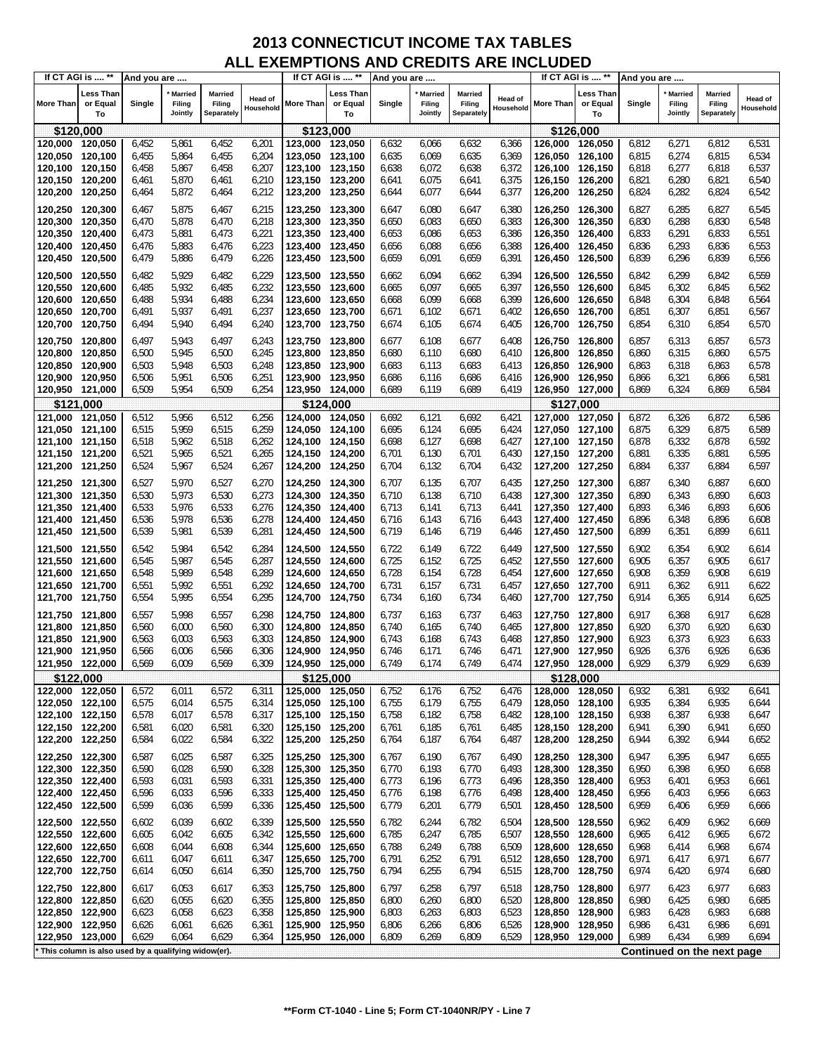| If CT AGI is  **                                      |                             | And you are    |                                     |                                 |                             |                                    | If CT AGI is  **            | And you are    |                                     |                                 |                      |                            | If CT AGI is  **                   | And you are    |                                     |                                        |                             |
|-------------------------------------------------------|-----------------------------|----------------|-------------------------------------|---------------------------------|-----------------------------|------------------------------------|-----------------------------|----------------|-------------------------------------|---------------------------------|----------------------|----------------------------|------------------------------------|----------------|-------------------------------------|----------------------------------------|-----------------------------|
| <b>More Than</b>                                      | Less Than<br>or Equal<br>To | Single         | <b>Married</b><br>Filing<br>Jointly | Married<br>Filing<br>Separately | <b>Head of</b><br>Household | More Than                          | Less Than<br>or Equal<br>To | Single         | <b>Married</b><br>Filing<br>Jointly | Married<br>Filing<br>Separately | Head of<br>Household | <b>More Than</b>           | <b>Less Than</b><br>or Equal<br>To | Single         | <b>Married</b><br>Filing<br>Jointly | <b>Married</b><br>Filing<br>Separately | <b>Head of</b><br>Household |
| \$120,000                                             |                             |                |                                     |                                 |                             | \$123,000                          |                             |                |                                     |                                 |                      |                            | \$126,000                          |                |                                     |                                        |                             |
| 120,000 120,050                                       |                             | 6,452          | 5,861                               | 6,452                           | 6,201                       | 123,000 123,050                    |                             | 6,632          | 6,066                               | 6,632                           | 6,366                | 126,000                    | 126,050                            | 6,812          | 6,271                               | 6,812                                  | 6,531                       |
| 120,050                                               | 120,100                     | 6,455          | 5,864                               | 6,455                           | 6,204                       | 123,050                            | 123,100                     | 6,635          | 6,069                               | 6,635                           | 6,369                | 126,050                    | 126,100                            | 6,815          | 6,274                               | 6,815                                  | 6,534                       |
| 120,100                                               | 120,150                     | 6,458          | 5,867                               | 6,458                           | 6,207                       | 123,100 123,150                    |                             | 6,638          | 6,072                               | 6,638                           | 6,372                | 126,100                    | 126,150                            | 6,818          | 6,277                               | 6,818                                  | 6,537                       |
| 120,150                                               | 120,200                     | 6,461          | 5,870                               | 6,461                           | 6,210                       | 123,150 123,200                    |                             | 6,641          | 6,075                               | 6,641                           | 6,375                | 126,150                    | 126,200                            | 6,821          | 6,280                               | 6,821                                  | 6,540                       |
| 120,200                                               | 120,250                     | 6,464          | 5,872                               | 6,464                           | 6,212                       | 123,200 123,250                    |                             | 6,644          | 6,077                               | 6,644                           | 6,377                | 126,200                    | 126,250                            | 6,824          | 6,282                               | 6,824                                  | 6,542                       |
| 120,250 120,300                                       |                             | 6,467          | 5,875                               | 6,467                           | 6,215                       | 123,250 123,300                    |                             | 6,647          | 6,080                               | 6,647                           | 6,380                | 126,250                    | 126,300                            | 6,827          | 6,285                               | 6,827                                  | 6,545                       |
| 120,300                                               | 120,350                     | 6,470          | 5,878                               | 6,470                           | 6,218                       | 123,300 123,350                    |                             | 6,650          | 6,083                               | 6,650                           | 6,383                | 126,300                    | 126,350                            | 6,830          | 6,288                               | 6,830                                  | 6,548                       |
| 120,350                                               | 120,400                     | 6,473          | 5,881                               | 6,473                           | 6,221                       | 123,350                            | 123,400                     | 6,653          | 6,086                               | 6,653                           | 6,386                | 126,350                    | 126,400                            | 6,833          | 6,291                               | 6,833                                  | 6,551                       |
| 120,400                                               | 120,450                     | 6,476          | 5,883                               | 6,476                           | 6,223                       | 123,400 123,450                    |                             | 6,656          | 6,088                               | 6,656                           | 6,388                | 126,400                    | 126,450                            | 6,836          | 6,293                               | 6,836                                  | 6,553                       |
| 120,450                                               | 120,500                     | 6,479          | 5,886                               | 6,479                           | 6,226                       | 123,450 123,500                    |                             | 6,659          | 6,091                               | 6,659                           | 6,391                | 126,450                    | 126,500                            | 6,839          | 6,296                               | 6,839                                  | 6,556                       |
| 120,500                                               | 120,550                     | 6,482          | 5,929                               | 6,482                           | 6,229                       | 123,500 123,550                    |                             | 6,662          | 6,094                               | 6,662                           | 6,394                | 126,500                    | 126,550                            | 6,842          | 6,299                               | 6,842                                  | 6,559                       |
| 120,550 120,600                                       |                             | 6,485          | 5,932                               | 6,485                           | 6,232                       | 123,550 123,600                    |                             | 6,665          | 6,097                               | 6,665                           | 6,397                | 126,550                    | 126,600                            | 6,845          | 6,302                               | 6,845                                  | 6,562                       |
| 120,600                                               | 120,650                     | 6,488          | 5,934                               | 6,488                           | 6,234                       | 123,600                            | 123,650                     | 6,668          | 6,099                               | 6,668                           | 6,399                | 126,600                    | 126,650                            | 6,848          | 6,304                               | 6,848                                  | 6,564                       |
| 120,650                                               | 120,700                     | 6,491          | 5,937                               | 6,491                           | 6,237                       | 123,650 123,700                    |                             | 6,671          | 6,102                               | 6,671                           | 6,402                | 126,650                    | 126,700                            | 6,851          | 6,307                               | 6,851                                  | 6,567                       |
| 120,700                                               | 120,750                     | 6,494          | 5,940                               | 6,494                           | 6,240                       | 123,700 123,750                    |                             | 6,674          | 6,105                               | 6,674                           | 6,405                | 126,700                    | 126,750                            | 6,854          | 6,310                               | 6,854                                  | 6,570                       |
| 120,750 120,800                                       |                             | 6,497          | 5,943                               | 6,497                           | 6,243                       | 123,750 123,800                    |                             | 6,677          | 6,108                               | 6,677                           | 6,408                | 126,750 126,800            |                                    | 6,857          | 6,313                               | 6,857                                  | 6,573                       |
| 120,800                                               | 120,850                     | 6,500          | 5,945                               | 6,500                           | 6,245                       | 123,800 123,850                    |                             | 6,680          | 6,110                               | 6,680                           | 6,410                | 126,800                    | 126,850                            | 6,860          | 6,315                               | 6,860                                  | 6,575                       |
| 120,850                                               | 120,900                     | 6,503          | 5,948                               | 6,503                           | 6,248                       | 123,850                            | 123,900                     | 6,683          | 6,113                               | 6,683                           | 6,413                | 126,850                    | 126,900                            | 6,863          | 6,318                               | 6,863                                  | 6,578                       |
| 120,900                                               | 120,950                     | 6,506          | 5,951                               | 6,506                           | 6,251                       | 123,900                            | 123,950                     | 6,686          | 6,116                               | 6,686                           | 6,416                | 126,900                    | 126.950                            | 6,866          | 6,321                               | 6,866                                  | 6,581                       |
| 120,950                                               | 121,000                     | 6,509          | 5,954                               | 6,509                           | 6,254                       | 123,950 124,000                    |                             | 6,689          | 6,119                               | 6,689                           | 6,419                | 126,950 127,000            |                                    | 6,869          | 6,324                               | 6,869                                  | 6,584                       |
| \$121,000                                             |                             |                |                                     |                                 |                             | \$124,000                          |                             |                |                                     |                                 |                      |                            | \$127,000                          |                |                                     |                                        |                             |
| 121,000                                               | 121,050                     | 6,512          | 5,956                               | 6,512                           | 6,256                       | 124.000                            | 124,050                     | 6,692          | 6,121                               | 6,692                           | 6,421                | 127,000                    | 127,050                            | 6,872          | 6,326                               | 6,872                                  | 6,586                       |
| 121,050                                               | 121,100                     | 6,515          | 5,959                               | 6,515                           | 6,259                       | 124,050 124,100                    |                             | 6,695          | 6,124                               | 6,695                           | 6,424                | 127,050 127,100            |                                    | 6,875          | 6,329                               | 6,875                                  | 6,589                       |
| 121,100                                               | 121,150                     | 6,518          | 5,962                               | 6,518                           | 6,262                       | 124,100 124,150                    |                             | 6,698          | 6,127                               | 6,698                           | 6,427                | 127,100 127,150            |                                    | 6,878          | 6,332                               | 6,878                                  | 6,592                       |
| 121,150 121,200                                       |                             | 6,521          | 5,965                               | 6,521                           | 6,265                       | 124,150 124,200                    |                             | 6,701          | 6,130                               | 6,701                           | 6,430                | 127,150 127,200            |                                    | 6,881          | 6,335                               | 6,881                                  | 6,595                       |
| 121,200                                               | 121,250                     | 6,524          | 5,967                               | 6,524                           | 6,267                       | 124,200 124,250                    |                             | 6,704          | 6,132                               | 6,704                           | 6,432                | 127,200 127,250            |                                    | 6,884          | 6,337                               | 6,884                                  | 6,597                       |
| 121,250 121,300                                       |                             | 6,527          | 5,970                               | 6,527                           | 6,270                       | 124,250 124,300                    |                             | 6,707          | 6,135                               | 6,707                           | 6,435                | 127,250 127,300            |                                    | 6,887          | 6,340                               | 6,887                                  | 6,600                       |
| 121,300 121,350                                       |                             | 6,530          | 5,973                               | 6,530                           | 6,273                       | 124,300 124,350                    |                             | 6,710          | 6,138                               | 6,710                           | 6,438                | 127,300 127,350            |                                    | 6,890          | 6,343                               | 6,890                                  | 6,603                       |
| 121,350                                               | 121,400                     | 6,533          | 5,976                               | 6,533                           | 6,276                       | 124,350 124,400                    |                             | 6,713          | 6,141                               | 6,713                           | 6,441                | 127,350 127,400            |                                    | 6,893          | 6,346                               | 6,893                                  | 6,606                       |
| 121,400 121,450                                       |                             | 6,536          | 5,978                               | 6,536                           | 6,278                       | 124,400 124,450                    |                             | 6,716          | 6,143                               | 6,716                           | 6,443                | 127,400 127,450            |                                    | 6,896          | 6,348                               | 6,896                                  | 6,608                       |
| 121,450 121,500                                       |                             | 6,539          | 5,981                               | 6,539                           | 6,281                       | 124,450 124,500                    |                             | 6,719          | 6,146                               | 6,719                           | 6,446                | 127,450 127,500            |                                    | 6,899          | 6,351                               | 6,899                                  | 6,611                       |
| 121,500 121,550                                       |                             | 6,542          | 5,984                               | 6,542                           | 6,284                       | 124,500 124,550                    |                             | 6,722          | 6,149                               | 6,722                           | 6,449                | 127,500 127,550            |                                    | 6,902          | 6,354                               | 6,902                                  | 6,614                       |
| 121,550                                               | 121,600                     | 6,545          | 5,987                               | 6,545                           | 6,287                       | 124,550                            | 124,600                     | 6,725          | 6,152                               | 6,725                           | 6,452                | 127,550 127,600            |                                    | 6,905          | 6,357                               | 6,905                                  | 6,617                       |
| 121,600                                               | 121,650                     | 6,548          | 5,989                               | 6,548                           | 6,289                       | 124,600 124,650                    |                             | 6,728          | 6,154                               | 6,728                           | 6,454                | 127,600 127,650            |                                    | 6,908          | 6,359                               | 6,908                                  | 6,619                       |
| 121,650<br>121,700                                    | 121,700<br>121,750          | 6,551<br>6,554 | 5,992<br>5,995                      | 6,551<br>6,554                  | 6,292                       | 124,650 124,700<br>124,700 124,750 |                             | 6,731<br>6,734 | 6,157<br>6,160                      | 6,731<br>6,734                  | 6,457<br>6,460       | 127,650 127,700<br>127,700 | 127,750                            | 6,911<br>6,914 | 6,362<br>6,365                      | 6,911<br>6,914                         | 6,622<br>6,625              |
|                                                       |                             |                |                                     |                                 | 6,295                       |                                    |                             |                |                                     |                                 |                      |                            |                                    |                |                                     |                                        |                             |
| 121,750 121,800                                       |                             | 6,557          | 5,998                               | 6,557                           | 6,298                       | 124,750 124,800                    |                             | 6,737          | 6,163                               | 6,737                           | 6,463                | 127,750 127,800            |                                    | 6,917          | 6,368                               | 6,917                                  | 6,628                       |
| 121,800                                               | 121,850                     | 6,560          | 6,000                               | 6,560                           | 6,300                       | 124,800 124,850                    |                             | 6,740          | 6,165                               | 6,740                           | 6,465                | 127,800 127,850            |                                    | 6,920          | 6,370                               | 6,920                                  | 6,630                       |
| 121,850                                               | 121,900                     | 6,563          | 6,003                               | 6,563                           | 6,303                       | 124.850 124.900                    |                             | 6,743          | 6,168                               | 6,743                           | 6,468                | 127,850 127,900            |                                    | 6,923<br>6,926 | 6,373                               | 6,923                                  | 6,633                       |
| 121,900<br>121,950 122,000                            | 121,950                     | 6,566<br>6,569 | 6,006<br>6,009                      | 6,566<br>6,569                  | 6,306<br>6,309              | 124,900<br>124,950 125,000         | 124,950                     | 6,746<br>6,749 | 6,171<br>6,174                      | 6,746<br>6,749                  | 6,471<br>6,474       | 127,900<br>127,950 128,000 | 127,950                            | 6,929          | 6,376<br>6,379                      | 6,926<br>6,929                         | 6,636<br>6,639              |
| \$122,000                                             |                             |                |                                     |                                 |                             | \$125,000                          |                             |                |                                     |                                 |                      |                            | \$128,000                          |                |                                     |                                        |                             |
| 122,000 122,050                                       |                             | 6,572          | 6,011                               | 6,572                           | 6,311                       | 125,000 125,050                    |                             | 6,752          | 6,176                               | 6,752                           | 6,476                | 128,000 128,050            |                                    | 6,932          | 6,381                               | 6,932                                  | 6,641                       |
| 122,050 122,100                                       |                             | 6,575          | 6,014                               | 6,575                           | 6,314                       | 125,050 125,100                    |                             | 6,755          | 6,179                               | 6,755                           | 6,479                | 128,050 128,100            |                                    | 6,935          | 6,384                               | 6,935                                  | 6,644                       |
| 122,100 122,150                                       |                             | 6,578          | 6,017                               | 6,578                           | 6,317                       | 125,100 125,150                    |                             | 6,758          | 6,182                               | 6,758                           | 6,482                | 128,100 128,150            |                                    | 6,938          | 6,387                               | 6,938                                  | 6,647                       |
| 122,150 122,200                                       |                             | 6,581          | 6,020                               | 6,581                           | 6,320                       | 125,150 125,200                    |                             | 6,761          | 6,185                               | 6,761                           | 6,485                | 128,150 128,200            |                                    | 6,941          | 6,390                               | 6,941                                  | 6,650                       |
| 122,200                                               | 122,250                     | 6,584          | 6,022                               | 6,584                           | 6,322                       | 125,200 125,250                    |                             | 6,764          | 6,187                               | 6,764                           | 6,487                | 128,200                    | 128,250                            | 6,944          | 6,392                               | 6,944                                  | 6,652                       |
| 122,250                                               | 122,300                     | 6,587          | 6,025                               | 6,587                           | 6,325                       | 125,250 125,300                    |                             | 6,767          | 6,190                               | 6,767                           | 6,490                | 128,250                    | 128,300                            | 6,947          | 6,395                               | 6,947                                  | 6,655                       |
| 122,300                                               | 122,350                     | 6,590          | 6,028                               | 6,590                           | 6,328                       | 125,300 125,350                    |                             | 6,770          | 6,193                               | 6,770                           | 6,493                | 128,300                    | 128,350                            | 6,950          | 6,398                               | 6,950                                  | 6,658                       |
| 122,350                                               | 122,400                     | 6,593          | 6,031                               | 6,593                           | 6,331                       | 125,350 125,400                    |                             | 6,773          | 6,196                               | 6,773                           | 6,496                | 128,350                    | 128,400                            | 6,953          | 6,401                               | 6,953                                  | 6,661                       |
| 122,400                                               | 122,450                     | 6,596          | 6,033                               | 6,596                           | 6,333                       | 125,400 125,450                    |                             | 6,776          | 6,198                               | 6,776                           | 6,498                | 128,400                    | 128,450                            | 6,956          | 6,403                               | 6,956                                  | 6,663                       |
| 122,450                                               | 122,500                     | 6,599          | 6,036                               | 6,599                           | 6,336                       | 125,450 125,500                    |                             | 6,779          | 6,201                               | 6,779                           | 6,501                | 128,450                    | 128,500                            | 6,959          | 6,406                               | 6,959                                  | 6,666                       |
| 122,500 122,550                                       |                             | 6,602          | 6,039                               | 6,602                           | 6,339                       | 125,500 125,550                    |                             | 6,782          | 6,244                               | 6,782                           | 6,504                | 128,500                    | 128,550                            | 6,962          | 6,409                               | 6,962                                  | 6,669                       |
| 122,550                                               | 122,600                     | 6,605          | 6,042                               | 6,605                           | 6,342                       | 125,550 125,600                    |                             | 6,785          | 6,247                               | 6,785                           | 6,507                | 128,550                    | 128,600                            | 6,965          | 6,412                               | 6,965                                  | 6,672                       |
| 122,600                                               | 122,650                     | 6,608          | 6,044                               | 6,608                           | 6,344                       | 125,600 125,650                    |                             | 6,788          | 6,249                               | 6,788                           | 6,509                | 128,600                    | 128,650                            | 6,968          | 6,414                               | 6,968                                  | 6,674                       |
| 122,650                                               | 122,700                     | 6,611          | 6,047                               | 6,611                           | 6,347                       | 125,650 125,700                    |                             | 6,791          | 6,252                               | 6,791                           | 6,512                | 128,650                    | 128,700                            | 6,971          | 6,417                               | 6,971                                  | 6,677                       |
| 122,700                                               | 122,750                     | 6,614          | 6,050                               | 6,614                           | 6,350                       | 125,700 125,750                    |                             | 6,794          | 6,255                               | 6,794                           | 6,515                | 128,700                    | 128,750                            | 6,974          | 6,420                               | 6,974                                  | 6,680                       |
| 122,750 122,800                                       |                             | 6,617          | 6,053                               | 6,617                           | 6,353                       | 125,750 125,800                    |                             | 6,797          | 6,258                               | 6,797                           | 6,518                | 128,750                    | 128,800                            | 6,977          | 6,423                               | 6,977                                  | 6,683                       |
| 122,800                                               | 122,850                     | 6,620          | 6,055                               | 6,620                           | 6,355                       | 125,800 125,850                    |                             | 6,800          | 6,260                               | 6,800                           | 6,520                | 128,800                    | 128,850                            | 6,980          | 6,425                               | 6,980                                  | 6,685                       |
| 122,850                                               | 122,900                     | 6,623          | 6,058                               | 6,623                           | 6,358                       | 125,850                            | 125,900                     | 6,803          | 6,263                               | 6,803                           | 6,523                | 128,850                    | 128,900                            | 6,983          | 6,428                               | 6,983                                  | 6,688                       |
| 122,900                                               | 122,950                     | 6,626          | 6,061                               | 6,626                           | 6,361                       | 125,900 125,950<br>125,950         |                             | 6,806          | 6,266                               | 6,806                           | 6,526                | 128,900<br>128,950         | 128,950                            | 6,986<br>6,989 | 6,431                               | 6,986<br>6,989                         | 6,691                       |
| 122,950                                               | 123,000                     | 6,629          | 6,064                               | 6,629                           | 6,364                       |                                    | 126,000                     | 6,809          | 6,269                               | 6,809                           | 6,529                |                            | 129,000                            |                | 6,434                               |                                        | 6,694                       |
| * This column is also used by a qualifying widow(er). |                             |                |                                     |                                 |                             |                                    |                             |                |                                     |                                 |                      |                            |                                    |                |                                     | Continued on the next page             |                             |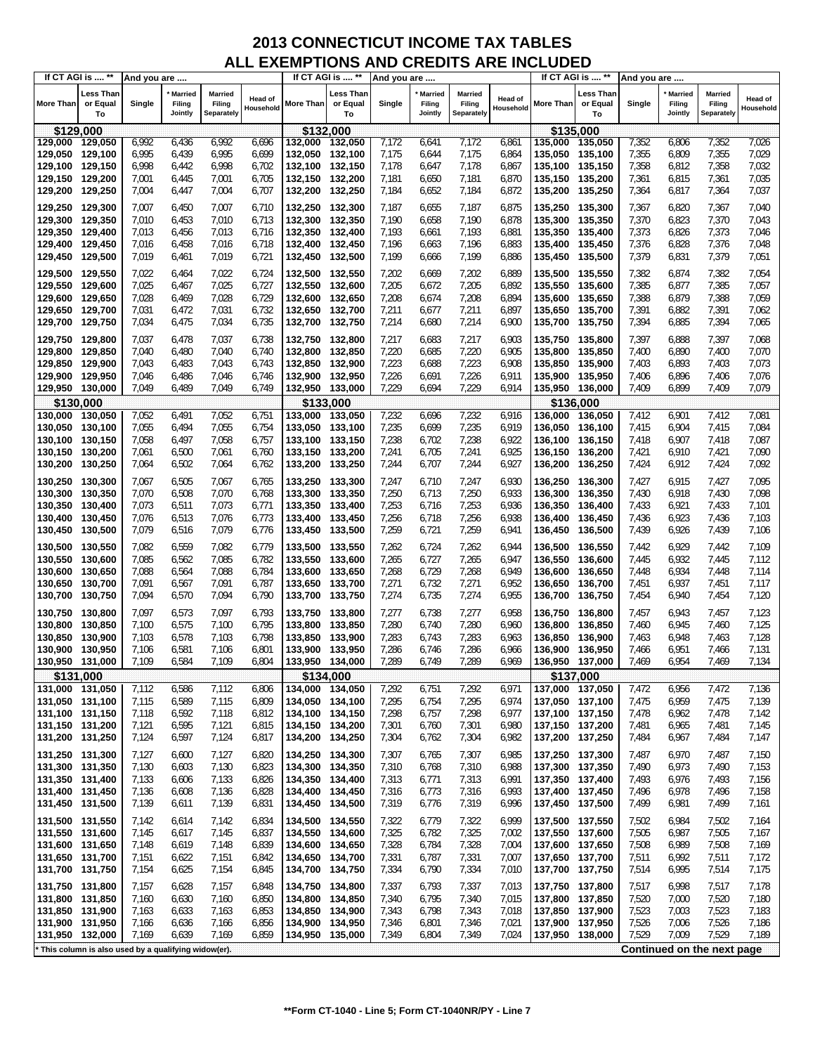| If CT AGI is  **                                      |                                    | And you are    |                              |                                 |                      |                                    | If CT AGI is  **            | And you are    |                                     |                                 |                      |                                    | If CT AGI is  **            | And you are    |                                     |                                        |                      |
|-------------------------------------------------------|------------------------------------|----------------|------------------------------|---------------------------------|----------------------|------------------------------------|-----------------------------|----------------|-------------------------------------|---------------------------------|----------------------|------------------------------------|-----------------------------|----------------|-------------------------------------|----------------------------------------|----------------------|
| <b>More Than</b>                                      | <b>Less Than</b><br>or Equal<br>To | Single         | Married<br>Filing<br>Jointly | Married<br>Filing<br>Separately | Head of<br>Household | More Than                          | Less Than<br>or Equal<br>To | Single         | <b>Married</b><br>Filing<br>Jointly | Married<br>Filing<br>Separately | Head of<br>Household | <b>More Than</b>                   | Less Than<br>or Equal<br>To | Single         | <b>Married</b><br>Filing<br>Jointly | <b>Married</b><br>Filing<br>Separately | Head of<br>Household |
| \$129,000                                             |                                    |                |                              |                                 |                      | \$132,000                          |                             |                |                                     |                                 |                      |                                    | \$135,000                   |                |                                     |                                        |                      |
| 129,000                                               | 129,050                            | 6,992          | 6,436                        | 6,992                           | 6,696                | 132,000 132,050                    |                             | 7,172          | 6,641                               | 7,172                           | 6,861                | 135.000                            | 135,050                     | 7,352          | 6,806                               | 7,352                                  | 7,026                |
| 129,050                                               | 129,100                            | 6,995          | 6,439                        | 6,995                           | 6,699                | 132,050 132,100                    |                             | 7,175          | 6,644                               | 7,175                           | 6,864                | 135,050 135,100                    |                             | 7,355          | 6,809                               | 7,355                                  | 7,029                |
| 129,100 129,150                                       |                                    | 6,998          | 6,442                        | 6,998                           | 6,702                | 132,100 132,150                    |                             | 7,178          | 6,647                               | 7,178                           | 6,867                | 135,100 135,150                    |                             | 7,358          | 6,812                               | 7,358                                  | 7,032                |
| 129,150 129,200                                       |                                    | 7,001          | 6,445                        | 7,001                           | 6,705                | 132,150 132,200                    |                             | 7,181          | 6,650                               | 7,181                           | 6,870                | 135,150 135,200                    |                             | 7,361          | 6,815                               | 7,361                                  | 7,035                |
| 129,200                                               | 129,250                            | 7,004          | 6,447                        | 7,004                           | 6,707                | 132,200 132,250                    |                             | 7,184          | 6,652                               | 7,184                           | 6,872                | 135,200 135,250                    |                             | 7,364          | 6,817                               | 7,364                                  | 7,037                |
| 129,250 129,300                                       |                                    | 7,007          | 6,450                        | 7,007                           | 6,710                | 132,250 132,300                    |                             | 7,187          | 6,655                               |                                 | 6,875                | 135,250 135,300                    |                             | 7,367          | 6,820                               |                                        | 7,040                |
| 129,300                                               | 129,350                            | 7,010          | 6,453                        | 7,010                           | 6,713                | 132,300 132,350                    |                             | 7,190          | 6,658                               | 7,187<br>7,190                  | 6,878                | 135,300 135,350                    |                             | 7,370          | 6,823                               | 7,367<br>7,370                         | 7,043                |
| 129,350                                               | 129,400                            | 7,013          | 6,456                        | 7,013                           | 6,716                | 132,350 132,400                    |                             | 7,193          | 6,661                               | 7,193                           | 6,881                | 135,350 135,400                    |                             | 7,373          | 6,826                               | 7,373                                  | 7,046                |
| 129,400 129,450                                       |                                    | 7,016          | 6,458                        | 7,016                           | 6,718                | 132,400 132,450                    |                             | 7,196          | 6,663                               | 7,196                           | 6,883                | 135,400 135,450                    |                             | 7,376          | 6,828                               | 7,376                                  | 7,048                |
| 129,450                                               | 129,500                            | 7,019          | 6,461                        | 7,019                           | 6,721                | 132,450 132,500                    |                             | 7,199          | 6,666                               | 7,199                           | 6,886                | 135,450 135,500                    |                             | 7,379          | 6,831                               | 7,379                                  | 7,051                |
|                                                       |                                    |                |                              |                                 |                      |                                    |                             |                |                                     |                                 |                      |                                    |                             |                |                                     |                                        |                      |
| 129,500 129,550                                       |                                    | 7,022          | 6,464                        | 7,022                           | 6,724                | 132,500 132,550                    |                             | 7,202          | 6,669                               | 7,202                           | 6,889                | 135,500 135,550                    |                             | 7,382          | 6,874                               | 7,382                                  | 7,054                |
| 129,550                                               | 129,600                            | 7,025          | 6,467                        | 7,025                           | 6,727                | 132,550 132,600                    |                             | 7,205          | 6,672                               | 7,205                           | 6,892                | 135,550 135,600                    |                             | 7,385          | 6,877                               | 7,385                                  | 7,057                |
| 129,600                                               | 129,650                            | 7,028          | 6,469                        | 7,028                           | 6,729                | 132,600 132,650                    |                             | 7,208          | 6,674                               | 7,208                           | 6,894                | 135,600 135,650                    |                             | 7,388          | 6,879                               | 7,388                                  | 7,059                |
| 129,650                                               | 129,700                            | 7,031          | 6,472                        | 7,031                           | 6,732                | 132,650 132,700                    |                             | 7,211          | 6,677                               | 7,211                           | 6,897                | 135,650 135,700                    |                             | 7,391          | 6,882                               | 7,391                                  | 7,062                |
| 129,700                                               | 129,750                            | 7,034          | 6,475                        | 7,034                           | 6,735                | 132,700 132,750                    |                             | 7,214          | 6,680                               | 7,214                           | 6,900                | 135,700 135,750                    |                             | 7,394          | 6,885                               | 7,394                                  | 7,065                |
| 129,750                                               | 129,800                            | 7,037          | 6,478                        | 7,037                           | 6,738                | 132,750 132,800                    |                             | 7,217          | 6,683                               | 7,217                           | 6,903                | 135,750 135,800                    |                             | 7,397          | 6,888                               | 7,397                                  | 7,068                |
| 129,800                                               | 129,850                            | 7,040          | 6,480                        | 7,040                           | 6,740                | 132,800 132,850                    |                             | 7,220          | 6,685                               | 7,220                           | 6,905                | 135,800                            | 135.850                     | 7,400          | 6,890                               | 7,400                                  | 7,070                |
| 129,850                                               | 129,900                            | 7,043          | 6,483                        | 7,043                           | 6,743                | 132,850                            | 132,900                     | 7,223          | 6,688                               | 7,223                           | 6,908                | 135,850                            | 135.900                     | 7,403          | 6,893                               | 7,403                                  | 7,073                |
| 129,900                                               | 129,950                            | 7,046          | 6,486                        | 7,046                           | 6,746                | 132,900 132,950                    |                             | 7,226          | 6,691                               | 7,226                           | 6,911                | 135,900 135,950                    |                             | 7,406          | 6,896                               | 7,406                                  | 7,076                |
| 129,950 130,000                                       |                                    | 7,049          | 6,489                        | 7,049                           | 6,749                | 132,950 133,000                    |                             | 7,229          | 6,694                               | 7,229                           | 6,914                | 135,950 136,000                    |                             | 7,409          | 6,899                               | 7,409                                  | 7,079                |
| \$130,000                                             |                                    |                |                              |                                 |                      |                                    | \$133,000                   |                |                                     |                                 |                      |                                    | \$136,000                   |                |                                     |                                        |                      |
| 130,000                                               | 130,050                            | 7,052          | 6,491                        | 7,052                           | 6,751                | 133,000 133,050                    |                             | 7,232          | 6,696                               | 7,232                           | 6,916                | 136,000                            | 136,050                     | 7,412          | 6,901                               | 7,412                                  | 7,081                |
| 130,050                                               | 130,100                            | 7,055          | 6,494                        | 7,055                           | 6,754                | 133,050 133,100                    |                             | 7,235          | 6,699                               | 7,235                           | 6,919                | 136.050 136,100                    |                             | 7,415          | 6,904                               | 7,415                                  | 7,084                |
| 130,100                                               | 130,150                            | 7,058          | 6,497                        | 7,058                           | 6,757                | 133,100 133,150                    |                             | 7,238          | 6,702                               | 7,238                           | 6,922                | 136,100 136,150                    |                             | 7,418          | 6,907                               | 7,418                                  | 7,087                |
| 130,150                                               | 130,200                            | 7,061          | 6,500                        | 7,061                           | 6,760                | 133,150 133,200                    |                             | 7,241          | 6,705                               | 7,241                           | 6,925                | 136,150 136,200                    |                             | 7,421          | 6,910                               | 7,421                                  | 7,090                |
| 130,200                                               | 130,250                            | 7,064          | 6,502                        | 7,064                           | 6,762                | 133,200 133,250                    |                             | 7,244          | 6,707                               | 7,244                           | 6,927                | 136,200 136,250                    |                             | 7,424          | 6,912                               | 7,424                                  | 7,092                |
| 130,250                                               | 130,300                            | 7,067          | 6,505                        | 7,067                           | 6,765                | 133,250 133,300                    |                             | 7,247          | 6,710                               | 7,247                           | 6,930                | 136,250 136,300                    |                             | 7,427          | 6,915                               | 7,427                                  | 7,095                |
| 130,300                                               | 130,350                            | 7,070          | 6,508                        | 7,070                           | 6,768                | 133,300 133,350                    |                             | 7,250          | 6,713                               | 7,250                           | 6,933                | 136,300                            | 136,350                     | 7,430          | 6,918                               | 7,430                                  | 7,098                |
| 130,350                                               | 130,400                            | 7,073          | 6,511                        | 7,073                           | 6,771                | 133,350 133,400                    |                             | 7,253          | 6,716                               | 7,253                           | 6,936                | 136,350                            | 136,400                     | 7,433          | 6,921                               | 7,433                                  | 7,101                |
| 130,400                                               | 130,450                            | 7,076          | 6,513                        | 7,076                           | 6,773                | 133,400 133,450                    |                             | 7,256          | 6,718                               | 7,256                           | 6,938                | 136,400 136,450                    |                             | 7,436          | 6,923                               | 7,436                                  | 7,103                |
| 130,450                                               | 130,500                            | 7,079          | 6,516                        | 7,079                           | 6,776                | 133,450 133,500                    |                             | 7,259          | 6,721                               | 7,259                           | 6,941                | 136,450 136,500                    |                             | 7,439          | 6,926                               | 7,439                                  | 7,106                |
| 130,500                                               | 130,550                            | 7,082          | 6,559                        | 7,082                           | 6,779                | 133,500 133,550                    |                             | 7,262          | 6,724                               | 7,262                           | 6,944                | 136,500                            | 136,550                     | 7,442          | 6,929                               | 7,442                                  | 7,109                |
| 130,550                                               | 130,600                            | 7,085          | 6,562                        | 7,085                           | 6,782                | 133,550 133,600                    |                             | 7,265          | 6,727                               | 7,265                           | 6,947                | 136,550                            | 136,600                     | 7,445          | 6,932                               | 7,445                                  | 7,112                |
| 130,600                                               | 130,650                            | 7,088          | 6,564                        | 7,088                           | 6,784                | 133,600                            | 133,650                     | 7,268          | 6,729                               | 7,268                           | 6,949                | 136,600                            | 136,650                     | 7,448          | 6,934                               | 7,448                                  | 7,114                |
| 130,650                                               | 130,700                            | 7,091          | 6,567                        | 7,091                           | 6,787                | 133,650 133,700                    |                             | 7,271          | 6,732                               | 7,271                           | 6,952                | 136,650                            | 136,700                     | 7,451          | 6,937                               | 7,451                                  | 7,117                |
| 130,700                                               | 130,750                            | 7,094          | 6,570                        | 7,094                           | 6,790                | 133,700 133,750                    |                             | 7,274          | 6,735                               | 7,274                           | 6,955                | 136,700                            | 136,750                     | 7,454          | 6,940                               | 7,454                                  | 7,120                |
|                                                       |                                    |                |                              |                                 |                      |                                    |                             |                |                                     |                                 |                      |                                    |                             |                |                                     |                                        |                      |
| 130,750<br>130,800                                    | 130,800                            | 7,097<br>7,100 | 6,573<br>6,575               | 7,097<br>7,100                  | 6,793<br>6,795       | 133,750 133,800<br>133,800 133,850 |                             | 7,277<br>7,280 | 6,738<br>6,740                      | 7,277<br>7,280                  | 6,958<br>6,960       | 136,750<br>136,800                 | 136,800                     | 7,457<br>7,460 | 6,943<br>6,945                      | 7,457<br>7,460                         | 7,123<br>7,125       |
| 130,850                                               | 130,850<br>130,900                 | 7,103          | 6,578                        | 7,103                           | 6,798                | 133,850 133,900                    |                             | 7,283          | 6,743                               | 7,283                           | 6,963                | 136,850                            | 136,850<br>136,900          | 7,463          | 6,948                               | 7,463                                  | 7,128                |
| 130,900                                               | 130,950                            | 7,106          | 6,581                        | 7,106                           | 6,801                | 133,900 133,950                    |                             | 7,286          | 6,746                               | 7,286                           | 6,966                | 136,900                            | 136,950                     | 7,466          | 6,951                               | 7,466                                  | 7,131                |
| 130,950 131,000                                       |                                    | 7,109          | 6,584                        | 7,109                           | 6,804                | 133,950 134,000                    |                             | 7,289          | 6,749                               | 7,289                           | 6,969                | 136,950 137,000                    |                             | 7,469          | 6,954                               | 7,469                                  | 7,134                |
| \$131,000                                             |                                    |                |                              |                                 |                      | \$134,000                          |                             |                |                                     |                                 |                      |                                    | \$137,000                   |                |                                     |                                        |                      |
| 131,000 131,050                                       |                                    | 7,112          | 6,586                        | 7,112                           | 6,806                | 134,000 134,050                    |                             | 7,292          | 6,751                               | 7,292                           | 6,971                | 137,000 137,050                    |                             | 7,472          | 6,956                               | 7,472                                  | 7,136                |
| 131,050 131,100                                       |                                    | 7,115          | 6,589                        | 7,115                           | 6,809                | 134,050 134,100                    |                             | 7,295          | 6,754                               | 7,295                           | 6,974                | 137,050 137,100                    |                             | 7,475          | 6,959                               | 7,475                                  | 7,139                |
| 131,100 131,150                                       |                                    | 7,118          | 6,592                        | 7,118                           | 6,812                | 134,100 134,150                    |                             | 7,298          | 6,757                               | 7,298                           | 6,977                | 137,100 137,150                    |                             | 7,478          | 6,962                               | 7,478                                  | 7,142                |
| 131,150 131,200                                       |                                    | 7,121          | 6,595                        | 7,121                           | 6,815                | 134,150 134,200                    |                             | 7,301          | 6,760                               | 7,301                           | 6,980                | 137,150 137,200                    |                             | 7,481          | 6,965                               | 7,481                                  | 7,145                |
| 131,200                                               | 131,250                            | 7,124          | 6,597                        | 7,124                           | 6,817                | 134,200 134,250                    |                             | 7,304          | 6,762                               | 7,304                           | 6,982                | 137,200 137,250                    |                             | 7,484          | 6,967                               | 7,484                                  | 7,147                |
| 131,250 131,300                                       |                                    | 7,127          | 6,600                        | 7,127                           | 6,820                | 134,250 134,300                    |                             | 7,307          | 6,765                               | 7,307                           | 6,985                | 137,250 137,300                    |                             | 7,487          | 6,970                               | 7,487                                  | 7,150                |
| 131,300                                               | 131,350                            | 7,130          | 6,603                        | 7,130                           | 6,823                | 134,300 134,350                    |                             | 7,310          | 6,768                               | 7,310                           | 6,988                | 137,300 137,350                    |                             | 7,490          | 6,973                               | 7,490                                  | 7,153                |
| 131,350                                               | 131,400                            | 7,133          | 6,606                        | 7,133                           | 6,826                | 134,350 134,400                    |                             | 7,313          | 6,771                               | 7,313                           | 6,991                | 137,350 137,400                    |                             | 7,493          | 6,976                               | 7,493                                  | 7,156                |
| 131,400                                               | 131,450                            | 7,136          | 6,608                        | 7,136                           | 6,828                | 134,400 134,450                    |                             | 7,316          | 6,773                               | 7,316                           | 6,993                | 137,400 137,450                    |                             | 7,496          | 6,978                               | 7,496                                  | 7,158                |
| 131,450                                               | 131,500                            | 7,139          | 6,611                        | 7,139                           | 6,831                | 134,450 134,500                    |                             | 7,319          | 6,776                               | 7,319                           | 6,996                | 137,450 137,500                    |                             | 7,499          | 6,981                               | 7,499                                  | 7,161                |
|                                                       |                                    |                |                              |                                 |                      |                                    |                             |                |                                     |                                 |                      |                                    |                             |                |                                     |                                        |                      |
| 131,500 131,550                                       |                                    | 7,142          | 6,614                        | 7,142                           | 6,834                | 134,500 134,550                    |                             | 7,322          | 6,779                               | 7,322                           | 6,999                | 137,500 137,550                    |                             | 7,502          | 6,984                               | 7,502                                  | 7,164                |
| 131,550<br>131,600                                    | 131,600<br>131,650                 | 7,145<br>7,148 | 6,617<br>6,619               | 7,145<br>7,148                  | 6,837<br>6,839       | 134,550 134,600<br>134,600 134,650 |                             | 7,325<br>7,328 | 6,782<br>6,784                      | 7,325<br>7,328                  | 7,002<br>7,004       | 137,550 137,600<br>137,600 137,650 |                             | 7,505<br>7,508 | 6,987<br>6,989                      | 7,505<br>7,508                         | 7,167<br>7,169       |
| 131,650                                               | 131,700                            | 7,151          | 6,622                        | 7,151                           | 6,842                | 134,650 134,700                    |                             | 7,331          | 6,787                               | 7,331                           | 7,007                | 137,650 137,700                    |                             | 7,511          | 6,992                               | 7,511                                  | 7,172                |
| 131,700                                               | 131,750                            | 7,154          | 6,625                        | 7,154                           | 6,845                | 134,700 134,750                    |                             | 7,334          | 6,790                               | 7,334                           | 7,010                | 137,700                            | 137,750                     | 7,514          | 6,995                               | 7,514                                  | 7,175                |
|                                                       |                                    |                |                              |                                 |                      |                                    |                             |                |                                     |                                 |                      |                                    |                             |                |                                     |                                        |                      |
| 131,750 131,800                                       |                                    | 7,157          | 6,628                        | 7,157                           | 6,848                | 134,750 134,800                    |                             | 7,337          | 6,793                               | 7,337                           | 7,013                | 137,750 137,800                    |                             | 7,517          | 6,998                               | 7,517                                  | 7,178                |
| 131,800                                               | 131,850                            | 7,160          | 6,630                        | 7,160                           | 6,850                | 134,800 134,850                    |                             | 7,340          | 6,795                               | 7,340                           | 7,015                | 137,800 137,850                    |                             | 7,520          | 7,000                               | 7,520                                  | 7,180                |
| 131,850                                               | 131,900                            | 7,163          | 6,633                        | 7,163                           | 6,853                | 134,850 134,900                    |                             | 7,343          | 6,798                               | 7,343                           | 7,018                | 137,850 137,900                    |                             | 7,523          | 7,003                               | 7,523                                  | 7,183                |
| 131,900 131,950                                       |                                    | 7,166          | 6,636                        | 7,166                           | 6,856                | 134,900 134,950                    |                             | 7,346          | 6,801                               | 7,346                           | 7,021                | 137,900 137,950                    |                             | 7,526          | 7,006                               | 7,526                                  | 7,186                |
| 131,950 132,000                                       |                                    | 7,169          | 6,639                        | 7,169                           | 6,859                | 134,950 135,000                    |                             | 7,349          | 6,804                               | 7,349                           | 7,024                | 137,950 138,000                    |                             | 7,529          | 7,009                               | 7,529                                  | 7,189                |
| * This column is also used by a qualifying widow(er). |                                    |                |                              |                                 |                      |                                    |                             |                |                                     |                                 |                      |                                    |                             |                |                                     | Continued on the next page             |                      |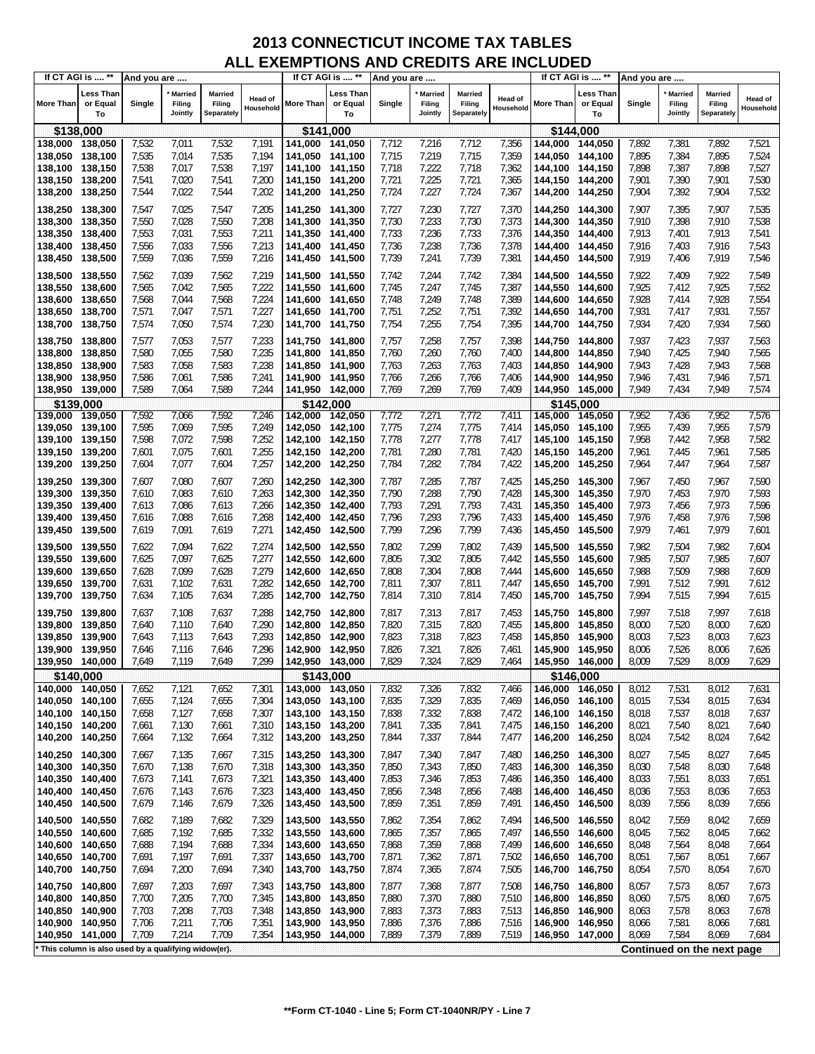| <b>Less Than</b><br>Less Than<br>Less Than<br>Married<br>Married<br><b>Married</b><br><b>Married</b><br><b>Married</b><br>Married<br>Head of<br>Head of<br><b>Head of</b><br><b>More Than</b><br>or Equal<br>Single<br>Filing<br>More Than<br>or Equal<br>Single<br>Filing<br>Filing<br><b>More Than</b><br>or Equal<br>Single<br>Filing<br>Filing<br>Filing<br>Household<br>Household<br>Household<br>Separately<br>Jointly<br>Separately<br>Separately<br>Jointly<br>Jointly<br>To<br>To<br>To<br>\$144,000<br>\$138,000<br>\$141,000<br>7,532<br>7,532<br>138,000<br>138,050<br>7,011<br>7,191<br>141,000 141,050<br>7,712<br>7,216<br>7,712<br>7,356<br>144,000 144,050<br>7,892<br>7,381<br>7,892<br>7,521<br>138,050<br>138,100<br>7,535<br>7,014<br>7,535<br>7,194<br>141,050 141,100<br>7,715<br>7,219<br>7,715<br>7,359<br>144,050 144,100<br>7,895<br>7,384<br>7,895<br>7,524<br>138,100<br>138,150<br>7,538<br>7,017<br>7,538<br>7,197<br>141,100 141,150<br>7,718<br>7,222<br>7,718<br>7,362<br>7,898<br>7,387<br>7,898<br>7,527<br>144,100 144,150<br>138,150<br>7,541<br>7,020<br>7,541<br>7,200<br>7,721<br>7,225<br>7,721<br>7,365<br>7,901<br>7,390<br>7,901<br>7,530<br>138,200<br>141,150 141,200<br>144,150 144,200<br>7,544<br>7,022<br>7,544<br>7,227<br>7,904<br>7,392<br>7,532<br>138,200<br>7,202<br>7,724<br>7,724<br>7,367<br>7,904<br>138,250<br>141,200 141,250<br>144,200 144,250<br>7,025<br>7,547<br>7,907<br>7,535<br>138,250<br>138,300<br>7,547<br>7,205<br>141,250 141,300<br>7,727<br>7,230<br>7,727<br>7,370<br>144,250 144,300<br>7,395<br>7,907<br>7,538<br>138,300<br>138,350<br>7,550<br>7,028<br>7,550<br>7,208<br>141,300 141,350<br>7,730<br>7,233<br>7,730<br>7,373<br>144,300 144,350<br>7,910<br>7,398<br>7,910<br>138,350<br>7,553<br>7,031<br>7,553<br>7,211<br>7,733<br>7,236<br>7,733<br>7,376<br>144,350 144,400<br>7,913<br>7,401<br>7,913<br>7,541<br>138,400<br>141,350 141,400<br>138,400<br>7,556<br>7,033<br>7,556<br>7,213<br>141,400 141,450<br>7,736<br>7,238<br>7,736<br>7,378<br>7,916<br>7,403<br>7,916<br>7,543<br>138,450<br>144,400 144,450<br>7,559<br>7,036<br>7,559<br>7,216<br>7,739<br>7,241<br>7,739<br>7,381<br>7,919<br>7,919<br>7,546<br>138,450<br>138,500<br>141,450 141,500<br>144,450 144,500<br>7,406<br>138,550<br>7,562<br>7,039<br>7,562<br>7,219<br>141,500 141,550<br>7,742<br>7,244<br>7,742<br>7,384<br>144,500 144,550<br>7,922<br>7,409<br>7,922<br>7,549<br>7,565<br>7,042<br>7,565<br>7,222<br>141,550 141,600<br>7,745<br>7,247<br>7,745<br>7,387<br>7,925<br>7,412<br>7,925<br>7,552<br>138,550<br>138,600<br>144,550 144,600<br>138,600<br>7,568<br>7,044<br>7,568<br>7,224<br>7,748<br>7,249<br>7,748<br>7,389<br>144,600 144,650<br>7,928<br>7,414<br>7,928<br>7,554<br>138,650<br>141,600 141,650<br>7,571<br>7,047<br>7,571<br>7,227<br>141,650 141,700<br>7,751<br>7,252<br>7,751<br>7,392<br>7,931<br>7,417<br>7,931<br>7,557<br>138,650<br>138,700<br>144,650 144,700<br>7,574<br>7,050<br>7,574<br>7,230<br>7,754<br>7,255<br>7,754<br>7,395<br>7,934<br>7,420<br>7,934<br>7,560<br>138,700<br>138,750<br>141,700 141,750<br>144,700 144,750<br>138,750<br>138,800<br>7,577<br>7,053<br>7,577<br>7,233<br>141,750 141,800<br>7,757<br>7,258<br>7,757<br>7,398<br>144,750 144,800<br>7,937<br>7,423<br>7,937<br>7,563<br>138,800<br>7,580<br>7,055<br>7,580<br>7,235<br>141,800 141,850<br>7,760<br>7,260<br>7,760<br>144,800 144,850<br>7,940<br>7,425<br>7,940<br>7,565<br>138,850<br>7,400<br>138,850<br>138,900<br>7,583<br>7,058<br>7,583<br>7,238<br>141,850 141,900<br>7,763<br>7,263<br>7,763<br>7,403<br>144,850 144,900<br>7,943<br>7,428<br>7,943<br>7,568<br>138,900<br>7,586<br>7,061<br>7,586<br>7,241<br>141,900 141,950<br>7,766<br>7,266<br>7,766<br>7,946<br>7,431<br>7,946<br>7,571<br>138,950<br>7,406<br>144,900 144,950<br>138,950 139,000<br>7,589<br>7,064<br>7,589<br>7,244<br>141,950 142,000<br>7,769<br>7,269<br>7,769<br>7,409<br>144,950 145,000<br>7,949<br>7,434<br>7,949<br>7,574<br>\$139,000<br>\$142,000<br>\$145,000<br>7,592<br>7,066<br>7,592<br>7,246<br>7,772<br>7,271<br>7,772<br>7,411<br>7,952<br>7,436<br>7,952<br>7,576<br>139,000<br>139,050<br>142,000 142,050<br>145,000 145,050<br>139,050 139,100<br>7,595<br>7,069<br>7,595<br>7,249<br>142,050 142,100<br>7,775<br>7,274<br>7,775<br>145,050 145,100<br>7,955<br>7,439<br>7,955<br>7,579<br>7,414<br>139,100<br>139,150<br>7,598<br>7,072<br>7,598<br>7,252<br>142,100 142,150<br>7,778<br>7,277<br>7,778<br>7,417<br>7,958<br>7,442<br>7,958<br>7,582<br>145,100 145,150<br>7,601<br>7,075<br>7,601<br>7,280<br>7,961<br>7,585<br>139,150 139,200<br>7,255<br>142,150 142,200<br>7,781<br>7,781<br>7,420<br>7,445<br>7,961<br>145,150 145,200<br>139,200<br>7,604<br>7,077<br>7,604<br>7,257<br>7,784<br>7,282<br>7,784<br>7,422<br>7,964<br>7,447<br>7,964<br>7,587<br>139,250<br>142,200 142,250<br>145,200 145,250<br>7,607<br>7,967<br>7,590<br>139,250 139,300<br>7,607<br>7,080<br>7,260<br>142,250 142,300<br>7,787<br>7,285<br>7,787<br>7,425<br>145,250 145,300<br>7,450<br>7,967<br>139,300<br>139,350<br>7,610<br>7,083<br>7,610<br>7,263<br>142,300 142,350<br>7,790<br>7,288<br>7,790<br>7,428<br>145,300 145,350<br>7,970<br>7,453<br>7,970<br>7,593<br>7,973<br>7,613<br>7,086<br>7,613<br>7,266<br>7,793<br>7,291<br>7,793<br>7,431<br>145,350 145,400<br>7,456<br>7,973<br>7,596<br>139,350<br>139,400<br>142,350 142,400<br>7,616<br>7,088<br>7,616<br>7,268<br>7,796<br>7,293<br>7,796<br>7,433<br>7,976<br>7,458<br>7,976<br>7,598<br>139,400<br>139,450<br>142,400 142,450<br>145,400 145,450<br>7,979<br>7,619<br>7,091<br>7,619<br>7,271<br>7,799<br>7,296<br>7,799<br>7,979<br>7,601<br>139,500<br>142,450 142,500<br>7,436<br>145,450 145,500<br>7,461<br>7,622<br>7,094<br>7,622<br>7,274<br>142,500 142,550<br>7,802<br>7,299<br>7,802<br>7,439<br>145,500 145,550<br>7,982<br>7,504<br>7,982<br>7,604<br>139,550<br>7,277<br>139,550<br>139,600<br>7,625<br>7,097<br>7,625<br>142,550 142,600<br>7,805<br>7,302<br>7,805<br>7,442<br>145,550 145,600<br>7,985<br>7,507<br>7,985<br>7,607<br>7,628<br>7,099<br>7,628<br>7,279<br>7,808<br>7,304<br>7,808<br>7,444<br>145,600 145,650<br>7,988<br>7,509<br>7,988<br>7,609<br>139,650<br>142,600 142,650<br>7,631<br>7,102<br>7,631<br>7,282<br>142,650 142,700<br>7,811<br>7,307<br>7,811<br>7,447<br>7,991<br>7,512<br>7,991<br>7,612<br>139,700<br>145,650 145,700<br>7,994<br>7,515<br>7,634<br>7,105<br>7,634<br>7,285<br>7,814<br>7,310<br>7,814<br>7,450<br>7,994<br>7,615<br>139,750<br>142,700 142,750<br>145,700 145,750<br>139,750<br>139,800<br>7,637<br>7,108<br>7,637<br>7,288<br>142,750 142,800<br>7,817<br>7,313<br>7,817<br>7,453<br>145,750 145,800<br>7,997<br>7,518<br>7,997<br>7,618<br>139,800<br>7,640<br>7,110<br>7,640<br>7,290<br>142,800 142,850<br>7,820<br>7,315<br>7,820<br>7,455<br>145,800 145,850<br>8,000<br>7,520<br>8,000<br>7,620<br>139,850<br>139,850<br>139,900<br>7,643<br>7,113<br>7,643<br>7,293<br>142,850 142,900<br>7,823<br>7,318<br>7,823<br>7,458<br>145,850 145,900<br>8,003<br>7,523<br>8,003<br>7,623<br>7,646<br>7,116<br>7,646<br>7,296<br>7,826<br>7,321<br>7,826<br>8,006<br>7,526<br>8,006<br>7,626<br>139,900<br>139,950<br>142,900 142,950<br>7,461<br>145,900 145,950<br>7,299<br>139,950 140,000<br>7,649<br>7,119<br>7,649<br>142,950 143,000<br>7,829<br>7,324<br>7,829<br>145,950 146,000<br>8,009<br>7,529<br>8,009<br>7,629<br>7,464<br>\$140,000<br>\$143,000<br>\$146,000<br>140,000 140,050<br>7,652<br>7,121<br>7,652<br>7,301<br>143,000 143,050<br>7,832<br>7,326<br>7,832<br>146,000 146,050<br>7,531<br>7,631<br>7,466<br>8,012<br>8,012<br>143,050 143,100<br>7,835<br>7,329<br>7,835<br>7,469<br>146,050 146,100<br>7,534<br>8,015<br>7,634<br>140,050 140,100<br>7,655<br>7,124<br>7,655<br>7,304<br>8,015<br>7,307<br>7,838<br>7,332<br>7,838<br>8,018<br>7,537<br>8,018<br>7,637<br>140,100<br>140,150<br>7,658<br>7,127<br>7,658<br>143,100 143,150<br>7,472<br>146,100 146,150<br>140,150 140,200<br>7,130<br>7,661<br>7,310<br>143,150 143,200<br>7,841<br>7,335<br>7,841<br>7,475<br>146,150 146,200<br>8,021<br>7,540<br>8,021<br>7,640<br>7,661<br>140,200<br>143,200 143,250<br>7,337<br>7,542<br>8,024<br>140,250<br>7,664<br>7,132<br>7,664<br>7,312<br>7,844<br>7,844<br>7,477<br>146,200<br>146,250<br>8,024<br>7,642<br>140,250<br>140,300<br>7,667<br>7,315<br>143,250 143,300<br>7,340<br>7,847<br>146,250 146,300<br>8,027<br>7,545<br>8,027<br>7,645<br>7,667<br>7,135<br>7,847<br>7,480<br>140,300<br>140,350<br>7,670<br>7,138<br>7,670<br>7,318<br>143,300 143,350<br>7,850<br>7,343<br>7,850<br>7,483<br>146,300<br>146,350<br>8,030<br>7,548<br>8,030<br>7,648<br>140,350<br>7,673<br>7,141<br>7,673<br>7,321<br>143,350 143,400<br>7,853<br>7,346<br>7,853<br>146,350<br>8,033<br>7,551<br>8,033<br>7,651<br>140,400<br>7,486<br>146,400<br>140,400<br>7,676<br>7,143<br>7,676<br>7,323<br>143,400 143,450<br>7,856<br>7,348<br>7,856<br>7,488<br>146,400<br>146,450<br>8,036<br>7,553<br>8,036<br>7,653<br>140,450<br>140,450<br>7,679<br>7,679<br>7,326<br>143,450 143,500<br>7,859<br>7,351<br>7,859<br>7,491<br>7,556<br>8,039<br>7,656<br>140,500<br>7,146<br>146,450<br>146,500<br>8,039<br>140,500<br>140,550<br>7,682<br>7,189<br>7,682<br>7,329<br>143,500 143,550<br>7,862<br>7,354<br>7,862<br>7,494<br>146,500 146,550<br>8,042<br>7,559<br>8,042<br>7,659<br>140,550<br>140,600<br>7,685<br>7,192<br>7,685<br>7,332<br>143,550 143,600<br>7,865<br>7,357<br>7,865<br>7,497<br>146,550<br>146,600<br>8,045<br>7,562<br>8,045<br>7,662<br>140,600<br>7,688<br>7,194<br>7,688<br>7,334<br>143,600 143,650<br>7,868<br>7,359<br>7,868<br>7,499<br>146,600 146,650<br>8,048<br>7,564<br>8,048<br>7,664<br>140,650<br>140,650<br>7,691<br>7,337<br>7,871<br>7,362<br>7,871<br>8,051<br>7,567<br>8,051<br>7,667<br>140,700<br>7,197<br>7,691<br>143,650 143,700<br>7,502<br>146,650 146,700<br>140,700<br>7,694<br>7,200<br>7,694<br>143,700 143,750<br>7,874<br>7,365<br>7,874<br>7,505<br>146,700<br>8,054<br>7,570<br>7,670<br>140,750<br>7,340<br>146,750<br>8,054<br>140,800<br>7,697<br>7,203<br>7,697<br>7,343<br>143,750 143,800<br>7,877<br>7,368<br>7,877<br>7,508<br>146,750 146,800<br>8,057<br>7,573<br>8,057<br>7,673<br>140,800<br>140,850<br>7,700<br>7,205<br>7,700<br>7,345<br>143,800 143,850<br>7,880<br>7,370<br>7,880<br>7,510<br>146,800<br>146,850<br>8,060<br>7,575<br>8,060<br>7,675<br>140,850<br>140,900<br>7,703<br>7,208<br>7,703<br>7,348<br>143,850 143,900<br>7,883<br>7,373<br>7,883<br>7,513<br>146,850<br>8,063<br>7,578<br>8,063<br>7,678<br>146,900<br>140,900<br>7,706<br>7,211<br>7,706<br>7,351<br>143,900 143,950<br>7,886<br>7,376<br>7,886<br>7,516<br>146,900<br>8,066<br>7,581<br>7,681<br>140,950<br>146,950<br>8,066<br>7,889<br>7,379<br>140,950<br>7,709<br>7,214<br>7,709<br>7,354<br>143,950 144,000<br>7,889<br>7,519<br>146,950 147,000<br>8,069<br>7,584<br>8,069<br>7,684<br>141,000<br>This column is also used by a qualifying widow(er).<br>Continued on the next page | If CT AGI is  ** | And you are |  | If CT AGI is  ** | And you are |  |  | If CT AGI is  ** | And you are |  |  |
|-------------------------------------------------------------------------------------------------------------------------------------------------------------------------------------------------------------------------------------------------------------------------------------------------------------------------------------------------------------------------------------------------------------------------------------------------------------------------------------------------------------------------------------------------------------------------------------------------------------------------------------------------------------------------------------------------------------------------------------------------------------------------------------------------------------------------------------------------------------------------------------------------------------------------------------------------------------------------------------------------------------------------------------------------------------------------------------------------------------------------------------------------------------------------------------------------------------------------------------------------------------------------------------------------------------------------------------------------------------------------------------------------------------------------------------------------------------------------------------------------------------------------------------------------------------------------------------------------------------------------------------------------------------------------------------------------------------------------------------------------------------------------------------------------------------------------------------------------------------------------------------------------------------------------------------------------------------------------------------------------------------------------------------------------------------------------------------------------------------------------------------------------------------------------------------------------------------------------------------------------------------------------------------------------------------------------------------------------------------------------------------------------------------------------------------------------------------------------------------------------------------------------------------------------------------------------------------------------------------------------------------------------------------------------------------------------------------------------------------------------------------------------------------------------------------------------------------------------------------------------------------------------------------------------------------------------------------------------------------------------------------------------------------------------------------------------------------------------------------------------------------------------------------------------------------------------------------------------------------------------------------------------------------------------------------------------------------------------------------------------------------------------------------------------------------------------------------------------------------------------------------------------------------------------------------------------------------------------------------------------------------------------------------------------------------------------------------------------------------------------------------------------------------------------------------------------------------------------------------------------------------------------------------------------------------------------------------------------------------------------------------------------------------------------------------------------------------------------------------------------------------------------------------------------------------------------------------------------------------------------------------------------------------------------------------------------------------------------------------------------------------------------------------------------------------------------------------------------------------------------------------------------------------------------------------------------------------------------------------------------------------------------------------------------------------------------------------------------------------------------------------------------------------------------------------------------------------------------------------------------------------------------------------------------------------------------------------------------------------------------------------------------------------------------------------------------------------------------------------------------------------------------------------------------------------------------------------------------------------------------------------------------------------------------------------------------------------------------------------------------------------------------------------------------------------------------------------------------------------------------------------------------------------------------------------------------------------------------------------------------------------------------------------------------------------------------------------------------------------------------------------------------------------------------------------------------------------------------------------------------------------------------------------------------------------------------------------------------------------------------------------------------------------------------------------------------------------------------------------------------------------------------------------------------------------------------------------------------------------------------------------------------------------------------------------------------------------------------------------------------------------------------------------------------------------------------------------------------------------------------------------------------------------------------------------------------------------------------------------------------------------------------------------------------------------------------------------------------------------------------------------------------------------------------------------------------------------------------------------------------------------------------------------------------------------------------------------------------------------------------------------------------------------------------------------------------------------------------------------------------------------------------------------------------------------------------------------------------------------------------------------------------------------------------------------------------------------------------------------------------------------------------------------------------------------------------------------------------------------------------------------------------------------------------------------------------------------------------------------------------------------------------------------------------------------------------------------------------------------------------------------------------------------------------------------------------------------------------------------------------------------------------------------------------------------------------------------------------------------------------------------------------------------------------------------------------------------------------------------------------------------------------------------------------------------------------------------------------------------------------------------------------------------------------------------------------------------------------------------------------------------------------------------------------------------------------------------------------------------------------------------------------------------------------------------------------------------------------------------------------------------------------------------------------------------------------------------------------------------------------------------------------------------------------------------------------------------------------------------------------------------------------------------------------------------------------------------------------------------------------------------------------------------------------------------------------------------------------------------------------------------------------------------------------------------------------------------------------------------------------------------------------------------------------------------------------------------------------------------------------------------------------------------------------------------------------------------------------------------------------------------------------------------------------------------------------------------------------------------------------------------------------------------------------------------------------------------------------------------------------------------------------------------------------------------------------------------------------------------------------------------------------------------------------------------------------------------------------------------------------------------------------------------------------------------------------------------------------------------------------------------------------------------------------------------------------------------------------------------------------------------------------------------------------------------------------------------------------------------------------------------------------------------------------------------------------------------------------------------------------------------------------------------------------------------------------------------------------------------------------------------------------------------------------------------------------------------------------------------------------------------------------------------------------------------------------------------------------------------------------------------------------------------------------------------------------------------------------------------------------------------------------------------------------------------------------------------------------------------------------------------|------------------|-------------|--|------------------|-------------|--|--|------------------|-------------|--|--|
|                                                                                                                                                                                                                                                                                                                                                                                                                                                                                                                                                                                                                                                                                                                                                                                                                                                                                                                                                                                                                                                                                                                                                                                                                                                                                                                                                                                                                                                                                                                                                                                                                                                                                                                                                                                                                                                                                                                                                                                                                                                                                                                                                                                                                                                                                                                                                                                                                                                                                                                                                                                                                                                                                                                                                                                                                                                                                                                                                                                                                                                                                                                                                                                                                                                                                                                                                                                                                                                                                                                                                                                                                                                                                                                                                                                                                                                                                                                                                                                                                                                                                                                                                                                                                                                                                                                                                                                                                                                                                                                                                                                                                                                                                                                                                                                                                                                                                                                                                                                                                                                                                                                                                                                                                                                                                                                                                                                                                                                                                                                                                                                                                                                                                                                                                                                                                                                                                                                                                                                                                                                                                                                                                                                                                                                                                                                                                                                                                                                                                                                                                                                                                                                                                                                                                                                                                                                                                                                                                                                                                                                                                                                                                                                                                                                                                                                                                                                                                                                                                                                                                                                                                                                                                                                                                                                                                                                                                                                                                                                                                                                                                                                                                                                                                                                                                                                                                                                                                                                                                                                                                                                                                                                                                                                                                                                                                                                                                                                                                                                                                                                                                                                                                                                                                                                                                                                                                                                                                                                                                                                                                                                                                                                                                                                                                                                                                                                                                                                                                                                                                                                                                                                                                                                                                                                                                                                                                                                                                                                                                                                                                                                                                                                                                                                                                                                                                                                                                                                                                                                                                                                                                                                                     |                  |             |  |                  |             |  |  |                  |             |  |  |
|                                                                                                                                                                                                                                                                                                                                                                                                                                                                                                                                                                                                                                                                                                                                                                                                                                                                                                                                                                                                                                                                                                                                                                                                                                                                                                                                                                                                                                                                                                                                                                                                                                                                                                                                                                                                                                                                                                                                                                                                                                                                                                                                                                                                                                                                                                                                                                                                                                                                                                                                                                                                                                                                                                                                                                                                                                                                                                                                                                                                                                                                                                                                                                                                                                                                                                                                                                                                                                                                                                                                                                                                                                                                                                                                                                                                                                                                                                                                                                                                                                                                                                                                                                                                                                                                                                                                                                                                                                                                                                                                                                                                                                                                                                                                                                                                                                                                                                                                                                                                                                                                                                                                                                                                                                                                                                                                                                                                                                                                                                                                                                                                                                                                                                                                                                                                                                                                                                                                                                                                                                                                                                                                                                                                                                                                                                                                                                                                                                                                                                                                                                                                                                                                                                                                                                                                                                                                                                                                                                                                                                                                                                                                                                                                                                                                                                                                                                                                                                                                                                                                                                                                                                                                                                                                                                                                                                                                                                                                                                                                                                                                                                                                                                                                                                                                                                                                                                                                                                                                                                                                                                                                                                                                                                                                                                                                                                                                                                                                                                                                                                                                                                                                                                                                                                                                                                                                                                                                                                                                                                                                                                                                                                                                                                                                                                                                                                                                                                                                                                                                                                                                                                                                                                                                                                                                                                                                                                                                                                                                                                                                                                                                                                                                                                                                                                                                                                                                                                                                                                                                                                                                                                                                     |                  |             |  |                  |             |  |  |                  |             |  |  |
|                                                                                                                                                                                                                                                                                                                                                                                                                                                                                                                                                                                                                                                                                                                                                                                                                                                                                                                                                                                                                                                                                                                                                                                                                                                                                                                                                                                                                                                                                                                                                                                                                                                                                                                                                                                                                                                                                                                                                                                                                                                                                                                                                                                                                                                                                                                                                                                                                                                                                                                                                                                                                                                                                                                                                                                                                                                                                                                                                                                                                                                                                                                                                                                                                                                                                                                                                                                                                                                                                                                                                                                                                                                                                                                                                                                                                                                                                                                                                                                                                                                                                                                                                                                                                                                                                                                                                                                                                                                                                                                                                                                                                                                                                                                                                                                                                                                                                                                                                                                                                                                                                                                                                                                                                                                                                                                                                                                                                                                                                                                                                                                                                                                                                                                                                                                                                                                                                                                                                                                                                                                                                                                                                                                                                                                                                                                                                                                                                                                                                                                                                                                                                                                                                                                                                                                                                                                                                                                                                                                                                                                                                                                                                                                                                                                                                                                                                                                                                                                                                                                                                                                                                                                                                                                                                                                                                                                                                                                                                                                                                                                                                                                                                                                                                                                                                                                                                                                                                                                                                                                                                                                                                                                                                                                                                                                                                                                                                                                                                                                                                                                                                                                                                                                                                                                                                                                                                                                                                                                                                                                                                                                                                                                                                                                                                                                                                                                                                                                                                                                                                                                                                                                                                                                                                                                                                                                                                                                                                                                                                                                                                                                                                                                                                                                                                                                                                                                                                                                                                                                                                                                                                                                                     |                  |             |  |                  |             |  |  |                  |             |  |  |
|                                                                                                                                                                                                                                                                                                                                                                                                                                                                                                                                                                                                                                                                                                                                                                                                                                                                                                                                                                                                                                                                                                                                                                                                                                                                                                                                                                                                                                                                                                                                                                                                                                                                                                                                                                                                                                                                                                                                                                                                                                                                                                                                                                                                                                                                                                                                                                                                                                                                                                                                                                                                                                                                                                                                                                                                                                                                                                                                                                                                                                                                                                                                                                                                                                                                                                                                                                                                                                                                                                                                                                                                                                                                                                                                                                                                                                                                                                                                                                                                                                                                                                                                                                                                                                                                                                                                                                                                                                                                                                                                                                                                                                                                                                                                                                                                                                                                                                                                                                                                                                                                                                                                                                                                                                                                                                                                                                                                                                                                                                                                                                                                                                                                                                                                                                                                                                                                                                                                                                                                                                                                                                                                                                                                                                                                                                                                                                                                                                                                                                                                                                                                                                                                                                                                                                                                                                                                                                                                                                                                                                                                                                                                                                                                                                                                                                                                                                                                                                                                                                                                                                                                                                                                                                                                                                                                                                                                                                                                                                                                                                                                                                                                                                                                                                                                                                                                                                                                                                                                                                                                                                                                                                                                                                                                                                                                                                                                                                                                                                                                                                                                                                                                                                                                                                                                                                                                                                                                                                                                                                                                                                                                                                                                                                                                                                                                                                                                                                                                                                                                                                                                                                                                                                                                                                                                                                                                                                                                                                                                                                                                                                                                                                                                                                                                                                                                                                                                                                                                                                                                                                                                                                                                     |                  |             |  |                  |             |  |  |                  |             |  |  |
|                                                                                                                                                                                                                                                                                                                                                                                                                                                                                                                                                                                                                                                                                                                                                                                                                                                                                                                                                                                                                                                                                                                                                                                                                                                                                                                                                                                                                                                                                                                                                                                                                                                                                                                                                                                                                                                                                                                                                                                                                                                                                                                                                                                                                                                                                                                                                                                                                                                                                                                                                                                                                                                                                                                                                                                                                                                                                                                                                                                                                                                                                                                                                                                                                                                                                                                                                                                                                                                                                                                                                                                                                                                                                                                                                                                                                                                                                                                                                                                                                                                                                                                                                                                                                                                                                                                                                                                                                                                                                                                                                                                                                                                                                                                                                                                                                                                                                                                                                                                                                                                                                                                                                                                                                                                                                                                                                                                                                                                                                                                                                                                                                                                                                                                                                                                                                                                                                                                                                                                                                                                                                                                                                                                                                                                                                                                                                                                                                                                                                                                                                                                                                                                                                                                                                                                                                                                                                                                                                                                                                                                                                                                                                                                                                                                                                                                                                                                                                                                                                                                                                                                                                                                                                                                                                                                                                                                                                                                                                                                                                                                                                                                                                                                                                                                                                                                                                                                                                                                                                                                                                                                                                                                                                                                                                                                                                                                                                                                                                                                                                                                                                                                                                                                                                                                                                                                                                                                                                                                                                                                                                                                                                                                                                                                                                                                                                                                                                                                                                                                                                                                                                                                                                                                                                                                                                                                                                                                                                                                                                                                                                                                                                                                                                                                                                                                                                                                                                                                                                                                                                                                                                                                                     |                  |             |  |                  |             |  |  |                  |             |  |  |
|                                                                                                                                                                                                                                                                                                                                                                                                                                                                                                                                                                                                                                                                                                                                                                                                                                                                                                                                                                                                                                                                                                                                                                                                                                                                                                                                                                                                                                                                                                                                                                                                                                                                                                                                                                                                                                                                                                                                                                                                                                                                                                                                                                                                                                                                                                                                                                                                                                                                                                                                                                                                                                                                                                                                                                                                                                                                                                                                                                                                                                                                                                                                                                                                                                                                                                                                                                                                                                                                                                                                                                                                                                                                                                                                                                                                                                                                                                                                                                                                                                                                                                                                                                                                                                                                                                                                                                                                                                                                                                                                                                                                                                                                                                                                                                                                                                                                                                                                                                                                                                                                                                                                                                                                                                                                                                                                                                                                                                                                                                                                                                                                                                                                                                                                                                                                                                                                                                                                                                                                                                                                                                                                                                                                                                                                                                                                                                                                                                                                                                                                                                                                                                                                                                                                                                                                                                                                                                                                                                                                                                                                                                                                                                                                                                                                                                                                                                                                                                                                                                                                                                                                                                                                                                                                                                                                                                                                                                                                                                                                                                                                                                                                                                                                                                                                                                                                                                                                                                                                                                                                                                                                                                                                                                                                                                                                                                                                                                                                                                                                                                                                                                                                                                                                                                                                                                                                                                                                                                                                                                                                                                                                                                                                                                                                                                                                                                                                                                                                                                                                                                                                                                                                                                                                                                                                                                                                                                                                                                                                                                                                                                                                                                                                                                                                                                                                                                                                                                                                                                                                                                                                                                                                     |                  |             |  |                  |             |  |  |                  |             |  |  |
|                                                                                                                                                                                                                                                                                                                                                                                                                                                                                                                                                                                                                                                                                                                                                                                                                                                                                                                                                                                                                                                                                                                                                                                                                                                                                                                                                                                                                                                                                                                                                                                                                                                                                                                                                                                                                                                                                                                                                                                                                                                                                                                                                                                                                                                                                                                                                                                                                                                                                                                                                                                                                                                                                                                                                                                                                                                                                                                                                                                                                                                                                                                                                                                                                                                                                                                                                                                                                                                                                                                                                                                                                                                                                                                                                                                                                                                                                                                                                                                                                                                                                                                                                                                                                                                                                                                                                                                                                                                                                                                                                                                                                                                                                                                                                                                                                                                                                                                                                                                                                                                                                                                                                                                                                                                                                                                                                                                                                                                                                                                                                                                                                                                                                                                                                                                                                                                                                                                                                                                                                                                                                                                                                                                                                                                                                                                                                                                                                                                                                                                                                                                                                                                                                                                                                                                                                                                                                                                                                                                                                                                                                                                                                                                                                                                                                                                                                                                                                                                                                                                                                                                                                                                                                                                                                                                                                                                                                                                                                                                                                                                                                                                                                                                                                                                                                                                                                                                                                                                                                                                                                                                                                                                                                                                                                                                                                                                                                                                                                                                                                                                                                                                                                                                                                                                                                                                                                                                                                                                                                                                                                                                                                                                                                                                                                                                                                                                                                                                                                                                                                                                                                                                                                                                                                                                                                                                                                                                                                                                                                                                                                                                                                                                                                                                                                                                                                                                                                                                                                                                                                                                                                                                                     |                  |             |  |                  |             |  |  |                  |             |  |  |
|                                                                                                                                                                                                                                                                                                                                                                                                                                                                                                                                                                                                                                                                                                                                                                                                                                                                                                                                                                                                                                                                                                                                                                                                                                                                                                                                                                                                                                                                                                                                                                                                                                                                                                                                                                                                                                                                                                                                                                                                                                                                                                                                                                                                                                                                                                                                                                                                                                                                                                                                                                                                                                                                                                                                                                                                                                                                                                                                                                                                                                                                                                                                                                                                                                                                                                                                                                                                                                                                                                                                                                                                                                                                                                                                                                                                                                                                                                                                                                                                                                                                                                                                                                                                                                                                                                                                                                                                                                                                                                                                                                                                                                                                                                                                                                                                                                                                                                                                                                                                                                                                                                                                                                                                                                                                                                                                                                                                                                                                                                                                                                                                                                                                                                                                                                                                                                                                                                                                                                                                                                                                                                                                                                                                                                                                                                                                                                                                                                                                                                                                                                                                                                                                                                                                                                                                                                                                                                                                                                                                                                                                                                                                                                                                                                                                                                                                                                                                                                                                                                                                                                                                                                                                                                                                                                                                                                                                                                                                                                                                                                                                                                                                                                                                                                                                                                                                                                                                                                                                                                                                                                                                                                                                                                                                                                                                                                                                                                                                                                                                                                                                                                                                                                                                                                                                                                                                                                                                                                                                                                                                                                                                                                                                                                                                                                                                                                                                                                                                                                                                                                                                                                                                                                                                                                                                                                                                                                                                                                                                                                                                                                                                                                                                                                                                                                                                                                                                                                                                                                                                                                                                                                                                     |                  |             |  |                  |             |  |  |                  |             |  |  |
|                                                                                                                                                                                                                                                                                                                                                                                                                                                                                                                                                                                                                                                                                                                                                                                                                                                                                                                                                                                                                                                                                                                                                                                                                                                                                                                                                                                                                                                                                                                                                                                                                                                                                                                                                                                                                                                                                                                                                                                                                                                                                                                                                                                                                                                                                                                                                                                                                                                                                                                                                                                                                                                                                                                                                                                                                                                                                                                                                                                                                                                                                                                                                                                                                                                                                                                                                                                                                                                                                                                                                                                                                                                                                                                                                                                                                                                                                                                                                                                                                                                                                                                                                                                                                                                                                                                                                                                                                                                                                                                                                                                                                                                                                                                                                                                                                                                                                                                                                                                                                                                                                                                                                                                                                                                                                                                                                                                                                                                                                                                                                                                                                                                                                                                                                                                                                                                                                                                                                                                                                                                                                                                                                                                                                                                                                                                                                                                                                                                                                                                                                                                                                                                                                                                                                                                                                                                                                                                                                                                                                                                                                                                                                                                                                                                                                                                                                                                                                                                                                                                                                                                                                                                                                                                                                                                                                                                                                                                                                                                                                                                                                                                                                                                                                                                                                                                                                                                                                                                                                                                                                                                                                                                                                                                                                                                                                                                                                                                                                                                                                                                                                                                                                                                                                                                                                                                                                                                                                                                                                                                                                                                                                                                                                                                                                                                                                                                                                                                                                                                                                                                                                                                                                                                                                                                                                                                                                                                                                                                                                                                                                                                                                                                                                                                                                                                                                                                                                                                                                                                                                                                                                                                                     |                  |             |  |                  |             |  |  |                  |             |  |  |
|                                                                                                                                                                                                                                                                                                                                                                                                                                                                                                                                                                                                                                                                                                                                                                                                                                                                                                                                                                                                                                                                                                                                                                                                                                                                                                                                                                                                                                                                                                                                                                                                                                                                                                                                                                                                                                                                                                                                                                                                                                                                                                                                                                                                                                                                                                                                                                                                                                                                                                                                                                                                                                                                                                                                                                                                                                                                                                                                                                                                                                                                                                                                                                                                                                                                                                                                                                                                                                                                                                                                                                                                                                                                                                                                                                                                                                                                                                                                                                                                                                                                                                                                                                                                                                                                                                                                                                                                                                                                                                                                                                                                                                                                                                                                                                                                                                                                                                                                                                                                                                                                                                                                                                                                                                                                                                                                                                                                                                                                                                                                                                                                                                                                                                                                                                                                                                                                                                                                                                                                                                                                                                                                                                                                                                                                                                                                                                                                                                                                                                                                                                                                                                                                                                                                                                                                                                                                                                                                                                                                                                                                                                                                                                                                                                                                                                                                                                                                                                                                                                                                                                                                                                                                                                                                                                                                                                                                                                                                                                                                                                                                                                                                                                                                                                                                                                                                                                                                                                                                                                                                                                                                                                                                                                                                                                                                                                                                                                                                                                                                                                                                                                                                                                                                                                                                                                                                                                                                                                                                                                                                                                                                                                                                                                                                                                                                                                                                                                                                                                                                                                                                                                                                                                                                                                                                                                                                                                                                                                                                                                                                                                                                                                                                                                                                                                                                                                                                                                                                                                                                                                                                                                                                     |                  |             |  |                  |             |  |  |                  |             |  |  |
|                                                                                                                                                                                                                                                                                                                                                                                                                                                                                                                                                                                                                                                                                                                                                                                                                                                                                                                                                                                                                                                                                                                                                                                                                                                                                                                                                                                                                                                                                                                                                                                                                                                                                                                                                                                                                                                                                                                                                                                                                                                                                                                                                                                                                                                                                                                                                                                                                                                                                                                                                                                                                                                                                                                                                                                                                                                                                                                                                                                                                                                                                                                                                                                                                                                                                                                                                                                                                                                                                                                                                                                                                                                                                                                                                                                                                                                                                                                                                                                                                                                                                                                                                                                                                                                                                                                                                                                                                                                                                                                                                                                                                                                                                                                                                                                                                                                                                                                                                                                                                                                                                                                                                                                                                                                                                                                                                                                                                                                                                                                                                                                                                                                                                                                                                                                                                                                                                                                                                                                                                                                                                                                                                                                                                                                                                                                                                                                                                                                                                                                                                                                                                                                                                                                                                                                                                                                                                                                                                                                                                                                                                                                                                                                                                                                                                                                                                                                                                                                                                                                                                                                                                                                                                                                                                                                                                                                                                                                                                                                                                                                                                                                                                                                                                                                                                                                                                                                                                                                                                                                                                                                                                                                                                                                                                                                                                                                                                                                                                                                                                                                                                                                                                                                                                                                                                                                                                                                                                                                                                                                                                                                                                                                                                                                                                                                                                                                                                                                                                                                                                                                                                                                                                                                                                                                                                                                                                                                                                                                                                                                                                                                                                                                                                                                                                                                                                                                                                                                                                                                                                                                                                                                                     |                  |             |  |                  |             |  |  |                  |             |  |  |
|                                                                                                                                                                                                                                                                                                                                                                                                                                                                                                                                                                                                                                                                                                                                                                                                                                                                                                                                                                                                                                                                                                                                                                                                                                                                                                                                                                                                                                                                                                                                                                                                                                                                                                                                                                                                                                                                                                                                                                                                                                                                                                                                                                                                                                                                                                                                                                                                                                                                                                                                                                                                                                                                                                                                                                                                                                                                                                                                                                                                                                                                                                                                                                                                                                                                                                                                                                                                                                                                                                                                                                                                                                                                                                                                                                                                                                                                                                                                                                                                                                                                                                                                                                                                                                                                                                                                                                                                                                                                                                                                                                                                                                                                                                                                                                                                                                                                                                                                                                                                                                                                                                                                                                                                                                                                                                                                                                                                                                                                                                                                                                                                                                                                                                                                                                                                                                                                                                                                                                                                                                                                                                                                                                                                                                                                                                                                                                                                                                                                                                                                                                                                                                                                                                                                                                                                                                                                                                                                                                                                                                                                                                                                                                                                                                                                                                                                                                                                                                                                                                                                                                                                                                                                                                                                                                                                                                                                                                                                                                                                                                                                                                                                                                                                                                                                                                                                                                                                                                                                                                                                                                                                                                                                                                                                                                                                                                                                                                                                                                                                                                                                                                                                                                                                                                                                                                                                                                                                                                                                                                                                                                                                                                                                                                                                                                                                                                                                                                                                                                                                                                                                                                                                                                                                                                                                                                                                                                                                                                                                                                                                                                                                                                                                                                                                                                                                                                                                                                                                                                                                                                                                                                                                     |                  |             |  |                  |             |  |  |                  |             |  |  |
|                                                                                                                                                                                                                                                                                                                                                                                                                                                                                                                                                                                                                                                                                                                                                                                                                                                                                                                                                                                                                                                                                                                                                                                                                                                                                                                                                                                                                                                                                                                                                                                                                                                                                                                                                                                                                                                                                                                                                                                                                                                                                                                                                                                                                                                                                                                                                                                                                                                                                                                                                                                                                                                                                                                                                                                                                                                                                                                                                                                                                                                                                                                                                                                                                                                                                                                                                                                                                                                                                                                                                                                                                                                                                                                                                                                                                                                                                                                                                                                                                                                                                                                                                                                                                                                                                                                                                                                                                                                                                                                                                                                                                                                                                                                                                                                                                                                                                                                                                                                                                                                                                                                                                                                                                                                                                                                                                                                                                                                                                                                                                                                                                                                                                                                                                                                                                                                                                                                                                                                                                                                                                                                                                                                                                                                                                                                                                                                                                                                                                                                                                                                                                                                                                                                                                                                                                                                                                                                                                                                                                                                                                                                                                                                                                                                                                                                                                                                                                                                                                                                                                                                                                                                                                                                                                                                                                                                                                                                                                                                                                                                                                                                                                                                                                                                                                                                                                                                                                                                                                                                                                                                                                                                                                                                                                                                                                                                                                                                                                                                                                                                                                                                                                                                                                                                                                                                                                                                                                                                                                                                                                                                                                                                                                                                                                                                                                                                                                                                                                                                                                                                                                                                                                                                                                                                                                                                                                                                                                                                                                                                                                                                                                                                                                                                                                                                                                                                                                                                                                                                                                                                                                                                                     |                  |             |  |                  |             |  |  |                  |             |  |  |
|                                                                                                                                                                                                                                                                                                                                                                                                                                                                                                                                                                                                                                                                                                                                                                                                                                                                                                                                                                                                                                                                                                                                                                                                                                                                                                                                                                                                                                                                                                                                                                                                                                                                                                                                                                                                                                                                                                                                                                                                                                                                                                                                                                                                                                                                                                                                                                                                                                                                                                                                                                                                                                                                                                                                                                                                                                                                                                                                                                                                                                                                                                                                                                                                                                                                                                                                                                                                                                                                                                                                                                                                                                                                                                                                                                                                                                                                                                                                                                                                                                                                                                                                                                                                                                                                                                                                                                                                                                                                                                                                                                                                                                                                                                                                                                                                                                                                                                                                                                                                                                                                                                                                                                                                                                                                                                                                                                                                                                                                                                                                                                                                                                                                                                                                                                                                                                                                                                                                                                                                                                                                                                                                                                                                                                                                                                                                                                                                                                                                                                                                                                                                                                                                                                                                                                                                                                                                                                                                                                                                                                                                                                                                                                                                                                                                                                                                                                                                                                                                                                                                                                                                                                                                                                                                                                                                                                                                                                                                                                                                                                                                                                                                                                                                                                                                                                                                                                                                                                                                                                                                                                                                                                                                                                                                                                                                                                                                                                                                                                                                                                                                                                                                                                                                                                                                                                                                                                                                                                                                                                                                                                                                                                                                                                                                                                                                                                                                                                                                                                                                                                                                                                                                                                                                                                                                                                                                                                                                                                                                                                                                                                                                                                                                                                                                                                                                                                                                                                                                                                                                                                                                                                                                     | 138,500          |             |  |                  |             |  |  |                  |             |  |  |
|                                                                                                                                                                                                                                                                                                                                                                                                                                                                                                                                                                                                                                                                                                                                                                                                                                                                                                                                                                                                                                                                                                                                                                                                                                                                                                                                                                                                                                                                                                                                                                                                                                                                                                                                                                                                                                                                                                                                                                                                                                                                                                                                                                                                                                                                                                                                                                                                                                                                                                                                                                                                                                                                                                                                                                                                                                                                                                                                                                                                                                                                                                                                                                                                                                                                                                                                                                                                                                                                                                                                                                                                                                                                                                                                                                                                                                                                                                                                                                                                                                                                                                                                                                                                                                                                                                                                                                                                                                                                                                                                                                                                                                                                                                                                                                                                                                                                                                                                                                                                                                                                                                                                                                                                                                                                                                                                                                                                                                                                                                                                                                                                                                                                                                                                                                                                                                                                                                                                                                                                                                                                                                                                                                                                                                                                                                                                                                                                                                                                                                                                                                                                                                                                                                                                                                                                                                                                                                                                                                                                                                                                                                                                                                                                                                                                                                                                                                                                                                                                                                                                                                                                                                                                                                                                                                                                                                                                                                                                                                                                                                                                                                                                                                                                                                                                                                                                                                                                                                                                                                                                                                                                                                                                                                                                                                                                                                                                                                                                                                                                                                                                                                                                                                                                                                                                                                                                                                                                                                                                                                                                                                                                                                                                                                                                                                                                                                                                                                                                                                                                                                                                                                                                                                                                                                                                                                                                                                                                                                                                                                                                                                                                                                                                                                                                                                                                                                                                                                                                                                                                                                                                                                                                     |                  |             |  |                  |             |  |  |                  |             |  |  |
|                                                                                                                                                                                                                                                                                                                                                                                                                                                                                                                                                                                                                                                                                                                                                                                                                                                                                                                                                                                                                                                                                                                                                                                                                                                                                                                                                                                                                                                                                                                                                                                                                                                                                                                                                                                                                                                                                                                                                                                                                                                                                                                                                                                                                                                                                                                                                                                                                                                                                                                                                                                                                                                                                                                                                                                                                                                                                                                                                                                                                                                                                                                                                                                                                                                                                                                                                                                                                                                                                                                                                                                                                                                                                                                                                                                                                                                                                                                                                                                                                                                                                                                                                                                                                                                                                                                                                                                                                                                                                                                                                                                                                                                                                                                                                                                                                                                                                                                                                                                                                                                                                                                                                                                                                                                                                                                                                                                                                                                                                                                                                                                                                                                                                                                                                                                                                                                                                                                                                                                                                                                                                                                                                                                                                                                                                                                                                                                                                                                                                                                                                                                                                                                                                                                                                                                                                                                                                                                                                                                                                                                                                                                                                                                                                                                                                                                                                                                                                                                                                                                                                                                                                                                                                                                                                                                                                                                                                                                                                                                                                                                                                                                                                                                                                                                                                                                                                                                                                                                                                                                                                                                                                                                                                                                                                                                                                                                                                                                                                                                                                                                                                                                                                                                                                                                                                                                                                                                                                                                                                                                                                                                                                                                                                                                                                                                                                                                                                                                                                                                                                                                                                                                                                                                                                                                                                                                                                                                                                                                                                                                                                                                                                                                                                                                                                                                                                                                                                                                                                                                                                                                                                                                                     |                  |             |  |                  |             |  |  |                  |             |  |  |
|                                                                                                                                                                                                                                                                                                                                                                                                                                                                                                                                                                                                                                                                                                                                                                                                                                                                                                                                                                                                                                                                                                                                                                                                                                                                                                                                                                                                                                                                                                                                                                                                                                                                                                                                                                                                                                                                                                                                                                                                                                                                                                                                                                                                                                                                                                                                                                                                                                                                                                                                                                                                                                                                                                                                                                                                                                                                                                                                                                                                                                                                                                                                                                                                                                                                                                                                                                                                                                                                                                                                                                                                                                                                                                                                                                                                                                                                                                                                                                                                                                                                                                                                                                                                                                                                                                                                                                                                                                                                                                                                                                                                                                                                                                                                                                                                                                                                                                                                                                                                                                                                                                                                                                                                                                                                                                                                                                                                                                                                                                                                                                                                                                                                                                                                                                                                                                                                                                                                                                                                                                                                                                                                                                                                                                                                                                                                                                                                                                                                                                                                                                                                                                                                                                                                                                                                                                                                                                                                                                                                                                                                                                                                                                                                                                                                                                                                                                                                                                                                                                                                                                                                                                                                                                                                                                                                                                                                                                                                                                                                                                                                                                                                                                                                                                                                                                                                                                                                                                                                                                                                                                                                                                                                                                                                                                                                                                                                                                                                                                                                                                                                                                                                                                                                                                                                                                                                                                                                                                                                                                                                                                                                                                                                                                                                                                                                                                                                                                                                                                                                                                                                                                                                                                                                                                                                                                                                                                                                                                                                                                                                                                                                                                                                                                                                                                                                                                                                                                                                                                                                                                                                                                                                     |                  |             |  |                  |             |  |  |                  |             |  |  |
|                                                                                                                                                                                                                                                                                                                                                                                                                                                                                                                                                                                                                                                                                                                                                                                                                                                                                                                                                                                                                                                                                                                                                                                                                                                                                                                                                                                                                                                                                                                                                                                                                                                                                                                                                                                                                                                                                                                                                                                                                                                                                                                                                                                                                                                                                                                                                                                                                                                                                                                                                                                                                                                                                                                                                                                                                                                                                                                                                                                                                                                                                                                                                                                                                                                                                                                                                                                                                                                                                                                                                                                                                                                                                                                                                                                                                                                                                                                                                                                                                                                                                                                                                                                                                                                                                                                                                                                                                                                                                                                                                                                                                                                                                                                                                                                                                                                                                                                                                                                                                                                                                                                                                                                                                                                                                                                                                                                                                                                                                                                                                                                                                                                                                                                                                                                                                                                                                                                                                                                                                                                                                                                                                                                                                                                                                                                                                                                                                                                                                                                                                                                                                                                                                                                                                                                                                                                                                                                                                                                                                                                                                                                                                                                                                                                                                                                                                                                                                                                                                                                                                                                                                                                                                                                                                                                                                                                                                                                                                                                                                                                                                                                                                                                                                                                                                                                                                                                                                                                                                                                                                                                                                                                                                                                                                                                                                                                                                                                                                                                                                                                                                                                                                                                                                                                                                                                                                                                                                                                                                                                                                                                                                                                                                                                                                                                                                                                                                                                                                                                                                                                                                                                                                                                                                                                                                                                                                                                                                                                                                                                                                                                                                                                                                                                                                                                                                                                                                                                                                                                                                                                                                                                                     |                  |             |  |                  |             |  |  |                  |             |  |  |
|                                                                                                                                                                                                                                                                                                                                                                                                                                                                                                                                                                                                                                                                                                                                                                                                                                                                                                                                                                                                                                                                                                                                                                                                                                                                                                                                                                                                                                                                                                                                                                                                                                                                                                                                                                                                                                                                                                                                                                                                                                                                                                                                                                                                                                                                                                                                                                                                                                                                                                                                                                                                                                                                                                                                                                                                                                                                                                                                                                                                                                                                                                                                                                                                                                                                                                                                                                                                                                                                                                                                                                                                                                                                                                                                                                                                                                                                                                                                                                                                                                                                                                                                                                                                                                                                                                                                                                                                                                                                                                                                                                                                                                                                                                                                                                                                                                                                                                                                                                                                                                                                                                                                                                                                                                                                                                                                                                                                                                                                                                                                                                                                                                                                                                                                                                                                                                                                                                                                                                                                                                                                                                                                                                                                                                                                                                                                                                                                                                                                                                                                                                                                                                                                                                                                                                                                                                                                                                                                                                                                                                                                                                                                                                                                                                                                                                                                                                                                                                                                                                                                                                                                                                                                                                                                                                                                                                                                                                                                                                                                                                                                                                                                                                                                                                                                                                                                                                                                                                                                                                                                                                                                                                                                                                                                                                                                                                                                                                                                                                                                                                                                                                                                                                                                                                                                                                                                                                                                                                                                                                                                                                                                                                                                                                                                                                                                                                                                                                                                                                                                                                                                                                                                                                                                                                                                                                                                                                                                                                                                                                                                                                                                                                                                                                                                                                                                                                                                                                                                                                                                                                                                                                                                     |                  |             |  |                  |             |  |  |                  |             |  |  |
|                                                                                                                                                                                                                                                                                                                                                                                                                                                                                                                                                                                                                                                                                                                                                                                                                                                                                                                                                                                                                                                                                                                                                                                                                                                                                                                                                                                                                                                                                                                                                                                                                                                                                                                                                                                                                                                                                                                                                                                                                                                                                                                                                                                                                                                                                                                                                                                                                                                                                                                                                                                                                                                                                                                                                                                                                                                                                                                                                                                                                                                                                                                                                                                                                                                                                                                                                                                                                                                                                                                                                                                                                                                                                                                                                                                                                                                                                                                                                                                                                                                                                                                                                                                                                                                                                                                                                                                                                                                                                                                                                                                                                                                                                                                                                                                                                                                                                                                                                                                                                                                                                                                                                                                                                                                                                                                                                                                                                                                                                                                                                                                                                                                                                                                                                                                                                                                                                                                                                                                                                                                                                                                                                                                                                                                                                                                                                                                                                                                                                                                                                                                                                                                                                                                                                                                                                                                                                                                                                                                                                                                                                                                                                                                                                                                                                                                                                                                                                                                                                                                                                                                                                                                                                                                                                                                                                                                                                                                                                                                                                                                                                                                                                                                                                                                                                                                                                                                                                                                                                                                                                                                                                                                                                                                                                                                                                                                                                                                                                                                                                                                                                                                                                                                                                                                                                                                                                                                                                                                                                                                                                                                                                                                                                                                                                                                                                                                                                                                                                                                                                                                                                                                                                                                                                                                                                                                                                                                                                                                                                                                                                                                                                                                                                                                                                                                                                                                                                                                                                                                                                                                                                                                                     |                  |             |  |                  |             |  |  |                  |             |  |  |
|                                                                                                                                                                                                                                                                                                                                                                                                                                                                                                                                                                                                                                                                                                                                                                                                                                                                                                                                                                                                                                                                                                                                                                                                                                                                                                                                                                                                                                                                                                                                                                                                                                                                                                                                                                                                                                                                                                                                                                                                                                                                                                                                                                                                                                                                                                                                                                                                                                                                                                                                                                                                                                                                                                                                                                                                                                                                                                                                                                                                                                                                                                                                                                                                                                                                                                                                                                                                                                                                                                                                                                                                                                                                                                                                                                                                                                                                                                                                                                                                                                                                                                                                                                                                                                                                                                                                                                                                                                                                                                                                                                                                                                                                                                                                                                                                                                                                                                                                                                                                                                                                                                                                                                                                                                                                                                                                                                                                                                                                                                                                                                                                                                                                                                                                                                                                                                                                                                                                                                                                                                                                                                                                                                                                                                                                                                                                                                                                                                                                                                                                                                                                                                                                                                                                                                                                                                                                                                                                                                                                                                                                                                                                                                                                                                                                                                                                                                                                                                                                                                                                                                                                                                                                                                                                                                                                                                                                                                                                                                                                                                                                                                                                                                                                                                                                                                                                                                                                                                                                                                                                                                                                                                                                                                                                                                                                                                                                                                                                                                                                                                                                                                                                                                                                                                                                                                                                                                                                                                                                                                                                                                                                                                                                                                                                                                                                                                                                                                                                                                                                                                                                                                                                                                                                                                                                                                                                                                                                                                                                                                                                                                                                                                                                                                                                                                                                                                                                                                                                                                                                                                                                                                                                     |                  |             |  |                  |             |  |  |                  |             |  |  |
|                                                                                                                                                                                                                                                                                                                                                                                                                                                                                                                                                                                                                                                                                                                                                                                                                                                                                                                                                                                                                                                                                                                                                                                                                                                                                                                                                                                                                                                                                                                                                                                                                                                                                                                                                                                                                                                                                                                                                                                                                                                                                                                                                                                                                                                                                                                                                                                                                                                                                                                                                                                                                                                                                                                                                                                                                                                                                                                                                                                                                                                                                                                                                                                                                                                                                                                                                                                                                                                                                                                                                                                                                                                                                                                                                                                                                                                                                                                                                                                                                                                                                                                                                                                                                                                                                                                                                                                                                                                                                                                                                                                                                                                                                                                                                                                                                                                                                                                                                                                                                                                                                                                                                                                                                                                                                                                                                                                                                                                                                                                                                                                                                                                                                                                                                                                                                                                                                                                                                                                                                                                                                                                                                                                                                                                                                                                                                                                                                                                                                                                                                                                                                                                                                                                                                                                                                                                                                                                                                                                                                                                                                                                                                                                                                                                                                                                                                                                                                                                                                                                                                                                                                                                                                                                                                                                                                                                                                                                                                                                                                                                                                                                                                                                                                                                                                                                                                                                                                                                                                                                                                                                                                                                                                                                                                                                                                                                                                                                                                                                                                                                                                                                                                                                                                                                                                                                                                                                                                                                                                                                                                                                                                                                                                                                                                                                                                                                                                                                                                                                                                                                                                                                                                                                                                                                                                                                                                                                                                                                                                                                                                                                                                                                                                                                                                                                                                                                                                                                                                                                                                                                                                                                                     |                  |             |  |                  |             |  |  |                  |             |  |  |
|                                                                                                                                                                                                                                                                                                                                                                                                                                                                                                                                                                                                                                                                                                                                                                                                                                                                                                                                                                                                                                                                                                                                                                                                                                                                                                                                                                                                                                                                                                                                                                                                                                                                                                                                                                                                                                                                                                                                                                                                                                                                                                                                                                                                                                                                                                                                                                                                                                                                                                                                                                                                                                                                                                                                                                                                                                                                                                                                                                                                                                                                                                                                                                                                                                                                                                                                                                                                                                                                                                                                                                                                                                                                                                                                                                                                                                                                                                                                                                                                                                                                                                                                                                                                                                                                                                                                                                                                                                                                                                                                                                                                                                                                                                                                                                                                                                                                                                                                                                                                                                                                                                                                                                                                                                                                                                                                                                                                                                                                                                                                                                                                                                                                                                                                                                                                                                                                                                                                                                                                                                                                                                                                                                                                                                                                                                                                                                                                                                                                                                                                                                                                                                                                                                                                                                                                                                                                                                                                                                                                                                                                                                                                                                                                                                                                                                                                                                                                                                                                                                                                                                                                                                                                                                                                                                                                                                                                                                                                                                                                                                                                                                                                                                                                                                                                                                                                                                                                                                                                                                                                                                                                                                                                                                                                                                                                                                                                                                                                                                                                                                                                                                                                                                                                                                                                                                                                                                                                                                                                                                                                                                                                                                                                                                                                                                                                                                                                                                                                                                                                                                                                                                                                                                                                                                                                                                                                                                                                                                                                                                                                                                                                                                                                                                                                                                                                                                                                                                                                                                                                                                                                                                                                     |                  |             |  |                  |             |  |  |                  |             |  |  |
|                                                                                                                                                                                                                                                                                                                                                                                                                                                                                                                                                                                                                                                                                                                                                                                                                                                                                                                                                                                                                                                                                                                                                                                                                                                                                                                                                                                                                                                                                                                                                                                                                                                                                                                                                                                                                                                                                                                                                                                                                                                                                                                                                                                                                                                                                                                                                                                                                                                                                                                                                                                                                                                                                                                                                                                                                                                                                                                                                                                                                                                                                                                                                                                                                                                                                                                                                                                                                                                                                                                                                                                                                                                                                                                                                                                                                                                                                                                                                                                                                                                                                                                                                                                                                                                                                                                                                                                                                                                                                                                                                                                                                                                                                                                                                                                                                                                                                                                                                                                                                                                                                                                                                                                                                                                                                                                                                                                                                                                                                                                                                                                                                                                                                                                                                                                                                                                                                                                                                                                                                                                                                                                                                                                                                                                                                                                                                                                                                                                                                                                                                                                                                                                                                                                                                                                                                                                                                                                                                                                                                                                                                                                                                                                                                                                                                                                                                                                                                                                                                                                                                                                                                                                                                                                                                                                                                                                                                                                                                                                                                                                                                                                                                                                                                                                                                                                                                                                                                                                                                                                                                                                                                                                                                                                                                                                                                                                                                                                                                                                                                                                                                                                                                                                                                                                                                                                                                                                                                                                                                                                                                                                                                                                                                                                                                                                                                                                                                                                                                                                                                                                                                                                                                                                                                                                                                                                                                                                                                                                                                                                                                                                                                                                                                                                                                                                                                                                                                                                                                                                                                                                                                                                                     |                  |             |  |                  |             |  |  |                  |             |  |  |
|                                                                                                                                                                                                                                                                                                                                                                                                                                                                                                                                                                                                                                                                                                                                                                                                                                                                                                                                                                                                                                                                                                                                                                                                                                                                                                                                                                                                                                                                                                                                                                                                                                                                                                                                                                                                                                                                                                                                                                                                                                                                                                                                                                                                                                                                                                                                                                                                                                                                                                                                                                                                                                                                                                                                                                                                                                                                                                                                                                                                                                                                                                                                                                                                                                                                                                                                                                                                                                                                                                                                                                                                                                                                                                                                                                                                                                                                                                                                                                                                                                                                                                                                                                                                                                                                                                                                                                                                                                                                                                                                                                                                                                                                                                                                                                                                                                                                                                                                                                                                                                                                                                                                                                                                                                                                                                                                                                                                                                                                                                                                                                                                                                                                                                                                                                                                                                                                                                                                                                                                                                                                                                                                                                                                                                                                                                                                                                                                                                                                                                                                                                                                                                                                                                                                                                                                                                                                                                                                                                                                                                                                                                                                                                                                                                                                                                                                                                                                                                                                                                                                                                                                                                                                                                                                                                                                                                                                                                                                                                                                                                                                                                                                                                                                                                                                                                                                                                                                                                                                                                                                                                                                                                                                                                                                                                                                                                                                                                                                                                                                                                                                                                                                                                                                                                                                                                                                                                                                                                                                                                                                                                                                                                                                                                                                                                                                                                                                                                                                                                                                                                                                                                                                                                                                                                                                                                                                                                                                                                                                                                                                                                                                                                                                                                                                                                                                                                                                                                                                                                                                                                                                                                                                     |                  |             |  |                  |             |  |  |                  |             |  |  |
|                                                                                                                                                                                                                                                                                                                                                                                                                                                                                                                                                                                                                                                                                                                                                                                                                                                                                                                                                                                                                                                                                                                                                                                                                                                                                                                                                                                                                                                                                                                                                                                                                                                                                                                                                                                                                                                                                                                                                                                                                                                                                                                                                                                                                                                                                                                                                                                                                                                                                                                                                                                                                                                                                                                                                                                                                                                                                                                                                                                                                                                                                                                                                                                                                                                                                                                                                                                                                                                                                                                                                                                                                                                                                                                                                                                                                                                                                                                                                                                                                                                                                                                                                                                                                                                                                                                                                                                                                                                                                                                                                                                                                                                                                                                                                                                                                                                                                                                                                                                                                                                                                                                                                                                                                                                                                                                                                                                                                                                                                                                                                                                                                                                                                                                                                                                                                                                                                                                                                                                                                                                                                                                                                                                                                                                                                                                                                                                                                                                                                                                                                                                                                                                                                                                                                                                                                                                                                                                                                                                                                                                                                                                                                                                                                                                                                                                                                                                                                                                                                                                                                                                                                                                                                                                                                                                                                                                                                                                                                                                                                                                                                                                                                                                                                                                                                                                                                                                                                                                                                                                                                                                                                                                                                                                                                                                                                                                                                                                                                                                                                                                                                                                                                                                                                                                                                                                                                                                                                                                                                                                                                                                                                                                                                                                                                                                                                                                                                                                                                                                                                                                                                                                                                                                                                                                                                                                                                                                                                                                                                                                                                                                                                                                                                                                                                                                                                                                                                                                                                                                                                                                                                                                                     |                  |             |  |                  |             |  |  |                  |             |  |  |
|                                                                                                                                                                                                                                                                                                                                                                                                                                                                                                                                                                                                                                                                                                                                                                                                                                                                                                                                                                                                                                                                                                                                                                                                                                                                                                                                                                                                                                                                                                                                                                                                                                                                                                                                                                                                                                                                                                                                                                                                                                                                                                                                                                                                                                                                                                                                                                                                                                                                                                                                                                                                                                                                                                                                                                                                                                                                                                                                                                                                                                                                                                                                                                                                                                                                                                                                                                                                                                                                                                                                                                                                                                                                                                                                                                                                                                                                                                                                                                                                                                                                                                                                                                                                                                                                                                                                                                                                                                                                                                                                                                                                                                                                                                                                                                                                                                                                                                                                                                                                                                                                                                                                                                                                                                                                                                                                                                                                                                                                                                                                                                                                                                                                                                                                                                                                                                                                                                                                                                                                                                                                                                                                                                                                                                                                                                                                                                                                                                                                                                                                                                                                                                                                                                                                                                                                                                                                                                                                                                                                                                                                                                                                                                                                                                                                                                                                                                                                                                                                                                                                                                                                                                                                                                                                                                                                                                                                                                                                                                                                                                                                                                                                                                                                                                                                                                                                                                                                                                                                                                                                                                                                                                                                                                                                                                                                                                                                                                                                                                                                                                                                                                                                                                                                                                                                                                                                                                                                                                                                                                                                                                                                                                                                                                                                                                                                                                                                                                                                                                                                                                                                                                                                                                                                                                                                                                                                                                                                                                                                                                                                                                                                                                                                                                                                                                                                                                                                                                                                                                                                                                                                                                                                     |                  |             |  |                  |             |  |  |                  |             |  |  |
|                                                                                                                                                                                                                                                                                                                                                                                                                                                                                                                                                                                                                                                                                                                                                                                                                                                                                                                                                                                                                                                                                                                                                                                                                                                                                                                                                                                                                                                                                                                                                                                                                                                                                                                                                                                                                                                                                                                                                                                                                                                                                                                                                                                                                                                                                                                                                                                                                                                                                                                                                                                                                                                                                                                                                                                                                                                                                                                                                                                                                                                                                                                                                                                                                                                                                                                                                                                                                                                                                                                                                                                                                                                                                                                                                                                                                                                                                                                                                                                                                                                                                                                                                                                                                                                                                                                                                                                                                                                                                                                                                                                                                                                                                                                                                                                                                                                                                                                                                                                                                                                                                                                                                                                                                                                                                                                                                                                                                                                                                                                                                                                                                                                                                                                                                                                                                                                                                                                                                                                                                                                                                                                                                                                                                                                                                                                                                                                                                                                                                                                                                                                                                                                                                                                                                                                                                                                                                                                                                                                                                                                                                                                                                                                                                                                                                                                                                                                                                                                                                                                                                                                                                                                                                                                                                                                                                                                                                                                                                                                                                                                                                                                                                                                                                                                                                                                                                                                                                                                                                                                                                                                                                                                                                                                                                                                                                                                                                                                                                                                                                                                                                                                                                                                                                                                                                                                                                                                                                                                                                                                                                                                                                                                                                                                                                                                                                                                                                                                                                                                                                                                                                                                                                                                                                                                                                                                                                                                                                                                                                                                                                                                                                                                                                                                                                                                                                                                                                                                                                                                                                                                                                                                                     |                  |             |  |                  |             |  |  |                  |             |  |  |
|                                                                                                                                                                                                                                                                                                                                                                                                                                                                                                                                                                                                                                                                                                                                                                                                                                                                                                                                                                                                                                                                                                                                                                                                                                                                                                                                                                                                                                                                                                                                                                                                                                                                                                                                                                                                                                                                                                                                                                                                                                                                                                                                                                                                                                                                                                                                                                                                                                                                                                                                                                                                                                                                                                                                                                                                                                                                                                                                                                                                                                                                                                                                                                                                                                                                                                                                                                                                                                                                                                                                                                                                                                                                                                                                                                                                                                                                                                                                                                                                                                                                                                                                                                                                                                                                                                                                                                                                                                                                                                                                                                                                                                                                                                                                                                                                                                                                                                                                                                                                                                                                                                                                                                                                                                                                                                                                                                                                                                                                                                                                                                                                                                                                                                                                                                                                                                                                                                                                                                                                                                                                                                                                                                                                                                                                                                                                                                                                                                                                                                                                                                                                                                                                                                                                                                                                                                                                                                                                                                                                                                                                                                                                                                                                                                                                                                                                                                                                                                                                                                                                                                                                                                                                                                                                                                                                                                                                                                                                                                                                                                                                                                                                                                                                                                                                                                                                                                                                                                                                                                                                                                                                                                                                                                                                                                                                                                                                                                                                                                                                                                                                                                                                                                                                                                                                                                                                                                                                                                                                                                                                                                                                                                                                                                                                                                                                                                                                                                                                                                                                                                                                                                                                                                                                                                                                                                                                                                                                                                                                                                                                                                                                                                                                                                                                                                                                                                                                                                                                                                                                                                                                                                                                     |                  |             |  |                  |             |  |  |                  |             |  |  |
|                                                                                                                                                                                                                                                                                                                                                                                                                                                                                                                                                                                                                                                                                                                                                                                                                                                                                                                                                                                                                                                                                                                                                                                                                                                                                                                                                                                                                                                                                                                                                                                                                                                                                                                                                                                                                                                                                                                                                                                                                                                                                                                                                                                                                                                                                                                                                                                                                                                                                                                                                                                                                                                                                                                                                                                                                                                                                                                                                                                                                                                                                                                                                                                                                                                                                                                                                                                                                                                                                                                                                                                                                                                                                                                                                                                                                                                                                                                                                                                                                                                                                                                                                                                                                                                                                                                                                                                                                                                                                                                                                                                                                                                                                                                                                                                                                                                                                                                                                                                                                                                                                                                                                                                                                                                                                                                                                                                                                                                                                                                                                                                                                                                                                                                                                                                                                                                                                                                                                                                                                                                                                                                                                                                                                                                                                                                                                                                                                                                                                                                                                                                                                                                                                                                                                                                                                                                                                                                                                                                                                                                                                                                                                                                                                                                                                                                                                                                                                                                                                                                                                                                                                                                                                                                                                                                                                                                                                                                                                                                                                                                                                                                                                                                                                                                                                                                                                                                                                                                                                                                                                                                                                                                                                                                                                                                                                                                                                                                                                                                                                                                                                                                                                                                                                                                                                                                                                                                                                                                                                                                                                                                                                                                                                                                                                                                                                                                                                                                                                                                                                                                                                                                                                                                                                                                                                                                                                                                                                                                                                                                                                                                                                                                                                                                                                                                                                                                                                                                                                                                                                                                                                                                                     |                  |             |  |                  |             |  |  |                  |             |  |  |
|                                                                                                                                                                                                                                                                                                                                                                                                                                                                                                                                                                                                                                                                                                                                                                                                                                                                                                                                                                                                                                                                                                                                                                                                                                                                                                                                                                                                                                                                                                                                                                                                                                                                                                                                                                                                                                                                                                                                                                                                                                                                                                                                                                                                                                                                                                                                                                                                                                                                                                                                                                                                                                                                                                                                                                                                                                                                                                                                                                                                                                                                                                                                                                                                                                                                                                                                                                                                                                                                                                                                                                                                                                                                                                                                                                                                                                                                                                                                                                                                                                                                                                                                                                                                                                                                                                                                                                                                                                                                                                                                                                                                                                                                                                                                                                                                                                                                                                                                                                                                                                                                                                                                                                                                                                                                                                                                                                                                                                                                                                                                                                                                                                                                                                                                                                                                                                                                                                                                                                                                                                                                                                                                                                                                                                                                                                                                                                                                                                                                                                                                                                                                                                                                                                                                                                                                                                                                                                                                                                                                                                                                                                                                                                                                                                                                                                                                                                                                                                                                                                                                                                                                                                                                                                                                                                                                                                                                                                                                                                                                                                                                                                                                                                                                                                                                                                                                                                                                                                                                                                                                                                                                                                                                                                                                                                                                                                                                                                                                                                                                                                                                                                                                                                                                                                                                                                                                                                                                                                                                                                                                                                                                                                                                                                                                                                                                                                                                                                                                                                                                                                                                                                                                                                                                                                                                                                                                                                                                                                                                                                                                                                                                                                                                                                                                                                                                                                                                                                                                                                                                                                                                                                                                     |                  |             |  |                  |             |  |  |                  |             |  |  |
|                                                                                                                                                                                                                                                                                                                                                                                                                                                                                                                                                                                                                                                                                                                                                                                                                                                                                                                                                                                                                                                                                                                                                                                                                                                                                                                                                                                                                                                                                                                                                                                                                                                                                                                                                                                                                                                                                                                                                                                                                                                                                                                                                                                                                                                                                                                                                                                                                                                                                                                                                                                                                                                                                                                                                                                                                                                                                                                                                                                                                                                                                                                                                                                                                                                                                                                                                                                                                                                                                                                                                                                                                                                                                                                                                                                                                                                                                                                                                                                                                                                                                                                                                                                                                                                                                                                                                                                                                                                                                                                                                                                                                                                                                                                                                                                                                                                                                                                                                                                                                                                                                                                                                                                                                                                                                                                                                                                                                                                                                                                                                                                                                                                                                                                                                                                                                                                                                                                                                                                                                                                                                                                                                                                                                                                                                                                                                                                                                                                                                                                                                                                                                                                                                                                                                                                                                                                                                                                                                                                                                                                                                                                                                                                                                                                                                                                                                                                                                                                                                                                                                                                                                                                                                                                                                                                                                                                                                                                                                                                                                                                                                                                                                                                                                                                                                                                                                                                                                                                                                                                                                                                                                                                                                                                                                                                                                                                                                                                                                                                                                                                                                                                                                                                                                                                                                                                                                                                                                                                                                                                                                                                                                                                                                                                                                                                                                                                                                                                                                                                                                                                                                                                                                                                                                                                                                                                                                                                                                                                                                                                                                                                                                                                                                                                                                                                                                                                                                                                                                                                                                                                                                                                                     |                  |             |  |                  |             |  |  |                  |             |  |  |
|                                                                                                                                                                                                                                                                                                                                                                                                                                                                                                                                                                                                                                                                                                                                                                                                                                                                                                                                                                                                                                                                                                                                                                                                                                                                                                                                                                                                                                                                                                                                                                                                                                                                                                                                                                                                                                                                                                                                                                                                                                                                                                                                                                                                                                                                                                                                                                                                                                                                                                                                                                                                                                                                                                                                                                                                                                                                                                                                                                                                                                                                                                                                                                                                                                                                                                                                                                                                                                                                                                                                                                                                                                                                                                                                                                                                                                                                                                                                                                                                                                                                                                                                                                                                                                                                                                                                                                                                                                                                                                                                                                                                                                                                                                                                                                                                                                                                                                                                                                                                                                                                                                                                                                                                                                                                                                                                                                                                                                                                                                                                                                                                                                                                                                                                                                                                                                                                                                                                                                                                                                                                                                                                                                                                                                                                                                                                                                                                                                                                                                                                                                                                                                                                                                                                                                                                                                                                                                                                                                                                                                                                                                                                                                                                                                                                                                                                                                                                                                                                                                                                                                                                                                                                                                                                                                                                                                                                                                                                                                                                                                                                                                                                                                                                                                                                                                                                                                                                                                                                                                                                                                                                                                                                                                                                                                                                                                                                                                                                                                                                                                                                                                                                                                                                                                                                                                                                                                                                                                                                                                                                                                                                                                                                                                                                                                                                                                                                                                                                                                                                                                                                                                                                                                                                                                                                                                                                                                                                                                                                                                                                                                                                                                                                                                                                                                                                                                                                                                                                                                                                                                                                                                                                     |                  |             |  |                  |             |  |  |                  |             |  |  |
|                                                                                                                                                                                                                                                                                                                                                                                                                                                                                                                                                                                                                                                                                                                                                                                                                                                                                                                                                                                                                                                                                                                                                                                                                                                                                                                                                                                                                                                                                                                                                                                                                                                                                                                                                                                                                                                                                                                                                                                                                                                                                                                                                                                                                                                                                                                                                                                                                                                                                                                                                                                                                                                                                                                                                                                                                                                                                                                                                                                                                                                                                                                                                                                                                                                                                                                                                                                                                                                                                                                                                                                                                                                                                                                                                                                                                                                                                                                                                                                                                                                                                                                                                                                                                                                                                                                                                                                                                                                                                                                                                                                                                                                                                                                                                                                                                                                                                                                                                                                                                                                                                                                                                                                                                                                                                                                                                                                                                                                                                                                                                                                                                                                                                                                                                                                                                                                                                                                                                                                                                                                                                                                                                                                                                                                                                                                                                                                                                                                                                                                                                                                                                                                                                                                                                                                                                                                                                                                                                                                                                                                                                                                                                                                                                                                                                                                                                                                                                                                                                                                                                                                                                                                                                                                                                                                                                                                                                                                                                                                                                                                                                                                                                                                                                                                                                                                                                                                                                                                                                                                                                                                                                                                                                                                                                                                                                                                                                                                                                                                                                                                                                                                                                                                                                                                                                                                                                                                                                                                                                                                                                                                                                                                                                                                                                                                                                                                                                                                                                                                                                                                                                                                                                                                                                                                                                                                                                                                                                                                                                                                                                                                                                                                                                                                                                                                                                                                                                                                                                                                                                                                                                                                                     |                  |             |  |                  |             |  |  |                  |             |  |  |
|                                                                                                                                                                                                                                                                                                                                                                                                                                                                                                                                                                                                                                                                                                                                                                                                                                                                                                                                                                                                                                                                                                                                                                                                                                                                                                                                                                                                                                                                                                                                                                                                                                                                                                                                                                                                                                                                                                                                                                                                                                                                                                                                                                                                                                                                                                                                                                                                                                                                                                                                                                                                                                                                                                                                                                                                                                                                                                                                                                                                                                                                                                                                                                                                                                                                                                                                                                                                                                                                                                                                                                                                                                                                                                                                                                                                                                                                                                                                                                                                                                                                                                                                                                                                                                                                                                                                                                                                                                                                                                                                                                                                                                                                                                                                                                                                                                                                                                                                                                                                                                                                                                                                                                                                                                                                                                                                                                                                                                                                                                                                                                                                                                                                                                                                                                                                                                                                                                                                                                                                                                                                                                                                                                                                                                                                                                                                                                                                                                                                                                                                                                                                                                                                                                                                                                                                                                                                                                                                                                                                                                                                                                                                                                                                                                                                                                                                                                                                                                                                                                                                                                                                                                                                                                                                                                                                                                                                                                                                                                                                                                                                                                                                                                                                                                                                                                                                                                                                                                                                                                                                                                                                                                                                                                                                                                                                                                                                                                                                                                                                                                                                                                                                                                                                                                                                                                                                                                                                                                                                                                                                                                                                                                                                                                                                                                                                                                                                                                                                                                                                                                                                                                                                                                                                                                                                                                                                                                                                                                                                                                                                                                                                                                                                                                                                                                                                                                                                                                                                                                                                                                                                                                                                     | 139,450          |             |  |                  |             |  |  |                  |             |  |  |
|                                                                                                                                                                                                                                                                                                                                                                                                                                                                                                                                                                                                                                                                                                                                                                                                                                                                                                                                                                                                                                                                                                                                                                                                                                                                                                                                                                                                                                                                                                                                                                                                                                                                                                                                                                                                                                                                                                                                                                                                                                                                                                                                                                                                                                                                                                                                                                                                                                                                                                                                                                                                                                                                                                                                                                                                                                                                                                                                                                                                                                                                                                                                                                                                                                                                                                                                                                                                                                                                                                                                                                                                                                                                                                                                                                                                                                                                                                                                                                                                                                                                                                                                                                                                                                                                                                                                                                                                                                                                                                                                                                                                                                                                                                                                                                                                                                                                                                                                                                                                                                                                                                                                                                                                                                                                                                                                                                                                                                                                                                                                                                                                                                                                                                                                                                                                                                                                                                                                                                                                                                                                                                                                                                                                                                                                                                                                                                                                                                                                                                                                                                                                                                                                                                                                                                                                                                                                                                                                                                                                                                                                                                                                                                                                                                                                                                                                                                                                                                                                                                                                                                                                                                                                                                                                                                                                                                                                                                                                                                                                                                                                                                                                                                                                                                                                                                                                                                                                                                                                                                                                                                                                                                                                                                                                                                                                                                                                                                                                                                                                                                                                                                                                                                                                                                                                                                                                                                                                                                                                                                                                                                                                                                                                                                                                                                                                                                                                                                                                                                                                                                                                                                                                                                                                                                                                                                                                                                                                                                                                                                                                                                                                                                                                                                                                                                                                                                                                                                                                                                                                                                                                                                                                     | 139,500          |             |  |                  |             |  |  |                  |             |  |  |
|                                                                                                                                                                                                                                                                                                                                                                                                                                                                                                                                                                                                                                                                                                                                                                                                                                                                                                                                                                                                                                                                                                                                                                                                                                                                                                                                                                                                                                                                                                                                                                                                                                                                                                                                                                                                                                                                                                                                                                                                                                                                                                                                                                                                                                                                                                                                                                                                                                                                                                                                                                                                                                                                                                                                                                                                                                                                                                                                                                                                                                                                                                                                                                                                                                                                                                                                                                                                                                                                                                                                                                                                                                                                                                                                                                                                                                                                                                                                                                                                                                                                                                                                                                                                                                                                                                                                                                                                                                                                                                                                                                                                                                                                                                                                                                                                                                                                                                                                                                                                                                                                                                                                                                                                                                                                                                                                                                                                                                                                                                                                                                                                                                                                                                                                                                                                                                                                                                                                                                                                                                                                                                                                                                                                                                                                                                                                                                                                                                                                                                                                                                                                                                                                                                                                                                                                                                                                                                                                                                                                                                                                                                                                                                                                                                                                                                                                                                                                                                                                                                                                                                                                                                                                                                                                                                                                                                                                                                                                                                                                                                                                                                                                                                                                                                                                                                                                                                                                                                                                                                                                                                                                                                                                                                                                                                                                                                                                                                                                                                                                                                                                                                                                                                                                                                                                                                                                                                                                                                                                                                                                                                                                                                                                                                                                                                                                                                                                                                                                                                                                                                                                                                                                                                                                                                                                                                                                                                                                                                                                                                                                                                                                                                                                                                                                                                                                                                                                                                                                                                                                                                                                                                                                     |                  |             |  |                  |             |  |  |                  |             |  |  |
|                                                                                                                                                                                                                                                                                                                                                                                                                                                                                                                                                                                                                                                                                                                                                                                                                                                                                                                                                                                                                                                                                                                                                                                                                                                                                                                                                                                                                                                                                                                                                                                                                                                                                                                                                                                                                                                                                                                                                                                                                                                                                                                                                                                                                                                                                                                                                                                                                                                                                                                                                                                                                                                                                                                                                                                                                                                                                                                                                                                                                                                                                                                                                                                                                                                                                                                                                                                                                                                                                                                                                                                                                                                                                                                                                                                                                                                                                                                                                                                                                                                                                                                                                                                                                                                                                                                                                                                                                                                                                                                                                                                                                                                                                                                                                                                                                                                                                                                                                                                                                                                                                                                                                                                                                                                                                                                                                                                                                                                                                                                                                                                                                                                                                                                                                                                                                                                                                                                                                                                                                                                                                                                                                                                                                                                                                                                                                                                                                                                                                                                                                                                                                                                                                                                                                                                                                                                                                                                                                                                                                                                                                                                                                                                                                                                                                                                                                                                                                                                                                                                                                                                                                                                                                                                                                                                                                                                                                                                                                                                                                                                                                                                                                                                                                                                                                                                                                                                                                                                                                                                                                                                                                                                                                                                                                                                                                                                                                                                                                                                                                                                                                                                                                                                                                                                                                                                                                                                                                                                                                                                                                                                                                                                                                                                                                                                                                                                                                                                                                                                                                                                                                                                                                                                                                                                                                                                                                                                                                                                                                                                                                                                                                                                                                                                                                                                                                                                                                                                                                                                                                                                                                                                                     | 139,600          |             |  |                  |             |  |  |                  |             |  |  |
|                                                                                                                                                                                                                                                                                                                                                                                                                                                                                                                                                                                                                                                                                                                                                                                                                                                                                                                                                                                                                                                                                                                                                                                                                                                                                                                                                                                                                                                                                                                                                                                                                                                                                                                                                                                                                                                                                                                                                                                                                                                                                                                                                                                                                                                                                                                                                                                                                                                                                                                                                                                                                                                                                                                                                                                                                                                                                                                                                                                                                                                                                                                                                                                                                                                                                                                                                                                                                                                                                                                                                                                                                                                                                                                                                                                                                                                                                                                                                                                                                                                                                                                                                                                                                                                                                                                                                                                                                                                                                                                                                                                                                                                                                                                                                                                                                                                                                                                                                                                                                                                                                                                                                                                                                                                                                                                                                                                                                                                                                                                                                                                                                                                                                                                                                                                                                                                                                                                                                                                                                                                                                                                                                                                                                                                                                                                                                                                                                                                                                                                                                                                                                                                                                                                                                                                                                                                                                                                                                                                                                                                                                                                                                                                                                                                                                                                                                                                                                                                                                                                                                                                                                                                                                                                                                                                                                                                                                                                                                                                                                                                                                                                                                                                                                                                                                                                                                                                                                                                                                                                                                                                                                                                                                                                                                                                                                                                                                                                                                                                                                                                                                                                                                                                                                                                                                                                                                                                                                                                                                                                                                                                                                                                                                                                                                                                                                                                                                                                                                                                                                                                                                                                                                                                                                                                                                                                                                                                                                                                                                                                                                                                                                                                                                                                                                                                                                                                                                                                                                                                                                                                                                                                                     | 139,650          |             |  |                  |             |  |  |                  |             |  |  |
|                                                                                                                                                                                                                                                                                                                                                                                                                                                                                                                                                                                                                                                                                                                                                                                                                                                                                                                                                                                                                                                                                                                                                                                                                                                                                                                                                                                                                                                                                                                                                                                                                                                                                                                                                                                                                                                                                                                                                                                                                                                                                                                                                                                                                                                                                                                                                                                                                                                                                                                                                                                                                                                                                                                                                                                                                                                                                                                                                                                                                                                                                                                                                                                                                                                                                                                                                                                                                                                                                                                                                                                                                                                                                                                                                                                                                                                                                                                                                                                                                                                                                                                                                                                                                                                                                                                                                                                                                                                                                                                                                                                                                                                                                                                                                                                                                                                                                                                                                                                                                                                                                                                                                                                                                                                                                                                                                                                                                                                                                                                                                                                                                                                                                                                                                                                                                                                                                                                                                                                                                                                                                                                                                                                                                                                                                                                                                                                                                                                                                                                                                                                                                                                                                                                                                                                                                                                                                                                                                                                                                                                                                                                                                                                                                                                                                                                                                                                                                                                                                                                                                                                                                                                                                                                                                                                                                                                                                                                                                                                                                                                                                                                                                                                                                                                                                                                                                                                                                                                                                                                                                                                                                                                                                                                                                                                                                                                                                                                                                                                                                                                                                                                                                                                                                                                                                                                                                                                                                                                                                                                                                                                                                                                                                                                                                                                                                                                                                                                                                                                                                                                                                                                                                                                                                                                                                                                                                                                                                                                                                                                                                                                                                                                                                                                                                                                                                                                                                                                                                                                                                                                                                                                                     | 139,700          |             |  |                  |             |  |  |                  |             |  |  |
|                                                                                                                                                                                                                                                                                                                                                                                                                                                                                                                                                                                                                                                                                                                                                                                                                                                                                                                                                                                                                                                                                                                                                                                                                                                                                                                                                                                                                                                                                                                                                                                                                                                                                                                                                                                                                                                                                                                                                                                                                                                                                                                                                                                                                                                                                                                                                                                                                                                                                                                                                                                                                                                                                                                                                                                                                                                                                                                                                                                                                                                                                                                                                                                                                                                                                                                                                                                                                                                                                                                                                                                                                                                                                                                                                                                                                                                                                                                                                                                                                                                                                                                                                                                                                                                                                                                                                                                                                                                                                                                                                                                                                                                                                                                                                                                                                                                                                                                                                                                                                                                                                                                                                                                                                                                                                                                                                                                                                                                                                                                                                                                                                                                                                                                                                                                                                                                                                                                                                                                                                                                                                                                                                                                                                                                                                                                                                                                                                                                                                                                                                                                                                                                                                                                                                                                                                                                                                                                                                                                                                                                                                                                                                                                                                                                                                                                                                                                                                                                                                                                                                                                                                                                                                                                                                                                                                                                                                                                                                                                                                                                                                                                                                                                                                                                                                                                                                                                                                                                                                                                                                                                                                                                                                                                                                                                                                                                                                                                                                                                                                                                                                                                                                                                                                                                                                                                                                                                                                                                                                                                                                                                                                                                                                                                                                                                                                                                                                                                                                                                                                                                                                                                                                                                                                                                                                                                                                                                                                                                                                                                                                                                                                                                                                                                                                                                                                                                                                                                                                                                                                                                                                                                                     |                  |             |  |                  |             |  |  |                  |             |  |  |
|                                                                                                                                                                                                                                                                                                                                                                                                                                                                                                                                                                                                                                                                                                                                                                                                                                                                                                                                                                                                                                                                                                                                                                                                                                                                                                                                                                                                                                                                                                                                                                                                                                                                                                                                                                                                                                                                                                                                                                                                                                                                                                                                                                                                                                                                                                                                                                                                                                                                                                                                                                                                                                                                                                                                                                                                                                                                                                                                                                                                                                                                                                                                                                                                                                                                                                                                                                                                                                                                                                                                                                                                                                                                                                                                                                                                                                                                                                                                                                                                                                                                                                                                                                                                                                                                                                                                                                                                                                                                                                                                                                                                                                                                                                                                                                                                                                                                                                                                                                                                                                                                                                                                                                                                                                                                                                                                                                                                                                                                                                                                                                                                                                                                                                                                                                                                                                                                                                                                                                                                                                                                                                                                                                                                                                                                                                                                                                                                                                                                                                                                                                                                                                                                                                                                                                                                                                                                                                                                                                                                                                                                                                                                                                                                                                                                                                                                                                                                                                                                                                                                                                                                                                                                                                                                                                                                                                                                                                                                                                                                                                                                                                                                                                                                                                                                                                                                                                                                                                                                                                                                                                                                                                                                                                                                                                                                                                                                                                                                                                                                                                                                                                                                                                                                                                                                                                                                                                                                                                                                                                                                                                                                                                                                                                                                                                                                                                                                                                                                                                                                                                                                                                                                                                                                                                                                                                                                                                                                                                                                                                                                                                                                                                                                                                                                                                                                                                                                                                                                                                                                                                                                                                                                     |                  |             |  |                  |             |  |  |                  |             |  |  |
|                                                                                                                                                                                                                                                                                                                                                                                                                                                                                                                                                                                                                                                                                                                                                                                                                                                                                                                                                                                                                                                                                                                                                                                                                                                                                                                                                                                                                                                                                                                                                                                                                                                                                                                                                                                                                                                                                                                                                                                                                                                                                                                                                                                                                                                                                                                                                                                                                                                                                                                                                                                                                                                                                                                                                                                                                                                                                                                                                                                                                                                                                                                                                                                                                                                                                                                                                                                                                                                                                                                                                                                                                                                                                                                                                                                                                                                                                                                                                                                                                                                                                                                                                                                                                                                                                                                                                                                                                                                                                                                                                                                                                                                                                                                                                                                                                                                                                                                                                                                                                                                                                                                                                                                                                                                                                                                                                                                                                                                                                                                                                                                                                                                                                                                                                                                                                                                                                                                                                                                                                                                                                                                                                                                                                                                                                                                                                                                                                                                                                                                                                                                                                                                                                                                                                                                                                                                                                                                                                                                                                                                                                                                                                                                                                                                                                                                                                                                                                                                                                                                                                                                                                                                                                                                                                                                                                                                                                                                                                                                                                                                                                                                                                                                                                                                                                                                                                                                                                                                                                                                                                                                                                                                                                                                                                                                                                                                                                                                                                                                                                                                                                                                                                                                                                                                                                                                                                                                                                                                                                                                                                                                                                                                                                                                                                                                                                                                                                                                                                                                                                                                                                                                                                                                                                                                                                                                                                                                                                                                                                                                                                                                                                                                                                                                                                                                                                                                                                                                                                                                                                                                                                                                                     |                  |             |  |                  |             |  |  |                  |             |  |  |
|                                                                                                                                                                                                                                                                                                                                                                                                                                                                                                                                                                                                                                                                                                                                                                                                                                                                                                                                                                                                                                                                                                                                                                                                                                                                                                                                                                                                                                                                                                                                                                                                                                                                                                                                                                                                                                                                                                                                                                                                                                                                                                                                                                                                                                                                                                                                                                                                                                                                                                                                                                                                                                                                                                                                                                                                                                                                                                                                                                                                                                                                                                                                                                                                                                                                                                                                                                                                                                                                                                                                                                                                                                                                                                                                                                                                                                                                                                                                                                                                                                                                                                                                                                                                                                                                                                                                                                                                                                                                                                                                                                                                                                                                                                                                                                                                                                                                                                                                                                                                                                                                                                                                                                                                                                                                                                                                                                                                                                                                                                                                                                                                                                                                                                                                                                                                                                                                                                                                                                                                                                                                                                                                                                                                                                                                                                                                                                                                                                                                                                                                                                                                                                                                                                                                                                                                                                                                                                                                                                                                                                                                                                                                                                                                                                                                                                                                                                                                                                                                                                                                                                                                                                                                                                                                                                                                                                                                                                                                                                                                                                                                                                                                                                                                                                                                                                                                                                                                                                                                                                                                                                                                                                                                                                                                                                                                                                                                                                                                                                                                                                                                                                                                                                                                                                                                                                                                                                                                                                                                                                                                                                                                                                                                                                                                                                                                                                                                                                                                                                                                                                                                                                                                                                                                                                                                                                                                                                                                                                                                                                                                                                                                                                                                                                                                                                                                                                                                                                                                                                                                                                                                                                                                     |                  |             |  |                  |             |  |  |                  |             |  |  |
|                                                                                                                                                                                                                                                                                                                                                                                                                                                                                                                                                                                                                                                                                                                                                                                                                                                                                                                                                                                                                                                                                                                                                                                                                                                                                                                                                                                                                                                                                                                                                                                                                                                                                                                                                                                                                                                                                                                                                                                                                                                                                                                                                                                                                                                                                                                                                                                                                                                                                                                                                                                                                                                                                                                                                                                                                                                                                                                                                                                                                                                                                                                                                                                                                                                                                                                                                                                                                                                                                                                                                                                                                                                                                                                                                                                                                                                                                                                                                                                                                                                                                                                                                                                                                                                                                                                                                                                                                                                                                                                                                                                                                                                                                                                                                                                                                                                                                                                                                                                                                                                                                                                                                                                                                                                                                                                                                                                                                                                                                                                                                                                                                                                                                                                                                                                                                                                                                                                                                                                                                                                                                                                                                                                                                                                                                                                                                                                                                                                                                                                                                                                                                                                                                                                                                                                                                                                                                                                                                                                                                                                                                                                                                                                                                                                                                                                                                                                                                                                                                                                                                                                                                                                                                                                                                                                                                                                                                                                                                                                                                                                                                                                                                                                                                                                                                                                                                                                                                                                                                                                                                                                                                                                                                                                                                                                                                                                                                                                                                                                                                                                                                                                                                                                                                                                                                                                                                                                                                                                                                                                                                                                                                                                                                                                                                                                                                                                                                                                                                                                                                                                                                                                                                                                                                                                                                                                                                                                                                                                                                                                                                                                                                                                                                                                                                                                                                                                                                                                                                                                                                                                                                                                                     |                  |             |  |                  |             |  |  |                  |             |  |  |
|                                                                                                                                                                                                                                                                                                                                                                                                                                                                                                                                                                                                                                                                                                                                                                                                                                                                                                                                                                                                                                                                                                                                                                                                                                                                                                                                                                                                                                                                                                                                                                                                                                                                                                                                                                                                                                                                                                                                                                                                                                                                                                                                                                                                                                                                                                                                                                                                                                                                                                                                                                                                                                                                                                                                                                                                                                                                                                                                                                                                                                                                                                                                                                                                                                                                                                                                                                                                                                                                                                                                                                                                                                                                                                                                                                                                                                                                                                                                                                                                                                                                                                                                                                                                                                                                                                                                                                                                                                                                                                                                                                                                                                                                                                                                                                                                                                                                                                                                                                                                                                                                                                                                                                                                                                                                                                                                                                                                                                                                                                                                                                                                                                                                                                                                                                                                                                                                                                                                                                                                                                                                                                                                                                                                                                                                                                                                                                                                                                                                                                                                                                                                                                                                                                                                                                                                                                                                                                                                                                                                                                                                                                                                                                                                                                                                                                                                                                                                                                                                                                                                                                                                                                                                                                                                                                                                                                                                                                                                                                                                                                                                                                                                                                                                                                                                                                                                                                                                                                                                                                                                                                                                                                                                                                                                                                                                                                                                                                                                                                                                                                                                                                                                                                                                                                                                                                                                                                                                                                                                                                                                                                                                                                                                                                                                                                                                                                                                                                                                                                                                                                                                                                                                                                                                                                                                                                                                                                                                                                                                                                                                                                                                                                                                                                                                                                                                                                                                                                                                                                                                                                                                                                                                     |                  |             |  |                  |             |  |  |                  |             |  |  |
|                                                                                                                                                                                                                                                                                                                                                                                                                                                                                                                                                                                                                                                                                                                                                                                                                                                                                                                                                                                                                                                                                                                                                                                                                                                                                                                                                                                                                                                                                                                                                                                                                                                                                                                                                                                                                                                                                                                                                                                                                                                                                                                                                                                                                                                                                                                                                                                                                                                                                                                                                                                                                                                                                                                                                                                                                                                                                                                                                                                                                                                                                                                                                                                                                                                                                                                                                                                                                                                                                                                                                                                                                                                                                                                                                                                                                                                                                                                                                                                                                                                                                                                                                                                                                                                                                                                                                                                                                                                                                                                                                                                                                                                                                                                                                                                                                                                                                                                                                                                                                                                                                                                                                                                                                                                                                                                                                                                                                                                                                                                                                                                                                                                                                                                                                                                                                                                                                                                                                                                                                                                                                                                                                                                                                                                                                                                                                                                                                                                                                                                                                                                                                                                                                                                                                                                                                                                                                                                                                                                                                                                                                                                                                                                                                                                                                                                                                                                                                                                                                                                                                                                                                                                                                                                                                                                                                                                                                                                                                                                                                                                                                                                                                                                                                                                                                                                                                                                                                                                                                                                                                                                                                                                                                                                                                                                                                                                                                                                                                                                                                                                                                                                                                                                                                                                                                                                                                                                                                                                                                                                                                                                                                                                                                                                                                                                                                                                                                                                                                                                                                                                                                                                                                                                                                                                                                                                                                                                                                                                                                                                                                                                                                                                                                                                                                                                                                                                                                                                                                                                                                                                                                                                                     |                  |             |  |                  |             |  |  |                  |             |  |  |
|                                                                                                                                                                                                                                                                                                                                                                                                                                                                                                                                                                                                                                                                                                                                                                                                                                                                                                                                                                                                                                                                                                                                                                                                                                                                                                                                                                                                                                                                                                                                                                                                                                                                                                                                                                                                                                                                                                                                                                                                                                                                                                                                                                                                                                                                                                                                                                                                                                                                                                                                                                                                                                                                                                                                                                                                                                                                                                                                                                                                                                                                                                                                                                                                                                                                                                                                                                                                                                                                                                                                                                                                                                                                                                                                                                                                                                                                                                                                                                                                                                                                                                                                                                                                                                                                                                                                                                                                                                                                                                                                                                                                                                                                                                                                                                                                                                                                                                                                                                                                                                                                                                                                                                                                                                                                                                                                                                                                                                                                                                                                                                                                                                                                                                                                                                                                                                                                                                                                                                                                                                                                                                                                                                                                                                                                                                                                                                                                                                                                                                                                                                                                                                                                                                                                                                                                                                                                                                                                                                                                                                                                                                                                                                                                                                                                                                                                                                                                                                                                                                                                                                                                                                                                                                                                                                                                                                                                                                                                                                                                                                                                                                                                                                                                                                                                                                                                                                                                                                                                                                                                                                                                                                                                                                                                                                                                                                                                                                                                                                                                                                                                                                                                                                                                                                                                                                                                                                                                                                                                                                                                                                                                                                                                                                                                                                                                                                                                                                                                                                                                                                                                                                                                                                                                                                                                                                                                                                                                                                                                                                                                                                                                                                                                                                                                                                                                                                                                                                                                                                                                                                                                                                                                     |                  |             |  |                  |             |  |  |                  |             |  |  |
|                                                                                                                                                                                                                                                                                                                                                                                                                                                                                                                                                                                                                                                                                                                                                                                                                                                                                                                                                                                                                                                                                                                                                                                                                                                                                                                                                                                                                                                                                                                                                                                                                                                                                                                                                                                                                                                                                                                                                                                                                                                                                                                                                                                                                                                                                                                                                                                                                                                                                                                                                                                                                                                                                                                                                                                                                                                                                                                                                                                                                                                                                                                                                                                                                                                                                                                                                                                                                                                                                                                                                                                                                                                                                                                                                                                                                                                                                                                                                                                                                                                                                                                                                                                                                                                                                                                                                                                                                                                                                                                                                                                                                                                                                                                                                                                                                                                                                                                                                                                                                                                                                                                                                                                                                                                                                                                                                                                                                                                                                                                                                                                                                                                                                                                                                                                                                                                                                                                                                                                                                                                                                                                                                                                                                                                                                                                                                                                                                                                                                                                                                                                                                                                                                                                                                                                                                                                                                                                                                                                                                                                                                                                                                                                                                                                                                                                                                                                                                                                                                                                                                                                                                                                                                                                                                                                                                                                                                                                                                                                                                                                                                                                                                                                                                                                                                                                                                                                                                                                                                                                                                                                                                                                                                                                                                                                                                                                                                                                                                                                                                                                                                                                                                                                                                                                                                                                                                                                                                                                                                                                                                                                                                                                                                                                                                                                                                                                                                                                                                                                                                                                                                                                                                                                                                                                                                                                                                                                                                                                                                                                                                                                                                                                                                                                                                                                                                                                                                                                                                                                                                                                                                                                                     |                  |             |  |                  |             |  |  |                  |             |  |  |
|                                                                                                                                                                                                                                                                                                                                                                                                                                                                                                                                                                                                                                                                                                                                                                                                                                                                                                                                                                                                                                                                                                                                                                                                                                                                                                                                                                                                                                                                                                                                                                                                                                                                                                                                                                                                                                                                                                                                                                                                                                                                                                                                                                                                                                                                                                                                                                                                                                                                                                                                                                                                                                                                                                                                                                                                                                                                                                                                                                                                                                                                                                                                                                                                                                                                                                                                                                                                                                                                                                                                                                                                                                                                                                                                                                                                                                                                                                                                                                                                                                                                                                                                                                                                                                                                                                                                                                                                                                                                                                                                                                                                                                                                                                                                                                                                                                                                                                                                                                                                                                                                                                                                                                                                                                                                                                                                                                                                                                                                                                                                                                                                                                                                                                                                                                                                                                                                                                                                                                                                                                                                                                                                                                                                                                                                                                                                                                                                                                                                                                                                                                                                                                                                                                                                                                                                                                                                                                                                                                                                                                                                                                                                                                                                                                                                                                                                                                                                                                                                                                                                                                                                                                                                                                                                                                                                                                                                                                                                                                                                                                                                                                                                                                                                                                                                                                                                                                                                                                                                                                                                                                                                                                                                                                                                                                                                                                                                                                                                                                                                                                                                                                                                                                                                                                                                                                                                                                                                                                                                                                                                                                                                                                                                                                                                                                                                                                                                                                                                                                                                                                                                                                                                                                                                                                                                                                                                                                                                                                                                                                                                                                                                                                                                                                                                                                                                                                                                                                                                                                                                                                                                                                                                     |                  |             |  |                  |             |  |  |                  |             |  |  |
|                                                                                                                                                                                                                                                                                                                                                                                                                                                                                                                                                                                                                                                                                                                                                                                                                                                                                                                                                                                                                                                                                                                                                                                                                                                                                                                                                                                                                                                                                                                                                                                                                                                                                                                                                                                                                                                                                                                                                                                                                                                                                                                                                                                                                                                                                                                                                                                                                                                                                                                                                                                                                                                                                                                                                                                                                                                                                                                                                                                                                                                                                                                                                                                                                                                                                                                                                                                                                                                                                                                                                                                                                                                                                                                                                                                                                                                                                                                                                                                                                                                                                                                                                                                                                                                                                                                                                                                                                                                                                                                                                                                                                                                                                                                                                                                                                                                                                                                                                                                                                                                                                                                                                                                                                                                                                                                                                                                                                                                                                                                                                                                                                                                                                                                                                                                                                                                                                                                                                                                                                                                                                                                                                                                                                                                                                                                                                                                                                                                                                                                                                                                                                                                                                                                                                                                                                                                                                                                                                                                                                                                                                                                                                                                                                                                                                                                                                                                                                                                                                                                                                                                                                                                                                                                                                                                                                                                                                                                                                                                                                                                                                                                                                                                                                                                                                                                                                                                                                                                                                                                                                                                                                                                                                                                                                                                                                                                                                                                                                                                                                                                                                                                                                                                                                                                                                                                                                                                                                                                                                                                                                                                                                                                                                                                                                                                                                                                                                                                                                                                                                                                                                                                                                                                                                                                                                                                                                                                                                                                                                                                                                                                                                                                                                                                                                                                                                                                                                                                                                                                                                                                                                                                                     |                  |             |  |                  |             |  |  |                  |             |  |  |
|                                                                                                                                                                                                                                                                                                                                                                                                                                                                                                                                                                                                                                                                                                                                                                                                                                                                                                                                                                                                                                                                                                                                                                                                                                                                                                                                                                                                                                                                                                                                                                                                                                                                                                                                                                                                                                                                                                                                                                                                                                                                                                                                                                                                                                                                                                                                                                                                                                                                                                                                                                                                                                                                                                                                                                                                                                                                                                                                                                                                                                                                                                                                                                                                                                                                                                                                                                                                                                                                                                                                                                                                                                                                                                                                                                                                                                                                                                                                                                                                                                                                                                                                                                                                                                                                                                                                                                                                                                                                                                                                                                                                                                                                                                                                                                                                                                                                                                                                                                                                                                                                                                                                                                                                                                                                                                                                                                                                                                                                                                                                                                                                                                                                                                                                                                                                                                                                                                                                                                                                                                                                                                                                                                                                                                                                                                                                                                                                                                                                                                                                                                                                                                                                                                                                                                                                                                                                                                                                                                                                                                                                                                                                                                                                                                                                                                                                                                                                                                                                                                                                                                                                                                                                                                                                                                                                                                                                                                                                                                                                                                                                                                                                                                                                                                                                                                                                                                                                                                                                                                                                                                                                                                                                                                                                                                                                                                                                                                                                                                                                                                                                                                                                                                                                                                                                                                                                                                                                                                                                                                                                                                                                                                                                                                                                                                                                                                                                                                                                                                                                                                                                                                                                                                                                                                                                                                                                                                                                                                                                                                                                                                                                                                                                                                                                                                                                                                                                                                                                                                                                                                                                                                                                     |                  |             |  |                  |             |  |  |                  |             |  |  |
|                                                                                                                                                                                                                                                                                                                                                                                                                                                                                                                                                                                                                                                                                                                                                                                                                                                                                                                                                                                                                                                                                                                                                                                                                                                                                                                                                                                                                                                                                                                                                                                                                                                                                                                                                                                                                                                                                                                                                                                                                                                                                                                                                                                                                                                                                                                                                                                                                                                                                                                                                                                                                                                                                                                                                                                                                                                                                                                                                                                                                                                                                                                                                                                                                                                                                                                                                                                                                                                                                                                                                                                                                                                                                                                                                                                                                                                                                                                                                                                                                                                                                                                                                                                                                                                                                                                                                                                                                                                                                                                                                                                                                                                                                                                                                                                                                                                                                                                                                                                                                                                                                                                                                                                                                                                                                                                                                                                                                                                                                                                                                                                                                                                                                                                                                                                                                                                                                                                                                                                                                                                                                                                                                                                                                                                                                                                                                                                                                                                                                                                                                                                                                                                                                                                                                                                                                                                                                                                                                                                                                                                                                                                                                                                                                                                                                                                                                                                                                                                                                                                                                                                                                                                                                                                                                                                                                                                                                                                                                                                                                                                                                                                                                                                                                                                                                                                                                                                                                                                                                                                                                                                                                                                                                                                                                                                                                                                                                                                                                                                                                                                                                                                                                                                                                                                                                                                                                                                                                                                                                                                                                                                                                                                                                                                                                                                                                                                                                                                                                                                                                                                                                                                                                                                                                                                                                                                                                                                                                                                                                                                                                                                                                                                                                                                                                                                                                                                                                                                                                                                                                                                                                                                                     |                  |             |  |                  |             |  |  |                  |             |  |  |
|                                                                                                                                                                                                                                                                                                                                                                                                                                                                                                                                                                                                                                                                                                                                                                                                                                                                                                                                                                                                                                                                                                                                                                                                                                                                                                                                                                                                                                                                                                                                                                                                                                                                                                                                                                                                                                                                                                                                                                                                                                                                                                                                                                                                                                                                                                                                                                                                                                                                                                                                                                                                                                                                                                                                                                                                                                                                                                                                                                                                                                                                                                                                                                                                                                                                                                                                                                                                                                                                                                                                                                                                                                                                                                                                                                                                                                                                                                                                                                                                                                                                                                                                                                                                                                                                                                                                                                                                                                                                                                                                                                                                                                                                                                                                                                                                                                                                                                                                                                                                                                                                                                                                                                                                                                                                                                                                                                                                                                                                                                                                                                                                                                                                                                                                                                                                                                                                                                                                                                                                                                                                                                                                                                                                                                                                                                                                                                                                                                                                                                                                                                                                                                                                                                                                                                                                                                                                                                                                                                                                                                                                                                                                                                                                                                                                                                                                                                                                                                                                                                                                                                                                                                                                                                                                                                                                                                                                                                                                                                                                                                                                                                                                                                                                                                                                                                                                                                                                                                                                                                                                                                                                                                                                                                                                                                                                                                                                                                                                                                                                                                                                                                                                                                                                                                                                                                                                                                                                                                                                                                                                                                                                                                                                                                                                                                                                                                                                                                                                                                                                                                                                                                                                                                                                                                                                                                                                                                                                                                                                                                                                                                                                                                                                                                                                                                                                                                                                                                                                                                                                                                                                                                                                     |                  |             |  |                  |             |  |  |                  |             |  |  |
|                                                                                                                                                                                                                                                                                                                                                                                                                                                                                                                                                                                                                                                                                                                                                                                                                                                                                                                                                                                                                                                                                                                                                                                                                                                                                                                                                                                                                                                                                                                                                                                                                                                                                                                                                                                                                                                                                                                                                                                                                                                                                                                                                                                                                                                                                                                                                                                                                                                                                                                                                                                                                                                                                                                                                                                                                                                                                                                                                                                                                                                                                                                                                                                                                                                                                                                                                                                                                                                                                                                                                                                                                                                                                                                                                                                                                                                                                                                                                                                                                                                                                                                                                                                                                                                                                                                                                                                                                                                                                                                                                                                                                                                                                                                                                                                                                                                                                                                                                                                                                                                                                                                                                                                                                                                                                                                                                                                                                                                                                                                                                                                                                                                                                                                                                                                                                                                                                                                                                                                                                                                                                                                                                                                                                                                                                                                                                                                                                                                                                                                                                                                                                                                                                                                                                                                                                                                                                                                                                                                                                                                                                                                                                                                                                                                                                                                                                                                                                                                                                                                                                                                                                                                                                                                                                                                                                                                                                                                                                                                                                                                                                                                                                                                                                                                                                                                                                                                                                                                                                                                                                                                                                                                                                                                                                                                                                                                                                                                                                                                                                                                                                                                                                                                                                                                                                                                                                                                                                                                                                                                                                                                                                                                                                                                                                                                                                                                                                                                                                                                                                                                                                                                                                                                                                                                                                                                                                                                                                                                                                                                                                                                                                                                                                                                                                                                                                                                                                                                                                                                                                                                                                                                                     |                  |             |  |                  |             |  |  |                  |             |  |  |
|                                                                                                                                                                                                                                                                                                                                                                                                                                                                                                                                                                                                                                                                                                                                                                                                                                                                                                                                                                                                                                                                                                                                                                                                                                                                                                                                                                                                                                                                                                                                                                                                                                                                                                                                                                                                                                                                                                                                                                                                                                                                                                                                                                                                                                                                                                                                                                                                                                                                                                                                                                                                                                                                                                                                                                                                                                                                                                                                                                                                                                                                                                                                                                                                                                                                                                                                                                                                                                                                                                                                                                                                                                                                                                                                                                                                                                                                                                                                                                                                                                                                                                                                                                                                                                                                                                                                                                                                                                                                                                                                                                                                                                                                                                                                                                                                                                                                                                                                                                                                                                                                                                                                                                                                                                                                                                                                                                                                                                                                                                                                                                                                                                                                                                                                                                                                                                                                                                                                                                                                                                                                                                                                                                                                                                                                                                                                                                                                                                                                                                                                                                                                                                                                                                                                                                                                                                                                                                                                                                                                                                                                                                                                                                                                                                                                                                                                                                                                                                                                                                                                                                                                                                                                                                                                                                                                                                                                                                                                                                                                                                                                                                                                                                                                                                                                                                                                                                                                                                                                                                                                                                                                                                                                                                                                                                                                                                                                                                                                                                                                                                                                                                                                                                                                                                                                                                                                                                                                                                                                                                                                                                                                                                                                                                                                                                                                                                                                                                                                                                                                                                                                                                                                                                                                                                                                                                                                                                                                                                                                                                                                                                                                                                                                                                                                                                                                                                                                                                                                                                                                                                                                                                                                     |                  |             |  |                  |             |  |  |                  |             |  |  |
|                                                                                                                                                                                                                                                                                                                                                                                                                                                                                                                                                                                                                                                                                                                                                                                                                                                                                                                                                                                                                                                                                                                                                                                                                                                                                                                                                                                                                                                                                                                                                                                                                                                                                                                                                                                                                                                                                                                                                                                                                                                                                                                                                                                                                                                                                                                                                                                                                                                                                                                                                                                                                                                                                                                                                                                                                                                                                                                                                                                                                                                                                                                                                                                                                                                                                                                                                                                                                                                                                                                                                                                                                                                                                                                                                                                                                                                                                                                                                                                                                                                                                                                                                                                                                                                                                                                                                                                                                                                                                                                                                                                                                                                                                                                                                                                                                                                                                                                                                                                                                                                                                                                                                                                                                                                                                                                                                                                                                                                                                                                                                                                                                                                                                                                                                                                                                                                                                                                                                                                                                                                                                                                                                                                                                                                                                                                                                                                                                                                                                                                                                                                                                                                                                                                                                                                                                                                                                                                                                                                                                                                                                                                                                                                                                                                                                                                                                                                                                                                                                                                                                                                                                                                                                                                                                                                                                                                                                                                                                                                                                                                                                                                                                                                                                                                                                                                                                                                                                                                                                                                                                                                                                                                                                                                                                                                                                                                                                                                                                                                                                                                                                                                                                                                                                                                                                                                                                                                                                                                                                                                                                                                                                                                                                                                                                                                                                                                                                                                                                                                                                                                                                                                                                                                                                                                                                                                                                                                                                                                                                                                                                                                                                                                                                                                                                                                                                                                                                                                                                                                                                                                                                                                                     |                  |             |  |                  |             |  |  |                  |             |  |  |
|                                                                                                                                                                                                                                                                                                                                                                                                                                                                                                                                                                                                                                                                                                                                                                                                                                                                                                                                                                                                                                                                                                                                                                                                                                                                                                                                                                                                                                                                                                                                                                                                                                                                                                                                                                                                                                                                                                                                                                                                                                                                                                                                                                                                                                                                                                                                                                                                                                                                                                                                                                                                                                                                                                                                                                                                                                                                                                                                                                                                                                                                                                                                                                                                                                                                                                                                                                                                                                                                                                                                                                                                                                                                                                                                                                                                                                                                                                                                                                                                                                                                                                                                                                                                                                                                                                                                                                                                                                                                                                                                                                                                                                                                                                                                                                                                                                                                                                                                                                                                                                                                                                                                                                                                                                                                                                                                                                                                                                                                                                                                                                                                                                                                                                                                                                                                                                                                                                                                                                                                                                                                                                                                                                                                                                                                                                                                                                                                                                                                                                                                                                                                                                                                                                                                                                                                                                                                                                                                                                                                                                                                                                                                                                                                                                                                                                                                                                                                                                                                                                                                                                                                                                                                                                                                                                                                                                                                                                                                                                                                                                                                                                                                                                                                                                                                                                                                                                                                                                                                                                                                                                                                                                                                                                                                                                                                                                                                                                                                                                                                                                                                                                                                                                                                                                                                                                                                                                                                                                                                                                                                                                                                                                                                                                                                                                                                                                                                                                                                                                                                                                                                                                                                                                                                                                                                                                                                                                                                                                                                                                                                                                                                                                                                                                                                                                                                                                                                                                                                                                                                                                                                                                                                     |                  |             |  |                  |             |  |  |                  |             |  |  |
|                                                                                                                                                                                                                                                                                                                                                                                                                                                                                                                                                                                                                                                                                                                                                                                                                                                                                                                                                                                                                                                                                                                                                                                                                                                                                                                                                                                                                                                                                                                                                                                                                                                                                                                                                                                                                                                                                                                                                                                                                                                                                                                                                                                                                                                                                                                                                                                                                                                                                                                                                                                                                                                                                                                                                                                                                                                                                                                                                                                                                                                                                                                                                                                                                                                                                                                                                                                                                                                                                                                                                                                                                                                                                                                                                                                                                                                                                                                                                                                                                                                                                                                                                                                                                                                                                                                                                                                                                                                                                                                                                                                                                                                                                                                                                                                                                                                                                                                                                                                                                                                                                                                                                                                                                                                                                                                                                                                                                                                                                                                                                                                                                                                                                                                                                                                                                                                                                                                                                                                                                                                                                                                                                                                                                                                                                                                                                                                                                                                                                                                                                                                                                                                                                                                                                                                                                                                                                                                                                                                                                                                                                                                                                                                                                                                                                                                                                                                                                                                                                                                                                                                                                                                                                                                                                                                                                                                                                                                                                                                                                                                                                                                                                                                                                                                                                                                                                                                                                                                                                                                                                                                                                                                                                                                                                                                                                                                                                                                                                                                                                                                                                                                                                                                                                                                                                                                                                                                                                                                                                                                                                                                                                                                                                                                                                                                                                                                                                                                                                                                                                                                                                                                                                                                                                                                                                                                                                                                                                                                                                                                                                                                                                                                                                                                                                                                                                                                                                                                                                                                                                                                                                                                                     |                  |             |  |                  |             |  |  |                  |             |  |  |
|                                                                                                                                                                                                                                                                                                                                                                                                                                                                                                                                                                                                                                                                                                                                                                                                                                                                                                                                                                                                                                                                                                                                                                                                                                                                                                                                                                                                                                                                                                                                                                                                                                                                                                                                                                                                                                                                                                                                                                                                                                                                                                                                                                                                                                                                                                                                                                                                                                                                                                                                                                                                                                                                                                                                                                                                                                                                                                                                                                                                                                                                                                                                                                                                                                                                                                                                                                                                                                                                                                                                                                                                                                                                                                                                                                                                                                                                                                                                                                                                                                                                                                                                                                                                                                                                                                                                                                                                                                                                                                                                                                                                                                                                                                                                                                                                                                                                                                                                                                                                                                                                                                                                                                                                                                                                                                                                                                                                                                                                                                                                                                                                                                                                                                                                                                                                                                                                                                                                                                                                                                                                                                                                                                                                                                                                                                                                                                                                                                                                                                                                                                                                                                                                                                                                                                                                                                                                                                                                                                                                                                                                                                                                                                                                                                                                                                                                                                                                                                                                                                                                                                                                                                                                                                                                                                                                                                                                                                                                                                                                                                                                                                                                                                                                                                                                                                                                                                                                                                                                                                                                                                                                                                                                                                                                                                                                                                                                                                                                                                                                                                                                                                                                                                                                                                                                                                                                                                                                                                                                                                                                                                                                                                                                                                                                                                                                                                                                                                                                                                                                                                                                                                                                                                                                                                                                                                                                                                                                                                                                                                                                                                                                                                                                                                                                                                                                                                                                                                                                                                                                                                                                                                                                     |                  |             |  |                  |             |  |  |                  |             |  |  |
|                                                                                                                                                                                                                                                                                                                                                                                                                                                                                                                                                                                                                                                                                                                                                                                                                                                                                                                                                                                                                                                                                                                                                                                                                                                                                                                                                                                                                                                                                                                                                                                                                                                                                                                                                                                                                                                                                                                                                                                                                                                                                                                                                                                                                                                                                                                                                                                                                                                                                                                                                                                                                                                                                                                                                                                                                                                                                                                                                                                                                                                                                                                                                                                                                                                                                                                                                                                                                                                                                                                                                                                                                                                                                                                                                                                                                                                                                                                                                                                                                                                                                                                                                                                                                                                                                                                                                                                                                                                                                                                                                                                                                                                                                                                                                                                                                                                                                                                                                                                                                                                                                                                                                                                                                                                                                                                                                                                                                                                                                                                                                                                                                                                                                                                                                                                                                                                                                                                                                                                                                                                                                                                                                                                                                                                                                                                                                                                                                                                                                                                                                                                                                                                                                                                                                                                                                                                                                                                                                                                                                                                                                                                                                                                                                                                                                                                                                                                                                                                                                                                                                                                                                                                                                                                                                                                                                                                                                                                                                                                                                                                                                                                                                                                                                                                                                                                                                                                                                                                                                                                                                                                                                                                                                                                                                                                                                                                                                                                                                                                                                                                                                                                                                                                                                                                                                                                                                                                                                                                                                                                                                                                                                                                                                                                                                                                                                                                                                                                                                                                                                                                                                                                                                                                                                                                                                                                                                                                                                                                                                                                                                                                                                                                                                                                                                                                                                                                                                                                                                                                                                                                                                                                                     |                  |             |  |                  |             |  |  |                  |             |  |  |
|                                                                                                                                                                                                                                                                                                                                                                                                                                                                                                                                                                                                                                                                                                                                                                                                                                                                                                                                                                                                                                                                                                                                                                                                                                                                                                                                                                                                                                                                                                                                                                                                                                                                                                                                                                                                                                                                                                                                                                                                                                                                                                                                                                                                                                                                                                                                                                                                                                                                                                                                                                                                                                                                                                                                                                                                                                                                                                                                                                                                                                                                                                                                                                                                                                                                                                                                                                                                                                                                                                                                                                                                                                                                                                                                                                                                                                                                                                                                                                                                                                                                                                                                                                                                                                                                                                                                                                                                                                                                                                                                                                                                                                                                                                                                                                                                                                                                                                                                                                                                                                                                                                                                                                                                                                                                                                                                                                                                                                                                                                                                                                                                                                                                                                                                                                                                                                                                                                                                                                                                                                                                                                                                                                                                                                                                                                                                                                                                                                                                                                                                                                                                                                                                                                                                                                                                                                                                                                                                                                                                                                                                                                                                                                                                                                                                                                                                                                                                                                                                                                                                                                                                                                                                                                                                                                                                                                                                                                                                                                                                                                                                                                                                                                                                                                                                                                                                                                                                                                                                                                                                                                                                                                                                                                                                                                                                                                                                                                                                                                                                                                                                                                                                                                                                                                                                                                                                                                                                                                                                                                                                                                                                                                                                                                                                                                                                                                                                                                                                                                                                                                                                                                                                                                                                                                                                                                                                                                                                                                                                                                                                                                                                                                                                                                                                                                                                                                                                                                                                                                                                                                                                                                                                     |                  |             |  |                  |             |  |  |                  |             |  |  |
|                                                                                                                                                                                                                                                                                                                                                                                                                                                                                                                                                                                                                                                                                                                                                                                                                                                                                                                                                                                                                                                                                                                                                                                                                                                                                                                                                                                                                                                                                                                                                                                                                                                                                                                                                                                                                                                                                                                                                                                                                                                                                                                                                                                                                                                                                                                                                                                                                                                                                                                                                                                                                                                                                                                                                                                                                                                                                                                                                                                                                                                                                                                                                                                                                                                                                                                                                                                                                                                                                                                                                                                                                                                                                                                                                                                                                                                                                                                                                                                                                                                                                                                                                                                                                                                                                                                                                                                                                                                                                                                                                                                                                                                                                                                                                                                                                                                                                                                                                                                                                                                                                                                                                                                                                                                                                                                                                                                                                                                                                                                                                                                                                                                                                                                                                                                                                                                                                                                                                                                                                                                                                                                                                                                                                                                                                                                                                                                                                                                                                                                                                                                                                                                                                                                                                                                                                                                                                                                                                                                                                                                                                                                                                                                                                                                                                                                                                                                                                                                                                                                                                                                                                                                                                                                                                                                                                                                                                                                                                                                                                                                                                                                                                                                                                                                                                                                                                                                                                                                                                                                                                                                                                                                                                                                                                                                                                                                                                                                                                                                                                                                                                                                                                                                                                                                                                                                                                                                                                                                                                                                                                                                                                                                                                                                                                                                                                                                                                                                                                                                                                                                                                                                                                                                                                                                                                                                                                                                                                                                                                                                                                                                                                                                                                                                                                                                                                                                                                                                                                                                                                                                                                                                                     | 140,750          |             |  |                  |             |  |  |                  |             |  |  |
|                                                                                                                                                                                                                                                                                                                                                                                                                                                                                                                                                                                                                                                                                                                                                                                                                                                                                                                                                                                                                                                                                                                                                                                                                                                                                                                                                                                                                                                                                                                                                                                                                                                                                                                                                                                                                                                                                                                                                                                                                                                                                                                                                                                                                                                                                                                                                                                                                                                                                                                                                                                                                                                                                                                                                                                                                                                                                                                                                                                                                                                                                                                                                                                                                                                                                                                                                                                                                                                                                                                                                                                                                                                                                                                                                                                                                                                                                                                                                                                                                                                                                                                                                                                                                                                                                                                                                                                                                                                                                                                                                                                                                                                                                                                                                                                                                                                                                                                                                                                                                                                                                                                                                                                                                                                                                                                                                                                                                                                                                                                                                                                                                                                                                                                                                                                                                                                                                                                                                                                                                                                                                                                                                                                                                                                                                                                                                                                                                                                                                                                                                                                                                                                                                                                                                                                                                                                                                                                                                                                                                                                                                                                                                                                                                                                                                                                                                                                                                                                                                                                                                                                                                                                                                                                                                                                                                                                                                                                                                                                                                                                                                                                                                                                                                                                                                                                                                                                                                                                                                                                                                                                                                                                                                                                                                                                                                                                                                                                                                                                                                                                                                                                                                                                                                                                                                                                                                                                                                                                                                                                                                                                                                                                                                                                                                                                                                                                                                                                                                                                                                                                                                                                                                                                                                                                                                                                                                                                                                                                                                                                                                                                                                                                                                                                                                                                                                                                                                                                                                                                                                                                                                                                                     |                  |             |  |                  |             |  |  |                  |             |  |  |
|                                                                                                                                                                                                                                                                                                                                                                                                                                                                                                                                                                                                                                                                                                                                                                                                                                                                                                                                                                                                                                                                                                                                                                                                                                                                                                                                                                                                                                                                                                                                                                                                                                                                                                                                                                                                                                                                                                                                                                                                                                                                                                                                                                                                                                                                                                                                                                                                                                                                                                                                                                                                                                                                                                                                                                                                                                                                                                                                                                                                                                                                                                                                                                                                                                                                                                                                                                                                                                                                                                                                                                                                                                                                                                                                                                                                                                                                                                                                                                                                                                                                                                                                                                                                                                                                                                                                                                                                                                                                                                                                                                                                                                                                                                                                                                                                                                                                                                                                                                                                                                                                                                                                                                                                                                                                                                                                                                                                                                                                                                                                                                                                                                                                                                                                                                                                                                                                                                                                                                                                                                                                                                                                                                                                                                                                                                                                                                                                                                                                                                                                                                                                                                                                                                                                                                                                                                                                                                                                                                                                                                                                                                                                                                                                                                                                                                                                                                                                                                                                                                                                                                                                                                                                                                                                                                                                                                                                                                                                                                                                                                                                                                                                                                                                                                                                                                                                                                                                                                                                                                                                                                                                                                                                                                                                                                                                                                                                                                                                                                                                                                                                                                                                                                                                                                                                                                                                                                                                                                                                                                                                                                                                                                                                                                                                                                                                                                                                                                                                                                                                                                                                                                                                                                                                                                                                                                                                                                                                                                                                                                                                                                                                                                                                                                                                                                                                                                                                                                                                                                                                                                                                                                                                     |                  |             |  |                  |             |  |  |                  |             |  |  |
|                                                                                                                                                                                                                                                                                                                                                                                                                                                                                                                                                                                                                                                                                                                                                                                                                                                                                                                                                                                                                                                                                                                                                                                                                                                                                                                                                                                                                                                                                                                                                                                                                                                                                                                                                                                                                                                                                                                                                                                                                                                                                                                                                                                                                                                                                                                                                                                                                                                                                                                                                                                                                                                                                                                                                                                                                                                                                                                                                                                                                                                                                                                                                                                                                                                                                                                                                                                                                                                                                                                                                                                                                                                                                                                                                                                                                                                                                                                                                                                                                                                                                                                                                                                                                                                                                                                                                                                                                                                                                                                                                                                                                                                                                                                                                                                                                                                                                                                                                                                                                                                                                                                                                                                                                                                                                                                                                                                                                                                                                                                                                                                                                                                                                                                                                                                                                                                                                                                                                                                                                                                                                                                                                                                                                                                                                                                                                                                                                                                                                                                                                                                                                                                                                                                                                                                                                                                                                                                                                                                                                                                                                                                                                                                                                                                                                                                                                                                                                                                                                                                                                                                                                                                                                                                                                                                                                                                                                                                                                                                                                                                                                                                                                                                                                                                                                                                                                                                                                                                                                                                                                                                                                                                                                                                                                                                                                                                                                                                                                                                                                                                                                                                                                                                                                                                                                                                                                                                                                                                                                                                                                                                                                                                                                                                                                                                                                                                                                                                                                                                                                                                                                                                                                                                                                                                                                                                                                                                                                                                                                                                                                                                                                                                                                                                                                                                                                                                                                                                                                                                                                                                                                                                                     |                  |             |  |                  |             |  |  |                  |             |  |  |
|                                                                                                                                                                                                                                                                                                                                                                                                                                                                                                                                                                                                                                                                                                                                                                                                                                                                                                                                                                                                                                                                                                                                                                                                                                                                                                                                                                                                                                                                                                                                                                                                                                                                                                                                                                                                                                                                                                                                                                                                                                                                                                                                                                                                                                                                                                                                                                                                                                                                                                                                                                                                                                                                                                                                                                                                                                                                                                                                                                                                                                                                                                                                                                                                                                                                                                                                                                                                                                                                                                                                                                                                                                                                                                                                                                                                                                                                                                                                                                                                                                                                                                                                                                                                                                                                                                                                                                                                                                                                                                                                                                                                                                                                                                                                                                                                                                                                                                                                                                                                                                                                                                                                                                                                                                                                                                                                                                                                                                                                                                                                                                                                                                                                                                                                                                                                                                                                                                                                                                                                                                                                                                                                                                                                                                                                                                                                                                                                                                                                                                                                                                                                                                                                                                                                                                                                                                                                                                                                                                                                                                                                                                                                                                                                                                                                                                                                                                                                                                                                                                                                                                                                                                                                                                                                                                                                                                                                                                                                                                                                                                                                                                                                                                                                                                                                                                                                                                                                                                                                                                                                                                                                                                                                                                                                                                                                                                                                                                                                                                                                                                                                                                                                                                                                                                                                                                                                                                                                                                                                                                                                                                                                                                                                                                                                                                                                                                                                                                                                                                                                                                                                                                                                                                                                                                                                                                                                                                                                                                                                                                                                                                                                                                                                                                                                                                                                                                                                                                                                                                                                                                                                                                                                     |                  |             |  |                  |             |  |  |                  |             |  |  |
|                                                                                                                                                                                                                                                                                                                                                                                                                                                                                                                                                                                                                                                                                                                                                                                                                                                                                                                                                                                                                                                                                                                                                                                                                                                                                                                                                                                                                                                                                                                                                                                                                                                                                                                                                                                                                                                                                                                                                                                                                                                                                                                                                                                                                                                                                                                                                                                                                                                                                                                                                                                                                                                                                                                                                                                                                                                                                                                                                                                                                                                                                                                                                                                                                                                                                                                                                                                                                                                                                                                                                                                                                                                                                                                                                                                                                                                                                                                                                                                                                                                                                                                                                                                                                                                                                                                                                                                                                                                                                                                                                                                                                                                                                                                                                                                                                                                                                                                                                                                                                                                                                                                                                                                                                                                                                                                                                                                                                                                                                                                                                                                                                                                                                                                                                                                                                                                                                                                                                                                                                                                                                                                                                                                                                                                                                                                                                                                                                                                                                                                                                                                                                                                                                                                                                                                                                                                                                                                                                                                                                                                                                                                                                                                                                                                                                                                                                                                                                                                                                                                                                                                                                                                                                                                                                                                                                                                                                                                                                                                                                                                                                                                                                                                                                                                                                                                                                                                                                                                                                                                                                                                                                                                                                                                                                                                                                                                                                                                                                                                                                                                                                                                                                                                                                                                                                                                                                                                                                                                                                                                                                                                                                                                                                                                                                                                                                                                                                                                                                                                                                                                                                                                                                                                                                                                                                                                                                                                                                                                                                                                                                                                                                                                                                                                                                                                                                                                                                                                                                                                                                                                                                                                                     |                  |             |  |                  |             |  |  |                  |             |  |  |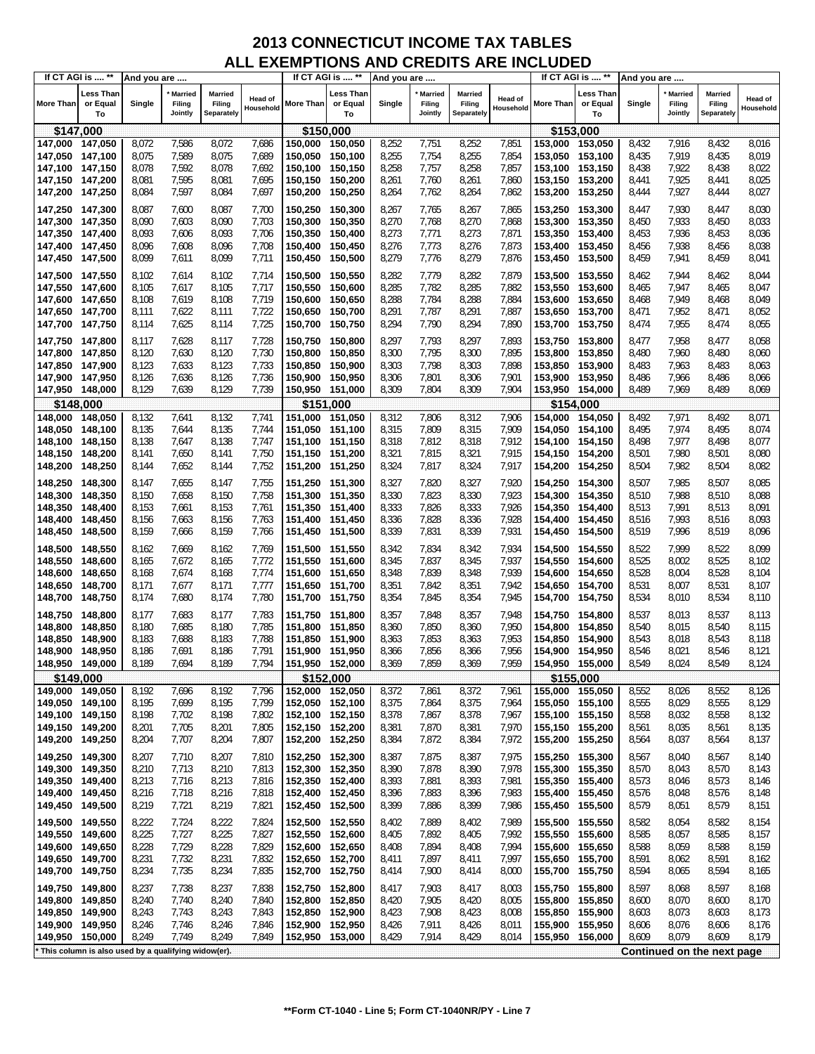|                                    | If CT AGI is  **                                    | And you are    |                              |                                        |                             |                                    | If CT AGI is  **            | And you are    |                                     |                                 |                      |                                    | If CT AGI is  **            | And you are    |                                     |                                        |                             |
|------------------------------------|-----------------------------------------------------|----------------|------------------------------|----------------------------------------|-----------------------------|------------------------------------|-----------------------------|----------------|-------------------------------------|---------------------------------|----------------------|------------------------------------|-----------------------------|----------------|-------------------------------------|----------------------------------------|-----------------------------|
| <b>More Than</b>                   | <b>Less Than</b><br>or Equal<br>To                  | Single         | Married<br>Filing<br>Jointly | <b>Married</b><br>Filing<br>Separately | <b>Head of</b><br>Household | More Than                          | Less Than<br>or Equal<br>To | Single         | <b>Married</b><br>Filing<br>Jointly | Married<br>Filing<br>Separately | Head of<br>Household | More Than                          | Less Than<br>or Equal<br>То | Single         | <b>Married</b><br>Filing<br>Jointly | <b>Married</b><br>Filing<br>Separately | <b>Head of</b><br>Household |
|                                    | \$147,000                                           |                |                              |                                        |                             |                                    | \$150,000                   |                |                                     |                                 |                      |                                    | \$153,000                   |                |                                     |                                        |                             |
| 147,000 147,050                    |                                                     | 8,072          | 7,586                        | 8,072                                  | 7,686                       | 150,000                            | 150,050                     | 8,252          | 7,751                               | 8,252                           | 7,851                | 153,000 153,050                    |                             | 8,432          | 7,916                               | 8,432                                  | 8,016                       |
| 147,050 147,100                    |                                                     | 8,075          | 7,589                        | 8,075                                  | 7,689                       | 150,050                            | 150,100                     | 8,255          | 7,754                               | 8,255                           | 7,854                | 153.050 153,100                    |                             | 8,435          | 7,919                               | 8,435                                  | 8,019                       |
| 147,100                            | 147,150                                             | 8,078          | 7,592                        | 8,078                                  | 7,692                       | 150,100                            | 150,150                     | 8,258          | 7,757                               | 8,258                           | 7,857                | 153,100 153,150                    |                             | 8,438          | 7,922                               | 8,438                                  | 8,022                       |
| 147,150 147,200                    |                                                     | 8,081          | 7,595                        | 8,081                                  | 7,695                       | 150,150                            | 150,200                     | 8,261          | 7,760                               | 8,261                           | 7,860                | 153,150 153,200                    |                             | 8,441          | 7,925                               | 8,441                                  | 8,025                       |
| 147,200                            | 147,250                                             | 8,084          | 7,597                        | 8,084                                  | 7,697                       | 150,200                            | 150,250                     | 8,264          | 7,762                               | 8,264                           | 7,862                | 153,200 153,250                    |                             | 8,444          | 7,927                               | 8,444                                  | 8,027                       |
| 147,250 147,300                    |                                                     | 8,087          | 7,600                        | 8,087                                  | 7,700                       | 150,250 150,300                    |                             | 8,267          | 7,765                               | 8,267                           | 7,865                | 153,250 153,300                    |                             | 8,447          | 7,930                               | 8,447                                  | 8,030                       |
| 147,300 147,350                    |                                                     | 8,090          | 7,603                        | 8,090                                  | 7,703                       | 150,300                            | 150,350                     | 8,270          | 7,768                               | 8,270                           | 7,868                | 153,300 153,350                    |                             | 8,450          | 7,933                               | 8,450                                  | 8,033                       |
| 147,350                            | 147,400                                             | 8,093          | 7,606                        | 8,093                                  | 7,706                       | 150,350                            | 150,400                     | 8,273          | 7,771                               | 8,273                           | 7,871                | 153,350 153,400                    |                             | 8,453          | 7,936                               | 8,453                                  | 8,036                       |
| 147,400 147,450                    |                                                     | 8,096          | 7,608                        | 8,096                                  | 7,708                       | 150,400                            | 150,450                     | 8,276          | 7,773                               | 8,276                           | 7,873                | 153,400 153,450                    |                             | 8,456          | 7,938                               | 8,456                                  | 8,038                       |
| 147,450                            | 147,500                                             | 8,099          | 7,611                        | 8,099                                  | 7,711                       | 150,450                            | 150,500                     | 8,279          | 7,776                               | 8,279                           | 7,876                | 153,450 153,500                    |                             | 8,459          | 7,941                               | 8,459                                  | 8,041                       |
|                                    |                                                     |                |                              |                                        |                             |                                    |                             |                |                                     |                                 |                      |                                    |                             |                |                                     |                                        |                             |
| 147,500 147,550                    |                                                     | 8,102          | 7,614<br>7,617               | 8,102<br>8,105                         | 7,714<br>7,717              | 150,500                            | 150,550                     | 8,282<br>8,285 | 7,779<br>7,782                      | 8,282<br>8,285                  | 7,879<br>7,882       | 153,500 153,550                    |                             | 8,462          | 7,944<br>7,947                      | 8,462<br>8,465                         | 8,044<br>8,047              |
| 147,550 147,600                    |                                                     | 8,105          | 7,619                        | 8,108                                  | 7,719                       | 150,550 150,600<br>150,600         | 150,650                     | 8,288          | 7,784                               | 8,288                           | 7,884                | 153,550 153,600<br>153,600 153,650 |                             | 8,465<br>8,468 | 7,949                               | 8,468                                  | 8,049                       |
| 147,600 147,650<br>147,650 147,700 |                                                     | 8,108<br>8,111 | 7,622                        | 8,111                                  | 7,722                       | 150,650                            | 150,700                     | 8,291          | 7,787                               | 8,291                           | 7,887                | 153,650 153,700                    |                             | 8,471          | 7,952                               | 8,471                                  | 8,052                       |
| 147,700 147,750                    |                                                     | 8,114          | 7,625                        | 8,114                                  | 7,725                       | 150,700                            | 150,750                     | 8,294          | 7,790                               | 8,294                           | 7,890                | 153,700 153,750                    |                             | 8,474          | 7,955                               | 8,474                                  | 8,055                       |
|                                    |                                                     |                |                              |                                        |                             |                                    |                             |                |                                     |                                 |                      |                                    |                             |                |                                     |                                        |                             |
| 147,750 147,800                    |                                                     | 8,117          | 7,628                        | 8,117                                  | 7,728                       | 150,750                            | 150,800                     | 8,297          | 7,793                               | 8,297                           | 7,893                | 153,750 153,800                    |                             | 8,477          | 7,958                               | 8,477                                  | 8,058                       |
| 147,800                            | 147,850                                             | 8,120          | 7,630                        | 8,120                                  | 7,730                       | 150,800                            | 150,850                     | 8,300          | 7,795                               | 8,300                           | 7,895                | 153,800 153,850                    |                             | 8,480          | 7,960                               | 8,480                                  | 8,060                       |
| 147,850 147,900                    |                                                     | 8,123          | 7,633                        | 8,123                                  | 7,733                       | 150,850                            | 150,900                     | 8,303          | 7,798                               | 8,303                           | 7,898                | 153,850 153,900                    |                             | 8,483          | 7,963                               | 8,483                                  | 8,063                       |
| 147,900 147,950                    |                                                     | 8,126          | 7,636                        | 8,126                                  | 7,736                       | 150,900                            | 150,950                     | 8,306          | 7,801                               | 8,306                           | 7,901                | 153,900 153,950                    |                             | 8,486          | 7,966                               | 8,486                                  | 8,066                       |
| 147,950 148,000                    |                                                     | 8,129          | 7,639                        | 8,129                                  | 7,739                       | 150,950 151,000                    |                             | 8,309          | 7,804                               | 8,309                           | 7,904                | 153,950 154,000                    |                             | 8,489          | 7,969                               | 8,489                                  | 8,069                       |
|                                    | \$148,000                                           |                |                              |                                        |                             |                                    | \$151,000                   |                |                                     |                                 |                      |                                    | \$154,000                   |                |                                     |                                        |                             |
| 148,000                            | 148,050                                             | 8,132          | 7,641                        | 8,132                                  | 7,741                       | 151,000                            | 151,050                     | 8,312          | 7,806                               | 8,312                           | 7,906                | 154,000                            | 154,050                     | 8,492          | 7,971                               | 8,492                                  | 8,071                       |
| 148,050 148,100                    |                                                     | 8,135          | 7,644                        | 8,135                                  | 7,744                       | 151,050 151,100                    |                             | 8,315          | 7,809                               | 8,315                           | 7,909                | 154,050 154,100                    |                             | 8,495          | 7,974                               | 8,495<br>8,498                         | 8,074<br>8,077              |
| 148,100<br>148,150                 | 148,150<br>148,200                                  | 8,138<br>8,141 | 7,647<br>7,650               | 8,138<br>8,141                         | 7,747<br>7,750              | 151,100<br>151,150 151,200         | 151,150                     | 8,318<br>8,321 | 7,812<br>7,815                      | 8,318<br>8,321                  | 7,912<br>7,915       | 154,100 154,150<br>154,150 154,200 |                             | 8,498<br>8,501 | 7,977<br>7,980                      | 8,501                                  | 8,080                       |
| 148,200                            | 148,250                                             | 8,144          | 7,652                        | 8,144                                  | 7,752                       | 151,200 151,250                    |                             | 8,324          | 7,817                               | 8,324                           | 7,917                | 154,200 154,250                    |                             | 8,504          | 7,982                               | 8,504                                  | 8,082                       |
|                                    |                                                     |                |                              |                                        |                             |                                    |                             |                |                                     |                                 |                      |                                    |                             |                |                                     |                                        |                             |
| 148,250                            | 148,300                                             | 8,147          | 7,655                        | 8,147                                  | 7,755                       | 151,250 151,300                    |                             | 8,327          | 7,820                               | 8,327                           | 7,920                | 154,250 154,300                    |                             | 8,507          | 7,985                               | 8,507                                  | 8,085                       |
| 148,300                            | 148,350                                             | 8,150          | 7,658                        | 8,150                                  | 7,758                       | 151,300 151,350                    |                             | 8,330          | 7,823                               | 8,330                           | 7,923                | 154,300 154,350                    |                             | 8,510          | 7,988                               | 8,510                                  | 8,088                       |
| 148,350                            | 148,400                                             | 8,153          | 7,661                        | 8,153                                  | 7,761                       | 151,350                            | 151,400                     | 8,333          | 7,826                               | 8,333                           | 7,926                | 154,350 154,400                    |                             | 8,513          | 7,991                               | 8,513                                  | 8,091                       |
| 148,400                            | 148,450                                             | 8,156          | 7,663                        | 8,156                                  | 7,763                       | 151,400 151,450                    |                             | 8,336          | 7,828                               | 8,336                           | 7,928                | 154,400 154,450                    |                             | 8,516          | 7,993                               | 8,516                                  | 8,093                       |
| 148,450                            | 148,500                                             | 8,159          | 7,666                        | 8,159                                  | 7,766                       | 151,450 151,500                    |                             | 8,339          | 7,831                               | 8,339                           | 7,931                | 154,450 154,500                    |                             | 8,519          | 7,996                               | 8,519                                  | 8,096                       |
| 148,500                            | 148,550                                             | 8,162          | 7,669                        | 8,162                                  | 7,769                       | 151,500 151,550                    |                             | 8,342          | 7,834                               | 8,342                           | 7,934                | 154,500 154,550                    |                             | 8,522          | 7,999                               | 8,522                                  | 8,099                       |
| 148,550                            | 148,600                                             | 8,165          | 7,672                        | 8,165                                  | 7,772                       | 151,550                            | 151,600                     | 8,345          | 7,837                               | 8,345                           | 7,937                | 154,550 154,600                    |                             | 8,525          | 8,002                               | 8,525                                  | 8,102                       |
| 148,600                            | 148,650                                             | 8,168          | 7,674                        | 8,168                                  | 7,774                       | 151,600 151,650                    |                             | 8,348          | 7,839                               | 8,348                           | 7,939                | 154,600 154,650                    |                             | 8,528          | 8,004                               | 8,528                                  | 8,104                       |
| 148,650                            | 148,700                                             | 8,171          | 7,677                        | 8,171                                  | 7,777                       | 151,650 151,700                    |                             | 8,351          | 7,842                               | 8,351                           | 7,942                | 154,650 154,700                    |                             | 8,531          | 8,007                               | 8,531                                  | 8,107                       |
| 148,700                            | 148,750                                             | 8,174          | 7,680                        | 8,174                                  | 7,780                       | 151,700 151,750                    |                             | 8,354          | 7,845                               | 8,354                           | 7,945                | 154,700 154,750                    |                             | 8,534          | 8,010                               | 8,534                                  | 8,110                       |
| 148,750                            | 148,800                                             | 8,177          | 7,683                        | 8,177                                  | 7,783                       | 151,750 151,800                    |                             | 8,357          | 7,848                               | 8,357                           | 7,948                | 154,750 154,800                    |                             | 8,537          | 8,013                               | 8,537                                  | 8,113                       |
| 148,800                            | 148,850                                             | 8,180          | 7,685                        | 8,180                                  | 7,785                       | 151,800 151,850                    |                             | 8,360          | 7,850                               | 8,360                           | 7,950                | 154,800                            | 154,850                     | 8,540          | 8,015                               | 8,540                                  | 8,115                       |
| 148,850                            | 148.900                                             | 8,183          | 7,688                        | 8,183                                  | 7,788                       | 151,850                            | 151,900                     | 8,363          | 7,853                               | 8,363                           | 7,953                | 154,850 154,900                    |                             | 8,543          | 8,018                               | 8,543                                  | 8,118                       |
| 148,900                            | 148,950                                             | 8,186          | 7,691                        | 8,186                                  | 7,791                       | 151,900                            | 151,950                     | 8,366          | 7,856                               | 8,366                           | 7,956                | 154,900                            | 154,950                     | 8,546          | 8,021                               | 8,546                                  | 8,121                       |
| 148,950 149,000                    |                                                     | 8,189          | 7,694                        | 8,189                                  | 7,794                       | 151,950 152,000                    |                             | 8,369          | 7,859                               | 8,369                           | 7,959                | 154,950 155,000                    |                             | 8,549          | 8,024                               | 8,549                                  | 8,124                       |
| \$149,000                          |                                                     |                |                              |                                        |                             | \$152,000                          |                             |                |                                     |                                 |                      |                                    | \$155,000                   |                |                                     |                                        |                             |
| 149,000 149,050                    |                                                     | 8,192          | 7,696                        | 8,192                                  | 7,796                       | 152,000 152,050                    |                             | 8,372          | 7,861                               | 8,372                           | 7,961                | 155,000 155,050                    |                             | 8,552          | 8,026                               | 8,552                                  | 8,126                       |
| 149,050 149,100                    |                                                     | 8,195<br>8,198 | 7,699<br>7,702               | 8,195<br>8,198                         | 7,799<br>7,802              | 152,050 152,100<br>152,100 152,150 |                             | 8,375<br>8,378 | 7,864<br>7,867                      | 8,375<br>8,378                  | 7,964<br>7,967       | 155,050 155,100                    |                             | 8,555<br>8,558 | 8,029<br>8,032                      | 8,555<br>8,558                         | 8,129<br>8,132              |
| 149,100 149,150<br>149,150 149,200 |                                                     | 8,201          | 7,705                        | 8,201                                  | 7,805                       | 152,150 152,200                    |                             | 8,381          | 7,870                               | 8,381                           | 7,970                | 155,100 155,150<br>155,150 155,200 |                             | 8,561          | 8,035                               | 8,561                                  | 8,135                       |
| 149,200 149,250                    |                                                     | 8,204          | 7,707                        | 8,204                                  | 7,807                       | 152,200 152,250                    |                             | 8,384          | 7,872                               | 8,384                           | 7,972                | 155,200 155,250                    |                             | 8,564          | 8,037                               | 8,564                                  | 8,137                       |
|                                    |                                                     |                |                              |                                        |                             |                                    |                             |                |                                     |                                 |                      |                                    |                             |                |                                     |                                        |                             |
| 149,250 149,300                    |                                                     | 8,207          | 7,710                        | 8,207                                  | 7,810                       | 152,250 152,300                    |                             | 8,387          | 7,875                               | 8,387                           | 7,975                | 155,250 155,300                    |                             | 8,567          | 8,040                               | 8,567                                  | 8,140                       |
| 149,300<br>149,350 149,400         | 149,350                                             | 8,210<br>8,213 | 7,713<br>7,716               | 8,210<br>8,213                         | 7,813                       | 152,300 152,350<br>152,350 152,400 |                             | 8,390<br>8,393 | 7,878<br>7,881                      | 8,390<br>8,393                  | 7,978<br>7,981       | 155,300 155,350<br>155,350 155,400 |                             | 8,570<br>8,573 | 8,043<br>8,046                      | 8,570<br>8,573                         | 8,143                       |
| 149,400 149,450                    |                                                     | 8,216          | 7,718                        | 8,216                                  | 7,816<br>7,818              | 152,400 152,450                    |                             | 8,396          | 7,883                               | 8,396                           | 7,983                | 155,400 155,450                    |                             | 8,576          | 8,048                               | 8,576                                  | 8,146<br>8,148              |
| 149,450                            | 149,500                                             | 8,219          | 7,721                        | 8,219                                  | 7,821                       | 152,450 152,500                    |                             | 8,399          | 7,886                               | 8,399                           | 7,986                | 155,450 155,500                    |                             | 8,579          | 8,051                               | 8,579                                  | 8,151                       |
|                                    |                                                     |                |                              |                                        |                             |                                    |                             |                |                                     |                                 |                      |                                    |                             |                |                                     |                                        |                             |
| 149,500 149,550                    |                                                     | 8,222          | 7,724                        | 8,222                                  | 7,824                       | 152,500 152,550                    |                             | 8,402          | 7,889                               | 8,402                           | 7,989                | 155,500 155,550                    |                             | 8,582          | 8,054                               | 8,582                                  | 8,154                       |
| 149,550                            | 149,600                                             | 8,225          | 7,727                        | 8,225                                  | 7,827                       | 152,550 152,600                    |                             | 8,405          | 7,892                               | 8,405                           | 7,992                | 155,550 155,600                    |                             | 8,585          | 8,057                               | 8,585                                  | 8,157                       |
| 149,600                            | 149,650                                             | 8,228          | 7,729                        | 8,228                                  | 7,829                       | 152,600                            | 152,650                     | 8,408          | 7,894                               | 8,408                           | 7,994                | 155,600 155,650                    |                             | 8,588          | 8,059                               | 8,588                                  | 8,159                       |
| 149,650 149,700                    |                                                     | 8,231          | 7,732                        | 8,231                                  | 7,832                       | 152,650 152,700                    |                             | 8,411          | 7,897                               | 8,411                           | 7,997                | 155,650 155,700                    |                             | 8,591          | 8,062                               | 8,591                                  | 8,162                       |
| 149,700                            | 149,750                                             | 8,234          | 7,735                        | 8,234                                  | 7,835                       | 152,700 152,750                    |                             | 8,414          | 7,900                               | 8,414                           | 8,000                | 155,700 155,750                    |                             | 8,594          | 8,065                               | 8,594                                  | 8,165                       |
| 149,750 149,800                    |                                                     | 8,237          | 7,738                        | 8,237                                  | 7,838                       | 152,750 152,800                    |                             | 8,417          | 7,903                               | 8,417                           | 8,003                | 155,750 155,800                    |                             | 8,597          | 8,068                               | 8,597                                  | 8,168                       |
| 149,800 149,850                    |                                                     | 8,240          | 7,740                        | 8,240                                  | 7,840                       | 152,800 152,850                    |                             | 8,420          | 7,905                               | 8,420                           | 8,005                | 155,800 155,850                    |                             | 8,600          | 8,070                               | 8,600                                  | 8,170                       |
| 149,850                            | 149,900                                             | 8,243          | 7,743                        | 8,243                                  | 7,843                       | 152,850                            | 152,900                     | 8,423          | 7,908                               | 8,423                           | 8,008                | 155,850 155,900                    |                             | 8,603          | 8,073                               | 8,603                                  | 8,173                       |
| 149,900 149,950                    |                                                     | 8,246          | 7,746                        | 8,246                                  | 7,846                       | 152,900                            | 152,950                     | 8,426          | 7,911                               | 8,426                           | 8,011                | 155,900 155,950                    |                             | 8,606          | 8,076                               | 8,606                                  | 8,176                       |
| 149,950 150,000                    |                                                     | 8,249          | 7,749                        | 8,249                                  | 7,849                       | 152,950 153,000                    |                             | 8,429          | 7,914                               | 8,429                           | 8,014                | 155,950 156,000                    |                             | 8,609          | 8,079                               | 8,609                                  | 8,179                       |
|                                    | This column is also used by a qualifying widow(er). |                |                              |                                        |                             |                                    |                             |                |                                     |                                 |                      |                                    |                             |                |                                     | Continued on the next page             |                             |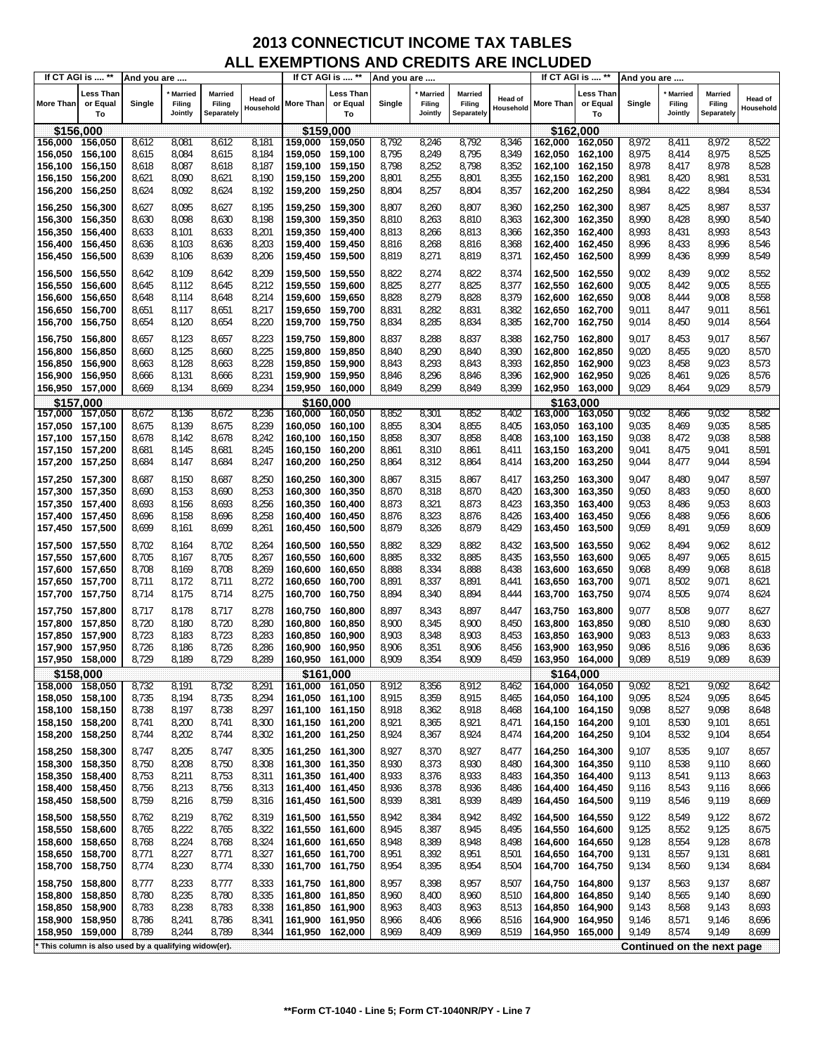|                  | If CT AGI is  **<br>And you are                     |        |                              |                                 |                      |                 | If CT AGI is  **            | And you are |                                     |                                 |                      |                  | If CT AGI is  **            | And you are |                                     |                                        |                      |
|------------------|-----------------------------------------------------|--------|------------------------------|---------------------------------|----------------------|-----------------|-----------------------------|-------------|-------------------------------------|---------------------------------|----------------------|------------------|-----------------------------|-------------|-------------------------------------|----------------------------------------|----------------------|
| <b>More Than</b> | <b>Less Than</b><br>or Equal<br>To                  | Single | Married<br>Filing<br>Jointly | Married<br>Filing<br>Separately | Head of<br>Household | More Than       | Less Than<br>or Equal<br>To | Single      | <b>Married</b><br>Filing<br>Jointly | Married<br>Filing<br>Separately | Head of<br>Household | <b>More Than</b> | Less Than<br>or Equal<br>To | Single      | <b>Married</b><br>Filing<br>Jointly | <b>Married</b><br>Filing<br>Separately | Head of<br>Household |
| \$156,000        |                                                     |        |                              |                                 |                      | \$159,000       |                             |             |                                     |                                 |                      |                  | \$162,000                   |             |                                     |                                        |                      |
| 156,000          | 156,050                                             | 8,612  | 8,081                        | 8,612                           | 8,181                | 159,000 159,050 |                             | 8,792       | 8,246                               | 8,792                           | 8,346                | 162,000          | 162,050                     | 8,972       | 8,411                               | 8,972                                  | 8,522                |
| 156,050          | 156,100                                             | 8,615  | 8,084                        | 8,615                           | 8,184                | 159,050 159,100 |                             | 8,795       | 8,249                               | 8,795                           | 8,349                | 162,050 162,100  |                             | 8,975       | 8,414                               | 8,975                                  | 8,525                |
| 156,100          | 156,150                                             | 8,618  | 8,087                        | 8,618                           | 8,187                | 159,100 159,150 |                             | 8,798       | 8,252                               | 8,798                           | 8,352                | 162,100 162,150  |                             | 8,978       | 8,417                               | 8,978                                  | 8,528                |
| 156,150          | 156,200                                             | 8,621  | 8,090                        | 8,621                           | 8,190                | 159,150 159,200 |                             | 8,801       | 8,255                               | 8,801                           | 8,355                | 162,150 162,200  |                             | 8,981       | 8,420                               | 8,981                                  | 8,531                |
| 156,200          | 156,250                                             | 8,624  | 8,092                        | 8,624                           | 8,192                | 159,200 159,250 |                             | 8,804       | 8,257                               | 8,804                           | 8,357                | 162,200 162,250  |                             | 8,984       | 8,422                               | 8,984                                  | 8,534                |
|                  |                                                     |        |                              |                                 |                      |                 |                             |             |                                     |                                 |                      |                  |                             |             |                                     |                                        |                      |
| 156,250          | 156,300                                             | 8,627  | 8,095                        | 8,627                           | 8,195                | 159,250 159,300 |                             | 8,807       | 8,260                               | 8,807                           | 8,360                | 162,250 162,300  |                             | 8,987       | 8,425                               | 8,987                                  | 8,537                |
| 156,300          | 156,350                                             | 8,630  | 8,098                        | 8,630                           | 8,198                | 159,300 159,350 |                             | 8,810       | 8,263                               | 8,810                           | 8,363                | 162,300          | 162,350                     | 8,990       | 8,428                               | 8,990                                  | 8,540                |
| 156,350          | 156,400                                             | 8,633  | 8,101                        | 8,633                           | 8,201                | 159,350 159,400 |                             | 8,813       | 8,266                               | 8,813                           | 8,366                | 162,350 162,400  |                             | 8,993       | 8,431                               | 8,993                                  | 8,543                |
| 156,400          | 156,450                                             | 8,636  | 8,103                        | 8,636                           | 8,203                | 159,400         | 159,450                     | 8,816       | 8,268                               | 8,816                           | 8,368                | 162,400 162,450  |                             | 8,996       | 8,433                               | 8,996                                  | 8,546                |
| 156,450          | 156,500                                             | 8,639  | 8,106                        | 8,639                           | 8,206                | 159,450 159,500 |                             | 8,819       | 8,271                               | 8,819                           | 8,371                | 162,450 162,500  |                             | 8,999       | 8,436                               | 8,999                                  | 8,549                |
| 156,500          | 156,550                                             | 8,642  | 8,109                        | 8,642                           | 8,209                | 159,500 159,550 |                             | 8,822       | 8,274                               | 8,822                           | 8,374                | 162,500 162,550  |                             | 9,002       | 8,439                               | 9,002                                  | 8,552                |
| 156,550          | 156,600                                             | 8,645  | 8,112                        | 8,645                           | 8,212                | 159,550 159,600 |                             | 8,825       | 8,277                               | 8,825                           | 8,377                | 162,550 162,600  |                             | 9,005       | 8,442                               | 9,005                                  | 8,555                |
| 156,600          | 156,650                                             | 8,648  | 8,114                        | 8,648                           | 8,214                | 159,600 159,650 |                             | 8,828       | 8,279                               | 8,828                           | 8,379                | 162,600 162,650  |                             | 9,008       | 8,444                               | 9,008                                  | 8,558                |
| 156,650          | 156,700                                             | 8,651  | 8,117                        | 8,651                           | 8,217                | 159,650 159,700 |                             | 8,831       | 8,282                               | 8,831                           | 8,382                | 162,650 162,700  |                             | 9,011       | 8,447                               | 9,011                                  | 8,561                |
| 156,700          | 156,750                                             | 8,654  | 8,120                        | 8,654                           | 8,220                | 159,700 159,750 |                             | 8,834       | 8,285                               | 8,834                           | 8,385                | 162,700 162,750  |                             | 9,014       | 8,450                               | 9,014                                  | 8,564                |
|                  |                                                     |        |                              |                                 |                      |                 |                             |             |                                     |                                 |                      |                  |                             |             |                                     |                                        |                      |
| 156,750          | 156,800                                             | 8,657  | 8,123                        | 8,657                           | 8,223                | 159,750 159,800 |                             | 8,837       | 8,288                               | 8,837                           | 8,388                | 162,750 162,800  |                             | 9,017       | 8,453                               | 9,017                                  | 8,567                |
| 156,800          | 156,850                                             | 8,660  | 8,125                        | 8,660                           | 8,225                | 159,800 159,850 |                             | 8,840       | 8,290                               | 8,840                           | 8,390                | 162,800 162,850  |                             | 9,020       | 8,455                               | 9,020                                  | 8,570                |
| 156,850          | 156,900                                             | 8,663  | 8,128                        | 8,663                           | 8,228                | 159,850         | 159,900                     | 8,843       | 8,293                               | 8,843                           | 8,393                | 162,850 162,900  |                             | 9,023       | 8,458                               | 9,023                                  | 8,573                |
| 156,900          | 156,950                                             | 8,666  | 8,131                        | 8,666                           | 8,231                | 159,900 159,950 |                             | 8,846       | 8,296                               | 8,846                           | 8,396                | 162,900 162,950  |                             | 9,026       | 8,461                               | 9,026                                  | 8,576                |
| 156,950 157,000  |                                                     | 8,669  | 8,134                        | 8,669                           | 8,234                | 159,950 160,000 |                             | 8,849       | 8,299                               | 8,849                           | 8,399                | 162,950 163,000  |                             | 9,029       | 8,464                               | 9,029                                  | 8,579                |
| \$157,000        |                                                     |        |                              |                                 |                      | \$160,000       |                             |             |                                     |                                 |                      |                  | \$163,000                   |             |                                     |                                        |                      |
| 157,000          | 157,050                                             | 8,672  | 8,136                        | 8,672                           | 8,236                | 160,000 160,050 |                             | 8,852       | 8,301                               | 8,852                           | 8,402                | 163,000 163,050  |                             | 9,032       | 8,466                               | 9.032                                  | 8,582                |
| 157,050          | 157,100                                             | 8,675  | 8,139                        | 8,675                           | 8,239                | 160,050 160,100 |                             | 8,855       | 8,304                               | 8,855                           | 8,405                | 163,050 163,100  |                             | 9,035       | 8,469                               | 9,035                                  | 8,585                |
| 157,100 157,150  |                                                     | 8,678  | 8,142                        | 8,678                           | 8,242                | 160,100 160,150 |                             | 8,858       | 8,307                               | 8,858                           | 8,408                | 163,100 163,150  |                             | 9,038       | 8,472                               | 9,038                                  | 8,588                |
| 157,150 157,200  |                                                     | 8,681  | 8,145                        | 8,681                           | 8,245                | 160,150 160,200 |                             | 8,861       | 8,310                               | 8,861                           | 8,411                | 163,150 163,200  |                             | 9,041       | 8,475                               | 9,041                                  | 8,591                |
| 157,200 157,250  |                                                     | 8,684  | 8,147                        | 8,684                           | 8,247                | 160,200 160,250 |                             | 8,864       | 8,312                               | 8,864                           | 8,414                | 163,200 163,250  |                             | 9,044       | 8,477                               | 9,044                                  | 8,594                |
| 157,250 157,300  |                                                     | 8,687  | 8,150                        | 8,687                           | 8,250                | 160,250 160,300 |                             | 8,867       | 8,315                               | 8,867                           | 8,417                | 163,250 163,300  |                             | 9,047       | 8,480                               | 9,047                                  | 8,597                |
| 157,300          | 157,350                                             | 8,690  | 8,153                        | 8,690                           | 8,253                | 160,300         | 160,350                     | 8,870       | 8,318                               | 8,870                           | 8,420                | 163,300 163,350  |                             | 9,050       | 8,483                               | 9,050                                  | 8,600                |
| 157,350 157,400  |                                                     | 8,693  | 8,156                        | 8,693                           | 8,256                | 160,350         | 160,400                     | 8,873       | 8,321                               | 8,873                           | 8,423                | 163,350 163,400  |                             | 9,053       | 8,486                               | 9,053                                  | 8,603                |
| 157,400 157,450  |                                                     | 8,696  | 8,158                        | 8,696                           | 8,258                | 160,400         | 160,450                     | 8,876       | 8,323                               | 8,876                           | 8,426                | 163,400 163,450  |                             | 9,056       | 8,488                               | 9,056                                  | 8,606                |
| 157,450          | 157,500                                             | 8,699  | 8,161                        | 8,699                           | 8,261                | 160,450 160,500 |                             | 8,879       | 8,326                               | 8,879                           | 8,429                | 163,450 163,500  |                             | 9,059       | 8,491                               | 9,059                                  | 8,609                |
|                  |                                                     |        |                              |                                 |                      |                 |                             |             |                                     |                                 |                      |                  |                             |             |                                     |                                        |                      |
| 157,500          | 157,550                                             | 8,702  | 8,164                        | 8,702                           | 8,264                | 160,500 160,550 |                             | 8,882       | 8,329                               | 8,882                           | 8,432                | 163,500 163,550  |                             | 9,062       | 8,494                               | 9,062                                  | 8,612                |
| 157,550          | 157,600                                             | 8,705  | 8,167                        | 8,705                           | 8,267                | 160,550 160,600 |                             | 8,885       | 8,332                               | 8,885                           | 8,435                | 163,550 163,600  |                             | 9,065       | 8,497                               | 9,065                                  | 8,615                |
| 157,600          | 157,650                                             | 8,708  | 8,169                        | 8,708                           | 8,269                | 160,600         | 160,650                     | 8,888       | 8,334                               | 8,888                           | 8,438                | 163,600 163,650  |                             | 9,068       | 8,499                               | 9,068                                  | 8,618                |
| 157,650          | 157,700                                             | 8,711  | 8,172                        | 8,711                           | 8,272                | 160,650 160,700 |                             | 8,891       | 8,337                               | 8,891                           | 8,441                | 163,650 163,700  |                             | 9,071       | 8,502                               | 9,071                                  | 8,621                |
| 157,700          | 157,750                                             | 8,714  | 8,175                        | 8,714                           | 8,275                | 160,700         | 160,750                     | 8,894       | 8,340                               | 8,894                           | 8,444                | 163,700          | 163,750                     | 9,074       | 8,505                               | 9,074                                  | 8,624                |
| 157,750          | 157,800                                             | 8,717  | 8,178                        | 8,717                           | 8,278                | 160,750         | 160,800                     | 8,897       | 8,343                               | 8,897                           | 8,447                | 163,750 163,800  |                             | 9,077       | 8,508                               | 9,077                                  | 8,627                |
| 157,800          | 157,850                                             | 8,720  | 8,180                        | 8,720                           | 8,280                | 160,800         | 160,850                     | 8,900       | 8,345                               | 8,900                           | 8,450                | 163,800          | 163,850                     | 9,080       | 8,510                               | 9,080                                  | 8,630                |
| 157,850          | 157,900                                             | 8,723  | 8,183                        | 8,723                           | 8,283                | 160,850         | 160,900                     | 8,903       | 8,348                               | 8,903                           | 8,453                | 163,850          | 163,900                     | 9,083       | 8,513                               | 9,083                                  | 8,633                |
| 157,900          | 157,950                                             | 8,726  | 8,186                        | 8,726                           | 8,286                | 160,900         | 160,950                     | 8,906       | 8,351                               | 8,906                           | 8,456                | 163,900          | 163,950                     | 9,086       | 8,516                               | 9,086                                  | 8,636                |
| 157,950 158,000  |                                                     | 8,729  | 8,189                        | 8,729                           | 8,289                | 160,950 161,000 |                             | 8,909       | 8,354                               | 8,909                           | 8,459                | 163,950 164,000  |                             | 9,089       | 8,519                               | 9,089                                  | 8,639                |
| \$158,000        |                                                     |        |                              |                                 |                      |                 | \$161,000                   |             |                                     |                                 |                      |                  | \$164,000                   |             |                                     |                                        |                      |
| 158,000 158,050  |                                                     | 8,732  | 8,191                        | 8,732                           | 8,291                | 161,000 161,050 |                             | 8,912       | 8,356                               | 8,912                           | 8,462                | 164,000 164,050  |                             | 9,092       | 8,521                               | 9,092                                  | 8,642                |
| 158,050 158,100  |                                                     | 8,735  | 8,194                        | 8,735                           | 8,294                | 161,050 161,100 |                             | 8,915       | 8,359                               | 8,915                           | 8,465                | 164,050 164,100  |                             | 9,095       | 8,524                               | 9,095                                  | 8,645                |
| 158,100 158,150  |                                                     | 8,738  | 8,197                        | 8,738                           | 8,297                | 161,100 161,150 |                             | 8,918       | 8,362                               | 8,918                           | 8,468                | 164,100 164,150  |                             | 9,098       | 8,527                               | 9,098                                  | 8,648                |
| 158,150          | 158,200                                             | 8,741  | 8,200                        | 8,741                           | 8,300                | 161,150 161,200 |                             | 8,921       | 8,365                               | 8,921                           | 8,471                | 164,150 164,200  |                             | 9,101       | 8,530                               | 9,101                                  | 8,651                |
| 158,200          | 158,250                                             | 8,744  | 8,202                        | 8,744                           | 8,302                | 161,200 161,250 |                             | 8,924       | 8,367                               | 8,924                           | 8,474                | 164,200          | 164,250                     | 9,104       | 8,532                               | 9,104                                  | 8,654                |
|                  |                                                     |        |                              |                                 |                      |                 |                             |             |                                     |                                 |                      |                  |                             |             |                                     |                                        |                      |
| 158,250          | 158,300                                             | 8,747  | 8,205                        | 8,747                           | 8,305                | 161,250 161,300 |                             | 8,927       | 8,370                               | 8,927                           | 8,477                | 164,250          | 164,300                     | 9,107       | 8,535                               | 9,107                                  | 8,657                |
| 158,300 158,350  |                                                     | 8,750  | 8,208                        | 8,750                           | 8,308                | 161,300 161,350 |                             | 8,930       | 8,373                               | 8,930                           | 8,480                | 164,300 164,350  |                             | 9,110       | 8,538                               | 9,110                                  | 8,660                |
| 158,350          | 158,400                                             | 8,753  | 8,211                        | 8,753                           | 8,311                | 161,350 161,400 |                             | 8,933       | 8,376                               | 8,933                           | 8,483                | 164,350 164,400  |                             | 9,113       | 8,541                               | 9,113                                  | 8,663                |
| 158,400          | 158,450                                             | 8,756  | 8,213                        | 8,756                           | 8,313                | 161,400 161,450 |                             | 8,936       | 8,378                               | 8,936                           | 8,486                | 164,400          | 164,450                     | 9,116       | 8,543                               | 9,116                                  | 8,666                |
| 158,450          | 158,500                                             | 8,759  | 8,216                        | 8,759                           | 8,316                | 161,450 161,500 |                             | 8,939       | 8,381                               | 8,939                           | 8,489                | 164,450          | 164,500                     | 9,119       | 8,546                               | 9,119                                  | 8,669                |
| 158,500          | 158,550                                             | 8,762  | 8,219                        | 8,762                           | 8,319                | 161,500 161,550 |                             | 8,942       | 8,384                               | 8,942                           | 8,492                | 164,500          | 164,550                     | 9,122       | 8,549                               | 9,122                                  | 8,672                |
| 158,550          | 158,600                                             | 8,765  | 8,222                        | 8,765                           | 8,322                | 161,550 161,600 |                             | 8,945       | 8,387                               | 8,945                           | 8,495                | 164,550          | 164,600                     | 9,125       | 8,552                               | 9,125                                  | 8,675                |
| 158,600          | 158,650                                             | 8,768  | 8,224                        | 8,768                           | 8,324                | 161,600 161,650 |                             | 8,948       | 8,389                               | 8,948                           | 8,498                | 164,600          | 164,650                     | 9,128       | 8,554                               | 9,128                                  | 8,678                |
| 158,650          | 158,700                                             | 8,771  | 8,227                        | 8,771                           | 8,327                | 161,650 161,700 |                             | 8,951       | 8,392                               | 8,951                           | 8,501                | 164,650          | 164,700                     | 9,131       | 8,557                               | 9,131                                  | 8,681                |
| 158,700          | 158,750                                             | 8,774  | 8,230                        | 8,774                           | 8,330                | 161,700 161,750 |                             | 8,954       | 8,395                               | 8,954                           | 8,504                | 164,700          | 164,750                     | 9,134       | 8,560                               | 9,134                                  | 8,684                |
| 158,750          | 158,800                                             |        | 8,233                        | 8,777                           | 8,333                | 161,750 161,800 |                             | 8,957       | 8,398                               |                                 |                      | 164,750 164,800  |                             |             |                                     | 9,137                                  | 8,687                |
|                  |                                                     | 8,777  |                              |                                 |                      |                 |                             |             |                                     | 8,957                           | 8,507                |                  |                             | 9,137       | 8,563                               |                                        |                      |
| 158,800          | 158,850                                             | 8,780  | 8,235                        | 8,780                           | 8,335                | 161,800 161,850 |                             | 8,960       | 8,400                               | 8,960                           | 8,510                | 164,800          | 164,850                     | 9,140       | 8,565                               | 9,140                                  | 8,690                |
| 158,850          | 158,900                                             | 8,783  | 8,238                        | 8,783                           | 8,338                | 161,850 161,900 |                             | 8,963       | 8,403                               | 8,963                           | 8,513                | 164,850          | 164,900                     | 9,143       | 8,568                               | 9,143                                  | 8,693                |
| 158,900          | 158,950                                             | 8,786  | 8,241                        | 8,786                           | 8,341                | 161,900 161,950 |                             | 8,966       | 8,406                               | 8,966                           | 8,516                | 164,900          | 164,950                     | 9,146       | 8,571                               | 9,146                                  | 8,696                |
| 158,950          | 159,000                                             | 8,789  | 8,244                        | 8,789                           | 8,344                | 161,950 162,000 |                             | 8,969       | 8,409                               | 8,969                           | 8,519                | 164,950          | 165,000                     | 9,149       | 8,574                               | 9,149                                  | 8,699                |
|                  | This column is also used by a qualifying widow(er). |        |                              |                                 |                      |                 |                             |             |                                     |                                 |                      |                  |                             |             |                                     | Continued on the next page             |                      |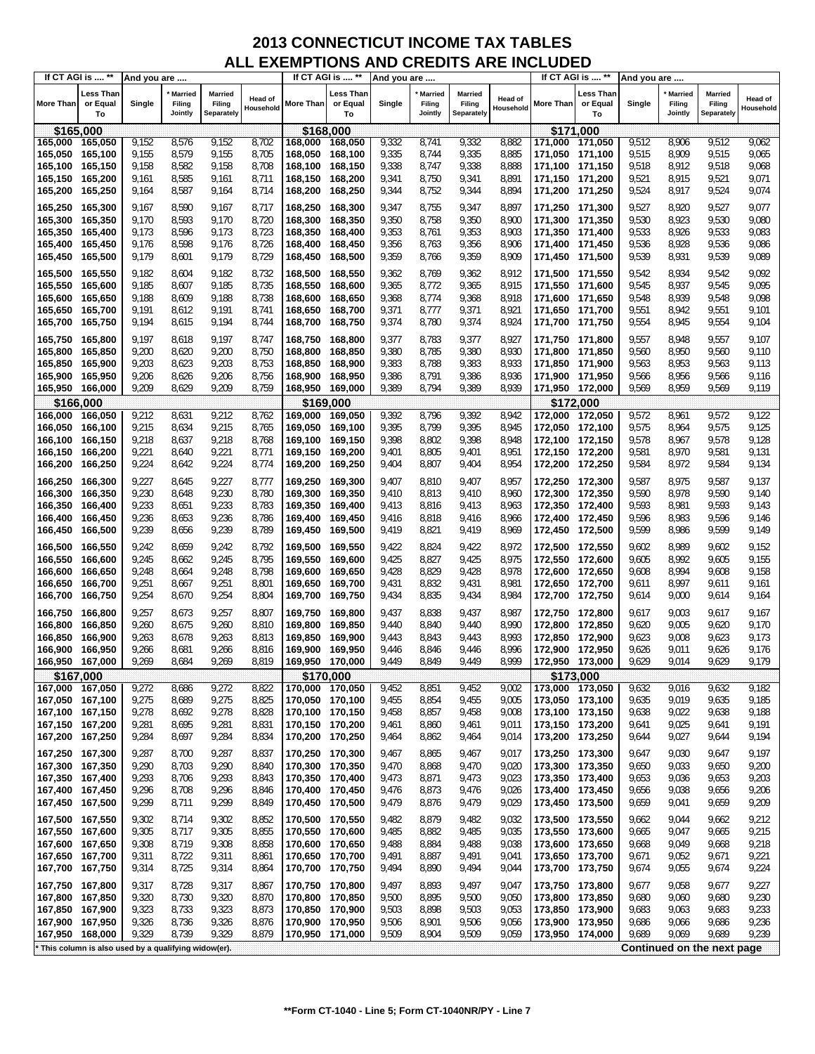|                  | If CT AGI is  **                                      | And you are |                                     |                                 |                             |                 | If CT AGI is  **            | And you are |                                     |                                 |                      |                  | If CT AGI is  **                   | And you are |                                     |                                        |                      |
|------------------|-------------------------------------------------------|-------------|-------------------------------------|---------------------------------|-----------------------------|-----------------|-----------------------------|-------------|-------------------------------------|---------------------------------|----------------------|------------------|------------------------------------|-------------|-------------------------------------|----------------------------------------|----------------------|
| <b>More Than</b> | <b>Less Than</b><br>or Equal<br>To                    | Single      | <b>Married</b><br>Filing<br>Jointly | Married<br>Filing<br>Separately | <b>Head of</b><br>Household | More Than       | Less Than<br>or Equal<br>To | Single      | <b>Married</b><br>Filing<br>Jointly | Married<br>Filing<br>Separately | Head of<br>Household | <b>More Than</b> | <b>Less Than</b><br>or Equal<br>To | Single      | <b>Married</b><br>Filing<br>Jointly | <b>Married</b><br>Filing<br>Separately | Head of<br>Household |
| \$165,000        |                                                       |             |                                     |                                 |                             | \$168,000       |                             |             |                                     |                                 |                      |                  | \$171,000                          |             |                                     |                                        |                      |
| 165,000          | 165,050                                               | 9,152       | 8,576                               | 9,152                           | 8,702                       | 168,000         | 168,050                     | 9,332       | 8,741                               | 9,332                           | 8,882                | 171,000          | 171,050                            | 9,512       | 8,906                               | 9,512                                  | 9,062                |
| 165,050          | 165,100                                               | 9,155       | 8,579                               | 9,155                           | 8,705                       | 168,050 168,100 |                             | 9,335       | 8,744                               | 9,335                           | 8,885                | 171,050 171,100  |                                    | 9,515       | 8,909                               | 9,515                                  | 9,065                |
| 165,100          | 165,150                                               | 9,158       | 8,582                               | 9,158                           | 8,708                       | 168,100 168,150 |                             | 9,338       | 8,747                               | 9,338                           | 8,888                | 171,100 171,150  |                                    | 9,518       | 8,912                               | 9,518                                  | 9,068                |
| 165,150          | 165,200                                               | 9,161       | 8,585                               | 9,161                           | 8,711                       | 168,150 168,200 |                             | 9,341       | 8,750                               | 9,341                           | 8,891                | 171,150 171,200  |                                    | 9,521       | 8,915                               | 9,521                                  | 9,071                |
| 165,200          | 165,250                                               | 9,164       | 8,587                               | 9,164                           | 8,714                       | 168,200 168,250 |                             | 9,344       | 8,752                               | 9,344                           | 8,894                | 171,200          | 171,250                            | 9,524       | 8,917                               | 9,524                                  | 9,074                |
|                  |                                                       |             |                                     |                                 |                             |                 |                             |             |                                     |                                 |                      |                  |                                    |             |                                     |                                        |                      |
| 165,250          | 165,300                                               | 9,167       | 8,590                               | 9,167                           | 8,717                       | 168.250 168.300 |                             | 9,347       | 8,755                               | 9,347                           | 8,897                | 171,250 171,300  |                                    | 9,527       | 8,920                               | 9,527                                  | 9,077                |
| 165,300          | 165,350                                               | 9,170       | 8,593                               | 9,170                           | 8,720                       | 168,300         | 168,350                     | 9,350       | 8,758                               | 9,350                           | 8,900                | 171,300 171,350  |                                    | 9,530       | 8,923                               | 9,530                                  | 9,080                |
| 165,350          | 165,400                                               | 9,173       | 8,596                               | 9,173                           | 8,723                       | 168,350         | 168,400                     | 9,353       | 8,761                               | 9,353                           | 8,903                | 171,350 171,400  |                                    | 9,533       | 8,926                               | 9,533                                  | 9,083                |
| 165,400          | 165,450                                               | 9,176       | 8,598                               | 9,176                           | 8,726                       | 168,400         | 168,450                     | 9,356       | 8,763                               | 9,356                           | 8,906                | 171,400 171,450  |                                    | 9,536       | 8,928                               | 9,536                                  | 9,086                |
| 165,450          | 165,500                                               | 9,179       | 8,601                               | 9,179                           | 8,729                       | 168,450         | 168,500                     | 9,359       | 8,766                               | 9,359                           | 8,909                | 171,450 171,500  |                                    | 9,539       | 8,931                               | 9,539                                  | 9,089                |
| 165,500          | 165,550                                               | 9,182       | 8,604                               | 9,182                           | 8,732                       | 168,500 168,550 |                             | 9,362       | 8,769                               | 9,362                           | 8,912                | 171,500 171,550  |                                    | 9,542       | 8,934                               | 9,542                                  | 9,092                |
|                  |                                                       |             | 8,607                               | 9,185                           | 8,735                       |                 |                             | 9,365       | 8,772                               |                                 | 8,915                |                  |                                    | 9,545       | 8,937                               | 9,545                                  | 9,095                |
| 165,550          | 165,600                                               | 9,185       |                                     |                                 |                             | 168,550 168,600 |                             |             |                                     | 9,365                           |                      | 171,550 171,600  |                                    |             |                                     |                                        |                      |
| 165,600          | 165,650                                               | 9,188       | 8,609                               | 9,188                           | 8,738                       | 168,600         | 168,650                     | 9,368       | 8,774                               | 9,368                           | 8,918                | 171,600 171,650  |                                    | 9,548       | 8,939                               | 9,548                                  | 9,098                |
| 165,650          | 165,700                                               | 9,191       | 8,612                               | 9,191                           | 8,741                       | 168,650 168,700 |                             | 9,371       | 8,777                               | 9,371                           | 8,921                | 171,650 171,700  |                                    | 9,551       | 8,942                               | 9,551                                  | 9,101                |
| 165,700          | 165,750                                               | 9,194       | 8,615                               | 9,194                           | 8,744                       | 168,700 168,750 |                             | 9,374       | 8,780                               | 9,374                           | 8,924                | 171,700 171,750  |                                    | 9,554       | 8,945                               | 9,554                                  | 9,104                |
| 165,750          | 165,800                                               | 9,197       | 8,618                               | 9,197                           | 8,747                       | 168,750         | 168,800                     | 9,377       | 8,783                               | 9,377                           | 8,927                | 171,750 171,800  |                                    | 9,557       | 8,948                               | 9,557                                  | 9,107                |
| 165,800          | 165,850                                               | 9,200       | 8,620                               | 9,200                           | 8,750                       | 168,800         | 168,850                     | 9,380       | 8,785                               | 9,380                           | 8,930                | 171,800          | 171,850                            | 9,560       | 8,950                               | 9,560                                  | 9,110                |
| 165,850          | 165,900                                               | 9,203       | 8,623                               | 9,203                           | 8,753                       | 168,850         | 168,900                     | 9,383       | 8,788                               | 9,383                           | 8,933                | 171,850 171,900  |                                    | 9,563       | 8,953                               | 9,563                                  | 9,113                |
| 165,900          | 165,950                                               | 9,206       | 8,626                               | 9,206                           | 8,756                       | 168,900         | 168,950                     | 9,386       | 8,791                               | 9,386                           | 8,936                | 171,900 171,950  |                                    | 9,566       | 8,956                               | 9,566                                  | 9,116                |
| 165,950 166,000  |                                                       | 9,209       | 8,629                               | 9,209                           | 8,759                       | 168,950 169,000 |                             | 9,389       | 8,794                               | 9,389                           | 8,939                | 171,950 172,000  |                                    | 9,569       | 8,959                               | 9,569                                  | 9,119                |
|                  | \$166,000                                             |             |                                     |                                 |                             |                 | \$169,000                   |             |                                     |                                 |                      |                  | \$172,000                          |             |                                     |                                        |                      |
| 166,000          | 166,050                                               | 9,212       | 8,631                               | 9,212                           | 8,762                       | 169,000         | 169,050                     | 9,392       | 8,796                               | 9,392                           | 8,942                | 172,000          | 172,050                            | 9,572       | 8,961                               | 9,572                                  | 9,122                |
| 166,050          | 166,100                                               | 9,215       | 8,634                               | 9,215                           | 8,765                       | 169,050         | 169,100                     | 9,395       | 8,799                               | 9,395                           | 8,945                | 172,050 172,100  |                                    | 9,575       | 8,964                               | 9,575                                  | 9,125                |
| 166,100          | 166,150                                               | 9,218       | 8,637                               | 9,218                           | 8,768                       | 169,100         | 169,150                     | 9,398       | 8,802                               | 9,398                           | 8,948                | 172,100 172,150  |                                    | 9,578       | 8,967                               | 9,578                                  | 9,128                |
| 166,150          | 166,200                                               | 9,221       | 8,640                               | 9,221                           | 8,771                       | 169,150 169,200 |                             | 9,401       | 8,805                               | 9,401                           | 8,951                | 172,150 172,200  |                                    | 9,581       | 8,970                               | 9,581                                  | 9,131                |
| 166,200          | 166,250                                               | 9,224       | 8,642                               | 9,224                           | 8,774                       | 169,200 169,250 |                             | 9,404       | 8,807                               | 9,404                           | 8,954                |                  |                                    | 9,584       | 8,972                               | 9,584                                  | 9,134                |
|                  |                                                       |             |                                     |                                 |                             |                 |                             |             |                                     |                                 |                      | 172,200 172,250  |                                    |             |                                     |                                        |                      |
| 166,250          | 166,300                                               | 9,227       | 8,645                               | 9,227                           | 8,777                       | 169,250 169,300 |                             | 9,407       | 8,810                               | 9,407                           | 8,957                | 172,250 172,300  |                                    | 9,587       | 8,975                               | 9,587                                  | 9,137                |
| 166,300          | 166,350                                               | 9,230       | 8,648                               | 9,230                           | 8,780                       | 169,300 169,350 |                             | 9,410       | 8,813                               | 9,410                           | 8,960                | 172,300 172,350  |                                    | 9,590       | 8,978                               | 9,590                                  | 9,140                |
| 166,350          | 166,400                                               | 9,233       | 8,651                               | 9,233                           | 8,783                       | 169,350         | 169,400                     | 9,413       | 8,816                               | 9,413                           | 8,963                | 172,350 172,400  |                                    | 9,593       | 8,981                               | 9,593                                  | 9,143                |
| 166,400          | 166,450                                               | 9,236       | 8,653                               | 9,236                           | 8,786                       | 169,400 169,450 |                             | 9,416       | 8,818                               | 9,416                           | 8,966                | 172,400 172,450  |                                    | 9,596       | 8,983                               | 9,596                                  | 9,146                |
| 166,450          | 166,500                                               | 9,239       | 8,656                               | 9,239                           | 8,789                       | 169,450 169,500 |                             | 9,419       | 8,821                               | 9,419                           | 8,969                | 172,450 172,500  |                                    | 9,599       | 8,986                               | 9,599                                  | 9,149                |
|                  |                                                       |             |                                     | 9,242                           |                             |                 |                             |             |                                     |                                 |                      |                  |                                    |             |                                     |                                        |                      |
| 166,500          | 166,550                                               | 9,242       | 8,659                               |                                 | 8,792                       | 169,500 169,550 |                             | 9,422       | 8,824                               | 9,422                           | 8,972                | 172,500 172,550  |                                    | 9,602       | 8,989                               | 9,602                                  | 9,152                |
| 166,550          | 166,600                                               | 9,245       | 8,662                               | 9,245                           | 8,795                       | 169,550         | 169,600                     | 9,425       | 8,827                               | 9,425                           | 8,975                | 172,550 172,600  |                                    | 9,605       | 8,992                               | 9,605                                  | 9,155                |
| 166,600          | 166,650                                               | 9,248       | 8,664                               | 9,248                           | 8,798                       | 169,600         | 169,650                     | 9,428       | 8,829                               | 9,428                           | 8,978                | 172,600 172,650  |                                    | 9,608       | 8,994                               | 9,608                                  | 9,158                |
| 166,650          | 166,700                                               | 9,251       | 8,667                               | 9,251                           | 8,801                       | 169,650         | 169,700                     | 9,431       | 8,832                               | 9,431                           | 8,981                | 172,650 172,700  |                                    | 9,611       | 8,997                               | 9,611                                  | 9,161                |
| 166,700          | 166,750                                               | 9,254       | 8,670                               | 9,254                           | 8,804                       | 169,700 169,750 |                             | 9,434       | 8,835                               | 9,434                           | 8,984                | 172,700 172,750  |                                    | 9,614       | 9,000                               | 9,614                                  | 9,164                |
| 166,750          | 166,800                                               | 9,257       | 8,673                               | 9,257                           | 8,807                       | 169,750 169,800 |                             | 9,437       | 8,838                               | 9,437                           | 8,987                | 172,750 172,800  |                                    | 9,617       | 9,003                               | 9,617                                  | 9,167                |
| 166,800          | 166,850                                               | 9,260       | 8,675                               | 9,260                           | 8,810                       | 169,800         | 169,850                     | 9,440       | 8,840                               | 9,440                           | 8,990                | 172,800 172,850  |                                    | 9,620       | 9,005                               | 9,620                                  | 9,170                |
| 166,850          | 166,900                                               | 9,263       | 8,678                               | 9,263                           | 8,813                       | 169,850 169,900 |                             | 9,443       | 8,843                               | 9,443                           | 8,993                | 172,850 172,900  |                                    | 9,623       | 9,008                               | 9,623                                  | 9,173                |
| 166,900          | 166,950                                               | 9,266       | 8,681                               | 9,266                           | 8,816                       | 169,900         | 169,950                     | 9,446       | 8,846                               | 9,446                           | 8,996                | 172,900          | 172,950                            | 9,626       | 9,011                               | 9,626                                  | 9,176                |
| 166,950          | 167,000                                               | 9,269       | 8,684                               | 9,269                           | 8,819                       | 169,950 170,000 |                             | 9.449       | 8,849                               | 9.449                           | 8.999                | 172,950 173,000  |                                    | 9,629       | 9,014                               | 9,629                                  | 9,179                |
| \$167,000        |                                                       |             |                                     |                                 |                             | \$170,000       |                             |             |                                     |                                 |                      |                  | \$173,000                          |             |                                     |                                        |                      |
| 167,000 167,050  |                                                       | 9,272       | 8,686                               | 9,272                           | 8,822                       | 170,000 170,050 |                             | 9,452       | 8,851                               | 9,452                           | 9,002                | 173,000 173,050  |                                    | 9,632       | 9,016                               | 9,632                                  | 9,182                |
| 167,050 167,100  |                                                       | 9,275       | 8,689                               | 9,275                           | 8,825                       | 170,050 170,100 |                             | 9,455       | 8,854                               | 9,455                           | 9,005                | 173,050 173,100  |                                    | 9,635       | 9,019                               | 9,635                                  | 9,185                |
| 167,100          | 167,150                                               | 9,278       | 8,692                               | 9,278                           | 8,828                       | 170,100 170,150 |                             | 9,458       | 8,857                               | 9,458                           | 9,008                | 173,100 173,150  |                                    | 9,638       | 9,022                               | 9,638                                  | 9,188                |
| 167,150 167,200  |                                                       | 9,281       | 8,695                               | 9,281                           | 8,831                       | 170,150 170,200 |                             | 9,461       | 8,860                               | 9,461                           | 9,011                | 173,150 173,200  |                                    | 9,641       | 9,025                               | 9,641                                  | 9,191                |
| 167,200          | 167,250                                               | 9,284       | 8,697                               | 9,284                           | 8,834                       | 170,200 170,250 |                             | 9,464       | 8,862                               | 9,464                           | 9,014                | 173,200          | 173,250                            | 9,644       | 9,027                               | 9,644                                  | 9,194                |
|                  |                                                       |             |                                     |                                 |                             |                 |                             |             |                                     |                                 |                      |                  |                                    |             |                                     |                                        |                      |
| 167,250 167,300  |                                                       | 9,287       | 8,700                               | 9,287                           | 8,837                       | 170,250 170,300 |                             | 9,467       | 8,865                               | 9,467                           | 9,017                | 173,250 173,300  |                                    | 9,647       | 9,030                               | 9,647                                  | 9,197                |
| 167,300 167,350  |                                                       | 9,290       | 8,703                               | 9,290                           | 8,840                       | 170,300 170,350 |                             | 9,470       | 8,868                               | 9,470                           | 9,020                | 173,300 173,350  |                                    | 9,650       | 9,033                               | 9,650                                  | 9,200                |
| 167,350          | 167,400                                               | 9,293       | 8,706                               | 9,293                           | 8,843                       | 170,350 170,400 |                             | 9,473       | 8,871                               | 9,473                           | 9,023                | 173,350 173,400  |                                    | 9,653       | 9,036                               | 9,653                                  | 9,203                |
| 167,400          | 167,450                                               | 9,296       | 8,708                               | 9,296                           | 8,846                       | 170,400 170,450 |                             | 9,476       | 8,873                               | 9,476                           | 9,026                | 173,400 173,450  |                                    | 9,656       | 9,038                               | 9,656                                  | 9,206                |
| 167,450          | 167,500                                               | 9,299       | 8,711                               | 9,299                           | 8,849                       | 170,450 170,500 |                             | 9,479       | 8,876                               | 9,479                           | 9,029                | 173,450 173,500  |                                    | 9,659       | 9,041                               | 9,659                                  | 9,209                |
| 167,500 167,550  |                                                       | 9,302       | 8,714                               | 9,302                           | 8,852                       | 170,500 170,550 |                             | 9,482       | 8,879                               | 9,482                           | 9,032                | 173,500 173,550  |                                    | 9,662       | 9,044                               | 9,662                                  | 9,212                |
| 167,550          | 167,600                                               | 9,305       | 8,717                               | 9,305                           | 8,855                       | 170,550 170,600 |                             | 9,485       | 8,882                               | 9,485                           | 9,035                | 173,550 173,600  |                                    | 9,665       | 9,047                               | 9,665                                  | 9,215                |
| 167,600 167,650  |                                                       | 9,308       | 8,719                               | 9,308                           | 8,858                       | 170,600 170,650 |                             | 9,488       | 8,884                               | 9,488                           | 9,038                | 173,600 173,650  |                                    | 9,668       | 9,049                               | 9,668                                  | 9,218                |
| 167,650          | 167,700                                               | 9,311       | 8,722                               | 9,311                           | 8,861                       | 170,650 170,700 |                             | 9,491       | 8,887                               | 9,491                           | 9,041                | 173,650 173,700  |                                    | 9,671       | 9,052                               | 9,671                                  | 9,221                |
| 167,700          | 167,750                                               | 9,314       | 8,725                               | 9,314                           | 8,864                       | 170,700 170,750 |                             | 9,494       | 8,890                               | 9,494                           | 9,044                | 173,700          | 173,750                            | 9,674       | 9,055                               | 9,674                                  | 9,224                |
|                  |                                                       |             |                                     |                                 |                             |                 |                             |             |                                     |                                 |                      |                  |                                    |             |                                     |                                        |                      |
| 167,750          | 167,800                                               | 9,317       | 8,728                               | 9,317                           | 8,867                       | 170,750 170,800 |                             | 9,497       | 8,893                               | 9,497                           | 9,047                | 173,750 173,800  |                                    | 9,677       | 9,058                               | 9,677                                  | 9,227                |
| 167,800          | 167,850                                               | 9,320       | 8,730                               | 9,320                           | 8,870                       | 170,800 170,850 |                             | 9,500       | 8,895                               | 9,500                           | 9,050                | 173,800 173,850  |                                    | 9,680       | 9,060                               | 9,680                                  | 9,230                |
| 167,850          | 167,900                                               | 9,323       | 8,733                               | 9,323                           | 8,873                       | 170,850 170,900 |                             | 9,503       | 8,898                               | 9,503                           | 9,053                | 173,850 173,900  |                                    | 9,683       | 9,063                               | 9,683                                  | 9,233                |
| 167,900          | 167,950                                               | 9,326       | 8,736                               | 9,326                           | 8,876                       | 170,900 170,950 |                             | 9,506       | 8,901                               | 9,506                           | 9,056                | 173,900 173,950  |                                    | 9,686       | 9,066                               | 9,686                                  | 9,236                |
| 167,950          | 168,000                                               | 9,329       | 8,739                               | 9,329                           | 8,879                       | 170,950 171,000 |                             | 9,509       | 8,904                               | 9,509                           | 9,059                | 173,950 174,000  |                                    | 9,689       | 9,069                               | 9,689                                  | 9,239                |
|                  | * This column is also used by a qualifying widow(er). |             |                                     |                                 |                             |                 |                             |             |                                     |                                 |                      |                  |                                    |             |                                     | Continued on the next page             |                      |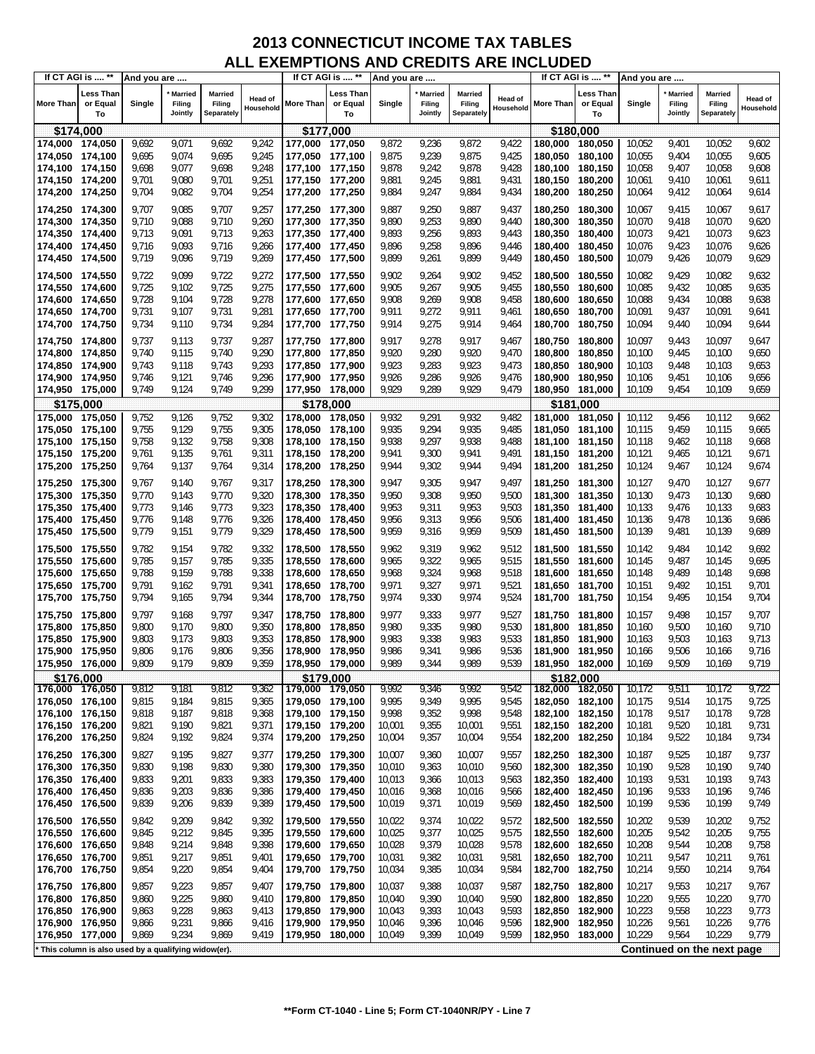|                                    | If CT AGI is  **                                    | And you are    |                              |                                        |                             |                                    | If CT AGI is  **            | And you are      |                                     |                                        |                      |                    | If CT AGI is  **            | And you are      |                                     |                                        |                             |
|------------------------------------|-----------------------------------------------------|----------------|------------------------------|----------------------------------------|-----------------------------|------------------------------------|-----------------------------|------------------|-------------------------------------|----------------------------------------|----------------------|--------------------|-----------------------------|------------------|-------------------------------------|----------------------------------------|-----------------------------|
| <b>More Than</b>                   | <b>Less Than</b><br>or Equal<br>To                  | Single         | Married<br>Filing<br>Jointly | <b>Married</b><br>Filing<br>Separately | <b>Head of</b><br>Household | More Than                          | Less Than<br>or Equal<br>To | Single           | <b>Married</b><br>Filing<br>Jointly | <b>Married</b><br>Filing<br>Separately | Head of<br>Household | More Than          | Less Than<br>or Equal<br>To | Single           | <b>Married</b><br>Filing<br>Jointly | <b>Married</b><br>Filing<br>Separately | <b>Head of</b><br>Household |
|                                    | \$174,000                                           |                |                              |                                        |                             | \$177,000                          |                             |                  |                                     |                                        |                      |                    | \$180.000                   |                  |                                     |                                        |                             |
| 174,000 174,050                    |                                                     | 9,692          | 9,071                        | 9,692                                  | 9,242                       | 177,000                            | 177,050                     | 9,872            | 9,236                               | 9,872                                  | 9,422                | 180,000            | 180,050                     | 10,052           | 9,401                               | 10,052                                 | 9,602                       |
| 174,050 174,100                    |                                                     | 9,695          | 9,074                        | 9,695                                  | 9,245                       | 177,050 177,100                    |                             | 9,875            | 9,239                               | 9,875                                  | 9,425                | 180,050            | 180,100                     | 10,055           | 9,404                               | 10,055                                 | 9,605                       |
| 174,100 174,150                    |                                                     | 9,698          | 9,077                        | 9,698                                  | 9,248                       | 177,100 177,150                    |                             | 9,878            | 9,242                               | 9,878                                  | 9,428                | 180,100            | 180,150                     | 10,058           | 9,407                               | 10,058                                 | 9,608                       |
| 174,150 174,200                    |                                                     | 9,701          | 9,080                        | 9,701                                  | 9,251                       | 177,150 177,200                    |                             | 9,881            | 9,245                               | 9,881                                  | 9,431                | 180,150            | 180,200                     | 10,061           | 9,410                               | 10,061                                 | 9,611                       |
| 174,200 174,250                    |                                                     | 9,704          | 9,082                        | 9,704                                  | 9,254                       | 177,200 177,250                    |                             | 9,884            | 9,247                               | 9,884                                  | 9,434                | 180,200            | 180,250                     | 10,064           | 9,412                               | 10,064                                 | 9,614                       |
| 174,250 174,300                    |                                                     | 9,707          | 9,085                        | 9,707                                  | 9,257                       | 177,250 177,300                    |                             | 9,887            | 9,250                               | 9,887                                  | 9,437                | 180,250            | 180,300                     | 10,067           | 9,415                               | 10,067                                 | 9,617                       |
| 174,300 174,350                    |                                                     | 9,710          | 9,088                        | 9,710                                  | 9,260                       | 177,300 177,350                    |                             | 9,890            | 9,253                               | 9,890                                  | 9,440                | 180,300            | 180,350                     | 10,070           | 9,418                               | 10,070                                 | 9,620                       |
| 174,350                            | 174,400                                             | 9,713          | 9,091                        | 9,713                                  | 9,263                       | 177,350 177,400                    |                             | 9,893            | 9,256                               | 9,893                                  | 9,443                | 180,350            | 180,400                     | 10,073           | 9,421                               | 10,073                                 | 9,623                       |
| 174,400 174,450                    |                                                     | 9,716          | 9,093                        | 9,716                                  | 9,266                       | 177,400 177,450                    |                             | 9,896            | 9,258                               | 9,896                                  | 9,446                | 180,400            | 180,450                     | 10,076           | 9,423                               | 10,076                                 | 9,626                       |
| 174,450 174,500                    |                                                     | 9,719          | 9,096                        | 9,719                                  | 9,269                       | 177,450 177,500                    |                             | 9,899            | 9,261                               | 9,899                                  | 9,449                | 180,450            | 180,500                     | 10,079           | 9,426                               | 10,079                                 | 9,629                       |
| 174,500 174,550                    |                                                     | 9,722          | 9,099                        | 9,722                                  | 9,272                       | 177,500 177,550                    |                             | 9,902            | 9,264                               | 9,902                                  | 9,452                | 180,500            | 180,550                     | 10,082           | 9,429                               | 10,082                                 | 9,632                       |
| 174,550 174,600                    |                                                     | 9,725          | 9,102                        | 9,725                                  | 9,275                       | 177,550 177,600                    |                             | 9,905            | 9,267                               | 9,905                                  | 9,455                | 180,550            | 180,600                     | 10,085           | 9,432                               | 10,085                                 | 9,635                       |
| 174,600 174,650                    |                                                     | 9,728          | 9,104                        | 9,728                                  | 9,278                       | 177,600 177,650                    |                             | 9,908            | 9,269                               | 9,908                                  | 9,458                | 180,600            | 180,650                     | 10,088           | 9,434                               | 10,088                                 | 9,638                       |
| 174,650 174,700                    |                                                     | 9,731          | 9,107                        | 9,731                                  | 9,281                       | 177,650 177,700                    |                             | 9,911            | 9,272                               | 9,911                                  | 9,461                | 180,650            | 180,700                     | 10,091           | 9,437                               | 10,091                                 | 9,641                       |
| 174,700 174,750                    |                                                     | 9,734          | 9,110                        | 9,734                                  | 9,284                       | 177,700 177,750                    |                             | 9,914            | 9,275                               | 9,914                                  | 9,464                | 180,700            | 180,750                     | 10,094           | 9,440                               | 10,094                                 | 9,644                       |
| 174,750 174,800                    |                                                     | 9,737          | 9,113                        | 9,737                                  | 9,287                       | 177,750 177,800                    |                             | 9,917            | 9,278                               | 9,917                                  | 9,467                | 180,750            | 180,800                     | 10,097           | 9,443                               | 10,097                                 | 9,647                       |
| 174,800 174,850                    |                                                     | 9,740          | 9,115                        | 9,740                                  | 9,290                       | 177,800 177,850                    |                             | 9,920            | 9,280                               | 9,920                                  | 9,470                | 180,800            | 180,850                     | 10,100           | 9,445                               | 10,100                                 | 9,650                       |
| 174,850 174,900                    |                                                     | 9,743          | 9,118                        | 9,743                                  | 9,293                       | 177,850 177,900                    |                             | 9,923            | 9,283                               | 9,923                                  | 9,473                | 180.850            | 180,900                     | 10,103           | 9,448                               | 10,103                                 | 9,653                       |
| 174,900 174,950                    |                                                     | 9,746          | 9,121                        | 9,746                                  | 9,296                       | 177,900 177,950                    |                             | 9,926            | 9,286                               | 9,926                                  | 9,476                | 180,900            | 180,950                     | 10,106           | 9,451                               | 10,106                                 | 9,656                       |
| 174,950 175,000                    |                                                     | 9,749          | 9,124                        | 9,749                                  | 9,299                       | 177,950 178,000                    |                             | 9,929            | 9,289                               | 9,929                                  | 9,479                | 180,950            | 181,000                     | 10,109           | 9,454                               | 10,109                                 | 9,659                       |
|                                    | \$175,000                                           |                |                              |                                        |                             | \$178,000                          |                             |                  |                                     |                                        |                      |                    | \$181.000                   |                  |                                     |                                        |                             |
| 175,000                            | 175,050                                             | 9,752          | 9,126                        | 9,752                                  | 9,302                       | 178,000                            | 178,050                     | 9,932            | 9,291                               | 9,932                                  | 9,482                | 181,000            | 181,050                     | 10,112           | 9,456                               | 10,112                                 | 9,662                       |
| 175,050 175,100<br>175,100 175,150 |                                                     | 9,755<br>9,758 | 9,129<br>9,132               | 9,755<br>9,758                         | 9,305<br>9,308              | 178,050 178,100<br>178,100 178,150 |                             | 9,935<br>9,938   | 9,294<br>9,297                      | 9,935<br>9,938                         | 9,485<br>9,488       | 181,050<br>181,100 | 181,100<br>181,150          | 10,115<br>10,118 | 9,459<br>9,462                      | 10,115<br>10,118                       | 9,665<br>9,668              |
| 175,150 175,200                    |                                                     | 9,761          | 9,135                        | 9,761                                  | 9,311                       | 178,150 178,200                    |                             | 9,941            | 9,300                               | 9,941                                  | 9,491                | 181,150            | 181,200                     | 10,121           | 9,465                               | 10,121                                 | 9,671                       |
| 175,200 175,250                    |                                                     | 9,764          | 9,137                        | 9,764                                  | 9,314                       | 178,200 178,250                    |                             | 9,944            | 9,302                               | 9,944                                  | 9,494                | 181,200            | 181,250                     | 10,124           | 9,467                               | 10,124                                 | 9,674                       |
| 175,250 175,300                    |                                                     | 9,767          | 9,140                        | 9,767                                  | 9,317                       | 178,250 178,300                    |                             | 9,947            | 9,305                               | 9,947                                  | 9,497                | 181,250            | 181,300                     | 10,127           | 9,470                               | 10,127                                 | 9,677                       |
| 175,300 175,350                    |                                                     | 9,770          | 9,143                        | 9,770                                  | 9,320                       | 178,300 178,350                    |                             | 9,950            | 9,308                               | 9,950                                  | 9,500                | 181,300            | 181,350                     | 10,130           | 9,473                               | 10,130                                 | 9,680                       |
| 175,350 175,400                    |                                                     | 9,773          | 9,146                        | 9,773                                  | 9,323                       | 178,350                            | 178,400                     | 9,953            | 9,311                               | 9,953                                  | 9,503                | 181,350            | 181,400                     | 10,133           | 9,476                               | 10,133                                 | 9,683                       |
| 175,400 175,450                    |                                                     | 9,776          | 9,148                        | 9,776                                  | 9,326                       | 178,400 178,450                    |                             | 9,956            | 9,313                               | 9,956                                  | 9,506                | 181,400            | 181,450                     | 10,136           | 9,478                               | 10,136                                 | 9,686                       |
| 175,450 175,500                    |                                                     | 9,779          | 9,151                        | 9,779                                  | 9,329                       | 178,450 178,500                    |                             | 9,959            | 9,316                               | 9,959                                  | 9,509                | 181,450            | 181,500                     | 10,139           | 9,481                               | 10,139                                 | 9,689                       |
| 175,500 175,550                    |                                                     | 9,782          | 9,154                        | 9,782                                  | 9,332                       | 178,500 178,550                    |                             | 9,962            | 9,319                               | 9,962                                  | 9,512                | 181,500            | 181,550                     | 10,142           | 9,484                               | 10,142                                 | 9,692                       |
| 175,550                            | 175,600                                             | 9,785          | 9,157                        | 9,785                                  | 9,335                       | 178,550 178,600                    |                             | 9,965            | 9,322                               | 9,965                                  | 9,515                | 181,550            | 181,600                     | 10,145           | 9,487                               | 10,145                                 | 9,695                       |
| 175,600 175,650                    |                                                     | 9,788          | 9,159                        | 9,788                                  | 9,338                       | 178,600 178,650                    |                             | 9,968            | 9,324                               | 9,968                                  | 9,518                | 181,600            | 181,650                     | 10,148           | 9,489                               | 10,148                                 | 9,698                       |
| 175,650                            | 175,700                                             | 9,791          | 9,162                        | 9,791                                  | 9,341                       | 178,650 178,700                    |                             | 9,971            | 9,327                               | 9,971                                  | 9,521                | 181,650            | 181,700                     | 10,151           | 9,492                               | 10,151                                 | 9,701                       |
| 175,700                            | 175,750                                             | 9,794          | 9,165                        | 9,794                                  | 9,344                       | 178,700 178,750                    |                             | 9,974            | 9,330                               | 9,974                                  | 9,524                | 181,700            | 181,750                     | 10,154           | 9,495                               | 10,154                                 | 9,704                       |
| 175,750 175,800                    |                                                     | 9,797          | 9,168                        | 9,797                                  | 9,347                       | 178,750 178,800                    |                             | 9,977            | 9,333                               | 9,977                                  | 9,527                | 181,750            | 181,800                     | 10,157           | 9,498                               | 10,157                                 | 9,707                       |
| 175,800 175,850                    |                                                     | 9,800          | 9,170                        | 9,800                                  | 9,350                       | 178,800 178,850                    |                             | 9,980            | 9,335                               | 9,980                                  | 9,530                | 181,800            | 181,850                     | 10,160           | 9,500                               | 10,160                                 | 9,710                       |
| 175,850                            | 175,900                                             | 9,803          | 9,173                        | 9,803                                  | 9,353                       | 178,850                            | 178,900                     | 9,983            | 9,338                               | 9,983                                  | 9,533                | 181,850            | 181,900                     | 10,163           | 9,503                               | 10,163                                 | 9,713                       |
| 175,900                            | 175,950                                             | 9,806          | 9,176                        | 9,806                                  | 9,356                       | 178,900                            | 178,950                     | 9,986            | 9,341                               | 9,986                                  | 9,536                | 181,900            | 181,950                     | 10,166           | 9,506                               | 10,166                                 | 9,716                       |
| 175,950 176,000                    |                                                     | 9,809          | 9,179                        | 9,809                                  | 9,359                       | 178,950 179,000                    |                             | 9,989            | 9,344                               | 9,989                                  | 9,539                | 181,950 182,000    |                             | 10,169           | 9,509                               | 10,169                                 | 9,719                       |
| 176,000 176,050                    | \$176,000                                           | 9,812          | 9,181                        | 9,812                                  | 9,362                       | \$179,000<br>179,000 179,050       |                             | 9,992            | 9,346                               | 9,992                                  | 9,542                | 182,000 182,050    | \$182,000                   | 10,172           | 9,511                               | 10,172                                 | 9,722                       |
| 176,050 176,100                    |                                                     | 9,815          | 9,184                        | 9,815                                  | 9,365                       | 179,050 179,100                    |                             | 9,995            | 9,349                               | 9,995                                  | 9,545                | 182,050 182,100    |                             | 10,175           | 9,514                               | 10,175                                 | 9,725                       |
| 176,100 176,150                    |                                                     | 9,818          | 9,187                        | 9,818                                  | 9,368                       | 179,100 179,150                    |                             | 9,998            | 9,352                               | 9,998                                  | 9,548                | 182,100 182,150    |                             | 10,178           | 9,517                               | 10,178                                 | 9,728                       |
| 176,150 176,200                    |                                                     | 9,821          | 9,190                        | 9,821                                  | 9,371                       | 179,150 179,200                    |                             | 10,001           | 9,355                               | 10,001                                 | 9,551                | 182,150            | 182,200                     | 10,181           | 9,520                               | 10,181                                 | 9,731                       |
| 176,200 176,250                    |                                                     | 9,824          | 9,192                        | 9,824                                  | 9,374                       | 179,200 179,250                    |                             | 10,004           | 9,357                               | 10,004                                 | 9,554                | 182,200            | 182,250                     | 10,184           | 9,522                               | 10,184                                 | 9,734                       |
| 176,250 176,300                    |                                                     | 9,827          | 9,195                        | 9,827                                  | 9,377                       | 179,250 179,300                    |                             | 10,007           | 9,360                               | 10,007                                 | 9,557                | 182,250            | 182,300                     | 10,187           | 9,525                               | 10,187                                 | 9,737                       |
| 176,300 176,350                    |                                                     | 9,830          | 9,198                        | 9,830                                  | 9,380                       | 179,300 179,350                    |                             | 10,010           | 9,363                               | 10,010                                 | 9,560                | 182,300            | 182,350                     | 10,190           | 9,528                               | 10,190                                 | 9,740                       |
| 176,350 176,400                    |                                                     | 9,833          | 9,201                        | 9,833                                  | 9,383                       | 179,350 179,400                    |                             | 10,013           | 9,366                               | 10,013                                 | 9,563                | 182,350            | 182,400                     | 10,193           | 9,531                               | 10,193                                 | 9,743                       |
| 176,400 176,450                    |                                                     | 9,836          | 9,203                        | 9,836                                  | 9,386                       | 179,400 179,450                    |                             | 10,016           | 9,368                               | 10,016                                 | 9,566                | 182,400            | 182,450                     | 10,196           | 9,533                               | 10,196                                 | 9,746                       |
| 176,450 176,500                    |                                                     | 9,839          | 9,206                        | 9,839                                  | 9,389                       | 179,450 179,500                    |                             | 10,019           | 9,371                               | 10,019                                 | 9,569                | 182,450            | 182,500                     | 10,199           | 9,536                               | 10,199                                 | 9,749                       |
| 176,500 176,550                    |                                                     | 9,842          | 9,209                        | 9,842                                  | 9,392                       | 179,500 179,550                    |                             | 10,022           | 9,374                               | 10,022                                 | 9,572                | 182,500            | 182,550                     | 10,202           | 9,539                               | 10,202                                 | 9,752                       |
| 176,550                            | 176,600                                             | 9,845          | 9,212                        | 9,845                                  | 9,395                       | 179,550 179,600                    |                             | 10,025           | 9,377                               | 10,025                                 | 9,575                | 182,550            | 182,600                     | 10,205           | 9,542                               | 10,205                                 | 9,755                       |
| 176,600                            | 176,650                                             | 9,848          | 9,214                        | 9,848                                  | 9,398                       | 179,600 179,650                    |                             | 10,028           | 9,379                               | 10,028                                 | 9,578                | 182,600            | 182,650                     | 10,208           | 9,544                               | 10,208                                 | 9,758                       |
| 176,650 176,700<br>176,700         | 176,750                                             | 9,851<br>9,854 | 9,217<br>9,220               | 9,851<br>9,854                         | 9,401<br>9,404              | 179,650 179,700<br>179,700 179,750 |                             | 10,031<br>10,034 | 9,382<br>9,385                      | 10,031<br>10,034                       | 9,581<br>9,584       | 182,650<br>182,700 | 182,700<br>182,750          | 10,211<br>10,214 | 9,547<br>9,550                      | 10,211<br>10,214                       | 9,761<br>9,764              |
|                                    |                                                     |                |                              |                                        |                             |                                    |                             |                  |                                     |                                        |                      |                    |                             |                  |                                     |                                        |                             |
| 176,750 176,800                    |                                                     | 9,857          | 9,223                        | 9,857<br>9,860                         | 9,407                       | 179,750 179,800                    |                             | 10,037           | 9,388                               | 10,037                                 | 9,587                | 182,750            | 182,800                     | 10,217           | 9,553                               | 10,217                                 | 9,767                       |
| 176,800<br>176,850 176,900         | 176,850                                             | 9,860<br>9,863 | 9,225<br>9,228               | 9,863                                  | 9,410<br>9,413              | 179,800 179,850<br>179,850 179,900 |                             | 10,040<br>10,043 | 9,390<br>9,393                      | 10,040<br>10,043                       | 9,590<br>9,593       | 182,800<br>182,850 | 182,850<br>182,900          | 10,220<br>10,223 | 9,555<br>9,558                      | 10,220<br>10,223                       | 9,770<br>9,773              |
| 176,900 176,950                    |                                                     | 9,866          | 9,231                        | 9,866                                  | 9,416                       | 179,900 179,950                    |                             | 10,046           | 9,396                               | 10,046                                 | 9,596                | 182,900            | 182,950                     | 10,226           | 9,561                               | 10,226                                 | 9,776                       |
| 176,950 177,000                    |                                                     | 9,869          | 9,234                        | 9,869                                  | 9,419                       | 179,950                            | 180,000                     | 10,049           | 9,399                               | 10,049                                 | 9,599                | 182,950            | 183,000                     | 10,229           | 9,564                               | 10,229                                 | 9,779                       |
|                                    | This column is also used by a qualifying widow(er). |                |                              |                                        |                             |                                    |                             |                  |                                     |                                        |                      |                    |                             |                  |                                     | Continued on the next page             |                             |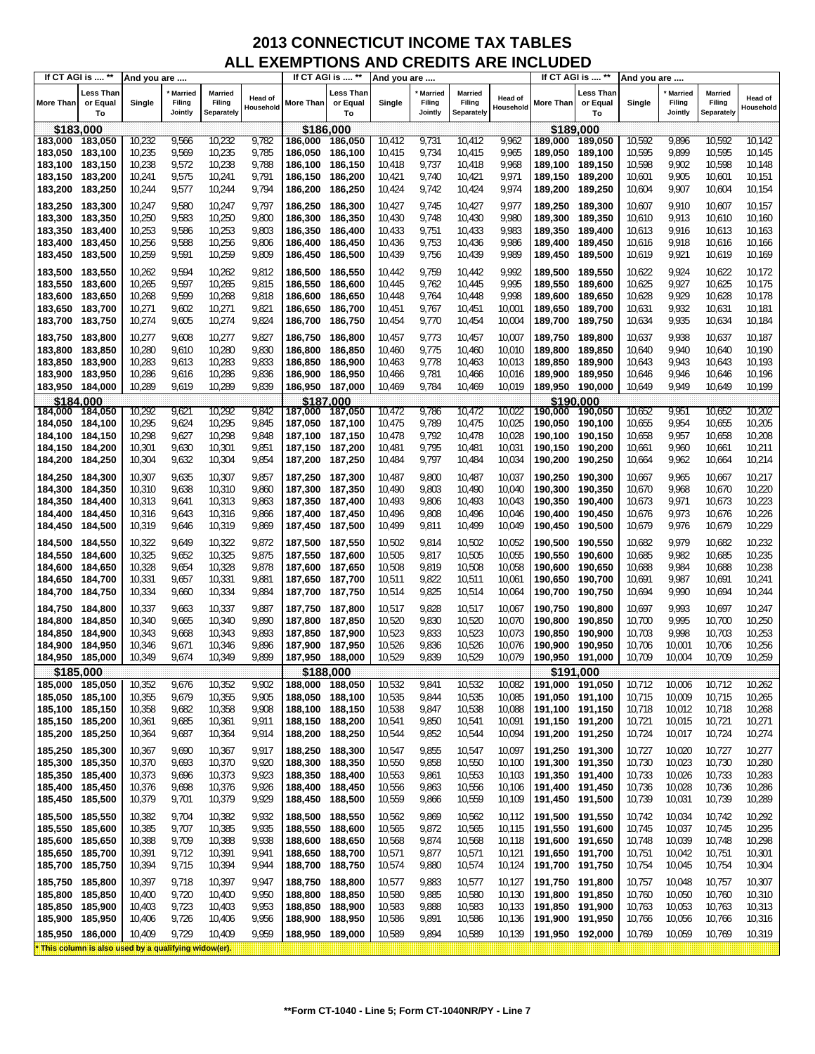|                    | If CT AGI is  **                                    | And you are      |                                     |                                 |                             |                                    | If CT AGI is  **            | And you are      |                                     |                                        |                      |                    | If CT AGI is  **            | And you are      |                                     |                                        |                      |
|--------------------|-----------------------------------------------------|------------------|-------------------------------------|---------------------------------|-----------------------------|------------------------------------|-----------------------------|------------------|-------------------------------------|----------------------------------------|----------------------|--------------------|-----------------------------|------------------|-------------------------------------|----------------------------------------|----------------------|
| More Than          | <b>Less Than</b><br>or Equal<br>To                  | Single           | <b>Married</b><br>Filing<br>Jointly | Married<br>Filing<br>Separately | <b>Head of</b><br>Household | More Than                          | Less Than<br>or Equal<br>To | Single           | <b>Married</b><br>Filing<br>Jointly | <b>Married</b><br>Filing<br>Separately | Head of<br>Household | <b>More Than</b>   | Less Than<br>or Equal<br>To | Single           | <b>Married</b><br>Filing<br>Jointly | <b>Married</b><br>Filing<br>Separately | Head of<br>Household |
|                    | \$183,000                                           |                  |                                     |                                 |                             | \$186,000                          |                             |                  |                                     |                                        |                      |                    | \$189,000                   |                  |                                     |                                        |                      |
| 183,000 183,050    |                                                     | 10,232           | 9,566                               | 10,232                          | 9,782                       | 186,000                            | 186,050                     | 10,412           | 9,731                               | 10,412                                 | 9,962                | 189,000            | 189,050                     | 10,592           | 9,896                               | 10,592                                 | 10,142               |
| 183,050            | 183,100                                             | 10,235           | 9,569                               | 10,235                          | 9,785                       | 186,050                            | 186,100                     | 10,415           | 9,734                               | 10,415                                 | 9,965                | 189,050            | 189,100                     | 10,595           | 9,899                               | 10,595                                 | 10,145               |
| 183,100 183,150    |                                                     | 10,238           | 9,572                               | 10,238                          | 9,788                       | 186,100 186,150                    |                             | 10,418           | 9,737                               | 10,418                                 | 9,968                | 189,100 189,150    |                             | 10,598           | 9,902                               | 10,598                                 | 10,148               |
| 183,150 183,200    |                                                     | 10,241           | 9,575                               | 10,241                          | 9,791                       | 186,150 186,200                    |                             | 10,421           | 9,740                               | 10,421                                 | 9,971                | 189,150 189,200    |                             | 10,601           | 9,905                               | 10,601                                 | 10,151               |
| 183,200 183,250    |                                                     | 10,244           | 9,577                               | 10,244                          | 9,794                       | 186,200 186,250                    |                             | 10,424           | 9,742                               | 10,424                                 | 9,974                | 189,200            | 189,250                     | 10,604           | 9,907                               | 10,604                                 | 10,154               |
| 183,250            | 183,300                                             | 10,247           | 9,580                               | 10,247                          | 9,797                       | 186,250 186,300                    |                             | 10,427           | 9,745                               | 10,427                                 | 9,977                | 189.250            | 189,300                     | 10,607           | 9,910                               | 10,607                                 | 10,157               |
| 183,300            | 183,350                                             | 10,250           | 9,583                               | 10,250                          | 9,800                       | 186,300                            | 186,350                     | 10,430           | 9,748                               | 10,430                                 | 9,980                | 189,300            | 189,350                     | 10,610           | 9,913                               | 10,610                                 | 10,160               |
| 183,350            | 183,400                                             | 10,253           | 9,586                               | 10,253                          | 9,803                       | 186,350 186,400                    |                             | 10,433           | 9,751                               | 10,433                                 | 9,983                | 189,350 189,400    |                             | 10,613           | 9,916                               | 10,613                                 | 10,163               |
| 183,400            | 183,450                                             | 10,256           | 9,588                               | 10,256                          | 9,806                       | 186,400                            | 186,450                     | 10,436           | 9,753                               | 10,436                                 | 9,986                | 189,400            | 189,450                     | 10,616           | 9,918                               | 10,616                                 | 10,166               |
| 183,450            | 183,500                                             | 10,259           | 9,591                               | 10,259                          | 9,809                       | 186,450 186,500                    |                             | 10,439           | 9,756                               | 10,439                                 | 9,989                | 189,450            | 189,500                     | 10,619           | 9,921                               | 10,619                                 | 10,169               |
| 183,500            | 183,550                                             | 10,262           | 9,594                               | 10,262                          | 9,812                       | 186,500                            | 186,550                     | 10,442           | 9,759                               | 10,442                                 | 9,992                | 189,500            | 189,550                     | 10,622           | 9,924                               | 10,622                                 | 10,172               |
| 183,550            | 183,600                                             | 10,265           | 9,597                               | 10,265                          | 9,815                       | 186,550                            | 186,600                     | 10,445           | 9,762                               | 10,445                                 | 9,995                | 189,550            | 189,600                     | 10,625           | 9,927                               | 10,625                                 | 10,175               |
| 183,600            | 183,650                                             | 10,268           | 9,599                               | 10,268                          | 9,818                       | 186,600                            | 186,650                     | 10,448           | 9,764                               | 10,448                                 | 9,998                | 189,600            | 189,650                     | 10,628           | 9,929                               | 10,628                                 | 10,178               |
| 183,650            | 183,700                                             | 10,271           | 9,602                               | 10,271                          | 9,821                       | 186,650 186,700                    |                             | 10,451           | 9,767                               | 10,451                                 | 10,001               | 189,650            | 189,700                     | 10,631           | 9,932                               | 10,631                                 | 10,181               |
| 183,700            | 183,750                                             | 10,274           | 9,605                               | 10,274                          | 9,824                       | 186,700                            | 186,750                     | 10,454           | 9,770                               | 10,454                                 | 10,004               | 189,700            | 189,750                     | 10,634           | 9,935                               | 10,634                                 | 10,184               |
| 183,750 183,800    |                                                     | 10,277           | 9,608                               | 10,277                          | 9,827                       | 186,750 186,800                    |                             | 10,457           | 9,773                               | 10,457                                 | 10,007               | 189,750 189,800    |                             | 10,637           | 9,938                               | 10,637                                 | 10,187               |
| 183,800 183,850    |                                                     | 10,280           | 9,610                               | 10,280                          | 9,830                       | 186,800 186,850                    |                             | 10,460           | 9,775                               | 10,460                                 | 10,010               | 189,800 189,850    |                             | 10,640           | 9,940                               | 10,640                                 | 10,190               |
| 183,850            | 183,900                                             | 10,283           | 9,613                               | 10,283                          | 9,833                       | 186,850                            | 186,900                     | 10,463           | 9,778                               | 10,463                                 | 10,013               | 189,850            | 189,900                     | 10,643           | 9,943                               | 10,643                                 | 10,193               |
| 183,900 183,950    |                                                     | 10,286           | 9,616                               | 10,286                          | 9,836                       | 186,900 186,950                    |                             | 10,466           | 9,781                               | 10,466                                 | 10,016               | 189,900 189,950    |                             | 10,646           | 9,946                               | 10,646                                 | 10,196               |
| 183,950 184,000    |                                                     | 10,289           | 9,619                               | 10,289                          | 9,839                       | 186,950 187,000                    |                             | 10,469           | 9,784                               | 10,469                                 | 10,019               | 189,950 190,000    |                             | 10,649           | 9,949                               | 10,649                                 | 10,199               |
|                    | \$184,000                                           |                  |                                     |                                 |                             | \$187,000                          |                             |                  |                                     |                                        |                      |                    | \$190,000                   |                  |                                     |                                        |                      |
| 184,000 184,050    |                                                     | 10,292           | 9,621                               | 10,292                          | 9,842                       | 187,000 187,050                    |                             | 10,472           | 9,786                               | 10,472                                 | 10,022               | 190,000            | 190,050                     | 10,652           | 9,951                               | 10,652                                 | 10,202               |
| 184,050 184,100    |                                                     | 10,295           | 9,624                               | 10,295                          | 9,845                       | 187,050 187,100                    |                             | 10,475           | 9,789                               | 10,475                                 | 10,025               | 190,050            | 190,100                     | 10,655           | 9,954                               | 10,655                                 | 10,205               |
| 184,100 184,150    |                                                     | 10,298           | 9,627                               | 10,298                          | 9,848                       | 187,100 187,150                    |                             | 10,478           | 9,792                               | 10,478                                 | 10,028               | 190,100 190,150    |                             | 10,658           | 9,957                               | 10,658                                 | 10,208               |
| 184,150            | 184,200                                             | 10,301           | 9,630                               | 10,301                          | 9,851                       | 187,150 187,200                    |                             | 10,481           | 9,795                               | 10,481                                 | 10,031               | 190,150 190,200    |                             | 10,661           | 9,960                               | 10,661                                 | 10,211               |
| 184,200            | 184,250                                             | 10,304           | 9,632                               | 10,304                          | 9,854                       | 187,200 187,250                    |                             | 10,484           | 9,797                               | 10,484                                 | 10,034               | 190,200            | 190,250                     | 10,664           | 9,962                               | 10,664                                 | 10,214               |
| 184,250            | 184,300                                             | 10,307           | 9,635                               | 10,307                          | 9,857                       | 187,250 187,300                    |                             | 10,487           | 9,800                               | 10,487                                 | 10,037               | 190,250            | 190,300                     | 10,667           | 9,965                               | 10,667                                 | 10,217               |
| 184,300            | 184,350                                             | 10,310           | 9,638                               | 10,310                          | 9,860                       | 187,300 187,350                    |                             | 10,490           | 9,803                               | 10,490                                 | 10,040               | 190,300            | 190,350                     | 10,670           | 9,968                               | 10,670                                 | 10,220               |
| 184,350            | 184,400                                             | 10,313           | 9,641                               | 10,313                          | 9,863                       | 187,350 187,400                    |                             | 10,493           | 9,806                               | 10,493                                 | 10,043               | 190,350            | 190,400                     | 10,673           | 9,971                               | 10,673                                 | 10,223               |
| 184,400            | 184,450                                             | 10,316           | 9,643                               | 10,316                          | 9,866                       | 187,400 187,450                    |                             | 10,496           | 9,808                               | 10,496<br>10,499                       | 10,046               | 190,400            | 190,450                     | 10,676           | 9,973                               | 10,676                                 | 10,226<br>10,229     |
| 184,450            | 184,500                                             | 10,319           | 9,646                               | 10,319                          | 9,869                       | 187,450 187,500                    |                             | 10,499           | 9,811                               |                                        | 10,049               | 190,450            | 190,500                     | 10,679           | 9,976                               | 10,679                                 |                      |
| 184,500            | 184,550                                             | 10,322           | 9,649                               | 10,322                          | 9,872                       | 187,500 187,550                    |                             | 10,502           | 9,814                               | 10,502                                 | 10,052               | 190,500            | 190,550                     | 10,682           | 9,979                               | 10,682                                 | 10,232               |
| 184,550            | 184,600                                             | 10,325           | 9,652                               | 10,325                          | 9,875                       | 187,550                            | 187,600                     | 10,505           | 9,817                               | 10,505                                 | 10,055               | 190,550            | 190,600                     | 10,685           | 9,982                               | 10,685                                 | 10,235               |
| 184,600            | 184,650                                             | 10,328           | 9,654                               | 10,328                          | 9,878                       | 187,600                            | 187,650                     | 10,508           | 9,819                               | 10,508                                 | 10,058               | 190,600            | 190,650                     | 10,688           | 9,984                               | 10,688                                 | 10,238               |
| 184,650<br>184,700 | 184,700<br>184,750                                  | 10,331<br>10,334 | 9,657<br>9,660                      | 10,331<br>10,334                | 9,881<br>9,884              | 187,650 187,700<br>187,700 187,750 |                             | 10,511<br>10,514 | 9,822<br>9,825                      | 10,511<br>10,514                       | 10,061<br>10,064     | 190,650<br>190,700 | 190,700<br>190,750          | 10,691<br>10,694 | 9,987<br>9,990                      | 10,691<br>10,694                       | 10,241<br>10,244     |
|                    |                                                     |                  |                                     |                                 |                             |                                    |                             |                  |                                     |                                        |                      |                    |                             |                  |                                     |                                        |                      |
| 184,750 184,800    |                                                     | 10,337           | 9,663                               | 10,337                          | 9,887                       | 187,750 187,800                    |                             | 10,517           | 9,828                               | 10,517                                 | 10,067               | 190,750            | 190,800                     | 10,697           | 9,993                               | 10,697                                 | 10,247               |
| 184,800            | 184,850                                             | 10,340           | 9,665                               | 10,340                          | 9,890                       | 187,800 187,850                    |                             | 10,520           | 9,830                               | 10,520                                 | 10,070               | 190,800            | 190,850                     | 10,700           | 9,995                               | 10,700                                 | 10,250<br>10,253     |
| 184,850<br>184,900 | 184,900<br>184,950                                  | 10,343<br>10,346 | 9,668<br>9,671                      | 10,343<br>10,346                | 9,893<br>9,896              | 187,850 187,900<br>187,900 187,950 |                             | 10,523<br>10,526 | 9,833<br>9,836                      | 10,523<br>10,526                       | 10,073<br>10,076     | 190,850<br>190,900 | 190,900<br>190,950          | 10,703<br>10,706 | 9,998<br>10,001                     | 10,703<br>10,706                       | 10,256               |
| 184,950 185,000    |                                                     | 10,349           | 9,674                               | 10,349                          | 9,899                       | 187,950 188,000                    |                             | 10,529           | 9,839                               | 10,529                                 | 10,079               | 190,950 191,000    |                             | 10,709           | 10,004                              | 10,709                                 | 10,259               |
|                    | \$185,000                                           |                  |                                     |                                 |                             | \$188,000                          |                             |                  |                                     |                                        |                      |                    | \$191,000                   |                  |                                     |                                        |                      |
| 185,000 185,050    |                                                     | 10,352           | 9,676                               | 10,352                          | 9,902                       | 188,000 188,050                    |                             | 10,532           | 9,841                               | 10,532                                 | 10,082               | 191,000 191,050    |                             | 10,712           | 10,006                              | 10,712                                 | 10,262               |
| 185,050            | 185,100                                             | 10,355           | 9,679                               | 10,355                          | 9,905                       | 188,050                            | 188,100                     | 10,535           | 9,844                               | 10,535                                 | 10,085               | 191,050 191,100    |                             | 10,715           | 10,009                              | 10,715                                 | 10,265               |
| 185,100 185,150    |                                                     | 10,358           | 9,682                               | 10,358                          | 9,908                       | 188,100 188,150                    |                             | 10,538           | 9,847                               | 10,538                                 | 10,088               | 191,100 191,150    |                             | 10,718           | 10,012                              | 10,718                                 | 10,268               |
| 185,150 185,200    |                                                     | 10,361           | 9,685                               | 10,361                          | 9,911                       | 188,150 188,200                    |                             | 10,541           | 9,850                               | 10,541                                 | 10,091               | 191,150 191,200    |                             | 10,721           | 10,015                              | 10,721                                 | 10,271               |
| 185,200            | 185,250                                             | 10,364           | 9,687                               | 10,364                          | 9,914                       | 188,200 188,250                    |                             | 10,544           | 9,852                               | 10,544                                 | 10,094               | 191,200            | 191,250                     | 10,724           | 10,017                              | 10,724                                 | 10,274               |
| 185,250            | 185,300                                             | 10,367           | 9,690                               | 10,367                          | 9,917                       | 188,250 188,300                    |                             | 10,547           | 9,855                               | 10,547                                 | 10,097               | 191,250 191,300    |                             | 10,727           | 10,020                              | 10,727                                 | 10,277               |
| 185,300            | 185,350                                             | 10,370           | 9,693                               | 10,370                          | 9,920                       | 188,300                            | 188,350                     | 10,550           | 9,858                               | 10,550                                 | 10,100               | 191,300 191,350    |                             | 10,730           | 10,023                              | 10,730                                 | 10,280               |
| 185,350            | 185,400                                             | 10,373           | 9,696                               | 10,373                          | 9,923                       | 188,350                            | 188,400                     | 10,553           | 9,861                               | 10,553                                 | 10,103               | 191,350 191,400    |                             | 10,733           | 10,026                              | 10,733                                 | 10,283               |
| 185,400            | 185,450                                             | 10,376           | 9,698                               | 10,376                          | 9,926                       | 188,400 188,450                    |                             | 10,556           | 9,863                               | 10,556                                 | 10,106               | 191,400 191,450    |                             | 10,736           | 10,028                              | 10,736                                 | 10,286               |
| 185,450            | 185,500                                             | 10,379           | 9,701                               | 10,379                          | 9,929                       | 188,450 188,500                    |                             | 10,559           | 9,866                               | 10,559                                 | 10,109               | 191,450            | 191,500                     | 10,739           | 10,031                              | 10,739                                 | 10,289               |
| 185,500            | 185,550                                             | 10,382           | 9,704                               | 10,382                          | 9,932                       | 188,500 188,550                    |                             | 10,562           | 9,869                               | 10,562                                 | 10,112               | 191,500 191,550    |                             | 10,742           | 10,034                              | 10,742                                 | 10,292               |
| 185,550            | 185,600                                             | 10,385           | 9,707                               | 10,385                          | 9,935                       | 188,550 188,600                    |                             | 10,565           | 9,872                               | 10,565                                 | 10,115               | 191,550 191,600    |                             | 10,745           | 10,037                              | 10,745                                 | 10,295               |
| 185,600            | 185,650                                             | 10,388           | 9,709                               | 10,388                          | 9,938                       | 188,600                            | 188,650                     | 10,568           | 9,874                               | 10,568                                 | 10,118               | 191,600            | 191,650                     | 10,748           | 10,039                              | 10,748                                 | 10,298               |
| 185,650            | 185,700                                             | 10,391           | 9,712                               | 10,391                          | 9,941                       | 188,650 188,700                    |                             | 10,571           | 9,877                               | 10,571                                 | 10,121               | 191,650 191,700    |                             | 10,751           | 10,042                              | 10,751                                 | 10,301               |
| 185,700            | 185,750                                             | 10,394           | 9,715                               | 10,394                          | 9,944                       | 188,700 188,750                    |                             | 10,574           | 9,880                               | 10,574                                 | 10,124               | 191,700            | 191,750                     | 10,754           | 10,045                              | 10,754                                 | 10,304               |
| 185,750            | 185,800                                             | 10,397           | 9,718                               | 10,397                          | 9,947                       | 188,750 188,800                    |                             | 10,577           | 9,883                               | 10,577                                 | 10,127               | 191,750 191,800    |                             | 10,757           | 10,048                              | 10,757                                 | 10,307               |
| 185,800            | 185,850                                             | 10,400           | 9,720                               | 10,400                          | 9,950                       | 188,800                            | 188,850                     | 10,580           | 9,885                               | 10,580                                 | 10,130               | 191,800            | 191,850                     | 10,760           | 10,050                              | 10,760                                 | 10,310               |
| 185,850            | 185,900                                             | 10,403           | 9,723                               | 10,403                          | 9,953                       | 188,850                            | 188,900                     | 10,583           | 9,888                               | 10,583                                 | 10,133               | 191,850            | 191,900                     | 10,763           | 10,053                              | 10,763                                 | 10,313               |
| 185,900            | 185,950                                             | 10,406           | 9,726                               | 10,406                          | 9,956                       | 188,900                            | 188,950                     | 10,586           | 9,891                               | 10,586                                 | 10,136               | 191,900            | 191,950                     | 10,766           | 10,056                              | 10,766                                 | 10,316               |
| 185,950            | 186,000                                             | 10,409           | 9,729                               | 10,409                          | 9,959                       | 188,950 189,000                    |                             | 10,589           | 9,894                               | 10,589                                 | 10,139               | 191,950 192,000    |                             | 10,769           | 10,059                              | 10,769                                 | 10,319               |
|                    | This column is also used by a qualifying widow(er). |                  |                                     |                                 |                             |                                    |                             |                  |                                     |                                        |                      |                    |                             |                  |                                     |                                        |                      |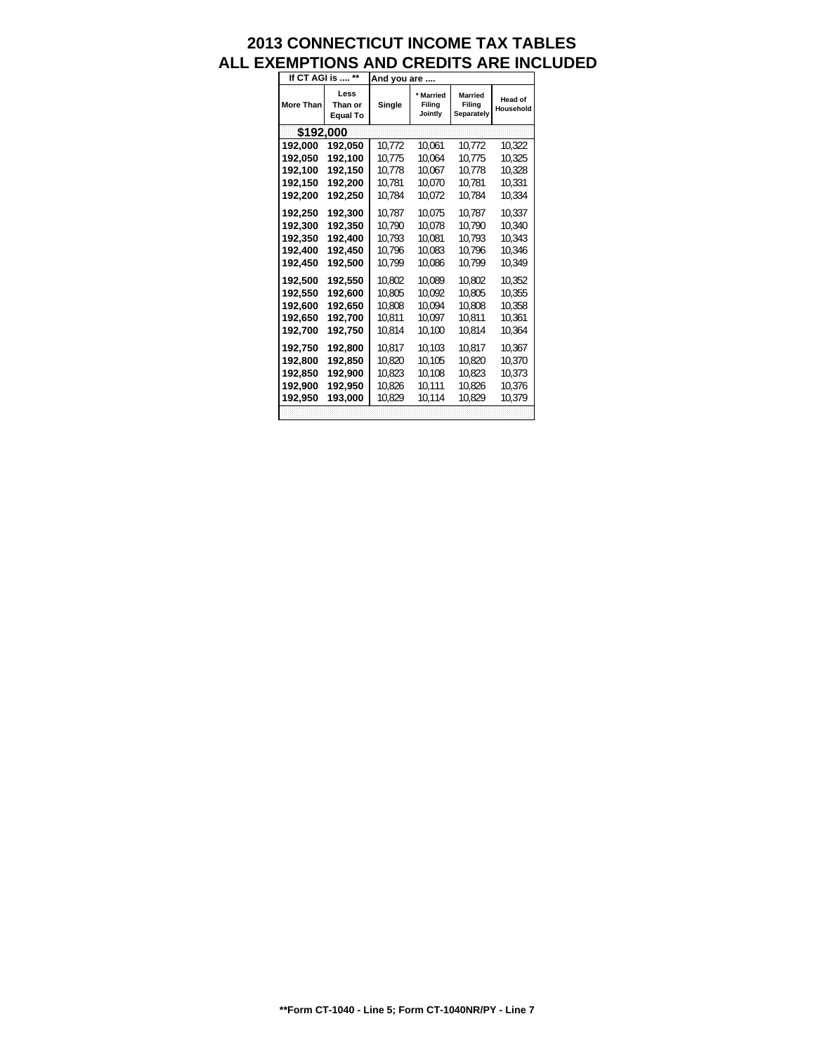| If CT AGI is  ** |                                    | And you are |                                |                                        |                             |
|------------------|------------------------------------|-------------|--------------------------------|----------------------------------------|-----------------------------|
| <b>More Than</b> | Less<br>Than or<br><b>Equal To</b> | Single      | * Married<br>Filing<br>Jointly | <b>Married</b><br>Filing<br>Separately | <b>Head of</b><br>Household |
| \$192,000        |                                    |             |                                |                                        |                             |
| 192,000          | 192,050                            | 10.772      | 10.061                         | 10.772                                 | 10,322                      |
| 192.050          | 192.100                            | 10.775      | 10.064                         | 10.775                                 | 10.325                      |
| 192,100          | 192,150                            | 10.778      | 10.067                         | 10.778                                 | 10.328                      |
| 192.150          | 192.200                            | 10.781      | 10.070                         | 10.781                                 | 10.331                      |
| 192,200          | 192,250                            | 10.784      | 10.072                         | 10.784                                 | 10.334                      |
| 192.250          | 192.300                            | 10.787      | 10.075                         | 10.787                                 | 10.337                      |
| 192.300          | 192.350                            | 10.790      | 10.078                         | 10.790                                 | 10.340                      |
| 192.350          | 192,400                            | 10.793      | 10.081                         | 10.793                                 | 10.343                      |
| 192.400          | 192,450                            | 10.796      | 10.083                         | 10.796                                 | 10.346                      |
| 192.450          | 192.500                            | 10.799      | 10.086                         | 10.799                                 | 10.349                      |
| 192.500          | 192.550                            | 10.802      | 10.089                         | 10.802                                 | 10.352                      |
| 192.550          | 192.600                            | 10.805      | 10.092                         | 10.805                                 | 10.355                      |
| 192.600          | 192,650                            | 10,808      | 10.094                         | 10.808                                 | 10.358                      |
| 192,650          | 192,700                            | 10.811      | 10.097                         | 10.811                                 | 10,361                      |
| 192.700          | 192,750                            | 10.814      | 10.100                         | 10.814                                 | 10.364                      |
| 192.750          | 192.800                            | 10.817      | 10.103                         | 10.817                                 | 10.367                      |
| 192.800          | 192.850                            | 10.820      | 10.105                         | 10.820                                 | 10.370                      |
| 192,850          | 192,900                            | 10.823      | 10,108                         | 10.823                                 | 10.373                      |
| 192.900          | 192.950                            | 10.826      | 10.111                         | 10.826                                 | 10.376                      |
| 192,950          | 193,000                            | 10.829      | 10,114                         | 10.829                                 | 10.379                      |
|                  |                                    |             |                                |                                        |                             |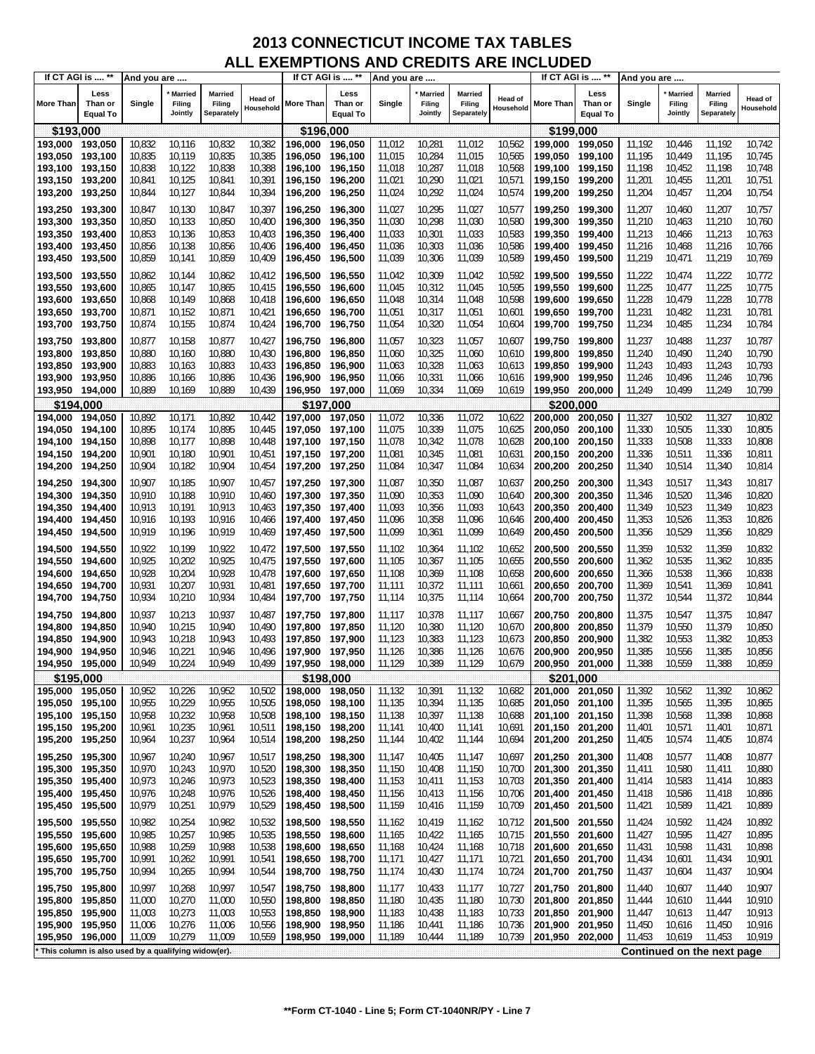| Less<br>Less<br>Less<br><b>Married</b><br>Married<br><b>Married</b><br>Married<br><b>Married</b><br><b>Married</b><br><b>Head of</b><br><b>Head of</b><br><b>Head of</b><br>Than or<br>Single<br>Filing<br>Filing<br>More Than<br>Than or<br>Single<br>Filing<br>Filing<br>More Than<br>Than or<br>Single<br>Filing<br>Filing<br>Household<br>Household<br>Jointly<br>Separately<br>Jointly<br>Separately<br>Jointly<br>Separately<br><b>Equal To</b><br><b>Equal To</b><br><b>Equal To</b><br>\$196,000<br>\$199,000<br>\$193,000<br>10,832<br>10,832<br>10,382<br>10,281<br>11,012<br>10,562<br>10,742<br>193,000<br>193,050<br>10,116<br>196.000<br>196,050<br>11,012<br>199,000<br>199,050<br>11,192<br>10,446<br>11,192<br>193,050<br>193,100<br>10,835<br>10,119<br>10,835<br>10,385<br>196,050<br>196,100<br>11,015<br>10,284<br>11,015<br>10,565<br>199,050<br>199,100<br>11,195<br>10,449<br>11,195<br>10,745<br>193,100<br>193,150<br>10,838<br>10,122<br>10,838<br>10,388<br>196,100<br>196,150<br>11,018<br>10,287<br>11,018<br>10,568<br>199,150<br>11,198<br>10,452<br>11,198<br>10,748<br>199,100<br>10,125<br>10,841<br>10,391<br>11,021<br>10,290<br>11,021<br>193,150<br>193,200<br>10,841<br>196,150<br>196,200<br>10,571<br>199,150<br>11,201<br>10,455<br>11,201<br>10,751<br>199,200<br>10,292<br>193,250<br>10,844<br>10,127<br>10,844<br>10,394<br>196,250<br>11,024<br>11,024<br>10,574<br>11,204<br>10,457<br>11,204<br>10,754<br>196,200<br>199,200<br>199,250<br>10,847<br>10,397<br>10,295<br>10,757<br>193,250<br>193,300<br>10,847<br>10,130<br>196,250<br>196,300<br>11,027<br>11,027<br>10,577<br>199,250<br>199,300<br>11,207<br>10,460<br>11,207<br>11,030<br>10,298<br>11,030<br>193,300<br>193,350<br>10,850<br>10,133<br>10,850<br>10,400<br>196,300<br>196,350<br>10,580<br>199.300<br>199,350<br>11,210<br>10,463<br>11,210<br>10,760<br>193,400<br>10,853<br>10,136<br>10,853<br>10,403<br>196,400<br>11,033<br>10,301<br>11,033<br>10,583<br>199,350<br>199,400<br>11,213<br>10,466<br>11,213<br>10,763<br>193,350<br>196,350<br>193,400<br>193,450<br>10,856<br>10,138<br>10,856<br>10,406<br>196,400<br>196,450<br>11,036<br>10,303<br>11,036<br>10,586<br>199,400<br>199,450<br>11,216<br>10,468<br>11,216<br>10,766<br>10,859<br>10,141<br>10,859<br>10,409<br>196,450<br>196,500<br>11,039<br>10,306<br>11,039<br>10,589<br>11,219<br>10,471<br>11,219<br>10,769<br>193,500<br>199,450<br>199,500<br>193,500<br>193,550<br>10,862<br>10,144<br>10,862<br>10,412<br>11,042<br>10,309<br>11,042<br>10,592<br>199,500<br>199,550<br>11,222<br>10,474<br>11,222<br>10,772<br>196,500<br>196,550<br>193,550<br>193,600<br>10,865<br>10,147<br>10,865<br>10,415<br>196,550<br>196,600<br>11,045<br>10,312<br>11,045<br>10,595<br>199,550<br>199,600<br>11,225<br>10,477<br>11,225<br>10,775<br>10,868<br>10,149<br>10,868<br>10,418<br>11,048<br>10,314<br>11,048<br>10,598<br>199,600<br>11,228<br>10,479<br>11,228<br>10,778<br>193,600<br>193,650<br>196,600<br>196,650<br>199,650<br>193,700<br>10,871<br>10,152<br>10,871<br>10,421<br>11,051<br>10,317<br>11,051<br>10,601<br>11,231<br>10,482<br>11,231<br>10,781<br>193,650<br>196,650<br>196,700<br>199,650<br>199,700<br>10,320<br>11,234<br>193,700<br>10,874<br>10,155<br>10,874<br>10,424<br>11,054<br>11,054<br>10,604<br>199,700<br>10,485<br>11,234<br>10,784<br>193,750<br>196,700<br>196,750<br>199,750<br>10,787<br>193,750<br>193,800<br>10,877<br>10,158<br>10,877<br>10,427<br>196,750<br>11,057<br>10,323<br>11,057<br>10,607<br>199,750<br>199,800<br>11,237<br>10,488<br>11,237<br>196,800<br>193,800<br>193,850<br>10,880<br>10,160<br>10,880<br>10,430<br>196,800<br>196,850<br>11,060<br>10,325<br>11,060<br>10,610<br>199,800<br>199,850<br>11,240<br>10,490<br>11,240<br>10,790<br>10,328<br>193,850<br>193,900<br>10,883<br>10,163<br>10,883<br>10,433<br>196,850<br>196,900<br>11,063<br>11,063<br>10,613<br>199,850<br>199,900<br>11,243<br>10,493<br>11,243<br>10,793<br>193,950<br>10,886<br>10,166<br>10,886<br>10,436<br>196,900<br>11,066<br>10,331<br>11,066<br>10,616<br>199,900<br>199,950<br>11,246<br>10,496<br>11,246<br>10,796<br>193,900<br>196,950<br>10,334<br>10,799<br>193,950<br>194,000<br>10,889<br>10,169<br>10,889<br>10,439<br>196,950 197,000<br>11,069<br>11,069<br>10,619<br>199,950<br>200,000<br>11,249<br>10,499<br>11,249<br>\$194,000<br>\$197,000<br>\$200.000<br>10,336<br>10,502<br>194.000<br>10,892<br>10,171<br>10,892<br>10,442<br>197,050<br>11,072<br>11,072<br>10,622<br>200,000<br>200,050<br>11,327<br>11,327<br>10,802<br>194,050<br>197,000<br>11,075<br>10,339<br>10,625<br>194,050<br>194,100<br>10,895<br>10,174<br>10,895<br>10,445<br>197,050 197,100<br>11,075<br>200,050<br>200,100<br>11,330<br>10,505<br>11,330<br>10,805<br>194,150<br>10,898<br>10,177<br>10,898<br>10,448<br>11,078<br>10,342<br>11,078<br>10,628<br>200,150<br>11,333<br>10,508<br>11,333<br>10,808<br>197,100 197,150<br>200,100<br>194,200<br>10,901<br>10,180<br>10,901<br>10,451<br>11,081<br>10,345<br>11,081<br>10,631<br>200,200<br>11,336<br>10,511<br>11,336<br>10,811<br>197,150 197,200<br>200,150<br>194,200<br>10,904<br>10,182<br>10,904<br>10,454<br>11,084<br>10,347<br>11,084<br>10,634<br>10,514<br>10,814<br>194,250<br>197,200 197,250<br>200,200<br>200,250<br>11,340<br>11,340<br>10,907<br>10,907<br>10,817<br>194,250<br>194,300<br>10,185<br>10,457<br>197,250 197,300<br>11,087<br>10,350<br>11,087<br>10,637<br>200,250<br>200,300<br>11,343<br>10,517<br>11,343<br>11,090<br>194,300<br>194,350<br>10,910<br>10,188<br>10,910<br>10,460<br>197,300<br>197,350<br>10,353<br>11,090<br>10,640<br>200,300<br>200,350<br>11,346<br>10,520<br>11,346<br>10,820<br>10,356<br>10,523<br>194,350<br>10,913<br>10,191<br>10,913<br>10,463<br>197,350<br>11,093<br>11,093<br>10,643<br>200,350<br>11,349<br>11,349<br>10,823<br>194,400<br>197,400<br>200,400<br>10,916<br>11,096<br>10,358<br>11,096<br>10,526<br>10,826<br>10,193<br>10,916<br>10,466<br>197,400<br>197,450<br>10,646<br>11,353<br>11,353<br>194,450<br>200,400<br>200,450<br>10,919<br>11,099<br>10,361<br>11,099<br>10,829<br>10,919<br>10,196<br>10,469<br>197,450 197,500<br>10,649<br>200,450<br>11,356<br>10,529<br>11,356<br>194,500<br>200,500<br>10,922<br>194,500<br>194,550<br>10,922<br>10,199<br>10,472<br>197,500 197,550<br>11,102<br>10,364<br>11,102<br>10,652<br>200,500<br>200,550<br>11,359<br>10,532<br>11,359<br>10,832<br>194,550<br>194,600<br>10,925<br>10,202<br>10,925<br>10,475<br>197,600<br>11,105<br>10,367<br>11,105<br>10,655<br>200,550<br>200,600<br>11,362<br>10,535<br>11,362<br>10,835<br>197,550<br>10,928<br>194,650<br>10,928<br>10,204<br>10,478<br>197,600 197,650<br>11,108<br>10,369<br>11,108<br>10,658<br>200,600<br>200,650<br>11,366<br>10,538<br>11,366<br>10,838<br>194,650<br>10,931<br>10,207<br>10,931<br>10,481<br>10,372<br>11,111<br>10,661<br>200,700<br>11,369<br>10,541<br>11,369<br>10,841<br>194,700<br>197,650 197,700<br>11,111<br>200,650<br>10,375<br>11,372<br>194,700<br>10,934<br>10,210<br>10,934<br>10,484<br>11,114<br>11,114<br>10,664<br>200,700<br>10,544<br>11,372<br>10,844<br>194,750<br>197,700<br>197,750<br>200,750<br>10,847<br>194,750<br>194,800<br>10,937<br>10,213<br>10,937<br>10,487<br>11,117<br>10,378<br>10,667<br>200,750<br>200,800<br>11,375<br>10,547<br>11,375<br>197,750 197,800<br>11,117<br>194,800<br>10,940<br>10,215<br>10,940<br>10,490<br>197,800<br>11,120<br>10,380<br>11,120<br>10,670<br>200,800<br>11,379<br>10,550<br>11,379<br>10,850<br>194,850<br>197,850<br>200,850<br>194,850<br>194,900<br>10,943<br>10,218<br>10,943<br>10,493<br>197,850<br>197,900<br>11,123<br>10,383<br>11,123<br>10,673<br>200,850<br>200,900<br>11,382<br>10,553<br>11,382<br>10,853<br>10,221<br>10,386<br>11,385<br>10,556<br>11,385<br>194,900<br>194,950<br>10,946<br>10,946<br>10,496<br>197,900<br>197,950<br>11,126<br>11,126<br>10,676<br>200,900<br>200,950<br>10,856<br>10,949<br>10,224<br>10,949<br>10,499<br>11,129<br>10,389<br>10,679<br>11,388<br>10,559<br>11,388<br>10,859<br>194,950<br>195,000<br>197.950 198.000<br>11,129<br>200,950<br>201,000<br>\$195,000<br>\$198,000<br>\$201,000<br>195,000 195,050<br>10,952<br>10,226<br>10,952<br>10,502<br>11,132<br>10,391<br>11,132<br>10,682<br>201,000<br>201,050<br>10,562<br>11,392<br>10,862<br>198,000 198,050<br>11,392<br>195,100<br>10,955<br>10,229<br>10,955<br>10,505<br>198,050 198,100<br>10,394<br>201,050<br>201,100<br>11,395<br>10,565<br>11,395<br>10,865<br>195,050<br>11,135<br>11,135<br>10,685<br>195,100 195,150<br>10,958<br>10,232<br>10,958<br>10,508<br>198,100 198,150<br>11,138<br>10,397<br>11,138<br>201,100<br>11,398<br>10,568<br>11,398<br>10,868<br>10,688<br>201,150<br>195,150<br>195,200<br>10,961<br>10,235<br>10,961<br>198,150 198,200<br>10,400<br>201,150<br>11,401<br>10,571<br>10,871<br>10,511<br>11,141<br>11,141<br>10,691<br>201,200<br>11,401<br>10,237<br>195,200<br>195,250<br>10,964<br>198,200 198,250<br>10,402<br>201,200<br>10,574<br>10,874<br>10,964<br>10,514<br>11,144<br>11,144<br>10,694<br>201,250<br>11,405<br>11,405<br>195,250<br>195,300<br>10,967<br>10,240<br>10,967<br>10,517<br>198,250 198,300<br>10,405<br>10,697<br>201,250<br>201,300<br>10,577<br>11,408<br>10,877<br>11,147<br>11,147<br>11,408<br>195,300<br>195,350<br>10,970<br>10,243<br>10,970<br>10,520<br>198,300<br>198,350<br>10,408<br>11,150<br>10,700<br>201,300<br>201,350<br>10,580<br>10,880<br>11,150<br>11,411<br>11,411<br>195,350<br>195,400<br>10,973<br>10,246<br>10,973<br>10,523<br>198,350 198,400<br>11,153<br>11,153<br>10,703<br>201,350<br>201,400<br>10,583<br>11,414<br>10,883<br>10,411<br>11,414<br>195,400<br>10,248<br>10,976<br>201,450<br>10,586<br>10,886<br>195,450<br>10,976<br>10,526<br>198,400 198,450<br>11,156<br>10,413<br>11,156<br>10,706<br>201,400<br>11,418<br>11,418<br>10,979<br>10,251<br>10,979<br>10,529<br>10,589<br>11,421<br>10,889<br>195,500<br>198,450 198,500<br>11,159<br>10,416<br>11,159<br>10,709<br>201,450<br>201,500<br>11,421<br>195,500<br>195,550<br>10,982<br>10,254<br>10,982<br>10,532<br>198,500 198,550<br>10,712<br>201,500<br>201,550<br>10,592<br>11,424<br>10,892<br>11,162<br>10,419<br>11,162<br>11,424<br>195,550<br>195,600<br>10,985<br>10,257<br>10,985<br>10,535<br>198,550<br>198,600<br>10,422<br>201,550<br>201,600<br>10,595<br>11,427<br>10,895<br>11,165<br>11,165<br>10,715<br>11,427<br>195,650<br>10,988<br>10,259<br>10,988<br>10,538<br>198,600<br>198,650<br>10,424<br>10,718<br>201,600<br>201,650<br>10,598<br>10,898<br>11,168<br>11,168<br>11,431<br>11,431<br>195,700<br>10,991<br>10,262<br>10,991<br>10,541<br>198,650 198,700<br>10,427<br>201,650<br>10,601<br>11,434<br>10,901<br>11,171<br>11,171<br>10,721<br>201,700<br>11,434<br>10,994<br>10,265<br>10,994<br>10,904<br>195,750<br>10,544<br>198,700 198,750<br>11,174<br>10,430<br>11,174<br>10,724<br>201,700<br>201,750<br>11,437<br>10,604<br>11,437<br>195,750<br>195,800<br>10,997<br>10,268<br>10,997<br>10,547<br>198,750 198,800<br>10,433<br>10,727<br>201,750<br>201,800<br>10,607<br>11,440<br>10,907<br>11,177<br>11,177<br>11,440<br>195,850<br>11,000<br>10,270<br>10,550<br>198,800 198,850<br>11,180<br>10,435<br>11,180<br>10,730<br>201,800<br>201,850<br>11,444<br>10,910<br>11,000<br>11,444<br>10,610<br>195,900<br>11,003<br>10,273<br>10,553<br>198,850<br>198,900<br>11,183<br>10,733<br>201,850<br>201,900<br>10,913<br>11,003<br>10,438<br>11,183<br>11,447<br>10,613<br>11,447<br>195,950<br>11,006<br>10,276<br>11,006<br>10,556<br>198,900<br>11,186<br>10,736<br>201,900<br>201,950<br>11,450<br>10,916<br>198,950<br>10,441<br>11,186<br>10,616<br>11,450<br>11,009<br>10,279<br>10,559<br>10,739<br>10,919<br>196,000<br>11,009<br>198,950 199,000<br>11,189<br>10,444<br>11,189<br>201,950<br>202,000<br>11,453<br>10,619<br>11,453<br>This column is also used by a qualifying widow(er).<br>Continued on the next page | If CT AGI is  ** | And you are |  |  | If CT AGI is  ** | And you are |  |  | If CT AGI is  ** | And you are |  |           |
|-------------------------------------------------------------------------------------------------------------------------------------------------------------------------------------------------------------------------------------------------------------------------------------------------------------------------------------------------------------------------------------------------------------------------------------------------------------------------------------------------------------------------------------------------------------------------------------------------------------------------------------------------------------------------------------------------------------------------------------------------------------------------------------------------------------------------------------------------------------------------------------------------------------------------------------------------------------------------------------------------------------------------------------------------------------------------------------------------------------------------------------------------------------------------------------------------------------------------------------------------------------------------------------------------------------------------------------------------------------------------------------------------------------------------------------------------------------------------------------------------------------------------------------------------------------------------------------------------------------------------------------------------------------------------------------------------------------------------------------------------------------------------------------------------------------------------------------------------------------------------------------------------------------------------------------------------------------------------------------------------------------------------------------------------------------------------------------------------------------------------------------------------------------------------------------------------------------------------------------------------------------------------------------------------------------------------------------------------------------------------------------------------------------------------------------------------------------------------------------------------------------------------------------------------------------------------------------------------------------------------------------------------------------------------------------------------------------------------------------------------------------------------------------------------------------------------------------------------------------------------------------------------------------------------------------------------------------------------------------------------------------------------------------------------------------------------------------------------------------------------------------------------------------------------------------------------------------------------------------------------------------------------------------------------------------------------------------------------------------------------------------------------------------------------------------------------------------------------------------------------------------------------------------------------------------------------------------------------------------------------------------------------------------------------------------------------------------------------------------------------------------------------------------------------------------------------------------------------------------------------------------------------------------------------------------------------------------------------------------------------------------------------------------------------------------------------------------------------------------------------------------------------------------------------------------------------------------------------------------------------------------------------------------------------------------------------------------------------------------------------------------------------------------------------------------------------------------------------------------------------------------------------------------------------------------------------------------------------------------------------------------------------------------------------------------------------------------------------------------------------------------------------------------------------------------------------------------------------------------------------------------------------------------------------------------------------------------------------------------------------------------------------------------------------------------------------------------------------------------------------------------------------------------------------------------------------------------------------------------------------------------------------------------------------------------------------------------------------------------------------------------------------------------------------------------------------------------------------------------------------------------------------------------------------------------------------------------------------------------------------------------------------------------------------------------------------------------------------------------------------------------------------------------------------------------------------------------------------------------------------------------------------------------------------------------------------------------------------------------------------------------------------------------------------------------------------------------------------------------------------------------------------------------------------------------------------------------------------------------------------------------------------------------------------------------------------------------------------------------------------------------------------------------------------------------------------------------------------------------------------------------------------------------------------------------------------------------------------------------------------------------------------------------------------------------------------------------------------------------------------------------------------------------------------------------------------------------------------------------------------------------------------------------------------------------------------------------------------------------------------------------------------------------------------------------------------------------------------------------------------------------------------------------------------------------------------------------------------------------------------------------------------------------------------------------------------------------------------------------------------------------------------------------------------------------------------------------------------------------------------------------------------------------------------------------------------------------------------------------------------------------------------------------------------------------------------------------------------------------------------------------------------------------------------------------------------------------------------------------------------------------------------------------------------------------------------------------------------------------------------------------------------------------------------------------------------------------------------------------------------------------------------------------------------------------------------------------------------------------------------------------------------------------------------------------------------------------------------------------------------------------------------------------------------------------------------------------------------------------------------------------------------------------------------------------------------------------------------------------------------------------------------------------------------------------------------------------------------------------------------------------------------------------------------------------------------------------------------------------------------------------------------------------------------------------------------------------------------------------------------------------------------------------------------------------------------------------------------------------------------------------------------------------------------------------------------------------------------------------------------------------------------------------------------------------------------------------------------------------------------------------------------------------------------------------------------------------------------------------------------------------------------------------------------------------------------------------------------------------------------------------------------------------------------------------------------------------------------------------------------------------------------------------------------------------------------------------------------------------------------------------------------------------------------------------------------------------------------------------------------------------------------------------------------------------------------------------------------------------------------------------------------------------------------------------------------------------------------------------------------------------------------------------------------------------------------------------------------------------------------------------------------------------------------------------------------------------------------------------------------------------------------------------------------------------------------------------------------------------------------------------------------------------------------------------------------------------------------------------------------------------------------------------------------------------------------------------------------------------------------------------------------------------------------------------------------------------------------------------------------------------------------------------------------------------------------------------------------------------------------------------------------------------------------------------------------------------------------------------------------------------------------------------------------------------------------------------------------------------------------------------------------------------------------------------------------------------------------------------------------------------------------------------------------------------------------------------------------------------------------------------------------------------------------------------------------------------------------------------------------------------------------------------------------------------------------------------------------------------------------------------------------------------------------------------------------------------------------------------------------------------------------------------------------------------------|------------------|-------------|--|--|------------------|-------------|--|--|------------------|-------------|--|-----------|
|                                                                                                                                                                                                                                                                                                                                                                                                                                                                                                                                                                                                                                                                                                                                                                                                                                                                                                                                                                                                                                                                                                                                                                                                                                                                                                                                                                                                                                                                                                                                                                                                                                                                                                                                                                                                                                                                                                                                                                                                                                                                                                                                                                                                                                                                                                                                                                                                                                                                                                                                                                                                                                                                                                                                                                                                                                                                                                                                                                                                                                                                                                                                                                                                                                                                                                                                                                                                                                                                                                                                                                                                                                                                                                                                                                                                                                                                                                                                                                                                                                                                                                                                                                                                                                                                                                                                                                                                                                                                                                                                                                                                                                                                                                                                                                                                                                                                                                                                                                                                                                                                                                                                                                                                                                                                                                                                                                                                                                                                                                                                                                                                                                                                                                                                                                                                                                                                                                                                                                                                                                                                                                                                                                                                                                                                                                                                                                                                                                                                                                                                                                                                                                                                                                                                                                                                                                                                                                                                                                                                                                                                                                                                                                                                                                                                                                                                                                                                                                                                                                                                                                                                                                                                                                                                                                                                                                                                                                                                                                                                                                                                                                                                                                                                                                                                                                                                                                                                                                                                                                                                                                                                                                                                                                                                                                                                                                                                                                                                                                                                                                                                                                                                                                                                                                                                                                                                                                                                                                                                                                                                                                                                                                                                                                                                                                                                                                                                                                                                                                                                                                                                                                                                                                                                                                                                                                                                                                                                                                                                                                                                                                                                                                                                                                                                                                                                                                                                                                                                                                                                                                                                                                                                                                                                                                                                                                                                                                                                                                                                                                                                                                                                                                                                                                                                                                                                                                                                                                                                                                                                                                                                   | More Than        |             |  |  |                  |             |  |  |                  |             |  | Household |
|                                                                                                                                                                                                                                                                                                                                                                                                                                                                                                                                                                                                                                                                                                                                                                                                                                                                                                                                                                                                                                                                                                                                                                                                                                                                                                                                                                                                                                                                                                                                                                                                                                                                                                                                                                                                                                                                                                                                                                                                                                                                                                                                                                                                                                                                                                                                                                                                                                                                                                                                                                                                                                                                                                                                                                                                                                                                                                                                                                                                                                                                                                                                                                                                                                                                                                                                                                                                                                                                                                                                                                                                                                                                                                                                                                                                                                                                                                                                                                                                                                                                                                                                                                                                                                                                                                                                                                                                                                                                                                                                                                                                                                                                                                                                                                                                                                                                                                                                                                                                                                                                                                                                                                                                                                                                                                                                                                                                                                                                                                                                                                                                                                                                                                                                                                                                                                                                                                                                                                                                                                                                                                                                                                                                                                                                                                                                                                                                                                                                                                                                                                                                                                                                                                                                                                                                                                                                                                                                                                                                                                                                                                                                                                                                                                                                                                                                                                                                                                                                                                                                                                                                                                                                                                                                                                                                                                                                                                                                                                                                                                                                                                                                                                                                                                                                                                                                                                                                                                                                                                                                                                                                                                                                                                                                                                                                                                                                                                                                                                                                                                                                                                                                                                                                                                                                                                                                                                                                                                                                                                                                                                                                                                                                                                                                                                                                                                                                                                                                                                                                                                                                                                                                                                                                                                                                                                                                                                                                                                                                                                                                                                                                                                                                                                                                                                                                                                                                                                                                                                                                                                                                                                                                                                                                                                                                                                                                                                                                                                                                                                                                                                                                                                                                                                                                                                                                                                                                                                                                                                                                                                                                   |                  |             |  |  |                  |             |  |  |                  |             |  |           |
|                                                                                                                                                                                                                                                                                                                                                                                                                                                                                                                                                                                                                                                                                                                                                                                                                                                                                                                                                                                                                                                                                                                                                                                                                                                                                                                                                                                                                                                                                                                                                                                                                                                                                                                                                                                                                                                                                                                                                                                                                                                                                                                                                                                                                                                                                                                                                                                                                                                                                                                                                                                                                                                                                                                                                                                                                                                                                                                                                                                                                                                                                                                                                                                                                                                                                                                                                                                                                                                                                                                                                                                                                                                                                                                                                                                                                                                                                                                                                                                                                                                                                                                                                                                                                                                                                                                                                                                                                                                                                                                                                                                                                                                                                                                                                                                                                                                                                                                                                                                                                                                                                                                                                                                                                                                                                                                                                                                                                                                                                                                                                                                                                                                                                                                                                                                                                                                                                                                                                                                                                                                                                                                                                                                                                                                                                                                                                                                                                                                                                                                                                                                                                                                                                                                                                                                                                                                                                                                                                                                                                                                                                                                                                                                                                                                                                                                                                                                                                                                                                                                                                                                                                                                                                                                                                                                                                                                                                                                                                                                                                                                                                                                                                                                                                                                                                                                                                                                                                                                                                                                                                                                                                                                                                                                                                                                                                                                                                                                                                                                                                                                                                                                                                                                                                                                                                                                                                                                                                                                                                                                                                                                                                                                                                                                                                                                                                                                                                                                                                                                                                                                                                                                                                                                                                                                                                                                                                                                                                                                                                                                                                                                                                                                                                                                                                                                                                                                                                                                                                                                                                                                                                                                                                                                                                                                                                                                                                                                                                                                                                                                                                                                                                                                                                                                                                                                                                                                                                                                                                                                                                                                                   |                  |             |  |  |                  |             |  |  |                  |             |  |           |
|                                                                                                                                                                                                                                                                                                                                                                                                                                                                                                                                                                                                                                                                                                                                                                                                                                                                                                                                                                                                                                                                                                                                                                                                                                                                                                                                                                                                                                                                                                                                                                                                                                                                                                                                                                                                                                                                                                                                                                                                                                                                                                                                                                                                                                                                                                                                                                                                                                                                                                                                                                                                                                                                                                                                                                                                                                                                                                                                                                                                                                                                                                                                                                                                                                                                                                                                                                                                                                                                                                                                                                                                                                                                                                                                                                                                                                                                                                                                                                                                                                                                                                                                                                                                                                                                                                                                                                                                                                                                                                                                                                                                                                                                                                                                                                                                                                                                                                                                                                                                                                                                                                                                                                                                                                                                                                                                                                                                                                                                                                                                                                                                                                                                                                                                                                                                                                                                                                                                                                                                                                                                                                                                                                                                                                                                                                                                                                                                                                                                                                                                                                                                                                                                                                                                                                                                                                                                                                                                                                                                                                                                                                                                                                                                                                                                                                                                                                                                                                                                                                                                                                                                                                                                                                                                                                                                                                                                                                                                                                                                                                                                                                                                                                                                                                                                                                                                                                                                                                                                                                                                                                                                                                                                                                                                                                                                                                                                                                                                                                                                                                                                                                                                                                                                                                                                                                                                                                                                                                                                                                                                                                                                                                                                                                                                                                                                                                                                                                                                                                                                                                                                                                                                                                                                                                                                                                                                                                                                                                                                                                                                                                                                                                                                                                                                                                                                                                                                                                                                                                                                                                                                                                                                                                                                                                                                                                                                                                                                                                                                                                                                                                                                                                                                                                                                                                                                                                                                                                                                                                                                                                                                   |                  |             |  |  |                  |             |  |  |                  |             |  |           |
|                                                                                                                                                                                                                                                                                                                                                                                                                                                                                                                                                                                                                                                                                                                                                                                                                                                                                                                                                                                                                                                                                                                                                                                                                                                                                                                                                                                                                                                                                                                                                                                                                                                                                                                                                                                                                                                                                                                                                                                                                                                                                                                                                                                                                                                                                                                                                                                                                                                                                                                                                                                                                                                                                                                                                                                                                                                                                                                                                                                                                                                                                                                                                                                                                                                                                                                                                                                                                                                                                                                                                                                                                                                                                                                                                                                                                                                                                                                                                                                                                                                                                                                                                                                                                                                                                                                                                                                                                                                                                                                                                                                                                                                                                                                                                                                                                                                                                                                                                                                                                                                                                                                                                                                                                                                                                                                                                                                                                                                                                                                                                                                                                                                                                                                                                                                                                                                                                                                                                                                                                                                                                                                                                                                                                                                                                                                                                                                                                                                                                                                                                                                                                                                                                                                                                                                                                                                                                                                                                                                                                                                                                                                                                                                                                                                                                                                                                                                                                                                                                                                                                                                                                                                                                                                                                                                                                                                                                                                                                                                                                                                                                                                                                                                                                                                                                                                                                                                                                                                                                                                                                                                                                                                                                                                                                                                                                                                                                                                                                                                                                                                                                                                                                                                                                                                                                                                                                                                                                                                                                                                                                                                                                                                                                                                                                                                                                                                                                                                                                                                                                                                                                                                                                                                                                                                                                                                                                                                                                                                                                                                                                                                                                                                                                                                                                                                                                                                                                                                                                                                                                                                                                                                                                                                                                                                                                                                                                                                                                                                                                                                                                                                                                                                                                                                                                                                                                                                                                                                                                                                                                                                                   |                  |             |  |  |                  |             |  |  |                  |             |  |           |
|                                                                                                                                                                                                                                                                                                                                                                                                                                                                                                                                                                                                                                                                                                                                                                                                                                                                                                                                                                                                                                                                                                                                                                                                                                                                                                                                                                                                                                                                                                                                                                                                                                                                                                                                                                                                                                                                                                                                                                                                                                                                                                                                                                                                                                                                                                                                                                                                                                                                                                                                                                                                                                                                                                                                                                                                                                                                                                                                                                                                                                                                                                                                                                                                                                                                                                                                                                                                                                                                                                                                                                                                                                                                                                                                                                                                                                                                                                                                                                                                                                                                                                                                                                                                                                                                                                                                                                                                                                                                                                                                                                                                                                                                                                                                                                                                                                                                                                                                                                                                                                                                                                                                                                                                                                                                                                                                                                                                                                                                                                                                                                                                                                                                                                                                                                                                                                                                                                                                                                                                                                                                                                                                                                                                                                                                                                                                                                                                                                                                                                                                                                                                                                                                                                                                                                                                                                                                                                                                                                                                                                                                                                                                                                                                                                                                                                                                                                                                                                                                                                                                                                                                                                                                                                                                                                                                                                                                                                                                                                                                                                                                                                                                                                                                                                                                                                                                                                                                                                                                                                                                                                                                                                                                                                                                                                                                                                                                                                                                                                                                                                                                                                                                                                                                                                                                                                                                                                                                                                                                                                                                                                                                                                                                                                                                                                                                                                                                                                                                                                                                                                                                                                                                                                                                                                                                                                                                                                                                                                                                                                                                                                                                                                                                                                                                                                                                                                                                                                                                                                                                                                                                                                                                                                                                                                                                                                                                                                                                                                                                                                                                                                                                                                                                                                                                                                                                                                                                                                                                                                                                                                                                   |                  |             |  |  |                  |             |  |  |                  |             |  |           |
|                                                                                                                                                                                                                                                                                                                                                                                                                                                                                                                                                                                                                                                                                                                                                                                                                                                                                                                                                                                                                                                                                                                                                                                                                                                                                                                                                                                                                                                                                                                                                                                                                                                                                                                                                                                                                                                                                                                                                                                                                                                                                                                                                                                                                                                                                                                                                                                                                                                                                                                                                                                                                                                                                                                                                                                                                                                                                                                                                                                                                                                                                                                                                                                                                                                                                                                                                                                                                                                                                                                                                                                                                                                                                                                                                                                                                                                                                                                                                                                                                                                                                                                                                                                                                                                                                                                                                                                                                                                                                                                                                                                                                                                                                                                                                                                                                                                                                                                                                                                                                                                                                                                                                                                                                                                                                                                                                                                                                                                                                                                                                                                                                                                                                                                                                                                                                                                                                                                                                                                                                                                                                                                                                                                                                                                                                                                                                                                                                                                                                                                                                                                                                                                                                                                                                                                                                                                                                                                                                                                                                                                                                                                                                                                                                                                                                                                                                                                                                                                                                                                                                                                                                                                                                                                                                                                                                                                                                                                                                                                                                                                                                                                                                                                                                                                                                                                                                                                                                                                                                                                                                                                                                                                                                                                                                                                                                                                                                                                                                                                                                                                                                                                                                                                                                                                                                                                                                                                                                                                                                                                                                                                                                                                                                                                                                                                                                                                                                                                                                                                                                                                                                                                                                                                                                                                                                                                                                                                                                                                                                                                                                                                                                                                                                                                                                                                                                                                                                                                                                                                                                                                                                                                                                                                                                                                                                                                                                                                                                                                                                                                                                                                                                                                                                                                                                                                                                                                                                                                                                                                                                                                                   | 193,200          |             |  |  |                  |             |  |  |                  |             |  |           |
|                                                                                                                                                                                                                                                                                                                                                                                                                                                                                                                                                                                                                                                                                                                                                                                                                                                                                                                                                                                                                                                                                                                                                                                                                                                                                                                                                                                                                                                                                                                                                                                                                                                                                                                                                                                                                                                                                                                                                                                                                                                                                                                                                                                                                                                                                                                                                                                                                                                                                                                                                                                                                                                                                                                                                                                                                                                                                                                                                                                                                                                                                                                                                                                                                                                                                                                                                                                                                                                                                                                                                                                                                                                                                                                                                                                                                                                                                                                                                                                                                                                                                                                                                                                                                                                                                                                                                                                                                                                                                                                                                                                                                                                                                                                                                                                                                                                                                                                                                                                                                                                                                                                                                                                                                                                                                                                                                                                                                                                                                                                                                                                                                                                                                                                                                                                                                                                                                                                                                                                                                                                                                                                                                                                                                                                                                                                                                                                                                                                                                                                                                                                                                                                                                                                                                                                                                                                                                                                                                                                                                                                                                                                                                                                                                                                                                                                                                                                                                                                                                                                                                                                                                                                                                                                                                                                                                                                                                                                                                                                                                                                                                                                                                                                                                                                                                                                                                                                                                                                                                                                                                                                                                                                                                                                                                                                                                                                                                                                                                                                                                                                                                                                                                                                                                                                                                                                                                                                                                                                                                                                                                                                                                                                                                                                                                                                                                                                                                                                                                                                                                                                                                                                                                                                                                                                                                                                                                                                                                                                                                                                                                                                                                                                                                                                                                                                                                                                                                                                                                                                                                                                                                                                                                                                                                                                                                                                                                                                                                                                                                                                                                                                                                                                                                                                                                                                                                                                                                                                                                                                                                                                                   |                  |             |  |  |                  |             |  |  |                  |             |  |           |
|                                                                                                                                                                                                                                                                                                                                                                                                                                                                                                                                                                                                                                                                                                                                                                                                                                                                                                                                                                                                                                                                                                                                                                                                                                                                                                                                                                                                                                                                                                                                                                                                                                                                                                                                                                                                                                                                                                                                                                                                                                                                                                                                                                                                                                                                                                                                                                                                                                                                                                                                                                                                                                                                                                                                                                                                                                                                                                                                                                                                                                                                                                                                                                                                                                                                                                                                                                                                                                                                                                                                                                                                                                                                                                                                                                                                                                                                                                                                                                                                                                                                                                                                                                                                                                                                                                                                                                                                                                                                                                                                                                                                                                                                                                                                                                                                                                                                                                                                                                                                                                                                                                                                                                                                                                                                                                                                                                                                                                                                                                                                                                                                                                                                                                                                                                                                                                                                                                                                                                                                                                                                                                                                                                                                                                                                                                                                                                                                                                                                                                                                                                                                                                                                                                                                                                                                                                                                                                                                                                                                                                                                                                                                                                                                                                                                                                                                                                                                                                                                                                                                                                                                                                                                                                                                                                                                                                                                                                                                                                                                                                                                                                                                                                                                                                                                                                                                                                                                                                                                                                                                                                                                                                                                                                                                                                                                                                                                                                                                                                                                                                                                                                                                                                                                                                                                                                                                                                                                                                                                                                                                                                                                                                                                                                                                                                                                                                                                                                                                                                                                                                                                                                                                                                                                                                                                                                                                                                                                                                                                                                                                                                                                                                                                                                                                                                                                                                                                                                                                                                                                                                                                                                                                                                                                                                                                                                                                                                                                                                                                                                                                                                                                                                                                                                                                                                                                                                                                                                                                                                                                                                                                   |                  |             |  |  |                  |             |  |  |                  |             |  |           |
|                                                                                                                                                                                                                                                                                                                                                                                                                                                                                                                                                                                                                                                                                                                                                                                                                                                                                                                                                                                                                                                                                                                                                                                                                                                                                                                                                                                                                                                                                                                                                                                                                                                                                                                                                                                                                                                                                                                                                                                                                                                                                                                                                                                                                                                                                                                                                                                                                                                                                                                                                                                                                                                                                                                                                                                                                                                                                                                                                                                                                                                                                                                                                                                                                                                                                                                                                                                                                                                                                                                                                                                                                                                                                                                                                                                                                                                                                                                                                                                                                                                                                                                                                                                                                                                                                                                                                                                                                                                                                                                                                                                                                                                                                                                                                                                                                                                                                                                                                                                                                                                                                                                                                                                                                                                                                                                                                                                                                                                                                                                                                                                                                                                                                                                                                                                                                                                                                                                                                                                                                                                                                                                                                                                                                                                                                                                                                                                                                                                                                                                                                                                                                                                                                                                                                                                                                                                                                                                                                                                                                                                                                                                                                                                                                                                                                                                                                                                                                                                                                                                                                                                                                                                                                                                                                                                                                                                                                                                                                                                                                                                                                                                                                                                                                                                                                                                                                                                                                                                                                                                                                                                                                                                                                                                                                                                                                                                                                                                                                                                                                                                                                                                                                                                                                                                                                                                                                                                                                                                                                                                                                                                                                                                                                                                                                                                                                                                                                                                                                                                                                                                                                                                                                                                                                                                                                                                                                                                                                                                                                                                                                                                                                                                                                                                                                                                                                                                                                                                                                                                                                                                                                                                                                                                                                                                                                                                                                                                                                                                                                                                                                                                                                                                                                                                                                                                                                                                                                                                                                                                                                                                                   |                  |             |  |  |                  |             |  |  |                  |             |  |           |
|                                                                                                                                                                                                                                                                                                                                                                                                                                                                                                                                                                                                                                                                                                                                                                                                                                                                                                                                                                                                                                                                                                                                                                                                                                                                                                                                                                                                                                                                                                                                                                                                                                                                                                                                                                                                                                                                                                                                                                                                                                                                                                                                                                                                                                                                                                                                                                                                                                                                                                                                                                                                                                                                                                                                                                                                                                                                                                                                                                                                                                                                                                                                                                                                                                                                                                                                                                                                                                                                                                                                                                                                                                                                                                                                                                                                                                                                                                                                                                                                                                                                                                                                                                                                                                                                                                                                                                                                                                                                                                                                                                                                                                                                                                                                                                                                                                                                                                                                                                                                                                                                                                                                                                                                                                                                                                                                                                                                                                                                                                                                                                                                                                                                                                                                                                                                                                                                                                                                                                                                                                                                                                                                                                                                                                                                                                                                                                                                                                                                                                                                                                                                                                                                                                                                                                                                                                                                                                                                                                                                                                                                                                                                                                                                                                                                                                                                                                                                                                                                                                                                                                                                                                                                                                                                                                                                                                                                                                                                                                                                                                                                                                                                                                                                                                                                                                                                                                                                                                                                                                                                                                                                                                                                                                                                                                                                                                                                                                                                                                                                                                                                                                                                                                                                                                                                                                                                                                                                                                                                                                                                                                                                                                                                                                                                                                                                                                                                                                                                                                                                                                                                                                                                                                                                                                                                                                                                                                                                                                                                                                                                                                                                                                                                                                                                                                                                                                                                                                                                                                                                                                                                                                                                                                                                                                                                                                                                                                                                                                                                                                                                                                                                                                                                                                                                                                                                                                                                                                                                                                                                                                                                   |                  |             |  |  |                  |             |  |  |                  |             |  |           |
|                                                                                                                                                                                                                                                                                                                                                                                                                                                                                                                                                                                                                                                                                                                                                                                                                                                                                                                                                                                                                                                                                                                                                                                                                                                                                                                                                                                                                                                                                                                                                                                                                                                                                                                                                                                                                                                                                                                                                                                                                                                                                                                                                                                                                                                                                                                                                                                                                                                                                                                                                                                                                                                                                                                                                                                                                                                                                                                                                                                                                                                                                                                                                                                                                                                                                                                                                                                                                                                                                                                                                                                                                                                                                                                                                                                                                                                                                                                                                                                                                                                                                                                                                                                                                                                                                                                                                                                                                                                                                                                                                                                                                                                                                                                                                                                                                                                                                                                                                                                                                                                                                                                                                                                                                                                                                                                                                                                                                                                                                                                                                                                                                                                                                                                                                                                                                                                                                                                                                                                                                                                                                                                                                                                                                                                                                                                                                                                                                                                                                                                                                                                                                                                                                                                                                                                                                                                                                                                                                                                                                                                                                                                                                                                                                                                                                                                                                                                                                                                                                                                                                                                                                                                                                                                                                                                                                                                                                                                                                                                                                                                                                                                                                                                                                                                                                                                                                                                                                                                                                                                                                                                                                                                                                                                                                                                                                                                                                                                                                                                                                                                                                                                                                                                                                                                                                                                                                                                                                                                                                                                                                                                                                                                                                                                                                                                                                                                                                                                                                                                                                                                                                                                                                                                                                                                                                                                                                                                                                                                                                                                                                                                                                                                                                                                                                                                                                                                                                                                                                                                                                                                                                                                                                                                                                                                                                                                                                                                                                                                                                                                                                                                                                                                                                                                                                                                                                                                                                                                                                                                                                                                                   | 193,450          |             |  |  |                  |             |  |  |                  |             |  |           |
|                                                                                                                                                                                                                                                                                                                                                                                                                                                                                                                                                                                                                                                                                                                                                                                                                                                                                                                                                                                                                                                                                                                                                                                                                                                                                                                                                                                                                                                                                                                                                                                                                                                                                                                                                                                                                                                                                                                                                                                                                                                                                                                                                                                                                                                                                                                                                                                                                                                                                                                                                                                                                                                                                                                                                                                                                                                                                                                                                                                                                                                                                                                                                                                                                                                                                                                                                                                                                                                                                                                                                                                                                                                                                                                                                                                                                                                                                                                                                                                                                                                                                                                                                                                                                                                                                                                                                                                                                                                                                                                                                                                                                                                                                                                                                                                                                                                                                                                                                                                                                                                                                                                                                                                                                                                                                                                                                                                                                                                                                                                                                                                                                                                                                                                                                                                                                                                                                                                                                                                                                                                                                                                                                                                                                                                                                                                                                                                                                                                                                                                                                                                                                                                                                                                                                                                                                                                                                                                                                                                                                                                                                                                                                                                                                                                                                                                                                                                                                                                                                                                                                                                                                                                                                                                                                                                                                                                                                                                                                                                                                                                                                                                                                                                                                                                                                                                                                                                                                                                                                                                                                                                                                                                                                                                                                                                                                                                                                                                                                                                                                                                                                                                                                                                                                                                                                                                                                                                                                                                                                                                                                                                                                                                                                                                                                                                                                                                                                                                                                                                                                                                                                                                                                                                                                                                                                                                                                                                                                                                                                                                                                                                                                                                                                                                                                                                                                                                                                                                                                                                                                                                                                                                                                                                                                                                                                                                                                                                                                                                                                                                                                                                                                                                                                                                                                                                                                                                                                                                                                                                                                                                                   |                  |             |  |  |                  |             |  |  |                  |             |  |           |
|                                                                                                                                                                                                                                                                                                                                                                                                                                                                                                                                                                                                                                                                                                                                                                                                                                                                                                                                                                                                                                                                                                                                                                                                                                                                                                                                                                                                                                                                                                                                                                                                                                                                                                                                                                                                                                                                                                                                                                                                                                                                                                                                                                                                                                                                                                                                                                                                                                                                                                                                                                                                                                                                                                                                                                                                                                                                                                                                                                                                                                                                                                                                                                                                                                                                                                                                                                                                                                                                                                                                                                                                                                                                                                                                                                                                                                                                                                                                                                                                                                                                                                                                                                                                                                                                                                                                                                                                                                                                                                                                                                                                                                                                                                                                                                                                                                                                                                                                                                                                                                                                                                                                                                                                                                                                                                                                                                                                                                                                                                                                                                                                                                                                                                                                                                                                                                                                                                                                                                                                                                                                                                                                                                                                                                                                                                                                                                                                                                                                                                                                                                                                                                                                                                                                                                                                                                                                                                                                                                                                                                                                                                                                                                                                                                                                                                                                                                                                                                                                                                                                                                                                                                                                                                                                                                                                                                                                                                                                                                                                                                                                                                                                                                                                                                                                                                                                                                                                                                                                                                                                                                                                                                                                                                                                                                                                                                                                                                                                                                                                                                                                                                                                                                                                                                                                                                                                                                                                                                                                                                                                                                                                                                                                                                                                                                                                                                                                                                                                                                                                                                                                                                                                                                                                                                                                                                                                                                                                                                                                                                                                                                                                                                                                                                                                                                                                                                                                                                                                                                                                                                                                                                                                                                                                                                                                                                                                                                                                                                                                                                                                                                                                                                                                                                                                                                                                                                                                                                                                                                                                                                                                   |                  |             |  |  |                  |             |  |  |                  |             |  |           |
|                                                                                                                                                                                                                                                                                                                                                                                                                                                                                                                                                                                                                                                                                                                                                                                                                                                                                                                                                                                                                                                                                                                                                                                                                                                                                                                                                                                                                                                                                                                                                                                                                                                                                                                                                                                                                                                                                                                                                                                                                                                                                                                                                                                                                                                                                                                                                                                                                                                                                                                                                                                                                                                                                                                                                                                                                                                                                                                                                                                                                                                                                                                                                                                                                                                                                                                                                                                                                                                                                                                                                                                                                                                                                                                                                                                                                                                                                                                                                                                                                                                                                                                                                                                                                                                                                                                                                                                                                                                                                                                                                                                                                                                                                                                                                                                                                                                                                                                                                                                                                                                                                                                                                                                                                                                                                                                                                                                                                                                                                                                                                                                                                                                                                                                                                                                                                                                                                                                                                                                                                                                                                                                                                                                                                                                                                                                                                                                                                                                                                                                                                                                                                                                                                                                                                                                                                                                                                                                                                                                                                                                                                                                                                                                                                                                                                                                                                                                                                                                                                                                                                                                                                                                                                                                                                                                                                                                                                                                                                                                                                                                                                                                                                                                                                                                                                                                                                                                                                                                                                                                                                                                                                                                                                                                                                                                                                                                                                                                                                                                                                                                                                                                                                                                                                                                                                                                                                                                                                                                                                                                                                                                                                                                                                                                                                                                                                                                                                                                                                                                                                                                                                                                                                                                                                                                                                                                                                                                                                                                                                                                                                                                                                                                                                                                                                                                                                                                                                                                                                                                                                                                                                                                                                                                                                                                                                                                                                                                                                                                                                                                                                                                                                                                                                                                                                                                                                                                                                                                                                                                                                                                                   |                  |             |  |  |                  |             |  |  |                  |             |  |           |
|                                                                                                                                                                                                                                                                                                                                                                                                                                                                                                                                                                                                                                                                                                                                                                                                                                                                                                                                                                                                                                                                                                                                                                                                                                                                                                                                                                                                                                                                                                                                                                                                                                                                                                                                                                                                                                                                                                                                                                                                                                                                                                                                                                                                                                                                                                                                                                                                                                                                                                                                                                                                                                                                                                                                                                                                                                                                                                                                                                                                                                                                                                                                                                                                                                                                                                                                                                                                                                                                                                                                                                                                                                                                                                                                                                                                                                                                                                                                                                                                                                                                                                                                                                                                                                                                                                                                                                                                                                                                                                                                                                                                                                                                                                                                                                                                                                                                                                                                                                                                                                                                                                                                                                                                                                                                                                                                                                                                                                                                                                                                                                                                                                                                                                                                                                                                                                                                                                                                                                                                                                                                                                                                                                                                                                                                                                                                                                                                                                                                                                                                                                                                                                                                                                                                                                                                                                                                                                                                                                                                                                                                                                                                                                                                                                                                                                                                                                                                                                                                                                                                                                                                                                                                                                                                                                                                                                                                                                                                                                                                                                                                                                                                                                                                                                                                                                                                                                                                                                                                                                                                                                                                                                                                                                                                                                                                                                                                                                                                                                                                                                                                                                                                                                                                                                                                                                                                                                                                                                                                                                                                                                                                                                                                                                                                                                                                                                                                                                                                                                                                                                                                                                                                                                                                                                                                                                                                                                                                                                                                                                                                                                                                                                                                                                                                                                                                                                                                                                                                                                                                                                                                                                                                                                                                                                                                                                                                                                                                                                                                                                                                                                                                                                                                                                                                                                                                                                                                                                                                                                                                                                                                   |                  |             |  |  |                  |             |  |  |                  |             |  |           |
|                                                                                                                                                                                                                                                                                                                                                                                                                                                                                                                                                                                                                                                                                                                                                                                                                                                                                                                                                                                                                                                                                                                                                                                                                                                                                                                                                                                                                                                                                                                                                                                                                                                                                                                                                                                                                                                                                                                                                                                                                                                                                                                                                                                                                                                                                                                                                                                                                                                                                                                                                                                                                                                                                                                                                                                                                                                                                                                                                                                                                                                                                                                                                                                                                                                                                                                                                                                                                                                                                                                                                                                                                                                                                                                                                                                                                                                                                                                                                                                                                                                                                                                                                                                                                                                                                                                                                                                                                                                                                                                                                                                                                                                                                                                                                                                                                                                                                                                                                                                                                                                                                                                                                                                                                                                                                                                                                                                                                                                                                                                                                                                                                                                                                                                                                                                                                                                                                                                                                                                                                                                                                                                                                                                                                                                                                                                                                                                                                                                                                                                                                                                                                                                                                                                                                                                                                                                                                                                                                                                                                                                                                                                                                                                                                                                                                                                                                                                                                                                                                                                                                                                                                                                                                                                                                                                                                                                                                                                                                                                                                                                                                                                                                                                                                                                                                                                                                                                                                                                                                                                                                                                                                                                                                                                                                                                                                                                                                                                                                                                                                                                                                                                                                                                                                                                                                                                                                                                                                                                                                                                                                                                                                                                                                                                                                                                                                                                                                                                                                                                                                                                                                                                                                                                                                                                                                                                                                                                                                                                                                                                                                                                                                                                                                                                                                                                                                                                                                                                                                                                                                                                                                                                                                                                                                                                                                                                                                                                                                                                                                                                                                                                                                                                                                                                                                                                                                                                                                                                                                                                                                                                                   |                  |             |  |  |                  |             |  |  |                  |             |  |           |
|                                                                                                                                                                                                                                                                                                                                                                                                                                                                                                                                                                                                                                                                                                                                                                                                                                                                                                                                                                                                                                                                                                                                                                                                                                                                                                                                                                                                                                                                                                                                                                                                                                                                                                                                                                                                                                                                                                                                                                                                                                                                                                                                                                                                                                                                                                                                                                                                                                                                                                                                                                                                                                                                                                                                                                                                                                                                                                                                                                                                                                                                                                                                                                                                                                                                                                                                                                                                                                                                                                                                                                                                                                                                                                                                                                                                                                                                                                                                                                                                                                                                                                                                                                                                                                                                                                                                                                                                                                                                                                                                                                                                                                                                                                                                                                                                                                                                                                                                                                                                                                                                                                                                                                                                                                                                                                                                                                                                                                                                                                                                                                                                                                                                                                                                                                                                                                                                                                                                                                                                                                                                                                                                                                                                                                                                                                                                                                                                                                                                                                                                                                                                                                                                                                                                                                                                                                                                                                                                                                                                                                                                                                                                                                                                                                                                                                                                                                                                                                                                                                                                                                                                                                                                                                                                                                                                                                                                                                                                                                                                                                                                                                                                                                                                                                                                                                                                                                                                                                                                                                                                                                                                                                                                                                                                                                                                                                                                                                                                                                                                                                                                                                                                                                                                                                                                                                                                                                                                                                                                                                                                                                                                                                                                                                                                                                                                                                                                                                                                                                                                                                                                                                                                                                                                                                                                                                                                                                                                                                                                                                                                                                                                                                                                                                                                                                                                                                                                                                                                                                                                                                                                                                                                                                                                                                                                                                                                                                                                                                                                                                                                                                                                                                                                                                                                                                                                                                                                                                                                                                                                                                                                   |                  |             |  |  |                  |             |  |  |                  |             |  |           |
|                                                                                                                                                                                                                                                                                                                                                                                                                                                                                                                                                                                                                                                                                                                                                                                                                                                                                                                                                                                                                                                                                                                                                                                                                                                                                                                                                                                                                                                                                                                                                                                                                                                                                                                                                                                                                                                                                                                                                                                                                                                                                                                                                                                                                                                                                                                                                                                                                                                                                                                                                                                                                                                                                                                                                                                                                                                                                                                                                                                                                                                                                                                                                                                                                                                                                                                                                                                                                                                                                                                                                                                                                                                                                                                                                                                                                                                                                                                                                                                                                                                                                                                                                                                                                                                                                                                                                                                                                                                                                                                                                                                                                                                                                                                                                                                                                                                                                                                                                                                                                                                                                                                                                                                                                                                                                                                                                                                                                                                                                                                                                                                                                                                                                                                                                                                                                                                                                                                                                                                                                                                                                                                                                                                                                                                                                                                                                                                                                                                                                                                                                                                                                                                                                                                                                                                                                                                                                                                                                                                                                                                                                                                                                                                                                                                                                                                                                                                                                                                                                                                                                                                                                                                                                                                                                                                                                                                                                                                                                                                                                                                                                                                                                                                                                                                                                                                                                                                                                                                                                                                                                                                                                                                                                                                                                                                                                                                                                                                                                                                                                                                                                                                                                                                                                                                                                                                                                                                                                                                                                                                                                                                                                                                                                                                                                                                                                                                                                                                                                                                                                                                                                                                                                                                                                                                                                                                                                                                                                                                                                                                                                                                                                                                                                                                                                                                                                                                                                                                                                                                                                                                                                                                                                                                                                                                                                                                                                                                                                                                                                                                                                                                                                                                                                                                                                                                                                                                                                                                                                                                                                                                                   |                  |             |  |  |                  |             |  |  |                  |             |  |           |
|                                                                                                                                                                                                                                                                                                                                                                                                                                                                                                                                                                                                                                                                                                                                                                                                                                                                                                                                                                                                                                                                                                                                                                                                                                                                                                                                                                                                                                                                                                                                                                                                                                                                                                                                                                                                                                                                                                                                                                                                                                                                                                                                                                                                                                                                                                                                                                                                                                                                                                                                                                                                                                                                                                                                                                                                                                                                                                                                                                                                                                                                                                                                                                                                                                                                                                                                                                                                                                                                                                                                                                                                                                                                                                                                                                                                                                                                                                                                                                                                                                                                                                                                                                                                                                                                                                                                                                                                                                                                                                                                                                                                                                                                                                                                                                                                                                                                                                                                                                                                                                                                                                                                                                                                                                                                                                                                                                                                                                                                                                                                                                                                                                                                                                                                                                                                                                                                                                                                                                                                                                                                                                                                                                                                                                                                                                                                                                                                                                                                                                                                                                                                                                                                                                                                                                                                                                                                                                                                                                                                                                                                                                                                                                                                                                                                                                                                                                                                                                                                                                                                                                                                                                                                                                                                                                                                                                                                                                                                                                                                                                                                                                                                                                                                                                                                                                                                                                                                                                                                                                                                                                                                                                                                                                                                                                                                                                                                                                                                                                                                                                                                                                                                                                                                                                                                                                                                                                                                                                                                                                                                                                                                                                                                                                                                                                                                                                                                                                                                                                                                                                                                                                                                                                                                                                                                                                                                                                                                                                                                                                                                                                                                                                                                                                                                                                                                                                                                                                                                                                                                                                                                                                                                                                                                                                                                                                                                                                                                                                                                                                                                                                                                                                                                                                                                                                                                                                                                                                                                                                                                                                                                   |                  |             |  |  |                  |             |  |  |                  |             |  |           |
|                                                                                                                                                                                                                                                                                                                                                                                                                                                                                                                                                                                                                                                                                                                                                                                                                                                                                                                                                                                                                                                                                                                                                                                                                                                                                                                                                                                                                                                                                                                                                                                                                                                                                                                                                                                                                                                                                                                                                                                                                                                                                                                                                                                                                                                                                                                                                                                                                                                                                                                                                                                                                                                                                                                                                                                                                                                                                                                                                                                                                                                                                                                                                                                                                                                                                                                                                                                                                                                                                                                                                                                                                                                                                                                                                                                                                                                                                                                                                                                                                                                                                                                                                                                                                                                                                                                                                                                                                                                                                                                                                                                                                                                                                                                                                                                                                                                                                                                                                                                                                                                                                                                                                                                                                                                                                                                                                                                                                                                                                                                                                                                                                                                                                                                                                                                                                                                                                                                                                                                                                                                                                                                                                                                                                                                                                                                                                                                                                                                                                                                                                                                                                                                                                                                                                                                                                                                                                                                                                                                                                                                                                                                                                                                                                                                                                                                                                                                                                                                                                                                                                                                                                                                                                                                                                                                                                                                                                                                                                                                                                                                                                                                                                                                                                                                                                                                                                                                                                                                                                                                                                                                                                                                                                                                                                                                                                                                                                                                                                                                                                                                                                                                                                                                                                                                                                                                                                                                                                                                                                                                                                                                                                                                                                                                                                                                                                                                                                                                                                                                                                                                                                                                                                                                                                                                                                                                                                                                                                                                                                                                                                                                                                                                                                                                                                                                                                                                                                                                                                                                                                                                                                                                                                                                                                                                                                                                                                                                                                                                                                                                                                                                                                                                                                                                                                                                                                                                                                                                                                                                                                                                                   |                  |             |  |  |                  |             |  |  |                  |             |  |           |
|                                                                                                                                                                                                                                                                                                                                                                                                                                                                                                                                                                                                                                                                                                                                                                                                                                                                                                                                                                                                                                                                                                                                                                                                                                                                                                                                                                                                                                                                                                                                                                                                                                                                                                                                                                                                                                                                                                                                                                                                                                                                                                                                                                                                                                                                                                                                                                                                                                                                                                                                                                                                                                                                                                                                                                                                                                                                                                                                                                                                                                                                                                                                                                                                                                                                                                                                                                                                                                                                                                                                                                                                                                                                                                                                                                                                                                                                                                                                                                                                                                                                                                                                                                                                                                                                                                                                                                                                                                                                                                                                                                                                                                                                                                                                                                                                                                                                                                                                                                                                                                                                                                                                                                                                                                                                                                                                                                                                                                                                                                                                                                                                                                                                                                                                                                                                                                                                                                                                                                                                                                                                                                                                                                                                                                                                                                                                                                                                                                                                                                                                                                                                                                                                                                                                                                                                                                                                                                                                                                                                                                                                                                                                                                                                                                                                                                                                                                                                                                                                                                                                                                                                                                                                                                                                                                                                                                                                                                                                                                                                                                                                                                                                                                                                                                                                                                                                                                                                                                                                                                                                                                                                                                                                                                                                                                                                                                                                                                                                                                                                                                                                                                                                                                                                                                                                                                                                                                                                                                                                                                                                                                                                                                                                                                                                                                                                                                                                                                                                                                                                                                                                                                                                                                                                                                                                                                                                                                                                                                                                                                                                                                                                                                                                                                                                                                                                                                                                                                                                                                                                                                                                                                                                                                                                                                                                                                                                                                                                                                                                                                                                                                                                                                                                                                                                                                                                                                                                                                                                                                                                                                                                   |                  |             |  |  |                  |             |  |  |                  |             |  |           |
|                                                                                                                                                                                                                                                                                                                                                                                                                                                                                                                                                                                                                                                                                                                                                                                                                                                                                                                                                                                                                                                                                                                                                                                                                                                                                                                                                                                                                                                                                                                                                                                                                                                                                                                                                                                                                                                                                                                                                                                                                                                                                                                                                                                                                                                                                                                                                                                                                                                                                                                                                                                                                                                                                                                                                                                                                                                                                                                                                                                                                                                                                                                                                                                                                                                                                                                                                                                                                                                                                                                                                                                                                                                                                                                                                                                                                                                                                                                                                                                                                                                                                                                                                                                                                                                                                                                                                                                                                                                                                                                                                                                                                                                                                                                                                                                                                                                                                                                                                                                                                                                                                                                                                                                                                                                                                                                                                                                                                                                                                                                                                                                                                                                                                                                                                                                                                                                                                                                                                                                                                                                                                                                                                                                                                                                                                                                                                                                                                                                                                                                                                                                                                                                                                                                                                                                                                                                                                                                                                                                                                                                                                                                                                                                                                                                                                                                                                                                                                                                                                                                                                                                                                                                                                                                                                                                                                                                                                                                                                                                                                                                                                                                                                                                                                                                                                                                                                                                                                                                                                                                                                                                                                                                                                                                                                                                                                                                                                                                                                                                                                                                                                                                                                                                                                                                                                                                                                                                                                                                                                                                                                                                                                                                                                                                                                                                                                                                                                                                                                                                                                                                                                                                                                                                                                                                                                                                                                                                                                                                                                                                                                                                                                                                                                                                                                                                                                                                                                                                                                                                                                                                                                                                                                                                                                                                                                                                                                                                                                                                                                                                                                                                                                                                                                                                                                                                                                                                                                                                                                                                                                                                                   |                  |             |  |  |                  |             |  |  |                  |             |  |           |
|                                                                                                                                                                                                                                                                                                                                                                                                                                                                                                                                                                                                                                                                                                                                                                                                                                                                                                                                                                                                                                                                                                                                                                                                                                                                                                                                                                                                                                                                                                                                                                                                                                                                                                                                                                                                                                                                                                                                                                                                                                                                                                                                                                                                                                                                                                                                                                                                                                                                                                                                                                                                                                                                                                                                                                                                                                                                                                                                                                                                                                                                                                                                                                                                                                                                                                                                                                                                                                                                                                                                                                                                                                                                                                                                                                                                                                                                                                                                                                                                                                                                                                                                                                                                                                                                                                                                                                                                                                                                                                                                                                                                                                                                                                                                                                                                                                                                                                                                                                                                                                                                                                                                                                                                                                                                                                                                                                                                                                                                                                                                                                                                                                                                                                                                                                                                                                                                                                                                                                                                                                                                                                                                                                                                                                                                                                                                                                                                                                                                                                                                                                                                                                                                                                                                                                                                                                                                                                                                                                                                                                                                                                                                                                                                                                                                                                                                                                                                                                                                                                                                                                                                                                                                                                                                                                                                                                                                                                                                                                                                                                                                                                                                                                                                                                                                                                                                                                                                                                                                                                                                                                                                                                                                                                                                                                                                                                                                                                                                                                                                                                                                                                                                                                                                                                                                                                                                                                                                                                                                                                                                                                                                                                                                                                                                                                                                                                                                                                                                                                                                                                                                                                                                                                                                                                                                                                                                                                                                                                                                                                                                                                                                                                                                                                                                                                                                                                                                                                                                                                                                                                                                                                                                                                                                                                                                                                                                                                                                                                                                                                                                                                                                                                                                                                                                                                                                                                                                                                                                                                                                                                                                   |                  |             |  |  |                  |             |  |  |                  |             |  |           |
|                                                                                                                                                                                                                                                                                                                                                                                                                                                                                                                                                                                                                                                                                                                                                                                                                                                                                                                                                                                                                                                                                                                                                                                                                                                                                                                                                                                                                                                                                                                                                                                                                                                                                                                                                                                                                                                                                                                                                                                                                                                                                                                                                                                                                                                                                                                                                                                                                                                                                                                                                                                                                                                                                                                                                                                                                                                                                                                                                                                                                                                                                                                                                                                                                                                                                                                                                                                                                                                                                                                                                                                                                                                                                                                                                                                                                                                                                                                                                                                                                                                                                                                                                                                                                                                                                                                                                                                                                                                                                                                                                                                                                                                                                                                                                                                                                                                                                                                                                                                                                                                                                                                                                                                                                                                                                                                                                                                                                                                                                                                                                                                                                                                                                                                                                                                                                                                                                                                                                                                                                                                                                                                                                                                                                                                                                                                                                                                                                                                                                                                                                                                                                                                                                                                                                                                                                                                                                                                                                                                                                                                                                                                                                                                                                                                                                                                                                                                                                                                                                                                                                                                                                                                                                                                                                                                                                                                                                                                                                                                                                                                                                                                                                                                                                                                                                                                                                                                                                                                                                                                                                                                                                                                                                                                                                                                                                                                                                                                                                                                                                                                                                                                                                                                                                                                                                                                                                                                                                                                                                                                                                                                                                                                                                                                                                                                                                                                                                                                                                                                                                                                                                                                                                                                                                                                                                                                                                                                                                                                                                                                                                                                                                                                                                                                                                                                                                                                                                                                                                                                                                                                                                                                                                                                                                                                                                                                                                                                                                                                                                                                                                                                                                                                                                                                                                                                                                                                                                                                                                                                                                                                                   |                  |             |  |  |                  |             |  |  |                  |             |  |           |
|                                                                                                                                                                                                                                                                                                                                                                                                                                                                                                                                                                                                                                                                                                                                                                                                                                                                                                                                                                                                                                                                                                                                                                                                                                                                                                                                                                                                                                                                                                                                                                                                                                                                                                                                                                                                                                                                                                                                                                                                                                                                                                                                                                                                                                                                                                                                                                                                                                                                                                                                                                                                                                                                                                                                                                                                                                                                                                                                                                                                                                                                                                                                                                                                                                                                                                                                                                                                                                                                                                                                                                                                                                                                                                                                                                                                                                                                                                                                                                                                                                                                                                                                                                                                                                                                                                                                                                                                                                                                                                                                                                                                                                                                                                                                                                                                                                                                                                                                                                                                                                                                                                                                                                                                                                                                                                                                                                                                                                                                                                                                                                                                                                                                                                                                                                                                                                                                                                                                                                                                                                                                                                                                                                                                                                                                                                                                                                                                                                                                                                                                                                                                                                                                                                                                                                                                                                                                                                                                                                                                                                                                                                                                                                                                                                                                                                                                                                                                                                                                                                                                                                                                                                                                                                                                                                                                                                                                                                                                                                                                                                                                                                                                                                                                                                                                                                                                                                                                                                                                                                                                                                                                                                                                                                                                                                                                                                                                                                                                                                                                                                                                                                                                                                                                                                                                                                                                                                                                                                                                                                                                                                                                                                                                                                                                                                                                                                                                                                                                                                                                                                                                                                                                                                                                                                                                                                                                                                                                                                                                                                                                                                                                                                                                                                                                                                                                                                                                                                                                                                                                                                                                                                                                                                                                                                                                                                                                                                                                                                                                                                                                                                                                                                                                                                                                                                                                                                                                                                                                                                                                                                                                   | 194,100          |             |  |  |                  |             |  |  |                  |             |  |           |
|                                                                                                                                                                                                                                                                                                                                                                                                                                                                                                                                                                                                                                                                                                                                                                                                                                                                                                                                                                                                                                                                                                                                                                                                                                                                                                                                                                                                                                                                                                                                                                                                                                                                                                                                                                                                                                                                                                                                                                                                                                                                                                                                                                                                                                                                                                                                                                                                                                                                                                                                                                                                                                                                                                                                                                                                                                                                                                                                                                                                                                                                                                                                                                                                                                                                                                                                                                                                                                                                                                                                                                                                                                                                                                                                                                                                                                                                                                                                                                                                                                                                                                                                                                                                                                                                                                                                                                                                                                                                                                                                                                                                                                                                                                                                                                                                                                                                                                                                                                                                                                                                                                                                                                                                                                                                                                                                                                                                                                                                                                                                                                                                                                                                                                                                                                                                                                                                                                                                                                                                                                                                                                                                                                                                                                                                                                                                                                                                                                                                                                                                                                                                                                                                                                                                                                                                                                                                                                                                                                                                                                                                                                                                                                                                                                                                                                                                                                                                                                                                                                                                                                                                                                                                                                                                                                                                                                                                                                                                                                                                                                                                                                                                                                                                                                                                                                                                                                                                                                                                                                                                                                                                                                                                                                                                                                                                                                                                                                                                                                                                                                                                                                                                                                                                                                                                                                                                                                                                                                                                                                                                                                                                                                                                                                                                                                                                                                                                                                                                                                                                                                                                                                                                                                                                                                                                                                                                                                                                                                                                                                                                                                                                                                                                                                                                                                                                                                                                                                                                                                                                                                                                                                                                                                                                                                                                                                                                                                                                                                                                                                                                                                                                                                                                                                                                                                                                                                                                                                                                                                                                                                                                   | 194,150          |             |  |  |                  |             |  |  |                  |             |  |           |
|                                                                                                                                                                                                                                                                                                                                                                                                                                                                                                                                                                                                                                                                                                                                                                                                                                                                                                                                                                                                                                                                                                                                                                                                                                                                                                                                                                                                                                                                                                                                                                                                                                                                                                                                                                                                                                                                                                                                                                                                                                                                                                                                                                                                                                                                                                                                                                                                                                                                                                                                                                                                                                                                                                                                                                                                                                                                                                                                                                                                                                                                                                                                                                                                                                                                                                                                                                                                                                                                                                                                                                                                                                                                                                                                                                                                                                                                                                                                                                                                                                                                                                                                                                                                                                                                                                                                                                                                                                                                                                                                                                                                                                                                                                                                                                                                                                                                                                                                                                                                                                                                                                                                                                                                                                                                                                                                                                                                                                                                                                                                                                                                                                                                                                                                                                                                                                                                                                                                                                                                                                                                                                                                                                                                                                                                                                                                                                                                                                                                                                                                                                                                                                                                                                                                                                                                                                                                                                                                                                                                                                                                                                                                                                                                                                                                                                                                                                                                                                                                                                                                                                                                                                                                                                                                                                                                                                                                                                                                                                                                                                                                                                                                                                                                                                                                                                                                                                                                                                                                                                                                                                                                                                                                                                                                                                                                                                                                                                                                                                                                                                                                                                                                                                                                                                                                                                                                                                                                                                                                                                                                                                                                                                                                                                                                                                                                                                                                                                                                                                                                                                                                                                                                                                                                                                                                                                                                                                                                                                                                                                                                                                                                                                                                                                                                                                                                                                                                                                                                                                                                                                                                                                                                                                                                                                                                                                                                                                                                                                                                                                                                                                                                                                                                                                                                                                                                                                                                                                                                                                                                                                                                   |                  |             |  |  |                  |             |  |  |                  |             |  |           |
|                                                                                                                                                                                                                                                                                                                                                                                                                                                                                                                                                                                                                                                                                                                                                                                                                                                                                                                                                                                                                                                                                                                                                                                                                                                                                                                                                                                                                                                                                                                                                                                                                                                                                                                                                                                                                                                                                                                                                                                                                                                                                                                                                                                                                                                                                                                                                                                                                                                                                                                                                                                                                                                                                                                                                                                                                                                                                                                                                                                                                                                                                                                                                                                                                                                                                                                                                                                                                                                                                                                                                                                                                                                                                                                                                                                                                                                                                                                                                                                                                                                                                                                                                                                                                                                                                                                                                                                                                                                                                                                                                                                                                                                                                                                                                                                                                                                                                                                                                                                                                                                                                                                                                                                                                                                                                                                                                                                                                                                                                                                                                                                                                                                                                                                                                                                                                                                                                                                                                                                                                                                                                                                                                                                                                                                                                                                                                                                                                                                                                                                                                                                                                                                                                                                                                                                                                                                                                                                                                                                                                                                                                                                                                                                                                                                                                                                                                                                                                                                                                                                                                                                                                                                                                                                                                                                                                                                                                                                                                                                                                                                                                                                                                                                                                                                                                                                                                                                                                                                                                                                                                                                                                                                                                                                                                                                                                                                                                                                                                                                                                                                                                                                                                                                                                                                                                                                                                                                                                                                                                                                                                                                                                                                                                                                                                                                                                                                                                                                                                                                                                                                                                                                                                                                                                                                                                                                                                                                                                                                                                                                                                                                                                                                                                                                                                                                                                                                                                                                                                                                                                                                                                                                                                                                                                                                                                                                                                                                                                                                                                                                                                                                                                                                                                                                                                                                                                                                                                                                                                                                                                                                                   |                  |             |  |  |                  |             |  |  |                  |             |  |           |
|                                                                                                                                                                                                                                                                                                                                                                                                                                                                                                                                                                                                                                                                                                                                                                                                                                                                                                                                                                                                                                                                                                                                                                                                                                                                                                                                                                                                                                                                                                                                                                                                                                                                                                                                                                                                                                                                                                                                                                                                                                                                                                                                                                                                                                                                                                                                                                                                                                                                                                                                                                                                                                                                                                                                                                                                                                                                                                                                                                                                                                                                                                                                                                                                                                                                                                                                                                                                                                                                                                                                                                                                                                                                                                                                                                                                                                                                                                                                                                                                                                                                                                                                                                                                                                                                                                                                                                                                                                                                                                                                                                                                                                                                                                                                                                                                                                                                                                                                                                                                                                                                                                                                                                                                                                                                                                                                                                                                                                                                                                                                                                                                                                                                                                                                                                                                                                                                                                                                                                                                                                                                                                                                                                                                                                                                                                                                                                                                                                                                                                                                                                                                                                                                                                                                                                                                                                                                                                                                                                                                                                                                                                                                                                                                                                                                                                                                                                                                                                                                                                                                                                                                                                                                                                                                                                                                                                                                                                                                                                                                                                                                                                                                                                                                                                                                                                                                                                                                                                                                                                                                                                                                                                                                                                                                                                                                                                                                                                                                                                                                                                                                                                                                                                                                                                                                                                                                                                                                                                                                                                                                                                                                                                                                                                                                                                                                                                                                                                                                                                                                                                                                                                                                                                                                                                                                                                                                                                                                                                                                                                                                                                                                                                                                                                                                                                                                                                                                                                                                                                                                                                                                                                                                                                                                                                                                                                                                                                                                                                                                                                                                                                                                                                                                                                                                                                                                                                                                                                                                                                                                                                                                   |                  |             |  |  |                  |             |  |  |                  |             |  |           |
|                                                                                                                                                                                                                                                                                                                                                                                                                                                                                                                                                                                                                                                                                                                                                                                                                                                                                                                                                                                                                                                                                                                                                                                                                                                                                                                                                                                                                                                                                                                                                                                                                                                                                                                                                                                                                                                                                                                                                                                                                                                                                                                                                                                                                                                                                                                                                                                                                                                                                                                                                                                                                                                                                                                                                                                                                                                                                                                                                                                                                                                                                                                                                                                                                                                                                                                                                                                                                                                                                                                                                                                                                                                                                                                                                                                                                                                                                                                                                                                                                                                                                                                                                                                                                                                                                                                                                                                                                                                                                                                                                                                                                                                                                                                                                                                                                                                                                                                                                                                                                                                                                                                                                                                                                                                                                                                                                                                                                                                                                                                                                                                                                                                                                                                                                                                                                                                                                                                                                                                                                                                                                                                                                                                                                                                                                                                                                                                                                                                                                                                                                                                                                                                                                                                                                                                                                                                                                                                                                                                                                                                                                                                                                                                                                                                                                                                                                                                                                                                                                                                                                                                                                                                                                                                                                                                                                                                                                                                                                                                                                                                                                                                                                                                                                                                                                                                                                                                                                                                                                                                                                                                                                                                                                                                                                                                                                                                                                                                                                                                                                                                                                                                                                                                                                                                                                                                                                                                                                                                                                                                                                                                                                                                                                                                                                                                                                                                                                                                                                                                                                                                                                                                                                                                                                                                                                                                                                                                                                                                                                                                                                                                                                                                                                                                                                                                                                                                                                                                                                                                                                                                                                                                                                                                                                                                                                                                                                                                                                                                                                                                                                                                                                                                                                                                                                                                                                                                                                                                                                                                                                                                                   |                  |             |  |  |                  |             |  |  |                  |             |  |           |
|                                                                                                                                                                                                                                                                                                                                                                                                                                                                                                                                                                                                                                                                                                                                                                                                                                                                                                                                                                                                                                                                                                                                                                                                                                                                                                                                                                                                                                                                                                                                                                                                                                                                                                                                                                                                                                                                                                                                                                                                                                                                                                                                                                                                                                                                                                                                                                                                                                                                                                                                                                                                                                                                                                                                                                                                                                                                                                                                                                                                                                                                                                                                                                                                                                                                                                                                                                                                                                                                                                                                                                                                                                                                                                                                                                                                                                                                                                                                                                                                                                                                                                                                                                                                                                                                                                                                                                                                                                                                                                                                                                                                                                                                                                                                                                                                                                                                                                                                                                                                                                                                                                                                                                                                                                                                                                                                                                                                                                                                                                                                                                                                                                                                                                                                                                                                                                                                                                                                                                                                                                                                                                                                                                                                                                                                                                                                                                                                                                                                                                                                                                                                                                                                                                                                                                                                                                                                                                                                                                                                                                                                                                                                                                                                                                                                                                                                                                                                                                                                                                                                                                                                                                                                                                                                                                                                                                                                                                                                                                                                                                                                                                                                                                                                                                                                                                                                                                                                                                                                                                                                                                                                                                                                                                                                                                                                                                                                                                                                                                                                                                                                                                                                                                                                                                                                                                                                                                                                                                                                                                                                                                                                                                                                                                                                                                                                                                                                                                                                                                                                                                                                                                                                                                                                                                                                                                                                                                                                                                                                                                                                                                                                                                                                                                                                                                                                                                                                                                                                                                                                                                                                                                                                                                                                                                                                                                                                                                                                                                                                                                                                                                                                                                                                                                                                                                                                                                                                                                                                                                                                                                                                   | 194,400          |             |  |  |                  |             |  |  |                  |             |  |           |
|                                                                                                                                                                                                                                                                                                                                                                                                                                                                                                                                                                                                                                                                                                                                                                                                                                                                                                                                                                                                                                                                                                                                                                                                                                                                                                                                                                                                                                                                                                                                                                                                                                                                                                                                                                                                                                                                                                                                                                                                                                                                                                                                                                                                                                                                                                                                                                                                                                                                                                                                                                                                                                                                                                                                                                                                                                                                                                                                                                                                                                                                                                                                                                                                                                                                                                                                                                                                                                                                                                                                                                                                                                                                                                                                                                                                                                                                                                                                                                                                                                                                                                                                                                                                                                                                                                                                                                                                                                                                                                                                                                                                                                                                                                                                                                                                                                                                                                                                                                                                                                                                                                                                                                                                                                                                                                                                                                                                                                                                                                                                                                                                                                                                                                                                                                                                                                                                                                                                                                                                                                                                                                                                                                                                                                                                                                                                                                                                                                                                                                                                                                                                                                                                                                                                                                                                                                                                                                                                                                                                                                                                                                                                                                                                                                                                                                                                                                                                                                                                                                                                                                                                                                                                                                                                                                                                                                                                                                                                                                                                                                                                                                                                                                                                                                                                                                                                                                                                                                                                                                                                                                                                                                                                                                                                                                                                                                                                                                                                                                                                                                                                                                                                                                                                                                                                                                                                                                                                                                                                                                                                                                                                                                                                                                                                                                                                                                                                                                                                                                                                                                                                                                                                                                                                                                                                                                                                                                                                                                                                                                                                                                                                                                                                                                                                                                                                                                                                                                                                                                                                                                                                                                                                                                                                                                                                                                                                                                                                                                                                                                                                                                                                                                                                                                                                                                                                                                                                                                                                                                                                                                                                   | 194,450          |             |  |  |                  |             |  |  |                  |             |  |           |
|                                                                                                                                                                                                                                                                                                                                                                                                                                                                                                                                                                                                                                                                                                                                                                                                                                                                                                                                                                                                                                                                                                                                                                                                                                                                                                                                                                                                                                                                                                                                                                                                                                                                                                                                                                                                                                                                                                                                                                                                                                                                                                                                                                                                                                                                                                                                                                                                                                                                                                                                                                                                                                                                                                                                                                                                                                                                                                                                                                                                                                                                                                                                                                                                                                                                                                                                                                                                                                                                                                                                                                                                                                                                                                                                                                                                                                                                                                                                                                                                                                                                                                                                                                                                                                                                                                                                                                                                                                                                                                                                                                                                                                                                                                                                                                                                                                                                                                                                                                                                                                                                                                                                                                                                                                                                                                                                                                                                                                                                                                                                                                                                                                                                                                                                                                                                                                                                                                                                                                                                                                                                                                                                                                                                                                                                                                                                                                                                                                                                                                                                                                                                                                                                                                                                                                                                                                                                                                                                                                                                                                                                                                                                                                                                                                                                                                                                                                                                                                                                                                                                                                                                                                                                                                                                                                                                                                                                                                                                                                                                                                                                                                                                                                                                                                                                                                                                                                                                                                                                                                                                                                                                                                                                                                                                                                                                                                                                                                                                                                                                                                                                                                                                                                                                                                                                                                                                                                                                                                                                                                                                                                                                                                                                                                                                                                                                                                                                                                                                                                                                                                                                                                                                                                                                                                                                                                                                                                                                                                                                                                                                                                                                                                                                                                                                                                                                                                                                                                                                                                                                                                                                                                                                                                                                                                                                                                                                                                                                                                                                                                                                                                                                                                                                                                                                                                                                                                                                                                                                                                                                                                                                   |                  |             |  |  |                  |             |  |  |                  |             |  |           |
|                                                                                                                                                                                                                                                                                                                                                                                                                                                                                                                                                                                                                                                                                                                                                                                                                                                                                                                                                                                                                                                                                                                                                                                                                                                                                                                                                                                                                                                                                                                                                                                                                                                                                                                                                                                                                                                                                                                                                                                                                                                                                                                                                                                                                                                                                                                                                                                                                                                                                                                                                                                                                                                                                                                                                                                                                                                                                                                                                                                                                                                                                                                                                                                                                                                                                                                                                                                                                                                                                                                                                                                                                                                                                                                                                                                                                                                                                                                                                                                                                                                                                                                                                                                                                                                                                                                                                                                                                                                                                                                                                                                                                                                                                                                                                                                                                                                                                                                                                                                                                                                                                                                                                                                                                                                                                                                                                                                                                                                                                                                                                                                                                                                                                                                                                                                                                                                                                                                                                                                                                                                                                                                                                                                                                                                                                                                                                                                                                                                                                                                                                                                                                                                                                                                                                                                                                                                                                                                                                                                                                                                                                                                                                                                                                                                                                                                                                                                                                                                                                                                                                                                                                                                                                                                                                                                                                                                                                                                                                                                                                                                                                                                                                                                                                                                                                                                                                                                                                                                                                                                                                                                                                                                                                                                                                                                                                                                                                                                                                                                                                                                                                                                                                                                                                                                                                                                                                                                                                                                                                                                                                                                                                                                                                                                                                                                                                                                                                                                                                                                                                                                                                                                                                                                                                                                                                                                                                                                                                                                                                                                                                                                                                                                                                                                                                                                                                                                                                                                                                                                                                                                                                                                                                                                                                                                                                                                                                                                                                                                                                                                                                                                                                                                                                                                                                                                                                                                                                                                                                                                                                                                                   |                  |             |  |  |                  |             |  |  |                  |             |  |           |
|                                                                                                                                                                                                                                                                                                                                                                                                                                                                                                                                                                                                                                                                                                                                                                                                                                                                                                                                                                                                                                                                                                                                                                                                                                                                                                                                                                                                                                                                                                                                                                                                                                                                                                                                                                                                                                                                                                                                                                                                                                                                                                                                                                                                                                                                                                                                                                                                                                                                                                                                                                                                                                                                                                                                                                                                                                                                                                                                                                                                                                                                                                                                                                                                                                                                                                                                                                                                                                                                                                                                                                                                                                                                                                                                                                                                                                                                                                                                                                                                                                                                                                                                                                                                                                                                                                                                                                                                                                                                                                                                                                                                                                                                                                                                                                                                                                                                                                                                                                                                                                                                                                                                                                                                                                                                                                                                                                                                                                                                                                                                                                                                                                                                                                                                                                                                                                                                                                                                                                                                                                                                                                                                                                                                                                                                                                                                                                                                                                                                                                                                                                                                                                                                                                                                                                                                                                                                                                                                                                                                                                                                                                                                                                                                                                                                                                                                                                                                                                                                                                                                                                                                                                                                                                                                                                                                                                                                                                                                                                                                                                                                                                                                                                                                                                                                                                                                                                                                                                                                                                                                                                                                                                                                                                                                                                                                                                                                                                                                                                                                                                                                                                                                                                                                                                                                                                                                                                                                                                                                                                                                                                                                                                                                                                                                                                                                                                                                                                                                                                                                                                                                                                                                                                                                                                                                                                                                                                                                                                                                                                                                                                                                                                                                                                                                                                                                                                                                                                                                                                                                                                                                                                                                                                                                                                                                                                                                                                                                                                                                                                                                                                                                                                                                                                                                                                                                                                                                                                                                                                                                                                                                   | 194,600          |             |  |  |                  |             |  |  |                  |             |  |           |
|                                                                                                                                                                                                                                                                                                                                                                                                                                                                                                                                                                                                                                                                                                                                                                                                                                                                                                                                                                                                                                                                                                                                                                                                                                                                                                                                                                                                                                                                                                                                                                                                                                                                                                                                                                                                                                                                                                                                                                                                                                                                                                                                                                                                                                                                                                                                                                                                                                                                                                                                                                                                                                                                                                                                                                                                                                                                                                                                                                                                                                                                                                                                                                                                                                                                                                                                                                                                                                                                                                                                                                                                                                                                                                                                                                                                                                                                                                                                                                                                                                                                                                                                                                                                                                                                                                                                                                                                                                                                                                                                                                                                                                                                                                                                                                                                                                                                                                                                                                                                                                                                                                                                                                                                                                                                                                                                                                                                                                                                                                                                                                                                                                                                                                                                                                                                                                                                                                                                                                                                                                                                                                                                                                                                                                                                                                                                                                                                                                                                                                                                                                                                                                                                                                                                                                                                                                                                                                                                                                                                                                                                                                                                                                                                                                                                                                                                                                                                                                                                                                                                                                                                                                                                                                                                                                                                                                                                                                                                                                                                                                                                                                                                                                                                                                                                                                                                                                                                                                                                                                                                                                                                                                                                                                                                                                                                                                                                                                                                                                                                                                                                                                                                                                                                                                                                                                                                                                                                                                                                                                                                                                                                                                                                                                                                                                                                                                                                                                                                                                                                                                                                                                                                                                                                                                                                                                                                                                                                                                                                                                                                                                                                                                                                                                                                                                                                                                                                                                                                                                                                                                                                                                                                                                                                                                                                                                                                                                                                                                                                                                                                                                                                                                                                                                                                                                                                                                                                                                                                                                                                                                                                   |                  |             |  |  |                  |             |  |  |                  |             |  |           |
|                                                                                                                                                                                                                                                                                                                                                                                                                                                                                                                                                                                                                                                                                                                                                                                                                                                                                                                                                                                                                                                                                                                                                                                                                                                                                                                                                                                                                                                                                                                                                                                                                                                                                                                                                                                                                                                                                                                                                                                                                                                                                                                                                                                                                                                                                                                                                                                                                                                                                                                                                                                                                                                                                                                                                                                                                                                                                                                                                                                                                                                                                                                                                                                                                                                                                                                                                                                                                                                                                                                                                                                                                                                                                                                                                                                                                                                                                                                                                                                                                                                                                                                                                                                                                                                                                                                                                                                                                                                                                                                                                                                                                                                                                                                                                                                                                                                                                                                                                                                                                                                                                                                                                                                                                                                                                                                                                                                                                                                                                                                                                                                                                                                                                                                                                                                                                                                                                                                                                                                                                                                                                                                                                                                                                                                                                                                                                                                                                                                                                                                                                                                                                                                                                                                                                                                                                                                                                                                                                                                                                                                                                                                                                                                                                                                                                                                                                                                                                                                                                                                                                                                                                                                                                                                                                                                                                                                                                                                                                                                                                                                                                                                                                                                                                                                                                                                                                                                                                                                                                                                                                                                                                                                                                                                                                                                                                                                                                                                                                                                                                                                                                                                                                                                                                                                                                                                                                                                                                                                                                                                                                                                                                                                                                                                                                                                                                                                                                                                                                                                                                                                                                                                                                                                                                                                                                                                                                                                                                                                                                                                                                                                                                                                                                                                                                                                                                                                                                                                                                                                                                                                                                                                                                                                                                                                                                                                                                                                                                                                                                                                                                                                                                                                                                                                                                                                                                                                                                                                                                                                                                                                                   |                  |             |  |  |                  |             |  |  |                  |             |  |           |
|                                                                                                                                                                                                                                                                                                                                                                                                                                                                                                                                                                                                                                                                                                                                                                                                                                                                                                                                                                                                                                                                                                                                                                                                                                                                                                                                                                                                                                                                                                                                                                                                                                                                                                                                                                                                                                                                                                                                                                                                                                                                                                                                                                                                                                                                                                                                                                                                                                                                                                                                                                                                                                                                                                                                                                                                                                                                                                                                                                                                                                                                                                                                                                                                                                                                                                                                                                                                                                                                                                                                                                                                                                                                                                                                                                                                                                                                                                                                                                                                                                                                                                                                                                                                                                                                                                                                                                                                                                                                                                                                                                                                                                                                                                                                                                                                                                                                                                                                                                                                                                                                                                                                                                                                                                                                                                                                                                                                                                                                                                                                                                                                                                                                                                                                                                                                                                                                                                                                                                                                                                                                                                                                                                                                                                                                                                                                                                                                                                                                                                                                                                                                                                                                                                                                                                                                                                                                                                                                                                                                                                                                                                                                                                                                                                                                                                                                                                                                                                                                                                                                                                                                                                                                                                                                                                                                                                                                                                                                                                                                                                                                                                                                                                                                                                                                                                                                                                                                                                                                                                                                                                                                                                                                                                                                                                                                                                                                                                                                                                                                                                                                                                                                                                                                                                                                                                                                                                                                                                                                                                                                                                                                                                                                                                                                                                                                                                                                                                                                                                                                                                                                                                                                                                                                                                                                                                                                                                                                                                                                                                                                                                                                                                                                                                                                                                                                                                                                                                                                                                                                                                                                                                                                                                                                                                                                                                                                                                                                                                                                                                                                                                                                                                                                                                                                                                                                                                                                                                                                                                                                                                                                   |                  |             |  |  |                  |             |  |  |                  |             |  |           |
|                                                                                                                                                                                                                                                                                                                                                                                                                                                                                                                                                                                                                                                                                                                                                                                                                                                                                                                                                                                                                                                                                                                                                                                                                                                                                                                                                                                                                                                                                                                                                                                                                                                                                                                                                                                                                                                                                                                                                                                                                                                                                                                                                                                                                                                                                                                                                                                                                                                                                                                                                                                                                                                                                                                                                                                                                                                                                                                                                                                                                                                                                                                                                                                                                                                                                                                                                                                                                                                                                                                                                                                                                                                                                                                                                                                                                                                                                                                                                                                                                                                                                                                                                                                                                                                                                                                                                                                                                                                                                                                                                                                                                                                                                                                                                                                                                                                                                                                                                                                                                                                                                                                                                                                                                                                                                                                                                                                                                                                                                                                                                                                                                                                                                                                                                                                                                                                                                                                                                                                                                                                                                                                                                                                                                                                                                                                                                                                                                                                                                                                                                                                                                                                                                                                                                                                                                                                                                                                                                                                                                                                                                                                                                                                                                                                                                                                                                                                                                                                                                                                                                                                                                                                                                                                                                                                                                                                                                                                                                                                                                                                                                                                                                                                                                                                                                                                                                                                                                                                                                                                                                                                                                                                                                                                                                                                                                                                                                                                                                                                                                                                                                                                                                                                                                                                                                                                                                                                                                                                                                                                                                                                                                                                                                                                                                                                                                                                                                                                                                                                                                                                                                                                                                                                                                                                                                                                                                                                                                                                                                                                                                                                                                                                                                                                                                                                                                                                                                                                                                                                                                                                                                                                                                                                                                                                                                                                                                                                                                                                                                                                                                                                                                                                                                                                                                                                                                                                                                                                                                                                                                                                                   |                  |             |  |  |                  |             |  |  |                  |             |  |           |
|                                                                                                                                                                                                                                                                                                                                                                                                                                                                                                                                                                                                                                                                                                                                                                                                                                                                                                                                                                                                                                                                                                                                                                                                                                                                                                                                                                                                                                                                                                                                                                                                                                                                                                                                                                                                                                                                                                                                                                                                                                                                                                                                                                                                                                                                                                                                                                                                                                                                                                                                                                                                                                                                                                                                                                                                                                                                                                                                                                                                                                                                                                                                                                                                                                                                                                                                                                                                                                                                                                                                                                                                                                                                                                                                                                                                                                                                                                                                                                                                                                                                                                                                                                                                                                                                                                                                                                                                                                                                                                                                                                                                                                                                                                                                                                                                                                                                                                                                                                                                                                                                                                                                                                                                                                                                                                                                                                                                                                                                                                                                                                                                                                                                                                                                                                                                                                                                                                                                                                                                                                                                                                                                                                                                                                                                                                                                                                                                                                                                                                                                                                                                                                                                                                                                                                                                                                                                                                                                                                                                                                                                                                                                                                                                                                                                                                                                                                                                                                                                                                                                                                                                                                                                                                                                                                                                                                                                                                                                                                                                                                                                                                                                                                                                                                                                                                                                                                                                                                                                                                                                                                                                                                                                                                                                                                                                                                                                                                                                                                                                                                                                                                                                                                                                                                                                                                                                                                                                                                                                                                                                                                                                                                                                                                                                                                                                                                                                                                                                                                                                                                                                                                                                                                                                                                                                                                                                                                                                                                                                                                                                                                                                                                                                                                                                                                                                                                                                                                                                                                                                                                                                                                                                                                                                                                                                                                                                                                                                                                                                                                                                                                                                                                                                                                                                                                                                                                                                                                                                                                                                                                                                   |                  |             |  |  |                  |             |  |  |                  |             |  |           |
|                                                                                                                                                                                                                                                                                                                                                                                                                                                                                                                                                                                                                                                                                                                                                                                                                                                                                                                                                                                                                                                                                                                                                                                                                                                                                                                                                                                                                                                                                                                                                                                                                                                                                                                                                                                                                                                                                                                                                                                                                                                                                                                                                                                                                                                                                                                                                                                                                                                                                                                                                                                                                                                                                                                                                                                                                                                                                                                                                                                                                                                                                                                                                                                                                                                                                                                                                                                                                                                                                                                                                                                                                                                                                                                                                                                                                                                                                                                                                                                                                                                                                                                                                                                                                                                                                                                                                                                                                                                                                                                                                                                                                                                                                                                                                                                                                                                                                                                                                                                                                                                                                                                                                                                                                                                                                                                                                                                                                                                                                                                                                                                                                                                                                                                                                                                                                                                                                                                                                                                                                                                                                                                                                                                                                                                                                                                                                                                                                                                                                                                                                                                                                                                                                                                                                                                                                                                                                                                                                                                                                                                                                                                                                                                                                                                                                                                                                                                                                                                                                                                                                                                                                                                                                                                                                                                                                                                                                                                                                                                                                                                                                                                                                                                                                                                                                                                                                                                                                                                                                                                                                                                                                                                                                                                                                                                                                                                                                                                                                                                                                                                                                                                                                                                                                                                                                                                                                                                                                                                                                                                                                                                                                                                                                                                                                                                                                                                                                                                                                                                                                                                                                                                                                                                                                                                                                                                                                                                                                                                                                                                                                                                                                                                                                                                                                                                                                                                                                                                                                                                                                                                                                                                                                                                                                                                                                                                                                                                                                                                                                                                                                                                                                                                                                                                                                                                                                                                                                                                                                                                                                                                                   |                  |             |  |  |                  |             |  |  |                  |             |  |           |
|                                                                                                                                                                                                                                                                                                                                                                                                                                                                                                                                                                                                                                                                                                                                                                                                                                                                                                                                                                                                                                                                                                                                                                                                                                                                                                                                                                                                                                                                                                                                                                                                                                                                                                                                                                                                                                                                                                                                                                                                                                                                                                                                                                                                                                                                                                                                                                                                                                                                                                                                                                                                                                                                                                                                                                                                                                                                                                                                                                                                                                                                                                                                                                                                                                                                                                                                                                                                                                                                                                                                                                                                                                                                                                                                                                                                                                                                                                                                                                                                                                                                                                                                                                                                                                                                                                                                                                                                                                                                                                                                                                                                                                                                                                                                                                                                                                                                                                                                                                                                                                                                                                                                                                                                                                                                                                                                                                                                                                                                                                                                                                                                                                                                                                                                                                                                                                                                                                                                                                                                                                                                                                                                                                                                                                                                                                                                                                                                                                                                                                                                                                                                                                                                                                                                                                                                                                                                                                                                                                                                                                                                                                                                                                                                                                                                                                                                                                                                                                                                                                                                                                                                                                                                                                                                                                                                                                                                                                                                                                                                                                                                                                                                                                                                                                                                                                                                                                                                                                                                                                                                                                                                                                                                                                                                                                                                                                                                                                                                                                                                                                                                                                                                                                                                                                                                                                                                                                                                                                                                                                                                                                                                                                                                                                                                                                                                                                                                                                                                                                                                                                                                                                                                                                                                                                                                                                                                                                                                                                                                                                                                                                                                                                                                                                                                                                                                                                                                                                                                                                                                                                                                                                                                                                                                                                                                                                                                                                                                                                                                                                                                                                                                                                                                                                                                                                                                                                                                                                                                                                                                                                                                   |                  |             |  |  |                  |             |  |  |                  |             |  |           |
|                                                                                                                                                                                                                                                                                                                                                                                                                                                                                                                                                                                                                                                                                                                                                                                                                                                                                                                                                                                                                                                                                                                                                                                                                                                                                                                                                                                                                                                                                                                                                                                                                                                                                                                                                                                                                                                                                                                                                                                                                                                                                                                                                                                                                                                                                                                                                                                                                                                                                                                                                                                                                                                                                                                                                                                                                                                                                                                                                                                                                                                                                                                                                                                                                                                                                                                                                                                                                                                                                                                                                                                                                                                                                                                                                                                                                                                                                                                                                                                                                                                                                                                                                                                                                                                                                                                                                                                                                                                                                                                                                                                                                                                                                                                                                                                                                                                                                                                                                                                                                                                                                                                                                                                                                                                                                                                                                                                                                                                                                                                                                                                                                                                                                                                                                                                                                                                                                                                                                                                                                                                                                                                                                                                                                                                                                                                                                                                                                                                                                                                                                                                                                                                                                                                                                                                                                                                                                                                                                                                                                                                                                                                                                                                                                                                                                                                                                                                                                                                                                                                                                                                                                                                                                                                                                                                                                                                                                                                                                                                                                                                                                                                                                                                                                                                                                                                                                                                                                                                                                                                                                                                                                                                                                                                                                                                                                                                                                                                                                                                                                                                                                                                                                                                                                                                                                                                                                                                                                                                                                                                                                                                                                                                                                                                                                                                                                                                                                                                                                                                                                                                                                                                                                                                                                                                                                                                                                                                                                                                                                                                                                                                                                                                                                                                                                                                                                                                                                                                                                                                                                                                                                                                                                                                                                                                                                                                                                                                                                                                                                                                                                                                                                                                                                                                                                                                                                                                                                                                                                                                                                                                                   |                  |             |  |  |                  |             |  |  |                  |             |  |           |
|                                                                                                                                                                                                                                                                                                                                                                                                                                                                                                                                                                                                                                                                                                                                                                                                                                                                                                                                                                                                                                                                                                                                                                                                                                                                                                                                                                                                                                                                                                                                                                                                                                                                                                                                                                                                                                                                                                                                                                                                                                                                                                                                                                                                                                                                                                                                                                                                                                                                                                                                                                                                                                                                                                                                                                                                                                                                                                                                                                                                                                                                                                                                                                                                                                                                                                                                                                                                                                                                                                                                                                                                                                                                                                                                                                                                                                                                                                                                                                                                                                                                                                                                                                                                                                                                                                                                                                                                                                                                                                                                                                                                                                                                                                                                                                                                                                                                                                                                                                                                                                                                                                                                                                                                                                                                                                                                                                                                                                                                                                                                                                                                                                                                                                                                                                                                                                                                                                                                                                                                                                                                                                                                                                                                                                                                                                                                                                                                                                                                                                                                                                                                                                                                                                                                                                                                                                                                                                                                                                                                                                                                                                                                                                                                                                                                                                                                                                                                                                                                                                                                                                                                                                                                                                                                                                                                                                                                                                                                                                                                                                                                                                                                                                                                                                                                                                                                                                                                                                                                                                                                                                                                                                                                                                                                                                                                                                                                                                                                                                                                                                                                                                                                                                                                                                                                                                                                                                                                                                                                                                                                                                                                                                                                                                                                                                                                                                                                                                                                                                                                                                                                                                                                                                                                                                                                                                                                                                                                                                                                                                                                                                                                                                                                                                                                                                                                                                                                                                                                                                                                                                                                                                                                                                                                                                                                                                                                                                                                                                                                                                                                                                                                                                                                                                                                                                                                                                                                                                                                                                                                                                                                   |                  |             |  |  |                  |             |  |  |                  |             |  |           |
|                                                                                                                                                                                                                                                                                                                                                                                                                                                                                                                                                                                                                                                                                                                                                                                                                                                                                                                                                                                                                                                                                                                                                                                                                                                                                                                                                                                                                                                                                                                                                                                                                                                                                                                                                                                                                                                                                                                                                                                                                                                                                                                                                                                                                                                                                                                                                                                                                                                                                                                                                                                                                                                                                                                                                                                                                                                                                                                                                                                                                                                                                                                                                                                                                                                                                                                                                                                                                                                                                                                                                                                                                                                                                                                                                                                                                                                                                                                                                                                                                                                                                                                                                                                                                                                                                                                                                                                                                                                                                                                                                                                                                                                                                                                                                                                                                                                                                                                                                                                                                                                                                                                                                                                                                                                                                                                                                                                                                                                                                                                                                                                                                                                                                                                                                                                                                                                                                                                                                                                                                                                                                                                                                                                                                                                                                                                                                                                                                                                                                                                                                                                                                                                                                                                                                                                                                                                                                                                                                                                                                                                                                                                                                                                                                                                                                                                                                                                                                                                                                                                                                                                                                                                                                                                                                                                                                                                                                                                                                                                                                                                                                                                                                                                                                                                                                                                                                                                                                                                                                                                                                                                                                                                                                                                                                                                                                                                                                                                                                                                                                                                                                                                                                                                                                                                                                                                                                                                                                                                                                                                                                                                                                                                                                                                                                                                                                                                                                                                                                                                                                                                                                                                                                                                                                                                                                                                                                                                                                                                                                                                                                                                                                                                                                                                                                                                                                                                                                                                                                                                                                                                                                                                                                                                                                                                                                                                                                                                                                                                                                                                                                                                                                                                                                                                                                                                                                                                                                                                                                                                                                                                                   |                  |             |  |  |                  |             |  |  |                  |             |  |           |
|                                                                                                                                                                                                                                                                                                                                                                                                                                                                                                                                                                                                                                                                                                                                                                                                                                                                                                                                                                                                                                                                                                                                                                                                                                                                                                                                                                                                                                                                                                                                                                                                                                                                                                                                                                                                                                                                                                                                                                                                                                                                                                                                                                                                                                                                                                                                                                                                                                                                                                                                                                                                                                                                                                                                                                                                                                                                                                                                                                                                                                                                                                                                                                                                                                                                                                                                                                                                                                                                                                                                                                                                                                                                                                                                                                                                                                                                                                                                                                                                                                                                                                                                                                                                                                                                                                                                                                                                                                                                                                                                                                                                                                                                                                                                                                                                                                                                                                                                                                                                                                                                                                                                                                                                                                                                                                                                                                                                                                                                                                                                                                                                                                                                                                                                                                                                                                                                                                                                                                                                                                                                                                                                                                                                                                                                                                                                                                                                                                                                                                                                                                                                                                                                                                                                                                                                                                                                                                                                                                                                                                                                                                                                                                                                                                                                                                                                                                                                                                                                                                                                                                                                                                                                                                                                                                                                                                                                                                                                                                                                                                                                                                                                                                                                                                                                                                                                                                                                                                                                                                                                                                                                                                                                                                                                                                                                                                                                                                                                                                                                                                                                                                                                                                                                                                                                                                                                                                                                                                                                                                                                                                                                                                                                                                                                                                                                                                                                                                                                                                                                                                                                                                                                                                                                                                                                                                                                                                                                                                                                                                                                                                                                                                                                                                                                                                                                                                                                                                                                                                                                                                                                                                                                                                                                                                                                                                                                                                                                                                                                                                                                                                                                                                                                                                                                                                                                                                                                                                                                                                                                                                                                   |                  |             |  |  |                  |             |  |  |                  |             |  |           |
|                                                                                                                                                                                                                                                                                                                                                                                                                                                                                                                                                                                                                                                                                                                                                                                                                                                                                                                                                                                                                                                                                                                                                                                                                                                                                                                                                                                                                                                                                                                                                                                                                                                                                                                                                                                                                                                                                                                                                                                                                                                                                                                                                                                                                                                                                                                                                                                                                                                                                                                                                                                                                                                                                                                                                                                                                                                                                                                                                                                                                                                                                                                                                                                                                                                                                                                                                                                                                                                                                                                                                                                                                                                                                                                                                                                                                                                                                                                                                                                                                                                                                                                                                                                                                                                                                                                                                                                                                                                                                                                                                                                                                                                                                                                                                                                                                                                                                                                                                                                                                                                                                                                                                                                                                                                                                                                                                                                                                                                                                                                                                                                                                                                                                                                                                                                                                                                                                                                                                                                                                                                                                                                                                                                                                                                                                                                                                                                                                                                                                                                                                                                                                                                                                                                                                                                                                                                                                                                                                                                                                                                                                                                                                                                                                                                                                                                                                                                                                                                                                                                                                                                                                                                                                                                                                                                                                                                                                                                                                                                                                                                                                                                                                                                                                                                                                                                                                                                                                                                                                                                                                                                                                                                                                                                                                                                                                                                                                                                                                                                                                                                                                                                                                                                                                                                                                                                                                                                                                                                                                                                                                                                                                                                                                                                                                                                                                                                                                                                                                                                                                                                                                                                                                                                                                                                                                                                                                                                                                                                                                                                                                                                                                                                                                                                                                                                                                                                                                                                                                                                                                                                                                                                                                                                                                                                                                                                                                                                                                                                                                                                                                                                                                                                                                                                                                                                                                                                                                                                                                                                                                                                                   |                  |             |  |  |                  |             |  |  |                  |             |  |           |
|                                                                                                                                                                                                                                                                                                                                                                                                                                                                                                                                                                                                                                                                                                                                                                                                                                                                                                                                                                                                                                                                                                                                                                                                                                                                                                                                                                                                                                                                                                                                                                                                                                                                                                                                                                                                                                                                                                                                                                                                                                                                                                                                                                                                                                                                                                                                                                                                                                                                                                                                                                                                                                                                                                                                                                                                                                                                                                                                                                                                                                                                                                                                                                                                                                                                                                                                                                                                                                                                                                                                                                                                                                                                                                                                                                                                                                                                                                                                                                                                                                                                                                                                                                                                                                                                                                                                                                                                                                                                                                                                                                                                                                                                                                                                                                                                                                                                                                                                                                                                                                                                                                                                                                                                                                                                                                                                                                                                                                                                                                                                                                                                                                                                                                                                                                                                                                                                                                                                                                                                                                                                                                                                                                                                                                                                                                                                                                                                                                                                                                                                                                                                                                                                                                                                                                                                                                                                                                                                                                                                                                                                                                                                                                                                                                                                                                                                                                                                                                                                                                                                                                                                                                                                                                                                                                                                                                                                                                                                                                                                                                                                                                                                                                                                                                                                                                                                                                                                                                                                                                                                                                                                                                                                                                                                                                                                                                                                                                                                                                                                                                                                                                                                                                                                                                                                                                                                                                                                                                                                                                                                                                                                                                                                                                                                                                                                                                                                                                                                                                                                                                                                                                                                                                                                                                                                                                                                                                                                                                                                                                                                                                                                                                                                                                                                                                                                                                                                                                                                                                                                                                                                                                                                                                                                                                                                                                                                                                                                                                                                                                                                                                                                                                                                                                                                                                                                                                                                                                                                                                                                                                                                   |                  |             |  |  |                  |             |  |  |                  |             |  |           |
|                                                                                                                                                                                                                                                                                                                                                                                                                                                                                                                                                                                                                                                                                                                                                                                                                                                                                                                                                                                                                                                                                                                                                                                                                                                                                                                                                                                                                                                                                                                                                                                                                                                                                                                                                                                                                                                                                                                                                                                                                                                                                                                                                                                                                                                                                                                                                                                                                                                                                                                                                                                                                                                                                                                                                                                                                                                                                                                                                                                                                                                                                                                                                                                                                                                                                                                                                                                                                                                                                                                                                                                                                                                                                                                                                                                                                                                                                                                                                                                                                                                                                                                                                                                                                                                                                                                                                                                                                                                                                                                                                                                                                                                                                                                                                                                                                                                                                                                                                                                                                                                                                                                                                                                                                                                                                                                                                                                                                                                                                                                                                                                                                                                                                                                                                                                                                                                                                                                                                                                                                                                                                                                                                                                                                                                                                                                                                                                                                                                                                                                                                                                                                                                                                                                                                                                                                                                                                                                                                                                                                                                                                                                                                                                                                                                                                                                                                                                                                                                                                                                                                                                                                                                                                                                                                                                                                                                                                                                                                                                                                                                                                                                                                                                                                                                                                                                                                                                                                                                                                                                                                                                                                                                                                                                                                                                                                                                                                                                                                                                                                                                                                                                                                                                                                                                                                                                                                                                                                                                                                                                                                                                                                                                                                                                                                                                                                                                                                                                                                                                                                                                                                                                                                                                                                                                                                                                                                                                                                                                                                                                                                                                                                                                                                                                                                                                                                                                                                                                                                                                                                                                                                                                                                                                                                                                                                                                                                                                                                                                                                                                                                                                                                                                                                                                                                                                                                                                                                                                                                                                                                                                                   |                  |             |  |  |                  |             |  |  |                  |             |  |           |
|                                                                                                                                                                                                                                                                                                                                                                                                                                                                                                                                                                                                                                                                                                                                                                                                                                                                                                                                                                                                                                                                                                                                                                                                                                                                                                                                                                                                                                                                                                                                                                                                                                                                                                                                                                                                                                                                                                                                                                                                                                                                                                                                                                                                                                                                                                                                                                                                                                                                                                                                                                                                                                                                                                                                                                                                                                                                                                                                                                                                                                                                                                                                                                                                                                                                                                                                                                                                                                                                                                                                                                                                                                                                                                                                                                                                                                                                                                                                                                                                                                                                                                                                                                                                                                                                                                                                                                                                                                                                                                                                                                                                                                                                                                                                                                                                                                                                                                                                                                                                                                                                                                                                                                                                                                                                                                                                                                                                                                                                                                                                                                                                                                                                                                                                                                                                                                                                                                                                                                                                                                                                                                                                                                                                                                                                                                                                                                                                                                                                                                                                                                                                                                                                                                                                                                                                                                                                                                                                                                                                                                                                                                                                                                                                                                                                                                                                                                                                                                                                                                                                                                                                                                                                                                                                                                                                                                                                                                                                                                                                                                                                                                                                                                                                                                                                                                                                                                                                                                                                                                                                                                                                                                                                                                                                                                                                                                                                                                                                                                                                                                                                                                                                                                                                                                                                                                                                                                                                                                                                                                                                                                                                                                                                                                                                                                                                                                                                                                                                                                                                                                                                                                                                                                                                                                                                                                                                                                                                                                                                                                                                                                                                                                                                                                                                                                                                                                                                                                                                                                                                                                                                                                                                                                                                                                                                                                                                                                                                                                                                                                                                                                                                                                                                                                                                                                                                                                                                                                                                                                                                                                                                   |                  |             |  |  |                  |             |  |  |                  |             |  |           |
|                                                                                                                                                                                                                                                                                                                                                                                                                                                                                                                                                                                                                                                                                                                                                                                                                                                                                                                                                                                                                                                                                                                                                                                                                                                                                                                                                                                                                                                                                                                                                                                                                                                                                                                                                                                                                                                                                                                                                                                                                                                                                                                                                                                                                                                                                                                                                                                                                                                                                                                                                                                                                                                                                                                                                                                                                                                                                                                                                                                                                                                                                                                                                                                                                                                                                                                                                                                                                                                                                                                                                                                                                                                                                                                                                                                                                                                                                                                                                                                                                                                                                                                                                                                                                                                                                                                                                                                                                                                                                                                                                                                                                                                                                                                                                                                                                                                                                                                                                                                                                                                                                                                                                                                                                                                                                                                                                                                                                                                                                                                                                                                                                                                                                                                                                                                                                                                                                                                                                                                                                                                                                                                                                                                                                                                                                                                                                                                                                                                                                                                                                                                                                                                                                                                                                                                                                                                                                                                                                                                                                                                                                                                                                                                                                                                                                                                                                                                                                                                                                                                                                                                                                                                                                                                                                                                                                                                                                                                                                                                                                                                                                                                                                                                                                                                                                                                                                                                                                                                                                                                                                                                                                                                                                                                                                                                                                                                                                                                                                                                                                                                                                                                                                                                                                                                                                                                                                                                                                                                                                                                                                                                                                                                                                                                                                                                                                                                                                                                                                                                                                                                                                                                                                                                                                                                                                                                                                                                                                                                                                                                                                                                                                                                                                                                                                                                                                                                                                                                                                                                                                                                                                                                                                                                                                                                                                                                                                                                                                                                                                                                                                                                                                                                                                                                                                                                                                                                                                                                                                                                                                                                                   |                  |             |  |  |                  |             |  |  |                  |             |  |           |
|                                                                                                                                                                                                                                                                                                                                                                                                                                                                                                                                                                                                                                                                                                                                                                                                                                                                                                                                                                                                                                                                                                                                                                                                                                                                                                                                                                                                                                                                                                                                                                                                                                                                                                                                                                                                                                                                                                                                                                                                                                                                                                                                                                                                                                                                                                                                                                                                                                                                                                                                                                                                                                                                                                                                                                                                                                                                                                                                                                                                                                                                                                                                                                                                                                                                                                                                                                                                                                                                                                                                                                                                                                                                                                                                                                                                                                                                                                                                                                                                                                                                                                                                                                                                                                                                                                                                                                                                                                                                                                                                                                                                                                                                                                                                                                                                                                                                                                                                                                                                                                                                                                                                                                                                                                                                                                                                                                                                                                                                                                                                                                                                                                                                                                                                                                                                                                                                                                                                                                                                                                                                                                                                                                                                                                                                                                                                                                                                                                                                                                                                                                                                                                                                                                                                                                                                                                                                                                                                                                                                                                                                                                                                                                                                                                                                                                                                                                                                                                                                                                                                                                                                                                                                                                                                                                                                                                                                                                                                                                                                                                                                                                                                                                                                                                                                                                                                                                                                                                                                                                                                                                                                                                                                                                                                                                                                                                                                                                                                                                                                                                                                                                                                                                                                                                                                                                                                                                                                                                                                                                                                                                                                                                                                                                                                                                                                                                                                                                                                                                                                                                                                                                                                                                                                                                                                                                                                                                                                                                                                                                                                                                                                                                                                                                                                                                                                                                                                                                                                                                                                                                                                                                                                                                                                                                                                                                                                                                                                                                                                                                                                                                                                                                                                                                                                                                                                                                                                                                                                                                                                                                                                   | 195,450          |             |  |  |                  |             |  |  |                  |             |  |           |
|                                                                                                                                                                                                                                                                                                                                                                                                                                                                                                                                                                                                                                                                                                                                                                                                                                                                                                                                                                                                                                                                                                                                                                                                                                                                                                                                                                                                                                                                                                                                                                                                                                                                                                                                                                                                                                                                                                                                                                                                                                                                                                                                                                                                                                                                                                                                                                                                                                                                                                                                                                                                                                                                                                                                                                                                                                                                                                                                                                                                                                                                                                                                                                                                                                                                                                                                                                                                                                                                                                                                                                                                                                                                                                                                                                                                                                                                                                                                                                                                                                                                                                                                                                                                                                                                                                                                                                                                                                                                                                                                                                                                                                                                                                                                                                                                                                                                                                                                                                                                                                                                                                                                                                                                                                                                                                                                                                                                                                                                                                                                                                                                                                                                                                                                                                                                                                                                                                                                                                                                                                                                                                                                                                                                                                                                                                                                                                                                                                                                                                                                                                                                                                                                                                                                                                                                                                                                                                                                                                                                                                                                                                                                                                                                                                                                                                                                                                                                                                                                                                                                                                                                                                                                                                                                                                                                                                                                                                                                                                                                                                                                                                                                                                                                                                                                                                                                                                                                                                                                                                                                                                                                                                                                                                                                                                                                                                                                                                                                                                                                                                                                                                                                                                                                                                                                                                                                                                                                                                                                                                                                                                                                                                                                                                                                                                                                                                                                                                                                                                                                                                                                                                                                                                                                                                                                                                                                                                                                                                                                                                                                                                                                                                                                                                                                                                                                                                                                                                                                                                                                                                                                                                                                                                                                                                                                                                                                                                                                                                                                                                                                                                                                                                                                                                                                                                                                                                                                                                                                                                                                                                                                   |                  |             |  |  |                  |             |  |  |                  |             |  |           |
|                                                                                                                                                                                                                                                                                                                                                                                                                                                                                                                                                                                                                                                                                                                                                                                                                                                                                                                                                                                                                                                                                                                                                                                                                                                                                                                                                                                                                                                                                                                                                                                                                                                                                                                                                                                                                                                                                                                                                                                                                                                                                                                                                                                                                                                                                                                                                                                                                                                                                                                                                                                                                                                                                                                                                                                                                                                                                                                                                                                                                                                                                                                                                                                                                                                                                                                                                                                                                                                                                                                                                                                                                                                                                                                                                                                                                                                                                                                                                                                                                                                                                                                                                                                                                                                                                                                                                                                                                                                                                                                                                                                                                                                                                                                                                                                                                                                                                                                                                                                                                                                                                                                                                                                                                                                                                                                                                                                                                                                                                                                                                                                                                                                                                                                                                                                                                                                                                                                                                                                                                                                                                                                                                                                                                                                                                                                                                                                                                                                                                                                                                                                                                                                                                                                                                                                                                                                                                                                                                                                                                                                                                                                                                                                                                                                                                                                                                                                                                                                                                                                                                                                                                                                                                                                                                                                                                                                                                                                                                                                                                                                                                                                                                                                                                                                                                                                                                                                                                                                                                                                                                                                                                                                                                                                                                                                                                                                                                                                                                                                                                                                                                                                                                                                                                                                                                                                                                                                                                                                                                                                                                                                                                                                                                                                                                                                                                                                                                                                                                                                                                                                                                                                                                                                                                                                                                                                                                                                                                                                                                                                                                                                                                                                                                                                                                                                                                                                                                                                                                                                                                                                                                                                                                                                                                                                                                                                                                                                                                                                                                                                                                                                                                                                                                                                                                                                                                                                                                                                                                                                                                                                                   |                  |             |  |  |                  |             |  |  |                  |             |  |           |
|                                                                                                                                                                                                                                                                                                                                                                                                                                                                                                                                                                                                                                                                                                                                                                                                                                                                                                                                                                                                                                                                                                                                                                                                                                                                                                                                                                                                                                                                                                                                                                                                                                                                                                                                                                                                                                                                                                                                                                                                                                                                                                                                                                                                                                                                                                                                                                                                                                                                                                                                                                                                                                                                                                                                                                                                                                                                                                                                                                                                                                                                                                                                                                                                                                                                                                                                                                                                                                                                                                                                                                                                                                                                                                                                                                                                                                                                                                                                                                                                                                                                                                                                                                                                                                                                                                                                                                                                                                                                                                                                                                                                                                                                                                                                                                                                                                                                                                                                                                                                                                                                                                                                                                                                                                                                                                                                                                                                                                                                                                                                                                                                                                                                                                                                                                                                                                                                                                                                                                                                                                                                                                                                                                                                                                                                                                                                                                                                                                                                                                                                                                                                                                                                                                                                                                                                                                                                                                                                                                                                                                                                                                                                                                                                                                                                                                                                                                                                                                                                                                                                                                                                                                                                                                                                                                                                                                                                                                                                                                                                                                                                                                                                                                                                                                                                                                                                                                                                                                                                                                                                                                                                                                                                                                                                                                                                                                                                                                                                                                                                                                                                                                                                                                                                                                                                                                                                                                                                                                                                                                                                                                                                                                                                                                                                                                                                                                                                                                                                                                                                                                                                                                                                                                                                                                                                                                                                                                                                                                                                                                                                                                                                                                                                                                                                                                                                                                                                                                                                                                                                                                                                                                                                                                                                                                                                                                                                                                                                                                                                                                                                                                                                                                                                                                                                                                                                                                                                                                                                                                                                                                                                   | 195,600          |             |  |  |                  |             |  |  |                  |             |  |           |
|                                                                                                                                                                                                                                                                                                                                                                                                                                                                                                                                                                                                                                                                                                                                                                                                                                                                                                                                                                                                                                                                                                                                                                                                                                                                                                                                                                                                                                                                                                                                                                                                                                                                                                                                                                                                                                                                                                                                                                                                                                                                                                                                                                                                                                                                                                                                                                                                                                                                                                                                                                                                                                                                                                                                                                                                                                                                                                                                                                                                                                                                                                                                                                                                                                                                                                                                                                                                                                                                                                                                                                                                                                                                                                                                                                                                                                                                                                                                                                                                                                                                                                                                                                                                                                                                                                                                                                                                                                                                                                                                                                                                                                                                                                                                                                                                                                                                                                                                                                                                                                                                                                                                                                                                                                                                                                                                                                                                                                                                                                                                                                                                                                                                                                                                                                                                                                                                                                                                                                                                                                                                                                                                                                                                                                                                                                                                                                                                                                                                                                                                                                                                                                                                                                                                                                                                                                                                                                                                                                                                                                                                                                                                                                                                                                                                                                                                                                                                                                                                                                                                                                                                                                                                                                                                                                                                                                                                                                                                                                                                                                                                                                                                                                                                                                                                                                                                                                                                                                                                                                                                                                                                                                                                                                                                                                                                                                                                                                                                                                                                                                                                                                                                                                                                                                                                                                                                                                                                                                                                                                                                                                                                                                                                                                                                                                                                                                                                                                                                                                                                                                                                                                                                                                                                                                                                                                                                                                                                                                                                                                                                                                                                                                                                                                                                                                                                                                                                                                                                                                                                                                                                                                                                                                                                                                                                                                                                                                                                                                                                                                                                                                                                                                                                                                                                                                                                                                                                                                                                                                                                                                                                   | 195,650          |             |  |  |                  |             |  |  |                  |             |  |           |
|                                                                                                                                                                                                                                                                                                                                                                                                                                                                                                                                                                                                                                                                                                                                                                                                                                                                                                                                                                                                                                                                                                                                                                                                                                                                                                                                                                                                                                                                                                                                                                                                                                                                                                                                                                                                                                                                                                                                                                                                                                                                                                                                                                                                                                                                                                                                                                                                                                                                                                                                                                                                                                                                                                                                                                                                                                                                                                                                                                                                                                                                                                                                                                                                                                                                                                                                                                                                                                                                                                                                                                                                                                                                                                                                                                                                                                                                                                                                                                                                                                                                                                                                                                                                                                                                                                                                                                                                                                                                                                                                                                                                                                                                                                                                                                                                                                                                                                                                                                                                                                                                                                                                                                                                                                                                                                                                                                                                                                                                                                                                                                                                                                                                                                                                                                                                                                                                                                                                                                                                                                                                                                                                                                                                                                                                                                                                                                                                                                                                                                                                                                                                                                                                                                                                                                                                                                                                                                                                                                                                                                                                                                                                                                                                                                                                                                                                                                                                                                                                                                                                                                                                                                                                                                                                                                                                                                                                                                                                                                                                                                                                                                                                                                                                                                                                                                                                                                                                                                                                                                                                                                                                                                                                                                                                                                                                                                                                                                                                                                                                                                                                                                                                                                                                                                                                                                                                                                                                                                                                                                                                                                                                                                                                                                                                                                                                                                                                                                                                                                                                                                                                                                                                                                                                                                                                                                                                                                                                                                                                                                                                                                                                                                                                                                                                                                                                                                                                                                                                                                                                                                                                                                                                                                                                                                                                                                                                                                                                                                                                                                                                                                                                                                                                                                                                                                                                                                                                                                                                                                                                                                                                   | 195,700          |             |  |  |                  |             |  |  |                  |             |  |           |
|                                                                                                                                                                                                                                                                                                                                                                                                                                                                                                                                                                                                                                                                                                                                                                                                                                                                                                                                                                                                                                                                                                                                                                                                                                                                                                                                                                                                                                                                                                                                                                                                                                                                                                                                                                                                                                                                                                                                                                                                                                                                                                                                                                                                                                                                                                                                                                                                                                                                                                                                                                                                                                                                                                                                                                                                                                                                                                                                                                                                                                                                                                                                                                                                                                                                                                                                                                                                                                                                                                                                                                                                                                                                                                                                                                                                                                                                                                                                                                                                                                                                                                                                                                                                                                                                                                                                                                                                                                                                                                                                                                                                                                                                                                                                                                                                                                                                                                                                                                                                                                                                                                                                                                                                                                                                                                                                                                                                                                                                                                                                                                                                                                                                                                                                                                                                                                                                                                                                                                                                                                                                                                                                                                                                                                                                                                                                                                                                                                                                                                                                                                                                                                                                                                                                                                                                                                                                                                                                                                                                                                                                                                                                                                                                                                                                                                                                                                                                                                                                                                                                                                                                                                                                                                                                                                                                                                                                                                                                                                                                                                                                                                                                                                                                                                                                                                                                                                                                                                                                                                                                                                                                                                                                                                                                                                                                                                                                                                                                                                                                                                                                                                                                                                                                                                                                                                                                                                                                                                                                                                                                                                                                                                                                                                                                                                                                                                                                                                                                                                                                                                                                                                                                                                                                                                                                                                                                                                                                                                                                                                                                                                                                                                                                                                                                                                                                                                                                                                                                                                                                                                                                                                                                                                                                                                                                                                                                                                                                                                                                                                                                                                                                                                                                                                                                                                                                                                                                                                                                                                                                                                                                   |                  |             |  |  |                  |             |  |  |                  |             |  |           |
|                                                                                                                                                                                                                                                                                                                                                                                                                                                                                                                                                                                                                                                                                                                                                                                                                                                                                                                                                                                                                                                                                                                                                                                                                                                                                                                                                                                                                                                                                                                                                                                                                                                                                                                                                                                                                                                                                                                                                                                                                                                                                                                                                                                                                                                                                                                                                                                                                                                                                                                                                                                                                                                                                                                                                                                                                                                                                                                                                                                                                                                                                                                                                                                                                                                                                                                                                                                                                                                                                                                                                                                                                                                                                                                                                                                                                                                                                                                                                                                                                                                                                                                                                                                                                                                                                                                                                                                                                                                                                                                                                                                                                                                                                                                                                                                                                                                                                                                                                                                                                                                                                                                                                                                                                                                                                                                                                                                                                                                                                                                                                                                                                                                                                                                                                                                                                                                                                                                                                                                                                                                                                                                                                                                                                                                                                                                                                                                                                                                                                                                                                                                                                                                                                                                                                                                                                                                                                                                                                                                                                                                                                                                                                                                                                                                                                                                                                                                                                                                                                                                                                                                                                                                                                                                                                                                                                                                                                                                                                                                                                                                                                                                                                                                                                                                                                                                                                                                                                                                                                                                                                                                                                                                                                                                                                                                                                                                                                                                                                                                                                                                                                                                                                                                                                                                                                                                                                                                                                                                                                                                                                                                                                                                                                                                                                                                                                                                                                                                                                                                                                                                                                                                                                                                                                                                                                                                                                                                                                                                                                                                                                                                                                                                                                                                                                                                                                                                                                                                                                                                                                                                                                                                                                                                                                                                                                                                                                                                                                                                                                                                                                                                                                                                                                                                                                                                                                                                                                                                                                                                                                                                                   | 195,800          |             |  |  |                  |             |  |  |                  |             |  |           |
|                                                                                                                                                                                                                                                                                                                                                                                                                                                                                                                                                                                                                                                                                                                                                                                                                                                                                                                                                                                                                                                                                                                                                                                                                                                                                                                                                                                                                                                                                                                                                                                                                                                                                                                                                                                                                                                                                                                                                                                                                                                                                                                                                                                                                                                                                                                                                                                                                                                                                                                                                                                                                                                                                                                                                                                                                                                                                                                                                                                                                                                                                                                                                                                                                                                                                                                                                                                                                                                                                                                                                                                                                                                                                                                                                                                                                                                                                                                                                                                                                                                                                                                                                                                                                                                                                                                                                                                                                                                                                                                                                                                                                                                                                                                                                                                                                                                                                                                                                                                                                                                                                                                                                                                                                                                                                                                                                                                                                                                                                                                                                                                                                                                                                                                                                                                                                                                                                                                                                                                                                                                                                                                                                                                                                                                                                                                                                                                                                                                                                                                                                                                                                                                                                                                                                                                                                                                                                                                                                                                                                                                                                                                                                                                                                                                                                                                                                                                                                                                                                                                                                                                                                                                                                                                                                                                                                                                                                                                                                                                                                                                                                                                                                                                                                                                                                                                                                                                                                                                                                                                                                                                                                                                                                                                                                                                                                                                                                                                                                                                                                                                                                                                                                                                                                                                                                                                                                                                                                                                                                                                                                                                                                                                                                                                                                                                                                                                                                                                                                                                                                                                                                                                                                                                                                                                                                                                                                                                                                                                                                                                                                                                                                                                                                                                                                                                                                                                                                                                                                                                                                                                                                                                                                                                                                                                                                                                                                                                                                                                                                                                                                                                                                                                                                                                                                                                                                                                                                                                                                                                                                                                                   | 195,850          |             |  |  |                  |             |  |  |                  |             |  |           |
|                                                                                                                                                                                                                                                                                                                                                                                                                                                                                                                                                                                                                                                                                                                                                                                                                                                                                                                                                                                                                                                                                                                                                                                                                                                                                                                                                                                                                                                                                                                                                                                                                                                                                                                                                                                                                                                                                                                                                                                                                                                                                                                                                                                                                                                                                                                                                                                                                                                                                                                                                                                                                                                                                                                                                                                                                                                                                                                                                                                                                                                                                                                                                                                                                                                                                                                                                                                                                                                                                                                                                                                                                                                                                                                                                                                                                                                                                                                                                                                                                                                                                                                                                                                                                                                                                                                                                                                                                                                                                                                                                                                                                                                                                                                                                                                                                                                                                                                                                                                                                                                                                                                                                                                                                                                                                                                                                                                                                                                                                                                                                                                                                                                                                                                                                                                                                                                                                                                                                                                                                                                                                                                                                                                                                                                                                                                                                                                                                                                                                                                                                                                                                                                                                                                                                                                                                                                                                                                                                                                                                                                                                                                                                                                                                                                                                                                                                                                                                                                                                                                                                                                                                                                                                                                                                                                                                                                                                                                                                                                                                                                                                                                                                                                                                                                                                                                                                                                                                                                                                                                                                                                                                                                                                                                                                                                                                                                                                                                                                                                                                                                                                                                                                                                                                                                                                                                                                                                                                                                                                                                                                                                                                                                                                                                                                                                                                                                                                                                                                                                                                                                                                                                                                                                                                                                                                                                                                                                                                                                                                                                                                                                                                                                                                                                                                                                                                                                                                                                                                                                                                                                                                                                                                                                                                                                                                                                                                                                                                                                                                                                                                                                                                                                                                                                                                                                                                                                                                                                                                                                                                                                                   | 195,900          |             |  |  |                  |             |  |  |                  |             |  |           |
|                                                                                                                                                                                                                                                                                                                                                                                                                                                                                                                                                                                                                                                                                                                                                                                                                                                                                                                                                                                                                                                                                                                                                                                                                                                                                                                                                                                                                                                                                                                                                                                                                                                                                                                                                                                                                                                                                                                                                                                                                                                                                                                                                                                                                                                                                                                                                                                                                                                                                                                                                                                                                                                                                                                                                                                                                                                                                                                                                                                                                                                                                                                                                                                                                                                                                                                                                                                                                                                                                                                                                                                                                                                                                                                                                                                                                                                                                                                                                                                                                                                                                                                                                                                                                                                                                                                                                                                                                                                                                                                                                                                                                                                                                                                                                                                                                                                                                                                                                                                                                                                                                                                                                                                                                                                                                                                                                                                                                                                                                                                                                                                                                                                                                                                                                                                                                                                                                                                                                                                                                                                                                                                                                                                                                                                                                                                                                                                                                                                                                                                                                                                                                                                                                                                                                                                                                                                                                                                                                                                                                                                                                                                                                                                                                                                                                                                                                                                                                                                                                                                                                                                                                                                                                                                                                                                                                                                                                                                                                                                                                                                                                                                                                                                                                                                                                                                                                                                                                                                                                                                                                                                                                                                                                                                                                                                                                                                                                                                                                                                                                                                                                                                                                                                                                                                                                                                                                                                                                                                                                                                                                                                                                                                                                                                                                                                                                                                                                                                                                                                                                                                                                                                                                                                                                                                                                                                                                                                                                                                                                                                                                                                                                                                                                                                                                                                                                                                                                                                                                                                                                                                                                                                                                                                                                                                                                                                                                                                                                                                                                                                                                                                                                                                                                                                                                                                                                                                                                                                                                                                                                                                                   | 195,950          |             |  |  |                  |             |  |  |                  |             |  |           |
|                                                                                                                                                                                                                                                                                                                                                                                                                                                                                                                                                                                                                                                                                                                                                                                                                                                                                                                                                                                                                                                                                                                                                                                                                                                                                                                                                                                                                                                                                                                                                                                                                                                                                                                                                                                                                                                                                                                                                                                                                                                                                                                                                                                                                                                                                                                                                                                                                                                                                                                                                                                                                                                                                                                                                                                                                                                                                                                                                                                                                                                                                                                                                                                                                                                                                                                                                                                                                                                                                                                                                                                                                                                                                                                                                                                                                                                                                                                                                                                                                                                                                                                                                                                                                                                                                                                                                                                                                                                                                                                                                                                                                                                                                                                                                                                                                                                                                                                                                                                                                                                                                                                                                                                                                                                                                                                                                                                                                                                                                                                                                                                                                                                                                                                                                                                                                                                                                                                                                                                                                                                                                                                                                                                                                                                                                                                                                                                                                                                                                                                                                                                                                                                                                                                                                                                                                                                                                                                                                                                                                                                                                                                                                                                                                                                                                                                                                                                                                                                                                                                                                                                                                                                                                                                                                                                                                                                                                                                                                                                                                                                                                                                                                                                                                                                                                                                                                                                                                                                                                                                                                                                                                                                                                                                                                                                                                                                                                                                                                                                                                                                                                                                                                                                                                                                                                                                                                                                                                                                                                                                                                                                                                                                                                                                                                                                                                                                                                                                                                                                                                                                                                                                                                                                                                                                                                                                                                                                                                                                                                                                                                                                                                                                                                                                                                                                                                                                                                                                                                                                                                                                                                                                                                                                                                                                                                                                                                                                                                                                                                                                                                                                                                                                                                                                                                                                                                                                                                                                                                                                                                                                                   |                  |             |  |  |                  |             |  |  |                  |             |  |           |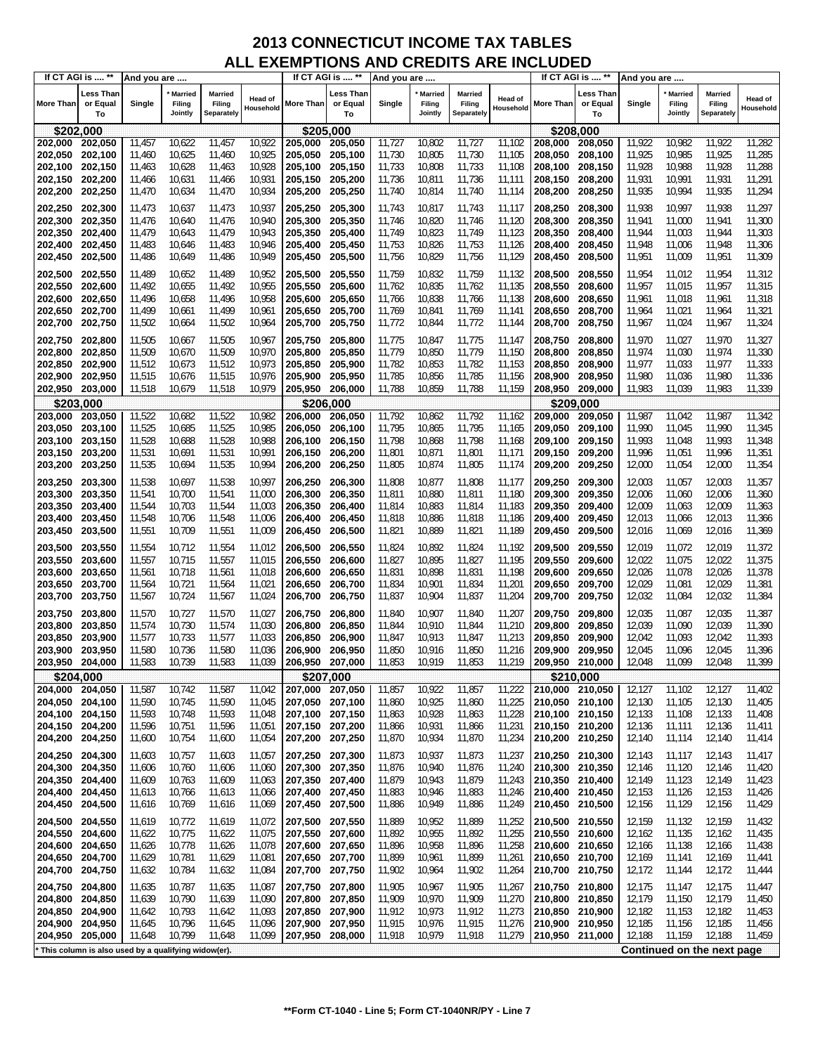|                  | If CT AGI is  **                                      | And you are |                                     |                                 |                      |                    | If CT AGI is  **            | And you are      |                                     |                                 |                             |                 | If CT AGI is  **            | And you are |                                     |                                        |                             |
|------------------|-------------------------------------------------------|-------------|-------------------------------------|---------------------------------|----------------------|--------------------|-----------------------------|------------------|-------------------------------------|---------------------------------|-----------------------------|-----------------|-----------------------------|-------------|-------------------------------------|----------------------------------------|-----------------------------|
| <b>More Than</b> | <b>Less Than</b><br>or Equal<br>To                    | Single      | <b>Married</b><br>Filing<br>Jointly | Married<br>Filing<br>Separately | Head of<br>Household | More Than          | ∟ess Than<br>or Equal<br>To | Single           | <b>Married</b><br>Filing<br>Jointly | Married<br>Filing<br>Separately | <b>Head of</b><br>Household | More Than       | Less Than<br>or Equal<br>To | Single      | <b>Married</b><br>Filing<br>Jointly | <b>Married</b><br>Filing<br>Separately | <b>Head of</b><br>Household |
| \$202,000        |                                                       |             |                                     |                                 |                      |                    | \$205,000                   |                  |                                     |                                 |                             |                 | \$208,000                   |             |                                     |                                        |                             |
| 202,000          | 202,050                                               | 11,457      | 10,622                              | 11,457                          | 10,922               | 205,000            | 205,050                     | 11,727           | 10,802                              | 11,727                          | 11,102                      | 208,000         | 208,050                     | 11,922      | 10,982                              | 11,922                                 | 11,282                      |
| 202,050          | 202,100                                               | 11,460      | 10,625                              | 11,460                          | 10,925               | 205,050            | 205,100                     | 11,730           | 10,805                              | 11,730                          | 11,105                      | 208,050         | 208,100                     | 11,925      | 10,985                              | 11,925                                 | 11,285                      |
| 202,100 202,150  |                                                       | 11,463      | 10,628                              | 11,463                          | 10,928               | 205,100 205,150    |                             | 11,733           | 10,808                              | 11,733                          | 11,108                      | 208,100         | 208,150                     | 11,928      | 10,988                              | 11,928                                 | 11,288                      |
| 202,150          | 202,200                                               | 11,466      | 10,631                              | 11,466                          | 10,931               | 205,150            | 205,200                     | 11,736           | 10,811                              | 11,736                          | 11,111                      | 208,150         | 208,200                     | 11,931      | 10,991                              | 11,931                                 | 11,291                      |
| 202,200          | 202,250                                               | 11,470      | 10,634                              | 11,470                          | 10,934               | 205,200            | 205,250                     | 11,740           | 10,814                              | 11,740                          | 11,114                      | 208,200         | 208,250                     | 11,935      | 10,994                              | 11,935                                 | 11,294                      |
|                  |                                                       |             |                                     |                                 |                      |                    |                             |                  |                                     |                                 |                             |                 |                             |             |                                     |                                        |                             |
| 202,250          | 202,300                                               | 11,473      | 10,637                              | 11,473                          | 10,937               | 205,250<br>205,300 | 205,300                     | 11,743           | 10,817                              | 11,743                          | 11,117                      | 208,250         | 208,300                     | 11,938      | 10,997                              | 11,938                                 | 11,297                      |
| 202,300          | 202,350                                               | 11,476      | 10,640                              | 11,476                          | 10,940               |                    | 205,350                     | 11,746           | 10,820                              | 11,746                          | 11,120                      | 208,300         | 208,350                     | 11,941      | 11,000                              | 11,941                                 | 11,300                      |
| 202,350          | 202,400                                               | 11,479      | 10,643                              | 11,479                          | 10,943               | 205,350            | 205,400                     | 11,749           | 10,823                              | 11,749                          | 11,123                      | 208,350         | 208,400                     | 11,944      | 11,003                              | 11,944                                 | 11,303                      |
| 202,400          | 202,450                                               | 11,483      | 10,646                              | 11,483                          | 10,946<br>10,949     | 205,400 205,450    |                             | 11,753<br>11,756 | 10,826<br>10,829                    | 11,753<br>11,756                | 11,126<br>11,129            | 208,400         | 208,450                     | 11,948      | 11,006<br>11,009                    | 11,948<br>11,951                       | 11,306<br>11,309            |
| 202,450          | 202,500                                               | 11,486      | 10,649                              | 11,486                          |                      | 205,450            | 205,500                     |                  |                                     |                                 |                             | 208,450         | 208,500                     | 11,951      |                                     |                                        |                             |
| 202,500 202,550  |                                                       | 11,489      | 10,652                              | 11,489                          | 10,952               | 205,500            | 205,550                     | 11,759           | 10,832                              | 11,759                          | 11,132                      | 208,500         | 208,550                     | 11,954      | 11,012                              | 11,954                                 | 11,312                      |
| 202,550          | 202,600                                               | 11,492      | 10,655                              | 11,492                          | 10,955               | 205,550            | 205,600                     | 11,762           | 10,835                              | 11,762                          | 11,135                      | 208,550         | 208,600                     | 11,957      | 11,015                              | 11,957                                 | 11,315                      |
| 202,600          | 202,650                                               | 11,496      | 10,658                              | 11,496                          | 10,958               | 205,600            | 205,650                     | 11,766           | 10,838                              | 11,766                          | 11,138                      | 208,600         | 208,650                     | 11,961      | 11,018                              | 11,961                                 | 11,318                      |
| 202,650          | 202,700                                               | 11,499      | 10,661                              | 11,499                          | 10,961               | 205,650            | 205,700                     | 11,769           | 10,841                              | 11,769                          | 11,141                      | 208,650         | 208,700                     | 11,964      | 11,021                              | 11,964                                 | 11,321                      |
| 202,700          | 202,750                                               | 11,502      | 10,664                              | 11,502                          | 10,964               | 205,700            | 205,750                     | 11,772           | 10,844                              | 11,772                          | 11,144                      | 208,700         | 208,750                     | 11,967      | 11,024                              | 11,967                                 | 11,324                      |
| 202,750          | 202,800                                               | 11,505      | 10,667                              | 11,505                          | 10,967               | 205,750            | 205,800                     | 11,775           | 10,847                              | 11,775                          | 11,147                      | 208,750         | 208,800                     | 11,970      | 11,027                              | 11,970                                 | 11,327                      |
| 202,800          | 202,850                                               | 11,509      | 10,670                              | 11,509                          | 10,970               | 205,800            | 205,850                     | 11,779           | 10,850                              | 11,779                          | 11,150                      | 208,800         | 208,850                     | 11,974      | 11,030                              | 11,974                                 | 11,330                      |
| 202,850          | 202,900                                               | 11,512      | 10,673                              | 11,512                          | 10,973               | 205,850            | 205,900                     | 11,782           | 10,853                              | 11,782                          | 11,153                      | 208,850         | 208,900                     | 11,977      | 11,033                              | 11,977                                 | 11,333                      |
| 202,900          | 202,950                                               | 11,515      | 10,676                              | 11,515                          | 10,976               | 205,900            | 205,950                     | 11,785           | 10,856                              | 11,785                          | 11,156                      | 208,900         | 208,950                     | 11,980      | 11,036                              | 11,980                                 | 11,336                      |
| 202,950          | 203,000                                               | 11,518      | 10,679                              | 11,518                          | 10,979               | 205,950            | 206,000                     | 11,788           | 10,859                              | 11,788                          | 11,159                      | 208,950         | 209,000                     | 11,983      | 11,039                              | 11,983                                 | 11,339                      |
| \$203,000        |                                                       |             |                                     |                                 |                      |                    | \$206,000                   |                  |                                     |                                 |                             |                 | \$209,000                   |             |                                     |                                        |                             |
| 203,000          | 203,050                                               | 11,522      | 10,682                              | 11,522                          | 10,982               | 206,000            | 206,050                     | 11,792           | 10,862                              | 11,792                          | 11,162                      | 209,000         | 209,050                     | 11,987      | 11,042                              | 11,987                                 | 11,342                      |
| 203,050          | 203,100                                               | 11,525      | 10,685                              | 11,525                          | 10,985               | 206,050            | 206,100                     | 11,795           | 10,865                              | 11,795                          | 11,165                      | 209,050         | 209,100                     | 11,990      | 11,045                              | 11,990                                 | 11,345                      |
| 203,100          | 203,150                                               | 11,528      | 10,688                              | 11,528                          | 10,988               | 206,100            | 206.150                     | 11,798           | 10,868                              | 11,798                          | 11,168                      | 209,100         | 209,150                     | 11,993      | 11,048                              | 11,993                                 | 11,348                      |
| 203,150 203,200  |                                                       | 11,531      | 10,691                              | 11,531                          | 10,991               | 206,150 206,200    |                             | 11,801           | 10,871                              | 11,801                          | 11,171                      | 209,150         | 209,200                     | 11,996      | 11,051                              | 11,996                                 | 11,351                      |
| 203,200          | 203,250                                               | 11,535      | 10,694                              | 11,535                          | 10,994               | 206,200            | 206,250                     | 11,805           | 10,874                              | 11,805                          | 11,174                      | 209,200         | 209,250                     | 12,000      | 11,054                              | 12,000                                 | 11,354                      |
| 203,250          | 203,300                                               | 11,538      | 10,697                              | 11,538                          | 10,997               | 206,250            | 206,300                     | 11,808           | 10,877                              | 11,808                          | 11,177                      | 209,250         | 209,300                     | 12,003      | 11,057                              | 12,003                                 | 11,357                      |
| 203,300          | 203,350                                               | 11,541      | 10,700                              | 11,541                          | 11,000               | 206,300            | 206,350                     | 11,811           | 10,880                              | 11,811                          | 11,180                      | 209,300         | 209,350                     | 12,006      | 11,060                              | 12,006                                 | 11,360                      |
| 203,350          | 203,400                                               | 11,544      | 10,703                              | 11,544                          | 11,003               | 206,350            | 206,400                     | 11,814           | 10,883                              | 11,814                          | 11,183                      | 209,350         | 209,400                     | 12,009      | 11,063                              | 12,009                                 | 11,363                      |
| 203,400          | 203,450                                               | 11,548      | 10,706                              | 11,548                          | 11,006               | 206,400            | 206,450                     | 11,818           | 10,886                              | 11,818                          | 11,186                      | 209,400         | 209,450                     | 12,013      | 11,066                              | 12,013                                 | 11,366                      |
| 203,450          | 203,500                                               | 11,551      | 10,709                              | 11,551                          | 11,009               | 206,450            | 206,500                     | 11,821           | 10,889                              | 11,821                          | 11,189                      | 209,450         | 209,500                     | 12,016      | 11,069                              | 12,016                                 | 11,369                      |
|                  |                                                       |             |                                     |                                 |                      |                    |                             |                  |                                     |                                 |                             |                 |                             |             |                                     |                                        |                             |
| 203,500          | 203,550                                               | 11,554      | 10,712                              | 11,554                          | 11,012               | 206,500            | 206,550                     | 11,824           | 10,892                              | 11,824                          | 11,192                      | 209,500         | 209,550                     | 12,019      | 11,072                              | 12,019                                 | 11,372                      |
| 203,550          | 203,600                                               | 11,557      | 10,715                              | 11,557                          | 11,015               | 206,550            | 206,600                     | 11,827           | 10,895                              | 11,827                          | 11,195                      | 209,550         | 209,600                     | 12,022      | 11,075                              | 12,022                                 | 11,375                      |
| 203,600          | 203,650                                               | 11,561      | 10,718                              | 11,561                          | 11,018               | 206,600            | 206,650                     | 11,831           | 10,898                              | 11,831                          | 11,198                      | 209,600         | 209,650                     | 12,026      | 11,078                              | 12,026                                 | 11,378                      |
| 203,650          | 203,700                                               | 11,564      | 10,721                              | 11,564                          | $11,02^{\circ}$      | 206,650            | 206,700                     | 11,834           | 10,901                              | 11,834                          | 11,201                      | 209,650         | 209,700                     | 12,029      | 11,081                              | 12,029                                 | 11,381                      |
| 203,700          | 203,750                                               | 11,567      | 10,724                              | 11,567                          | 11,024               | 206,700            | 206,750                     | 11,837           | 10,904                              | 11,837                          | 11,204                      | 209,700         | 209,750                     | 12,032      | 11,084                              | 12,032                                 | 11,384                      |
| 203,750          | 203,800                                               | 11,570      | 10,727                              | 11,570                          | 11,027               | 206,750            | 206,800                     | 11,840           | 10,907                              | 11,840                          | 11,207                      | 209,750         | 209,800                     | 12,035      | 11,087                              | 12,035                                 | 11,387                      |
| 203,800          | 203,850                                               | 11,574      | 10,730                              | 11,574                          | 11,030               | 206,800            | 206,850                     | 11,844           | 10,910                              | 11,844                          | 11,210                      | 209,800         | 209,850                     | 12,039      | 11,090                              | 12,039                                 | 11,390                      |
| 203,850          | 203,900                                               | 11,577      | 10,733                              | 11,577                          | 11,033               | 206,850            | 206,900                     | 11,847           | 10,913                              | 11,847                          | 11,213                      | 209,850         | 209,900                     | 12,042      | 11,093                              | 12,042                                 | 11,393                      |
| 203,900          | 203,950                                               | 11,580      | 10,736                              | 11,580                          | 11,036               | 206,900            | 206,950                     | 11,850           | 10,916                              | 11,850                          | 11,216                      | 209,900         | 209,950                     | 12,045      | 11,096                              | 12,045                                 | 11,396                      |
| 203,950          | 204,000                                               | 11,583      | 10,739                              | 11,583                          | 11,039               | 206.950 207.000    |                             | 11,853           | 10,919                              | 11,853                          | 11,219                      | 209,950         | 210,000                     | 12,048      | 11,099                              | 12,048                                 | 11,399                      |
|                  | \$204,000                                             |             |                                     |                                 |                      |                    | \$207,000                   |                  |                                     |                                 |                             |                 | \$210,000                   |             |                                     |                                        |                             |
| 204,000 204,050  |                                                       | 11,587      | 10,742                              | 11,587                          | 11,042               | 207,000 207,050    |                             | 11,857           | 10,922                              | 11,857                          | 11,222                      | 210,000 210,050 |                             | 12,127      | 11,102                              | 12,127                                 | 11,402                      |
| 204,050 204,100  |                                                       | 11,590      | 10,745                              | 11,590                          | 11,045               | 207,050 207,100    |                             | 11,860           | 10,925                              | 11,860                          | 11,225                      |                 | 210,050 210,100             | 12,130      | 11,105                              | 12,130                                 | 11,405                      |
| 204,100          | 204,150                                               | 11,593      | 10,748                              | 11,593                          | 11,048               | 207,100 207,150    |                             | 11,863           | 10,928                              | 11,863                          | 11,228                      | 210,100         | 210,150                     | 12,133      | 11,108                              | 12,133                                 | 11,408                      |
| 204,150 204,200  |                                                       | 11,596      | 10,751                              | 11,596                          | 11,051               | 207,150 207,200    |                             | 11,866           | 10,931                              | 11,866                          | 11,231                      |                 | 210,150 210,200             | 12,136      | 11,111                              | 12,136                                 | 11,411                      |
| 204,200          | 204,250                                               | 11,600      | 10,754                              | 11,600                          | 11,054               | 207,200            | 207,250                     | 11,870           | 10,934                              | 11,870                          | 11,234                      | 210,200         | 210,250                     | 12,140      | 11,114                              | 12,140                                 | 11,414                      |
| 204,250          | 204,300                                               | 11,603      | 10,757                              | 11,603                          | 11,057               | 207,250 207,300    |                             | 11,873           | 10,937                              | 11,873                          | 11,237                      | 210,250 210,300 |                             | 12,143      | 11,117                              | 12,143                                 | 11,417                      |
| 204,300          | 204,350                                               | 11,606      | 10,760                              | 11,606                          | 11,060               | 207,300 207,350    |                             | 11,876           | 10,940                              | 11,876                          | 11,240                      | 210,300         | 210,350                     | 12,146      | 11,120                              | 12,146                                 | 11,420                      |
| 204,350          | 204,400                                               | 11,609      | 10,763                              | 11,609                          | 11,063               | 207,350 207,400    |                             | 11,879           | 10,943                              | 11,879                          | 11,243                      | 210,350         | 210,400                     | 12,149      | 11,123                              | 12,149                                 | 11,423                      |
| 204,400          | 204,450                                               | 11,613      | 10,766                              | 11,613                          | 11,066               | 207,400 207,450    |                             | 11,883           | 10,946                              | 11,883                          | 11,246                      | 210,400         | 210,450                     | 12,153      | 11,126                              | 12,153                                 | 11,426                      |
| 204,450          | 204,500                                               | 11,616      | 10,769                              | 11,616                          | 11,069               | 207,450            | 207,500                     | 11,886           | 10,949                              | 11,886                          | 11,249                      | 210,450         | 210,500                     | 12,156      | 11,129                              | 12,156                                 | 11,429                      |
| 204,500          | 204,550                                               | 11,619      | 10,772                              | 11,619                          | 11,072               | 207,500 207,550    |                             | 11,889           | 10,952                              | 11,889                          | 11,252                      | 210,500         | 210,550                     | 12,159      | 11,132                              | 12,159                                 | 11,432                      |
| 204,550          | 204,600                                               | 11,622      | 10,775                              | 11,622                          | 11,075               | 207,550 207,600    |                             | 11,892           | 10,955                              | 11,892                          | 11,255                      | 210,550         | 210,600                     | 12,162      | 11,135                              | 12,162                                 | 11,435                      |
| 204,600          | 204,650                                               | 11,626      | 10,778                              | 11,626                          | 11,078               | 207,600 207,650    |                             | 11,896           | 10,958                              | 11,896                          | 11,258                      | 210,600         | 210,650                     | 12,166      | 11,138                              | 12,166                                 | 11,438                      |
| 204,650          | 204,700                                               | 11,629      | 10,781                              | 11,629                          | 11,081               | 207,650 207,700    |                             | 11,899           | 10,961                              | 11,899                          | 11,261                      | 210,650         | 210,700                     | 12,169      | 11,141                              | 12,169                                 | 11,441                      |
| 204,700          | 204,750                                               | 11,632      | 10,784                              | 11,632                          | 11,084               | 207,700 207,750    |                             | 11,902           | 10,964                              | 11,902                          | 11,264                      | 210,700         | 210,750                     | 12,172      | 11,144                              | 12,172                                 | 11,444                      |
| 204,750          | 204,800                                               | 11,635      | 10,787                              | 11,635                          | 11,087               | 207,750 207,800    |                             | 11,905           | 10,967                              | 11,905                          | 11,267                      | 210,750         | 210,800                     | 12,175      | 11,147                              | 12,175                                 | 11,447                      |
| 204,800          | 204,850                                               | 11,639      | 10,790                              | 11,639                          | 11,090               | 207,800            | 207,850                     | 11,909           | 10,970                              | 11,909                          | 11,270                      | 210,800         | 210,850                     | 12,179      | 11,150                              | 12,179                                 | 11,450                      |
| 204,850          | 204,900                                               | 11,642      | 10,793                              | 11,642                          | 11,093               | 207,850 207,900    |                             | 11,912           | 10,973                              | 11,912                          | 11,273                      | 210,850         | 210,900                     | 12,182      | 11,153                              | 12,182                                 | 11,453                      |
| 204,900          | 204,950                                               | 11,645      | 10,796                              | 11,645                          | 11,096               | 207,900 207,950    |                             | 11,915           | 10,976                              | 11,915                          | 11,276                      |                 | 210,900 210,950             | 12,185      | 11,156                              | 12,185                                 | 11,456                      |
| 204,950          | 205,000                                               | 11,648      | 10,799                              | 11,648                          | 11,099               | 207,950 208,000    |                             | 11,918           | 10,979                              | 11,918                          | 11,279                      |                 | 210,950 211,000             | 12,188      | 11,159                              | 12,188                                 | 11,459                      |
|                  | * This column is also used by a qualifying widow(er). |             |                                     |                                 |                      |                    |                             |                  |                                     |                                 |                             |                 |                             |             |                                     | Continued on the next page             |                             |
|                  |                                                       |             |                                     |                                 |                      |                    |                             |                  |                                     |                                 |                             |                 |                             |             |                                     |                                        |                             |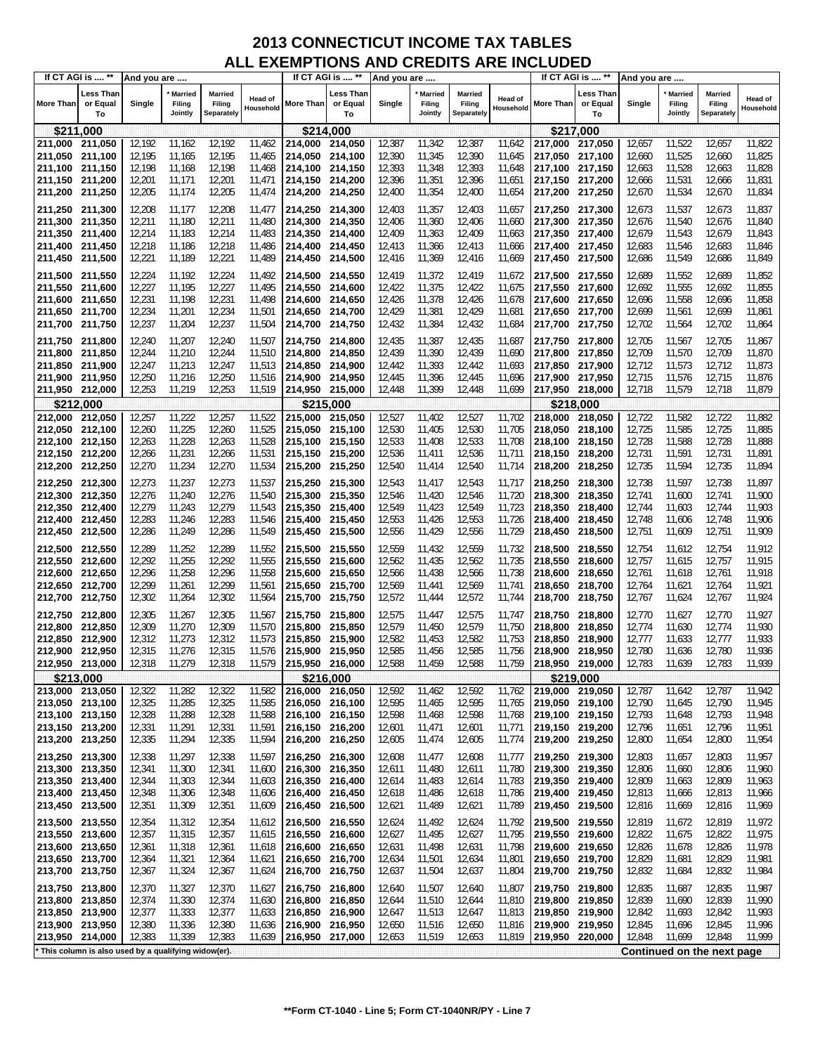| If CT AGI is  **                   |                                                       | And you are      |                                     |                                 |                      |                                    | If CT AGI is  **            | And you are      |                                     |                                 |                      |                            | If CT AGI is  **            | And you are      |                                     |                                        |                             |
|------------------------------------|-------------------------------------------------------|------------------|-------------------------------------|---------------------------------|----------------------|------------------------------------|-----------------------------|------------------|-------------------------------------|---------------------------------|----------------------|----------------------------|-----------------------------|------------------|-------------------------------------|----------------------------------------|-----------------------------|
| <b>More Than</b>                   | Less Than<br>or Equal<br>To                           | Single           | <b>Married</b><br>Filing<br>Jointly | Married<br>Filing<br>Separately | Head of<br>Household | More Than                          | Less Than<br>or Equal<br>To | Single           | <b>Married</b><br>Filing<br>Jointly | Married<br>Filing<br>Separately | Head of<br>Household | <b>More Than</b>           | Less Than<br>or Equal<br>To | Single           | <b>Married</b><br>Filing<br>Jointly | <b>Married</b><br>Filing<br>Separately | <b>Head of</b><br>Household |
| \$211,000                          |                                                       |                  |                                     |                                 |                      | \$214,000                          |                             |                  |                                     |                                 |                      | \$217,000                  |                             |                  |                                     |                                        |                             |
| 211,000                            | 211,050                                               | 12,192           | 11,162                              | 12,192                          | 11,462               | 214,000                            | 214,050                     | 12,387           | 11,342                              | 12,387                          | 11,642               | 217,000                    | 217,050                     | 12,657           | 11,522                              | 12,657                                 | 11,822                      |
| 211,050                            | 211,100                                               | 12,195           | 11,165                              | 12,195                          | 11,465               | 214,050                            | 214,100                     | 12,390           | 11,345                              | 12,390                          | 11,645               | 217,050                    | 217,100                     | 12,660           | 11,525                              | 12,660                                 | 11,825                      |
| 211,100                            | 211,150                                               | 12,198           | 11,168                              | 12,198                          | 11,468               | 214.100                            | 214,150                     | 12,393           | 11,348                              | 12,393                          | 11,648               | 217,100                    | 217,150                     | 12,663           | 11,528                              | 12,663                                 | 11,828                      |
| 211,150 211,200                    |                                                       | 12,201           | 11,171                              | 12,201                          | 11,471               | 214,150 214,200                    |                             | 12,396           | 11,351                              | 12,396                          | 11,651               | 217,150                    | 217,200                     | 12,666           | 11,531                              | 12,666                                 | 11,831                      |
| 211,200 211,250                    |                                                       | 12,205           | 11,174                              | 12,205                          | 11,474               | 214,200 214,250                    |                             | 12,400           | 11,354                              | 12,400                          | 11,654               | 217,200                    | 217,250                     | 12,670           | 11,534                              | 12,670                                 | 11,834                      |
| 211,250 211,300                    |                                                       | 12,208           | 11,177                              | 12,208                          | 11,477               | 214,250 214,300                    |                             | 12,403           | 11,357                              | 12,403                          | 11,657               | 217,250                    | 217,300                     | 12,673           | 11,537                              | 12,673                                 | 11,837                      |
| 211,300 211,350                    |                                                       | 12,211           | 11,180                              | 12,211                          | 11,480               | 214,300 214,350                    |                             | 12,406           | 11,360                              | 12,406                          | 11,660               | 217,300                    | 217,350                     | 12,676           | 11,540                              | 12,676                                 | 11,840                      |
| 211,350 211,400                    |                                                       | 12,214<br>12,218 | 11,183<br>11,186                    | 12,214<br>12,218                | 11,483<br>11,486     | 214,350 214,400<br>214,400 214,450 |                             | 12,409<br>12,413 | 11,363<br>11,366                    | 12,409<br>12,413                | 11,663<br>11,666     | 217,350                    | 217,400<br>217,450          | 12,679<br>12,683 | 11,543<br>11,546                    | 12,679<br>12,683                       | 11,843<br>11,846            |
| 211,400 211,450<br>211,450 211,500 |                                                       | 12,221           | 11,189                              | 12,221                          | 11,489               | 214,450 214,500                    |                             | 12,416           | 11,369                              | 12,416                          | 11,669               | 217,400<br>217,450         | 217,500                     | 12,686           | 11,549                              | 12,686                                 | 11,849                      |
|                                    |                                                       |                  |                                     |                                 |                      |                                    |                             |                  |                                     |                                 |                      |                            |                             |                  |                                     |                                        |                             |
| 211,500 211,550                    |                                                       | 12,224           | 11,192                              | 12,224                          | 11,492               | 214,500 214,550                    |                             | 12,419           | 11,372                              | 12,419                          | 11,672               | 217,500                    | 217,550                     | 12,689           | 11,552                              | 12,689                                 | 11,852                      |
| 211,550<br>211,600                 | 211,600<br>211,650                                    | 12,227<br>12,231 | 11,195<br>11,198                    | 12,227<br>12,231                | 11,495<br>11,498     | 214,550 214,600<br>214,600 214,650 |                             | 12,422<br>12,426 | 11,375<br>11,378                    | 12,422<br>12,426                | 11,675<br>11,678     | 217,550<br>217,600         | 217,600<br>217,650          | 12,692<br>12,696 | 11,555<br>11,558                    | 12,692<br>12,696                       | 11,855<br>11,858            |
| 211,650                            | 211,700                                               | 12,234           | 11,201                              | 12,234                          | 11,501               | 214,650 214,700                    |                             | 12,429           | 11,381                              | 12,429                          | 11,681               | 217,650                    | 217,700                     | 12,699           | 11,561                              | 12,699                                 | 11,861                      |
| 211,700 211,750                    |                                                       | 12,237           | 11,204                              | 12,237                          | 11,504               | 214,700 214,750                    |                             | 12,432           | 11,384                              | 12,432                          | 11,684               | 217,700                    | 217,750                     | 12,702           | 11,564                              | 12,702                                 | 11,864                      |
| 211,750 211,800                    |                                                       | 12,240           | 11,207                              | 12,240                          | 11,507               | 214,750 214,800                    |                             | 12,435           | 11,387                              | 12,435                          | 11,687               | 217,750                    | 217,800                     | 12,705           | 11,567                              | 12,705                                 | 11,867                      |
| 211,800                            | 211,850                                               | 12,244           | 11,210                              | 12,244                          | 11,510               | 214,800 214,850                    |                             | 12,439           | 11,390                              | 12,439                          | 11,690               | 217,800                    | 217,850                     | 12,709           | 11,570                              | 12,709                                 | 11,870                      |
| 211,850 211,900                    |                                                       | 12,247           | 11,213                              | 12,247                          | 11,513               | 214,850 214,900                    |                             | 12,442           | 11,393                              | 12,442                          | 11,693               | 217,850                    | 217,900                     | 12,712           | 11,573                              | 12,712                                 | 11,873                      |
| 211,900 211,950                    |                                                       | 12,250           | 11,216                              | 12,250                          | 11,516               | 214,900 214,950                    |                             | 12,445           | 11,396                              | 12,445                          | 11,696               | 217,900                    | 217,950                     | 12,715           | 11,576                              | 12,715                                 | 11,876                      |
| 211,950 212,000                    |                                                       | 12,253           | 11,219                              | 12,253                          | 11,519               | 214,950 215,000                    |                             | 12,448           | 11,399                              | 12,448                          | 11,699               | 217,950 218,000            |                             | 12,718           | 11,579                              | 12,718                                 | 11,879                      |
|                                    | \$212,000                                             |                  |                                     |                                 |                      | \$215,000                          |                             |                  |                                     |                                 |                      |                            | \$218.000                   |                  |                                     |                                        |                             |
| 212,000                            | 212,050                                               | 12,257           | 11,222                              | 12,257                          | 11,522               | 215,000                            | 215,050                     | 12,527           | 11,402                              | 12,527                          | 11,702               | 218,000                    | 218,050                     | 12,722           | 11,582                              | 12,722                                 | 11,882                      |
| 212,050 212,100                    |                                                       | 12,260           | 11,225                              | 12,260                          | 11,525               | 215,050 215,100                    |                             | 12,530           | 11,405                              | 12,530                          | 11,705               | 218,050                    | 218,100                     | 12,725           | 11,585                              | 12,725                                 | 11,885                      |
| 212,100 212,150<br>212,150 212,200 |                                                       | 12,263<br>12,266 | 11,228<br>11,231                    | 12,263<br>12,266                | 11,528<br>11,531     | 215,100 215,150<br>215,150 215,200 |                             | 12,533<br>12,536 | 11,408<br>11,411                    | 12,533<br>12,536                | 11,708<br>11,711     | 218,100<br>218,150         | 218,150<br>218,200          | 12,728<br>12,731 | 11,588<br>11,591                    | 12,728<br>12,731                       | 11,888<br>11,891            |
| 212,200 212,250                    |                                                       | 12,270           | 11,234                              | 12,270                          | 11,534               | 215,200 215,250                    |                             | 12,540           | 11,414                              | 12,540                          | 11,714               | 218,200                    | 218,250                     | 12,735           | 11,594                              | 12,735                                 | 11,894                      |
|                                    |                                                       |                  |                                     | 12,273                          |                      |                                    |                             |                  |                                     |                                 |                      |                            |                             |                  |                                     |                                        |                             |
| 212,250 212,300<br>212,300         | 212,350                                               | 12,273<br>12,276 | 11,237<br>11,240                    | 12,276                          | 11,537<br>11,540     | 215,250 215,300<br>215,300 215,350 |                             | 12,543<br>12,546 | 11,417<br>11,420                    | 12,543<br>12,546                | 11,717<br>11,720     | 218,250<br>218,300         | 218,300<br>218,350          | 12,738<br>12,741 | 11,597<br>11,600                    | 12,738<br>12,741                       | 11,897<br>11,900            |
| 212,350 212,400                    |                                                       | 12,279           | 11,243                              | 12,279                          | 11,543               | 215,350 215,400                    |                             | 12,549           | 11,423                              | 12,549                          | 11,723               | 218,350                    | 218,400                     | 12,744           | 11,603                              | 12,744                                 | 11,903                      |
| 212,400 212,450                    |                                                       | 12,283           | 11,246                              | 12,283                          | 11,546               | 215,400 215,450                    |                             | 12,553           | 11,426                              | 12,553                          | 11,726               | 218,400                    | 218,450                     | 12,748           | 11,606                              | 12,748                                 | 11,906                      |
| 212,450 212,500                    |                                                       | 12,286           | 11,249                              | 12,286                          | 11,549               | 215,450 215,500                    |                             | 12,556           | 11,429                              | 12,556                          | 11,729               | 218,450                    | 218,500                     | 12,751           | 11,609                              | 12,751                                 | 11,909                      |
| 212,500 212,550                    |                                                       | 12,289           | 11,252                              | 12,289                          | 11,552               | 215,500 215,550                    |                             | 12,559           | 11,432                              | 12,559                          | 11,732               | 218,500                    | 218,550                     | 12,754           | 11,612                              | 12,754                                 | 11,912                      |
| 212,550                            | 212,600                                               | 12,292           | 11,255                              | 12,292                          | 11,555               | 215,550 215,600                    |                             | 12,562           | 11,435                              | 12,562                          | 11,735               | 218,550                    | 218,600                     | 12,757           | 11,615                              | 12,757                                 | 11,915                      |
| 212,600 212,650                    |                                                       | 12,296           | 11,258                              | 12,296                          | 11,558               | 215,600 215,650                    |                             | 12,566           | 11,438                              | 12,566                          | 11,738               | 218,600                    | 218,650                     | 12,761           | 11,618                              | 12,761                                 | 11,918                      |
| 212,650 212,700                    |                                                       | 12,299           | 11,261                              | 12,299                          | 11,561               | 215,650 215,700                    |                             | 12,569           | 11,441                              | 12,569                          | 11,741               | 218,650                    | 218,700                     | 12,764           | 11,621                              | 12,764                                 | 11,921                      |
| 212,700 212,750                    |                                                       | 12,302           | 11,264                              | 12,302                          | 11,564               | 215,700 215,750                    |                             | 12,572           | 11,444                              | 12,572                          | 11,744               | 218,700                    | 218,750                     | 12,767           | 11,624                              | 12,767                                 | 11,924                      |
| 212,750                            | 212,800                                               | 12,305           | 11,267                              | 12,305                          | 11,567               | 215,750 215,800                    |                             | 12,575           | 11,447                              | 12,575                          | 11,747               | 218.750                    | 218,800                     | 12,770           | 11,627                              | 12,770                                 | 11,927                      |
| 212,800                            | 212,850                                               | 12,309           | 11,270                              | 12,309                          | 11,570               | 215,800 215,850                    |                             | 12,579           | 11,450                              | 12,579                          | 11,750               | 218,800                    | 218,850                     | 12,774           | 11,630                              | 12,774                                 | 11,930                      |
| 212,850                            | 212,900                                               | 12,312<br>12,315 | 11,273<br>11,276                    | 12,312<br>12,315                | 11,573               | 215.850                            | 215,900                     | 12,582<br>12,585 | 11,453                              | 12,582                          | 11,753               | 218.850                    | 218,900                     | 12,777           | 11,633                              | 12,777                                 | 11,933                      |
| 212,900<br>212,950 213,000         | 212,950                                               | 12,318           | 11,279                              | 12,318                          | 11,576<br>11,579     | 215,900 215,950<br>215,950 216,000 |                             | 12,588           | 11,456<br>11,459                    | 12,585<br>12,588                | 11,756<br>11,759     | 218,900<br>218,950         | 218,950<br>219,000          | 12,780<br>12,783 | 11,636<br>11,639                    | 12,780<br>12,783                       | 11,936<br>11,939            |
|                                    | \$213,000                                             |                  |                                     |                                 |                      | \$216,000                          |                             |                  |                                     |                                 |                      |                            | \$219,000                   |                  |                                     |                                        |                             |
| 213,000 213,050                    |                                                       | 12,322           | 11,282                              | 12,322                          | 11,582               | 216,000 216,050                    |                             | 12,592           | 11,462                              | 12,592                          | 11,762               | 219,000 219,050            |                             | 12,787           | 11,642                              | 12,787                                 | 11,942                      |
| 213,050 213,100                    |                                                       | 12,325           | 11,285                              | 12,325                          | 11,585               | 216,050 216,100                    |                             | 12,595           | 11,465                              | 12,595                          | 11,765               | 219,050 219,100            |                             | 12,790           | 11,645                              | 12,790                                 | 11,945                      |
| 213,100 213,150                    |                                                       | 12,328           | 11,288                              | 12,328                          | 11,588               | 216,100 216,150                    |                             | 12,598           | 11,468                              | 12,598                          | 11,768               | 219,100 219,150            |                             | 12,793           | 11,648                              | 12,793                                 | 11,948                      |
| 213,150 213,200                    |                                                       | 12,331           | 11,291                              | 12,331                          | 11,591               | 216,150 216,200                    |                             | 12,601           | 11,471                              | 12,601                          | 11,771               | 219,150 219,200            |                             | 12,796           | 11,651                              | 12,796                                 | 11,951                      |
| 213,200 213,250                    |                                                       | 12,335           | 11,294                              | 12,335                          | 11,594               | 216,200 216,250                    |                             | 12,605           | 11,474                              | 12,605                          | 11,774               | 219,200                    | 219,250                     | 12,800           | 11,654                              | 12,800                                 | 11,954                      |
| 213,250 213,300                    |                                                       | 12,338           | 11,297                              | 12,338                          | 11,597               | 216,250 216,300                    |                             | 12,608           | 11,477                              | 12,608                          | 11,777               | 219,250                    | 219,300                     | 12,803           | 11,657                              | 12,803                                 | 11,957                      |
| 213,300 213,350                    |                                                       | 12,341           | 11,300                              | 12,341                          | 11,600               | 216,300 216,350                    |                             | 12,611           | 11,480                              | 12,611                          | 11,780               | 219,300                    | 219,350                     | 12,806           | 11,660                              | 12,806                                 | 11,960                      |
| 213,350 213,400<br>213,400 213,450 |                                                       | 12,344<br>12,348 | 11,303<br>11,306                    | 12,344<br>12,348                | 11,603<br>11,606     | 216,350 216,400<br>216,400 216,450 |                             | 12,614<br>12,618 | 11,483<br>11,486                    | 12,614<br>12,618                | 11,783<br>11,786     | 219,350 219,400<br>219,400 | 219,450                     | 12,809<br>12,813 | 11,663<br>11,666                    | 12,809<br>12,813                       | 11,963<br>11,966            |
| 213,450 213,500                    |                                                       | 12,351           | 11,309                              | 12,351                          | 11,609               | 216,450 216,500                    |                             | 12,621           | 11,489                              | 12,621                          | 11,789               | 219,450                    | 219,500                     | 12,816           | 11,669                              | 12,816                                 | 11,969                      |
|                                    |                                                       |                  |                                     |                                 |                      |                                    |                             |                  |                                     |                                 |                      |                            |                             |                  |                                     |                                        |                             |
| 213,500 213,550<br>213,550 213,600 |                                                       | 12,354<br>12,357 | 11,312<br>11,315                    | 12,354<br>12,357                | 11,612<br>11,615     | 216,500 216,550<br>216,550 216,600 |                             | 12,624<br>12,627 | 11,492<br>11,495                    | 12,624<br>12,627                | 11,792<br>11,795     | 219,500<br>219,550         | 219,550<br>219,600          | 12,819<br>12,822 | 11,672<br>11,675                    | 12,819<br>12,822                       | 11,972<br>11,975            |
| 213,600 213,650                    |                                                       | 12,361           | 11,318                              | 12,361                          | 11,618               | 216,600 216,650                    |                             | 12,631           | 11,498                              | 12,631                          | 11,798               | 219,600                    | 219,650                     | 12,826           | 11,678                              | 12,826                                 | 11,978                      |
| 213,650 213,700                    |                                                       | 12,364           | 11,321                              | 12,364                          | 11,621               | 216,650 216,700                    |                             | 12,634           | 11,501                              | 12,634                          | 11,801               | 219,650                    | 219,700                     | 12,829           | 11,681                              | 12,829                                 | 11,981                      |
| 213,700 213,750                    |                                                       | 12,367           | 11,324                              | 12,367                          | 11,624               | 216,700 216,750                    |                             | 12,637           | 11,504                              | 12,637                          | 11,804               | 219,700                    | 219,750                     | 12,832           | 11,684                              | 12,832                                 | 11,984                      |
| 213,750 213,800                    |                                                       | 12,370           | 11,327                              | 12,370                          | 11,627               | 216,750 216,800                    |                             | 12,640           | 11,507                              | 12,640                          | 11,807               | 219,750                    | 219,800                     | 12,835           | 11,687                              | 12,835                                 | 11,987                      |
| 213,800 213,850                    |                                                       | 12,374           | 11,330                              | 12,374                          | 11,630               | 216,800 216,850                    |                             | 12,644           | 11,510                              | 12,644                          | 11,810               | 219,800                    | 219,850                     | 12,839           | 11,690                              | 12,839                                 | 11,990                      |
| 213,850 213,900                    |                                                       | 12,377           | 11,333                              | 12,377                          | 11,633               | 216,850 216,900                    |                             | 12,647           | 11,513                              | 12,647                          | 11,813               | 219,850                    | 219,900                     | 12,842           | 11,693                              | 12,842                                 | 11,993                      |
| 213,900 213,950                    |                                                       | 12,380           | 11,336                              | 12,380                          | 11,636               | 216,900 216,950                    |                             | 12,650           | 11,516                              | 12,650                          | 11,816               | 219,900                    | 219,950                     | 12,845           | 11,696                              | 12,845                                 | 11,996                      |
| 213,950 214,000                    |                                                       | 12,383           | 11,339                              | 12,383                          | 11,639               | 216,950 217,000                    |                             | 12,653           | 11,519                              | 12,653                          | 11,819               | 219,950                    | 220,000                     | 12,848           | 11,699                              | 12,848                                 | 11,999                      |
|                                    | * This column is also used by a qualifying widow(er). |                  |                                     |                                 |                      |                                    |                             |                  |                                     |                                 |                      |                            |                             |                  |                                     | Continued on the next page             |                             |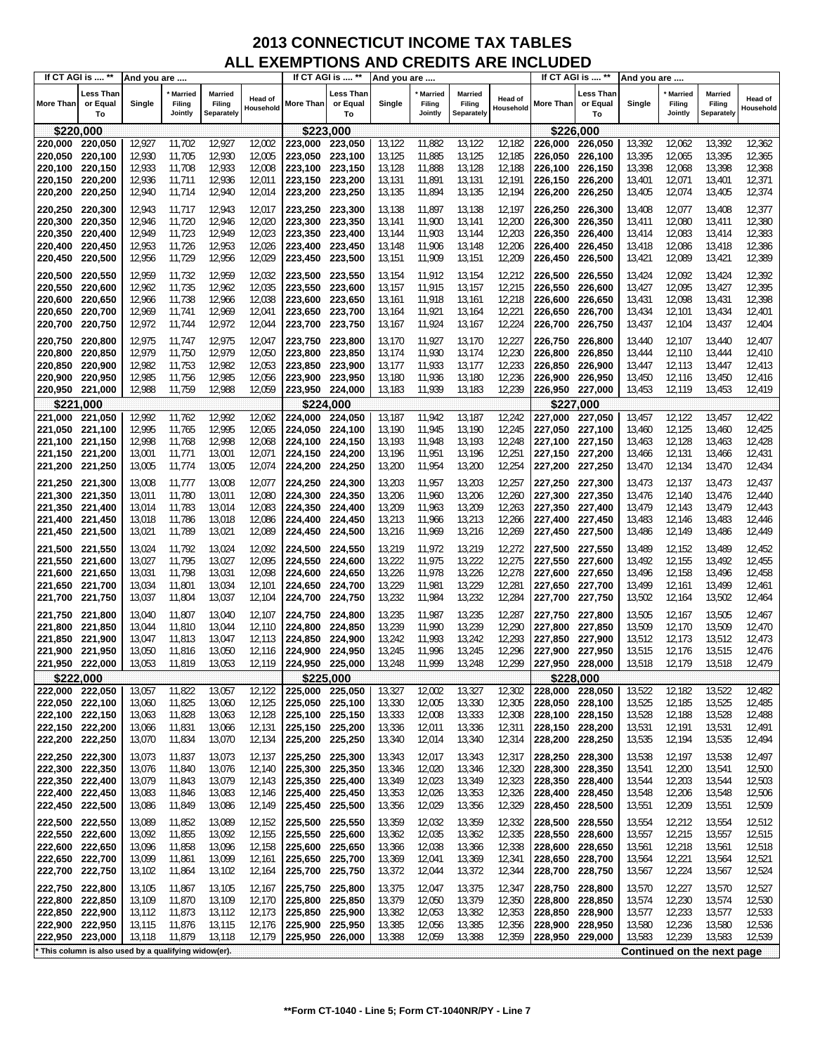|                            | If CT AGI is  **                                      | And you are      |                                     |                                 |                             |                            | If CT AGI is  **            | And you are      |                                     |                                 |                             |                    | If CT AGI is  **            | And you are      |                                     |                                        |                             |
|----------------------------|-------------------------------------------------------|------------------|-------------------------------------|---------------------------------|-----------------------------|----------------------------|-----------------------------|------------------|-------------------------------------|---------------------------------|-----------------------------|--------------------|-----------------------------|------------------|-------------------------------------|----------------------------------------|-----------------------------|
| <b>More Than</b>           | Less Than<br>or Equal<br>To                           | Single           | <b>Married</b><br>Filing<br>Jointly | Married<br>Filing<br>Separately | <b>Head of</b><br>Household | More Than                  | Less Than<br>or Equal<br>To | Single           | <b>Married</b><br>Filing<br>Jointly | Married<br>Filing<br>Separately | <b>Head of</b><br>Household | More Than          | Less Than<br>or Equal<br>To | Single           | <b>Married</b><br>Filing<br>Jointly | <b>Married</b><br>Filing<br>Separately | <b>Head of</b><br>Household |
| \$220,000                  |                                                       |                  |                                     |                                 |                             | \$223,000                  |                             |                  |                                     |                                 |                             |                    | \$226,000                   |                  |                                     |                                        |                             |
| 220,000                    | 220,050                                               | 12,927           | 11,702                              | 12,927                          | 12,002                      | 223,000                    | 223,050                     | 13,122           | 11,882                              | 13,122                          | 12,182                      | 226,000            | 226,050                     | 13,392           | 12,062                              | 13,392                                 | 12,362                      |
| 220,050                    | 220,100                                               | 12,930           | 11,705                              | 12,930                          | 12,005                      | 223,050                    | 223,100                     | 13,125           | 11,885                              | 13,125                          | 12,185                      | 226,050            | 226,100                     | 13,395           | 12,065                              | 13,395                                 | 12,365                      |
| 220,100                    | 220,150                                               | 12,933           | 11,708                              | 12,933                          | 12,008                      | 223,100                    | 223,150                     | 13,128           | 11,888                              | 13,128                          | 12,188                      | 226,100            | 226,150                     | 13,398           | 12,068                              | 13,398                                 | 12,368                      |
| 220,150                    | 220,200                                               | 12,936           | 11,711                              | 12,936                          | 12,011                      | 223,150                    | 223,200                     | 13,131           | 11,891                              | 13,131                          | 12,191                      | 226,150            | 226,200                     | 13,401           | 12,071                              | 13,401                                 | 12,371                      |
| 220,200                    | 220,250                                               | 12,940           | 11,714                              | 12,940                          | 12,014                      | 223,200 223,250            |                             | 13,135           | 11,894                              | 13,135                          | 12,194                      | 226,200            | 226,250                     | 13,405           | 12,074                              | 13,405                                 | 12,374                      |
| 220,250 220,300            |                                                       | 12,943           | 11,717                              | 12,943                          | 12,017                      | 223,250 223,300            |                             | 13,138           | 11,897                              | 13,138                          | 12,197                      | 226,250            | 226,300                     | 13,408           | 12,077                              | 13,408                                 | 12,377                      |
| 220,300                    | 220,350                                               | 12,946           | 11,720                              | 12,946                          | 12,020                      | 223,300 223,350            |                             | 13,141           | 11,900                              | 13,141                          | 12,200                      | 226,300            | 226,350                     | 13,411           | 12,080                              | 13,411                                 | 12,380                      |
| 220,350                    | 220,400                                               | 12,949           | 11,723                              | 12,949                          | 12,023                      | 223.350                    | 223,400                     | 13,144           | 11,903                              | 13,144                          | 12,203                      | 226,350            | 226,400                     | 13,414           | 12,083                              | 13,414                                 | 12,383                      |
| 220,400<br>220,450         | 220,450<br>220,500                                    | 12,953<br>12,956 | 11,726<br>11,729                    | 12,953<br>12,956                | 12,026<br>12,029            | 223,400<br>223,450         | 223,450<br>223,500          | 13,148<br>13,151 | 11,906<br>11,909                    | 13,148<br>13,151                | 12,206<br>12,209            | 226,400<br>226,450 | 226,450<br>226,500          | 13,418<br>13,421 | 12,086<br>12,089                    | 13,418<br>13,421                       | 12,386<br>12,389            |
|                            |                                                       |                  |                                     |                                 |                             |                            |                             |                  |                                     |                                 |                             |                    |                             |                  |                                     |                                        |                             |
| 220,500                    | 220,550                                               | 12,959           | 11,732                              | 12,959                          | 12,032                      | 223,500 223,550            |                             | 13,154           | 11,912                              | 13,154                          | 12,212                      | 226,500            | 226,550                     | 13,424           | 12,092                              | 13,424                                 | 12,392                      |
| 220,550<br>220,600         | 220,600<br>220,650                                    | 12,962<br>12,966 | 11,735<br>11,738                    | 12,962<br>12,966                | 12,035<br>12,038            | 223,550 223,600<br>223,600 | 223,650                     | 13,157<br>13,161 | 11,915<br>11,918                    | 13,157<br>13,161                | 12,215<br>12,218            | 226,550<br>226,600 | 226,600<br>226,650          | 13,427<br>13,431 | 12,095<br>12,098                    | 13,427<br>13,431                       | 12,395<br>12,398            |
| 220,650                    | 220,700                                               | 12,969           | 11,741                              | 12,969                          | 12,041                      | 223,650                    | 223,700                     | 13,164           | 11,921                              | 13,164                          | 12,221                      | 226,650            | 226,700                     | 13,434           | 12,101                              | 13,434                                 | 12,401                      |
| 220,700                    | 220,750                                               | 12,972           | 11,744                              | 12,972                          | 12,044                      | 223,700                    | 223,750                     | 13,167           | 11,924                              | 13,167                          | 12,224                      | 226,700            | 226,750                     | 13,437           | 12,104                              | 13,437                                 | 12,404                      |
| 220,750                    | 220,800                                               | 12,975           | 11,747                              | 12,975                          | 12,047                      | 223,750 223,800            |                             | 13,170           | 11,927                              | 13,170                          | 12,227                      | 226,750            | 226,800                     | 13,440           | 12,107                              | 13,440                                 | 12,407                      |
| 220,800                    | 220,850                                               | 12,979           | 11,750                              | 12,979                          | 12,050                      | 223,800                    | 223,850                     | 13,174           | 11,930                              | 13,174                          | 12,230                      | 226,800            | 226,850                     | 13,444           | 12,110                              | 13,444                                 | 12,410                      |
| 220,850                    | 220,900                                               | 12,982           | 11,753                              | 12,982                          | 12,053                      | 223,850 223,900            |                             | 13,177           | 11,933                              | 13,177                          | 12,233                      | 226,850            | 226,900                     | 13,447           | 12,113                              | 13,447                                 | 12,413                      |
| 220,900                    | 220,950                                               | 12,985           | 11,756                              | 12,985                          | 12,056                      | 223,900                    | 223.950                     | 13,180           | 11,936                              | 13,180                          | 12,236                      | 226,900            | 226,950                     | 13,450           | 12,116                              | 13,450                                 | 12,416                      |
| 220,950                    | 221,000                                               | 12,988           | 11,759                              | 12,988                          | 12,059                      | 223,950 224,000            |                             | 13,183           | 11,939                              | 13,183                          | 12,239                      | 226,950            | 227,000                     | 13,453           | 12,119                              | 13,453                                 | 12,419                      |
| \$221.000                  |                                                       |                  |                                     |                                 |                             |                            | \$224.000                   |                  |                                     |                                 |                             |                    | \$227.000                   |                  |                                     |                                        |                             |
| 221,000                    | 221,050                                               | 12,992           | 11,762                              | 12,992                          | 12,062                      | 224,000                    | 224,050                     | 13,187           | 11,942                              | 13,187                          | 12,242                      | 227,000            | 227,050                     | 13,457           | 12,122                              | 13,457                                 | 12,422                      |
| 221,050                    | 221,100                                               | 12,995           | 11,765                              | 12,995                          | 12,065                      | 224,050                    | 224,100                     | 13,190           | 11,945                              | 13,190                          | 12,245                      | 227,050            | 227,100                     | 13,460           | 12,125                              | 13,460                                 | 12,425                      |
| 221,100<br>221,150 221,200 | 221,150                                               | 12,998<br>13,001 | 11,768<br>11,771                    | 12,998<br>13,001                | 12,068<br>12,071            | 224,100<br>224,150 224,200 | 224,150                     | 13,193<br>13,196 | 11,948<br>11,951                    | 13,193<br>13,196                | 12,248<br>12,251            | 227,100<br>227,150 | 227,150<br>227,200          | 13,463<br>13,466 | 12,128<br>12,131                    | 13,463<br>13,466                       | 12,428<br>12,431            |
| 221,200                    | 221,250                                               | 13,005           | 11,774                              | 13,005                          | 12,074                      | 224,200 224,250            |                             | 13,200           | 11,954                              | 13,200                          | 12,254                      | 227,200            | 227,250                     | 13,470           | 12,134                              | 13,470                                 | 12,434                      |
|                            |                                                       |                  |                                     |                                 |                             |                            |                             |                  |                                     |                                 |                             |                    |                             |                  |                                     |                                        |                             |
| 221,250 221,300<br>221,300 | 221,350                                               | 13,008<br>13,011 | 11,777<br>11,780                    | 13,008<br>13,011                | 12,077<br>12,080            | 224,250 224,300<br>224,300 | 224,350                     | 13,203<br>13,206 | 11,957<br>11,960                    | 13,203<br>13,206                | 12,257<br>12,260            | 227,250<br>227,300 | 227,300<br>227,350          | 13,473<br>13,476 | 12,137<br>12,140                    | 13,473<br>13,476                       | 12,437<br>12,440            |
| 221,350                    | 221,400                                               | 13,014           | 11,783                              | 13,014                          | 12,083                      | 224,350                    | 224,400                     | 13,209           | 11,963                              | 13,209                          | 12,263                      | 227,350            | 227,400                     | 13,479           | 12,143                              | 13,479                                 | 12,443                      |
| 221,400                    | 221,450                                               | 13,018           | 11,786                              | 13,018                          | 12,086                      | 224,400                    | 224,450                     | 13,213           | 11,966                              | 13,213                          | 12,266                      | 227,400            | 227,450                     | 13,483           | 12,146                              | 13,483                                 | 12,446                      |
| 221,450                    | 221,500                                               | 13,021           | 11,789                              | 13,021                          | 12,089                      | 224,450 224,500            |                             | 13,216           | 11,969                              | 13,216                          | 12,269                      | 227,450            | 227,500                     | 13,486           | 12,149                              | 13,486                                 | 12,449                      |
| 221,500                    | 221,550                                               | 13,024           | 11,792                              | 13,024                          | 12,092                      | 224,500 224,550            |                             | 13,219           | 11,972                              | 13,219                          | 12,272                      | 227,500            | 227,550                     | 13,489           | 12,152                              | 13,489                                 | 12,452                      |
| 221,550                    | 221,600                                               | 13,027           | 11,795                              | 13,027                          | 12,095                      | 224,550                    | 224,600                     | 13,222           | 11,975                              | 13,222                          | 12,275                      | 227,550            | 227,600                     | 13,492           | 12,155                              | 13,492                                 | 12,455                      |
| 221,600                    | 221,650                                               | 13,031           | 11,798                              | 13,031                          | 12,098                      | 224,600 224,650            |                             | 13,226           | 11,978                              | 13,226                          | 12,278                      | 227,600            | 227,650                     | 13,496           | 12,158                              | 13,496                                 | 12,458                      |
| 221,650                    | 221,700                                               | 13,034           | 11,801                              | 13,034                          | 12,101                      | 224,650 224,700            |                             | 13,229           | 11,981                              | 13,229                          | 12,281                      | 227,650            | 227,700                     | 13,499           | 12,161                              | 13,499                                 | 12,461                      |
| 221,700                    | 221,750                                               | 13,037           | 11,804                              | 13,037                          | 12,104                      | 224,700                    | 224,750                     | 13,232           | 11,984                              | 13,232                          | 12,284                      | 227,700            | 227,750                     | 13,502           | 12,164                              | 13,502                                 | 12,464                      |
| 221,750                    | 221,800                                               | 13,040           | 11,807                              | 13,040                          | 12,107                      | 224,750 224,800            |                             | 13,235           | 11,987                              | 13,235                          | 12,287                      | 227,750            | 227,800                     | 13,505           | 12,167                              | 13,505                                 | 12,467                      |
| 221,800                    | 221,850                                               | 13,044           | 11,810                              | 13,044                          | 12,110                      | 224,800                    | 224,850                     | 13,239           | 11,990                              | 13,239                          | 12,290                      | 227,800            | 227,850                     | 13,509           | 12,170                              | 13,509                                 | 12,470                      |
| 221,850                    | 221,900                                               | 13,047           | 11,813                              | 13,047                          | 12,113                      | 224,850                    | 224,900                     | 13,242           | 11,993                              | 13,242                          | 12,293                      | 227,850            | 227,900                     | 13,512           | 12,173                              | 13,512                                 | 12,473                      |
| 221,900<br>221,950 222,000 | 221,950                                               | 13,050<br>13,053 | 11,816<br>11,819                    | 13,050<br>13,053                | 12,116<br>12,119            | 224,900<br>224,950 225,000 | 224.950                     | 13,245<br>13,248 | 11,996<br>11,999                    | 13,245<br>13,248                | 12,296<br>12,299            | 227,900<br>227,950 | 227,950<br>228,000          | 13,515<br>13,518 | 12,176<br>12,179                    | 13,515<br>13,518                       | 12,476<br>12,479            |
|                            | \$222,000                                             |                  |                                     |                                 |                             | \$225,000                  |                             |                  |                                     |                                 |                             |                    | \$228,000                   |                  |                                     |                                        |                             |
| 222,000 222,050            |                                                       | 13,057           | 11,822                              | 13,057                          | 12,122                      | 225,000 225,050            |                             | 13,327           | 12,002                              | 13,327                          | 12,302                      | 228,000            | 228,050                     | 13,522           | 12,182                              | 13,522                                 | 12,482                      |
| 222,050 222,100            |                                                       | 13,060           | 11,825                              | 13,060                          | 12,125                      | 225,050 225,100            |                             | 13,330           | 12,005                              | 13,330                          | 12,305                      | 228,050            | 228,100                     | 13,525           | 12,185                              | 13,525                                 | 12,485                      |
| 222,100 222,150            |                                                       | 13,063           | 11,828                              | 13,063                          | 12,128                      | 225,100 225,150            |                             | 13,333           | 12,008                              | 13,333                          | 12,308                      | 228,100            | 228,150                     | 13,528           | 12,188                              | 13,528                                 | 12,488                      |
| 222,150 222,200            |                                                       | 13,066           | 11,831                              | 13,066                          | 12,131                      | 225,150 225,200            |                             | 13,336           | 12,011                              | 13,336                          | 12,311                      | 228,150            | 228,200                     | 13,531           | 12,191                              | 13,531                                 | 12,491                      |
| 222,200                    | 222,250                                               | 13,070           | 11,834                              | 13,070                          | 12,134                      | 225,200 225,250            |                             | 13,340           | 12,014                              | 13,340                          | 12,314                      | 228,200            | 228,250                     | 13,535           | 12,194                              | 13,535                                 | 12,494                      |
| 222,250                    | 222,300                                               | 13,073           | 11,837                              | 13,073                          | 12,137                      | 225,250 225,300            |                             | 13,343           | 12,017                              | 13,343                          | 12,317                      | 228,250            | 228,300                     | 13,538           | 12,197                              | 13,538                                 | 12,497                      |
| 222,300 222,350            |                                                       | 13,076           | 11,840                              | 13,076                          | 12,140                      | 225,300 225,350            |                             | 13,346           | 12,020                              | 13,346                          | 12,320                      | 228,300            | 228,350                     | 13,541           | 12,200                              | 13,541                                 | 12,500                      |
| 222,350 222,400            |                                                       | 13,079           | 11,843                              | 13,079                          | 12,143                      | 225,350 225,400            |                             | 13,349           | 12,023                              | 13,349                          | 12,323                      | 228,350            | 228,400                     | 13,544           | 12,203                              | 13,544                                 | 12,503                      |
| 222,400<br>222,450         | 222,450                                               | 13,083           | 11,846                              | 13,083                          | 12,146                      | 225,400 225,450            |                             | 13,353           | 12,026                              | 13,353                          | 12,326                      | 228,400            | 228,450                     | 13,548           | 12,206                              | 13,548                                 | 12,506                      |
|                            | 222,500                                               | 13,086           | 11,849                              | 13,086                          | 12,149                      | 225,450                    | 225,500                     | 13,356           | 12,029                              | 13,356                          | 12,329                      | 228,450            | 228,500                     | 13,551           | 12,209                              | 13,551                                 | 12,509                      |
| 222,500 222,550            |                                                       | 13,089           | 11,852                              | 13,089                          | 12,152                      | 225,500 225,550            |                             | 13,359           | 12,032                              | 13,359                          | 12,332                      | 228,500            | 228,550                     | 13,554           | 12,212                              | 13,554                                 | 12,512                      |
| 222,550<br>222,600         | 222,600<br>222,650                                    | 13,092           | 11,855                              | 13,092                          | 12,155                      | 225,550                    | 225,600<br>225,650          | 13,362           | 12,035                              | 13,362                          | 12,335<br>12,338            | 228,550            | 228,600                     | 13,557           | 12,215<br>12,218                    | 13,557<br>13,561                       | 12,515<br>12,518            |
| 222,650                    | 222,700                                               | 13,096<br>13,099 | 11,858<br>11,861                    | 13,096<br>13,099                | 12,158<br>12,161            | 225,600<br>225,650         | 225,700                     | 13,366<br>13,369 | 12,038<br>12,041                    | 13,366<br>13,369                | 12,341                      | 228,600<br>228,650 | 228,650<br>228,700          | 13,561<br>13,564 | 12,221                              | 13,564                                 | 12,521                      |
| 222,700                    | 222,750                                               | 13,102           | 11,864                              | 13,102                          | 12,164                      | 225,700 225,750            |                             | 13,372           | 12,044                              | 13,372                          | 12,344                      | 228,700            | 228,750                     | 13,567           | 12,224                              | 13,567                                 | 12,524                      |
| 222,750 222,800            |                                                       | 13,105           | 11,867                              | 13,105                          | 12,167                      | 225,750 225,800            |                             | 13,375           | 12,047                              | 13,375                          | 12,347                      | 228,750            | 228,800                     | 13,570           | 12,227                              | 13,570                                 | 12,527                      |
| 222,800                    | 222,850                                               | 13,109           | 11,870                              | 13,109                          | 12,170                      | 225,800 225,850            |                             | 13,379           | 12,050                              | 13,379                          | 12,350                      | 228,800            | 228,850                     | 13,574           | 12,230                              | 13,574                                 | 12,530                      |
| 222,850                    | 222,900                                               | 13,112           | 11,873                              | 13,112                          | 12,173                      | 225,850                    | 225,900                     | 13,382           | 12,053                              | 13,382                          | 12,353                      | 228,850            | 228,900                     | 13,577           | 12,233                              | 13,577                                 | 12,533                      |
| 222,900 222,950            |                                                       | 13,115           | 11,876                              | 13,115                          | 12,176                      | 225,900 225,950            |                             | 13,385           | 12,056                              | 13,385                          | 12,356                      | 228,900            | 228,950                     | 13,580           | 12,236                              | 13,580                                 | 12,536                      |
| 222,950 223,000            |                                                       | 13,118           | 11,879                              | 13,118                          | 12,179                      | 225,950 226,000            |                             | 13,388           | 12,059                              | 13,388                          | 12,359                      | 228,950            | 229,000                     | 13,583           | 12,239                              | 13,583                                 | 12,539                      |
|                            | * This column is also used by a qualifying widow(er). |                  |                                     |                                 |                             |                            |                             |                  |                                     |                                 |                             |                    |                             |                  |                                     | Continued on the next page             |                             |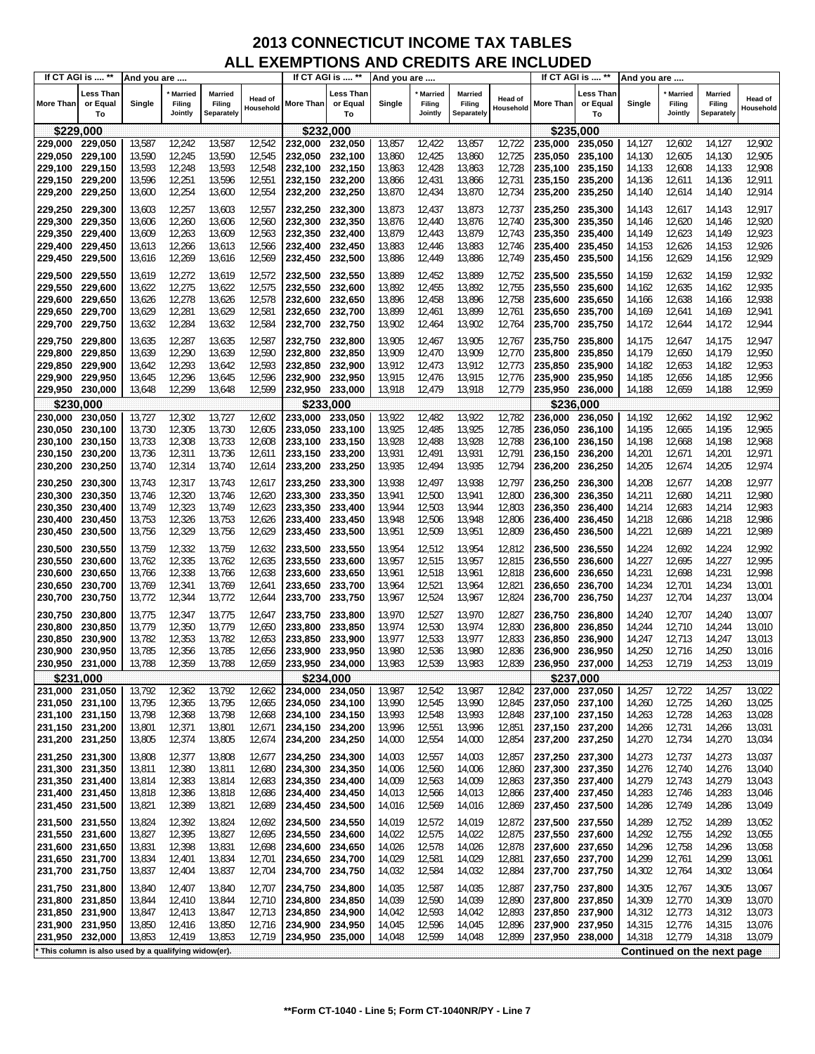|                                    | If CT AGI is  **                                    | And you are      |                                     |                                 |                             |                                    | If CT AGI is  **            | And you are      |                                     |                                 |                             |                    | If CT AGI is  **            | And you are      |                                     |                                        |                             |
|------------------------------------|-----------------------------------------------------|------------------|-------------------------------------|---------------------------------|-----------------------------|------------------------------------|-----------------------------|------------------|-------------------------------------|---------------------------------|-----------------------------|--------------------|-----------------------------|------------------|-------------------------------------|----------------------------------------|-----------------------------|
| <b>More Than</b>                   | <b>Less Than</b><br>or Equal<br>To                  | Single           | <b>Married</b><br>Filing<br>Jointly | Married<br>Filing<br>Separately | <b>Head of</b><br>Household | More Than                          | ∟ess Than<br>or Equal<br>To | Single           | <b>Married</b><br>Filing<br>Jointly | Married<br>Filing<br>Separately | <b>Head of</b><br>Household | More Than          | Less Than<br>or Equal<br>To | Single           | <b>Married</b><br>Filing<br>Jointly | <b>Married</b><br>Filing<br>Separately | <b>Head of</b><br>Household |
| \$229,000                          |                                                     |                  |                                     |                                 |                             | \$232,000                          |                             |                  |                                     |                                 |                             |                    | \$235,000                   |                  |                                     |                                        |                             |
| 229,000                            | 229,050                                             | 13,587           | 12,242                              | 13,587                          | 12,542                      | 232,000                            | 232,050                     | 13,857           | 12,422                              | 13,857                          | 12,722                      | 235,000            | 235,050                     | 14,127           | 12,602                              | 14,127                                 | 12,902                      |
| 229,050                            | 229,100                                             | 13,590           | 12,245                              | 13,590                          | 12,545                      | 232,050                            | 232,100                     | 13,860           | 12,425                              | 13,860                          | 12,725                      | 235,050            | 235,100                     | 14,130           | 12,605                              | 14,130                                 | 12,905                      |
| 229,100                            | 229,150                                             | 13,593           | 12,248                              | 13,593                          | 12,548                      | 232,100                            | 232,150                     | 13,863           | 12,428                              | 13,863                          | 12,728                      | 235,100            | 235,150                     | 14,133           | 12,608                              | 14,133                                 | 12,908                      |
| 229,150                            | 229,200                                             | 13,596           | 12,251                              | 13,596                          | 12,551                      | 232,150                            | 232,200                     | 13,866           | 12,431                              | 13,866                          | 12,731                      | 235,150            | 235,200                     | 14,136           | 12,611                              | 14,136                                 | 12,911                      |
| 229,200                            | 229,250                                             | 13,600           | 12,254                              | 13,600                          | 12,554                      | 232,200                            | 232,250                     | 13,870           | 12,434                              | 13,870                          | 12,734                      | 235,200            | 235,250                     | 14,140           | 12,614                              | 14,140                                 | 12,914                      |
| 229,250 229,300                    |                                                     | 13,603           | 12,257                              | 13,603                          | 12,557                      | 232,250 232,300                    |                             | 13,873           | 12,437                              | 13,873                          | 12,737                      | 235,250            | 235,300                     | 14,143           | 12,617                              | 14,143                                 | 12,917                      |
| 229,300                            | 229,350                                             | 13,606           | 12,260                              | 13,606                          | 12,560                      | 232,300 232,350                    |                             | 13,876           | 12,440                              | 13,876                          | 12,740                      | 235,300            | 235,350                     | 14,146           | 12,620                              | 14,146                                 | 12,920                      |
| 229,350                            | 229,400                                             | 13,609           | 12,263                              | 13,609                          | 12,563                      | 232,350                            | 232,400                     | 13,879           | 12,443                              | 13,879                          | 12,743                      | 235,350            | 235,400                     | 14,149           | 12,623                              | 14,149                                 | 12,923                      |
| 229,400<br>229,450                 | 229,450<br>229,500                                  | 13,613<br>13,616 | 12,266<br>12,269                    | 13,613<br>13,616                | 12,566<br>12,569            | 232,400 232,450<br>232,450         | 232,500                     | 13,883<br>13,886 | 12,446<br>12,449                    | 13,883<br>13,886                | 12,746<br>12,749            | 235,400<br>235,450 | 235,450<br>235,500          | 14,153<br>14,156 | 12,626<br>12,629                    | 14,153<br>14,156                       | 12,926<br>12,929            |
|                                    |                                                     |                  |                                     |                                 |                             |                                    |                             |                  |                                     |                                 |                             |                    |                             |                  |                                     |                                        |                             |
| 229,500                            | 229,550                                             | 13,619           | 12,272                              | 13,619                          | 12,572                      | 232,500                            | 232,550                     | 13,889           | 12,452                              | 13,889                          | 12,752                      | 235,500            | 235,550                     | 14,159           | 12,632                              | 14,159                                 | 12,932                      |
| 229,550<br>229,600                 | 229,600<br>229,650                                  | 13,622<br>13,626 | 12,275<br>12,278                    | 13,622<br>13,626                | 12,575<br>12,578            | 232,550<br>232,600                 | 232,600<br>232,650          | 13,892<br>13,896 | 12,455<br>12,458                    | 13,892<br>13,896                | 12,755<br>12,758            | 235,550<br>235,600 | 235,600<br>235,650          | 14,162<br>14,166 | 12,635<br>12,638                    | 14,162<br>14,166                       | 12,935<br>12,938            |
| 229,650                            | 229,700                                             | 13,629           | 12,281                              | 13,629                          | 12,581                      | 232,650                            | 232,700                     | 13,899           | 12,461                              | 13,899                          | 12,761                      | 235,650            | 235,700                     | 14,169           | 12,641                              | 14,169                                 | 12,941                      |
| 229,700                            | 229,750                                             | 13,632           | 12,284                              | 13,632                          | 12,584                      | 232,700                            | 232,750                     | 13,902           | 12,464                              | 13,902                          | 12,764                      | 235,700            | 235,750                     | 14,172           | 12,644                              | 14,172                                 | 12,944                      |
| 229,750                            | 229,800                                             | 13,635           | 12,287                              | 13,635                          | 12,587                      | 232,750                            | 232,800                     | 13,905           | 12,467                              | 13,905                          | 12,767                      | 235,750            | 235,800                     | 14,175           | 12,647                              | 14,175                                 | 12,947                      |
| 229,800                            | 229,850                                             | 13,639           | 12,290                              | 13,639                          | 12,590                      | 232,800                            | 232,850                     | 13,909           | 12,470                              | 13,909                          | 12,770                      | 235,800            | 235,850                     | 14,179           | 12,650                              | 14,179                                 | 12,950                      |
| 229,850                            | 229,900                                             | 13,642           | 12,293                              | 13,642                          | 12,593                      | 232,850 232,900                    |                             | 13,912           | 12,473                              | 13,912                          | 12,773                      | 235,850            | 235,900                     | 14,182           | 12,653                              | 14,182                                 | 12,953                      |
| 229,900                            | 229,950                                             | 13,645           | 12,296                              | 13,645                          | 12,596                      | 232,900                            | 232,950                     | 13,915           | 12,476                              | 13,915                          | 12,776                      | 235,900            | 235,950                     | 14,185           | 12,656                              | 14,185                                 | 12,956                      |
| 229,950                            | 230,000                                             | 13,648           | 12,299                              | 13,648                          | 12,599                      | 232,950 233,000                    |                             | 13,918           | 12,479                              | 13,918                          | 12,779                      | 235,950            | 236,000                     | 14,188           | 12,659                              | 14,188                                 | 12,959                      |
|                                    | \$230,000                                           |                  |                                     |                                 |                             |                                    | \$233,000                   |                  |                                     |                                 |                             |                    | \$236,000                   |                  |                                     |                                        |                             |
| 230,000                            | 230,050                                             | 13,727           | 12,302                              | 13,727                          | 12,602                      | 233,000                            | 233,050                     | 13,922           | 12,482                              | 13,922                          | 12,782                      | 236,000            | 236,050                     | 14,192           | 12,662                              | 14,192                                 | 12,962                      |
| 230,050                            | 230,100                                             | 13,730           | 12,305                              | 13,730                          | 12,605                      | 233.050 233,100                    |                             | 13,925           | 12,485                              | 13,925                          | 12,785                      | 236,050            | 236,100                     | 14,195           | 12,665                              | 14,195                                 | 12,965                      |
| 230,100<br>230,150                 | 230,150<br>230,200                                  | 13,733<br>13,736 | 12,308<br>12,311                    | 13,733<br>13,736                | 12,608<br>12,611            | 233,100<br>233,150 233,200         | 233,150                     | 13,928<br>13,931 | 12,488<br>12,491                    | 13,928<br>13,931                | 12,788<br>12,791            | 236,100<br>236,150 | 236,150<br>236,200          | 14,198<br>14,201 | 12,668<br>12,671                    | 14,198<br>14,201                       | 12,968<br>12,971            |
| 230,200                            | 230,250                                             | 13,740           | 12,314                              | 13,740                          | 12,614                      | 233,200                            | 233,250                     | 13,935           | 12,494                              | 13,935                          | 12,794                      | 236,200            | 236,250                     | 14,205           | 12,674                              | 14,205                                 | 12,974                      |
|                                    |                                                     |                  |                                     |                                 |                             |                                    |                             |                  |                                     |                                 |                             |                    |                             |                  |                                     |                                        |                             |
| 230,250<br>230,300                 | 230,300<br>230,350                                  | 13,743<br>13,746 | 12,317<br>12,320                    | 13,743<br>13,746                | 12,617<br>12,620            | 233,250<br>233,300                 | 233,300<br>233,350          | 13,938<br>13,941 | 12,497<br>12,500                    | 13,938<br>13,941                | 12,797<br>12,800            | 236,250<br>236,300 | 236,300<br>236,350          | 14,208<br>14,211 | 12,677<br>12,680                    | 14,208<br>14,211                       | 12,977<br>12,980            |
| 230,350                            | 230,400                                             | 13,749           | 12,323                              | 13,749                          | 12,623                      | 233,350                            | 233,400                     | 13,944           | 12,503                              | 13,944                          | 12,803                      | 236,350            | 236,400                     | 14,214           | 12,683                              | 14,214                                 | 12,983                      |
| 230,400                            | 230,450                                             | 13,753           | 12,326                              | 13,753                          | 12,626                      | 233,400                            | 233,450                     | 13,948           | 12,506                              | 13,948                          | 12,806                      | 236,400            | 236,450                     | 14,218           | 12,686                              | 14,218                                 | 12,986                      |
| 230,450                            | 230,500                                             | 13,756           | 12,329                              | 13,756                          | 12,629                      | 233,450                            | 233,500                     | 13,951           | 12,509                              | 13,951                          | 12,809                      | 236,450            | 236,500                     | 14,221           | 12,689                              | 14,221                                 | 12,989                      |
| 230,500                            | 230,550                                             | 13,759           | 12,332                              | 13,759                          | 12,632                      | 233,500                            | 233,550                     | 13,954           | 12,512                              | 13,954                          | 12,812                      | 236,500            | 236,550                     | 14,224           | 12,692                              | 14,224                                 | 12,992                      |
| 230,550                            | 230,600                                             | 13,762           | 12,335                              | 13,762                          | 12,635                      | 233,550                            | 233,600                     | 13,957           | 12,515                              | 13,957                          | 12,815                      | 236,550            | 236,600                     | 14,227           | 12,695                              | 14,227                                 | 12,995                      |
| 230,600                            | 230,650                                             | 13,766           | 12,338                              | 13,766                          | 12,638                      | 233,600 233,650                    |                             | 13,961           | 12,518                              | 13,961                          | 12,818                      | 236,600            | 236,650                     | 14,231           | 12,698                              | 14,231                                 | 12,998                      |
| 230,650                            | 230,700                                             | 13,769           | 12,341                              | 13,769                          | 12,641                      | 233,650                            | 233,700                     | 13,964           | 12,521                              | 13,964                          | 12,821                      | 236,650            | 236,700                     | 14,234           | 12,701                              | 14,234                                 | 13,001                      |
| 230,700                            | 230,750                                             | 13,772           | 12,344                              | 13,772                          | 12,644                      | 233,700 233,750                    |                             | 13,967           | 12,524                              | 13,967                          | 12,824                      | 236,700            | 236,750                     | 14,237           | 12,704                              | 14,237                                 | 13,004                      |
| 230,750                            | 230,800                                             | 13,775           | 12,347                              | 13,775                          | 12,647                      | 233,750                            | 233,800                     | 13,970           | 12,527                              | 13,970                          | 12,827                      | 236,750            | 236,800                     | 14,240           | 12,707                              | 14,240                                 | 13,007                      |
| 230,800                            | 230,850                                             | 13,779           | 12,350                              | 13,779                          | 12,650                      | 233,800                            | 233,850                     | 13,974           | 12,530                              | 13,974                          | 12,830                      | 236,800            | 236,850                     | 14,244           | 12,710                              | 14,244                                 | 13,010                      |
| 230,850                            | 230,900                                             | 13,782<br>13,785 | 12,353<br>12,356                    | 13,782<br>13,785                | 12,653                      | 233,850                            | 233,900                     | 13,977           | 12,533                              | 13,977                          | 12,833                      | 236,850            | 236,900                     | 14,247           | 12,713                              | 14,247                                 | 13,013                      |
| 230,900<br>230,950                 | 230,950<br>231,000                                  | 13,788           | 12,359                              | 13,788                          | 12,656<br>12,659            | 233,900<br>233,950 234,000         | 233,950                     | 13,980<br>13,983 | 12,536<br>12,539                    | 13,980<br>13,983                | 12,836<br>12,839            | 236,900<br>236,950 | 236,950<br>237,000          | 14,250<br>14,253 | 12,716<br>12,719                    | 14,250<br>14,253                       | 13,016<br>13,019            |
|                                    | \$231,000                                           |                  |                                     |                                 |                             |                                    | \$234,000                   |                  |                                     |                                 |                             |                    | \$237,000                   |                  |                                     |                                        |                             |
| 231,000 231,050                    |                                                     | 13,792           | 12,362                              | 13,792                          | 12,662                      | 234,000 234,050                    |                             | 13,987           | 12,542                              | 13,987                          | 12,842                      | 237,000            | 237,050                     | 14,257           | 12,722                              | 14,257                                 | 13,022                      |
| 231,050 231,100                    |                                                     | 13,795           | 12,365                              | 13,795                          | 12,665                      | 234,050 234,100                    |                             | 13,990           | 12,545                              | 13,990                          | 12,845                      | 237,050            | 237,100                     | 14,260           | 12,725                              | 14,260                                 | 13,025                      |
| 231,100 231,150                    |                                                     | 13,798           | 12,368                              | 13,798                          | 12,668                      | 234,100 234,150                    |                             | 13,993           | 12,548                              | 13,993                          | 12,848                      | 237,100            | 237,150                     | 14,263           | 12,728                              | 14,263                                 | 13,028                      |
| 231,150 231,200                    |                                                     | 13,801           | 12,371                              | 13,801                          | 12,671                      | 234,150 234,200                    |                             | 13,996           | 12,551                              | 13,996                          | 12,851                      | 237,150            | 237,200                     | 14,266           | 12,731                              | 14,266                                 | 13,031                      |
| 231,200                            | 231,250                                             | 13,805           | 12,374                              | 13,805                          | 12,674                      | 234,200 234,250                    |                             | 14,000           | 12,554                              | 14,000                          | 12,854                      | 237,200            | 237,250                     | 14,270           | 12,734                              | 14,270                                 | 13,034                      |
| 231,250 231,300                    |                                                     | 13,808           | 12,377                              | 13,808                          | 12,677                      | 234,250 234,300                    |                             | 14,003           | 12,557                              | 14,003                          | 12,857                      | 237,250            | 237,300                     | 14,273           | 12,737                              | 14,273                                 | 13,037                      |
| 231,300 231,350                    |                                                     | 13,811           | 12,380                              | 13,811                          | 12,680                      | 234,300 234,350                    |                             | 14,006           | 12,560                              | 14,006                          | 12,860                      | 237,300            | 237,350                     | 14,276           | 12,740                              | 14,276                                 | 13,040                      |
| 231,350 231,400<br>231,400 231,450 |                                                     | 13,814           | 12,383<br>12,386                    | 13,814                          | 12,683                      | 234,350 234,400                    |                             | 14,009           | 12,563                              | 14,009                          | 12,863                      | 237,350            | 237,400                     | 14,279           | 12,743<br>12,746                    | 14,279                                 | 13,043<br>13,046            |
| 231,450 231,500                    |                                                     | 13,818<br>13,821 | 12,389                              | 13,818<br>13,821                | 12,686<br>12,689            | 234,400 234,450<br>234,450 234,500 |                             | 14,013<br>14,016 | 12,566<br>12,569                    | 14,013<br>14,016                | 12,866<br>12,869            | 237,400<br>237,450 | 237,450<br>237,500          | 14,283<br>14,286 | 12,749                              | 14,283<br>14,286                       | 13,049                      |
|                                    |                                                     |                  |                                     |                                 |                             |                                    |                             |                  |                                     |                                 |                             |                    |                             |                  |                                     |                                        |                             |
| 231,500 231,550<br>231,550         | 231,600                                             | 13,824<br>13,827 | 12,392<br>12,395                    | 13,824<br>13,827                | 12,692<br>12,695            | 234,500 234,550<br>234,550         | 234,600                     | 14,019<br>14,022 | 12,572<br>12,575                    | 14,019<br>14,022                | 12,872<br>12,875            | 237,500<br>237,550 | 237,550<br>237,600          | 14,289<br>14,292 | 12,752<br>12,755                    | 14,289<br>14,292                       | 13,052<br>13,055            |
| 231,600                            | 231,650                                             | 13,831           | 12,398                              | 13,831                          | 12,698                      | 234,600                            | 234,650                     | 14,026           | 12,578                              | 14,026                          | 12,878                      | 237,600            | 237,650                     | 14,296           | 12,758                              | 14,296                                 | 13,058                      |
| 231,650 231,700                    |                                                     | 13,834           | 12,401                              | 13,834                          | 12,701                      | 234,650 234,700                    |                             | 14,029           | 12,581                              | 14,029                          | 12,881                      | 237,650            | 237,700                     | 14,299           | 12,761                              | 14,299                                 | 13,061                      |
| 231,700 231,750                    |                                                     | 13,837           | 12,404                              | 13,837                          | 12,704                      | 234,700 234,750                    |                             | 14,032           | 12,584                              | 14,032                          | 12,884                      | 237,700            | 237,750                     | 14,302           | 12,764                              | 14,302                                 | 13,064                      |
| 231,750 231,800                    |                                                     | 13,840           | 12,407                              | 13,840                          | 12,707                      | 234,750 234,800                    |                             | 14,035           | 12,587                              | 14,035                          | 12,887                      | 237,750            | 237,800                     | 14,305           | 12,767                              | 14,305                                 | 13,067                      |
| 231,800 231,850                    |                                                     | 13,844           | 12,410                              | 13,844                          | 12,710                      | 234,800 234,850                    |                             | 14,039           | 12,590                              | 14,039                          | 12,890                      | 237,800            | 237,850                     | 14,309           | 12,770                              | 14,309                                 | 13,070                      |
| 231,850 231,900                    |                                                     | 13,847           | 12,413                              | 13,847                          | 12,713                      | 234,850                            | 234,900                     | 14,042           | 12,593                              | 14,042                          | 12,893                      | 237,850            | 237,900                     | 14,312           | 12,773                              | 14,312                                 | 13,073                      |
| 231,900 231,950                    |                                                     | 13,850           | 12,416                              | 13,850                          | 12,716                      | 234,900 234,950                    |                             | 14,045           | 12,596                              | 14,045                          | 12,896                      | 237,900            | 237,950                     | 14,315           | 12,776                              | 14,315                                 | 13,076                      |
| 231,950 232,000                    |                                                     | 13,853           | 12,419                              | 13,853                          | 12,719                      | 234,950 235,000                    |                             | 14,048           | 12,599                              | 14,048                          | 12,899                      | 237,950            | 238,000                     | 14,318           | 12,779                              | 14,318                                 | 13,079                      |
|                                    | This column is also used by a qualifying widow(er). |                  |                                     |                                 |                             |                                    |                             |                  |                                     |                                 |                             |                    |                             |                  |                                     | Continued on the next page             |                             |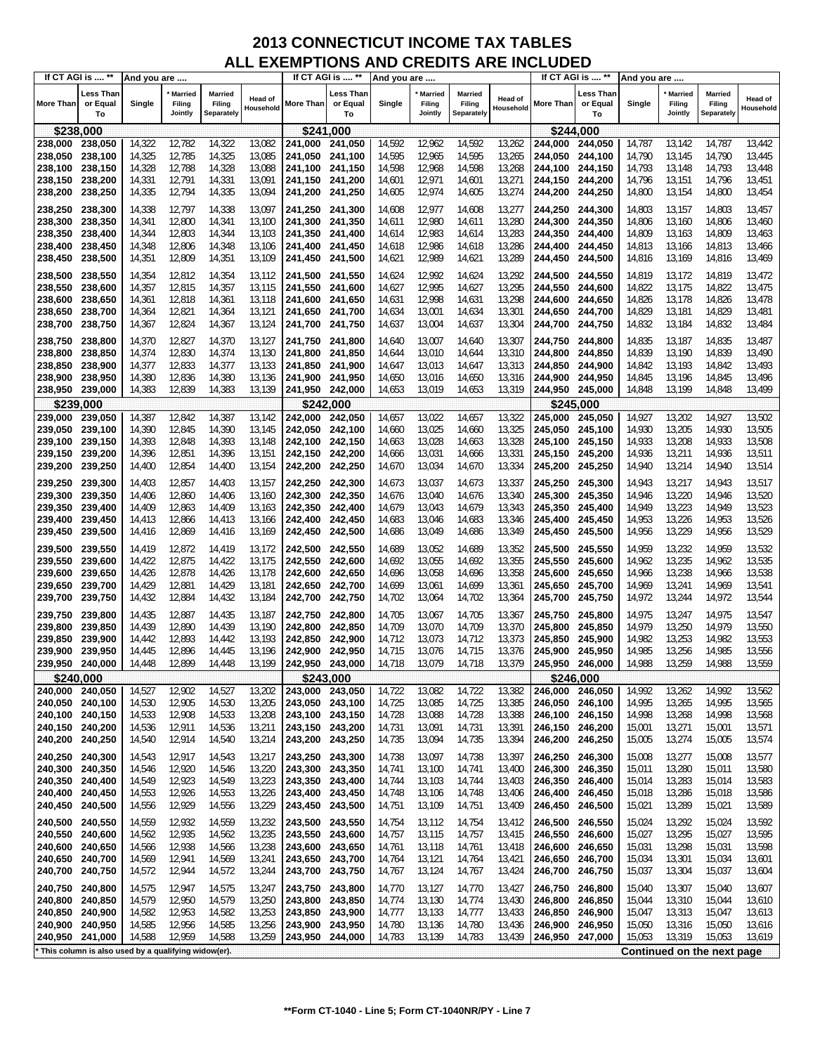|                 | If CT AGI is  **                                    | And you are |                                     |                                 |                      |                                    | If CT AGI is  **            | And you are |                                     |                                 |                             |                    | If CT AGI is  **            | And you are |                                     |                                        |                             |
|-----------------|-----------------------------------------------------|-------------|-------------------------------------|---------------------------------|----------------------|------------------------------------|-----------------------------|-------------|-------------------------------------|---------------------------------|-----------------------------|--------------------|-----------------------------|-------------|-------------------------------------|----------------------------------------|-----------------------------|
| More Than       | Less Than<br>or Equal<br>To                         | Single      | <b>Married</b><br>Filing<br>Jointly | Married<br>Filing<br>Separately | Head of<br>Household | More Than                          | ∟ess Than<br>or Equal<br>To | Single      | <b>Married</b><br>Filing<br>Jointly | Married<br>Filing<br>Separately | <b>Head of</b><br>Household | More Than          | Less Than<br>or Equal<br>То | Single      | <b>Married</b><br>Filing<br>Jointly | <b>Married</b><br>Filing<br>Separately | <b>Head of</b><br>Household |
| \$238,000       |                                                     |             |                                     |                                 |                      |                                    | \$241,000                   |             |                                     |                                 |                             |                    | \$244.000                   |             |                                     |                                        |                             |
| 238,000         | 238,050                                             | 14,322      | 12,782                              | 14,322                          | 13,082               | 241,000                            | 241,050                     | 14,592      | 12,962                              | 14,592                          | 13,262                      | 244,000            | 244,050                     | 14,787      | 13,142                              | 14,787                                 | 13,442                      |
| 238,050         | 238,100                                             | 14,325      | 12,785                              | 14,325                          | 13,085               | 241,050                            | 241.100                     | 14,595      | 12,965                              | 14,595                          | 13,265                      | 244,050            | 244,100                     | 14,790      | 13,145                              | 14,790                                 | 13,445                      |
| 238,100         | 238,150                                             | 14,328      | 12,788                              | 14,328                          | 13,088               | 241,100                            | 241.150                     | 14,598      | 12,968                              | 14,598                          | 13,268                      | 244,100            | 244,150                     | 14,793      | 13,148                              | 14,793                                 | 13,448                      |
| 238,150         | 238,200                                             | 14,331      | 12,791                              | 14,331                          | 13,091               | 241,150 241,200                    |                             | 14,601      | 12,971                              | 14,601                          | 13,271                      | 244,150            | 244,200                     | 14,796      | 13,151                              | 14,796                                 | 13,451                      |
|                 |                                                     | 14,335      | 12,794                              | 14,335                          | 13,094               |                                    |                             |             | 12,974                              | 14,605                          | 13,274                      |                    |                             |             | 13,154                              |                                        | 13,454                      |
| 238,200         | 238,250                                             |             |                                     |                                 |                      | 241,200 241,250                    |                             | 14,605      |                                     |                                 |                             | 244,200            | 244,250                     | 14,800      |                                     | 14,800                                 |                             |
| 238,250         | 238,300                                             | 14,338      | 12,797                              | 14,338                          | 13,097               | 241,250 241,300                    |                             | 14,608      | 12,977                              | 14,608                          | 13,277                      | 244,250            | 244,300                     | 14,803      | 13,157                              | 14,803                                 | 13,457                      |
| 238,300         | 238,350                                             | 14,341      | 12,800                              | 14,341                          | 13,100               | 241,300 241,350                    |                             | 14,611      | 12,980                              | 14,611                          | 13,280                      | 244,300            | 244,350                     | 14,806      | 13,160                              | 14,806                                 | 13,460                      |
| 238,350         | 238,400                                             | 14,344      | 12,803                              | 14,344                          | 13,103               | 241,350 241,400                    |                             | 14,614      | 12,983                              | 14,614                          | 13,283                      | 244,350            | 244,400                     | 14,809      | 13,163                              | 14,809                                 | 13,463                      |
| 238,400         | 238,450                                             | 14,348      | 12,806                              | 14,348                          | 13,106               | 241,400 241,450                    |                             | 14,618      | 12,986                              | 14,618                          | 13,286                      | 244,400            | 244,450                     | 14,813      | 13,166                              | 14,813                                 | 13,466                      |
| 238,450         | 238,500                                             | 14,351      | 12,809                              | 14,351                          | 13,109               | 241,450 241,500                    |                             | 14,621      | 12,989                              | 14,621                          | 13,289                      | 244,450            | 244,500                     | 14,816      | 13,169                              | 14,816                                 | 13,469                      |
| 238,500         | 238,550                                             | 14,354      | 12,812                              | 14,354                          | 13,112               | 241,500 241,550                    |                             | 14,624      | 12,992                              | 14,624                          | 13,292                      | 244,500            | 244,550                     | 14,819      | 13,172                              | 14,819                                 | 13,472                      |
| 238,550         | 238,600                                             | 14,357      | 12,815                              | 14,357                          | 13,115               | 241,550                            | 241,600                     | 14,627      | 12,995                              | 14,627                          | 13,295                      | 244,550            | 244,600                     | 14,822      | 13,175                              | 14,822                                 | 13,475                      |
| 238,600         | 238,650                                             | 14,361      | 12,818                              | 14,361                          | 13,118               | 241,600 241,650                    |                             | 14,631      | 12,998                              | 14,631                          | 13,298                      | 244,600            |                             | 14,826      | 13,178                              | 14,826                                 | 13,478                      |
| 238,650         | 238,700                                             | 14,364      | 12,821                              | 14,364                          | 13,121               |                                    |                             | 14,634      | 13,001                              | 14,634                          | 13,301                      |                    | 244,650                     | 14,829      | 13,181                              | 14,829                                 | 13,481                      |
| 238,700         | 238,750                                             | 14,367      | 12,824                              | 14,367                          | 13,124               | 241,650 241,700<br>241,700 241,750 |                             | 14,637      | 13,004                              | 14,637                          | 13,304                      | 244,650<br>244,700 | 244,700<br>244,750          | 14,832      | 13,184                              | 14,832                                 | 13,484                      |
|                 |                                                     |             |                                     |                                 |                      |                                    |                             |             |                                     |                                 |                             |                    |                             |             |                                     |                                        |                             |
| 238,750         | 238,800                                             | 14,370      | 12,827                              | 14,370                          | 13,127               | 241,750 241,800                    |                             | 14,640      | 13,007                              | 14,640                          | 13,307                      | 244,750            | 244,800                     | 14,835      | 13,187                              | 14,835                                 | 13,487                      |
| 238,800         | 238,850                                             | 14,374      | 12,830                              | 14,374                          | 13,130               | 241,800 241,850                    |                             | 14,644      | 13,010                              | 14,644                          | 13,310                      | 244,800            | 244,850                     | 14,839      | 13,190                              | 14,839                                 | 13,490                      |
| 238,850         | 238,900                                             | 14,377      | 12,833                              | 14,377                          | 13,133               | 241,850 241,900                    |                             | 14,647      | 13,013                              | 14,647                          | 13,313                      | 244,850            | 244,900                     | 14,842      | 13,193                              | 14,842                                 | 13,493                      |
| 238,900         | 238,950                                             | 14,380      | 12,836                              | 14,380                          | 13,136               | 241,900 241,950                    |                             | 14,650      | 13,016                              | 14,650                          | 13,316                      | 244,900            | 244,950                     | 14,845      | 13,196                              | 14,845                                 | 13,496                      |
| 238,950         | 239,000                                             | 14,383      | 12,839                              | 14,383                          | 13,139               | 241,950 242,000                    |                             | 14,653      | 13,019                              | 14,653                          | 13,319                      | 244,950            | 245,000                     | 14,848      | 13,199                              | 14,848                                 | 13,499                      |
|                 | \$239,000                                           |             |                                     |                                 |                      |                                    | \$242,000                   |             |                                     |                                 |                             |                    | \$245,000                   |             |                                     |                                        |                             |
| 239,000         | 239,050                                             | 14,387      | 12,842                              | 14,387                          | 13,142               | 242,000                            | 242,050                     | 14,657      | 13,022                              | 14,657                          | 13,322                      | 245,000            | 245,050                     | 14,927      | 13,202                              | 14,927                                 | 13,502                      |
| 239,050         | 239,100                                             | 14,390      | 12,845                              | 14,390                          | 13,145               | 242,050 242,100                    |                             | 14,660      | 13,025                              | 14,660                          | 13,325                      | 245,050            | 245,100                     | 14,930      | 13,205                              | 14,930                                 | 13,505                      |
| 239,100         | 239,150                                             | 14,393      | 12,848                              | 14,393                          | 13,148               | 242,100 242,150                    |                             | 14,663      | 13,028                              | 14,663                          | 13,328                      | 245,100            | 245,150                     | 14,933      | 13,208                              | 14,933                                 | 13,508                      |
| 239,150         | 239,200                                             | 14,396      | 12,851                              | 14,396                          | 13,151               | 242,150 242,200                    |                             | 14,666      | 13,031                              | 14,666                          | 13,331                      | 245,150            | 245,200                     | 14,936      | 13,211                              | 14,936                                 | 13,511                      |
| 239,200         | 239,250                                             | 14,400      | 12,854                              | 14,400                          | 13,154               | 242,200 242,250                    |                             | 14,670      | 13,034                              | 14,670                          | 13,334                      | 245,200            | 245,250                     | 14,940      | 13,214                              | 14,940                                 | 13,514                      |
| 239,250         | 239,300                                             | 14,403      | 12,857                              | 14,403                          | 13,157               | 242,250 242,300                    |                             | 14,673      | 13,037                              | 14,673                          | 13,337                      | 245,250            | 245,300                     | 14,943      | 13,217                              | 14,943                                 | 13,517                      |
| 239,300         | 239,350                                             | 14,406      | 12,860                              | 14,406                          | 13,160               | 242,300 242,350                    |                             | 14,676      | 13,040                              | 14,676                          | 13,340                      | 245,300            | 245,350                     | 14,946      | 13,220                              | 14,946                                 | 13,520                      |
| 239,350         | 239,400                                             | 14,409      | 12,863                              | 14,409                          | 13,163               | 242,350 242,400                    |                             | 14,679      | 13,043                              | 14,679                          | 13,343                      | 245,350            | 245,400                     | 14,949      | 13,223                              | 14,949                                 | 13,523                      |
| 239,400         | 239,450                                             | 14,413      | 12,866                              | 14,413                          | 13,166               | 242,400 242,450                    |                             | 14,683      | 13,046                              | 14,683                          | 13,346                      | 245,400            | 245,450                     | 14,953      | 13,226                              | 14,953                                 | 13,526                      |
| 239,450         | 239,500                                             | 14,416      | 12,869                              | 14,416                          | 13,169               | 242,450 242,500                    |                             | 14,686      | 13,049                              | 14,686                          | 13,349                      | 245,450            | 245,500                     | 14,956      | 13,229                              | 14,956                                 | 13,529                      |
|                 |                                                     |             |                                     |                                 |                      |                                    |                             |             |                                     |                                 |                             |                    |                             |             |                                     |                                        |                             |
| 239,500         | 239,550                                             | 14,419      | 12,872                              | 14,419                          | 13,172               | 242,500 242,550                    |                             | 14,689      | 13,052                              | 14,689                          | 13,352                      | 245,500            | 245,550                     | 14,959      | 13,232                              | 14,959                                 | 13,532                      |
| 239,550         | 239,600                                             | 14,422      | 12,875                              | 14,422                          | 13,175               | 242,550 242,600                    |                             | 14,692      | 13,055                              | 14,692                          | 13,355                      | 245,550            | 245,600                     | 14,962      | 13,235                              | 14,962                                 | 13,535                      |
| 239,600         | 239,650                                             | 14,426      | 12,878                              | 14,426                          | 13,178               | 242,600 242,650                    |                             | 14,696      | 13,058                              | 14,696                          | 13,358                      | 245,600            | 245,650                     | 14,966      | 13,238                              | 14,966                                 | 13,538                      |
| 239,650         | 239,700                                             | 14,429      | 12,881                              | 14,429                          | 13,181               | 242,650 242,700                    |                             | 14,699      | 13,061                              | 14,699                          | 13,361                      | 245,650            | 245,700                     | 14,969      | 13,241                              | 14,969                                 | 13,541                      |
| 239,700         | 239,750                                             | 14,432      | 12,884                              | 14,432                          | 13,184               | 242,700 242,750                    |                             | 14,702      | 13,064                              | 14,702                          | 13,364                      | 245,700            | 245,750                     | 14,972      | 13,244                              | 14,972                                 | 13,544                      |
| 239,750         | 239,800                                             | 14,435      | 12,887                              | 14,435                          | 13,187               | 242.750 242.800                    |                             | 14,705      | 13,067                              | 14,705                          | 13,367                      | 245,750            | 245,800                     | 14,975      | 13,247                              | 14,975                                 | 13,547                      |
| 239,800         | 239,850                                             | 14,439      | 12,890                              | 14,439                          | 13,190               | 242,800 242,850                    |                             | 14,709      | 13,070                              | 14,709                          | 13,370                      | 245,800            | 245,850                     | 14,979      | 13,250                              | 14,979                                 | 13,550                      |
| 239,850         | 239,900                                             | 14,442      | 12,893                              | 14,442                          | 13,193               | 242,850                            | 242.900                     | 14,712      | 13,073                              | 14,712                          | 13,373                      | 245,850            | 245,900                     | 14,982      | 13,253                              | 14,982                                 | 13,553                      |
| 239,900         | 239,950                                             | 14,445      | 12,896                              | 14,445                          | 13,196               | 242,900                            | 242,950                     | 14,715      | 13,076                              | 14,715                          | 13,376                      | 245,900            | 245,950                     | 14,985      | 13,256                              | 14,985                                 | 13,556                      |
| 239,950         | 240,000                                             | 14,448      | 12,899                              | 14,448                          | 13,199               | 242,950 243,000                    |                             | 14,718      | 13,079                              | 14,718                          | 13,379                      | 245,950            | 246,000                     | 14,988      | 13,259                              | 14,988                                 | 13,559                      |
|                 | \$240,000                                           |             |                                     |                                 |                      |                                    | \$243,000                   |             |                                     |                                 |                             |                    | \$246,000                   |             |                                     |                                        |                             |
| 240,000 240,050 |                                                     | 14,527      | 12,902                              | 14,527                          | 13,202               | 243,000 243,050                    |                             | 14,722      | 13,082                              | 14,722                          | 13,382                      | 246,000 246,050    |                             | 14,992      | 13,262                              | 14,992                                 | 13,562                      |
| 240,050 240,100 |                                                     | 14,530      | 12,905                              | 14,530                          | 13,205               | 243,050 243,100                    |                             | 14,725      | 13,085                              | 14,725                          | 13,385                      | 246,050 246,100    |                             | 14,995      | 13,265                              | 14,995                                 | 13,565                      |
| 240,100 240,150 |                                                     | 14,533      | 12,908                              | 14,533                          | 13,208               | 243,100 243,150                    |                             | 14,728      | 13,088                              | 14,728                          | 13,388                      | 246,100 246,150    |                             | 14,998      | 13,268                              | 14,998                                 | 13,568                      |
| 240,150 240,200 |                                                     | 14,536      | 12,911                              | 14,536                          | 13,211               | 243,150 243,200                    |                             | 14,731      | 13,091                              | 14,731                          | 13,391                      | 246,150 246,200    |                             | 15,001      | 13,271                              | 15,001                                 | 13,571                      |
| 240,200         | 240,250                                             | 14,540      | 12,914                              | 14,540                          | 13,214               | 243,200 243,250                    |                             | 14,735      | 13,094                              | 14,735                          | 13,394                      | 246,200            | 246,250                     | 15,005      | 13,274                              | 15,005                                 | 13,574                      |
|                 |                                                     |             |                                     |                                 |                      |                                    |                             |             |                                     |                                 |                             |                    |                             |             |                                     |                                        |                             |
| 240,250 240,300 |                                                     | 14,543      | 12,917                              | 14,543                          | 13,217               | 243,250 243,300                    |                             | 14,738      | 13,097                              | 14,738                          | 13,397                      | 246,250            | 246,300                     | 15,008      | 13,277                              | 15,008                                 | 13,577                      |
| 240,300         | 240,350                                             | 14,546      | 12,920                              | 14,546                          | 13,220               | 243,300 243,350                    |                             | 14,741      | 13,100                              | 14,741                          | 13,400                      | 246,300            | 246,350                     | 15,011      | 13,280                              | 15,011                                 | 13,580                      |
| 240,350 240,400 |                                                     | 14,549      | 12,923                              | 14,549                          | 13,223               | 243,350 243,400                    |                             | 14,744      | 13,103                              | 14,744                          | 13,403                      | 246,350            | 246,400                     | 15,014      | 13,283                              | 15,014                                 | 13,583                      |
| 240,400         | 240,450                                             | 14,553      | 12,926                              | 14,553                          | 13,226               | 243,400 243,450                    |                             | 14,748      | 13,106                              | 14,748                          | 13,406                      | 246,400            | 246,450                     | 15,018      | 13,286                              | 15,018                                 | 13,586                      |
| 240,450         | 240,500                                             | 14,556      | 12,929                              | 14,556                          | 13,229               | 243,450 243,500                    |                             | 14,751      | 13,109                              | 14,751                          | 13,409                      | 246,450            | 246,500                     | 15,021      | 13,289                              | 15,021                                 | 13,589                      |
| 240,500         | 240,550                                             | 14,559      | 12,932                              | 14,559                          | 13,232               | 243,500 243,550                    |                             | 14,754      | 13,112                              | 14,754                          | 13,412                      | 246,500            | 246,550                     | 15,024      | 13,292                              | 15,024                                 | 13,592                      |
| 240,550         | 240,600                                             | 14,562      | 12,935                              | 14,562                          | 13,235               | 243,550 243,600                    |                             | 14,757      | 13,115                              | 14,757                          | 13,415                      | 246,550            | 246,600                     | 15,027      | 13,295                              | 15,027                                 | 13,595                      |
| 240,600         | 240,650                                             | 14,566      | 12,938                              | 14,566                          | 13,238               | 243,600 243,650                    |                             | 14,761      | 13,118                              | 14,761                          | 13,418                      | 246,600            | 246,650                     | 15,031      | 13,298                              | 15,031                                 | 13,598                      |
| 240,650         | 240,700                                             | 14,569      | 12,941                              | 14,569                          | 13,241               | 243,650 243,700                    |                             | 14,764      | 13,121                              | 14,764                          | 13,421                      | 246,650            | 246,700                     | 15,034      | 13,301                              | 15,034                                 | 13,601                      |
| 240,700         | 240,750                                             | 14,572      | 12,944                              | 14,572                          | 13,244               | 243,700 243,750                    |                             | 14,767      | 13,124                              | 14,767                          | 13,424                      | 246,700            | 246,750                     | 15,037      | 13,304                              | 15,037                                 | 13,604                      |
| 240,750 240,800 |                                                     | 14,575      | 12,947                              | 14,575                          | 13,247               | 243,750 243,800                    |                             | 14,770      | 13,127                              | 14,770                          | 13,427                      | 246,750            | 246,800                     | 15,040      | 13,307                              | 15,040                                 | 13,607                      |
| 240,800 240,850 |                                                     | 14,579      | 12,950                              | 14,579                          | 13,250               | 243,800 243,850                    |                             | 14,774      | 13,130                              | 14,774                          | 13,430                      | 246,800            | 246,850                     | 15,044      | 13,310                              | 15,044                                 | 13,610                      |
| 240,850         | 240,900                                             | 14,582      | 12,953                              | 14,582                          | 13,253               | 243,850 243,900                    |                             | 14,777      | 13,133                              | 14,777                          | 13,433                      | 246,850            | 246,900                     | 15,047      | 13,313                              | 15,047                                 | 13,613                      |
| 240,900 240,950 |                                                     | 14,585      | 12,956                              | 14,585                          | 13,256               | 243,900 243,950                    |                             | 14,780      | 13,136                              | 14,780                          | 13,436                      | 246,900            | 246,950                     | 15,050      | 13,316                              | 15,050                                 | 13,616                      |
| 240,950 241,000 |                                                     | 14,588      | 12,959                              | 14,588                          | 13,259               | 243,950 244,000                    |                             | 14,783      | 13,139                              | 14,783                          | 13,439                      | 246,950            | 247,000                     | 15,053      | 13,319                              | 15,053                                 | 13,619                      |
|                 |                                                     |             |                                     |                                 |                      |                                    |                             |             |                                     |                                 |                             |                    |                             |             |                                     |                                        |                             |
|                 | This column is also used by a qualifying widow(er). |             |                                     |                                 |                      |                                    |                             |             |                                     |                                 |                             |                    |                             |             |                                     | Continued on the next page             |                             |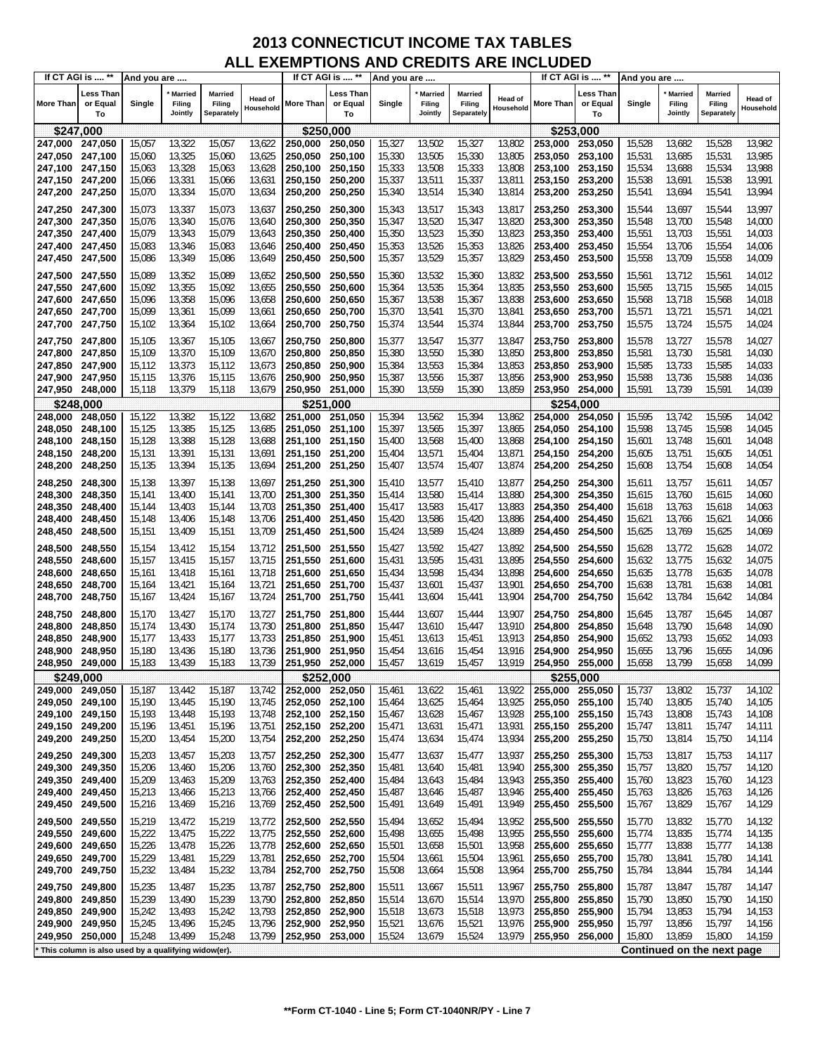|                            | If CT AGI is  **                                    | And you are      |                                     |                                 |                             |                                    | If CT AGI is  **            | And you are      |                                     |                                 |                      |                    | If CT AGI is  **            | And you are      |                                     |                                        |                             |
|----------------------------|-----------------------------------------------------|------------------|-------------------------------------|---------------------------------|-----------------------------|------------------------------------|-----------------------------|------------------|-------------------------------------|---------------------------------|----------------------|--------------------|-----------------------------|------------------|-------------------------------------|----------------------------------------|-----------------------------|
| <b>More Than</b>           | Less Than<br>or Equal<br>To                         | Single           | <b>Married</b><br>Filing<br>Jointly | Married<br>Filing<br>Separately | <b>Head of</b><br>Household | More Than                          | Less Than<br>or Equal<br>To | Single           | <b>Married</b><br>Filing<br>Jointly | Married<br>Filing<br>Separately | Head of<br>Household | <b>More Than</b>   | Less Than<br>or Equal<br>To | Single           | <b>Married</b><br>Filing<br>Jointly | <b>Married</b><br>Filing<br>Separately | <b>Head of</b><br>Household |
| \$247,000                  |                                                     |                  |                                     |                                 |                             | \$250,000                          |                             |                  |                                     |                                 |                      |                    | \$253,000                   |                  |                                     |                                        |                             |
| 247,000                    | 247,050                                             | 15,057           | 13,322                              | 15,057                          | 13,622                      | 250,000                            | 250,050                     | 15,327           | 13,502                              | 15,327                          | 13,802               | 253,000            | 253,050                     | 15,528           | 13,682                              | 15,528                                 | 13,982                      |
| 247,050                    | 247,100                                             | 15,060           | 13,325                              | 15,060                          | 13,625                      | 250,050                            | 250,100                     | 15,330           | 13,505                              | 15,330                          | 13,805               | 253,050            | 253,100                     | 15,531           | 13,685                              | 15,531                                 | 13,985                      |
| 247,100                    | 247,150                                             | 15,063           | 13,328                              | 15,063                          | 13,628                      | 250,100                            | 250,150                     | 15,333           | 13,508                              | 15,333                          | 13,808               | 253,100            | 253,150                     | 15,534           | 13,688                              | 15,534                                 | 13,988                      |
| 247,150                    | 247,200                                             | 15,066           | 13,331                              | 15,066                          | 13,631                      | 250,150                            | 250,200                     | 15,337           | 13,511                              | 15,337                          | 13,811               | 253,150            | 253,200                     | 15,538           | 13,691                              | 15,538                                 | 13,991                      |
| 247,200                    | 247,250                                             | 15,070           | 13,334                              | 15,070                          | 13,634                      | 250,200                            | 250,250                     | 15,340           | 13,514                              | 15,340                          | 13,814               | 253,200            | 253,250                     | 15,541           | 13,694                              | 15,541                                 | 13,994                      |
| 247,250 247,300            |                                                     | 15,073           | 13,337                              | 15,073                          | 13,637                      | 250,250                            | 250,300                     | 15,343           | 13,517                              | 15,343                          | 13,817               | 253,250            | 253,300                     | 15,544           | 13,697                              | 15,544                                 | 13,997                      |
| 247,300                    | 247,350                                             | 15,076           | 13,340                              | 15,076                          | 13,640                      | 250,300                            | 250,350                     | 15,347           | 13,520                              | 15,347                          | 13,820               | 253,300            | 253,350                     | 15,548           | 13,700                              | 15,548                                 | 14,000                      |
| 247,350                    | 247,400<br>247,450                                  | 15,079<br>15,083 | 13,343<br>13,346                    | 15,079<br>15,083                | 13,643<br>13,646            | 250,350                            | 250,400<br>250,450          | 15,350<br>15,353 | 13,523<br>13,526                    | 15,350<br>15,353                | 13,823<br>13,826     | 253,350            | 253,400<br>253,450          | 15,551<br>15,554 | 13,703<br>13,706                    | 15,551<br>15,554                       | 14,003<br>14,006            |
| 247,400<br>247,450         | 247,500                                             | 15,086           | 13,349                              | 15,086                          | 13,649                      | 250,400<br>250,450                 | 250,500                     | 15,357           | 13,529                              | 15,357                          | 13,829               | 253,400<br>253,450 | 253,500                     | 15,558           | 13,709                              | 15,558                                 | 14,009                      |
|                            |                                                     |                  |                                     |                                 |                             |                                    |                             |                  |                                     |                                 |                      |                    |                             |                  |                                     |                                        |                             |
| 247,500 247,550            |                                                     | 15,089           | 13,352                              | 15,089                          | 13,652                      | 250,500                            | 250,550                     | 15,360           | 13,532                              | 15,360                          | 13,832               | 253,500            | 253,550                     | 15,561           | 13,712                              | 15,561                                 | 14,012                      |
| 247,550<br>247,600         | 247,600<br>247,650                                  | 15,092<br>15,096 | 13,355<br>13,358                    | 15,092<br>15,096                | 13,655<br>13,658            | 250,550<br>250,600                 | 250,600<br>250,650          | 15,364<br>15,367 | 13,535<br>13,538                    | 15,364<br>15,367                | 13,835<br>13,838     | 253,550<br>253,600 | 253,600<br>253,650          | 15,565<br>15,568 | 13,715<br>13,718                    | 15,565<br>15,568                       | 14,015<br>14,018            |
| 247,650                    | 247,700                                             | 15,099           | 13,361                              | 15,099                          | 13,661                      | 250,650                            | 250,700                     | 15,370           | 13,541                              | 15,370                          | 13,841               | 253,650            | 253,700                     | 15,571           | 13,721                              | 15,571                                 | 14,021                      |
| 247,700                    | 247,750                                             | 15,102           | 13,364                              | 15,102                          | 13,664                      | 250,700                            | 250,750                     | 15,374           | 13,544                              | 15,374                          | 13,844               | 253,700            | 253,750                     | 15,575           | 13,724                              | 15,575                                 | 14,024                      |
| 247,750                    | 247,800                                             | 15,105           | 13,367                              | 15,105                          | 13,667                      | 250,750                            | 250,800                     | 15,377           | 13,547                              | 15,377                          | 13,847               | 253,750            | 253,800                     | 15,578           | 13,727                              | 15,578                                 | 14,027                      |
| 247,800                    | 247,850                                             | 15,109           | 13,370                              | 15,109                          | 13,670                      | 250,800                            | 250,850                     | 15,380           | 13,550                              | 15,380                          | 13,850               | 253,800            | 253,850                     | 15,581           | 13,730                              | 15,581                                 | 14,030                      |
| 247,850                    | 247,900                                             | 15,112           | 13,373                              | 15,112                          | 13,673                      | 250,850                            | 250,900                     | 15,384           | 13,553                              | 15,384                          | 13,853               | 253,850            | 253,900                     | 15,585           | 13,733                              | 15,585                                 | 14,033                      |
| 247,900                    | 247,950                                             | 15,115           | 13,376                              | 15,115                          | 13,676                      | 250,900                            | 250,950                     | 15,387           | 13,556                              | 15,387                          | 13,856               | 253,900            | 253,950                     | 15,588           | 13,736                              | 15,588                                 | 14,036                      |
| 247,950                    | 248,000                                             | 15,118           | 13,379                              | 15,118                          | 13,679                      | 250,950                            | 251,000                     | 15,390           | 13,559                              | 15,390                          | 13,859               | 253,950            | 254,000                     | 15,591           | 13,739                              | 15,591                                 | 14,039                      |
|                            | \$248.000                                           |                  |                                     |                                 |                             |                                    | \$251.000                   |                  |                                     |                                 |                      |                    | \$254,000                   |                  |                                     |                                        |                             |
| 248,000                    | 248,050                                             | 15,122           | 13,382                              | 15,122                          | 13,682                      | 251,000                            | 251,050                     | 15,394           | 13,562                              | 15,394                          | 13,862               | 254,000            | 254,050                     | 15,595           | 13,742                              | 15,595                                 | 14,042                      |
| 248,050                    | 248,100<br>248,150                                  | 15,125           | 13,385                              | 15,125                          | 13,685                      | 251,050                            | 251,100                     | 15,397           | 13,565                              | 15,397                          | 13,865               | 254,050            | 254,100                     | 15,598           | 13,745                              | 15,598                                 | 14,045                      |
| 248,100<br>248,150         | 248,200                                             | 15,128<br>15,131 | 13,388<br>13,391                    | 15,128<br>15,131                | 13,688<br>13,691            | 251,100<br>251,150 251,200         | 251,150                     | 15,400<br>15,404 | 13,568<br>13,571                    | 15,400<br>15,404                | 13,868<br>13,871     | 254,100<br>254,150 | 254,150<br>254,200          | 15,601<br>15,605 | 13,748<br>13,751                    | 15,601<br>15,605                       | 14,048<br>14,051            |
| 248,200                    | 248,250                                             | 15,135           | 13,394                              | 15,135                          | 13,694                      | 251,200                            | 251,250                     | 15,407           | 13,574                              | 15,407                          | 13,874               | 254,200            | 254,250                     | 15,608           | 13,754                              | 15,608                                 | 14,054                      |
| 248,250                    |                                                     | 15,138           | 13,397                              | 15,138                          | 13,697                      |                                    |                             | 15,410           | 13,577                              | 15,410                          | 13,877               | 254,250            | 254,300                     | 15,611           | 13,757                              | 15,611                                 | 14,057                      |
| 248,300                    | 248,300<br>248,350                                  | 15,141           | 13,400                              | 15,141                          | 13,700                      | 251,250 251,300<br>251,300 251,350 |                             | 15,414           | 13,580                              | 15,414                          | 13,880               | 254,300            | 254,350                     | 15,615           | 13,760                              | 15,615                                 | 14,060                      |
| 248,350                    | 248,400                                             | 15,144           | 13,403                              | 15,144                          | 13,703                      | 251,350                            | 251,400                     | 15,417           | 13,583                              | 15,417                          | 13,883               | 254,350            | 254,400                     | 15,618           | 13,763                              | 15,618                                 | 14,063                      |
| 248,400                    | 248,450                                             | 15,148           | 13,406                              | 15,148                          | 13,706                      | 251,400                            | 251,450                     | 15,420           | 13,586                              | 15,420                          | 13,886               | 254,400            | 254,450                     | 15,621           | 13,766                              | 15,621                                 | 14,066                      |
| 248,450                    | 248,500                                             | 15,151           | 13,409                              | 15,151                          | 13,709                      | 251,450                            | 251,500                     | 15,424           | 13,589                              | 15,424                          | 13,889               | 254,450            | 254,500                     | 15,625           | 13,769                              | 15,625                                 | 14,069                      |
| 248,500                    | 248,550                                             | 15,154           | 13,412                              | 15,154                          | 13,712                      | 251,500 251,550                    |                             | 15,427           | 13,592                              | 15,427                          | 13,892               | 254,500            | 254,550                     | 15,628           | 13,772                              | 15,628                                 | 14,072                      |
| 248,550                    | 248,600                                             | 15,157           | 13,415                              | 15,157                          | 13,715                      | 251,550                            | 251,600                     | 15,431           | 13,595                              | 15,431                          | 13,895               | 254,550            | 254,600                     | 15,632           | 13,775                              | 15,632                                 | 14,075                      |
| 248,600                    | 248,650                                             | 15,161           | 13,418                              | 15,161                          | 13,718                      | 251,600 251,650                    |                             | 15,434           | 13,598                              | 15,434                          | 13,898               | 254,600            | 254,650                     | 15,635           | 13,778                              | 15,635                                 | 14,078                      |
| 248,650                    | 248,700                                             | 15,164           | 13,421                              | 15,164                          | 13,721                      | 251,650                            | 251,700                     | 15,437           | 13,601                              | 15,437                          | 13,901               | 254,650            | 254,700                     | 15,638           | 13,781                              | 15,638                                 | 14,081                      |
| 248,700                    | 248,750                                             | 15,167           | 13,424                              | 15,167                          | 13,724                      | 251,700                            | 251,750                     | 15,441           | 13,604                              | 15,441                          | 13,904               | 254,700            | 254,750                     | 15,642           | 13,784                              | 15,642                                 | 14,084                      |
| 248,750                    | 248,800                                             | 15,170           | 13,427                              | 15,170                          | 13,727                      | 251,750                            | 251,800                     | 15,444           | 13,607                              | 15,444                          | 13,907               | 254,750            | 254,800                     | 15,645           | 13,787                              | 15,645                                 | 14,087                      |
| 248,800                    | 248,850                                             | 15,174           | 13,430                              | 15,174                          | 13,730                      | 251,800                            | 251,850                     | 15,447           | 13,610                              | 15,447                          | 13,910               | 254,800            | 254,850                     | 15,648           | 13,790                              | 15,648                                 | 14,090                      |
| 248,850                    | 248,900                                             | 15,177           | 13,433                              | 15,177                          | 13,733                      | 251,850                            | 251,900                     | 15,451           | 13,613                              | 15,451                          | 13,913               | 254,850            | 254,900                     | 15,652           | 13,793                              | 15,652                                 | 14,093                      |
| 248,900<br>248,950 249,000 | 248,950                                             | 15,180<br>15,183 | 13,436<br>13,439                    | 15,180<br>15,183                | 13,736<br>13,739            | 251,900<br>251,950 252,000         | 251,950                     | 15,454<br>15,457 | 13,616<br>13,619                    | 15,454<br>15,457                | 13,916<br>13,919     | 254,900<br>254,950 | 254,950<br>255,000          | 15,655<br>15,658 | 13,796<br>13,799                    | 15,655<br>15,658                       | 14,096<br>14,099            |
|                            | \$249,000                                           |                  |                                     |                                 |                             |                                    | \$252,000                   |                  |                                     |                                 |                      |                    | \$255,000                   |                  |                                     |                                        |                             |
| 249,000 249,050            |                                                     | 15,187           | 13,442                              | 15,187                          | 13,742                      | 252,000 252,050                    |                             | 15,461           | 13,622                              | 15,461                          | 13,922               | 255,000            | 255,050                     | 15,737           | 13,802                              | 15,737                                 | 14,102                      |
| 249,050 249,100            |                                                     | 15,190           | 13,445                              | 15,190                          | 13,745                      | 252,050 252,100                    |                             | 15,464           | 13,625                              | 15,464                          | 13,925               | 255,050 255,100    |                             | 15,740           | 13,805                              | 15,740                                 | 14,105                      |
| 249,100 249,150            |                                                     | 15,193           | 13,448                              | 15,193                          | 13,748                      | 252,100 252,150                    |                             | 15,467           | 13,628                              | 15,467                          | 13,928               | 255,100            | 255,150                     | 15,743           | 13,808                              | 15,743                                 | 14,108                      |
| 249,150 249,200            |                                                     | 15,196           | 13,451                              | 15,196                          | 13,751                      | 252,150 252,200                    |                             | 15,471           | 13,631                              | 15,471                          | 13,931               | 255,150            | 255,200                     | 15,747           | 13,811                              | 15,747                                 | 14,111                      |
| 249,200                    | 249,250                                             | 15,200           | 13,454                              | 15,200                          | 13,754                      | 252,200 252,250                    |                             | 15,474           | 13,634                              | 15,474                          | 13,934               | 255,200            | 255,250                     | 15,750           | 13,814                              | 15,750                                 | 14,114                      |
| 249,250                    | 249,300                                             | 15,203           | 13,457                              | 15,203                          | 13,757                      | 252,250 252,300                    |                             | 15,477           | 13,637                              | 15,477                          | 13,937               | 255,250            | 255,300                     | 15,753           | 13,817                              | 15,753                                 | 14,117                      |
| 249,300                    | 249,350                                             | 15,206           | 13,460                              | 15,206                          | 13,760                      | 252,300 252,350                    |                             | 15,481           | 13,640                              | 15,481                          | 13,940               | 255,300            | 255,350                     | 15,757           | 13,820                              | 15,757                                 | 14,120                      |
| 249,350                    | 249,400                                             | 15,209           | 13,463                              | 15,209                          | 13,763                      | 252,350 252,400                    |                             | 15,484           | 13,643                              | 15,484                          | 13,943               | 255,350            | 255,400                     | 15,760           | 13,823                              | 15,760                                 | 14,123                      |
| 249,400<br>249,450         | 249,450<br>249,500                                  | 15,213<br>15,216 | 13,466<br>13,469                    | 15,213<br>15,216                | 13,766<br>13,769            | 252,400 252,450<br>252,450 252,500 |                             | 15,487<br>15,491 | 13,646<br>13,649                    | 15,487<br>15,491                | 13,946<br>13,949     | 255,400<br>255,450 | 255,450<br>255,500          | 15,763<br>15,767 | 13,826<br>13,829                    | 15,763<br>15,767                       | 14,126<br>14,129            |
|                            |                                                     |                  |                                     |                                 |                             |                                    |                             |                  |                                     |                                 |                      |                    |                             |                  |                                     |                                        |                             |
| 249,500 249,550<br>249,550 | 249,600                                             | 15,219<br>15,222 | 13,472<br>13,475                    | 15,219<br>15,222                | 13,772<br>13,775            | 252,500 252,550<br>252,550 252,600 |                             | 15,494<br>15,498 | 13,652<br>13,655                    | 15,494<br>15,498                | 13,952<br>13,955     | 255,500<br>255,550 | 255,550<br>255,600          | 15,770<br>15,774 | 13,832<br>13,835                    | 15,770<br>15,774                       | 14,132<br>14,135            |
| 249,600                    | 249,650                                             | 15,226           | 13,478                              | 15,226                          | 13,778                      | 252,600 252,650                    |                             | 15,501           | 13,658                              | 15,501                          | 13,958               | 255,600            | 255,650                     | 15,777           | 13,838                              | 15,777                                 | 14,138                      |
| 249,650                    | 249,700                                             | 15,229           | 13,481                              | 15,229                          | 13,781                      | 252,650                            | 252,700                     | 15,504           | 13,661                              | 15,504                          | 13,961               | 255,650            | 255,700                     | 15,780           | 13,841                              | 15,780                                 | 14,141                      |
| 249,700                    | 249,750                                             | 15,232           | 13,484                              | 15,232                          | 13,784                      | 252,700 252,750                    |                             | 15,508           | 13,664                              | 15,508                          | 13,964               | 255,700            | 255,750                     | 15,784           | 13,844                              | 15,784                                 | 14,144                      |
| 249,750 249,800            |                                                     | 15,235           | 13,487                              | 15,235                          | 13,787                      | 252,750 252,800                    |                             | 15,511           | 13,667                              | 15,511                          | 13,967               | 255,750            | 255,800                     | 15,787           | 13,847                              | 15,787                                 | 14,147                      |
| 249,800                    | 249,850                                             | 15,239           | 13,490                              | 15,239                          | 13,790                      | 252,800 252,850                    |                             | 15,514           | 13,670                              | 15,514                          | 13,970               | 255,800            | 255,850                     | 15,790           | 13,850                              | 15,790                                 | 14,150                      |
| 249,850                    | 249,900                                             | 15,242           | 13,493                              | 15,242                          | 13,793                      | 252,850 252,900                    |                             | 15,518           | 13,673                              | 15,518                          | 13,973               | 255,850            | 255,900                     | 15,794           | 13,853                              | 15,794                                 | 14,153                      |
| 249,900 249,950            |                                                     | 15,245           | 13,496                              | 15,245                          | 13,796                      | 252,900 252,950                    |                             | 15,521           | 13,676                              | 15,521                          | 13,976               | 255,900            | 255,950                     | 15,797           | 13,856                              | 15,797                                 | 14,156                      |
| 249,950                    | 250,000                                             | 15,248           | 13,499                              | 15,248                          | 13,799                      | 252,950 253,000                    |                             | 15,524           | 13,679                              | 15,524                          | 13,979               | 255,950            | 256,000                     | 15,800           | 13,859                              | 15,800                                 | 14,159                      |
|                            | This column is also used by a qualifying widow(er). |                  |                                     |                                 |                             |                                    |                             |                  |                                     |                                 |                      |                    |                             |                  |                                     | Continued on the next page             |                             |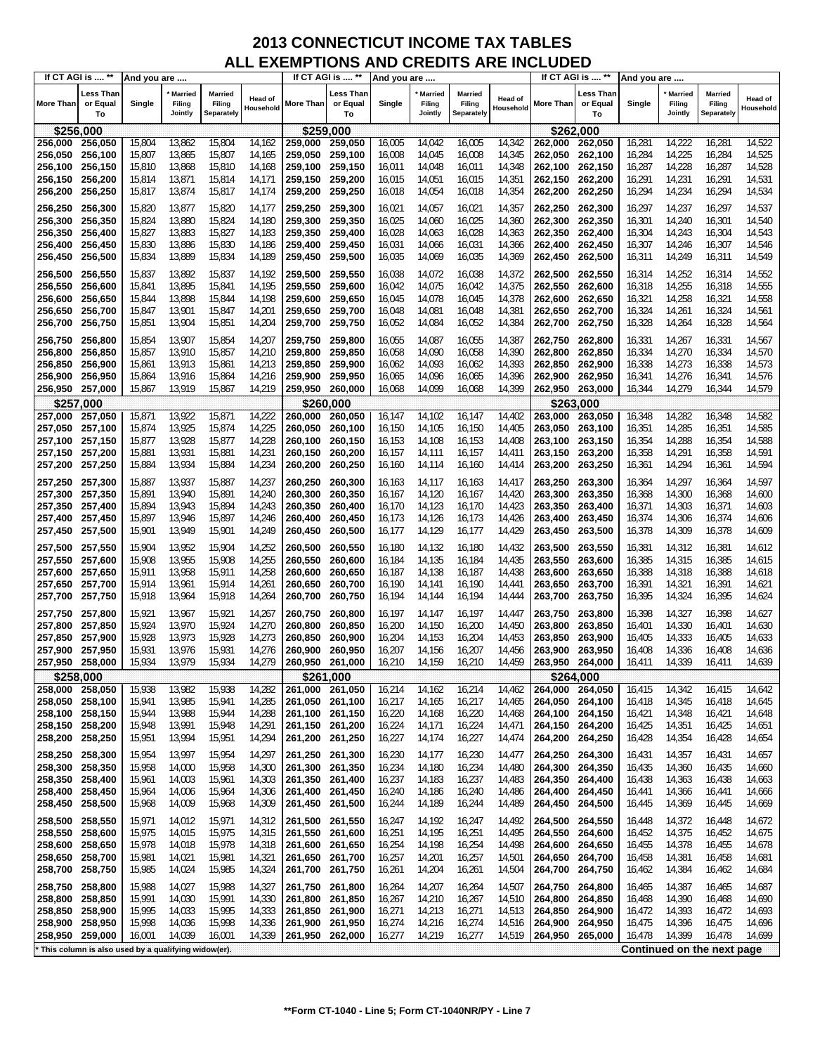| If CT AGI is  **   |                                                     | And you are      |                                     |                                 |                             |                                    | If CT AGI is  **            | And you are      |                                     |                                 |                             |                    | If CT AGI is  **            | And you are      |                                     |                                        |                             |
|--------------------|-----------------------------------------------------|------------------|-------------------------------------|---------------------------------|-----------------------------|------------------------------------|-----------------------------|------------------|-------------------------------------|---------------------------------|-----------------------------|--------------------|-----------------------------|------------------|-------------------------------------|----------------------------------------|-----------------------------|
| <b>More Than</b>   | Less Than<br>or Equal<br>To                         | Single           | <b>Married</b><br>Filing<br>Jointly | Married<br>Filing<br>Separately | <b>Head of</b><br>Household | More Than                          | Less Than<br>or Equal<br>To | Single           | <b>Married</b><br>Filing<br>Jointly | Married<br>Filing<br>Separately | <b>Head of</b><br>Household | More Than          | Less Than<br>or Equal<br>To | Single           | <b>Married</b><br>Filing<br>Jointly | <b>Married</b><br>Filing<br>Separately | <b>Head of</b><br>Household |
| \$256,000          |                                                     |                  |                                     |                                 |                             | \$259,000                          |                             |                  |                                     |                                 |                             |                    | \$262,000                   |                  |                                     |                                        |                             |
| 256,000            | 256,050                                             | 15,804           | 13,862                              | 15,804                          | 14,162                      | 259,000                            | 259,050                     | 16,005           | 14,042                              | 16,005                          | 14,342                      | 262,000            | 262,050                     | 16,281           | 14,222                              | 16,281                                 | 14,522                      |
| 256,050            | 256,100                                             | 15,807           | 13,865                              | 15,807                          | 14,165                      | 259,050                            | 259,100                     | 16,008           | 14,045                              | 16,008                          | 14,345                      | 262,050            | 262,100                     | 16,284           | 14,225                              | 16,284                                 | 14,525                      |
| 256,100            | 256,150                                             | 15,810           | 13,868                              | 15,810                          | 14,168                      | 259,100 259,150                    |                             | 16,011           | 14,048                              | 16,011                          | 14,348                      | 262,100            | 262,150                     | 16,287           | 14,228                              | 16,287                                 | 14,528                      |
| 256,150            | 256,200                                             | 15,814           | 13,871                              | 15,814                          | 14,171                      | 259,150 259,200                    |                             | 16,015           | 14,051                              | 16,015                          | 14,351                      | 262,150            | 262,200                     | 16,291           | 14,231                              | 16,291                                 | 14,531                      |
| 256,200            | 256,250                                             | 15,817           | 13,874                              | 15,817                          | 14,174                      | 259,200                            | 259,250                     | 16,018           | 14,054                              | 16,018                          | 14,354                      | 262,200            | 262,250                     | 16,294           | 14,234                              | 16,294                                 | 14,534                      |
| 256,250            | 256,300                                             | 15,820           | 13,877                              | 15,820                          | 14,177                      | 259,250                            | 259,300                     | 16,021           | 14,057                              | 16,021                          | 14,357                      | 262,250            | 262,300                     | 16,297           | 14,237                              | 16,297                                 | 14,537                      |
| 256,300            | 256,350                                             | 15,824           | 13,880                              | 15,824                          | 14,180                      | 259,300                            | 259,350                     | 16,025           | 14,060                              | 16,025                          | 14,360                      | 262,300            | 262,350                     | 16,301           | 14,240                              | 16,301                                 | 14,540                      |
| 256,350            | 256,400                                             | 15,827           | 13,883                              | 15,827                          | 14,183                      | 259,350                            | 259,400                     | 16,028           | 14,063                              | 16,028                          | 14,363                      | 262,350            | 262,400                     | 16,304           | 14,243                              | 16,304                                 | 14,543                      |
| 256,400            | 256,450                                             | 15,830           | 13,886                              | 15,830                          | 14,186                      | 259,400 259,450                    |                             | 16,031           | 14,066                              | 16,031                          | 14,366                      | 262,400            | 262,450                     | 16,307           | 14,246                              | 16,307                                 | 14,546                      |
| 256,450            | 256,500                                             | 15,834           | 13,889                              | 15,834                          | 14,189                      | 259,450 259,500                    |                             | 16,035           | 14,069                              | 16,035                          | 14,369                      | 262,450            | 262,500                     | 16,311           | 14,249                              | 16,311                                 | 14,549                      |
| 256,500            | 256,550                                             | 15,837           | 13,892                              | 15,837                          | 14,192                      | 259,500                            | 259,550                     | 16,038           | 14,072                              | 16,038                          | 14,372                      | 262,500            | 262,550                     | 16,314           | 14,252                              | 16,314                                 | 14,552                      |
| 256,550            | 256,600                                             | 15,841           | 13,895                              | 15,841                          | 14,195                      | 259,550                            | 259,600                     | 16,042           | 14,075                              | 16,042                          | 14,375                      | 262,550            | 262,600                     | 16,318           | 14,255                              | 16,318                                 | 14,555                      |
| 256,600            | 256,650                                             | 15,844           | 13,898                              | 15,844                          | 14,198                      | 259,600                            | 259,650                     | 16,045           | 14,078                              | 16,045                          | 14,378                      | 262,600            | 262,650                     | 16,321           | 14,258                              | 16,321                                 | 14,558                      |
| 256,650            | 256,700<br>256,750                                  | 15,847           | 13,901<br>13,904                    | 15,847<br>15,851                | 14,201<br>14,204            | 259,650 259,700<br>259,700         | 259,750                     | 16,048<br>16,052 | 14,081<br>14,084                    | 16,048<br>16,052                | 14,381                      | 262,650            | 262,700<br>262,750          | 16,324<br>16,328 | 14,261                              | 16,324<br>16,328                       | 14,561                      |
| 256,700            |                                                     | 15,851           |                                     |                                 |                             |                                    |                             |                  |                                     |                                 | 14,384                      | 262,700            |                             |                  | 14,264                              |                                        | 14,564                      |
| 256,750            | 256,800                                             | 15,854           | 13,907                              | 15,854                          | 14,207                      | 259,750                            | 259,800                     | 16,055           | 14,087                              | 16,055                          | 14,387                      | 262,750            | 262,800                     | 16,331           | 14,267                              | 16,331                                 | 14,567                      |
| 256,800            | 256,850                                             | 15,857           | 13,910                              | 15,857                          | 14,210                      | 259,800                            | 259,850                     | 16,058           | 14,090                              | 16,058                          | 14,390                      | 262,800            | 262,850                     | 16,334           | 14,270                              | 16,334                                 | 14,570                      |
| 256,850<br>256,900 | 256,900<br>256,950                                  | 15,861<br>15,864 | 13,913<br>13,916                    | 15,861<br>15,864                | 14,213<br>14,216            | 259,850<br>259,900                 | 259,900<br>259,950          | 16,062<br>16,065 | 14,093<br>14,096                    | 16,062<br>16,065                | 14,393<br>14,396            | 262,850<br>262,900 | 262,900<br>262,950          | 16,338<br>16,341 | 14,273<br>14,276                    | 16,338<br>16,341                       | 14,573<br>14,576            |
| 256,950            | 257,000                                             | 15,867           | 13,919                              | 15,867                          | 14,219                      | 259,950 260,000                    |                             | 16,068           | 14,099                              | 16,068                          | 14,399                      | 262,950            | 263,000                     | 16,344           | 14,279                              | 16,344                                 | 14,579                      |
|                    | \$257.000                                           |                  |                                     |                                 |                             |                                    | \$260.000                   |                  |                                     |                                 |                             |                    | \$263.000                   |                  |                                     |                                        |                             |
| 257,000            | 257,050                                             | 15,871           | 13,922                              | 15,871                          | 14,222                      | 260,000                            | 260,050                     | 16,147           | 14,102                              | 16,147                          | 14,402                      | 263,000            | 263,050                     | 16,348           | 14,282                              | 16,348                                 | 14,582                      |
| 257,050            | 257,100                                             | 15,874           | 13,925                              | 15,874                          | 14,225                      | 260,050                            | 260,100                     | 16,150           | 14,105                              | 16,150                          | 14,405                      | 263,050            | 263,100                     | 16,351           | 14,285                              | 16,351                                 | 14,585                      |
| 257,100            | 257,150                                             | 15,877           | 13,928                              | 15,877                          | 14,228                      | 260,100                            | 260,150                     | 16,153           | 14,108                              | 16,153                          | 14,408                      | 263,100            | 263,150                     | 16,354           | 14,288                              | 16,354                                 | 14,588                      |
| 257,150 257,200    |                                                     | 15,881           | 13,931                              | 15,881                          | 14,231                      | 260,150 260,200                    |                             | 16,157           | 14,111                              | 16,157                          | 14,411                      | 263,150            | 263,200                     | 16,358           | 14,291                              | 16,358                                 | 14,591                      |
| 257,200 257,250    |                                                     | 15,884           | 13,934                              | 15,884                          | 14,234                      | 260,200                            | 260,250                     | 16,160           | 14,114                              | 16,160                          | 14,414                      | 263,200            | 263,250                     | 16,361           | 14,294                              | 16,361                                 | 14,594                      |
| 257,250 257,300    |                                                     | 15,887           | 13,937                              | 15,887                          | 14,237                      | 260,250                            | 260,300                     | 16,163           | 14,117                              | 16,163                          | 14,417                      | 263,250            | 263,300                     | 16,364           | 14,297                              | 16,364                                 | 14,597                      |
| 257,300            | 257,350                                             | 15,891           | 13,940                              | 15,891                          | 14,240                      | 260,300                            | 260,350                     | 16,167           | 14,120                              | 16,167                          | 14,420                      | 263,300            | 263,350                     | 16,368           | 14,300                              | 16,368                                 | 14,600                      |
| 257,350            | 257,400                                             | 15,894           | 13,943                              | 15,894                          | 14,243                      | 260,350                            | 260,400                     | 16,170           | 14,123                              | 16,170                          | 14,423                      | 263,350            | 263,400                     | 16,371           | 14,303                              | 16,371                                 | 14,603                      |
| 257,400            | 257,450                                             | 15,897           | 13,946                              | 15,897                          | 14,246                      | 260,400                            | 260,450                     | 16,173           | 14,126                              | 16,173                          | 14,426                      | 263,400            | 263,450                     | 16,374           | 14,306                              | 16,374                                 | 14,606                      |
| 257,450 257,500    |                                                     | 15,901           | 13,949                              | 15,901                          | 14,249                      | 260,450                            | 260,500                     | 16,177           | 14,129                              | 16,177                          | 14,429                      | 263,450            | 263,500                     | 16,378           | 14,309                              | 16,378                                 | 14,609                      |
| 257,500 257,550    |                                                     | 15,904           | 13,952                              | 15,904                          | 14,252                      | 260,500                            | 260,550                     | 16,180           | 14,132                              | 16,180                          | 14,432                      | 263,500            | 263,550                     | 16,381           | 14,312                              | 16,381                                 | 14,612                      |
| 257,550            | 257,600                                             | 15,908           | 13,955                              | 15,908                          | 14,255                      | 260,550                            | 260,600                     | 16,184           | 14,135                              | 16,184                          | 14,435                      | 263,550            | 263,600                     | 16,385           | 14,315                              | 16,385                                 | 14,615                      |
| 257,600            | 257,650                                             | 15,911           | 13,958                              | 15,911                          | 14,258                      | 260,600                            | 260,650                     | 16,187           | 14,138                              | 16,187                          | 14,438                      | 263,600            | 263,650                     | 16,388           | 14,318                              | 16,388                                 | 14,618                      |
| 257,650<br>257,700 | 257,700<br>257,750                                  | 15,914<br>15,918 | 13,961<br>13,964                    | 15,914<br>15,918                | 14,26<br>14,264             | 260,650<br>260,700                 | 260,700<br>260,750          | 16,190<br>16,194 | 14,141<br>14,144                    | 16,190<br>16,194                | 14,441<br>14,444            | 263,650<br>263,700 | 263,700<br>263,750          | 16,391<br>16,395 | 14,321<br>14,324                    | 16,391<br>16,395                       | 14,621<br>14,624            |
|                    |                                                     |                  |                                     |                                 |                             |                                    |                             |                  |                                     |                                 |                             |                    |                             |                  |                                     |                                        |                             |
| 257,750            | 257,800                                             | 15,921           | 13,967                              | 15,921                          | 14,267                      | 260,750                            | 260,800                     | 16,197           | 14,147                              | 16,197                          | 14,447                      | 263,750            | 263,800                     | 16,398           | 14,327                              | 16,398                                 | 14,627                      |
| 257,800<br>257,850 | 257,850<br>257,900                                  | 15,924<br>15,928 | 13,970<br>13,973                    | 15,924<br>15,928                | 14,270<br>14,273            | 260,800<br>260,850                 | 260,850<br>260,900          | 16,200<br>16,204 | 14,150<br>14,153                    | 16,200<br>16,204                | 14,450<br>14,453            | 263,800<br>263,850 | 263,850<br>263,900          | 16,401<br>16,405 | 14,330<br>14,333                    | 16,401<br>16,405                       | 14,630<br>14,633            |
| 257,900            | 257,950                                             | 15,931           | 13,976                              | 15,931                          | 14,276                      | 260,900                            | 260,950                     | 16,207           | 14,156                              | 16,207                          | 14,456                      | 263,900            | 263,950                     | 16,408           | 14,336                              | 16,408                                 | 14,636                      |
| 257,950            | 258,000                                             | 15,934           | 13,979                              | 15,934                          | 14,279                      | 260.950 261.000                    |                             | 16,210           | 14,159                              | 16,210                          | 14,459                      | 263,950            | 264,000                     | 16,411           | 14,339                              | 16,411                                 | 14,639                      |
|                    | \$258,000                                           |                  |                                     |                                 |                             |                                    | \$261,000                   |                  |                                     |                                 |                             |                    | \$264,000                   |                  |                                     |                                        |                             |
| 258,000 258,050    |                                                     | 15,938           | 13,982                              | 15,938                          | 14,282                      | 261,000 261,050                    |                             | 16,214           | 14,162                              | 16,214                          | 14,462                      | 264,000            | 264,050                     | 16,415           | 14,342                              | 16,415                                 | 14,642                      |
| 258,050 258,100    |                                                     | 15,941           | 13,985                              | 15,941                          | 14,285                      | 261,050 261,100                    |                             | 16,217           | 14,165                              | 16,217                          | 14,465                      | 264,050            | 264,100                     | 16,418           | 14,345                              | 16,418                                 | 14,645                      |
| 258,100 258,150    |                                                     | 15,944           | 13,988                              | 15,944                          | 14,288                      | 261,100 261,150                    |                             | 16,220           | 14,168                              | 16,220                          | 14,468                      | 264,100            | 264,150                     | 16,421           | 14,348                              | 16,421                                 | 14,648                      |
| 258,150 258,200    |                                                     | 15,948           | 13,991                              | 15,948                          | 14,291                      | 261,150 261,200                    |                             | 16,224           | 14,171                              | 16,224                          | 14,471                      | 264,150            | 264,200                     | 16,425           | 14,351                              | 16,425                                 | 14,651                      |
| 258,200            | 258,250                                             | 15,951           | 13,994                              | 15,951                          | 14,294                      | 261,200 261,250                    |                             | 16,227           | 14,174                              | 16,227                          | 14,474                      | 264,200            | 264,250                     | 16,428           | 14,354                              | 16,428                                 | 14,654                      |
| 258,250            | 258,300                                             | 15,954           | 13,997                              | 15,954                          | 14,297                      | 261,250                            | 261,300                     | 16,230           | 14,177                              | 16,230                          | 14,477                      | 264,250            | 264,300                     | 16,431           | 14,357                              | 16,431                                 | 14,657                      |
| 258,300            | 258,350                                             | 15,958           | 14,000                              | 15,958                          | 14,300                      | 261,300 261,350                    |                             | 16,234           | 14,180                              | 16,234                          | 14,480                      | 264,300            | 264,350                     | 16,435           | 14,360                              | 16,435                                 | 14,660                      |
| 258,350<br>258,400 | 258,400                                             | 15,961           | 14,003<br>14,006                    | 15,961<br>15,964                | 14,303<br>14,306            | 261,350<br>261,400 261,450         | 261,400                     | 16,237           | 14,183<br>14,186                    | 16,237<br>16,240                | 14,483                      | 264,350            | 264,400<br>264,450          | 16,438           | 14,363<br>14,366                    | 16,438                                 | 14,663<br>14,666            |
| 258,450            | 258,450<br>258,500                                  | 15,964<br>15,968 | 14,009                              | 15,968                          | 14,309                      | 261,450 261,500                    |                             | 16,240<br>16,244 | 14,189                              | 16,244                          | 14,486<br>14,489            | 264,400<br>264,450 | 264,500                     | 16,441<br>16,445 | 14,369                              | 16,441<br>16,445                       | 14,669                      |
|                    |                                                     |                  |                                     |                                 |                             |                                    |                             |                  |                                     |                                 |                             |                    |                             |                  |                                     |                                        |                             |
| 258,500            | 258,550                                             | 15,971           | 14,012                              | 15,971                          | 14,312                      | 261,500 261,550                    |                             | 16,247           | 14,192                              | 16,247                          | 14,492                      | 264,500            | 264,550                     | 16,448           | 14,372                              | 16,448                                 | 14,672                      |
| 258,550<br>258,600 | 258,600<br>258,650                                  | 15,975<br>15,978 | 14,015<br>14,018                    | 15,975<br>15,978                | 14,315<br>14,318            | 261,550 261,600<br>261,600 261,650 |                             | 16,251<br>16,254 | 14,195<br>14,198                    | 16,251<br>16,254                | 14,495<br>14,498            | 264,550<br>264,600 | 264,600<br>264,650          | 16,452<br>16,455 | 14,375<br>14,378                    | 16,452<br>16,455                       | 14,675<br>14,678            |
| 258,650            | 258,700                                             | 15,981           | 14,021                              | 15,981                          | 14,321                      | 261,650 261,700                    |                             | 16,257           | 14,201                              | 16,257                          | 14,501                      | 264,650            | 264,700                     | 16,458           | 14,381                              | 16,458                                 | 14,681                      |
| 258,700            | 258,750                                             | 15,985           | 14,024                              | 15,985                          | 14,324                      | 261,700 261,750                    |                             | 16,261           | 14,204                              | 16,261                          | 14,504                      | 264,700            | 264,750                     | 16,462           | 14,384                              | 16,462                                 | 14,684                      |
| 258,750            | 258,800                                             | 15,988           | 14,027                              | 15,988                          | 14,327                      | 261,750 261,800                    |                             | 16,264           | 14,207                              | 16,264                          | 14,507                      | 264,750            | 264,800                     | 16,465           | 14,387                              | 16,465                                 | 14,687                      |
| 258,800            | 258,850                                             | 15,991           | 14,030                              | 15,991                          | 14,330                      | 261,800                            | 261,850                     | 16,267           | 14,210                              | 16,267                          | 14,510                      | 264,800            | 264,850                     | 16,468           | 14,390                              | 16,468                                 | 14,690                      |
| 258,850            | 258,900                                             | 15,995           | 14,033                              | 15,995                          | 14,333                      | 261,850 261,900                    |                             | 16,271           | 14,213                              | 16,271                          | 14,513                      | 264,850            | 264,900                     | 16,472           | 14,393                              | 16,472                                 | 14,693                      |
| 258,900 258,950    |                                                     | 15,998           | 14,036                              | 15,998                          | 14,336                      | 261,900 261,950                    |                             | 16,274           | 14,216                              | 16,274                          | 14,516                      | 264,900            | 264,950                     | 16,475           | 14,396                              | 16,475                                 | 14,696                      |
| 258,950            | 259,000                                             | 16,001           | 14,039                              | 16,001                          | 14,339                      | 261,950 262,000                    |                             | 16,277           | 14,219                              | 16,277                          | 14,519                      | 264,950            | 265,000                     | 16,478           | 14,399                              | 16,478                                 | 14,699                      |
|                    | This column is also used by a qualifying widow(er). |                  |                                     |                                 |                             |                                    |                             |                  |                                     |                                 |                             |                    |                             |                  |                                     | Continued on the next page             |                             |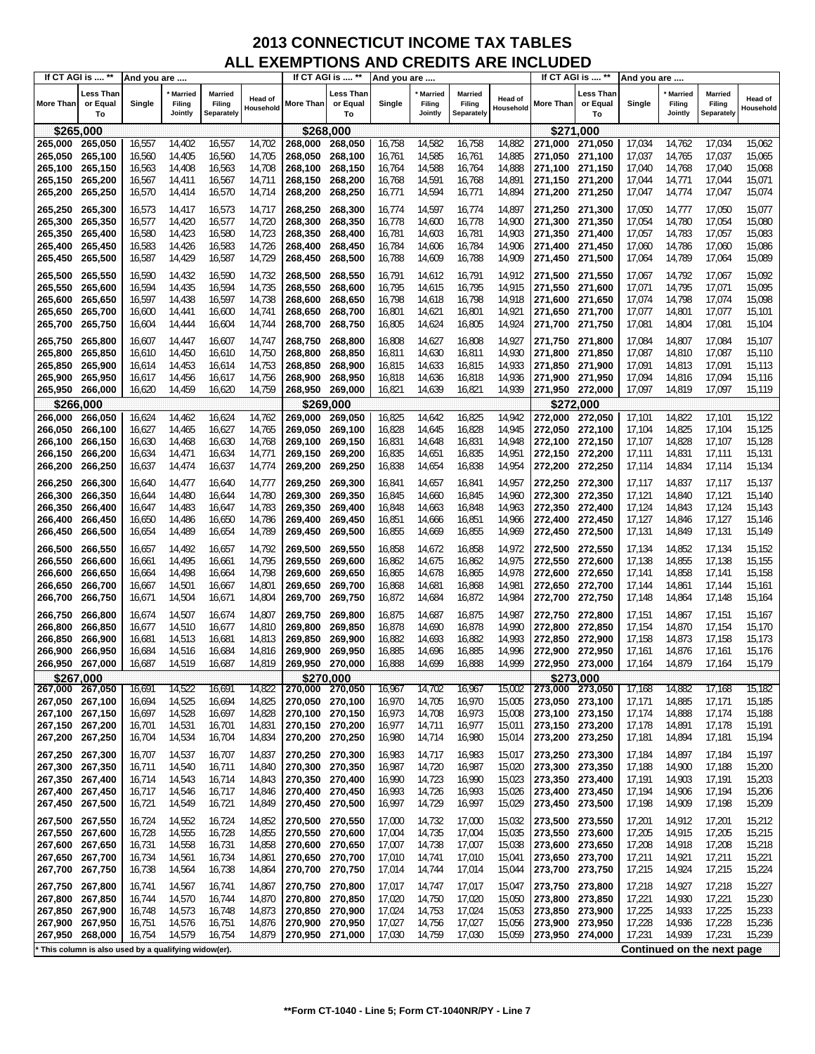|                    | If CT AGI is  **                                    | And you are      |                                     |                                 |                             |                    | If CT AGI is  **            | And you are      |                                     |                                        |                             |                    | If CT AGI is  **                   | And you are      |                              |                                        |                             |
|--------------------|-----------------------------------------------------|------------------|-------------------------------------|---------------------------------|-----------------------------|--------------------|-----------------------------|------------------|-------------------------------------|----------------------------------------|-----------------------------|--------------------|------------------------------------|------------------|------------------------------|----------------------------------------|-----------------------------|
| More Than          | Less Than<br>or Equal<br>To                         | Single           | <b>Married</b><br>Filing<br>Jointly | Married<br>Filing<br>Separately | <b>Head of</b><br>Household | More Than          | Less Than<br>or Equal<br>To | Single           | <b>Married</b><br>Filing<br>Jointly | <b>Married</b><br>Filing<br>Separately | <b>Head of</b><br>Household | <b>More Than</b>   | <b>Less Than</b><br>or Equal<br>To | Single           | Married<br>Filing<br>Jointly | <b>Married</b><br>Filing<br>Separately | <b>Head of</b><br>Household |
| \$265,000          |                                                     |                  |                                     |                                 |                             | \$268,000          |                             |                  |                                     |                                        |                             | \$271,000          |                                    |                  |                              |                                        |                             |
| 265,000            | 265,050                                             | 16,557           | 14,402                              | 16,557                          | 14,702                      | 268,000            | 268,050                     | 16,758           | 14,582                              | 16,758                                 | 14,882                      | 271,000            | 271,050                            | 17,034           | 14,762                       | 17,034                                 | 15,062                      |
| 265,050            | 265,100                                             | 16,560           | 14,405                              | 16,560                          | 14,705                      | 268,050            | 268,100                     | 16,761           | 14,585                              | 16,761                                 | 14,885                      | 271,050            | 271,100                            | 17,037           | 14,765                       | 17,037                                 | 15,065                      |
| 265,100            | 265,150                                             | 16,563           | 14,408                              | 16,563                          | 14,708                      | 268,100            | 268,150                     | 16,764           | 14,588                              | 16,764                                 | 14,888                      | 271,100            | 271,150                            | 17,040           | 14,768                       | 17,040                                 | 15,068                      |
| 265,150            | 265,200                                             | 16,567           | 14,411                              | 16,567                          | 14,711                      | 268,150            | 268,200                     | 16,768           | 14,591                              | 16,768                                 | 14,891                      | 271,150            | 271,200                            | 17,044           | 14,771                       | 17,044                                 | 15,071                      |
| 265,200            | 265,250                                             | 16,570           | 14,414                              | 16,570                          | 14,714                      | 268,200            | 268,250                     | 16,771           | 14,594                              | 16,771                                 | 14,894                      | 271,200            | 271,250                            | 17,047           | 14,774                       | 17,047                                 | 15,074                      |
|                    |                                                     |                  |                                     |                                 |                             |                    |                             |                  |                                     |                                        |                             |                    |                                    |                  |                              |                                        |                             |
| 265,250            | 265,300                                             | 16,573           | 14,417                              | 16,573                          | 14,717                      | 268,250            | 268,300                     | 16,774           | 14,597                              | 16,774                                 | 14,897                      | 271,250            | 271,300                            | 17,050           | 14,777                       | 17,050                                 | 15,077                      |
| 265,300            | 265,350                                             | 16,577           | 14,420                              | 16,577                          | 14,720                      | 268,300            | 268,350                     | 16,778           | 14,600                              | 16,778                                 | 14,900                      | 271,300            | 271,350                            | 17,054           | 14,780                       | 17,054                                 | 15,080                      |
| 265,350            | 265,400                                             | 16,580           | 14,423                              | 16,580                          | 14,723                      | 268,350            | 268,400                     | 16,781           | 14,603                              | 16,781                                 | 14,903                      | 271,350            | 271,400                            | 17,057           | 14,783                       | 17,057                                 | 15,083                      |
| 265,400            | 265,450                                             | 16,583           | 14,426                              | 16,583                          | 14,726                      | 268,400            | 268,450                     | 16,784           | 14,606                              | 16,784                                 | 14,906                      | 271,400            | 271,450                            | 17,060           | 14,786                       | 17,060                                 | 15,086                      |
| 265,450            | 265,500                                             | 16,587           | 14,429                              | 16,587                          | 14,729                      | 268,450            | 268,500                     | 16,788           | 14,609                              | 16,788                                 | 14,909                      | 271,450            | 271,500                            | 17,064           | 14,789                       | 17,064                                 | 15,089                      |
| 265,500            | 265,550                                             | 16,590           | 14,432                              | 16,590                          | 14,732                      | 268,500            | 268,550                     | 16,791           | 14,612                              | 16,791                                 | 14,912                      | 271,500            | 271,550                            | 17,067           | 14,792                       | 17,067                                 | 15,092                      |
| 265,550            | 265,600                                             | 16,594           | 14,435                              | 16,594                          | 14,735                      | 268,550            | 268,600                     | 16,795           | 14,615                              | 16,795                                 | 14,915                      | 271,550            | 271,600                            | 17,071           | 14,795                       | 17,071                                 | 15,095                      |
| 265,600            | 265,650                                             | 16,597           | 14,438                              | 16,597                          | 14,738                      | 268,600            | 268,650                     | 16,798           | 14,618                              | 16,798                                 | 14,918                      | 271,600            | 271,650                            | 17,074           | 14,798                       | 17,074                                 | 15,098                      |
|                    |                                                     | 16,600           |                                     |                                 | 14,741                      |                    | 268,700                     |                  |                                     | 16,801                                 | 14,921                      |                    | 271,700                            | 17,077           | 14,801                       | 17,077                                 | 15,101                      |
| 265,650            | 265,700                                             |                  | 14,441                              | 16,600                          |                             | 268,650            |                             | 16,801           | 14,621                              |                                        |                             | 271,650            |                                    |                  |                              |                                        |                             |
| 265,700            | 265,750                                             | 16,604           | 14,444                              | 16,604                          | 14,744                      | 268,700            | 268,750                     | 16,805           | 14,624                              | 16,805                                 | 14,924                      | 271,700            | 271,750                            | 17,081           | 14,804                       | 17,081                                 | 15,104                      |
| 265,750            | 265,800                                             | 16,607           | 14,447                              | 16,607                          | 14,747                      | 268,750            | 268,800                     | 16,808           | 14,627                              | 16,808                                 | 14,927                      | 271.750            | 271,800                            | 17,084           | 14,807                       | 17,084                                 | 15,107                      |
| 265,800            | 265,850                                             | 16,610           | 14,450                              | 16,610                          | 14,750                      | 268,800            | 268,850                     | 16,811           | 14,630                              | 16,811                                 | 14,930                      | 271,800            | 271,850                            | 17,087           | 14,810                       | 17,087                                 | 15,110                      |
| 265,850            | 265,900                                             | 16,614           | 14,453                              | 16,614                          | 14,753                      | 268,850            | 268,900                     | 16,815           | 14,633                              | 16,815                                 | 14,933                      | 271,850            | 271,900                            | 17,091           | 14,813                       | 17,091                                 | 15,113                      |
| 265,900            | 265,950                                             | 16,617           | 14,456                              | 16,617                          | 14,756                      | 268,900            | 268,950                     | 16,818           | 14,636                              | 16,818                                 | 14,936                      | 271,900            | 271,950                            | 17,094           | 14,816                       | 17,094                                 | 15,116                      |
| 265,950            | 266,000                                             | 16,620           | 14,459                              | 16,620                          | 14,759                      | 268,950            | 269,000                     | 16,821           | 14,639                              | 16,821                                 | 14,939                      | 271,950            | 272,000                            | 17,097           | 14,819                       | 17,097                                 | 15,119                      |
| \$266,000          |                                                     |                  |                                     |                                 |                             |                    | \$269,000                   |                  |                                     |                                        |                             | \$272,000          |                                    |                  |                              |                                        |                             |
| 266,000            | 266,050                                             | 16,624           | 14,462                              | 16,624                          | 14,762                      | 269,000            | 269,050                     | 16,825           | 14,642                              | 16,825                                 | 14,942                      | 272,000            | 272,050                            | 17,101           | 14,822                       | 17,101                                 | 15,122                      |
| 266,050            | 266,100                                             | 16,627           | 14,465                              | 16,627                          | 14,765                      | 269,050            | 269,100                     | 16,828           | 14,645                              | 16,828                                 | 14,945                      | 272,050            | 272,100                            | 17,104           | 14,825                       | 17,104                                 | 15,125                      |
| 266,100            | 266,150                                             | 16,630           | 14,468                              | 16,630                          | 14,768                      | 269,100            | 269,150                     | 16,831           | 14,648                              | 16,831                                 | 14,948                      | 272,100            | 272,150                            | 17,107           | 14,828                       | 17,107                                 | 15,128                      |
| 266,150            | 266,200                                             | 16,634           | 14,471                              | 16,634                          | 14,771                      | 269,150            | 269,200                     | 16,835           | 14,651                              | 16,835                                 | 14,951                      | 272,150            | 272,200                            | 17,111           | 14,831                       | 17,111                                 | 15,131                      |
| 266,200            | 266,250                                             | 16,637           | 14,474                              | 16,637                          | 14,774                      | 269,200            | 269,250                     | 16,838           | 14,654                              | 16,838                                 | 14,954                      | 272,200            | 272,250                            | 17,114           | 14,834                       | 17,114                                 | 15,134                      |
|                    |                                                     |                  |                                     |                                 |                             |                    |                             |                  |                                     |                                        |                             |                    |                                    |                  |                              |                                        |                             |
| 266,250            | 266,300                                             | 16,640           | 14,477                              | 16,640                          | 14,777                      | 269,250            | 269,300                     | 16,841           | 14,657                              | 16,841                                 | 14,957                      | 272,250            | 272,300                            | 17,117           | 14,837                       | 17,117                                 | 15,137                      |
| 266,300            | 266,350                                             | 16,644           | 14,480                              | 16,644                          | 14,780                      | 269,300            | 269,350                     | 16,845           | 14,660                              | 16,845                                 | 14,960                      | 272,300            | 272,350                            | 17,121           | 14,840                       | 17,121                                 | 15,140                      |
| 266,350            | 266,400                                             | 16,647           | 14,483                              | 16,647                          | 14,783                      | 269,350            | 269,400                     | 16,848           | 14,663                              | 16,848                                 | 14,963                      | 272,350            | 272,400                            | 17,124           | 14,843                       | 17,124                                 | 15,143                      |
| 266,400            | 266,450                                             | 16,650           | 14,486                              | 16,650                          | 14,786                      | 269,400            | 269,450                     | 16,851           | 14,666                              | 16,851                                 | 14,966                      | 272,400            | 272,450                            | 17,127           | 14,846                       | 17,127                                 | 15,146                      |
| 266,450            | 266,500                                             | 16,654           | 14,489                              | 16,654                          | 14,789                      | 269,450            | 269,500                     | 16,855           | 14,669                              | 16,855                                 | 14,969                      | 272,450            | 272,500                            | 17,131           | 14,849                       | 17,131                                 | 15,149                      |
| 266,500            | 266,550                                             | 16,657           | 14,492                              | 16,657                          | 14,792                      | 269,500            | 269,550                     | 16,858           | 14,672                              | 16,858                                 | 14,972                      | 272,500            | 272,550                            | 17,134           | 14,852                       | 17,134                                 | 15,152                      |
| 266,550            | 266,600                                             | 16,661           | 14,495                              | 16,661                          | 14,795                      | 269,550            | 269,600                     | 16,862           | 14,675                              | 16,862                                 | 14,975                      | 272,550            | 272,600                            | 17,138           | 14,855                       | 17,138                                 | 15,155                      |
| 266,600            | 266,650                                             | 16,664           | 14,498                              | 16,664                          | 14,798                      | 269,600            | 269,650                     | 16,865           | 14,678                              | 16,865                                 | 14,978                      | 272,600            | 272,650                            | 17,141           | 14,858                       | 17,141                                 | 15,158                      |
| 266,650            | 266,700                                             | 16,667           | 14,501                              | 16,667                          | 14,801                      | 269,650            | 269,700                     | 16,868           | 14,681                              | 16,868                                 | 14,981                      | 272,650            | 272,700                            | 17,144           | 14,861                       | 17,144                                 | 15,161                      |
| 266,700            | 266,750                                             | 16,671           | 14,504                              | 16,671                          | 14,804                      | 269,700            | 269,750                     | 16,872           | 14,684                              | 16,872                                 | 14,984                      | 272,700            | 272,750                            | 17,148           | 14,864                       | 17,148                                 | 15,164                      |
| 266,750            | 266,800                                             | 16,674           | 14,507                              | 16,674                          | 14,807                      | 269,750            | 269,800                     | 16,875           | 14,687                              | 16,875                                 | 14,987                      | 272,750            | 272,800                            | 17,151           | 14,867                       | 17,151                                 | 15,167                      |
| 266,800            | 266,850                                             | 16,677           | 14,510                              | 16,677                          | 14,810                      | 269,800            | 269,850                     | 16,878           | 14,690                              | 16,878                                 | 14,990                      | 272,800            | 272,850                            | 17,154           | 14,870                       | 17,154                                 | 15,170                      |
| 266,850            | 266,900                                             |                  | 14,513                              |                                 | 14,813                      | 269,850            | 269,900                     | 16,882           | 14,693                              | 16,882                                 | 14,993                      |                    | 272,900                            | 17,158           | 14,873                       | 17,158                                 | 15,173                      |
| 266,900            | 266,950                                             | 16,681<br>16,684 | 14,516                              | 16,681<br>16,684                | 14,816                      | 269.900            | 269,950                     | 16,885           | 14,696                              | 16,885                                 | 14,996                      | 272,850<br>272,900 | 272,950                            | 17,161           | 14,876                       | 17,161                                 | 15,176                      |
| 266,950            | 267,000                                             | 16,687           | 14,519                              | 16,687                          | 14,819                      | 269,950            | 270,000                     | 16,888           | 14,699                              | 16,888                                 | 14,999                      | 272,950            | 273,000                            | 17,164           | 14,879                       | 17,164                                 | 15,179                      |
|                    |                                                     |                  |                                     |                                 |                             |                    |                             |                  |                                     |                                        |                             |                    |                                    |                  |                              |                                        |                             |
| 267,000            | \$267,000                                           | 16,691           |                                     | 16,691                          | 14,822                      |                    | \$270,000                   | 16,967           |                                     |                                        | 15,002                      | 273,000 273,050    | \$273,000                          |                  |                              |                                        | 15,182                      |
|                    | 267,050                                             |                  | 14,522                              |                                 |                             | 270,000 270,050    |                             |                  | 14,702                              | 16,967                                 |                             |                    |                                    | 17,168           | 14,882                       | 17,168                                 |                             |
| 267,050            | 267,100                                             | 16,694           | 14,525                              | 16,694                          | 14,825                      | 270,050            | 270,100<br>270,150          | 16,970           | 14,705                              | 16,970                                 | 15,005                      | 273,050            | 273,100                            | 17,171           | 14,885                       | 17,171                                 | 15,185                      |
| 267,100<br>267,150 | 267,150                                             | 16,697<br>16,701 | 14,528<br>14,531                    | 16,697<br>16,701                | 14,828<br>14,831            | 270,100<br>270,150 | 270,200                     | 16,973<br>16,977 | 14,708<br>14,711                    | 16,973<br>16,977                       | 15,008                      | 273,100<br>273,150 | 273,150                            | 17,174<br>17,178 | 14,888<br>14,891             | 17,174<br>17,178                       | 15,188<br>15,191            |
|                    | 267,200                                             |                  |                                     |                                 |                             |                    |                             |                  |                                     |                                        | 15,011                      | 273,200            | 273,200                            |                  |                              |                                        |                             |
| 267,200            | 267,250                                             | 16,704           | 14,534                              | 16,704                          | 14,834                      | 270,200            | 270,250                     | 16,980           | 14,714                              | 16,980                                 | 15,014                      |                    | 273,250                            | 17,181           | 14,894                       | 17,181                                 | 15,194                      |
| 267,250            | 267,300                                             | 16,707           | 14,537                              | 16,707                          | 14,837                      | 270,250            | 270,300                     | 16,983           | 14,717                              | 16,983                                 | 15,017                      | 273,250            | 273,300                            | 17,184           | 14,897                       | 17,184                                 | 15,197                      |
| 267,300            | 267,350                                             | 16,711           | 14,540                              | 16,711                          | 14,840                      | 270,300            | 270,350                     | 16,987           | 14,720                              | 16,987                                 | 15,020                      | 273,300            | 273,350                            | 17,188           | 14,900                       | 17,188                                 | 15,200                      |
| 267,350            | 267,400                                             | 16,714           | 14,543                              | 16,714                          | 14,843                      | 270,350 270,400    |                             | 16,990           | 14,723                              | 16,990                                 | 15,023                      | 273,350            | 273,400                            | 17,191           | 14,903                       | 17,191                                 | 15,203                      |
| 267,400            | 267,450                                             | 16,717           | 14,546                              | 16,717                          | 14,846                      | 270,400            | 270,450                     | 16,993           | 14,726                              | 16,993                                 | 15,026                      | 273,400            | 273,450                            | 17,194           | 14,906                       | 17,194                                 | 15,206                      |
| 267,450            | 267,500                                             | 16,721           | 14,549                              | 16,721                          | 14,849                      | 270,450            | 270,500                     | 16,997           | 14,729                              | 16,997                                 | 15,029                      | 273,450            | 273,500                            | 17,198           | 14,909                       | 17,198                                 | 15,209                      |
| 267,500            | 267,550                                             | 16,724           | 14,552                              | 16,724                          | 14,852                      | 270,500            | 270,550                     | 17,000           | 14,732                              | 17,000                                 | 15,032                      | 273,500            | 273,550                            | 17,201           | 14,912                       | 17,201                                 | 15,212                      |
| 267,550            | 267,600                                             | 16,728           | 14,555                              | 16,728                          | 14,855                      | 270,550            | 270,600                     | 17,004           | 14,735                              | 17,004                                 | 15,035                      | 273,550            | 273,600                            | 17,205           | 14,915                       | 17,205                                 | 15,215                      |
| 267,600            | 267,650                                             | 16,731           | 14,558                              | 16,731                          | 14,858                      | 270,600            | 270,650                     | 17,007           | 14,738                              | 17,007                                 | 15,038                      | 273,600            | 273,650                            | 17,208           | 14,918                       | 17,208                                 | 15,218                      |
| 267,650            | 267,700                                             | 16,734           | 14,561                              | 16,734                          | 14,861                      | 270,650            | 270,700                     | 17,010           | 14,741                              | 17,010                                 | 15,041                      | 273,650            | 273,700                            | 17,211           | 14,921                       | 17,211                                 | 15,221                      |
| 267,700            | 267,750                                             | 16,738           | 14,564                              | 16,738                          | 14,864                      | 270,700            | 270,750                     | 17,014           | 14,744                              | 17,014                                 | 15,044                      | 273,700            | 273,750                            | 17,215           | 14,924                       | 17,215                                 | 15,224                      |
|                    |                                                     |                  |                                     |                                 |                             |                    |                             |                  |                                     |                                        |                             |                    |                                    |                  |                              |                                        |                             |
| 267,750            | 267,800                                             | 16,741           | 14,567                              | 16,741                          | 14,867                      | 270,750 270,800    |                             | 17,017           | 14,747                              | 17,017                                 | 15,047                      | 273,750            | 273,800                            | 17,218           | 14,927                       | 17,218                                 | 15,227                      |
| 267,800            | 267,850                                             | 16,744           | 14,570                              | 16,744                          | 14,870                      | 270,800            | 270,850                     | 17,020           | 14,750                              | 17,020                                 | 15,050                      | 273,800            | 273,850                            | 17,221           | 14,930                       | 17,221                                 | 15,230                      |
| 267,850            | 267,900                                             | 16,748           | 14,573                              | 16,748                          | 14,873                      | 270,850            | 270,900                     | 17,024           | 14,753                              | 17,024                                 | 15,053                      | 273,850            | 273,900                            | 17,225           | 14,933                       | 17,225                                 | 15,233                      |
| 267,900            | 267,950                                             | 16,751           | 14,576                              | 16,751                          | 14,876                      | 270,900            | 270,950                     | 17,027           | 14,756                              | 17,027                                 | 15,056                      | 273,900            | 273,950                            | 17,228           | 14,936                       | 17,228                                 | 15,236                      |
| 267,950            | 268,000                                             | 16,754           | 14,579                              | 16,754                          | 14,879                      | 270,950 271,000    |                             | 17,030           | 14,759                              | 17,030                                 | 15,059                      | 273,950            | 274,000                            | 17,231           | 14,939                       | 17,231                                 | 15,239                      |
|                    | This column is also used by a qualifying widow(er). |                  |                                     |                                 |                             |                    |                             |                  |                                     |                                        |                             |                    |                                    |                  |                              | Continued on the next page             |                             |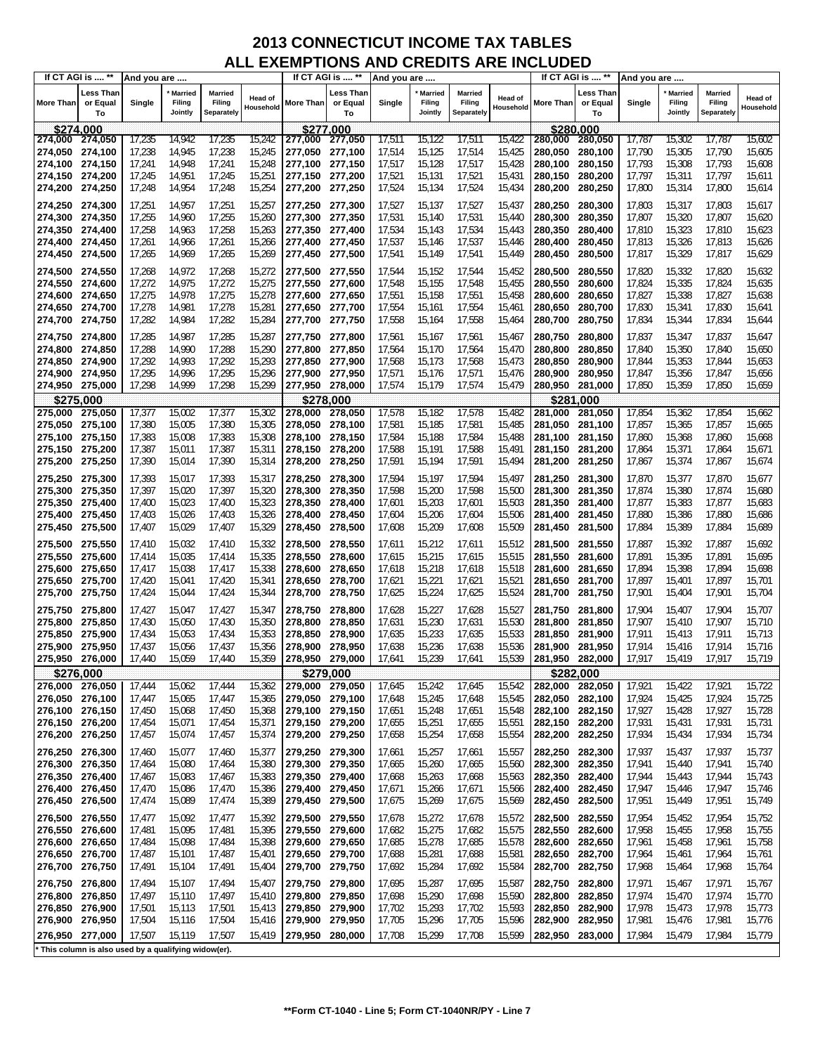|                    | If CT AGI is  **                                    | And you are      |                                     |                                 |                             |                                    | If CT AGI is  **            | And you are      |                                     |                                 |                      |                    | If CT AGI is  **            | And you are      |                                     |                                        |                             |
|--------------------|-----------------------------------------------------|------------------|-------------------------------------|---------------------------------|-----------------------------|------------------------------------|-----------------------------|------------------|-------------------------------------|---------------------------------|----------------------|--------------------|-----------------------------|------------------|-------------------------------------|----------------------------------------|-----------------------------|
| <b>More Than</b>   | Less Than<br>or Equal<br>To                         | Single           | <b>Married</b><br>Filing<br>Jointly | Married<br>Filing<br>Separately | <b>Head of</b><br>Household | More Than                          | ∟ess Than<br>or Equal<br>To | Single           | <b>Married</b><br>Filing<br>Jointly | Married<br>Filing<br>Separately | Head of<br>Household | More Than          | Less Than<br>or Equal<br>To | Single           | <b>Married</b><br>Filing<br>Jointly | <b>Married</b><br>Filing<br>Separately | <b>Head of</b><br>Household |
|                    | \$274.000                                           |                  |                                     |                                 |                             |                                    | \$277.000                   |                  |                                     |                                 |                      |                    | \$280.000                   |                  |                                     |                                        |                             |
| 274,000 274,050    |                                                     | 17,235           | 14,942                              | 17,235                          | 15,242                      | 277,000                            | 277,050                     | 17,511           | 15,122                              | 17,511                          | 15,422               | 280,000            | 280,050                     | 17,787           | 15,302                              | 17,787                                 | 15,602                      |
| 274,050 274,100    |                                                     | 17,238           | 14,945                              | 17,238                          | 15,245                      | 277,050                            | 277,100                     | 17,514           | 15,125                              | 17,514                          | 15,425               | 280,050            | 280,100                     | 17,790           | 15,305                              | 17,790                                 | 15,605                      |
| 274,100 274,150    |                                                     | 17,241           | 14,948                              | 17,241                          | 15,248                      | 277,100 277,150                    |                             | 17,517           | 15,128                              | 17,517                          | 15,428               | 280,100            | 280,150                     | 17,793           | 15,308                              | 17,793                                 | 15,608                      |
| 274,150 274,200    |                                                     | 17,245           | 14,951                              | 17,245                          | 15,251                      | 277,150                            | 277,200                     | 17,521           | 15,131                              | 17,521                          | 15,431               | 280,150            | 280,200                     | 17,797           | 15,311                              | 17,797                                 | 15,611                      |
| 274,200 274,250    |                                                     | 17,248           | 14,954                              | 17,248                          | 15,254                      | 277,200 277,250                    |                             | 17,524           | 15,134                              | 17,524                          | 15,434               | 280,200            | 280,250                     | 17,800           | 15,314                              | 17,800                                 | 15,614                      |
| 274,250 274,300    |                                                     | 17,251           | 14,957                              | 17,251                          | 15,257                      | 277,250 277,300                    |                             | 17,527           | 15,137                              | 17,527                          | 15,437               | 280,250            | 280.300                     | 17,803           | 15,317                              | 17,803                                 | 15,617                      |
| 274,300            | 274,350                                             | 17,255           | 14,960                              | 17,255                          | 15,260                      | 277,300 277,350                    |                             | 17,531           | 15,140                              | 17,531                          | 15,440               | 280,300            | 280,350                     | 17,807           | 15,320                              | 17,807                                 | 15,620                      |
| 274,350 274,400    |                                                     | 17,258           | 14,963                              | 17,258                          | 15,263                      | 277,350 277,400                    |                             | 17,534           | 15,143                              | 17,534                          | 15,443               | 280,350            | 280,400                     | 17,810           | 15,323                              | 17,810                                 | 15,623                      |
| 274,400 274,450    |                                                     | 17,261           | 14,966                              | 17,261                          | 15,266                      | 277,400 277,450                    |                             | 17,537           | 15,146                              | 17,537                          | 15,446               | 280,400            | 280,450                     | 17,813           | 15,326                              | 17,813                                 | 15,626                      |
| 274,450            | 274,500                                             | 17,265           | 14,969                              | 17,265                          | 15,269                      | 277,450 277,500                    |                             | 17,541           | 15,149                              | 17,541                          | 15,449               | 280,450            | 280,500                     | 17,817           | 15,329                              | 17,817                                 | 15,629                      |
|                    |                                                     |                  |                                     |                                 |                             |                                    |                             |                  |                                     |                                 |                      |                    |                             |                  |                                     |                                        |                             |
| 274,500 274,550    |                                                     | 17,268           | 14,972                              | 17,268                          | 15,272                      | 277,500                            | 277,550                     | 17,544           | 15,152                              | 17,544                          | 15,452               | 280,500            | 280,550                     | 17,820           | 15,332                              | 17,820                                 | 15,632                      |
| 274,550            | 274,600                                             | 17,272           | 14,975                              | 17,272                          | 15,275                      | 277,550                            | 277,600                     | 17,548           | 15,155                              | 17,548                          | 15,455               | 280,550            | 280,600                     | 17,824           | 15,335                              | 17,824                                 | 15,635                      |
| 274,600            | 274,650                                             | 17,275           | 14,978                              | 17,275                          | 15,278                      | 277,600                            | 277,650                     | 17,551           | 15,158                              | 17,551                          | 15,458               | 280,600            | 280,650                     | 17,827           | 15,338                              | 17,827                                 | 15,638                      |
| 274,650 274,700    |                                                     | 17,278           | 14,981                              | 17,278                          | 15,281                      | 277,650 277,700                    |                             | 17,554           | 15,161                              | 17,554                          | 15,461               | 280,650            | 280,700                     | 17,830           | 15,341                              | 17,830                                 | 15,641                      |
| 274,700 274,750    |                                                     | 17,282           | 14,984                              | 17,282                          | 15,284                      | 277,700 277,750                    |                             | 17,558           | 15,164                              | 17,558                          | 15,464               | 280,700            | 280,750                     | 17,834           | 15,344                              | 17,834                                 | 15,644                      |
| 274,750 274,800    |                                                     | 17,285           | 14,987                              | 17,285                          | 15,287                      | 277,750 277,800                    |                             | 17,561           | 15,167                              | 17,561                          | 15,467               | 280,750            | 280,800                     | 17,837           | 15,347                              | 17,837                                 | 15,647                      |
| 274,800 274,850    |                                                     | 17,288           | 14,990                              | 17,288                          | 15,290                      | 277,800 277,850                    |                             | 17,564           | 15,170                              | 17,564                          | 15,470               | 280,800            | 280,850                     | 17,840           | 15,350                              | 17,840                                 | 15,650                      |
| 274,850            | 274,900                                             | 17,292           | 14,993                              | 17,292                          | 15,293                      | 277,850 277,900                    |                             | 17,568           | 15,173                              | 17,568                          | 15,473               | 280,850            | 280,900                     | 17,844           | 15,353                              | 17,844                                 | 15,653                      |
| 274,900 274,950    |                                                     | 17,295           | 14,996                              | 17,295                          | 15,296                      | 277,900 277,950                    |                             | 17,571           | 15,176                              | 17,571                          | 15,476               | 280,900            | 280,950                     | 17,847           | 15,356                              | 17,847                                 | 15,656                      |
| 274,950 275,000    |                                                     | 17,298           | 14,999                              | 17,298                          | 15,299                      | 277,950 278,000                    |                             | 17,574           | 15,179                              | 17,574                          | 15,479               | 280,950 281,000    |                             | 17,850           | 15,359                              | 17,850                                 | 15,659                      |
| \$275,000          |                                                     |                  |                                     |                                 |                             |                                    | \$278,000                   |                  |                                     |                                 |                      |                    | \$281,000                   |                  |                                     |                                        |                             |
| 275.000            | 275,050                                             | 17,377           | 15,002                              | 17,377                          | 15,302                      | 278,000                            | 278,050                     | 17,578           | 15,182                              | 17,578                          | 15,482               | 281,000            | 281,050                     | 17,854           | 15,362                              | 17,854                                 | 15,662                      |
| 275,050            | 275,100                                             | 17,380           | 15,005                              | 17,380                          | 15,305                      | 278,050                            | 278,100                     | 17,581           | 15,185                              | 17,581                          | 15,485               | 281.050            | 281,100                     | 17,857           | 15,365                              | 17,857                                 | 15,665                      |
| 275,100 275,150    |                                                     | 17,383           | 15,008                              | 17,383                          | 15,308                      | 278,100 278,150                    |                             | 17,584           | 15,188                              | 17,584                          | 15,488               | 281,100            | 281,150                     | 17,860           | 15,368                              | 17,860                                 | 15,668                      |
| 275,150 275,200    |                                                     | 17,387           | 15,011                              | 17,387                          | 15,311                      | 278,150 278,200                    |                             | 17,588           | 15,191                              | 17,588                          | 15,491               | 281,150            | 281,200                     | 17,864           | 15,371                              | 17,864                                 | 15,671                      |
| 275,200 275,250    |                                                     | 17,390           | 15,014                              | 17,390                          | 15,314                      | 278,200 278,250                    |                             | 17,591           | 15,194                              | 17,591                          | 15,494               | 281,200            | 281,250                     | 17,867           | 15,374                              | 17,867                                 | 15,674                      |
| 275,250 275,300    |                                                     | 17,393           | 15,017                              | 17,393                          | 15,317                      | 278,250 278,300                    |                             | 17,594           | 15,197                              | 17,594                          | 15,497               | 281,250            | 281,300                     | 17,870           | 15,377                              | 17,870                                 | 15,677                      |
| 275,300            | 275,350                                             | 17,397           | 15,020                              | 17,397                          | 15,320                      | 278,300                            | 278,350                     | 17,598           | 15,200                              | 17,598                          | 15,500               | 281,300            | 281,350                     | 17,874           | 15,380                              | 17,874                                 | 15,680                      |
| 275,350            | 275,400                                             | 17,400           | 15,023                              | 17,400                          | 15,323                      | 278,350                            | 278,400                     | 17,601           | 15,203                              | 17,601                          | 15,503               | 281,350            | 281,400                     | 17,877           | 15,383                              | 17,877                                 | 15,683                      |
| 275,400            | 275,450                                             | 17,403           | 15,026                              | 17,403                          | 15,326                      | 278,400                            | 278,450                     | 17,604           | 15,206                              | 17,604                          | 15,506               | 281,400            | 281,450                     | 17,880           | 15,386                              | 17,880                                 | 15,686                      |
| 275,450 275,500    |                                                     | 17,407           | 15,029                              | 17,407                          | 15,329                      | 278,450                            | 278,500                     | 17,608           | 15,209                              | 17,608                          | 15,509               | 281,450            | 281,500                     | 17,884           | 15,389                              | 17,884                                 | 15,689                      |
| 275,500 275,550    |                                                     | 17,410           | 15,032                              | 17,410                          | 15,332                      | 278,500 278,550                    |                             | 17,611           | 15,212                              | 17,611                          | 15,512               | 281,500            | 281,550                     | 17,887           | 15,392                              | 17,887                                 | 15,692                      |
| 275,550 275,600    |                                                     | 17,414           | 15,035                              | 17,414                          | 15,335                      | 278,550                            | 278,600                     | 17,615           | 15,215                              | 17,615                          | 15,515               | 281,550            | 281,600                     | 17,891           | 15,395                              | 17,891                                 | 15,695                      |
| 275,600            | 275,650                                             | 17,417           | 15,038                              | 17,417                          | 15,338                      | 278,600                            | 278,650                     | 17,618           | 15,218                              | 17,618                          | 15,518               | 281,600            | 281,650                     | 17,894           | 15,398                              | 17,894                                 | 15,698                      |
| 275,650 275,700    |                                                     | 17,420           | 15,041                              | 17,420                          | 15,341                      | 278,650 278,700                    |                             | 17,621           | 15,221                              | 17,621                          | 15,521               | 281,650            | 281,700                     | 17,897           | 15,401                              | 17,897                                 | 15,701                      |
| 275,700            | 275,750                                             | 17,424           | 15,044                              | 17,424                          | 15,344                      | 278,700 278,750                    |                             | 17,625           | 15,224                              | 17,625                          | 15,524               | 281,700            | 281,750                     | 17,901           | 15,404                              | 17,901                                 | 15,704                      |
| 275,750            | 275,800                                             | 17,427           | 15,047                              | 17,427                          | 15,347                      | 278,750                            | 278,800                     | 17,628           | 15,227                              | 17,628                          | 15,527               | 281,750            | 281,800                     | 17,904           | 15,407                              | 17,904                                 | 15,707                      |
| 275,800            | 275,850                                             | 17,430           | 15,050                              | 17,430                          | 15,350                      | 278,800                            | 278,850                     | 17,631           | 15,230                              | 17,631                          | 15,530               | 281,800            | 281,850                     | 17,907           | 15,410                              | 17,907                                 | 15,710                      |
| 275,850            | 275,900                                             | 17,434           | 15,053                              | 17,434                          | 15,353                      | 278,850                            | 278,900                     | 17,635           | 15,233                              | 17,635                          | 15,533               | 281,850            | 281,900                     | 17,911           | 15,413                              | 17,911                                 | 15,713                      |
| 275,900            | 275,950                                             | 17,437           | 15,056                              | 17,437                          | 15,356                      | 278,900                            | 278,950                     | 17,638           | 15,236                              | 17,638                          | 15,536               | 281,900            | 281,950                     | 17,914           | 15,416                              | 17,914                                 | 15,716                      |
| 275,950 276,000    |                                                     | 17,440           | 15,059                              | 17,440                          | 15,359                      | 278,950 279,000                    |                             | 17,641           | 15,239                              | 17,641                          | 15,539               | 281,950            | 282,000                     | 17,917           | 15,419                              | 17,917                                 | 15,719                      |
|                    | \$276,000                                           |                  |                                     |                                 |                             |                                    | \$279,000                   |                  |                                     |                                 |                      |                    | \$282,000                   |                  |                                     |                                        |                             |
| 276,000 276,050    |                                                     | 17,444           | 15,062                              | 17,444                          | 15,362                      | 279,000 279,050                    |                             | 17,645           | 15,242                              | 17,645                          | 15,542               | 282,000            | 282,050                     | 17,921           | 15,422                              | 17,921                                 | 15,722                      |
| 276,050 276,100    |                                                     | 17,447           | 15,065                              | 17,447                          | 15,365                      | 279,050 279,100                    |                             | 17,648           | 15,245                              | 17,648                          | 15,545               | 282,050            | 282,100                     | 17,924           | 15,425                              | 17,924                                 | 15,725                      |
| 276,100 276,150    |                                                     | 17,450           | 15,068                              | 17,450                          | 15,368                      | 279,100 279,150                    |                             | 17,651           | 15,248                              | 17,651                          | 15,548               | 282,100            | 282,150                     | 17,927           | 15,428                              | 17,927                                 | 15,728                      |
| 276,150 276,200    |                                                     | 17,454           | 15,071                              | 17,454                          | 15,371                      | 279,150 279,200                    |                             | 17,655           | 15,251                              | 17,655                          | 15,551               | 282,150            | 282,200                     | 17,931           | 15,431                              | 17,931                                 | 15,731                      |
| 276,200            | 276,250                                             | 17,457           | 15,074                              | 17,457                          | 15,374                      | 279,200 279,250                    |                             | 17,658           | 15,254                              | 17,658                          | 15,554               | 282,200            | 282,250                     | 17,934           | 15,434                              | 17,934                                 | 15,734                      |
| 276,250            | 276,300                                             | 17,460           | 15,077                              | 17,460                          | 15,377                      | 279,250 279,300                    |                             | 17,661           | 15,257                              | 17,661                          | 15,557               | 282,250            | 282,300                     | 17,937           | 15,437                              | 17,937                                 | 15,737                      |
| 276,300 276,350    |                                                     | 17,464           | 15,080                              | 17,464                          | 15,380                      | 279,300 279,350                    |                             | 17,665           | 15,260                              | 17,665                          | 15,560               | 282,300            | 282,350                     | 17,941           | 15,440                              | 17,941                                 | 15,740                      |
| 276,350            | 276,400                                             | 17,467           | 15,083                              | 17,467                          | 15,383                      | 279,350 279,400                    |                             | 17,668           | 15,263                              | 17,668                          | 15,563               | 282,350            | 282,400                     | 17,944           | 15,443                              | 17,944                                 | 15,743                      |
| 276,400 276,450    |                                                     | 17,470           | 15,086                              | 17,470                          | 15,386                      | 279,400 279,450                    |                             | 17,671           | 15,266                              | 17,671                          | 15,566               | 282,400            | 282,450                     | 17,947           | 15,446                              | 17,947                                 | 15,746                      |
| 276,450            | 276,500                                             | 17,474           | 15,089                              | 17,474                          | 15,389                      | 279,450 279,500                    |                             | 17,675           | 15,269                              | 17,675                          | 15,569               | 282,450            | 282,500                     | 17,951           | 15,449                              | 17,951                                 | 15,749                      |
| 276,500            | 276,550                                             | 17,477           | 15,092                              | 17,477                          | 15,392                      | 279,500                            | 279,550                     | 17,678           | 15,272                              | 17,678                          | 15,572               | 282,500            | 282,550                     | 17,954           | 15,452                              | 17,954                                 | 15,752                      |
| 276,550            | 276,600                                             | 17,481           | 15,095                              | 17,481                          | 15,395                      | 279,550                            | 279,600                     | 17,682           | 15,275                              | 17,682                          | 15,575               | 282,550            | 282,600                     | 17,958           | 15,455                              | 17,958                                 | 15,755                      |
| 276,600            | 276,650                                             | 17,484           | 15,098                              | 17,484                          | 15,398                      | 279,600                            | 279,650                     | 17,685           | 15,278                              | 17,685                          | 15,578               | 282,600            | 282,650                     | 17,961           | 15,458                              | 17,961                                 | 15,758                      |
| 276,650            | 276,700                                             | 17,487           | 15,101                              | 17,487                          | 15,401                      | 279,650                            | 279,700                     | 17,688           | 15,281                              | 17,688                          | 15,581               | 282,650            | 282,700                     | 17,964           | 15,461                              | 17,964                                 | 15,761                      |
| 276,700            | 276,750                                             | 17,491           | 15,104                              | 17,491                          | 15,404                      | 279,700 279,750                    |                             | 17,692           | 15,284                              | 17,692                          | 15,584               | 282,700            | 282,750                     | 17,968           | 15,464                              | 17,968                                 | 15,764                      |
|                    |                                                     |                  |                                     |                                 |                             |                                    |                             |                  |                                     |                                 |                      |                    |                             |                  |                                     |                                        |                             |
| 276,750<br>276,800 | 276,800<br>276,850                                  | 17,494<br>17,497 | 15,107<br>15,110                    | 17,494<br>17,497                | 15,407<br>15,410            | 279,750 279,800<br>279,800 279,850 |                             | 17,695<br>17,698 | 15,287<br>15,290                    | 17,695<br>17,698                | 15,587<br>15,590     | 282,750<br>282,800 | 282,800<br>282,850          | 17,971<br>17,974 | 15,467<br>15,470                    | 17,971<br>17,974                       | 15,767<br>15,770            |
| 276,850 276,900    |                                                     | 17,501           | 15,113                              | 17,501                          | 15,413                      | 279,850 279,900                    |                             | 17,702           | 15,293                              | 17,702                          | 15,593               | 282,850            | 282,900                     | 17,978           | 15,473                              | 17,978                                 | 15,773                      |
| 276,900            | 276,950                                             | 17,504           | 15,116                              | 17,504                          | 15,416                      | 279,900                            | 279,950                     | 17,705           | 15,296                              | 17,705                          | 15,596               | 282,900            | 282,950                     | 17,981           | 15,476                              | 17,981                                 | 15,776                      |
|                    |                                                     |                  |                                     |                                 |                             |                                    |                             |                  |                                     |                                 |                      |                    |                             |                  |                                     |                                        |                             |
| 276,950 277,000    |                                                     | 17,507           | 15,119                              | 17,507                          | 15,419                      | 279,950 280,000                    |                             | 17,708           | 15,299                              | 17,708                          | 15,599               | 282,950            | 283,000                     | 17,984           | 15,479                              | 17,984                                 | 15,779                      |
|                    | This column is also used by a qualifying widow(er). |                  |                                     |                                 |                             |                                    |                             |                  |                                     |                                 |                      |                    |                             |                  |                                     |                                        |                             |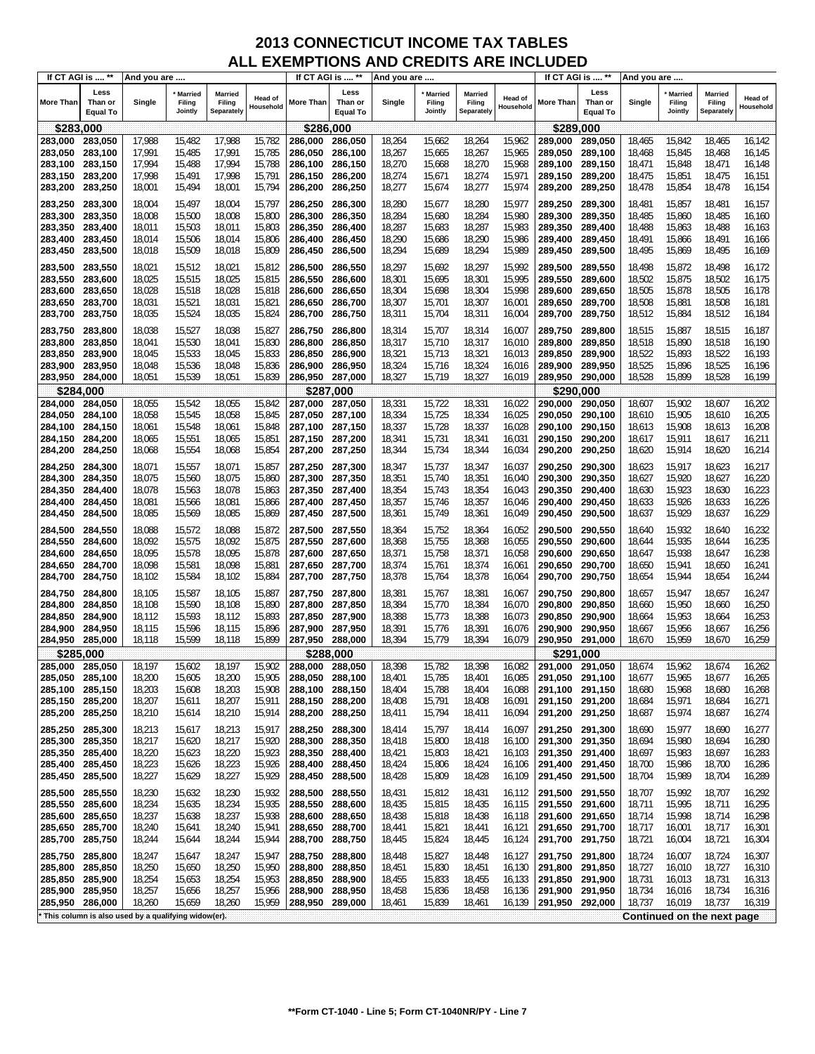|                    | If CT AGI is  **                   | And you are                                         |                              |                                        |                      | If CT AGI is  **   |                                    | And you are      |                                     |                                        |                      |                    | If CT AGI is  **                   | And you are      |                                     |                                        |                      |
|--------------------|------------------------------------|-----------------------------------------------------|------------------------------|----------------------------------------|----------------------|--------------------|------------------------------------|------------------|-------------------------------------|----------------------------------------|----------------------|--------------------|------------------------------------|------------------|-------------------------------------|----------------------------------------|----------------------|
| <b>More Than</b>   | Less<br>Than or<br><b>Equal To</b> | Single                                              | Married<br>Filing<br>Jointly | <b>Married</b><br>Filing<br>Separately | Head of<br>Household | More Than          | Less<br>Than or<br><b>Equal To</b> | Single           | <b>Married</b><br>Filing<br>Jointly | <b>Married</b><br>Filing<br>Separately | Head of<br>Household | More Than          | Less<br>Than or<br><b>Equal To</b> | Single           | <b>Married</b><br>Filing<br>Jointly | <b>Married</b><br>Filing<br>Separately | Head of<br>Household |
| \$283,000          |                                    |                                                     |                              |                                        |                      | \$286,000          |                                    |                  |                                     |                                        |                      | \$289,000          |                                    |                  |                                     |                                        |                      |
| 283,000            | 283,050                            | 17,988                                              | 15,482                       | 17,988                                 | 15,782               | 286,000            | 286,050                            | 18,264           | 15,662                              | 18,264                                 | 15,962               | 289,000            | 289,050                            | 18,465           | 15,842                              | 18,465                                 | 16,142               |
| 283,050            | 283,100                            | 17,991                                              | 15,485                       | 17,991                                 | 15,785               | 286.050            | 286,100                            | 18,267           | 15,665                              | 18,267                                 | 15,965               | 289.050            | 289,100                            | 18,468           | 15,845                              | 18,468                                 | 16,145               |
| 283,100            | 283,150                            | 17,994                                              | 15,488                       | 17,994                                 | 15,788               | 286.100            | 286,150                            | 18,270           | 15,668                              | 18,270                                 | 15,968               | 289.100            | 289,150                            | 18,471           | 15,848                              | 18,471                                 | 16,148               |
| 283,150            | 283,200                            | 17,998                                              | 15,491                       | 17,998                                 | 15,791               | 286,150            | 286,200                            | 18,274           | 15,671                              | 18,274                                 | 15,971               | 289,150            | 289,200                            | 18,475           | 15,851                              | 18,475                                 | 16,151               |
| 283,200            | 283,250                            | 18,001                                              | 15,494                       | 18,001                                 | 15,794               | 286,200            | 286,250                            | 18,277           | 15,674                              | 18,277                                 | 15,974               | 289,200            | 289,250                            | 18,478           | 15,854                              | 18,478                                 | 16,154               |
|                    |                                    |                                                     |                              |                                        |                      |                    |                                    |                  |                                     |                                        |                      |                    |                                    |                  |                                     |                                        |                      |
| 283,250            | 283,300                            | 18,004                                              | 15,497                       | 18,004                                 | 15,797               | 286,250            | 286,300                            | 18,280           | 15,677                              | 18,280                                 | 15,977               | 289,250            | 289,300                            | 18,481           | 15,857                              | 18,481                                 | 16,157               |
| 283,300            | 283,350                            | 18,008                                              | 15,500                       | 18,008                                 | 15,800               | 286,300            | 286,350                            | 18,284           | 15,680                              | 18,284                                 | 15,980               | 289.300            | 289,350                            | 18,485           | 15,860                              | 18,485                                 | 16,160               |
| 283,350            | 283,400                            | 18,011                                              | 15,503                       | 18,011                                 | 15,803               | 286,350            | 286,400                            | 18,287           | 15,683                              | 18,287                                 | 15,983               | 289,350            | 289,400                            | 18,488           | 15,863                              | 18,488                                 | 16,163               |
| 283,400            | 283,450                            | 18,014                                              | 15,506                       | 18,014<br>18,018                       | 15,806               | 286,400<br>286,450 | 286,450<br>286,500                 | 18,290<br>18,294 | 15,686                              | 18,290                                 | 15,986               | 289,400            | 289,450<br>289,500                 | 18,491<br>18,495 | 15,866<br>15,869                    | 18,491<br>18,495                       | 16,166               |
| 283,450            | 283,500                            | 18,018                                              | 15,509                       |                                        | 15,809               |                    |                                    |                  | 15,689                              | 18,294                                 | 15,989               | 289,450            |                                    |                  |                                     |                                        | 16,169               |
| 283,500            | 283,550                            | 18,021                                              | 15,512                       | 18,021                                 | 15,812               | 286,500            | 286,550                            | 18,297           | 15,692                              | 18,297                                 | 15,992               | 289,500            | 289,550                            | 18,498           | 15,872                              | 18,498                                 | 16,172               |
| 283,550            | 283,600                            | 18,025                                              | 15,515                       | 18,025                                 | 15,815               | 286,550            | 286,600                            | 18,301           | 15,695                              | 18,301                                 | 15,995               | 289,550            | 289,600                            | 18,502           | 15,875                              | 18,502                                 | 16,175               |
| 283,600            | 283,650                            | 18,028                                              | 15,518                       | 18,028                                 | 15,818               | 286,600            | 286,650                            | 18,304           | 15,698                              | 18,304                                 | 15,998               | 289,600            | 289,650                            | 18,505           | 15,878                              | 18,505                                 | 16,178               |
| 283,650            | 283,700                            | 18,031                                              | 15,521                       | 18,031                                 | 15,821               | 286,650            | 286,700                            | 18,307           | 15,701                              | 18,307                                 | 16,001               | 289,650            | 289,700                            | 18,508           | 15,881                              | 18,508                                 | 16,181               |
| 283,700            | 283,750                            | 18,035                                              | 15,524                       | 18,035                                 | 15,824               | 286,700            | 286,750                            | 18,311           | 15,704                              | 18,311                                 | 16,004               | 289,700            | 289,750                            | 18,512           | 15,884                              | 18,512                                 | 16,184               |
| 283,750            | 283,800                            | 18,038                                              | 15,527                       | 18,038                                 | 15,827               | 286,750            | 286,800                            | 18,314           | 15,707                              | 18,314                                 | 16,007               | 289,750            | 289,800                            | 18,515           | 15,887                              | 18,515                                 | 16,187               |
| 283,800            | 283,850                            | 18,041                                              | 15,530                       | 18,041                                 | 15,830               | 286,800            | 286,850                            | 18,317           | 15,710                              | 18,317                                 | 16,010               | 289,800            | 289,850                            | 18,518           | 15,890                              | 18,518                                 | 16,190               |
| 283,850            | 283,900                            | 18,045                                              | 15,533                       | 18,045                                 | 15,833               | 286,850            | 286,900                            | 18,321           | 15,713                              | 18,321                                 | 16,013               | 289,850            | 289,900                            | 18,522           | 15,893                              | 18,522                                 | 16,193               |
| 283,900            | 283,950                            | 18,048                                              | 15,536                       | 18,048                                 | 15,836               | 286,900            | 286,950                            | 18,324           | 15,716                              | 18,324                                 | 16,016               | 289.900            | 289,950                            | 18,525           | 15,896                              | 18,525                                 | 16,196               |
| 283,950            | 284,000                            | 18,051                                              | 15,539                       | 18,051                                 | 15,839               | 286,950            | 287,000                            | 18,327           | 15,719                              | 18,327                                 | 16,019               | 289,950            | 290,000                            | 18,528           | 15,899                              | 18,528                                 | 16,199               |
|                    | \$284,000                          |                                                     |                              |                                        |                      |                    | \$287,000                          |                  |                                     |                                        |                      | \$290,000          |                                    |                  |                                     |                                        |                      |
| 284,000            | 284,050                            | 18,055                                              | 15,542                       | 18,055                                 | 15,842               | 287,000            | 287,050                            | 18,331           | 15,722                              | 18,331                                 | 16,022               | 290,000            | 290,050                            | 18,607           | 15,902                              | 18,607                                 | 16,202               |
| 284,050            | 284,100                            | 18,058                                              | 15,545                       | 18,058                                 | 15,845               | 287,050            | 287,100                            | 18,334           | 15,725                              | 18,334                                 | 16,025               | 290.050            | 290,100                            | 18,610           | 15,905                              | 18,610                                 | 16,205               |
| 284,100            | 284,150                            | 18,061                                              | 15,548                       | 18,061                                 | 15,848               | 287,100            | 287,150                            | 18,337           | 15,728                              | 18,337                                 | 16,028               | 290,100            | 290,150                            | 18,613           | 15,908                              | 18,613                                 | 16,208               |
| 284,150            | 284,200                            | 18,065                                              | 15,551                       | 18,065                                 | 15,851               | 287,150            | 287,200                            | 18,341           | 15,731                              | 18,341                                 | 16,031               | 290,150            | 290,200                            | 18,617           | 15,911                              | 18,617                                 | 16,211               |
| 284,200            | 284,250                            | 18,068                                              | 15,554                       | 18,068                                 | 15,854               | 287,200            | 287,250                            | 18,344           | 15,734                              | 18,344                                 | 16,034               | 290,200            | 290,250                            | 18,620           | 15,914                              | 18,620                                 | 16,214               |
| 284,250            | 284,300                            | 18,071                                              | 15,557                       | 18,071                                 | 15,857               | 287,250            | 287,300                            | 18,347           | 15,737                              | 18,347                                 | 16,037               | 290,250            | 290,300                            | 18,623           | 15,917                              | 18,623                                 | 16,217               |
| 284,300            | 284,350                            | 18,075                                              | 15,560                       | 18,075                                 | 15,860               | 287,300            | 287,350                            | 18,351           | 15,740                              | 18,351                                 | 16,040               | 290,300            | 290,350                            | 18,627           | 15,920                              | 18,627                                 | 16,220               |
| 284,350            | 284,400                            | 18,078                                              | 15,563                       | 18,078                                 | 15,863               | 287,350            | 287,400                            | 18,354           | 15,743                              | 18,354                                 | 16,043               | 290,350            | 290,400                            | 18,630           | 15,923                              | 18,630                                 | 16,223               |
| 284,400            | 284,450                            | 18,081                                              | 15,566                       | 18,081                                 | 15,866               | 287,400            | 287,450                            | 18,357           | 15,746                              | 18,357                                 | 16,046               | 290,400            | 290,450                            | 18,633           | 15,926                              | 18,633                                 | 16,226               |
| 284,450            | 284,500                            | 18,085                                              | 15,569                       | 18,085                                 | 15,869               | 287,450            | 287,500                            | 18,361           | 15,749                              | 18,361                                 | 16,049               | 290,450            | 290,500                            | 18,637           | 15,929                              | 18,637                                 | 16,229               |
| 284,500            | 284,550                            | 18,088                                              | 15,572                       | 18,088                                 | 15,872               | 287,500            | 287,550                            | 18,364           | 15,752                              | 18,364                                 | 16,052               | 290,500            | 290,550                            | 18,640           | 15,932                              | 18,640                                 | 16,232               |
| 284,550            | 284,600                            | 18,092                                              | 15,575                       | 18,092                                 | 15,875               | 287,550            | 287,600                            | 18,368           | 15,755                              | 18,368                                 | 16,055               | 290,550            | 290,600                            | 18,644           | 15,935                              | 18,644                                 | 16,235               |
| 284,600            | 284,650                            | 18,095                                              | 15,578                       | 18,095                                 | 15,878               | 287,600            | 287,650                            | 18,371           | 15,758                              | 18,371                                 | 16,058               | 290,600            | 290,650                            | 18,647           | 15,938                              | 18,647                                 | 16,238               |
| 284,650            | 284,700                            | 18,098                                              | 15,581                       | 18,098                                 | 15,881               | 287,650            | 287,700                            | 18,374           | 15,761                              | 18,374                                 | 16,061               | 290,650            | 290,700                            | 18,650           | 15,941                              | 18,650                                 | 16,241               |
| 284,700            | 284,750                            | 18,102                                              | 15,584                       | 18,102                                 | 15,884               | 287,700            | 287,750                            | 18,378           | 15,764                              | 18,378                                 | 16,064               | 290,700            | 290,750                            | 18,654           | 15,944                              | 18,654                                 | 16,244               |
|                    |                                    |                                                     |                              |                                        |                      |                    |                                    |                  |                                     |                                        |                      |                    |                                    |                  |                                     |                                        |                      |
| 284,750            | 284,800                            | 18,105                                              | 15,587                       | 18,105                                 | 15,887               | 287,750            | 287,800                            | 18,381           | 15,767                              | 18,381                                 | 16,067               | 290,750            | 290,800                            | 18,657           | 15,947                              | 18,657                                 | 16,247               |
| 284,800            | 284,850                            | 18,108                                              | 15,590                       | 18,108                                 | 15,890               | 287,800            | 287,850                            | 18,384           | 15,770                              | 18,384                                 | 16,070               | 290.800            | 290,850                            | 18,660           | 15,950                              | 18,660                                 | 16,250               |
| 284,850            | 284.900                            | 18,112                                              | 15,593<br>15,596             | 18,112                                 | 15,893<br>15,896     | 287.850            | 287,900                            | 18,388           | 15,773                              | 18,388                                 | 16,073               | 290,850            | 290,900                            | 18,664           | 15,953                              | 18,664                                 | 16,253               |
| 284,900<br>284,950 | 284,950<br>285,000                 | 18,115<br>18,118                                    | 15,599                       | 18,115<br>18,118                       | 15,899               | 287,900<br>287,950 | 287,950<br>288,000                 | 18,391<br>18,394 | 15,776<br>15,779                    | 18,391<br>18,394                       | 16,076<br>16,079     | 290,900<br>290,950 | 290,950<br>291,000                 | 18,667<br>18,670 | 15,956<br>15,959                    | 18,667<br>18,670                       | 16,256<br>16,259     |
|                    | \$285,000                          |                                                     |                              |                                        |                      |                    | \$288,000                          |                  |                                     |                                        |                      | \$291              | .000                               |                  |                                     |                                        |                      |
| 285,000            | 285,050                            | 18,197                                              | 15,602                       | 18,197                                 | 15,902               | 288,000            | 288,050                            | 18,398           | 15,782                              | 18,398                                 | 16,082               | 291,000            | 291,050                            | 18,674           | 15,962                              | 18,674                                 | 16,262               |
| 285,050            | 285,100                            | 18,200                                              | 15,605                       | 18,200                                 | 15,905               | 288,050            | 288,100                            | 18,401           | 15,785                              | 18,401                                 | 16,085               | 291,050            | 291,100                            | 18,677           | 15,965                              | 18,677                                 | 16,265               |
| 285,100            | 285,150                            | 18,203                                              | 15,608                       | 18,203                                 | 15,908               | 288,100            | 288,150                            | 18,404           | 15,788                              | 18,404                                 | 16,088               | 291,100            | 291,150                            | 18,680           | 15,968                              | 18,680                                 | 16,268               |
| 285,150            | 285,200                            | 18,207                                              | 15,611                       | 18,207                                 | 15,911               | 288,150            | 288,200                            | 18,408           | 15,791                              | 18,408                                 | 16,091               | 291,150            | 291,200                            | 18,684           | 15,971                              | 18,684                                 | 16,271               |
| 285,200            | 285,250                            | 18,210                                              | 15,614                       | 18,210                                 | 15,914               | 288,200            | 288,250                            | 18,411           | 15,794                              | 18,411                                 | 16,094               | 291,200            | 291,250                            | 18,687           | 15,974                              | 18,687                                 | 16,274               |
|                    |                                    |                                                     |                              |                                        |                      |                    |                                    |                  |                                     |                                        |                      |                    |                                    |                  |                                     |                                        |                      |
| 285,250<br>285,300 | 285,300<br>285,350                 | 18,213<br>18,217                                    | 15,617<br>15,620             | 18,213<br>18,217                       | 15,917<br>15,920     | 288,250<br>288,300 | 288,300<br>288,350                 | 18,414<br>18,418 | 15,797<br>15,800                    | 18,414<br>18,418                       | 16,097<br>16,100     | 291,250<br>291,300 | 291,300<br>291,350                 | 18,690<br>18,694 | 15,977<br>15,980                    | 18,690<br>18,694                       | 16,277<br>16,280     |
| 285,350            | 285,400                            | 18,220                                              | 15,623                       | 18,220                                 | 15,923               | 288,350            | 288,400                            | 18,421           | 15,803                              | 18,421                                 |                      | 291,350            | 291,400                            | 18,697           | 15,983                              | 18,697                                 | 16,283               |
| 285,400            | 285,450                            | 18,223                                              | 15,626                       | 18,223                                 | 15,926               | 288,400            | 288,450                            | 18,424           | 15,806                              | 18,424                                 | 16,103<br>16,106     | 291,400            | 291,450                            | 18,700           | 15,986                              | 18,700                                 | 16,286               |
| 285,450            | 285,500                            | 18,227                                              | 15,629                       | 18,227                                 | 15,929               | 288,450            | 288,500                            | 18,428           | 15,809                              | 18,428                                 | 16,109               | 291,450            | 291,500                            | 18,704           | 15,989                              | 18,704                                 | 16,289               |
|                    |                                    |                                                     |                              |                                        |                      |                    |                                    |                  |                                     |                                        |                      |                    |                                    |                  |                                     |                                        |                      |
| 285,500            | 285,550                            | 18,230                                              | 15,632                       | 18,230                                 | 15,932               | 288,500            | 288,550                            | 18,431           | 15,812                              | 18,431                                 | 16,112               | 291,500            | 291,550                            | 18,707           | 15,992                              | 18,707                                 | 16,292               |
| 285,550            | 285,600                            | 18,234                                              | 15,635                       | 18,234                                 | 15,935               | 288,550            | 288,600                            | 18,435           | 15,815                              | 18,435                                 | 16,115               | 291,550            | 291,600                            | 18,711           | 15,995                              | 18,711                                 | 16,295               |
| 285,600            | 285,650                            | 18,237                                              | 15,638                       | 18,237                                 | 15,938               | 288,600            | 288,650                            | 18,438           | 15,818                              | 18,438                                 | 16,118               | 291,600            | 291,650                            | 18,714           | 15,998                              | 18,714                                 | 16,298               |
| 285,650            | 285,700                            | 18,240                                              | 15,641                       | 18,240                                 | 15,941               | 288,650            | 288,700                            | 18,441           | 15,821                              | 18,441                                 | 16,121               | 291,650 291,700    |                                    | 18,717           | 16,001                              | 18,717                                 | 16,301               |
| 285,700            | 285,750                            | 18,244                                              | 15,644                       | 18,244                                 | 15,944               | 288,700            | 288,750                            | 18,445           | 15,824                              | 18,445                                 | 16,124               | 291,700            | 291,750                            | 18,721           | 16,004                              | 18,721                                 | 16,304               |
| 285,750            | 285,800                            | 18,247                                              | 15,647                       | 18,247                                 | 15,947               | 288,750            | 288,800                            | 18,448           | 15,827                              | 18,448                                 | 16,127               | 291,750            | 291,800                            | 18,724           | 16,007                              | 18,724                                 | 16,307               |
| 285,800            | 285,850                            | 18,250                                              | 15,650                       | 18,250                                 | 15,950               | 288,800            | 288,850                            | 18,451           | 15,830                              | 18,451                                 | 16,130               | 291,800            | 291,850                            | 18,727           | 16,010                              | 18,727                                 | 16,310               |
| 285,850            | 285,900                            | 18,254                                              | 15,653                       | 18,254                                 | 15,953               | 288,850            | 288,900                            | 18,455           | 15,833                              | 18,455                                 | 16,133               | 291,850            | 291,900                            | 18,731           | 16,013                              | 18,731                                 | 16,313               |
| 285,900            | 285,950                            | 18,257                                              | 15,656                       | 18,257                                 | 15,956               | 288,900            | 288,950                            | 18,458           | 15,836                              | 18,458                                 | 16,136               | 291,900            | 291,950                            | 18,734           | 16,016                              | 18,734                                 | 16,316               |
| 285,950            | 286,000                            | 18,260                                              | 15,659                       | 18,260                                 | 15,959               | 288,950            | 289,000                            | 18,461           | 15,839                              | 18,461                                 | 16,139               | 291,950            | 292,000                            | 18,737           | 16,019                              | 18,737                                 | 16,319               |
|                    |                                    | This column is also used by a qualifying widow(er). |                              |                                        |                      |                    |                                    |                  |                                     |                                        |                      |                    |                                    |                  |                                     | Continued on the next page             |                      |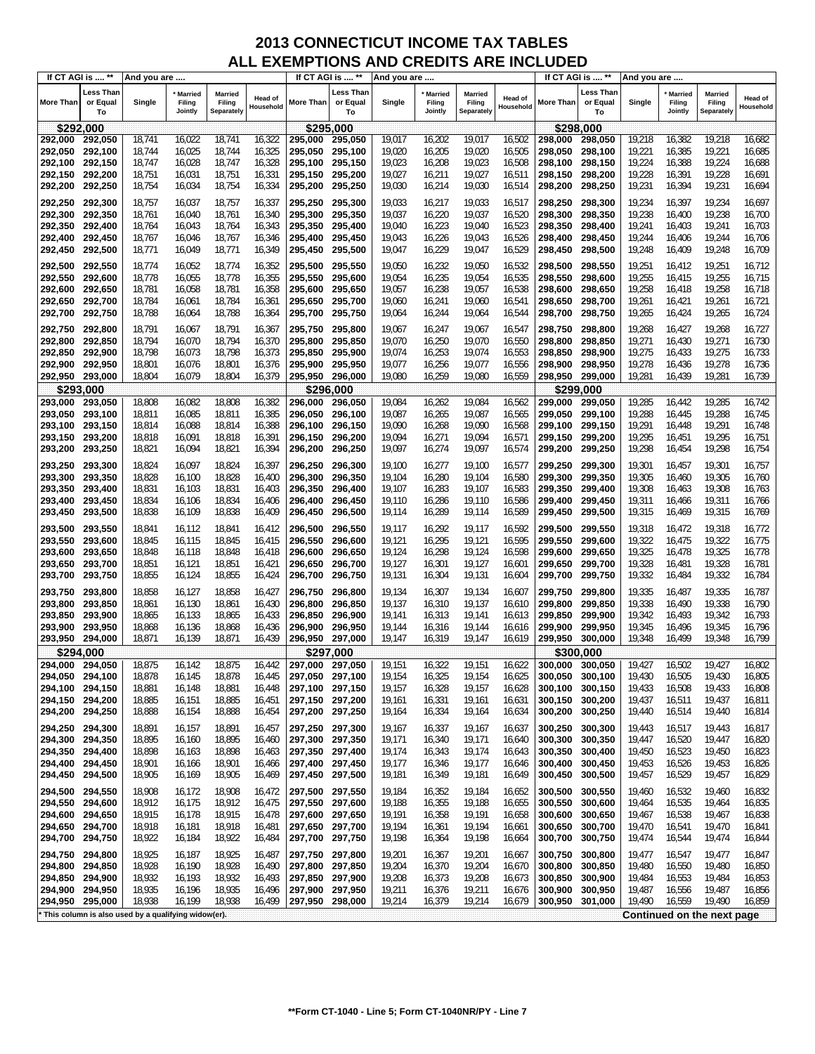|                  | If CT AGI is  **            | And you are                                         |                                     |                                        |                      | If CT AGI is  ** |                             | And you are |                              |                                 |                             | If CT AGI is  ** |                             | And you are |                                     |                                        |                      |
|------------------|-----------------------------|-----------------------------------------------------|-------------------------------------|----------------------------------------|----------------------|------------------|-----------------------------|-------------|------------------------------|---------------------------------|-----------------------------|------------------|-----------------------------|-------------|-------------------------------------|----------------------------------------|----------------------|
| <b>More Than</b> | Less Than<br>or Equal<br>To | Single                                              | <b>Married</b><br>Filing<br>Jointly | <b>Married</b><br>Filing<br>Separately | Head of<br>Household | More Than        | Less Than<br>or Equal<br>To | Single      | Married<br>Filing<br>Jointly | Married<br>Filing<br>Separately | <b>Head of</b><br>Household | More Than        | Less Than<br>or Equal<br>To | Single      | <b>Married</b><br>Filing<br>Jointly | <b>Married</b><br>Filing<br>Separately | Head of<br>Household |
|                  | \$292,000                   |                                                     |                                     |                                        |                      | \$295,000        |                             |             |                              |                                 |                             | \$298,000        |                             |             |                                     |                                        |                      |
| 292,000          | 292,050                     | 18,741                                              | 16,022                              | 18,741                                 | 16,322               | 295,000          | 295,050                     | 19,017      | 16,202                       | 19,017                          | 16,502                      | 298,000          | 298,050                     | 19,218      | 16,382                              | 19,218                                 | 16,682               |
| 292,050          | 292,100                     | 18,744                                              | 16,025                              | 18,744                                 | 16,325               | 295,050          | 295,100                     | 19,020      | 16,205                       | 19,020                          | 16,505                      | 298,050          | 298,100                     | 19,221      | 16,385                              | 19,221                                 | 16,685               |
| 292,100          | 292,150                     | 18,747                                              | 16,028                              | 18,747                                 | 16,328               | 295,100          | 295,150                     | 19,023      | 16,208                       | 19,023                          | 16,508                      | 298,100          | 298,150                     | 19,224      | 16,388                              | 19,224                                 | 16,688               |
| 292,150          | 292,200                     | 18,751                                              | 16,031                              | 18,751                                 | 16,331               | 295,150          | 295,200                     | 19,027      | 16,211                       | 19,027                          | 16,511                      | 298,150          | 298,200                     | 19,228      | 16,391                              | 19,228                                 | 16,691               |
| 292,200          | 292,250                     | 18,754                                              | 16,034                              | 18,754                                 | 16,334               | 295,200          | 295,250                     | 19,030      | 16,214                       | 19,030                          | 16,514                      | 298,200          | 298,250                     | 19,231      | 16,394                              | 19,231                                 | 16,694               |
|                  |                             |                                                     |                                     |                                        |                      |                  |                             |             |                              |                                 |                             |                  |                             |             |                                     |                                        |                      |
| 292,250          | 292,300                     | 18,757                                              | 16,037                              | 18,757                                 | 16,337               | 295,250          | 295,300                     | 19,033      | 16,217                       | 19,033                          | 16,517                      | 298,250          | 298,300                     | 19,234      | 16,397                              | 19,234                                 | 16,697               |
| 292,300          | 292,350                     | 18,761                                              | 16,040                              | 18,761                                 | 16,340               | 295,300          | 295,350                     | 19,037      | 16,220                       | 19,037                          | 16,520                      | 298,300          | 298,350                     | 19,238      | 16,400                              | 19,238                                 | 16,700               |
| 292,350          | 292,400                     | 18,764                                              | 16,043                              | 18,764                                 | 16,343               | 295,350          | 295,400                     | 19,040      | 16,223                       | 19,040                          | 16,523                      | 298,350          | 298,400                     | 19,241      | 16,403                              | 19,241                                 | 16,703               |
| 292,400          | 292,450                     | 18,767                                              | 16,046                              | 18,767                                 | 16,346               | 295.400          | 295,450                     | 19,043      | 16,226                       | 19,043                          | 16,526                      | 298,400          | 298,450                     | 19,244      | 16,406                              | 19,244                                 | 16,706               |
| 292,450          | 292,500                     | 18,771                                              | 16,049                              | 18,771                                 | 16,349               | 295,450          | 295,500                     | 19,047      | 16,229                       | 19,047                          | 16,529                      | 298,450          | 298,500                     | 19,248      | 16,409                              | 19,248                                 | 16,709               |
| 292,500          | 292,550                     | 18,774                                              | 16,052                              | 18,774                                 | 16,352               | 295,500          | 295,550                     | 19,050      | 16,232                       | 19,050                          | 16,532                      | 298,500          | 298,550                     | 19,251      | 16,412                              | 19,251                                 | 16,712               |
| 292,550          | 292,600                     | 18,778                                              | 16,055                              | 18,778                                 | 16,355               | 295,550          | 295,600                     | 19,054      | 16,235                       | 19,054                          | 16,535                      | 298,550          | 298,600                     | 19,255      | 16,415                              | 19,255                                 | 16,715               |
| 292,600          | 292,650                     | 18,781                                              | 16,058                              | 18,781                                 | 16,358               | 295,600          | 295,650                     | 19,057      | 16,238                       | 19,057                          | 16,538                      | 298,600          | 298,650                     | 19,258      | 16,418                              | 19,258                                 | 16,718               |
| 292,650          | 292,700                     | 18,784                                              | 16,061                              | 18,784                                 | 16,361               | 295,650          | 295,700                     | 19,060      | 16,241                       | 19,060                          | 16,541                      | 298,650          | 298,700                     | 19,261      | 16,421                              | 19,261                                 | 16,721               |
| 292,700          | 292,750                     | 18,788                                              | 16,064                              | 18,788                                 | 16,364               | 295,700          | 295,750                     | 19,064      | 16,244                       | 19,064                          | 16,544                      | 298,700          | 298,750                     | 19,265      | 16,424                              | 19,265                                 | 16,724               |
|                  |                             |                                                     |                                     |                                        |                      |                  |                             |             |                              |                                 |                             |                  |                             |             |                                     |                                        |                      |
| 292,750          | 292,800                     | 18,791                                              | 16,067                              | 18,791                                 | 16,367               | 295,750          | 295,800                     | 19,067      | 16,247                       | 19,067                          | 16,547                      | 298,750          | 298,800                     | 19,268      | 16,427                              | 19,268                                 | 16,727               |
| 292,800          | 292,850                     | 18,794                                              | 16,070                              | 18,794                                 | 16,370               | 295,800          | 295,850                     | 19,070      | 16,250                       | 19,070                          | 16,550                      | 298.800          | 298,850                     | 19,271      | 16,430                              | 19,271                                 | 16,730               |
| 292,850          | 292,900                     | 18,798                                              | 16,073                              | 18,798                                 | 16,373               | 295,850          | 295,900                     | 19,074      | 16,253                       | 19,074                          | 16,553                      | 298.850          | 298,900                     | 19,275      | 16,433                              | 19,275                                 | 16,733               |
| 292,900          | 292,950                     | 18,801                                              | 16,076                              | 18,801                                 | 16,376               | 295,900          | 295,950                     | 19,077      | 16,256                       | 19,077                          | 16,556                      | 298.900          | 298,950                     | 19,278      | 16,436                              | 19,278                                 | 16,736               |
| 292,950          | 293,000                     | 18,804                                              | 16,079                              | 18,804                                 | 16,379               | 295,950          | 296,000                     | 19,080      | 16,259                       | 19,080                          | 16,559                      | 298,950          | 299,000                     | 19,281      | 16,439                              | 19,281                                 | 16,739               |
|                  | \$293,000                   |                                                     |                                     |                                        |                      | \$296,000        |                             |             |                              |                                 |                             | \$299,000        |                             |             |                                     |                                        |                      |
| 293,000          | 293,050                     | 18,808                                              | 16,082                              | 18,808                                 | 16,382               | 296,000          | 296,050                     | 19,084      | 16,262                       | 19,084                          | 16,562                      | 299,000          | 299,050                     | 19,285      | 16,442                              | 19,285                                 | 16,742               |
| 293,050          | 293,100                     | 18,811                                              | 16,085                              | 18,811                                 | 16,385               | 296,050          | 296,100                     | 19,087      | 16,265                       | 19,087                          | 16,565                      | 299.050          | 299,100                     | 19,288      | 16,445                              | 19,288                                 | 16,745               |
| 293,100          | 293,150                     | 18,814                                              | 16,088                              | 18,814                                 | 16,388               | 296,100          | 296,150                     | 19,090      | 16,268                       | 19,090                          | 16,568                      | 299,100          | 299,150                     | 19,291      | 16,448                              | 19,291                                 | 16,748               |
| 293,150          | 293,200                     | 18,818                                              | 16,091                              | 18,818                                 | 16,391               | 296,150          | 296,200                     | 19,094      | 16,271                       | 19,094                          | 16,571                      | 299,150          | 299,200                     | 19,295      | 16,451                              | 19,295                                 | 16,751               |
| 293,200          | 293,250                     | 18,821                                              | 16,094                              | 18,821                                 | 16,394               | 296,200          | 296,250                     | 19,097      | 16,274                       | 19,097                          | 16,574                      | 299,200          | 299,250                     | 19,298      | 16,454                              | 19,298                                 | 16,754               |
|                  |                             |                                                     |                                     |                                        |                      |                  |                             |             |                              |                                 |                             |                  |                             |             |                                     |                                        |                      |
| 293,250          | 293,300                     | 18,824                                              | 16,097                              | 18,824                                 | 16,397               | 296,250          | 296,300                     | 19,100      | 16,277                       | 19,100                          | 16,577                      | 299,250          | 299,300                     | 19,301      | 16,457                              | 19,301                                 | 16,757               |
| 293,300          | 293,350                     | 18,828                                              | 16,100                              | 18,828                                 | 16,400               | 296,300          | 296,350                     | 19,104      | 16,280                       | 19,104                          | 16,580                      | 299,300          | 299,350                     | 19,305      | 16,460                              | 19,305                                 | 16,760               |
| 293,350          | 293,400                     | 18,831                                              | 16,103                              | 18,831                                 | 16,403               | 296,350          | 296,400                     | 19,107      | 16,283                       | 19,107                          | 16,583                      | 299,350          | 299,400                     | 19,308      | 16,463                              | 19,308                                 | 16,763               |
| 293,400          | 293,450                     | 18,834                                              | 16,106                              | 18,834                                 | 16,406               | 296,400          | 296,450                     | 19,110      | 16,286                       | 19,110                          | 16,586                      | 299,400          | 299,450                     | 19,311      | 16,466                              | 19,311                                 | 16,766               |
| 293,450          | 293,500                     | 18,838                                              | 16,109                              | 18,838                                 | 16,409               | 296,450          | 296,500                     | 19,114      | 16,289                       | 19,114                          | 16,589                      | 299,450          | 299,500                     | 19,315      | 16,469                              | 19,315                                 | 16,769               |
| 293,500          | 293,550                     | 18,841                                              | 16,112                              | 18,841                                 | 16,412               | 296,500          | 296,550                     | 19,117      | 16,292                       | 19,117                          | 16,592                      | 299,500          | 299,550                     | 19,318      | 16,472                              | 19,318                                 | 16,772               |
| 293,550          | 293,600                     | 18,845                                              | 16,115                              | 18,845                                 | 16,415               | 296,550          | 296,600                     | 19,121      | 16,295                       | 19,121                          | 16,595                      | 299,550          | 299,600                     | 19,322      | 16,475                              | 19,322                                 | 16,775               |
| 293,600          | 293,650                     | 18,848                                              | 16,118                              | 18,848                                 | 16,418               | 296,600          | 296,650                     | 19,124      | 16,298                       | 19,124                          | 16,598                      | 299,600          | 299,650                     | 19,325      | 16,478                              | 19,325                                 | 16,778               |
| 293,650          | 293,700                     | 18,851                                              | 16,121                              | 18,851                                 | 16,421               | 296,650          | 296,700                     | 19,127      | 16,301                       | 19,127                          | 16,601                      | 299,650          | 299,700                     | 19,328      | 16,481                              | 19,328                                 | 16,781               |
| 293,700          | 293,750                     | 18,855                                              | 16,124                              | 18,855                                 | 16,424               | 296,700          | 296,750                     | 19,131      | 16,304                       | 19,131                          | 16,604                      | 299,700          | 299,750                     | 19,332      | 16,484                              | 19,332                                 | 16,784               |
| 293,750          | 293,800                     | 18,858                                              | 16,127                              | 18,858                                 | 16,427               | 296,750          | 296,800                     | 19,134      | 16,307                       | 19,134                          | 16,607                      | 299,750          | 299,800                     | 19,335      | 16,487                              | 19,335                                 | 16,787               |
| 293,800          | 293,850                     | 18,861                                              | 16,130                              | 18,861                                 | 16,430               | 296,800          | 296,850                     | 19,137      | 16,310                       | 19,137                          | 16,610                      | 299.800          | 299,850                     | 19,338      | 16,490                              | 19,338                                 | 16,790               |
| 293,850          | 293,900                     | 18,865                                              | 16,133                              | 18,865                                 | 16,433               | 296,850          | 296,900                     | 19,141      | 16,313                       | 19,141                          | 16,613                      | 299,850          | 299,900                     | 19,342      | 16,493                              | 19,342                                 | 16,793               |
| 293,900          | 293,950                     | 18,868                                              | 16,136                              | 18,868                                 | 16,436               | 296,900          | 296,950                     | 19,144      | 16,316                       | 19,144                          | 16,616                      | 299,900          | 299,950                     | 19,345      | 16,496                              | 19,345                                 | 16,796               |
| 293,950          | 294,000                     | 18,871                                              | 16,139                              | 18,871                                 | 16,439               | 296,950          | 297,000                     | 19,147      | 16,319                       | 19,147                          | 16,619                      | 299,950          | 300,000                     | 19,348      | 16,499                              | 19,348                                 | 16,799               |
|                  |                             |                                                     |                                     |                                        |                      |                  |                             |             |                              |                                 |                             |                  |                             |             |                                     |                                        |                      |
|                  | \$294.000                   |                                                     |                                     |                                        |                      | \$297.000        |                             |             |                              |                                 |                             | \$300,000        |                             |             |                                     |                                        |                      |
| 294,000          | 294,050                     | 18,875                                              | 16,142                              | 18,875                                 | 16,442               | 297,000          | 297,050                     | 19,151      | 16,322                       | 19,151                          | 16,622                      | 300,000          | 300,050                     | 19,427      | 16,502                              | 19,427                                 | 16,802               |
| 294,050          | 294,100                     | 18,878                                              | 16,145                              | 18,878                                 | 16,445               | 297,050          | 297,100                     | 19,154      | 16,325                       | 19,154                          | 16,625                      | 300,050          | 300,100                     | 19,430      | 16,505                              | 19,430                                 | 16,805               |
| 294,100          | 294,150                     | 18,881                                              | 16,148                              | 18,881                                 | 16,448               | 297,100          | 297,150                     | 19,157      | 16,328                       | 19,157                          | 16,628                      | 300,100          | 300,150                     | 19,433      | 16,508                              | 19,433                                 | 16,808               |
| 294,150          | 294,200                     | 18,885                                              | 16,151                              | 18,885                                 | 16,451               | 297,150          | 297,200                     | 19,161      | 16,331                       | 19,161                          | 16,631                      | 300,150          | 300,200                     | 19,437      | 16,511                              | 19,437                                 | 16,811               |
| 294,200          | 294,250                     | 18,888                                              | 16,154                              | 18,888                                 | 16,454               | 297,200          | 297,250                     | 19,164      | 16,334                       | 19,164                          | 16,634                      | 300,200          | 300,250                     | 19,440      | 16,514                              | 19,440                                 | 16,814               |
| 294,250          | 294,300                     | 18,891                                              | 16,157                              | 18,891                                 | 16,457               | 297,250          | 297,300                     | 19,167      | 16,337                       | 19,167                          | 16,637                      | 300,250          | 300,300                     | 19,443      | 16,517                              | 19,443                                 | 16,817               |
| 294,300          | 294,350                     | 18,895                                              | 16,160                              | 18,895                                 | 16,460               | 297,300          | 297,350                     | 19,171      | 16,340                       | 19,171                          | 16,640                      | 300,300          | 300,350                     | 19,447      | 16,520                              | 19,447                                 | 16,820               |
| 294,350          | 294,400                     | 18,898                                              | 16,163                              | 18,898                                 | 16,463               | 297,350          | 297,400                     | 19,174      | 16,343                       | 19,174                          | 16,643                      | 300,350          | 300,400                     | 19,450      | 16,523                              | 19,450                                 | 16,823               |
| 294,400          | 294,450                     | 18,901                                              | 16,166                              | 18,901                                 | 16,466               | 297,400 297,450  |                             | 19,177      | 16,346                       | 19,177                          | 16,646                      | 300,400          | 300,450                     | 19,453      | 16,526                              | 19,453                                 | 16,826               |
| 294,450          | 294,500                     | 18,905                                              | 16,169                              | 18,905                                 | 16,469               | 297,450          | 297,500                     | 19,181      | 16,349                       | 19,181                          | 16,649                      | 300,450          | 300,500                     | 19,457      | 16,529                              | 19,457                                 | 16,829               |
| 294,500          | 294,550                     | 18,908                                              | 16,172                              | 18,908                                 | 16,472               | 297,500          | 297,550                     | 19,184      | 16,352                       | 19,184                          | 16,652                      | 300,500          | 300,550                     | 19,460      | 16,532                              | 19,460                                 | 16,832               |
| 294,550          | 294,600                     | 18,912                                              | 16,175                              | 18,912                                 | 16,475               | 297,550          | 297,600                     | 19,188      | 16,355                       | 19,188                          | 16,655                      | 300,550          | 300,600                     | 19,464      | 16,535                              | 19,464                                 | 16,835               |
| 294,600          | 294,650                     | 18,915                                              | 16,178                              | 18,915                                 | 16,478               | 297,600          | 297,650                     | 19,191      | 16,358                       | 19,191                          | 16,658                      | 300,600          | 300,650                     | 19,467      | 16,538                              | 19,467                                 | 16,838               |
| 294,650          | 294,700                     | 18,918                                              | 16,181                              | 18,918                                 | 16,481               | 297,650          | 297,700                     | 19,194      | 16,361                       | 19,194                          | 16,661                      | 300,650          | 300,700                     | 19,470      | 16,541                              | 19,470                                 | 16,841               |
| 294,700          | 294,750                     | 18,922                                              | 16,184                              | 18,922                                 | 16,484               | 297,700          | 297,750                     | 19,198      | 16,364                       | 19,198                          | 16,664                      | 300,700          | 300,750                     | 19,474      | 16,544                              | 19,474                                 | 16,844               |
|                  |                             |                                                     |                                     |                                        |                      |                  |                             |             |                              |                                 |                             |                  |                             |             |                                     |                                        |                      |
| 294,750          | 294,800                     | 18,925                                              | 16,187                              | 18,925                                 | 16,487               | 297,750          | 297,800                     | 19,201      | 16,367                       | 19,201                          | 16,667                      | 300,750          | 300,800                     | 19,477      | 16,547                              | 19,477                                 | 16,847               |
| 294,800          | 294,850                     | 18,928                                              | 16,190                              | 18,928                                 | 16,490               | 297,800          | 297,850                     | 19,204      | 16,370                       | 19,204                          | 16,670                      | 300,800          | 300,850                     | 19,480      | 16,550                              | 19,480                                 | 16,850               |
| 294,850          | 294,900                     | 18,932                                              | 16,193                              | 18,932                                 | 16,493               | 297,850          | 297,900                     | 19,208      | 16,373                       | 19,208                          | 16,673                      | 300,850          | 300,900                     | 19,484      | 16,553                              | 19,484                                 | 16,853               |
| 294,900          | 294,950                     | 18,935                                              | 16,196                              | 18,935                                 | 16,496               | 297,900          | 297,950                     | 19,211      | 16,376                       | 19,211                          | 16,676                      | 300,900          | 300,950                     | 19,487      | 16,556                              | 19,487                                 | 16,856               |
| 294,950          | 295,000                     | 18,938                                              | 16,199                              | 18,938                                 | 16,499               | 297,950          | 298,000                     | 19,214      | 16,379                       | 19,214                          | 16,679                      | 300,950          | 301,000                     | 19,490      | 16,559                              | 19,490                                 | 16,859               |
|                  |                             | This column is also used by a qualifying widow(er). |                                     |                                        |                      |                  |                             |             |                              |                                 |                             |                  |                             |             |                                     | Continued on the next page             |                      |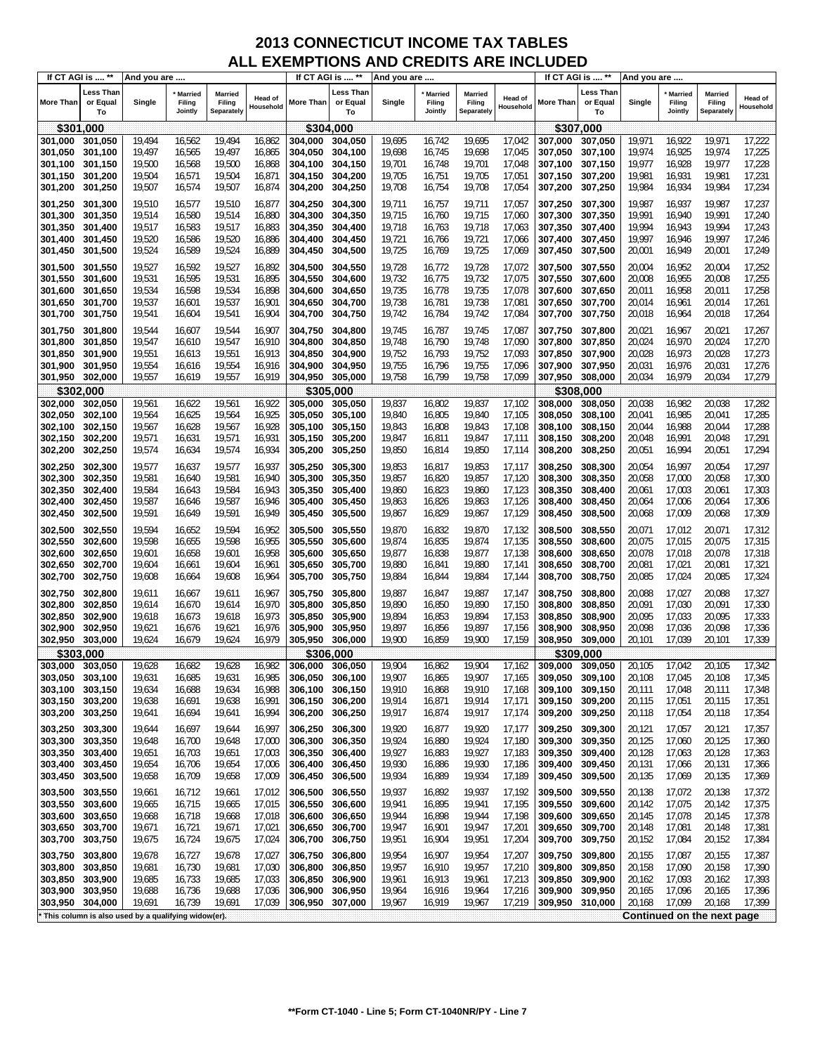| If CT AGI is  ** |                             | And you are                                         |                                |                                        |                      | If CT AGI is  **   |                             | And you are      |                              |                                        |                             |           | If CT AGI is  **            | And you are      |                                     |                                        |                      |
|------------------|-----------------------------|-----------------------------------------------------|--------------------------------|----------------------------------------|----------------------|--------------------|-----------------------------|------------------|------------------------------|----------------------------------------|-----------------------------|-----------|-----------------------------|------------------|-------------------------------------|----------------------------------------|----------------------|
| <b>More Than</b> | Less Than<br>or Equal<br>To | Single                                              | * Married<br>Filing<br>Jointly | <b>Married</b><br>Filing<br>Separately | Head of<br>Household | More Than          | Less Than<br>or Equal<br>To | Single           | Married<br>Filing<br>Jointly | <b>Married</b><br>Filing<br>Separately | <b>Head of</b><br>Household | More Than | Less Than<br>or Equal<br>To | Single           | <b>Married</b><br>Filing<br>Jointly | <b>Married</b><br>Filing<br>Separately | Head of<br>Household |
|                  | \$301,000                   |                                                     |                                |                                        |                      | \$304,000          |                             |                  |                              |                                        |                             |           | \$307,000                   |                  |                                     |                                        |                      |
| 301,000          | 301,050                     | 19,494                                              | 16,562                         | 19,494                                 | 16,862               | 304,000            | 304,050                     | 19,695           | 16,742                       | 19,695                                 | 17,042                      | 307.000   | 307,050                     | 19,971           | 16,922                              | 19,971                                 | 17,222               |
| 301,050          | 301,100                     | 19,497                                              | 16,565                         | 19,497                                 | 16,865               | 304,050            | 304,100                     | 19,698           | 16,745                       | 19,698                                 | 17,045                      | 307,050   | 307,100                     | 19,974           | 16,925                              | 19,974                                 | 17,225               |
| 301,100          | 301,150                     | 19,500                                              | 16,568                         | 19,500                                 | 16,868               | 304,100            | 304,150                     | 19,701           | 16,748                       | 19,701                                 | 17,048                      | 307,100   | 307,150                     | 19,977           | 16,928                              | 19,977                                 | 17,228               |
| 301,150          | 301,200                     | 19,504                                              | 16,571                         | 19,504                                 | 16,871               | 304,150            | 304,200                     | 19,705           | 16,751                       | 19,705                                 | 17,051                      | 307,150   | 307,200                     | 19,981           | 16,931                              | 19,981                                 | 17,231               |
| 301,200          | 301,250                     | 19,507                                              | 16,574                         | 19,507                                 | 16,874               | 304,200            | 304,250                     | 19,708           | 16,754                       | 19,708                                 | 17,054                      | 307,200   | 307,250                     | 19,984           | 16,934                              | 19,984                                 | 17,234               |
|                  |                             |                                                     |                                |                                        |                      |                    |                             |                  |                              |                                        |                             |           |                             |                  |                                     |                                        |                      |
| 301,250          | 301,300                     | 19,510                                              | 16,577                         | 19,510                                 | 16,877               | 304,250            | 304,300                     | 19,711           | 16,757                       | 19,711                                 | 17,057                      | 307,250   | 307,300                     | 19,987           | 16,937                              | 19,987                                 | 17,237               |
| 301,300          | 301,350                     | 19,514                                              | 16,580                         | 19,514                                 | 16,880               | 304,300<br>304,350 | 304,350                     | 19,715           | 16,760                       | 19,715                                 | 17,060                      | 307,300   | 307,350                     | 19,991           | 16,940                              | 19,991                                 | 17,240               |
| 301,350          | 301,400                     | 19,517                                              | 16,583                         | 19,517                                 | 16,883               |                    | 304,400                     | 19,718           | 16,763                       | 19,718                                 | 17,063                      | 307,350   | 307,400                     | 19,994           | 16,943                              | 19,994                                 | 17,243               |
| 301,400          | 301,450                     | 19,520                                              | 16,586                         | 19,520                                 | 16,886               | 304,400            | 304,450                     | 19,721           | 16,766                       | 19,721                                 | 17,066                      | 307,400   | 307,450                     | 19,997           | 16,946                              | 19,997                                 | 17,246<br>17,249     |
| 301,450          | 301,500                     | 19,524                                              | 16,589                         | 19,524                                 | 16,889               | 304,450            | 304,500                     | 19,725           | 16,769                       | 19,725                                 | 17,069                      | 307,450   | 307,500                     | 20,001           | 16,949                              | 20,001                                 |                      |
| 301,500          | 301,550                     | 19,527                                              | 16,592                         | 19,527                                 | 16,892               | 304,500            | 304,550                     | 19,728           | 16,772                       | 19,728                                 | 17,072                      | 307,500   | 307,550                     | 20,004           | 16,952                              | 20,004                                 | 17,252               |
| 301,550          | 301,600                     | 19,531                                              | 16,595                         | 19,531                                 | 16,895               | 304,550            | 304,600                     | 19,732           | 16,775                       | 19,732                                 | 17,075                      | 307,550   | 307,600                     | 20,008           | 16,955                              | 20,008                                 | 17,255               |
| 301,600          | 301,650                     | 19,534                                              | 16,598                         | 19,534                                 | 16,898               | 304,600            | 304,650                     | 19,735           | 16,778                       | 19,735                                 | 17,078                      | 307,600   | 307,650                     | 20,011           | 16,958                              | 20,011                                 | 17,258               |
| 301,650          | 301,700                     | 19,537                                              | 16,601                         | 19,537                                 | 16,901               | 304,650            | 304,700                     | 19,738           | 16,781                       | 19,738                                 | 17,081                      | 307,650   | 307,700                     | 20,014           | 16,961                              | 20,014                                 | 17,261               |
| 301,700          | 301,750                     | 19,541                                              | 16,604                         | 19,541                                 | 16,904               | 304,700            | 304,750                     | 19,742           | 16,784                       | 19,742                                 | 17,084                      | 307,700   | 307,750                     | 20,018           | 16,964                              | 20,018                                 | 17,264               |
| 301,750          | 301,800                     | 19,544                                              | 16,607                         | 19,544                                 | 16,907               | 304,750            | 304,800                     | 19,745           | 16,787                       | 19,745                                 | 17,087                      | 307,750   | 307,800                     | 20,021           | 16,967                              | 20,021                                 | 17,267               |
| 301,800          | 301,850                     | 19,547                                              | 16,610                         | 19,547                                 | 16,910               | 304,800            | 304,850                     | 19,748           | 16,790                       | 19,748                                 | 17,090                      | 307,800   | 307,850                     | 20,024           | 16,970                              | 20,024                                 | 17,270               |
| 301,850          | 301,900                     | 19,551                                              | 16,613                         | 19,551                                 | 16,913               | 304,850            | 304,900                     | 19,752           | 16,793                       | 19,752                                 | 17,093                      | 307,850   | 307,900                     | 20,028           | 16,973                              | 20,028                                 | 17,273               |
| 301,900          | 301,950                     | 19,554                                              | 16,616                         | 19,554                                 | 16,916               | 304,900            | 304,950                     | 19,755           | 16,796                       | 19,755                                 | 17,096                      | 307,900   | 307,950                     | 20,031           | 16,976                              | 20,031                                 | 17,276               |
| 301,950          | 302,000                     | 19,557                                              | 16,619                         | 19,557                                 | 16,919               | 304,950            | 305,000                     | 19,758           | 16,799                       | 19,758                                 | 17,099                      | 307,950   | 308,000                     | 20,034           | 16,979                              | 20,034                                 | 17,279               |
|                  | \$302,000                   |                                                     |                                |                                        |                      |                    | \$305.000                   |                  |                              |                                        |                             |           | \$308,000                   |                  |                                     |                                        |                      |
| 302,000          | 302,050                     | 19,561                                              | 16,622                         | 19,561                                 | 16,922               | 305.000            | 305,050                     | 19,837           | 16,802                       | 19,837                                 | 17,102                      | 308,000   | 308,050                     | 20,038           | 16,982                              | 20,038                                 | 17,282               |
| 302,050          | 302,100                     | 19,564                                              | 16,625                         | 19,564                                 | 16,925               | 305.050            | 305,100                     | 19,840           | 16,805                       | 19,840                                 | 17,105                      | 308,050   | 308,100                     | 20,041           | 16,985                              | 20,041                                 | 17,285               |
| 302,100          | 302,150                     | 19,567                                              | 16,628                         | 19,567                                 | 16,928               | 305.100            | 305,150                     | 19,843           | 16,808                       | 19,843                                 | 17,108                      | 308,100   | 308,150                     | 20,044           | 16,988                              | 20,044                                 | 17,288               |
| 302,150          | 302,200                     | 19,571                                              | 16,631                         | 19,571                                 | 16,931               | 305,150            | 305,200                     | 19,847           | 16,811                       | 19,847                                 | 17,111                      | 308,150   | 308,200                     | 20,048           | 16,991                              | 20,048                                 | 17,291               |
| 302,200          | 302,250                     | 19,574                                              | 16,634                         | 19,574                                 | 16,934               | 305,200            | 305,250                     | 19,850           | 16,814                       | 19,850                                 | 17,114                      | 308,200   | 308,250                     | 20,051           | 16,994                              | 20,051                                 | 17,294               |
|                  |                             |                                                     |                                |                                        |                      |                    |                             |                  |                              |                                        |                             |           |                             |                  |                                     |                                        |                      |
| 302,250          | 302,300                     | 19,577                                              | 16,637                         | 19,577                                 | 16,937               | 305,250            | 305,300                     | 19,853           | 16,817                       | 19,853                                 | 17,117                      | 308,250   | 308,300                     | 20,054           | 16,997                              | 20,054                                 | 17,297               |
| 302,300          | 302,350                     | 19,581                                              | 16,640                         | 19,581<br>19,584                       | 16,940<br>16,943     | 305,300            | 305,350                     | 19,857           | 16,820                       | 19,857                                 | 17,120                      | 308,300   | 308,350                     | 20,058           | 17,000                              | 20,058<br>20,061                       | 17,300<br>17,303     |
| 302,350          | 302,400                     | 19,584<br>19,587                                    | 16,643<br>16,646               | 19,587                                 | 16,946               | 305,350            | 305,400<br>305,450          | 19,860<br>19,863 | 16,823<br>16,826             | 19,860<br>19,863                       | 17,123<br>17,126            | 308,350   | 308,400                     | 20,061<br>20,064 | 17,003<br>17,006                    | 20,064                                 | 17,306               |
| 302,400          | 302,450                     | 19,591                                              |                                | 19,591                                 | 16,949               | 305,400<br>305,450 | 305,500                     | 19,867           |                              |                                        |                             | 308,400   | 308,450                     |                  | 17,009                              | 20,068                                 | 17,309               |
| 302,450          | 302,500                     |                                                     | 16,649                         |                                        |                      |                    |                             |                  | 16,829                       | 19,867                                 | 17,129                      | 308,450   | 308,500                     | 20,068           |                                     |                                        |                      |
| 302,500          | 302,550                     | 19,594                                              | 16,652                         | 19,594                                 | 16,952               | 305,500            | 305,550                     | 19,870           | 16,832                       | 19,870                                 | 17,132                      | 308,500   | 308,550                     | 20,071           | 17,012                              | 20,071                                 | 17,312               |
| 302,550          | 302,600                     | 19,598                                              | 16,655                         | 19,598                                 | 16,955               | 305,550            | 305,600                     | 19,874           | 16,835                       | 19,874                                 | 17,135                      | 308,550   | 308,600                     | 20,075           | 17,015                              | 20,075                                 | 17,315               |
| 302,600          | 302,650                     | 19,601                                              | 16,658                         | 19,601                                 | 16,958               | 305,600            | 305,650                     | 19,877           | 16,838                       | 19,877                                 | 17,138                      | 308,600   | 308,650                     | 20,078           | 17,018                              | 20,078                                 | 17,318               |
| 302,650          | 302,700                     | 19,604                                              | 16,661                         | 19,604                                 | 16,961               | 305,650            | 305,700                     | 19,880           | 16,841                       | 19,880                                 | 17,141                      | 308,650   | 308,700                     | 20,081           | 17,021                              | 20,081                                 | 17,321               |
| 302,700          | 302,750                     | 19,608                                              | 16,664                         | 19,608                                 | 16,964               | 305,700            | 305,750                     | 19,884           | 16,844                       | 19,884                                 | 17,144                      | 308,700   | 308,750                     | 20,085           | 17,024                              | 20,085                                 | 17,324               |
| 302,750          | 302,800                     | 19,611                                              | 16,667                         | 19,611                                 | 16,967               | 305,750            | 305,800                     | 19,887           | 16,847                       | 19,887                                 | 17,147                      | 308,750   | 308,800                     | 20,088           | 17,027                              | 20,088                                 | 17,327               |
| 302,800          | 302,850                     | 19,614                                              | 16,670                         | 19,614                                 | 16,970               | 305,800            | 305,850                     | 19,890           | 16,850                       | 19,890                                 | 17,150                      | 308,800   | 308,850                     | 20,091           | 17,030                              | 20,091                                 | 17,330               |
| 302,850          | 302,900                     | 19,618                                              | 16,673                         | 19,618                                 | 16,973               | 305,850            | 305,900                     | 19,894           | 16,853                       | 19,894                                 | 17,153                      | 308,850   | 308,900                     | 20,095           | 17,033                              | 20,095                                 | 17,333               |
| 302,900          | 302,950                     | 19,621                                              | 16,676                         | 19,621                                 | 16,976               | 305,900            | 305,950                     | 19,897           | 16,856                       | 19,897                                 | 17,156                      | 308.900   | 308,950                     | 20,098           | 17,036                              | 20,098                                 | 17,336               |
| 302,950          | 303,000                     | 19,624                                              | 16,679                         | 19,624                                 | 16,979               | 305,950            | 306,000                     | 19,900           | 16,859                       | 19,900                                 | 17,159                      | 308,950   | 309,000                     | 20,101           | 17,039                              | 20,101                                 | 17,339               |
|                  | \$303,000                   |                                                     |                                |                                        |                      | \$306,000          |                             |                  |                              |                                        |                             |           | \$309,000                   |                  |                                     |                                        |                      |
| 303,000          | 303,050                     | 19,628                                              | 16,682                         | 19,628                                 | 16,982               | 306,000            | 306,050                     | 19.904           | 16,862                       | 19,904                                 | 17,162                      | 309,000   | 309.050                     | 20,105           | 17,042                              | 20,105                                 | 17,342               |
| 303,050          | 303,100                     | 19,631                                              | 16,685                         | 19,631                                 | 16,985               | 306,050            | 306,100                     | 19,907           | 16,865                       | 19,907                                 | 17,165                      | 309,050   | 309,100                     | 20,108           | 17,045                              | 20,108                                 | 17,345               |
| 303,100          | 303,150                     | 19,634                                              | 16,688                         | 19,634                                 | 16,988               | 306,100            | 306,150                     | 19,910           | 16,868                       | 19,910                                 | 17,168                      | 309,100   | 309,150                     | 20,111           | 17,048                              | 20,111                                 | 17,348               |
| 303,150          | 303,200                     | 19,638                                              | 16,691                         | 19,638                                 | 16,991               | 306,150            | 306,200                     | 19,914           | 16,871                       | 19,914                                 | 17,171                      | 309,150   | 309,200                     | 20,115           | 17,051                              | 20,115                                 | 17,351               |
| 303,200          | 303,250                     | 19,641                                              | 16,694                         | 19,641                                 | 16,994               | 306,200            | 306,250                     | 19,917           | 16,874                       | 19,917                                 | 17,174                      | 309,200   | 309,250                     | 20,118           | 17,054                              | 20,118                                 | 17,354               |
| 303,250          | 303,300                     | 19,644                                              | 16,697                         | 19,644                                 | 16,997               | 306,250            | 306,300                     | 19,920           | 16,877                       | 19,920                                 | 17,177                      | 309,250   | 309,300                     | 20,121           | 17,057                              | 20,121                                 | 17,357               |
| 303,300          | 303,350                     | 19,648                                              | 16,700                         | 19,648                                 | 17,000               | 306,300            | 306,350                     | 19,924           | 16,880                       | 19,924                                 | 17,180                      | 309,300   | 309,350                     | 20,125           | 17,060                              | 20,125                                 | 17,360               |
| 303,350          | 303,400                     | 19,651                                              | 16,703                         | 19,651                                 | 17,003               | 306,350            | 306,400                     | 19,927           | 16,883                       | 19,927                                 | 17,183                      | 309,350   | 309,400                     | 20,128           | 17,063                              | 20,128                                 | 17,363               |
| 303,400          | 303,450                     | 19,654                                              | 16,706                         | 19,654                                 | 17,006               | 306,400            | 306,450                     | 19,930           | 16,886                       | 19,930                                 | 17,186                      | 309,400   | 309,450                     | 20,131           | 17,066                              | 20,131                                 | 17,366               |
| 303,450          | 303,500                     | 19,658                                              | 16,709                         | 19,658                                 | 17,009               | 306,450            | 306,500                     | 19,934           | 16,889                       | 19,934                                 | 17,189                      | 309,450   | 309,500                     | 20,135           | 17,069                              | 20,135                                 | 17,369               |
| 303,500          | 303,550                     | 19,661                                              | 16,712                         | 19,661                                 | 17,012               | 306,500            | 306,550                     | 19,937           | 16,892                       | 19,937                                 | 17,192                      | 309,500   | 309,550                     | 20,138           | 17,072                              | 20,138                                 | 17,372               |
| 303,550          | 303,600                     | 19,665                                              | 16,715                         | 19,665                                 | 17,015               | 306,550            | 306,600                     | 19,941           | 16,895                       | 19,941                                 | 17,195                      | 309,550   | 309,600                     | 20,142           | 17,075                              | 20,142                                 | 17,375               |
| 303,600          | 303,650                     | 19,668                                              | 16,718                         | 19,668                                 | 17,018               | 306,600            | 306,650                     | 19,944           | 16,898                       | 19,944                                 | 17,198                      | 309,600   | 309,650                     | 20,145           | 17,078                              | 20,145                                 | 17,378               |
| 303,650          | 303,700                     | 19,671                                              | 16,721                         | 19,671                                 | 17,021               | 306,650            | 306,700                     | 19,947           | 16,901                       | 19,947                                 | 17,201                      | 309,650   | 309,700                     | 20,148           | 17,081                              | 20,148                                 | 17,381               |
| 303,700          | 303,750                     | 19,675                                              | 16,724                         | 19,675                                 | 17,024               | 306,700            | 306,750                     | 19,951           | 16,904                       | 19,951                                 | 17,204                      | 309,700   | 309,750                     | 20,152           | 17,084                              | 20,152                                 | 17,384               |
|                  |                             |                                                     |                                |                                        |                      |                    |                             |                  |                              |                                        |                             |           |                             |                  |                                     |                                        |                      |
| 303,750          | 303,800                     | 19,678                                              | 16,727                         | 19,678                                 | 17,027               | 306,750            | 306,800                     | 19,954           | 16,907                       | 19,954                                 | 17,207                      | 309,750   | 309,800                     | 20,155           | 17,087                              | 20,155                                 | 17,387               |
| 303,800          | 303,850                     | 19,681                                              | 16,730                         | 19,681                                 | 17,030               | 306,800            | 306,850                     | 19,957           | 16,910                       | 19,957                                 | 17,210                      | 309,800   | 309,850                     | 20,158           | 17,090                              | 20,158                                 | 17,390               |
| 303,850          | 303,900                     | 19,685                                              | 16,733                         | 19,685                                 | 17,033               | 306,850            | 306,900                     | 19,961           | 16,913                       | 19,961                                 | 17,213                      | 309,850   | 309,900                     | 20,162           | 17,093                              | 20,162                                 | 17,393               |
| 303,900          | 303,950                     | 19,688                                              | 16,736                         | 19,688                                 | 17,036               | 306,900            | 306,950                     | 19,964           | 16,916                       | 19,964                                 | 17,216                      | 309,900   | 309,950                     | 20,165           | 17,096                              | 20,165                                 | 17,396               |
| 303,950          | 304,000                     | 19,691                                              | 16,739                         | 19,691                                 | 17,039               | 306,950            | 307,000                     | 19,967           | 16,919                       | 19,967                                 | 17,219                      | 309,950   | 310,000                     | 20,168           | 17,099                              | 20,168                                 | 17,399               |
|                  |                             | This column is also used by a qualifying widow(er). |                                |                                        |                      |                    |                             |                  |                              |                                        |                             |           |                             |                  |                                     | Continued on the next page             |                      |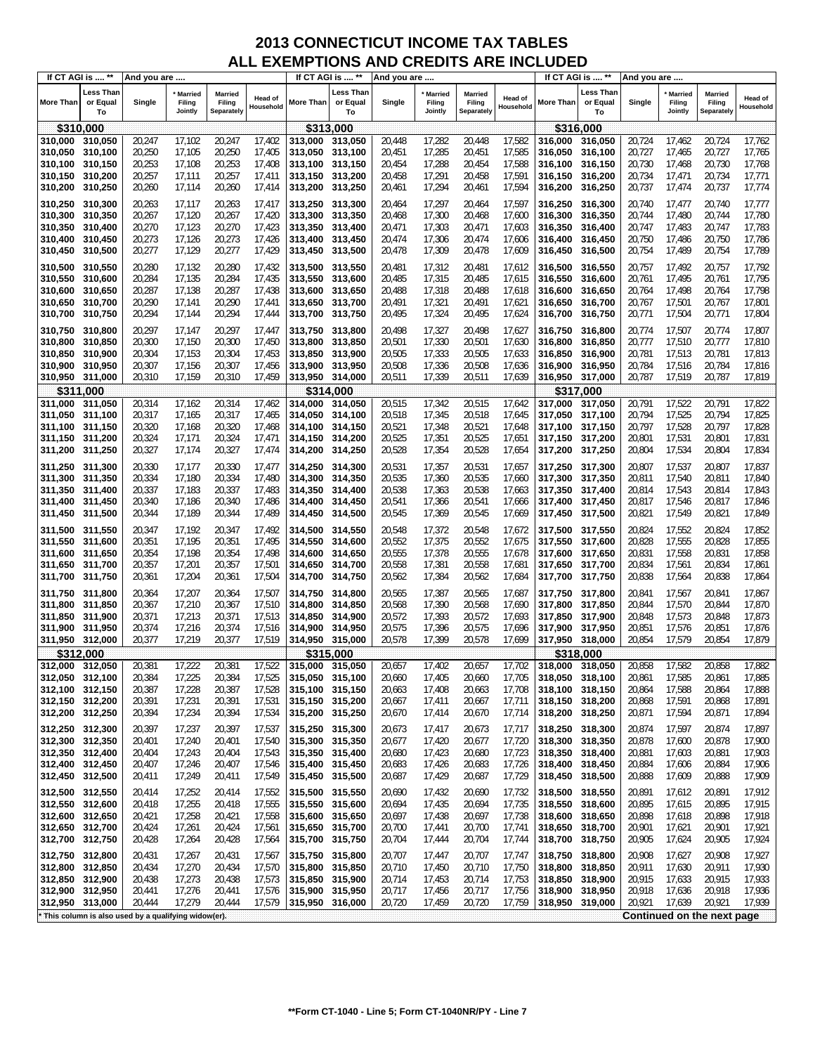| If CT AGI is  **                   |                                    | And you are                                         |                                |                                        |                             |                    | If CT AGI is  **            | And you are      |                              |                                 |                             |                    | If CT AGI is  **            | And you are      |                                     |                                        |                             |
|------------------------------------|------------------------------------|-----------------------------------------------------|--------------------------------|----------------------------------------|-----------------------------|--------------------|-----------------------------|------------------|------------------------------|---------------------------------|-----------------------------|--------------------|-----------------------------|------------------|-------------------------------------|----------------------------------------|-----------------------------|
| <b>More Than</b>                   | <b>Less Than</b><br>or Equal<br>To | Single                                              | * Married<br>Filing<br>Jointly | <b>Married</b><br>Filing<br>Separately | <b>Head of</b><br>Household | More Than          | Less Than<br>or Equal<br>To | Single           | Married<br>Filing<br>Jointly | Married<br>Filing<br>Separately | <b>Head of</b><br>Household | More Than          | Less Than<br>or Equal<br>To | Single           | <b>Married</b><br>Filing<br>Jointly | <b>Married</b><br>Filing<br>Separately | <b>Head of</b><br>Household |
|                                    | \$310,000                          |                                                     |                                |                                        |                             |                    | \$313,000                   |                  |                              |                                 |                             |                    | \$316,000                   |                  |                                     |                                        |                             |
| 310,000 310,050                    |                                    | 20,247                                              | 17,102                         | 20,247                                 | 17,402                      | 313,000            | 313,050                     | 20,448           | 17,282                       | 20,448                          | 17,582                      | 316,000            | 316,050                     | 20,724           | 17,462                              | 20,724                                 | 17,762                      |
| 310,050                            | 310,100                            | 20,250                                              | 17,105                         | 20,250                                 | 17,405                      | 313,050            | 313,100                     | 20,451           | 17,285                       | 20,451                          | 17,585                      | 316,050            | 316,100                     | 20,727           | 17,465                              | 20,727                                 | 17,765                      |
| 310,100                            | 310,150                            | 20,253                                              | 17,108                         | 20,253                                 | 17,408                      | 313,100            | 313,150                     | 20,454           | 17,288                       | 20,454                          | 17,588                      | 316,100            | 316,150                     | 20,730           | 17,468                              | 20,730                                 | 17,768                      |
| 310,150                            | 310,200                            | 20,257                                              | 17,111                         | 20,257                                 | 17,411                      | 313,150            | 313,200                     | 20,458           | 17,291                       | 20,458                          | 17,591                      | 316,150            | 316,200                     | 20,734           | 17,471                              | 20,734                                 | 17,771                      |
| 310,200                            | 310,250                            | 20,260                                              | 17,114                         | 20,260                                 | 17,414                      | 313,200            | 313,250                     | 20,461           | 17,294                       | 20,461                          | 17,594                      | 316,200            | 316,250                     | 20,737           | 17,474                              | 20,737                                 | 17,774                      |
| 310,250                            | 310,300                            | 20,263                                              | 17,117                         | 20,263                                 | 17,417                      | 313,250            | 313,300                     | 20,464           | 17,297                       | 20,464                          | 17,597                      | 316,250            | 316,300                     | 20,740           | 17,477                              | 20,740                                 | 17,777                      |
| 310,300                            | 310,350                            | 20,267                                              | 17,120                         | 20,267                                 | 17,420                      | 313,300            | 313,350                     | 20,468           | 17,300                       | 20,468                          | 17,600                      | 316,300            | 316,350                     | 20,744           | 17,480                              | 20,744                                 | 17,780                      |
| 310,350                            | 310,400                            | 20,270                                              | 17,123                         | 20,270                                 | 17,423                      | 313,350            | 313,400                     | 20,471           | 17,303                       | 20,471                          | 17,603                      | 316,350            | 316,400                     | 20,747           | 17,483                              | 20,747                                 | 17,783                      |
| 310,400                            | 310,450                            | 20,273                                              | 17,126                         | 20,273                                 | 17,426                      | 313,400            | 313,450                     | 20,474           | 17,306                       | 20,474                          | 17,606                      | 316,400            | 316,450                     | 20,750           | 17,486                              | 20,750                                 | 17,786                      |
| 310,450                            | 310,500                            | 20,277                                              | 17,129                         | 20,277                                 | 17,429                      | 313,450            | 313,500                     | 20,478           | 17,309                       | 20,478                          | 17,609                      | 316,450            | 316,500                     | 20,754           | 17,489                              | 20,754                                 | 17,789                      |
| 310,500                            | 310,550                            | 20,280                                              | 17,132                         | 20,280                                 | 17,432                      | 313,500            | 313,550                     | 20,481           | 17,312                       | 20,481                          | 17,612                      | 316,500            | 316,550                     | 20,757           | 17,492                              | 20,757                                 | 17,792                      |
| 310,550                            | 310,600                            | 20,284                                              | 17,135                         | 20,284                                 | 17,435                      | 313,550            | 313,600                     | 20,485           | 17,315                       | 20,485                          | 17,615                      | 316,550            | 316,600                     | 20,761           | 17,495                              | 20,761                                 | 17,795                      |
| 310,600                            | 310,650                            | 20,287                                              | 17,138                         | 20,287                                 | 17,438                      | 313,600            | 313,650                     | 20,488           | 17,318                       | 20,488                          | 17,618                      | 316,600            | 316,650                     | 20,764           | 17,498                              | 20,764                                 | 17,798                      |
| 310,650 310,700                    |                                    | 20,290                                              | 17,141                         | 20,290                                 | 17,441                      | 313,650            | 313,700                     | 20,491           | 17,321                       | 20,491                          | 17,621                      | 316,650            | 316,700                     | 20,767           | 17,501                              | 20,767                                 | 17,801                      |
| 310,700                            | 310,750                            | 20,294                                              | 17,144                         | 20,294                                 | 17,444                      | 313,700            | 313,750                     | 20,495           | 17,324                       | 20,495                          | 17,624                      | 316,700            | 316,750                     | 20,771           | 17,504                              | 20,771                                 | 17,804                      |
| 310,750                            | 310,800                            | 20,297                                              | 17,147                         | 20,297                                 | 17,447                      | 313,750            | 313,800                     | 20,498           | 17,327                       | 20,498                          | 17,627                      | 316,750            | 316,800                     | 20,774           | 17,507                              | 20,774                                 | 17,807                      |
| 310,800                            | 310,850                            | 20,300                                              | 17,150                         | 20,300                                 | 17,450                      | 313,800            | 313,850                     | 20,501           | 17,330                       | 20,501                          | 17,630                      | 316,800            | 316,850                     | 20,777           | 17,510                              | 20,777                                 | 17,810                      |
| 310,850                            | 310,900                            | 20,304                                              | 17,153                         | 20,304                                 | 17,453                      | 313,850            | 313,900                     | 20,505           | 17,333                       | 20,505                          | 17,633                      | 316,850            | 316,900                     | 20,781           | 17,513                              | 20,781                                 | 17,813                      |
| 310,900 310,950                    |                                    | 20,307                                              | 17,156                         | 20,307                                 | 17,456                      | 313,900            | 313,950                     | 20,508           | 17,336                       | 20,508                          | 17,636                      | 316,900            | 316,950                     | 20,784           | 17,516                              | 20,784                                 | 17,816                      |
| 310,950 311,000                    |                                    | 20,310                                              | 17,159                         | 20,310                                 | 17,459                      | 313,950 314,000    |                             | 20,511           | 17,339                       | 20,511                          | 17,639                      | 316,950            | 317,000                     | 20,787           | 17,519                              | 20,787                                 | 17,819                      |
| 311.000                            | \$311,000                          |                                                     |                                |                                        |                             | 314.000            | \$314,000                   |                  |                              |                                 |                             |                    | \$317,000                   |                  |                                     |                                        |                             |
| 311,050                            | 311,050<br>311,100                 | 20,314<br>20,317                                    | 17,162<br>17,165               | 20,314<br>20,317                       | 17,462<br>17,465            | 314,050            | 314,050<br>314,100          | 20,515<br>20,518 | 17,342<br>17,345             | 20,515<br>20,518                | 17,642<br>17,645            | 317,000<br>317,050 | 317,050<br>317,100          | 20,791<br>20,794 | 17,522<br>17,525                    | 20,791<br>20,794                       | 17,822<br>17,825            |
| 311,100                            | 311,150                            | 20,320                                              | 17,168                         | 20,320                                 | 17,468                      | 314,100            | 314,150                     | 20,521           | 17,348                       | 20,521                          | 17,648                      | 317,100            | 317,150                     | 20,797           | 17,528                              | 20,797                                 | 17,828                      |
| 311,150 311,200                    |                                    | 20,324                                              | 17,171                         | 20,324                                 | 17,471                      | 314,150 314,200    |                             | 20,525           | 17,351                       | 20,525                          | 17,651                      | 317,150            | 317,200                     | 20,801           | 17,531                              | 20,801                                 | 17,831                      |
| 311,200 311,250                    |                                    | 20,327                                              | 17,174                         | 20,327                                 | 17,474                      | 314,200            | 314,250                     | 20,528           | 17,354                       | 20,528                          | 17,654                      | 317,200            | 317,250                     | 20,804           | 17,534                              | 20,804                                 | 17,834                      |
|                                    |                                    |                                                     |                                |                                        |                             |                    |                             |                  |                              |                                 |                             |                    |                             |                  |                                     | 20,807                                 | 17,837                      |
| 311,250 311,300<br>311,300         | 311,350                            | 20,330<br>20,334                                    | 17,177<br>17,180               | 20,330<br>20,334                       | 17,477<br>17,480            | 314,250<br>314,300 | 314,300<br>314,350          | 20,531<br>20,535 | 17,357<br>17,360             | 20,531<br>20,535                | 17,657<br>17,660            | 317,250<br>317,300 | 317,300<br>317,350          | 20,807<br>20,811 | 17,537<br>17,540                    | 20,811                                 | 17,840                      |
| 311,350                            | 311,400                            | 20,337                                              | 17,183                         | 20,337                                 | 17,483                      | 314,350            | 314,400                     | 20,538           | 17,363                       | 20,538                          | 17,663                      | 317,350            | 317,400                     | 20,814           | 17,543                              | 20,814                                 | 17,843                      |
| 311,400 311,450                    |                                    | 20,340                                              | 17,186                         | 20,340                                 | 17,486                      | 314,400            | 314,450                     | 20,541           | 17,366                       | 20,541                          | 17,666                      | 317,400            | 317,450                     | 20,817           | 17,546                              | 20,817                                 | 17,846                      |
| 311,450 311,500                    |                                    | 20,344                                              | 17,189                         | 20,344                                 | 17,489                      | 314,450            | 314,500                     | 20,545           | 17,369                       | 20,545                          | 17,669                      | 317,450            | 317,500                     | 20,821           | 17,549                              | 20,821                                 | 17,849                      |
| 311,500 311,550                    |                                    | 20,347                                              | 17,192                         | 20,347                                 | 17,492                      | 314,500            | 314,550                     | 20,548           | 17,372                       | 20,548                          | 17,672                      | 317,500            | 317,550                     | 20,824           | 17,552                              | 20,824                                 | 17,852                      |
| 311,550 311,600                    |                                    | 20,351                                              | 17,195                         | 20,351                                 | 17,495                      | 314,550            | 314,600                     | 20,552           | 17,375                       | 20,552                          | 17,675                      | 317,550            | 317,600                     | 20,828           | 17,555                              | 20,828                                 | 17,855                      |
| 311,600                            | 311,650                            | 20,354                                              | 17,198                         | 20,354                                 | 17,498                      | 314,600            | 314,650                     | 20,555           | 17,378                       | 20,555                          | 17,678                      | 317,600            | 317,650                     | 20,831           | 17,558                              | 20,831                                 | 17,858                      |
| 311,650 311,700                    |                                    | 20,357                                              | 17,201                         | 20,357                                 | 17,501                      | 314,650            | 314,700                     | 20,558           | 17,381                       | 20,558                          | 17,681                      | 317,650            | 317,700                     | 20,834           | 17,561                              | 20,834                                 | 17,861                      |
| 311,700 311,750                    |                                    | 20,361                                              | 17,204                         | 20,361                                 | 17,504                      | 314,700            | 314,750                     | 20,562           | 17,384                       | 20,562                          | 17,684                      | 317,700            | 317,750                     | 20,838           | 17,564                              | 20,838                                 | 17,864                      |
| 311,750 311,800                    |                                    | 20,364                                              | 17,207                         | 20,364                                 | 17,507                      | 314,750            | 314,800                     | 20,565           | 17,387                       | 20,565                          | 17,687                      | 317,750            | 317,800                     | 20,841           | 17,567                              | 20,841                                 | 17,867                      |
| 311,800 311,850                    |                                    | 20,367                                              | 17,210                         | 20,367                                 | 17,510                      | 314,800            | 314,850                     | 20,568           | 17,390                       | 20,568                          | 17,690                      | 317,800            | 317,850                     | 20,844           | 17,570                              | 20,844                                 | 17,870                      |
| 311,850 311,900                    |                                    | 20,371                                              | 17,213                         | 20,371                                 | 17,513                      | 314,850            | 314,900                     | 20,572           | 17,393                       | 20,572                          | 17,693                      | 317,850            | 317,900                     | 20,848           | 17,573                              | 20,848                                 | 17,873                      |
| 311,900 311,950                    |                                    | 20,374                                              | 17,216                         | 20,374                                 | 17,516                      | 314,900            | 314,950                     | 20,575           | 17,396                       | 20,575                          | 17,696                      | 317.900            | 317,950                     | 20,851           | 17,576                              | 20,851                                 | 17,876                      |
| 311,950 312,000                    |                                    | 20,377                                              | 17,219                         | 20,377                                 | 17,519                      | 314,950 315,000    |                             | 20,578           | 17,399                       | 20,578                          | 17,699                      | 317,950 318,000    |                             | 20,854           | 17,579                              | 20,854                                 | 17,879                      |
|                                    | \$312,000                          |                                                     |                                |                                        |                             |                    | \$315,000                   |                  |                              |                                 |                             |                    | \$318,000                   |                  |                                     |                                        |                             |
| 312,000                            | 312,050                            | 20,381                                              | 17,222                         | 20,381                                 | 17,522                      | 315,000            | 315,050                     | 20,657           | 17,402                       | 20,657                          | 17,702                      | 318,000            | 318,050                     | 20,858           | 17,582                              | 20,858                                 | 17,882                      |
| 312,050 312,100                    |                                    | 20,384                                              | 17,225                         | 20,384                                 | 17,525                      | 315,050 315,100    |                             | 20,660           | 17,405                       | 20,660                          | 17,705                      | 318,050 318,100    |                             | 20,861           | 17,585                              | 20,861                                 | 17,885                      |
| 312,100 312,150                    |                                    | 20,387                                              | 17,228                         | 20,387                                 | 17,528                      | 315,100 315,150    |                             | 20,663           | 17,408                       | 20,663                          | 17,708                      | 318,100            | 318,150                     | 20,864           | 17,588                              | 20,864                                 | 17,888                      |
| 312,150 312,200                    |                                    | 20,391                                              | 17,231                         | 20,391                                 | 17,531                      | 315,150 315,200    |                             | 20,667           | 17,411                       | 20,667                          | 17,711                      | 318,150 318,200    |                             | 20,868           | 17,591                              | 20,868                                 | 17,891                      |
| 312,200 312,250                    |                                    | 20,394                                              | 17,234                         | 20,394                                 | 17,534                      | 315,200 315,250    |                             | 20,670           | 17,414                       | 20,670                          | 17,714                      | 318,200            | 318,250                     | 20,871           | 17,594                              | 20,871                                 | 17,894                      |
| 312,250 312,300                    |                                    | 20,397                                              | 17,237                         | 20,397                                 | 17,537                      | 315,250 315,300    |                             | 20,673           | 17,417                       | 20,673                          | 17,717                      | 318,250            | 318,300                     | 20,874           | 17,597                              | 20,874                                 | 17,897                      |
| 312,300 312,350                    |                                    | 20,401                                              | 17,240                         | 20,401                                 | 17,540                      | 315,300 315,350    |                             | 20,677           | 17,420                       | 20,677                          | 17,720                      | 318,300            | 318,350                     | 20,878           | 17,600                              | 20,878                                 | 17,900                      |
| 312,350 312,400                    |                                    | 20,404                                              | 17,243                         | 20,404                                 | 17,543                      | 315,350            | 315,400                     | 20,680           | 17,423                       | 20,680                          | 17,723                      | 318,350            | 318,400                     | 20,881           | 17,603                              | 20,881                                 | 17,903                      |
| 312,400 312,450                    |                                    | 20,407                                              | 17,246                         | 20,407                                 | 17,546                      | 315,400 315,450    |                             | 20,683           | 17,426                       | 20,683                          | 17,726                      | 318,400            | 318,450                     | 20,884           | 17,606                              | 20,884                                 | 17,906                      |
| 312,450 312,500                    |                                    | 20,411                                              | 17,249                         | 20,411                                 | 17,549                      | 315,450 315,500    |                             | 20,687           | 17,429                       | 20,687                          | 17,729                      | 318,450            | 318,500                     | 20,888           | 17,609                              | 20,888                                 | 17,909                      |
| 312,500 312,550                    |                                    | 20,414                                              | 17,252                         | 20,414                                 | 17,552                      | 315,500 315,550    |                             | 20,690           | 17,432                       | 20,690                          | 17,732                      | 318,500            | 318,550                     | 20,891           | 17,612                              | 20,891                                 | 17,912                      |
| 312,550 312,600                    |                                    | 20,418                                              | 17,255                         | 20,418                                 | 17,555                      | 315,550 315,600    |                             | 20,694           | 17,435                       | 20,694                          | 17,735                      | 318,550            | 318,600                     | 20,895           | 17,615                              | 20,895                                 | 17,915                      |
| 312,600 312,650                    |                                    | 20,421                                              | 17,258                         | 20,421                                 | 17,558                      | 315,600            | 315,650                     | 20,697           | 17,438                       | 20,697                          | 17,738                      | 318,600            | 318,650                     | 20,898           | 17,618                              | 20,898                                 | 17,918                      |
| 312,650 312,700                    |                                    | 20,424                                              | 17,261                         | 20,424                                 | 17,561                      | 315,650 315,700    |                             | 20,700           | 17,441                       | 20,700                          | 17,741                      | 318,650 318,700    |                             | 20,901           | 17,621                              | 20,901                                 | 17,921                      |
| 312,700 312,750                    |                                    | 20,428                                              | 17,264                         | 20,428                                 | 17,564                      | 315,700 315,750    |                             | 20,704           | 17,444                       | 20,704                          | 17,744                      | 318,700            | 318,750                     | 20,905           | 17,624                              | 20,905                                 | 17,924                      |
| 312,750 312,800                    |                                    | 20,431                                              | 17,267                         | 20,431                                 | 17,567                      | 315,750 315,800    |                             | 20,707           | 17,447                       | 20,707                          | 17,747                      | 318,750            | 318,800                     | 20,908           | 17,627                              | 20,908                                 | 17,927                      |
| 312,800 312,850                    |                                    | 20,434                                              | 17,270                         | 20,434                                 | 17,570                      | 315,800            | 315,850                     | 20,710           | 17,450                       | 20,710                          | 17,750                      | 318,800            | 318,850                     | 20,911           | 17,630                              | 20,911                                 | 17,930                      |
| 312,850 312,900                    |                                    | 20,438                                              | 17,273                         | 20,438                                 | 17,573                      | 315,850            | 315,900                     | 20,714           | 17,453                       | 20,714                          | 17,753                      | 318,850            | 318,900                     | 20,915           | 17,633                              | 20,915                                 | 17,933                      |
| 312,900 312,950<br>312,950 313,000 |                                    | 20,441<br>20,444                                    | 17,276<br>17,279               | 20,441<br>20,444                       | 17,576<br>17,579            | 315,900<br>315,950 | 315,950<br>316,000          | 20,717<br>20,720 | 17,456<br>17,459             | 20,717<br>20,720                | 17,756<br>17,759            | 318,900<br>318,950 | 318,950<br>319,000          | 20,918<br>20,921 | 17,636<br>17,639                    | 20,918<br>20,921                       | 17,936<br>17,939            |
|                                    |                                    |                                                     |                                |                                        |                             |                    |                             |                  |                              |                                 |                             |                    |                             |                  |                                     | Continued on the next page             |                             |
|                                    |                                    | This column is also used by a qualifying widow(er). |                                |                                        |                             |                    |                             |                  |                              |                                 |                             |                    |                             |                  |                                     |                                        |                             |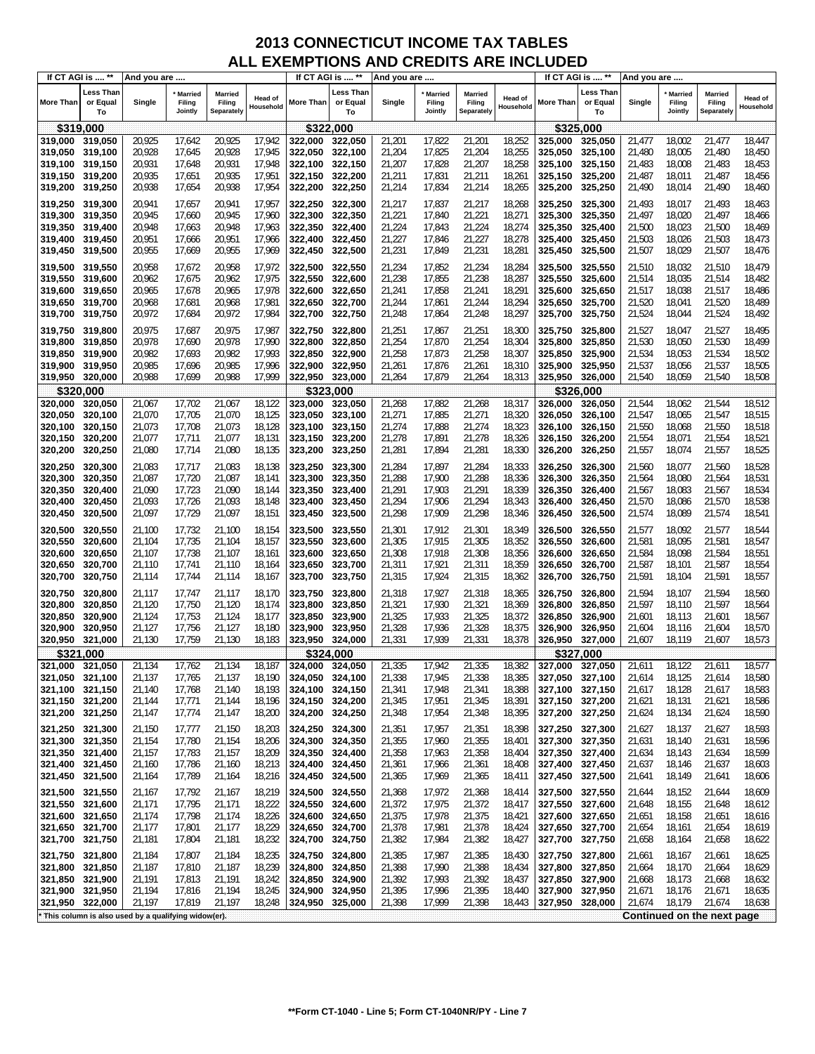|                    | If CT AGI is  **            | And you are                                         |                                |                                        |                             | If CT AGI is  **   |                             | And you are      |                              |                                        |                             |                    | If CT AGI is  **            | And you are      |                                     |                                        |                      |
|--------------------|-----------------------------|-----------------------------------------------------|--------------------------------|----------------------------------------|-----------------------------|--------------------|-----------------------------|------------------|------------------------------|----------------------------------------|-----------------------------|--------------------|-----------------------------|------------------|-------------------------------------|----------------------------------------|----------------------|
| <b>More Than</b>   | Less Than<br>or Equal<br>To | Single                                              | * Married<br>Filing<br>Jointly | <b>Married</b><br>Filing<br>Separately | <b>Head of</b><br>Household | More Than          | Less Than<br>or Equal<br>To | Single           | Married<br>Filing<br>Jointly | <b>Married</b><br>Filing<br>Separately | <b>Head of</b><br>Household | More Than          | Less Than<br>or Equal<br>To | Single           | <b>Married</b><br>Filing<br>Jointly | <b>Married</b><br>Filing<br>Separately | Head of<br>Household |
|                    | \$319,000                   |                                                     |                                |                                        |                             |                    | \$322,000                   |                  |                              |                                        |                             |                    | \$325,000                   |                  |                                     |                                        |                      |
| 319,000 319,050    |                             | 20,925                                              | 17,642                         | 20,925                                 | 17,942                      | 322.000            | 322,050                     | 21,201           | 17,822                       | 21,201                                 | 18,252                      | 325,000            | 325,050                     | 21,477           | 18,002                              | 21,477                                 | 18,447               |
| 319,050            | 319,100                     | 20,928                                              | 17,645                         | 20,928                                 | 17,945                      | 322,050            | 322,100                     | 21,204           | 17,825                       | 21,204                                 | 18,255                      | 325,050            | 325,100                     | 21,480           | 18,005                              | 21,480                                 | 18,450               |
| 319,100            | 319,150                     | 20,931                                              | 17,648                         | 20,931                                 | 17,948                      | 322,100            | 322,150                     | 21,207           | 17,828                       | 21,207                                 | 18,258                      | 325,100            | 325,150                     | 21,483           | 18,008                              | 21,483                                 | 18,453               |
| 319,150            | 319,200                     | 20,935                                              | 17,651                         | 20,935                                 | 17,951                      | 322,150            | 322,200                     | 21,211           | 17,831                       | 21,211                                 | 18,261                      | 325,150            | 325,200                     | 21,487           | 18,011                              | 21,487                                 | 18,456               |
| 319,200            | 319,250                     | 20,938                                              | 17,654                         | 20,938                                 | 17,954                      | 322,200            | 322,250                     | 21,214           | 17,834                       | 21,214                                 | 18,265                      | 325,200            | 325,250                     | 21,490           | 18,014                              | 21,490                                 | 18,460               |
|                    |                             |                                                     |                                |                                        |                             |                    |                             |                  |                              |                                        |                             |                    |                             |                  |                                     |                                        |                      |
| 319,250            | 319,300                     | 20,941                                              | 17,657                         | 20,941                                 | 17,957                      | 322,250            | 322,300                     | 21,217           | 17,837                       | 21,217                                 | 18,268                      | 325,250            | 325,300                     | 21,493           | 18,017                              | 21,493                                 | 18,463               |
| 319,300            | 319,350                     | 20,945                                              | 17,660                         | 20,945                                 | 17,960                      | 322,300            | 322,350<br>322,400          | 21,221           | 17,840                       | 21,221                                 | 18,271                      | 325,300            | 325,350                     | 21,497           | 18,020                              | 21,497                                 | 18,466               |
| 319,350            | 319,400                     | 20,948                                              | 17,663                         | 20,948                                 | 17,963                      | 322,350            |                             | 21,224           | 17,843                       | 21,224                                 | 18,274                      | 325,350            | 325,400                     | 21,500           | 18,023                              | 21,500                                 | 18,469               |
| 319,400            | 319,450                     | 20,951                                              | 17,666                         | 20,951                                 | 17,966                      | 322,400            | 322,450                     | 21,227           | 17,846                       | 21,227                                 | 18,278                      | 325,400            | 325,450                     | 21,503           | 18,026                              | 21,503                                 | 18,473               |
| 319,450            | 319,500                     | 20,955                                              | 17,669                         | 20,955                                 | 17,969                      | 322,450            | 322,500                     | 21,231           | 17,849                       | 21,231                                 | 18,281                      | 325,450            | 325,500                     | 21,507           | 18,029                              | 21,507                                 | 18,476               |
| 319,500            | 319,550                     | 20,958                                              | 17,672                         | 20,958                                 | 17,972                      | 322,500            | 322,550                     | 21,234           | 17,852                       | 21,234                                 | 18,284                      | 325,500            | 325,550                     | 21,510           | 18,032                              | 21,510                                 | 18,479               |
| 319,550            | 319,600                     | 20,962                                              | 17,675                         | 20,962                                 | 17,975                      | 322,550            | 322,600                     | 21,238           | 17,855                       | 21,238                                 | 18,287                      | 325,550            | 325,600                     | 21,514           | 18,035                              | 21,514                                 | 18,482               |
| 319,600            | 319,650                     | 20,965                                              | 17,678                         | 20,965                                 | 17,978                      | 322,600            | 322,650                     | 21,241           | 17,858                       | 21,241                                 | 18,291                      | 325,600            | 325,650                     | 21,517           | 18,038                              | 21,517                                 | 18,486               |
| 319,650 319,700    |                             | 20,968                                              | 17,681                         | 20,968                                 | 17,981                      | 322,650            | 322,700                     | 21,244           | 17,861                       | 21,244                                 | 18,294                      | 325,650            | 325,700                     | 21,520           | 18,041                              | 21,520                                 | 18,489               |
| 319,700            | 319,750                     | 20,972                                              | 17,684                         | 20,972                                 | 17,984                      | 322,700            | 322,750                     | 21,248           | 17,864                       | 21,248                                 | 18,297                      | 325,700            | 325,750                     | 21,524           | 18,044                              | 21,524                                 | 18,492               |
| 319,750            | 319,800                     | 20,975                                              | 17,687                         | 20,975                                 | 17,987                      | 322,750            | 322,800                     | 21,251           | 17,867                       | 21,251                                 | 18,300                      | 325,750            | 325,800                     | 21,527           | 18,047                              | 21,527                                 | 18,495               |
| 319,800            | 319,850                     | 20,978                                              | 17,690                         | 20,978                                 | 17,990                      | 322,800            | 322,850                     | 21,254           | 17,870                       | 21,254                                 | 18,304                      | 325,800            | 325,850                     | 21,530           | 18,050                              | 21,530                                 | 18,499               |
| 319,850            | 319,900                     | 20,982                                              | 17,693                         | 20,982                                 | 17,993                      | 322,850            | 322,900                     | 21,258           | 17,873                       | 21,258                                 | 18,307                      | 325,850            | 325,900                     | 21,534           | 18,053                              | 21,534                                 | 18,502               |
| 319,900 319,950    |                             | 20,985                                              | 17,696                         | 20,985                                 | 17,996                      | 322,900            | 322,950                     | 21,261           | 17,876                       | 21,261                                 | 18,310                      | 325,900            | 325,950                     | 21,537           | 18,056                              | 21,537                                 | 18,505               |
| 319,950            | 320,000                     | 20,988                                              | 17,699                         | 20,988                                 | 17,999                      | 322,950            | 323,000                     | 21,264           | 17,879                       | 21,264                                 | 18,313                      | 325,950            | 326,000                     | 21,540           | 18,059                              | 21,540                                 | 18,508               |
|                    | \$320,000                   |                                                     |                                |                                        |                             |                    | \$323,000                   |                  |                              |                                        |                             |                    | \$326,000                   |                  |                                     |                                        |                      |
| 320,000            | 320,050                     | 21,067                                              | 17,702                         | 21,067                                 | 18,122                      | 323,000            | 323,050                     | 21,268           | 17,882                       | 21,268                                 | 18,317                      | 326,000            | 326,050                     | 21,544           | 18,062                              | 21,544                                 | 18,512               |
| 320,050            | 320,100                     | 21,070                                              | 17,705                         | 21,070                                 | 18,125                      | 323,050            | 323,100                     | 21,271           | 17,885                       | 21,271                                 | 18,320                      | 326,050            | 326,100                     | 21,547           | 18,065                              | 21,547                                 | 18,515               |
| 320,100            | 320,150                     | 21,073                                              | 17,708                         | 21,073                                 | 18,128                      | 323.100            | 323,150                     | 21,274           | 17,888                       | 21,274                                 | 18,323                      | 326,100            | 326,150                     | 21,550           | 18,068                              | 21,550                                 | 18,518               |
| 320,150            | 320,200                     | 21,077                                              | 17,711                         | 21,077                                 | 18,131                      | 323,150            | 323,200                     | 21,278           | 17,891                       | 21,278                                 | 18,326                      | 326,150            | 326,200                     | 21,554           | 18,071                              | 21,554                                 | 18,521               |
| 320,200            | 320,250                     | 21,080                                              | 17,714                         | 21,080                                 | 18,135                      | 323,200            | 323,250                     | 21,281           | 17,894                       | 21,281                                 | 18,330                      | 326,200            | 326,250                     | 21,557           | 18,074                              | 21,557                                 | 18,525               |
|                    |                             |                                                     |                                |                                        |                             |                    |                             |                  |                              |                                        |                             |                    |                             |                  |                                     |                                        |                      |
| 320,250            | 320,300                     | 21,083                                              | 17,717                         | 21,083                                 | 18,138                      | 323,250            | 323,300                     | 21,284           | 17,897                       | 21,284                                 | 18,333                      | 326,250            | 326,300                     | 21,560           | 18,077                              | 21,560                                 | 18,528               |
| 320,300            | 320,350                     | 21,087                                              | 17,720                         | 21,087                                 | 18,141                      | 323,300            | 323,350                     | 21,288           | 17,900                       | 21,288                                 | 18,336                      | 326,300            | 326,350                     | 21,564           | 18,080                              | 21,564                                 | 18,531               |
| 320,350            | 320,400                     | 21,090<br>21,093                                    | 17,723                         | 21,090                                 | 18,144                      | 323,350            | 323,400                     | 21,291           | 17,903                       | 21,291                                 | 18,339                      | 326,350            | 326,400                     | 21,567           | 18,083                              | 21,567                                 | 18,534               |
| 320,400            | 320,450                     | 21,097                                              | 17,726<br>17,729               | 21,093<br>21,097                       | 18,148<br>18,151            | 323,400            | 323,450                     | 21,294<br>21,298 | 17,906<br>17,909             | 21,294<br>21,298                       | 18,343                      | 326,400            | 326,450                     | 21,570<br>21,574 | 18,086<br>18,089                    | 21,570                                 | 18,538<br>18,541     |
| 320,450            | 320,500                     |                                                     |                                |                                        |                             | 323,450            | 323,500                     |                  |                              |                                        | 18,346                      | 326,450            | 326,500                     |                  |                                     | 21,574                                 |                      |
| 320,500            | 320,550                     | 21,100                                              | 17,732                         | 21,100                                 | 18,154                      | 323,500            | 323,550                     | 21,301           | 17,912                       | 21,301                                 | 18,349                      | 326,500            | 326,550                     | 21,577           | 18,092                              | 21,577                                 | 18,544               |
| 320,550            | 320,600                     | 21,104                                              | 17,735                         | 21,104                                 | 18,157                      | 323,550            | 323,600                     | 21,305           | 17,915                       | 21,305                                 | 18,352                      | 326,550            | 326,600                     | 21,581           | 18,095                              | 21,581                                 | 18,547               |
| 320,600            | 320,650                     | 21,107                                              | 17,738                         | 21,107                                 | 18,161                      | 323,600            | 323,650                     | 21,308           | 17,918                       | 21,308                                 | 18,356                      | 326,600            | 326,650                     | 21,584           | 18,098                              | 21,584                                 | 18,551               |
| 320,650            | 320,700                     | 21,110                                              | 17,741                         | 21,110                                 | 18,164                      | 323,650            | 323,700                     | 21,311           | 17,921                       | 21,311                                 | 18,359                      | 326,650            | 326,700                     | 21,587           | 18,101                              | 21,587                                 | 18,554               |
| 320,700            | 320,750                     | 21,114                                              | 17,744                         | 21,114                                 | 18,167                      | 323,700            | 323,750                     | 21,315           | 17,924                       | 21,315                                 | 18,362                      | 326,700            | 326,750                     | 21,591           | 18,104                              | 21,591                                 | 18,557               |
| 320,750            | 320,800                     | 21,117                                              | 17,747                         | 21,117                                 | 18,170                      | 323,750            | 323,800                     | 21,318           | 17,927                       | 21,318                                 | 18,365                      | 326,750            | 326,800                     | 21,594           | 18,107                              | 21,594                                 | 18,560               |
| 320,800            | 320,850                     | 21,120                                              | 17,750                         | 21,120                                 | 18,174                      | 323,800            | 323,850                     | 21,321           | 17,930                       | 21,321                                 | 18,369                      | 326,800            | 326,850                     | 21,597           | 18,110                              | 21,597                                 | 18,564               |
| 320,850            | 320,900                     | 21,124                                              | 17,753                         | 21,124                                 | 18,177                      | 323,850            | 323,900                     | 21,325           | 17,933                       | 21,325                                 | 18,372                      | 326,850            | 326,900                     | 21,601           | 18,113                              | 21,601                                 | 18,567               |
| 320,900            | 320,950                     | 21,127                                              | 17,756                         | 21,127                                 | 18,180                      | 323,900            | 323,950                     | 21,328           | 17,936                       | 21,328                                 | 18,375                      | 326,900            | 326,950                     | 21,604           | 18,116                              | 21,604                                 | 18,570               |
| 320,950            | 321,000                     | 21,130                                              | 17,759                         | 21,130                                 | 18,183                      | 323,950            | 324,000                     | 21,331           | 17,939                       | 21,331                                 | 18,378                      | 326,950            | 327,000                     | 21,607           | 18,119                              | 21,607                                 | 18,573               |
|                    | \$321,000                   |                                                     |                                |                                        |                             | \$324.000          |                             |                  |                              |                                        |                             |                    | \$327,000                   |                  |                                     |                                        |                      |
| 321,000            | 321,050                     | 21,134                                              | 17,762                         | 21,134                                 | 18,187                      | 324,000            | 324,050                     | 21,335           | 17,942                       | 21,335                                 | 18,382                      | 327,000            | 327,050                     | 21,611           | 18,122                              | 21,611                                 | 18,577               |
| 321,050 321,100    |                             | 21,137                                              | 17,765                         | 21,137                                 | 18,190                      | 324,050            | 324,100                     | 21,338           | 17,945                       | 21,338                                 | 18,385                      | 327,050            | 327,100                     | 21,614           | 18,125                              | 21,614                                 | 18,580               |
| 321,100 321,150    |                             | 21,140                                              | 17,768                         | 21,140                                 | 18,193                      | 324,100            | 324,150                     | 21,341           | 17,948                       | 21,341                                 | 18,388                      | 327,100            | 327,150                     | 21,617           | 18,128                              | 21,617                                 | 18,583               |
| 321,150 321,200    |                             | 21,144                                              | 17,771                         | 21,144                                 | 18,196                      | 324,150 324,200    |                             | 21,345           | 17,951                       | 21,345                                 | 18,391                      | 327,150            | 327,200                     | 21,621           | 18,131                              | 21,621                                 | 18,586               |
| 321,200            | 321,250                     | 21,147                                              | 17,774                         | 21,147                                 | 18,200                      | 324,200            | 324,250                     | 21,348           | 17,954                       | 21,348                                 | 18,395                      | 327,200            | 327,250                     | 21,624           | 18,134                              | 21,624                                 | 18,590               |
| 321,250 321,300    |                             | 21,150                                              | 17,777                         | 21,150                                 | 18,203                      | 324,250            | 324,300                     | 21,351           | 17,957                       | 21,351                                 | 18,398                      | 327,250            | 327,300                     | 21,627           | 18,137                              | 21,627                                 | 18,593               |
| 321,300            | 321,350                     | 21,154                                              | 17,780                         | 21,154                                 | 18,206                      | 324,300 324,350    |                             | 21,355           | 17,960                       | 21,355                                 | 18,401                      | 327,300            | 327,350                     | 21,631           | 18,140                              | 21,631                                 | 18,596               |
| 321,350            | 321,400                     | 21,157                                              | 17,783                         | 21,157                                 | 18,209                      | 324,350            | 324,400                     | 21,358           | 17,963                       | 21,358                                 | 18,404                      | 327,350            | 327,400                     | 21,634           | 18,143                              | 21,634                                 | 18,599               |
| 321,400 321,450    |                             | 21,160                                              | 17,786                         | 21,160                                 | 18,213                      | 324,400 324,450    |                             | 21,361           | 17,966                       | 21,361                                 | 18,408                      | 327,400            | 327,450                     | 21,637           | 18,146                              | 21,637                                 | 18,603               |
| 321,450            | 321,500                     | 21,164                                              | 17,789                         | 21,164                                 | 18,216                      | 324,450            | 324,500                     | 21,365           | 17,969                       | 21,365                                 | 18,411                      | 327,450            | 327,500                     | 21,641           | 18,149                              | 21,641                                 | 18,606               |
|                    |                             |                                                     |                                |                                        |                             |                    |                             |                  |                              |                                        |                             |                    |                             |                  |                                     |                                        |                      |
| 321,500<br>321,550 | 321,550<br>321,600          | 21,167                                              | 17,792<br>17,795               | 21,167                                 | 18,219<br>18,222            | 324,500<br>324,550 | 324,550<br>324,600          | 21,368<br>21,372 | 17,972<br>17,975             | 21,368<br>21,372                       | 18,414                      | 327,500            | 327,550                     | 21,644           | 18,152<br>18,155                    | 21,644                                 | 18,609               |
| 321,600            | 321,650                     | 21,171<br>21,174                                    | 17,798                         | 21,171<br>21,174                       | 18,226                      | 324,600            | 324,650                     | 21,375           | 17,978                       | 21,375                                 | 18,417<br>18,421            | 327,550<br>327,600 | 327,600<br>327,650          | 21,648<br>21,651 | 18,158                              | 21,648<br>21,651                       | 18,612<br>18,616     |
| 321,650 321,700    |                             | 21,177                                              | 17,801                         | 21,177                                 | 18,229                      | 324,650 324,700    |                             | 21,378           | 17,981                       | 21,378                                 | 18,424                      | 327,650            | 327,700                     | 21,654           | 18,161                              | 21,654                                 | 18,619               |
| 321,700            | 321,750                     | 21,181                                              | 17,804                         | 21,181                                 | 18,232                      | 324,700            | 324,750                     | 21,382           | 17,984                       | 21,382                                 | 18,427                      | 327,700            | 327,750                     | 21,658           | 18,164                              | 21,658                                 | 18,622               |
|                    |                             |                                                     |                                |                                        |                             |                    |                             |                  |                              |                                        |                             |                    |                             |                  |                                     |                                        |                      |
| 321,750 321,800    |                             | 21,184                                              | 17,807                         | 21,184                                 | 18,235                      | 324,750 324,800    |                             | 21,385           | 17,987                       | 21,385                                 | 18,430                      | 327,750            | 327,800                     | 21,661           | 18,167                              | 21,661                                 | 18,625               |
| 321,800 321,850    |                             | 21,187                                              | 17,810                         | 21,187                                 | 18,239                      | 324,800            | 324,850                     | 21,388           | 17,990                       | 21,388                                 | 18,434                      | 327,800            | 327,850                     | 21,664           | 18,170                              | 21,664                                 | 18,629               |
| 321,850            | 321,900                     | 21,191                                              | 17,813                         | 21,191                                 | 18,242                      | 324,850            | 324,900                     | 21,392           | 17,993                       | 21,392                                 | 18,437                      | 327,850            | 327,900                     | 21,668           | 18,173                              | 21,668                                 | 18,632               |
| 321,900            | 321,950                     | 21,194                                              | 17,816                         | 21,194                                 | 18,245                      | 324,900            | 324,950                     | 21,395           | 17,996                       | 21,395                                 | 18,440                      | 327,900            | 327,950                     | 21,671           | 18,176                              | 21,671                                 | 18,635               |
| 321,950            | 322,000                     | 21,197                                              | 17,819                         | 21,197                                 | 18,248                      | 324,950            | 325,000                     | 21,398           | 17,999                       | 21,398                                 | 18,443                      | 327,950            | 328,000                     | 21,674           | 18,179                              | 21,674                                 | 18,638               |
|                    |                             | This column is also used by a qualifying widow(er). |                                |                                        |                             |                    |                             |                  |                              |                                        |                             |                    |                             |                  |                                     | Continued on the next page             |                      |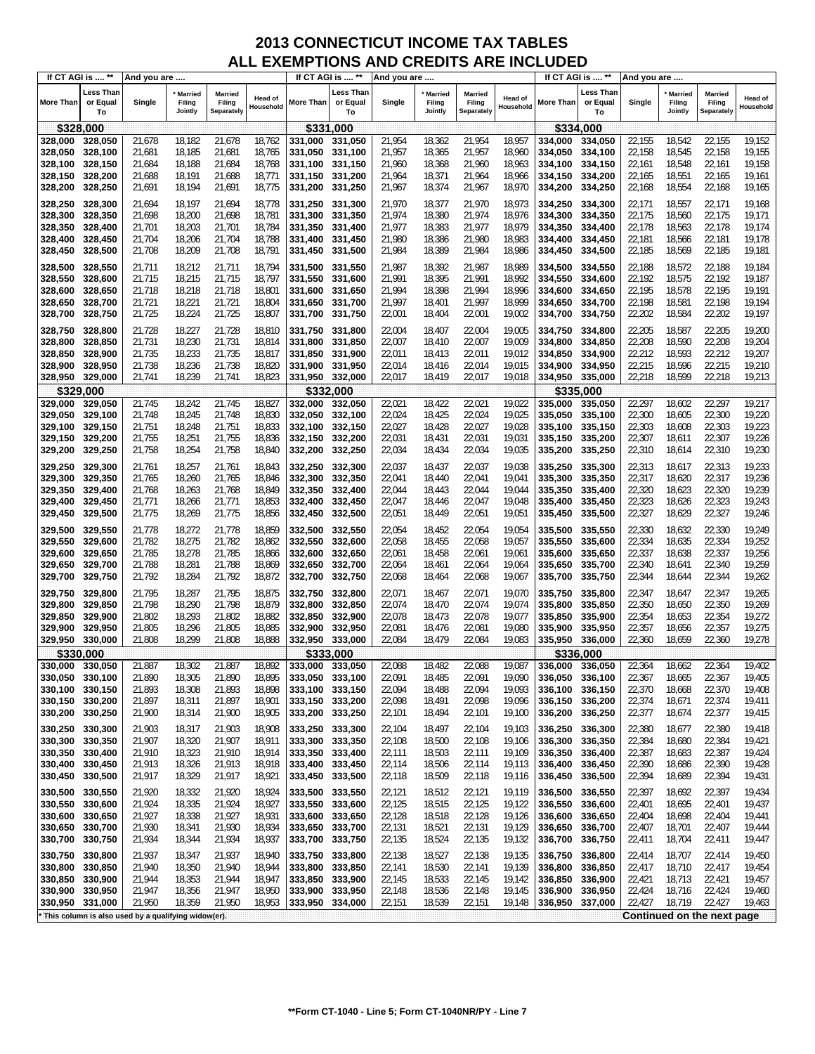|                    | If CT AGI is  **            | And you are                                         |                              |                                        |                             | If CT AGI is  **           |                                    | And you are      |                                     |                                 |                             |                    | If CT AGI is  **            | And you are      |                                     |                                        |                      |
|--------------------|-----------------------------|-----------------------------------------------------|------------------------------|----------------------------------------|-----------------------------|----------------------------|------------------------------------|------------------|-------------------------------------|---------------------------------|-----------------------------|--------------------|-----------------------------|------------------|-------------------------------------|----------------------------------------|----------------------|
| <b>More Than</b>   | Less Than<br>or Equal<br>To | Single                                              | Married<br>Filing<br>Jointly | <b>Married</b><br>Filing<br>Separately | <b>Head of</b><br>Household | More Than                  | <b>Less Than</b><br>or Equal<br>To | Single           | <b>Married</b><br>Filing<br>Jointly | Married<br>Filing<br>Separately | <b>Head of</b><br>Household | More Than          | Less Than<br>or Equal<br>To | Single           | <b>Married</b><br>Filing<br>Jointly | <b>Married</b><br>Filing<br>Separately | Head of<br>Household |
|                    | \$328,000                   |                                                     |                              |                                        |                             | \$331,000                  |                                    |                  |                                     |                                 |                             |                    | \$334,000                   |                  |                                     |                                        |                      |
| 328,000            | 328,050                     | 21,678                                              | 18,182                       | 21,678                                 | 18,762                      | 331.000                    | 331,050                            | 21,954           | 18,362                              | 21,954                          | 18,957                      | 334,000            | 334,050                     | 22,155           | 18,542                              | 22,155                                 | 19,152               |
| 328,050            | 328,100                     | 21,681                                              | 18,185                       | 21,681                                 | 18,765                      | 331,050                    | 331,100                            | 21,957           | 18,365                              | 21,957                          | 18,960                      | 334,050            | 334,100                     | 22,158           | 18,545                              | 22,158                                 | 19,155               |
| 328,100            | 328,150                     | 21,684                                              | 18,188                       | 21,684                                 | 18,768                      | 331,100                    | 331,150                            | 21,960           | 18,368                              | 21,960                          | 18,963                      | 334,100            | 334,150                     | 22,161           | 18,548                              | 22,161                                 | 19,158               |
| 328,150            | 328,200                     | 21,688                                              | 18,191                       | 21,688                                 | 18,771                      | 331,150                    | 331,200                            | 21,964           | 18,371                              | 21,964                          | 18,966                      | 334,150            | 334,200                     | 22,165           | 18,551                              | 22,165                                 | 19,161               |
| 328,200            | 328,250                     | 21,691                                              | 18,194                       | 21,691                                 | 18,775                      | 331,200                    | 331,250                            | 21,967           | 18,374                              | 21,967                          | 18,970                      | 334,200            | 334,250                     | 22,168           | 18,554                              | 22,168                                 | 19,165               |
| 328,250            | 328,300                     | 21,694                                              | 18,197                       | 21,694                                 | 18,778                      | 331,250                    | 331,300                            | 21,970           | 18,377                              | 21,970                          | 18,973                      | 334,250            | 334,300                     | 22,171           | 18,557                              | 22,171                                 | 19,168               |
| 328,300            | 328,350                     | 21,698                                              | 18,200                       | 21,698                                 | 18,781                      | 331,300                    | 331,350                            | 21,974           | 18,380                              | 21,974                          | 18,976                      | 334.300            | 334,350                     | 22,175           | 18,560                              | 22,175                                 | 19,171               |
| 328,350            | 328,400                     | 21,701                                              | 18,203                       | 21,701                                 | 18,784                      | 331,350                    | 331,400                            | 21,977           | 18,383                              | 21,977                          | 18,979                      | 334,350            | 334,400                     | 22,178           | 18,563                              | 22,178                                 | 19,174               |
| 328,400            | 328,450                     | 21,704                                              | 18,206                       | 21,704                                 | 18,788                      | 331,400                    | 331,450                            | 21,980           | 18,386                              | 21,980                          | 18,983                      | 334.400            | 334,450                     | 22,181           | 18,566                              | 22,181                                 | 19,178               |
| 328,450            | 328,500                     | 21,708                                              | 18,209                       | 21,708                                 | 18,791                      | 331,450                    | 331,500                            | 21,984           | 18,389                              | 21,984                          | 18,986                      | 334,450            | 334,500                     | 22,185           | 18,569                              | 22,185                                 | 19,181               |
|                    |                             |                                                     |                              |                                        |                             |                            |                                    |                  |                                     |                                 |                             |                    |                             |                  |                                     |                                        |                      |
| 328,500            | 328,550                     | 21,711                                              | 18,212                       | 21,711                                 | 18,794                      | 331,500                    | 331,550                            | 21,987           | 18,392                              | 21,987                          | 18,989                      | 334,500            | 334,550                     | 22,188           | 18,572                              | 22,188                                 | 19,184               |
| 328,550            | 328,600                     | 21,715                                              | 18,215                       | 21,715                                 | 18,797                      | 331,550                    | 331,600                            | 21,991           | 18,395                              | 21,991                          | 18,992                      | 334,550            | 334,600                     | 22,192           | 18,575                              | 22,192                                 | 19,187               |
| 328,600            | 328,650                     | 21,718                                              | 18,218<br>18,221             | 21,718                                 | 18,801                      | 331,600                    | 331,650                            | 21,994<br>21,997 | 18,398                              | 21,994                          | 18,996<br>18,999            | 334,600            | 334,650                     | 22,195           | 18,578<br>18,581                    | 22,195<br>22,198                       | 19,191<br>19,194     |
| 328,650            | 328,700                     | 21,721                                              | 18,224                       | 21,721<br>21,725                       | 18,804                      | 331,650                    | 331,700                            |                  | 18,401                              | 21,997                          |                             | 334,650            | 334,700                     | 22,198           | 18,584                              | 22,202                                 | 19,197               |
| 328,700            | 328,750                     | 21,725                                              |                              |                                        | 18,807                      | 331,700                    | 331,750                            | 22,001           | 18,404                              | 22,001                          | 19,002                      | 334,700            | 334,750                     | 22,202           |                                     |                                        |                      |
| 328,750            | 328,800                     | 21,728                                              | 18,227                       | 21,728                                 | 18,810                      | 331,750                    | 331,800                            | 22,004           | 18,407                              | 22,004                          | 19,005                      | 334,750            | 334,800                     | 22,205           | 18,587                              | 22,205                                 | 19,200               |
| 328,800            | 328,850                     | 21,731                                              | 18,230                       | 21,731                                 | 18,814                      | 331,800                    | 331,850                            | 22,007           | 18,410                              | 22,007                          | 19,009                      | 334,800            | 334,850                     | 22,208           | 18,590                              | 22,208                                 | 19,204               |
| 328,850            | 328,900                     | 21,735                                              | 18,233                       | 21,735                                 | 18,817                      | 331,850                    | 331,900                            | 22,011           | 18,413                              | 22,011                          | 19,012                      | 334,850            | 334,900                     | 22,212           | 18,593                              | 22,212                                 | 19,207               |
| 328,900            | 328,950                     | 21,738                                              | 18,236                       | 21,738                                 | 18,820                      | 331,900                    | 331,950                            | 22,014           | 18,416                              | 22,014                          | 19,015                      | 334,900            | 334,950                     | 22,215           | 18,596                              | 22,215                                 | 19,210               |
| 328,950            | 329,000                     | 21,741                                              | 18,239                       | 21,741                                 | 18,823                      | 331,950                    | 332,000                            | 22,017           | 18,419                              | 22,017                          | 19,018                      | 334,950            | 335,000                     | 22,218           | 18,599                              | 22,218                                 | 19,213               |
|                    | \$329,000                   |                                                     |                              |                                        |                             |                            | \$332.000                          |                  |                                     |                                 |                             |                    | \$335,000                   |                  |                                     |                                        |                      |
| 329,000            | 329,050                     | 21,745                                              | 18,242                       | 21,745                                 | 18,827                      | 332,000                    | 332,050                            | 22,021           | 18,422                              | 22,021                          | 19,022                      | 335,000            | 335,050                     | 22,297           | 18,602                              | 22,297                                 | 19,217               |
| 329,050            | 329,100                     | 21,748                                              | 18,245                       | 21,748                                 | 18,830                      | 332,050                    | 332,100                            | 22,024           | 18,425                              | 22,024                          | 19,025                      | 335,050            | 335,100                     | 22,300           | 18,605                              | 22,300                                 | 19,220               |
| 329,100<br>329,150 | 329,150<br>329,200          | 21,751<br>21,755                                    | 18,248<br>18,251             | 21,751<br>21,755                       | 18,833<br>18,836            | 332,100<br>332,150         | 332,150<br>332,200                 | 22,027<br>22,031 | 18,428<br>18,431                    | 22,027<br>22,031                | 19,028<br>19,031            | 335,100<br>335,150 | 335,150<br>335,200          | 22,303<br>22,307 | 18,608<br>18,611                    | 22,303<br>22,307                       | 19,223<br>19,226     |
| 329,200            | 329,250                     | 21,758                                              | 18,254                       | 21,758                                 | 18,840                      | 332,200                    | 332,250                            | 22,034           | 18,434                              | 22,034                          | 19,035                      | 335,200            | 335,250                     | 22,310           | 18,614                              | 22,310                                 | 19,230               |
|                    |                             |                                                     |                              |                                        |                             |                            |                                    |                  |                                     |                                 |                             |                    |                             |                  |                                     |                                        |                      |
| 329,250            | 329,300                     | 21,761                                              | 18,257                       | 21,761                                 | 18,843                      | 332,250                    | 332,300                            | 22,037           | 18,437                              | 22,037                          | 19,038                      | 335,250            | 335,300                     | 22,313           | 18,617                              | 22,313                                 | 19,233               |
| 329,300            | 329,350                     | 21,765                                              | 18,260                       | 21,765                                 | 18,846                      | 332,300                    | 332,350                            | 22,041           | 18,440                              | 22,041                          | 19,041                      | 335,300            | 335,350                     | 22,317           | 18,620                              | 22,317                                 | 19,236               |
| 329,350            | 329,400                     | 21,768                                              | 18,263                       | 21,768                                 | 18,849                      | 332,350                    | 332,400                            | 22,044           | 18,443                              | 22,044                          | 19,044                      | 335,350            | 335,400                     | 22,320           | 18,623                              | 22,320                                 | 19,239               |
| 329,400            | 329,450                     | 21,771                                              | 18,266                       | 21,771                                 | 18,853                      | 332,400                    | 332,450                            | 22,047           | 18,446                              | 22,047                          | 19,048                      | 335,400            | 335,450                     | 22,323           | 18,626                              | 22,323                                 | 19,243               |
| 329,450            | 329,500                     | 21,775                                              | 18,269                       | 21,775                                 | 18,856                      | 332,450                    | 332,500                            | 22,051           | 18,449                              | 22,051                          | 19,051                      | 335,450            | 335,500                     | 22,327           | 18,629                              | 22,327                                 | 19,246               |
| 329,500            | 329,550                     | 21,778                                              | 18,272                       | 21,778                                 | 18,859                      | 332,500                    | 332,550                            | 22,054           | 18,452                              | 22,054                          | 19,054                      | 335,500            | 335,550                     | 22,330           | 18,632                              | 22,330                                 | 19,249               |
| 329,550            | 329,600                     | 21,782                                              | 18,275                       | 21,782                                 | 18,862                      | 332,550                    | 332,600                            | 22,058           | 18,455                              | 22,058                          | 19,057                      | 335,550            | 335,600                     | 22,334           | 18,635                              | 22,334                                 | 19,252               |
| 329,600            | 329,650                     | 21,785                                              | 18,278                       | 21,785                                 | 18,866                      | 332,600                    | 332,650                            | 22,061           | 18,458                              | 22,061                          | 19,061                      | 335,600            | 335,650                     | 22,337           | 18,638                              | 22,337                                 | 19,256               |
| 329,650            | 329,700                     | 21,788                                              | 18,281                       | 21,788                                 | 18,869                      | 332,650                    | 332,700                            | 22,064           | 18,461                              | 22,064                          | 19,064                      | 335,650            | 335,700                     | 22,340           | 18,641                              | 22,340                                 | 19,259               |
| 329,700            | 329,750                     | 21,792                                              | 18,284                       | 21,792                                 | 18,872                      | 332,700                    | 332,750                            | 22,068           | 18,464                              | 22,068                          | 19,067                      | 335,700            | 335,750                     | 22,344           | 18,644                              | 22,344                                 | 19,262               |
| 329,750            | 329,800                     | 21,795                                              | 18,287                       | 21,795                                 | 18,875                      | 332,750                    | 332,800                            | 22,071           | 18,467                              | 22,071                          | 19,070                      | 335,750            | 335,800                     | 22,347           | 18,647                              | 22,347                                 | 19,265               |
| 329,800            | 329,850                     | 21,798                                              | 18,290                       | 21,798                                 | 18,879                      | 332,800                    | 332,850                            | 22,074           | 18,470                              | 22,074                          | 19,074                      | 335,800            | 335,850                     | 22,350           | 18,650                              | 22,350                                 | 19,269               |
| 329,850            | 329,900                     | 21,802                                              | 18,293                       | 21,802                                 | 18,882                      | 332,850                    | 332,900                            | 22,078           | 18,473                              | 22,078                          | 19,077                      | 335,850            | 335,900                     | 22,354           | 18,653                              | 22,354                                 | 19,272               |
| 329,900            | 329,950                     | 21,805                                              | 18,296                       | 21,805                                 | 18,885                      | 332,900                    | 332,950                            | 22,081           | 18,476                              | 22,081                          | 19,080                      | 335.900            | 335,950                     | 22,357           | 18,656                              | 22,357                                 | 19,275               |
| 329,950            | 330,000                     | 21,808                                              | 18,299                       | 21,808                                 | 18,888                      | 332,950                    | 333,000                            | 22,084           | 18,479                              | 22,084                          | 19,083                      | 335,950            | 336,000                     | 22,360           | 18,659                              | 22,360                                 | 19,278               |
|                    | \$330,000                   |                                                     |                              |                                        |                             | \$333,000                  |                                    |                  |                                     |                                 |                             |                    | \$336,000                   |                  |                                     |                                        |                      |
| 330,000            | 330,050                     | 21,887                                              | 18,302                       | 21,887                                 | 18,892                      | 333,000                    | 333.050                            | 22,088           | 18,482                              | 22,088                          | 19,087                      | 336.000            | 336,050                     | 22,364           | 18,662                              | 22,364                                 | 19,402               |
| 330,050<br>330,100 | 330,100<br>330,150          | 21,890<br>21,893                                    | 18,305<br>18,308             | 21,890<br>21,893                       | 18,895<br>18,898            | 333,050<br>333,100         | 333,100<br>333,150                 | 22,091<br>22,094 | 18,485<br>18,488                    | 22,091<br>22,094                | 19,090<br>19,093            | 336,050<br>336,100 | 336,100<br>336,150          | 22,367<br>22,370 | 18,665<br>18,668                    | 22,367<br>22,370                       | 19,405<br>19,408     |
| 330,150            | 330,200                     | 21,897                                              | 18,311                       | 21,897                                 | 18,901                      | 333,150 333,200            |                                    | 22,098           | 18,491                              | 22,098                          | 19,096                      | 336,150            | 336,200                     | 22,374           | 18,671                              | 22,374                                 | 19,411               |
| 330,200            | 330,250                     | 21,900                                              | 18,314                       | 21,900                                 | 18,905                      | 333,200                    | 333,250                            | 22,101           | 18,494                              | 22,101                          | 19,100                      | 336,200            | 336,250                     | 22,377           | 18,674                              | 22,377                                 | 19,415               |
|                    |                             |                                                     |                              |                                        |                             |                            |                                    |                  |                                     |                                 |                             |                    |                             |                  |                                     |                                        |                      |
| 330,250<br>330,300 | 330,300<br>330,350          | 21,903<br>21,907                                    | 18,317<br>18,320             | 21,903<br>21,907                       | 18,908<br>18,911            | 333,250<br>333,300         | 333,300<br>333,350                 | 22,104<br>22,108 | 18,497<br>18,500                    | 22,104<br>22,108                | 19,103                      | 336,250            | 336,300                     | 22,380<br>22,384 | 18,677<br>18,680                    | 22,380<br>22,384                       | 19,418<br>19,421     |
| 330,350            | 330,400                     | 21,910                                              | 18,323                       | 21,910                                 | 18,914                      | 333,350                    | 333,400                            | 22,111           | 18,503                              | 22,111                          | 19,106<br>19,109            | 336,300<br>336,350 | 336,350<br>336,400          | 22,387           | 18,683                              | 22,387                                 | 19,424               |
| 330,400            | 330,450                     | 21,913                                              | 18,326                       | 21,913                                 | 18,918                      | 333,400                    | 333,450                            | 22,114           | 18,506                              | 22,114                          | 19,113                      | 336,400            | 336,450                     | 22,390           | 18,686                              | 22,390                                 | 19,428               |
| 330,450            | 330,500                     | 21,917                                              | 18,329                       | 21,917                                 | 18,921                      | 333,450                    | 333,500                            | 22,118           | 18,509                              | 22,118                          | 19,116                      | 336,450            | 336,500                     | 22,394           | 18,689                              | 22,394                                 | 19,431               |
|                    |                             |                                                     |                              |                                        |                             |                            |                                    |                  |                                     |                                 |                             |                    |                             |                  |                                     |                                        |                      |
| 330,500            | 330,550                     | 21,920                                              | 18,332                       | 21,920                                 | 18,924                      | 333,500                    | 333,550                            | 22,121           | 18,512                              | 22,121                          | 19,119                      | 336,500            | 336,550                     | 22,397           | 18,692                              | 22,397                                 | 19,434               |
| 330,550<br>330,600 | 330,600                     | 21,924                                              | 18,335                       | 21,924                                 | 18,927                      | 333,550                    | 333,600                            | 22,125           | 18,515                              | 22,125                          | 19,122                      | 336,550            | 336,600                     | 22,401           | 18,695                              | 22,401                                 | 19,437               |
|                    | 330,650<br>330,700          | 21,927                                              | 18,338                       | 21,927                                 | 18,931                      | 333,600<br>333,650 333,700 | 333,650                            | 22,128           | 18,518                              | 22,128                          | 19,126                      | 336,600            | 336,650                     | 22,404           | 18,698                              | 22,404<br>22,407                       | 19,441<br>19,444     |
| 330,650<br>330,700 | 330,750                     | 21,930<br>21,934                                    | 18,341<br>18,344             | 21,930<br>21,934                       | 18,934<br>18,937            | 333,700                    | 333,750                            | 22,131<br>22,135 | 18,521<br>18,524                    | 22,131<br>22,135                | 19,129<br>19,132            | 336,650<br>336,700 | 336,700<br>336,750          | 22,407<br>22,411 | 18,701<br>18,704                    | 22,411                                 | 19,447               |
|                    |                             |                                                     |                              |                                        |                             |                            |                                    |                  |                                     |                                 |                             |                    |                             |                  |                                     |                                        |                      |
| 330,750            | 330,800                     | 21,937                                              | 18,347                       | 21,937                                 | 18,940                      | 333,750                    | 333,800                            | 22,138           | 18,527                              | 22,138                          | 19,135                      | 336,750            | 336,800                     | 22,414           | 18,707                              | 22,414                                 | 19,450               |
| 330,800            | 330,850                     | 21,940                                              | 18,350                       | 21,940                                 | 18,944                      | 333,800                    | 333,850                            | 22,141           | 18,530                              | 22,141                          | 19,139                      | 336,800            | 336,850                     | 22,417           | 18,710                              | 22,417                                 | 19,454               |
| 330,850            | 330,900                     | 21,944                                              | 18,353                       | 21,944                                 | 18,947                      | 333,850                    | 333,900                            | 22,145           | 18,533                              | 22,145                          | 19,142                      | 336,850            | 336,900                     | 22,421           | 18,713                              | 22,421                                 | 19,457               |
| 330,900            | 330,950                     | 21,947                                              | 18,356                       | 21,947                                 | 18,950                      | 333,900                    | 333,950                            | 22,148           | 18,536                              | 22,148                          | 19,145                      | 336,900            | 336,950                     | 22,424           | 18,716                              | 22,424                                 | 19,460               |
| 330,950            | 331,000                     | 21,950                                              | 18,359                       | 21,950                                 | 18,953                      | 333,950                    | 334,000                            | 22,151           | 18,539                              | 22,151                          | 19,148                      | 336,950            | 337,000                     | 22,427           | 18,719                              | 22,427                                 | 19,463               |
|                    |                             | This column is also used by a qualifying widow(er). |                              |                                        |                             |                            |                                    |                  |                                     |                                 |                             |                    |                             |                  |                                     | Continued on the next page             |                      |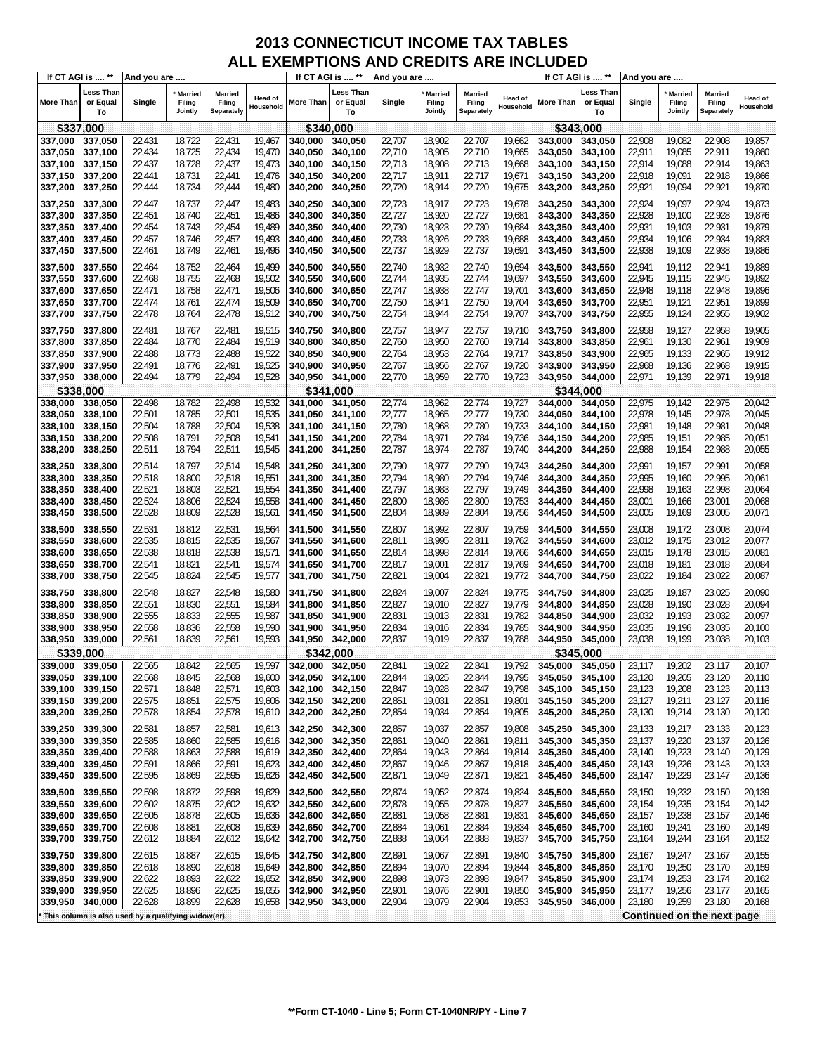|                    | If CT AGI is  **            | And you are                                         |                              |                                        |                             | If CT AGI is  **   |                             | And you are      |                                     |                                        |                             | If CT AGI is  **   |                                    | And you are      |                                     |                                        |                      |
|--------------------|-----------------------------|-----------------------------------------------------|------------------------------|----------------------------------------|-----------------------------|--------------------|-----------------------------|------------------|-------------------------------------|----------------------------------------|-----------------------------|--------------------|------------------------------------|------------------|-------------------------------------|----------------------------------------|----------------------|
| <b>More Than</b>   | Less Than<br>or Equal<br>To | Single                                              | Married<br>Filing<br>Jointly | <b>Married</b><br>Filing<br>Separately | <b>Head of</b><br>Household | More Than          | Less Than<br>or Equal<br>To | Single           | <b>Married</b><br>Filing<br>Jointly | <b>Married</b><br>Filing<br>Separately | <b>Head of</b><br>Household | More Than          | <b>Less Than</b><br>or Equal<br>To | Single           | <b>Married</b><br>Filing<br>Jointly | <b>Married</b><br>Filing<br>Separately | Head of<br>Household |
|                    | \$337,000                   |                                                     |                              |                                        |                             | \$340,000          |                             |                  |                                     |                                        |                             | \$343,000          |                                    |                  |                                     |                                        |                      |
| 337,000            | 337,050                     | 22,431                                              | 18,722                       | 22,431                                 | 19,467                      | 340,000            | 340,050                     | 22,707           | 18,902                              | 22,707                                 | 19,662                      | 343.000            | 343,050                            | 22,908           | 19,082                              | 22,908                                 | 19,857               |
| 337,050            | 337,100                     | 22,434                                              | 18,725                       | 22,434                                 | 19,470                      | 340,050            | 340,100                     | 22,710           | 18,905                              | 22,710                                 | 19,665                      | 343.050            | 343,100                            | 22,911           | 19,085                              | 22,911                                 | 19,860               |
| 337,100            | 337,150                     | 22,437                                              | 18,728                       | 22,437                                 | 19,473                      | 340,100            | 340,150                     | 22,713           | 18,908                              | 22,713                                 | 19,668                      | 343,100            | 343,150                            | 22,914           | 19,088                              | 22,914                                 | 19,863               |
| 337,150            | 337,200                     | 22,441                                              | 18,731                       | 22,441                                 | 19,476                      | 340,150            | 340,200                     | 22,717           | 18,911                              | 22,717                                 | 19,671                      | 343,150            | 343,200                            | 22,918           | 19,091                              | 22,918                                 | 19,866               |
| 337,200            | 337,250                     | 22,444                                              | 18,734                       | 22,444                                 | 19,480                      | 340,200            | 340,250                     | 22,720           | 18,914                              | 22,720                                 | 19,675                      | 343,200            | 343,250                            | 22,921           | 19,094                              | 22,921                                 | 19,870               |
|                    |                             |                                                     |                              |                                        |                             |                    |                             |                  |                                     |                                        |                             |                    |                                    |                  |                                     |                                        |                      |
| 337,250            | 337,300                     | 22,447                                              | 18,737                       | 22,447                                 | 19,483                      | 340,250            | 340,300                     | 22,723           | 18,917                              | 22,723                                 | 19,678                      | 343,250            | 343,300                            | 22,924           | 19,097                              | 22,924                                 | 19,873               |
| 337,300            | 337,350                     | 22,451                                              | 18,740                       | 22,451                                 | 19,486                      | 340,300            | 340,350                     | 22,727           | 18,920                              | 22,727                                 | 19,681                      | 343,300            | 343,350                            | 22,928           | 19,100                              | 22,928                                 | 19,876               |
| 337,350            | 337,400                     | 22,454                                              | 18,743                       | 22,454                                 | 19,489                      | 340,350            | 340,400                     | 22,730           | 18,923                              | 22,730                                 | 19,684                      | 343,350            | 343,400                            | 22,931           | 19,103                              | 22,931                                 | 19,879               |
| 337,400            | 337,450                     | 22,457                                              | 18,746                       | 22,457                                 | 19,493                      | 340,400            | 340,450                     | 22,733           | 18,926                              | 22,733                                 | 19,688                      | 343,400            | 343,450                            | 22,934           | 19,106                              | 22,934                                 | 19,883               |
| 337,450            | 337,500                     | 22,461                                              | 18,749                       | 22,461                                 | 19,496                      | 340,450            | 340,500                     | 22,737           | 18,929                              | 22,737                                 | 19,691                      | 343,450            | 343,500                            | 22,938           | 19,109                              | 22,938                                 | 19,886               |
| 337,500            | 337,550                     | 22,464                                              | 18,752                       | 22,464                                 | 19,499                      | 340,500            | 340,550                     | 22,740           | 18,932                              | 22,740                                 | 19,694                      | 343,500            | 343,550                            | 22,941           | 19,112                              | 22,941                                 | 19,889               |
| 337,550            | 337,600                     | 22,468                                              | 18,755                       | 22,468                                 | 19,502                      | 340,550            | 340,600                     | 22,744           | 18,935                              | 22,744                                 | 19,697                      | 343,550            | 343,600                            | 22,945           | 19,115                              | 22,945                                 | 19,892               |
| 337,600            | 337,650                     | 22,471                                              | 18,758                       | 22,471                                 | 19,506                      | 340,600            | 340,650                     | 22,747           | 18,938                              | 22,747                                 | 19,701                      | 343,600            | 343,650                            | 22,948           | 19,118                              | 22,948                                 | 19,896               |
| 337,650            | 337,700                     | 22,474                                              | 18,761                       | 22,474                                 | 19,509                      | 340,650            | 340,700                     | 22,750           | 18,941                              | 22,750                                 | 19,704                      | 343,650            | 343,700                            | 22,951           | 19,121                              | 22,951                                 | 19,899               |
| 337,700            | 337,750                     | 22,478                                              | 18,764                       | 22,478                                 | 19,512                      | 340,700            | 340,750                     | 22,754           | 18,944                              | 22,754                                 | 19,707                      | 343,700            | 343,750                            | 22,955           | 19,124                              | 22,955                                 | 19,902               |
|                    | 337,800                     |                                                     | 18,767                       | 22,481                                 | 19,515                      |                    | 340,800                     | 22,757           | 18,947                              | 22,757                                 | 19,710                      | 343,750            |                                    | 22,958           | 19,127                              | 22,958                                 | 19,905               |
| 337,750<br>337,800 | 337,850                     | 22,481<br>22,484                                    | 18,770                       | 22,484                                 | 19,519                      | 340,750<br>340,800 | 340,850                     | 22,760           | 18,950                              | 22,760                                 | 19,714                      | 343,800            | 343,800<br>343,850                 | 22,961           | 19,130                              | 22,961                                 | 19,909               |
|                    |                             |                                                     |                              |                                        |                             |                    |                             |                  |                                     |                                        |                             |                    |                                    |                  |                                     |                                        |                      |
| 337,850            | 337,900                     | 22,488                                              | 18,773                       | 22,488                                 | 19,522<br>19,525            | 340,850            | 340,900                     | 22,764           | 18,953                              | 22,764                                 | 19,717                      | 343,850            | 343,900<br>343,950                 | 22,965           | 19,133                              | 22,965                                 | 19,912               |
| 337,900            | 337,950<br>338,000          | 22,491                                              | 18,776<br>18,779             | 22,491                                 | 19,528                      | 340,900            | 340,950                     | 22,767           | 18,956                              | 22,767                                 | 19,720                      | 343,900            |                                    | 22,968           | 19,136                              | 22,968<br>22,971                       | 19,915<br>19,918     |
| 337,950            |                             | 22,494                                              |                              | 22,494                                 |                             | 340,950            | 341,000                     | 22,770           | 18,959                              | 22,770                                 | 19,723                      | 343,950            | 344,000                            | 22,971           | 19,139                              |                                        |                      |
|                    | \$338.000                   |                                                     |                              |                                        | 19,532                      | \$341,000          |                             |                  |                                     |                                        |                             | \$344,000          |                                    |                  |                                     |                                        |                      |
| 338,000            | 338,050                     | 22,498                                              | 18,782                       | 22,498                                 |                             | 341,000            | 341,050                     | 22,774           | 18,962                              | 22,774                                 | 19,727                      | 344,000            | 344,050                            | 22,975           | 19,142                              | 22,975                                 | 20,042               |
| 338,050<br>338,100 | 338,100<br>338,150          | 22,501<br>22,504                                    | 18,785<br>18,788             | 22,501<br>22,504                       | 19,535<br>19,538            | 341,050<br>341.100 | 341,100<br>341,150          | 22,777<br>22,780 | 18,965<br>18,968                    | 22,777                                 | 19,730<br>19,733            | 344.050<br>344,100 | 344,100<br>344,150                 | 22,978<br>22,981 | 19,145<br>19,148                    | 22,978<br>22,981                       | 20,045<br>20,048     |
| 338,150            | 338,200                     | 22,508                                              | 18,791                       | 22,508                                 | 19,541                      |                    | 341,200                     | 22,784           | 18,971                              | 22,780<br>22,784                       | 19,736                      |                    | 344,200                            | 22,985           | 19,151                              | 22,985                                 | 20,051               |
| 338,200            | 338,250                     | 22,511                                              | 18,794                       | 22,511                                 | 19,545                      | 341,150<br>341,200 | 341,250                     | 22,787           | 18,974                              | 22,787                                 | 19,740                      | 344,150<br>344,200 |                                    | 22,988           | 19,154                              | 22,988                                 | 20,055               |
|                    |                             |                                                     |                              |                                        |                             |                    |                             |                  |                                     |                                        |                             |                    | 344,250                            |                  |                                     |                                        |                      |
| 338,250            | 338,300                     | 22,514                                              | 18,797                       | 22,514                                 | 19,548                      | 341,250            | 341,300                     | 22,790           | 18,977                              | 22,790                                 | 19,743                      | 344,250            | 344,300                            | 22,991           | 19,157                              | 22,991                                 | 20,058               |
| 338,300            | 338,350                     | 22,518                                              | 18,800                       | 22,518                                 | 19,551                      | 341,300            | 341,350                     | 22,794           | 18,980                              | 22,794                                 | 19,746                      | 344,300            | 344,350                            | 22,995           | 19,160                              | 22,995                                 | 20,061               |
| 338,350            | 338,400                     | 22,521                                              | 18,803                       | 22,521                                 | 19,554                      | 341,350            | 341,400                     | 22,797           | 18,983                              | 22,797                                 | 19,749                      | 344,350            | 344,400                            | 22,998           | 19,163                              | 22,998                                 | 20,064               |
| 338,400            | 338,450                     | 22,524                                              | 18,806                       | 22,524                                 | 19,558                      | 341,400            | 341,450                     | 22,800           | 18,986                              | 22,800                                 | 19,753                      | 344,400            | 344,450                            | 23,001           | 19,166                              | 23,001                                 | 20,068               |
| 338,450            | 338,500                     | 22,528                                              | 18,809                       | 22,528                                 | 19,561                      | 341,450            | 341,500                     | 22,804           | 18,989                              | 22,804                                 | 19,756                      | 344,450            | 344,500                            | 23,005           | 19,169                              | 23,005                                 | 20,071               |
| 338,500            | 338,550                     | 22,531                                              | 18,812                       | 22,531                                 | 19,564                      | 341,500            | 341,550                     | 22,807           | 18,992                              | 22,807                                 | 19,759                      | 344,500            | 344,550                            | 23,008           | 19,172                              | 23,008                                 | 20,074               |
| 338,550            | 338,600                     | 22,535                                              | 18,815                       | 22,535                                 | 19,567                      | 341,550            | 341,600                     | 22,811           | 18,995                              | 22,811                                 | 19,762                      | 344,550            | 344,600                            | 23,012           | 19,175                              | 23,012                                 | 20,077               |
| 338,600            | 338,650                     | 22,538                                              | 18,818                       | 22,538                                 | 19,571                      | 341,600            | 341,650                     | 22,814           | 18,998                              | 22,814                                 | 19,766                      | 344,600            | 344,650                            | 23,015           | 19,178                              | 23,015                                 | 20,081               |
| 338,650            | 338,700                     | 22,541                                              | 18,821                       | 22,541                                 | 19,574                      | 341,650            | 341,700                     | 22,817           | 19,001                              | 22,817                                 | 19,769                      | 344,650            | 344,700                            | 23,018           | 19,181                              | 23,018                                 | 20,084               |
| 338,700            | 338,750                     | 22,545                                              | 18,824                       | 22,545                                 | 19,577                      | 341,700            | 341,750                     | 22,821           | 19,004                              | 22,821                                 | 19,772                      | 344,700            | 344,750                            | 23,022           | 19,184                              | 23,022                                 | 20,087               |
| 338,750            | 338,800                     | 22,548                                              | 18,827                       | 22,548                                 | 19,580                      | 341,750            | 341,800                     | 22,824           | 19,007                              | 22,824                                 | 19,775                      | 344,750            | 344,800                            | 23,025           | 19,187                              | 23,025                                 | 20,090               |
| 338,800            | 338,850                     | 22,551                                              | 18,830                       | 22,551                                 | 19,584                      | 341,800            | 341,850                     | 22,827           | 19,010                              | 22,827                                 | 19,779                      | 344,800            | 344,850                            | 23,028           | 19,190                              | 23,028                                 | 20,094               |
| 338,850            | 338,900                     | 22,555                                              | 18,833                       | 22,555                                 | 19,587                      | 341.850            | 341,900                     | 22,831           | 19,013                              | 22,831                                 | 19,782                      | 344,850            | 344,900                            | 23,032           | 19,193                              | 23,032                                 | 20,097               |
| 338,900            | 338,950                     | 22,558                                              | 18,836                       | 22,558                                 | 19,590                      | 341,900            | 341,950                     | 22,834           | 19,016                              | 22,834                                 | 19,785                      | 344,900            | 344,950                            | 23,035           | 19,196                              | 23,035                                 | 20,100               |
| 338,950            | 339,000                     | 22,561                                              | 18,839                       | 22,561                                 | 19,593                      | 341,950            | 342,000                     | 22,837           | 19,019                              | 22,837                                 | 19,788                      | 344,950            | 345,000                            | 23,038           | 19,199                              | 23,038                                 | 20,103               |
|                    | \$339,000                   |                                                     |                              |                                        |                             | \$342,000          |                             |                  |                                     |                                        |                             | \$345,000          |                                    |                  |                                     |                                        |                      |
| 339.000            | 339,050                     | 22,565                                              | 18,842                       | 22,565                                 | 19,597                      | 342,000            | 342.050                     | 22,841           | 19.022                              | 22,841                                 | 19,792                      | 345,000            | 345,050                            | 23,117           | 19,202                              | 23,117                                 | 20,107               |
| 339,050            | 339,100                     | 22,568                                              | 18,845                       | 22,568                                 | 19,600                      | 342,050            | 342,100                     | 22,844           | 19,025                              | 22,844                                 | 19,795                      | 345,050            | 345,100                            | 23,120           | 19,205                              | 23,120                                 | 20,110               |
| 339,100            | 339,150                     | 22,571                                              | 18,848                       | 22,571                                 | 19,603                      | 342,100            | 342,150                     | 22,847           | 19,028                              | 22,847                                 | 19,798                      | 345,100            | 345,150                            | 23,123           | 19,208                              | 23,123                                 | 20,113               |
| 339,150            | 339,200                     | 22,575                                              | 18,851                       | 22,575                                 | 19,606                      | 342,150            | 342,200                     | 22,851           | 19,031                              | 22,851                                 | 19,801                      | 345,150            | 345,200                            | 23,127           | 19,211                              | 23,127                                 | 20,116               |
| 339,200            | 339,250                     | 22,578                                              | 18,854                       | 22,578                                 | 19,610                      | 342,200            | 342,250                     | 22,854           | 19,034                              | 22,854                                 | 19,805                      | 345,200            | 345,250                            | 23,130           | 19,214                              | 23,130                                 | 20,120               |
| 339,250            | 339,300                     | 22,581                                              | 18,857                       | 22,581                                 | 19,613                      | 342,250            | 342,300                     | 22,857           | 19,037                              | 22,857                                 | 19,808                      | 345,250            | 345,300                            | 23,133           | 19,217                              | 23,133                                 | 20,123               |
| 339,300            | 339,350                     | 22,585                                              | 18,860                       | 22,585                                 | 19,616                      | 342,300            | 342,350                     | 22,861           | 19,040                              | 22,861                                 | 19,811                      | 345,300            | 345,350                            | 23,137           | 19,220                              | 23,137                                 | 20,126               |
| 339,350            | 339,400                     | 22,588                                              | 18,863                       | 22,588                                 | 19,619                      | 342,350            | 342,400                     | 22,864           | 19,043                              | 22,864                                 | 19,814                      | 345,350            | 345,400                            | 23,140           | 19,223                              | 23,140                                 | 20,129               |
| 339,400            | 339,450                     | 22,591                                              | 18,866                       | 22,591                                 | 19,623                      | 342,400 342,450    |                             | 22,867           | 19,046                              | 22,867                                 | 19,818                      | 345,400            | 345,450                            | 23,143           | 19,226                              | 23,143                                 | 20,133               |
| 339,450            | 339,500                     | 22,595                                              | 18,869                       | 22,595                                 | 19,626                      | 342,450            | 342,500                     | 22,871           | 19,049                              | 22,871                                 | 19,821                      | 345,450            | 345,500                            | 23,147           | 19,229                              | 23,147                                 | 20,136               |
|                    |                             |                                                     |                              |                                        |                             |                    |                             |                  |                                     |                                        |                             |                    |                                    |                  |                                     |                                        |                      |
| 339,500            | 339,550                     | 22,598                                              | 18,872                       | 22,598                                 | 19,629                      | 342,500            | 342,550                     | 22,874           | 19,052                              | 22,874                                 | 19,824                      | 345,500            | 345,550                            | 23,150           | 19,232                              | 23,150                                 | 20,139               |
| 339,550<br>339,600 | 339,600                     | 22,602                                              | 18,875                       | 22,602                                 | 19,632                      | 342,550            | 342,600                     | 22,878           | 19,055                              | 22,878                                 | 19,827                      | 345,550<br>345,600 | 345,600                            | 23,154           | 19,235                              | 23,154                                 | 20,142               |
|                    | 339,650                     | 22,605                                              | 18,878                       | 22,605                                 | 19,636<br>19,639            | 342,600            | 342,650                     | 22,881           | 19,058<br>19,061                    | 22,881                                 | 19,831                      |                    | 345,650                            | 23,157           | 19,238                              | 23,157                                 | 20,146               |
| 339,650<br>339,700 | 339,700<br>339,750          | 22,608<br>22,612                                    | 18,881<br>18,884             | 22,608<br>22,612                       | 19,642                      | 342,650<br>342,700 | 342,700<br>342,750          | 22,884<br>22,888 | 19,064                              | 22,884<br>22,888                       | 19,834<br>19,837            | 345,650<br>345,700 | 345,700<br>345,750                 | 23,160<br>23,164 | 19,241<br>19,244                    | 23,160<br>23,164                       | 20,149<br>20,152     |
|                    |                             |                                                     |                              |                                        |                             |                    |                             |                  |                                     |                                        |                             |                    |                                    |                  |                                     |                                        |                      |
| 339,750            | 339,800                     | 22,615                                              | 18,887                       | 22,615                                 | 19,645                      | 342,750            | 342,800                     | 22,891           | 19,067                              | 22,891                                 | 19,840                      | 345,750            | 345,800                            | 23,167           | 19,247                              | 23,167                                 | 20,155               |
| 339,800            | 339,850                     | 22,618                                              | 18,890                       | 22,618                                 | 19,649                      | 342,800            | 342,850                     | 22,894           | 19,070                              | 22,894                                 | 19,844                      | 345,800            | 345,850                            | 23,170           | 19,250                              | 23,170                                 | 20,159               |
| 339,850            | 339,900                     | 22,622                                              | 18,893                       | 22,622                                 | 19,652                      | 342,850            | 342,900                     | 22,898           | 19,073                              | 22,898                                 | 19,847                      | 345,850            | 345,900                            | 23,174           | 19,253                              | 23,174                                 | 20,162               |
| 339,900            | 339,950                     | 22,625                                              | 18,896                       | 22,625                                 | 19,655                      | 342,900            | 342,950                     | 22,901           | 19,076                              | 22,901                                 | 19,850                      | 345,900            | 345,950                            | 23,177           | 19,256                              | 23,177                                 | 20,165               |
| 339,950            | 340,000                     | 22,628                                              | 18,899                       | 22,628                                 | 19,658                      | 342,950            | 343,000                     | 22,904           | 19,079                              | 22,904                                 | 19,853                      | 345,950            | 346,000                            | 23,180           | 19,259                              | 23,180                                 | 20,168               |
|                    |                             | This column is also used by a qualifying widow(er). |                              |                                        |                             |                    |                             |                  |                                     |                                        |                             |                    |                                    |                  |                                     | Continued on the next page             |                      |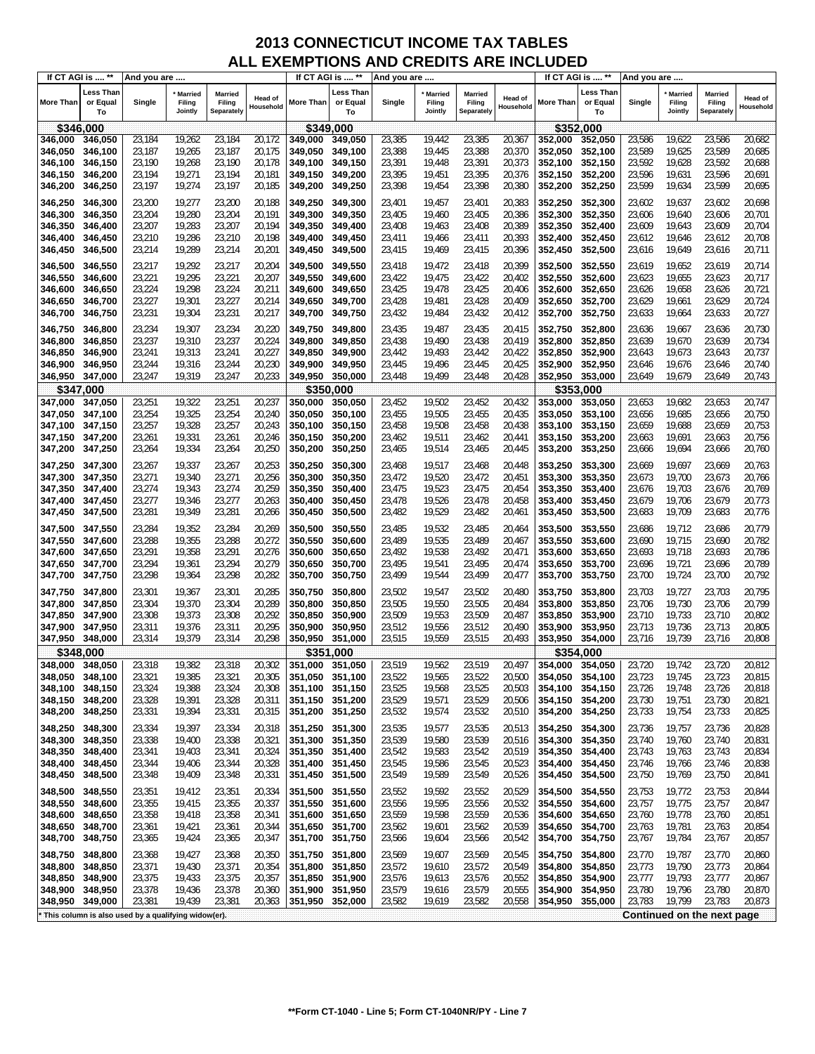|                    | If CT AGI is  **            | And you are                                         |                                     |                                 |                      | If CT AGI is  **   |                             | And you are      |                                     |                                        |                      | If CT AGI is  **   |                                    | And you are      |                                     |                                 |                             |
|--------------------|-----------------------------|-----------------------------------------------------|-------------------------------------|---------------------------------|----------------------|--------------------|-----------------------------|------------------|-------------------------------------|----------------------------------------|----------------------|--------------------|------------------------------------|------------------|-------------------------------------|---------------------------------|-----------------------------|
| <b>More Than</b>   | Less Than<br>or Equal<br>To | Single                                              | <b>Married</b><br>Filing<br>Jointly | Married<br>Filing<br>Separately | Head of<br>Household | More Than          | Less Than<br>or Equal<br>To | Single           | <b>Married</b><br>Filing<br>Jointly | <b>Married</b><br>Filing<br>Separately | Head of<br>Household | More Than          | <b>Less Than</b><br>or Equal<br>To | Single           | <b>Married</b><br>Filing<br>Jointly | Married<br>Filing<br>Separately | <b>Head of</b><br>Household |
|                    | \$346,000                   |                                                     |                                     |                                 |                      | \$349,000          |                             |                  |                                     |                                        |                      | \$352,000          |                                    |                  |                                     |                                 |                             |
| 346,000            | 346,050                     | 23,184                                              | 19,262                              | 23,184                          | 20,172               | 349,000            | 349,050                     | 23,385           | 19,442                              | 23,385                                 | 20,367               | 352,000            | 352,050                            | 23,586           | 19,622                              | 23,586                          | 20,682                      |
| 346,050            | 346,100                     | 23,187                                              | 19,265                              | 23,187                          | 20,175               | 349,050            | 349.100                     | 23,388           | 19,445                              | 23,388                                 | 20,370               | 352.050            | 352,100                            | 23,589           | 19,625                              | 23,589                          | 20,685                      |
| 346,100            | 346,150                     | 23,190                                              | 19,268                              | 23,190                          | 20,178               | 349,100            | 349,150                     | 23,391           | 19,448                              | 23,391                                 | 20,373               | 352,100            | 352,150                            | 23,592           | 19,628                              | 23,592                          | 20,688                      |
| 346,150            | 346,200                     | 23,194                                              | 19,271                              | 23,194                          | 20,181               | 349,150            | 349,200                     | 23,395           | 19,451                              | 23,395                                 | 20,376               | 352,150            | 352,200                            | 23,596           | 19,631                              | 23,596                          | 20,691                      |
| 346,200            | 346,250                     | 23,197                                              | 19,274                              | 23,197                          | 20,185               | 349,200            | 349,250                     | 23,398           | 19,454                              | 23,398                                 | 20,380               | 352,200            | 352,250                            | 23,599           | 19,634                              | 23,599                          | 20,695                      |
|                    |                             |                                                     |                                     |                                 |                      |                    |                             |                  |                                     |                                        |                      |                    |                                    |                  |                                     |                                 |                             |
| 346,250            | 346,300                     | 23,200                                              | 19,277                              | 23,200                          | 20,188               | 349,250            | 349,300                     | 23,401           | 19,457                              | 23,401                                 | 20,383               | 352,250            | 352,300                            | 23,602           | 19,637                              | 23,602                          | 20,698                      |
| 346,300            | 346,350                     | 23,204                                              | 19,280                              | 23,204                          | 20,191               | 349,300            | 349,350                     | 23,405           | 19,460                              | 23,405                                 | 20,386               | 352,300            | 352,350                            | 23,606           | 19,640                              | 23,606                          | 20,701                      |
| 346,350            | 346,400                     | 23,207                                              | 19,283                              | 23,207                          | 20,194               | 349,350            | 349,400                     | 23,408           | 19,463                              | 23,408                                 | 20,389               | 352,350            | 352,400                            | 23,609           | 19,643                              | 23,609                          | 20,704                      |
| 346,400            | 346,450                     | 23,210                                              | 19,286                              | 23,210                          | 20,198               | 349,400            | 349,450                     | 23,411           | 19,466                              | 23,411                                 | 20,393               | 352,400            | 352,450                            | 23,612           | 19,646                              | 23,612                          | 20,708                      |
| 346,450            | 346,500                     | 23,214                                              | 19,289                              | 23,214                          | 20,201               | 349,450            | 349,500                     | 23,415           | 19,469                              | 23,415                                 | 20,396               | 352,450            | 352,500                            | 23,616           | 19,649                              | 23,616                          | 20,711                      |
| 346,500            | 346,550                     | 23,217                                              | 19,292                              | 23,217                          | 20,204               | 349,500            | 349,550                     | 23,418           | 19,472                              | 23,418                                 | 20,399               | 352,500            | 352,550                            | 23,619           | 19,652                              | 23,619                          | 20,714                      |
| 346,550            | 346,600                     | 23,221                                              | 19,295                              | 23,221                          | 20,207               | 349,550            | 349,600                     | 23,422           | 19,475                              | 23,422                                 | 20,402               | 352,550            | 352,600                            | 23,623           | 19,655                              | 23,623                          | 20,717                      |
| 346,600            | 346,650                     | 23,224                                              | 19,298                              | 23,224                          | 20,211               | 349,600            | 349,650                     | 23,425           | 19,478                              | 23,425                                 | 20,406               | 352,600            | 352,650                            | 23,626           | 19,658                              | 23,626                          | 20,721                      |
| 346,650            | 346,700                     | 23,227                                              | 19,301                              | 23,227                          | 20,214               | 349,650            | 349,700                     | 23,428           | 19,481                              | 23,428                                 | 20,409               | 352,650            | 352,700                            | 23,629           | 19,661                              | 23,629                          | 20,724                      |
| 346,700            | 346,750                     | 23,231                                              | 19,304                              | 23,231                          | 20,217               | 349,700            | 349,750                     | 23,432           | 19,484                              | 23,432                                 | 20,412               | 352,700            | 352,750                            | 23,633           | 19,664                              | 23,633                          | 20,727                      |
|                    |                             | 23,234                                              | 19,307                              | 23,234                          | 20,220               |                    |                             | 23,435           | 19,487                              | 23,435                                 |                      |                    |                                    |                  | 19,667                              | 23,636                          | 20,730                      |
| 346,750            | 346,800                     | 23,237                                              | 19,310                              | 23,237                          | 20,224               | 349,750<br>349,800 | 349,800<br>349.850          | 23,438           | 19,490                              | 23,438                                 | 20,415<br>20,419     | 352,750<br>352,800 | 352,800                            | 23,636<br>23,639 | 19,670                              | 23,639                          | 20,734                      |
| 346,800            | 346,850                     |                                                     |                                     |                                 |                      |                    |                             |                  |                                     |                                        |                      |                    | 352,850                            |                  |                                     |                                 |                             |
| 346,850            | 346,900                     | 23,241                                              | 19,313                              | 23,241                          | 20,227               | 349,850            | 349,900                     | 23,442           | 19,493                              | 23,442                                 | 20,422               | 352,850            | 352,900                            | 23,643           | 19,673                              | 23,643                          | 20,737                      |
| 346,900            | 346,950                     | 23,244                                              | 19,316                              | 23,244                          | 20,230               | 349,900            | 349,950                     | 23,445           | 19,496                              | 23,445                                 | 20,425               | 352,900            | 352,950<br>353,000                 | 23,646           | 19,676                              | 23,646                          | 20,740                      |
| 346,950            | 347,000                     | 23,247                                              | 19,319                              | 23,247                          | 20,233               | 349,950            | 350,000                     | 23,448           | 19,499                              | 23,448                                 | 20,428               | 352,950            |                                    | 23,649           | 19,679                              | 23,649                          | 20,743                      |
|                    | \$347,000                   |                                                     |                                     |                                 |                      | \$350,000          |                             |                  |                                     |                                        |                      | \$353,000          |                                    |                  |                                     |                                 |                             |
| 347,000            | 347,050                     | 23,251                                              | 19,322                              | 23,251                          | 20,237               | 350,000<br>350.050 | 350,050                     | 23,452           | 19,502                              | 23,452                                 | 20,432               | 353.000            | 353,050                            | 23,653           | 19,682                              | 23,653                          | 20,747                      |
| 347,050<br>347,100 | 347,100<br>347,150          | 23,254<br>23,257                                    | 19,325<br>19,328                    | 23,254<br>23,257                | 20,240<br>20,243     | 350,100            | 350,100<br>350,150          | 23,455<br>23,458 | 19,505<br>19,508                    | 23,455<br>23,458                       | 20,435<br>20,438     | 353,050<br>353,100 | 353,100<br>353,150                 | 23,656<br>23,659 | 19,685<br>19,688                    | 23,656<br>23,659                | 20,750<br>20,753            |
|                    |                             | 23,261                                              | 19,331                              | 23,261                          | 20,246               | 350,150            | 350,200                     | 23,462           | 19,511                              | 23,462                                 | 20,441               |                    |                                    | 23,663           | 19,691                              | 23,663                          | 20,756                      |
| 347,150<br>347,200 | 347,200<br>347,250          | 23,264                                              | 19,334                              | 23,264                          | 20,250               | 350,200            | 350,250                     | 23,465           | 19,514                              |                                        |                      | 353,150<br>353,200 | 353,200                            | 23,666           | 19,694                              | 23,666                          | 20,760                      |
|                    |                             |                                                     |                                     |                                 |                      |                    |                             |                  |                                     | 23,465                                 | 20,445               |                    | 353,250                            |                  |                                     |                                 |                             |
| 347,250            | 347,300                     | 23,267                                              | 19,337                              | 23,267                          | 20,253               | 350,250            | 350,300                     | 23,468           | 19,517                              | 23,468                                 | 20,448               | 353,250            | 353,300                            | 23,669           | 19,697                              | 23,669                          | 20,763                      |
| 347,300            | 347,350                     | 23,271                                              | 19,340                              | 23,271                          | 20,256               | 350,300            | 350,350                     | 23,472           | 19,520                              | 23,472                                 | 20,451               | 353,300            | 353,350                            | 23,673           | 19,700                              | 23,673                          | 20,766                      |
| 347,350            | 347,400                     | 23,274                                              | 19,343                              | 23,274                          | 20,259               | 350,350            | 350,400                     | 23,475           | 19,523                              | 23,475                                 | 20,454               | 353,350            | 353,400                            | 23,676           | 19,703                              | 23,676                          | 20,769                      |
| 347,400            | 347,450                     | 23,277                                              | 19,346                              | 23,277                          | 20,263               | 350,400            | 350,450                     | 23,478           | 19,526                              | 23,478                                 | 20,458               | 353,400            | 353,450                            | 23,679           | 19,706                              | 23,679                          | 20,773                      |
| 347,450            | 347,500                     | 23,281                                              | 19,349                              | 23,281                          | 20,266               | 350,450            | 350,500                     | 23,482           | 19,529                              | 23,482                                 | 20,461               | 353,450            | 353,500                            | 23,683           | 19,709                              | 23,683                          | 20,776                      |
| 347,500            | 347,550                     | 23,284                                              | 19,352                              | 23,284                          | 20,269               | 350,500            | 350,550                     | 23,485           | 19,532                              | 23,485                                 | 20,464               | 353,500            | 353,550                            | 23,686           | 19,712                              | 23,686                          | 20,779                      |
| 347,550            | 347,600                     | 23,288                                              | 19,355                              | 23,288                          | 20,272               | 350,550            | 350,600                     | 23,489           | 19,535                              | 23,489                                 | 20,467               | 353,550            | 353,600                            | 23,690           | 19,715                              | 23,690                          | 20,782                      |
| 347,600            | 347,650                     | 23,291                                              | 19,358                              | 23,291                          | 20,276               | 350,600            | 350,650                     | 23,492           | 19,538                              | 23,492                                 | 20,471               | 353,600            | 353,650                            | 23,693           | 19,718                              | 23,693                          | 20,786                      |
| 347,650            | 347,700                     | 23,294                                              | 19,361                              | 23,294                          | 20,279               | 350,650            | 350,700                     | 23,495           | 19,541                              | 23,495                                 | 20,474               | 353,650            | 353,700                            | 23,696           | 19,721                              | 23,696                          | 20,789                      |
| 347,700            | 347,750                     | 23,298                                              | 19,364                              | 23,298                          | 20,282               | 350,700            | 350,750                     | 23,499           | 19,544                              | 23,499                                 | 20,477               | 353,700            | 353,750                            | 23,700           | 19,724                              | 23,700                          | 20,792                      |
| 347,750            | 347,800                     | 23,301                                              | 19,367                              | 23,301                          | 20,285               | 350,750            | 350,800                     | 23,502           | 19,547                              | 23,502                                 | 20,480               | 353,750            | 353,800                            | 23,703           | 19,727                              | 23,703                          | 20,795                      |
| 347,800            | 347,850                     | 23,304                                              | 19,370                              | 23,304                          | 20,289               | 350,800            | 350,850                     | 23,505           | 19,550                              | 23,505                                 | 20,484               | 353.800            | 353,850                            | 23,706           | 19,730                              | 23,706                          | 20,799                      |
| 347,850            | 347,900                     | 23,308                                              | 19,373                              | 23,308                          | 20,292               | 350,850            | 350,900                     | 23,509           | 19,553                              | 23,509                                 | 20,487               | 353,850            | 353,900                            | 23,710           | 19,733                              | 23,710                          | 20,802                      |
| 347,900            | 347,950                     | 23,311                                              | 19,376                              | 23,311                          | 20,295               | 350,900            | 350,950                     | 23,512           | 19,556                              | 23,512                                 | 20,490               | 353,900            | 353,950                            | 23,713           | 19,736                              | 23,713                          | 20,805                      |
| 347,950            | 348,000                     | 23,314                                              | 19,379                              | 23,314                          | 20,298               | 350,950            | 351,000                     | 23,515           | 19,559                              | 23,515                                 | 20,493               | 353,950            | 354,000                            | 23,716           | 19,739                              | 23,716                          | 20,808                      |
|                    | \$348,000                   |                                                     |                                     |                                 |                      | \$351              | .000                        |                  |                                     |                                        |                      | \$354,000          |                                    |                  |                                     |                                 |                             |
| 348,000            | 348,050                     | 23,318                                              | 19,382                              | 23,318                          | 20,302               | 351,000            | 351,050                     | 23,519           | 19,562                              | 23,519                                 | 20,497               | 354,000            | 354,050                            | 23,720           | 19,742                              | 23,720                          | 20,812                      |
| 348,050            | 348,100                     | 23,321                                              | 19,385                              | 23,321                          | 20,305               | 351,050            | 351,100                     | 23,522           | 19,565                              | 23,522                                 | 20,500               | 354,050            | 354,100                            | 23,723           | 19,745                              | 23,723                          | 20,815                      |
| 348,100            | 348,150                     | 23,324                                              | 19,388                              | 23,324                          | 20,308               | 351,100            | 351,150                     | 23,525           | 19,568                              | 23,525                                 | 20,503               | 354,100            | 354,150                            | 23,726           | 19,748                              | 23,726                          | 20,818                      |
| 348,150            | 348,200                     | 23,328                                              | 19,391                              | 23,328                          | 20,311               | 351,150            | 351,200                     | 23,529           | 19,571                              | 23,529                                 | 20,506               | 354,150            | 354,200                            | 23,730           | 19,751                              | 23,730                          | 20,821                      |
| 348,200            | 348,250                     | 23,331                                              | 19,394                              | 23,331                          | 20,315               | 351,200            | 351,250                     | 23,532           | 19,574                              | 23,532                                 | 20,510               | 354,200            | 354,250                            | 23,733           | 19,754                              | 23,733                          | 20,825                      |
| 348,250            |                             | 23,334                                              | 19,397                              | 23,334                          | 20,318               |                    | 351,300                     | 23,535           | 19,577                              | 23,535                                 | 20,513               | 354,250            | 354,300                            |                  | 19,757                              |                                 |                             |
| 348,300            | 348,300<br>348,350          | 23,338                                              | 19,400                              | 23,338                          | 20,321               | 351,250<br>351,300 | 351,350                     | 23,539           | 19,580                              | 23,539                                 | 20,516               | 354,300            | 354,350                            | 23,736<br>23,740 | 19,760                              | 23,736<br>23,740                | 20,828<br>20,831            |
| 348,350            | 348,400                     | 23,341                                              | 19,403                              | 23,341                          | 20,324               | 351,350            | 351,400                     | 23,542           | 19,583                              | 23,542                                 | 20,519               | 354,350            | 354,400                            | 23,743           | 19,763                              | 23,743                          | 20,834                      |
| 348,400            | 348,450                     | 23,344                                              | 19,406                              | 23,344                          | 20,328               | 351,400            | 351,450                     | 23,545           | 19,586                              | 23,545                                 | 20,523               | 354,400            | 354,450                            | 23,746           | 19,766                              | 23,746                          | 20,838                      |
| 348,450            | 348,500                     | 23,348                                              | 19,409                              | 23,348                          | 20,331               | 351,450            | 351,500                     | 23,549           | 19,589                              | 23,549                                 | 20,526               | 354,450            | 354,500                            | 23,750           | 19,769                              | 23,750                          | 20,841                      |
|                    |                             |                                                     |                                     |                                 |                      |                    |                             |                  |                                     |                                        |                      |                    |                                    |                  |                                     |                                 |                             |
| 348,500            | 348,550                     | 23,351                                              | 19,412                              | 23,351                          | 20,334               | 351,500            | 351,550                     | 23,552           | 19,592                              | 23,552                                 | 20,529               | 354,500            | 354,550                            | 23,753           | 19,772                              | 23,753                          | 20,844                      |
| 348,550            | 348,600                     | 23,355                                              | 19,415                              | 23,355                          | 20,337               | 351,550            | 351,600                     | 23,556           | 19,595                              | 23,556                                 | 20,532               | 354,550            | 354,600                            | 23,757           | 19,775                              | 23,757                          | 20,847                      |
| 348,600            | 348,650                     | 23,358                                              | 19,418                              | 23,358                          | 20,341               | 351,600            | 351,650                     | 23,559           | 19,598                              | 23,559                                 | 20,536               | 354,600            | 354,650                            | 23,760           | 19,778                              | 23,760                          | 20,851                      |
| 348,650            | 348,700                     | 23,361                                              | 19,421                              | 23,361                          | 20,344               | 351,650            | 351,700                     | 23,562           | 19,601                              | 23,562                                 | 20,539               | 354,650            | 354,700                            | 23,763           | 19,781                              | 23,763                          | 20,854                      |
| 348,700            | 348,750                     | 23,365                                              | 19,424                              | 23,365                          | 20,347               | 351,700            | 351,750                     | 23,566           | 19,604                              | 23,566                                 | 20,542               | 354,700            | 354,750                            | 23,767           | 19,784                              | 23,767                          | 20,857                      |
| 348,750            | 348,800                     | 23,368                                              | 19,427                              | 23,368                          | 20,350               | 351,750            | 351,800                     | 23,569           | 19,607                              | 23,569                                 | 20,545               | 354,750            | 354,800                            | 23,770           | 19,787                              | 23,770                          | 20,860                      |
| 348,800            | 348,850                     | 23,371                                              | 19,430                              | 23,371                          | 20,354               | 351,800            | 351,850                     | 23,572           | 19,610                              | 23,572                                 | 20,549               | 354,800            | 354,850                            | 23,773           | 19,790                              | 23,773                          | 20,864                      |
| 348,850            | 348,900                     | 23,375                                              | 19,433                              | 23,375                          | 20,357               | 351,850            | 351,900                     | 23,576           | 19,613                              | 23,576                                 | 20,552               | 354,850            | 354,900                            | 23,777           | 19,793                              | 23,777                          | 20,867                      |
| 348,900            | 348,950                     | 23,378                                              | 19,436                              | 23,378                          | 20,360               | 351,900            | 351,950                     | 23,579           | 19,616                              | 23,579                                 | 20,555               | 354,900            | 354,950                            | 23,780           | 19,796                              | 23,780                          | 20,870                      |
| 348,950            | 349,000                     | 23,381                                              | 19,439                              | 23,381                          | 20,363               | 351,950            | 352,000                     | 23,582           | 19,619                              | 23,582                                 | 20,558               | 354,950            | 355,000                            | 23,783           | 19,799                              | 23,783                          | 20,873                      |
|                    |                             | This column is also used by a qualifying widow(er). |                                     |                                 |                      |                    |                             |                  |                                     |                                        |                      |                    |                                    |                  |                                     | Continued on the next page      |                             |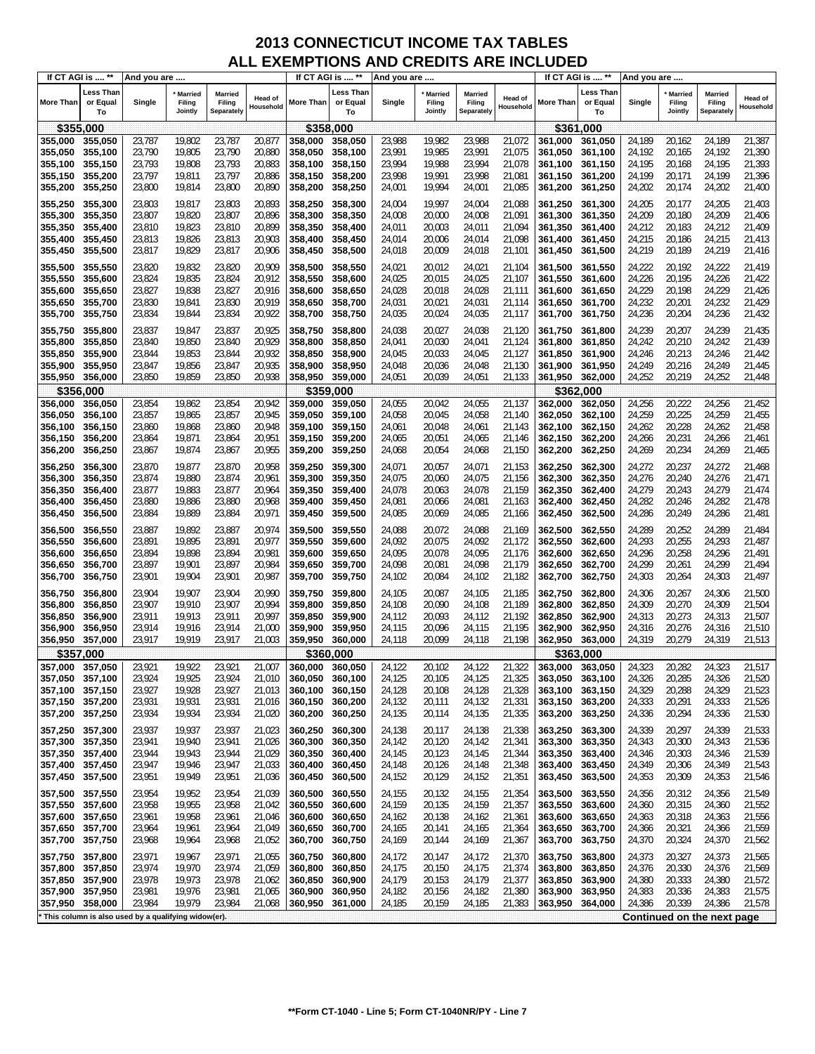|                  | If CT AGI is  **                   | And you are                                         |                              |                                        |                             | If CT AGI is  **   |                                    | And you are      |                              |                                 |                             | If CT AGI is  ** |                             | And you are |                                     |                                        |                      |
|------------------|------------------------------------|-----------------------------------------------------|------------------------------|----------------------------------------|-----------------------------|--------------------|------------------------------------|------------------|------------------------------|---------------------------------|-----------------------------|------------------|-----------------------------|-------------|-------------------------------------|----------------------------------------|----------------------|
| <b>More Than</b> | <b>Less Than</b><br>or Equal<br>To | Single                                              | Married<br>Filing<br>Jointly | <b>Married</b><br>Filing<br>Separately | <b>Head of</b><br>Household | More Than          | <b>Less Than</b><br>or Equal<br>To | Single           | Married<br>Filing<br>Jointly | Married<br>Filing<br>Separately | <b>Head of</b><br>Household | More Than        | Less Than<br>or Equal<br>To | Single      | <b>Married</b><br>Filing<br>Jointly | <b>Married</b><br>Filing<br>Separately | Head of<br>Household |
|                  | \$355,000                          |                                                     |                              |                                        |                             | \$358,000          |                                    |                  |                              |                                 |                             |                  | \$361,000                   |             |                                     |                                        |                      |
| 355,000          | 355,050                            | 23,787                                              | 19,802                       | 23,787                                 | 20,877                      | 358.000            | 358,050                            | 23,988           | 19,982                       | 23,988                          | 21,072                      | 361,000          | 361,050                     | 24,189      | 20,162                              | 24,189                                 | 21,387               |
| 355,050          | 355,100                            | 23,790                                              | 19,805                       | 23,790                                 | 20,880                      | 358,050            | 358,100                            | 23,991           | 19,985                       | 23,991                          | 21,075                      | 361,050          | 361,100                     | 24,192      | 20,165                              | 24,192                                 | 21,390               |
| 355,100          | 355,150                            | 23,793                                              | 19,808                       | 23,793                                 | 20,883                      | 358,100            | 358,150                            | 23,994           | 19,988                       | 23,994                          | 21,078                      | 361,100          | 361,150                     | 24,195      | 20,168                              | 24,195                                 | 21,393               |
| 355,150          | 355,200                            | 23,797                                              | 19,811                       | 23,797                                 | 20,886                      | 358,150            | 358,200                            | 23,998           | 19,991                       | 23,998                          | 21,081                      | 361,150          | 361,200                     | 24,199      | 20,171                              | 24,199                                 | 21,396               |
| 355,200          | 355,250                            | 23,800                                              | 19,814                       | 23,800                                 | 20,890                      | 358,200            | 358,250                            | 24,001           | 19,994                       | 24,001                          | 21,085                      | 361,200          | 361,250                     | 24,202      | 20,174                              | 24,202                                 | 21,400               |
|                  |                                    |                                                     |                              |                                        |                             |                    |                                    |                  |                              |                                 |                             |                  |                             |             |                                     |                                        |                      |
| 355,250          | 355,300                            | 23,803                                              | 19,817                       | 23,803                                 | 20,893                      | 358,250            | 358,300                            | 24,004           | 19,997                       | 24,004                          | 21,088                      | 361,250          | 361,300                     | 24,205      | 20,177                              | 24,205                                 | 21,403               |
| 355,300          | 355,350                            | 23,807                                              | 19,820                       | 23,807                                 | 20,896                      | 358,300            | 358,350                            | 24,008           | 20,000                       | 24,008                          | 21,091                      | 361,300          | 361,350                     | 24,209      | 20,180                              | 24,209                                 | 21,406               |
| 355,350          | 355,400                            | 23,810                                              | 19,823                       | 23,810                                 | 20,899                      | 358,350            | 358,400                            | 24,011           | 20,003                       | 24,011                          | 21,094                      | 361,350          | 361,400                     | 24,212      | 20,183                              | 24,212                                 | 21,409               |
| 355,400          | 355,450                            | 23,813                                              | 19,826                       | 23,813                                 | 20,903                      | 358,400            | 358,450                            | 24,014           | 20,006                       | 24,014                          | 21,098                      | 361,400          | 361,450                     | 24,215      | 20,186                              | 24,215                                 | 21,413               |
| 355,450          | 355,500                            | 23,817                                              | 19,829                       | 23,817                                 | 20,906                      | 358,450            | 358,500                            | 24,018           | 20,009                       | 24,018                          | 21,101                      | 361,450          | 361,500                     | 24,219      | 20,189                              | 24,219                                 | 21,416               |
| 355,500          | 355,550                            | 23,820                                              | 19,832                       | 23,820                                 | 20,909                      | 358,500            | 358,550                            | 24,021           | 20,012                       | 24,021                          | 21,104                      | 361,500          | 361,550                     | 24,222      | 20,192                              | 24,222                                 | 21,419               |
| 355,550          | 355,600                            | 23,824                                              | 19,835                       | 23,824                                 | 20,912                      | 358,550            | 358,600                            | 24,025           | 20,015                       | 24,025                          | 21,107                      | 361,550          | 361,600                     | 24,226      | 20,195                              | 24,226                                 | 21,422               |
| 355,600          | 355,650                            | 23,827                                              | 19,838                       | 23,827                                 | 20,916                      | 358,600            | 358,650                            | 24,028           | 20,018                       | 24,028                          | 21,111                      | 361,600          | 361,650                     | 24,229      | 20,198                              | 24,229                                 | 21,426               |
| 355,650          | 355,700                            | 23,830                                              | 19,841                       | 23,830                                 | 20,919                      | 358,650            | 358,700                            | 24,031           | 20,021                       | 24,031                          | 21,114                      | 361,650          | 361,700                     | 24,232      | 20,201                              | 24,232                                 | 21,429               |
|                  |                                    |                                                     |                              |                                        |                             |                    |                                    |                  |                              |                                 |                             |                  |                             |             |                                     |                                        |                      |
| 355,700          | 355,750                            | 23,834                                              | 19,844                       | 23,834                                 | 20,922                      | 358,700            | 358,750                            | 24,035           | 20,024                       | 24,035                          | 21,117                      | 361,700          | 361,750                     | 24,236      | 20,204                              | 24,236                                 | 21,432               |
| 355,750          | 355,800                            | 23,837                                              | 19,847                       | 23,837                                 | 20,925                      | 358,750            | 358,800                            | 24,038           | 20,027                       | 24,038                          | 21,120                      | 361,750          | 361,800                     | 24,239      | 20,207                              | 24,239                                 | 21,435               |
| 355,800          | 355,850                            | 23,840                                              | 19,850                       | 23,840                                 | 20,929                      | 358,800            | 358,850                            | 24,041           | 20,030                       | 24,041                          | 21,124                      | 361,800          | 361,850                     | 24,242      | 20,210                              | 24,242                                 | 21,439               |
| 355,850          | 355,900                            | 23,844                                              | 19,853                       | 23,844                                 | 20,932                      | 358,850            | 358,900                            | 24,045           | 20,033                       | 24,045                          | 21,127                      | 361,850          | 361,900                     | 24,246      | 20,213                              | 24,246                                 | 21,442               |
| 355,900          | 355,950                            | 23,847                                              | 19,856                       | 23,847                                 | 20,935                      | 358,900            | 358,950                            | 24,048           | 20,036                       | 24,048                          | 21,130                      | 361,900          | 361,950                     | 24,249      | 20,216                              | 24,249                                 | 21,445               |
| 355,950          | 356,000                            | 23,850                                              | 19,859                       | 23,850                                 | 20,938                      | 358,950            | 359,000                            | 24,051           | 20,039                       | 24,051                          | 21,133                      | 361,950          | 362,000                     | 24,252      | 20,219                              | 24,252                                 | 21,448               |
|                  | \$356,000                          |                                                     |                              |                                        |                             | \$359.000          |                                    |                  |                              |                                 |                             |                  | \$362,000                   |             |                                     |                                        |                      |
| 356,000          | 356,050                            | 23,854                                              | 19,862                       | 23,854                                 | 20,942                      | 359,000            | 359,050                            | 24,055           | 20,042                       | 24,055                          | 21,137                      | 362,000          | 362,050                     | 24,256      | 20,222                              | 24,256                                 | 21,452               |
| 356,050          | 356,100                            | 23,857                                              | 19,865                       | 23,857                                 | 20,945                      | 359,050            | 359,100                            | 24,058           | 20,045                       | 24,058                          | 21,140                      | 362,050          | 362,100                     | 24,259      | 20,225                              | 24,259                                 | 21,455               |
| 356,100          | 356,150                            | 23,860                                              | 19,868                       | 23,860                                 | 20,948                      | 359.100            | 359,150                            | 24,061           | 20,048                       | 24,061                          | 21,143                      | 362,100          | 362,150                     | 24,262      | 20,228                              | 24,262                                 | 21,458               |
| 356,150          | 356,200                            | 23,864                                              | 19,871                       | 23,864                                 | 20,951                      | 359,150            | 359,200                            | 24,065           | 20,051                       | 24,065                          | 21,146                      | 362,150          | 362,200                     | 24,266      | 20,231                              | 24,266                                 | 21,461               |
| 356,200          | 356,250                            | 23,867                                              | 19,874                       | 23,867                                 | 20,955                      | 359,200            | 359,250                            | 24,068           | 20,054                       | 24,068                          | 21,150                      | 362,200          | 362,250                     | 24,269      | 20,234                              | 24,269                                 | 21,465               |
|                  |                                    |                                                     |                              |                                        |                             |                    |                                    |                  |                              |                                 |                             |                  |                             |             |                                     |                                        |                      |
| 356,250          | 356,300                            | 23,870                                              | 19,877                       | 23,870                                 | 20,958                      | 359,250            | 359,300                            | 24,071           | 20,057                       | 24,071                          | 21,153                      | 362,250          | 362,300                     | 24,272      | 20,237                              | 24,272                                 | 21,468               |
| 356,300          | 356,350                            | 23,874                                              | 19,880                       | 23,874                                 | 20,961                      | 359,300            | 359,350                            | 24,075           | 20,060                       | 24,075                          | 21,156                      | 362,300          | 362,350                     | 24,276      | 20,240                              | 24,276                                 | 21,471               |
| 356,350          | 356,400                            | 23,877                                              | 19,883                       | 23,877                                 | 20,964                      | 359,350            | 359,400                            | 24,078           | 20,063                       | 24,078                          | 21,159                      | 362,350          | 362,400                     | 24,279      | 20,243                              | 24,279                                 | 21,474               |
| 356,400          | 356,450                            | 23,880                                              | 19,886                       | 23,880                                 | 20,968                      | 359,400            | 359,450                            | 24,081           | 20,066                       | 24,081                          | 21,163                      | 362,400          | 362,450                     | 24,282      | 20,246                              | 24,282                                 | 21,478               |
| 356,450          | 356,500                            | 23,884                                              | 19,889                       | 23,884                                 | 20,971                      | 359,450            | 359,500                            | 24,085           | 20,069                       | 24,085                          | 21,166                      | 362,450          | 362,500                     | 24,286      | 20,249                              | 24,286                                 | 21,481               |
| 356,500          | 356,550                            | 23,887                                              | 19,892                       | 23,887                                 | 20,974                      | 359,500            | 359,550                            | 24,088           | 20,072                       | 24,088                          | 21,169                      | 362,500          | 362,550                     | 24,289      | 20,252                              | 24,289                                 | 21,484               |
| 356,550          | 356,600                            | 23,891                                              | 19,895                       | 23,891                                 | 20,977                      | 359,550            | 359,600                            | 24,092           | 20,075                       | 24,092                          | 21,172                      | 362,550          | 362,600                     | 24,293      | 20,255                              | 24,293                                 | 21,487               |
| 356,600          | 356,650                            | 23,894                                              | 19,898                       | 23,894                                 | 20,981                      | 359,600            | 359,650                            | 24,095           | 20,078                       | 24,095                          | 21,176                      | 362,600          | 362,650                     | 24,296      | 20,258                              | 24,296                                 | 21,491               |
| 356,650          | 356,700                            | 23,897                                              | 19,901                       | 23,897                                 | 20,984                      | 359,650            | 359,700                            | 24,098           | 20,081                       | 24,098                          | 21,179                      | 362,650          | 362,700                     | 24,299      | 20,261                              | 24,299                                 | 21,494               |
| 356,700          | 356,750                            | 23,901                                              | 19,904                       | 23,901                                 | 20,987                      | 359,700            | 359,750                            | 24,102           | 20,084                       | 24,102                          | 21,182                      | 362,700          | 362,750                     | 24,303      | 20,264                              | 24,303                                 | 21,497               |
|                  |                                    |                                                     |                              |                                        |                             |                    |                                    |                  |                              |                                 |                             |                  |                             |             |                                     |                                        |                      |
| 356,750          | 356,800                            | 23,904                                              | 19,907                       | 23,904                                 | 20,990                      | 359,750            | 359,800                            | 24,105           | 20,087                       | 24,105                          | 21,185                      | 362,750          | 362,800                     | 24,306      | 20,267                              | 24,306                                 | 21,500               |
| 356,800          | 356,850                            | 23,907                                              | 19,910                       | 23,907                                 | 20,994                      | 359,800            | 359,850                            | 24,108           | 20,090                       | 24,108                          | 21,189                      | 362,800          | 362,850                     | 24,309      | 20,270                              | 24,309                                 | 21,504               |
| 356,850          | 356,900                            | 23,911                                              | 19,913                       | 23,911                                 | 20,997                      | 359,850            | 359,900                            | 24,112           | 20,093                       | 24,112                          | 21,192                      | 362,850          | 362,900                     | 24,313      | 20,273                              | 24,313                                 | 21,507               |
| 356,900          | 356,950                            | 23,914                                              | 19,916                       | 23,914                                 | 21,000                      | 359,900            | 359,950                            | 24,115           | 20,096                       | 24,115                          | 21,195                      | 362,900          | 362,950                     | 24,316      | 20,276                              | 24,316                                 | 21,510               |
| 356,950          | 357,000                            | 23,917                                              | 19,919                       | 23,917                                 | 21,003                      | 359,950            | 360,000                            | 24,118           | 20,099                       | 24,118                          | 21,198                      | 362,950          | 363,000                     | 24,319      | 20,279                              | 24,319                                 | 21,513               |
|                  | \$357,000                          |                                                     |                              |                                        |                             | \$360.000          |                                    |                  |                              |                                 |                             |                  | \$363,000                   |             |                                     |                                        |                      |
| 357,000          | 357,050                            | 23,921                                              | 19,922                       | 23,921                                 | 21,007                      | 360,000 360,050    |                                    | 24,122           | 20,102                       | 24,122                          | 21,322                      | 363,000          | 363,050                     | 24,323      | 20,282                              | 24,323                                 | 21,517               |
| 357,050          | 357,100                            | 23,924                                              | 19,925                       | 23,924                                 | 21,010                      | 360,050            | 360,100                            | 24,125           | 20,105                       | 24,125                          | 21,325                      | 363,050 363,100  |                             | 24,326      | 20,285                              | 24,326                                 | 21,520               |
| 357,100          | 357,150                            | 23,927                                              | 19,928                       | 23,927                                 | 21,013                      | 360,100            | 360,150                            | 24,128           | 20,108                       | 24,128                          | 21,328                      | 363,100          | 363,150                     | 24,329      | 20,288                              | 24,329                                 | 21,523               |
| 357,150          | 357,200                            | 23,931                                              | 19,931                       | 23,931                                 | 21,016                      | 360,150            | 360,200                            | 24,132           | 20,111                       | 24,132                          | 21,331                      | 363,150          | 363,200                     | 24,333      | 20,291                              | 24,333                                 | 21,526               |
| 357,200          | 357,250                            | 23,934                                              | 19,934                       | 23,934                                 | 21,020                      | 360,200            | 360,250                            | 24,135           | 20,114                       | 24,135                          | 21,335                      | 363,200          | 363,250                     | 24,336      | 20,294                              | 24,336                                 | 21,530               |
| 357,250          | 357,300                            | 23,937                                              | 19,937                       | 23,937                                 | 21,023                      | 360,250            | 360,300                            | 24,138           | 20,117                       | 24,138                          | 21,338                      | 363,250          | 363,300                     | 24,339      | 20,297                              | 24,339                                 | 21,533               |
| 357,300          | 357,350                            | 23,941                                              | 19,940                       | 23,941                                 | 21,026                      | 360,300            | 360,350                            | 24,142           | 20,120                       | 24,142                          | 21,341                      | 363,300          | 363,350                     | 24,343      | 20,300                              | 24,343                                 | 21,536               |
| 357,350          | 357,400                            | 23,944                                              | 19,943                       | 23,944                                 | 21,029                      | 360,350            | 360,400                            | 24,145           | 20,123                       | 24,145                          | 21,344                      | 363,350          | 363,400                     | 24,346      | 20,303                              | 24,346                                 | 21,539               |
| 357,400          | 357,450                            | 23,947                                              | 19,946                       | 23,947                                 | 21,033                      | 360,400            | 360,450                            | 24,148           | 20,126                       | 24,148                          | 21,348                      | 363,400          | 363,450                     | 24,349      | 20,306                              | 24,349                                 | 21,543               |
| 357,450          | 357,500                            | 23,951                                              | 19,949                       | 23,951                                 | 21,036                      | 360,450            | 360,500                            | 24,152           | 20,129                       | 24,152                          | 21,351                      | 363,450          | 363,500                     | 24,353      | 20,309                              | 24,353                                 | 21,546               |
|                  |                                    |                                                     |                              |                                        |                             |                    |                                    |                  |                              |                                 |                             |                  |                             |             |                                     |                                        |                      |
| 357,500          | 357,550                            | 23,954                                              | 19,952                       | 23,954                                 | 21,039                      | 360,500<br>360,550 | 360,550<br>360,600                 | 24,155<br>24,159 | 20,132<br>20,135             | 24,155                          | 21,354                      | 363,500          | 363,550                     | 24,356      | 20,312                              | 24,356<br>24,360                       | 21,549<br>21,552     |
| 357,550          | 357,600                            | 23,958                                              | 19,955                       | 23,958                                 | 21,042                      |                    |                                    |                  |                              | 24,159                          | 21,357                      | 363,550          | 363,600                     | 24,360      | 20,315                              |                                        |                      |
| 357,600          | 357,650                            | 23,961                                              | 19,958                       | 23,961                                 | 21,046                      | 360,600            | 360,650                            | 24,162           | 20,138                       | 24,162                          | 21,361                      | 363,600          | 363,650                     | 24,363      | 20,318                              | 24,363                                 | 21,556               |
| 357,650          | 357,700                            | 23,964                                              | 19,961                       | 23,964                                 | 21,049                      | 360,650            | 360,700                            | 24,165           | 20,141                       | 24,165                          | 21,364                      | 363,650          | 363,700                     | 24,366      | 20,321                              | 24,366                                 | 21,559               |
| 357,700          | 357,750                            | 23,968                                              | 19,964                       | 23,968                                 | 21,052                      | 360,700            | 360,750                            | 24,169           | 20,144                       | 24,169                          | 21,367                      | 363,700          | 363,750                     | 24,370      | 20,324                              | 24,370                                 | 21,562               |
| 357,750          | 357,800                            | 23,971                                              | 19,967                       | 23,971                                 | 21,055                      | 360,750            | 360,800                            | 24,172           | 20,147                       | 24,172                          | 21,370                      | 363,750          | 363,800                     | 24,373      | 20,327                              | 24,373                                 | 21,565               |
| 357,800          | 357,850                            | 23,974                                              | 19,970                       | 23,974                                 | 21,059                      | 360,800            | 360,850                            | 24,175           | 20,150                       | 24,175                          | 21,374                      | 363,800          | 363,850                     | 24,376      | 20,330                              | 24,376                                 | 21,569               |
| 357,850          | 357,900                            | 23,978                                              | 19,973                       | 23,978                                 | 21,062                      | 360,850            | 360,900                            | 24,179           | 20,153                       | 24,179                          | 21,377                      | 363,850          | 363,900                     | 24,380      | 20,333                              | 24,380                                 | 21,572               |
| 357,900 357,950  |                                    | 23,981                                              | 19,976                       | 23,981                                 | 21,065                      | 360,900            | 360,950                            | 24,182           | 20,156                       | 24,182                          | 21,380                      | 363,900          | 363,950                     | 24,383      | 20,336                              | 24,383                                 | 21,575               |
| 357,950 358,000  |                                    | 23,984                                              | 19,979                       | 23,984                                 | 21,068                      | 360,950            | 361,000                            | 24,185           | 20,159                       | 24,185                          | 21,383                      | 363,950          | 364,000                     | 24,386      | 20,339                              | 24,386                                 | 21,578               |
|                  |                                    | This column is also used by a qualifying widow(er). |                              |                                        |                             |                    |                                    |                  |                              |                                 |                             |                  |                             |             |                                     | Continued on the next page             |                      |
|                  |                                    |                                                     |                              |                                        |                             |                    |                                    |                  |                              |                                 |                             |                  |                             |             |                                     |                                        |                      |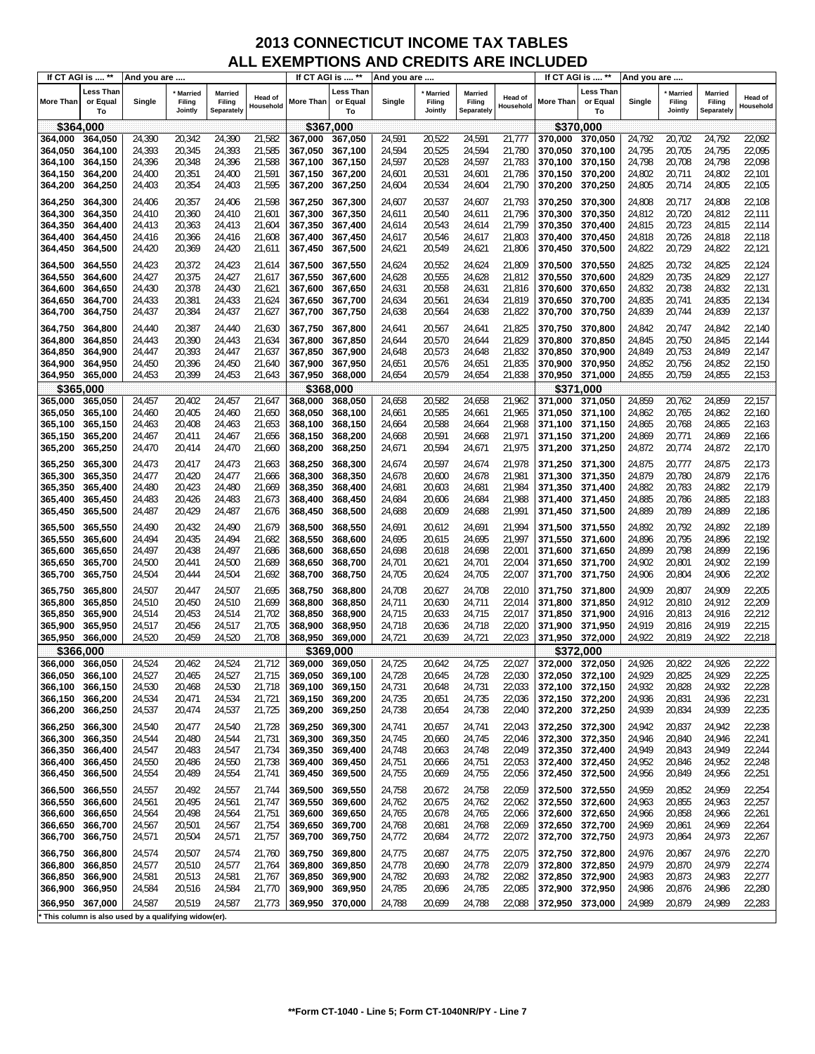|                    | If CT AGI is  **            | And you are                                           |                                     |                                        |                      | If CT AGI is  **   |                                    | And you are      |                                     |                                 |                             |                    | If CT AGI is  **            | And you are      |                                     |                                        |                      |
|--------------------|-----------------------------|-------------------------------------------------------|-------------------------------------|----------------------------------------|----------------------|--------------------|------------------------------------|------------------|-------------------------------------|---------------------------------|-----------------------------|--------------------|-----------------------------|------------------|-------------------------------------|----------------------------------------|----------------------|
| More Than          | Less Than<br>or Equal<br>To | Single                                                | <b>Married</b><br>Filing<br>Jointly | <b>Married</b><br>Filing<br>Separately | Head of<br>Household | More Than          | <b>Less Than</b><br>or Equal<br>To | Single           | <b>Married</b><br>Filing<br>Jointly | Married<br>Filing<br>Separately | <b>Head of</b><br>Household | More Than          | Less Than<br>or Equal<br>To | Single           | <b>Married</b><br>Filing<br>Jointly | <b>Married</b><br>Filing<br>Separately | Head of<br>Household |
|                    | \$364,000                   |                                                       |                                     |                                        |                      |                    | \$367,000                          |                  |                                     |                                 |                             |                    | \$370,000                   |                  |                                     |                                        |                      |
| 364,000            | 364,050                     | 24,390                                                | 20,342                              | 24,390                                 | 21,582               | 367,000            | 367,050                            | 24,591           | 20,522                              | 24,591                          | 21,777                      | 370,000            | 370,050                     | 24,792           | 20,702                              | 24,792                                 | 22,092               |
| 364,050            | 364,100                     | 24,393                                                | 20,345                              | 24,393                                 | 21,585               | 367,050            | 367,100                            | 24,594           | 20,525                              | 24,594                          | 21,780                      | 370,050            | 370,100                     | 24,795           | 20,705                              | 24,795                                 | 22,095               |
| 364,100            | 364,150                     | 24,396                                                | 20,348                              | 24,396                                 | 21,588               | 367,100            | 367,150                            | 24,597           | 20,528                              | 24,597                          | 21,783                      | 370,100            | 370,150                     | 24,798           | 20,708                              | 24,798                                 | 22,098               |
| 364,150            | 364,200                     | 24,400                                                | 20,351                              | 24,400                                 | 21,591               | 367,150            | 367,200                            | 24,601           | 20,531                              | 24,601                          | 21,786                      | 370,150            | 370,200                     | 24,802           | 20,711                              | 24,802                                 | 22,101               |
| 364,200            | 364,250                     | 24,403                                                | 20,354                              | 24,403                                 | 21,595               | 367,200            | 367,250                            | 24,604           | 20,534                              | 24,604                          | 21,790                      | 370,200            | 370,250                     | 24,805           | 20,714                              | 24,805                                 | 22,105               |
|                    |                             |                                                       |                                     |                                        |                      |                    |                                    |                  |                                     |                                 |                             |                    |                             |                  |                                     |                                        |                      |
| 364,250            | 364,300                     | 24,406                                                | 20,357                              | 24,406                                 | 21,598               | 367,250            | 367,300                            | 24,607           | 20,537                              | 24,607                          | 21,793                      | 370,250            | 370,300                     | 24,808           | 20,717                              | 24,808                                 | 22,108               |
| 364,300            | 364,350                     | 24,410                                                | 20,360                              | 24,410                                 | 21,601               | 367,300            | 367,350                            | 24,611           | 20,540                              | 24,611                          | 21,796                      | 370,300            | 370,350                     | 24,812           | 20,720                              | 24,812                                 | 22,111               |
| 364,350            | 364,400                     | 24,413                                                | 20,363                              | 24,413                                 | 21,604               | 367,350            | 367,400                            | 24,614           | 20,543                              | 24,614                          | 21,799                      | 370,350            | 370,400                     | 24,815           | 20,723                              | 24,815                                 | 22,114               |
| 364,400            | 364,450                     | 24,416                                                | 20,366                              | 24,416                                 | 21,608               | 367,400            | 367,450                            | 24,617           | 20,546                              | 24,617                          | 21,803                      | 370,400            | 370,450                     | 24,818           | 20,726                              | 24,818                                 | 22,118               |
| 364,450            | 364,500                     | 24,420                                                | 20,369                              | 24,420                                 | 21,611               | 367,450            | 367,500                            | 24,621           | 20,549                              | 24,621                          | 21,806                      | 370,450            | 370,500                     | 24,822           | 20,729                              | 24,822                                 | 22,121               |
| 364,500            | 364,550                     | 24,423                                                | 20,372                              | 24,423                                 | 21,614               | 367,500            | 367,550                            | 24,624           | 20,552                              | 24,624                          | 21,809                      | 370,500            | 370,550                     | 24,825           | 20,732                              | 24,825                                 | 22,124               |
| 364,550            | 364,600                     | 24,427                                                | 20,375                              | 24,427                                 | 21,617               | 367,550            | 367,600                            | 24,628           | 20,555                              | 24,628                          | 21,812                      | 370,550            | 370,600                     | 24,829           | 20,735                              | 24,829                                 | 22,127               |
| 364,600            | 364,650                     | 24,430                                                | 20,378                              | 24,430                                 | 21,621               | 367,600            | 367,650                            | 24,631           | 20,558                              | 24,631                          | 21,816                      | 370,600            | 370,650                     | 24,832           | 20,738                              | 24,832                                 | 22,131               |
| 364,650            | 364,700                     | 24,433                                                | 20,381                              | 24,433                                 | 21,624               | 367,650            | 367,700                            | 24,634           | 20,561                              | 24,634                          | 21,819                      | 370,650            | 370,700                     | 24,835           | 20,741                              | 24,835                                 | 22,134               |
| 364,700            | 364,750                     | 24,437                                                | 20,384                              | 24,437                                 | 21,627               | 367,700            | 367,750                            | 24,638           | 20,564                              | 24,638                          | 21,822                      | 370,700            | 370,750                     | 24,839           | 20,744                              | 24,839                                 | 22,137               |
|                    |                             |                                                       |                                     |                                        |                      |                    |                                    |                  |                                     |                                 |                             |                    |                             |                  |                                     |                                        |                      |
| 364,750            | 364,800                     | 24,440                                                | 20,387                              | 24,440                                 | 21,630               | 367,750            | 367,800                            | 24,641           | 20,567                              | 24,641                          | 21,825                      | 370,750            | 370,800                     | 24,842           | 20,747                              | 24,842                                 | 22,140               |
| 364,800            | 364,850                     | 24,443                                                | 20,390                              | 24,443                                 | 21,634               | 367,800            | 367,850                            | 24,644           | 20,570                              | 24,644                          | 21,829                      | 370.800            | 370,850                     | 24,845           | 20,750                              | 24,845                                 | 22,144               |
| 364,850            | 364,900                     | 24,447                                                | 20,393                              | 24,447                                 | 21,637               | 367,850            | 367,900                            | 24,648           | 20,573                              | 24,648                          | 21,832                      | 370,850            | 370,900                     | 24,849           | 20,753                              | 24,849                                 | 22,147               |
| 364,900            | 364,950                     | 24,450                                                | 20,396                              | 24,450                                 | 21,640               | 367,900            | 367,950                            | 24,651           | 20,576                              | 24,651                          | 21,835                      | 370,900            | 370,950                     | 24,852           | 20,756                              | 24,852                                 | 22,150               |
| 364,950            | 365,000                     | 24,453                                                | 20,399                              | 24,453                                 | 21,643               | 367,950            | 368,000                            | 24,654           | 20,579                              | 24,654                          | 21,838                      | 370,950            | 371,000                     | 24,855           | 20,759                              | 24,855                                 | 22,153               |
|                    | \$365,000                   |                                                       |                                     |                                        |                      |                    | \$368,000                          |                  |                                     |                                 |                             |                    | \$371,000                   |                  |                                     |                                        |                      |
| 365,000            | 365,050                     | 24,457                                                | 20,402                              | 24,457                                 | 21,647               | 368,000            | 368,050                            | 24,658           | 20,582                              | 24,658                          | 21,962                      | 371,000            | 371,050                     | 24,859           | 20,762                              | 24,859                                 | 22,157               |
| 365,050            | 365,100                     | 24,460                                                | 20,405                              | 24,460                                 | 21,650               | 368,050            | 368,100                            | 24,661           | 20,585                              | 24,661                          | 21,965                      | 371,050            | 371,100                     | 24,862           | 20,765                              | 24,862                                 | 22,160               |
| 365,100            | 365,150                     | 24,463                                                | 20,408                              | 24,463                                 | 21,653               | 368,100            | 368,150                            | 24,664           | 20,588                              | 24,664                          | 21,968                      | 371,100            | 371,150                     | 24,865           | 20,768                              | 24,865                                 | 22,163               |
| 365,150            | 365,200                     | 24,467                                                | 20,411                              | 24,467                                 | 21,656               | 368,150            | 368,200                            | 24,668           | 20,591                              | 24,668                          | 21,971                      | 371,150            | 371,200                     | 24,869           | 20,771                              | 24,869                                 | 22,166               |
| 365,200            | 365,250                     | 24,470                                                | 20,414                              | 24,470                                 | 21,660               | 368,200            | 368,250                            | 24,671           | 20,594                              | 24,671                          | 21,975                      | 371,200            | 371,250                     | 24,872           | 20,774                              | 24,872                                 | 22,170               |
| 365,250            | 365,300                     | 24,473                                                | 20,417                              | 24,473                                 | 21,663               | 368,250            | 368,300                            | 24,674           | 20,597                              | 24,674                          | 21,978                      | 371,250            | 371,300                     | 24,875           | 20,777                              | 24,875                                 | 22,173               |
| 365,300            | 365,350                     | 24,477                                                | 20,420                              | 24,477                                 | 21,666               | 368,300            | 368,350                            | 24,678           | 20,600                              | 24,678                          | 21,981                      | 371,300            | 371,350                     | 24,879           | 20,780                              | 24,879                                 | 22,176               |
| 365,350            | 365,400                     | 24,480                                                | 20,423                              | 24,480                                 | 21,669               | 368,350            | 368,400                            | 24,681           | 20,603                              | 24,681                          | 21,984                      | 371,350            | 371,400                     | 24,882           | 20,783                              | 24,882                                 | 22,179               |
| 365,400            | 365,450                     | 24,483                                                | 20,426                              | 24,483                                 | 21,673               | 368,400            | 368,450                            | 24,684           | 20,606                              | 24,684                          | 21,988                      | 371,400            | 371,450                     | 24,885           | 20,786                              | 24,885                                 | 22,183               |
| 365,450            | 365,500                     | 24,487                                                | 20,429                              | 24,487                                 | 21,676               | 368,450            | 368,500                            | 24,688           | 20,609                              | 24,688                          | 21,991                      | 371,450            | 371,500                     | 24,889           | 20,789                              | 24,889                                 | 22,186               |
| 365,500            | 365,550                     | 24,490                                                | 20,432                              | 24,490                                 | 21,679               | 368,500            | 368,550                            | 24,691           | 20,612                              | 24,691                          | 21,994                      | 371,500            | 371,550                     | 24,892           | 20,792                              | 24,892                                 | 22,189               |
| 365,550            | 365,600                     | 24,494                                                | 20,435                              | 24,494                                 | 21,682               | 368,550            | 368,600                            | 24,695           | 20,615                              | 24,695                          | 21,997                      | 371,550            | 371,600                     | 24,896           | 20,795                              | 24,896                                 | 22,192               |
| 365,600            | 365,650                     | 24,497                                                | 20,438                              | 24,497                                 | 21,686               | 368,600            | 368,650                            | 24,698           | 20,618                              | 24,698                          | 22,001                      | 371,600            | 371,650                     | 24,899           | 20,798                              | 24,899                                 | 22,196               |
| 365,650            | 365,700                     | 24,500                                                | 20,441                              | 24,500                                 | 21,689               | 368,650            | 368,700                            | 24,701           | 20,621                              | 24,701                          | 22,004                      | 371,650            | 371,700                     | 24,902           | 20,801                              | 24,902                                 | 22,199               |
| 365,700            | 365,750                     | 24,504                                                | 20,444                              | 24,504                                 | 21,692               | 368,700            | 368,750                            | 24,705           | 20,624                              | 24,705                          | 22,007                      | 371,700            | 371,750                     | 24,906           | 20,804                              | 24,906                                 | 22,202               |
| 365,750            | 365,800                     | 24,507                                                | 20,447                              | 24,507                                 | 21,695               | 368,750            | 368,800                            | 24,708           | 20,627                              | 24,708                          | 22,010                      | 371,750            | 371,800                     | 24,909           | 20,807                              | 24,909                                 | 22,205               |
| 365,800            | 365,850                     | 24,510                                                | 20,450                              | 24,510                                 | 21,699               | 368,800            | 368,850                            | 24,711           | 20,630                              | 24,711                          | 22,014                      | 371,800            | 371,850                     | 24,912           | 20,810                              | 24,912                                 | 22,209               |
| 365,850            | 365,900                     | 24,514                                                | 20,453                              | 24,514                                 | 21,702               | 368,850            | 368,900                            | 24,715           | 20,633                              | 24,715                          | 22,017                      | 371,850            | 371,900                     | 24,916           | 20,813                              | 24,916                                 | 22,212               |
| 365,900            | 365,950                     | 24,517                                                | 20,456                              | 24,517                                 | 21,705               | 368.900            | 368,950                            | 24,718           | 20,636                              | 24,718                          | 22,020                      | 371.900            | 371,950                     | 24,919           | 20,816                              | 24,919                                 | 22,215               |
| 365,950            | 366,000                     | 24,520                                                | 20,459                              | 24,520                                 | 21,708               | 368,950            | 369,000                            | 24,721           | 20,639                              | 24,721                          | 22,023                      | 371,950            | 372,000                     | 24,922           | 20,819                              | 24,922                                 | 22,218               |
|                    | \$366.000                   |                                                       |                                     |                                        |                      |                    | \$369.000                          |                  |                                     |                                 |                             |                    | \$372,000                   |                  |                                     |                                        |                      |
| 366,000            | 366,050                     | 24,524                                                | 20,462                              | 24,524                                 | 21.712               | 369,000            | 369,050                            | 24,725           | 20.642                              | 24,725                          | 22,027                      | 372,000            | 372,050                     | 24,926           | 20,822                              | 24.926                                 | 22,222               |
| 366,050            | 366,100                     | 24,527                                                | 20,465                              | 24,527                                 | 21,715               | 369,050            | 369,100                            | 24,728           | 20,645                              | 24,728                          | 22,030                      | 372,050            | 372,100                     | 24,929           | 20,825                              | 24,929                                 | 22,225               |
| 366,100            | 366,150                     | 24,530                                                | 20,468                              | 24,530                                 | 21,718               | 369,100            | 369,150                            | 24,731           | 20,648                              | 24,731                          | 22,033                      | 372,100            | 372,150                     | 24,932           | 20,828                              | 24,932                                 | 22,228               |
| 366,150            | 366,200                     | 24,534                                                | 20,471                              | 24,534                                 | 21,721               | 369,150            | 369,200                            | 24,735           | 20,651                              | 24,735                          | 22,036                      | 372,150            | 372,200                     | 24,936           | 20,831                              | 24,936                                 | 22,231               |
| 366,200            | 366,250                     | 24,537                                                | 20,474                              | 24,537                                 | 21,725               | 369,200            | 369,250                            | 24,738           | 20,654                              | 24,738                          | 22,040                      | 372,200            | 372,250                     | 24,939           | 20,834                              | 24,939                                 | 22,235               |
| 366,250            | 366,300                     | 24,540                                                | 20,477                              | 24,540                                 | 21,728               | 369,250            | 369,300                            | 24,741           | 20,657                              | 24,741                          | 22,043                      | 372,250            | 372,300                     | 24,942           | 20,837                              | 24,942                                 | 22,238               |
| 366,300            | 366,350                     | 24,544                                                | 20,480                              | 24,544                                 | 21,731               | 369,300            | 369,350                            | 24,745           | 20,660                              | 24,745                          | 22,046                      | 372,300            | 372,350                     | 24,946           | 20,840                              | 24,946                                 | 22,241               |
| 366,350            | 366,400                     | 24,547                                                | 20,483                              | 24,547                                 | 21,734               | 369,350            | 369,400                            | 24,748           | 20,663                              | 24,748                          | 22,049                      | 372,350            | 372,400                     | 24,949           | 20,843                              | 24,949                                 | 22,244               |
| 366,400            | 366,450                     | 24,550                                                | 20,486                              | 24,550                                 | 21,738               | 369,400            | 369,450                            | 24,751           | 20,666                              | 24,751                          | 22,053                      | 372,400            | 372,450                     | 24,952           | 20,846                              | 24,952                                 | 22,248               |
| 366,450            | 366,500                     | 24,554                                                | 20,489                              | 24,554                                 | 21,741               | 369,450            | 369,500                            | 24,755           | 20,669                              | 24,755                          | 22,056                      | 372,450            | 372,500                     | 24,956           | 20,849                              | 24,956                                 | 22,251               |
|                    |                             |                                                       |                                     |                                        |                      |                    |                                    |                  |                                     |                                 |                             |                    |                             |                  |                                     |                                        |                      |
| 366,500            | 366,550                     | 24,557                                                | 20,492                              | 24,557                                 | 21,744               | 369,500            | 369,550<br>369,600                 | 24,758           | 20,672                              | 24,758                          | 22,059                      | 372,500            | 372,550                     | 24,959           | 20,852                              | 24,959                                 | 22,254               |
| 366,550            | 366,600                     | 24,561                                                | 20,495                              | 24,561                                 | 21,747               | 369,550            |                                    | 24,762           | 20,675                              | 24,762                          | 22,062<br>22,066            | 372,550            | 372,600                     | 24,963           | 20,855                              | 24,963                                 | 22,257<br>22,261     |
| 366,600<br>366,650 | 366,650<br>366,700          | 24,564<br>24,567                                      | 20,498<br>20,501                    | 24,564<br>24,567                       | 21,751<br>21,754     | 369,600            | 369,650<br>369,700                 | 24,765<br>24,768 | 20,678<br>20,681                    | 24,765<br>24,768                | 22,069                      | 372,600<br>372,650 | 372,650<br>372,700          | 24,966<br>24,969 | 20,858<br>20,861                    | 24,966<br>24,969                       | 22,264               |
| 366,700            | 366,750                     | 24,571                                                | 20,504                              | 24,571                                 | 21,757               | 369,650<br>369,700 | 369,750                            | 24,772           | 20,684                              | 24,772                          | 22,072                      | 372,700            | 372,750                     | 24,973           | 20,864                              | 24,973                                 | 22,267               |
|                    |                             |                                                       |                                     |                                        |                      |                    |                                    |                  |                                     |                                 |                             |                    |                             |                  |                                     |                                        |                      |
| 366,750            | 366,800                     | 24,574                                                | 20,507                              | 24,574                                 | 21,760               | 369,750            | 369,800                            | 24,775           | 20,687                              | 24,775                          | 22,075                      | 372,750            | 372,800                     | 24,976           | 20,867                              | 24,976                                 | 22,270               |
| 366,800            | 366,850                     | 24,577                                                | 20,510                              | 24,577                                 | 21,764               | 369,800            | 369,850                            | 24,778           | 20,690                              | 24,778                          | 22,079                      | 372,800            | 372,850                     | 24,979           | 20,870                              | 24,979                                 | 22,274               |
| 366,850            | 366,900                     | 24,581                                                | 20,513                              | 24,581                                 | 21,767               | 369,850            | 369,900                            | 24,782           | 20,693                              | 24,782                          | 22,082                      | 372,850            | 372,900                     | 24,983           | 20,873                              | 24,983                                 | 22,277               |
| 366,900            | 366,950                     | 24,584                                                | 20,516                              | 24,584                                 | 21,770               | 369,900            | 369,950                            | 24,785           | 20,696                              | 24,785                          | 22,085                      | 372,900            | 372,950                     | 24,986           | 20,876                              | 24,986                                 | 22,280               |
| 366,950            | 367,000                     | 24,587                                                | 20,519                              | 24,587                                 | 21,773               | 369,950            | 370,000                            | 24,788           | 20,699                              | 24,788                          | 22,088                      | 372,950            | 373,000                     | 24,989           | 20,879                              | 24,989                                 | 22,283               |
|                    |                             | ' This column is also used by a qualifying widow(er). |                                     |                                        |                      |                    |                                    |                  |                                     |                                 |                             |                    |                             |                  |                                     |                                        |                      |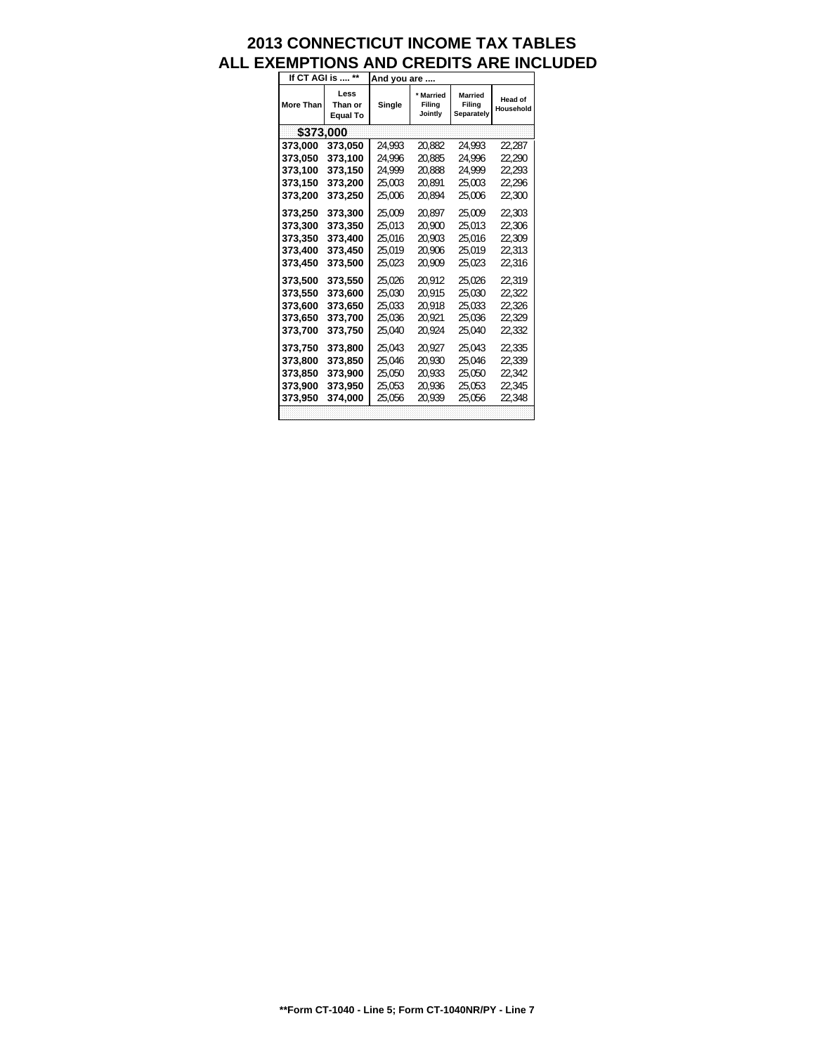| If CT AGI is     | $\star\star$                       | And you are |                              |                                        |                             |
|------------------|------------------------------------|-------------|------------------------------|----------------------------------------|-----------------------------|
| <b>More Than</b> | Less<br>Than or<br><b>Equal To</b> | Single      | Married<br>Filing<br>Jointly | <b>Married</b><br>Filing<br>Separately | <b>Head of</b><br>Household |
| \$373,000        |                                    |             |                              |                                        |                             |
| 373,000          | 373,050                            | 24.993      | 20.882                       | 24.993                                 | 22,287                      |
| 373.050          | 373,100                            | 24.996      | 20.885                       | 24.996                                 | 22.290                      |
| 373,100          | 373,150                            | 24.999      | 20.888                       | 24.999                                 | 22.293                      |
| 373,150          | 373,200                            | 25,003      | 20.891                       | 25.003                                 | 22.296                      |
| 373,200          | 373,250                            | 25,006      | 20.894                       | 25,006                                 | 22,300                      |
| 373,250          | 373,300                            | 25.009      | 20.897                       | 25.009                                 | 22.303                      |
| 373,300          | 373,350                            | 25.013      | 20.900                       | 25.013                                 | 22.306                      |
| 373,350          | 373,400                            | 25.016      | 20.903                       | 25.016                                 | 22.309                      |
| 373,400          | 373,450                            | 25.019      | 20.906                       | 25.019                                 | 22.313                      |
| 373.450          | 373,500                            | 25.023      | 20.909                       | 25.023                                 | 22.316                      |
| 373,500          | 373,550                            | 25.026      | 20.912                       | 25.026                                 | 22.319                      |
| 373,550          | 373,600                            | 25.030      | 20.915                       | 25.030                                 | 22.322                      |
| 373.600          | 373,650                            | 25.033      | 20.918                       | 25.033                                 | 22.326                      |
| 373,650          | 373,700                            | 25.036      | 20.921                       | 25.036                                 | 22.329                      |
| 373,700          | 373,750                            | 25,040      | 20,924                       | 25,040                                 | 22.332                      |
| 373,750          | 373,800                            | 25,043      | 20.927                       | 25.043                                 | 22.335                      |
| 373,800          | 373,850                            | 25.046      | 20.930                       | 25.046                                 | 22.339                      |
| 373,850          | 373,900                            | 25.050      | 20.933                       | 25.050                                 | 22.342                      |
| 373,900          | 373,950                            | 25,053      | 20,936                       | 25.053                                 | 22.345                      |
| 373,950          | 374,000                            | 25.056      | 20.939                       | 25.056                                 | 22.348                      |
|                  |                                    |             |                              |                                        |                             |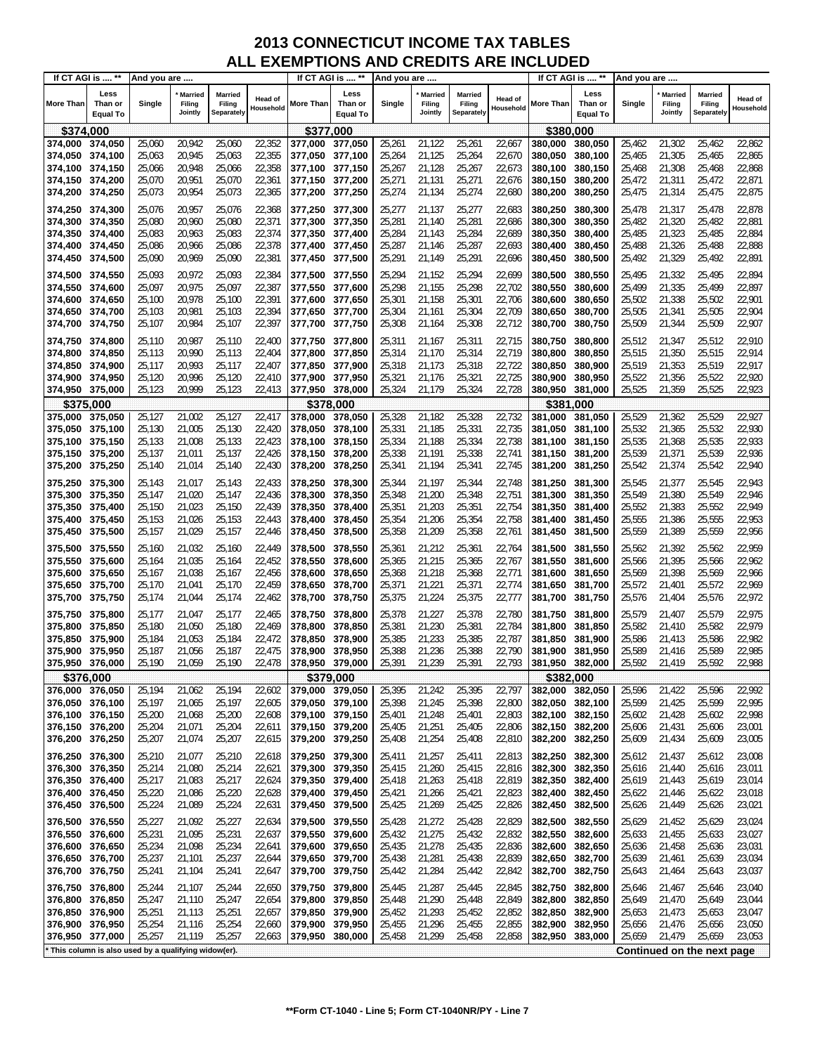| If CT AGI is  **                   |                                                     | And you are      |                                     |                                        |                      |                            | If CT AGI is  **                   | And you are      |                                     |                                 |                      |                    | If CT AGI is  **                   | And you are      |                                     |                                 |                             |
|------------------------------------|-----------------------------------------------------|------------------|-------------------------------------|----------------------------------------|----------------------|----------------------------|------------------------------------|------------------|-------------------------------------|---------------------------------|----------------------|--------------------|------------------------------------|------------------|-------------------------------------|---------------------------------|-----------------------------|
| <b>More Than</b>                   | Less<br>Than or<br><b>Equal To</b>                  | Single           | <b>Married</b><br>Filing<br>Jointly | <b>Married</b><br>Filing<br>Separately | Head of<br>Household | More Than                  | Less<br>Than or<br><b>Equal To</b> | Single           | <b>Married</b><br>Filing<br>Jointly | Married<br>Filing<br>Separately | Head of<br>Household | More Than          | Less<br>Than or<br><b>Equal To</b> | Single           | <b>Married</b><br>Filing<br>Jointly | Married<br>Filing<br>Separately | <b>Head of</b><br>Household |
| \$374,000                          |                                                     |                  |                                     |                                        |                      | \$377,000                  |                                    |                  |                                     |                                 |                      | \$380,000          |                                    |                  |                                     |                                 |                             |
| 374,000 374,050                    |                                                     | 25,060           | 20,942                              | 25,060                                 | 22,352               | 377,000                    | 377,050                            | 25,261           | 21,122                              | 25,261                          | 22,667               | 380.000            | 380,050                            | 25,462           | 21,302                              | 25,462                          | 22,862                      |
| 374,050                            | 374,100                                             | 25,063           | 20,945                              | 25,063                                 | 22,355               | 377,050                    | 377,100                            | 25,264           | 21,125                              | 25,264                          | 22,670               | 380,050            | 380,100                            | 25,465           | 21,305                              | 25,465                          | 22,865                      |
| 374,100 374,150                    |                                                     | 25,066           | 20,948                              | 25,066                                 | 22,358               | 377,100                    | 377,150                            | 25,267           | 21,128                              | 25,267                          | 22,673               | 380,100            | 380,150                            | 25,468           | 21,308                              | 25,468                          | 22,868                      |
| 374,150 374,200                    |                                                     | 25,070           | 20,951                              | 25,070                                 | 22,361               | 377,150                    | 377,200                            | 25,271           | 21,131                              | 25,271                          | 22,676               | 380,150            | 380,200                            | 25,472           | 21,311                              | 25,472                          | 22,871                      |
| 374,200 374,250                    |                                                     | 25,073           | 20,954                              | 25,073                                 | 22,365               | 377,200 377,250            |                                    | 25,274           | 21,134                              | 25,274                          | 22,680               | 380,200            | 380,250                            | 25,475           | 21,314                              | 25,475                          | 22,875                      |
| 374,250 374,300                    |                                                     | 25,076           | 20,957                              | 25,076                                 | 22,368               | 377,250 377,300            |                                    | 25,277           | 21,137                              | 25,277                          | 22,683               | 380,250            | 380,300                            | 25,478           | 21,317                              | 25,478                          | 22,878                      |
| 374,300 374,350                    |                                                     | 25,080           | 20,960                              | 25,080                                 | 22,371               | 377,300                    | 377,350                            | 25,281           | 21,140                              | 25,281                          | 22,686               | 380,300            | 380,350                            | 25,482           | 21,320                              | 25,482                          | 22,881                      |
| 374,350 374,400                    |                                                     | 25,083           | 20,963                              | 25,083                                 | 22,374               | 377,350                    | 377,400                            | 25,284           | 21,143                              | 25,284                          | 22,689               | 380,350            | 380,400                            | 25,485           | 21,323                              | 25,485                          | 22,884                      |
| 374,400 374,450<br>374,450 374,500 |                                                     | 25,086           | 20,966                              | 25,086                                 | 22,378               | 377,400 377,450            |                                    | 25,287           | 21,146                              | 25,287                          | 22,693               | 380,400            | 380,450                            | 25,488           | 21,326                              | 25,488                          | 22,888                      |
|                                    |                                                     | 25,090           | 20,969                              | 25,090                                 | 22,381               | 377,450 377,500            |                                    | 25,291           | 21,149                              | 25,291                          | 22,696               | 380,450            | 380,500                            | 25,492           | 21,329                              | 25,492                          | 22,891                      |
| 374,500 374,550                    |                                                     | 25,093           | 20,972                              | 25,093                                 | 22,384               | 377,500 377,550            |                                    | 25,294           | 21,152                              | 25,294                          | 22,699               | 380,500            | 380,550                            | 25,495           | 21,332                              | 25,495                          | 22,894                      |
| 374,550 374,600                    |                                                     | 25,097           | 20,975                              | 25,097                                 | 22,387               | 377,550                    | 377,600                            | 25,298           | 21,155                              | 25,298                          | 22,702               | 380,550            | 380,600                            | 25,499           | 21,335                              | 25,499                          | 22,897                      |
| 374,600<br>374,650 374,700         | 374,650                                             | 25,100<br>25,103 | 20,978<br>20,981                    | 25,100<br>25,103                       | 22,391<br>22,394     | 377,600<br>377,650 377,700 | 377,650                            | 25,301<br>25,304 | 21,158<br>21,161                    | 25,301<br>25,304                | 22,706<br>22,709     | 380,600<br>380,650 | 380,650<br>380,700                 | 25,502<br>25,505 | 21,338<br>21,341                    | 25,502<br>25,505                | 22,901<br>22,904            |
| 374,700 374,750                    |                                                     | 25,107           | 20,984                              | 25,107                                 | 22,397               | 377,700 377,750            |                                    | 25,308           | 21,164                              | 25,308                          | 22,712               | 380,700            | 380,750                            | 25,509           | 21,344                              | 25,509                          | 22,907                      |
|                                    |                                                     |                  |                                     |                                        |                      |                            |                                    |                  |                                     |                                 |                      |                    |                                    |                  |                                     |                                 |                             |
| 374,750 374,800<br>374,800         | 374,850                                             | 25,110<br>25,113 | 20,987<br>20,990                    | 25,110<br>25,113                       | 22,400<br>22,404     | 377,750<br>377,800         | 377,800<br>377,850                 | 25,311<br>25,314 | 21,167<br>21,170                    | 25,311<br>25,314                | 22,715<br>22,719     | 380,750<br>380.800 | 380,800<br>380,850                 | 25,512<br>25,515 | 21,347<br>21,350                    | 25,512<br>25,515                | 22,910<br>22,914            |
| 374,850 374,900                    |                                                     | 25,117           | 20,993                              | 25,117                                 | 22,407               | 377,850                    | 377,900                            | 25,318           | 21,173                              | 25,318                          | 22,722               | 380,850            | 380,900                            | 25,519           | 21,353                              | 25,519                          | 22,917                      |
| 374,900 374,950                    |                                                     | 25,120           | 20,996                              | 25,120                                 | 22,410               | 377,900                    | 377,950                            | 25,321           | 21,176                              | 25,321                          | 22,725               | 380,900            | 380,950                            | 25,522           | 21,356                              | 25,522                          | 22,920                      |
| 374,950 375,000                    |                                                     | 25,123           | 20,999                              | 25,123                                 | 22,413               | 377,950 378,000            |                                    | 25,324           | 21,179                              | 25,324                          | 22,728               | 380,950            | 381,000                            | 25,525           | 21,359                              | 25,525                          | 22,923                      |
|                                    | \$375,000                                           |                  |                                     |                                        |                      |                            | \$378,000                          |                  |                                     |                                 |                      | \$381,000          |                                    |                  |                                     |                                 |                             |
| 375,000 375,050                    |                                                     | 25,127           | 21,002                              | 25,127                                 | 22,417               | 378,000                    | 378,050                            | 25,328           | 21,182                              | 25,328                          | 22,732               | 381,000            | 381,050                            | 25,529           | 21,362                              | 25,529                          | 22,927                      |
| 375,050 375,100                    |                                                     | 25,130           | 21,005                              | 25,130                                 | 22,420               | 378,050 378,100            |                                    | 25,331           | 21,185                              | 25,331                          | 22,735               | 381,050            | 381,100                            | 25,532           | 21,365                              | 25,532                          | 22,930                      |
| 375,100 375,150                    |                                                     | 25,133           | 21,008                              | 25,133                                 | 22,423               | 378,100                    | 378,150                            | 25,334           | 21,188                              | 25,334                          | 22,738               | 381,100            | 381,150                            | 25,535           | 21,368                              | 25,535                          | 22,933                      |
| 375,150 375,200                    |                                                     | 25,137           | 21,011                              | 25,137<br>25,140                       | 22,426<br>22,430     | 378,150 378,200            |                                    | 25,338           | 21,191                              | 25,338<br>25,341                | 22,741<br>22,745     | 381,150            | 381,200                            | 25,539           | 21,371<br>21,374                    | 25,539<br>25,542                | 22,936<br>22,940            |
| 375,200 375,250                    |                                                     | 25,140           | 21,014                              |                                        |                      | 378,200 378,250            |                                    | 25,341           | 21,194                              |                                 |                      | 381,200            | 381,250                            | 25,542           |                                     |                                 |                             |
| 375,250 375,300                    |                                                     | 25,143           | 21,017                              | 25,143                                 | 22,433               | 378,250 378,300            |                                    | 25,344           | 21,197                              | 25,344                          | 22,748               | 381,250            | 381,300                            | 25,545           | 21,377                              | 25,545                          | 22,943                      |
| 375,300 375,350<br>375,350         | 375,400                                             | 25,147<br>25,150 | 21,020<br>21,023                    | 25,147<br>25,150                       | 22,436<br>22,439     | 378,300 378,350<br>378,350 | 378,400                            | 25,348<br>25,351 | 21,200<br>21,203                    | 25,348<br>25,351                | 22,751<br>22,754     | 381,300<br>381,350 | 381,350<br>381,400                 | 25,549<br>25,552 | 21,380<br>21,383                    | 25,549<br>25,552                | 22,946<br>22,949            |
| 375,400 375,450                    |                                                     | 25,153           | 21,026                              | 25,153                                 | 22,443               | 378,400 378,450            |                                    | 25,354           | 21,206                              | 25,354                          | 22,758               | 381,400            | 381,450                            | 25,555           | 21,386                              | 25,555                          | 22,953                      |
| 375,450 375,500                    |                                                     | 25,157           | 21,029                              | 25,157                                 | 22,446               | 378,450 378,500            |                                    | 25,358           | 21,209                              | 25,358                          | 22,761               | 381,450            | 381,500                            | 25,559           | 21,389                              | 25,559                          | 22,956                      |
| 375,500                            | 375,550                                             | 25,160           | 21,032                              | 25,160                                 | 22,449               | 378,500                    | 378,550                            | 25,361           | 21,212                              | 25,361                          | 22,764               | 381,500            | 381,550                            | 25,562           | 21,392                              | 25,562                          | 22,959                      |
| 375,550                            | 375,600                                             | 25,164           | 21,035                              | 25,164                                 | 22,452               | 378,550                    | 378,600                            | 25,365           | 21,215                              | 25,365                          | 22,767               | 381,550            | 381,600                            | 25,566           | 21,395                              | 25,566                          | 22,962                      |
| 375,600 375,650                    |                                                     | 25,167           | 21,038                              | 25,167                                 | 22,456               | 378,600                    | 378,650                            | 25,368           | 21,218                              | 25,368                          | 22,771               | 381,600            | 381,650                            | 25,569           | 21,398                              | 25,569                          | 22,966                      |
| 375,650                            | 375,700                                             | 25,170           | 21,041                              | 25,170                                 | 22,459               | 378,650                    | 378,700                            | 25,371           | 21,221                              | 25,371                          | 22,774               | 381,650            | 381,700                            | 25,572           | 21,401                              | 25,572                          | 22,969                      |
| 375,700 375,750                    |                                                     | 25,174           | 21,044                              | 25,174                                 | 22,462               | 378,700 378,750            |                                    | 25,375           | 21,224                              | 25,375                          | 22,777               | 381,700            | 381,750                            | 25,576           | 21,404                              | 25,576                          | 22,972                      |
| 375,750 375,800                    |                                                     | 25,177           | 21,047                              | 25,177                                 | 22,465               | 378,750                    | 378,800                            | 25,378           | 21,227                              | 25,378                          | 22,780               | 381,750            | 381,800                            | 25,579           | 21,407                              | 25,579                          | 22,975                      |
| 375,800                            | 375,850                                             | 25,180           | 21,050                              | 25,180                                 | 22,469               | 378,800                    | 378,850                            | 25,381           | 21,230                              | 25,381                          | 22,784               | 381,800            | 381,850                            | 25,582           | 21,410                              | 25,582                          | 22,979                      |
| 375,850 375,900                    |                                                     | 25,184           | 21,053                              | 25,184                                 | 22,472               | 378,850                    | 378,900                            | 25,385           | 21,233                              | 25,385                          | 22,787               | 381,850            | 381,900                            | 25,586           | 21,413                              | 25,586                          | 22,982                      |
| 375,900                            | 375,950                                             | 25,187           | 21,056                              | 25,187                                 | 22,475               | 378,900                    | 378,950                            | 25,388           | 21,236                              | 25,388                          | 22,790               | 381,900            | 381,950                            | 25,589           | 21,416                              | 25,589                          | 22,985                      |
| 375,950 376,000                    |                                                     | 25,190           | 21,059                              | 25,190                                 | 22,478               | 378,950 379,000            |                                    | 25,391           | 21,239                              | 25,391                          | 22,793               | 381,950 382,000    |                                    | 25,592           | 21,419                              | 25,592                          | 22,988                      |
|                                    | \$376,000                                           |                  |                                     |                                        |                      |                            | \$379,000                          |                  |                                     |                                 |                      | \$382,000          |                                    |                  |                                     |                                 | 22,992                      |
| 376,000 376,050<br>376,050 376,100 |                                                     | 25,194<br>25,197 | 21,062<br>21,065                    | 25,194<br>25,197                       | 22,602<br>22,605     | 379,000<br>379,050 379,100 | 379,050                            | 25,395<br>25,398 | 21,242<br>21,245                    | 25,395<br>25,398                | 22,797<br>22,800     | 382,000<br>382,050 | 382,050<br>382,100                 | 25,596<br>25,599 | 21,422<br>21,425                    | 25,596<br>25,599                | 22,995                      |
| 376,100 376,150                    |                                                     | 25,200           | 21,068                              | 25,200                                 | 22,608               | 379,100                    | 379,150                            | 25,401           | 21,248                              | 25,401                          | 22,803               | 382,100            | 382,150                            | 25,602           | 21,428                              | 25,602                          | 22,998                      |
| 376,150 376,200                    |                                                     | 25,204           | 21,071                              | 25,204                                 | 22,611               | 379,150 379,200            |                                    | 25,405           | 21,251                              | 25,405                          | 22,806               | 382,150            | 382,200                            | 25,606           | 21,431                              | 25,606                          | 23,001                      |
| 376,200                            | 376,250                                             | 25,207           | 21,074                              | 25,207                                 | 22,615               | 379,200 379,250            |                                    | 25,408           | 21,254                              | 25,408                          | 22,810               | 382,200            | 382,250                            | 25,609           | 21,434                              | 25,609                          | 23,005                      |
| 376,250 376,300                    |                                                     | 25,210           | 21,077                              | 25,210                                 | 22,618               | 379,250 379,300            |                                    | 25,411           | 21,257                              | 25,411                          | 22,813               | 382,250            | 382,300                            | 25,612           | 21,437                              | 25,612                          | 23,008                      |
| 376,300                            | 376,350                                             | 25,214           | 21,080                              | 25,214                                 | 22,621               | 379,300                    | 379,350                            | 25,415           | 21,260                              | 25,415                          | 22,816               | 382,300            | 382,350                            | 25,616           | 21,440                              | 25,616                          | 23,011                      |
| 376,350 376,400                    |                                                     | 25,217           | 21,083                              | 25,217                                 | 22,624               | 379,350 379,400            |                                    | 25,418           | 21,263                              | 25,418                          | 22,819               | 382,350            | 382,400                            | 25,619           | 21,443                              | 25,619                          | 23,014                      |
| 376,400 376,450                    |                                                     | 25,220           | 21,086                              | 25,220                                 | 22,628               | 379,400                    | 379,450                            | 25,421           | 21,266                              | 25,421                          | 22,823               | 382,400            | 382,450                            | 25,622           | 21,446                              | 25,622                          | 23,018                      |
| 376,450 376,500                    |                                                     | 25,224           | 21,089                              | 25,224                                 | 22,631               | 379,450 379,500            |                                    | 25,425           | 21,269                              | 25,425                          | 22,826               | 382,450            | 382,500                            | 25,626           | 21,449                              | 25,626                          | 23,021                      |
| 376,500 376,550                    |                                                     | 25,227           | 21,092                              | 25,227                                 | 22,634               | 379,500 379,550            |                                    | 25,428           | 21,272                              | 25,428                          | 22,829               | 382,500            | 382,550                            | 25,629           | 21,452                              | 25,629                          | 23,024                      |
| 376,550                            | 376,600                                             | 25,231           | 21,095                              | 25,231                                 | 22,637               | 379,550                    | 379,600                            | 25,432           | 21,275                              | 25,432                          | 22,832               | 382,550            | 382,600                            | 25,633           | 21,455                              | 25,633                          | 23,027                      |
| 376,600<br>376,650                 | 376,650<br>376,700                                  | 25,234<br>25,237 | 21,098<br>21,101                    | 25,234<br>25,237                       | 22,641<br>22,644     | 379,600<br>379,650         | 379,650<br>379,700                 | 25,435<br>25,438 | 21,278<br>21,281                    | 25,435<br>25,438                | 22,836<br>22,839     | 382,600<br>382,650 | 382,650<br>382,700                 | 25,636<br>25,639 | 21,458<br>21,461                    | 25,636<br>25,639                | 23,031<br>23,034            |
| 376,700                            | 376,750                                             | 25,241           | 21,104                              | 25,241                                 | 22,647               | 379,700 379,750            |                                    | 25,442           | 21,284                              | 25,442                          | 22,842               | 382,700            | 382,750                            | 25,643           | 21,464                              | 25,643                          | 23,037                      |
|                                    |                                                     |                  |                                     |                                        |                      |                            |                                    |                  |                                     |                                 |                      |                    |                                    |                  |                                     |                                 |                             |
| 376,750 376,800<br>376,800         | 376,850                                             | 25,244<br>25,247 | 21,107                              | 25,244<br>25,247                       | 22,650<br>22,654     | 379,750 379,800<br>379,800 | 379,850                            | 25,445<br>25,448 | 21,287<br>21,290                    | 25,445<br>25,448                | 22,845<br>22,849     | 382,750<br>382,800 | 382,800<br>382,850                 | 25,646<br>25,649 | 21,467<br>21,470                    | 25,646<br>25,649                | 23,040<br>23,044            |
| 376,850                            | 376,900                                             | 25,251           | 21,110<br>21,113                    | 25,251                                 | 22,657               | 379,850                    | 379,900                            | 25,452           | 21,293                              | 25,452                          | 22,852               | 382,850            | 382,900                            | 25,653           | 21,473                              | 25,653                          | 23,047                      |
| 376,900 376,950                    |                                                     | 25,254           | 21,116                              | 25,254                                 | 22,660               | 379,900                    | 379,950                            | 25,455           | 21,296                              | 25,455                          | 22,855               | 382,900            | 382,950                            | 25,656           | 21,476                              | 25,656                          | 23,050                      |
| 376,950 377,000                    |                                                     | 25,257           | 21,119                              | 25,257                                 | 22,663               | 379,950                    | 380,000                            | 25,458           | 21,299                              | 25,458                          | 22,858               | 382,950            | 383,000                            | 25,659           | 21,479                              | 25,659                          | 23,053                      |
|                                    | This column is also used by a qualifying widow(er). |                  |                                     |                                        |                      |                            |                                    |                  |                                     |                                 |                      |                    |                                    |                  |                                     | Continued on the next page      |                             |
|                                    |                                                     |                  |                                     |                                        |                      |                            |                                    |                  |                                     |                                 |                      |                    |                                    |                  |                                     |                                 |                             |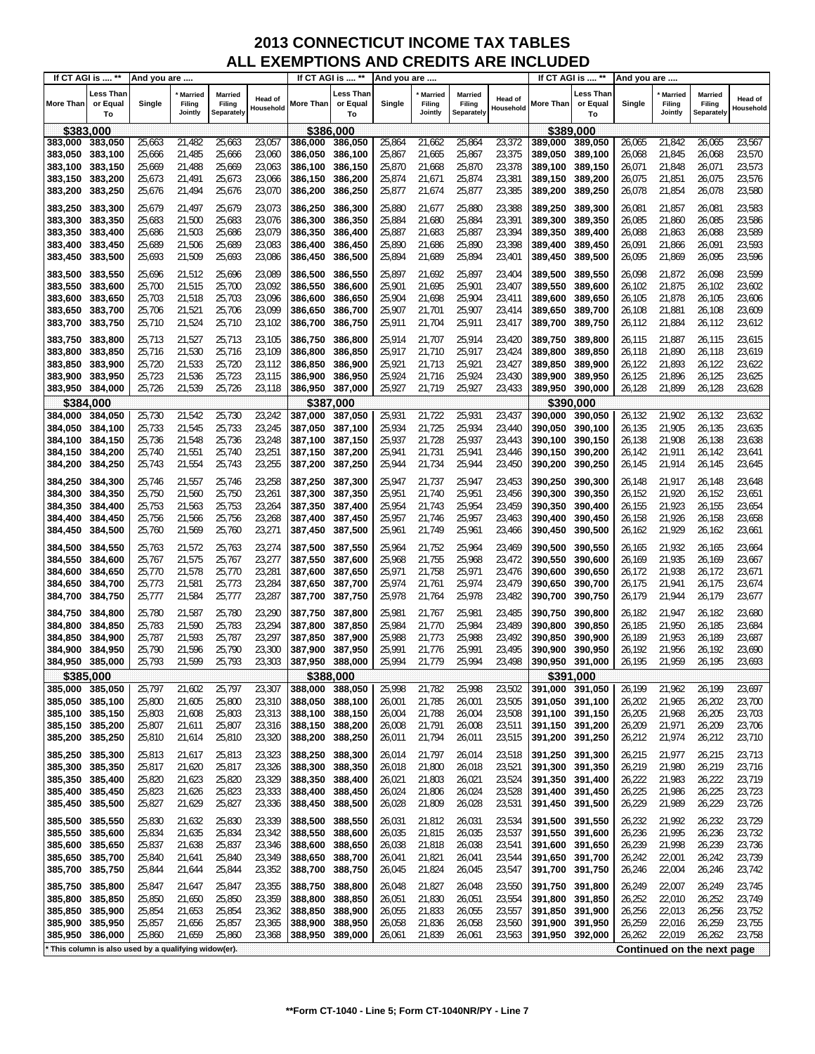| If CT AGI is  **   |                                                     | And you are      |                                     |                                        |                      |                    | If CT AGI is  **            | And you are      |                                     |                                 |                      |                    | If CT AGI is  **            | And you are      |                                     |                                 |                             |
|--------------------|-----------------------------------------------------|------------------|-------------------------------------|----------------------------------------|----------------------|--------------------|-----------------------------|------------------|-------------------------------------|---------------------------------|----------------------|--------------------|-----------------------------|------------------|-------------------------------------|---------------------------------|-----------------------------|
| <b>More Than</b>   | Less Than<br>or Equal<br>To                         | Single           | <b>Married</b><br>Filing<br>Jointly | <b>Married</b><br>Filing<br>Separately | Head of<br>Household | More Than          | Less Than<br>or Equal<br>To | Single           | <b>Married</b><br>Filing<br>Jointly | Married<br>Filing<br>Separately | Head of<br>Household | More Than          | Less Than<br>or Equal<br>To | Single           | <b>Married</b><br>Filing<br>Jointly | Married<br>Filing<br>Separately | <b>Head of</b><br>Household |
| \$383,000          |                                                     |                  |                                     |                                        |                      | \$386,000          |                             |                  |                                     |                                 |                      |                    | \$389.000                   |                  |                                     |                                 |                             |
| 383,000            | 383,050                                             | 25,663           | 21,482                              | 25,663                                 | 23,057               | 386,000            | 386,050                     | 25,864           | 21,662                              | 25,864                          | 23,372               | 389,000            | 389,050                     | 26,065           | 21,842                              | 26,065                          | 23,567                      |
| 383,050            | 383,100                                             | 25,666           | 21,485                              | 25,666                                 | 23,060               | 386,050            | 386,100                     | 25,867           | 21,665                              | 25,867                          | 23,375               | 389.050            | 389,100                     | 26,068           | 21,845                              | 26,068                          | 23,570                      |
| 383,100            | 383,150                                             | 25,669           | 21,488                              | 25,669                                 | 23,063               | 386,100            | 386,150                     | 25,870           | 21,668                              | 25,870                          | 23,378               | 389.100            | 389,150                     | 26,071           | 21,848                              | 26,071                          | 23,573                      |
| 383,150            | 383,200                                             | 25,673           | 21,491                              | 25,673                                 | 23,066               | 386,150            | 386,200                     | 25,874           | 21,671                              | 25,874                          | 23,381               | 389,150            | 389,200                     | 26,075           | 21,851                              | 26,075                          | 23,576                      |
| 383,200            | 383,250                                             | 25,676           | 21,494                              | 25,676                                 | 23,070               | 386,200            | 386,250                     | 25,877           | 21,674                              | 25,877                          | 23,385               | 389,200            | 389,250                     | 26,078           | 21,854                              | 26,078                          | 23,580                      |
| 383,250            | 383,300                                             | 25,679           | 21,497                              | 25,679                                 | 23,073               | 386,250            | 386,300                     | 25,880           | 21,677                              | 25,880                          | 23,388               | 389,250            | 389,300                     | 26,081           | 21,857                              | 26,081                          | 23,583                      |
| 383,300            | 383,350                                             | 25,683           | 21,500                              | 25,683                                 | 23,076               | 386,300            | 386,350                     | 25,884           | 21,680                              | 25,884                          | 23,391               | 389,300            | 389,350                     | 26,085           | 21,860                              | 26,085                          | 23,586                      |
| 383,350            | 383,400                                             | 25,686           | 21,503                              | 25,686                                 | 23,079               | 386,350            | 386,400                     | 25,887           | 21,683                              | 25,887                          | 23,394               | 389,350            | 389,400                     | 26,088           | 21,863                              | 26,088                          | 23,589                      |
| 383,400            | 383,450                                             | 25,689           | 21,506                              | 25,689                                 | 23,083               | 386,400            | 386,450                     | 25,890           | 21,686                              | 25,890                          | 23,398               | 389,400            | 389,450                     | 26,091           | 21,866                              | 26,091                          | 23,593                      |
| 383,450            | 383,500                                             | 25,693           | 21,509                              | 25,693                                 | 23,086               | 386,450            | 386,500                     | 25,894           | 21,689                              | 25,894                          | 23,401               | 389,450            | 389,500                     | 26,095           | 21,869                              | 26,095                          | 23,596                      |
| 383,500            | 383,550                                             | 25,696           | 21,512                              | 25,696                                 | 23,089               | 386,500            | 386,550                     | 25,897           | 21,692                              | 25,897                          | 23,404               | 389,500            | 389,550                     | 26,098           | 21,872                              | 26,098                          | 23,599                      |
| 383,550            | 383,600                                             | 25,700           | 21,515                              | 25,700                                 | 23,092               | 386,550            | 386,600                     | 25,901           | 21,695                              | 25,901                          | 23,407               | 389,550            | 389,600                     | 26,102           | 21,875                              | 26,102                          | 23,602                      |
| 383,600<br>383,650 | 383,650<br>383,700                                  | 25,703<br>25,706 | 21,518<br>21,521                    | 25,703<br>25,706                       | 23,096<br>23,099     | 386,600<br>386,650 | 386,650<br>386,700          | 25,904<br>25,907 | 21,698<br>21,701                    | 25,904<br>25,907                | 23,411<br>23,414     | 389,600<br>389,650 | 389,650<br>389,700          | 26,105<br>26,108 | 21,878<br>21,881                    | 26,105<br>26,108                | 23,606<br>23,609            |
| 383,700            | 383,750                                             | 25,710           | 21,524                              | 25,710                                 | 23,102               | 386,700            | 386,750                     | 25,911           | 21,704                              | 25,911                          | 23,417               | 389,700            | 389,750                     | 26,112           | 21,884                              | 26,112                          | 23,612                      |
|                    |                                                     |                  |                                     |                                        |                      |                    |                             |                  |                                     |                                 |                      |                    |                             |                  |                                     |                                 |                             |
| 383,750            | 383,800                                             | 25,713           | 21,527                              | 25,713                                 | 23,105               | 386,750            | 386,800                     | 25,914           | 21,707                              | 25,914                          | 23,420               | 389,750            | 389,800                     | 26,115           | 21,887                              | 26,115                          | 23,615                      |
| 383,800<br>383,850 | 383,850<br>383,900                                  | 25,716<br>25,720 | 21,530<br>21,533                    | 25,716<br>25,720                       | 23,109<br>23,112     | 386,800<br>386,850 | 386,850<br>386,900          | 25,917<br>25,921 | 21,710<br>21,713                    | 25,917<br>25,921                | 23,424<br>23,427     | 389,800<br>389,850 | 389,850<br>389,900          | 26,118<br>26,122 | 21,890<br>21,893                    | 26,118<br>26,122                | 23,619<br>23,622            |
| 383,900            | 383,950                                             | 25,723           | 21,536                              | 25,723                                 | 23,115               | 386,900            | 386,950                     | 25,924           | 21,716                              | 25,924                          | 23,430               | 389,900            | 389,950                     | 26,125           | 21,896                              | 26,125                          | 23,625                      |
| 383,950            | 384,000                                             | 25,726           | 21,539                              | 25,726                                 | 23,118               | 386,950            | 387,000                     | 25,927           | 21,719                              | 25,927                          | 23,433               | 389,950            | 390,000                     | 26,128           | 21,899                              | 26,128                          | 23,628                      |
| \$384,000          |                                                     |                  |                                     |                                        |                      | \$387.000          |                             |                  |                                     |                                 |                      |                    | \$390.000                   |                  |                                     |                                 |                             |
| 384,000            | 384,050                                             | 25,730           | 21,542                              | 25,730                                 | 23,242               | 387,000            | 387,050                     | 25,931           | 21,722                              | 25,931                          | 23,437               | 390,000            | 390,050                     | 26,132           | 21,902                              | 26,132                          | 23,632                      |
| 384,050            | 384,100                                             | 25,733           | 21,545                              | 25,733                                 | 23,245               | 387.050            | 387,100                     | 25,934           | 21,725                              | 25,934                          | 23,440               | 390,050            | 390,100                     | 26,135           | 21,905                              | 26,135                          | 23,635                      |
| 384,100            | 384,150                                             | 25,736           | 21,548                              | 25,736                                 | 23,248               | 387,100            | 387,150                     | 25,937           | 21,728                              | 25,937                          | 23,443               | 390,100            | 390,150                     | 26,138           | 21,908                              | 26,138                          | 23,638                      |
| 384,150            | 384,200                                             | 25,740           | 21,551                              | 25,740                                 | 23,251               | 387,150            | 387,200                     | 25,941           | 21,731                              | 25,941                          | 23,446               | 390,150            | 390,200                     | 26,142           | 21,911                              | 26,142                          | 23,641                      |
| 384,200            | 384,250                                             | 25,743           | 21,554                              | 25,743                                 | 23,255               | 387,200            | 387,250                     | 25,944           | 21,734                              | 25,944                          | 23,450               | 390,200            | 390,250                     | 26,145           | 21,914                              | 26,145                          | 23,645                      |
| 384,250            | 384,300                                             | 25,746           | 21,557                              | 25,746                                 | 23,258               | 387,250            | 387,300                     | 25,947           | 21,737                              | 25,947                          | 23,453               | 390,250            | 390,300                     | 26,148           | 21,917                              | 26,148                          | 23,648                      |
| 384,300            | 384,350                                             | 25,750           | 21,560                              | 25,750                                 | 23,261               | 387,300            | 387,350                     | 25,951           | 21,740                              | 25,951                          | 23,456               | 390,300            | 390,350                     | 26,152           | 21,920                              | 26,152                          | 23,651                      |
| 384,350            | 384,400                                             | 25,753           | 21,563                              | 25,753                                 | 23,264               | 387,350            | 387,400                     | 25,954           | 21,743                              | 25,954                          | 23,459               | 390,350            | 390,400                     | 26,155           | 21,923                              | 26,155                          | 23,654                      |
| 384,400            | 384,450                                             | 25,756           | 21,566                              | 25,756                                 | 23,268               | 387,400            | 387,450                     | 25,957           | 21,746                              | 25,957                          | 23,463               | 390,400            | 390,450                     | 26,158           | 21,926                              | 26,158                          | 23,658                      |
| 384,450            | 384,500                                             | 25,760           | 21,569                              | 25,760                                 | 23,271               | 387,450            | 387,500                     | 25,961           | 21,749                              | 25,961                          | 23,466               | 390,450            | 390,500                     | 26,162           | 21,929                              | 26,162                          | 23,661                      |
| 384,500            | 384,550                                             | 25,763           | 21,572                              | 25,763                                 | 23,274               | 387,500            | 387,550                     | 25,964           | 21,752                              | 25,964                          | 23,469               | 390,500            | 390,550                     | 26,165           | 21,932                              | 26,165                          | 23,664                      |
| 384,550            | 384,600                                             | 25,767           | 21,575                              | 25,767                                 | 23,277               | 387,550            | 387,600                     | 25,968           | 21,755                              | 25,968                          | 23,472               | 390,550            | 390,600                     | 26,169           | 21,935                              | 26,169                          | 23,667                      |
| 384,600            | 384,650                                             | 25,770<br>25,773 | 21,578<br>21,581                    | 25,770<br>25,773                       | 23,281<br>23,284     | 387,600            | 387,650                     | 25,971<br>25,974 | 21,758                              | 25,971<br>25,974                | 23,476<br>23,479     | 390,600            | 390,650                     | 26,172<br>26,175 | 21,938<br>21,941                    | 26,172<br>26,175                | 23,671<br>23,674            |
| 384,650<br>384,700 | 384,700<br>384,750                                  | 25,777           | 21,584                              | 25,777                                 | 23,287               | 387,650<br>387,700 | 387,700<br>387,750          | 25,978           | 21,761<br>21,764                    | 25,978                          | 23,482               | 390,650<br>390,700 | 390,700<br>390,750          | 26,179           | 21,944                              | 26,179                          | 23,677                      |
|                    |                                                     |                  |                                     |                                        |                      |                    |                             |                  |                                     |                                 |                      |                    |                             |                  |                                     |                                 |                             |
| 384,750<br>384,800 | 384,800<br>384,850                                  | 25,780<br>25,783 | 21,587<br>21,590                    | 25,780<br>25,783                       | 23,290<br>23,294     | 387,750<br>387,800 | 387,800<br>387,850          | 25,981<br>25,984 | 21,767<br>21,770                    | 25,981<br>25,984                | 23,485<br>23,489     | 390.750<br>390,800 | 390,800<br>390,850          | 26,182<br>26,185 | 21,947<br>21,950                    | 26,182<br>26,185                | 23,680<br>23,684            |
| 384,850            | 384,900                                             | 25,787           | 21,593                              | 25,787                                 | 23,297               | 387,850            | 387,900                     | 25,988           | 21,773                              | 25,988                          | 23,492               | 390,850            | 390,900                     | 26,189           | 21,953                              | 26,189                          | 23,687                      |
| 384,900            | 384,950                                             | 25,790           | 21,596                              | 25,790                                 | 23,300               | 387,900            | 387,950                     | 25,991           | 21,776                              | 25,991                          | 23,495               | 390,900            | 390,950                     | 26,192           | 21,956                              | 26,192                          | 23,690                      |
| 384,950            | 385,000                                             | 25,793           | 21,599                              | 25,793                                 | 23,303               | 387,950            | 388,000                     | 25,994           | 21,779                              | 25,994                          | 23,498               | 390,950            | 391.000                     | 26,195           | 21,959                              | 26,195                          | 23,693                      |
|                    | \$385,000                                           |                  |                                     |                                        |                      | \$388,000          |                             |                  |                                     |                                 |                      |                    | \$391,000                   |                  |                                     |                                 |                             |
| 385,000            | 385,050                                             | 25,797           | 21,602                              | 25,797                                 | 23,307               | 388,000            | 388,050                     | 25,998           | 21,782                              | 25,998                          | 23,502               | 391,000            | 391,050                     | 26,199           | 21,962                              | 26,199                          | 23,697                      |
| 385,050            | 385,100                                             | 25,800           | 21,605                              | 25,800                                 | 23,310               | 388,050            | 388,100                     | 26,001           | 21,785                              | 26,001                          | 23,505               | 391,050 391,100    |                             | 26,202           | 21,965                              | 26,202                          | 23,700                      |
| 385,100            | 385,150                                             | 25,803           | 21,608                              | 25,803                                 | 23,313               | 388,100            | 388,150                     | 26,004           | 21,788                              | 26,004                          | 23,508               | 391,100            | 391,150                     | 26,205           | 21,968                              | 26,205                          | 23,703                      |
| 385,150            | 385,200                                             | 25,807           | 21,611                              | 25,807                                 | 23,316               | 388,150            | 388,200                     | 26,008           | 21,791                              | 26,008                          | 23,511               | 391,150            | 391,200                     | 26,209           | 21,971                              | 26,209                          | 23,706                      |
| 385,200            | 385,250                                             | 25,810           | 21,614                              | 25,810                                 | 23,320               | 388,200            | 388,250                     | 26,011           | 21,794                              | 26,011                          | 23,515               | 391,200            | 391,250                     | 26,212           | 21,974                              | 26,212                          | 23,710                      |
| 385,250            | 385,300                                             | 25,813           | 21,617                              | 25,813                                 | 23,323               | 388,250            | 388,300                     | 26,014           | 21,797                              | 26,014                          | 23,518               | 391,250            | 391,300                     | 26,215           | 21,977                              | 26,215                          | 23,713                      |
| 385,300            | 385,350                                             | 25,817           | 21,620                              | 25,817                                 | 23,326               | 388,300            | 388,350                     | 26,018           | 21,800                              | 26,018                          | 23,521               | 391,300            | 391,350                     | 26,219           | 21,980                              | 26,219                          | 23,716                      |
| 385,350            | 385,400                                             | 25,820           | 21,623                              | 25,820                                 | 23,329               | 388,350            | 388,400                     | 26,021           | 21,803                              | 26,021                          | 23,524               | 391,350            | 391,400                     | 26,222           | 21,983                              | 26,222                          | 23,719                      |
| 385,400<br>385,450 | 385,450<br>385,500                                  | 25,823<br>25,827 | 21,626<br>21,629                    | 25,823<br>25,827                       | 23,333<br>23,336     | 388,400<br>388,450 | 388,450<br>388,500          | 26,024<br>26,028 | 21,806<br>21,809                    | 26,024<br>26,028                | 23,528<br>23,531     | 391,400<br>391,450 | 391,450<br>391,500          | 26,225<br>26,229 | 21,986<br>21,989                    | 26,225<br>26,229                | 23,723<br>23,726            |
|                    |                                                     |                  |                                     |                                        |                      |                    |                             |                  |                                     |                                 |                      |                    |                             |                  |                                     |                                 |                             |
| 385,500            | 385,550                                             | 25,830           | 21,632                              | 25,830                                 | 23,339               | 388,500            | 388,550                     | 26,031           | 21,812                              | 26,031                          | 23,534               | 391,500            | 391,550                     | 26,232           | 21,992                              | 26,232                          | 23,729                      |
| 385,550<br>385,600 | 385,600<br>385,650                                  | 25,834<br>25,837 | 21,635<br>21,638                    | 25,834<br>25,837                       | 23,342<br>23,346     | 388,550<br>388,600 | 388,600<br>388,650          | 26,035<br>26,038 | 21,815<br>21,818                    | 26,035<br>26,038                | 23,537<br>23,541     | 391,550<br>391,600 | 391,600<br>391,650          | 26,236<br>26,239 | 21,995<br>21,998                    | 26,236<br>26,239                | 23,732<br>23,736            |
| 385,650            | 385,700                                             | 25,840           | 21,641                              | 25,840                                 | 23,349               | 388,650            | 388,700                     | 26,041           | 21,821                              | 26,041                          | 23,544               | 391,650            | 391,700                     | 26,242           | 22,001                              | 26,242                          | 23,739                      |
| 385,700            | 385,750                                             | 25,844           | 21,644                              | 25,844                                 | 23,352               | 388,700            | 388,750                     | 26,045           | 21,824                              | 26,045                          | 23,547               | 391,700            | 391,750                     | 26,246           | 22,004                              | 26,246                          | 23,742                      |
|                    |                                                     |                  |                                     |                                        |                      |                    |                             |                  |                                     |                                 |                      |                    |                             |                  |                                     |                                 |                             |
| 385,750<br>385,800 | 385,800<br>385,850                                  | 25,847<br>25,850 | 21,647<br>21,650                    | 25,847<br>25,850                       | 23,355<br>23,359     | 388,750<br>388,800 | 388,800<br>388,850          | 26,048<br>26,051 | 21,827<br>21,830                    | 26,048<br>26,051                | 23,550<br>23,554     | 391,750<br>391,800 | 391,800<br>391,850          | 26,249<br>26,252 | 22,007<br>22,010                    | 26,249<br>26,252                | 23,745<br>23,749            |
| 385,850            | 385,900                                             | 25,854           | 21,653                              | 25,854                                 | 23,362               | 388,850            | 388,900                     | 26,055           | 21,833                              | 26,055                          | 23,557               | 391,850            | 391,900                     | 26,256           | 22,013                              | 26,256                          | 23,752                      |
| 385,900            | 385,950                                             | 25,857           | 21,656                              | 25,857                                 | 23,365               | 388,900            | 388,950                     | 26,058           | 21,836                              | 26,058                          | 23,560               | 391,900            | 391,950                     | 26,259           | 22,016                              | 26,259                          | 23,755                      |
| 385,950            | 386,000                                             | 25,860           | 21,659                              | 25,860                                 | 23,368               | 388,950            | 389,000                     | 26,061           | 21,839                              | 26,061                          | 23,563               | 391,950            | 392,000                     | 26,262           | 22,019                              | 26,262                          | 23,758                      |
|                    | This column is also used by a qualifying widow(er). |                  |                                     |                                        |                      |                    |                             |                  |                                     |                                 |                      |                    |                             |                  |                                     | Continued on the next page      |                             |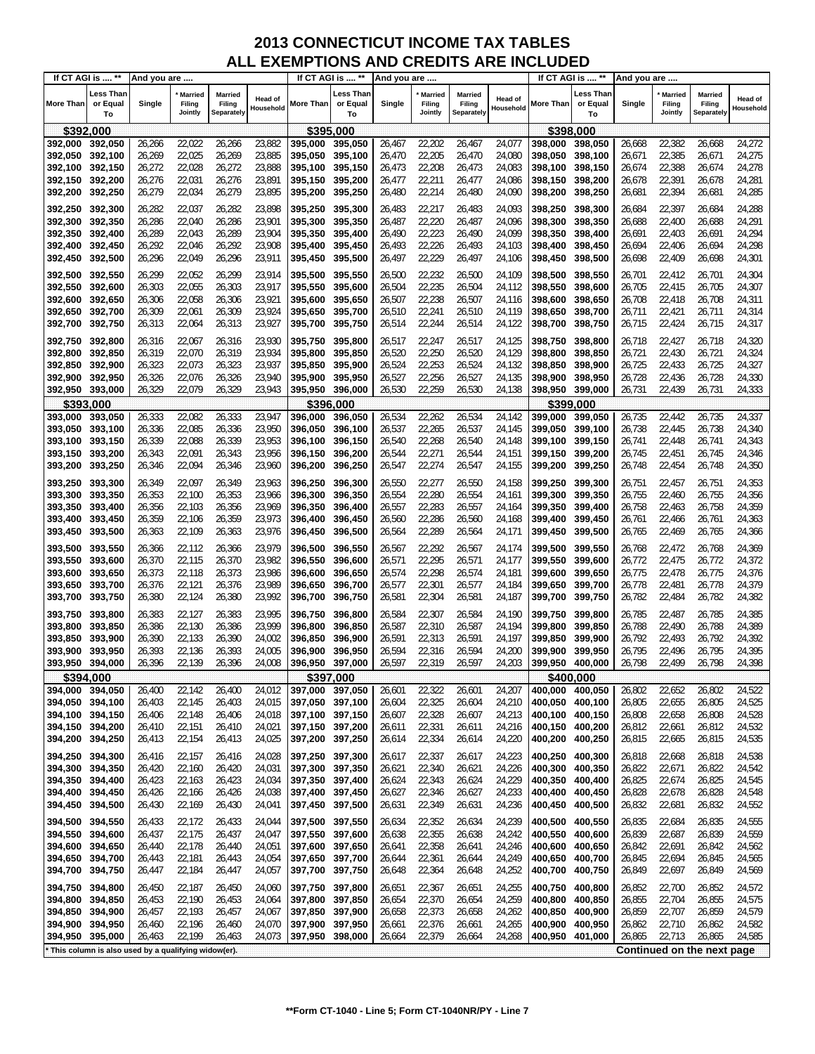| If CT AGI is  **   |                                                     | And you are      |                                     |                                        |                      |                    | If CT AGI is  **            | And you are      |                                     |                                 |                      |                    | If CT AGI is  **            | And you are      |                                     |                                 |                             |
|--------------------|-----------------------------------------------------|------------------|-------------------------------------|----------------------------------------|----------------------|--------------------|-----------------------------|------------------|-------------------------------------|---------------------------------|----------------------|--------------------|-----------------------------|------------------|-------------------------------------|---------------------------------|-----------------------------|
| <b>More Than</b>   | Less Than<br>or Equal<br>To                         | Single           | <b>Married</b><br>Filing<br>Jointly | <b>Married</b><br>Filing<br>Separately | Head of<br>Household | More Than          | Less Than<br>or Equal<br>To | Single           | <b>Married</b><br>Filing<br>Jointly | Married<br>Filing<br>Separately | Head of<br>Household | More Than          | Less Than<br>or Equal<br>To | Single           | <b>Married</b><br>Filing<br>Jointly | Married<br>Filing<br>Separately | <b>Head of</b><br>Household |
| \$392,000          |                                                     |                  |                                     |                                        |                      | \$395,000          |                             |                  |                                     |                                 |                      |                    | \$398,000                   |                  |                                     |                                 |                             |
| 392,000            | 392,050                                             | 26,266           | 22,022                              | 26,266                                 | 23,882               | 395,000            | 395,050                     | 26,467           | 22,202                              | 26,467                          | 24,077               | 398,000            | 398,050                     | 26,668           | 22,382                              | 26,668                          | 24,272                      |
| 392,050            | 392,100                                             | 26,269           | 22,025                              | 26,269                                 | 23,885               | 395,050            | 395,100                     | 26,470           | 22,205                              | 26,470                          | 24,080               | 398,050            | 398,100                     | 26,671           | 22,385                              | 26,671                          | 24,275                      |
| 392,100            | 392,150                                             | 26,272           | 22,028                              | 26,272                                 | 23,888               | 395,100            | 395,150                     | 26,473           | 22,208                              | 26,473                          | 24,083               | 398,100            | 398,150                     | 26,674           | 22,388                              | 26,674                          | 24,278                      |
| 392,150            | 392,200                                             | 26,276           | 22,031                              | 26,276                                 | 23,891               | 395,150            | 395,200                     | 26,477           | 22,211                              | 26,477                          | 24,086               | 398,150            | 398,200                     | 26,678           | 22,391                              | 26,678                          | 24,281                      |
| 392,200            | 392,250                                             | 26,279           | 22,034                              | 26,279                                 | 23,895               | 395,200            | 395,250                     | 26,480           | 22,214                              | 26,480                          | 24,090               | 398,200            | 398,250                     | 26,681           | 22,394                              | 26,681                          | 24,285                      |
| 392,250            | 392,300                                             | 26,282           | 22,037                              | 26,282                                 | 23,898               | 395,250            | 395,300                     | 26,483           | 22,217                              | 26,483                          | 24,093               | 398,250            | 398,300                     | 26,684           | 22,397                              | 26,684                          | 24,288                      |
| 392,300            | 392,350                                             | 26,286           | 22,040                              | 26,286                                 | 23,901               | 395,300            | 395,350                     | 26,487           | 22,220                              | 26,487                          | 24,096               | 398,300            | 398,350                     | 26,688           | 22,400                              | 26,688                          | 24,291                      |
| 392,350            | 392,400                                             | 26,289           | 22,043                              | 26,289                                 | 23,904               | 395,350            | 395,400                     | 26,490           | 22,223                              | 26,490                          | 24,099               | 398,350            | 398,400                     | 26,691           | 22,403                              | 26,691                          | 24,294                      |
| 392,400            | 392,450                                             | 26,292           | 22,046                              | 26,292                                 | 23,908               | 395,400            | 395,450                     | 26,493           | 22,226                              | 26,493                          | 24,103               | 398.400            | 398,450                     | 26,694           | 22,406                              | 26,694                          | 24,298                      |
| 392,450            | 392,500                                             | 26,296           | 22,049                              | 26,296                                 | 23,911               | 395,450            | 395,500                     | 26,497           | 22,229                              | 26,497                          | 24,106               | 398,450            | 398,500                     | 26,698           | 22,409                              | 26,698                          | 24,301                      |
| 392,500            | 392,550                                             | 26,299           | 22,052                              | 26,299                                 | 23,914               | 395,500            | 395,550                     | 26,500           | 22,232                              | 26,500                          | 24,109               | 398,500            | 398,550                     | 26,701           | 22,412                              | 26,701                          | 24,304                      |
| 392,550            | 392,600                                             | 26,303           | 22,055                              | 26,303                                 | 23,917               | 395,550            | 395,600                     | 26,504           | 22,235                              | 26,504                          | 24,112               | 398,550            | 398,600                     | 26,705           | 22,415                              | 26,705                          | 24,307                      |
| 392,600<br>392,650 | 392,650<br>392,700                                  | 26,306<br>26,309 | 22,058<br>22,061                    | 26,306<br>26,309                       | 23,921<br>23,924     | 395,600<br>395,650 | 395,650<br>395,700          | 26,507<br>26,510 | 22,238<br>22,241                    | 26,507<br>26,510                | 24,116<br>24,119     | 398,600<br>398,650 | 398,650<br>398,700          | 26,708<br>26,711 | 22,418<br>22,421                    | 26,708<br>26,711                | 24,311<br>24,314            |
| 392,700            | 392,750                                             | 26,313           | 22,064                              | 26,313                                 | 23,927               | 395,700            | 395,750                     | 26,514           | 22,244                              | 26,514                          | 24,122               | 398,700            | 398,750                     | 26,715           | 22,424                              | 26,715                          | 24,317                      |
|                    |                                                     |                  |                                     |                                        |                      |                    |                             |                  |                                     |                                 |                      |                    |                             |                  |                                     |                                 |                             |
| 392,750            | 392,800                                             | 26,316           | 22,067<br>22,070                    | 26,316<br>26,319                       | 23,930<br>23,934     | 395.750<br>395,800 | 395,800                     | 26,517<br>26,520 | 22,247<br>22,250                    | 26,517<br>26,520                | 24,125               | 398,750<br>398.800 | 398,800                     | 26,718           | 22,427<br>22,430                    | 26,718                          | 24,320<br>24,324            |
| 392,800<br>392,850 | 392,850<br>392,900                                  | 26,319<br>26,323 | 22,073                              | 26,323                                 | 23,937               | 395.850            | 395,850<br>395,900          | 26,524           | 22,253                              | 26,524                          | 24,129<br>24,132     | 398,850            | 398,850<br>398,900          | 26,721<br>26,725 | 22,433                              | 26,721<br>26,725                | 24,327                      |
| 392,900            | 392,950                                             | 26,326           | 22,076                              | 26,326                                 | 23,940               | 395,900            | 395,950                     | 26,527           | 22,256                              | 26,527                          | 24,135               | 398,900            | 398,950                     | 26,728           | 22,436                              | 26,728                          | 24,330                      |
| 392,950            | 393,000                                             | 26,329           | 22,079                              | 26,329                                 | 23,943               | 395,950            | 396,000                     | 26,530           | 22,259                              | 26,530                          | 24,138               | 398.950            | 399,000                     | 26,731           | 22,439                              | 26,731                          | 24,333                      |
| \$393.000          |                                                     |                  |                                     |                                        |                      | \$396.000          |                             |                  |                                     |                                 |                      |                    | \$399.000                   |                  |                                     |                                 |                             |
| 393,000            | 393,050                                             | 26,333           | 22,082                              | 26,333                                 | 23,947               | 396,000            | 396,050                     | 26,534           | 22,262                              | 26,534                          | 24,142               | 399,000            | 399,050                     | 26,735           | 22,442                              | 26,735                          | 24,337                      |
| 393.050            | 393,100                                             | 26,336           | 22,085                              | 26,336                                 | 23,950               | 396,050            | 396,100                     | 26,537           | 22,265                              | 26,537                          | 24,145               | 399,050            | 399,100                     | 26,738           | 22,445                              | 26,738                          | 24,340                      |
| 393,100            | 393,150                                             | 26,339           | 22,088                              | 26,339                                 | 23,953               | 396.100            | 396,150                     | 26,540           | 22,268                              | 26,540                          | 24,148               | 399,100            | 399,150                     | 26,741           | 22,448                              | 26,741                          | 24,343                      |
| 393,150            | 393,200                                             | 26,343           | 22,091                              | 26,343                                 | 23,956               | 396,150            | 396,200                     | 26,544           | 22,271                              | 26,544                          | 24,151               | 399,150            | 399,200                     | 26,745           | 22,451                              | 26,745                          | 24,346                      |
| 393,200            | 393,250                                             | 26,346           | 22,094                              | 26,346                                 | 23,960               | 396,200            | 396,250                     | 26,547           | 22,274                              | 26,547                          | 24,155               | 399,200            | 399,250                     | 26,748           | 22,454                              | 26,748                          | 24,350                      |
| 393,250            | 393,300                                             | 26,349           | 22,097                              | 26,349                                 | 23,963               | 396,250            | 396,300                     | 26,550           | 22,277                              | 26,550                          | 24,158               | 399,250            | 399,300                     | 26,751           | 22,457                              | 26,751                          | 24,353                      |
| 393,300            | 393,350                                             | 26,353           | 22,100                              | 26,353                                 | 23,966               | 396,300            | 396,350                     | 26,554           | 22,280                              | 26,554                          | 24,161               | 399,300            | 399,350                     | 26,755           | 22,460                              | 26,755                          | 24,356                      |
| 393,350<br>393,400 | 393,400<br>393,450                                  | 26,356<br>26,359 | 22,103<br>22,106                    | 26,356<br>26,359                       | 23,969<br>23,973     | 396,350<br>396,400 | 396,400<br>396,450          | 26,557<br>26,560 | 22,283<br>22,286                    | 26,557<br>26,560                | 24,164<br>24,168     | 399,350<br>399,400 | 399,400<br>399,450          | 26,758<br>26,761 | 22,463<br>22,466                    | 26,758<br>26,761                | 24,359<br>24,363            |
| 393,450            | 393,500                                             | 26,363           | 22,109                              | 26,363                                 | 23,976               | 396,450            | 396,500                     | 26,564           | 22,289                              | 26,564                          | 24,171               | 399,450            | 399,500                     | 26,765           | 22,469                              | 26,765                          | 24,366                      |
|                    |                                                     |                  |                                     |                                        |                      |                    |                             | 26,567           |                                     |                                 |                      | 399,500            |                             |                  |                                     |                                 |                             |
| 393,500<br>393,550 | 393,550<br>393,600                                  | 26,366<br>26,370 | 22,112<br>22,115                    | 26,366<br>26,370                       | 23,979<br>23,982     | 396,500<br>396,550 | 396,550<br>396,600          | 26,571           | 22,292<br>22,295                    | 26,567<br>26,571                | 24,174<br>24,177     | 399,550            | 399,550<br>399,600          | 26,768<br>26,772 | 22,472<br>22,475                    | 26,768<br>26,772                | 24,369<br>24,372            |
| 393,600            | 393,650                                             | 26,373           | 22,118                              | 26,373                                 | 23,986               | 396,600            | 396,650                     | 26,574           | 22,298                              | 26,574                          | 24,181               | 399,600            | 399,650                     | 26,775           | 22,478                              | 26,775                          | 24,376                      |
| 393,650            | 393,700                                             | 26,376           | 22,121                              | 26,376                                 | 23,989               | 396,650            | 396,700                     | 26,577           | 22,301                              | 26,577                          | 24,184               | 399,650            | 399,700                     | 26,778           | 22,481                              | 26,778                          | 24,379                      |
| 393,700            | 393,750                                             | 26,380           | 22,124                              | 26,380                                 | 23,992               | 396,700            | 396,750                     | 26,581           | 22,304                              | 26,581                          | 24,187               | 399,700            | 399,750                     | 26,782           | 22,484                              | 26,782                          | 24,382                      |
| 393,750            | 393,800                                             | 26,383           | 22,127                              | 26,383                                 | 23,995               | 396,750            | 396,800                     | 26,584           | 22,307                              | 26,584                          | 24,190               | 399,750            | 399,800                     | 26,785           | 22,487                              | 26,785                          | 24,385                      |
| 393,800            | 393,850                                             | 26,386           | 22,130                              | 26,386                                 | 23,999               | 396,800            | 396,850                     | 26,587           | 22,310                              | 26,587                          | 24,194               | 399,800            | 399,850                     | 26,788           | 22,490                              | 26,788                          | 24,389                      |
| 393,850            | 393,900                                             | 26,390           | 22,133                              | 26,390                                 | 24,002               | 396,850            | 396,900                     | 26,591           | 22,313                              | 26,591                          | 24,197               | 399,850            | 399,900                     | 26,792           | 22,493                              | 26,792                          | 24,392                      |
| 393,900            | 393,950                                             | 26,393           | 22,136                              | 26,393                                 | 24,005               | 396,900            | 396,950                     | 26,594           | 22,316                              | 26,594                          | 24,200               | 399,900            | 399,950                     | 26,795           | 22,496                              | 26,795                          | 24,395                      |
| 393,950 394,000    |                                                     | 26,396           | 22,139                              | 26,396                                 | 24,008               | 396,950 397,000    |                             | 26,597           | 22,319                              | 26,597                          | 24,203               | 399,950            | 400,000                     | 26,798           | 22,499                              | 26,798                          | 24,398                      |
| \$394,000          |                                                     |                  |                                     |                                        |                      | \$397,000          |                             |                  |                                     |                                 |                      |                    | \$400,000                   |                  |                                     |                                 |                             |
| 394,000            | 394,050                                             | 26,400           | 22,142                              | 26,400                                 | 24,012               | 397,000            | 397,050                     | 26,601           | 22,322                              | 26,601                          | 24,207               | 400,000            | 400,050                     | 26,802           | 22,652                              | 26,802                          | 24,522                      |
| 394,050<br>394,100 | 394,100<br>394,150                                  | 26,403<br>26,406 | 22,145<br>22,148                    | 26,403<br>26,406                       | 24,015<br>24,018     | 397,050<br>397,100 | 397,100<br>397,150          | 26,604<br>26,607 | 22,325<br>22,328                    | 26,604<br>26,607                | 24,210<br>24,213     | 400,050<br>400,100 | 400,100<br>400,150          | 26,805<br>26,808 | 22,655<br>22,658                    | 26,805<br>26,808                | 24,525<br>24,528            |
| 394,150            | 394,200                                             | 26,410           | 22,151                              | 26,410                                 | 24,021               | 397,150 397,200    |                             | 26,611           | 22,331                              | 26,611                          | 24,216               | 400,150            | 400,200                     | 26,812           | 22,661                              | 26,812                          | 24,532                      |
| 394,200            | 394,250                                             | 26,413           | 22,154                              | 26,413                                 | 24,025               | 397,200            | 397,250                     | 26,614           | 22,334                              | 26,614                          | 24,220               | 400,200            | 400,250                     | 26,815           | 22,665                              | 26,815                          | 24,535                      |
| 394,250            | 394,300                                             | 26,416           | 22,157                              | 26,416                                 | 24,028               | 397,250            | 397,300                     | 26,617           | 22,337                              | 26,617                          | 24,223               | 400,250            | 400,300                     | 26,818           | 22,668                              | 26,818                          | 24,538                      |
| 394,300            | 394,350                                             | 26,420           | 22,160                              | 26,420                                 | 24,031               | 397,300            | 397,350                     | 26,621           | 22,340                              | 26,621                          | 24,226               | 400,300            | 400,350                     | 26,822           | 22,671                              | 26,822                          | 24,542                      |
| 394,350            | 394,400                                             | 26,423           | 22,163                              | 26,423                                 | 24,034               | 397,350            | 397,400                     | 26,624           | 22,343                              | 26,624                          | 24,229               | 400,350            | 400,400                     | 26,825           | 22,674                              | 26,825                          | 24,545                      |
| 394,400            | 394,450                                             | 26,426           | 22,166                              | 26,426                                 | 24,038               | 397,400            | 397,450                     | 26,627           | 22,346                              | 26,627                          | 24,233               | 400,400            | 400,450                     | 26,828           | 22,678                              | 26,828                          | 24,548                      |
| 394,450            | 394,500                                             | 26,430           | 22,169                              | 26,430                                 | 24,041               | 397,450            | 397,500                     | 26,631           | 22,349                              | 26,631                          | 24,236               | 400,450            | 400,500                     | 26,832           | 22,681                              | 26,832                          | 24,552                      |
| 394,500            | 394,550                                             | 26,433           | 22,172                              | 26,433                                 | 24,044               | 397,500 397,550    |                             | 26,634           | 22,352                              | 26,634                          | 24,239               | 400,500            | 400,550                     | 26,835           | 22,684                              | 26,835                          | 24,555                      |
| 394,550            | 394,600                                             | 26,437           | 22,175                              | 26,437                                 | 24,047               | 397,550            | 397,600                     | 26,638           | 22,355                              | 26,638                          | 24,242               | 400,550            | 400,600                     | 26,839           | 22,687                              | 26,839                          | 24,559                      |
| 394,600            | 394,650                                             | 26,440           | 22,178                              | 26,440                                 | 24,051               | 397,600            | 397,650                     | 26,641           | 22,358                              | 26,641                          | 24,246               | 400,600            | 400,650                     | 26,842           | 22,691                              | 26,842                          | 24,562                      |
| 394,650            | 394,700                                             | 26,443           | 22,181                              | 26,443                                 | 24,054               | 397,650            | 397,700                     | 26,644           | 22,361                              | 26,644                          | 24,249               | 400,650            | 400,700                     | 26,845           | 22,694                              | 26,845                          | 24,565                      |
| 394,700            | 394,750                                             | 26,447           | 22,184                              | 26,447                                 | 24,057               | 397,700            | 397,750                     | 26,648           | 22,364                              | 26,648                          | 24,252               | 400,700            | 400,750                     | 26,849           | 22,697                              | 26,849                          | 24,569                      |
| 394,750            | 394,800                                             | 26,450           | 22,187                              | 26,450                                 | 24,060               | 397,750            | 397,800                     | 26,651           | 22,367                              | 26,651                          | 24,255               | 400,750            | 400,800                     | 26,852           | 22,700                              | 26,852                          | 24,572                      |
| 394,800            | 394,850                                             | 26,453           | 22,190                              | 26,453                                 | 24,064               | 397,800            | 397,850                     | 26,654           | 22,370                              | 26,654                          | 24,259               | 400,800            | 400,850                     | 26,855           | 22,704                              | 26,855                          | 24,575                      |
| 394,850<br>394,900 | 394,900<br>394,950                                  | 26,457<br>26,460 | 22,193<br>22,196                    | 26,457<br>26,460                       | 24,067<br>24,070     | 397,850<br>397,900 | 397,900<br>397,950          | 26,658<br>26,661 | 22,373<br>22,376                    | 26,658<br>26,661                | 24,262<br>24,265     | 400,850<br>400,900 | 400,900<br>400,950          | 26,859<br>26,862 | 22,707<br>22,710                    | 26,859<br>26,862                | 24,579<br>24,582            |
| 394,950            | 395,000                                             | 26,463           | 22,199                              | 26,463                                 | 24,073               | 397,950            | 398,000                     | 26,664           | 22,379                              | 26,664                          | 24,268               | 400,950            | 401,000                     | 26,865           | 22,713                              | 26,865                          | 24,585                      |
|                    | This column is also used by a qualifying widow(er). |                  |                                     |                                        |                      |                    |                             |                  |                                     |                                 |                      |                    |                             |                  |                                     | Continued on the next page      |                             |
|                    |                                                     |                  |                                     |                                        |                      |                    |                             |                  |                                     |                                 |                      |                    |                             |                  |                                     |                                 |                             |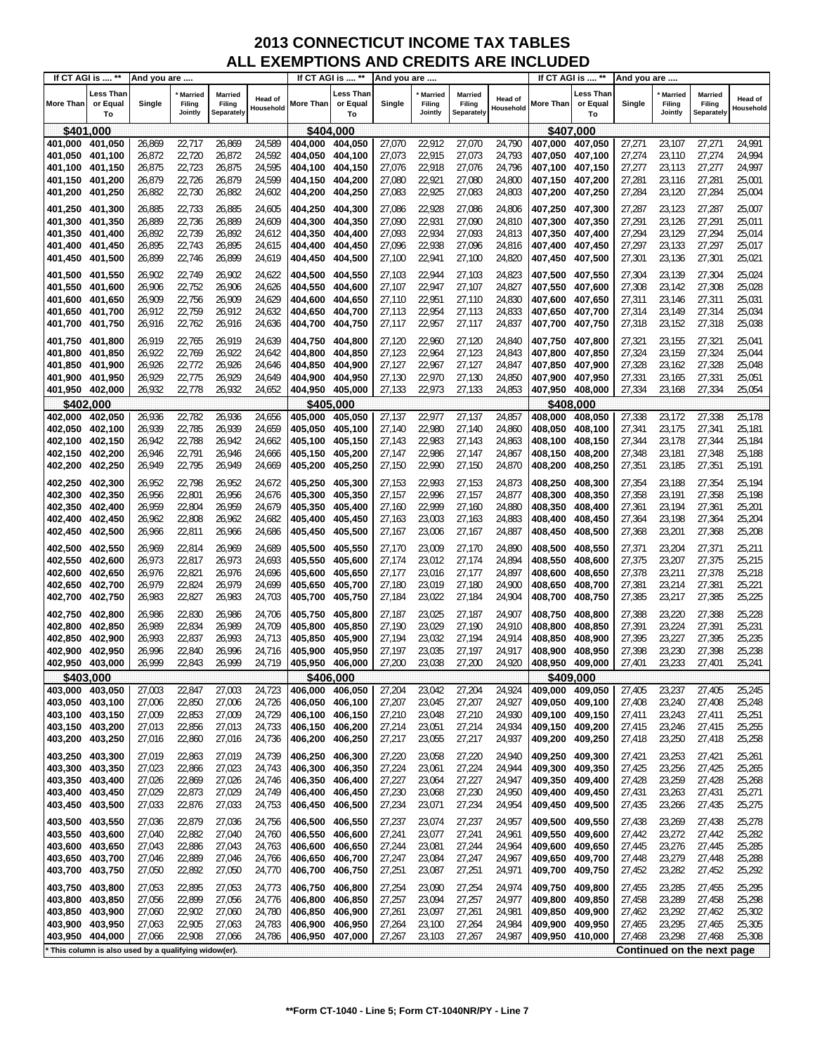| If CT AGI is  **           |                                                     | And you are      |                                     |                                        |                      |                    | If CT AGI is  **            | And you are      |                                     |                                 |                      |                    | If CT AGI is  **                   | And you are      |                                     |                                 |                             |
|----------------------------|-----------------------------------------------------|------------------|-------------------------------------|----------------------------------------|----------------------|--------------------|-----------------------------|------------------|-------------------------------------|---------------------------------|----------------------|--------------------|------------------------------------|------------------|-------------------------------------|---------------------------------|-----------------------------|
| <b>More Than</b>           | Less Than<br>or Equal<br>To                         | Single           | <b>Married</b><br>Filing<br>Jointly | <b>Married</b><br>Filing<br>Separately | Head of<br>Household | More Than          | Less Than<br>or Equal<br>To | Single           | <b>Married</b><br>Filing<br>Jointly | Married<br>Filing<br>Separately | Head of<br>Household | More Than          | <b>Less Than</b><br>or Equal<br>To | Single           | <b>Married</b><br>Filing<br>Jointly | Married<br>Filing<br>Separately | <b>Head of</b><br>Household |
| \$401,000                  |                                                     |                  |                                     |                                        |                      | \$404,000          |                             |                  |                                     |                                 |                      |                    | \$407,000                          |                  |                                     |                                 |                             |
| 401,000                    | 401,050                                             | 26,869           | 22,717                              | 26,869                                 | 24,589               | 404,000            | 404,050                     | 27,070           | 22,912                              | 27,070                          | 24,790               | 407,000            | 407,050                            | 27,271           | 23,107                              | 27,271                          | 24,991                      |
| 401,050                    | 401,100                                             | 26,872           | 22,720                              | 26,872                                 | 24,592               | 404,050            | 404,100                     | 27,073           | 22,915                              | 27,073                          | 24,793               | 407,050            | 407,100                            | 27,274           | 23,110                              | 27,274                          | 24,994                      |
| 401,100                    | 401,150                                             | 26,875           | 22,723                              | 26,875                                 | 24,595               | 404.100            | 404,150                     | 27,076           | 22,918                              | 27,076                          | 24,796               | 407,100            | 407,150                            | 27,277           | 23,113                              | 27,277                          | 24,997                      |
| 401,150                    | 401,200                                             | 26,879           | 22,726                              | 26,879                                 | 24,599               | 404,150            | 404,200                     | 27,080           | 22,921                              | 27,080                          | 24,800               | 407,150            | 407,200                            | 27,281           | 23,116                              | 27,281                          | 25,001                      |
| 401,200                    | 401,250                                             | 26,882           | 22,730                              | 26,882                                 | 24,602               | 404,200            | 404,250                     | 27,083           | 22,925                              | 27,083                          | 24,803               | 407,200            | 407,250                            | 27,284           | 23,120                              | 27,284                          | 25,004                      |
| 401,250                    | 401,300                                             | 26,885           | 22,733                              | 26,885                                 | 24,605               | 404,250            | 404,300                     | 27,086           | 22,928                              | 27,086                          | 24,806               | 407,250            | 407,300                            | 27,287           | 23,123                              | 27,287                          | 25,007                      |
| 401,300                    | 401,350                                             | 26,889           | 22,736                              | 26,889                                 | 24,609               | 404,300            | 404,350                     | 27,090           | 22,931                              | 27,090                          | 24,810               | 407,300            | 407,350                            | 27,291           | 23,126                              | 27,291                          | 25,011                      |
| 401,350                    | 401,400                                             | 26,892           | 22,739                              | 26,892                                 | 24,612               | 404,350            | 404,400                     | 27,093           | 22,934                              | 27,093                          | 24,813               | 407,350            | 407,400                            | 27,294           | 23,129                              | 27,294                          | 25,014                      |
| 401,400                    | 401,450                                             | 26,895           | 22,743                              | 26,895                                 | 24,615               | 404,400            | 404,450                     | 27,096           | 22,938                              | 27,096                          | 24,816               | 407,400            | 407,450                            | 27,297           | 23,133                              | 27,297                          | 25,017                      |
| 401,450                    | 401,500                                             | 26,899           | 22,746                              | 26,899                                 | 24,619               | 404,450            | 404,500                     | 27,100           | 22,941                              | 27,100                          | 24,820               | 407,450            | 407,500                            | 27,301           | 23,136                              | 27,301                          | 25,021                      |
| 401,500                    | 401,550                                             | 26,902           | 22,749                              | 26,902                                 | 24,622               | 404,500            | 404,550                     | 27,103           | 22,944                              | 27,103                          | 24,823               | 407,500            | 407,550                            | 27,304           | 23,139                              | 27,304                          | 25,024                      |
| 401,550                    | 401,600                                             | 26,906           | 22,752                              | 26,906                                 | 24,626               | 404,550            | 404,600                     | 27,107           | 22,947                              | 27,107                          | 24,827               | 407,550            | 407,600                            | 27,308           | 23,142                              | 27,308                          | 25,028                      |
| 401,600<br>401,650         | 401,650<br>401,700                                  | 26,909<br>26,912 | 22,756<br>22,759                    | 26,909<br>26,912                       | 24,629<br>24,632     | 404,600<br>404,650 | 404,650<br>404,700          | 27,110<br>27,113 | 22,951<br>22,954                    | 27,110<br>27,113                | 24,830<br>24,833     | 407,600<br>407,650 | 407,650<br>407,700                 | 27,311<br>27,314 | 23,146<br>23,149                    | 27,311<br>27,314                | 25,031<br>25,034            |
| 401,700                    | 401,750                                             | 26,916           | 22,762                              | 26,916                                 | 24,636               | 404,700            | 404,750                     | 27,117           | 22,957                              | 27,117                          | 24,837               | 407,700            | 407,750                            | 27,318           | 23,152                              | 27,318                          | 25,038                      |
|                            |                                                     |                  |                                     |                                        |                      |                    |                             |                  |                                     |                                 |                      |                    |                                    |                  |                                     |                                 |                             |
| 401,750                    | 401,800<br>401,850                                  | 26,919<br>26,922 | 22,765<br>22,769                    | 26,919<br>26,922                       | 24,639               | 404,750<br>404,800 | 404,800                     | 27,120<br>27,123 | 22,960<br>22,964                    | 27,120<br>27,123                | 24,840               | 407,750<br>407,800 | 407,800<br>407,850                 | 27,321<br>27,324 | 23,155<br>23,159                    | 27,321<br>27,324                | 25,041                      |
| 401,800<br>401,850         | 401,900                                             | 26,926           | 22,772                              | 26,926                                 | 24,642<br>24,646     | 404,850            | 404,850<br>404,900          | 27,127           | 22,967                              | 27,127                          | 24,843<br>24,847     | 407,850            | 407,900                            | 27,328           | 23,162                              | 27,328                          | 25,044<br>25,048            |
| 401,900                    | 401,950                                             | 26,929           | 22,775                              | 26,929                                 | 24,649               | 404,900            | 404,950                     | 27,130           | 22,970                              | 27,130                          | 24,850               | 407,900            | 407,950                            | 27,331           | 23,165                              | 27,331                          | 25,051                      |
| 401,950                    | 402,000                                             | 26,932           | 22,778                              | 26,932                                 | 24,652               | 404.950            | 405,000                     | 27,133           | 22,973                              | 27,133                          | 24,853               | 407,950            | 408,000                            | 27,334           | 23,168                              | 27,334                          | 25,054                      |
| \$402.000                  |                                                     |                  |                                     |                                        |                      | \$405,000          |                             |                  |                                     |                                 |                      |                    | \$408.000                          |                  |                                     |                                 |                             |
| 402,000                    | 402,050                                             | 26,936           | 22,782                              | 26,936                                 | 24,656               | 405,000            | 405,050                     | 27,137           | 22,977                              | 27,137                          | 24,857               | 408,000            | 408,050                            | 27,338           | 23,172                              | 27,338                          | 25,178                      |
| 402,050                    | 402,100                                             | 26,939           | 22,785                              | 26,939                                 | 24,659               | 405,050            | 405,100                     | 27,140           | 22,980                              | 27,140                          | 24,860               | 408,050            | 408,100                            | 27,341           | 23,175                              | 27,341                          | 25,181                      |
| 402,100                    | 402,150                                             | 26,942           | 22,788                              | 26,942                                 | 24,662               | 405,100            | 405,150                     | 27,143           | 22,983                              | 27,143                          | 24,863               | 408,100            | 408,150                            | 27,344           | 23,178                              | 27,344                          | 25,184                      |
| 402,150                    | 402,200                                             | 26,946           | 22,791                              | 26,946                                 | 24,666               | 405,150            | 405,200                     | 27,147           | 22,986                              | 27,147                          | 24,867               | 408,150            | 408,200                            | 27,348           | 23,181                              | 27,348                          | 25,188                      |
| 402,200                    | 402,250                                             | 26,949           | 22,795                              | 26,949                                 | 24,669               | 405,200            | 405,250                     | 27,150           | 22,990                              | 27,150                          | 24,870               | 408,200            | 408,250                            | 27,351           | 23,185                              | 27,351                          | 25,191                      |
| 402,250                    | 402,300                                             | 26,952           | 22,798                              | 26,952                                 | 24,672               | 405,250            | 405,300                     | 27,153           | 22,993                              | 27,153                          | 24,873               | 408,250            | 408,300                            | 27,354           | 23,188                              | 27,354                          | 25,194                      |
| 402,300                    | 402,350                                             | 26,956           | 22,801                              | 26,956                                 | 24,676               | 405,300            | 405,350                     | 27,157           | 22,996                              | 27,157                          | 24,877               | 408,300            | 408,350                            | 27,358           | 23,191                              | 27,358                          | 25,198                      |
| 402,350                    | 402,400                                             | 26,959           | 22,804                              | 26,959                                 | 24,679               | 405,350            | 405,400                     | 27,160           | 22,999                              | 27,160<br>27,163                | 24,880               | 408,350            | 408,400                            | 27,361           | 23,194                              | 27,361                          | 25,201                      |
| 402,400<br>402,450         | 402,450<br>402,500                                  | 26,962<br>26,966 | 22,808<br>22,811                    | 26,962<br>26,966                       | 24,682<br>24,686     | 405,400<br>405,450 | 405,450<br>405,500          | 27,163<br>27,167 | 23,003<br>23,006                    | 27,167                          | 24,883<br>24,887     | 408,400<br>408,450 | 408,450<br>408,500                 | 27,364<br>27,368 | 23,198<br>23,201                    | 27,364<br>27,368                | 25,204<br>25,208            |
|                            |                                                     |                  |                                     |                                        |                      |                    |                             |                  |                                     |                                 |                      |                    |                                    |                  |                                     |                                 |                             |
| 402,500                    | 402,550<br>402,600                                  | 26,969           | 22,814<br>22,817                    | 26,969                                 | 24,689<br>24,693     | 405,500            | 405,550                     | 27,170           | 23,009<br>23,012                    | 27,170                          | 24,890               | 408,500            | 408,550                            | 27,371<br>27,375 | 23,204<br>23,207                    | 27,371<br>27,375                | 25,211<br>25,215            |
| 402,550<br>402,600         | 402,650                                             | 26,973<br>26,976 | 22,821                              | 26,973<br>26,976                       | 24,696               | 405,550<br>405,600 | 405,600<br>405,650          | 27,174<br>27,177 | 23,016                              | 27,174<br>27,177                | 24,894<br>24,897     | 408,550<br>408,600 | 408,600<br>408,650                 | 27,378           | 23,211                              | 27,378                          | 25,218                      |
| 402,650                    | 402,700                                             | 26,979           | 22,824                              | 26,979                                 | 24,699               | 405,650            | 405,700                     | 27,180           | 23,019                              | 27,180                          | 24,900               | 408,650            | 408,700                            | 27,381           | 23,214                              | 27,381                          | 25,221                      |
| 402,700                    | 402,750                                             | 26,983           | 22,827                              | 26,983                                 | 24,703               | 405,700            | 405,750                     | 27,184           | 23,022                              | 27,184                          | 24,904               | 408,700            | 408,750                            | 27,385           | 23,217                              | 27,385                          | 25,225                      |
| 402,750                    | 402,800                                             | 26,986           | 22,830                              | 26,986                                 | 24,706               | 405,750            | 405,800                     | 27,187           | 23,025                              | 27,187                          | 24,907               | 408.750            | 408,800                            | 27,388           | 23,220                              | 27,388                          | 25,228                      |
| 402,800                    | 402,850                                             | 26,989           | 22,834                              | 26,989                                 | 24,709               | 405,800            | 405,850                     | 27,190           | 23,029                              | 27,190                          | 24,910               | 408,800            | 408,850                            | 27,391           | 23,224                              | 27,391                          | 25,231                      |
| 402,850                    | 402,900                                             | 26,993           | 22,837                              | 26,993                                 | 24,713               | 405,850            | 405,900                     | 27,194           | 23,032                              | 27,194                          | 24,914               | 408,850            | 408,900                            | 27,395           | 23,227                              | 27,395                          | 25,235                      |
| 402,900                    | 402,950                                             | 26,996           | 22,840                              | 26,996                                 | 24,716               | 405,900            | 405,950                     | 27,197           | 23,035                              | 27,197                          | 24,917               | 408,900            | 408,950                            | 27,398           | 23,230                              | 27,398                          | 25,238                      |
| 402,950 403,000            |                                                     | 26,999           | 22,843                              | 26,999                                 | 24,719               | 405,950            | 406,000                     | 27,200           | 23,038                              | 27,200                          | 24,920               | 408,950            | 409,000                            | 27,401           | 23,233                              | 27,401                          | 25,241                      |
| \$403,000                  |                                                     |                  |                                     |                                        |                      | \$406,000          |                             |                  |                                     |                                 |                      |                    | \$409,000                          |                  |                                     |                                 |                             |
| 403,000                    | 403,050                                             | 27,003           | 22,847                              | 27,003                                 | 24,723               | 406,000            | 406,050                     | 27,204           | 23,042                              | 27,204                          | 24,924               | 409,000            | 409,050                            | 27,405           | 23,237                              | 27,405                          | 25,245                      |
| 403,050 403,100            |                                                     | 27,006           | 22,850                              | 27,006                                 | 24,726               | 406,050            | 406,100                     | 27,207           | 23,045                              | 27,207                          | 24,927               | 409,050            | 409,100                            | 27,408           | 23,240                              | 27,408                          | 25,248                      |
| 403,100<br>403,150 403,200 | 403,150                                             | 27,009<br>27,013 | 22,853<br>22,856                    | 27,009<br>27,013                       | 24,729<br>24,733     | 406,100<br>406,150 | 406,150<br>406,200          | 27,210<br>27,214 | 23,048<br>23,051                    | 27,210<br>27,214                | 24,930<br>24,934     | 409,100<br>409,150 | 409,150<br>409,200                 | 27,411<br>27,415 | 23,243<br>23,246                    | 27,411<br>27,415                | 25,251<br>25,255            |
| 403,200                    | 403,250                                             | 27,016           | 22,860                              | 27,016                                 | 24,736               | 406,200            | 406,250                     | 27,217           | 23,055                              | 27,217                          | 24,937               | 409,200            | 409,250                            | 27,418           | 23,250                              | 27,418                          | 25,258                      |
|                            |                                                     |                  |                                     |                                        |                      |                    |                             |                  |                                     |                                 |                      |                    |                                    |                  |                                     |                                 |                             |
| 403,250<br>403,300         | 403,300<br>403,350                                  | 27,019<br>27,023 | 22,863<br>22,866                    | 27,019<br>27,023                       | 24,739<br>24,743     | 406,250<br>406,300 | 406,300<br>406,350          | 27,220<br>27,224 | 23,058<br>23,061                    | 27,220<br>27,224                | 24,940<br>24,944     | 409,250<br>409,300 | 409,300<br>409,350                 | 27,421<br>27,425 | 23,253<br>23,256                    | 27,421<br>27,425                | 25,261<br>25,265            |
| 403,350                    | 403,400                                             | 27,026           | 22,869                              | 27,026                                 | 24,746               | 406,350            | 406,400                     | 27,227           | 23,064                              | 27,227                          | 24,947               | 409,350            | 409,400                            | 27,428           | 23,259                              | 27,428                          | 25,268                      |
| 403,400                    | 403,450                                             | 27,029           | 22,873                              | 27,029                                 | 24,749               | 406,400            | 406,450                     | 27,230           | 23,068                              | 27,230                          | 24,950               | 409,400            | 409,450                            | 27,431           | 23,263                              | 27,431                          | 25,271                      |
| 403,450                    | 403,500                                             | 27,033           | 22,876                              | 27,033                                 | 24,753               | 406,450            | 406,500                     | 27,234           | 23,071                              | 27,234                          | 24,954               | 409,450            | 409,500                            | 27,435           | 23,266                              | 27,435                          | 25,275                      |
| 403,500                    | 403,550                                             | 27,036           | 22,879                              | 27,036                                 | 24,756               | 406,500            | 406,550                     | 27,237           | 23,074                              | 27,237                          | 24,957               | 409,500            | 409,550                            | 27,438           | 23,269                              | 27,438                          | 25,278                      |
| 403,550                    | 403,600                                             | 27,040           | 22,882                              | 27,040                                 | 24,760               | 406,550            | 406,600                     | 27,241           | 23,077                              | 27,241                          | 24,961               | 409,550            | 409,600                            | 27,442           | 23,272                              | 27,442                          | 25,282                      |
| 403,600                    | 403,650                                             | 27,043           | 22,886                              | 27,043                                 | 24,763               | 406,600            | 406,650                     | 27,244           | 23,081                              | 27,244                          | 24,964               | 409,600            | 409,650                            | 27,445           | 23,276                              | 27,445                          | 25,285                      |
| 403,650                    | 403,700                                             | 27,046           | 22,889                              | 27,046                                 | 24,766               | 406,650            | 406,700                     | 27,247           | 23,084                              | 27,247                          | 24,967               | 409,650            | 409,700                            | 27,448           | 23,279                              | 27,448                          | 25,288                      |
| 403,700                    | 403,750                                             | 27,050           | 22,892                              | 27,050                                 | 24,770               | 406,700            | 406,750                     | 27,251           | 23,087                              | 27,251                          | 24,971               | 409,700            | 409,750                            | 27,452           | 23,282                              | 27,452                          | 25,292                      |
| 403,750                    | 403,800                                             | 27,053           | 22,895                              | 27,053                                 | 24,773               | 406,750            | 406,800                     | 27,254           | 23,090                              | 27,254                          | 24,974               | 409,750            | 409,800                            | 27,455           | 23,285                              | 27,455                          | 25,295                      |
| 403,800                    | 403,850                                             | 27,056           | 22,899                              | 27,056                                 | 24,776               | 406,800            | 406,850                     | 27,257           | 23,094                              | 27,257                          | 24,977               | 409,800            | 409,850                            | 27,458           | 23,289                              | 27,458                          | 25,298                      |
| 403,850                    | 403,900                                             | 27,060           | 22,902                              | 27,060                                 | 24,780               | 406,850            | 406,900                     | 27,261           | 23,097                              | 27,261                          | 24,981               | 409,850            | 409,900                            | 27,462           | 23,292                              | 27,462                          | 25,302                      |
| 403,900                    | 403,950                                             | 27,063           | 22,905                              | 27,063                                 | 24,783               | 406,900            | 406,950                     | 27,264           | 23,100                              | 27,264                          | 24,984               | 409,900            | 409,950                            | 27,465           | 23,295                              | 27,465                          | 25,305                      |
| 403,950                    | 404,000                                             | 27,066           | 22,908                              | 27,066                                 | 24,786               | 406,950            | 407,000                     | 27,267           | 23,103                              | 27,267                          | 24,987               | 409,950            | 410,000                            | 27,468           | 23,298                              | 27,468                          | 25,308                      |
|                            | This column is also used by a qualifying widow(er). |                  |                                     |                                        |                      |                    |                             |                  |                                     |                                 |                      |                    |                                    |                  |                                     | Continued on the next page      |                             |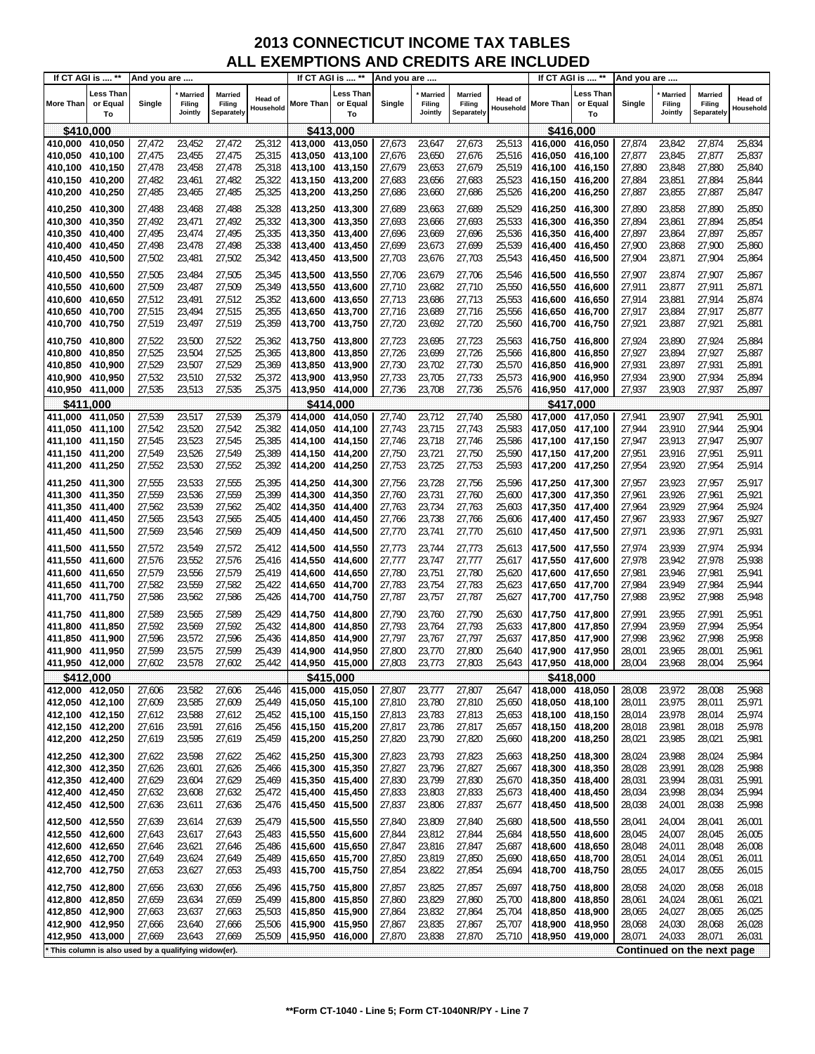| If CT AGI is  **                                      |                             | And you are      |                                     |                                 |                      |                                    | If CT AGI is  **                   | And you are      |                                     |                                 |                             |                                    | If CT AGI is  **            | And you are      |                                     |                                 |                             |
|-------------------------------------------------------|-----------------------------|------------------|-------------------------------------|---------------------------------|----------------------|------------------------------------|------------------------------------|------------------|-------------------------------------|---------------------------------|-----------------------------|------------------------------------|-----------------------------|------------------|-------------------------------------|---------------------------------|-----------------------------|
| <b>More Than</b>                                      | Less Than<br>or Equal<br>To | Single           | <b>Married</b><br>Filing<br>Jointly | Married<br>Filing<br>Separately | Head of<br>Household | <b>More Than</b>                   | <b>Less Than</b><br>or Equal<br>To | Single           | <b>Married</b><br>Filing<br>Jointly | Married<br>Filing<br>Separately | <b>Head of</b><br>Household | <b>More Than</b>                   | Less Than<br>or Equal<br>To | Single           | <b>Married</b><br>Filing<br>Jointly | Married<br>Filing<br>Separately | <b>Head of</b><br>Household |
| \$410,000                                             |                             |                  |                                     |                                 |                      | \$413,000                          |                                    |                  |                                     |                                 |                             |                                    | \$416,000                   |                  |                                     |                                 |                             |
| 410,000 410,050                                       |                             | 27,472           | 23,452                              | 27,472                          | 25,312               | 413,000 413,050                    |                                    | 27,673           | 23,647                              | 27,673                          | 25,513                      | 416,000                            | 416,050                     | 27,874           | 23,842                              | 27,874                          | 25,834                      |
| 410,050 410,100                                       |                             | 27,475           | 23,455                              | 27,475                          | 25,315               | 413,050 413,100                    |                                    | 27,676           | 23,650                              | 27,676                          | 25,516                      | 416,050 416,100                    |                             | 27,877           | 23,845                              | 27,877                          | 25,837                      |
| 410,100 410,150                                       |                             | 27,478           | 23,458                              | 27,478                          | 25,318               | 413,100 413,150                    |                                    | 27,679           | 23,653                              | 27,679                          | 25,519                      | 416,100 416,150                    |                             | 27,880           | 23,848                              | 27,880                          | 25,840                      |
| 410,150 410,200                                       |                             | 27,482           | 23,461                              | 27,482                          | 25,322               | 413,150 413,200                    |                                    | 27,683           | 23,656                              | 27,683                          | 25,523                      | 416,150 416,200                    |                             | 27,884           | 23,851                              | 27,884                          | 25,844                      |
| 410,200 410,250                                       |                             | 27,485           | 23,465                              | 27,485                          | 25,325               | 413,200 413,250                    |                                    | 27,686           | 23,660                              | 27,686                          | 25,526                      | 416,200 416,250                    |                             | 27,887           | 23,855                              | 27,887                          | 25,847                      |
| 410,250 410,300                                       |                             | 27,488           | 23,468                              | 27,488                          | 25,328               | 413,250 413,300                    |                                    | 27,689           | 23,663                              | 27,689                          | 25,529                      | 416,250 416,300                    |                             | 27,890           | 23,858                              | 27,890                          | 25,850                      |
| 410,300 410,350                                       |                             | 27,492           | 23,471                              | 27,492                          | 25,332               | 413,300 413,350                    |                                    | 27,693           | 23,666                              | 27,693                          | 25,533                      | 416,300 416,350                    |                             | 27,894           | 23,861                              | 27,894                          | 25,854                      |
| 410,350 410,400                                       |                             | 27,495           | 23,474                              | 27,495                          | 25,335               | 413,350 413,400                    |                                    | 27,696           | 23,669                              | 27,696                          | 25,536                      | 416,350 416,400                    |                             | 27,897           | 23,864                              | 27,897                          | 25,857                      |
| 410,400 410,450<br>410,450 410,500                    |                             | 27,498<br>27,502 | 23,478<br>23,481                    | 27,498<br>27,502                | 25,338<br>25,342     | 413,400 413,450<br>413,450 413,500 |                                    | 27,699<br>27,703 | 23,673<br>23,676                    | 27,699<br>27,703                | 25,539<br>25,543            | 416,400 416,450<br>416,450         | 416,500                     | 27,900<br>27,904 | 23,868<br>23,871                    | 27,900<br>27,904                | 25,860<br>25,864            |
|                                                       |                             |                  |                                     |                                 |                      |                                    |                                    |                  |                                     |                                 |                             |                                    |                             |                  |                                     |                                 |                             |
| 410,500 410,550                                       |                             | 27,505           | 23,484                              | 27,505                          | 25,345               | 413,500 413,550                    |                                    | 27,706           | 23,679                              | 27,706                          | 25,546                      | 416,500                            | 416,550                     | 27,907           | 23,874                              | 27,907                          | 25,867                      |
| 410,550 410,600<br>410,600 410,650                    |                             | 27,509<br>27,512 | 23,487<br>23,491                    | 27,509<br>27,512                | 25,349<br>25,352     | 413,550 413,600<br>413,600 413,650 |                                    | 27,710<br>27,713 | 23,682<br>23,686                    | 27,710<br>27,713                | 25,550<br>25,553            | 416,550<br>416,600                 | 416,600<br>416,650          | 27,911<br>27,914 | 23,877<br>23,881                    | 27,911<br>27,914                | 25,871<br>25,874            |
| 410,650 410,700                                       |                             | 27,515           | 23,494                              | 27,515                          | 25,355               | 413,650 413,700                    |                                    | 27,716           | 23,689                              | 27,716                          | 25,556                      | 416,650                            | 416,700                     | 27,917           | 23,884                              | 27,917                          | 25,877                      |
| 410,700 410,750                                       |                             | 27,519           | 23,497                              | 27,519                          | 25,359               | 413,700 413,750                    |                                    | 27,720           | 23,692                              | 27,720                          | 25,560                      | 416,700                            | 416,750                     | 27,921           | 23,887                              | 27,921                          | 25,881                      |
| 410,750 410,800                                       |                             | 27,522           | 23,500                              | 27,522                          | 25,362               | 413,750 413,800                    |                                    | 27,723           | 23,695                              | 27,723                          | 25,563                      | 416,750                            | 416,800                     | 27,924           | 23,890                              | 27,924                          | 25,884                      |
| 410,800                                               | 410,850                     | 27,525           | 23,504                              | 27,525                          | 25,365               | 413,800 413,850                    |                                    | 27,726           | 23,699                              | 27,726                          | 25,566                      | 416,800                            | 416,850                     | 27,927           | 23,894                              | 27,927                          | 25,887                      |
| 410,850 410,900                                       |                             | 27,529           | 23,507                              | 27,529                          | 25,369               | 413,850 413,900                    |                                    | 27,730           | 23,702                              | 27,730                          | 25,570                      | 416,850 416,900                    |                             | 27,931           | 23,897                              | 27,931                          | 25,891                      |
| 410,900 410,950                                       |                             | 27,532           | 23,510                              | 27,532                          | 25,372               | 413,900 413,950                    |                                    | 27,733           | 23,705                              | 27,733                          | 25,573                      | 416,900 416,950                    |                             | 27,934           | 23,900                              | 27,934                          | 25,894                      |
| 410,950 411,000                                       |                             | 27,535           | 23,513                              | 27,535                          | 25,375               | 413,950 414,000                    |                                    | 27,736           | 23,708                              | 27,736                          | 25,576                      | 416,950 417,000                    |                             | 27,937           | 23,903                              | 27,937                          | 25,897                      |
| \$411,000                                             |                             |                  |                                     |                                 |                      |                                    | \$414,000                          |                  |                                     |                                 |                             |                                    | \$417.000                   |                  |                                     |                                 |                             |
| 411,000                                               | 411,050                     | 27,539           | 23,517                              | 27,539                          | 25,379               | 414,000                            | 414,050                            | 27,740           | 23,712                              | 27,740                          | 25,580                      | 417,000                            | 417,050                     | 27,941           | 23,907                              | 27,941                          | 25,901                      |
| 411,050                                               | 411,100                     | 27,542           | 23,520                              | 27,542                          | 25,382               | 414,050 414,100                    |                                    | 27,743           | 23,715                              | 27,743                          | 25,583                      | 417,050 417,100                    |                             | 27,944           | 23,910                              | 27,944                          | 25,904                      |
| 411,100 411,150                                       |                             | 27,545           | 23,523                              | 27,545                          | 25,385               | 414,100 414,150                    |                                    | 27,746           | 23,718                              | 27,746                          | 25,586                      | 417,100 417,150                    |                             | 27,947           | 23,913                              | 27,947                          | 25,907                      |
| 411,150 411,200<br>411,200 411,250                    |                             | 27,549<br>27,552 | 23,526<br>23,530                    | 27,549<br>27,552                | 25,389<br>25,392     | 414,150 414,200<br>414,200 414,250 |                                    | 27,750<br>27,753 | 23,721<br>23,725                    | 27,750<br>27,753                | 25,590<br>25,593            | 417,150 417,200<br>417,200         | 417,250                     | 27,951<br>27,954 | 23,916<br>23,920                    | 27,951<br>27,954                | 25,911<br>25,914            |
|                                                       |                             |                  |                                     |                                 |                      |                                    |                                    |                  |                                     |                                 |                             |                                    |                             |                  |                                     |                                 |                             |
| 411,250 411,300                                       |                             | 27,555           | 23,533                              | 27,555                          | 25,395               | 414,250 414,300                    |                                    | 27,756           | 23,728                              | 27,756                          | 25,596                      | 417,250 417,300                    |                             | 27,957           | 23,923                              | 27,957                          | 25,917                      |
| 411,300 411,350<br>411,350 411,400                    |                             | 27,559<br>27,562 | 23,536<br>23,539                    | 27,559<br>27,562                | 25,399<br>25,402     | 414,300 414,350<br>414,350 414,400 |                                    | 27,760<br>27,763 | 23,731<br>23,734                    | 27,760<br>27,763                | 25,600<br>25,603            | 417,300<br>417,350                 | 417,350<br>417,400          | 27,961<br>27,964 | 23,926<br>23,929                    | 27,961<br>27,964                | 25,921<br>25,924            |
| 411,400 411,450                                       |                             | 27,565           | 23,543                              | 27,565                          | 25,405               | 414,400 414,450                    |                                    | 27,766           | 23,738                              | 27,766                          | 25,606                      | 417,400                            | 417,450                     | 27,967           | 23,933                              | 27,967                          | 25,927                      |
| 411,450 411,500                                       |                             | 27,569           | 23,546                              | 27,569                          | 25,409               | 414,450 414,500                    |                                    | 27,770           | 23,741                              | 27,770                          | 25,610                      | 417,450 417,500                    |                             | 27,971           | 23,936                              | 27,971                          | 25,931                      |
| 411,500 411,550                                       |                             | 27,572           | 23,549                              | 27,572                          | 25,412               | 414,500 414,550                    |                                    | 27,773           | 23,744                              | 27,773                          | 25,613                      | 417,500                            | 417,550                     | 27,974           | 23,939                              | 27,974                          | 25,934                      |
| 411,550 411,600                                       |                             | 27,576           | 23,552                              | 27,576                          | 25,416               | 414,550 414,600                    |                                    | 27,777           | 23,747                              | 27,777                          | 25,617                      | 417,550                            | 417,600                     | 27,978           | 23,942                              | 27,978                          | 25,938                      |
| 411,600 411,650                                       |                             | 27,579           | 23,556                              | 27,579                          | 25,419               | 414,600 414,650                    |                                    | 27,780           | 23,751                              | 27,780                          | 25,620                      | 417,600 417,650                    |                             | 27,981           | 23,946                              | 27,981                          | 25,941                      |
| 411,650 411,700                                       |                             | 27,582           | 23,559                              | 27,582                          | 25,422               | 414,650 414,700                    |                                    | 27,783           | 23,754                              | 27,783                          | 25,623                      | 417,650 417,700                    |                             | 27,984           | 23,949                              | 27,984                          | 25,944                      |
| 411,700 411,750                                       |                             | 27,586           | 23,562                              | 27,586                          | 25,426               | 414,700 414,750                    |                                    | 27,787           | 23,757                              | 27,787                          | 25,627                      | 417,700 417,750                    |                             | 27,988           | 23,952                              | 27,988                          | 25,948                      |
| 411.750 411.800                                       |                             | 27,589           | 23,565                              | 27,589                          | 25,429               | 414,750 414,800                    |                                    | 27,790           | 23,760                              | 27,790                          | 25,630                      | 417,750 417,800                    |                             | 27,991           | 23,955                              | 27,991                          | 25,951                      |
| 411,800 411,850                                       |                             | 27,592           | 23,569                              | 27,592                          | 25,432               | 414,800 414,850                    |                                    | 27,793           | 23,764                              | 27,793                          | 25,633                      | 417,800                            | 417,850                     | 27,994           | 23,959                              | 27,994                          | 25,954                      |
| 411,850 411,900                                       |                             | 27,596           | 23,572                              | 27,596                          | 25,436               | 414,850 414,900                    |                                    | 27,797           | 23,767                              | 27,797                          | 25,637                      | 417,850                            | 417,900                     | 27,998           | 23,962                              | 27,998                          | 25,958                      |
| 411,900 411,950                                       |                             | 27,599           | 23,575                              | 27,599                          | 25,439               | 414,900 414,950                    |                                    | 27,800           | 23,770                              | 27,800                          | 25,640                      | 417,900                            | 417,950                     | 28,001           | 23,965                              | 28,001                          | 25,961                      |
| 411,950 412,000                                       |                             | 27,602           | 23,578                              | 27,602                          | 25,442               | 414,950 415,000                    |                                    | 27,803           | 23,773                              | 27,803                          | 25,643                      | 417,950 418,000                    |                             | 28,004           | 23,968                              | 28,004                          | 25,964                      |
| \$412,000                                             |                             |                  |                                     |                                 |                      |                                    | \$415,000                          |                  |                                     |                                 |                             |                                    | \$418,000                   |                  |                                     |                                 |                             |
| 412,000 412,050<br>412,050 412,100                    |                             | 27,606<br>27,609 | 23,582<br>23,585                    | 27,606<br>27,609                | 25,446<br>25,449     | 415,000 415,050<br>415,050 415,100 |                                    | 27,807<br>27,810 | 23,777<br>23,780                    | 27,807<br>27,810                | 25,647<br>25,650            | 418,000 418,050<br>418,050 418,100 |                             | 28,008<br>28,011 | 23,972<br>23,975                    | 28,008<br>28,011                | 25,968<br>25,971            |
| 412,100 412,150                                       |                             | 27,612           | 23,588                              | 27,612                          | 25,452               | 415,100 415,150                    |                                    | 27,813           | 23,783                              | 27,813                          | 25,653                      | 418,100 418,150                    |                             | 28,014           | 23,978                              | 28,014                          | 25,974                      |
| 412,150 412,200                                       |                             | 27,616           | 23,591                              | 27,616                          | 25,456               | 415,150 415,200                    |                                    | 27,817           | 23,786                              | 27,817                          | 25,657                      | 418,150 418,200                    |                             | 28,018           | 23,981                              | 28,018                          | 25,978                      |
| 412,200 412,250                                       |                             | 27,619           | 23,595                              | 27,619                          | 25,459               | 415,200 415,250                    |                                    | 27,820           | 23,790                              | 27,820                          | 25,660                      | 418,200                            | 418,250                     | 28,021           | 23,985                              | 28,021                          | 25,981                      |
| 412,250 412,300                                       |                             | 27,622           | 23,598                              | 27,622                          | 25,462               | 415,250 415,300                    |                                    | 27,823           | 23,793                              | 27,823                          | 25,663                      | 418,250 418,300                    |                             | 28,024           | 23,988                              | 28,024                          | 25,984                      |
| 412,300 412,350                                       |                             | 27,626           | 23,601                              | 27,626                          | 25,466               | 415,300 415,350                    |                                    | 27,827           | 23,796                              | 27,827                          | 25,667                      | 418,300                            | 418,350                     | 28,028           | 23,991                              | 28,028                          | 25,988                      |
| 412,350 412,400                                       |                             | 27,629           | 23,604                              | 27,629                          | 25,469               | 415,350 415,400                    |                                    | 27,830           | 23,799                              | 27,830                          | 25,670                      | 418,350 418,400                    |                             | 28,031           | 23,994                              | 28,031                          | 25,991                      |
| 412,400 412,450                                       |                             | 27,632           | 23,608                              | 27,632                          | 25,472               | 415,400 415,450                    |                                    | 27,833           | 23,803                              | 27,833                          | 25,673                      | 418,400 418,450                    |                             | 28,034           | 23,998                              | 28,034                          | 25,994                      |
| 412,450 412,500                                       |                             | 27,636           | 23,611                              | 27,636                          | 25,476               | 415,450 415,500                    |                                    | 27,837           | 23,806                              | 27,837                          | 25,677                      | 418,450                            | 418,500                     | 28,038           | 24,001                              | 28,038                          | 25,998                      |
| 412,500 412,550                                       |                             | 27,639           | 23,614                              | 27,639                          | 25,479               | 415,500 415,550                    |                                    | 27,840           | 23,809                              | 27,840                          | 25,680                      | 418,500 418,550                    |                             | 28,041           | 24,004                              | 28,041                          | 26,001                      |
| 412,550 412,600                                       |                             | 27,643           | 23,617                              | 27,643                          | 25,483               | 415,550 415,600                    |                                    | 27,844           | 23,812                              | 27,844                          | 25,684                      | 418,550                            | 418,600                     | 28,045           | 24,007                              | 28,045                          | 26,005                      |
| 412,600 412,650                                       |                             | 27,646           | 23,621                              | 27,646                          | 25,486               | 415,600 415,650                    |                                    | 27,847           | 23,816                              | 27,847                          | 25,687                      | 418,600                            | 418,650                     | 28,048           | 24,011                              | 28,048                          | 26,008                      |
| 412,650 412,700<br>412,700 412,750                    |                             | 27,649<br>27,653 | 23,624<br>23,627                    | 27,649<br>27,653                | 25,489<br>25,493     | 415,650 415,700<br>415,700 415,750 |                                    | 27,850<br>27,854 | 23,819<br>23,822                    | 27,850<br>27,854                | 25,690<br>25,694            | 418,650<br>418,700                 | 418,700<br>418,750          | 28,051<br>28,055 | 24,014<br>24,017                    | 28,051<br>28,055                | 26,011<br>26,015            |
|                                                       |                             |                  |                                     |                                 |                      |                                    |                                    |                  |                                     |                                 |                             |                                    |                             |                  |                                     |                                 |                             |
| 412,750 412,800                                       |                             | 27,656           | 23,630                              | 27,656                          | 25,496               | 415,750 415,800                    |                                    | 27,857           | 23,825                              | 27,857                          | 25,697                      | 418,750                            | 418,800                     | 28,058           | 24,020                              | 28,058                          | 26,018                      |
| 412,800 412,850<br>412,850 412,900                    |                             | 27,659<br>27,663 | 23,634<br>23,637                    | 27,659<br>27,663                | 25,499<br>25,503     | 415,800 415,850<br>415,850 415,900 |                                    | 27,860<br>27,864 | 23,829<br>23,832                    | 27,860<br>27,864                | 25,700<br>25,704            | 418,800<br>418,850 418,900         | 418,850                     | 28,061<br>28,065 | 24,024<br>24,027                    | 28,061<br>28,065                | 26,021<br>26,025            |
| 412,900 412,950                                       |                             | 27,666           | 23,640                              | 27,666                          | 25,506               | 415,900 415,950                    |                                    | 27,867           | 23,835                              | 27,867                          | 25,707                      | 418,900 418,950                    |                             | 28,068           | 24,030                              | 28,068                          | 26,028                      |
| 412,950 413,000                                       |                             | 27,669           | 23,643                              | 27,669                          | 25,509               | 415,950 416,000                    |                                    | 27,870           | 23,838                              | 27,870                          | 25,710                      | 418,950 419,000                    |                             | 28,071           | 24,033                              | 28,071                          | 26,031                      |
| * This column is also used by a qualifying widow(er). |                             |                  |                                     |                                 |                      |                                    |                                    |                  |                                     |                                 |                             |                                    |                             |                  |                                     | Continued on the next page      |                             |
|                                                       |                             |                  |                                     |                                 |                      |                                    |                                    |                  |                                     |                                 |                             |                                    |                             |                  |                                     |                                 |                             |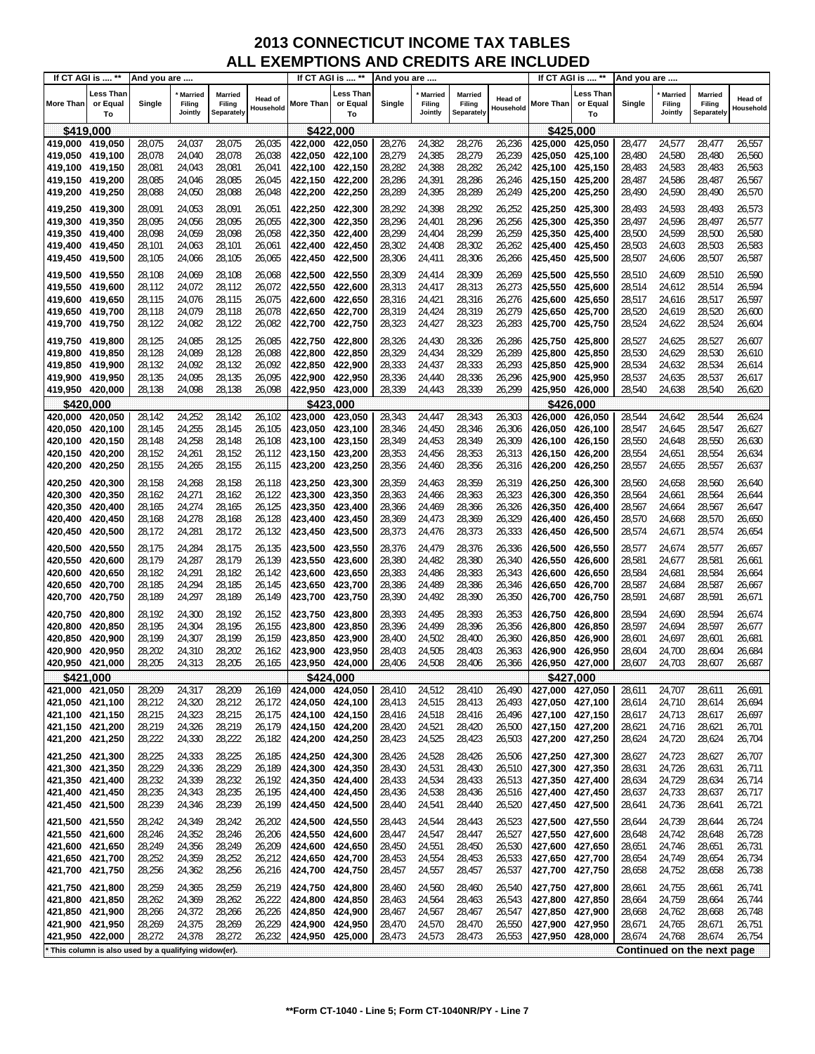| If CT AGI is  **                   |                             | And you are                                           |                                     |                                 |                      | If CT AGI is  **           |                             | And you are      |                                     |                                 |                             |                    | If CT AGI is  **                   | And you are      |                                     |                                 |                             |
|------------------------------------|-----------------------------|-------------------------------------------------------|-------------------------------------|---------------------------------|----------------------|----------------------------|-----------------------------|------------------|-------------------------------------|---------------------------------|-----------------------------|--------------------|------------------------------------|------------------|-------------------------------------|---------------------------------|-----------------------------|
| <b>More Than</b>                   | Less Than<br>or Equal<br>To | Single                                                | <b>Married</b><br>Filing<br>Jointly | Married<br>Filing<br>Separately | Head of<br>Household | <b>More Than</b>           | Less Than<br>or Equal<br>To | Single           | <b>Married</b><br>Filing<br>Jointly | Married<br>Filing<br>Separately | <b>Head of</b><br>Household | More Than          | <b>Less Than</b><br>or Equal<br>To | Single           | <b>Married</b><br>Filing<br>Jointly | Married<br>Filing<br>Separately | <b>Head of</b><br>Household |
| \$419,000                          |                             |                                                       |                                     |                                 |                      | \$422,000                  |                             |                  |                                     |                                 |                             |                    | \$425,000                          |                  |                                     |                                 |                             |
| 419,000 419,050                    |                             | 28,075                                                | 24,037                              | 28,075                          | 26,035               | 422,000                    | 422,050                     | 28,276           | 24,382                              | 28,276                          | 26,236                      | 425.000            | 425,050                            | 28,477           | 24,577                              | 28,477                          | 26,557                      |
| 419,050 419,100                    |                             | 28,078                                                | 24,040                              | 28,078                          | 26,038               | 422,050                    | 422,100                     | 28,279           | 24,385                              | 28,279                          | 26,239                      | 425,050            | 425,100                            | 28,480           | 24,580                              | 28,480                          | 26,560                      |
| 419,100 419,150                    |                             | 28,081                                                | 24,043                              | 28,081                          | 26,041               | 422,100                    | 422,150                     | 28,282           | 24,388                              | 28,282                          | 26,242                      | 425,100            | 425,150                            | 28,483           | 24,583                              | 28,483                          | 26,563                      |
| 419,150 419,200                    |                             | 28,085                                                | 24,046                              | 28,085                          | 26,045               |                            |                             | 28,286           | 24,391                              | 28,286                          | 26,246                      | 425,150            | 425,200                            | 28,487           | 24,586                              | 28,487                          | 26,567                      |
| 419,200 419,250                    |                             | 28,088                                                | 24,050                              | 28,088                          | 26,048               |                            |                             | 28,289           | 24,395                              | 28,289                          | 26,249                      | 425,200            | 425,250                            | 28,490           | 24,590                              | 28,490                          | 26,570                      |
| 419,250 419,300                    |                             | 28,091                                                | 24,053                              | 28,091                          | 26,051               | 422,250 422,300            |                             | 28,292           | 24,398                              | 28,292                          | 26,252                      | 425,250            | 425,300                            | 28,493           | 24,593                              | 28,493                          | 26,573                      |
| 419,300 419,350                    |                             | 28,095                                                | 24,056                              | 28,095                          | 26,055               | 422,300                    | 422,350                     | 28,296           | 24,401                              | 28,296                          | 26,256                      | 425,300            | 425,350                            | 28,497           | 24,596                              | 28,497                          | 26,577                      |
| 419,350 419,400                    |                             | 28,098                                                | 24,059                              | 28,098                          | 26,058               | 422.350                    | 422,400                     | 28,299           | 24,404                              | 28,299                          | 26,259                      | 425,350            | 425,400                            | 28,500           | 24,599                              | 28,500                          | 26,580                      |
| 419,400 419,450                    |                             | 28,101                                                | 24,063                              | 28,101                          | 26,061               | 422,400 422,450            |                             | 28,302           | 24,408                              | 28,302                          | 26,262                      | 425,400            | 425,450                            | 28,503           | 24,603                              | 28,503                          | 26,583                      |
| 419,450                            | 419,500                     | 28,105                                                | 24,066                              | 28,105                          | 26,065               | 422,450                    | 422,500                     | 28,306           | 24,411                              | 28,306                          | 26,266                      | 425,450            | 425,500                            | 28,507           | 24,606                              | 28,507                          | 26,587                      |
| 419,500 419,550                    |                             | 28,108                                                | 24,069                              | 28,108                          | 26,068               | 422,500  422,550           |                             | 28,309           | 24,414                              | 28,309                          | 26,269                      | 425,500            | 425,550                            | 28,510           | 24,609                              | 28,510                          | 26,590                      |
| 419,550 419,600                    |                             | 28,112                                                | 24,072                              | 28,112                          | 26,072               | 422,550 422,600            |                             | 28,313           | 24,417                              | 28,313                          | 26,273                      | 425,550            | 425,600                            | 28,514           | 24,612                              | 28,514                          | 26,594                      |
| 419,600                            | 419,650                     | 28,115                                                | 24,076                              | 28,115                          | 26,075               | 422,600                    | 422,650                     | 28,316           | 24,421                              | 28,316                          | 26,276                      | 425,600            | 425,650                            | 28,517           | 24,616                              | 28,517                          | 26,597                      |
| 419,650 419,700                    |                             | 28,118                                                | 24,079                              | 28,118                          | 26,078               |                            |                             | 28,319           | 24,424                              | 28,319                          | 26,279                      | 425,650            | 425,700                            | 28,520           | 24,619                              | 28,520                          | 26,600                      |
| 419,700                            | 419,750                     | 28,122                                                | 24,082                              | 28,122                          | 26,082               | 422,700                    | 422,750                     | 28,323           | 24,427                              | 28,323                          | 26,283                      | 425,700            | 425,750                            | 28,524           | 24,622                              | 28,524                          | 26,604                      |
| 419,750 419,800                    |                             | 28,125                                                | 24,085                              | 28,125                          | 26,085               | 422,750                    | 422,800                     | 28,326           | 24,430                              | 28,326                          | 26,286                      | 425,750            | 425,800                            | 28,527           | 24,625                              | 28,527                          | 26,607                      |
| 419,800                            | 419,850                     | 28,128                                                | 24,089                              | 28,128                          | 26,088               | 422,800                    | 422,850                     | 28,329           | 24,434                              | 28,329                          | 26,289                      | 425,800            | 425,850                            | 28,530           | 24,629                              | 28,530                          | 26,610                      |
| 419,850                            | 419,900                     | 28,132                                                | 24,092                              | 28,132                          | 26,092               | 422,850                    | 422,900                     | 28,333           | 24,437                              | 28,333                          | 26,293                      | 425,850            | 425,900                            | 28,534           | 24,632                              | 28,534                          | 26,614                      |
| 419,900<br>419,950                 | 419,950<br>420,000          | 28,135<br>28,138                                      | 24,095<br>24,098                    | 28,135<br>28,138                | 26,095<br>26,098     | 422,900<br>422,950 423,000 | 422,950                     | 28,336<br>28,339 | 24,440<br>24,443                    | 28,336<br>28,339                | 26,296<br>26,299            | 425,900<br>425.950 | 425,950<br>426,000                 | 28,537<br>28,540 | 24,635<br>24,638                    | 28,537<br>28,540                | 26,617<br>26,620            |
| \$420,000                          |                             |                                                       |                                     |                                 |                      | \$423.000                  |                             |                  |                                     |                                 |                             |                    | \$426.000                          |                  |                                     |                                 |                             |
| 420,000                            | 420,050                     | 28,142                                                | 24,252                              | 28,142                          | 26,102               | 423,000                    | 423,050                     | 28,343           | 24,447                              | 28,343                          | 26,303                      | 426,000            | 426,050                            | 28,544           | 24,642                              | 28,544                          | 26,624                      |
| 420,050                            | 420,100                     | 28,145                                                | 24,255                              | 28,145                          | 26,105               | 423,050                    | 423,100                     | 28,346           | 24,450                              | 28,346                          | 26,306                      | 426,050            | 426,100                            | 28,547           | 24,645                              | 28,547                          | 26,627                      |
| 420,100                            | 420,150                     | 28,148                                                | 24,258                              | 28,148                          | 26,108               | 423,100                    | 423,150                     | 28,349           | 24,453                              | 28,349                          | 26,309                      | 426,100            | 426,150                            | 28,550           | 24,648                              | 28,550                          | 26,630                      |
| 420,150                            | 420,200                     | 28,152                                                | 24,261                              | 28,152                          | 26,112               | 423,150 423,200            |                             | 28,353           | 24,456                              | 28,353                          | 26,313                      | 426,150            | 426,200                            | 28,554           | 24,651                              | 28,554                          | 26,634                      |
| 420,200                            | 420,250                     | 28,155                                                | 24,265                              | 28,155                          | 26,115               | 423,200                    | 423,250                     | 28,356           | 24,460                              | 28,356                          | 26,316                      | 426,200            | 426,250                            | 28,557           | 24,655                              | 28,557                          | 26,637                      |
| 420,250                            | 420,300                     | 28,158                                                | 24,268                              | 28,158                          | 26,118               | 423,250                    | 423,300                     | 28,359           | 24,463                              | 28,359                          | 26,319                      | 426,250            | 426,300                            | 28,560           | 24,658                              | 28,560                          | 26,640                      |
| 420,300                            | 420,350                     | 28,162                                                | 24,271                              | 28,162                          | 26,122               | 423,300 423,350            |                             | 28,363           | 24,466                              | 28,363                          | 26,323                      | 426,300            | 426,350                            | 28,564           | 24,661                              | 28,564                          | 26,644                      |
| 420,350                            | 420,400                     | 28,165                                                | 24,274                              | 28,165                          | 26,125               | 423,350                    | 423,400                     | 28,366           | 24,469                              | 28,366                          | 26,326                      | 426,350            | 426,400                            | 28,567           | 24,664                              | 28,567                          | 26,647                      |
| 420,400 420,450                    |                             | 28,168                                                | 24,278                              | 28,168                          | 26,128               | 423,400 423,450            |                             | 28,369           | 24,473                              | 28,369                          | 26,329                      | 426,400            | 426,450                            | 28,570           | 24,668                              | 28,570                          | 26,650                      |
| 420,450                            | 420,500                     | 28,172                                                | 24,281                              | 28,172                          | 26,132               |                            |                             | 28,373           | 24,476                              | 28,373                          | 26,333                      | 426,450            | 426,500                            | 28,574           | 24,671                              | 28,574                          | 26,654                      |
| 420,500                            | 420,550                     | 28,175                                                | 24,284                              | 28,175                          | 26,135               | 423,500                    | 423,550                     | 28,376           | 24,479                              | 28,376                          | 26,336                      | 426,500            | 426,550                            | 28,577           | 24,674                              | 28,577                          | 26,657                      |
| 420,550                            | 420,600                     | 28,179                                                | 24,287                              | 28,179                          | 26,139               | 423,550                    | 423,600                     | 28,380           | 24,482                              | 28,380                          | 26,340                      | 426,550            | 426,600                            | 28,581           | 24,677                              | 28,581                          | 26,661                      |
| 420,600                            | 420,650                     | 28,182                                                | 24,291                              | 28,182                          | 26,142               | 423,600                    | 423,650                     | 28,383           | 24,486                              | 28,383                          | 26,343                      | 426,600            | 426,650                            | 28,584           | 24,681                              | 28,584                          | 26,664                      |
| 420,650                            | 420,700                     | 28,185                                                | 24,294                              | 28,185                          | 26,145               | 423,650                    | 423,700                     | 28,386           | 24,489                              | 28,386                          | 26,346                      | 426,650            | 426,700                            | 28,587           | 24,684                              | 28,587                          | 26,667                      |
| 420,700                            | 420,750                     | 28,189                                                | 24,297                              | 28,189                          | 26,149               | 423,700                    | 423,750                     | 28,390           | 24,492                              | 28,390                          | 26,350                      | 426,700            | 426,750                            | 28,591           | 24,687                              | 28,591                          | 26,671                      |
| 420,750                            | 420,800                     | 28,192                                                | 24,300                              | 28,192                          | 26,152               | 423,750                    | 423,800                     | 28,393           | 24,495                              | 28,393                          | 26,353                      | 426,750            | 426,800                            | 28,594           | 24,690                              | 28,594                          | 26,674                      |
| 420,800                            | 420,850                     | 28,195                                                | 24,304                              | 28,195                          | 26,155               | 423,800                    | 423,850                     | 28,396           | 24,499                              | 28,396                          | 26,356                      | 426,800            | 426,850                            | 28,597           | 24,694                              | 28,597                          | 26,677                      |
| 420,850                            | 420,900                     | 28,199                                                | 24,307                              | 28,199                          | 26,159               | 423,850                    | 423,900                     | 28,400           | 24,502                              | 28,400                          | 26,360                      | 426,850            | 426,900                            | 28,601           | 24,697                              | 28,601                          | 26,681                      |
| 420,900<br>420,950 421,000         | 420,950                     | 28,202<br>28,205                                      | 24,310<br>24,313                    | 28,202<br>28,205                | 26,162<br>26,165     | 423,900<br>423,950 424,000 | 423,950                     | 28,403<br>28,406 | 24,505<br>24,508                    | 28,403<br>28,406                | 26,363<br>26,366            | 426,900<br>426,950 | 426,950<br>427,000                 | 28,604<br>28,607 | 24,700<br>24,703                    | 28,604<br>28,607                | 26,684<br>26,687            |
|                                    |                             |                                                       |                                     |                                 |                      |                            |                             |                  |                                     |                                 |                             |                    |                                    |                  |                                     |                                 |                             |
| \$421,000<br>421,000 421,050       |                             | 28,209                                                | 24,317                              | 28,209                          | 26,169               | \$424,000<br>424,000       | 424,050                     | 28,410           | 24,512                              | 28,410                          | 26,490                      | 427,000            | \$427,000<br>427,050               | 28,611           | 24,707                              | 28,611                          | 26,691                      |
| 421,050 421,100                    |                             | 28,212                                                | 24,320                              | 28,212                          | 26,172               | 424,050 424,100            |                             | 28,413           | 24,515                              | 28,413                          | 26,493                      | 427,050 427,100    |                                    | 28,614           | 24,710                              | 28,614                          | 26,694                      |
| 421,100 421,150                    |                             | 28,215                                                | 24,323                              | 28,215                          | 26,175               | 424,100 424,150            |                             | 28,416           | 24,518                              | 28,416                          | 26,496                      | 427,100            | 427,150                            | 28,617           | 24,713                              | 28,617                          | 26,697                      |
| 421,150 421,200                    |                             | 28,219                                                | 24,326                              | 28,219                          | 26,179               | 424,150 424,200            |                             | 28,420           | 24,521                              | 28,420                          | 26,500                      | 427,150            | 427,200                            | 28,621           | 24,716                              | 28,621                          | 26,701                      |
| 421,200                            | 421,250                     | 28,222                                                | 24,330                              | 28,222                          | 26,182               | 424,200                    | 424,250                     | 28,423           | 24,525                              | 28,423                          | 26,503                      | 427,200            | 427,250                            | 28,624           | 24,720                              | 28,624                          | 26,704                      |
| 421,250 421,300                    |                             | 28,225                                                | 24,333                              | 28,225                          | 26,185               | 424,250 424,300            |                             | 28,426           | 24,528                              | 28,426                          | 26,506                      | 427,250            | 427,300                            | 28,627           | 24,723                              | 28,627                          | 26,707                      |
| 421,300 421,350                    |                             | 28,229                                                | 24,336                              | 28,229                          | 26,189               | 424,300                    | 424,350                     | 28,430           | 24,531                              | 28,430                          | 26,510                      | 427,300            | 427,350                            | 28,631           | 24,726                              | 28,631                          | 26,711                      |
| 421,350 421,400                    |                             | 28,232                                                | 24,339                              | 28,232                          | 26,192               | 424,350 424,400            |                             | 28,433           | 24,534                              | 28,433                          | 26,513                      | 427,350            | 427,400                            | 28,634           | 24,729                              | 28,634                          | 26,714                      |
| 421,400 421,450                    |                             | 28,235                                                | 24,343                              | 28,235                          | 26,195               | 424,400 424,450            |                             | 28,436           | 24,538                              | 28,436                          | 26,516                      | 427,400            | 427,450                            | 28,637           | 24,733                              | 28,637                          | 26,717                      |
| 421,450                            | 421,500                     | 28,239                                                | 24,346                              | 28,239                          | 26,199               | 424,450 424,500            |                             | 28,440           | 24,541                              | 28,440                          | 26,520                      | 427,450            | 427,500                            | 28,641           | 24,736                              | 28,641                          | 26,721                      |
| 421,500 421,550                    |                             | 28,242                                                | 24,349                              | 28,242                          | 26,202               | 424,500 424,550            |                             | 28,443           | 24,544                              | 28,443                          | 26,523                      | 427,500            | 427,550                            | 28,644           | 24,739                              | 28,644                          | 26,724                      |
| 421,550                            | 421,600                     | 28,246                                                | 24,352                              | 28,246                          | 26,206               | 424,550                    | 424,600                     | 28,447           | 24,547                              | 28,447                          | 26,527                      | 427,550            | 427,600                            | 28,648           | 24,742                              | 28,648                          | 26,728                      |
| 421,600 421,650                    |                             | 28,249                                                | 24,356                              | 28,249                          | 26,209               | 424,600 424,650            |                             | 28,450           | 24,551                              | 28,450                          | 26,530                      | 427,600            | 427,650                            | 28,651           | 24,746                              | 28,651                          | 26,731                      |
| 421,650 421,700                    |                             | 28,252                                                | 24,359                              | 28,252                          | 26,212               | 424,650 424,700            |                             | 28,453           | 24,554                              | 28,453                          | 26,533                      | 427,650            | 427,700                            | 28,654           | 24,749                              | 28,654                          | 26,734                      |
| 421,700 421,750                    |                             | 28,256                                                | 24,362                              | 28,256                          | 26,216               | 424,700 424,750            |                             | 28,457           | 24,557                              | 28,457                          | 26,537                      | 427,700            | 427,750                            | 28,658           | 24,752                              | 28,658                          | 26,738                      |
| 421,750 421,800                    |                             | 28,259                                                | 24,365                              | 28,259                          | 26,219               | 424,750 424,800            |                             | 28,460           | 24,560                              | 28,460                          | 26,540                      | 427,750            | 427,800                            | 28,661           | 24,755                              | 28,661                          | 26,741                      |
| 421,800                            | 421,850                     | 28,262                                                | 24,369                              | 28,262                          | 26,222               | 424,800                    | 424,850                     | 28,463           | 24,564                              | 28,463                          | 26,543                      | 427,800            | 427,850                            | 28,664           | 24,759                              | 28,664                          | 26,744                      |
| 421,850 421,900<br>421,900 421,950 |                             | 28,266                                                | 24,372                              | 28,266<br>28,269                | 26,226<br>26,229     | 424,850<br>424,900         | 424,900                     | 28,467<br>28,470 | 24,567                              | 28,467                          | 26,547                      | 427,850<br>427,900 | 427,900<br>427,950                 | 28,668<br>28,671 | 24,762                              | 28,668<br>28,671                | 26,748                      |
| 421,950 422,000                    |                             | 28,269<br>28,272                                      | 24,375<br>24,378                    | 28,272                          | 26,232               | 424,950 425,000            | 424,950                     | 28,473           | 24,570<br>24,573                    | 28,470<br>28,473                | 26,550<br>26,553            | 427,950            | 428,000                            | 28,674           | 24,765<br>24,768                    | 28,674                          | 26,751<br>26,754            |
|                                    |                             | * This column is also used by a qualifying widow(er). |                                     |                                 |                      |                            |                             |                  |                                     |                                 |                             |                    |                                    |                  |                                     | Continued on the next page      |                             |
|                                    |                             |                                                       |                                     |                                 |                      |                            |                             |                  |                                     |                                 |                             |                    |                                    |                  |                                     |                                 |                             |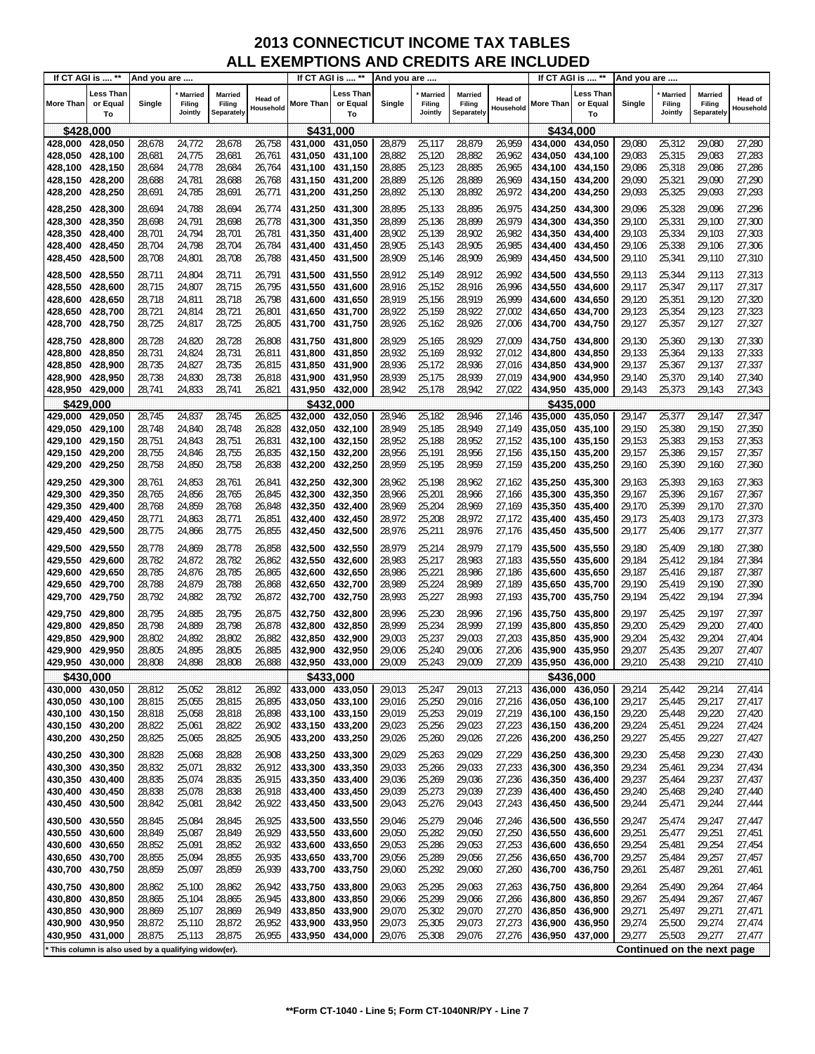| If CT AGI is  ** |                             | And you are                                         |                                     |                                 |                      | If CT AGI is  **  |                             | And you are |                                     |                                 |                             |                 | If CT AGI is  **                   | And you are |                                     |                                 |                             |
|------------------|-----------------------------|-----------------------------------------------------|-------------------------------------|---------------------------------|----------------------|-------------------|-----------------------------|-------------|-------------------------------------|---------------------------------|-----------------------------|-----------------|------------------------------------|-------------|-------------------------------------|---------------------------------|-----------------------------|
| <b>More Than</b> | Less Than<br>or Equal<br>To | Single                                              | <b>Married</b><br>Filing<br>Jointly | Married<br>Filing<br>Separately | Head of<br>Household | <b>More Than</b>  | Less Than<br>or Equal<br>To | Single      | <b>Married</b><br>Filing<br>Jointly | Married<br>Filing<br>Separately | <b>Head of</b><br>Household | More Than       | <b>Less Than</b><br>or Equal<br>To | Single      | <b>Married</b><br>Filing<br>Jointly | Married<br>Filing<br>Separately | <b>Head of</b><br>Household |
| \$428,000        |                             |                                                     |                                     |                                 |                      | \$431,000         |                             |             |                                     |                                 |                             |                 | \$434,000                          |             |                                     |                                 |                             |
| 428.000          | 428,050                     | 28,678                                              | 24,772                              | 28,678                          | 26, 758              | 431.000           | 431,050                     | 28,879      | 25,117                              | 28,879                          | 26,959                      | 434,000         | 434,050                            | 29,080      | 25,312                              | 29,080                          | 27,280                      |
| 428,050          | 428,100                     | 28,681                                              | 24,775                              | 28,681                          | 26,761               | 431,050           | 431,100                     | 28,882      | 25,120                              | 28,882                          | 26,962                      | 434,050         | 434,100                            | 29,083      | 25,315                              | 29,083                          | 27,283                      |
| 428,100 428,150  |                             | 28,684                                              | 24,778                              | 28,684                          | 26,764               | 431,100 431,150   |                             | 28,885      | 25,123                              | 28,885                          | 26,965                      | 434,100         | 434,150                            | 29,086      | 25,318                              | 29,086                          | 27,286                      |
| 428,150 428,200  |                             | 28,688                                              | 24,781                              | 28,688                          | 26,768               | 431,150 431,200   |                             | 28,889      | 25,126                              | 28,889                          | 26,969                      | 434,150         | 434,200                            | 29,090      | 25,321                              | 29,090                          | 27,290                      |
| 428,200          | 428,250                     | 28,691                                              | 24,785                              | 28,691                          | 26,771               | 431,200 431,250   |                             | 28,892      | 25,130                              | 28,892                          | 26,972                      | 434,200         | 434,250                            | 29,093      | 25,325                              | 29,093                          | 27,293                      |
| 428,250          | 428,300                     | 28,694                                              | 24,788                              | 28,694                          | 26,774               | 431,250 431,300   |                             | 28,895      | 25,133                              | 28,895                          | 26,975                      | 434.250         | 434,300                            | 29,096      | 25,328                              | 29,096                          | 27,296                      |
| 428,300          | 428,350                     | 28,698                                              | 24,791                              | 28,698                          | 26,778               | 431,300           | 431,350                     | 28,899      | 25,136                              | 28,899                          | 26,979                      | 434,300         | 434,350                            | 29,100      | 25,331                              | 29,100                          | 27,300                      |
| 428,350          | 428,400                     | 28,701                                              | 24,794                              | 28,701                          | 26,781               | 431,350           | 431,400                     | 28,902      | 25,139                              | 28,902                          | 26,982                      | 434,350         | 434,400                            | 29,103      | 25,334                              | 29,103                          | 27,303                      |
| 428,400          | 428,450                     | 28,704                                              | 24,798                              | 28,704                          | 26,784               | 431,400 431,450   |                             | 28,905      | 25,143                              | 28,905                          | 26,985                      | 434,400         | 434,450                            | 29,106      | 25,338                              | 29,106                          | 27,306                      |
| 428,450          | 428,500                     | 28,708                                              | 24,801                              | 28,708                          | 26,788               | 431,450 431,500   |                             | 28,909      | 25,146                              | 28,909                          | 26,989                      | 434,450         | 434,500                            | 29,110      | 25,341                              | 29,110                          | 27,310                      |
| 428,500          | 428,550                     | 28,711                                              | 24,804                              | 28,711                          | 26,791               | 431,500 431,550   |                             | 28,912      | 25,149                              | 28,912                          | 26,992                      | 434,500         | 434,550                            | 29,113      | 25,344                              | 29,113                          | 27,313                      |
| 428,550 428,600  |                             | 28,715                                              | 24,807                              | 28,715                          | 26,795               | 431,550 431,600   |                             | 28,916      | 25,152                              | 28,916                          | 26,996                      | 434,550         | 434,600                            | 29,117      | 25,347                              | 29,117                          | 27,317                      |
| 428,600          | 428,650                     | 28,718                                              | 24,811                              | 28,718                          | 26,798               | 431,600           | 431,650                     | 28,919      | 25,156                              | 28,919                          | 26,999                      | 434,600         | 434,650                            | 29,120      | 25,351                              | 29,120                          | 27,320                      |
| 428,650 428,700  |                             | 28,721                                              | 24,814                              | 28,721                          | 26,801               | 431,650 431,700   |                             | 28,922      | 25,159                              | 28,922                          | 27,002                      | 434,650         | 434,700                            | 29,123      | 25,354                              | 29,123                          | 27,323                      |
| 428,700          | 428,750                     | 28,725                                              | 24,817                              | 28,725                          | 26,805               | 431,700 431,750   |                             | 28,926      | 25,162                              | 28,926                          | 27,006                      | 434,700         | 434,750                            | 29,127      | 25,357                              | 29,127                          | 27,327                      |
| 428,750          | 428,800                     | 28,728                                              | 24,820                              | 28,728                          | 26,808               | 431.750   431.800 |                             | 28,929      | 25,165                              | 28,929                          | 27,009                      | 434,750         | 434,800                            | 29,130      | 25,360                              | 29,130                          | 27,330                      |
| 428,800          | 428,850                     | 28,731                                              | 24,824                              | 28,731                          | 26,811               | 431,800           | 431,850                     | 28,932      | 25,169                              | 28,932                          | 27,012                      | 434,800         | 434,850                            | 29,133      | 25,364                              | 29,133                          | 27,333                      |
| 428,850          | 428,900                     | 28,735                                              | 24,827                              | 28,735                          | 26,815               | 431,850           | 431,900                     | 28,936      | 25,172                              | 28,936                          | 27,016                      | 434,850         | 434,900                            | 29,137      | 25,367                              | 29,137                          | 27,337                      |
| 428,900          | 428,950                     | 28,738                                              | 24,830                              | 28,738                          | 26,818               | 431,900           | 431,950                     | 28,939      | 25,175                              | 28,939                          | 27,019                      | 434,900         | 434,950                            | 29,140      | 25,370                              | 29,140                          | 27,340                      |
| 428,950          | 429,000                     | 28,741                                              | 24,833                              | 28,741                          | 26,821               | 431,950 432,000   |                             | 28,942      | 25,178                              | 28,942                          | 27,022                      | 434,950 435,000 |                                    | 29,143      | 25,373                              | 29,143                          | 27,343                      |
| \$429,000        |                             |                                                     |                                     |                                 |                      | \$432,000         |                             |             |                                     |                                 |                             |                 | \$435.000                          |             |                                     |                                 |                             |
| 429,000          | 429,050                     | 28,745                                              | 24,837                              | 28,745                          | 26,825               | 432.000           | 432,050                     | 28,946      | 25,182                              | 28,946                          | 27,146                      | 435,000         | 435,050                            | 29,147      | 25,377                              | 29,147                          | 27,347                      |
| 429,050          | 429,100                     | 28,748                                              | 24,840                              | 28,748                          | 26,828               | 432,050           | 432,100                     | 28,949      | 25,185                              | 28,949                          | 27,149                      | 435,050         | 435,100                            | 29,150      | 25,380                              | 29,150                          | 27,350                      |
| 429,100          | 429,150                     | 28,751                                              | 24,843                              | 28,751                          | 26,831               | 432,100           | 432,150                     | 28,952      | 25,188                              | 28,952                          | 27,152                      | 435,100         | 435,150                            | 29,153      | 25,383                              | 29,153                          | 27,353                      |
| 429,150          | 429,200                     | 28,755                                              | 24,846                              | 28,755                          | 26,835               | 432,150 432,200   |                             | 28,956      | 25,191                              | 28,956                          | 27,156                      | 435,150         | 435,200                            | 29,157      | 25,386                              | 29,157                          | 27,357                      |
| 429,200          | 429,250                     | 28,758                                              | 24,850                              | 28,758                          | 26,838               | 432,200           | 432,250                     | 28,959      | 25,195                              | 28,959                          | 27,159                      | 435,200         | 435,250                            | 29,160      | 25,390                              | 29,160                          | 27,360                      |
| 429,250          | 429,300                     | 28,761                                              | 24,853                              | 28,761                          | 26,841               | 432,250           | 432,300                     | 28,962      | 25,198                              | 28,962                          | 27,162                      | 435,250         | 435,300                            | 29,163      | 25,393                              | 29,163                          | 27,363                      |
| 429,300          | 429,350                     | 28,765                                              | 24,856                              | 28,765                          | 26,845               | 432,300           | 432,350                     | 28,966      | 25,201                              | 28,966                          | 27,166                      | 435,300         | 435,350                            | 29,167      | 25,396                              | 29,167                          | 27,367                      |
| 429,350          | 429,400                     | 28,768                                              | 24,859                              | 28,768                          | 26,848               | 432,350           | 432,400                     | 28,969      | 25,204                              | 28,969                          | 27,169                      | 435,350         | 435,400                            | 29,170      | 25,399                              | 29,170                          | 27,370                      |
| 429,400          | 429,450                     | 28,771                                              | 24,863                              | 28,771                          | 26,851               | 432,400 432,450   |                             | 28,972      | 25,208                              | 28,972                          | 27,172                      | 435,400         | 435,450                            | 29,173      | 25,403                              | 29,173                          | 27,373                      |
| 429,450          | 429,500                     | 28,775                                              | 24,866                              | 28,775                          | 26,855               | 432,450 432,500   |                             | 28,976      | 25,211                              | 28,976                          | 27,176                      | 435,450         | 435,500                            | 29,177      | 25,406                              | 29,177                          | 27,377                      |
| 429,500          | 429,550                     | 28,778                                              | 24,869                              | 28,778                          | 26,858               |                   |                             | 28,979      | 25,214                              | 28,979                          | 27,179                      | 435,500         | 435,550                            | 29,180      | 25,409                              | 29,180                          | 27,380                      |
| 429,550          | 429,600                     | 28,782                                              | 24,872                              | 28,782                          | 26,862               | 432,550           | 432,600                     | 28,983      | 25,217                              | 28,983                          | 27,183                      | 435,550         | 435,600                            | 29,184      | 25,412                              | 29,184                          | 27,384                      |
| 429,600          | 429,650                     | 28,785                                              | 24,876                              | 28,785                          | 26,865               | 432,600           | 432,650                     | 28,986      | 25,221                              | 28,986                          | 27,186                      | 435,600         | 435,650                            | 29,187      | 25,416                              | 29,187                          | 27,387                      |
| 429,650          | 429,700                     | 28,788                                              | 24,879                              | 28,788                          | 26,868               | 432,650           | 432,700                     | 28,989      | 25,224                              | 28,989                          | 27,189                      | 435,650         | 435,700                            | 29,190      | 25,419                              | 29,190                          | 27,390                      |
| 429,700          | 429,750                     | 28,792                                              | 24,882                              | 28,792                          | 26,872               | 432,700           | 432,750                     | 28,993      | 25,227                              | 28,993                          | 27,193                      | 435,700         | 435,750                            | 29,194      | 25,422                              | 29,194                          | 27,394                      |
| 429,750          | 429,800                     | 28,795                                              | 24,885                              | 28,795                          | 26,875               | 432.750           | 432,800                     | 28,996      | 25,230                              | 28,996                          | 27,196                      | 435.750         | 435,800                            | 29,197      | 25,425                              | 29,197                          | 27,397                      |
| 429,800          | 429,850                     | 28,798                                              | 24,889                              | 28,798                          | 26,878               | 432,800           | 432,850                     | 28,999      | 25,234                              | 28,999                          | 27,199                      | 435,800         | 435,850                            | 29,200      | 25,429                              | 29,200                          | 27,400                      |
| 429,850          | 429,900                     | 28,802                                              | 24,892                              | 28,802                          | 26,882               | 432,850           | 432,900                     | 29,003      | 25,237                              | 29,003                          | 27,203                      | 435,850         | 435,900                            | 29,204      | 25,432                              | 29,204                          | 27,404                      |
| 429,900          | 429,950                     | 28,805                                              | 24,895                              | 28,805                          | 26,885               | 432,900           | 432,950                     | 29,006      | 25,240                              | 29,006                          | 27,206                      | 435.900         | 435,950                            | 29,207      | 25,435                              | 29,207                          | 27,407                      |
| 429,950 430,000  |                             | 28,808                                              | 24,898                              | 28,808                          | 26,888               | 432,950 433,000   |                             | 29,009      | 25,243                              | 29,009                          | 27,209                      | 435,950         | 436,000                            | 29,210      | 25,438                              | 29,210                          | 27,410                      |
| \$430,000        |                             |                                                     |                                     |                                 |                      | \$433,000         |                             |             |                                     |                                 |                             |                 | \$436,000                          |             |                                     |                                 |                             |
| 430,000          | 430,050                     | 28,812                                              | 25,052                              | 28,812                          | 26,892               | 433,000           | 433,050                     | 29,013      | 25,247                              | 29,013                          | 27,213                      | 436,000         | 436,050                            | 29,214      | 25,442                              | 29,214                          | 27,414                      |
| 430,050 430,100  |                             | 28,815                                              | 25,055                              | 28,815                          | 26,895               | 433,050 433,100   |                             | 29,016      | 25,250                              | 29,016                          | 27,216                      | 436,050         | 436,100                            | 29,217      | 25,445                              | 29,217                          | 27,417                      |
| 430,100          | 430,150                     | 28,818                                              | 25,058                              | 28,818                          | 26,898               | 433,100 433,150   |                             | 29,019      | 25,253                              | 29,019                          | 27,219                      | 436,100         | 436,150                            | 29,220      | 25,448                              | 29,220                          | 27,420                      |
| 430,150          | 430,200                     | 28,822                                              | 25,061                              | 28,822                          | 26,902               | 433,150 433,200   |                             | 29,023      | 25,256                              | 29,023                          | 27,223                      | 436,150         | 436,200                            | 29,224      | 25,451                              | 29,224                          | 27,424                      |
| 430,200          | 430,250                     | 28,825                                              | 25,065                              | 28,825                          | 26,905               | 433,200           | 433,250                     | 29,026      | 25,260                              | 29,026                          | 27,226                      | 436,200         | 436,250                            | 29,227      | 25,455                              | 29,227                          | 27,427                      |
| 430,250          | 430,300                     | 28,828                                              | 25,068                              | 28,828                          | 26,908               | 433,250 433,300   |                             | 29,029      | 25,263                              | 29,029                          | 27,229                      | 436,250         | 436,300                            | 29,230      | 25,458                              | 29,230                          | 27,430                      |
| 430,300 430,350  |                             | 28,832                                              | 25,071                              | 28,832                          | 26,912               | 433,300 433,350   |                             | 29,033      | 25,266                              | 29,033                          | 27,233                      | 436,300         | 436,350                            | 29,234      | 25,461                              | 29,234                          | 27,434                      |
| 430,350          | 430,400                     | 28,835                                              | 25,074                              | 28,835                          | 26,915               | 433,350 433,400   |                             | 29,036      | 25,269                              | 29,036                          | 27,236                      | 436,350         | 436,400                            | 29,237      | 25,464                              | 29,237                          | 27,437                      |
| 430,400          | 430,450                     | 28,838                                              | 25,078                              | 28,838                          | 26,918               | 433,400 433,450   |                             | 29,039      | 25,273                              | 29,039                          | 27,239                      | 436,400         | 436,450                            | 29,240      | 25,468                              | 29,240                          | 27,440                      |
| 430,450          | 430,500                     | 28,842                                              | 25,081                              | 28,842                          | 26,922               | 433,450 433,500   |                             | 29,043      | 25,276                              | 29,043                          | 27,243                      | 436,450         | 436,500                            | 29,244      | 25,471                              | 29,244                          | 27,444                      |
| 430,500          | 430,550                     | 28,845                                              | 25,084                              | 28,845                          | 26,925               | 433,500 433,550   |                             | 29,046      | 25,279                              | 29,046                          | 27,246                      | 436,500         | 436,550                            | 29,247      | 25,474                              | 29,247                          | 27,447                      |
| 430,550          | 430,600                     | 28,849                                              | 25,087                              | 28,849                          | 26,929               | 433,550           | 433,600                     | 29,050      | 25,282                              | 29,050                          | 27,250                      | 436,550         | 436,600                            | 29,251      | 25,477                              | 29,251                          | 27,451                      |
| 430,600          | 430,650                     | 28,852                                              | 25,091                              | 28,852                          | 26,932               | 433,600 433,650   |                             | 29,053      | 25,286                              | 29,053                          | 27,253                      | 436,600         | 436,650                            | 29,254      | 25,481                              | 29,254                          | 27,454                      |
| 430,650          | 430,700                     | 28,855                                              | 25,094                              | 28,855                          | 26,935               | 433,650 433,700   |                             | 29,056      | 25,289                              | 29,056                          | 27,256                      | 436,650         | 436,700                            | 29,257      | 25,484                              | 29,257                          | 27,457                      |
| 430,700          | 430,750                     | 28,859                                              | 25,097                              | 28,859                          | 26,939               | 433,700 433,750   |                             | 29,060      | 25,292                              | 29,060                          | 27,260                      | 436,700         | 436,750                            | 29,261      | 25,487                              | 29,261                          | 27,461                      |
| 430,750 430,800  |                             | 28,862                                              | 25,100                              | 28,862                          | 26,942               | 433,750 433,800   |                             | 29,063      | 25,295                              | 29,063                          | 27,263                      | 436,750         | 436,800                            | 29,264      | 25,490                              | 29,264                          | 27,464                      |
| 430,800          | 430,850                     | 28,865                                              | 25,104                              | 28,865                          | 26,945               | 433,800           | 433,850                     | 29,066      | 25,299                              | 29,066                          | 27,266                      | 436,800         | 436,850                            | 29,267      | 25,494                              | 29,267                          | 27,467                      |
| 430,850 430,900  |                             | 28,869                                              | 25,107                              | 28,869                          | 26,949               | 433,850 433,900   |                             | 29,070      | 25,302                              | 29,070                          | 27,270                      | 436,850         | 436,900                            | 29,271      | 25,497                              | 29,271                          | 27,471                      |
| 430,900          | 430,950                     | 28,872                                              | 25,110                              | 28,872                          | 26,952               | 433,900 433,950   |                             | 29,073      | 25,305                              | 29,073                          | 27,273                      | 436,900         | 436,950                            | 29,274      | 25,500                              | 29,274                          | 27,474                      |
| 430,950 431,000  |                             | 28,875                                              | 25,113                              | 28,875                          | 26,955               | 433,950 434,000   |                             | 29,076      | 25,308                              | 29,076                          | 27,276                      | 436,950         | 437,000                            | 29,277      | 25,503                              | 29,277                          | 27,477                      |
|                  |                             | This column is also used by a qualifying widow(er). |                                     |                                 |                      |                   |                             |             |                                     |                                 |                             |                 |                                    |             |                                     | Continued on the next page      |                             |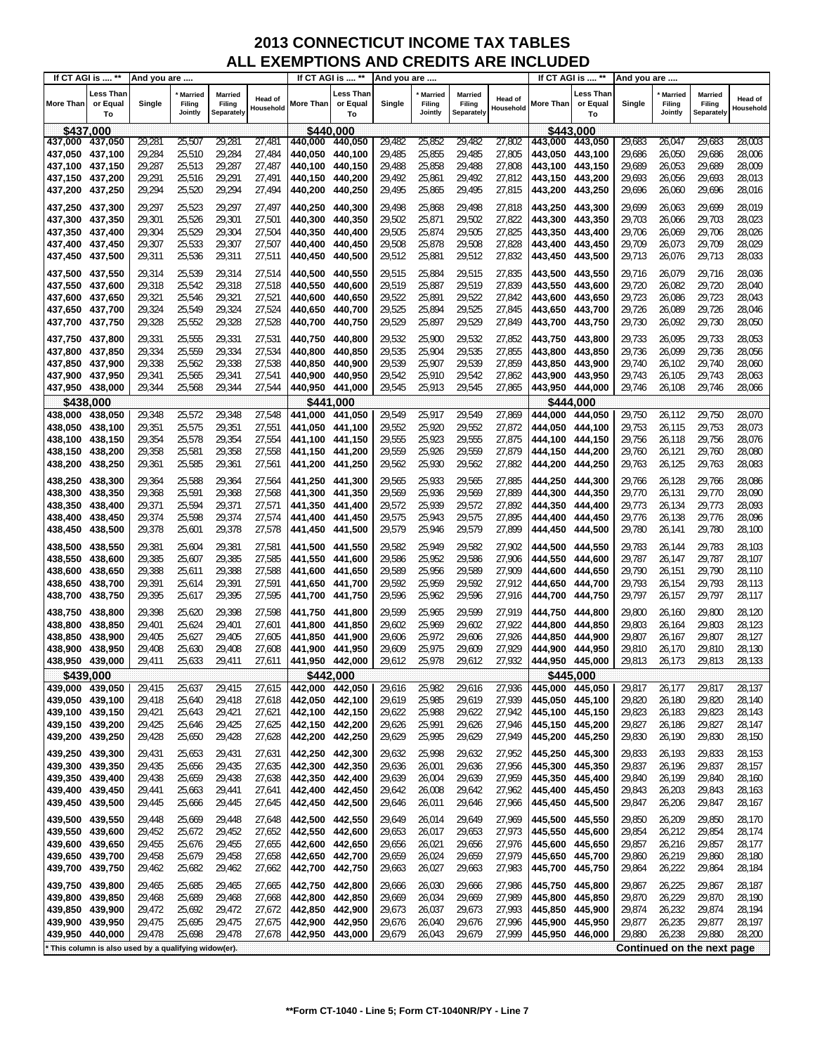| If CT AGI is  ** |                                                     | And you are |                                     |                                 |                      | If CT AGI is  ** |                             | And you are |                                     |                                 |                             |                 | If CT AGI is  **            | And you are |                                     |                                 |                             |
|------------------|-----------------------------------------------------|-------------|-------------------------------------|---------------------------------|----------------------|------------------|-----------------------------|-------------|-------------------------------------|---------------------------------|-----------------------------|-----------------|-----------------------------|-------------|-------------------------------------|---------------------------------|-----------------------------|
| <b>More Than</b> | Less Than<br>or Equal<br>To                         | Single      | <b>Married</b><br>Filing<br>Jointly | Married<br>Filing<br>Separately | Head of<br>Household | <b>More Than</b> | Less Than<br>or Equal<br>To | Single      | <b>Married</b><br>Filing<br>Jointly | Married<br>Filing<br>Separately | <b>Head of</b><br>Household | More Than       | Less Than<br>or Equal<br>To | Single      | <b>Married</b><br>Filing<br>Jointly | Married<br>Filing<br>Separately | <b>Head of</b><br>Household |
| \$437,000        |                                                     |             |                                     |                                 |                      | \$440.000        |                             |             |                                     |                                 |                             |                 | \$443.000                   |             |                                     |                                 |                             |
| 437,000          | 437,050                                             | 29,281      | 25,507                              | 29,281                          | 27,48                | 440,000          | 440,050                     | 29,482      | 25,852                              | 29,482                          | 27,802                      | 443,000         | 443,050                     | 29,683      | 26,047                              | 29,683                          | 28,003                      |
| 437,050          | 437,100                                             | 29,284      | 25,510                              | 29,284                          | 27,484               | 440,050          | 440.100                     | 29,485      | 25,855                              | 29,485                          | 27,805                      | 443.050         | 443,100                     | 29,686      | 26,050                              | 29,686                          | 28,006                      |
| 437,100          | 437,150                                             | 29,287      | 25,513                              | 29,287                          | 27,487               | 440,100          | 440,150                     | 29,488      | 25,858                              | 29,488                          | 27,808                      | 443,100         | 443,150                     | 29,689      | 26,053                              | 29,689                          | 28,009                      |
| 437,150          | 437,200                                             | 29,291      | 25,516                              | 29,291                          | 27,491               | 440,150          | 440,200                     | 29,492      | 25,861                              | 29,492                          | 27,812                      | 443,150         | 443,200                     | 29,693      | 26,056                              | 29,693                          | 28,013                      |
| 437,200          | 437,250                                             | 29,294      | 25,520                              | 29,294                          | 27,494               | 440,200          | 440,250                     | 29,495      | 25,865                              | 29,495                          | 27,815                      | 443,200         | 443,250                     | 29,696      | 26,060                              | 29,696                          | 28,016                      |
| 437,250          | 437,300                                             | 29,297      | 25,523                              | 29,297                          | 27,497               | 440,250 440,300  |                             | 29,498      | 25,868                              | 29,498                          | 27,818                      | 443,250         | 443,300                     | 29,699      | 26,063                              | 29,699                          | 28,019                      |
| 437,300          | 437,350                                             | 29,301      | 25,526                              | 29,301                          | 27,501               | 440,300          | 440,350                     | 29,502      | 25,871                              | 29,502                          | 27,822                      | 443,300         | 443,350                     | 29,703      | 26,066                              | 29,703                          | 28,023                      |
| 437,350 437,400  |                                                     | 29,304      | 25,529                              | 29,304                          | 27,504               | 440,350          | 440,400                     | 29,505      | 25,874                              | 29,505                          | 27,825                      | 443,350         | 443,400                     | 29,706      | 26,069                              | 29,706                          | 28,026                      |
| 437,400 437,450  |                                                     | 29,307      | 25,533                              | 29,307                          | 27,507               | 440,400          | 440,450                     | 29,508      | 25,878                              | 29,508                          | 27,828                      | 443.400         | 443,450                     | 29,709      | 26,073                              | 29,709                          | 28,029                      |
| 437,450 437,500  |                                                     | 29,311      | 25,536                              | 29,311                          | 27,511               | 440,450 440,500  |                             | 29,512      | 25,881                              | 29,512                          | 27,832                      | 443,450         | 443,500                     | 29,713      | 26,076                              | 29,713                          | 28,033                      |
|                  |                                                     |             |                                     |                                 |                      |                  |                             |             |                                     |                                 |                             |                 |                             |             |                                     |                                 |                             |
| 437,500          | 437,550                                             | 29,314      | 25,539                              | 29,314                          | 27,514               | 440,500          | 440,550                     | 29,515      | 25,884                              | 29,515                          | 27,835                      | 443,500         | 443,550                     | 29,716      | 26,079                              | 29,716                          | 28,036                      |
| 437,550          | 437,600                                             | 29,318      | 25,542                              | 29,318                          | 27,518               | 440,550          | 440,600                     | 29,519      | 25,887                              | 29,519                          | 27,839                      | 443,550         | 443,600                     | 29,720      | 26,082                              | 29,720                          | 28,040                      |
| 437,600          | 437,650                                             | 29,321      | 25,546                              | 29,321                          | 27,521               | 440,600          | 440,650                     | 29,522      | 25,891                              | 29,522                          | 27,842                      | 443,600         | 443,650                     | 29,723      | 26,086                              | 29,723                          | 28,043                      |
| 437,650          | 437,700                                             | 29,324      | 25,549                              | 29,324                          | 27,524               | 440,650          | 440,700                     | 29,525      | 25,894                              | 29,525                          | 27,845                      | 443,650         | 443,700                     | 29,726      | 26,089                              | 29,726                          | 28,046                      |
| 437,700          | 437,750                                             | 29,328      | 25,552                              | 29,328                          | 27,528               | 440,700          | 440,750                     | 29,529      | 25,897                              | 29,529                          | 27,849                      | 443,700         | 443,750                     | 29,730      | 26,092                              | 29,730                          | 28,050                      |
| 437,750          | 437,800                                             | 29,331      | 25,555                              | 29,331                          | 27,531               | 440.750          | 440,800                     | 29,532      | 25,900                              | 29,532                          | 27,852                      | 443,750         | 443,800                     | 29,733      | 26,095                              | 29,733                          | 28,053                      |
| 437,800          | 437,850                                             | 29,334      | 25,559                              | 29,334                          | 27,534               | 440,800          | 440,850                     | 29,535      | 25,904                              | 29,535                          | 27,855                      | 443,800         | 443,850                     | 29,736      | 26,099                              | 29,736                          | 28,056                      |
| 437,850          | 437,900                                             | 29,338      | 25,562                              | 29,338                          | 27,538               | 440,850          | 440,900                     | 29,539      | 25,907                              | 29,539                          | 27,859                      | 443,850         | 443,900                     | 29,740      | 26,102                              | 29,740                          | 28,060                      |
| 437,900          | 437,950                                             | 29,341      | 25,565                              | 29,341                          | 27,541               | 440.900 440.950  |                             | 29,542      | 25,910                              | 29,542                          | 27,862                      | 443,900         | 443,950                     | 29,743      | 26,105                              | 29,743                          | 28,063                      |
| 437,950 438,000  |                                                     | 29,344      | 25,568                              | 29,344                          | 27,544               | 440,950 441,000  |                             | 29,545      | 25,913                              | 29,545                          | 27,865                      | 443,950         | 444,000                     | 29,746      | 26,108                              | 29,746                          | 28,066                      |
| \$438,000        |                                                     |             |                                     |                                 |                      | \$441.000        |                             |             |                                     |                                 |                             |                 | \$444.000                   |             |                                     |                                 |                             |
| 438,000          | 438,050                                             | 29,348      | 25,572                              | 29,348                          | 27,548               | 441,000          | 441.050                     | 29,549      | 25,917                              | 29,549                          | 27,869                      | 444,000         | 444,050                     | 29,750      | 26,112                              | 29,750                          | 28,070                      |
| 438,050          | 438,100                                             | 29,351      | 25,575                              | 29,351                          | 27,551               | 441,050          | 441,100                     | 29,552      | 25,920                              | 29,552                          | 27,872                      | 444,050         | 444,100                     | 29,753      | 26,115                              | 29,753                          | 28,073                      |
| 438,100          | 438,150                                             | 29,354      | 25,578                              | 29,354                          | 27,554               | 441.100 441.150  |                             | 29,555      | 25,923                              | 29,555                          | 27,875                      | 444,100         | 444,150                     | 29,756      | 26,118                              | 29,756                          | 28,076                      |
| 438,150          | 438,200                                             | 29,358      | 25,581                              | 29,358                          | 27,558               |                  |                             | 29,559      | 25,926                              | 29,559                          | 27,879                      | 444,150         | 444,200                     | 29,760      | 26,121                              | 29,760                          | 28,080                      |
| 438,200          | 438,250                                             | 29,361      | 25,585                              | 29,361                          | 27,561               | 441,200 441,250  |                             | 29,562      | 25,930                              | 29,562                          | 27,882                      | 444,200         | 444,250                     | 29,763      | 26,125                              | 29,763                          | 28,083                      |
|                  |                                                     |             |                                     |                                 |                      |                  |                             |             |                                     |                                 |                             |                 |                             |             |                                     |                                 |                             |
| 438,250          | 438,300                                             | 29,364      | 25,588                              | 29,364                          | 27,564               | 441,250          | 441,300                     | 29,565      | 25,933                              | 29,565                          | 27,885                      | 444,250         | 444,300                     | 29,766      | 26,128                              | 29,766                          | 28,086                      |
| 438,300          | 438,350                                             | 29,368      | 25,591                              | 29,368                          | 27,568               | 441,300          | 441,350                     | 29,569      | 25,936                              | 29,569                          | 27,889                      | 444,300         | 444,350                     | 29,770      | 26,131                              | 29,770                          | 28,090                      |
| 438,350          | 438,400                                             | 29,371      | 25,594                              | 29,371                          | 27,571               | 441,350          | 441,400                     | 29,572      | 25,939                              | 29,572                          | 27,892                      | 444,350         | 444,400                     | 29,773      | 26,134                              | 29,773                          | 28,093                      |
| 438,400          | 438,450                                             | 29,374      | 25,598                              | 29,374                          | 27,574               | 441,400 441,450  |                             | 29,575      | 25,943                              | 29,575                          | 27,895                      | 444,400         | 444,450                     | 29,776      | 26,138                              | 29,776                          | 28,096                      |
| 438,450          | 438,500                                             | 29,378      | 25,601                              | 29,378                          | 27,578               | 441,450          | 441,500                     | 29,579      | 25,946                              | 29,579                          | 27,899                      | 444,450         | 444,500                     | 29,780      | 26,141                              | 29,780                          | 28,100                      |
| 438,500          | 438,550                                             | 29,381      | 25,604                              | 29,381                          | 27,581               | 441,500          | 441,550                     | 29,582      | 25,949                              | 29,582                          | 27,902                      | 444,500         | 444,550                     | 29,783      | 26,144                              | 29,783                          | 28,103                      |
| 438,550          | 438,600                                             | 29,385      | 25,607                              | 29,385                          | 27,585               | 441,550 441,600  |                             | 29,586      | 25,952                              | 29,586                          | 27,906                      | 444,550         | 444,600                     | 29,787      | 26,147                              | 29,787                          | 28,107                      |
| 438,600          | 438,650                                             | 29,388      | 25,611                              | 29,388                          | 27,588               | 441,600          | 441,650                     | 29,589      | 25,956                              | 29,589                          | 27,909                      | 444,600         | 444,650                     | 29,790      | 26,151                              | 29,790                          | 28,110                      |
| 438,650          | 438,700                                             | 29,391      | 25,614                              | 29,391                          | 27,591               | 441,650 441,700  |                             | 29,592      | 25,959                              | 29,592                          | 27,912                      | 444,650         | 444,700                     | 29,793      | 26,154                              | 29,793                          | 28,113                      |
| 438,700          | 438,750                                             | 29,395      | 25,617                              | 29,395                          | 27,595               | 441,700          | 441,750                     | 29,596      | 25,962                              | 29,596                          | 27,916                      | 444,700         | 444,750                     | 29,797      | 26,157                              | 29,797                          | 28,117                      |
| 438,750          | 438,800                                             | 29,398      | 25,620                              | 29,398                          | 27,598               | 441,750          | 441,800                     | 29,599      | 25,965                              | 29,599                          | 27,919                      | 444,750         | 444,800                     | 29,800      | 26,160                              | 29,800                          | 28,120                      |
| 438,800          | 438,850                                             | 29,401      | 25,624                              | 29,401                          | 27,601               | 441,800          | 441,850                     | 29,602      | 25,969                              | 29,602                          | 27,922                      | 444,800         | 444,850                     | 29,803      | 26,164                              | 29,803                          | 28,123                      |
| 438,850          | 438,900                                             | 29,405      | 25,627                              | 29,405                          | 27,605               | 441,850          | 441,900                     | 29,606      | 25,972                              | 29,606                          | 27,926                      | 444,850         | 444,900                     | 29,807      | 26,167                              | 29,807                          | 28,127                      |
| 438,900          | 438,950                                             | 29,408      | 25,630                              | 29,408                          | 27,608               | 441,900          | 441,950                     | 29,609      | 25,975                              | 29,609                          | 27,929                      | 444,900         | 444.950                     | 29,810      | 26,170                              | 29,810                          | 28,130                      |
| 438,950 439,000  |                                                     | 29,411      | 25,633                              | 29,411                          | 27,611               | 441,950 442,000  |                             | 29,612      | 25,978                              | 29,612                          | 27,932                      | 444.950 445.000 |                             | 29,813      | 26,173                              | 29,813                          | 28,133                      |
| \$439,000        |                                                     |             |                                     |                                 |                      | \$442,000        |                             |             |                                     |                                 |                             |                 | \$445,000                   |             |                                     |                                 |                             |
| 439,000 439,050  |                                                     | 29,415      | 25,637                              | 29,415                          | 27,615               | 442,000          | 442,050                     | 29,616      | 25,982                              | 29,616                          | 27,936                      | 445,000         | 445,050                     | 29,817      | 26,177                              | 29,817                          | 28,137                      |
| 439,050 439,100  |                                                     | 29,418      | 25,640                              | 29,418                          | 27,618               | 442,050          | 442,100                     | 29,619      | 25,985                              | 29,619                          | 27,939                      | 445,050         | 445,100                     | 29,820      | 26,180                              | 29,820                          | 28,140                      |
| 439,100 439,150  |                                                     | 29,421      | 25,643                              | 29,421                          | 27,621               | 442,100 442,150  |                             | 29,622      | 25,988                              | 29,622                          | 27,942                      | 445,100 445,150 |                             | 29,823      | 26,183                              | 29,823                          | 28,143                      |
| 439,150 439,200  |                                                     | 29,425      | 25,646                              | 29,425                          | 27,625               | 442,150 442,200  |                             | 29,626      | 25,991                              | 29,626                          | 27,946                      | 445,150         | 445,200                     | 29,827      | 26,186                              | 29,827                          | 28,147                      |
| 439,200          | 439,250                                             | 29,428      | 25,650                              | 29,428                          | 27,628               | 442,200          | 442,250                     | 29,629      | 25,995                              | 29,629                          | 27,949                      | 445,200         | 445,250                     | 29,830      | 26,190                              | 29,830                          | 28,150                      |
|                  |                                                     |             |                                     |                                 |                      |                  |                             |             |                                     |                                 |                             |                 |                             |             |                                     |                                 |                             |
| 439,250          | 439,300                                             | 29,431      | 25,653                              | 29,431                          | 27,631               | 442,250 442,300  |                             | 29,632      | 25,998                              | 29,632                          | 27,952                      | 445,250         | 445,300                     | 29,833      | 26,193                              | 29,833                          | 28,153                      |
| 439,300 439,350  |                                                     | 29,435      | 25,656                              | 29,435                          | 27,635               | 442,300 442,350  |                             | 29,636      | 26,001                              | 29,636                          | 27,956                      | 445,300         | 445,350                     | 29,837      | 26,196                              | 29,837                          | 28,157                      |
| 439,350          | 439,400                                             | 29,438      | 25,659                              | 29,438                          | 27,638               | 442,350 442,400  |                             | 29,639      | 26,004                              | 29,639                          | 27,959                      | 445,350         | 445,400                     | 29,840      | 26,199                              | 29,840                          | 28,160                      |
| 439,400 439,450  |                                                     | 29,441      | 25,663                              | 29,441                          | 27,641               | 442,400 442,450  |                             | 29,642      | 26,008                              | 29,642                          | 27,962                      | 445,400         | 445,450                     | 29,843      | 26,203                              | 29,843                          | 28,163                      |
| 439,450          | 439,500                                             | 29,445      | 25,666                              | 29,445                          | 27,645               | 442,450 442,500  |                             | 29,646      | 26,011                              | 29,646                          | 27,966                      | 445,450         | 445,500                     | 29,847      | 26,206                              | 29,847                          | 28,167                      |
| 439,500 439,550  |                                                     | 29,448      | 25,669                              | 29,448                          | 27,648               | 442,500 442,550  |                             | 29,649      | 26,014                              | 29,649                          | 27,969                      | 445,500         | 445,550                     | 29,850      | 26,209                              | 29,850                          | 28,170                      |
| 439,550          | 439,600                                             | 29,452      | 25,672                              | 29,452                          | 27,652               | 442,550 442,600  |                             | 29,653      | 26,017                              | 29,653                          | 27,973                      | 445,550         | 445,600                     | 29,854      | 26,212                              | 29,854                          | 28,174                      |
| 439,600          | 439,650                                             | 29,455      | 25,676                              | 29,455                          | 27,655               | 442,600          | 442,650                     | 29,656      | 26,021                              | 29,656                          | 27,976                      | 445,600         | 445,650                     | 29,857      | 26,216                              | 29,857                          | 28,177                      |
| 439,650          | 439,700                                             | 29,458      | 25,679                              | 29,458                          | 27,658               | 442,650 442,700  |                             | 29,659      | 26,024                              | 29,659                          | 27,979                      | 445,650         | 445,700                     | 29,860      | 26,219                              | 29,860                          | 28,180                      |
| 439,700          | 439,750                                             | 29,462      | 25,682                              | 29,462                          | 27,662               | 442,700 442,750  |                             | 29,663      | 26,027                              | 29,663                          | 27,983                      | 445,700         | 445,750                     | 29,864      | 26,222                              | 29,864                          | 28,184                      |
| 439,750          | 439,800                                             | 29,465      | 25,685                              | 29,465                          | 27,665               | 442,750 442,800  |                             | 29,666      | 26,030                              | 29,666                          | 27,986                      | 445,750         | 445,800                     | 29,867      | 26,225                              | 29,867                          | 28,187                      |
| 439,800          | 439,850                                             | 29,468      | 25,689                              | 29,468                          | 27,668               | 442,800          | 442,850                     | 29,669      | 26,034                              | 29,669                          | 27,989                      | 445,800         | 445,850                     | 29,870      | 26,229                              | 29,870                          | 28,190                      |
| 439,850          | 439,900                                             | 29,472      | 25,692                              | 29,472                          | 27,672               | 442,850 442,900  |                             | 29,673      | 26,037                              | 29,673                          | 27,993                      | 445,850         | 445,900                     | 29,874      | 26,232                              | 29,874                          | 28,194                      |
| 439,900          | 439,950                                             | 29,475      | 25,695                              | 29,475                          | 27,675               | 442,900          | 442,950                     | 29,676      | 26,040                              | 29,676                          | 27,996                      | 445,900         | 445,950                     | 29,877      | 26,235                              | 29,877                          | 28,197                      |
| 439,950 440,000  |                                                     | 29,478      | 25,698                              | 29,478                          | 27,678               | 442,950 443,000  |                             | 29,679      | 26,043                              | 29,679                          | 27,999                      | 445,950         | 446,000                     | 29,880      | 26,238                              | 29,880                          | 28,200                      |
|                  | This column is also used by a qualifying widow(er). |             |                                     |                                 |                      |                  |                             |             |                                     |                                 |                             |                 |                             |             |                                     | Continued on the next page      |                             |
|                  |                                                     |             |                                     |                                 |                      |                  |                             |             |                                     |                                 |                             |                 |                             |             |                                     |                                 |                             |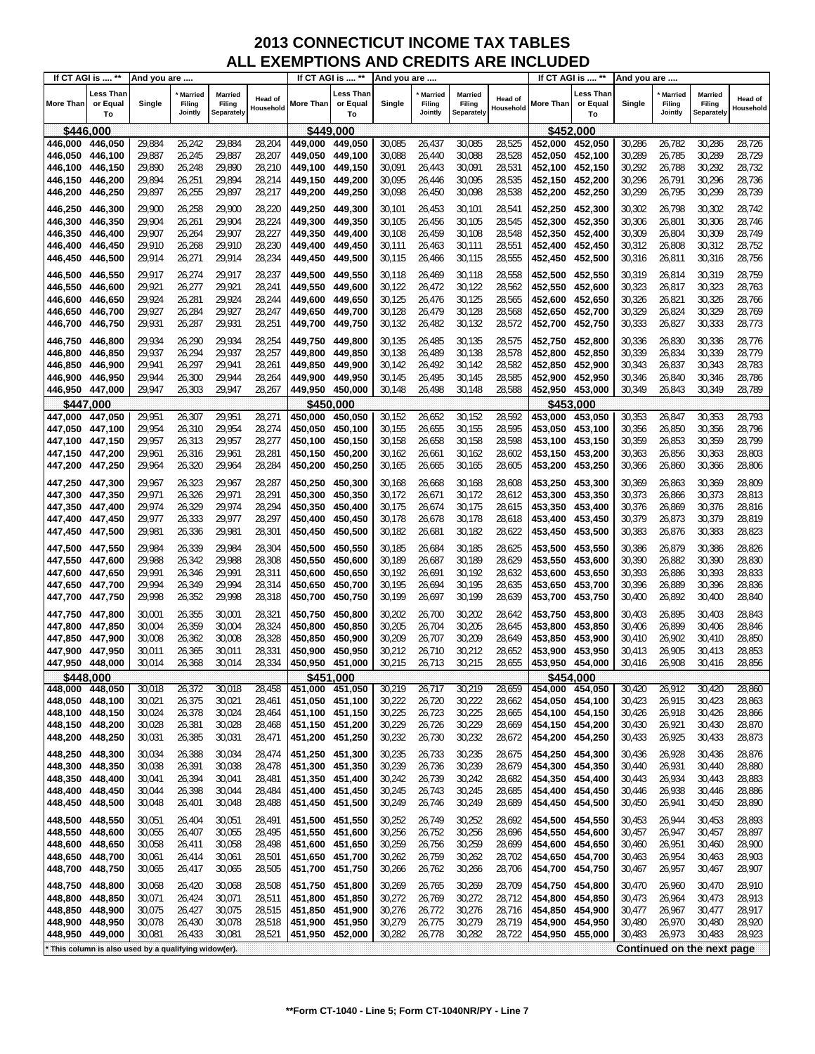| If CT AGI is  ** |                                                     | And you are      |                                     |                                 |                      |                  | If CT AGI is  **            | And you are |                                     |                                 |                             |                 | If CT AGI is  **                   | And you are |                                     |                                 |                             |
|------------------|-----------------------------------------------------|------------------|-------------------------------------|---------------------------------|----------------------|------------------|-----------------------------|-------------|-------------------------------------|---------------------------------|-----------------------------|-----------------|------------------------------------|-------------|-------------------------------------|---------------------------------|-----------------------------|
| <b>More Than</b> | Less Than<br>or Equal<br>To                         | Single           | <b>Married</b><br>Filing<br>Jointly | Married<br>Filing<br>Separately | Head of<br>Household | <b>More Than</b> | Less Than<br>or Equal<br>To | Single      | <b>Married</b><br>Filing<br>Jointly | Married<br>Filing<br>Separately | <b>Head of</b><br>Household | More Than       | <b>Less Than</b><br>or Equal<br>To | Single      | <b>Married</b><br>Filing<br>Jointly | Married<br>Filing<br>Separately | <b>Head of</b><br>Household |
| \$446,000        |                                                     |                  |                                     |                                 |                      | \$449.000        |                             |             |                                     |                                 |                             |                 | \$452,000                          |             |                                     |                                 |                             |
| 446,000          | 446,050                                             | 29,884           | 26,242                              | 29,884                          | 28,204               | 449,000          | 449,050                     | 30,085      | 26,437                              | 30,085                          | 28,525                      | 452,000         | 452,050                            | 30,286      | 26,782                              | 30,286                          | 28,726                      |
| 446,050          | 446,100                                             | 29,887           | 26,245                              | 29,887                          | 28,207               | 449.050          | 449,100                     | 30,088      | 26,440                              | 30,088                          | 28,528                      | 452,050         | 452,100                            | 30,289      | 26,785                              | 30,289                          | 28,729                      |
| 446,100 446,150  |                                                     | 29,890           | 26,248                              | 29,890                          | 28,210               | 449,100          | 449,150                     | 30,091      | 26,443                              | 30,091                          | 28,531                      | 452,100         | 452,150                            | 30,292      | 26,788                              | 30,292                          | 28,732                      |
| 446,150          | 446,200                                             | 29,894           | 26,251                              | 29,894                          | 28,214               |                  |                             | 30,095      | 26,446                              | 30,095                          | 28,535                      | 452,150         | 452,200                            | 30,296      | 26,791                              | 30,296                          | 28,736                      |
| 446,200          | 446,250                                             | 29,897           | 26,255                              | 29,897                          | 28,217               | 449,200          | 449,250                     | 30,098      | 26,450                              | 30,098                          | 28,538                      | 452,200         | 452,250                            | 30,299      | 26,795                              | 30,299                          | 28,739                      |
| 446,250          | 446,300                                             | 29,900           | 26,258                              | 29,900                          | 28,220               | 449,250          | 449.300                     | 30,101      | 26,453                              | 30,101                          | 28,541                      | 452,250         | 452,300                            | 30,302      | 26,798                              | 30,302                          | 28,742                      |
| 446,300          | 446,350                                             | 29,904           | 26,261                              | 29,904                          | 28,224               | 449,300          | 449,350                     | 30,105      | 26,456                              | 30,105                          | 28,545                      | 452,300         | 452,350                            | 30,306      | 26,801                              | 30,306                          | 28,746                      |
| 446,350          | 446,400                                             | 29,907           | 26,264                              | 29,907                          | 28,227               | 449,350          | 449,400                     | 30,108      | 26,459                              | 30,108                          | 28,548                      | 452,350         | 452,400                            | 30,309      | 26,804                              | 30,309                          | 28,749                      |
| 446,400          | 446,450                                             | 29,910           | 26,268                              | 29,910                          | 28,230               | 449,400          | 449,450                     | 30,111      | 26,463                              | 30,111                          | 28,551                      | 452,400         | 452,450                            | 30,312      | 26,808                              | 30,312                          | 28,752                      |
| 446,450          | 446,500                                             | 29,914           | 26,271                              | 29,914                          | 28,234               | 449,450          | 449,500                     | 30,115      | 26,466                              | 30,115                          | 28,555                      | 452,450         | 452,500                            | 30,316      | 26,811                              | 30,316                          | 28,756                      |
| 446,500          | 446,550                                             | 29,917           | 26,274                              | 29,917                          | 28,237               | 449,500          | 449,550                     | 30,118      | 26,469                              | 30,118                          | 28,558                      | 452,500         | 452,550                            | 30,319      | 26,814                              | 30,319                          | 28,759                      |
| 446,550          | 446,600                                             | 29,921           | 26,277                              | 29,921                          | 28,241               | 449,550          | 449,600                     | 30,122      | 26,472                              | 30,122                          | 28,562                      | 452,550         | 452,600                            | 30,323      | 26,817                              | 30,323                          | 28,763                      |
| 446,600          | 446,650                                             | 29,924           | 26,281                              | 29,924                          | 28,244               | 449.600          | 449,650                     | 30,125      | 26,476                              | 30,125                          | 28,565                      | 452,600         | 452,650                            | 30,326      | 26,821                              | 30,326                          | 28,766                      |
| 446,650          | 446,700                                             | 29,927           | 26,284                              | 29,927                          | 28,247               | 449,650 449,700  |                             | 30,128      | 26,479                              | 30,128                          | 28,568                      | 452,650         | 452,700                            | 30,329      | 26,824                              | 30,329                          | 28,769                      |
| 446,700          | 446,750                                             | 29,931           | 26,287                              | 29,931                          | 28,251               | 449,700          | 449,750                     | 30,132      | 26,482                              | 30,132                          | 28,572                      | 452,700         | 452,750                            | 30,333      | 26,827                              | 30,333                          | 28,773                      |
| 446,750          |                                                     |                  | 26,290                              |                                 |                      | 449,750          |                             | 30,135      | 26,485                              | 30,135                          | 28,575                      | 452,750         | 452,800                            | 30,336      |                                     | 30,336                          | 28,776                      |
| 446,800          | 446,800<br>446,850                                  | 29,934<br>29,937 | 26,294                              | 29,934<br>29,937                | 28,254<br>28,257     | 449,800          | 449,800<br>449,850          | 30,138      | 26,489                              | 30,138                          | 28,578                      | 452,800         | 452,850                            | 30,339      | 26,830<br>26,834                    | 30,339                          | 28,779                      |
| 446,850          | 446,900                                             | 29,941           | 26,297                              | 29,941                          | 28,261               | 449.850          | 449,900                     | 30,142      | 26,492                              | 30,142                          | 28,582                      | 452,850         | 452,900                            | 30,343      | 26,837                              | 30,343                          | 28,783                      |
| 446,900          | 446,950                                             | 29,944           | 26,300                              | 29,944                          | 28,264               | 449,900          | 449,950                     | 30,145      | 26,495                              | 30,145                          | 28,585                      | 452,900         | 452,950                            | 30,346      | 26,840                              | 30,346                          | 28,786                      |
| 446,950          | 447,000                                             | 29,947           | 26,303                              | 29,947                          | 28,267               | 449.950          | 450,000                     | 30,148      | 26,498                              | 30,148                          | 28,588                      | 452,950         | 453,000                            | 30,349      | 26,843                              | 30,349                          | 28,789                      |
| \$447,000        |                                                     |                  |                                     |                                 |                      | \$450,000        |                             |             |                                     |                                 |                             |                 | \$453.000                          |             |                                     |                                 |                             |
| 447,000          | 447,050                                             | 29,951           | 26,307                              | 29,951                          | 28,271               | 450,000          | 450,050                     | 30,152      | 26,652                              | 30,152                          | 28,592                      | 453,000         | 453,050                            | 30,353      | 26,847                              | 30,353                          | 28,793                      |
| 447,050          | 447,100                                             | 29,954           | 26,310                              | 29,954                          | 28,274               | 450,050          | 450.100                     | 30,155      | 26,655                              | 30,155                          | 28,595                      | 453,050         | 453,100                            | 30,356      | 26,850                              | 30,356                          | 28,796                      |
| 447,100          | 447,150                                             | 29,957           | 26,313                              | 29,957                          | 28,277               | 450,100          | 450,150                     | 30,158      | 26,658                              | 30,158                          | 28,598                      | 453,100         | 453,150                            | 30,359      | 26,853                              | 30,359                          | 28,799                      |
| 447,150 447,200  |                                                     | 29,961           | 26,316                              | 29,961                          | 28,281               | 450,150          | 450,200                     | 30,162      | 26,661                              | 30,162                          | 28,602                      | 453,150         | 453,200                            | 30,363      | 26,856                              | 30,363                          | 28,803                      |
| 447,200          | 447,250                                             | 29,964           | 26,320                              | 29,964                          | 28,284               | 450,200          | 450,250                     | 30,165      | 26,665                              | 30,165                          | 28,605                      | 453,200         | 453,250                            | 30,366      | 26,860                              | 30,366                          | 28,806                      |
| 447,250          | 447,300                                             | 29,967           | 26,323                              | 29,967                          | 28,287               | 450,250          | 450,300                     | 30,168      | 26,668                              | 30,168                          | 28,608                      | 453,250         | 453,300                            | 30,369      | 26,863                              | 30,369                          | 28,809                      |
| 447,300          | 447,350                                             | 29,971           | 26,326                              | 29,971                          | 28,291               | 450,300          | 450,350                     | 30,172      | 26,671                              | 30,172                          | 28,612                      | 453,300         | 453,350                            | 30,373      | 26,866                              | 30,373                          | 28,813                      |
| 447,350          | 447,400                                             | 29,974           | 26,329                              | 29,974                          | 28,294               | 450,350          | 450,400                     | 30,175      | 26,674                              | 30,175                          | 28,615                      | 453,350         | 453,400                            | 30,376      | 26,869                              | 30,376                          | 28,816                      |
| 447,400 447,450  |                                                     | 29,977           | 26,333                              | 29,977                          | 28,297               | 450,400          | 450,450                     | 30,178      | 26,678                              | 30,178                          | 28,618                      | 453,400         | 453,450                            | 30,379      | 26,873                              | 30,379                          | 28,819                      |
| 447,450 447,500  |                                                     | 29,981           | 26,336                              | 29,981                          | 28,301               | 450,450          | 450,500                     | 30,182      | 26,681                              | 30,182                          | 28,622                      | 453,450         | 453,500                            | 30,383      | 26,876                              | 30,383                          | 28,823                      |
| 447,500          | 447,550                                             | 29,984           | 26,339                              | 29,984                          | 28,304               | 450,500          | 450,550                     | 30,185      | 26,684                              | 30,185                          | 28,625                      | 453,500         | 453,550                            | 30,386      | 26,879                              | 30,386                          | 28,826                      |
| 447,550          | 447,600                                             | 29,988           | 26,342                              | 29,988                          | 28,308               | 450,550          | 450,600                     | 30,189      | 26,687                              | 30,189                          | 28,629                      | 453,550         | 453,600                            | 30,390      | 26,882                              | 30,390                          | 28,830                      |
| 447,600          | 447,650                                             | 29,991           | 26,346                              | 29,991                          | 28,311               | 450,600          | 450,650                     | 30,192      | 26,691                              | 30,192                          | 28,632                      | 453,600         | 453,650                            | 30,393      | 26,886                              | 30,393                          | 28,833                      |
| 447,650 447,700  |                                                     | 29,994           | 26,349                              | 29,994                          | 28,314               | 450,650          | 450,700                     | 30,195      | 26,694                              | 30,195                          | 28,635                      | 453,650         | 453,700                            | 30,396      | 26,889                              | 30,396                          | 28,836                      |
| 447,700          | 447,750                                             | 29,998           | 26,352                              | 29,998                          | 28,318               | 450,700          | 450,750                     | 30,199      | 26,697                              | 30,199                          | 28,639                      | 453,700         | 453,750                            | 30,400      | 26,892                              | 30,400                          | 28,840                      |
| 447,750          | 447,800                                             | 30,001           | 26,355                              | 30,001                          | 28,321               | 450,750          | 450,800                     | 30,202      | 26,700                              | 30,202                          | 28,642                      | 453,750         | 453,800                            | 30,403      | 26,895                              | 30,403                          | 28,843                      |
| 447,800          | 447,850                                             | 30,004           | 26,359                              | 30,004                          | 28,324               | 450,800          | 450,850                     | 30,205      | 26,704                              | 30,205                          | 28,645                      | 453,800         | 453,850                            | 30,406      | 26,899                              | 30,406                          | 28,846                      |
| 447,850 447,900  |                                                     | 30,008           | 26,362                              | 30,008                          | 28,328               | 450.850          | 450.900                     | 30,209      | 26,707                              | 30,209                          | 28,649                      | 453,850         | 453,900                            | 30,410      | 26,902                              | 30,410                          | 28,850                      |
| 447,900          | 447,950                                             | 30,011           | 26,365                              | 30,011                          | 28,331               | 450,900          | 450,950                     | 30,212      | 26,710                              | 30,212                          | 28,652                      | 453,900         | 453,950                            | 30,413      | 26,905                              | 30,413                          | 28,853                      |
| 447,950 448,000  |                                                     | 30,014           | 26,368                              | 30,014                          | 28,334               | 450,950 451,000  |                             | 30,215      | 26,713                              | 30,215                          | 28,655                      | 453,950 454,000 |                                    | 30,416      | 26,908                              | 30,416                          | 28,856                      |
| \$448,000        |                                                     |                  |                                     |                                 |                      |                  | \$451,000                   |             |                                     |                                 |                             |                 | \$454,000                          |             |                                     |                                 |                             |
| 448,000 448,050  |                                                     | 30,018           | 26,372                              | 30,018                          | 28,458               | 451,000 451,050  |                             | 30,219      | 26,717                              | 30,219                          | 28,659                      | 454,000 454,050 |                                    | 30,420      | 26,912                              | 30,420                          | 28,860                      |
| 448,050 448,100  |                                                     | 30,021           | 26,375                              | 30,021                          | 28,461               | 451,050 451,100  |                             | 30,222      | 26,720                              | 30,222                          | 28,662                      | 454,050 454,100 |                                    | 30,423      | 26,915                              | 30,423                          | 28,863                      |
| 448,100          | 448,150                                             | 30,024           | 26,378                              | 30,024                          | 28,464               | 451,100 451,150  |                             | 30,225      | 26,723                              | 30,225                          | 28,665                      | 454,100 454,150 |                                    | 30,426      | 26,918                              | 30,426                          | 28,866                      |
| 448,150          | 448,200                                             | 30,028           | 26,381                              | 30,028                          | 28,468               | 451,150 451,200  |                             | 30,229      | 26,726                              | 30,229                          | 28,669                      | 454,150 454,200 |                                    | 30,430      | 26,921                              | 30,430                          | 28,870                      |
| 448,200          | 448,250                                             | 30,031           | 26,385                              | 30,031                          | 28,471               | 451,200 451,250  |                             | 30,232      | 26,730                              | 30,232                          | 28,672                      | 454,200         | 454,250                            | 30,433      | 26,925                              | 30,433                          | 28,873                      |
| 448,250 448,300  |                                                     | 30,034           | 26,388                              | 30,034                          | 28,474               | 451,250 451,300  |                             | 30,235      | 26,733                              | 30,235                          | 28,675                      | 454,250         | 454,300                            | 30,436      | 26,928                              | 30,436                          | 28,876                      |
| 448,300 448,350  |                                                     | 30,038           | 26,391                              | 30,038                          | 28,478               | 451,300 451,350  |                             | 30,239      | 26,736                              | 30,239                          | 28,679                      | 454,300         | 454,350                            | 30,440      | 26,931                              | 30,440                          | 28,880                      |
| 448,350          | 448,400                                             | 30,041           | 26,394                              | 30,041                          | 28,481               | 451,350 451,400  |                             | 30,242      | 26,739                              | 30,242                          | 28,682                      | 454,350         | 454,400                            | 30,443      | 26,934                              | 30,443                          | 28,883                      |
| 448,400 448,450  |                                                     | 30,044           | 26,398                              | 30,044                          | 28,484               | 451,400 451,450  |                             | 30,245      | 26,743                              | 30,245                          | 28,685                      | 454,400         | 454,450                            | 30,446      | 26,938                              | 30,446                          | 28,886                      |
| 448,450          | 448,500                                             | 30,048           | 26,401                              | 30,048                          | 28,488               | 451,450 451,500  |                             | 30,249      | 26,746                              | 30,249                          | 28,689                      | 454,450         | 454,500                            | 30,450      | 26,941                              | 30,450                          | 28,890                      |
| 448,500 448,550  |                                                     | 30,051           | 26,404                              | 30,051                          | 28,491               | 451,500 451,550  |                             | 30,252      | 26,749                              | 30,252                          | 28,692                      | 454,500         | 454,550                            | 30,453      | 26,944                              | 30,453                          | 28,893                      |
| 448,550          | 448,600                                             | 30,055           | 26,407                              | 30,055                          | 28,495               | 451,550 451,600  |                             | 30,256      | 26,752                              | 30,256                          | 28,696                      | 454,550         | 454,600                            | 30,457      | 26,947                              | 30,457                          | 28,897                      |
| 448,600          | 448,650                                             | 30,058           | 26,411                              | 30,058                          | 28,498               | 451,600 451,650  |                             | 30,259      | 26,756                              | 30,259                          | 28,699                      | 454,600         | 454,650                            | 30,460      | 26,951                              | 30,460                          | 28,900                      |
| 448,650          | 448,700                                             | 30,061           | 26,414                              | 30,061                          | 28,501               | 451,650 451,700  |                             | 30,262      | 26,759                              | 30,262                          | 28,702                      | 454,650         | 454,700                            | 30,463      | 26,954                              | 30,463                          | 28,903                      |
| 448,700          | 448,750                                             | 30,065           | 26,417                              | 30,065                          | 28,505               | 451,700 451,750  |                             | 30,266      | 26,762                              | 30,266                          | 28,706                      | 454,700         | 454,750                            | 30,467      | 26,957                              | 30,467                          | 28,907                      |
| 448,750          | 448,800                                             | 30,068           | 26,420                              | 30,068                          | 28,508               | 451,750 451,800  |                             | 30,269      | 26,765                              | 30,269                          | 28,709                      | 454,750         | 454,800                            | 30,470      | 26,960                              | 30,470                          | 28,910                      |
| 448,800          | 448,850                                             | 30,071           | 26,424                              | 30,071                          | 28,511               | 451,800          | 451,850                     | 30,272      | 26,769                              | 30,272                          | 28,712                      | 454,800         | 454,850                            | 30,473      | 26,964                              | 30,473                          | 28,913                      |
| 448,850 448,900  |                                                     | 30,075           | 26,427                              | 30,075                          | 28,515               | 451,850 451,900  |                             | 30,276      | 26,772                              | 30,276                          | 28,716                      | 454,850         | 454,900                            | 30,477      | 26,967                              | 30,477                          | 28,917                      |
| 448,900          | 448,950                                             | 30,078           | 26,430                              | 30,078                          | 28,518               | 451,900          | 451,950                     | 30,279      | 26,775                              | 30,279                          | 28,719                      | 454,900         | 454,950                            | 30,480      | 26,970                              | 30,480                          | 28,920                      |
| 448,950 449,000  |                                                     | 30,081           | 26,433                              | 30,081                          | 28,521               | 451,950 452,000  |                             | 30,282      | 26,778                              | 30,282                          | 28,722                      | 454,950         | 455,000                            | 30,483      | 26,973                              | 30,483                          | 28,923                      |
|                  | This column is also used by a qualifying widow(er). |                  |                                     |                                 |                      |                  |                             |             |                                     |                                 |                             |                 |                                    |             |                                     | Continued on the next page      |                             |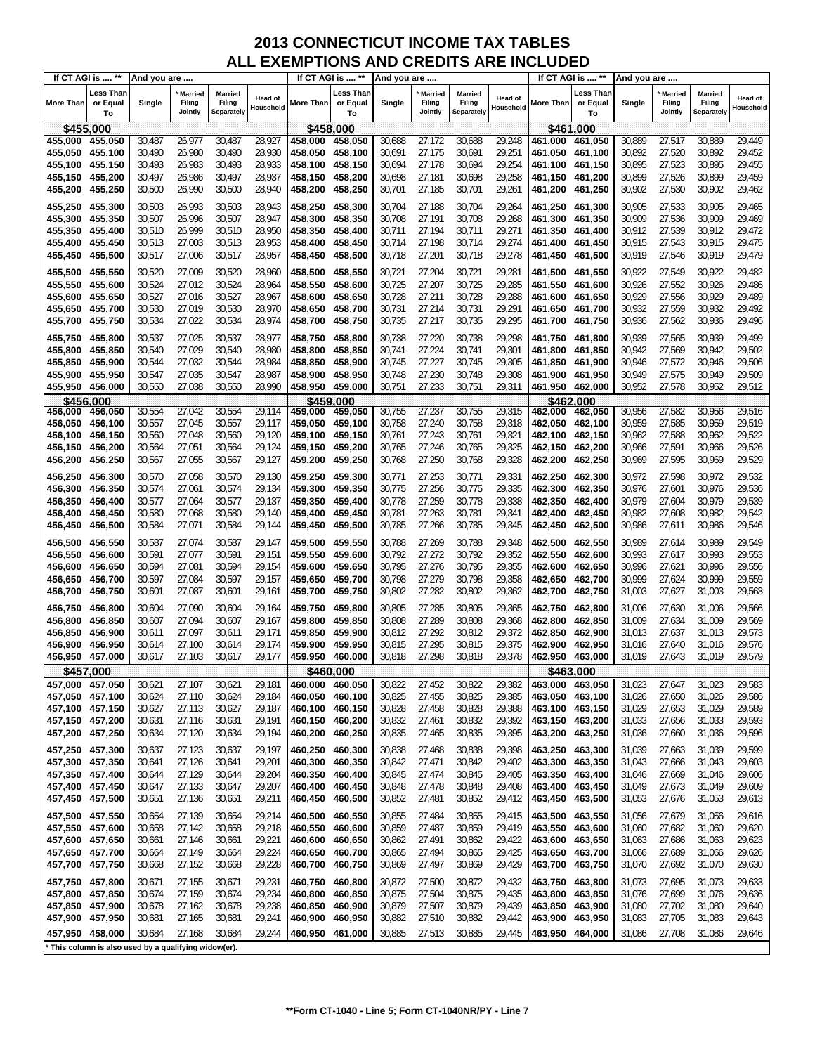|                                                       | If CT AGI is  **            | And you are      |                                     |                                        |                      |                              | If CT AGI is  **            | And you are      |                                     |                                 |                             |                    | If CT AGI is  **            | And you are      |                                     |                                 |                             |
|-------------------------------------------------------|-----------------------------|------------------|-------------------------------------|----------------------------------------|----------------------|------------------------------|-----------------------------|------------------|-------------------------------------|---------------------------------|-----------------------------|--------------------|-----------------------------|------------------|-------------------------------------|---------------------------------|-----------------------------|
| <b>More Than</b>                                      | Less Than<br>or Equal<br>To | Single           | <b>Married</b><br>Filing<br>Jointly | <b>Married</b><br>Filing<br>Separately | Head of<br>Household | More Than                    | Less Than<br>or Equal<br>To | Single           | <b>Married</b><br>Filing<br>Jointly | Married<br>Filing<br>Separately | <b>Head of</b><br>Household | More Than          | Less Than<br>or Equal<br>To | Single           | <b>Married</b><br>Filing<br>Jointly | Married<br>Filing<br>Separately | <b>Head of</b><br>Household |
| \$455,000                                             |                             |                  |                                     |                                        |                      |                              | \$458,000                   |                  |                                     |                                 |                             |                    | \$461.000                   |                  |                                     |                                 |                             |
| 455,000                                               | 455,050                     | 30,487           | 26,977                              | 30,487                                 | 28,927               | 458,000                      | 458,050                     | 30,688           | 27,172                              | 30,688                          | 29,248                      | 461,000            | 461,050                     | 30,889           | 27,517                              | 30,889                          | 29,449                      |
| 455,050                                               | 455,100                     | 30,490           | 26,980                              | 30,490                                 | 28,930               | 458,050                      | 458,100                     | 30,691           | 27,175                              | 30,691                          | 29,251                      | 461,050            | 461,100                     | 30,892           | 27,520                              | 30,892                          | 29,452                      |
| 455,100                                               | 455,150                     | 30,493           | 26,983                              | 30,493                                 | 28,933               | 458,100                      | 458,150                     | 30,694           | 27,178                              | 30,694                          | 29,254                      | 461,100            | 461,150                     | 30,895           | 27,523                              | 30,895                          | 29,455                      |
| 455,150                                               | 455,200                     | 30,497           | 26,986                              | 30,497                                 | 28,937               | 458,150                      | 458,200                     | 30,698           | 27,181                              | 30,698                          | 29,258                      | 461,150            | 461,200                     | 30,899           | 27,526                              | 30,899                          | 29,459                      |
| 455,200                                               | 455,250                     | 30,500           | 26,990                              | 30,500                                 | 28,940               | 458,200                      | 458,250                     | 30,701           | 27,185                              | 30,701                          | 29,261                      | 461,200            | 461,250                     | 30,902           | 27,530                              | 30,902                          | 29,462                      |
| 455,250                                               | 455,300                     | 30,503           | 26,993                              | 30,503                                 | 28,943               | 458.250                      | 458,300                     | 30,704           | 27,188                              | 30,704                          | 29,264                      | 461,250            | 461,300                     | 30,905           | 27,533                              | 30,905                          | 29,465                      |
| 455,300                                               | 455,350                     | 30,507           | 26,996                              | 30,507                                 | 28,947               | 458,300                      | 458,350                     | 30,708           | 27,191                              | 30,708                          | 29,268                      | 461,300            | 461,350                     | 30,909           | 27,536                              | 30,909                          | 29,469                      |
| 455,350<br>455,400                                    | 455,400<br>455,450          | 30,510<br>30,513 | 26,999<br>27,003                    | 30,510<br>30,513                       | 28,950<br>28,953     | 458,350<br>458,400           | 458,400<br>458,450          | 30,711<br>30,714 | 27,194<br>27,198                    | 30,711<br>30,714                | 29,271<br>29,274            | 461,350<br>461,400 | 461,400<br>461,450          | 30,912<br>30,915 | 27,539<br>27,543                    | 30,912<br>30,915                | 29,472<br>29,475            |
| 455,450                                               | 455,500                     | 30,517           | 27,006                              | 30,517                                 | 28,957               | 458,450                      | 458,500                     | 30,718           | 27,201                              | 30,718                          | 29,278                      | 461,450            | 461,500                     | 30,919           | 27,546                              | 30,919                          | 29,479                      |
|                                                       |                             |                  |                                     |                                        |                      |                              |                             |                  |                                     |                                 |                             |                    |                             |                  |                                     |                                 |                             |
| 455,500<br>455,550                                    | 455,550<br>455,600          | 30,520<br>30,524 | 27,009<br>27,012                    | 30,520<br>30,524                       | 28,960<br>28,964     | 458,500<br>458,550           | 458,550<br>458,600          | 30,721<br>30,725 | 27,204<br>27,207                    | 30,721<br>30,725                | 29,281<br>29,285            | 461,500<br>461,550 | 461,550<br>461,600          | 30,922<br>30,926 | 27,549<br>27,552                    | 30,922<br>30,926                | 29,482<br>29,486            |
| 455,600                                               | 455,650                     | 30,527           | 27,016                              | 30,527                                 | 28,967               | 458,600                      | 458,650                     | 30,728           | 27,211                              | 30,728                          | 29,288                      | 461,600            | 461,650                     | 30,929           | 27,556                              | 30,929                          | 29,489                      |
| 455,650                                               | 455,700                     | 30,530           | 27,019                              | 30,530                                 | 28,970               | 458,650                      | 458,700                     | 30,731           | 27,214                              | 30,731                          | 29,291                      | 461,650            | 461,700                     | 30,932           | 27,559                              | 30,932                          | 29,492                      |
| 455,700                                               | 455,750                     | 30,534           | 27,022                              | 30,534                                 | 28,974               | 458,700                      | 458,750                     | 30,735           | 27,217                              | 30,735                          | 29,295                      | 461,700            | 461,750                     | 30,936           | 27,562                              | 30,936                          | 29,496                      |
| 455,750                                               | 455,800                     | 30,537           | 27,025                              | 30,537                                 | 28,977               | 458,750                      | 458,800                     | 30,738           | 27,220                              | 30,738                          | 29,298                      | 461,750            | 461,800                     | 30,939           | 27,565                              | 30,939                          | 29,499                      |
| 455,800                                               | 455,850                     | 30,540           | 27,029                              | 30,540                                 | 28,980               | 458.800                      | 458,850                     | 30,741           | 27,224                              | 30,741                          | 29,301                      | 461,800            | 461,850                     | 30,942           | 27,569                              | 30,942                          | 29,502                      |
| 455,850                                               | 455,900                     | 30,544           | 27,032                              | 30,544                                 | 28,984               | 458,850                      | 458,900                     | 30,745           | 27,227                              | 30,745                          | 29,305                      | 461,850            | 461,900                     | 30,946           | 27,572                              | 30,946                          | 29,506                      |
| 455,900 455,950                                       |                             | 30,547           | 27,035                              | 30,547                                 | 28,987               | 458,900                      | 458,950                     | 30,748           | 27,230                              | 30,748                          | 29,308                      | 461,900            | 461,950                     | 30,949           | 27,575                              | 30,949                          | 29,509                      |
| 455,950 456,000                                       |                             | 30,550           | 27,038                              | 30,550                                 | 28,990               | 458,950 459,000              |                             | 30,751           | 27,233                              | 30,751                          | 29,311                      | 461,950            | 462,000                     | 30,952           | 27,578                              | 30,952                          | 29,512                      |
| \$456.000<br>456,000 456,050                          |                             | 30,554           | 27,042                              | 30,554                                 | 29,114               | \$459,000<br>459,000 459,050 |                             | 30,755           | 27,237                              | 30,755                          | 29,315                      | 462,000            | \$462.000<br>462,050        | 30,956           | 27,582                              | 30,956                          | 29,516                      |
| 456,050 456,100                                       |                             | 30,557           | 27,045                              | 30,557                                 | 29,117               | 459,050 459,100              |                             | 30,758           | 27,240                              | 30,758                          | 29,318                      | 462,050            | 462,100                     | 30,959           | 27,585                              | 30,959                          | 29,519                      |
| 456,100                                               | 456,150                     | 30,560           | 27,048                              | 30,560                                 | 29,120               | 459,100                      | 459,150                     | 30,761           | 27,243                              | 30,761                          | 29,321                      | 462,100            | 462,150                     | 30,962           | 27,588                              | 30,962                          | 29,522                      |
| 456,150 456,200                                       |                             | 30,564           | 27,051                              | 30,564                                 | 29,124               | 459,150 459,200              |                             | 30,765           | 27,246                              | 30,765                          | 29,325                      | 462,150            | 462,200                     | 30,966           | 27,591                              | 30,966                          | 29,526                      |
| 456,200                                               | 456,250                     | 30,567           | 27,055                              | 30,567                                 | 29,127               | 459,200                      | 459,250                     | 30,768           | 27,250                              | 30,768                          | 29,328                      | 462,200            | 462,250                     | 30,969           | 27,595                              | 30,969                          | 29,529                      |
| 456,250                                               | 456,300                     | 30,570           | 27,058                              | 30,570                                 | 29,130               | 459,250                      | 459,300                     | 30,771           | 27,253                              | 30,771                          | 29,331                      | 462,250            | 462,300                     | 30,972           | 27,598                              | 30,972                          | 29,532                      |
| 456,300                                               | 456,350                     | 30,574           | 27,061                              | 30,574                                 | 29,134               | 459,300                      | 459,350                     | 30,775           | 27,256                              | 30,775                          | 29,335                      | 462,300            | 462,350                     | 30,976           | 27,601                              | 30,976                          | 29,536                      |
| 456,350                                               | 456,400                     | 30,577           | 27,064                              | 30,577                                 | 29,137               | 459,350                      | 459,400                     | 30,778           | 27,259                              | 30,778                          | 29,338                      | 462,350            | 462,400                     | 30,979           | 27,604                              | 30,979                          | 29,539                      |
| 456,400                                               | 456,450                     | 30,580           | 27,068                              | 30,580                                 | 29,140               | 459,400                      | 459,450                     | 30,781           | 27,263                              | 30,781                          | 29,341                      | 462,400            | 462,450                     | 30,982           | 27,608                              | 30,982                          | 29,542                      |
| 456,450                                               | 456,500                     | 30,584           | 27,071                              | 30,584                                 | 29,144               | 459,450                      | 459,500                     | 30,785           | 27,266                              | 30,785                          | 29,345                      | 462,450            | 462,500                     | 30,986           | 27,611                              | 30,986                          | 29,546                      |
| 456,500                                               | 456,550                     | 30,587           | 27,074                              | 30,587                                 | 29,147               | 459,500                      | 459,550                     | 30,788           | 27,269                              | 30,788                          | 29,348                      | 462,500            | 462,550                     | 30,989           | 27,614                              | 30,989                          | 29,549                      |
| 456,550                                               | 456,600                     | 30,591           | 27,077                              | 30,591                                 | 29,151               | 459,550                      | 459,600                     | 30,792           | 27,272                              | 30,792                          | 29,352                      | 462,550            | 462,600                     | 30,993           | 27,617                              | 30,993                          | 29,553                      |
| 456,600                                               | 456,650                     | 30,594           | 27,081<br>27,084                    | 30,594<br>30,597                       | 29,154<br>29,157     | 459,600                      | 459,650                     | 30,795<br>30,798 | 27,276<br>27,279                    | 30,795<br>30,798                | 29,355                      | 462,600            | 462,650                     | 30,996<br>30,999 | 27,621<br>27,624                    | 30,996<br>30,999                | 29,556<br>29,559            |
| 456,650<br>456,700                                    | 456,700<br>456,750          | 30,597<br>30,601 | 27,087                              | 30,601                                 | 29,161               | 459,650<br>459,700           | 459,700<br>459,750          | 30,802           | 27,282                              | 30,802                          | 29,358<br>29,362            | 462,650<br>462,700 | 462,700<br>462,750          | 31,003           | 27,627                              | 31,003                          | 29,563                      |
|                                                       |                             |                  |                                     |                                        |                      |                              | 459.800                     |                  |                                     |                                 |                             |                    |                             |                  |                                     |                                 |                             |
| 456,750<br>456,800                                    | 456,800<br>456,850          | 30,604<br>30,607 | 27,090<br>27,094                    | 30,604<br>30,607                       | 29,164<br>29,167     | 459,750<br>459,800           | 459,850                     | 30,805<br>30,808 | 27,285<br>27,289                    | 30,805<br>30,808                | 29,365<br>29,368            | 462,750<br>462,800 | 462,800<br>462,850          | 31,006<br>31,009 | 27,630<br>27,634                    | 31,006<br>31,009                | 29,566<br>29,569            |
| 456,850                                               | 456,900                     | 30,611           | 27,097                              | 30,611                                 | 29,171               | 459,850                      | 459,900                     | 30,812           | 27,292                              | 30,812                          | 29,372                      | 462,850            | 462,900                     | 31,013           | 27,637                              | 31,013                          | 29,573                      |
| 456,900                                               | 456,950                     | 30,614           | 27,100                              | 30,614                                 | 29,174               | 459,900                      | 459,950                     | 30,815           | 27,295                              | 30,815                          | 29,375                      | 462.900            | 462,950                     | 31,016           | 27,640                              | 31,016                          | 29,576                      |
| 456,950 457,000                                       |                             | 30,617           | 27,103                              | 30,617                                 | 29,177               | 459,950 460,000              |                             | 30,818           | 27,298                              | 30,818                          | 29,378                      |                    | 462,950 463,000             | 31,019           | 27,643                              | 31,019                          | 29,579                      |
| \$457,000                                             |                             |                  |                                     |                                        |                      | \$460,000                    |                             |                  |                                     |                                 |                             |                    | \$463,000                   |                  |                                     |                                 |                             |
| 457,000 457,050                                       |                             | 30,621           | 27,107                              | 30,621                                 | 29,181               | 460,000                      | 460,050                     | 30,822           | 27,452                              | 30,822                          | 29,382                      | 463,000            | 463,050                     | 31,023           | 27,647                              | 31,023                          | 29,583                      |
| 457,050                                               | 457,100                     | 30,624           | 27,110                              | 30,624                                 | 29,184               | 460,050                      | 460,100                     | 30,825           | 27,455                              | 30,825                          | 29,385                      | 463,050            | 463,100                     | 31,026           | 27,650                              | 31,026                          | 29,586                      |
| 457,100 457,150<br>457,150 457,200                    |                             | 30,627<br>30,631 | 27,113<br>27,116                    | 30,627<br>30,631                       | 29,187<br>29,191     | 460,100<br>460,150           | 460,150<br>460,200          | 30,828<br>30,832 | 27,458<br>27,461                    | 30,828<br>30,832                | 29,388<br>29,392            | 463,100<br>463,150 | 463,150<br>463,200          | 31,029<br>31,033 | 27,653<br>27,656                    | 31,029<br>31,033                | 29,589<br>29,593            |
| 457,200                                               | 457,250                     | 30,634           | 27,120                              | 30,634                                 | 29,194               | 460,200                      | 460,250                     | 30,835           | 27,465                              | 30,835                          | 29,395                      | 463,200            | 463,250                     | 31,036           | 27,660                              | 31,036                          | 29,596                      |
| 457,250                                               | 457,300                     | 30,637           | 27,123                              | 30,637                                 | 29,197               | 460,250                      | 460,300                     | 30,838           | 27,468                              | 30,838                          | 29,398                      | 463,250            | 463,300                     | 31,039           | 27,663                              | 31,039                          | 29,599                      |
| 457,300 457,350                                       |                             | 30,641           | 27,126                              | 30,641                                 | 29,201               | 460,300                      | 460,350                     | 30,842           | 27,471                              | 30,842                          | 29,402                      | 463,300            | 463,350                     | 31,043           | 27,666                              | 31,043                          | 29,603                      |
| 457,350 457,400                                       |                             | 30,644           | 27,129                              | 30,644                                 | 29,204               | 460,350                      | 460,400                     | 30,845           | 27,474                              | 30,845                          | 29,405                      | 463,350            | 463,400                     | 31,046           | 27,669                              | 31,046                          | 29,606                      |
| 457,400 457,450                                       |                             | 30,647           | 27,133                              | 30,647                                 | 29,207               | 460,400                      | 460,450                     | 30,848           | 27,478                              | 30,848                          | 29,408                      | 463,400            | 463,450                     | 31,049           | 27,673                              | 31,049                          | 29,609                      |
| 457,450 457,500                                       |                             | 30,651           | 27,136                              | 30,651                                 | 29,211               | 460,450                      | 460,500                     | 30,852           | 27,481                              | 30,852                          | 29,412                      | 463,450            | 463,500                     | 31,053           | 27,676                              | 31,053                          | 29,613                      |
| 457,500                                               | 457,550                     | 30,654           | 27,139                              | 30,654                                 | 29,214               | 460,500                      | 460,550                     | 30,855           | 27,484                              | 30,855                          | 29,415                      | 463,500            | 463,550                     | 31,056           | 27,679                              | 31,056                          | 29,616                      |
| 457,550                                               | 457,600                     | 30,658           | 27,142                              | 30,658                                 | 29,218               | 460,550                      | 460,600                     | 30,859           | 27,487                              | 30,859                          | 29,419                      | 463,550            | 463,600                     | 31,060           | 27,682                              | 31,060                          | 29,620                      |
| 457,600                                               | 457,650                     | 30,661           | 27,146                              | 30,661                                 | 29,221               | 460,600                      | 460,650                     | 30,862           | 27,491                              | 30,862                          | 29,422                      | 463,600            | 463,650                     | 31,063           | 27,686                              | 31,063                          | 29,623                      |
| 457,650 457,700<br>457,700                            | 457,750                     | 30,664<br>30,668 | 27,149<br>27,152                    | 30,664<br>30,668                       | 29,224<br>29,228     | 460,650<br>460,700           | 460,700<br>460,750          | 30,865<br>30,869 | 27,494<br>27,497                    | 30,865<br>30,869                | 29,425<br>29,429            | 463,650<br>463,700 | 463,700<br>463,750          | 31,066<br>31,070 | 27,689<br>27,692                    | 31,066<br>31,070                | 29,626<br>29,630            |
|                                                       |                             |                  |                                     |                                        |                      |                              |                             |                  |                                     |                                 |                             |                    |                             |                  |                                     |                                 |                             |
| 457,750<br>457,800 457,850                            | 457,800                     | 30,671           | 27,155                              | 30,671                                 | 29,231<br>29,234     | 460,750                      | 460,800                     | 30,872<br>30,875 | 27,500<br>27,504                    | 30,872<br>30,875                | 29,432<br>29,435            | 463,750<br>463,800 | 463,800                     | 31,073<br>31,076 | 27,695<br>27,699                    | 31,073<br>31,076                | 29,633<br>29,636            |
| 457,850                                               | 457,900                     | 30,674<br>30,678 | 27,159<br>27,162                    | 30,674<br>30,678                       | 29,238               | 460,800<br>460,850           | 460,850<br>460,900          | 30,879           | 27,507                              | 30,879                          | 29,439                      | 463,850            | 463,850<br>463,900          | 31,080           | 27,702                              | 31,080                          | 29,640                      |
| 457,900 457,950                                       |                             | 30,681           | 27,165                              | 30,681                                 | 29,241               | 460,900                      | 460,950                     | 30,882           | 27,510                              | 30,882                          | 29,442                      | 463,900            | 463,950                     | 31,083           | 27,705                              | 31,083                          | 29,643                      |
| 457,950 458,000                                       |                             | 30,684           | 27,168                              | 30,684                                 | 29,244               | 460,950 461,000              |                             | 30,885           | 27,513                              | 30,885                          | 29,445                      | 463,950            | 464,000                     | 31,086           | 27,708                              | 31,086                          | 29,646                      |
| * This column is also used by a qualifying widow(er). |                             |                  |                                     |                                        |                      |                              |                             |                  |                                     |                                 |                             |                    |                             |                  |                                     |                                 |                             |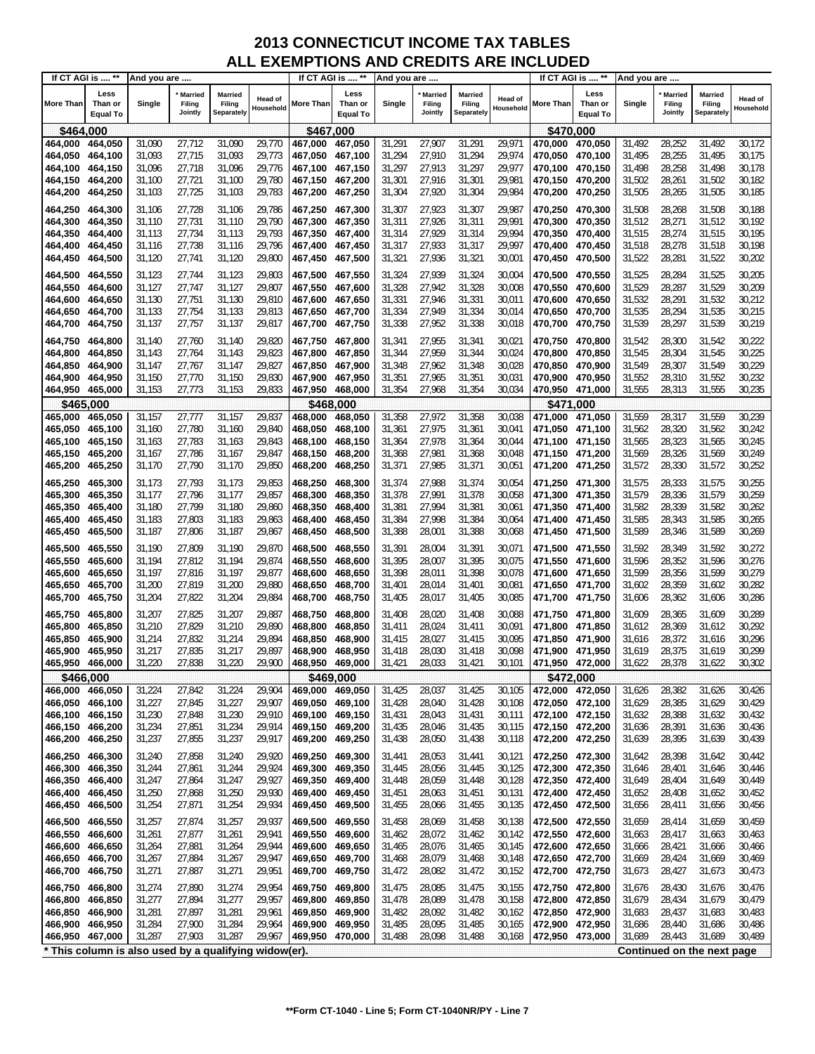| If CT AGI is  **           |                                                       | And you are      |                                     |                                        |                      | If CT AGI is  **           |                                    | And you are      |                                     |                                        |                      |                                    | If CT AGI is  **                   | And you are      |                                     |                                 |                      |
|----------------------------|-------------------------------------------------------|------------------|-------------------------------------|----------------------------------------|----------------------|----------------------------|------------------------------------|------------------|-------------------------------------|----------------------------------------|----------------------|------------------------------------|------------------------------------|------------------|-------------------------------------|---------------------------------|----------------------|
| <b>More Than</b>           | Less<br>Than or<br><b>Equal To</b>                    | Single           | <b>Married</b><br>Filing<br>Jointly | Married<br>Filing<br><b>Separately</b> | Head of<br>Household | More Than                  | Less<br>Than or<br><b>Equal To</b> | Single           | <b>Married</b><br>Filing<br>Jointly | <b>Married</b><br>Filing<br>Separately | Head of<br>Household | More Than                          | Less<br>Than or<br><b>Equal To</b> | Single           | <b>Married</b><br>Filing<br>Jointly | Married<br>Filing<br>Separately | Head of<br>Household |
| \$464,000                  |                                                       |                  |                                     |                                        |                      | \$467,000                  |                                    |                  |                                     |                                        |                      | \$470,000                          |                                    |                  |                                     |                                 |                      |
| 464,000                    | 464,050                                               | 31,090           | 27,712                              | 31,090                                 | 29,770               | 467,000                    | 467,050                            | 31,291           | 27,907                              | 31,291                                 | 29,971               | 470,000 470,050                    |                                    | 31,492           | 28,252                              | 31,492                          | 30,172               |
| 464,050                    | 464,100                                               | 31,093           | 27,715                              | 31,093                                 | 29,773               | 467,050                    | 467,100                            | 31,294           | 27,910                              | 31,294                                 | 29,974               |                                    | 470,050 470,100                    | 31,495           | 28,255                              | 31,495                          | 30,175               |
| 464,100                    | 464,150                                               | 31,096           | 27,718                              | 31,096                                 | 29,776               | 467.100                    | 467,150                            | 31,297           | 27,913                              | 31,297                                 | 29,977               | 470,100 470,150                    |                                    | 31,498           | 28,258                              | 31,498                          | 30,178               |
| 464,150 464,200            |                                                       | 31,100           | 27,721                              | 31,100                                 | 29,780               | 467,150                    | 467,200                            | 31,301           | 27,916                              | 31,301                                 | 29,981               | 470,150 470,200                    |                                    | 31,502           | 28,261                              | 31,502                          | 30,182               |
| 464,200                    | 464,250                                               | 31,103           | 27,725                              | 31,103                                 | 29,783               | 467,200                    | 467,250                            | 31,304           | 27,920                              | 31,304                                 | 29,984               | 470,200 470,250                    |                                    | 31,505           | 28,265                              | 31,505                          | 30,185               |
| 464,250                    | 464,300                                               | 31,106           | 27,728                              | 31,106                                 | 29,786               | 467,250                    | 467,300                            | 31,307           | 27,923                              | 31,307                                 | 29,987               | 470,250 470,300                    |                                    | 31,508           | 28,268                              | 31,508                          | 30,188               |
| 464,300                    | 464,350                                               | 31,110           | 27,731                              | 31,110                                 | 29,790               | 467,300                    | 467,350                            | 31,311           | 27,926                              | 31,311                                 | 29,991               | 470,300 470,350                    |                                    | 31,512           | 28,271                              | 31,512                          | 30,192               |
| 464,350                    | 464,400                                               | 31,113           | 27,734                              | 31,113                                 | 29,793               | 467,350                    | 467,400                            | 31,314           | 27,929                              | 31,314                                 | 29,994               | 470.350 470.400                    |                                    | 31,515           | 28,274                              | 31,515                          | 30,195               |
| 464,400                    | 464,450                                               | 31,116           | 27,738                              | 31,116                                 | 29,796               | 467,400                    | 467,450                            | 31,317           | 27,933                              | 31,317                                 | 29,997               | 470,400 470,450                    |                                    | 31,518           | 28,278                              | 31,518                          | 30,198               |
| 464,450                    | 464,500                                               | 31,120           | 27,741                              | 31,120                                 | 29,800               | 467,450                    | 467,500                            | 31,321           | 27,936                              | 31,321                                 | 30,001               | 470,450 470,500                    |                                    | 31,522           | 28,281                              | 31,522                          | 30,202               |
| 464,500                    | 464,550                                               | 31,123           | 27,744                              | 31,123                                 | 29,803               | 467,500                    | 467,550                            | 31,324           | 27,939                              | 31,324                                 | 30,004               | 470,500 470,550                    |                                    | 31,525           | 28,284                              | 31,525                          | 30,205               |
| 464,550                    | 464,600                                               | 31,127           | 27,747                              | 31,127                                 | 29,807               | 467,550                    | 467,600                            | 31,328           | 27,942                              | 31,328                                 | 30,008               | 470,550 470,600                    |                                    | 31,529           | 28,287                              | 31,529                          | 30,209               |
| 464,600                    | 464,650                                               | 31,130           | 27,751                              | 31,130                                 | 29,810               | 467,600                    | 467,650                            | 31,331           | 27,946                              | 31,331                                 | 30,011               | 470,600 470,650                    |                                    | 31,532           | 28,291                              | 31,532                          | 30,212               |
| 464,650 464,700<br>464,700 | 464,750                                               | 31,133<br>31,137 | 27,754<br>27,757                    | 31,133<br>31,137                       | 29,813<br>29,817     | 467,650<br>467,700         | 467,700<br>467,750                 | 31,334<br>31,338 | 27,949<br>27,952                    | 31,334<br>31,338                       | 30,014<br>30,018     | 470,700 470,750                    | 470,650 470,700                    | 31,535<br>31,539 | 28,294<br>28,297                    | 31,535<br>31,539                | 30,215<br>30,219     |
|                            |                                                       |                  |                                     |                                        |                      |                            |                                    |                  |                                     |                                        |                      |                                    |                                    |                  |                                     |                                 |                      |
| 464,750                    | 464,800                                               | 31,140           | 27,760                              | 31,140                                 | 29,820               | 467,750                    | 467,800                            | 31,341           | 27,955                              | 31,341                                 | 30,021               |                                    |                                    | 31,542           | 28,300                              | 31,542                          | 30,222               |
| 464,800<br>464,850         | 464,850<br>464,900                                    | 31,143<br>31,147 | 27,764<br>27,767                    | 31,143<br>31,147                       | 29,823<br>29,827     | 467,800<br>467.850         | 467,850<br>467,900                 | 31,344<br>31,348 | 27,959<br>27,962                    | 31,344<br>31,348                       | 30,024<br>30,028     | 470,850 470,900                    | 470,800 470,850                    | 31,545<br>31,549 | 28,304<br>28,307                    | 31,545<br>31,549                | 30,225<br>30,229     |
| 464,900                    | 464,950                                               | 31,150           | 27,770                              | 31,150                                 | 29,830               | 467,900                    | 467,950                            | 31,351           | 27,965                              | 31,351                                 | 30,031               | 470,900 470,950                    |                                    | 31,552           | 28,310                              | 31,552                          | 30,232               |
| 464,950 465,000            |                                                       | 31,153           | 27,773                              | 31,153                                 | 29,833               |                            |                                    | 31,354           | 27,968                              | 31,354                                 | 30,034               | 470,950 471,000                    |                                    | 31,555           | 28,313                              | 31,555                          | 30,235               |
| \$465,000                  |                                                       |                  |                                     |                                        |                      | \$468.000                  |                                    |                  |                                     |                                        |                      | \$471,000                          |                                    |                  |                                     |                                 |                      |
| 465,000                    | 465,050                                               | 31,157           | 27,777                              | 31,157                                 | 29,837               | 468,000                    | 468,050                            | 31,358           | 27,972                              | 31,358                                 | 30,038               | 471,000                            | 471,050                            | 31,559           | 28,317                              | 31,559                          | 30,239               |
| 465,050                    | 465,100                                               | 31,160           | 27,780                              | 31,160                                 | 29,840               | 468.050                    | 468,100                            | 31,361           | 27,975                              | 31,361                                 | 30,041               | 471,050 471,100                    |                                    | 31,562           | 28,320                              | 31,562                          | 30,242               |
| 465,100                    | 465,150                                               | 31,163           | 27,783                              | 31,163                                 | 29,843               | 468,100                    | 468,150                            | 31,364           | 27,978                              | 31,364                                 | 30,044               | 471,100 471,150                    |                                    | 31,565           | 28,323                              | 31,565                          | 30,245               |
| 465,150                    | 465,200                                               | 31,167           | 27,786                              | 31,167                                 | 29,847               | 468,150                    | 468,200                            | 31,368           | 27,981                              | 31,368                                 | 30,048               | 471,150 471,200                    |                                    | 31,569           | 28,326                              | 31,569                          | 30,249               |
| 465,200                    | 465,250                                               | 31,170           | 27,790                              | 31,170                                 | 29,850               | 468,200                    | 468,250                            | 31,371           | 27,985                              | 31,371                                 | 30,051               | 471,200 471,250                    |                                    | 31,572           | 28,330                              | 31,572                          | 30,252               |
| 465,250                    | 465,300                                               | 31,173           | 27,793                              | 31,173                                 | 29,853               | 468,250                    | 468,300                            | 31,374           | 27,988                              | 31,374                                 | 30,054               | 471,250 471,300                    |                                    | 31,575           | 28,333                              | 31,575                          | 30,255               |
| 465,300                    | 465,350                                               | 31,177           | 27,796                              | 31,177                                 | 29,857               | 468,300                    | 468,350                            | 31,378           | 27,991                              | 31,378                                 | 30,058               | 471,300 471,350                    |                                    | 31,579           | 28,336                              | 31,579                          | 30,259               |
| 465,350                    | 465,400                                               | 31,180           | 27,799                              | 31,180                                 | 29,860               | 468,350                    | 468,400                            | 31,381           | 27,994                              | 31,381                                 | 30,061               | 471,350 471,400                    |                                    | 31,582           | 28,339                              | 31,582                          | 30,262               |
| 465,400<br>465,450         | 465,450                                               | 31,183           | 27,803                              | 31,183<br>31,187                       | 29,863<br>29,867     | 468,400<br>468,450         | 468,450<br>468,500                 | 31,384<br>31,388 | 27,998<br>28,001                    | 31,384<br>31,388                       | 30,064<br>30,068     |                                    | 471,400 471,450                    | 31,585<br>31,589 | 28,343<br>28,346                    | 31,585<br>31,589                | 30,265<br>30,269     |
|                            | 465,500                                               | 31,187           | 27,806                              |                                        |                      |                            |                                    |                  |                                     |                                        |                      |                                    |                                    |                  |                                     |                                 |                      |
| 465,500                    | 465,550                                               | 31,190           | 27,809                              | 31,190                                 | 29,870               | 468,500                    | 468,550                            | 31,391           | 28,004                              | 31,391                                 | 30,071               |                                    |                                    | 31,592           | 28,349                              | 31,592                          | 30,272               |
| 465,550<br>465,600         | 465,600<br>465,650                                    | 31,194<br>31,197 | 27,812<br>27,816                    | 31,194<br>31,197                       | 29,874<br>29,877     | 468,550<br>468,600         | 468,600<br>468,650                 | 31,395<br>31,398 | 28,007<br>28,011                    | 31,395<br>31,398                       | 30,075<br>30,078     | 471,550 471,600<br>471,600 471,650 |                                    | 31,596<br>31,599 | 28,352<br>28,356                    | 31,596<br>31,599                | 30,276<br>30,279     |
| 465,650                    | 465,700                                               | 31,200           | 27,819                              | 31,200                                 | 29,880               | 468,650                    | 468,700                            | 31,401           | 28,014                              | 31,401                                 | 30,081               |                                    |                                    | 31,602           | 28,359                              | 31,602                          | 30,282               |
| 465,700                    | 465,750                                               | 31,204           | 27,822                              | 31,204                                 | 29,884               | 468,700                    | 468,750                            | 31,405           | 28,017                              | 31,405                                 | 30,085               | 471,700 471,750                    |                                    | 31,606           | 28,362                              | 31,606                          | 30,286               |
| 465,750                    | 465,800                                               | 31,207           | 27,825                              | 31,207                                 | 29,887               | 468,750                    | 468,800                            | 31,408           | 28,020                              | 31,408                                 | 30,088               | 471,750 471,800                    |                                    | 31,609           | 28,365                              | 31,609                          | 30,289               |
| 465,800                    | 465,850                                               | 31,210           | 27,829                              | 31,210                                 | 29,890               | 468,800                    | 468,850                            | 31,411           | 28,024                              | 31,411                                 | 30,091               |                                    | 471,800 471,850                    | 31,612           | 28,369                              | 31,612                          | 30,292               |
| 465,850                    | 465,900                                               | 31,214           | 27,832                              | 31,214                                 | 29,894               | 468,850                    | 468,900                            | 31,415           | 28,027                              | 31,415                                 | 30,095               |                                    | 471,850 471,900                    | 31,616           | 28,372                              | 31,616                          | 30,296               |
| 465,900                    | 465,950                                               | 31,217           | 27,835                              | 31,217                                 | 29,897               | 468,900                    | 468,950                            | 31,418           | 28,030                              | 31,418                                 | 30,098               | 471,900 471,950                    |                                    | 31,619           | 28,375                              | 31,619                          | 30,299               |
| 465,950 466,000            |                                                       | 31,220           | 27,838                              | 31,220                                 | 29,900               | 468,950                    | 469,000                            | 31,421           | 28,033                              | 31,421                                 | 30,101               | 471,950 472,000                    |                                    | 31,622           | 28,378                              | 31,622                          | 30,302               |
|                            | \$466,000                                             |                  |                                     |                                        |                      | \$469,000                  |                                    |                  |                                     |                                        |                      | \$472,000                          |                                    |                  |                                     |                                 |                      |
| 466,000                    | 466,050                                               | 31,224           | 27,842                              | 31,224                                 | 29,904               | 469,000                    | 469,050                            | 31,425           | 28,037                              | 31,425                                 | 30,105               | 472,000 472,050                    |                                    | 31,626           | 28,382                              | 31,626                          | 30,426               |
| 466,050                    | 466,100                                               | 31,227           | 27,845                              | 31,227                                 | 29,907               | 469,050                    | 469,100                            | 31,428           | 28,040                              | 31,428                                 | 30,108               |                                    | 472,050 472,100                    | 31,629           | 28,385                              | 31,629                          | 30,429               |
| 466,100                    | 466,150                                               | 31,230           | 27,848                              | 31,230                                 | 29,910               | 469,100                    | 469,150                            | 31,431           | 28,043                              | 31,431                                 | 30,111               | 472,150 472,200                    | 472,100 472,150                    | 31,632           | 28,388                              | 31,632                          | 30,432               |
| 466,150 466,200<br>466,200 | 466,250                                               | 31,234<br>31,237 | 27,851<br>27,855                    | 31,234<br>31,237                       | 29,914<br>29,917     | 469,150 469,200<br>469,200 | 469,250                            | 31,435<br>31,438 | 28,046<br>28,050                    | 31,435<br>31,438                       | 30,115<br>30,118     | 472,200 472,250                    |                                    | 31,636<br>31,639 | 28,391<br>28,395                    | 31,636<br>31,639                | 30,436<br>30,439     |
|                            |                                                       |                  |                                     |                                        |                      |                            |                                    |                  |                                     |                                        |                      |                                    |                                    |                  |                                     |                                 |                      |
| 466,250<br>466,300         | 466,300<br>466,350                                    | 31,240<br>31,244 | 27,858<br>27,861                    | 31,240<br>31,244                       | 29,920<br>29,924     | 469,250<br>469,300         | 469,300<br>469,350                 | 31,441<br>31,445 | 28,053<br>28,056                    | 31,441<br>31,445                       | 30,121<br>30,125     |                                    | 472,250 472,300<br>472,300 472,350 | 31,642<br>31,646 | 28,398<br>28,401                    | 31,642<br>31,646                | 30,442<br>30,446     |
| 466,350                    | 466,400                                               | 31,247           | 27,864                              | 31,247                                 | 29,927               | 469,350                    | 469,400                            | 31,448           | 28,059                              | 31,448                                 | 30,128               | 472,350 472,400                    |                                    | 31,649           | 28,404                              | 31,649                          | 30,449               |
| 466,400                    | 466,450                                               | 31,250           | 27,868                              | 31,250                                 | 29,930               | 469,400                    | 469,450                            | 31,451           | 28,063                              | 31,451                                 | 30,131               | 472,400 472,450                    |                                    | 31,652           | 28,408                              | 31,652                          | 30,452               |
| 466,450                    | 466,500                                               | 31,254           | 27,871                              | 31,254                                 | 29,934               | 469,450                    | 469,500                            | 31,455           | 28,066                              | 31,455                                 | 30,135               | 472,450 472,500                    |                                    | 31,656           | 28,411                              | 31,656                          | 30,456               |
| 466,500                    | 466,550                                               | 31,257           | 27,874                              | 31,257                                 | 29,937               | 469,500                    | 469,550                            | 31,458           | 28,069                              | 31,458                                 | 30,138               | 472,500 472,550                    |                                    | 31,659           | 28,414                              | 31,659                          | 30,459               |
| 466,550                    | 466,600                                               | 31,261           | 27,877                              | 31,261                                 | 29,941               | 469,550                    | 469,600                            | 31,462           | 28,072                              | 31,462                                 | 30,142               |                                    | 472,550 472,600                    | 31,663           | 28,417                              | 31,663                          | 30,463               |
| 466,600                    | 466,650                                               | 31,264           | 27,881                              | 31,264                                 | 29,944               | 469,600                    | 469,650                            | 31,465           | 28,076                              | 31,465                                 | 30,145               |                                    | 472,600 472,650                    | 31,666           | 28,421                              | 31,666                          | 30,466               |
| 466,650                    | 466,700                                               | 31,267           | 27,884                              | 31,267                                 | 29,947               | 469,650                    | 469,700                            | 31,468           | 28,079                              | 31,468                                 | 30,148               | 472,650 472,700                    |                                    | 31,669           | 28,424                              | 31,669                          | 30,469               |
| 466,700                    | 466,750                                               | 31,271           | 27,887                              | 31,271                                 | 29,951               | 469,700                    | 469,750                            | 31,472           | 28,082                              | 31,472                                 | 30,152               | 472,700 472,750                    |                                    | 31,673           | 28,427                              | 31,673                          | 30,473               |
| 466,750                    | 466,800                                               | 31,274           | 27,890                              | 31,274                                 | 29,954               | 469,750                    | 469,800                            | 31,475           | 28,085                              | 31,475                                 | 30,155               | 472,750 472,800                    |                                    | 31,676           | 28,430                              | 31,676                          | 30,476               |
| 466,800                    | 466,850                                               | 31,277           | 27,894                              | 31,277                                 | 29,957               | 469,800                    | 469,850                            | 31,478           | 28,089                              | 31,478                                 | 30,158               | 472,800 472,850                    |                                    | 31,679           | 28,434                              | 31,679                          | 30,479               |
| 466,850                    | 466,900                                               | 31,281           | 27,897                              | 31,281                                 | 29,961               | 469,850                    | 469,900                            | 31,482           | 28,092                              | 31,482                                 | 30,162               | 472,850 472,900                    |                                    | 31,683           | 28,437                              | 31,683                          | 30,483               |
| 466,900                    | 466,950                                               | 31,284           | 27,900                              | 31,284                                 | 29,964               | 469,900                    | 469,950                            | 31,485           | 28,095                              | 31,485                                 | 30,165               | 472,900 472,950                    |                                    | 31,686           | 28,440                              | 31,686                          | 30,486               |
| 466,950 467,000            |                                                       | 31,287           | 27,903                              | 31,287                                 | 29,967               | 469,950                    | 470,000                            | 31,488           | 28,098                              | 31,488                                 | 30,168               | 472,950 473,000                    |                                    | 31,689           | 28,443                              | 31,689                          | 30,489               |
|                            | * This column is also used by a qualifying widow(er). |                  |                                     |                                        |                      |                            |                                    |                  |                                     |                                        |                      |                                    |                                    |                  |                                     | Continued on the next page      |                      |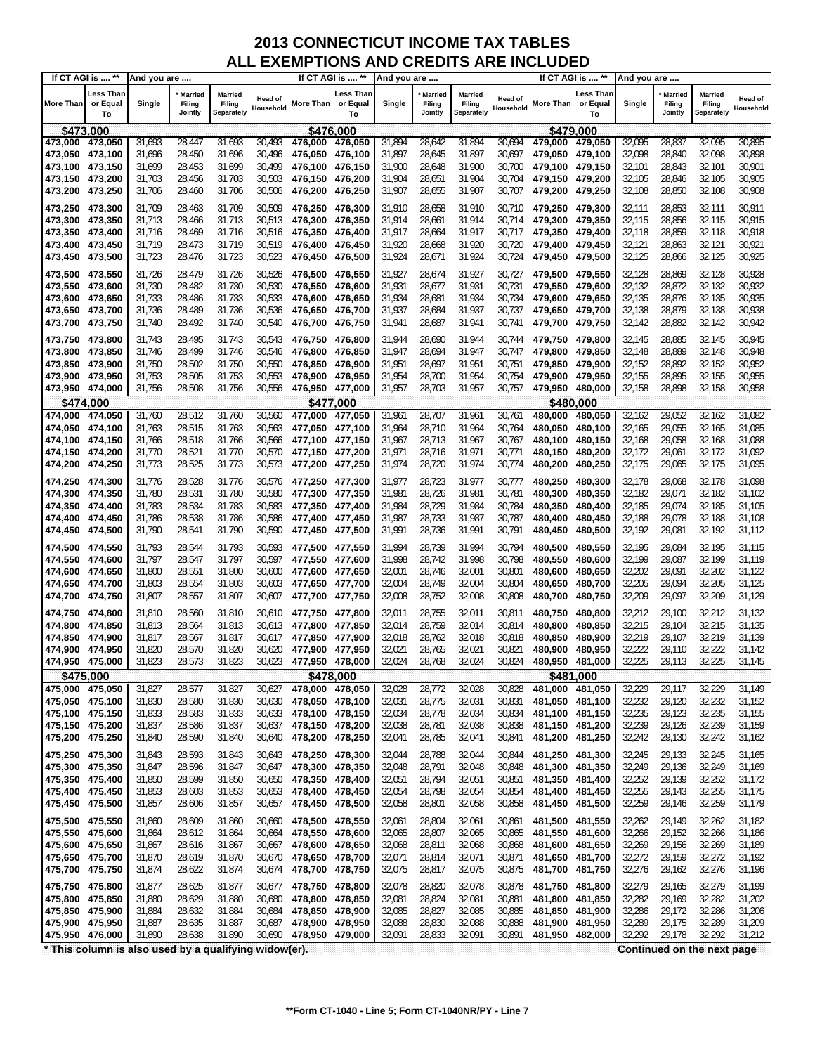| Less Than<br>Less Than<br>∟ess Than<br><b>Married</b><br>Married<br>Married<br>Married<br><b>Married</b><br><b>Married</b><br>Head of<br>Head of<br><b>Head of</b><br>More Than<br>Filing<br>More Than<br>or Equal<br>More Than<br>or Equal<br>Single<br>Filing<br>or Equal<br>Single<br>Filing<br>Single<br>Filing<br>Filing<br>Filing<br>Household<br>Household<br>Household<br>Jointly<br><b>Separately</b><br>Jointly<br>Separately<br>Jointly<br>Separately<br>To<br>To<br>To<br>\$473,000<br>\$476,000<br>\$479,000<br>473,000 473,050<br>31,693<br>28,447<br>31,693<br>30,493<br>476,000<br>31,894<br>28,642<br>31,894<br>30,694<br>32,095<br>28,837<br>32,095<br>30,895<br>476,050<br>479,000 479,050<br>31,696<br>28,450<br>31,696<br>30,496<br>31,897<br>28,645<br>31,897<br>30,697<br>32,098<br>28,840<br>32,098<br>30,898<br>473,050 473,100<br>476,050<br>476,100<br>479,050 479,100<br>31,699<br>28,453<br>31,699<br>30,499<br>31,900<br>28,648<br>31,900<br>32,101<br>28,843<br>32,101<br>30,901<br>473,100 473,150<br>476,100<br>476,150<br>30,700<br>479,100 479,150<br>28,456<br>31,703<br>30,503<br>31,904<br>28,651<br>31,904<br>30,704<br>32,105<br>28,846<br>32,105<br>30,905<br>473,150 473,200<br>31,703<br>476,150<br>476,200<br>479,150 479,200<br>31,907<br>31,907<br>32,108<br>473,200 473,250<br>31,706<br>28,460<br>31,706<br>30,506<br>476,200<br>476,250<br>28,655<br>30,707<br>479,200 479,250<br>32,108<br>28,850<br>30,908<br>31,910<br>28,658<br>28,853<br>32,111<br>473,250 473,300<br>31,709<br>28,463<br>31,709<br>30,509<br>476,250 476,300<br>31,910<br>30,710<br>479,250 479,300<br>32,111<br>30,911<br>32,115<br>473,300 473,350<br>31,713<br>30,513<br>476,300<br>31,914<br>28,661<br>31,914<br>30,714<br>479,300 479,350<br>28,856<br>32,115<br>30,915<br>31,713<br>28,466<br>476,350<br>32,118<br>28,469<br>31,716<br>30,516<br>31,917<br>28,664<br>31,917<br>30,717<br>28,859<br>32,118<br>30,918<br>473,350 473,400<br>31,716<br>476,350<br>476,400<br>479,350 479,400<br>32,121<br>31,719<br>28,473<br>31,719<br>30,519<br>31,920<br>28,668<br>31,920<br>30,720<br>28,863<br>32,121<br>30,921<br>473,400 473,450<br>476,400<br>476,450<br>479,400 479,450<br>28,476<br>30,523<br>31,924<br>31,924<br>32,125<br>28,866<br>32,125<br>30,925<br>473,450 473,500<br>31,723<br>31,723<br>476,450<br>476,500<br>28,671<br>30,724<br>479,450 479,500<br>31,927<br>28,869<br>31,726<br>28,479<br>31,726<br>30,526<br>476,500 476,550<br>28,674<br>31,927<br>30,727<br>479,500 479,550<br>32,128<br>32,128<br>30,928<br>473,500 473,550<br>30,530<br>31,730<br>28,482<br>31,730<br>476,550<br>31,931<br>28,677<br>31,931<br>30,731<br>32,132<br>28,872<br>32,132<br>30,932<br>473,550<br>473,600<br>476,600<br>479,550 479,600<br>30,533<br>31,733<br>28,486<br>31,733<br>31,934<br>28,681<br>31,934<br>30,734<br>32,135<br>28,876<br>32,135<br>30,935<br>473,600<br>473,650<br>476,600<br>476,650<br>479,600 479,650<br>28,489<br>31,736<br>30,536<br>31,937<br>28,684<br>31,937<br>30,737<br>32,138<br>28,879<br>32,138<br>30,938<br>473,650 473,700<br>31,736<br>476,650<br>476,700<br>479,650 479,700<br>28,492<br>31,740<br>30,540<br>32,142<br>28,882<br>32,142<br>30,942<br>473,700 473,750<br>31,740<br>476,700<br>31,941<br>28,687<br>31,941<br>30,741<br>479,700 479,750<br>476,750<br>28,495<br>31,743<br>30,543<br>31,944<br>28,690<br>31,944<br>30,744<br>32,145<br>28,885<br>32,145<br>30,945<br>473,750 473,800<br>31,743<br>476,750<br>476,800<br>479,750 479,800<br>473,800<br>28,499<br>31,746<br>30,546<br>31,947<br>28,694<br>31,947<br>30,747<br>32,148<br>28,889<br>32,148<br>30,948<br>473,850<br>31,746<br>476,800<br>476,850<br>479,800 479,850<br>32,152<br>31,750<br>28,502<br>31,750<br>30,550<br>31,951<br>28,697<br>31,951<br>30,751<br>28,892<br>32,152<br>30,952<br>473,850 473,900<br>476,850<br>476,900<br>479,850 479,900<br>30,553<br>31,753<br>28,505<br>31,753<br>31,954<br>28,700<br>31,954<br>30,754<br>32,155<br>28,895<br>32,155<br>30,955<br>473,900 473,950<br>476,900<br>476,950<br>479,900 479,950<br>31,756<br>28,508<br>31,756<br>30,556<br>31,957<br>28,703<br>31,957<br>30,757<br>32,158<br>28,898<br>32,158<br>30,958<br>473,950 474,000<br>476,950 477,000<br>479,950 480,000<br>\$474,000<br>\$477,000<br>\$480.000<br>30,560<br>31,760<br>28,512<br>31,760<br>477,000<br>31,961<br>28,707<br>31,961<br>30,761<br>480,000<br>32,162<br>29,052<br>32,162<br>31,082<br>474,000<br>474,050<br>477,050<br>480,050<br>31,763<br>28,515<br>31,763<br>30,563<br>31,964<br>28,710<br>31,964<br>30,764<br>480,050<br>32,165<br>29,055<br>32,165<br>31,085<br>474,050 474,100<br>477,050<br>477,100<br>480,100<br>32,168<br>28,518<br>31,766<br>30,566<br>31,967<br>28,713<br>31,967<br>30,767<br>29,058<br>32,168<br>31,088<br>474,100 474,150<br>31,766<br>477,100<br>477,150<br>480.100<br>480,150<br>31,770<br>28,521<br>31,770<br>30,570<br>31,971<br>28,716<br>31,971<br>30,771<br>32,172<br>29,061<br>32,172<br>31,092<br>474,150 474,200<br>477,150 477,200<br>480,150<br>480,200<br>31,773<br>28,525<br>31,773<br>30,573<br>31,974<br>28,720<br>31,974<br>30,774<br>32,175<br>29,065<br>32,175<br>31,095<br>474,200 474,250<br>477,200<br>477,250<br>480,200<br>480,250<br>31,977<br>474,250 474,300<br>31,776<br>28,528<br>31,776<br>30,576<br>477,250<br>477,300<br>28,723<br>31,977<br>30,777<br>480,250<br>480,300<br>32,178<br>29,068<br>32,178<br>31,098<br>474,300 474,350<br>31,780<br>28,531<br>31,780<br>30,580<br>477,300<br>477,350<br>31,981<br>28,726<br>31,981<br>30,781<br>480,300<br>32,182<br>29,071<br>32,182<br>31,102<br>480,350<br>31,783<br>28,534<br>31,783<br>30,583<br>31,984<br>28,729<br>31,984<br>30,784<br>32,185<br>29,074<br>32,185<br>474,350<br>474,400<br>477,350<br>477,400<br>480,350<br>480,400<br>31,105<br>31,786<br>28,538<br>31,786<br>30,586<br>31,987<br>28,733<br>31,987<br>30,787<br>32,188<br>29,078<br>32,188<br>474,400 474,450<br>477,400<br>477,450<br>480,400<br>480,450<br>31,108<br>31,790<br>28,541<br>31,790<br>30,590<br>31,991<br>28,736<br>31,991<br>30,791<br>32,192<br>29,081<br>32,192<br>31,112<br>474,450 474,500<br>477,450<br>480,450<br>480,500<br>477,500<br>31,793<br>28,544<br>31,793<br>30,593<br>31,994<br>28,739<br>31,994<br>30,794<br>480,500<br>480,550<br>32,195<br>29,084<br>32,195<br>31,115<br>474,500 474,550<br>477,500<br>477,550<br>31,998<br>31,797<br>28,547<br>31,797<br>30,597<br>28,742<br>31,998<br>30,798<br>32,199<br>29,087<br>32,199<br>31,119<br>474,550<br>474,600<br>477,550<br>477,600<br>480,550<br>480,600<br>32,202<br>31,800<br>28,551<br>31,800<br>30,600<br>32,001<br>28,746<br>32,001<br>30,801<br>29,091<br>32,202<br>474,600 474,650<br>477,600<br>477,650<br>480,600<br>480,650<br>31,122<br>32,004<br>32,205<br>31,803<br>28,554<br>31,803<br>30,603<br>32,004<br>28,749<br>30,804<br>29,094<br>32,205<br>31,125<br>474,650 474,700<br>477,650<br>477,700<br>480,650<br>480,700<br>32,209<br>31,807<br>28,557<br>31,807<br>30,607<br>32,008<br>28,752<br>32,008<br>30,808<br>29,097<br>32,209<br>31,129<br>474,700 474,750<br>477,700<br>477,750<br>480,700<br>480,750<br>28,560<br>31,810<br>32,011<br>28,755<br>32,011<br>30,811<br>480,750<br>32,212<br>29,100<br>32,212<br>31,132<br>474,750 474,800<br>31,810<br>30,610<br>477,750<br>477,800<br>480,800<br>474,800<br>28,564<br>31,813<br>30,613<br>32,014<br>28,759<br>32,014<br>30,814<br>32,215<br>29,104<br>32,215<br>31,135<br>474,850<br>31,813<br>477,800<br>477,850<br>480,800<br>480,850<br>31,817<br>28,567<br>31,817<br>30,617<br>32,018<br>28,762<br>32,018<br>30,818<br>32,219<br>29,107<br>32,219<br>31,139<br>474,850<br>474,900<br>477,850<br>477,900<br>480,850<br>480,900<br>32,222<br>31,820<br>28,570<br>31,820<br>30,620<br>32,021<br>28,765<br>32,021<br>30,821<br>29,110<br>32,222<br>31,142<br>474,900<br>474,950<br>477,900<br>477,950<br>480,900<br>480,950<br>31,823<br>31,823<br>30,623<br>30,824<br>32,225<br>29,113<br>32,225<br>31,145<br>474,950 475,000<br>28,573<br>477,950 478,000<br>32,024<br>28,768<br>32,024<br>480,950 481,000<br>\$475,000<br>\$478,000<br>\$481,000<br>31,827<br>31,827<br>30,627<br>32,028<br>30,828<br>32,229<br>29,117<br>32,229<br>475,000 475,050<br>28,577<br>478,000<br>478,050<br>32,028<br>28,772<br>481,000 481,050<br>31,149<br>28,580<br>31,830<br>30,630<br>28,775<br>32,031<br>32,232<br>29,120<br>32,232<br>475,050 475,100<br>31,830<br>478,050 478,100<br>32,031<br>30,831<br>481,050 481,100<br>31,152<br>28,583<br>32,034<br>28,778<br>32,034<br>32,235<br>29,123<br>32,235<br>475,100 475,150<br>31,833<br>31,833<br>30,633<br>478,100 478,150<br>30,834<br>481,100 481,150<br>31,155<br>32,239<br>28,586<br>32,038<br>28,781<br>32,038<br>32,239<br>29,126<br>31,159<br>475,150 475,200<br>31,837<br>31,837<br>30,637<br>478,150 478,200<br>30,838<br>481,150 481,200<br>32,242<br>475,200<br>475,250<br>28,590<br>31,840<br>30,640<br>478,200<br>478,250<br>32,041<br>28,785<br>32,041<br>30,841<br>481,200<br>481,250<br>32,242<br>29,130<br>31,162<br>31,840<br>28,593<br>31,843<br>478,250 478,300<br>32,044<br>28,788<br>32,044<br>30,844<br>32,245<br>29,133<br>32,245<br>475,250 475,300<br>31,843<br>30,643<br>481,250 481,300<br>31,165<br>28,596<br>31,847<br>30,647<br>478,300 478,350<br>32,048<br>28,791<br>32,048<br>30,848<br>32,249<br>29,136<br>32,249<br>31,169<br>475,300 475,350<br>31,847<br>481,300 481,350<br>32,252<br>475,350 475,400<br>31,850<br>28,599<br>31,850<br>32,051<br>28,794<br>32,051<br>32,252<br>29,139<br>30,650<br>478,350 478,400<br>30,851<br>481,350 481,400<br>31,172<br>31,853<br>30,653<br>32,054<br>28,798<br>32,054<br>30,854<br>32,255<br>29,143<br>32,255<br>475,400 475,450<br>31,853<br>28,603<br>478,400 478,450<br>481,400 481,450<br>31,175<br>28,801<br>32,058<br>32,259<br>29,146<br>32,259<br>475,450 475,500<br>31,857<br>28,606<br>31,857<br>30,657<br>478,450 478,500<br>32,058<br>30,858<br>481,450 481,500<br>31,179<br>32,262<br>475,500<br>478,500 478,550<br>32,061<br>28,804<br>32,061<br>30,861<br>481,500 481,550<br>32,262<br>29,149<br>31,182<br>475,550<br>31,860<br>28,609<br>31,860<br>30,660<br>475,550<br>31,864<br>478,550 478,600<br>32,065<br>28,807<br>32,065<br>30,865<br>32,266<br>29,152<br>32,266<br>475,600<br>31,864<br>28,612<br>30,664<br>481,550<br>481,600<br>31,186<br>475,600 475,650<br>31,867<br>478,600 478,650<br>32,068<br>32,269<br>29,156<br>32,269<br>31,189<br>31,867<br>28,616<br>30,667<br>32,068<br>28,811<br>30,868<br>481,600 481,650<br>32,272<br>29,159<br>32,272<br>475,650 475,700<br>31,870<br>28,619<br>31,870<br>30,670<br>478,650 478,700<br>32,071<br>28,814<br>32,071<br>30,871<br>481,650 481,700<br>31,192<br>475,700 475,750<br>32,075<br>32,276<br>31,874<br>28,622<br>31,874<br>30,674<br>478,700 478,750<br>28,817<br>32,075<br>30,875<br>481,700<br>481,750<br>32,276<br>29,162<br>31,196<br>32,078<br>28,820<br>32,078<br>32,279<br>475,750 475,800<br>31,877<br>28,625<br>31,877<br>30,677<br>478,750 478,800<br>30,878<br>481,750 481,800<br>32,279<br>29,165<br>31,199<br>475,800 475,850<br>31,880<br>31,880<br>478,800<br>32,081<br>28,824<br>32,081<br>32,282<br>29,169<br>32,282<br>31,202<br>28,629<br>30,680<br>478,850<br>30,881<br>481,800<br>481,850<br>31,884<br>31,884<br>30,684<br>32,085<br>28,827<br>32,085<br>30,885<br>32,286<br>29,172<br>32,286<br>475,850 475,900<br>28,632<br>478,850 478,900<br>481,850 481,900<br>31,206<br>28,830<br>32,088<br>32,289<br>29,175<br>32,289<br>31,209<br>475,900 475,950<br>31,887<br>28,635<br>31,887<br>30,687<br>478,900 478,950<br>32,088<br>30,888<br>481,900 481,950<br>31,890<br>28,638<br>31,890<br>30,690<br>32,091<br>28,833<br>32,091<br>30,891<br>481,950 482,000<br>32,292<br>29,178<br>32,292<br>475,950 476,000<br>478,950 479,000<br>31,212 | If CT AGI is  ** | And you are |  |  | If CT AGI is  ** | And you are |  |  | If CT AGI is  ** | And you are |  |  |
|------------------------------------------------------------------------------------------------------------------------------------------------------------------------------------------------------------------------------------------------------------------------------------------------------------------------------------------------------------------------------------------------------------------------------------------------------------------------------------------------------------------------------------------------------------------------------------------------------------------------------------------------------------------------------------------------------------------------------------------------------------------------------------------------------------------------------------------------------------------------------------------------------------------------------------------------------------------------------------------------------------------------------------------------------------------------------------------------------------------------------------------------------------------------------------------------------------------------------------------------------------------------------------------------------------------------------------------------------------------------------------------------------------------------------------------------------------------------------------------------------------------------------------------------------------------------------------------------------------------------------------------------------------------------------------------------------------------------------------------------------------------------------------------------------------------------------------------------------------------------------------------------------------------------------------------------------------------------------------------------------------------------------------------------------------------------------------------------------------------------------------------------------------------------------------------------------------------------------------------------------------------------------------------------------------------------------------------------------------------------------------------------------------------------------------------------------------------------------------------------------------------------------------------------------------------------------------------------------------------------------------------------------------------------------------------------------------------------------------------------------------------------------------------------------------------------------------------------------------------------------------------------------------------------------------------------------------------------------------------------------------------------------------------------------------------------------------------------------------------------------------------------------------------------------------------------------------------------------------------------------------------------------------------------------------------------------------------------------------------------------------------------------------------------------------------------------------------------------------------------------------------------------------------------------------------------------------------------------------------------------------------------------------------------------------------------------------------------------------------------------------------------------------------------------------------------------------------------------------------------------------------------------------------------------------------------------------------------------------------------------------------------------------------------------------------------------------------------------------------------------------------------------------------------------------------------------------------------------------------------------------------------------------------------------------------------------------------------------------------------------------------------------------------------------------------------------------------------------------------------------------------------------------------------------------------------------------------------------------------------------------------------------------------------------------------------------------------------------------------------------------------------------------------------------------------------------------------------------------------------------------------------------------------------------------------------------------------------------------------------------------------------------------------------------------------------------------------------------------------------------------------------------------------------------------------------------------------------------------------------------------------------------------------------------------------------------------------------------------------------------------------------------------------------------------------------------------------------------------------------------------------------------------------------------------------------------------------------------------------------------------------------------------------------------------------------------------------------------------------------------------------------------------------------------------------------------------------------------------------------------------------------------------------------------------------------------------------------------------------------------------------------------------------------------------------------------------------------------------------------------------------------------------------------------------------------------------------------------------------------------------------------------------------------------------------------------------------------------------------------------------------------------------------------------------------------------------------------------------------------------------------------------------------------------------------------------------------------------------------------------------------------------------------------------------------------------------------------------------------------------------------------------------------------------------------------------------------------------------------------------------------------------------------------------------------------------------------------------------------------------------------------------------------------------------------------------------------------------------------------------------------------------------------------------------------------------------------------------------------------------------------------------------------------------------------------------------------------------------------------------------------------------------------------------------------------------------------------------------------------------------------------------------------------------------------------------------------------------------------------------------------------------------------------------------------------------------------------------------------------------------------------------------------------------------------------------------------------------------------------------------------------------------------------------------------------------------------------------------------------------------------------------------------------------------------------------------------------------------------------------------------------------------------------------------------------------------------------------------------------------------------------------------------------------------------------------------------------------------------------------------------------------------------------------------------------------------------------------------------------------------------------------------------------------------------------------------------------------------------------------------------------------------------------------------------------------------------------------------------------------------------------------------------------------------------------------------------------------------------------------------------------------------------------------------------------------------------------------------------------------------------------------------------------------------------------------------------------------------------------------------------------------------------------------------------------------------------------------------------------------------------------------------------------------------------------------------------------------------------------------------------------------------------------------------------------------------------------------------------------------------------------------------------------------------------------------------------------------------------------------------------------------------------------------------------------------------------------------------------------------------------------------------------------------------------------------------------------------------------------------------------------------------------------------------------------------------------------------------------------------------------------------------------------------------------------------------------------------------------------------------------------------------------------------------------------------------------------------------------------------------------------------------------------------------------------------------------------------------------------------------------------------------------------------------------------------------------------------------------------------------------------------------------------------------------------------------------------------------------------------------------------------------------------------------------------------------------------------------------------------------------------------------------------------------------------------------------------------------------------------------------------------------------------------------------------------------------------------------------------------------------------------------------------------------------------------------------------------------------------------------------------------------------------------------------------------------------------------------------------------------------------------------------------------------------------------------------------------------------------------------------------------------------------------------------------------------------------------------------------------------------------------------------------------------------------------------------------------------------------------------------------------------------------------------------------------------------------------------------------------------------------------------------------------------------------------------------------------------------------------------------------|------------------|-------------|--|--|------------------|-------------|--|--|------------------|-------------|--|--|
|                                                                                                                                                                                                                                                                                                                                                                                                                                                                                                                                                                                                                                                                                                                                                                                                                                                                                                                                                                                                                                                                                                                                                                                                                                                                                                                                                                                                                                                                                                                                                                                                                                                                                                                                                                                                                                                                                                                                                                                                                                                                                                                                                                                                                                                                                                                                                                                                                                                                                                                                                                                                                                                                                                                                                                                                                                                                                                                                                                                                                                                                                                                                                                                                                                                                                                                                                                                                                                                                                                                                                                                                                                                                                                                                                                                                                                                                                                                                                                                                                                                                                                                                                                                                                                                                                                                                                                                                                                                                                                                                                                                                                                                                                                                                                                                                                                                                                                                                                                                                                                                                                                                                                                                                                                                                                                                                                                                                                                                                                                                                                                                                                                                                                                                                                                                                                                                                                                                                                                                                                                                                                                                                                                                                                                                                                                                                                                                                                                                                                                                                                                                                                                                                                                                                                                                                                                                                                                                                                                                                                                                                                                                                                                                                                                                                                                                                                                                                                                                                                                                                                                                                                                                                                                                                                                                                                                                                                                                                                                                                                                                                                                                                                                                                                                                                                                                                                                                                                                                                                                                                                                                                                                                                                                                                                                                                                                                                                                                                                                                                                                                                                                                                                                                                                                                                                                                                                                                                                                                                                                                                                                                                                                                                                                                                                                                                                                                                                                                                                                                                                                                                                                                                                                                                                                                                                                                                                                                                                                                                                                                                                                                                                                                                                                                                                                                                                                                                                                                                                                                                                                                                                                                                                                                                                                                                                                                                                                                                                                                                                                                                                                                                                                                                                                                                                                                                                                                                                                |                  |             |  |  |                  |             |  |  |                  |             |  |  |
|                                                                                                                                                                                                                                                                                                                                                                                                                                                                                                                                                                                                                                                                                                                                                                                                                                                                                                                                                                                                                                                                                                                                                                                                                                                                                                                                                                                                                                                                                                                                                                                                                                                                                                                                                                                                                                                                                                                                                                                                                                                                                                                                                                                                                                                                                                                                                                                                                                                                                                                                                                                                                                                                                                                                                                                                                                                                                                                                                                                                                                                                                                                                                                                                                                                                                                                                                                                                                                                                                                                                                                                                                                                                                                                                                                                                                                                                                                                                                                                                                                                                                                                                                                                                                                                                                                                                                                                                                                                                                                                                                                                                                                                                                                                                                                                                                                                                                                                                                                                                                                                                                                                                                                                                                                                                                                                                                                                                                                                                                                                                                                                                                                                                                                                                                                                                                                                                                                                                                                                                                                                                                                                                                                                                                                                                                                                                                                                                                                                                                                                                                                                                                                                                                                                                                                                                                                                                                                                                                                                                                                                                                                                                                                                                                                                                                                                                                                                                                                                                                                                                                                                                                                                                                                                                                                                                                                                                                                                                                                                                                                                                                                                                                                                                                                                                                                                                                                                                                                                                                                                                                                                                                                                                                                                                                                                                                                                                                                                                                                                                                                                                                                                                                                                                                                                                                                                                                                                                                                                                                                                                                                                                                                                                                                                                                                                                                                                                                                                                                                                                                                                                                                                                                                                                                                                                                                                                                                                                                                                                                                                                                                                                                                                                                                                                                                                                                                                                                                                                                                                                                                                                                                                                                                                                                                                                                                                                                                                                                                                                                                                                                                                                                                                                                                                                                                                                                                                                                                |                  |             |  |  |                  |             |  |  |                  |             |  |  |
|                                                                                                                                                                                                                                                                                                                                                                                                                                                                                                                                                                                                                                                                                                                                                                                                                                                                                                                                                                                                                                                                                                                                                                                                                                                                                                                                                                                                                                                                                                                                                                                                                                                                                                                                                                                                                                                                                                                                                                                                                                                                                                                                                                                                                                                                                                                                                                                                                                                                                                                                                                                                                                                                                                                                                                                                                                                                                                                                                                                                                                                                                                                                                                                                                                                                                                                                                                                                                                                                                                                                                                                                                                                                                                                                                                                                                                                                                                                                                                                                                                                                                                                                                                                                                                                                                                                                                                                                                                                                                                                                                                                                                                                                                                                                                                                                                                                                                                                                                                                                                                                                                                                                                                                                                                                                                                                                                                                                                                                                                                                                                                                                                                                                                                                                                                                                                                                                                                                                                                                                                                                                                                                                                                                                                                                                                                                                                                                                                                                                                                                                                                                                                                                                                                                                                                                                                                                                                                                                                                                                                                                                                                                                                                                                                                                                                                                                                                                                                                                                                                                                                                                                                                                                                                                                                                                                                                                                                                                                                                                                                                                                                                                                                                                                                                                                                                                                                                                                                                                                                                                                                                                                                                                                                                                                                                                                                                                                                                                                                                                                                                                                                                                                                                                                                                                                                                                                                                                                                                                                                                                                                                                                                                                                                                                                                                                                                                                                                                                                                                                                                                                                                                                                                                                                                                                                                                                                                                                                                                                                                                                                                                                                                                                                                                                                                                                                                                                                                                                                                                                                                                                                                                                                                                                                                                                                                                                                                                                                                                                                                                                                                                                                                                                                                                                                                                                                                                                                                                |                  |             |  |  |                  |             |  |  |                  |             |  |  |
|                                                                                                                                                                                                                                                                                                                                                                                                                                                                                                                                                                                                                                                                                                                                                                                                                                                                                                                                                                                                                                                                                                                                                                                                                                                                                                                                                                                                                                                                                                                                                                                                                                                                                                                                                                                                                                                                                                                                                                                                                                                                                                                                                                                                                                                                                                                                                                                                                                                                                                                                                                                                                                                                                                                                                                                                                                                                                                                                                                                                                                                                                                                                                                                                                                                                                                                                                                                                                                                                                                                                                                                                                                                                                                                                                                                                                                                                                                                                                                                                                                                                                                                                                                                                                                                                                                                                                                                                                                                                                                                                                                                                                                                                                                                                                                                                                                                                                                                                                                                                                                                                                                                                                                                                                                                                                                                                                                                                                                                                                                                                                                                                                                                                                                                                                                                                                                                                                                                                                                                                                                                                                                                                                                                                                                                                                                                                                                                                                                                                                                                                                                                                                                                                                                                                                                                                                                                                                                                                                                                                                                                                                                                                                                                                                                                                                                                                                                                                                                                                                                                                                                                                                                                                                                                                                                                                                                                                                                                                                                                                                                                                                                                                                                                                                                                                                                                                                                                                                                                                                                                                                                                                                                                                                                                                                                                                                                                                                                                                                                                                                                                                                                                                                                                                                                                                                                                                                                                                                                                                                                                                                                                                                                                                                                                                                                                                                                                                                                                                                                                                                                                                                                                                                                                                                                                                                                                                                                                                                                                                                                                                                                                                                                                                                                                                                                                                                                                                                                                                                                                                                                                                                                                                                                                                                                                                                                                                                                                                                                                                                                                                                                                                                                                                                                                                                                                                                                                                                                |                  |             |  |  |                  |             |  |  |                  |             |  |  |
|                                                                                                                                                                                                                                                                                                                                                                                                                                                                                                                                                                                                                                                                                                                                                                                                                                                                                                                                                                                                                                                                                                                                                                                                                                                                                                                                                                                                                                                                                                                                                                                                                                                                                                                                                                                                                                                                                                                                                                                                                                                                                                                                                                                                                                                                                                                                                                                                                                                                                                                                                                                                                                                                                                                                                                                                                                                                                                                                                                                                                                                                                                                                                                                                                                                                                                                                                                                                                                                                                                                                                                                                                                                                                                                                                                                                                                                                                                                                                                                                                                                                                                                                                                                                                                                                                                                                                                                                                                                                                                                                                                                                                                                                                                                                                                                                                                                                                                                                                                                                                                                                                                                                                                                                                                                                                                                                                                                                                                                                                                                                                                                                                                                                                                                                                                                                                                                                                                                                                                                                                                                                                                                                                                                                                                                                                                                                                                                                                                                                                                                                                                                                                                                                                                                                                                                                                                                                                                                                                                                                                                                                                                                                                                                                                                                                                                                                                                                                                                                                                                                                                                                                                                                                                                                                                                                                                                                                                                                                                                                                                                                                                                                                                                                                                                                                                                                                                                                                                                                                                                                                                                                                                                                                                                                                                                                                                                                                                                                                                                                                                                                                                                                                                                                                                                                                                                                                                                                                                                                                                                                                                                                                                                                                                                                                                                                                                                                                                                                                                                                                                                                                                                                                                                                                                                                                                                                                                                                                                                                                                                                                                                                                                                                                                                                                                                                                                                                                                                                                                                                                                                                                                                                                                                                                                                                                                                                                                                                                                                                                                                                                                                                                                                                                                                                                                                                                                                                                                                |                  |             |  |  |                  |             |  |  |                  |             |  |  |
|                                                                                                                                                                                                                                                                                                                                                                                                                                                                                                                                                                                                                                                                                                                                                                                                                                                                                                                                                                                                                                                                                                                                                                                                                                                                                                                                                                                                                                                                                                                                                                                                                                                                                                                                                                                                                                                                                                                                                                                                                                                                                                                                                                                                                                                                                                                                                                                                                                                                                                                                                                                                                                                                                                                                                                                                                                                                                                                                                                                                                                                                                                                                                                                                                                                                                                                                                                                                                                                                                                                                                                                                                                                                                                                                                                                                                                                                                                                                                                                                                                                                                                                                                                                                                                                                                                                                                                                                                                                                                                                                                                                                                                                                                                                                                                                                                                                                                                                                                                                                                                                                                                                                                                                                                                                                                                                                                                                                                                                                                                                                                                                                                                                                                                                                                                                                                                                                                                                                                                                                                                                                                                                                                                                                                                                                                                                                                                                                                                                                                                                                                                                                                                                                                                                                                                                                                                                                                                                                                                                                                                                                                                                                                                                                                                                                                                                                                                                                                                                                                                                                                                                                                                                                                                                                                                                                                                                                                                                                                                                                                                                                                                                                                                                                                                                                                                                                                                                                                                                                                                                                                                                                                                                                                                                                                                                                                                                                                                                                                                                                                                                                                                                                                                                                                                                                                                                                                                                                                                                                                                                                                                                                                                                                                                                                                                                                                                                                                                                                                                                                                                                                                                                                                                                                                                                                                                                                                                                                                                                                                                                                                                                                                                                                                                                                                                                                                                                                                                                                                                                                                                                                                                                                                                                                                                                                                                                                                                                                                                                                                                                                                                                                                                                                                                                                                                                                                                                                                                |                  |             |  |  |                  |             |  |  |                  |             |  |  |
|                                                                                                                                                                                                                                                                                                                                                                                                                                                                                                                                                                                                                                                                                                                                                                                                                                                                                                                                                                                                                                                                                                                                                                                                                                                                                                                                                                                                                                                                                                                                                                                                                                                                                                                                                                                                                                                                                                                                                                                                                                                                                                                                                                                                                                                                                                                                                                                                                                                                                                                                                                                                                                                                                                                                                                                                                                                                                                                                                                                                                                                                                                                                                                                                                                                                                                                                                                                                                                                                                                                                                                                                                                                                                                                                                                                                                                                                                                                                                                                                                                                                                                                                                                                                                                                                                                                                                                                                                                                                                                                                                                                                                                                                                                                                                                                                                                                                                                                                                                                                                                                                                                                                                                                                                                                                                                                                                                                                                                                                                                                                                                                                                                                                                                                                                                                                                                                                                                                                                                                                                                                                                                                                                                                                                                                                                                                                                                                                                                                                                                                                                                                                                                                                                                                                                                                                                                                                                                                                                                                                                                                                                                                                                                                                                                                                                                                                                                                                                                                                                                                                                                                                                                                                                                                                                                                                                                                                                                                                                                                                                                                                                                                                                                                                                                                                                                                                                                                                                                                                                                                                                                                                                                                                                                                                                                                                                                                                                                                                                                                                                                                                                                                                                                                                                                                                                                                                                                                                                                                                                                                                                                                                                                                                                                                                                                                                                                                                                                                                                                                                                                                                                                                                                                                                                                                                                                                                                                                                                                                                                                                                                                                                                                                                                                                                                                                                                                                                                                                                                                                                                                                                                                                                                                                                                                                                                                                                                                                                                                                                                                                                                                                                                                                                                                                                                                                                                                                                                                |                  |             |  |  |                  |             |  |  |                  |             |  |  |
|                                                                                                                                                                                                                                                                                                                                                                                                                                                                                                                                                                                                                                                                                                                                                                                                                                                                                                                                                                                                                                                                                                                                                                                                                                                                                                                                                                                                                                                                                                                                                                                                                                                                                                                                                                                                                                                                                                                                                                                                                                                                                                                                                                                                                                                                                                                                                                                                                                                                                                                                                                                                                                                                                                                                                                                                                                                                                                                                                                                                                                                                                                                                                                                                                                                                                                                                                                                                                                                                                                                                                                                                                                                                                                                                                                                                                                                                                                                                                                                                                                                                                                                                                                                                                                                                                                                                                                                                                                                                                                                                                                                                                                                                                                                                                                                                                                                                                                                                                                                                                                                                                                                                                                                                                                                                                                                                                                                                                                                                                                                                                                                                                                                                                                                                                                                                                                                                                                                                                                                                                                                                                                                                                                                                                                                                                                                                                                                                                                                                                                                                                                                                                                                                                                                                                                                                                                                                                                                                                                                                                                                                                                                                                                                                                                                                                                                                                                                                                                                                                                                                                                                                                                                                                                                                                                                                                                                                                                                                                                                                                                                                                                                                                                                                                                                                                                                                                                                                                                                                                                                                                                                                                                                                                                                                                                                                                                                                                                                                                                                                                                                                                                                                                                                                                                                                                                                                                                                                                                                                                                                                                                                                                                                                                                                                                                                                                                                                                                                                                                                                                                                                                                                                                                                                                                                                                                                                                                                                                                                                                                                                                                                                                                                                                                                                                                                                                                                                                                                                                                                                                                                                                                                                                                                                                                                                                                                                                                                                                                                                                                                                                                                                                                                                                                                                                                                                                                                                                                |                  |             |  |  |                  |             |  |  |                  |             |  |  |
|                                                                                                                                                                                                                                                                                                                                                                                                                                                                                                                                                                                                                                                                                                                                                                                                                                                                                                                                                                                                                                                                                                                                                                                                                                                                                                                                                                                                                                                                                                                                                                                                                                                                                                                                                                                                                                                                                                                                                                                                                                                                                                                                                                                                                                                                                                                                                                                                                                                                                                                                                                                                                                                                                                                                                                                                                                                                                                                                                                                                                                                                                                                                                                                                                                                                                                                                                                                                                                                                                                                                                                                                                                                                                                                                                                                                                                                                                                                                                                                                                                                                                                                                                                                                                                                                                                                                                                                                                                                                                                                                                                                                                                                                                                                                                                                                                                                                                                                                                                                                                                                                                                                                                                                                                                                                                                                                                                                                                                                                                                                                                                                                                                                                                                                                                                                                                                                                                                                                                                                                                                                                                                                                                                                                                                                                                                                                                                                                                                                                                                                                                                                                                                                                                                                                                                                                                                                                                                                                                                                                                                                                                                                                                                                                                                                                                                                                                                                                                                                                                                                                                                                                                                                                                                                                                                                                                                                                                                                                                                                                                                                                                                                                                                                                                                                                                                                                                                                                                                                                                                                                                                                                                                                                                                                                                                                                                                                                                                                                                                                                                                                                                                                                                                                                                                                                                                                                                                                                                                                                                                                                                                                                                                                                                                                                                                                                                                                                                                                                                                                                                                                                                                                                                                                                                                                                                                                                                                                                                                                                                                                                                                                                                                                                                                                                                                                                                                                                                                                                                                                                                                                                                                                                                                                                                                                                                                                                                                                                                                                                                                                                                                                                                                                                                                                                                                                                                                                                                                |                  |             |  |  |                  |             |  |  |                  |             |  |  |
|                                                                                                                                                                                                                                                                                                                                                                                                                                                                                                                                                                                                                                                                                                                                                                                                                                                                                                                                                                                                                                                                                                                                                                                                                                                                                                                                                                                                                                                                                                                                                                                                                                                                                                                                                                                                                                                                                                                                                                                                                                                                                                                                                                                                                                                                                                                                                                                                                                                                                                                                                                                                                                                                                                                                                                                                                                                                                                                                                                                                                                                                                                                                                                                                                                                                                                                                                                                                                                                                                                                                                                                                                                                                                                                                                                                                                                                                                                                                                                                                                                                                                                                                                                                                                                                                                                                                                                                                                                                                                                                                                                                                                                                                                                                                                                                                                                                                                                                                                                                                                                                                                                                                                                                                                                                                                                                                                                                                                                                                                                                                                                                                                                                                                                                                                                                                                                                                                                                                                                                                                                                                                                                                                                                                                                                                                                                                                                                                                                                                                                                                                                                                                                                                                                                                                                                                                                                                                                                                                                                                                                                                                                                                                                                                                                                                                                                                                                                                                                                                                                                                                                                                                                                                                                                                                                                                                                                                                                                                                                                                                                                                                                                                                                                                                                                                                                                                                                                                                                                                                                                                                                                                                                                                                                                                                                                                                                                                                                                                                                                                                                                                                                                                                                                                                                                                                                                                                                                                                                                                                                                                                                                                                                                                                                                                                                                                                                                                                                                                                                                                                                                                                                                                                                                                                                                                                                                                                                                                                                                                                                                                                                                                                                                                                                                                                                                                                                                                                                                                                                                                                                                                                                                                                                                                                                                                                                                                                                                                                                                                                                                                                                                                                                                                                                                                                                                                                                                                                                |                  |             |  |  |                  |             |  |  |                  |             |  |  |
|                                                                                                                                                                                                                                                                                                                                                                                                                                                                                                                                                                                                                                                                                                                                                                                                                                                                                                                                                                                                                                                                                                                                                                                                                                                                                                                                                                                                                                                                                                                                                                                                                                                                                                                                                                                                                                                                                                                                                                                                                                                                                                                                                                                                                                                                                                                                                                                                                                                                                                                                                                                                                                                                                                                                                                                                                                                                                                                                                                                                                                                                                                                                                                                                                                                                                                                                                                                                                                                                                                                                                                                                                                                                                                                                                                                                                                                                                                                                                                                                                                                                                                                                                                                                                                                                                                                                                                                                                                                                                                                                                                                                                                                                                                                                                                                                                                                                                                                                                                                                                                                                                                                                                                                                                                                                                                                                                                                                                                                                                                                                                                                                                                                                                                                                                                                                                                                                                                                                                                                                                                                                                                                                                                                                                                                                                                                                                                                                                                                                                                                                                                                                                                                                                                                                                                                                                                                                                                                                                                                                                                                                                                                                                                                                                                                                                                                                                                                                                                                                                                                                                                                                                                                                                                                                                                                                                                                                                                                                                                                                                                                                                                                                                                                                                                                                                                                                                                                                                                                                                                                                                                                                                                                                                                                                                                                                                                                                                                                                                                                                                                                                                                                                                                                                                                                                                                                                                                                                                                                                                                                                                                                                                                                                                                                                                                                                                                                                                                                                                                                                                                                                                                                                                                                                                                                                                                                                                                                                                                                                                                                                                                                                                                                                                                                                                                                                                                                                                                                                                                                                                                                                                                                                                                                                                                                                                                                                                                                                                                                                                                                                                                                                                                                                                                                                                                                                                                                                                                |                  |             |  |  |                  |             |  |  |                  |             |  |  |
|                                                                                                                                                                                                                                                                                                                                                                                                                                                                                                                                                                                                                                                                                                                                                                                                                                                                                                                                                                                                                                                                                                                                                                                                                                                                                                                                                                                                                                                                                                                                                                                                                                                                                                                                                                                                                                                                                                                                                                                                                                                                                                                                                                                                                                                                                                                                                                                                                                                                                                                                                                                                                                                                                                                                                                                                                                                                                                                                                                                                                                                                                                                                                                                                                                                                                                                                                                                                                                                                                                                                                                                                                                                                                                                                                                                                                                                                                                                                                                                                                                                                                                                                                                                                                                                                                                                                                                                                                                                                                                                                                                                                                                                                                                                                                                                                                                                                                                                                                                                                                                                                                                                                                                                                                                                                                                                                                                                                                                                                                                                                                                                                                                                                                                                                                                                                                                                                                                                                                                                                                                                                                                                                                                                                                                                                                                                                                                                                                                                                                                                                                                                                                                                                                                                                                                                                                                                                                                                                                                                                                                                                                                                                                                                                                                                                                                                                                                                                                                                                                                                                                                                                                                                                                                                                                                                                                                                                                                                                                                                                                                                                                                                                                                                                                                                                                                                                                                                                                                                                                                                                                                                                                                                                                                                                                                                                                                                                                                                                                                                                                                                                                                                                                                                                                                                                                                                                                                                                                                                                                                                                                                                                                                                                                                                                                                                                                                                                                                                                                                                                                                                                                                                                                                                                                                                                                                                                                                                                                                                                                                                                                                                                                                                                                                                                                                                                                                                                                                                                                                                                                                                                                                                                                                                                                                                                                                                                                                                                                                                                                                                                                                                                                                                                                                                                                                                                                                                                                                |                  |             |  |  |                  |             |  |  |                  |             |  |  |
|                                                                                                                                                                                                                                                                                                                                                                                                                                                                                                                                                                                                                                                                                                                                                                                                                                                                                                                                                                                                                                                                                                                                                                                                                                                                                                                                                                                                                                                                                                                                                                                                                                                                                                                                                                                                                                                                                                                                                                                                                                                                                                                                                                                                                                                                                                                                                                                                                                                                                                                                                                                                                                                                                                                                                                                                                                                                                                                                                                                                                                                                                                                                                                                                                                                                                                                                                                                                                                                                                                                                                                                                                                                                                                                                                                                                                                                                                                                                                                                                                                                                                                                                                                                                                                                                                                                                                                                                                                                                                                                                                                                                                                                                                                                                                                                                                                                                                                                                                                                                                                                                                                                                                                                                                                                                                                                                                                                                                                                                                                                                                                                                                                                                                                                                                                                                                                                                                                                                                                                                                                                                                                                                                                                                                                                                                                                                                                                                                                                                                                                                                                                                                                                                                                                                                                                                                                                                                                                                                                                                                                                                                                                                                                                                                                                                                                                                                                                                                                                                                                                                                                                                                                                                                                                                                                                                                                                                                                                                                                                                                                                                                                                                                                                                                                                                                                                                                                                                                                                                                                                                                                                                                                                                                                                                                                                                                                                                                                                                                                                                                                                                                                                                                                                                                                                                                                                                                                                                                                                                                                                                                                                                                                                                                                                                                                                                                                                                                                                                                                                                                                                                                                                                                                                                                                                                                                                                                                                                                                                                                                                                                                                                                                                                                                                                                                                                                                                                                                                                                                                                                                                                                                                                                                                                                                                                                                                                                                                                                                                                                                                                                                                                                                                                                                                                                                                                                                                                                                |                  |             |  |  |                  |             |  |  |                  |             |  |  |
|                                                                                                                                                                                                                                                                                                                                                                                                                                                                                                                                                                                                                                                                                                                                                                                                                                                                                                                                                                                                                                                                                                                                                                                                                                                                                                                                                                                                                                                                                                                                                                                                                                                                                                                                                                                                                                                                                                                                                                                                                                                                                                                                                                                                                                                                                                                                                                                                                                                                                                                                                                                                                                                                                                                                                                                                                                                                                                                                                                                                                                                                                                                                                                                                                                                                                                                                                                                                                                                                                                                                                                                                                                                                                                                                                                                                                                                                                                                                                                                                                                                                                                                                                                                                                                                                                                                                                                                                                                                                                                                                                                                                                                                                                                                                                                                                                                                                                                                                                                                                                                                                                                                                                                                                                                                                                                                                                                                                                                                                                                                                                                                                                                                                                                                                                                                                                                                                                                                                                                                                                                                                                                                                                                                                                                                                                                                                                                                                                                                                                                                                                                                                                                                                                                                                                                                                                                                                                                                                                                                                                                                                                                                                                                                                                                                                                                                                                                                                                                                                                                                                                                                                                                                                                                                                                                                                                                                                                                                                                                                                                                                                                                                                                                                                                                                                                                                                                                                                                                                                                                                                                                                                                                                                                                                                                                                                                                                                                                                                                                                                                                                                                                                                                                                                                                                                                                                                                                                                                                                                                                                                                                                                                                                                                                                                                                                                                                                                                                                                                                                                                                                                                                                                                                                                                                                                                                                                                                                                                                                                                                                                                                                                                                                                                                                                                                                                                                                                                                                                                                                                                                                                                                                                                                                                                                                                                                                                                                                                                                                                                                                                                                                                                                                                                                                                                                                                                                                                                                |                  |             |  |  |                  |             |  |  |                  |             |  |  |
|                                                                                                                                                                                                                                                                                                                                                                                                                                                                                                                                                                                                                                                                                                                                                                                                                                                                                                                                                                                                                                                                                                                                                                                                                                                                                                                                                                                                                                                                                                                                                                                                                                                                                                                                                                                                                                                                                                                                                                                                                                                                                                                                                                                                                                                                                                                                                                                                                                                                                                                                                                                                                                                                                                                                                                                                                                                                                                                                                                                                                                                                                                                                                                                                                                                                                                                                                                                                                                                                                                                                                                                                                                                                                                                                                                                                                                                                                                                                                                                                                                                                                                                                                                                                                                                                                                                                                                                                                                                                                                                                                                                                                                                                                                                                                                                                                                                                                                                                                                                                                                                                                                                                                                                                                                                                                                                                                                                                                                                                                                                                                                                                                                                                                                                                                                                                                                                                                                                                                                                                                                                                                                                                                                                                                                                                                                                                                                                                                                                                                                                                                                                                                                                                                                                                                                                                                                                                                                                                                                                                                                                                                                                                                                                                                                                                                                                                                                                                                                                                                                                                                                                                                                                                                                                                                                                                                                                                                                                                                                                                                                                                                                                                                                                                                                                                                                                                                                                                                                                                                                                                                                                                                                                                                                                                                                                                                                                                                                                                                                                                                                                                                                                                                                                                                                                                                                                                                                                                                                                                                                                                                                                                                                                                                                                                                                                                                                                                                                                                                                                                                                                                                                                                                                                                                                                                                                                                                                                                                                                                                                                                                                                                                                                                                                                                                                                                                                                                                                                                                                                                                                                                                                                                                                                                                                                                                                                                                                                                                                                                                                                                                                                                                                                                                                                                                                                                                                                                                                |                  |             |  |  |                  |             |  |  |                  |             |  |  |
|                                                                                                                                                                                                                                                                                                                                                                                                                                                                                                                                                                                                                                                                                                                                                                                                                                                                                                                                                                                                                                                                                                                                                                                                                                                                                                                                                                                                                                                                                                                                                                                                                                                                                                                                                                                                                                                                                                                                                                                                                                                                                                                                                                                                                                                                                                                                                                                                                                                                                                                                                                                                                                                                                                                                                                                                                                                                                                                                                                                                                                                                                                                                                                                                                                                                                                                                                                                                                                                                                                                                                                                                                                                                                                                                                                                                                                                                                                                                                                                                                                                                                                                                                                                                                                                                                                                                                                                                                                                                                                                                                                                                                                                                                                                                                                                                                                                                                                                                                                                                                                                                                                                                                                                                                                                                                                                                                                                                                                                                                                                                                                                                                                                                                                                                                                                                                                                                                                                                                                                                                                                                                                                                                                                                                                                                                                                                                                                                                                                                                                                                                                                                                                                                                                                                                                                                                                                                                                                                                                                                                                                                                                                                                                                                                                                                                                                                                                                                                                                                                                                                                                                                                                                                                                                                                                                                                                                                                                                                                                                                                                                                                                                                                                                                                                                                                                                                                                                                                                                                                                                                                                                                                                                                                                                                                                                                                                                                                                                                                                                                                                                                                                                                                                                                                                                                                                                                                                                                                                                                                                                                                                                                                                                                                                                                                                                                                                                                                                                                                                                                                                                                                                                                                                                                                                                                                                                                                                                                                                                                                                                                                                                                                                                                                                                                                                                                                                                                                                                                                                                                                                                                                                                                                                                                                                                                                                                                                                                                                                                                                                                                                                                                                                                                                                                                                                                                                                                                                                |                  |             |  |  |                  |             |  |  |                  |             |  |  |
|                                                                                                                                                                                                                                                                                                                                                                                                                                                                                                                                                                                                                                                                                                                                                                                                                                                                                                                                                                                                                                                                                                                                                                                                                                                                                                                                                                                                                                                                                                                                                                                                                                                                                                                                                                                                                                                                                                                                                                                                                                                                                                                                                                                                                                                                                                                                                                                                                                                                                                                                                                                                                                                                                                                                                                                                                                                                                                                                                                                                                                                                                                                                                                                                                                                                                                                                                                                                                                                                                                                                                                                                                                                                                                                                                                                                                                                                                                                                                                                                                                                                                                                                                                                                                                                                                                                                                                                                                                                                                                                                                                                                                                                                                                                                                                                                                                                                                                                                                                                                                                                                                                                                                                                                                                                                                                                                                                                                                                                                                                                                                                                                                                                                                                                                                                                                                                                                                                                                                                                                                                                                                                                                                                                                                                                                                                                                                                                                                                                                                                                                                                                                                                                                                                                                                                                                                                                                                                                                                                                                                                                                                                                                                                                                                                                                                                                                                                                                                                                                                                                                                                                                                                                                                                                                                                                                                                                                                                                                                                                                                                                                                                                                                                                                                                                                                                                                                                                                                                                                                                                                                                                                                                                                                                                                                                                                                                                                                                                                                                                                                                                                                                                                                                                                                                                                                                                                                                                                                                                                                                                                                                                                                                                                                                                                                                                                                                                                                                                                                                                                                                                                                                                                                                                                                                                                                                                                                                                                                                                                                                                                                                                                                                                                                                                                                                                                                                                                                                                                                                                                                                                                                                                                                                                                                                                                                                                                                                                                                                                                                                                                                                                                                                                                                                                                                                                                                                                                                                |                  |             |  |  |                  |             |  |  |                  |             |  |  |
|                                                                                                                                                                                                                                                                                                                                                                                                                                                                                                                                                                                                                                                                                                                                                                                                                                                                                                                                                                                                                                                                                                                                                                                                                                                                                                                                                                                                                                                                                                                                                                                                                                                                                                                                                                                                                                                                                                                                                                                                                                                                                                                                                                                                                                                                                                                                                                                                                                                                                                                                                                                                                                                                                                                                                                                                                                                                                                                                                                                                                                                                                                                                                                                                                                                                                                                                                                                                                                                                                                                                                                                                                                                                                                                                                                                                                                                                                                                                                                                                                                                                                                                                                                                                                                                                                                                                                                                                                                                                                                                                                                                                                                                                                                                                                                                                                                                                                                                                                                                                                                                                                                                                                                                                                                                                                                                                                                                                                                                                                                                                                                                                                                                                                                                                                                                                                                                                                                                                                                                                                                                                                                                                                                                                                                                                                                                                                                                                                                                                                                                                                                                                                                                                                                                                                                                                                                                                                                                                                                                                                                                                                                                                                                                                                                                                                                                                                                                                                                                                                                                                                                                                                                                                                                                                                                                                                                                                                                                                                                                                                                                                                                                                                                                                                                                                                                                                                                                                                                                                                                                                                                                                                                                                                                                                                                                                                                                                                                                                                                                                                                                                                                                                                                                                                                                                                                                                                                                                                                                                                                                                                                                                                                                                                                                                                                                                                                                                                                                                                                                                                                                                                                                                                                                                                                                                                                                                                                                                                                                                                                                                                                                                                                                                                                                                                                                                                                                                                                                                                                                                                                                                                                                                                                                                                                                                                                                                                                                                                                                                                                                                                                                                                                                                                                                                                                                                                                                                                                |                  |             |  |  |                  |             |  |  |                  |             |  |  |
|                                                                                                                                                                                                                                                                                                                                                                                                                                                                                                                                                                                                                                                                                                                                                                                                                                                                                                                                                                                                                                                                                                                                                                                                                                                                                                                                                                                                                                                                                                                                                                                                                                                                                                                                                                                                                                                                                                                                                                                                                                                                                                                                                                                                                                                                                                                                                                                                                                                                                                                                                                                                                                                                                                                                                                                                                                                                                                                                                                                                                                                                                                                                                                                                                                                                                                                                                                                                                                                                                                                                                                                                                                                                                                                                                                                                                                                                                                                                                                                                                                                                                                                                                                                                                                                                                                                                                                                                                                                                                                                                                                                                                                                                                                                                                                                                                                                                                                                                                                                                                                                                                                                                                                                                                                                                                                                                                                                                                                                                                                                                                                                                                                                                                                                                                                                                                                                                                                                                                                                                                                                                                                                                                                                                                                                                                                                                                                                                                                                                                                                                                                                                                                                                                                                                                                                                                                                                                                                                                                                                                                                                                                                                                                                                                                                                                                                                                                                                                                                                                                                                                                                                                                                                                                                                                                                                                                                                                                                                                                                                                                                                                                                                                                                                                                                                                                                                                                                                                                                                                                                                                                                                                                                                                                                                                                                                                                                                                                                                                                                                                                                                                                                                                                                                                                                                                                                                                                                                                                                                                                                                                                                                                                                                                                                                                                                                                                                                                                                                                                                                                                                                                                                                                                                                                                                                                                                                                                                                                                                                                                                                                                                                                                                                                                                                                                                                                                                                                                                                                                                                                                                                                                                                                                                                                                                                                                                                                                                                                                                                                                                                                                                                                                                                                                                                                                                                                                                                                                |                  |             |  |  |                  |             |  |  |                  |             |  |  |
|                                                                                                                                                                                                                                                                                                                                                                                                                                                                                                                                                                                                                                                                                                                                                                                                                                                                                                                                                                                                                                                                                                                                                                                                                                                                                                                                                                                                                                                                                                                                                                                                                                                                                                                                                                                                                                                                                                                                                                                                                                                                                                                                                                                                                                                                                                                                                                                                                                                                                                                                                                                                                                                                                                                                                                                                                                                                                                                                                                                                                                                                                                                                                                                                                                                                                                                                                                                                                                                                                                                                                                                                                                                                                                                                                                                                                                                                                                                                                                                                                                                                                                                                                                                                                                                                                                                                                                                                                                                                                                                                                                                                                                                                                                                                                                                                                                                                                                                                                                                                                                                                                                                                                                                                                                                                                                                                                                                                                                                                                                                                                                                                                                                                                                                                                                                                                                                                                                                                                                                                                                                                                                                                                                                                                                                                                                                                                                                                                                                                                                                                                                                                                                                                                                                                                                                                                                                                                                                                                                                                                                                                                                                                                                                                                                                                                                                                                                                                                                                                                                                                                                                                                                                                                                                                                                                                                                                                                                                                                                                                                                                                                                                                                                                                                                                                                                                                                                                                                                                                                                                                                                                                                                                                                                                                                                                                                                                                                                                                                                                                                                                                                                                                                                                                                                                                                                                                                                                                                                                                                                                                                                                                                                                                                                                                                                                                                                                                                                                                                                                                                                                                                                                                                                                                                                                                                                                                                                                                                                                                                                                                                                                                                                                                                                                                                                                                                                                                                                                                                                                                                                                                                                                                                                                                                                                                                                                                                                                                                                                                                                                                                                                                                                                                                                                                                                                                                                                                                                |                  |             |  |  |                  |             |  |  |                  |             |  |  |
|                                                                                                                                                                                                                                                                                                                                                                                                                                                                                                                                                                                                                                                                                                                                                                                                                                                                                                                                                                                                                                                                                                                                                                                                                                                                                                                                                                                                                                                                                                                                                                                                                                                                                                                                                                                                                                                                                                                                                                                                                                                                                                                                                                                                                                                                                                                                                                                                                                                                                                                                                                                                                                                                                                                                                                                                                                                                                                                                                                                                                                                                                                                                                                                                                                                                                                                                                                                                                                                                                                                                                                                                                                                                                                                                                                                                                                                                                                                                                                                                                                                                                                                                                                                                                                                                                                                                                                                                                                                                                                                                                                                                                                                                                                                                                                                                                                                                                                                                                                                                                                                                                                                                                                                                                                                                                                                                                                                                                                                                                                                                                                                                                                                                                                                                                                                                                                                                                                                                                                                                                                                                                                                                                                                                                                                                                                                                                                                                                                                                                                                                                                                                                                                                                                                                                                                                                                                                                                                                                                                                                                                                                                                                                                                                                                                                                                                                                                                                                                                                                                                                                                                                                                                                                                                                                                                                                                                                                                                                                                                                                                                                                                                                                                                                                                                                                                                                                                                                                                                                                                                                                                                                                                                                                                                                                                                                                                                                                                                                                                                                                                                                                                                                                                                                                                                                                                                                                                                                                                                                                                                                                                                                                                                                                                                                                                                                                                                                                                                                                                                                                                                                                                                                                                                                                                                                                                                                                                                                                                                                                                                                                                                                                                                                                                                                                                                                                                                                                                                                                                                                                                                                                                                                                                                                                                                                                                                                                                                                                                                                                                                                                                                                                                                                                                                                                                                                                                                                                                |                  |             |  |  |                  |             |  |  |                  |             |  |  |
|                                                                                                                                                                                                                                                                                                                                                                                                                                                                                                                                                                                                                                                                                                                                                                                                                                                                                                                                                                                                                                                                                                                                                                                                                                                                                                                                                                                                                                                                                                                                                                                                                                                                                                                                                                                                                                                                                                                                                                                                                                                                                                                                                                                                                                                                                                                                                                                                                                                                                                                                                                                                                                                                                                                                                                                                                                                                                                                                                                                                                                                                                                                                                                                                                                                                                                                                                                                                                                                                                                                                                                                                                                                                                                                                                                                                                                                                                                                                                                                                                                                                                                                                                                                                                                                                                                                                                                                                                                                                                                                                                                                                                                                                                                                                                                                                                                                                                                                                                                                                                                                                                                                                                                                                                                                                                                                                                                                                                                                                                                                                                                                                                                                                                                                                                                                                                                                                                                                                                                                                                                                                                                                                                                                                                                                                                                                                                                                                                                                                                                                                                                                                                                                                                                                                                                                                                                                                                                                                                                                                                                                                                                                                                                                                                                                                                                                                                                                                                                                                                                                                                                                                                                                                                                                                                                                                                                                                                                                                                                                                                                                                                                                                                                                                                                                                                                                                                                                                                                                                                                                                                                                                                                                                                                                                                                                                                                                                                                                                                                                                                                                                                                                                                                                                                                                                                                                                                                                                                                                                                                                                                                                                                                                                                                                                                                                                                                                                                                                                                                                                                                                                                                                                                                                                                                                                                                                                                                                                                                                                                                                                                                                                                                                                                                                                                                                                                                                                                                                                                                                                                                                                                                                                                                                                                                                                                                                                                                                                                                                                                                                                                                                                                                                                                                                                                                                                                                                                                                |                  |             |  |  |                  |             |  |  |                  |             |  |  |
|                                                                                                                                                                                                                                                                                                                                                                                                                                                                                                                                                                                                                                                                                                                                                                                                                                                                                                                                                                                                                                                                                                                                                                                                                                                                                                                                                                                                                                                                                                                                                                                                                                                                                                                                                                                                                                                                                                                                                                                                                                                                                                                                                                                                                                                                                                                                                                                                                                                                                                                                                                                                                                                                                                                                                                                                                                                                                                                                                                                                                                                                                                                                                                                                                                                                                                                                                                                                                                                                                                                                                                                                                                                                                                                                                                                                                                                                                                                                                                                                                                                                                                                                                                                                                                                                                                                                                                                                                                                                                                                                                                                                                                                                                                                                                                                                                                                                                                                                                                                                                                                                                                                                                                                                                                                                                                                                                                                                                                                                                                                                                                                                                                                                                                                                                                                                                                                                                                                                                                                                                                                                                                                                                                                                                                                                                                                                                                                                                                                                                                                                                                                                                                                                                                                                                                                                                                                                                                                                                                                                                                                                                                                                                                                                                                                                                                                                                                                                                                                                                                                                                                                                                                                                                                                                                                                                                                                                                                                                                                                                                                                                                                                                                                                                                                                                                                                                                                                                                                                                                                                                                                                                                                                                                                                                                                                                                                                                                                                                                                                                                                                                                                                                                                                                                                                                                                                                                                                                                                                                                                                                                                                                                                                                                                                                                                                                                                                                                                                                                                                                                                                                                                                                                                                                                                                                                                                                                                                                                                                                                                                                                                                                                                                                                                                                                                                                                                                                                                                                                                                                                                                                                                                                                                                                                                                                                                                                                                                                                                                                                                                                                                                                                                                                                                                                                                                                                                                                                                |                  |             |  |  |                  |             |  |  |                  |             |  |  |
|                                                                                                                                                                                                                                                                                                                                                                                                                                                                                                                                                                                                                                                                                                                                                                                                                                                                                                                                                                                                                                                                                                                                                                                                                                                                                                                                                                                                                                                                                                                                                                                                                                                                                                                                                                                                                                                                                                                                                                                                                                                                                                                                                                                                                                                                                                                                                                                                                                                                                                                                                                                                                                                                                                                                                                                                                                                                                                                                                                                                                                                                                                                                                                                                                                                                                                                                                                                                                                                                                                                                                                                                                                                                                                                                                                                                                                                                                                                                                                                                                                                                                                                                                                                                                                                                                                                                                                                                                                                                                                                                                                                                                                                                                                                                                                                                                                                                                                                                                                                                                                                                                                                                                                                                                                                                                                                                                                                                                                                                                                                                                                                                                                                                                                                                                                                                                                                                                                                                                                                                                                                                                                                                                                                                                                                                                                                                                                                                                                                                                                                                                                                                                                                                                                                                                                                                                                                                                                                                                                                                                                                                                                                                                                                                                                                                                                                                                                                                                                                                                                                                                                                                                                                                                                                                                                                                                                                                                                                                                                                                                                                                                                                                                                                                                                                                                                                                                                                                                                                                                                                                                                                                                                                                                                                                                                                                                                                                                                                                                                                                                                                                                                                                                                                                                                                                                                                                                                                                                                                                                                                                                                                                                                                                                                                                                                                                                                                                                                                                                                                                                                                                                                                                                                                                                                                                                                                                                                                                                                                                                                                                                                                                                                                                                                                                                                                                                                                                                                                                                                                                                                                                                                                                                                                                                                                                                                                                                                                                                                                                                                                                                                                                                                                                                                                                                                                                                                                                                                |                  |             |  |  |                  |             |  |  |                  |             |  |  |
|                                                                                                                                                                                                                                                                                                                                                                                                                                                                                                                                                                                                                                                                                                                                                                                                                                                                                                                                                                                                                                                                                                                                                                                                                                                                                                                                                                                                                                                                                                                                                                                                                                                                                                                                                                                                                                                                                                                                                                                                                                                                                                                                                                                                                                                                                                                                                                                                                                                                                                                                                                                                                                                                                                                                                                                                                                                                                                                                                                                                                                                                                                                                                                                                                                                                                                                                                                                                                                                                                                                                                                                                                                                                                                                                                                                                                                                                                                                                                                                                                                                                                                                                                                                                                                                                                                                                                                                                                                                                                                                                                                                                                                                                                                                                                                                                                                                                                                                                                                                                                                                                                                                                                                                                                                                                                                                                                                                                                                                                                                                                                                                                                                                                                                                                                                                                                                                                                                                                                                                                                                                                                                                                                                                                                                                                                                                                                                                                                                                                                                                                                                                                                                                                                                                                                                                                                                                                                                                                                                                                                                                                                                                                                                                                                                                                                                                                                                                                                                                                                                                                                                                                                                                                                                                                                                                                                                                                                                                                                                                                                                                                                                                                                                                                                                                                                                                                                                                                                                                                                                                                                                                                                                                                                                                                                                                                                                                                                                                                                                                                                                                                                                                                                                                                                                                                                                                                                                                                                                                                                                                                                                                                                                                                                                                                                                                                                                                                                                                                                                                                                                                                                                                                                                                                                                                                                                                                                                                                                                                                                                                                                                                                                                                                                                                                                                                                                                                                                                                                                                                                                                                                                                                                                                                                                                                                                                                                                                                                                                                                                                                                                                                                                                                                                                                                                                                                                                                                                                |                  |             |  |  |                  |             |  |  |                  |             |  |  |
|                                                                                                                                                                                                                                                                                                                                                                                                                                                                                                                                                                                                                                                                                                                                                                                                                                                                                                                                                                                                                                                                                                                                                                                                                                                                                                                                                                                                                                                                                                                                                                                                                                                                                                                                                                                                                                                                                                                                                                                                                                                                                                                                                                                                                                                                                                                                                                                                                                                                                                                                                                                                                                                                                                                                                                                                                                                                                                                                                                                                                                                                                                                                                                                                                                                                                                                                                                                                                                                                                                                                                                                                                                                                                                                                                                                                                                                                                                                                                                                                                                                                                                                                                                                                                                                                                                                                                                                                                                                                                                                                                                                                                                                                                                                                                                                                                                                                                                                                                                                                                                                                                                                                                                                                                                                                                                                                                                                                                                                                                                                                                                                                                                                                                                                                                                                                                                                                                                                                                                                                                                                                                                                                                                                                                                                                                                                                                                                                                                                                                                                                                                                                                                                                                                                                                                                                                                                                                                                                                                                                                                                                                                                                                                                                                                                                                                                                                                                                                                                                                                                                                                                                                                                                                                                                                                                                                                                                                                                                                                                                                                                                                                                                                                                                                                                                                                                                                                                                                                                                                                                                                                                                                                                                                                                                                                                                                                                                                                                                                                                                                                                                                                                                                                                                                                                                                                                                                                                                                                                                                                                                                                                                                                                                                                                                                                                                                                                                                                                                                                                                                                                                                                                                                                                                                                                                                                                                                                                                                                                                                                                                                                                                                                                                                                                                                                                                                                                                                                                                                                                                                                                                                                                                                                                                                                                                                                                                                                                                                                                                                                                                                                                                                                                                                                                                                                                                                                                                                                |                  |             |  |  |                  |             |  |  |                  |             |  |  |
|                                                                                                                                                                                                                                                                                                                                                                                                                                                                                                                                                                                                                                                                                                                                                                                                                                                                                                                                                                                                                                                                                                                                                                                                                                                                                                                                                                                                                                                                                                                                                                                                                                                                                                                                                                                                                                                                                                                                                                                                                                                                                                                                                                                                                                                                                                                                                                                                                                                                                                                                                                                                                                                                                                                                                                                                                                                                                                                                                                                                                                                                                                                                                                                                                                                                                                                                                                                                                                                                                                                                                                                                                                                                                                                                                                                                                                                                                                                                                                                                                                                                                                                                                                                                                                                                                                                                                                                                                                                                                                                                                                                                                                                                                                                                                                                                                                                                                                                                                                                                                                                                                                                                                                                                                                                                                                                                                                                                                                                                                                                                                                                                                                                                                                                                                                                                                                                                                                                                                                                                                                                                                                                                                                                                                                                                                                                                                                                                                                                                                                                                                                                                                                                                                                                                                                                                                                                                                                                                                                                                                                                                                                                                                                                                                                                                                                                                                                                                                                                                                                                                                                                                                                                                                                                                                                                                                                                                                                                                                                                                                                                                                                                                                                                                                                                                                                                                                                                                                                                                                                                                                                                                                                                                                                                                                                                                                                                                                                                                                                                                                                                                                                                                                                                                                                                                                                                                                                                                                                                                                                                                                                                                                                                                                                                                                                                                                                                                                                                                                                                                                                                                                                                                                                                                                                                                                                                                                                                                                                                                                                                                                                                                                                                                                                                                                                                                                                                                                                                                                                                                                                                                                                                                                                                                                                                                                                                                                                                                                                                                                                                                                                                                                                                                                                                                                                                                                                                                                                |                  |             |  |  |                  |             |  |  |                  |             |  |  |
|                                                                                                                                                                                                                                                                                                                                                                                                                                                                                                                                                                                                                                                                                                                                                                                                                                                                                                                                                                                                                                                                                                                                                                                                                                                                                                                                                                                                                                                                                                                                                                                                                                                                                                                                                                                                                                                                                                                                                                                                                                                                                                                                                                                                                                                                                                                                                                                                                                                                                                                                                                                                                                                                                                                                                                                                                                                                                                                                                                                                                                                                                                                                                                                                                                                                                                                                                                                                                                                                                                                                                                                                                                                                                                                                                                                                                                                                                                                                                                                                                                                                                                                                                                                                                                                                                                                                                                                                                                                                                                                                                                                                                                                                                                                                                                                                                                                                                                                                                                                                                                                                                                                                                                                                                                                                                                                                                                                                                                                                                                                                                                                                                                                                                                                                                                                                                                                                                                                                                                                                                                                                                                                                                                                                                                                                                                                                                                                                                                                                                                                                                                                                                                                                                                                                                                                                                                                                                                                                                                                                                                                                                                                                                                                                                                                                                                                                                                                                                                                                                                                                                                                                                                                                                                                                                                                                                                                                                                                                                                                                                                                                                                                                                                                                                                                                                                                                                                                                                                                                                                                                                                                                                                                                                                                                                                                                                                                                                                                                                                                                                                                                                                                                                                                                                                                                                                                                                                                                                                                                                                                                                                                                                                                                                                                                                                                                                                                                                                                                                                                                                                                                                                                                                                                                                                                                                                                                                                                                                                                                                                                                                                                                                                                                                                                                                                                                                                                                                                                                                                                                                                                                                                                                                                                                                                                                                                                                                                                                                                                                                                                                                                                                                                                                                                                                                                                                                                                                                                |                  |             |  |  |                  |             |  |  |                  |             |  |  |
|                                                                                                                                                                                                                                                                                                                                                                                                                                                                                                                                                                                                                                                                                                                                                                                                                                                                                                                                                                                                                                                                                                                                                                                                                                                                                                                                                                                                                                                                                                                                                                                                                                                                                                                                                                                                                                                                                                                                                                                                                                                                                                                                                                                                                                                                                                                                                                                                                                                                                                                                                                                                                                                                                                                                                                                                                                                                                                                                                                                                                                                                                                                                                                                                                                                                                                                                                                                                                                                                                                                                                                                                                                                                                                                                                                                                                                                                                                                                                                                                                                                                                                                                                                                                                                                                                                                                                                                                                                                                                                                                                                                                                                                                                                                                                                                                                                                                                                                                                                                                                                                                                                                                                                                                                                                                                                                                                                                                                                                                                                                                                                                                                                                                                                                                                                                                                                                                                                                                                                                                                                                                                                                                                                                                                                                                                                                                                                                                                                                                                                                                                                                                                                                                                                                                                                                                                                                                                                                                                                                                                                                                                                                                                                                                                                                                                                                                                                                                                                                                                                                                                                                                                                                                                                                                                                                                                                                                                                                                                                                                                                                                                                                                                                                                                                                                                                                                                                                                                                                                                                                                                                                                                                                                                                                                                                                                                                                                                                                                                                                                                                                                                                                                                                                                                                                                                                                                                                                                                                                                                                                                                                                                                                                                                                                                                                                                                                                                                                                                                                                                                                                                                                                                                                                                                                                                                                                                                                                                                                                                                                                                                                                                                                                                                                                                                                                                                                                                                                                                                                                                                                                                                                                                                                                                                                                                                                                                                                                                                                                                                                                                                                                                                                                                                                                                                                                                                                                                                                |                  |             |  |  |                  |             |  |  |                  |             |  |  |
|                                                                                                                                                                                                                                                                                                                                                                                                                                                                                                                                                                                                                                                                                                                                                                                                                                                                                                                                                                                                                                                                                                                                                                                                                                                                                                                                                                                                                                                                                                                                                                                                                                                                                                                                                                                                                                                                                                                                                                                                                                                                                                                                                                                                                                                                                                                                                                                                                                                                                                                                                                                                                                                                                                                                                                                                                                                                                                                                                                                                                                                                                                                                                                                                                                                                                                                                                                                                                                                                                                                                                                                                                                                                                                                                                                                                                                                                                                                                                                                                                                                                                                                                                                                                                                                                                                                                                                                                                                                                                                                                                                                                                                                                                                                                                                                                                                                                                                                                                                                                                                                                                                                                                                                                                                                                                                                                                                                                                                                                                                                                                                                                                                                                                                                                                                                                                                                                                                                                                                                                                                                                                                                                                                                                                                                                                                                                                                                                                                                                                                                                                                                                                                                                                                                                                                                                                                                                                                                                                                                                                                                                                                                                                                                                                                                                                                                                                                                                                                                                                                                                                                                                                                                                                                                                                                                                                                                                                                                                                                                                                                                                                                                                                                                                                                                                                                                                                                                                                                                                                                                                                                                                                                                                                                                                                                                                                                                                                                                                                                                                                                                                                                                                                                                                                                                                                                                                                                                                                                                                                                                                                                                                                                                                                                                                                                                                                                                                                                                                                                                                                                                                                                                                                                                                                                                                                                                                                                                                                                                                                                                                                                                                                                                                                                                                                                                                                                                                                                                                                                                                                                                                                                                                                                                                                                                                                                                                                                                                                                                                                                                                                                                                                                                                                                                                                                                                                                                                                                |                  |             |  |  |                  |             |  |  |                  |             |  |  |
|                                                                                                                                                                                                                                                                                                                                                                                                                                                                                                                                                                                                                                                                                                                                                                                                                                                                                                                                                                                                                                                                                                                                                                                                                                                                                                                                                                                                                                                                                                                                                                                                                                                                                                                                                                                                                                                                                                                                                                                                                                                                                                                                                                                                                                                                                                                                                                                                                                                                                                                                                                                                                                                                                                                                                                                                                                                                                                                                                                                                                                                                                                                                                                                                                                                                                                                                                                                                                                                                                                                                                                                                                                                                                                                                                                                                                                                                                                                                                                                                                                                                                                                                                                                                                                                                                                                                                                                                                                                                                                                                                                                                                                                                                                                                                                                                                                                                                                                                                                                                                                                                                                                                                                                                                                                                                                                                                                                                                                                                                                                                                                                                                                                                                                                                                                                                                                                                                                                                                                                                                                                                                                                                                                                                                                                                                                                                                                                                                                                                                                                                                                                                                                                                                                                                                                                                                                                                                                                                                                                                                                                                                                                                                                                                                                                                                                                                                                                                                                                                                                                                                                                                                                                                                                                                                                                                                                                                                                                                                                                                                                                                                                                                                                                                                                                                                                                                                                                                                                                                                                                                                                                                                                                                                                                                                                                                                                                                                                                                                                                                                                                                                                                                                                                                                                                                                                                                                                                                                                                                                                                                                                                                                                                                                                                                                                                                                                                                                                                                                                                                                                                                                                                                                                                                                                                                                                                                                                                                                                                                                                                                                                                                                                                                                                                                                                                                                                                                                                                                                                                                                                                                                                                                                                                                                                                                                                                                                                                                                                                                                                                                                                                                                                                                                                                                                                                                                                                                                                |                  |             |  |  |                  |             |  |  |                  |             |  |  |
|                                                                                                                                                                                                                                                                                                                                                                                                                                                                                                                                                                                                                                                                                                                                                                                                                                                                                                                                                                                                                                                                                                                                                                                                                                                                                                                                                                                                                                                                                                                                                                                                                                                                                                                                                                                                                                                                                                                                                                                                                                                                                                                                                                                                                                                                                                                                                                                                                                                                                                                                                                                                                                                                                                                                                                                                                                                                                                                                                                                                                                                                                                                                                                                                                                                                                                                                                                                                                                                                                                                                                                                                                                                                                                                                                                                                                                                                                                                                                                                                                                                                                                                                                                                                                                                                                                                                                                                                                                                                                                                                                                                                                                                                                                                                                                                                                                                                                                                                                                                                                                                                                                                                                                                                                                                                                                                                                                                                                                                                                                                                                                                                                                                                                                                                                                                                                                                                                                                                                                                                                                                                                                                                                                                                                                                                                                                                                                                                                                                                                                                                                                                                                                                                                                                                                                                                                                                                                                                                                                                                                                                                                                                                                                                                                                                                                                                                                                                                                                                                                                                                                                                                                                                                                                                                                                                                                                                                                                                                                                                                                                                                                                                                                                                                                                                                                                                                                                                                                                                                                                                                                                                                                                                                                                                                                                                                                                                                                                                                                                                                                                                                                                                                                                                                                                                                                                                                                                                                                                                                                                                                                                                                                                                                                                                                                                                                                                                                                                                                                                                                                                                                                                                                                                                                                                                                                                                                                                                                                                                                                                                                                                                                                                                                                                                                                                                                                                                                                                                                                                                                                                                                                                                                                                                                                                                                                                                                                                                                                                                                                                                                                                                                                                                                                                                                                                                                                                                                                                |                  |             |  |  |                  |             |  |  |                  |             |  |  |
|                                                                                                                                                                                                                                                                                                                                                                                                                                                                                                                                                                                                                                                                                                                                                                                                                                                                                                                                                                                                                                                                                                                                                                                                                                                                                                                                                                                                                                                                                                                                                                                                                                                                                                                                                                                                                                                                                                                                                                                                                                                                                                                                                                                                                                                                                                                                                                                                                                                                                                                                                                                                                                                                                                                                                                                                                                                                                                                                                                                                                                                                                                                                                                                                                                                                                                                                                                                                                                                                                                                                                                                                                                                                                                                                                                                                                                                                                                                                                                                                                                                                                                                                                                                                                                                                                                                                                                                                                                                                                                                                                                                                                                                                                                                                                                                                                                                                                                                                                                                                                                                                                                                                                                                                                                                                                                                                                                                                                                                                                                                                                                                                                                                                                                                                                                                                                                                                                                                                                                                                                                                                                                                                                                                                                                                                                                                                                                                                                                                                                                                                                                                                                                                                                                                                                                                                                                                                                                                                                                                                                                                                                                                                                                                                                                                                                                                                                                                                                                                                                                                                                                                                                                                                                                                                                                                                                                                                                                                                                                                                                                                                                                                                                                                                                                                                                                                                                                                                                                                                                                                                                                                                                                                                                                                                                                                                                                                                                                                                                                                                                                                                                                                                                                                                                                                                                                                                                                                                                                                                                                                                                                                                                                                                                                                                                                                                                                                                                                                                                                                                                                                                                                                                                                                                                                                                                                                                                                                                                                                                                                                                                                                                                                                                                                                                                                                                                                                                                                                                                                                                                                                                                                                                                                                                                                                                                                                                                                                                                                                                                                                                                                                                                                                                                                                                                                                                                                                                                                |                  |             |  |  |                  |             |  |  |                  |             |  |  |
|                                                                                                                                                                                                                                                                                                                                                                                                                                                                                                                                                                                                                                                                                                                                                                                                                                                                                                                                                                                                                                                                                                                                                                                                                                                                                                                                                                                                                                                                                                                                                                                                                                                                                                                                                                                                                                                                                                                                                                                                                                                                                                                                                                                                                                                                                                                                                                                                                                                                                                                                                                                                                                                                                                                                                                                                                                                                                                                                                                                                                                                                                                                                                                                                                                                                                                                                                                                                                                                                                                                                                                                                                                                                                                                                                                                                                                                                                                                                                                                                                                                                                                                                                                                                                                                                                                                                                                                                                                                                                                                                                                                                                                                                                                                                                                                                                                                                                                                                                                                                                                                                                                                                                                                                                                                                                                                                                                                                                                                                                                                                                                                                                                                                                                                                                                                                                                                                                                                                                                                                                                                                                                                                                                                                                                                                                                                                                                                                                                                                                                                                                                                                                                                                                                                                                                                                                                                                                                                                                                                                                                                                                                                                                                                                                                                                                                                                                                                                                                                                                                                                                                                                                                                                                                                                                                                                                                                                                                                                                                                                                                                                                                                                                                                                                                                                                                                                                                                                                                                                                                                                                                                                                                                                                                                                                                                                                                                                                                                                                                                                                                                                                                                                                                                                                                                                                                                                                                                                                                                                                                                                                                                                                                                                                                                                                                                                                                                                                                                                                                                                                                                                                                                                                                                                                                                                                                                                                                                                                                                                                                                                                                                                                                                                                                                                                                                                                                                                                                                                                                                                                                                                                                                                                                                                                                                                                                                                                                                                                                                                                                                                                                                                                                                                                                                                                                                                                                                                                                |                  |             |  |  |                  |             |  |  |                  |             |  |  |
|                                                                                                                                                                                                                                                                                                                                                                                                                                                                                                                                                                                                                                                                                                                                                                                                                                                                                                                                                                                                                                                                                                                                                                                                                                                                                                                                                                                                                                                                                                                                                                                                                                                                                                                                                                                                                                                                                                                                                                                                                                                                                                                                                                                                                                                                                                                                                                                                                                                                                                                                                                                                                                                                                                                                                                                                                                                                                                                                                                                                                                                                                                                                                                                                                                                                                                                                                                                                                                                                                                                                                                                                                                                                                                                                                                                                                                                                                                                                                                                                                                                                                                                                                                                                                                                                                                                                                                                                                                                                                                                                                                                                                                                                                                                                                                                                                                                                                                                                                                                                                                                                                                                                                                                                                                                                                                                                                                                                                                                                                                                                                                                                                                                                                                                                                                                                                                                                                                                                                                                                                                                                                                                                                                                                                                                                                                                                                                                                                                                                                                                                                                                                                                                                                                                                                                                                                                                                                                                                                                                                                                                                                                                                                                                                                                                                                                                                                                                                                                                                                                                                                                                                                                                                                                                                                                                                                                                                                                                                                                                                                                                                                                                                                                                                                                                                                                                                                                                                                                                                                                                                                                                                                                                                                                                                                                                                                                                                                                                                                                                                                                                                                                                                                                                                                                                                                                                                                                                                                                                                                                                                                                                                                                                                                                                                                                                                                                                                                                                                                                                                                                                                                                                                                                                                                                                                                                                                                                                                                                                                                                                                                                                                                                                                                                                                                                                                                                                                                                                                                                                                                                                                                                                                                                                                                                                                                                                                                                                                                                                                                                                                                                                                                                                                                                                                                                                                                                                                                                |                  |             |  |  |                  |             |  |  |                  |             |  |  |
|                                                                                                                                                                                                                                                                                                                                                                                                                                                                                                                                                                                                                                                                                                                                                                                                                                                                                                                                                                                                                                                                                                                                                                                                                                                                                                                                                                                                                                                                                                                                                                                                                                                                                                                                                                                                                                                                                                                                                                                                                                                                                                                                                                                                                                                                                                                                                                                                                                                                                                                                                                                                                                                                                                                                                                                                                                                                                                                                                                                                                                                                                                                                                                                                                                                                                                                                                                                                                                                                                                                                                                                                                                                                                                                                                                                                                                                                                                                                                                                                                                                                                                                                                                                                                                                                                                                                                                                                                                                                                                                                                                                                                                                                                                                                                                                                                                                                                                                                                                                                                                                                                                                                                                                                                                                                                                                                                                                                                                                                                                                                                                                                                                                                                                                                                                                                                                                                                                                                                                                                                                                                                                                                                                                                                                                                                                                                                                                                                                                                                                                                                                                                                                                                                                                                                                                                                                                                                                                                                                                                                                                                                                                                                                                                                                                                                                                                                                                                                                                                                                                                                                                                                                                                                                                                                                                                                                                                                                                                                                                                                                                                                                                                                                                                                                                                                                                                                                                                                                                                                                                                                                                                                                                                                                                                                                                                                                                                                                                                                                                                                                                                                                                                                                                                                                                                                                                                                                                                                                                                                                                                                                                                                                                                                                                                                                                                                                                                                                                                                                                                                                                                                                                                                                                                                                                                                                                                                                                                                                                                                                                                                                                                                                                                                                                                                                                                                                                                                                                                                                                                                                                                                                                                                                                                                                                                                                                                                                                                                                                                                                                                                                                                                                                                                                                                                                                                                                                                                                |                  |             |  |  |                  |             |  |  |                  |             |  |  |
|                                                                                                                                                                                                                                                                                                                                                                                                                                                                                                                                                                                                                                                                                                                                                                                                                                                                                                                                                                                                                                                                                                                                                                                                                                                                                                                                                                                                                                                                                                                                                                                                                                                                                                                                                                                                                                                                                                                                                                                                                                                                                                                                                                                                                                                                                                                                                                                                                                                                                                                                                                                                                                                                                                                                                                                                                                                                                                                                                                                                                                                                                                                                                                                                                                                                                                                                                                                                                                                                                                                                                                                                                                                                                                                                                                                                                                                                                                                                                                                                                                                                                                                                                                                                                                                                                                                                                                                                                                                                                                                                                                                                                                                                                                                                                                                                                                                                                                                                                                                                                                                                                                                                                                                                                                                                                                                                                                                                                                                                                                                                                                                                                                                                                                                                                                                                                                                                                                                                                                                                                                                                                                                                                                                                                                                                                                                                                                                                                                                                                                                                                                                                                                                                                                                                                                                                                                                                                                                                                                                                                                                                                                                                                                                                                                                                                                                                                                                                                                                                                                                                                                                                                                                                                                                                                                                                                                                                                                                                                                                                                                                                                                                                                                                                                                                                                                                                                                                                                                                                                                                                                                                                                                                                                                                                                                                                                                                                                                                                                                                                                                                                                                                                                                                                                                                                                                                                                                                                                                                                                                                                                                                                                                                                                                                                                                                                                                                                                                                                                                                                                                                                                                                                                                                                                                                                                                                                                                                                                                                                                                                                                                                                                                                                                                                                                                                                                                                                                                                                                                                                                                                                                                                                                                                                                                                                                                                                                                                                                                                                                                                                                                                                                                                                                                                                                                                                                                                                                                |                  |             |  |  |                  |             |  |  |                  |             |  |  |
|                                                                                                                                                                                                                                                                                                                                                                                                                                                                                                                                                                                                                                                                                                                                                                                                                                                                                                                                                                                                                                                                                                                                                                                                                                                                                                                                                                                                                                                                                                                                                                                                                                                                                                                                                                                                                                                                                                                                                                                                                                                                                                                                                                                                                                                                                                                                                                                                                                                                                                                                                                                                                                                                                                                                                                                                                                                                                                                                                                                                                                                                                                                                                                                                                                                                                                                                                                                                                                                                                                                                                                                                                                                                                                                                                                                                                                                                                                                                                                                                                                                                                                                                                                                                                                                                                                                                                                                                                                                                                                                                                                                                                                                                                                                                                                                                                                                                                                                                                                                                                                                                                                                                                                                                                                                                                                                                                                                                                                                                                                                                                                                                                                                                                                                                                                                                                                                                                                                                                                                                                                                                                                                                                                                                                                                                                                                                                                                                                                                                                                                                                                                                                                                                                                                                                                                                                                                                                                                                                                                                                                                                                                                                                                                                                                                                                                                                                                                                                                                                                                                                                                                                                                                                                                                                                                                                                                                                                                                                                                                                                                                                                                                                                                                                                                                                                                                                                                                                                                                                                                                                                                                                                                                                                                                                                                                                                                                                                                                                                                                                                                                                                                                                                                                                                                                                                                                                                                                                                                                                                                                                                                                                                                                                                                                                                                                                                                                                                                                                                                                                                                                                                                                                                                                                                                                                                                                                                                                                                                                                                                                                                                                                                                                                                                                                                                                                                                                                                                                                                                                                                                                                                                                                                                                                                                                                                                                                                                                                                                                                                                                                                                                                                                                                                                                                                                                                                                                                                                |                  |             |  |  |                  |             |  |  |                  |             |  |  |
|                                                                                                                                                                                                                                                                                                                                                                                                                                                                                                                                                                                                                                                                                                                                                                                                                                                                                                                                                                                                                                                                                                                                                                                                                                                                                                                                                                                                                                                                                                                                                                                                                                                                                                                                                                                                                                                                                                                                                                                                                                                                                                                                                                                                                                                                                                                                                                                                                                                                                                                                                                                                                                                                                                                                                                                                                                                                                                                                                                                                                                                                                                                                                                                                                                                                                                                                                                                                                                                                                                                                                                                                                                                                                                                                                                                                                                                                                                                                                                                                                                                                                                                                                                                                                                                                                                                                                                                                                                                                                                                                                                                                                                                                                                                                                                                                                                                                                                                                                                                                                                                                                                                                                                                                                                                                                                                                                                                                                                                                                                                                                                                                                                                                                                                                                                                                                                                                                                                                                                                                                                                                                                                                                                                                                                                                                                                                                                                                                                                                                                                                                                                                                                                                                                                                                                                                                                                                                                                                                                                                                                                                                                                                                                                                                                                                                                                                                                                                                                                                                                                                                                                                                                                                                                                                                                                                                                                                                                                                                                                                                                                                                                                                                                                                                                                                                                                                                                                                                                                                                                                                                                                                                                                                                                                                                                                                                                                                                                                                                                                                                                                                                                                                                                                                                                                                                                                                                                                                                                                                                                                                                                                                                                                                                                                                                                                                                                                                                                                                                                                                                                                                                                                                                                                                                                                                                                                                                                                                                                                                                                                                                                                                                                                                                                                                                                                                                                                                                                                                                                                                                                                                                                                                                                                                                                                                                                                                                                                                                                                                                                                                                                                                                                                                                                                                                                                                                                                                                                |                  |             |  |  |                  |             |  |  |                  |             |  |  |
|                                                                                                                                                                                                                                                                                                                                                                                                                                                                                                                                                                                                                                                                                                                                                                                                                                                                                                                                                                                                                                                                                                                                                                                                                                                                                                                                                                                                                                                                                                                                                                                                                                                                                                                                                                                                                                                                                                                                                                                                                                                                                                                                                                                                                                                                                                                                                                                                                                                                                                                                                                                                                                                                                                                                                                                                                                                                                                                                                                                                                                                                                                                                                                                                                                                                                                                                                                                                                                                                                                                                                                                                                                                                                                                                                                                                                                                                                                                                                                                                                                                                                                                                                                                                                                                                                                                                                                                                                                                                                                                                                                                                                                                                                                                                                                                                                                                                                                                                                                                                                                                                                                                                                                                                                                                                                                                                                                                                                                                                                                                                                                                                                                                                                                                                                                                                                                                                                                                                                                                                                                                                                                                                                                                                                                                                                                                                                                                                                                                                                                                                                                                                                                                                                                                                                                                                                                                                                                                                                                                                                                                                                                                                                                                                                                                                                                                                                                                                                                                                                                                                                                                                                                                                                                                                                                                                                                                                                                                                                                                                                                                                                                                                                                                                                                                                                                                                                                                                                                                                                                                                                                                                                                                                                                                                                                                                                                                                                                                                                                                                                                                                                                                                                                                                                                                                                                                                                                                                                                                                                                                                                                                                                                                                                                                                                                                                                                                                                                                                                                                                                                                                                                                                                                                                                                                                                                                                                                                                                                                                                                                                                                                                                                                                                                                                                                                                                                                                                                                                                                                                                                                                                                                                                                                                                                                                                                                                                                                                                                                                                                                                                                                                                                                                                                                                                                                                                                                                                                |                  |             |  |  |                  |             |  |  |                  |             |  |  |
|                                                                                                                                                                                                                                                                                                                                                                                                                                                                                                                                                                                                                                                                                                                                                                                                                                                                                                                                                                                                                                                                                                                                                                                                                                                                                                                                                                                                                                                                                                                                                                                                                                                                                                                                                                                                                                                                                                                                                                                                                                                                                                                                                                                                                                                                                                                                                                                                                                                                                                                                                                                                                                                                                                                                                                                                                                                                                                                                                                                                                                                                                                                                                                                                                                                                                                                                                                                                                                                                                                                                                                                                                                                                                                                                                                                                                                                                                                                                                                                                                                                                                                                                                                                                                                                                                                                                                                                                                                                                                                                                                                                                                                                                                                                                                                                                                                                                                                                                                                                                                                                                                                                                                                                                                                                                                                                                                                                                                                                                                                                                                                                                                                                                                                                                                                                                                                                                                                                                                                                                                                                                                                                                                                                                                                                                                                                                                                                                                                                                                                                                                                                                                                                                                                                                                                                                                                                                                                                                                                                                                                                                                                                                                                                                                                                                                                                                                                                                                                                                                                                                                                                                                                                                                                                                                                                                                                                                                                                                                                                                                                                                                                                                                                                                                                                                                                                                                                                                                                                                                                                                                                                                                                                                                                                                                                                                                                                                                                                                                                                                                                                                                                                                                                                                                                                                                                                                                                                                                                                                                                                                                                                                                                                                                                                                                                                                                                                                                                                                                                                                                                                                                                                                                                                                                                                                                                                                                                                                                                                                                                                                                                                                                                                                                                                                                                                                                                                                                                                                                                                                                                                                                                                                                                                                                                                                                                                                                                                                                                                                                                                                                                                                                                                                                                                                                                                                                                                                                                |                  |             |  |  |                  |             |  |  |                  |             |  |  |
|                                                                                                                                                                                                                                                                                                                                                                                                                                                                                                                                                                                                                                                                                                                                                                                                                                                                                                                                                                                                                                                                                                                                                                                                                                                                                                                                                                                                                                                                                                                                                                                                                                                                                                                                                                                                                                                                                                                                                                                                                                                                                                                                                                                                                                                                                                                                                                                                                                                                                                                                                                                                                                                                                                                                                                                                                                                                                                                                                                                                                                                                                                                                                                                                                                                                                                                                                                                                                                                                                                                                                                                                                                                                                                                                                                                                                                                                                                                                                                                                                                                                                                                                                                                                                                                                                                                                                                                                                                                                                                                                                                                                                                                                                                                                                                                                                                                                                                                                                                                                                                                                                                                                                                                                                                                                                                                                                                                                                                                                                                                                                                                                                                                                                                                                                                                                                                                                                                                                                                                                                                                                                                                                                                                                                                                                                                                                                                                                                                                                                                                                                                                                                                                                                                                                                                                                                                                                                                                                                                                                                                                                                                                                                                                                                                                                                                                                                                                                                                                                                                                                                                                                                                                                                                                                                                                                                                                                                                                                                                                                                                                                                                                                                                                                                                                                                                                                                                                                                                                                                                                                                                                                                                                                                                                                                                                                                                                                                                                                                                                                                                                                                                                                                                                                                                                                                                                                                                                                                                                                                                                                                                                                                                                                                                                                                                                                                                                                                                                                                                                                                                                                                                                                                                                                                                                                                                                                                                                                                                                                                                                                                                                                                                                                                                                                                                                                                                                                                                                                                                                                                                                                                                                                                                                                                                                                                                                                                                                                                                                                                                                                                                                                                                                                                                                                                                                                                                                                                                |                  |             |  |  |                  |             |  |  |                  |             |  |  |
|                                                                                                                                                                                                                                                                                                                                                                                                                                                                                                                                                                                                                                                                                                                                                                                                                                                                                                                                                                                                                                                                                                                                                                                                                                                                                                                                                                                                                                                                                                                                                                                                                                                                                                                                                                                                                                                                                                                                                                                                                                                                                                                                                                                                                                                                                                                                                                                                                                                                                                                                                                                                                                                                                                                                                                                                                                                                                                                                                                                                                                                                                                                                                                                                                                                                                                                                                                                                                                                                                                                                                                                                                                                                                                                                                                                                                                                                                                                                                                                                                                                                                                                                                                                                                                                                                                                                                                                                                                                                                                                                                                                                                                                                                                                                                                                                                                                                                                                                                                                                                                                                                                                                                                                                                                                                                                                                                                                                                                                                                                                                                                                                                                                                                                                                                                                                                                                                                                                                                                                                                                                                                                                                                                                                                                                                                                                                                                                                                                                                                                                                                                                                                                                                                                                                                                                                                                                                                                                                                                                                                                                                                                                                                                                                                                                                                                                                                                                                                                                                                                                                                                                                                                                                                                                                                                                                                                                                                                                                                                                                                                                                                                                                                                                                                                                                                                                                                                                                                                                                                                                                                                                                                                                                                                                                                                                                                                                                                                                                                                                                                                                                                                                                                                                                                                                                                                                                                                                                                                                                                                                                                                                                                                                                                                                                                                                                                                                                                                                                                                                                                                                                                                                                                                                                                                                                                                                                                                                                                                                                                                                                                                                                                                                                                                                                                                                                                                                                                                                                                                                                                                                                                                                                                                                                                                                                                                                                                                                                                                                                                                                                                                                                                                                                                                                                                                                                                                                                                                |                  |             |  |  |                  |             |  |  |                  |             |  |  |
|                                                                                                                                                                                                                                                                                                                                                                                                                                                                                                                                                                                                                                                                                                                                                                                                                                                                                                                                                                                                                                                                                                                                                                                                                                                                                                                                                                                                                                                                                                                                                                                                                                                                                                                                                                                                                                                                                                                                                                                                                                                                                                                                                                                                                                                                                                                                                                                                                                                                                                                                                                                                                                                                                                                                                                                                                                                                                                                                                                                                                                                                                                                                                                                                                                                                                                                                                                                                                                                                                                                                                                                                                                                                                                                                                                                                                                                                                                                                                                                                                                                                                                                                                                                                                                                                                                                                                                                                                                                                                                                                                                                                                                                                                                                                                                                                                                                                                                                                                                                                                                                                                                                                                                                                                                                                                                                                                                                                                                                                                                                                                                                                                                                                                                                                                                                                                                                                                                                                                                                                                                                                                                                                                                                                                                                                                                                                                                                                                                                                                                                                                                                                                                                                                                                                                                                                                                                                                                                                                                                                                                                                                                                                                                                                                                                                                                                                                                                                                                                                                                                                                                                                                                                                                                                                                                                                                                                                                                                                                                                                                                                                                                                                                                                                                                                                                                                                                                                                                                                                                                                                                                                                                                                                                                                                                                                                                                                                                                                                                                                                                                                                                                                                                                                                                                                                                                                                                                                                                                                                                                                                                                                                                                                                                                                                                                                                                                                                                                                                                                                                                                                                                                                                                                                                                                                                                                                                                                                                                                                                                                                                                                                                                                                                                                                                                                                                                                                                                                                                                                                                                                                                                                                                                                                                                                                                                                                                                                                                                                                                                                                                                                                                                                                                                                                                                                                                                                                                                                |                  |             |  |  |                  |             |  |  |                  |             |  |  |
|                                                                                                                                                                                                                                                                                                                                                                                                                                                                                                                                                                                                                                                                                                                                                                                                                                                                                                                                                                                                                                                                                                                                                                                                                                                                                                                                                                                                                                                                                                                                                                                                                                                                                                                                                                                                                                                                                                                                                                                                                                                                                                                                                                                                                                                                                                                                                                                                                                                                                                                                                                                                                                                                                                                                                                                                                                                                                                                                                                                                                                                                                                                                                                                                                                                                                                                                                                                                                                                                                                                                                                                                                                                                                                                                                                                                                                                                                                                                                                                                                                                                                                                                                                                                                                                                                                                                                                                                                                                                                                                                                                                                                                                                                                                                                                                                                                                                                                                                                                                                                                                                                                                                                                                                                                                                                                                                                                                                                                                                                                                                                                                                                                                                                                                                                                                                                                                                                                                                                                                                                                                                                                                                                                                                                                                                                                                                                                                                                                                                                                                                                                                                                                                                                                                                                                                                                                                                                                                                                                                                                                                                                                                                                                                                                                                                                                                                                                                                                                                                                                                                                                                                                                                                                                                                                                                                                                                                                                                                                                                                                                                                                                                                                                                                                                                                                                                                                                                                                                                                                                                                                                                                                                                                                                                                                                                                                                                                                                                                                                                                                                                                                                                                                                                                                                                                                                                                                                                                                                                                                                                                                                                                                                                                                                                                                                                                                                                                                                                                                                                                                                                                                                                                                                                                                                                                                                                                                                                                                                                                                                                                                                                                                                                                                                                                                                                                                                                                                                                                                                                                                                                                                                                                                                                                                                                                                                                                                                                                                                                                                                                                                                                                                                                                                                                                                                                                                                                                                                |                  |             |  |  |                  |             |  |  |                  |             |  |  |
|                                                                                                                                                                                                                                                                                                                                                                                                                                                                                                                                                                                                                                                                                                                                                                                                                                                                                                                                                                                                                                                                                                                                                                                                                                                                                                                                                                                                                                                                                                                                                                                                                                                                                                                                                                                                                                                                                                                                                                                                                                                                                                                                                                                                                                                                                                                                                                                                                                                                                                                                                                                                                                                                                                                                                                                                                                                                                                                                                                                                                                                                                                                                                                                                                                                                                                                                                                                                                                                                                                                                                                                                                                                                                                                                                                                                                                                                                                                                                                                                                                                                                                                                                                                                                                                                                                                                                                                                                                                                                                                                                                                                                                                                                                                                                                                                                                                                                                                                                                                                                                                                                                                                                                                                                                                                                                                                                                                                                                                                                                                                                                                                                                                                                                                                                                                                                                                                                                                                                                                                                                                                                                                                                                                                                                                                                                                                                                                                                                                                                                                                                                                                                                                                                                                                                                                                                                                                                                                                                                                                                                                                                                                                                                                                                                                                                                                                                                                                                                                                                                                                                                                                                                                                                                                                                                                                                                                                                                                                                                                                                                                                                                                                                                                                                                                                                                                                                                                                                                                                                                                                                                                                                                                                                                                                                                                                                                                                                                                                                                                                                                                                                                                                                                                                                                                                                                                                                                                                                                                                                                                                                                                                                                                                                                                                                                                                                                                                                                                                                                                                                                                                                                                                                                                                                                                                                                                                                                                                                                                                                                                                                                                                                                                                                                                                                                                                                                                                                                                                                                                                                                                                                                                                                                                                                                                                                                                                                                                                                                                                                                                                                                                                                                                                                                                                                                                                                                                                                                |                  |             |  |  |                  |             |  |  |                  |             |  |  |
|                                                                                                                                                                                                                                                                                                                                                                                                                                                                                                                                                                                                                                                                                                                                                                                                                                                                                                                                                                                                                                                                                                                                                                                                                                                                                                                                                                                                                                                                                                                                                                                                                                                                                                                                                                                                                                                                                                                                                                                                                                                                                                                                                                                                                                                                                                                                                                                                                                                                                                                                                                                                                                                                                                                                                                                                                                                                                                                                                                                                                                                                                                                                                                                                                                                                                                                                                                                                                                                                                                                                                                                                                                                                                                                                                                                                                                                                                                                                                                                                                                                                                                                                                                                                                                                                                                                                                                                                                                                                                                                                                                                                                                                                                                                                                                                                                                                                                                                                                                                                                                                                                                                                                                                                                                                                                                                                                                                                                                                                                                                                                                                                                                                                                                                                                                                                                                                                                                                                                                                                                                                                                                                                                                                                                                                                                                                                                                                                                                                                                                                                                                                                                                                                                                                                                                                                                                                                                                                                                                                                                                                                                                                                                                                                                                                                                                                                                                                                                                                                                                                                                                                                                                                                                                                                                                                                                                                                                                                                                                                                                                                                                                                                                                                                                                                                                                                                                                                                                                                                                                                                                                                                                                                                                                                                                                                                                                                                                                                                                                                                                                                                                                                                                                                                                                                                                                                                                                                                                                                                                                                                                                                                                                                                                                                                                                                                                                                                                                                                                                                                                                                                                                                                                                                                                                                                                                                                                                                                                                                                                                                                                                                                                                                                                                                                                                                                                                                                                                                                                                                                                                                                                                                                                                                                                                                                                                                                                                                                                                                                                                                                                                                                                                                                                                                                                                                                                                                                                                |                  |             |  |  |                  |             |  |  |                  |             |  |  |
|                                                                                                                                                                                                                                                                                                                                                                                                                                                                                                                                                                                                                                                                                                                                                                                                                                                                                                                                                                                                                                                                                                                                                                                                                                                                                                                                                                                                                                                                                                                                                                                                                                                                                                                                                                                                                                                                                                                                                                                                                                                                                                                                                                                                                                                                                                                                                                                                                                                                                                                                                                                                                                                                                                                                                                                                                                                                                                                                                                                                                                                                                                                                                                                                                                                                                                                                                                                                                                                                                                                                                                                                                                                                                                                                                                                                                                                                                                                                                                                                                                                                                                                                                                                                                                                                                                                                                                                                                                                                                                                                                                                                                                                                                                                                                                                                                                                                                                                                                                                                                                                                                                                                                                                                                                                                                                                                                                                                                                                                                                                                                                                                                                                                                                                                                                                                                                                                                                                                                                                                                                                                                                                                                                                                                                                                                                                                                                                                                                                                                                                                                                                                                                                                                                                                                                                                                                                                                                                                                                                                                                                                                                                                                                                                                                                                                                                                                                                                                                                                                                                                                                                                                                                                                                                                                                                                                                                                                                                                                                                                                                                                                                                                                                                                                                                                                                                                                                                                                                                                                                                                                                                                                                                                                                                                                                                                                                                                                                                                                                                                                                                                                                                                                                                                                                                                                                                                                                                                                                                                                                                                                                                                                                                                                                                                                                                                                                                                                                                                                                                                                                                                                                                                                                                                                                                                                                                                                                                                                                                                                                                                                                                                                                                                                                                                                                                                                                                                                                                                                                                                                                                                                                                                                                                                                                                                                                                                                                                                                                                                                                                                                                                                                                                                                                                                                                                                                                                                                                |                  |             |  |  |                  |             |  |  |                  |             |  |  |
|                                                                                                                                                                                                                                                                                                                                                                                                                                                                                                                                                                                                                                                                                                                                                                                                                                                                                                                                                                                                                                                                                                                                                                                                                                                                                                                                                                                                                                                                                                                                                                                                                                                                                                                                                                                                                                                                                                                                                                                                                                                                                                                                                                                                                                                                                                                                                                                                                                                                                                                                                                                                                                                                                                                                                                                                                                                                                                                                                                                                                                                                                                                                                                                                                                                                                                                                                                                                                                                                                                                                                                                                                                                                                                                                                                                                                                                                                                                                                                                                                                                                                                                                                                                                                                                                                                                                                                                                                                                                                                                                                                                                                                                                                                                                                                                                                                                                                                                                                                                                                                                                                                                                                                                                                                                                                                                                                                                                                                                                                                                                                                                                                                                                                                                                                                                                                                                                                                                                                                                                                                                                                                                                                                                                                                                                                                                                                                                                                                                                                                                                                                                                                                                                                                                                                                                                                                                                                                                                                                                                                                                                                                                                                                                                                                                                                                                                                                                                                                                                                                                                                                                                                                                                                                                                                                                                                                                                                                                                                                                                                                                                                                                                                                                                                                                                                                                                                                                                                                                                                                                                                                                                                                                                                                                                                                                                                                                                                                                                                                                                                                                                                                                                                                                                                                                                                                                                                                                                                                                                                                                                                                                                                                                                                                                                                                                                                                                                                                                                                                                                                                                                                                                                                                                                                                                                                                                                                                                                                                                                                                                                                                                                                                                                                                                                                                                                                                                                                                                                                                                                                                                                                                                                                                                                                                                                                                                                                                                                                                                                                                                                                                                                                                                                                                                                                                                                                                                                                                |                  |             |  |  |                  |             |  |  |                  |             |  |  |
|                                                                                                                                                                                                                                                                                                                                                                                                                                                                                                                                                                                                                                                                                                                                                                                                                                                                                                                                                                                                                                                                                                                                                                                                                                                                                                                                                                                                                                                                                                                                                                                                                                                                                                                                                                                                                                                                                                                                                                                                                                                                                                                                                                                                                                                                                                                                                                                                                                                                                                                                                                                                                                                                                                                                                                                                                                                                                                                                                                                                                                                                                                                                                                                                                                                                                                                                                                                                                                                                                                                                                                                                                                                                                                                                                                                                                                                                                                                                                                                                                                                                                                                                                                                                                                                                                                                                                                                                                                                                                                                                                                                                                                                                                                                                                                                                                                                                                                                                                                                                                                                                                                                                                                                                                                                                                                                                                                                                                                                                                                                                                                                                                                                                                                                                                                                                                                                                                                                                                                                                                                                                                                                                                                                                                                                                                                                                                                                                                                                                                                                                                                                                                                                                                                                                                                                                                                                                                                                                                                                                                                                                                                                                                                                                                                                                                                                                                                                                                                                                                                                                                                                                                                                                                                                                                                                                                                                                                                                                                                                                                                                                                                                                                                                                                                                                                                                                                                                                                                                                                                                                                                                                                                                                                                                                                                                                                                                                                                                                                                                                                                                                                                                                                                                                                                                                                                                                                                                                                                                                                                                                                                                                                                                                                                                                                                                                                                                                                                                                                                                                                                                                                                                                                                                                                                                                                                                                                                                                                                                                                                                                                                                                                                                                                                                                                                                                                                                                                                                                                                                                                                                                                                                                                                                                                                                                                                                                                                                                                                                                                                                                                                                                                                                                                                                                                                                                                                                                                                |                  |             |  |  |                  |             |  |  |                  |             |  |  |
|                                                                                                                                                                                                                                                                                                                                                                                                                                                                                                                                                                                                                                                                                                                                                                                                                                                                                                                                                                                                                                                                                                                                                                                                                                                                                                                                                                                                                                                                                                                                                                                                                                                                                                                                                                                                                                                                                                                                                                                                                                                                                                                                                                                                                                                                                                                                                                                                                                                                                                                                                                                                                                                                                                                                                                                                                                                                                                                                                                                                                                                                                                                                                                                                                                                                                                                                                                                                                                                                                                                                                                                                                                                                                                                                                                                                                                                                                                                                                                                                                                                                                                                                                                                                                                                                                                                                                                                                                                                                                                                                                                                                                                                                                                                                                                                                                                                                                                                                                                                                                                                                                                                                                                                                                                                                                                                                                                                                                                                                                                                                                                                                                                                                                                                                                                                                                                                                                                                                                                                                                                                                                                                                                                                                                                                                                                                                                                                                                                                                                                                                                                                                                                                                                                                                                                                                                                                                                                                                                                                                                                                                                                                                                                                                                                                                                                                                                                                                                                                                                                                                                                                                                                                                                                                                                                                                                                                                                                                                                                                                                                                                                                                                                                                                                                                                                                                                                                                                                                                                                                                                                                                                                                                                                                                                                                                                                                                                                                                                                                                                                                                                                                                                                                                                                                                                                                                                                                                                                                                                                                                                                                                                                                                                                                                                                                                                                                                                                                                                                                                                                                                                                                                                                                                                                                                                                                                                                                                                                                                                                                                                                                                                                                                                                                                                                                                                                                                                                                                                                                                                                                                                                                                                                                                                                                                                                                                                                                                                                                                                                                                                                                                                                                                                                                                                                                                                                                                                                                |                  |             |  |  |                  |             |  |  |                  |             |  |  |
|                                                                                                                                                                                                                                                                                                                                                                                                                                                                                                                                                                                                                                                                                                                                                                                                                                                                                                                                                                                                                                                                                                                                                                                                                                                                                                                                                                                                                                                                                                                                                                                                                                                                                                                                                                                                                                                                                                                                                                                                                                                                                                                                                                                                                                                                                                                                                                                                                                                                                                                                                                                                                                                                                                                                                                                                                                                                                                                                                                                                                                                                                                                                                                                                                                                                                                                                                                                                                                                                                                                                                                                                                                                                                                                                                                                                                                                                                                                                                                                                                                                                                                                                                                                                                                                                                                                                                                                                                                                                                                                                                                                                                                                                                                                                                                                                                                                                                                                                                                                                                                                                                                                                                                                                                                                                                                                                                                                                                                                                                                                                                                                                                                                                                                                                                                                                                                                                                                                                                                                                                                                                                                                                                                                                                                                                                                                                                                                                                                                                                                                                                                                                                                                                                                                                                                                                                                                                                                                                                                                                                                                                                                                                                                                                                                                                                                                                                                                                                                                                                                                                                                                                                                                                                                                                                                                                                                                                                                                                                                                                                                                                                                                                                                                                                                                                                                                                                                                                                                                                                                                                                                                                                                                                                                                                                                                                                                                                                                                                                                                                                                                                                                                                                                                                                                                                                                                                                                                                                                                                                                                                                                                                                                                                                                                                                                                                                                                                                                                                                                                                                                                                                                                                                                                                                                                                                                                                                                                                                                                                                                                                                                                                                                                                                                                                                                                                                                                                                                                                                                                                                                                                                                                                                                                                                                                                                                                                                                                                                                                                                                                                                                                                                                                                                                                                                                                                                                                                                                |                  |             |  |  |                  |             |  |  |                  |             |  |  |
|                                                                                                                                                                                                                                                                                                                                                                                                                                                                                                                                                                                                                                                                                                                                                                                                                                                                                                                                                                                                                                                                                                                                                                                                                                                                                                                                                                                                                                                                                                                                                                                                                                                                                                                                                                                                                                                                                                                                                                                                                                                                                                                                                                                                                                                                                                                                                                                                                                                                                                                                                                                                                                                                                                                                                                                                                                                                                                                                                                                                                                                                                                                                                                                                                                                                                                                                                                                                                                                                                                                                                                                                                                                                                                                                                                                                                                                                                                                                                                                                                                                                                                                                                                                                                                                                                                                                                                                                                                                                                                                                                                                                                                                                                                                                                                                                                                                                                                                                                                                                                                                                                                                                                                                                                                                                                                                                                                                                                                                                                                                                                                                                                                                                                                                                                                                                                                                                                                                                                                                                                                                                                                                                                                                                                                                                                                                                                                                                                                                                                                                                                                                                                                                                                                                                                                                                                                                                                                                                                                                                                                                                                                                                                                                                                                                                                                                                                                                                                                                                                                                                                                                                                                                                                                                                                                                                                                                                                                                                                                                                                                                                                                                                                                                                                                                                                                                                                                                                                                                                                                                                                                                                                                                                                                                                                                                                                                                                                                                                                                                                                                                                                                                                                                                                                                                                                                                                                                                                                                                                                                                                                                                                                                                                                                                                                                                                                                                                                                                                                                                                                                                                                                                                                                                                                                                                                                                                                                                                                                                                                                                                                                                                                                                                                                                                                                                                                                                                                                                                                                                                                                                                                                                                                                                                                                                                                                                                                                                                                                                                                                                                                                                                                                                                                                                                                                                                                                                                                                |                  |             |  |  |                  |             |  |  |                  |             |  |  |
|                                                                                                                                                                                                                                                                                                                                                                                                                                                                                                                                                                                                                                                                                                                                                                                                                                                                                                                                                                                                                                                                                                                                                                                                                                                                                                                                                                                                                                                                                                                                                                                                                                                                                                                                                                                                                                                                                                                                                                                                                                                                                                                                                                                                                                                                                                                                                                                                                                                                                                                                                                                                                                                                                                                                                                                                                                                                                                                                                                                                                                                                                                                                                                                                                                                                                                                                                                                                                                                                                                                                                                                                                                                                                                                                                                                                                                                                                                                                                                                                                                                                                                                                                                                                                                                                                                                                                                                                                                                                                                                                                                                                                                                                                                                                                                                                                                                                                                                                                                                                                                                                                                                                                                                                                                                                                                                                                                                                                                                                                                                                                                                                                                                                                                                                                                                                                                                                                                                                                                                                                                                                                                                                                                                                                                                                                                                                                                                                                                                                                                                                                                                                                                                                                                                                                                                                                                                                                                                                                                                                                                                                                                                                                                                                                                                                                                                                                                                                                                                                                                                                                                                                                                                                                                                                                                                                                                                                                                                                                                                                                                                                                                                                                                                                                                                                                                                                                                                                                                                                                                                                                                                                                                                                                                                                                                                                                                                                                                                                                                                                                                                                                                                                                                                                                                                                                                                                                                                                                                                                                                                                                                                                                                                                                                                                                                                                                                                                                                                                                                                                                                                                                                                                                                                                                                                                                                                                                                                                                                                                                                                                                                                                                                                                                                                                                                                                                                                                                                                                                                                                                                                                                                                                                                                                                                                                                                                                                                                                                                                                                                                                                                                                                                                                                                                                                                                                                                                                                                |                  |             |  |  |                  |             |  |  |                  |             |  |  |
|                                                                                                                                                                                                                                                                                                                                                                                                                                                                                                                                                                                                                                                                                                                                                                                                                                                                                                                                                                                                                                                                                                                                                                                                                                                                                                                                                                                                                                                                                                                                                                                                                                                                                                                                                                                                                                                                                                                                                                                                                                                                                                                                                                                                                                                                                                                                                                                                                                                                                                                                                                                                                                                                                                                                                                                                                                                                                                                                                                                                                                                                                                                                                                                                                                                                                                                                                                                                                                                                                                                                                                                                                                                                                                                                                                                                                                                                                                                                                                                                                                                                                                                                                                                                                                                                                                                                                                                                                                                                                                                                                                                                                                                                                                                                                                                                                                                                                                                                                                                                                                                                                                                                                                                                                                                                                                                                                                                                                                                                                                                                                                                                                                                                                                                                                                                                                                                                                                                                                                                                                                                                                                                                                                                                                                                                                                                                                                                                                                                                                                                                                                                                                                                                                                                                                                                                                                                                                                                                                                                                                                                                                                                                                                                                                                                                                                                                                                                                                                                                                                                                                                                                                                                                                                                                                                                                                                                                                                                                                                                                                                                                                                                                                                                                                                                                                                                                                                                                                                                                                                                                                                                                                                                                                                                                                                                                                                                                                                                                                                                                                                                                                                                                                                                                                                                                                                                                                                                                                                                                                                                                                                                                                                                                                                                                                                                                                                                                                                                                                                                                                                                                                                                                                                                                                                                                                                                                                                                                                                                                                                                                                                                                                                                                                                                                                                                                                                                                                                                                                                                                                                                                                                                                                                                                                                                                                                                                                                                                                                                                                                                                                                                                                                                                                                                                                                                                                                                                                                |                  |             |  |  |                  |             |  |  |                  |             |  |  |
|                                                                                                                                                                                                                                                                                                                                                                                                                                                                                                                                                                                                                                                                                                                                                                                                                                                                                                                                                                                                                                                                                                                                                                                                                                                                                                                                                                                                                                                                                                                                                                                                                                                                                                                                                                                                                                                                                                                                                                                                                                                                                                                                                                                                                                                                                                                                                                                                                                                                                                                                                                                                                                                                                                                                                                                                                                                                                                                                                                                                                                                                                                                                                                                                                                                                                                                                                                                                                                                                                                                                                                                                                                                                                                                                                                                                                                                                                                                                                                                                                                                                                                                                                                                                                                                                                                                                                                                                                                                                                                                                                                                                                                                                                                                                                                                                                                                                                                                                                                                                                                                                                                                                                                                                                                                                                                                                                                                                                                                                                                                                                                                                                                                                                                                                                                                                                                                                                                                                                                                                                                                                                                                                                                                                                                                                                                                                                                                                                                                                                                                                                                                                                                                                                                                                                                                                                                                                                                                                                                                                                                                                                                                                                                                                                                                                                                                                                                                                                                                                                                                                                                                                                                                                                                                                                                                                                                                                                                                                                                                                                                                                                                                                                                                                                                                                                                                                                                                                                                                                                                                                                                                                                                                                                                                                                                                                                                                                                                                                                                                                                                                                                                                                                                                                                                                                                                                                                                                                                                                                                                                                                                                                                                                                                                                                                                                                                                                                                                                                                                                                                                                                                                                                                                                                                                                                                                                                                                                                                                                                                                                                                                                                                                                                                                                                                                                                                                                                                                                                                                                                                                                                                                                                                                                                                                                                                                                                                                                                                                                                                                                                                                                                                                                                                                                                                                                                                                                                                                |                  |             |  |  |                  |             |  |  |                  |             |  |  |
|                                                                                                                                                                                                                                                                                                                                                                                                                                                                                                                                                                                                                                                                                                                                                                                                                                                                                                                                                                                                                                                                                                                                                                                                                                                                                                                                                                                                                                                                                                                                                                                                                                                                                                                                                                                                                                                                                                                                                                                                                                                                                                                                                                                                                                                                                                                                                                                                                                                                                                                                                                                                                                                                                                                                                                                                                                                                                                                                                                                                                                                                                                                                                                                                                                                                                                                                                                                                                                                                                                                                                                                                                                                                                                                                                                                                                                                                                                                                                                                                                                                                                                                                                                                                                                                                                                                                                                                                                                                                                                                                                                                                                                                                                                                                                                                                                                                                                                                                                                                                                                                                                                                                                                                                                                                                                                                                                                                                                                                                                                                                                                                                                                                                                                                                                                                                                                                                                                                                                                                                                                                                                                                                                                                                                                                                                                                                                                                                                                                                                                                                                                                                                                                                                                                                                                                                                                                                                                                                                                                                                                                                                                                                                                                                                                                                                                                                                                                                                                                                                                                                                                                                                                                                                                                                                                                                                                                                                                                                                                                                                                                                                                                                                                                                                                                                                                                                                                                                                                                                                                                                                                                                                                                                                                                                                                                                                                                                                                                                                                                                                                                                                                                                                                                                                                                                                                                                                                                                                                                                                                                                                                                                                                                                                                                                                                                                                                                                                                                                                                                                                                                                                                                                                                                                                                                                                                                                                                                                                                                                                                                                                                                                                                                                                                                                                                                                                                                                                                                                                                                                                                                                                                                                                                                                                                                                                                                                                                                                                                                                                                                                                                                                                                                                                                                                                                                                                                                                                                |                  |             |  |  |                  |             |  |  |                  |             |  |  |
|                                                                                                                                                                                                                                                                                                                                                                                                                                                                                                                                                                                                                                                                                                                                                                                                                                                                                                                                                                                                                                                                                                                                                                                                                                                                                                                                                                                                                                                                                                                                                                                                                                                                                                                                                                                                                                                                                                                                                                                                                                                                                                                                                                                                                                                                                                                                                                                                                                                                                                                                                                                                                                                                                                                                                                                                                                                                                                                                                                                                                                                                                                                                                                                                                                                                                                                                                                                                                                                                                                                                                                                                                                                                                                                                                                                                                                                                                                                                                                                                                                                                                                                                                                                                                                                                                                                                                                                                                                                                                                                                                                                                                                                                                                                                                                                                                                                                                                                                                                                                                                                                                                                                                                                                                                                                                                                                                                                                                                                                                                                                                                                                                                                                                                                                                                                                                                                                                                                                                                                                                                                                                                                                                                                                                                                                                                                                                                                                                                                                                                                                                                                                                                                                                                                                                                                                                                                                                                                                                                                                                                                                                                                                                                                                                                                                                                                                                                                                                                                                                                                                                                                                                                                                                                                                                                                                                                                                                                                                                                                                                                                                                                                                                                                                                                                                                                                                                                                                                                                                                                                                                                                                                                                                                                                                                                                                                                                                                                                                                                                                                                                                                                                                                                                                                                                                                                                                                                                                                                                                                                                                                                                                                                                                                                                                                                                                                                                                                                                                                                                                                                                                                                                                                                                                                                                                                                                                                                                                                                                                                                                                                                                                                                                                                                                                                                                                                                                                                                                                                                                                                                                                                                                                                                                                                                                                                                                                                                                                                                                                                                                                                                                                                                                                                                                                                                                                                                                                                                |                  |             |  |  |                  |             |  |  |                  |             |  |  |
|                                                                                                                                                                                                                                                                                                                                                                                                                                                                                                                                                                                                                                                                                                                                                                                                                                                                                                                                                                                                                                                                                                                                                                                                                                                                                                                                                                                                                                                                                                                                                                                                                                                                                                                                                                                                                                                                                                                                                                                                                                                                                                                                                                                                                                                                                                                                                                                                                                                                                                                                                                                                                                                                                                                                                                                                                                                                                                                                                                                                                                                                                                                                                                                                                                                                                                                                                                                                                                                                                                                                                                                                                                                                                                                                                                                                                                                                                                                                                                                                                                                                                                                                                                                                                                                                                                                                                                                                                                                                                                                                                                                                                                                                                                                                                                                                                                                                                                                                                                                                                                                                                                                                                                                                                                                                                                                                                                                                                                                                                                                                                                                                                                                                                                                                                                                                                                                                                                                                                                                                                                                                                                                                                                                                                                                                                                                                                                                                                                                                                                                                                                                                                                                                                                                                                                                                                                                                                                                                                                                                                                                                                                                                                                                                                                                                                                                                                                                                                                                                                                                                                                                                                                                                                                                                                                                                                                                                                                                                                                                                                                                                                                                                                                                                                                                                                                                                                                                                                                                                                                                                                                                                                                                                                                                                                                                                                                                                                                                                                                                                                                                                                                                                                                                                                                                                                                                                                                                                                                                                                                                                                                                                                                                                                                                                                                                                                                                                                                                                                                                                                                                                                                                                                                                                                                                                                                                                                                                                                                                                                                                                                                                                                                                                                                                                                                                                                                                                                                                                                                                                                                                                                                                                                                                                                                                                                                                                                                                                                                                                                                                                                                                                                                                                                                                                                                                                                                                                                                |                  |             |  |  |                  |             |  |  |                  |             |  |  |
|                                                                                                                                                                                                                                                                                                                                                                                                                                                                                                                                                                                                                                                                                                                                                                                                                                                                                                                                                                                                                                                                                                                                                                                                                                                                                                                                                                                                                                                                                                                                                                                                                                                                                                                                                                                                                                                                                                                                                                                                                                                                                                                                                                                                                                                                                                                                                                                                                                                                                                                                                                                                                                                                                                                                                                                                                                                                                                                                                                                                                                                                                                                                                                                                                                                                                                                                                                                                                                                                                                                                                                                                                                                                                                                                                                                                                                                                                                                                                                                                                                                                                                                                                                                                                                                                                                                                                                                                                                                                                                                                                                                                                                                                                                                                                                                                                                                                                                                                                                                                                                                                                                                                                                                                                                                                                                                                                                                                                                                                                                                                                                                                                                                                                                                                                                                                                                                                                                                                                                                                                                                                                                                                                                                                                                                                                                                                                                                                                                                                                                                                                                                                                                                                                                                                                                                                                                                                                                                                                                                                                                                                                                                                                                                                                                                                                                                                                                                                                                                                                                                                                                                                                                                                                                                                                                                                                                                                                                                                                                                                                                                                                                                                                                                                                                                                                                                                                                                                                                                                                                                                                                                                                                                                                                                                                                                                                                                                                                                                                                                                                                                                                                                                                                                                                                                                                                                                                                                                                                                                                                                                                                                                                                                                                                                                                                                                                                                                                                                                                                                                                                                                                                                                                                                                                                                                                                                                                                                                                                                                                                                                                                                                                                                                                                                                                                                                                                                                                                                                                                                                                                                                                                                                                                                                                                                                                                                                                                                                                                                                                                                                                                                                                                                                                                                                                                                                                                                                                                |                  |             |  |  |                  |             |  |  |                  |             |  |  |
|                                                                                                                                                                                                                                                                                                                                                                                                                                                                                                                                                                                                                                                                                                                                                                                                                                                                                                                                                                                                                                                                                                                                                                                                                                                                                                                                                                                                                                                                                                                                                                                                                                                                                                                                                                                                                                                                                                                                                                                                                                                                                                                                                                                                                                                                                                                                                                                                                                                                                                                                                                                                                                                                                                                                                                                                                                                                                                                                                                                                                                                                                                                                                                                                                                                                                                                                                                                                                                                                                                                                                                                                                                                                                                                                                                                                                                                                                                                                                                                                                                                                                                                                                                                                                                                                                                                                                                                                                                                                                                                                                                                                                                                                                                                                                                                                                                                                                                                                                                                                                                                                                                                                                                                                                                                                                                                                                                                                                                                                                                                                                                                                                                                                                                                                                                                                                                                                                                                                                                                                                                                                                                                                                                                                                                                                                                                                                                                                                                                                                                                                                                                                                                                                                                                                                                                                                                                                                                                                                                                                                                                                                                                                                                                                                                                                                                                                                                                                                                                                                                                                                                                                                                                                                                                                                                                                                                                                                                                                                                                                                                                                                                                                                                                                                                                                                                                                                                                                                                                                                                                                                                                                                                                                                                                                                                                                                                                                                                                                                                                                                                                                                                                                                                                                                                                                                                                                                                                                                                                                                                                                                                                                                                                                                                                                                                                                                                                                                                                                                                                                                                                                                                                                                                                                                                                                                                                                                                                                                                                                                                                                                                                                                                                                                                                                                                                                                                                                                                                                                                                                                                                                                                                                                                                                                                                                                                                                                                                                                                                                                                                                                                                                                                                                                                                                                                                                                                                                                                |                  |             |  |  |                  |             |  |  |                  |             |  |  |
|                                                                                                                                                                                                                                                                                                                                                                                                                                                                                                                                                                                                                                                                                                                                                                                                                                                                                                                                                                                                                                                                                                                                                                                                                                                                                                                                                                                                                                                                                                                                                                                                                                                                                                                                                                                                                                                                                                                                                                                                                                                                                                                                                                                                                                                                                                                                                                                                                                                                                                                                                                                                                                                                                                                                                                                                                                                                                                                                                                                                                                                                                                                                                                                                                                                                                                                                                                                                                                                                                                                                                                                                                                                                                                                                                                                                                                                                                                                                                                                                                                                                                                                                                                                                                                                                                                                                                                                                                                                                                                                                                                                                                                                                                                                                                                                                                                                                                                                                                                                                                                                                                                                                                                                                                                                                                                                                                                                                                                                                                                                                                                                                                                                                                                                                                                                                                                                                                                                                                                                                                                                                                                                                                                                                                                                                                                                                                                                                                                                                                                                                                                                                                                                                                                                                                                                                                                                                                                                                                                                                                                                                                                                                                                                                                                                                                                                                                                                                                                                                                                                                                                                                                                                                                                                                                                                                                                                                                                                                                                                                                                                                                                                                                                                                                                                                                                                                                                                                                                                                                                                                                                                                                                                                                                                                                                                                                                                                                                                                                                                                                                                                                                                                                                                                                                                                                                                                                                                                                                                                                                                                                                                                                                                                                                                                                                                                                                                                                                                                                                                                                                                                                                                                                                                                                                                                                                                                                                                                                                                                                                                                                                                                                                                                                                                                                                                                                                                                                                                                                                                                                                                                                                                                                                                                                                                                                                                                                                                                                                                                                                                                                                                                                                                                                                                                                                                                                                                                                                |                  |             |  |  |                  |             |  |  |                  |             |  |  |
|                                                                                                                                                                                                                                                                                                                                                                                                                                                                                                                                                                                                                                                                                                                                                                                                                                                                                                                                                                                                                                                                                                                                                                                                                                                                                                                                                                                                                                                                                                                                                                                                                                                                                                                                                                                                                                                                                                                                                                                                                                                                                                                                                                                                                                                                                                                                                                                                                                                                                                                                                                                                                                                                                                                                                                                                                                                                                                                                                                                                                                                                                                                                                                                                                                                                                                                                                                                                                                                                                                                                                                                                                                                                                                                                                                                                                                                                                                                                                                                                                                                                                                                                                                                                                                                                                                                                                                                                                                                                                                                                                                                                                                                                                                                                                                                                                                                                                                                                                                                                                                                                                                                                                                                                                                                                                                                                                                                                                                                                                                                                                                                                                                                                                                                                                                                                                                                                                                                                                                                                                                                                                                                                                                                                                                                                                                                                                                                                                                                                                                                                                                                                                                                                                                                                                                                                                                                                                                                                                                                                                                                                                                                                                                                                                                                                                                                                                                                                                                                                                                                                                                                                                                                                                                                                                                                                                                                                                                                                                                                                                                                                                                                                                                                                                                                                                                                                                                                                                                                                                                                                                                                                                                                                                                                                                                                                                                                                                                                                                                                                                                                                                                                                                                                                                                                                                                                                                                                                                                                                                                                                                                                                                                                                                                                                                                                                                                                                                                                                                                                                                                                                                                                                                                                                                                                                                                                                                                                                                                                                                                                                                                                                                                                                                                                                                                                                                                                                                                                                                                                                                                                                                                                                                                                                                                                                                                                                                                                                                                                                                                                                                                                                                                                                                                                                                                                                                                                                                                |                  |             |  |  |                  |             |  |  |                  |             |  |  |
|                                                                                                                                                                                                                                                                                                                                                                                                                                                                                                                                                                                                                                                                                                                                                                                                                                                                                                                                                                                                                                                                                                                                                                                                                                                                                                                                                                                                                                                                                                                                                                                                                                                                                                                                                                                                                                                                                                                                                                                                                                                                                                                                                                                                                                                                                                                                                                                                                                                                                                                                                                                                                                                                                                                                                                                                                                                                                                                                                                                                                                                                                                                                                                                                                                                                                                                                                                                                                                                                                                                                                                                                                                                                                                                                                                                                                                                                                                                                                                                                                                                                                                                                                                                                                                                                                                                                                                                                                                                                                                                                                                                                                                                                                                                                                                                                                                                                                                                                                                                                                                                                                                                                                                                                                                                                                                                                                                                                                                                                                                                                                                                                                                                                                                                                                                                                                                                                                                                                                                                                                                                                                                                                                                                                                                                                                                                                                                                                                                                                                                                                                                                                                                                                                                                                                                                                                                                                                                                                                                                                                                                                                                                                                                                                                                                                                                                                                                                                                                                                                                                                                                                                                                                                                                                                                                                                                                                                                                                                                                                                                                                                                                                                                                                                                                                                                                                                                                                                                                                                                                                                                                                                                                                                                                                                                                                                                                                                                                                                                                                                                                                                                                                                                                                                                                                                                                                                                                                                                                                                                                                                                                                                                                                                                                                                                                                                                                                                                                                                                                                                                                                                                                                                                                                                                                                                                                                                                                                                                                                                                                                                                                                                                                                                                                                                                                                                                                                                                                                                                                                                                                                                                                                                                                                                                                                                                                                                                                                                                                                                                                                                                                                                                                                                                                                                                                                                                                                                                                |                  |             |  |  |                  |             |  |  |                  |             |  |  |
|                                                                                                                                                                                                                                                                                                                                                                                                                                                                                                                                                                                                                                                                                                                                                                                                                                                                                                                                                                                                                                                                                                                                                                                                                                                                                                                                                                                                                                                                                                                                                                                                                                                                                                                                                                                                                                                                                                                                                                                                                                                                                                                                                                                                                                                                                                                                                                                                                                                                                                                                                                                                                                                                                                                                                                                                                                                                                                                                                                                                                                                                                                                                                                                                                                                                                                                                                                                                                                                                                                                                                                                                                                                                                                                                                                                                                                                                                                                                                                                                                                                                                                                                                                                                                                                                                                                                                                                                                                                                                                                                                                                                                                                                                                                                                                                                                                                                                                                                                                                                                                                                                                                                                                                                                                                                                                                                                                                                                                                                                                                                                                                                                                                                                                                                                                                                                                                                                                                                                                                                                                                                                                                                                                                                                                                                                                                                                                                                                                                                                                                                                                                                                                                                                                                                                                                                                                                                                                                                                                                                                                                                                                                                                                                                                                                                                                                                                                                                                                                                                                                                                                                                                                                                                                                                                                                                                                                                                                                                                                                                                                                                                                                                                                                                                                                                                                                                                                                                                                                                                                                                                                                                                                                                                                                                                                                                                                                                                                                                                                                                                                                                                                                                                                                                                                                                                                                                                                                                                                                                                                                                                                                                                                                                                                                                                                                                                                                                                                                                                                                                                                                                                                                                                                                                                                                                                                                                                                                                                                                                                                                                                                                                                                                                                                                                                                                                                                                                                                                                                                                                                                                                                                                                                                                                                                                                                                                                                                                                                                                                                                                                                                                                                                                                                                                                                                                                                                                                                                |                  |             |  |  |                  |             |  |  |                  |             |  |  |
|                                                                                                                                                                                                                                                                                                                                                                                                                                                                                                                                                                                                                                                                                                                                                                                                                                                                                                                                                                                                                                                                                                                                                                                                                                                                                                                                                                                                                                                                                                                                                                                                                                                                                                                                                                                                                                                                                                                                                                                                                                                                                                                                                                                                                                                                                                                                                                                                                                                                                                                                                                                                                                                                                                                                                                                                                                                                                                                                                                                                                                                                                                                                                                                                                                                                                                                                                                                                                                                                                                                                                                                                                                                                                                                                                                                                                                                                                                                                                                                                                                                                                                                                                                                                                                                                                                                                                                                                                                                                                                                                                                                                                                                                                                                                                                                                                                                                                                                                                                                                                                                                                                                                                                                                                                                                                                                                                                                                                                                                                                                                                                                                                                                                                                                                                                                                                                                                                                                                                                                                                                                                                                                                                                                                                                                                                                                                                                                                                                                                                                                                                                                                                                                                                                                                                                                                                                                                                                                                                                                                                                                                                                                                                                                                                                                                                                                                                                                                                                                                                                                                                                                                                                                                                                                                                                                                                                                                                                                                                                                                                                                                                                                                                                                                                                                                                                                                                                                                                                                                                                                                                                                                                                                                                                                                                                                                                                                                                                                                                                                                                                                                                                                                                                                                                                                                                                                                                                                                                                                                                                                                                                                                                                                                                                                                                                                                                                                                                                                                                                                                                                                                                                                                                                                                                                                                                                                                                                                                                                                                                                                                                                                                                                                                                                                                                                                                                                                                                                                                                                                                                                                                                                                                                                                                                                                                                                                                                                                                                                                                                                                                                                                                                                                                                                                                                                                                                                                                                                |                  |             |  |  |                  |             |  |  |                  |             |  |  |
|                                                                                                                                                                                                                                                                                                                                                                                                                                                                                                                                                                                                                                                                                                                                                                                                                                                                                                                                                                                                                                                                                                                                                                                                                                                                                                                                                                                                                                                                                                                                                                                                                                                                                                                                                                                                                                                                                                                                                                                                                                                                                                                                                                                                                                                                                                                                                                                                                                                                                                                                                                                                                                                                                                                                                                                                                                                                                                                                                                                                                                                                                                                                                                                                                                                                                                                                                                                                                                                                                                                                                                                                                                                                                                                                                                                                                                                                                                                                                                                                                                                                                                                                                                                                                                                                                                                                                                                                                                                                                                                                                                                                                                                                                                                                                                                                                                                                                                                                                                                                                                                                                                                                                                                                                                                                                                                                                                                                                                                                                                                                                                                                                                                                                                                                                                                                                                                                                                                                                                                                                                                                                                                                                                                                                                                                                                                                                                                                                                                                                                                                                                                                                                                                                                                                                                                                                                                                                                                                                                                                                                                                                                                                                                                                                                                                                                                                                                                                                                                                                                                                                                                                                                                                                                                                                                                                                                                                                                                                                                                                                                                                                                                                                                                                                                                                                                                                                                                                                                                                                                                                                                                                                                                                                                                                                                                                                                                                                                                                                                                                                                                                                                                                                                                                                                                                                                                                                                                                                                                                                                                                                                                                                                                                                                                                                                                                                                                                                                                                                                                                                                                                                                                                                                                                                                                                                                                                                                                                                                                                                                                                                                                                                                                                                                                                                                                                                                                                                                                                                                                                                                                                                                                                                                                                                                                                                                                                                                                                                                                                                                                                                                                                                                                                                                                                                                                                                                                                                                |                  |             |  |  |                  |             |  |  |                  |             |  |  |
| * This column is also used by a qualifying widow(er).<br>Continued on the next page                                                                                                                                                                                                                                                                                                                                                                                                                                                                                                                                                                                                                                                                                                                                                                                                                                                                                                                                                                                                                                                                                                                                                                                                                                                                                                                                                                                                                                                                                                                                                                                                                                                                                                                                                                                                                                                                                                                                                                                                                                                                                                                                                                                                                                                                                                                                                                                                                                                                                                                                                                                                                                                                                                                                                                                                                                                                                                                                                                                                                                                                                                                                                                                                                                                                                                                                                                                                                                                                                                                                                                                                                                                                                                                                                                                                                                                                                                                                                                                                                                                                                                                                                                                                                                                                                                                                                                                                                                                                                                                                                                                                                                                                                                                                                                                                                                                                                                                                                                                                                                                                                                                                                                                                                                                                                                                                                                                                                                                                                                                                                                                                                                                                                                                                                                                                                                                                                                                                                                                                                                                                                                                                                                                                                                                                                                                                                                                                                                                                                                                                                                                                                                                                                                                                                                                                                                                                                                                                                                                                                                                                                                                                                                                                                                                                                                                                                                                                                                                                                                                                                                                                                                                                                                                                                                                                                                                                                                                                                                                                                                                                                                                                                                                                                                                                                                                                                                                                                                                                                                                                                                                                                                                                                                                                                                                                                                                                                                                                                                                                                                                                                                                                                                                                                                                                                                                                                                                                                                                                                                                                                                                                                                                                                                                                                                                                                                                                                                                                                                                                                                                                                                                                                                                                                                                                                                                                                                                                                                                                                                                                                                                                                                                                                                                                                                                                                                                                                                                                                                                                                                                                                                                                                                                                                                                                                                                                                                                                                                                                                                                                                                                                                                                                                                                                                                                                            |                  |             |  |  |                  |             |  |  |                  |             |  |  |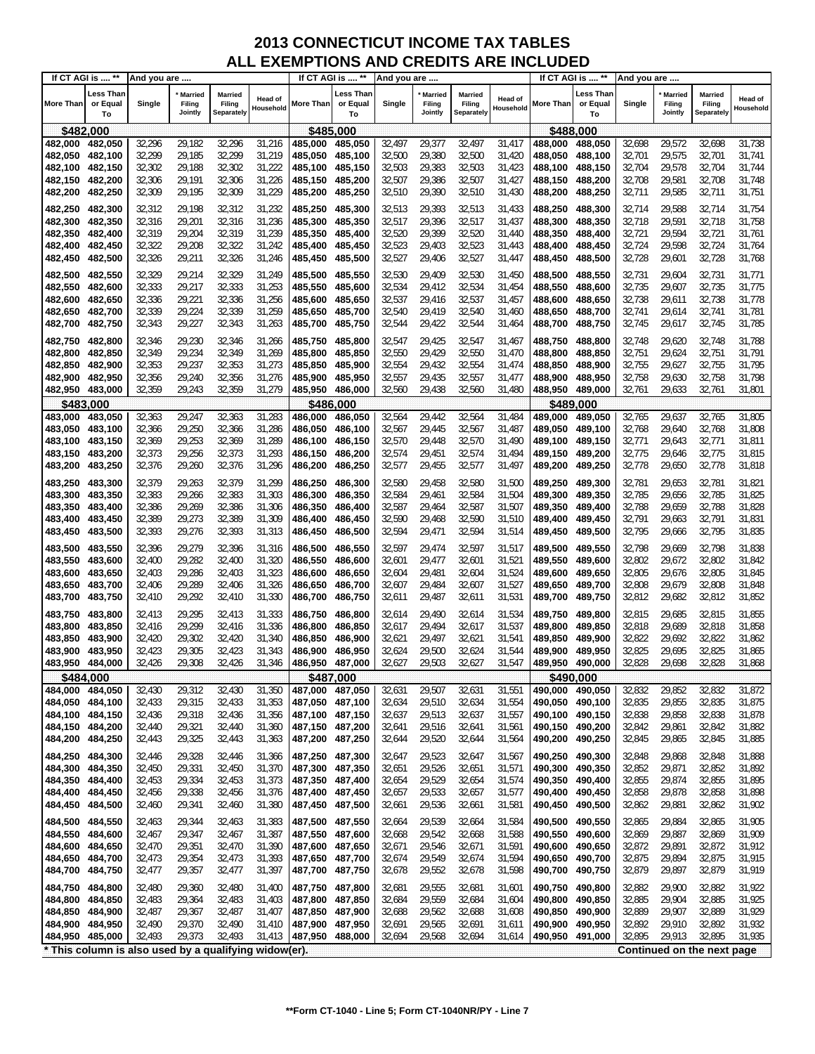| Less Than<br>Less Than<br>Less Than<br><b>Married</b><br>Married<br><b>Married</b><br>Married<br><b>Married</b><br>Married<br>Head of<br>Head of<br><b>Head of</b><br>Filing<br>Filing<br>More Than<br>or Equal<br>Filing<br>More Than<br>Single<br>Filing<br>Filing<br>More Than<br>or Equal<br>Single<br>Single<br>Filing<br>or Equal<br>Household<br>Household<br>Household<br>Jointly<br><b>Separately</b><br>Jointly<br>Separately<br>Jointly<br>Separately<br>To<br>To<br>To<br>\$485,000<br>\$482,000<br>\$488,000<br>29,572<br>32,296<br>29,182<br>32,296<br>31,216<br>32,497<br>29,377<br>32,497<br>31,417<br>32,698<br>32,698<br>31,738<br>482,000<br>482,050<br>485,000<br>485,050<br>488,000<br>488,050<br>32,299<br>29,380<br>482,050<br>482,100<br>32,299<br>29,185<br>31,219<br>485,050<br>485,100<br>32,500<br>32,500<br>31,420<br>488,050<br>488,100<br>32,701<br>29,575<br>32,701<br>31,741<br>32,302<br>32,302<br>31,222<br>32,503<br>29,383<br>32,503<br>32,704<br>29,578<br>32,704<br>482,100<br>482,150<br>29,188<br>485,100<br>485,150<br>31,423<br>488,100<br>488,150<br>31,744<br>32,306<br>29,191<br>32,306<br>31,226<br>32,507<br>29,386<br>32,507<br>32,708<br>29,581<br>32,708<br>482,150<br>482,200<br>485,150<br>485,200<br>31,427<br>488,150<br>488,200<br>31,748<br>32,309<br>29,195<br>32,309<br>31,229<br>32,510<br>29,390<br>32,510<br>29,585<br>32,711<br>482,200<br>482,250<br>485,200<br>485,250<br>31,430<br>488,200<br>488,250<br>32,711<br>31,751<br>32,312<br>29,198<br>32,312<br>31,232<br>485,250<br>32,513<br>29,393<br>32,513<br>32,714<br>29,588<br>32,714<br>31,754<br>482,250<br>482,300<br>485,300<br>31,433<br>488,250<br>488,300<br>482,300<br>29,201<br>32,316<br>31,236<br>32,517<br>29,396<br>32,517<br>31,437<br>32,718<br>29,591<br>32,718<br>31,758<br>482,350<br>32,316<br>485,300<br>485,350<br>488,300<br>488,350<br>29,204<br>32,319<br>31,239<br>32,520<br>29,399<br>32,520<br>32,721<br>29,594<br>32,721<br>482,350<br>482,400<br>32,319<br>485,350<br>485,400<br>31,440<br>488,350<br>488,400<br>31,761<br>32,322<br>29,208<br>32,322<br>31,242<br>32,523<br>29,403<br>32,523<br>31,443<br>32,724<br>29,598<br>32,724<br>31,764<br>482,400<br>482,450<br>485,400<br>485,450<br>488,400<br>488,450<br>32,326<br>29,211<br>32,326<br>31,246<br>32,527<br>29,406<br>32,527<br>32,728<br>29,601<br>32,728<br>482,450<br>482,500<br>485,450<br>485,500<br>31,447<br>488,450<br>488,500<br>31,768<br>32,530<br>29,409<br>32,329<br>29,214<br>32,329<br>31,249<br>485,550<br>32,530<br>31,450<br>32,731<br>29,604<br>32,731<br>31,771<br>482,500<br>482,550<br>485,500<br>488,500<br>488,550<br>32,333<br>29,217<br>32,333<br>31,253<br>32,534<br>29,412<br>32,534<br>31,454<br>32,735<br>29,607<br>32,735<br>31,775<br>482,550<br>482,600<br>485,550<br>485,600<br>488,550<br>488,600<br>29,221<br>32,336<br>32,537<br>482,600<br>32,336<br>31,256<br>485,600<br>485,650<br>29,416<br>32,537<br>31,457<br>488,600<br>488,650<br>32,738<br>29,611<br>32,738<br>31,778<br>482,650<br>32,339<br>29,224<br>32,339<br>31,259<br>32,540<br>32,741<br>482,650<br>482,700<br>485,650<br>485,700<br>29,419<br>32,540<br>31,460<br>488,700<br>32,741<br>29,614<br>31,781<br>488,650<br>32,343<br>29,227<br>32,343<br>31,263<br>32,544<br>29,422<br>32,544<br>32,745<br>29,617<br>32,745<br>482,700<br>482,750<br>485,700<br>485,750<br>31,464<br>488,700<br>488,750<br>31,785<br>32,346<br>29,230<br>32,346<br>485,800<br>32,547<br>29,425<br>32,547<br>32,748<br>29,620<br>32,748<br>31,788<br>482,750<br>482,800<br>31,266<br>485,750<br>31,467<br>488,750<br>488,800<br>32,550<br>32,550<br>482,800<br>32,349<br>29,234<br>32,349<br>31,269<br>485,800<br>485,850<br>29,429<br>31,470<br>32,751<br>29,624<br>32,751<br>31,791<br>482,850<br>488,800<br>488,850<br>29,237<br>32,353<br>31,273<br>32,554<br>29,432<br>32,554<br>32,755<br>29,627<br>32,755<br>31,795<br>482,850<br>482,900<br>32,353<br>485,850<br>485,900<br>31,474<br>488,850<br>488,900<br>29,240<br>32,356<br>31,276<br>32,557<br>32,758<br>29,630<br>32,758<br>482,900<br>482,950<br>32,356<br>485,900<br>485,950<br>29,435<br>32,557<br>31,477<br>488,900<br>488,950<br>31,798<br>482,950<br>32,359<br>29,243<br>32,359<br>31,279<br>485,950<br>32,560<br>29,438<br>32,560<br>32,761<br>29,633<br>32,761<br>483,000<br>486,000<br>31,480<br>488,950<br>489,000<br>31,801<br>\$483,000<br>\$486,000<br>\$489.000<br>483,000<br>32,363<br>29,247<br>32,363<br>31,283<br>486,000<br>32,564<br>29,442<br>32,564<br>31,484<br>489,000<br>32,765<br>29,637<br>31,805<br>483,050<br>486,050<br>489,050<br>32,765<br>29,250<br>32,366<br>31,286<br>32,567<br>29,445<br>32,567<br>31,487<br>32,768<br>32,768<br>31,808<br>483,050<br>483,100<br>32,366<br>486.050<br>486,100<br>489,050<br>489,100<br>29,640<br>29,253<br>32,369<br>31,289<br>32,771<br>483,100<br>483,150<br>32,369<br>486,100<br>486,150<br>32,570<br>29,448<br>32,570<br>31,490<br>489,100<br>489,150<br>29,643<br>32,771<br>31,811<br>32,373<br>29,256<br>32,373<br>31,293<br>32,574<br>29,451<br>32,574<br>31,494<br>32,775<br>29,646<br>32,775<br>31,815<br>483,150<br>483,200<br>486,150<br>486,200<br>489,150<br>489,200<br>32,376<br>29,260<br>32,376<br>31,296<br>32,577<br>32,778<br>29,650<br>32,778<br>31,818<br>483,200<br>483,250<br>486,200<br>486,250<br>32,577<br>29,455<br>31,497<br>489,200<br>489,250<br>32,580<br>29,458<br>32,379<br>29,263<br>32,379<br>31,299<br>32,580<br>31,500<br>32,781<br>29,653<br>32,781<br>31,821<br>483,250<br>483,300<br>486,250<br>486,300<br>489,250<br>489,300<br>483,300<br>32,383<br>29,266<br>32,383<br>31,303<br>486,300<br>32,584<br>29,461<br>32,584<br>31,504<br>32,785<br>29,656<br>32,785<br>31,825<br>483,350<br>486,350<br>489,300<br>489,350<br>29,269<br>32,788<br>483,350<br>483,400<br>32,386<br>32,386<br>31,306<br>486,350<br>486,400<br>32,587<br>29,464<br>32,587<br>31,507<br>489,350<br>489,400<br>29,659<br>32,788<br>31,828<br>32,389<br>29,273<br>32,389<br>31,309<br>32,590<br>32,590<br>32,791<br>29,663<br>483,400<br>486,400<br>486,450<br>29,468<br>31,510<br>489,400<br>32,791<br>31,831<br>483,450<br>489,450<br>32,393<br>29,276<br>32,393<br>32,594<br>32,594<br>32,795<br>29,666<br>32,795<br>483,450<br>483,500<br>31,313<br>486,450<br>29,471<br>31,514<br>489,450<br>489,500<br>31,835<br>486,500<br>29,279<br>32,396<br>32,396<br>31,316<br>32,597<br>29,474<br>32,597<br>32,798<br>29,669<br>32,798<br>31,838<br>483,500<br>483,550<br>486,500<br>486,550<br>31,517<br>489,500<br>489,550<br>483,550<br>32,400<br>29,282<br>32,400<br>31,320<br>32,601<br>29,477<br>32,601<br>32,802<br>29,672<br>32,802<br>31,842<br>483,600<br>486,550<br>486,600<br>$31,52^{\circ}$<br>489,550<br>489,600<br>29,286<br>32,403<br>31,323<br>29,481<br>32,604<br>31,524<br>32,805<br>29,676<br>32,805<br>31,845<br>483,600<br>483,650<br>32,403<br>486,600<br>486,650<br>32,604<br>489,600<br>489,650<br>29,289<br>31,326<br>32,808<br>29,679<br>32,808<br>483,650<br>483,700<br>32,406<br>32,406<br>486,650<br>486,700<br>32,607<br>29,484<br>32,607<br>31,527<br>489,650<br>489,700<br>31,848<br>32,410<br>29,292<br>32,410<br>31,330<br>29,487<br>32,611<br>31,531<br>32,812<br>29,682<br>32,812<br>31,852<br>483,700<br>483,750<br>486,700<br>486,750<br>32,611<br>489,700<br>489,750<br>29,295<br>31,333<br>29,490<br>32,614<br>31,534<br>32,815<br>29,685<br>32,815<br>31,855<br>483,750<br>483,800<br>32,413<br>32,413<br>486,750<br>486,800<br>32,614<br>489,750<br>489,800<br>29,299<br>31,336<br>29,494<br>32,617<br>31,537<br>32,818<br>29,689<br>32,818<br>31,858<br>483,800<br>32,416<br>32,416<br>486,800<br>486,850<br>32,617<br>489,800<br>489,850<br>483,850<br>29,302<br>32,420<br>31,340<br>29,497<br>32,621<br>32,822<br>29,692<br>32,822<br>31,862<br>483,850<br>483,900<br>32,420<br>486,850<br>486,900<br>32,621<br>31,541<br>489,850<br>489,900<br>29,305<br>32,423<br>32,825<br>483,900<br>32,423<br>31,343<br>486,900<br>486,950<br>32,624<br>29,500<br>32,624<br>31,544<br>489,900<br>489,950<br>29,695<br>32,825<br>31,865<br>483,950<br>483,950 484,000<br>32,426<br>29,308<br>32,426<br>31,346<br>486,950<br>487,000<br>32,627<br>29,503<br>32,627<br>31,547<br>489,950<br>490,000<br>32,828<br>29,698<br>32,828<br>31,868<br>\$487,000<br>\$490,000<br>\$484,000<br>32,430<br>29,312<br>32,430<br>31,350<br>487,000<br>487,050<br>29,507<br>32,631<br>31,551<br>32,832<br>29,852<br>32,832<br>31,872<br>484,000<br>484,050<br>32,631<br>490,000 490,050<br>31,353<br>32,835<br>29,855<br>32,835<br>484,050 484,100<br>32,433<br>29,315<br>32,433<br>487,050<br>487,100<br>32,634<br>29,510<br>32,634<br>31,554<br>490,050 490,100<br>31,875<br>484,100<br>484,150<br>32,436<br>29,318<br>32,436<br>31,356<br>487,100<br>487,150<br>32,637<br>29,513<br>32,637<br>31,557<br>490,100 490,150<br>32,838<br>29,858<br>32,838<br>31,878<br>484,150 484,200<br>32,440<br>29,321<br>32,440<br>31,360<br>487,150 487,200<br>32,641<br>29,516<br>32,641<br>31,561<br>490,150 490,200<br>32,842<br>29,861<br>32,842<br>31,882<br>29,325<br>29,520<br>29,865<br>32,845<br>484,200<br>484,250<br>32,443<br>32,443<br>31,363<br>487,200<br>487,250<br>32,644<br>32,644<br>31,564<br>490,200<br>490,250<br>32,845<br>31,885<br>29,328<br>487,300<br>29,523<br>490,250<br>490,300<br>32,848<br>29,868<br>32,848<br>31,888<br>484,250<br>484,300<br>32,446<br>32,446<br>31,366<br>487,250<br>32,647<br>32,647<br>31,567<br>484,300<br>484,350<br>32,450<br>29,331<br>32,450<br>31,370<br>487,300<br>487,350<br>32,651<br>29,526<br>32,651<br>490,300<br>490,350<br>32,852<br>29,871<br>32,852<br>31,892<br>31,571<br>29,334<br>32,453<br>487,350<br>29,529<br>32,855<br>29,874<br>32,855<br>31,895<br>484,350<br>484,400<br>32,453<br>31,373<br>487,400<br>32,654<br>32,654<br>31,574<br>490,350<br>490,400<br>32,858<br>484,400<br>484,450<br>32,456<br>29,338<br>32,456<br>31,376<br>487,400<br>487,450<br>32,657<br>29,533<br>32,657<br>31,577<br>490,400<br>490,450<br>32,858<br>29,878<br>31,898<br>29,341<br>29,536<br>29,881<br>32,862<br>31,902<br>484,450<br>484,500<br>32,460<br>32,460<br>31,380<br>487,450<br>487,500<br>32,661<br>32,661<br>31,581<br>490,450<br>490,500<br>32,862<br>31,905<br>484,500<br>29,344<br>487,550<br>29,539<br>32,664<br>31,584<br>490,500<br>490,550<br>32,865<br>29,884<br>32,865<br>484,550<br>32,463<br>32,463<br>31,383<br>487,500<br>32,664<br>484,550<br>29,347<br>29,542<br>29,887<br>31,909<br>484,600<br>32,467<br>32,467<br>31,387<br>487,550<br>487,600<br>32,668<br>32,668<br>31,588<br>490,550<br>490,600<br>32,869<br>32,869<br>484,600<br>29,351<br>32,872<br>484,650<br>32,470<br>32,470<br>31,390<br>487,600<br>487,650<br>32,671<br>29,546<br>32,671<br>31,591<br>490,600<br>490,650<br>29,891<br>32,872<br>31,912<br>484,650<br>484,700<br>32,473<br>29,354<br>32,473<br>31,393<br>487,650<br>487,700<br>32,674<br>29,549<br>32,674<br>31,594<br>490,650<br>490,700<br>32,875<br>29,894<br>32,875<br>31,915<br>484,700<br>32,477<br>29,357<br>32,477<br>31,397<br>487,700<br>487,750<br>32,678<br>29,552<br>32,678<br>31,598<br>490,700<br>32,879<br>29,897<br>32,879<br>31,919<br>484,750<br>490,750<br>29,555<br>484,750<br>484,800<br>32,480<br>29,360<br>487,750<br>487,800<br>32,681<br>32,681<br>490,750<br>490,800<br>32,882<br>29,900<br>32,882<br>31,922<br>32,480<br>31,400<br>31,601<br>484,800<br>29,364<br>29,559<br>32,684<br>490,800<br>32,885<br>29,904<br>32,885<br>31,925<br>484,850<br>32,483<br>32,483<br>31,403<br>487,800<br>487,850<br>32,684<br>31,604<br>490,850<br>484,850<br>487,850<br>490,850<br>32,889<br>31,929<br>484,900<br>32,487<br>29,367<br>32,487<br>31,407<br>487,900<br>32,688<br>29,562<br>32,688<br>31,608<br>490,900<br>32,889<br>29,907<br>484,900<br>32,892<br>484,950<br>32,490<br>29,370<br>32,490<br>31,410<br>487,900<br>487,950<br>32,691<br>29,565<br>32,691<br>31,611<br>490,900<br>490,950<br>32,892<br>29,910<br>31,932<br>32,895<br>484,950<br>485,000<br>32,493<br>29,373<br>32,493<br>31,413<br>487,950<br>488,000<br>32,694<br>29,568<br>32,694<br>490,950 491,000<br>29,913<br>32,895<br>31,935<br>31,614<br>* This column is also used by a qualifying widow(er).<br>Continued on the next page | If CT AGI is  ** | And you are |  |  | If CT AGI is  ** | And you are |  |  | If CT AGI is  ** | And you are |  |  |
|------------------------------------------------------------------------------------------------------------------------------------------------------------------------------------------------------------------------------------------------------------------------------------------------------------------------------------------------------------------------------------------------------------------------------------------------------------------------------------------------------------------------------------------------------------------------------------------------------------------------------------------------------------------------------------------------------------------------------------------------------------------------------------------------------------------------------------------------------------------------------------------------------------------------------------------------------------------------------------------------------------------------------------------------------------------------------------------------------------------------------------------------------------------------------------------------------------------------------------------------------------------------------------------------------------------------------------------------------------------------------------------------------------------------------------------------------------------------------------------------------------------------------------------------------------------------------------------------------------------------------------------------------------------------------------------------------------------------------------------------------------------------------------------------------------------------------------------------------------------------------------------------------------------------------------------------------------------------------------------------------------------------------------------------------------------------------------------------------------------------------------------------------------------------------------------------------------------------------------------------------------------------------------------------------------------------------------------------------------------------------------------------------------------------------------------------------------------------------------------------------------------------------------------------------------------------------------------------------------------------------------------------------------------------------------------------------------------------------------------------------------------------------------------------------------------------------------------------------------------------------------------------------------------------------------------------------------------------------------------------------------------------------------------------------------------------------------------------------------------------------------------------------------------------------------------------------------------------------------------------------------------------------------------------------------------------------------------------------------------------------------------------------------------------------------------------------------------------------------------------------------------------------------------------------------------------------------------------------------------------------------------------------------------------------------------------------------------------------------------------------------------------------------------------------------------------------------------------------------------------------------------------------------------------------------------------------------------------------------------------------------------------------------------------------------------------------------------------------------------------------------------------------------------------------------------------------------------------------------------------------------------------------------------------------------------------------------------------------------------------------------------------------------------------------------------------------------------------------------------------------------------------------------------------------------------------------------------------------------------------------------------------------------------------------------------------------------------------------------------------------------------------------------------------------------------------------------------------------------------------------------------------------------------------------------------------------------------------------------------------------------------------------------------------------------------------------------------------------------------------------------------------------------------------------------------------------------------------------------------------------------------------------------------------------------------------------------------------------------------------------------------------------------------------------------------------------------------------------------------------------------------------------------------------------------------------------------------------------------------------------------------------------------------------------------------------------------------------------------------------------------------------------------------------------------------------------------------------------------------------------------------------------------------------------------------------------------------------------------------------------------------------------------------------------------------------------------------------------------------------------------------------------------------------------------------------------------------------------------------------------------------------------------------------------------------------------------------------------------------------------------------------------------------------------------------------------------------------------------------------------------------------------------------------------------------------------------------------------------------------------------------------------------------------------------------------------------------------------------------------------------------------------------------------------------------------------------------------------------------------------------------------------------------------------------------------------------------------------------------------------------------------------------------------------------------------------------------------------------------------------------------------------------------------------------------------------------------------------------------------------------------------------------------------------------------------------------------------------------------------------------------------------------------------------------------------------------------------------------------------------------------------------------------------------------------------------------------------------------------------------------------------------------------------------------------------------------------------------------------------------------------------------------------------------------------------------------------------------------------------------------------------------------------------------------------------------------------------------------------------------------------------------------------------------------------------------------------------------------------------------------------------------------------------------------------------------------------------------------------------------------------------------------------------------------------------------------------------------------------------------------------------------------------------------------------------------------------------------------------------------------------------------------------------------------------------------------------------------------------------------------------------------------------------------------------------------------------------------------------------------------------------------------------------------------------------------------------------------------------------------------------------------------------------------------------------------------------------------------------------------------------------------------------------------------------------------------------------------------------------------------------------------------------------------------------------------------------------------------------------------------------------------------------------------------------------------------------------------------------------------------------------------------------------------------------------------------------------------------------------------------------------------------------------------------------------------------------------------------------------------------------------------------------------------------------------------------------------------------------------------------------------------------------------------------------------------------------------------------------------------------------------------------------------------------------------------------------------------------------------------------------------------------------------------------------------------------------------------------------------------------------------------------------------------------------------------------------------------------------------------------------------------------------------------------------------------------------------------------------------------------------------------------------------------------------------------------------------------------------------------------------------------------------------------------------------------------------------------------------------------------------------------------------------------------------------------------------------------------------------------------------------------------------------------------------------------------------------------------------------------------------------------------------------------------------------------------------------------------------------------------------------------------------------------------------------------------------------------------------------------------------------------------------------------------------------------------------------------------------------------------------------------------------------------------------------------------------------------------------------------------------------------------------------------------------------------------------------------------------------------------------------------------------------------------------------------------------------------------------------------------------------------------------------------------------------------------------------------------------------------------------------------------------------------------------------------------------------------------------------------------------------------------------------------------------------------------------------------------------------------------------------------------------------------------------------------------------------------------------------------------------------------------------------------------------------------------------------------------------------------------------------------------------------------|------------------|-------------|--|--|------------------|-------------|--|--|------------------|-------------|--|--|
|                                                                                                                                                                                                                                                                                                                                                                                                                                                                                                                                                                                                                                                                                                                                                                                                                                                                                                                                                                                                                                                                                                                                                                                                                                                                                                                                                                                                                                                                                                                                                                                                                                                                                                                                                                                                                                                                                                                                                                                                                                                                                                                                                                                                                                                                                                                                                                                                                                                                                                                                                                                                                                                                                                                                                                                                                                                                                                                                                                                                                                                                                                                                                                                                                                                                                                                                                                                                                                                                                                                                                                                                                                                                                                                                                                                                                                                                                                                                                                                                                                                                                                                                                                                                                                                                                                                                                                                                                                                                                                                                                                                                                                                                                                                                                                                                                                                                                                                                                                                                                                                                                                                                                                                                                                                                                                                                                                                                                                                                                                                                                                                                                                                                                                                                                                                                                                                                                                                                                                                                                                                                                                                                                                                                                                                                                                                                                                                                                                                                                                                                                                                                                                                                                                                                                                                                                                                                                                                                                                                                                                                                                                                                                                                                                                                                                                                                                                                                                                                                                                                                                                                                                                                                                                                                                                                                                                                                                                                                                                                                                                                                                                                                                                                                                                                                                                                                                                                                                                                                                                                                                                                                                                                                                                                                                                                                                                                                                                                                                                                                                                                                                                                                                                                                                                                                                                                                                                                                                                                                                                                                                                                                                                                                                                                                                                                                                                                                                                                                                                                                                                                                                                                                                                                                                                                                                                                                                                                                                                                                                                                                                                                                                                                                                                                                                                                                                                                                                                                                                                                                                                                                                                                                                                                                                                                                                                                                                                                                                                                                                                                                                                                                                                                                                                                                                                                                                                                                                                                                                                                                                                                                                                                                                                                                                                                                                                      |                  |             |  |  |                  |             |  |  |                  |             |  |  |
|                                                                                                                                                                                                                                                                                                                                                                                                                                                                                                                                                                                                                                                                                                                                                                                                                                                                                                                                                                                                                                                                                                                                                                                                                                                                                                                                                                                                                                                                                                                                                                                                                                                                                                                                                                                                                                                                                                                                                                                                                                                                                                                                                                                                                                                                                                                                                                                                                                                                                                                                                                                                                                                                                                                                                                                                                                                                                                                                                                                                                                                                                                                                                                                                                                                                                                                                                                                                                                                                                                                                                                                                                                                                                                                                                                                                                                                                                                                                                                                                                                                                                                                                                                                                                                                                                                                                                                                                                                                                                                                                                                                                                                                                                                                                                                                                                                                                                                                                                                                                                                                                                                                                                                                                                                                                                                                                                                                                                                                                                                                                                                                                                                                                                                                                                                                                                                                                                                                                                                                                                                                                                                                                                                                                                                                                                                                                                                                                                                                                                                                                                                                                                                                                                                                                                                                                                                                                                                                                                                                                                                                                                                                                                                                                                                                                                                                                                                                                                                                                                                                                                                                                                                                                                                                                                                                                                                                                                                                                                                                                                                                                                                                                                                                                                                                                                                                                                                                                                                                                                                                                                                                                                                                                                                                                                                                                                                                                                                                                                                                                                                                                                                                                                                                                                                                                                                                                                                                                                                                                                                                                                                                                                                                                                                                                                                                                                                                                                                                                                                                                                                                                                                                                                                                                                                                                                                                                                                                                                                                                                                                                                                                                                                                                                                                                                                                                                                                                                                                                                                                                                                                                                                                                                                                                                                                                                                                                                                                                                                                                                                                                                                                                                                                                                                                                                                                                                                                                                                                                                                                                                                                                                                                                                                                                                                                                                                      |                  |             |  |  |                  |             |  |  |                  |             |  |  |
|                                                                                                                                                                                                                                                                                                                                                                                                                                                                                                                                                                                                                                                                                                                                                                                                                                                                                                                                                                                                                                                                                                                                                                                                                                                                                                                                                                                                                                                                                                                                                                                                                                                                                                                                                                                                                                                                                                                                                                                                                                                                                                                                                                                                                                                                                                                                                                                                                                                                                                                                                                                                                                                                                                                                                                                                                                                                                                                                                                                                                                                                                                                                                                                                                                                                                                                                                                                                                                                                                                                                                                                                                                                                                                                                                                                                                                                                                                                                                                                                                                                                                                                                                                                                                                                                                                                                                                                                                                                                                                                                                                                                                                                                                                                                                                                                                                                                                                                                                                                                                                                                                                                                                                                                                                                                                                                                                                                                                                                                                                                                                                                                                                                                                                                                                                                                                                                                                                                                                                                                                                                                                                                                                                                                                                                                                                                                                                                                                                                                                                                                                                                                                                                                                                                                                                                                                                                                                                                                                                                                                                                                                                                                                                                                                                                                                                                                                                                                                                                                                                                                                                                                                                                                                                                                                                                                                                                                                                                                                                                                                                                                                                                                                                                                                                                                                                                                                                                                                                                                                                                                                                                                                                                                                                                                                                                                                                                                                                                                                                                                                                                                                                                                                                                                                                                                                                                                                                                                                                                                                                                                                                                                                                                                                                                                                                                                                                                                                                                                                                                                                                                                                                                                                                                                                                                                                                                                                                                                                                                                                                                                                                                                                                                                                                                                                                                                                                                                                                                                                                                                                                                                                                                                                                                                                                                                                                                                                                                                                                                                                                                                                                                                                                                                                                                                                                                                                                                                                                                                                                                                                                                                                                                                                                                                                                                                                                      |                  |             |  |  |                  |             |  |  |                  |             |  |  |
|                                                                                                                                                                                                                                                                                                                                                                                                                                                                                                                                                                                                                                                                                                                                                                                                                                                                                                                                                                                                                                                                                                                                                                                                                                                                                                                                                                                                                                                                                                                                                                                                                                                                                                                                                                                                                                                                                                                                                                                                                                                                                                                                                                                                                                                                                                                                                                                                                                                                                                                                                                                                                                                                                                                                                                                                                                                                                                                                                                                                                                                                                                                                                                                                                                                                                                                                                                                                                                                                                                                                                                                                                                                                                                                                                                                                                                                                                                                                                                                                                                                                                                                                                                                                                                                                                                                                                                                                                                                                                                                                                                                                                                                                                                                                                                                                                                                                                                                                                                                                                                                                                                                                                                                                                                                                                                                                                                                                                                                                                                                                                                                                                                                                                                                                                                                                                                                                                                                                                                                                                                                                                                                                                                                                                                                                                                                                                                                                                                                                                                                                                                                                                                                                                                                                                                                                                                                                                                                                                                                                                                                                                                                                                                                                                                                                                                                                                                                                                                                                                                                                                                                                                                                                                                                                                                                                                                                                                                                                                                                                                                                                                                                                                                                                                                                                                                                                                                                                                                                                                                                                                                                                                                                                                                                                                                                                                                                                                                                                                                                                                                                                                                                                                                                                                                                                                                                                                                                                                                                                                                                                                                                                                                                                                                                                                                                                                                                                                                                                                                                                                                                                                                                                                                                                                                                                                                                                                                                                                                                                                                                                                                                                                                                                                                                                                                                                                                                                                                                                                                                                                                                                                                                                                                                                                                                                                                                                                                                                                                                                                                                                                                                                                                                                                                                                                                                                                                                                                                                                                                                                                                                                                                                                                                                                                                                                                                      |                  |             |  |  |                  |             |  |  |                  |             |  |  |
|                                                                                                                                                                                                                                                                                                                                                                                                                                                                                                                                                                                                                                                                                                                                                                                                                                                                                                                                                                                                                                                                                                                                                                                                                                                                                                                                                                                                                                                                                                                                                                                                                                                                                                                                                                                                                                                                                                                                                                                                                                                                                                                                                                                                                                                                                                                                                                                                                                                                                                                                                                                                                                                                                                                                                                                                                                                                                                                                                                                                                                                                                                                                                                                                                                                                                                                                                                                                                                                                                                                                                                                                                                                                                                                                                                                                                                                                                                                                                                                                                                                                                                                                                                                                                                                                                                                                                                                                                                                                                                                                                                                                                                                                                                                                                                                                                                                                                                                                                                                                                                                                                                                                                                                                                                                                                                                                                                                                                                                                                                                                                                                                                                                                                                                                                                                                                                                                                                                                                                                                                                                                                                                                                                                                                                                                                                                                                                                                                                                                                                                                                                                                                                                                                                                                                                                                                                                                                                                                                                                                                                                                                                                                                                                                                                                                                                                                                                                                                                                                                                                                                                                                                                                                                                                                                                                                                                                                                                                                                                                                                                                                                                                                                                                                                                                                                                                                                                                                                                                                                                                                                                                                                                                                                                                                                                                                                                                                                                                                                                                                                                                                                                                                                                                                                                                                                                                                                                                                                                                                                                                                                                                                                                                                                                                                                                                                                                                                                                                                                                                                                                                                                                                                                                                                                                                                                                                                                                                                                                                                                                                                                                                                                                                                                                                                                                                                                                                                                                                                                                                                                                                                                                                                                                                                                                                                                                                                                                                                                                                                                                                                                                                                                                                                                                                                                                                                                                                                                                                                                                                                                                                                                                                                                                                                                                                                                                      |                  |             |  |  |                  |             |  |  |                  |             |  |  |
|                                                                                                                                                                                                                                                                                                                                                                                                                                                                                                                                                                                                                                                                                                                                                                                                                                                                                                                                                                                                                                                                                                                                                                                                                                                                                                                                                                                                                                                                                                                                                                                                                                                                                                                                                                                                                                                                                                                                                                                                                                                                                                                                                                                                                                                                                                                                                                                                                                                                                                                                                                                                                                                                                                                                                                                                                                                                                                                                                                                                                                                                                                                                                                                                                                                                                                                                                                                                                                                                                                                                                                                                                                                                                                                                                                                                                                                                                                                                                                                                                                                                                                                                                                                                                                                                                                                                                                                                                                                                                                                                                                                                                                                                                                                                                                                                                                                                                                                                                                                                                                                                                                                                                                                                                                                                                                                                                                                                                                                                                                                                                                                                                                                                                                                                                                                                                                                                                                                                                                                                                                                                                                                                                                                                                                                                                                                                                                                                                                                                                                                                                                                                                                                                                                                                                                                                                                                                                                                                                                                                                                                                                                                                                                                                                                                                                                                                                                                                                                                                                                                                                                                                                                                                                                                                                                                                                                                                                                                                                                                                                                                                                                                                                                                                                                                                                                                                                                                                                                                                                                                                                                                                                                                                                                                                                                                                                                                                                                                                                                                                                                                                                                                                                                                                                                                                                                                                                                                                                                                                                                                                                                                                                                                                                                                                                                                                                                                                                                                                                                                                                                                                                                                                                                                                                                                                                                                                                                                                                                                                                                                                                                                                                                                                                                                                                                                                                                                                                                                                                                                                                                                                                                                                                                                                                                                                                                                                                                                                                                                                                                                                                                                                                                                                                                                                                                                                                                                                                                                                                                                                                                                                                                                                                                                                                                                                                                      |                  |             |  |  |                  |             |  |  |                  |             |  |  |
|                                                                                                                                                                                                                                                                                                                                                                                                                                                                                                                                                                                                                                                                                                                                                                                                                                                                                                                                                                                                                                                                                                                                                                                                                                                                                                                                                                                                                                                                                                                                                                                                                                                                                                                                                                                                                                                                                                                                                                                                                                                                                                                                                                                                                                                                                                                                                                                                                                                                                                                                                                                                                                                                                                                                                                                                                                                                                                                                                                                                                                                                                                                                                                                                                                                                                                                                                                                                                                                                                                                                                                                                                                                                                                                                                                                                                                                                                                                                                                                                                                                                                                                                                                                                                                                                                                                                                                                                                                                                                                                                                                                                                                                                                                                                                                                                                                                                                                                                                                                                                                                                                                                                                                                                                                                                                                                                                                                                                                                                                                                                                                                                                                                                                                                                                                                                                                                                                                                                                                                                                                                                                                                                                                                                                                                                                                                                                                                                                                                                                                                                                                                                                                                                                                                                                                                                                                                                                                                                                                                                                                                                                                                                                                                                                                                                                                                                                                                                                                                                                                                                                                                                                                                                                                                                                                                                                                                                                                                                                                                                                                                                                                                                                                                                                                                                                                                                                                                                                                                                                                                                                                                                                                                                                                                                                                                                                                                                                                                                                                                                                                                                                                                                                                                                                                                                                                                                                                                                                                                                                                                                                                                                                                                                                                                                                                                                                                                                                                                                                                                                                                                                                                                                                                                                                                                                                                                                                                                                                                                                                                                                                                                                                                                                                                                                                                                                                                                                                                                                                                                                                                                                                                                                                                                                                                                                                                                                                                                                                                                                                                                                                                                                                                                                                                                                                                                                                                                                                                                                                                                                                                                                                                                                                                                                                                                                                                      |                  |             |  |  |                  |             |  |  |                  |             |  |  |
|                                                                                                                                                                                                                                                                                                                                                                                                                                                                                                                                                                                                                                                                                                                                                                                                                                                                                                                                                                                                                                                                                                                                                                                                                                                                                                                                                                                                                                                                                                                                                                                                                                                                                                                                                                                                                                                                                                                                                                                                                                                                                                                                                                                                                                                                                                                                                                                                                                                                                                                                                                                                                                                                                                                                                                                                                                                                                                                                                                                                                                                                                                                                                                                                                                                                                                                                                                                                                                                                                                                                                                                                                                                                                                                                                                                                                                                                                                                                                                                                                                                                                                                                                                                                                                                                                                                                                                                                                                                                                                                                                                                                                                                                                                                                                                                                                                                                                                                                                                                                                                                                                                                                                                                                                                                                                                                                                                                                                                                                                                                                                                                                                                                                                                                                                                                                                                                                                                                                                                                                                                                                                                                                                                                                                                                                                                                                                                                                                                                                                                                                                                                                                                                                                                                                                                                                                                                                                                                                                                                                                                                                                                                                                                                                                                                                                                                                                                                                                                                                                                                                                                                                                                                                                                                                                                                                                                                                                                                                                                                                                                                                                                                                                                                                                                                                                                                                                                                                                                                                                                                                                                                                                                                                                                                                                                                                                                                                                                                                                                                                                                                                                                                                                                                                                                                                                                                                                                                                                                                                                                                                                                                                                                                                                                                                                                                                                                                                                                                                                                                                                                                                                                                                                                                                                                                                                                                                                                                                                                                                                                                                                                                                                                                                                                                                                                                                                                                                                                                                                                                                                                                                                                                                                                                                                                                                                                                                                                                                                                                                                                                                                                                                                                                                                                                                                                                                                                                                                                                                                                                                                                                                                                                                                                                                                                                                                                      |                  |             |  |  |                  |             |  |  |                  |             |  |  |
|                                                                                                                                                                                                                                                                                                                                                                                                                                                                                                                                                                                                                                                                                                                                                                                                                                                                                                                                                                                                                                                                                                                                                                                                                                                                                                                                                                                                                                                                                                                                                                                                                                                                                                                                                                                                                                                                                                                                                                                                                                                                                                                                                                                                                                                                                                                                                                                                                                                                                                                                                                                                                                                                                                                                                                                                                                                                                                                                                                                                                                                                                                                                                                                                                                                                                                                                                                                                                                                                                                                                                                                                                                                                                                                                                                                                                                                                                                                                                                                                                                                                                                                                                                                                                                                                                                                                                                                                                                                                                                                                                                                                                                                                                                                                                                                                                                                                                                                                                                                                                                                                                                                                                                                                                                                                                                                                                                                                                                                                                                                                                                                                                                                                                                                                                                                                                                                                                                                                                                                                                                                                                                                                                                                                                                                                                                                                                                                                                                                                                                                                                                                                                                                                                                                                                                                                                                                                                                                                                                                                                                                                                                                                                                                                                                                                                                                                                                                                                                                                                                                                                                                                                                                                                                                                                                                                                                                                                                                                                                                                                                                                                                                                                                                                                                                                                                                                                                                                                                                                                                                                                                                                                                                                                                                                                                                                                                                                                                                                                                                                                                                                                                                                                                                                                                                                                                                                                                                                                                                                                                                                                                                                                                                                                                                                                                                                                                                                                                                                                                                                                                                                                                                                                                                                                                                                                                                                                                                                                                                                                                                                                                                                                                                                                                                                                                                                                                                                                                                                                                                                                                                                                                                                                                                                                                                                                                                                                                                                                                                                                                                                                                                                                                                                                                                                                                                                                                                                                                                                                                                                                                                                                                                                                                                                                                                                                                      |                  |             |  |  |                  |             |  |  |                  |             |  |  |
|                                                                                                                                                                                                                                                                                                                                                                                                                                                                                                                                                                                                                                                                                                                                                                                                                                                                                                                                                                                                                                                                                                                                                                                                                                                                                                                                                                                                                                                                                                                                                                                                                                                                                                                                                                                                                                                                                                                                                                                                                                                                                                                                                                                                                                                                                                                                                                                                                                                                                                                                                                                                                                                                                                                                                                                                                                                                                                                                                                                                                                                                                                                                                                                                                                                                                                                                                                                                                                                                                                                                                                                                                                                                                                                                                                                                                                                                                                                                                                                                                                                                                                                                                                                                                                                                                                                                                                                                                                                                                                                                                                                                                                                                                                                                                                                                                                                                                                                                                                                                                                                                                                                                                                                                                                                                                                                                                                                                                                                                                                                                                                                                                                                                                                                                                                                                                                                                                                                                                                                                                                                                                                                                                                                                                                                                                                                                                                                                                                                                                                                                                                                                                                                                                                                                                                                                                                                                                                                                                                                                                                                                                                                                                                                                                                                                                                                                                                                                                                                                                                                                                                                                                                                                                                                                                                                                                                                                                                                                                                                                                                                                                                                                                                                                                                                                                                                                                                                                                                                                                                                                                                                                                                                                                                                                                                                                                                                                                                                                                                                                                                                                                                                                                                                                                                                                                                                                                                                                                                                                                                                                                                                                                                                                                                                                                                                                                                                                                                                                                                                                                                                                                                                                                                                                                                                                                                                                                                                                                                                                                                                                                                                                                                                                                                                                                                                                                                                                                                                                                                                                                                                                                                                                                                                                                                                                                                                                                                                                                                                                                                                                                                                                                                                                                                                                                                                                                                                                                                                                                                                                                                                                                                                                                                                                                                                                                                      |                  |             |  |  |                  |             |  |  |                  |             |  |  |
|                                                                                                                                                                                                                                                                                                                                                                                                                                                                                                                                                                                                                                                                                                                                                                                                                                                                                                                                                                                                                                                                                                                                                                                                                                                                                                                                                                                                                                                                                                                                                                                                                                                                                                                                                                                                                                                                                                                                                                                                                                                                                                                                                                                                                                                                                                                                                                                                                                                                                                                                                                                                                                                                                                                                                                                                                                                                                                                                                                                                                                                                                                                                                                                                                                                                                                                                                                                                                                                                                                                                                                                                                                                                                                                                                                                                                                                                                                                                                                                                                                                                                                                                                                                                                                                                                                                                                                                                                                                                                                                                                                                                                                                                                                                                                                                                                                                                                                                                                                                                                                                                                                                                                                                                                                                                                                                                                                                                                                                                                                                                                                                                                                                                                                                                                                                                                                                                                                                                                                                                                                                                                                                                                                                                                                                                                                                                                                                                                                                                                                                                                                                                                                                                                                                                                                                                                                                                                                                                                                                                                                                                                                                                                                                                                                                                                                                                                                                                                                                                                                                                                                                                                                                                                                                                                                                                                                                                                                                                                                                                                                                                                                                                                                                                                                                                                                                                                                                                                                                                                                                                                                                                                                                                                                                                                                                                                                                                                                                                                                                                                                                                                                                                                                                                                                                                                                                                                                                                                                                                                                                                                                                                                                                                                                                                                                                                                                                                                                                                                                                                                                                                                                                                                                                                                                                                                                                                                                                                                                                                                                                                                                                                                                                                                                                                                                                                                                                                                                                                                                                                                                                                                                                                                                                                                                                                                                                                                                                                                                                                                                                                                                                                                                                                                                                                                                                                                                                                                                                                                                                                                                                                                                                                                                                                                                                                                                      |                  |             |  |  |                  |             |  |  |                  |             |  |  |
|                                                                                                                                                                                                                                                                                                                                                                                                                                                                                                                                                                                                                                                                                                                                                                                                                                                                                                                                                                                                                                                                                                                                                                                                                                                                                                                                                                                                                                                                                                                                                                                                                                                                                                                                                                                                                                                                                                                                                                                                                                                                                                                                                                                                                                                                                                                                                                                                                                                                                                                                                                                                                                                                                                                                                                                                                                                                                                                                                                                                                                                                                                                                                                                                                                                                                                                                                                                                                                                                                                                                                                                                                                                                                                                                                                                                                                                                                                                                                                                                                                                                                                                                                                                                                                                                                                                                                                                                                                                                                                                                                                                                                                                                                                                                                                                                                                                                                                                                                                                                                                                                                                                                                                                                                                                                                                                                                                                                                                                                                                                                                                                                                                                                                                                                                                                                                                                                                                                                                                                                                                                                                                                                                                                                                                                                                                                                                                                                                                                                                                                                                                                                                                                                                                                                                                                                                                                                                                                                                                                                                                                                                                                                                                                                                                                                                                                                                                                                                                                                                                                                                                                                                                                                                                                                                                                                                                                                                                                                                                                                                                                                                                                                                                                                                                                                                                                                                                                                                                                                                                                                                                                                                                                                                                                                                                                                                                                                                                                                                                                                                                                                                                                                                                                                                                                                                                                                                                                                                                                                                                                                                                                                                                                                                                                                                                                                                                                                                                                                                                                                                                                                                                                                                                                                                                                                                                                                                                                                                                                                                                                                                                                                                                                                                                                                                                                                                                                                                                                                                                                                                                                                                                                                                                                                                                                                                                                                                                                                                                                                                                                                                                                                                                                                                                                                                                                                                                                                                                                                                                                                                                                                                                                                                                                                                                                                                                      |                  |             |  |  |                  |             |  |  |                  |             |  |  |
|                                                                                                                                                                                                                                                                                                                                                                                                                                                                                                                                                                                                                                                                                                                                                                                                                                                                                                                                                                                                                                                                                                                                                                                                                                                                                                                                                                                                                                                                                                                                                                                                                                                                                                                                                                                                                                                                                                                                                                                                                                                                                                                                                                                                                                                                                                                                                                                                                                                                                                                                                                                                                                                                                                                                                                                                                                                                                                                                                                                                                                                                                                                                                                                                                                                                                                                                                                                                                                                                                                                                                                                                                                                                                                                                                                                                                                                                                                                                                                                                                                                                                                                                                                                                                                                                                                                                                                                                                                                                                                                                                                                                                                                                                                                                                                                                                                                                                                                                                                                                                                                                                                                                                                                                                                                                                                                                                                                                                                                                                                                                                                                                                                                                                                                                                                                                                                                                                                                                                                                                                                                                                                                                                                                                                                                                                                                                                                                                                                                                                                                                                                                                                                                                                                                                                                                                                                                                                                                                                                                                                                                                                                                                                                                                                                                                                                                                                                                                                                                                                                                                                                                                                                                                                                                                                                                                                                                                                                                                                                                                                                                                                                                                                                                                                                                                                                                                                                                                                                                                                                                                                                                                                                                                                                                                                                                                                                                                                                                                                                                                                                                                                                                                                                                                                                                                                                                                                                                                                                                                                                                                                                                                                                                                                                                                                                                                                                                                                                                                                                                                                                                                                                                                                                                                                                                                                                                                                                                                                                                                                                                                                                                                                                                                                                                                                                                                                                                                                                                                                                                                                                                                                                                                                                                                                                                                                                                                                                                                                                                                                                                                                                                                                                                                                                                                                                                                                                                                                                                                                                                                                                                                                                                                                                                                                                                                                                      |                  |             |  |  |                  |             |  |  |                  |             |  |  |
|                                                                                                                                                                                                                                                                                                                                                                                                                                                                                                                                                                                                                                                                                                                                                                                                                                                                                                                                                                                                                                                                                                                                                                                                                                                                                                                                                                                                                                                                                                                                                                                                                                                                                                                                                                                                                                                                                                                                                                                                                                                                                                                                                                                                                                                                                                                                                                                                                                                                                                                                                                                                                                                                                                                                                                                                                                                                                                                                                                                                                                                                                                                                                                                                                                                                                                                                                                                                                                                                                                                                                                                                                                                                                                                                                                                                                                                                                                                                                                                                                                                                                                                                                                                                                                                                                                                                                                                                                                                                                                                                                                                                                                                                                                                                                                                                                                                                                                                                                                                                                                                                                                                                                                                                                                                                                                                                                                                                                                                                                                                                                                                                                                                                                                                                                                                                                                                                                                                                                                                                                                                                                                                                                                                                                                                                                                                                                                                                                                                                                                                                                                                                                                                                                                                                                                                                                                                                                                                                                                                                                                                                                                                                                                                                                                                                                                                                                                                                                                                                                                                                                                                                                                                                                                                                                                                                                                                                                                                                                                                                                                                                                                                                                                                                                                                                                                                                                                                                                                                                                                                                                                                                                                                                                                                                                                                                                                                                                                                                                                                                                                                                                                                                                                                                                                                                                                                                                                                                                                                                                                                                                                                                                                                                                                                                                                                                                                                                                                                                                                                                                                                                                                                                                                                                                                                                                                                                                                                                                                                                                                                                                                                                                                                                                                                                                                                                                                                                                                                                                                                                                                                                                                                                                                                                                                                                                                                                                                                                                                                                                                                                                                                                                                                                                                                                                                                                                                                                                                                                                                                                                                                                                                                                                                                                                                                                                                      |                  |             |  |  |                  |             |  |  |                  |             |  |  |
|                                                                                                                                                                                                                                                                                                                                                                                                                                                                                                                                                                                                                                                                                                                                                                                                                                                                                                                                                                                                                                                                                                                                                                                                                                                                                                                                                                                                                                                                                                                                                                                                                                                                                                                                                                                                                                                                                                                                                                                                                                                                                                                                                                                                                                                                                                                                                                                                                                                                                                                                                                                                                                                                                                                                                                                                                                                                                                                                                                                                                                                                                                                                                                                                                                                                                                                                                                                                                                                                                                                                                                                                                                                                                                                                                                                                                                                                                                                                                                                                                                                                                                                                                                                                                                                                                                                                                                                                                                                                                                                                                                                                                                                                                                                                                                                                                                                                                                                                                                                                                                                                                                                                                                                                                                                                                                                                                                                                                                                                                                                                                                                                                                                                                                                                                                                                                                                                                                                                                                                                                                                                                                                                                                                                                                                                                                                                                                                                                                                                                                                                                                                                                                                                                                                                                                                                                                                                                                                                                                                                                                                                                                                                                                                                                                                                                                                                                                                                                                                                                                                                                                                                                                                                                                                                                                                                                                                                                                                                                                                                                                                                                                                                                                                                                                                                                                                                                                                                                                                                                                                                                                                                                                                                                                                                                                                                                                                                                                                                                                                                                                                                                                                                                                                                                                                                                                                                                                                                                                                                                                                                                                                                                                                                                                                                                                                                                                                                                                                                                                                                                                                                                                                                                                                                                                                                                                                                                                                                                                                                                                                                                                                                                                                                                                                                                                                                                                                                                                                                                                                                                                                                                                                                                                                                                                                                                                                                                                                                                                                                                                                                                                                                                                                                                                                                                                                                                                                                                                                                                                                                                                                                                                                                                                                                                                                                                                      |                  |             |  |  |                  |             |  |  |                  |             |  |  |
|                                                                                                                                                                                                                                                                                                                                                                                                                                                                                                                                                                                                                                                                                                                                                                                                                                                                                                                                                                                                                                                                                                                                                                                                                                                                                                                                                                                                                                                                                                                                                                                                                                                                                                                                                                                                                                                                                                                                                                                                                                                                                                                                                                                                                                                                                                                                                                                                                                                                                                                                                                                                                                                                                                                                                                                                                                                                                                                                                                                                                                                                                                                                                                                                                                                                                                                                                                                                                                                                                                                                                                                                                                                                                                                                                                                                                                                                                                                                                                                                                                                                                                                                                                                                                                                                                                                                                                                                                                                                                                                                                                                                                                                                                                                                                                                                                                                                                                                                                                                                                                                                                                                                                                                                                                                                                                                                                                                                                                                                                                                                                                                                                                                                                                                                                                                                                                                                                                                                                                                                                                                                                                                                                                                                                                                                                                                                                                                                                                                                                                                                                                                                                                                                                                                                                                                                                                                                                                                                                                                                                                                                                                                                                                                                                                                                                                                                                                                                                                                                                                                                                                                                                                                                                                                                                                                                                                                                                                                                                                                                                                                                                                                                                                                                                                                                                                                                                                                                                                                                                                                                                                                                                                                                                                                                                                                                                                                                                                                                                                                                                                                                                                                                                                                                                                                                                                                                                                                                                                                                                                                                                                                                                                                                                                                                                                                                                                                                                                                                                                                                                                                                                                                                                                                                                                                                                                                                                                                                                                                                                                                                                                                                                                                                                                                                                                                                                                                                                                                                                                                                                                                                                                                                                                                                                                                                                                                                                                                                                                                                                                                                                                                                                                                                                                                                                                                                                                                                                                                                                                                                                                                                                                                                                                                                                                                                                                      |                  |             |  |  |                  |             |  |  |                  |             |  |  |
|                                                                                                                                                                                                                                                                                                                                                                                                                                                                                                                                                                                                                                                                                                                                                                                                                                                                                                                                                                                                                                                                                                                                                                                                                                                                                                                                                                                                                                                                                                                                                                                                                                                                                                                                                                                                                                                                                                                                                                                                                                                                                                                                                                                                                                                                                                                                                                                                                                                                                                                                                                                                                                                                                                                                                                                                                                                                                                                                                                                                                                                                                                                                                                                                                                                                                                                                                                                                                                                                                                                                                                                                                                                                                                                                                                                                                                                                                                                                                                                                                                                                                                                                                                                                                                                                                                                                                                                                                                                                                                                                                                                                                                                                                                                                                                                                                                                                                                                                                                                                                                                                                                                                                                                                                                                                                                                                                                                                                                                                                                                                                                                                                                                                                                                                                                                                                                                                                                                                                                                                                                                                                                                                                                                                                                                                                                                                                                                                                                                                                                                                                                                                                                                                                                                                                                                                                                                                                                                                                                                                                                                                                                                                                                                                                                                                                                                                                                                                                                                                                                                                                                                                                                                                                                                                                                                                                                                                                                                                                                                                                                                                                                                                                                                                                                                                                                                                                                                                                                                                                                                                                                                                                                                                                                                                                                                                                                                                                                                                                                                                                                                                                                                                                                                                                                                                                                                                                                                                                                                                                                                                                                                                                                                                                                                                                                                                                                                                                                                                                                                                                                                                                                                                                                                                                                                                                                                                                                                                                                                                                                                                                                                                                                                                                                                                                                                                                                                                                                                                                                                                                                                                                                                                                                                                                                                                                                                                                                                                                                                                                                                                                                                                                                                                                                                                                                                                                                                                                                                                                                                                                                                                                                                                                                                                                                                                                                      |                  |             |  |  |                  |             |  |  |                  |             |  |  |
|                                                                                                                                                                                                                                                                                                                                                                                                                                                                                                                                                                                                                                                                                                                                                                                                                                                                                                                                                                                                                                                                                                                                                                                                                                                                                                                                                                                                                                                                                                                                                                                                                                                                                                                                                                                                                                                                                                                                                                                                                                                                                                                                                                                                                                                                                                                                                                                                                                                                                                                                                                                                                                                                                                                                                                                                                                                                                                                                                                                                                                                                                                                                                                                                                                                                                                                                                                                                                                                                                                                                                                                                                                                                                                                                                                                                                                                                                                                                                                                                                                                                                                                                                                                                                                                                                                                                                                                                                                                                                                                                                                                                                                                                                                                                                                                                                                                                                                                                                                                                                                                                                                                                                                                                                                                                                                                                                                                                                                                                                                                                                                                                                                                                                                                                                                                                                                                                                                                                                                                                                                                                                                                                                                                                                                                                                                                                                                                                                                                                                                                                                                                                                                                                                                                                                                                                                                                                                                                                                                                                                                                                                                                                                                                                                                                                                                                                                                                                                                                                                                                                                                                                                                                                                                                                                                                                                                                                                                                                                                                                                                                                                                                                                                                                                                                                                                                                                                                                                                                                                                                                                                                                                                                                                                                                                                                                                                                                                                                                                                                                                                                                                                                                                                                                                                                                                                                                                                                                                                                                                                                                                                                                                                                                                                                                                                                                                                                                                                                                                                                                                                                                                                                                                                                                                                                                                                                                                                                                                                                                                                                                                                                                                                                                                                                                                                                                                                                                                                                                                                                                                                                                                                                                                                                                                                                                                                                                                                                                                                                                                                                                                                                                                                                                                                                                                                                                                                                                                                                                                                                                                                                                                                                                                                                                                                                                                                      |                  |             |  |  |                  |             |  |  |                  |             |  |  |
|                                                                                                                                                                                                                                                                                                                                                                                                                                                                                                                                                                                                                                                                                                                                                                                                                                                                                                                                                                                                                                                                                                                                                                                                                                                                                                                                                                                                                                                                                                                                                                                                                                                                                                                                                                                                                                                                                                                                                                                                                                                                                                                                                                                                                                                                                                                                                                                                                                                                                                                                                                                                                                                                                                                                                                                                                                                                                                                                                                                                                                                                                                                                                                                                                                                                                                                                                                                                                                                                                                                                                                                                                                                                                                                                                                                                                                                                                                                                                                                                                                                                                                                                                                                                                                                                                                                                                                                                                                                                                                                                                                                                                                                                                                                                                                                                                                                                                                                                                                                                                                                                                                                                                                                                                                                                                                                                                                                                                                                                                                                                                                                                                                                                                                                                                                                                                                                                                                                                                                                                                                                                                                                                                                                                                                                                                                                                                                                                                                                                                                                                                                                                                                                                                                                                                                                                                                                                                                                                                                                                                                                                                                                                                                                                                                                                                                                                                                                                                                                                                                                                                                                                                                                                                                                                                                                                                                                                                                                                                                                                                                                                                                                                                                                                                                                                                                                                                                                                                                                                                                                                                                                                                                                                                                                                                                                                                                                                                                                                                                                                                                                                                                                                                                                                                                                                                                                                                                                                                                                                                                                                                                                                                                                                                                                                                                                                                                                                                                                                                                                                                                                                                                                                                                                                                                                                                                                                                                                                                                                                                                                                                                                                                                                                                                                                                                                                                                                                                                                                                                                                                                                                                                                                                                                                                                                                                                                                                                                                                                                                                                                                                                                                                                                                                                                                                                                                                                                                                                                                                                                                                                                                                                                                                                                                                                                                                                      |                  |             |  |  |                  |             |  |  |                  |             |  |  |
|                                                                                                                                                                                                                                                                                                                                                                                                                                                                                                                                                                                                                                                                                                                                                                                                                                                                                                                                                                                                                                                                                                                                                                                                                                                                                                                                                                                                                                                                                                                                                                                                                                                                                                                                                                                                                                                                                                                                                                                                                                                                                                                                                                                                                                                                                                                                                                                                                                                                                                                                                                                                                                                                                                                                                                                                                                                                                                                                                                                                                                                                                                                                                                                                                                                                                                                                                                                                                                                                                                                                                                                                                                                                                                                                                                                                                                                                                                                                                                                                                                                                                                                                                                                                                                                                                                                                                                                                                                                                                                                                                                                                                                                                                                                                                                                                                                                                                                                                                                                                                                                                                                                                                                                                                                                                                                                                                                                                                                                                                                                                                                                                                                                                                                                                                                                                                                                                                                                                                                                                                                                                                                                                                                                                                                                                                                                                                                                                                                                                                                                                                                                                                                                                                                                                                                                                                                                                                                                                                                                                                                                                                                                                                                                                                                                                                                                                                                                                                                                                                                                                                                                                                                                                                                                                                                                                                                                                                                                                                                                                                                                                                                                                                                                                                                                                                                                                                                                                                                                                                                                                                                                                                                                                                                                                                                                                                                                                                                                                                                                                                                                                                                                                                                                                                                                                                                                                                                                                                                                                                                                                                                                                                                                                                                                                                                                                                                                                                                                                                                                                                                                                                                                                                                                                                                                                                                                                                                                                                                                                                                                                                                                                                                                                                                                                                                                                                                                                                                                                                                                                                                                                                                                                                                                                                                                                                                                                                                                                                                                                                                                                                                                                                                                                                                                                                                                                                                                                                                                                                                                                                                                                                                                                                                                                                                                                                                      |                  |             |  |  |                  |             |  |  |                  |             |  |  |
|                                                                                                                                                                                                                                                                                                                                                                                                                                                                                                                                                                                                                                                                                                                                                                                                                                                                                                                                                                                                                                                                                                                                                                                                                                                                                                                                                                                                                                                                                                                                                                                                                                                                                                                                                                                                                                                                                                                                                                                                                                                                                                                                                                                                                                                                                                                                                                                                                                                                                                                                                                                                                                                                                                                                                                                                                                                                                                                                                                                                                                                                                                                                                                                                                                                                                                                                                                                                                                                                                                                                                                                                                                                                                                                                                                                                                                                                                                                                                                                                                                                                                                                                                                                                                                                                                                                                                                                                                                                                                                                                                                                                                                                                                                                                                                                                                                                                                                                                                                                                                                                                                                                                                                                                                                                                                                                                                                                                                                                                                                                                                                                                                                                                                                                                                                                                                                                                                                                                                                                                                                                                                                                                                                                                                                                                                                                                                                                                                                                                                                                                                                                                                                                                                                                                                                                                                                                                                                                                                                                                                                                                                                                                                                                                                                                                                                                                                                                                                                                                                                                                                                                                                                                                                                                                                                                                                                                                                                                                                                                                                                                                                                                                                                                                                                                                                                                                                                                                                                                                                                                                                                                                                                                                                                                                                                                                                                                                                                                                                                                                                                                                                                                                                                                                                                                                                                                                                                                                                                                                                                                                                                                                                                                                                                                                                                                                                                                                                                                                                                                                                                                                                                                                                                                                                                                                                                                                                                                                                                                                                                                                                                                                                                                                                                                                                                                                                                                                                                                                                                                                                                                                                                                                                                                                                                                                                                                                                                                                                                                                                                                                                                                                                                                                                                                                                                                                                                                                                                                                                                                                                                                                                                                                                                                                                                                                                                      |                  |             |  |  |                  |             |  |  |                  |             |  |  |
|                                                                                                                                                                                                                                                                                                                                                                                                                                                                                                                                                                                                                                                                                                                                                                                                                                                                                                                                                                                                                                                                                                                                                                                                                                                                                                                                                                                                                                                                                                                                                                                                                                                                                                                                                                                                                                                                                                                                                                                                                                                                                                                                                                                                                                                                                                                                                                                                                                                                                                                                                                                                                                                                                                                                                                                                                                                                                                                                                                                                                                                                                                                                                                                                                                                                                                                                                                                                                                                                                                                                                                                                                                                                                                                                                                                                                                                                                                                                                                                                                                                                                                                                                                                                                                                                                                                                                                                                                                                                                                                                                                                                                                                                                                                                                                                                                                                                                                                                                                                                                                                                                                                                                                                                                                                                                                                                                                                                                                                                                                                                                                                                                                                                                                                                                                                                                                                                                                                                                                                                                                                                                                                                                                                                                                                                                                                                                                                                                                                                                                                                                                                                                                                                                                                                                                                                                                                                                                                                                                                                                                                                                                                                                                                                                                                                                                                                                                                                                                                                                                                                                                                                                                                                                                                                                                                                                                                                                                                                                                                                                                                                                                                                                                                                                                                                                                                                                                                                                                                                                                                                                                                                                                                                                                                                                                                                                                                                                                                                                                                                                                                                                                                                                                                                                                                                                                                                                                                                                                                                                                                                                                                                                                                                                                                                                                                                                                                                                                                                                                                                                                                                                                                                                                                                                                                                                                                                                                                                                                                                                                                                                                                                                                                                                                                                                                                                                                                                                                                                                                                                                                                                                                                                                                                                                                                                                                                                                                                                                                                                                                                                                                                                                                                                                                                                                                                                                                                                                                                                                                                                                                                                                                                                                                                                                                                                                                      |                  |             |  |  |                  |             |  |  |                  |             |  |  |
|                                                                                                                                                                                                                                                                                                                                                                                                                                                                                                                                                                                                                                                                                                                                                                                                                                                                                                                                                                                                                                                                                                                                                                                                                                                                                                                                                                                                                                                                                                                                                                                                                                                                                                                                                                                                                                                                                                                                                                                                                                                                                                                                                                                                                                                                                                                                                                                                                                                                                                                                                                                                                                                                                                                                                                                                                                                                                                                                                                                                                                                                                                                                                                                                                                                                                                                                                                                                                                                                                                                                                                                                                                                                                                                                                                                                                                                                                                                                                                                                                                                                                                                                                                                                                                                                                                                                                                                                                                                                                                                                                                                                                                                                                                                                                                                                                                                                                                                                                                                                                                                                                                                                                                                                                                                                                                                                                                                                                                                                                                                                                                                                                                                                                                                                                                                                                                                                                                                                                                                                                                                                                                                                                                                                                                                                                                                                                                                                                                                                                                                                                                                                                                                                                                                                                                                                                                                                                                                                                                                                                                                                                                                                                                                                                                                                                                                                                                                                                                                                                                                                                                                                                                                                                                                                                                                                                                                                                                                                                                                                                                                                                                                                                                                                                                                                                                                                                                                                                                                                                                                                                                                                                                                                                                                                                                                                                                                                                                                                                                                                                                                                                                                                                                                                                                                                                                                                                                                                                                                                                                                                                                                                                                                                                                                                                                                                                                                                                                                                                                                                                                                                                                                                                                                                                                                                                                                                                                                                                                                                                                                                                                                                                                                                                                                                                                                                                                                                                                                                                                                                                                                                                                                                                                                                                                                                                                                                                                                                                                                                                                                                                                                                                                                                                                                                                                                                                                                                                                                                                                                                                                                                                                                                                                                                                                                                                                      |                  |             |  |  |                  |             |  |  |                  |             |  |  |
|                                                                                                                                                                                                                                                                                                                                                                                                                                                                                                                                                                                                                                                                                                                                                                                                                                                                                                                                                                                                                                                                                                                                                                                                                                                                                                                                                                                                                                                                                                                                                                                                                                                                                                                                                                                                                                                                                                                                                                                                                                                                                                                                                                                                                                                                                                                                                                                                                                                                                                                                                                                                                                                                                                                                                                                                                                                                                                                                                                                                                                                                                                                                                                                                                                                                                                                                                                                                                                                                                                                                                                                                                                                                                                                                                                                                                                                                                                                                                                                                                                                                                                                                                                                                                                                                                                                                                                                                                                                                                                                                                                                                                                                                                                                                                                                                                                                                                                                                                                                                                                                                                                                                                                                                                                                                                                                                                                                                                                                                                                                                                                                                                                                                                                                                                                                                                                                                                                                                                                                                                                                                                                                                                                                                                                                                                                                                                                                                                                                                                                                                                                                                                                                                                                                                                                                                                                                                                                                                                                                                                                                                                                                                                                                                                                                                                                                                                                                                                                                                                                                                                                                                                                                                                                                                                                                                                                                                                                                                                                                                                                                                                                                                                                                                                                                                                                                                                                                                                                                                                                                                                                                                                                                                                                                                                                                                                                                                                                                                                                                                                                                                                                                                                                                                                                                                                                                                                                                                                                                                                                                                                                                                                                                                                                                                                                                                                                                                                                                                                                                                                                                                                                                                                                                                                                                                                                                                                                                                                                                                                                                                                                                                                                                                                                                                                                                                                                                                                                                                                                                                                                                                                                                                                                                                                                                                                                                                                                                                                                                                                                                                                                                                                                                                                                                                                                                                                                                                                                                                                                                                                                                                                                                                                                                                                                                                                                      |                  |             |  |  |                  |             |  |  |                  |             |  |  |
|                                                                                                                                                                                                                                                                                                                                                                                                                                                                                                                                                                                                                                                                                                                                                                                                                                                                                                                                                                                                                                                                                                                                                                                                                                                                                                                                                                                                                                                                                                                                                                                                                                                                                                                                                                                                                                                                                                                                                                                                                                                                                                                                                                                                                                                                                                                                                                                                                                                                                                                                                                                                                                                                                                                                                                                                                                                                                                                                                                                                                                                                                                                                                                                                                                                                                                                                                                                                                                                                                                                                                                                                                                                                                                                                                                                                                                                                                                                                                                                                                                                                                                                                                                                                                                                                                                                                                                                                                                                                                                                                                                                                                                                                                                                                                                                                                                                                                                                                                                                                                                                                                                                                                                                                                                                                                                                                                                                                                                                                                                                                                                                                                                                                                                                                                                                                                                                                                                                                                                                                                                                                                                                                                                                                                                                                                                                                                                                                                                                                                                                                                                                                                                                                                                                                                                                                                                                                                                                                                                                                                                                                                                                                                                                                                                                                                                                                                                                                                                                                                                                                                                                                                                                                                                                                                                                                                                                                                                                                                                                                                                                                                                                                                                                                                                                                                                                                                                                                                                                                                                                                                                                                                                                                                                                                                                                                                                                                                                                                                                                                                                                                                                                                                                                                                                                                                                                                                                                                                                                                                                                                                                                                                                                                                                                                                                                                                                                                                                                                                                                                                                                                                                                                                                                                                                                                                                                                                                                                                                                                                                                                                                                                                                                                                                                                                                                                                                                                                                                                                                                                                                                                                                                                                                                                                                                                                                                                                                                                                                                                                                                                                                                                                                                                                                                                                                                                                                                                                                                                                                                                                                                                                                                                                                                                                                                                                                      |                  |             |  |  |                  |             |  |  |                  |             |  |  |
|                                                                                                                                                                                                                                                                                                                                                                                                                                                                                                                                                                                                                                                                                                                                                                                                                                                                                                                                                                                                                                                                                                                                                                                                                                                                                                                                                                                                                                                                                                                                                                                                                                                                                                                                                                                                                                                                                                                                                                                                                                                                                                                                                                                                                                                                                                                                                                                                                                                                                                                                                                                                                                                                                                                                                                                                                                                                                                                                                                                                                                                                                                                                                                                                                                                                                                                                                                                                                                                                                                                                                                                                                                                                                                                                                                                                                                                                                                                                                                                                                                                                                                                                                                                                                                                                                                                                                                                                                                                                                                                                                                                                                                                                                                                                                                                                                                                                                                                                                                                                                                                                                                                                                                                                                                                                                                                                                                                                                                                                                                                                                                                                                                                                                                                                                                                                                                                                                                                                                                                                                                                                                                                                                                                                                                                                                                                                                                                                                                                                                                                                                                                                                                                                                                                                                                                                                                                                                                                                                                                                                                                                                                                                                                                                                                                                                                                                                                                                                                                                                                                                                                                                                                                                                                                                                                                                                                                                                                                                                                                                                                                                                                                                                                                                                                                                                                                                                                                                                                                                                                                                                                                                                                                                                                                                                                                                                                                                                                                                                                                                                                                                                                                                                                                                                                                                                                                                                                                                                                                                                                                                                                                                                                                                                                                                                                                                                                                                                                                                                                                                                                                                                                                                                                                                                                                                                                                                                                                                                                                                                                                                                                                                                                                                                                                                                                                                                                                                                                                                                                                                                                                                                                                                                                                                                                                                                                                                                                                                                                                                                                                                                                                                                                                                                                                                                                                                                                                                                                                                                                                                                                                                                                                                                                                                                                                                                                      |                  |             |  |  |                  |             |  |  |                  |             |  |  |
|                                                                                                                                                                                                                                                                                                                                                                                                                                                                                                                                                                                                                                                                                                                                                                                                                                                                                                                                                                                                                                                                                                                                                                                                                                                                                                                                                                                                                                                                                                                                                                                                                                                                                                                                                                                                                                                                                                                                                                                                                                                                                                                                                                                                                                                                                                                                                                                                                                                                                                                                                                                                                                                                                                                                                                                                                                                                                                                                                                                                                                                                                                                                                                                                                                                                                                                                                                                                                                                                                                                                                                                                                                                                                                                                                                                                                                                                                                                                                                                                                                                                                                                                                                                                                                                                                                                                                                                                                                                                                                                                                                                                                                                                                                                                                                                                                                                                                                                                                                                                                                                                                                                                                                                                                                                                                                                                                                                                                                                                                                                                                                                                                                                                                                                                                                                                                                                                                                                                                                                                                                                                                                                                                                                                                                                                                                                                                                                                                                                                                                                                                                                                                                                                                                                                                                                                                                                                                                                                                                                                                                                                                                                                                                                                                                                                                                                                                                                                                                                                                                                                                                                                                                                                                                                                                                                                                                                                                                                                                                                                                                                                                                                                                                                                                                                                                                                                                                                                                                                                                                                                                                                                                                                                                                                                                                                                                                                                                                                                                                                                                                                                                                                                                                                                                                                                                                                                                                                                                                                                                                                                                                                                                                                                                                                                                                                                                                                                                                                                                                                                                                                                                                                                                                                                                                                                                                                                                                                                                                                                                                                                                                                                                                                                                                                                                                                                                                                                                                                                                                                                                                                                                                                                                                                                                                                                                                                                                                                                                                                                                                                                                                                                                                                                                                                                                                                                                                                                                                                                                                                                                                                                                                                                                                                                                                                                                                      |                  |             |  |  |                  |             |  |  |                  |             |  |  |
|                                                                                                                                                                                                                                                                                                                                                                                                                                                                                                                                                                                                                                                                                                                                                                                                                                                                                                                                                                                                                                                                                                                                                                                                                                                                                                                                                                                                                                                                                                                                                                                                                                                                                                                                                                                                                                                                                                                                                                                                                                                                                                                                                                                                                                                                                                                                                                                                                                                                                                                                                                                                                                                                                                                                                                                                                                                                                                                                                                                                                                                                                                                                                                                                                                                                                                                                                                                                                                                                                                                                                                                                                                                                                                                                                                                                                                                                                                                                                                                                                                                                                                                                                                                                                                                                                                                                                                                                                                                                                                                                                                                                                                                                                                                                                                                                                                                                                                                                                                                                                                                                                                                                                                                                                                                                                                                                                                                                                                                                                                                                                                                                                                                                                                                                                                                                                                                                                                                                                                                                                                                                                                                                                                                                                                                                                                                                                                                                                                                                                                                                                                                                                                                                                                                                                                                                                                                                                                                                                                                                                                                                                                                                                                                                                                                                                                                                                                                                                                                                                                                                                                                                                                                                                                                                                                                                                                                                                                                                                                                                                                                                                                                                                                                                                                                                                                                                                                                                                                                                                                                                                                                                                                                                                                                                                                                                                                                                                                                                                                                                                                                                                                                                                                                                                                                                                                                                                                                                                                                                                                                                                                                                                                                                                                                                                                                                                                                                                                                                                                                                                                                                                                                                                                                                                                                                                                                                                                                                                                                                                                                                                                                                                                                                                                                                                                                                                                                                                                                                                                                                                                                                                                                                                                                                                                                                                                                                                                                                                                                                                                                                                                                                                                                                                                                                                                                                                                                                                                                                                                                                                                                                                                                                                                                                                                                                                                      |                  |             |  |  |                  |             |  |  |                  |             |  |  |
|                                                                                                                                                                                                                                                                                                                                                                                                                                                                                                                                                                                                                                                                                                                                                                                                                                                                                                                                                                                                                                                                                                                                                                                                                                                                                                                                                                                                                                                                                                                                                                                                                                                                                                                                                                                                                                                                                                                                                                                                                                                                                                                                                                                                                                                                                                                                                                                                                                                                                                                                                                                                                                                                                                                                                                                                                                                                                                                                                                                                                                                                                                                                                                                                                                                                                                                                                                                                                                                                                                                                                                                                                                                                                                                                                                                                                                                                                                                                                                                                                                                                                                                                                                                                                                                                                                                                                                                                                                                                                                                                                                                                                                                                                                                                                                                                                                                                                                                                                                                                                                                                                                                                                                                                                                                                                                                                                                                                                                                                                                                                                                                                                                                                                                                                                                                                                                                                                                                                                                                                                                                                                                                                                                                                                                                                                                                                                                                                                                                                                                                                                                                                                                                                                                                                                                                                                                                                                                                                                                                                                                                                                                                                                                                                                                                                                                                                                                                                                                                                                                                                                                                                                                                                                                                                                                                                                                                                                                                                                                                                                                                                                                                                                                                                                                                                                                                                                                                                                                                                                                                                                                                                                                                                                                                                                                                                                                                                                                                                                                                                                                                                                                                                                                                                                                                                                                                                                                                                                                                                                                                                                                                                                                                                                                                                                                                                                                                                                                                                                                                                                                                                                                                                                                                                                                                                                                                                                                                                                                                                                                                                                                                                                                                                                                                                                                                                                                                                                                                                                                                                                                                                                                                                                                                                                                                                                                                                                                                                                                                                                                                                                                                                                                                                                                                                                                                                                                                                                                                                                                                                                                                                                                                                                                                                                                                                                                      |                  |             |  |  |                  |             |  |  |                  |             |  |  |
|                                                                                                                                                                                                                                                                                                                                                                                                                                                                                                                                                                                                                                                                                                                                                                                                                                                                                                                                                                                                                                                                                                                                                                                                                                                                                                                                                                                                                                                                                                                                                                                                                                                                                                                                                                                                                                                                                                                                                                                                                                                                                                                                                                                                                                                                                                                                                                                                                                                                                                                                                                                                                                                                                                                                                                                                                                                                                                                                                                                                                                                                                                                                                                                                                                                                                                                                                                                                                                                                                                                                                                                                                                                                                                                                                                                                                                                                                                                                                                                                                                                                                                                                                                                                                                                                                                                                                                                                                                                                                                                                                                                                                                                                                                                                                                                                                                                                                                                                                                                                                                                                                                                                                                                                                                                                                                                                                                                                                                                                                                                                                                                                                                                                                                                                                                                                                                                                                                                                                                                                                                                                                                                                                                                                                                                                                                                                                                                                                                                                                                                                                                                                                                                                                                                                                                                                                                                                                                                                                                                                                                                                                                                                                                                                                                                                                                                                                                                                                                                                                                                                                                                                                                                                                                                                                                                                                                                                                                                                                                                                                                                                                                                                                                                                                                                                                                                                                                                                                                                                                                                                                                                                                                                                                                                                                                                                                                                                                                                                                                                                                                                                                                                                                                                                                                                                                                                                                                                                                                                                                                                                                                                                                                                                                                                                                                                                                                                                                                                                                                                                                                                                                                                                                                                                                                                                                                                                                                                                                                                                                                                                                                                                                                                                                                                                                                                                                                                                                                                                                                                                                                                                                                                                                                                                                                                                                                                                                                                                                                                                                                                                                                                                                                                                                                                                                                                                                                                                                                                                                                                                                                                                                                                                                                                                                                                                                                      |                  |             |  |  |                  |             |  |  |                  |             |  |  |
|                                                                                                                                                                                                                                                                                                                                                                                                                                                                                                                                                                                                                                                                                                                                                                                                                                                                                                                                                                                                                                                                                                                                                                                                                                                                                                                                                                                                                                                                                                                                                                                                                                                                                                                                                                                                                                                                                                                                                                                                                                                                                                                                                                                                                                                                                                                                                                                                                                                                                                                                                                                                                                                                                                                                                                                                                                                                                                                                                                                                                                                                                                                                                                                                                                                                                                                                                                                                                                                                                                                                                                                                                                                                                                                                                                                                                                                                                                                                                                                                                                                                                                                                                                                                                                                                                                                                                                                                                                                                                                                                                                                                                                                                                                                                                                                                                                                                                                                                                                                                                                                                                                                                                                                                                                                                                                                                                                                                                                                                                                                                                                                                                                                                                                                                                                                                                                                                                                                                                                                                                                                                                                                                                                                                                                                                                                                                                                                                                                                                                                                                                                                                                                                                                                                                                                                                                                                                                                                                                                                                                                                                                                                                                                                                                                                                                                                                                                                                                                                                                                                                                                                                                                                                                                                                                                                                                                                                                                                                                                                                                                                                                                                                                                                                                                                                                                                                                                                                                                                                                                                                                                                                                                                                                                                                                                                                                                                                                                                                                                                                                                                                                                                                                                                                                                                                                                                                                                                                                                                                                                                                                                                                                                                                                                                                                                                                                                                                                                                                                                                                                                                                                                                                                                                                                                                                                                                                                                                                                                                                                                                                                                                                                                                                                                                                                                                                                                                                                                                                                                                                                                                                                                                                                                                                                                                                                                                                                                                                                                                                                                                                                                                                                                                                                                                                                                                                                                                                                                                                                                                                                                                                                                                                                                                                                                                                                                      |                  |             |  |  |                  |             |  |  |                  |             |  |  |
|                                                                                                                                                                                                                                                                                                                                                                                                                                                                                                                                                                                                                                                                                                                                                                                                                                                                                                                                                                                                                                                                                                                                                                                                                                                                                                                                                                                                                                                                                                                                                                                                                                                                                                                                                                                                                                                                                                                                                                                                                                                                                                                                                                                                                                                                                                                                                                                                                                                                                                                                                                                                                                                                                                                                                                                                                                                                                                                                                                                                                                                                                                                                                                                                                                                                                                                                                                                                                                                                                                                                                                                                                                                                                                                                                                                                                                                                                                                                                                                                                                                                                                                                                                                                                                                                                                                                                                                                                                                                                                                                                                                                                                                                                                                                                                                                                                                                                                                                                                                                                                                                                                                                                                                                                                                                                                                                                                                                                                                                                                                                                                                                                                                                                                                                                                                                                                                                                                                                                                                                                                                                                                                                                                                                                                                                                                                                                                                                                                                                                                                                                                                                                                                                                                                                                                                                                                                                                                                                                                                                                                                                                                                                                                                                                                                                                                                                                                                                                                                                                                                                                                                                                                                                                                                                                                                                                                                                                                                                                                                                                                                                                                                                                                                                                                                                                                                                                                                                                                                                                                                                                                                                                                                                                                                                                                                                                                                                                                                                                                                                                                                                                                                                                                                                                                                                                                                                                                                                                                                                                                                                                                                                                                                                                                                                                                                                                                                                                                                                                                                                                                                                                                                                                                                                                                                                                                                                                                                                                                                                                                                                                                                                                                                                                                                                                                                                                                                                                                                                                                                                                                                                                                                                                                                                                                                                                                                                                                                                                                                                                                                                                                                                                                                                                                                                                                                                                                                                                                                                                                                                                                                                                                                                                                                                                                                                                                      |                  |             |  |  |                  |             |  |  |                  |             |  |  |
|                                                                                                                                                                                                                                                                                                                                                                                                                                                                                                                                                                                                                                                                                                                                                                                                                                                                                                                                                                                                                                                                                                                                                                                                                                                                                                                                                                                                                                                                                                                                                                                                                                                                                                                                                                                                                                                                                                                                                                                                                                                                                                                                                                                                                                                                                                                                                                                                                                                                                                                                                                                                                                                                                                                                                                                                                                                                                                                                                                                                                                                                                                                                                                                                                                                                                                                                                                                                                                                                                                                                                                                                                                                                                                                                                                                                                                                                                                                                                                                                                                                                                                                                                                                                                                                                                                                                                                                                                                                                                                                                                                                                                                                                                                                                                                                                                                                                                                                                                                                                                                                                                                                                                                                                                                                                                                                                                                                                                                                                                                                                                                                                                                                                                                                                                                                                                                                                                                                                                                                                                                                                                                                                                                                                                                                                                                                                                                                                                                                                                                                                                                                                                                                                                                                                                                                                                                                                                                                                                                                                                                                                                                                                                                                                                                                                                                                                                                                                                                                                                                                                                                                                                                                                                                                                                                                                                                                                                                                                                                                                                                                                                                                                                                                                                                                                                                                                                                                                                                                                                                                                                                                                                                                                                                                                                                                                                                                                                                                                                                                                                                                                                                                                                                                                                                                                                                                                                                                                                                                                                                                                                                                                                                                                                                                                                                                                                                                                                                                                                                                                                                                                                                                                                                                                                                                                                                                                                                                                                                                                                                                                                                                                                                                                                                                                                                                                                                                                                                                                                                                                                                                                                                                                                                                                                                                                                                                                                                                                                                                                                                                                                                                                                                                                                                                                                                                                                                                                                                                                                                                                                                                                                                                                                                                                                                                                                                      |                  |             |  |  |                  |             |  |  |                  |             |  |  |
|                                                                                                                                                                                                                                                                                                                                                                                                                                                                                                                                                                                                                                                                                                                                                                                                                                                                                                                                                                                                                                                                                                                                                                                                                                                                                                                                                                                                                                                                                                                                                                                                                                                                                                                                                                                                                                                                                                                                                                                                                                                                                                                                                                                                                                                                                                                                                                                                                                                                                                                                                                                                                                                                                                                                                                                                                                                                                                                                                                                                                                                                                                                                                                                                                                                                                                                                                                                                                                                                                                                                                                                                                                                                                                                                                                                                                                                                                                                                                                                                                                                                                                                                                                                                                                                                                                                                                                                                                                                                                                                                                                                                                                                                                                                                                                                                                                                                                                                                                                                                                                                                                                                                                                                                                                                                                                                                                                                                                                                                                                                                                                                                                                                                                                                                                                                                                                                                                                                                                                                                                                                                                                                                                                                                                                                                                                                                                                                                                                                                                                                                                                                                                                                                                                                                                                                                                                                                                                                                                                                                                                                                                                                                                                                                                                                                                                                                                                                                                                                                                                                                                                                                                                                                                                                                                                                                                                                                                                                                                                                                                                                                                                                                                                                                                                                                                                                                                                                                                                                                                                                                                                                                                                                                                                                                                                                                                                                                                                                                                                                                                                                                                                                                                                                                                                                                                                                                                                                                                                                                                                                                                                                                                                                                                                                                                                                                                                                                                                                                                                                                                                                                                                                                                                                                                                                                                                                                                                                                                                                                                                                                                                                                                                                                                                                                                                                                                                                                                                                                                                                                                                                                                                                                                                                                                                                                                                                                                                                                                                                                                                                                                                                                                                                                                                                                                                                                                                                                                                                                                                                                                                                                                                                                                                                                                                                                                                      |                  |             |  |  |                  |             |  |  |                  |             |  |  |
|                                                                                                                                                                                                                                                                                                                                                                                                                                                                                                                                                                                                                                                                                                                                                                                                                                                                                                                                                                                                                                                                                                                                                                                                                                                                                                                                                                                                                                                                                                                                                                                                                                                                                                                                                                                                                                                                                                                                                                                                                                                                                                                                                                                                                                                                                                                                                                                                                                                                                                                                                                                                                                                                                                                                                                                                                                                                                                                                                                                                                                                                                                                                                                                                                                                                                                                                                                                                                                                                                                                                                                                                                                                                                                                                                                                                                                                                                                                                                                                                                                                                                                                                                                                                                                                                                                                                                                                                                                                                                                                                                                                                                                                                                                                                                                                                                                                                                                                                                                                                                                                                                                                                                                                                                                                                                                                                                                                                                                                                                                                                                                                                                                                                                                                                                                                                                                                                                                                                                                                                                                                                                                                                                                                                                                                                                                                                                                                                                                                                                                                                                                                                                                                                                                                                                                                                                                                                                                                                                                                                                                                                                                                                                                                                                                                                                                                                                                                                                                                                                                                                                                                                                                                                                                                                                                                                                                                                                                                                                                                                                                                                                                                                                                                                                                                                                                                                                                                                                                                                                                                                                                                                                                                                                                                                                                                                                                                                                                                                                                                                                                                                                                                                                                                                                                                                                                                                                                                                                                                                                                                                                                                                                                                                                                                                                                                                                                                                                                                                                                                                                                                                                                                                                                                                                                                                                                                                                                                                                                                                                                                                                                                                                                                                                                                                                                                                                                                                                                                                                                                                                                                                                                                                                                                                                                                                                                                                                                                                                                                                                                                                                                                                                                                                                                                                                                                                                                                                                                                                                                                                                                                                                                                                                                                                                                                                                                      |                  |             |  |  |                  |             |  |  |                  |             |  |  |
|                                                                                                                                                                                                                                                                                                                                                                                                                                                                                                                                                                                                                                                                                                                                                                                                                                                                                                                                                                                                                                                                                                                                                                                                                                                                                                                                                                                                                                                                                                                                                                                                                                                                                                                                                                                                                                                                                                                                                                                                                                                                                                                                                                                                                                                                                                                                                                                                                                                                                                                                                                                                                                                                                                                                                                                                                                                                                                                                                                                                                                                                                                                                                                                                                                                                                                                                                                                                                                                                                                                                                                                                                                                                                                                                                                                                                                                                                                                                                                                                                                                                                                                                                                                                                                                                                                                                                                                                                                                                                                                                                                                                                                                                                                                                                                                                                                                                                                                                                                                                                                                                                                                                                                                                                                                                                                                                                                                                                                                                                                                                                                                                                                                                                                                                                                                                                                                                                                                                                                                                                                                                                                                                                                                                                                                                                                                                                                                                                                                                                                                                                                                                                                                                                                                                                                                                                                                                                                                                                                                                                                                                                                                                                                                                                                                                                                                                                                                                                                                                                                                                                                                                                                                                                                                                                                                                                                                                                                                                                                                                                                                                                                                                                                                                                                                                                                                                                                                                                                                                                                                                                                                                                                                                                                                                                                                                                                                                                                                                                                                                                                                                                                                                                                                                                                                                                                                                                                                                                                                                                                                                                                                                                                                                                                                                                                                                                                                                                                                                                                                                                                                                                                                                                                                                                                                                                                                                                                                                                                                                                                                                                                                                                                                                                                                                                                                                                                                                                                                                                                                                                                                                                                                                                                                                                                                                                                                                                                                                                                                                                                                                                                                                                                                                                                                                                                                                                                                                                                                                                                                                                                                                                                                                                                                                                                                                                                      |                  |             |  |  |                  |             |  |  |                  |             |  |  |
|                                                                                                                                                                                                                                                                                                                                                                                                                                                                                                                                                                                                                                                                                                                                                                                                                                                                                                                                                                                                                                                                                                                                                                                                                                                                                                                                                                                                                                                                                                                                                                                                                                                                                                                                                                                                                                                                                                                                                                                                                                                                                                                                                                                                                                                                                                                                                                                                                                                                                                                                                                                                                                                                                                                                                                                                                                                                                                                                                                                                                                                                                                                                                                                                                                                                                                                                                                                                                                                                                                                                                                                                                                                                                                                                                                                                                                                                                                                                                                                                                                                                                                                                                                                                                                                                                                                                                                                                                                                                                                                                                                                                                                                                                                                                                                                                                                                                                                                                                                                                                                                                                                                                                                                                                                                                                                                                                                                                                                                                                                                                                                                                                                                                                                                                                                                                                                                                                                                                                                                                                                                                                                                                                                                                                                                                                                                                                                                                                                                                                                                                                                                                                                                                                                                                                                                                                                                                                                                                                                                                                                                                                                                                                                                                                                                                                                                                                                                                                                                                                                                                                                                                                                                                                                                                                                                                                                                                                                                                                                                                                                                                                                                                                                                                                                                                                                                                                                                                                                                                                                                                                                                                                                                                                                                                                                                                                                                                                                                                                                                                                                                                                                                                                                                                                                                                                                                                                                                                                                                                                                                                                                                                                                                                                                                                                                                                                                                                                                                                                                                                                                                                                                                                                                                                                                                                                                                                                                                                                                                                                                                                                                                                                                                                                                                                                                                                                                                                                                                                                                                                                                                                                                                                                                                                                                                                                                                                                                                                                                                                                                                                                                                                                                                                                                                                                                                                                                                                                                                                                                                                                                                                                                                                                                                                                                                                                                      |                  |             |  |  |                  |             |  |  |                  |             |  |  |
|                                                                                                                                                                                                                                                                                                                                                                                                                                                                                                                                                                                                                                                                                                                                                                                                                                                                                                                                                                                                                                                                                                                                                                                                                                                                                                                                                                                                                                                                                                                                                                                                                                                                                                                                                                                                                                                                                                                                                                                                                                                                                                                                                                                                                                                                                                                                                                                                                                                                                                                                                                                                                                                                                                                                                                                                                                                                                                                                                                                                                                                                                                                                                                                                                                                                                                                                                                                                                                                                                                                                                                                                                                                                                                                                                                                                                                                                                                                                                                                                                                                                                                                                                                                                                                                                                                                                                                                                                                                                                                                                                                                                                                                                                                                                                                                                                                                                                                                                                                                                                                                                                                                                                                                                                                                                                                                                                                                                                                                                                                                                                                                                                                                                                                                                                                                                                                                                                                                                                                                                                                                                                                                                                                                                                                                                                                                                                                                                                                                                                                                                                                                                                                                                                                                                                                                                                                                                                                                                                                                                                                                                                                                                                                                                                                                                                                                                                                                                                                                                                                                                                                                                                                                                                                                                                                                                                                                                                                                                                                                                                                                                                                                                                                                                                                                                                                                                                                                                                                                                                                                                                                                                                                                                                                                                                                                                                                                                                                                                                                                                                                                                                                                                                                                                                                                                                                                                                                                                                                                                                                                                                                                                                                                                                                                                                                                                                                                                                                                                                                                                                                                                                                                                                                                                                                                                                                                                                                                                                                                                                                                                                                                                                                                                                                                                                                                                                                                                                                                                                                                                                                                                                                                                                                                                                                                                                                                                                                                                                                                                                                                                                                                                                                                                                                                                                                                                                                                                                                                                                                                                                                                                                                                                                                                                                                                                                                      |                  |             |  |  |                  |             |  |  |                  |             |  |  |
|                                                                                                                                                                                                                                                                                                                                                                                                                                                                                                                                                                                                                                                                                                                                                                                                                                                                                                                                                                                                                                                                                                                                                                                                                                                                                                                                                                                                                                                                                                                                                                                                                                                                                                                                                                                                                                                                                                                                                                                                                                                                                                                                                                                                                                                                                                                                                                                                                                                                                                                                                                                                                                                                                                                                                                                                                                                                                                                                                                                                                                                                                                                                                                                                                                                                                                                                                                                                                                                                                                                                                                                                                                                                                                                                                                                                                                                                                                                                                                                                                                                                                                                                                                                                                                                                                                                                                                                                                                                                                                                                                                                                                                                                                                                                                                                                                                                                                                                                                                                                                                                                                                                                                                                                                                                                                                                                                                                                                                                                                                                                                                                                                                                                                                                                                                                                                                                                                                                                                                                                                                                                                                                                                                                                                                                                                                                                                                                                                                                                                                                                                                                                                                                                                                                                                                                                                                                                                                                                                                                                                                                                                                                                                                                                                                                                                                                                                                                                                                                                                                                                                                                                                                                                                                                                                                                                                                                                                                                                                                                                                                                                                                                                                                                                                                                                                                                                                                                                                                                                                                                                                                                                                                                                                                                                                                                                                                                                                                                                                                                                                                                                                                                                                                                                                                                                                                                                                                                                                                                                                                                                                                                                                                                                                                                                                                                                                                                                                                                                                                                                                                                                                                                                                                                                                                                                                                                                                                                                                                                                                                                                                                                                                                                                                                                                                                                                                                                                                                                                                                                                                                                                                                                                                                                                                                                                                                                                                                                                                                                                                                                                                                                                                                                                                                                                                                                                                                                                                                                                                                                                                                                                                                                                                                                                                                                                                                      |                  |             |  |  |                  |             |  |  |                  |             |  |  |
|                                                                                                                                                                                                                                                                                                                                                                                                                                                                                                                                                                                                                                                                                                                                                                                                                                                                                                                                                                                                                                                                                                                                                                                                                                                                                                                                                                                                                                                                                                                                                                                                                                                                                                                                                                                                                                                                                                                                                                                                                                                                                                                                                                                                                                                                                                                                                                                                                                                                                                                                                                                                                                                                                                                                                                                                                                                                                                                                                                                                                                                                                                                                                                                                                                                                                                                                                                                                                                                                                                                                                                                                                                                                                                                                                                                                                                                                                                                                                                                                                                                                                                                                                                                                                                                                                                                                                                                                                                                                                                                                                                                                                                                                                                                                                                                                                                                                                                                                                                                                                                                                                                                                                                                                                                                                                                                                                                                                                                                                                                                                                                                                                                                                                                                                                                                                                                                                                                                                                                                                                                                                                                                                                                                                                                                                                                                                                                                                                                                                                                                                                                                                                                                                                                                                                                                                                                                                                                                                                                                                                                                                                                                                                                                                                                                                                                                                                                                                                                                                                                                                                                                                                                                                                                                                                                                                                                                                                                                                                                                                                                                                                                                                                                                                                                                                                                                                                                                                                                                                                                                                                                                                                                                                                                                                                                                                                                                                                                                                                                                                                                                                                                                                                                                                                                                                                                                                                                                                                                                                                                                                                                                                                                                                                                                                                                                                                                                                                                                                                                                                                                                                                                                                                                                                                                                                                                                                                                                                                                                                                                                                                                                                                                                                                                                                                                                                                                                                                                                                                                                                                                                                                                                                                                                                                                                                                                                                                                                                                                                                                                                                                                                                                                                                                                                                                                                                                                                                                                                                                                                                                                                                                                                                                                                                                                                                                                      |                  |             |  |  |                  |             |  |  |                  |             |  |  |
|                                                                                                                                                                                                                                                                                                                                                                                                                                                                                                                                                                                                                                                                                                                                                                                                                                                                                                                                                                                                                                                                                                                                                                                                                                                                                                                                                                                                                                                                                                                                                                                                                                                                                                                                                                                                                                                                                                                                                                                                                                                                                                                                                                                                                                                                                                                                                                                                                                                                                                                                                                                                                                                                                                                                                                                                                                                                                                                                                                                                                                                                                                                                                                                                                                                                                                                                                                                                                                                                                                                                                                                                                                                                                                                                                                                                                                                                                                                                                                                                                                                                                                                                                                                                                                                                                                                                                                                                                                                                                                                                                                                                                                                                                                                                                                                                                                                                                                                                                                                                                                                                                                                                                                                                                                                                                                                                                                                                                                                                                                                                                                                                                                                                                                                                                                                                                                                                                                                                                                                                                                                                                                                                                                                                                                                                                                                                                                                                                                                                                                                                                                                                                                                                                                                                                                                                                                                                                                                                                                                                                                                                                                                                                                                                                                                                                                                                                                                                                                                                                                                                                                                                                                                                                                                                                                                                                                                                                                                                                                                                                                                                                                                                                                                                                                                                                                                                                                                                                                                                                                                                                                                                                                                                                                                                                                                                                                                                                                                                                                                                                                                                                                                                                                                                                                                                                                                                                                                                                                                                                                                                                                                                                                                                                                                                                                                                                                                                                                                                                                                                                                                                                                                                                                                                                                                                                                                                                                                                                                                                                                                                                                                                                                                                                                                                                                                                                                                                                                                                                                                                                                                                                                                                                                                                                                                                                                                                                                                                                                                                                                                                                                                                                                                                                                                                                                                                                                                                                                                                                                                                                                                                                                                                                                                                                                                                                                      |                  |             |  |  |                  |             |  |  |                  |             |  |  |
|                                                                                                                                                                                                                                                                                                                                                                                                                                                                                                                                                                                                                                                                                                                                                                                                                                                                                                                                                                                                                                                                                                                                                                                                                                                                                                                                                                                                                                                                                                                                                                                                                                                                                                                                                                                                                                                                                                                                                                                                                                                                                                                                                                                                                                                                                                                                                                                                                                                                                                                                                                                                                                                                                                                                                                                                                                                                                                                                                                                                                                                                                                                                                                                                                                                                                                                                                                                                                                                                                                                                                                                                                                                                                                                                                                                                                                                                                                                                                                                                                                                                                                                                                                                                                                                                                                                                                                                                                                                                                                                                                                                                                                                                                                                                                                                                                                                                                                                                                                                                                                                                                                                                                                                                                                                                                                                                                                                                                                                                                                                                                                                                                                                                                                                                                                                                                                                                                                                                                                                                                                                                                                                                                                                                                                                                                                                                                                                                                                                                                                                                                                                                                                                                                                                                                                                                                                                                                                                                                                                                                                                                                                                                                                                                                                                                                                                                                                                                                                                                                                                                                                                                                                                                                                                                                                                                                                                                                                                                                                                                                                                                                                                                                                                                                                                                                                                                                                                                                                                                                                                                                                                                                                                                                                                                                                                                                                                                                                                                                                                                                                                                                                                                                                                                                                                                                                                                                                                                                                                                                                                                                                                                                                                                                                                                                                                                                                                                                                                                                                                                                                                                                                                                                                                                                                                                                                                                                                                                                                                                                                                                                                                                                                                                                                                                                                                                                                                                                                                                                                                                                                                                                                                                                                                                                                                                                                                                                                                                                                                                                                                                                                                                                                                                                                                                                                                                                                                                                                                                                                                                                                                                                                                                                                                                                                                                                                      |                  |             |  |  |                  |             |  |  |                  |             |  |  |
|                                                                                                                                                                                                                                                                                                                                                                                                                                                                                                                                                                                                                                                                                                                                                                                                                                                                                                                                                                                                                                                                                                                                                                                                                                                                                                                                                                                                                                                                                                                                                                                                                                                                                                                                                                                                                                                                                                                                                                                                                                                                                                                                                                                                                                                                                                                                                                                                                                                                                                                                                                                                                                                                                                                                                                                                                                                                                                                                                                                                                                                                                                                                                                                                                                                                                                                                                                                                                                                                                                                                                                                                                                                                                                                                                                                                                                                                                                                                                                                                                                                                                                                                                                                                                                                                                                                                                                                                                                                                                                                                                                                                                                                                                                                                                                                                                                                                                                                                                                                                                                                                                                                                                                                                                                                                                                                                                                                                                                                                                                                                                                                                                                                                                                                                                                                                                                                                                                                                                                                                                                                                                                                                                                                                                                                                                                                                                                                                                                                                                                                                                                                                                                                                                                                                                                                                                                                                                                                                                                                                                                                                                                                                                                                                                                                                                                                                                                                                                                                                                                                                                                                                                                                                                                                                                                                                                                                                                                                                                                                                                                                                                                                                                                                                                                                                                                                                                                                                                                                                                                                                                                                                                                                                                                                                                                                                                                                                                                                                                                                                                                                                                                                                                                                                                                                                                                                                                                                                                                                                                                                                                                                                                                                                                                                                                                                                                                                                                                                                                                                                                                                                                                                                                                                                                                                                                                                                                                                                                                                                                                                                                                                                                                                                                                                                                                                                                                                                                                                                                                                                                                                                                                                                                                                                                                                                                                                                                                                                                                                                                                                                                                                                                                                                                                                                                                                                                                                                                                                                                                                                                                                                                                                                                                                                                                                                                                      |                  |             |  |  |                  |             |  |  |                  |             |  |  |
|                                                                                                                                                                                                                                                                                                                                                                                                                                                                                                                                                                                                                                                                                                                                                                                                                                                                                                                                                                                                                                                                                                                                                                                                                                                                                                                                                                                                                                                                                                                                                                                                                                                                                                                                                                                                                                                                                                                                                                                                                                                                                                                                                                                                                                                                                                                                                                                                                                                                                                                                                                                                                                                                                                                                                                                                                                                                                                                                                                                                                                                                                                                                                                                                                                                                                                                                                                                                                                                                                                                                                                                                                                                                                                                                                                                                                                                                                                                                                                                                                                                                                                                                                                                                                                                                                                                                                                                                                                                                                                                                                                                                                                                                                                                                                                                                                                                                                                                                                                                                                                                                                                                                                                                                                                                                                                                                                                                                                                                                                                                                                                                                                                                                                                                                                                                                                                                                                                                                                                                                                                                                                                                                                                                                                                                                                                                                                                                                                                                                                                                                                                                                                                                                                                                                                                                                                                                                                                                                                                                                                                                                                                                                                                                                                                                                                                                                                                                                                                                                                                                                                                                                                                                                                                                                                                                                                                                                                                                                                                                                                                                                                                                                                                                                                                                                                                                                                                                                                                                                                                                                                                                                                                                                                                                                                                                                                                                                                                                                                                                                                                                                                                                                                                                                                                                                                                                                                                                                                                                                                                                                                                                                                                                                                                                                                                                                                                                                                                                                                                                                                                                                                                                                                                                                                                                                                                                                                                                                                                                                                                                                                                                                                                                                                                                                                                                                                                                                                                                                                                                                                                                                                                                                                                                                                                                                                                                                                                                                                                                                                                                                                                                                                                                                                                                                                                                                                                                                                                                                                                                                                                                                                                                                                                                                                                                                                                      |                  |             |  |  |                  |             |  |  |                  |             |  |  |
|                                                                                                                                                                                                                                                                                                                                                                                                                                                                                                                                                                                                                                                                                                                                                                                                                                                                                                                                                                                                                                                                                                                                                                                                                                                                                                                                                                                                                                                                                                                                                                                                                                                                                                                                                                                                                                                                                                                                                                                                                                                                                                                                                                                                                                                                                                                                                                                                                                                                                                                                                                                                                                                                                                                                                                                                                                                                                                                                                                                                                                                                                                                                                                                                                                                                                                                                                                                                                                                                                                                                                                                                                                                                                                                                                                                                                                                                                                                                                                                                                                                                                                                                                                                                                                                                                                                                                                                                                                                                                                                                                                                                                                                                                                                                                                                                                                                                                                                                                                                                                                                                                                                                                                                                                                                                                                                                                                                                                                                                                                                                                                                                                                                                                                                                                                                                                                                                                                                                                                                                                                                                                                                                                                                                                                                                                                                                                                                                                                                                                                                                                                                                                                                                                                                                                                                                                                                                                                                                                                                                                                                                                                                                                                                                                                                                                                                                                                                                                                                                                                                                                                                                                                                                                                                                                                                                                                                                                                                                                                                                                                                                                                                                                                                                                                                                                                                                                                                                                                                                                                                                                                                                                                                                                                                                                                                                                                                                                                                                                                                                                                                                                                                                                                                                                                                                                                                                                                                                                                                                                                                                                                                                                                                                                                                                                                                                                                                                                                                                                                                                                                                                                                                                                                                                                                                                                                                                                                                                                                                                                                                                                                                                                                                                                                                                                                                                                                                                                                                                                                                                                                                                                                                                                                                                                                                                                                                                                                                                                                                                                                                                                                                                                                                                                                                                                                                                                                                                                                                                                                                                                                                                                                                                                                                                                                                                                                      |                  |             |  |  |                  |             |  |  |                  |             |  |  |
|                                                                                                                                                                                                                                                                                                                                                                                                                                                                                                                                                                                                                                                                                                                                                                                                                                                                                                                                                                                                                                                                                                                                                                                                                                                                                                                                                                                                                                                                                                                                                                                                                                                                                                                                                                                                                                                                                                                                                                                                                                                                                                                                                                                                                                                                                                                                                                                                                                                                                                                                                                                                                                                                                                                                                                                                                                                                                                                                                                                                                                                                                                                                                                                                                                                                                                                                                                                                                                                                                                                                                                                                                                                                                                                                                                                                                                                                                                                                                                                                                                                                                                                                                                                                                                                                                                                                                                                                                                                                                                                                                                                                                                                                                                                                                                                                                                                                                                                                                                                                                                                                                                                                                                                                                                                                                                                                                                                                                                                                                                                                                                                                                                                                                                                                                                                                                                                                                                                                                                                                                                                                                                                                                                                                                                                                                                                                                                                                                                                                                                                                                                                                                                                                                                                                                                                                                                                                                                                                                                                                                                                                                                                                                                                                                                                                                                                                                                                                                                                                                                                                                                                                                                                                                                                                                                                                                                                                                                                                                                                                                                                                                                                                                                                                                                                                                                                                                                                                                                                                                                                                                                                                                                                                                                                                                                                                                                                                                                                                                                                                                                                                                                                                                                                                                                                                                                                                                                                                                                                                                                                                                                                                                                                                                                                                                                                                                                                                                                                                                                                                                                                                                                                                                                                                                                                                                                                                                                                                                                                                                                                                                                                                                                                                                                                                                                                                                                                                                                                                                                                                                                                                                                                                                                                                                                                                                                                                                                                                                                                                                                                                                                                                                                                                                                                                                                                                                                                                                                                                                                                                                                                                                                                                                                                                                                                                                                      |                  |             |  |  |                  |             |  |  |                  |             |  |  |
|                                                                                                                                                                                                                                                                                                                                                                                                                                                                                                                                                                                                                                                                                                                                                                                                                                                                                                                                                                                                                                                                                                                                                                                                                                                                                                                                                                                                                                                                                                                                                                                                                                                                                                                                                                                                                                                                                                                                                                                                                                                                                                                                                                                                                                                                                                                                                                                                                                                                                                                                                                                                                                                                                                                                                                                                                                                                                                                                                                                                                                                                                                                                                                                                                                                                                                                                                                                                                                                                                                                                                                                                                                                                                                                                                                                                                                                                                                                                                                                                                                                                                                                                                                                                                                                                                                                                                                                                                                                                                                                                                                                                                                                                                                                                                                                                                                                                                                                                                                                                                                                                                                                                                                                                                                                                                                                                                                                                                                                                                                                                                                                                                                                                                                                                                                                                                                                                                                                                                                                                                                                                                                                                                                                                                                                                                                                                                                                                                                                                                                                                                                                                                                                                                                                                                                                                                                                                                                                                                                                                                                                                                                                                                                                                                                                                                                                                                                                                                                                                                                                                                                                                                                                                                                                                                                                                                                                                                                                                                                                                                                                                                                                                                                                                                                                                                                                                                                                                                                                                                                                                                                                                                                                                                                                                                                                                                                                                                                                                                                                                                                                                                                                                                                                                                                                                                                                                                                                                                                                                                                                                                                                                                                                                                                                                                                                                                                                                                                                                                                                                                                                                                                                                                                                                                                                                                                                                                                                                                                                                                                                                                                                                                                                                                                                                                                                                                                                                                                                                                                                                                                                                                                                                                                                                                                                                                                                                                                                                                                                                                                                                                                                                                                                                                                                                                                                                                                                                                                                                                                                                                                                                                                                                                                                                                                                                                                      |                  |             |  |  |                  |             |  |  |                  |             |  |  |
|                                                                                                                                                                                                                                                                                                                                                                                                                                                                                                                                                                                                                                                                                                                                                                                                                                                                                                                                                                                                                                                                                                                                                                                                                                                                                                                                                                                                                                                                                                                                                                                                                                                                                                                                                                                                                                                                                                                                                                                                                                                                                                                                                                                                                                                                                                                                                                                                                                                                                                                                                                                                                                                                                                                                                                                                                                                                                                                                                                                                                                                                                                                                                                                                                                                                                                                                                                                                                                                                                                                                                                                                                                                                                                                                                                                                                                                                                                                                                                                                                                                                                                                                                                                                                                                                                                                                                                                                                                                                                                                                                                                                                                                                                                                                                                                                                                                                                                                                                                                                                                                                                                                                                                                                                                                                                                                                                                                                                                                                                                                                                                                                                                                                                                                                                                                                                                                                                                                                                                                                                                                                                                                                                                                                                                                                                                                                                                                                                                                                                                                                                                                                                                                                                                                                                                                                                                                                                                                                                                                                                                                                                                                                                                                                                                                                                                                                                                                                                                                                                                                                                                                                                                                                                                                                                                                                                                                                                                                                                                                                                                                                                                                                                                                                                                                                                                                                                                                                                                                                                                                                                                                                                                                                                                                                                                                                                                                                                                                                                                                                                                                                                                                                                                                                                                                                                                                                                                                                                                                                                                                                                                                                                                                                                                                                                                                                                                                                                                                                                                                                                                                                                                                                                                                                                                                                                                                                                                                                                                                                                                                                                                                                                                                                                                                                                                                                                                                                                                                                                                                                                                                                                                                                                                                                                                                                                                                                                                                                                                                                                                                                                                                                                                                                                                                                                                                                                                                                                                                                                                                                                                                                                                                                                                                                                                                                                                      |                  |             |  |  |                  |             |  |  |                  |             |  |  |
|                                                                                                                                                                                                                                                                                                                                                                                                                                                                                                                                                                                                                                                                                                                                                                                                                                                                                                                                                                                                                                                                                                                                                                                                                                                                                                                                                                                                                                                                                                                                                                                                                                                                                                                                                                                                                                                                                                                                                                                                                                                                                                                                                                                                                                                                                                                                                                                                                                                                                                                                                                                                                                                                                                                                                                                                                                                                                                                                                                                                                                                                                                                                                                                                                                                                                                                                                                                                                                                                                                                                                                                                                                                                                                                                                                                                                                                                                                                                                                                                                                                                                                                                                                                                                                                                                                                                                                                                                                                                                                                                                                                                                                                                                                                                                                                                                                                                                                                                                                                                                                                                                                                                                                                                                                                                                                                                                                                                                                                                                                                                                                                                                                                                                                                                                                                                                                                                                                                                                                                                                                                                                                                                                                                                                                                                                                                                                                                                                                                                                                                                                                                                                                                                                                                                                                                                                                                                                                                                                                                                                                                                                                                                                                                                                                                                                                                                                                                                                                                                                                                                                                                                                                                                                                                                                                                                                                                                                                                                                                                                                                                                                                                                                                                                                                                                                                                                                                                                                                                                                                                                                                                                                                                                                                                                                                                                                                                                                                                                                                                                                                                                                                                                                                                                                                                                                                                                                                                                                                                                                                                                                                                                                                                                                                                                                                                                                                                                                                                                                                                                                                                                                                                                                                                                                                                                                                                                                                                                                                                                                                                                                                                                                                                                                                                                                                                                                                                                                                                                                                                                                                                                                                                                                                                                                                                                                                                                                                                                                                                                                                                                                                                                                                                                                                                                                                                                                                                                                                                                                                                                                                                                                                                                                                                                                                                                                                      |                  |             |  |  |                  |             |  |  |                  |             |  |  |
|                                                                                                                                                                                                                                                                                                                                                                                                                                                                                                                                                                                                                                                                                                                                                                                                                                                                                                                                                                                                                                                                                                                                                                                                                                                                                                                                                                                                                                                                                                                                                                                                                                                                                                                                                                                                                                                                                                                                                                                                                                                                                                                                                                                                                                                                                                                                                                                                                                                                                                                                                                                                                                                                                                                                                                                                                                                                                                                                                                                                                                                                                                                                                                                                                                                                                                                                                                                                                                                                                                                                                                                                                                                                                                                                                                                                                                                                                                                                                                                                                                                                                                                                                                                                                                                                                                                                                                                                                                                                                                                                                                                                                                                                                                                                                                                                                                                                                                                                                                                                                                                                                                                                                                                                                                                                                                                                                                                                                                                                                                                                                                                                                                                                                                                                                                                                                                                                                                                                                                                                                                                                                                                                                                                                                                                                                                                                                                                                                                                                                                                                                                                                                                                                                                                                                                                                                                                                                                                                                                                                                                                                                                                                                                                                                                                                                                                                                                                                                                                                                                                                                                                                                                                                                                                                                                                                                                                                                                                                                                                                                                                                                                                                                                                                                                                                                                                                                                                                                                                                                                                                                                                                                                                                                                                                                                                                                                                                                                                                                                                                                                                                                                                                                                                                                                                                                                                                                                                                                                                                                                                                                                                                                                                                                                                                                                                                                                                                                                                                                                                                                                                                                                                                                                                                                                                                                                                                                                                                                                                                                                                                                                                                                                                                                                                                                                                                                                                                                                                                                                                                                                                                                                                                                                                                                                                                                                                                                                                                                                                                                                                                                                                                                                                                                                                                                                                                                                                                                                                                                                                                                                                                                                                                                                                                                                                                                                      |                  |             |  |  |                  |             |  |  |                  |             |  |  |
|                                                                                                                                                                                                                                                                                                                                                                                                                                                                                                                                                                                                                                                                                                                                                                                                                                                                                                                                                                                                                                                                                                                                                                                                                                                                                                                                                                                                                                                                                                                                                                                                                                                                                                                                                                                                                                                                                                                                                                                                                                                                                                                                                                                                                                                                                                                                                                                                                                                                                                                                                                                                                                                                                                                                                                                                                                                                                                                                                                                                                                                                                                                                                                                                                                                                                                                                                                                                                                                                                                                                                                                                                                                                                                                                                                                                                                                                                                                                                                                                                                                                                                                                                                                                                                                                                                                                                                                                                                                                                                                                                                                                                                                                                                                                                                                                                                                                                                                                                                                                                                                                                                                                                                                                                                                                                                                                                                                                                                                                                                                                                                                                                                                                                                                                                                                                                                                                                                                                                                                                                                                                                                                                                                                                                                                                                                                                                                                                                                                                                                                                                                                                                                                                                                                                                                                                                                                                                                                                                                                                                                                                                                                                                                                                                                                                                                                                                                                                                                                                                                                                                                                                                                                                                                                                                                                                                                                                                                                                                                                                                                                                                                                                                                                                                                                                                                                                                                                                                                                                                                                                                                                                                                                                                                                                                                                                                                                                                                                                                                                                                                                                                                                                                                                                                                                                                                                                                                                                                                                                                                                                                                                                                                                                                                                                                                                                                                                                                                                                                                                                                                                                                                                                                                                                                                                                                                                                                                                                                                                                                                                                                                                                                                                                                                                                                                                                                                                                                                                                                                                                                                                                                                                                                                                                                                                                                                                                                                                                                                                                                                                                                                                                                                                                                                                                                                                                                                                                                                                                                                                                                                                                                                                                                                                                                                                                                                      |                  |             |  |  |                  |             |  |  |                  |             |  |  |
|                                                                                                                                                                                                                                                                                                                                                                                                                                                                                                                                                                                                                                                                                                                                                                                                                                                                                                                                                                                                                                                                                                                                                                                                                                                                                                                                                                                                                                                                                                                                                                                                                                                                                                                                                                                                                                                                                                                                                                                                                                                                                                                                                                                                                                                                                                                                                                                                                                                                                                                                                                                                                                                                                                                                                                                                                                                                                                                                                                                                                                                                                                                                                                                                                                                                                                                                                                                                                                                                                                                                                                                                                                                                                                                                                                                                                                                                                                                                                                                                                                                                                                                                                                                                                                                                                                                                                                                                                                                                                                                                                                                                                                                                                                                                                                                                                                                                                                                                                                                                                                                                                                                                                                                                                                                                                                                                                                                                                                                                                                                                                                                                                                                                                                                                                                                                                                                                                                                                                                                                                                                                                                                                                                                                                                                                                                                                                                                                                                                                                                                                                                                                                                                                                                                                                                                                                                                                                                                                                                                                                                                                                                                                                                                                                                                                                                                                                                                                                                                                                                                                                                                                                                                                                                                                                                                                                                                                                                                                                                                                                                                                                                                                                                                                                                                                                                                                                                                                                                                                                                                                                                                                                                                                                                                                                                                                                                                                                                                                                                                                                                                                                                                                                                                                                                                                                                                                                                                                                                                                                                                                                                                                                                                                                                                                                                                                                                                                                                                                                                                                                                                                                                                                                                                                                                                                                                                                                                                                                                                                                                                                                                                                                                                                                                                                                                                                                                                                                                                                                                                                                                                                                                                                                                                                                                                                                                                                                                                                                                                                                                                                                                                                                                                                                                                                                                                                                                                                                                                                                                                                                                                                                                                                                                                                                                                                                                      |                  |             |  |  |                  |             |  |  |                  |             |  |  |
|                                                                                                                                                                                                                                                                                                                                                                                                                                                                                                                                                                                                                                                                                                                                                                                                                                                                                                                                                                                                                                                                                                                                                                                                                                                                                                                                                                                                                                                                                                                                                                                                                                                                                                                                                                                                                                                                                                                                                                                                                                                                                                                                                                                                                                                                                                                                                                                                                                                                                                                                                                                                                                                                                                                                                                                                                                                                                                                                                                                                                                                                                                                                                                                                                                                                                                                                                                                                                                                                                                                                                                                                                                                                                                                                                                                                                                                                                                                                                                                                                                                                                                                                                                                                                                                                                                                                                                                                                                                                                                                                                                                                                                                                                                                                                                                                                                                                                                                                                                                                                                                                                                                                                                                                                                                                                                                                                                                                                                                                                                                                                                                                                                                                                                                                                                                                                                                                                                                                                                                                                                                                                                                                                                                                                                                                                                                                                                                                                                                                                                                                                                                                                                                                                                                                                                                                                                                                                                                                                                                                                                                                                                                                                                                                                                                                                                                                                                                                                                                                                                                                                                                                                                                                                                                                                                                                                                                                                                                                                                                                                                                                                                                                                                                                                                                                                                                                                                                                                                                                                                                                                                                                                                                                                                                                                                                                                                                                                                                                                                                                                                                                                                                                                                                                                                                                                                                                                                                                                                                                                                                                                                                                                                                                                                                                                                                                                                                                                                                                                                                                                                                                                                                                                                                                                                                                                                                                                                                                                                                                                                                                                                                                                                                                                                                                                                                                                                                                                                                                                                                                                                                                                                                                                                                                                                                                                                                                                                                                                                                                                                                                                                                                                                                                                                                                                                                                                                                                                                                                                                                                                                                                                                                                                                                                                                                                                                      |                  |             |  |  |                  |             |  |  |                  |             |  |  |
|                                                                                                                                                                                                                                                                                                                                                                                                                                                                                                                                                                                                                                                                                                                                                                                                                                                                                                                                                                                                                                                                                                                                                                                                                                                                                                                                                                                                                                                                                                                                                                                                                                                                                                                                                                                                                                                                                                                                                                                                                                                                                                                                                                                                                                                                                                                                                                                                                                                                                                                                                                                                                                                                                                                                                                                                                                                                                                                                                                                                                                                                                                                                                                                                                                                                                                                                                                                                                                                                                                                                                                                                                                                                                                                                                                                                                                                                                                                                                                                                                                                                                                                                                                                                                                                                                                                                                                                                                                                                                                                                                                                                                                                                                                                                                                                                                                                                                                                                                                                                                                                                                                                                                                                                                                                                                                                                                                                                                                                                                                                                                                                                                                                                                                                                                                                                                                                                                                                                                                                                                                                                                                                                                                                                                                                                                                                                                                                                                                                                                                                                                                                                                                                                                                                                                                                                                                                                                                                                                                                                                                                                                                                                                                                                                                                                                                                                                                                                                                                                                                                                                                                                                                                                                                                                                                                                                                                                                                                                                                                                                                                                                                                                                                                                                                                                                                                                                                                                                                                                                                                                                                                                                                                                                                                                                                                                                                                                                                                                                                                                                                                                                                                                                                                                                                                                                                                                                                                                                                                                                                                                                                                                                                                                                                                                                                                                                                                                                                                                                                                                                                                                                                                                                                                                                                                                                                                                                                                                                                                                                                                                                                                                                                                                                                                                                                                                                                                                                                                                                                                                                                                                                                                                                                                                                                                                                                                                                                                                                                                                                                                                                                                                                                                                                                                                                                                                                                                                                                                                                                                                                                                                                                                                                                                                                                                                                                      |                  |             |  |  |                  |             |  |  |                  |             |  |  |
|                                                                                                                                                                                                                                                                                                                                                                                                                                                                                                                                                                                                                                                                                                                                                                                                                                                                                                                                                                                                                                                                                                                                                                                                                                                                                                                                                                                                                                                                                                                                                                                                                                                                                                                                                                                                                                                                                                                                                                                                                                                                                                                                                                                                                                                                                                                                                                                                                                                                                                                                                                                                                                                                                                                                                                                                                                                                                                                                                                                                                                                                                                                                                                                                                                                                                                                                                                                                                                                                                                                                                                                                                                                                                                                                                                                                                                                                                                                                                                                                                                                                                                                                                                                                                                                                                                                                                                                                                                                                                                                                                                                                                                                                                                                                                                                                                                                                                                                                                                                                                                                                                                                                                                                                                                                                                                                                                                                                                                                                                                                                                                                                                                                                                                                                                                                                                                                                                                                                                                                                                                                                                                                                                                                                                                                                                                                                                                                                                                                                                                                                                                                                                                                                                                                                                                                                                                                                                                                                                                                                                                                                                                                                                                                                                                                                                                                                                                                                                                                                                                                                                                                                                                                                                                                                                                                                                                                                                                                                                                                                                                                                                                                                                                                                                                                                                                                                                                                                                                                                                                                                                                                                                                                                                                                                                                                                                                                                                                                                                                                                                                                                                                                                                                                                                                                                                                                                                                                                                                                                                                                                                                                                                                                                                                                                                                                                                                                                                                                                                                                                                                                                                                                                                                                                                                                                                                                                                                                                                                                                                                                                                                                                                                                                                                                                                                                                                                                                                                                                                                                                                                                                                                                                                                                                                                                                                                                                                                                                                                                                                                                                                                                                                                                                                                                                                                                                                                                                                                                                                                                                                                                                                                                                                                                                                                                                                                      |                  |             |  |  |                  |             |  |  |                  |             |  |  |
|                                                                                                                                                                                                                                                                                                                                                                                                                                                                                                                                                                                                                                                                                                                                                                                                                                                                                                                                                                                                                                                                                                                                                                                                                                                                                                                                                                                                                                                                                                                                                                                                                                                                                                                                                                                                                                                                                                                                                                                                                                                                                                                                                                                                                                                                                                                                                                                                                                                                                                                                                                                                                                                                                                                                                                                                                                                                                                                                                                                                                                                                                                                                                                                                                                                                                                                                                                                                                                                                                                                                                                                                                                                                                                                                                                                                                                                                                                                                                                                                                                                                                                                                                                                                                                                                                                                                                                                                                                                                                                                                                                                                                                                                                                                                                                                                                                                                                                                                                                                                                                                                                                                                                                                                                                                                                                                                                                                                                                                                                                                                                                                                                                                                                                                                                                                                                                                                                                                                                                                                                                                                                                                                                                                                                                                                                                                                                                                                                                                                                                                                                                                                                                                                                                                                                                                                                                                                                                                                                                                                                                                                                                                                                                                                                                                                                                                                                                                                                                                                                                                                                                                                                                                                                                                                                                                                                                                                                                                                                                                                                                                                                                                                                                                                                                                                                                                                                                                                                                                                                                                                                                                                                                                                                                                                                                                                                                                                                                                                                                                                                                                                                                                                                                                                                                                                                                                                                                                                                                                                                                                                                                                                                                                                                                                                                                                                                                                                                                                                                                                                                                                                                                                                                                                                                                                                                                                                                                                                                                                                                                                                                                                                                                                                                                                                                                                                                                                                                                                                                                                                                                                                                                                                                                                                                                                                                                                                                                                                                                                                                                                                                                                                                                                                                                                                                                                                                                                                                                                                                                                                                                                                                                                                                                                                                                                                                                      |                  |             |  |  |                  |             |  |  |                  |             |  |  |
|                                                                                                                                                                                                                                                                                                                                                                                                                                                                                                                                                                                                                                                                                                                                                                                                                                                                                                                                                                                                                                                                                                                                                                                                                                                                                                                                                                                                                                                                                                                                                                                                                                                                                                                                                                                                                                                                                                                                                                                                                                                                                                                                                                                                                                                                                                                                                                                                                                                                                                                                                                                                                                                                                                                                                                                                                                                                                                                                                                                                                                                                                                                                                                                                                                                                                                                                                                                                                                                                                                                                                                                                                                                                                                                                                                                                                                                                                                                                                                                                                                                                                                                                                                                                                                                                                                                                                                                                                                                                                                                                                                                                                                                                                                                                                                                                                                                                                                                                                                                                                                                                                                                                                                                                                                                                                                                                                                                                                                                                                                                                                                                                                                                                                                                                                                                                                                                                                                                                                                                                                                                                                                                                                                                                                                                                                                                                                                                                                                                                                                                                                                                                                                                                                                                                                                                                                                                                                                                                                                                                                                                                                                                                                                                                                                                                                                                                                                                                                                                                                                                                                                                                                                                                                                                                                                                                                                                                                                                                                                                                                                                                                                                                                                                                                                                                                                                                                                                                                                                                                                                                                                                                                                                                                                                                                                                                                                                                                                                                                                                                                                                                                                                                                                                                                                                                                                                                                                                                                                                                                                                                                                                                                                                                                                                                                                                                                                                                                                                                                                                                                                                                                                                                                                                                                                                                                                                                                                                                                                                                                                                                                                                                                                                                                                                                                                                                                                                                                                                                                                                                                                                                                                                                                                                                                                                                                                                                                                                                                                                                                                                                                                                                                                                                                                                                                                                                                                                                                                                                                                                                                                                                                                                                                                                                                                                                                                      |                  |             |  |  |                  |             |  |  |                  |             |  |  |
|                                                                                                                                                                                                                                                                                                                                                                                                                                                                                                                                                                                                                                                                                                                                                                                                                                                                                                                                                                                                                                                                                                                                                                                                                                                                                                                                                                                                                                                                                                                                                                                                                                                                                                                                                                                                                                                                                                                                                                                                                                                                                                                                                                                                                                                                                                                                                                                                                                                                                                                                                                                                                                                                                                                                                                                                                                                                                                                                                                                                                                                                                                                                                                                                                                                                                                                                                                                                                                                                                                                                                                                                                                                                                                                                                                                                                                                                                                                                                                                                                                                                                                                                                                                                                                                                                                                                                                                                                                                                                                                                                                                                                                                                                                                                                                                                                                                                                                                                                                                                                                                                                                                                                                                                                                                                                                                                                                                                                                                                                                                                                                                                                                                                                                                                                                                                                                                                                                                                                                                                                                                                                                                                                                                                                                                                                                                                                                                                                                                                                                                                                                                                                                                                                                                                                                                                                                                                                                                                                                                                                                                                                                                                                                                                                                                                                                                                                                                                                                                                                                                                                                                                                                                                                                                                                                                                                                                                                                                                                                                                                                                                                                                                                                                                                                                                                                                                                                                                                                                                                                                                                                                                                                                                                                                                                                                                                                                                                                                                                                                                                                                                                                                                                                                                                                                                                                                                                                                                                                                                                                                                                                                                                                                                                                                                                                                                                                                                                                                                                                                                                                                                                                                                                                                                                                                                                                                                                                                                                                                                                                                                                                                                                                                                                                                                                                                                                                                                                                                                                                                                                                                                                                                                                                                                                                                                                                                                                                                                                                                                                                                                                                                                                                                                                                                                                                                                                                                                                                                                                                                                                                                                                                                                                                                                                                                                                                      |                  |             |  |  |                  |             |  |  |                  |             |  |  |
|                                                                                                                                                                                                                                                                                                                                                                                                                                                                                                                                                                                                                                                                                                                                                                                                                                                                                                                                                                                                                                                                                                                                                                                                                                                                                                                                                                                                                                                                                                                                                                                                                                                                                                                                                                                                                                                                                                                                                                                                                                                                                                                                                                                                                                                                                                                                                                                                                                                                                                                                                                                                                                                                                                                                                                                                                                                                                                                                                                                                                                                                                                                                                                                                                                                                                                                                                                                                                                                                                                                                                                                                                                                                                                                                                                                                                                                                                                                                                                                                                                                                                                                                                                                                                                                                                                                                                                                                                                                                                                                                                                                                                                                                                                                                                                                                                                                                                                                                                                                                                                                                                                                                                                                                                                                                                                                                                                                                                                                                                                                                                                                                                                                                                                                                                                                                                                                                                                                                                                                                                                                                                                                                                                                                                                                                                                                                                                                                                                                                                                                                                                                                                                                                                                                                                                                                                                                                                                                                                                                                                                                                                                                                                                                                                                                                                                                                                                                                                                                                                                                                                                                                                                                                                                                                                                                                                                                                                                                                                                                                                                                                                                                                                                                                                                                                                                                                                                                                                                                                                                                                                                                                                                                                                                                                                                                                                                                                                                                                                                                                                                                                                                                                                                                                                                                                                                                                                                                                                                                                                                                                                                                                                                                                                                                                                                                                                                                                                                                                                                                                                                                                                                                                                                                                                                                                                                                                                                                                                                                                                                                                                                                                                                                                                                                                                                                                                                                                                                                                                                                                                                                                                                                                                                                                                                                                                                                                                                                                                                                                                                                                                                                                                                                                                                                                                                                                                                                                                                                                                                                                                                                                                                                                                                                                                                                                                                      |                  |             |  |  |                  |             |  |  |                  |             |  |  |
|                                                                                                                                                                                                                                                                                                                                                                                                                                                                                                                                                                                                                                                                                                                                                                                                                                                                                                                                                                                                                                                                                                                                                                                                                                                                                                                                                                                                                                                                                                                                                                                                                                                                                                                                                                                                                                                                                                                                                                                                                                                                                                                                                                                                                                                                                                                                                                                                                                                                                                                                                                                                                                                                                                                                                                                                                                                                                                                                                                                                                                                                                                                                                                                                                                                                                                                                                                                                                                                                                                                                                                                                                                                                                                                                                                                                                                                                                                                                                                                                                                                                                                                                                                                                                                                                                                                                                                                                                                                                                                                                                                                                                                                                                                                                                                                                                                                                                                                                                                                                                                                                                                                                                                                                                                                                                                                                                                                                                                                                                                                                                                                                                                                                                                                                                                                                                                                                                                                                                                                                                                                                                                                                                                                                                                                                                                                                                                                                                                                                                                                                                                                                                                                                                                                                                                                                                                                                                                                                                                                                                                                                                                                                                                                                                                                                                                                                                                                                                                                                                                                                                                                                                                                                                                                                                                                                                                                                                                                                                                                                                                                                                                                                                                                                                                                                                                                                                                                                                                                                                                                                                                                                                                                                                                                                                                                                                                                                                                                                                                                                                                                                                                                                                                                                                                                                                                                                                                                                                                                                                                                                                                                                                                                                                                                                                                                                                                                                                                                                                                                                                                                                                                                                                                                                                                                                                                                                                                                                                                                                                                                                                                                                                                                                                                                                                                                                                                                                                                                                                                                                                                                                                                                                                                                                                                                                                                                                                                                                                                                                                                                                                                                                                                                                                                                                                                                                                                                                                                                                                                                                                                                                                                                                                                                                                                                                                                      |                  |             |  |  |                  |             |  |  |                  |             |  |  |
|                                                                                                                                                                                                                                                                                                                                                                                                                                                                                                                                                                                                                                                                                                                                                                                                                                                                                                                                                                                                                                                                                                                                                                                                                                                                                                                                                                                                                                                                                                                                                                                                                                                                                                                                                                                                                                                                                                                                                                                                                                                                                                                                                                                                                                                                                                                                                                                                                                                                                                                                                                                                                                                                                                                                                                                                                                                                                                                                                                                                                                                                                                                                                                                                                                                                                                                                                                                                                                                                                                                                                                                                                                                                                                                                                                                                                                                                                                                                                                                                                                                                                                                                                                                                                                                                                                                                                                                                                                                                                                                                                                                                                                                                                                                                                                                                                                                                                                                                                                                                                                                                                                                                                                                                                                                                                                                                                                                                                                                                                                                                                                                                                                                                                                                                                                                                                                                                                                                                                                                                                                                                                                                                                                                                                                                                                                                                                                                                                                                                                                                                                                                                                                                                                                                                                                                                                                                                                                                                                                                                                                                                                                                                                                                                                                                                                                                                                                                                                                                                                                                                                                                                                                                                                                                                                                                                                                                                                                                                                                                                                                                                                                                                                                                                                                                                                                                                                                                                                                                                                                                                                                                                                                                                                                                                                                                                                                                                                                                                                                                                                                                                                                                                                                                                                                                                                                                                                                                                                                                                                                                                                                                                                                                                                                                                                                                                                                                                                                                                                                                                                                                                                                                                                                                                                                                                                                                                                                                                                                                                                                                                                                                                                                                                                                                                                                                                                                                                                                                                                                                                                                                                                                                                                                                                                                                                                                                                                                                                                                                                                                                                                                                                                                                                                                                                                                                                                                                                                                                                                                                                                                                                                                                                                                                                                                                                                                      |                  |             |  |  |                  |             |  |  |                  |             |  |  |
|                                                                                                                                                                                                                                                                                                                                                                                                                                                                                                                                                                                                                                                                                                                                                                                                                                                                                                                                                                                                                                                                                                                                                                                                                                                                                                                                                                                                                                                                                                                                                                                                                                                                                                                                                                                                                                                                                                                                                                                                                                                                                                                                                                                                                                                                                                                                                                                                                                                                                                                                                                                                                                                                                                                                                                                                                                                                                                                                                                                                                                                                                                                                                                                                                                                                                                                                                                                                                                                                                                                                                                                                                                                                                                                                                                                                                                                                                                                                                                                                                                                                                                                                                                                                                                                                                                                                                                                                                                                                                                                                                                                                                                                                                                                                                                                                                                                                                                                                                                                                                                                                                                                                                                                                                                                                                                                                                                                                                                                                                                                                                                                                                                                                                                                                                                                                                                                                                                                                                                                                                                                                                                                                                                                                                                                                                                                                                                                                                                                                                                                                                                                                                                                                                                                                                                                                                                                                                                                                                                                                                                                                                                                                                                                                                                                                                                                                                                                                                                                                                                                                                                                                                                                                                                                                                                                                                                                                                                                                                                                                                                                                                                                                                                                                                                                                                                                                                                                                                                                                                                                                                                                                                                                                                                                                                                                                                                                                                                                                                                                                                                                                                                                                                                                                                                                                                                                                                                                                                                                                                                                                                                                                                                                                                                                                                                                                                                                                                                                                                                                                                                                                                                                                                                                                                                                                                                                                                                                                                                                                                                                                                                                                                                                                                                                                                                                                                                                                                                                                                                                                                                                                                                                                                                                                                                                                                                                                                                                                                                                                                                                                                                                                                                                                                                                                                                                                                                                                                                                                                                                                                                                                                                                                                                                                                                                                                                      |                  |             |  |  |                  |             |  |  |                  |             |  |  |
|                                                                                                                                                                                                                                                                                                                                                                                                                                                                                                                                                                                                                                                                                                                                                                                                                                                                                                                                                                                                                                                                                                                                                                                                                                                                                                                                                                                                                                                                                                                                                                                                                                                                                                                                                                                                                                                                                                                                                                                                                                                                                                                                                                                                                                                                                                                                                                                                                                                                                                                                                                                                                                                                                                                                                                                                                                                                                                                                                                                                                                                                                                                                                                                                                                                                                                                                                                                                                                                                                                                                                                                                                                                                                                                                                                                                                                                                                                                                                                                                                                                                                                                                                                                                                                                                                                                                                                                                                                                                                                                                                                                                                                                                                                                                                                                                                                                                                                                                                                                                                                                                                                                                                                                                                                                                                                                                                                                                                                                                                                                                                                                                                                                                                                                                                                                                                                                                                                                                                                                                                                                                                                                                                                                                                                                                                                                                                                                                                                                                                                                                                                                                                                                                                                                                                                                                                                                                                                                                                                                                                                                                                                                                                                                                                                                                                                                                                                                                                                                                                                                                                                                                                                                                                                                                                                                                                                                                                                                                                                                                                                                                                                                                                                                                                                                                                                                                                                                                                                                                                                                                                                                                                                                                                                                                                                                                                                                                                                                                                                                                                                                                                                                                                                                                                                                                                                                                                                                                                                                                                                                                                                                                                                                                                                                                                                                                                                                                                                                                                                                                                                                                                                                                                                                                                                                                                                                                                                                                                                                                                                                                                                                                                                                                                                                                                                                                                                                                                                                                                                                                                                                                                                                                                                                                                                                                                                                                                                                                                                                                                                                                                                                                                                                                                                                                                                                                                                                                                                                                                                                                                                                                                                                                                                                                                                                                                                      |                  |             |  |  |                  |             |  |  |                  |             |  |  |
|                                                                                                                                                                                                                                                                                                                                                                                                                                                                                                                                                                                                                                                                                                                                                                                                                                                                                                                                                                                                                                                                                                                                                                                                                                                                                                                                                                                                                                                                                                                                                                                                                                                                                                                                                                                                                                                                                                                                                                                                                                                                                                                                                                                                                                                                                                                                                                                                                                                                                                                                                                                                                                                                                                                                                                                                                                                                                                                                                                                                                                                                                                                                                                                                                                                                                                                                                                                                                                                                                                                                                                                                                                                                                                                                                                                                                                                                                                                                                                                                                                                                                                                                                                                                                                                                                                                                                                                                                                                                                                                                                                                                                                                                                                                                                                                                                                                                                                                                                                                                                                                                                                                                                                                                                                                                                                                                                                                                                                                                                                                                                                                                                                                                                                                                                                                                                                                                                                                                                                                                                                                                                                                                                                                                                                                                                                                                                                                                                                                                                                                                                                                                                                                                                                                                                                                                                                                                                                                                                                                                                                                                                                                                                                                                                                                                                                                                                                                                                                                                                                                                                                                                                                                                                                                                                                                                                                                                                                                                                                                                                                                                                                                                                                                                                                                                                                                                                                                                                                                                                                                                                                                                                                                                                                                                                                                                                                                                                                                                                                                                                                                                                                                                                                                                                                                                                                                                                                                                                                                                                                                                                                                                                                                                                                                                                                                                                                                                                                                                                                                                                                                                                                                                                                                                                                                                                                                                                                                                                                                                                                                                                                                                                                                                                                                                                                                                                                                                                                                                                                                                                                                                                                                                                                                                                                                                                                                                                                                                                                                                                                                                                                                                                                                                                                                                                                                                                                                                                                                                                                                                                                                                                                                                                                                                                                                                                                      |                  |             |  |  |                  |             |  |  |                  |             |  |  |
|                                                                                                                                                                                                                                                                                                                                                                                                                                                                                                                                                                                                                                                                                                                                                                                                                                                                                                                                                                                                                                                                                                                                                                                                                                                                                                                                                                                                                                                                                                                                                                                                                                                                                                                                                                                                                                                                                                                                                                                                                                                                                                                                                                                                                                                                                                                                                                                                                                                                                                                                                                                                                                                                                                                                                                                                                                                                                                                                                                                                                                                                                                                                                                                                                                                                                                                                                                                                                                                                                                                                                                                                                                                                                                                                                                                                                                                                                                                                                                                                                                                                                                                                                                                                                                                                                                                                                                                                                                                                                                                                                                                                                                                                                                                                                                                                                                                                                                                                                                                                                                                                                                                                                                                                                                                                                                                                                                                                                                                                                                                                                                                                                                                                                                                                                                                                                                                                                                                                                                                                                                                                                                                                                                                                                                                                                                                                                                                                                                                                                                                                                                                                                                                                                                                                                                                                                                                                                                                                                                                                                                                                                                                                                                                                                                                                                                                                                                                                                                                                                                                                                                                                                                                                                                                                                                                                                                                                                                                                                                                                                                                                                                                                                                                                                                                                                                                                                                                                                                                                                                                                                                                                                                                                                                                                                                                                                                                                                                                                                                                                                                                                                                                                                                                                                                                                                                                                                                                                                                                                                                                                                                                                                                                                                                                                                                                                                                                                                                                                                                                                                                                                                                                                                                                                                                                                                                                                                                                                                                                                                                                                                                                                                                                                                                                                                                                                                                                                                                                                                                                                                                                                                                                                                                                                                                                                                                                                                                                                                                                                                                                                                                                                                                                                                                                                                                                                                                                                                                                                                                                                                                                                                                                                                                                                                                                                                                      |                  |             |  |  |                  |             |  |  |                  |             |  |  |
|                                                                                                                                                                                                                                                                                                                                                                                                                                                                                                                                                                                                                                                                                                                                                                                                                                                                                                                                                                                                                                                                                                                                                                                                                                                                                                                                                                                                                                                                                                                                                                                                                                                                                                                                                                                                                                                                                                                                                                                                                                                                                                                                                                                                                                                                                                                                                                                                                                                                                                                                                                                                                                                                                                                                                                                                                                                                                                                                                                                                                                                                                                                                                                                                                                                                                                                                                                                                                                                                                                                                                                                                                                                                                                                                                                                                                                                                                                                                                                                                                                                                                                                                                                                                                                                                                                                                                                                                                                                                                                                                                                                                                                                                                                                                                                                                                                                                                                                                                                                                                                                                                                                                                                                                                                                                                                                                                                                                                                                                                                                                                                                                                                                                                                                                                                                                                                                                                                                                                                                                                                                                                                                                                                                                                                                                                                                                                                                                                                                                                                                                                                                                                                                                                                                                                                                                                                                                                                                                                                                                                                                                                                                                                                                                                                                                                                                                                                                                                                                                                                                                                                                                                                                                                                                                                                                                                                                                                                                                                                                                                                                                                                                                                                                                                                                                                                                                                                                                                                                                                                                                                                                                                                                                                                                                                                                                                                                                                                                                                                                                                                                                                                                                                                                                                                                                                                                                                                                                                                                                                                                                                                                                                                                                                                                                                                                                                                                                                                                                                                                                                                                                                                                                                                                                                                                                                                                                                                                                                                                                                                                                                                                                                                                                                                                                                                                                                                                                                                                                                                                                                                                                                                                                                                                                                                                                                                                                                                                                                                                                                                                                                                                                                                                                                                                                                                                                                                                                                                                                                                                                                                                                                                                                                                                                                                                                                                      |                  |             |  |  |                  |             |  |  |                  |             |  |  |
|                                                                                                                                                                                                                                                                                                                                                                                                                                                                                                                                                                                                                                                                                                                                                                                                                                                                                                                                                                                                                                                                                                                                                                                                                                                                                                                                                                                                                                                                                                                                                                                                                                                                                                                                                                                                                                                                                                                                                                                                                                                                                                                                                                                                                                                                                                                                                                                                                                                                                                                                                                                                                                                                                                                                                                                                                                                                                                                                                                                                                                                                                                                                                                                                                                                                                                                                                                                                                                                                                                                                                                                                                                                                                                                                                                                                                                                                                                                                                                                                                                                                                                                                                                                                                                                                                                                                                                                                                                                                                                                                                                                                                                                                                                                                                                                                                                                                                                                                                                                                                                                                                                                                                                                                                                                                                                                                                                                                                                                                                                                                                                                                                                                                                                                                                                                                                                                                                                                                                                                                                                                                                                                                                                                                                                                                                                                                                                                                                                                                                                                                                                                                                                                                                                                                                                                                                                                                                                                                                                                                                                                                                                                                                                                                                                                                                                                                                                                                                                                                                                                                                                                                                                                                                                                                                                                                                                                                                                                                                                                                                                                                                                                                                                                                                                                                                                                                                                                                                                                                                                                                                                                                                                                                                                                                                                                                                                                                                                                                                                                                                                                                                                                                                                                                                                                                                                                                                                                                                                                                                                                                                                                                                                                                                                                                                                                                                                                                                                                                                                                                                                                                                                                                                                                                                                                                                                                                                                                                                                                                                                                                                                                                                                                                                                                                                                                                                                                                                                                                                                                                                                                                                                                                                                                                                                                                                                                                                                                                                                                                                                                                                                                                                                                                                                                                                                                                                                                                                                                                                                                                                                                                                                                                                                                                                                                                                                      |                  |             |  |  |                  |             |  |  |                  |             |  |  |
|                                                                                                                                                                                                                                                                                                                                                                                                                                                                                                                                                                                                                                                                                                                                                                                                                                                                                                                                                                                                                                                                                                                                                                                                                                                                                                                                                                                                                                                                                                                                                                                                                                                                                                                                                                                                                                                                                                                                                                                                                                                                                                                                                                                                                                                                                                                                                                                                                                                                                                                                                                                                                                                                                                                                                                                                                                                                                                                                                                                                                                                                                                                                                                                                                                                                                                                                                                                                                                                                                                                                                                                                                                                                                                                                                                                                                                                                                                                                                                                                                                                                                                                                                                                                                                                                                                                                                                                                                                                                                                                                                                                                                                                                                                                                                                                                                                                                                                                                                                                                                                                                                                                                                                                                                                                                                                                                                                                                                                                                                                                                                                                                                                                                                                                                                                                                                                                                                                                                                                                                                                                                                                                                                                                                                                                                                                                                                                                                                                                                                                                                                                                                                                                                                                                                                                                                                                                                                                                                                                                                                                                                                                                                                                                                                                                                                                                                                                                                                                                                                                                                                                                                                                                                                                                                                                                                                                                                                                                                                                                                                                                                                                                                                                                                                                                                                                                                                                                                                                                                                                                                                                                                                                                                                                                                                                                                                                                                                                                                                                                                                                                                                                                                                                                                                                                                                                                                                                                                                                                                                                                                                                                                                                                                                                                                                                                                                                                                                                                                                                                                                                                                                                                                                                                                                                                                                                                                                                                                                                                                                                                                                                                                                                                                                                                                                                                                                                                                                                                                                                                                                                                                                                                                                                                                                                                                                                                                                                                                                                                                                                                                                                                                                                                                                                                                                                                                                                                                                                                                                                                                                                                                                                                                                                                                                                                                                                      |                  |             |  |  |                  |             |  |  |                  |             |  |  |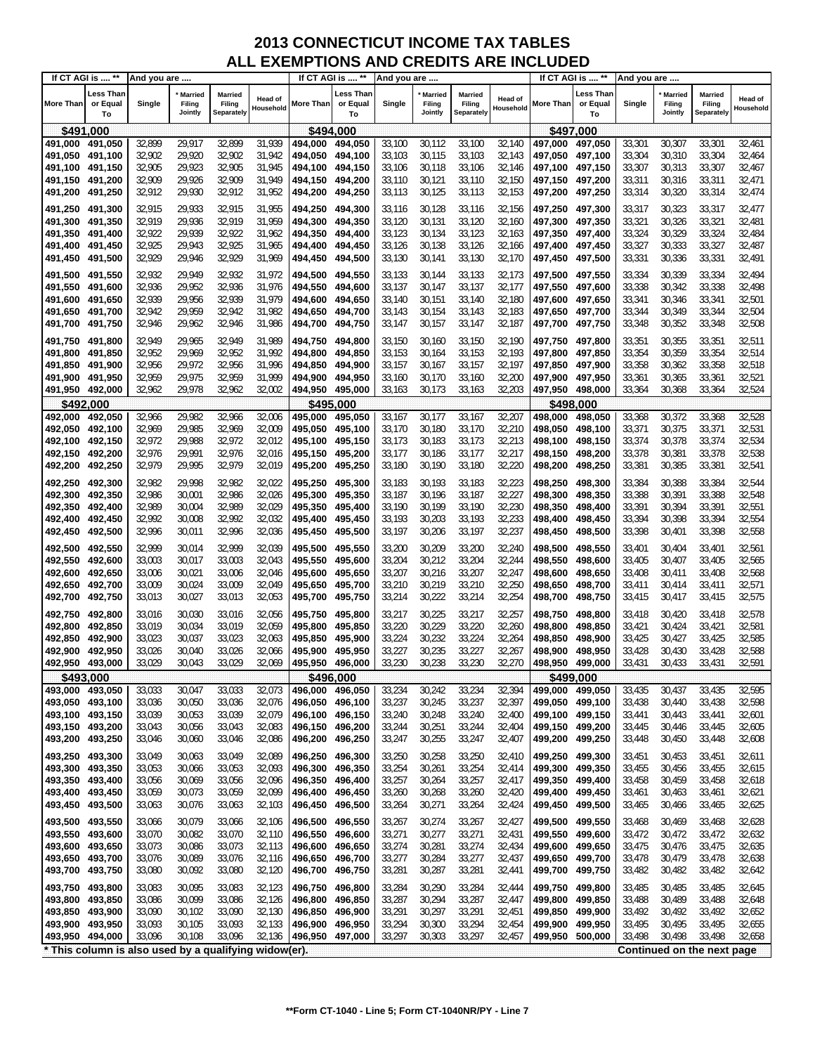|                 | If CT AGI is  **                                      | And you are |                              |                                        |                      |                 | If CT AGI is  **            | And you are |                                     |                                        |                             |                  | If CT AGI is  **            | And you are |                                     |                                 |                      |
|-----------------|-------------------------------------------------------|-------------|------------------------------|----------------------------------------|----------------------|-----------------|-----------------------------|-------------|-------------------------------------|----------------------------------------|-----------------------------|------------------|-----------------------------|-------------|-------------------------------------|---------------------------------|----------------------|
| More Than       | Less Than<br>or Equal<br>To                           | Single      | Married<br>Filing<br>Jointly | Married<br>Filing<br><b>Separately</b> | Head of<br>Household | More Than       | Less Than<br>or Equal<br>To | Single      | <b>Married</b><br>Filing<br>Jointly | <b>Married</b><br>Filing<br>Separately | <b>Head of</b><br>Household | <b>More Than</b> | ∟ess Than<br>or Equal<br>To | Single      | <b>Married</b><br>Filing<br>Jointly | Married<br>Filing<br>Separately | Head of<br>Household |
| \$491,000       |                                                       |             |                              |                                        |                      | \$494,000       |                             |             |                                     |                                        |                             |                  | \$497,000                   |             |                                     |                                 |                      |
| 491,000         | 491,050                                               | 32,899      | 29,917                       | 32,899                                 | 31,939               | 494,000         | 494,050                     | 33,100      | 30,112                              | 33,100                                 | 32,140                      | 497,000          | 497,050                     | 33,301      | 30,307                              | 33,301                          | 32,461               |
| 491,050         | 491,100                                               | 32,902      | 29,920                       | 32,902                                 | 31,942               | 494,050         | 494,100                     | 33,103      | 30,115                              | 33,103                                 | 32,143                      | 497,050          | 497,100                     | 33,304      | 30,310                              | 33,304                          | 32,464               |
| 491,100         | 491,150                                               | 32,905      | 29,923                       | 32,905                                 | 31,945               | 494,100         | 494,150                     | 33,106      | 30,118                              | 33,106                                 | 32,146                      | 497,100 497,150  |                             | 33,307      | 30,313                              | 33,307                          | 32,467               |
| 491,150         | 491,200                                               | 32,909      | 29,926                       | 32,909                                 | 31,949               | 494,150         | 494,200                     | 33,110      | 30,121                              | 33,110                                 | 32,150                      | 497,150 497,200  |                             | 33,311      | 30,316                              | 33,311                          | 32,471               |
| 491,200         | 491,250                                               | 32,912      | 29,930                       | 32,912                                 | 31,952               | 494,200         | 494,250                     | 33,113      | 30,125                              | 33,113                                 | 32,153                      | 497,200          | 497,250                     | 33,314      | 30,320                              | 33,314                          | 32,474               |
| 491,250         | 491,300                                               | 32,915      | 29,933                       | 32,915                                 | 31,955               | 494,250         | 494,300                     | 33,116      | 30,128                              | 33,116                                 | 32,156                      | 497,250 497,300  |                             | 33,317      | 30,323                              | 33,317                          | 32,477               |
| 491,300         | 491,350                                               | 32,919      | 29,936                       | 32,919                                 | 31,959               | 494,300         | 494,350                     | 33,120      | 30,131                              | 33,120                                 | 32,160                      | 497,300 497,350  |                             | 33,321      | 30,326                              | 33,321                          | 32,481               |
| 491,350         | 491,400                                               | 32,922      | 29,939                       | 32,922                                 | 31,962               | 494,350         | 494,400                     | 33,123      | 30,134                              | 33,123                                 | 32,163                      | 497,350 497,400  |                             | 33,324      | 30,329                              | 33,324                          | 32,484               |
| 491,400         | 491,450                                               | 32,925      | 29,943                       | 32,925                                 | 31,965               | 494,400         | 494,450                     | 33,126      | 30,138                              | 33,126                                 | 32,166                      | 497,400 497,450  |                             | 33,327      | 30,333                              | 33,327                          | 32,487               |
| 491,450         | 491,500                                               | 32,929      | 29,946                       | 32,929                                 | 31,969               | 494,450         | 494,500                     | 33,130      | 30,141                              | 33,130                                 | 32,170                      | 497,450          | 497,500                     | 33,331      | 30,336                              | 33,331                          | 32,491               |
| 491,500         | 491,550                                               | 32,932      | 29,949                       | 32,932                                 | 31,972               | 494,500         | 494,550                     | 33,133      | 30,144                              | 33,133                                 | 32,173                      | 497,500 497,550  |                             | 33,334      | 30,339                              | 33,334                          | 32,494               |
| 491,550         | 491,600                                               | 32,936      | 29,952                       | 32,936                                 | 31,976               | 494,550         | 494,600                     | 33,137      | 30,147                              | 33,137                                 | 32,177                      | 497,550 497,600  |                             | 33,338      | 30,342                              | 33,338                          | 32,498               |
| 491,600         | 491,650                                               | 32,939      | 29,956                       | 32,939                                 | 31,979               | 494,600         | 494,650                     | 33,140      | 30,151                              | 33,140                                 | 32,180                      | 497,600          | 497,650                     | 33,341      | 30,346                              | 33,341                          | 32,501               |
| 491,650         | 491,700                                               | 32,942      | 29,959                       | 32,942                                 | 31,982               | 494,650         | 494,700                     | 33,143      | 30,154                              | 33,143                                 | 32,183                      | 497,650 497,700  |                             | 33,344      | 30,349                              | 33,344                          | 32,504               |
| 491,700         | 491,750                                               | 32,946      | 29,962                       | 32,946                                 | 31,986               | 494,700         | 494,750                     | 33,147      | 30,157                              | 33,147                                 | 32,187                      | 497,700 497,750  |                             | 33,348      | 30,352                              | 33,348                          | 32,508               |
| 491,750         | 491,800                                               | 32,949      | 29,965                       | 32,949                                 | 31,989               | 494,750         | 494,800                     | 33,150      | 30,160                              | 33,150                                 | 32,190                      | 497,750 497,800  |                             | 33,351      | 30,355                              | 33,351                          | 32,511               |
| 491,800         | 491.850                                               | 32,952      | 29,969                       | 32,952                                 | 31,992               | 494,800         | 494,850                     | 33,153      | 30,164                              | 33,153                                 | 32,193                      | 497,800          | 497,850                     | 33,354      | 30,359                              | 33,354                          | 32,514               |
| 491,850         | 491,900                                               | 32,956      | 29,972                       | 32,956                                 | 31,996               | 494,850         | 494,900                     | 33,157      | 30,167                              | 33,157                                 | 32,197                      | 497,850 497,900  |                             | 33,358      | 30,362                              | 33,358                          | 32,518               |
| 491,900         | 491,950                                               | 32,959      | 29,975                       | 32,959                                 | 31,999               | 494,900         | 494,950                     | 33,160      | 30,170                              | 33,160                                 | 32,200                      | 497,900 497,950  |                             | 33,361      | 30,365                              | 33,361                          | 32,521               |
| 491,950 492,000 |                                                       | 32,962      | 29,978                       | 32,962                                 | 32,002               | 494,950 495,000 |                             | 33,163      | 30,173                              | 33,163                                 | 32,203                      | 497,950 498,000  |                             | 33,364      | 30,368                              | 33,364                          | 32,524               |
| \$492,000       |                                                       |             |                              |                                        |                      | \$495.000       |                             |             |                                     |                                        |                             |                  | \$498.000                   |             |                                     |                                 |                      |
| 492,000         | 492,050                                               | 32,966      | 29,982                       | 32,966                                 | 32,006               | 495,000         | 495,050                     | 33,167      | 30,177                              | 33,167                                 | 32,207                      | 498,000          | 498,050                     | 33,368      | 30,372                              | 33,368                          | 32,528               |
| 492,050         | 492,100                                               | 32,969      | 29,985                       | 32,969                                 | 32,009               | 495,050         | 495,100                     | 33,170      | 30,180                              | 33,170                                 | 32,210                      | 498,050          | 498,100                     | 33,371      | 30,375                              | 33,371                          | 32,531               |
| 492,100         | 492,150                                               | 32,972      | 29,988                       | 32,972                                 | 32,012               | 495,100         | 495,150                     | 33,173      | 30,183                              | 33,173                                 | 32,213                      | 498,100          | 498,150                     | 33,374      | 30,378                              | 33,374                          | 32,534               |
| 492,150         | 492,200                                               | 32,976      | 29,991                       | 32,976                                 | 32,016               | 495,150         | 495,200                     | 33,177      | 30,186                              | 33,177                                 | 32,217                      | 498,150          | 498,200                     | 33,378      | 30,381                              | 33,378                          | 32,538               |
| 492,200         | 492,250                                               | 32,979      | 29,995                       | 32,979                                 | 32,019               | 495,200         | 495,250                     | 33,180      | 30,190                              | 33,180                                 | 32,220                      | 498,200          | 498,250                     | 33,381      | 30,385                              | 33,381                          | 32,541               |
| 492,250         | 492,300                                               | 32,982      | 29,998                       | 32,982                                 | 32,022               | 495,250         | 495,300                     | 33,183      | 30,193                              | 33,183                                 | 32,223                      | 498,250          | 498,300                     | 33,384      | 30,388                              | 33,384                          | 32,544               |
| 492,300         | 492,350                                               | 32,986      | 30,001                       | 32,986                                 | 32,026               | 495,300         | 495,350                     | 33,187      | 30,196                              | 33,187                                 | 32,227                      | 498,300          | 498,350                     | 33,388      | 30,391                              | 33,388                          | 32,548               |
| 492,350         | 492,400                                               | 32,989      | 30,004                       | 32,989                                 | 32,029               | 495,350         | 495,400                     | 33,190      | 30,199                              | 33,190                                 | 32,230                      | 498,350          | 498,400                     | 33,391      | 30,394                              | 33,391                          | 32,551               |
| 492,400         | 492,450                                               | 32,992      | 30,008                       | 32,992                                 | 32,032               | 495,400         | 495,450                     | 33,193      | 30,203                              | 33,193                                 | 32,233                      | 498,400 498,450  |                             | 33,394      | 30,398                              | 33,394                          | 32,554               |
| 492,450         | 492,500                                               | 32,996      | 30,011                       | 32,996                                 | 32,036               | 495,450         | 495,500                     | 33,197      | 30,206                              | 33,197                                 | 32,237                      | 498,450          | 498,500                     | 33,398      | 30,401                              | 33,398                          | 32,558               |
| 492,500         | 492,550                                               | 32,999      | 30,014                       | 32,999                                 | 32,039               | 495,500         | 495,550                     | 33,200      | 30,209                              | 33,200                                 | 32,240                      | 498,500          | 498,550                     | 33,401      | 30,404                              | 33,401                          | 32,561               |
| 492,550         | 492,600                                               | 33,003      | 30,017                       | 33,003                                 | 32,043               | 495,550         | 495,600                     | 33,204      | 30,212                              | 33,204                                 | 32,244                      | 498,550          | 498,600                     | 33,405      | 30,407                              | 33,405                          | 32,565               |
| 492,600         | 492,650                                               | 33,006      | 30,021                       | 33,006                                 | 32,046               | 495,600         | 495,650                     | 33,207      | 30,216                              | 33,207                                 | 32,247                      | 498,600          | 498,650                     | 33,408      | 30,411                              | 33,408                          | 32,568               |
| 492,650         | 492,700                                               | 33,009      | 30,024                       | 33,009                                 | 32,049               | 495,650         | 495,700                     | 33,210      | 30,219                              | 33,210                                 | 32,250                      | 498,650          | 498,700                     | 33,411      | 30,414                              | 33,411                          | 32,571               |
| 492,700         | 492,750                                               | 33,013      | 30,027                       | 33,013                                 | 32,053               | 495,700         | 495,750                     | 33,214      | 30,222                              | 33,214                                 | 32,254                      | 498,700          | 498,750                     | 33,415      | 30,417                              | 33,415                          | 32,575               |
| 492,750         | 492,800                                               | 33,016      | 30,030                       | 33,016                                 | 32,056               | 495,750         | 495,800                     | 33,217      | 30,225                              | 33,217                                 | 32,257                      | 498,750          | 498,800                     | 33,418      | 30,420                              | 33,418                          | 32,578               |
| 492,800         | 492,850                                               | 33,019      | 30,034                       | 33,019                                 | 32,059               | 495,800         | 495,850                     | 33,220      | 30,229                              | 33,220                                 | 32,260                      | 498,800          | 498,850                     | 33,421      | 30,424                              | 33,421                          | 32,581               |
| 492,850         | 492,900                                               | 33,023      | 30,037                       | 33,023                                 | 32,063               | 495,850         | 495,900                     | 33,224      | 30,232                              | 33,224                                 | 32,264                      | 498,850          | 498,900                     | 33,425      | 30,427                              | 33,425                          | 32,585               |
| 492,900         | 492,950                                               | 33,026      | 30,040                       | 33,026                                 | 32,066               | 495,900         | 495,950                     | 33,227      | 30,235                              | 33,227                                 | 32,267                      | 498,900          | 498,950                     | 33,428      | 30,430                              | 33,428                          | 32,588               |
| 492,950 493,000 |                                                       | 33,029      | 30,043                       | 33,029                                 | 32,069               | 495,950         | 496,000                     | 33,230      | 30,238                              | 33,230                                 | 32,270                      | 498,950 499,000  |                             | 33,431      | 30,433                              | 33,431                          | 32,591               |
| \$493,000       |                                                       |             |                              |                                        |                      |                 | \$496,000                   |             |                                     |                                        |                             |                  | \$499,000                   |             |                                     |                                 |                      |
| 493,000 493,050 |                                                       | 33,033      | 30,047                       | 33,033                                 | 32,073               | 496,000         | 496,050                     | 33,234      | 30,242                              | 33,234                                 | 32,394                      | 499,000 499,050  |                             | 33,435      | 30,437                              | 33,435                          | 32,595               |
| 493,050 493,100 |                                                       | 33,036      | 30,050                       | 33,036                                 | 32,076               | 496,050         | 496,100                     | 33,237      | 30,245                              | 33,237                                 | 32,397                      | 499,050 499,100  |                             | 33,438      | 30,440                              | 33,438                          | 32,598               |
| 493,100 493,150 |                                                       | 33,039      | 30,053                       | 33,039                                 | 32,079               | 496,100         | 496,150                     | 33,240      | 30,248                              | 33,240                                 | 32,400                      | 499,100 499,150  |                             | 33,441      | 30,443                              | 33,441                          | 32,601               |
| 493,150 493,200 |                                                       | 33,043      | 30,056                       | 33,043                                 | 32,083               | 496,150         | 496,200                     | 33,244      | 30,251                              | 33,244                                 | 32,404                      | 499,150 499,200  |                             | 33,445      | 30,446                              | 33,445                          | 32,605               |
| 493,200         | 493,250                                               | 33,046      | 30,060                       | 33,046                                 | 32,086               | 496,200         | 496,250                     | 33,247      | 30,255                              | 33,247                                 | 32,407                      | 499,200          | 499,250                     | 33,448      | 30,450                              | 33,448                          | 32,608               |
| 493,250         | 493,300                                               | 33,049      | 30,063                       | 33,049                                 | 32,089               | 496,250         | 496,300                     | 33,250      | 30,258                              | 33,250                                 | 32,410                      | 499,250          | 499,300                     | 33,451      | 30,453                              | 33,451                          | 32,611               |
| 493,300         | 493,350                                               | 33,053      | 30,066                       | 33,053                                 | 32,093               | 496,300         | 496,350                     | 33,254      | 30,261                              | 33,254                                 | 32,414                      | 499,300          | 499,350                     | 33,455      | 30,456                              | 33,455                          | 32,615               |
| 493,350         | 493,400                                               | 33,056      | 30,069                       | 33,056                                 | 32,096               | 496,350         | 496,400                     | 33,257      | 30,264                              | 33,257                                 | 32,417                      | 499,350          | 499,400                     | 33,458      | 30,459                              | 33,458                          | 32,618               |
| 493,400         | 493,450                                               | 33,059      | 30,073                       | 33,059                                 | 32,099               | 496,400         | 496,450                     | 33,260      | 30,268                              | 33,260                                 | 32,420                      | 499,400          | 499,450                     | 33,461      | 30,463                              | 33,461                          | 32,621               |
| 493,450         | 493,500                                               | 33,063      | 30,076                       | 33,063                                 | 32,103               | 496,450         | 496,500                     | 33,264      | 30,271                              | 33,264                                 | 32,424                      | 499,450          | 499,500                     | 33,465      | 30,466                              | 33,465                          | 32,625               |
| 493,500         | 493,550                                               | 33,066      | 30,079                       | 33,066                                 | 32,106               | 496,500         | 496,550                     | 33,267      | 30,274                              | 33,267                                 | 32,427                      | 499,500          | 499,550                     | 33,468      | 30,469                              | 33,468                          | 32,628               |
| 493,550         | 493,600                                               | 33,070      | 30,082                       | 33,070                                 | 32,110               | 496,550         | 496,600                     | 33,271      | 30,277                              | 33,271                                 | 32,431                      | 499,550          | 499,600                     | 33,472      | 30,472                              | 33,472                          | 32,632               |
| 493,600         | 493,650                                               | 33,073      | 30,086                       | 33,073                                 | 32,113               | 496,600         | 496,650                     | 33,274      | 30,281                              | 33,274                                 | 32,434                      | 499,600          | 499,650                     | 33,475      | 30,476                              | 33,475                          | 32,635               |
| 493,650         | 493,700                                               | 33,076      | 30,089                       | 33,076                                 | 32,116               | 496,650         | 496,700                     | 33,277      | 30,284                              | 33,277                                 | 32,437                      | 499,650          | 499,700                     | 33,478      | 30,479                              | 33,478                          | 32,638               |
| 493,700         | 493,750                                               | 33,080      | 30,092                       | 33,080                                 | 32,120               | 496,700         | 496,750                     | 33,281      | 30,287                              | 33,281                                 | 32,441                      | 499,700          | 499,750                     | 33,482      | 30,482                              | 33,482                          | 32,642               |
| 493,750         | 493,800                                               | 33,083      | 30,095                       | 33,083                                 | 32,123               | 496,750         | 496,800                     | 33,284      | 30,290                              | 33,284                                 | 32,444                      | 499,750          | 499,800                     | 33,485      | 30,485                              | 33,485                          | 32,645               |
| 493,800         | 493,850                                               | 33,086      | 30,099                       | 33,086                                 | 32,126               | 496,800         | 496,850                     | 33,287      | 30,294                              | 33,287                                 | 32,447                      | 499,800          | 499,850                     | 33,488      | 30,489                              | 33,488                          | 32,648               |
| 493,850         | 493,900                                               | 33,090      | 30,102                       | 33,090                                 | 32,130               | 496,850         | 496,900                     | 33,291      | 30,297                              | 33,291                                 | 32,451                      | 499,850          | 499,900                     | 33,492      | 30,492                              | 33,492                          | 32,652               |
| 493,900         | 493,950                                               | 33,093      | 30,105                       | 33,093                                 | 32,133               | 496,900         | 496,950                     | 33,294      | 30,300                              | 33,294                                 | 32,454                      | 499,900          | 499,950                     | 33,495      | 30,495                              | 33,495                          | 32,655               |
| 493,950 494,000 |                                                       | 33,096      | 30,108                       | 33,096                                 | 32,136               | 496,950         | 497,000                     | 33,297      | 30,303                              | 33,297                                 | 32,457                      | 499,950 500,000  |                             | 33,498      | 30,498                              | 33,498                          | 32,658               |
|                 | * This column is also used by a qualifying widow(er). |             |                              |                                        |                      |                 |                             |             |                                     |                                        |                             |                  |                             |             |                                     | Continued on the next page      |                      |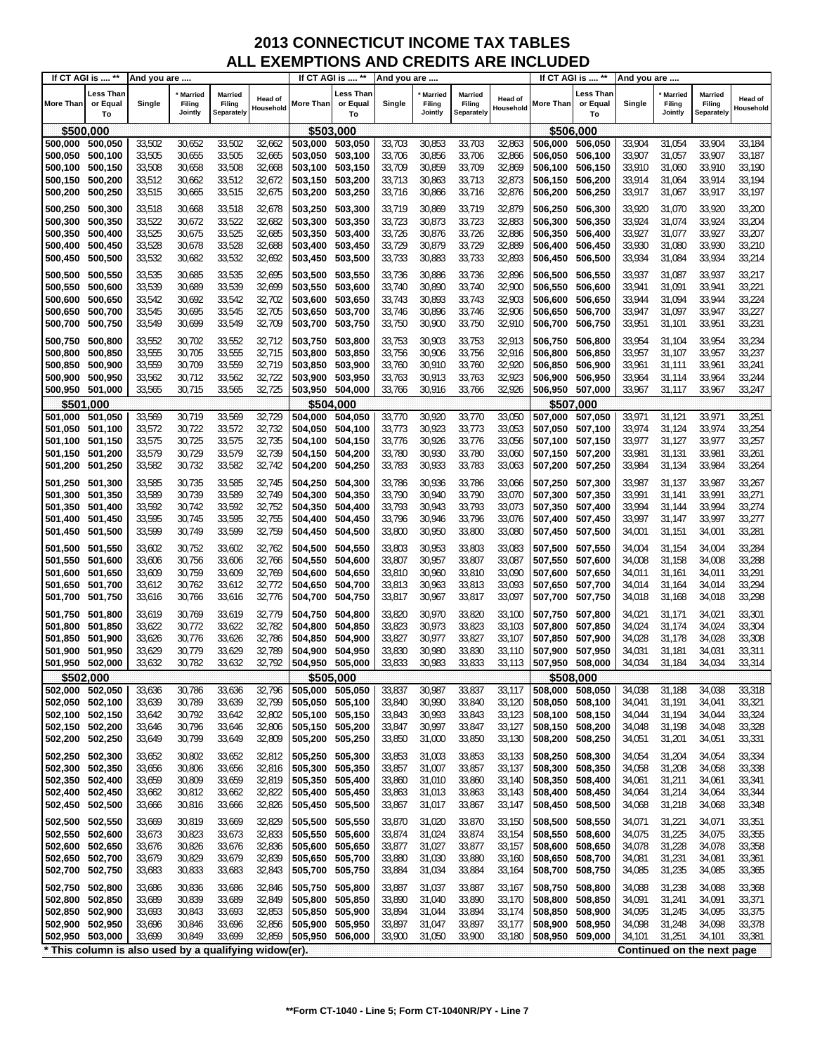|                 | If CT AGI is  **                                      | And you are      |                                     |                                        |                      |                 | If CT AGI is  **                   | And you are      |                              |                                 |                             |                 | If CT AGI is  **            | And you are      |                                     |                                        |                      |
|-----------------|-------------------------------------------------------|------------------|-------------------------------------|----------------------------------------|----------------------|-----------------|------------------------------------|------------------|------------------------------|---------------------------------|-----------------------------|-----------------|-----------------------------|------------------|-------------------------------------|----------------------------------------|----------------------|
| More Than       | Less Than<br>or Equal<br>To                           | Single           | <b>Married</b><br>Filing<br>Jointly | Married<br>Filing<br><b>Separately</b> | Head of<br>Household | More Than       | <b>Less Than</b><br>or Equal<br>To | Single           | Married<br>Filing<br>Jointly | Married<br>Filing<br>Separately | <b>Head of</b><br>Household | More Than       | Less Than<br>or Equal<br>To | Single           | <b>Married</b><br>Filing<br>Jointly | <b>Married</b><br>Filing<br>Separately | Head of<br>Household |
| \$500,000       |                                                       |                  |                                     |                                        |                      | \$503,000       |                                    |                  |                              |                                 |                             |                 | \$506,000                   |                  |                                     |                                        |                      |
| 500,000         | 500,050                                               | 33,502           | 30,652                              | 33,502                                 | 32,662               | 503,000         | 503,050                            | 33,703           | 30,853                       | 33,703                          | 32,863                      | 506,000         | 506,050                     | 33,904           | 31,054                              | 33,904                                 | 33,184               |
| 500,050         | 500,100                                               | 33,505           | 30,655                              | 33,505                                 | 32,665               | 503,050         | 503,100                            | 33,706           | 30,856                       | 33,706                          | 32,866                      | 506.050         | 506,100                     | 33,907           | 31,057                              | 33,907                                 | 33,187               |
| 500,100         | 500,150                                               | 33,508           | 30,658                              | 33,508                                 | 32,668               | 503,100         | 503,150                            | 33,709           | 30,859                       | 33,709                          | 32,869                      | 506,100         | 506,150                     | 33,910           | 31,060                              | 33,910                                 | 33,190               |
| 500,150         | 500,200                                               | 33,512           | 30,662                              | 33,512                                 | 32,672               | 503,150         | 503,200                            | 33,713           | 30,863                       | 33,713                          | 32,873                      | 506,150         | 506,200                     | 33,914           | 31,064                              | 33,914                                 | 33,194               |
| 500,200         | 500,250                                               | 33,515           | 30,665                              | 33,515                                 | 32,675               | 503,200         | 503,250                            | 33,716           | 30,866                       | 33,716                          | 32,876                      | 506,200         | 506,250                     | 33,917           | 31,067                              | 33,917                                 | 33,197               |
| 500,250         | 500,300                                               | 33,518           | 30,668                              | 33,518                                 | 32,678               | 503,250         | 503,300                            | 33,719           | 30,869                       | 33,719                          | 32,879                      | 506,250         | 506,300                     | 33,920           | 31,070                              | 33,920                                 | 33,200               |
| 500,300         | 500,350                                               | 33,522           | 30,672                              | 33,522                                 | 32,682               | 503,300         | 503,350                            | 33,723           | 30,873                       | 33,723                          | 32,883                      | 506,300         | 506,350                     | 33,924           | 31,074                              | 33,924                                 | 33,204               |
| 500,350         | 500,400                                               | 33,525           | 30,675                              | 33,525                                 | 32,685               | 503,350         | 503,400                            | 33,726           | 30,876                       | 33,726                          | 32,886                      | 506,350         | 506,400                     | 33,927           | 31,077                              | 33,927                                 | 33,207               |
| 500,400         | 500,450                                               | 33,528           | 30,678                              | 33,528                                 | 32,688               | 503,400         | 503,450                            | 33,729           | 30,879                       | 33,729                          | 32,889                      | 506,400         | 506,450                     | 33,930           | 31,080                              | 33,930                                 | 33,210               |
| 500,450         | 500,500                                               | 33,532           | 30,682                              | 33,532                                 | 32,692               | 503,450         | 503,500                            | 33,733           | 30,883                       | 33,733                          | 32,893                      | 506,450         | 506,500                     | 33,934           | 31,084                              | 33,934                                 | 33,214               |
|                 |                                                       |                  |                                     |                                        |                      |                 |                                    |                  |                              |                                 |                             |                 |                             |                  |                                     |                                        |                      |
| 500,500         | 500,550                                               | 33,535           | 30,685                              | 33,535                                 | 32,695               | 503,500         | 503,550                            | 33,736           | 30,886                       | 33,736                          | 32,896                      | 506,500         | 506,550                     | 33,937           | 31,087                              | 33,937                                 | 33,217               |
| 500,550         | 500,600                                               | 33,539           | 30,689                              | 33,539                                 | 32,699               | 503,550         | 503,600                            | 33,740           | 30,890                       | 33,740                          | 32,900                      | 506,550         | 506,600                     | 33,941           | 31,091                              | 33,941                                 | 33,221               |
| 500,600         | 500,650                                               | 33,542           | 30,692                              | 33,542                                 | 32,702               | 503,600         | 503,650                            | 33,743           | 30,893                       | 33,743                          | 32,903                      | 506,600         | 506,650                     | 33,944           | 31,094                              | 33,944                                 | 33,224               |
| 500,650         | 500,700                                               | 33,545           | 30,695                              | 33,545                                 | 32,705               | 503,650         | 503,700                            | 33,746           | 30,896                       | 33,746                          | 32,906                      | 506,650         | 506,700                     | 33,947           | 31,097                              | 33,947                                 | 33,227               |
| 500,700         | 500,750                                               | 33,549           | 30,699                              | 33,549                                 | 32,709               | 503,700         | 503,750                            | 33,750           | 30,900                       | 33,750                          | 32,910                      | 506,700         | 506,750                     | 33,951           | 31,101                              | 33,951                                 | 33,231               |
| 500,750         | 500,800                                               | 33,552           | 30,702                              | 33,552                                 | 32,712               | 503,750         | 503,800                            | 33,753           | 30,903                       | 33,753                          | 32,913                      | 506,750         | 506,800                     | 33,954           | 31,104                              | 33,954                                 | 33,234               |
| 500,800         | 500,850                                               | 33,555           | 30,705                              | 33,555                                 | 32,715               | 503,800         | 503,850                            | 33,756           | 30,906                       | 33,756                          | 32,916                      | 506,800         | 506,850                     | 33,957           | 31,107                              | 33,957                                 | 33,237               |
| 500,850         | 500,900                                               | 33,559           | 30,709                              | 33,559                                 | 32,719               | 503,850         | 503,900                            | 33,760           | 30,910                       | 33,760                          | 32,920                      | 506,850         | 506,900                     | 33,961           | 31,111                              | 33,961                                 | 33,241               |
| 500,900         | 500,950                                               | 33,562           | 30,712                              | 33,562                                 | 32,722               | 503,900         | 503,950                            | 33,763           | 30,913                       | 33,763                          | 32,923                      | 506,900         | 506,950                     | 33,964           | 31,114                              | 33,964                                 | 33,244               |
| 500,950         | 501,000                                               | 33,565           | 30,715                              | 33,565                                 | 32,725               | 503,950         | 504,000                            | 33,766           | 30,916                       | 33,766                          | 32,926                      | 506,950         | 507,000                     | 33,967           | 31,117                              | 33,967                                 | 33,247               |
|                 | \$501,000                                             |                  |                                     |                                        |                      | \$504,000       |                                    |                  |                              |                                 |                             |                 | \$507.000                   |                  |                                     |                                        |                      |
| 501,000         | 501,050                                               | 33,569           | 30,719                              | 33,569                                 | 32,729               | 504,000         | 504,050                            | 33,770           | 30,920                       | 33,770                          | 33,050                      | 507,000         | 507,050                     | 33,971           | 31,121                              | 33,971                                 | 33,251               |
| 501,050         | 501,100                                               | 33,572           | 30,722                              | 33,572                                 | 32,732               | 504,050         | 504,100                            | 33,773           | 30,923                       | 33,773                          | 33,053                      | 507.050         | 507,100                     | 33,974           | 31,124                              | 33,974                                 | 33,254               |
| 501,100         | 501,150                                               | 33,575           | 30,725                              | 33,575                                 | 32,735               | 504,100         | 504,150                            | 33,776           | 30,926                       | 33,776                          | 33,056                      | 507,100         | 507,150                     | 33,977           | 31,127                              | 33,977                                 | 33,257               |
| 501,150         | 501,200                                               | 33,579<br>33,582 | 30,729<br>30,732                    | 33,579<br>33,582                       | 32,739<br>32,742     | 504,150         | 504,200                            | 33,780<br>33,783 | 30,930<br>30,933             | 33,780<br>33,783                | 33,060<br>33,063            | 507,150 507,200 |                             | 33,981<br>33,984 | 31,131<br>31,134                    | 33,981<br>33,984                       | 33,261<br>33,264     |
| 501,200         | 501,250                                               |                  |                                     |                                        |                      | 504,200         | 504,250                            |                  |                              |                                 |                             | 507,200         | 507,250                     |                  |                                     |                                        |                      |
| 501,250         | 501,300                                               | 33,585           | 30,735                              | 33,585                                 | 32,745               | 504,250         | 504,300                            | 33,786           | 30,936                       | 33,786                          | 33,066                      | 507,250 507,300 |                             | 33,987           | 31,137                              | 33,987                                 | 33,267               |
| 501,300         | 501,350                                               | 33,589           | 30,739                              | 33,589                                 | 32,749               | 504,300         | 504,350                            | 33,790           | 30,940                       | 33,790                          | 33,070                      | 507,300         | 507,350                     | 33,991           | 31,141                              | 33,991                                 | 33,271               |
| 501,350         | 501,400                                               | 33,592           | 30,742                              | 33,592                                 | 32,752               | 504,350         | 504,400                            | 33,793           | 30,943                       | 33,793                          | 33,073                      | 507,350         | 507,400                     | 33,994           | 31,144                              | 33,994                                 | 33,274               |
| 501,400         | 501,450                                               | 33,595           | 30,745                              | 33,595                                 | 32,755               | 504,400         | 504,450                            | 33,796           | 30,946                       | 33,796                          | 33,076                      | 507,400         | 507,450                     | 33,997           | 31,147                              | 33,997                                 | 33,277               |
| 501,450         | 501,500                                               | 33,599           | 30,749                              | 33,599                                 | 32,759               | 504,450         | 504,500                            | 33,800           | 30,950                       | 33,800                          | 33,080                      | 507,450 507,500 |                             | 34,001           | 31,151                              | 34,001                                 | 33,281               |
| 501,500         | 501,550                                               | 33,602           | 30,752                              | 33,602                                 | 32,762               | 504,500         | 504,550                            | 33,803           | 30,953                       | 33,803                          | 33,083                      | 507,500 507,550 |                             | 34,004           | 31,154                              | 34,004                                 | 33,284               |
| 501,550         | 501,600                                               | 33,606           | 30,756                              | 33,606                                 | 32,766               | 504,550         | 504,600                            | 33,807           | 30,957                       | 33,807                          | 33,087                      | 507,550         | 507,600                     | 34,008           | 31,158                              | 34,008                                 | 33,288               |
| 501,600         | 501,650                                               | 33,609           | 30,759                              | 33,609                                 | 32,769               | 504,600         | 504,650                            | 33,810           | 30,960                       | 33,810                          | 33,090                      | 507,600         | 507,650                     | 34,011           | 31,161                              | 34,011                                 | 33,291               |
| 501,650         | 501,700                                               | 33,612           | 30,762                              | 33,612                                 | 32,772               | 504,650         | 504,700                            | 33,813           | 30,963                       | 33,813                          | 33,093                      | 507,650         | 507,700                     | 34,014           | 31,164                              | 34,014                                 | 33,294               |
| 501,700         | 501,750                                               | 33,616           | 30,766                              | 33,616                                 | 32,776               | 504,700         | 504,750                            | 33,817           | 30,967                       | 33,817                          | 33,097                      | 507,700         | 507,750                     | 34,018           | 31,168                              | 34,018                                 | 33,298               |
| 501,750         | 501,800                                               | 33,619           | 30,769                              | 33,619                                 | 32,779               | 504,750         | 504,800                            | 33,820           | 30,970                       | 33,820                          | 33,100                      | 507,750 507,800 |                             | 34,021           | 31,171                              | 34,021                                 | 33,301               |
| 501,800         | 501,850                                               | 33,622           | 30,772                              | 33,622                                 | 32,782               | 504,800         | 504,850                            | 33,823           | 30,973                       | 33,823                          | 33,103                      | 507,800         | 507,850                     | 34,024           | 31,174                              | 34,024                                 | 33,304               |
| 501,850         | 501,900                                               | 33,626           | 30,776                              | 33,626                                 | 32,786               | 504,850         | 504,900                            | 33,827           | 30,977                       | 33,827                          | 33,107                      | 507,850         | 507,900                     | 34,028           | 31,178                              | 34,028                                 | 33,308               |
| 501,900         | 501,950                                               | 33,629           | 30,779                              | 33,629                                 | 32,789               | 504,900         | 504,950                            | 33,830           | 30,980                       | 33,830                          | 33,110                      | 507,900         | 507,950                     | 34,031           | 31,181                              | 34,031                                 | 33,311               |
| 501,950 502,000 |                                                       | 33,632           | 30,782                              | 33,632                                 | 32,792               | 504,950 505,000 |                                    | 33,833           | 30,983                       | 33,833                          | 33,113                      | 507,950 508,000 |                             | 34,034           | 31,184                              | 34,034                                 | 33,314               |
|                 | \$502,000                                             |                  |                                     |                                        |                      |                 | \$505,000                          |                  |                              |                                 |                             |                 | \$508,000                   |                  |                                     |                                        |                      |
| 502,000 502,050 |                                                       | 33,636           | 30,786                              | 33,636                                 | 32,796               | 505,000         | 505,050                            | 33,837           | 30,987                       | 33,837                          | 33,117                      | 508,000 508,050 |                             | 34,038           | 31,188                              | 34,038                                 | 33,318               |
| 502,050 502,100 |                                                       | 33,639           | 30,789                              | 33,639                                 | 32,799               | 505,050         | 505,100                            | 33,840           | 30,990                       | 33,840                          | 33,120                      | 508,050 508,100 |                             | 34,041           | 31,191                              | 34,041                                 | 33,321               |
| 502,100         | 502,150                                               | 33,642           | 30,792                              | 33,642                                 | 32,802               | 505,100         | 505,150                            | 33,843           | 30,993                       | 33,843                          | 33,123                      | 508,100         | 508,150                     | 34,044           | 31,194                              | 34,044                                 | 33,324               |
| 502,150         | 502,200                                               | 33,646           | 30,796                              | 33,646                                 | 32,806               | 505,150         | 505,200                            | 33,847           | 30,997                       | 33,847                          | 33,127                      | 508,150 508,200 |                             | 34,048           | 31,198                              | 34,048                                 | 33,328               |
| 502,200         | 502,250                                               | 33,649           | 30,799                              | 33,649                                 | 32,809               | 505,200         | 505,250                            | 33,850           | 31,000                       | 33,850                          | 33,130                      | 508,200         | 508,250                     | 34,051           | 31,201                              | 34,051                                 | 33,331               |
| 502,250         | 502,300                                               | 33,652           | 30,802                              | 33,652                                 | 32,812               | 505,250         | 505,300                            | 33,853           | 31,003                       | 33,853                          | 33,133                      | 508,250         | 508,300                     | 34,054           | 31,204                              | 34,054                                 | 33,334               |
| 502,300         | 502,350                                               | 33,656           | 30,806                              | 33,656                                 | 32,816               | 505,300         | 505,350                            | 33,857           | 31,007                       | 33,857                          | 33,137                      | 508,300         | 508,350                     | 34,058           | 31,208                              | 34,058                                 | 33,338               |
| 502,350         | 502,400                                               | 33,659           | 30,809                              | 33,659                                 | 32,819               | 505,350         | 505,400                            | 33,860           | 31,010                       | 33,860                          | 33,140                      | 508,350         | 508,400                     | 34,061           | 31,211                              | 34,061                                 | 33,341               |
| 502,400         | 502,450                                               | 33,662           | 30,812                              | 33,662                                 | 32,822               | 505,400         | 505,450                            | 33,863           | 31,013                       | 33,863                          | 33,143                      | 508,400         | 508,450                     | 34,064           | 31,214                              | 34,064                                 | 33,344               |
| 502,450         | 502,500                                               | 33,666           | 30,816                              | 33,666                                 | 32,826               | 505,450         | 505,500                            | 33,867           | 31,017                       | 33,867                          | 33,147                      | 508,450         | 508,500                     | 34,068           | 31,218                              | 34,068                                 | 33,348               |
| 502,500 502,550 |                                                       | 33,669           | 30,819                              | 33,669                                 | 32,829               | 505,500         | 505,550                            | 33,870           | 31,020                       | 33,870                          | 33,150                      | 508,500 508,550 |                             | 34,071           | 31,221                              | 34,071                                 | 33,351               |
| 502,550         | 502,600                                               | 33,673           | 30,823                              | 33,673                                 | 32,833               | 505,550         | 505,600                            | 33,874           | 31,024                       | 33,874                          | 33,154                      | 508,550         | 508,600                     | 34,075           | 31,225                              | 34,075                                 | 33,355               |
| 502,600         | 502,650                                               | 33,676           | 30,826                              | 33,676                                 | 32,836               | 505,600         | 505,650                            | 33,877           | 31,027                       | 33,877                          | 33,157                      | 508,600         | 508,650                     | 34,078           | 31,228                              | 34,078                                 | 33,358               |
| 502,650         | 502,700                                               | 33,679           | 30,829                              | 33,679                                 | 32,839               | 505,650         | 505,700                            | 33,880           | 31,030                       | 33,880                          | 33,160                      | 508,650         | 508,700                     | 34,081           | 31,231                              | 34,081                                 | 33,361               |
| 502,700         | 502,750                                               | 33,683           | 30,833                              | 33,683                                 | 32,843               | 505,700         | 505,750                            | 33,884           | 31,034                       | 33,884                          | 33,164                      | 508,700         | 508,750                     | 34,085           | 31,235                              | 34,085                                 | 33,365               |
| 502,750         | 502,800                                               | 33,686           | 30,836                              | 33,686                                 | 32,846               | 505,750 505,800 |                                    | 33,887           | 31,037                       | 33,887                          | 33,167                      | 508,750         | 508,800                     | 34,088           | 31,238                              | 34,088                                 | 33,368               |
| 502,800         | 502,850                                               | 33,689           | 30,839                              | 33,689                                 | 32,849               | 505,800         | 505,850                            | 33,890           | 31,040                       | 33,890                          | 33,170                      | 508,800         | 508,850                     | 34,091           | 31,241                              | 34,091                                 | 33,371               |
| 502,850         | 502,900                                               | 33,693           | 30,843                              | 33,693                                 | 32,853               | 505,850         | 505,900                            | 33,894           | 31,044                       | 33,894                          | 33,174                      | 508,850         | 508,900                     | 34,095           | 31,245                              | 34,095                                 | 33,375               |
| 502,900         | 502,950                                               | 33,696           | 30,846                              | 33,696                                 | 32,856               | 505,900         | 505,950                            | 33,897           | 31,047                       | 33,897                          | 33,177                      | 508,900         | 508,950                     | 34,098           | 31,248                              | 34,098                                 | 33,378               |
| 502,950         | 503,000                                               | 33,699           | 30,849                              | 33,699                                 | 32,859               | 505,950         | 506,000                            | 33,900           | 31,050                       | 33,900                          | 33,180                      | 508,950         | 509,000                     | 34,101           | 31,251                              | 34,101                                 | 33,381               |
|                 | * This column is also used by a qualifying widow(er). |                  |                                     |                                        |                      |                 |                                    |                  |                              |                                 |                             |                 |                             |                  |                                     | Continued on the next page             |                      |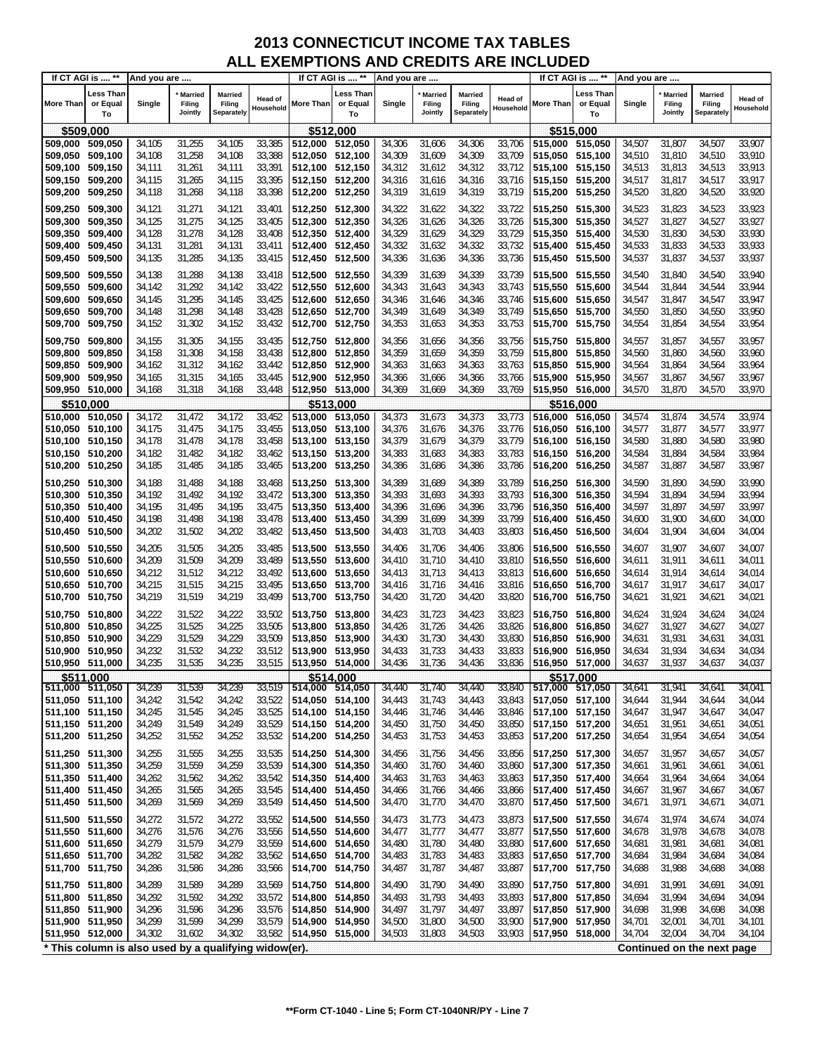| Less Than<br>Less Than<br>∟ess Than<br>Married<br>Married<br><b>Married</b><br><b>Married</b><br><b>Married</b><br>Married<br>Head of<br>Head of<br>or Equal<br>Filing<br>Filing<br>More Than<br>or Equal<br>Filing<br>or Equal<br>Single<br>Filing<br>More Than<br>Single<br>Single<br>Filing<br>More Than<br>Filing<br>Household<br>Household<br>Jointly<br><b>Separately</b><br>Jointly<br>Separately<br>Jointly<br>Separately<br>To<br>To<br>To<br>\$512,000<br>\$509,000<br>\$515,000<br>31,255<br>34,105<br>33,385<br>31,606<br>34,306<br>33,706<br>515,000 515,050<br>31,807<br>34,507<br>509,000<br>509,050<br>34,105<br>512,000<br>512,050<br>34,306<br>34,507<br>509,050<br>509,100<br>34,108<br>31,258<br>34,108<br>33,388<br>512,050 512,100<br>34,309<br>31,609<br>34,309<br>33,709<br>515,050 515,100<br>34,510<br>31,810<br>34,510<br>33,391<br>34,312<br>509,100<br>509,150<br>34,111<br>31,261<br>34,111<br>512,100 512,150<br>31,612<br>34,312<br>33,712<br>515,100 515,150<br>34,513<br>31,813<br>34,513<br>31,265<br>33,395<br>34,316<br>34,517<br>509,150<br>509,200<br>34,115<br>34,115<br>512,150 512,200<br>34,316<br>31,616<br>33,716<br>515,150 515,200<br>34,517<br>31,817<br>31,268<br>33,398<br>34,319<br>34,319<br>31,820<br>509,200<br>509,250<br>34,118<br>34,118<br>512,200 512,250<br>31,619<br>33,719<br>515,200 515,250<br>34,520<br>34,520<br>33,923<br>509,250<br>31,271<br>33,401<br>512,250 512,300<br>34,322<br>34,322<br>33,722<br>34,523<br>31,823<br>34,523<br>509,300<br>34,121<br>34,121<br>31,622<br>515,250 515,300<br>509,300<br>31,275<br>34,326<br>31,626<br>34,326<br>33,726<br>34,527<br>31,827<br>34,527<br>509,350<br>34,125<br>34,125<br>33,405<br>512,300 512,350<br>515,300 515,350<br>31,278<br>33,408<br>34,329<br>31,629<br>34,329<br>33,729<br>34,530<br>509,350<br>509,400<br>34,128<br>34,128<br>512,350 512,400<br>515,350 515,400<br>31,830<br>34,530<br>31,281<br>34,131<br>33,411<br>34,332<br>31,632<br>34,332<br>33,732<br>34,533<br>31,833<br>34,533<br>509,400<br>509,450<br>34,131<br>512,400 512,450<br>515,400 515,450<br>31,285<br>34,336<br>34,336<br>31,837<br>34,537<br>33,937<br>509,450<br>509,500<br>34,135<br>34,135<br>33,415<br>512,450 512,500<br>31,636<br>33,736<br>515,450 515,500<br>34,537<br>34,339<br>34,138<br>31,288<br>33,418<br>512,500 512,550<br>31,639<br>34,339<br>33,739<br>515,500 515,550<br>34,540<br>31,840<br>34,540<br>509,500<br>509,550<br>34,138<br>31,292<br>33,422<br>34,343<br>34,343<br>33,743<br>515,550 515,600<br>31,844<br>34,544<br>509,550<br>509,600<br>34,142<br>34,142<br>512,550 512,600<br>31,643<br>34,544<br>509,600<br>509,650<br>34,145<br>31,295<br>34,145<br>33,425<br>512,600 512,650<br>34,346<br>31,646<br>34,346<br>33,746<br>515,600 515,650<br>34,547<br>31,847<br>34,547<br>33,428<br>34,349<br>509,650<br>34,148<br>31,298<br>34,148<br>512,650 512,700<br>31,649<br>34,349<br>33,749<br>515,650 515,700<br>34,550<br>31,850<br>34,550<br>509,700<br>31,302<br>33,432<br>34,353<br>34,554<br>33,954<br>509,700<br>34,152<br>34,152<br>512,700 512,750<br>31,653<br>34,353<br>33,753<br>515,700 515,750<br>34,554<br>31,854<br>509,750<br>31,305<br>34,356<br>34,356<br>33,756<br>34,557<br>31,857<br>34,557<br>509,750<br>509,800<br>34,155<br>34,155<br>33,435<br>512,750 512,800<br>31,656<br>515,750 515,800<br>34,359<br>34,359<br>509,800<br>31,308<br>33,438<br>31,659<br>33,759<br>515,800 515,850<br>31,860<br>34,560<br>509,850<br>34,158<br>34,158<br>512,800 512,850<br>34,560<br>33,763<br>509,850<br>509,900<br>34,162<br>31,312<br>34,162<br>33,442<br>512,850 512,900<br>34,363<br>31,663<br>34,363<br>515,850 515,900<br>34,564<br>31,864<br>34,564<br>31,315<br>33,445<br>33,967<br>509,900<br>509,950<br>34,165<br>34,165<br>512,900 512,950<br>34,366<br>31,666<br>34,366<br>33,766<br>515,900 515,950<br>34,567<br>31,867<br>34,567<br>31,318<br>33,448<br>34,570<br>31,870<br>33,970<br>509,950 510,000<br>34,168<br>34,168<br>512,950 513,000<br>34,369<br>31,669<br>34,369<br>33,769<br>515,950 516,000<br>34,570<br>\$510,000<br>\$513,000<br>\$516.000<br>510,000 510,050<br>31,472<br>33,452<br>513,000<br>34,373<br>31,673<br>34,373<br>516,000 516,050<br>34,574<br>33,974<br>34,172<br>34,172<br>513,050<br>33,773<br>34,574<br>31,874<br>31,475<br>34,175<br>33,455<br>34,376<br>31,676<br>34,376<br>33,776<br>34,577<br>31,877<br>33,977<br>510,050 510,100<br>34,175<br>513,050 513,100<br>516,050 516,100<br>34,577<br>33,458<br>34,379<br>31,679<br>34,379<br>33,980<br>510,100 510,150<br>34,178<br>31,478<br>34,178<br>513,100 513,150<br>33,779<br>516,100 516,150<br>34,580<br>31,880<br>34,580<br>34,182<br>31,482<br>34,182<br>33,462<br>34,383<br>31,683<br>34,383<br>33,783<br>34,584<br>31,884<br>34,584<br>33,984<br>510,150 510,200<br>513,150 513,200<br>516,150 516,200<br>34,386<br>34,386<br>33,987<br>510,200 510,250<br>34,185<br>31,485<br>34,185<br>33,465<br>513,200<br>513,250<br>31,686<br>33,786<br>516,200 516,250<br>34,587<br>31,887<br>34,587<br>34,389<br>34,188<br>31,488<br>33,468<br>31,689<br>34,389<br>33,789<br>34,590<br>31,890<br>34,590<br>33,990<br>510,250 510,300<br>34,188<br>513,250 513,300<br>516,250 516,300<br>510,300 510,350<br>31,492<br>33,472<br>513,300 513,350<br>34,393<br>31,693<br>34,393<br>33,793<br>516,300 516,350<br>34,594<br>31,894<br>34,594<br>33,994<br>34,192<br>34,192<br>510,350 510,400<br>34,195<br>31,495<br>34,195<br>33,475<br>513,350 513,400<br>34,396<br>31,696<br>34,396<br>33,796<br>516,350 516,400<br>34,597<br>31,897<br>34,597<br>33,997<br>33,478<br>34,399<br>34,399<br>33,799<br>510,400 510,450<br>34,198<br>31,498<br>34,198<br>513,400 513,450<br>31,699<br>516,400 516,450<br>34,600<br>31,900<br>34,600<br>31,502<br>34,202<br>510,450 510,500<br>34,202<br>33,482<br>513,450 513,500<br>34,403<br>31,703<br>34,403<br>33,803<br>516,450 516,500<br>34,604<br>31,904<br>34,604<br>510,500 510,550<br>34,205<br>31,505<br>34,205<br>31,706<br>34,406<br>33,806<br>31,907<br>34,607<br>34,007<br>33,485<br>513,500 513,550<br>34,406<br>516,500 516,550<br>34,607<br>510,550 510,600<br>34,209<br>34,209<br>33,489<br>34,410<br>34,410<br>33,810<br>34,011<br>31,509<br>513,550 513,600<br>31,710<br>516,550 516,600<br>34,611<br>31,911<br>34,611<br>34,212<br>31,914<br>510,600 510,650<br>34,212<br>31,512<br>33,492<br>513,600 513,650<br>34,413<br>31,713<br>34,413<br>33,813<br>516,600 516,650<br>34,614<br>34,614<br>34,014<br>34,215<br>33,495<br>510,650 510,700<br>34,215<br>31,515<br>513,650 513,700<br>34,416<br>31,716<br>34,416<br>33,816<br>516,650 516,700<br>34,617<br>31,917<br>34,617<br>34,219<br>31,519<br>34,219<br>33,499<br>31,720<br>34,420<br>33,820<br>31,921<br>34,021<br>510,700 510,750<br>513,700<br>513,750<br>34,420<br>516,700 516,750<br>34,621<br>34,621<br>34,222<br>31,522<br>34,222<br>33,502<br>34,423<br>31,723<br>34,423<br>33,823<br>31,924<br>34,624<br>510,750 510,800<br>513,750<br>513,800<br>516,750 516,800<br>34,624<br>34,225<br>31,525<br>34,225<br>33,505<br>31,726<br>34,426<br>33,826<br>31,927<br>510,800<br>510,850<br>513,800<br>513,850<br>34,426<br>516,800 516,850<br>34,627<br>34,627<br>34,229<br>31,529<br>34,229<br>33,509<br>31,730<br>34,430<br>33,830<br>31,931<br>510,850 510,900<br>513,850 513,900<br>34,430<br>516,850 516,900<br>34,631<br>34,631<br>34,232<br>31,532<br>34,232<br>33,512<br>510,900<br>510,950<br>513,900<br>513,950<br>34,433<br>31,733<br>34,433<br>33,833<br>516,900 516,950<br>34,634<br>31,934<br>34,634<br>34,235<br>510,950 511,000<br>34,235<br>31,535<br>33,515<br>513,950 514,000<br>34,436<br>31,736<br>34,436<br>33,836<br>516,950 517,000<br>34,637<br>31,937<br>34,637<br>34,037<br>\$517,000<br>\$511,000<br>\$514,000<br>34,239<br>34,239<br>33,519<br>34,041<br>511,000 511,050<br>31,539<br>34,440<br>31,740<br>34,440<br>33,840<br>517,000 517,050<br>34,641<br>31,941<br>34,641<br>514,000 514,050<br>511,050 511,100<br>34,242<br>31,542<br>34,242<br>514,050 514,100<br>31,743<br>34,443<br>33,843<br>517,050 517,100<br>31,944<br>34,644<br>34,044<br>33,522<br>34,443<br>34,644<br>34,245<br>33,525<br>33,846<br>31,947<br>34,047<br>511,100 511,150<br>34,245<br>31,545<br>514,100 514,150<br>34,446<br>31,746<br>34,446<br>517,100 517,150<br>34,647<br>34,647<br>34,249<br>31,750<br>34,450<br>31,951<br>511,150 511,200<br>34,249<br>31,549<br>33,529<br>514,150 514,200<br>34,450<br>33,850<br>517,150 517,200<br>34,651<br>34,651<br>511,200 511,250<br>34,252<br>33,532<br>31,753<br>31,552<br>34,252<br>514,200 514,250<br>34,453<br>34,453<br>33,853<br>517,200 517,250<br>34,654<br>31,954<br>34,654<br>511,250 511,300<br>34,255<br>31,555<br>34,255<br>33,535<br>514,250 514,300<br>31,756<br>34,456<br>517,250 517,300<br>31,957<br>34,657<br>34,456<br>33,856<br>34,657<br>34,259<br>31,559<br>34,259<br>33,539<br>511,300 511,350<br>514,300 514,350<br>34,460<br>31,760<br>34,460<br>33,860<br>517,300 517,350<br>31,961<br>34,661<br>34,061<br>34,661<br>31,562<br>34,262<br>33,542<br>31,763<br>511,350 511,400<br>34,262<br>514,350 514,400<br>34,463<br>34,463<br>33,863<br>517,350 517,400<br>34,664<br>31,964<br>34,664<br>33,545<br>511,400 511,450<br>34,265<br>31,565<br>34,265<br>514,400 514,450<br>34,466<br>31,766<br>34,466<br>33,866<br>517,400 517,450<br>31,967<br>34,667<br>34,667<br>33,549<br>511,450 511,500<br>34,269<br>31,569<br>34,269<br>514,450 514,500<br>34,470<br>31,770<br>34,470<br>33,870<br>517,450 517,500<br>34,671<br>31,971<br>34,671<br>34,071<br>34,272<br>33,552<br>33,873<br>31,974<br>511,500 511,550<br>34,272<br>31,572<br>514,500 514,550<br>34,473<br>31,773<br>34,473<br>517,500 517,550<br>34,674<br>34,674<br>34,276<br>31,576<br>34,276<br>33,556<br>31,777<br>34,477<br>33,877<br>31,978<br>34,678<br>511,550 511,600<br>514,550 514,600<br>34,477<br>517,550 517,600<br>34,678<br>511,600 511,650<br>34,279<br>31,579<br>34,279<br>33,559<br>514,600 514,650<br>31,780<br>34,480<br>33,880<br>517,600 517,650<br>31,981<br>34,681<br>34,081<br>34,480<br>34,681<br>511,650 511,700<br>34,282<br>31,582<br>34,282<br>33,562<br>514,650 514,700<br>34,483<br>31,783<br>34,483<br>33,883<br>31,984<br>34,684<br>34,084<br>517,650 517,700<br>34,684<br>511,700 511,750<br>34,286<br>31,586<br>34,286<br>31,787<br>34,487<br>31,988<br>33,566<br>514,700 514,750<br>34,487<br>33,887<br>517,700 517,750<br>34,688<br>34,688<br>34,088<br>511,750 511,800<br>33,569<br>31,790<br>34,490<br>31,991<br>34,691<br>34,091<br>34,289<br>31,589<br>34,289<br>514,750 514,800<br>34,490<br>33,890<br>517,750 517,800<br>34,691<br>511,800 511,850<br>34,292<br>31,592<br>34,292<br>33,572<br>514,800 514,850<br>34,493<br>31,793<br>34,493<br>33,893<br>31,994<br>34,094<br>517,800 517,850<br>34,694<br>34,694<br>34,296<br>31,596<br>33,576<br>34,497<br>31,797<br>34,497<br>31,998<br>34,698<br>34,098<br>511,850 511,900<br>34,296<br>514,850 514,900<br>33,897<br>517,850 517,900<br>34,698<br>34,299<br>31,599<br>34,299<br>33,579<br>511,900 511,950<br>514,900 514,950<br>34,500<br>31,800<br>34,500<br>33,900<br>517,900 517,950<br>34,701<br>32,001<br>34,701<br>34,101<br>34,302<br>33,582<br>511,950 512,000<br>34,302<br>31,602<br>514,950 515,000<br>34,503<br>31,803<br>34,503<br>33,903<br>517,950 518,000<br>34,704<br>32,004<br>34,704<br>34,104<br>* This column is also used by a qualifying widow(er).<br>Continued on the next page | If CT AGI is  ** | And you are |  |  | If CT AGI is  ** | And you are |  |  | If CT AGI is  ** | And you are |  |                      |
|---------------------------------------------------------------------------------------------------------------------------------------------------------------------------------------------------------------------------------------------------------------------------------------------------------------------------------------------------------------------------------------------------------------------------------------------------------------------------------------------------------------------------------------------------------------------------------------------------------------------------------------------------------------------------------------------------------------------------------------------------------------------------------------------------------------------------------------------------------------------------------------------------------------------------------------------------------------------------------------------------------------------------------------------------------------------------------------------------------------------------------------------------------------------------------------------------------------------------------------------------------------------------------------------------------------------------------------------------------------------------------------------------------------------------------------------------------------------------------------------------------------------------------------------------------------------------------------------------------------------------------------------------------------------------------------------------------------------------------------------------------------------------------------------------------------------------------------------------------------------------------------------------------------------------------------------------------------------------------------------------------------------------------------------------------------------------------------------------------------------------------------------------------------------------------------------------------------------------------------------------------------------------------------------------------------------------------------------------------------------------------------------------------------------------------------------------------------------------------------------------------------------------------------------------------------------------------------------------------------------------------------------------------------------------------------------------------------------------------------------------------------------------------------------------------------------------------------------------------------------------------------------------------------------------------------------------------------------------------------------------------------------------------------------------------------------------------------------------------------------------------------------------------------------------------------------------------------------------------------------------------------------------------------------------------------------------------------------------------------------------------------------------------------------------------------------------------------------------------------------------------------------------------------------------------------------------------------------------------------------------------------------------------------------------------------------------------------------------------------------------------------------------------------------------------------------------------------------------------------------------------------------------------------------------------------------------------------------------------------------------------------------------------------------------------------------------------------------------------------------------------------------------------------------------------------------------------------------------------------------------------------------------------------------------------------------------------------------------------------------------------------------------------------------------------------------------------------------------------------------------------------------------------------------------------------------------------------------------------------------------------------------------------------------------------------------------------------------------------------------------------------------------------------------------------------------------------------------------------------------------------------------------------------------------------------------------------------------------------------------------------------------------------------------------------------------------------------------------------------------------------------------------------------------------------------------------------------------------------------------------------------------------------------------------------------------------------------------------------------------------------------------------------------------------------------------------------------------------------------------------------------------------------------------------------------------------------------------------------------------------------------------------------------------------------------------------------------------------------------------------------------------------------------------------------------------------------------------------------------------------------------------------------------------------------------------------------------------------------------------------------------------------------------------------------------------------------------------------------------------------------------------------------------------------------------------------------------------------------------------------------------------------------------------------------------------------------------------------------------------------------------------------------------------------------------------------------------------------------------------------------------------------------------------------------------------------------------------------------------------------------------------------------------------------------------------------------------------------------------------------------------------------------------------------------------------------------------------------------------------------------------------------------------------------------------------------------------------------------------------------------------------------------------------------------------------------------------------------------------------------------------------------------------------------------------------------------------------------------------------------------------------------------------------------------------------------------------------------------------------------------------------------------------------------------------------------------------------------------------------------------------------------------------------------------------------------------------------------------------------------------------------------------------------------------------------------------------------------------------------------------------------------------------------------------------------------------------------------------------------------------------------------------------------------------------------------------------------------------------------------------------------------------------------------------------------------------------------------------------------------------------------------------------------------------------------------------------------------------------------------------------------------------------------------------------------------------------------------------------------------------------------------------------------------------------------------------------------------------------------------------------------------------------------------------------------------------------------------------------------------------------------------------------------------------------------------------------------------------------------------------------------------------------------------------------------------------------------------------------------------------------------------------------------------------------------------------------------------------------------------------------------------------------------------------------------------------------------------------------------------------------------------------------------------------------------------------------------------------------------------------------------------------------------------------------------------------------------------------------------------------------------------------------------------------------------------------------------------------------------------------------------------------------------------------------------------------------------------------------------------------------------------------------------------------------------------------------------------------------------------------------------------------------------------------------------------------------------------------------------------------------------------------------------------------------------------------------------------------------------------------------------------------------------------------------------------------------------------------------------------------------------------------------------------------------------------------------------------------------------------------------------------------------------------------------------------------------------------------------------------------------------------------------------------------------------------------------------------------------------------------------------------------------------------------------------------------------------------------------------------------------------------------------------------------------------------------------------------------------------------------------------------------------------------------------------------------------------------------------------------------------------------------------------------------------------------------------------------------------------------------------------------------------------------------------------------------------------------------------------------------------------------------------------------------------------------------------------------------------------------------------------------------------------------------------------------------------------------------------------------------------------------------------------------------------------------------------------------------------------------------------|------------------|-------------|--|--|------------------|-------------|--|--|------------------|-------------|--|----------------------|
|                                                                                                                                                                                                                                                                                                                                                                                                                                                                                                                                                                                                                                                                                                                                                                                                                                                                                                                                                                                                                                                                                                                                                                                                                                                                                                                                                                                                                                                                                                                                                                                                                                                                                                                                                                                                                                                                                                                                                                                                                                                                                                                                                                                                                                                                                                                                                                                                                                                                                                                                                                                                                                                                                                                                                                                                                                                                                                                                                                                                                                                                                                                                                                                                                                                                                                                                                                                                                                                                                                                                                                                                                                                                                                                                                                                                                                                                                                                                                                                                                                                                                                                                                                                                                                                                                                                                                                                                                                                                                                                                                                                                                                                                                                                                                                                                                                                                                                                                                                                                                                                                                                                                                                                                                                                                                                                                                                                                                                                                                                                                                                                                                                                                                                                                                                                                                                                                                                                                                                                                                                                                                                                                                                                                                                                                                                                                                                                                                                                                                                                                                                                                                                                                                                                                                                                                                                                                                                                                                                                                                                                                                                                                                                                                                                                                                                                                                                                                                                                                                                                                                                                                                                                                                                                                                                                                                                                                                                                                                                                                                                                                                                                                                                                                                                                                                                                                                                                                                                                                                                                                                                                                                                                                                                                                                                                                                                                                                                                                                                                                                                                                                                                                                                                                                                                                                                                                                                                                                                                                                                                                                                                                                                                                                                                                                                                                                                                                                                                                                                                                                                                                                                                                                                                                                                                                                                                                                                                                                                                                                                                                                                                                                                                                                                                                                                                                                                                                                                                                                                                                                                                                                                                                                                                                                                                                                                                                                                                                                                                                                                               |                  |             |  |  |                  |             |  |  |                  |             |  | Head of<br>Household |
|                                                                                                                                                                                                                                                                                                                                                                                                                                                                                                                                                                                                                                                                                                                                                                                                                                                                                                                                                                                                                                                                                                                                                                                                                                                                                                                                                                                                                                                                                                                                                                                                                                                                                                                                                                                                                                                                                                                                                                                                                                                                                                                                                                                                                                                                                                                                                                                                                                                                                                                                                                                                                                                                                                                                                                                                                                                                                                                                                                                                                                                                                                                                                                                                                                                                                                                                                                                                                                                                                                                                                                                                                                                                                                                                                                                                                                                                                                                                                                                                                                                                                                                                                                                                                                                                                                                                                                                                                                                                                                                                                                                                                                                                                                                                                                                                                                                                                                                                                                                                                                                                                                                                                                                                                                                                                                                                                                                                                                                                                                                                                                                                                                                                                                                                                                                                                                                                                                                                                                                                                                                                                                                                                                                                                                                                                                                                                                                                                                                                                                                                                                                                                                                                                                                                                                                                                                                                                                                                                                                                                                                                                                                                                                                                                                                                                                                                                                                                                                                                                                                                                                                                                                                                                                                                                                                                                                                                                                                                                                                                                                                                                                                                                                                                                                                                                                                                                                                                                                                                                                                                                                                                                                                                                                                                                                                                                                                                                                                                                                                                                                                                                                                                                                                                                                                                                                                                                                                                                                                                                                                                                                                                                                                                                                                                                                                                                                                                                                                                                                                                                                                                                                                                                                                                                                                                                                                                                                                                                                                                                                                                                                                                                                                                                                                                                                                                                                                                                                                                                                                                                                                                                                                                                                                                                                                                                                                                                                                                                                                                                                               |                  |             |  |  |                  |             |  |  |                  |             |  |                      |
|                                                                                                                                                                                                                                                                                                                                                                                                                                                                                                                                                                                                                                                                                                                                                                                                                                                                                                                                                                                                                                                                                                                                                                                                                                                                                                                                                                                                                                                                                                                                                                                                                                                                                                                                                                                                                                                                                                                                                                                                                                                                                                                                                                                                                                                                                                                                                                                                                                                                                                                                                                                                                                                                                                                                                                                                                                                                                                                                                                                                                                                                                                                                                                                                                                                                                                                                                                                                                                                                                                                                                                                                                                                                                                                                                                                                                                                                                                                                                                                                                                                                                                                                                                                                                                                                                                                                                                                                                                                                                                                                                                                                                                                                                                                                                                                                                                                                                                                                                                                                                                                                                                                                                                                                                                                                                                                                                                                                                                                                                                                                                                                                                                                                                                                                                                                                                                                                                                                                                                                                                                                                                                                                                                                                                                                                                                                                                                                                                                                                                                                                                                                                                                                                                                                                                                                                                                                                                                                                                                                                                                                                                                                                                                                                                                                                                                                                                                                                                                                                                                                                                                                                                                                                                                                                                                                                                                                                                                                                                                                                                                                                                                                                                                                                                                                                                                                                                                                                                                                                                                                                                                                                                                                                                                                                                                                                                                                                                                                                                                                                                                                                                                                                                                                                                                                                                                                                                                                                                                                                                                                                                                                                                                                                                                                                                                                                                                                                                                                                                                                                                                                                                                                                                                                                                                                                                                                                                                                                                                                                                                                                                                                                                                                                                                                                                                                                                                                                                                                                                                                                                                                                                                                                                                                                                                                                                                                                                                                                                                                                                                               |                  |             |  |  |                  |             |  |  |                  |             |  | 33,907               |
|                                                                                                                                                                                                                                                                                                                                                                                                                                                                                                                                                                                                                                                                                                                                                                                                                                                                                                                                                                                                                                                                                                                                                                                                                                                                                                                                                                                                                                                                                                                                                                                                                                                                                                                                                                                                                                                                                                                                                                                                                                                                                                                                                                                                                                                                                                                                                                                                                                                                                                                                                                                                                                                                                                                                                                                                                                                                                                                                                                                                                                                                                                                                                                                                                                                                                                                                                                                                                                                                                                                                                                                                                                                                                                                                                                                                                                                                                                                                                                                                                                                                                                                                                                                                                                                                                                                                                                                                                                                                                                                                                                                                                                                                                                                                                                                                                                                                                                                                                                                                                                                                                                                                                                                                                                                                                                                                                                                                                                                                                                                                                                                                                                                                                                                                                                                                                                                                                                                                                                                                                                                                                                                                                                                                                                                                                                                                                                                                                                                                                                                                                                                                                                                                                                                                                                                                                                                                                                                                                                                                                                                                                                                                                                                                                                                                                                                                                                                                                                                                                                                                                                                                                                                                                                                                                                                                                                                                                                                                                                                                                                                                                                                                                                                                                                                                                                                                                                                                                                                                                                                                                                                                                                                                                                                                                                                                                                                                                                                                                                                                                                                                                                                                                                                                                                                                                                                                                                                                                                                                                                                                                                                                                                                                                                                                                                                                                                                                                                                                                                                                                                                                                                                                                                                                                                                                                                                                                                                                                                                                                                                                                                                                                                                                                                                                                                                                                                                                                                                                                                                                                                                                                                                                                                                                                                                                                                                                                                                                                                                                                                               |                  |             |  |  |                  |             |  |  |                  |             |  | 33,910               |
|                                                                                                                                                                                                                                                                                                                                                                                                                                                                                                                                                                                                                                                                                                                                                                                                                                                                                                                                                                                                                                                                                                                                                                                                                                                                                                                                                                                                                                                                                                                                                                                                                                                                                                                                                                                                                                                                                                                                                                                                                                                                                                                                                                                                                                                                                                                                                                                                                                                                                                                                                                                                                                                                                                                                                                                                                                                                                                                                                                                                                                                                                                                                                                                                                                                                                                                                                                                                                                                                                                                                                                                                                                                                                                                                                                                                                                                                                                                                                                                                                                                                                                                                                                                                                                                                                                                                                                                                                                                                                                                                                                                                                                                                                                                                                                                                                                                                                                                                                                                                                                                                                                                                                                                                                                                                                                                                                                                                                                                                                                                                                                                                                                                                                                                                                                                                                                                                                                                                                                                                                                                                                                                                                                                                                                                                                                                                                                                                                                                                                                                                                                                                                                                                                                                                                                                                                                                                                                                                                                                                                                                                                                                                                                                                                                                                                                                                                                                                                                                                                                                                                                                                                                                                                                                                                                                                                                                                                                                                                                                                                                                                                                                                                                                                                                                                                                                                                                                                                                                                                                                                                                                                                                                                                                                                                                                                                                                                                                                                                                                                                                                                                                                                                                                                                                                                                                                                                                                                                                                                                                                                                                                                                                                                                                                                                                                                                                                                                                                                                                                                                                                                                                                                                                                                                                                                                                                                                                                                                                                                                                                                                                                                                                                                                                                                                                                                                                                                                                                                                                                                                                                                                                                                                                                                                                                                                                                                                                                                                                                                                                               |                  |             |  |  |                  |             |  |  |                  |             |  | 33,913               |
|                                                                                                                                                                                                                                                                                                                                                                                                                                                                                                                                                                                                                                                                                                                                                                                                                                                                                                                                                                                                                                                                                                                                                                                                                                                                                                                                                                                                                                                                                                                                                                                                                                                                                                                                                                                                                                                                                                                                                                                                                                                                                                                                                                                                                                                                                                                                                                                                                                                                                                                                                                                                                                                                                                                                                                                                                                                                                                                                                                                                                                                                                                                                                                                                                                                                                                                                                                                                                                                                                                                                                                                                                                                                                                                                                                                                                                                                                                                                                                                                                                                                                                                                                                                                                                                                                                                                                                                                                                                                                                                                                                                                                                                                                                                                                                                                                                                                                                                                                                                                                                                                                                                                                                                                                                                                                                                                                                                                                                                                                                                                                                                                                                                                                                                                                                                                                                                                                                                                                                                                                                                                                                                                                                                                                                                                                                                                                                                                                                                                                                                                                                                                                                                                                                                                                                                                                                                                                                                                                                                                                                                                                                                                                                                                                                                                                                                                                                                                                                                                                                                                                                                                                                                                                                                                                                                                                                                                                                                                                                                                                                                                                                                                                                                                                                                                                                                                                                                                                                                                                                                                                                                                                                                                                                                                                                                                                                                                                                                                                                                                                                                                                                                                                                                                                                                                                                                                                                                                                                                                                                                                                                                                                                                                                                                                                                                                                                                                                                                                                                                                                                                                                                                                                                                                                                                                                                                                                                                                                                                                                                                                                                                                                                                                                                                                                                                                                                                                                                                                                                                                                                                                                                                                                                                                                                                                                                                                                                                                                                                                                                               |                  |             |  |  |                  |             |  |  |                  |             |  | 33,917               |
|                                                                                                                                                                                                                                                                                                                                                                                                                                                                                                                                                                                                                                                                                                                                                                                                                                                                                                                                                                                                                                                                                                                                                                                                                                                                                                                                                                                                                                                                                                                                                                                                                                                                                                                                                                                                                                                                                                                                                                                                                                                                                                                                                                                                                                                                                                                                                                                                                                                                                                                                                                                                                                                                                                                                                                                                                                                                                                                                                                                                                                                                                                                                                                                                                                                                                                                                                                                                                                                                                                                                                                                                                                                                                                                                                                                                                                                                                                                                                                                                                                                                                                                                                                                                                                                                                                                                                                                                                                                                                                                                                                                                                                                                                                                                                                                                                                                                                                                                                                                                                                                                                                                                                                                                                                                                                                                                                                                                                                                                                                                                                                                                                                                                                                                                                                                                                                                                                                                                                                                                                                                                                                                                                                                                                                                                                                                                                                                                                                                                                                                                                                                                                                                                                                                                                                                                                                                                                                                                                                                                                                                                                                                                                                                                                                                                                                                                                                                                                                                                                                                                                                                                                                                                                                                                                                                                                                                                                                                                                                                                                                                                                                                                                                                                                                                                                                                                                                                                                                                                                                                                                                                                                                                                                                                                                                                                                                                                                                                                                                                                                                                                                                                                                                                                                                                                                                                                                                                                                                                                                                                                                                                                                                                                                                                                                                                                                                                                                                                                                                                                                                                                                                                                                                                                                                                                                                                                                                                                                                                                                                                                                                                                                                                                                                                                                                                                                                                                                                                                                                                                                                                                                                                                                                                                                                                                                                                                                                                                                                                                                                               |                  |             |  |  |                  |             |  |  |                  |             |  | 33,920               |
|                                                                                                                                                                                                                                                                                                                                                                                                                                                                                                                                                                                                                                                                                                                                                                                                                                                                                                                                                                                                                                                                                                                                                                                                                                                                                                                                                                                                                                                                                                                                                                                                                                                                                                                                                                                                                                                                                                                                                                                                                                                                                                                                                                                                                                                                                                                                                                                                                                                                                                                                                                                                                                                                                                                                                                                                                                                                                                                                                                                                                                                                                                                                                                                                                                                                                                                                                                                                                                                                                                                                                                                                                                                                                                                                                                                                                                                                                                                                                                                                                                                                                                                                                                                                                                                                                                                                                                                                                                                                                                                                                                                                                                                                                                                                                                                                                                                                                                                                                                                                                                                                                                                                                                                                                                                                                                                                                                                                                                                                                                                                                                                                                                                                                                                                                                                                                                                                                                                                                                                                                                                                                                                                                                                                                                                                                                                                                                                                                                                                                                                                                                                                                                                                                                                                                                                                                                                                                                                                                                                                                                                                                                                                                                                                                                                                                                                                                                                                                                                                                                                                                                                                                                                                                                                                                                                                                                                                                                                                                                                                                                                                                                                                                                                                                                                                                                                                                                                                                                                                                                                                                                                                                                                                                                                                                                                                                                                                                                                                                                                                                                                                                                                                                                                                                                                                                                                                                                                                                                                                                                                                                                                                                                                                                                                                                                                                                                                                                                                                                                                                                                                                                                                                                                                                                                                                                                                                                                                                                                                                                                                                                                                                                                                                                                                                                                                                                                                                                                                                                                                                                                                                                                                                                                                                                                                                                                                                                                                                                                                                                                               |                  |             |  |  |                  |             |  |  |                  |             |  |                      |
|                                                                                                                                                                                                                                                                                                                                                                                                                                                                                                                                                                                                                                                                                                                                                                                                                                                                                                                                                                                                                                                                                                                                                                                                                                                                                                                                                                                                                                                                                                                                                                                                                                                                                                                                                                                                                                                                                                                                                                                                                                                                                                                                                                                                                                                                                                                                                                                                                                                                                                                                                                                                                                                                                                                                                                                                                                                                                                                                                                                                                                                                                                                                                                                                                                                                                                                                                                                                                                                                                                                                                                                                                                                                                                                                                                                                                                                                                                                                                                                                                                                                                                                                                                                                                                                                                                                                                                                                                                                                                                                                                                                                                                                                                                                                                                                                                                                                                                                                                                                                                                                                                                                                                                                                                                                                                                                                                                                                                                                                                                                                                                                                                                                                                                                                                                                                                                                                                                                                                                                                                                                                                                                                                                                                                                                                                                                                                                                                                                                                                                                                                                                                                                                                                                                                                                                                                                                                                                                                                                                                                                                                                                                                                                                                                                                                                                                                                                                                                                                                                                                                                                                                                                                                                                                                                                                                                                                                                                                                                                                                                                                                                                                                                                                                                                                                                                                                                                                                                                                                                                                                                                                                                                                                                                                                                                                                                                                                                                                                                                                                                                                                                                                                                                                                                                                                                                                                                                                                                                                                                                                                                                                                                                                                                                                                                                                                                                                                                                                                                                                                                                                                                                                                                                                                                                                                                                                                                                                                                                                                                                                                                                                                                                                                                                                                                                                                                                                                                                                                                                                                                                                                                                                                                                                                                                                                                                                                                                                                                                                                                                               |                  |             |  |  |                  |             |  |  |                  |             |  | 33,927               |
|                                                                                                                                                                                                                                                                                                                                                                                                                                                                                                                                                                                                                                                                                                                                                                                                                                                                                                                                                                                                                                                                                                                                                                                                                                                                                                                                                                                                                                                                                                                                                                                                                                                                                                                                                                                                                                                                                                                                                                                                                                                                                                                                                                                                                                                                                                                                                                                                                                                                                                                                                                                                                                                                                                                                                                                                                                                                                                                                                                                                                                                                                                                                                                                                                                                                                                                                                                                                                                                                                                                                                                                                                                                                                                                                                                                                                                                                                                                                                                                                                                                                                                                                                                                                                                                                                                                                                                                                                                                                                                                                                                                                                                                                                                                                                                                                                                                                                                                                                                                                                                                                                                                                                                                                                                                                                                                                                                                                                                                                                                                                                                                                                                                                                                                                                                                                                                                                                                                                                                                                                                                                                                                                                                                                                                                                                                                                                                                                                                                                                                                                                                                                                                                                                                                                                                                                                                                                                                                                                                                                                                                                                                                                                                                                                                                                                                                                                                                                                                                                                                                                                                                                                                                                                                                                                                                                                                                                                                                                                                                                                                                                                                                                                                                                                                                                                                                                                                                                                                                                                                                                                                                                                                                                                                                                                                                                                                                                                                                                                                                                                                                                                                                                                                                                                                                                                                                                                                                                                                                                                                                                                                                                                                                                                                                                                                                                                                                                                                                                                                                                                                                                                                                                                                                                                                                                                                                                                                                                                                                                                                                                                                                                                                                                                                                                                                                                                                                                                                                                                                                                                                                                                                                                                                                                                                                                                                                                                                                                                                                                                                               |                  |             |  |  |                  |             |  |  |                  |             |  | 33,930               |
|                                                                                                                                                                                                                                                                                                                                                                                                                                                                                                                                                                                                                                                                                                                                                                                                                                                                                                                                                                                                                                                                                                                                                                                                                                                                                                                                                                                                                                                                                                                                                                                                                                                                                                                                                                                                                                                                                                                                                                                                                                                                                                                                                                                                                                                                                                                                                                                                                                                                                                                                                                                                                                                                                                                                                                                                                                                                                                                                                                                                                                                                                                                                                                                                                                                                                                                                                                                                                                                                                                                                                                                                                                                                                                                                                                                                                                                                                                                                                                                                                                                                                                                                                                                                                                                                                                                                                                                                                                                                                                                                                                                                                                                                                                                                                                                                                                                                                                                                                                                                                                                                                                                                                                                                                                                                                                                                                                                                                                                                                                                                                                                                                                                                                                                                                                                                                                                                                                                                                                                                                                                                                                                                                                                                                                                                                                                                                                                                                                                                                                                                                                                                                                                                                                                                                                                                                                                                                                                                                                                                                                                                                                                                                                                                                                                                                                                                                                                                                                                                                                                                                                                                                                                                                                                                                                                                                                                                                                                                                                                                                                                                                                                                                                                                                                                                                                                                                                                                                                                                                                                                                                                                                                                                                                                                                                                                                                                                                                                                                                                                                                                                                                                                                                                                                                                                                                                                                                                                                                                                                                                                                                                                                                                                                                                                                                                                                                                                                                                                                                                                                                                                                                                                                                                                                                                                                                                                                                                                                                                                                                                                                                                                                                                                                                                                                                                                                                                                                                                                                                                                                                                                                                                                                                                                                                                                                                                                                                                                                                                                                                               |                  |             |  |  |                  |             |  |  |                  |             |  | 33,933               |
|                                                                                                                                                                                                                                                                                                                                                                                                                                                                                                                                                                                                                                                                                                                                                                                                                                                                                                                                                                                                                                                                                                                                                                                                                                                                                                                                                                                                                                                                                                                                                                                                                                                                                                                                                                                                                                                                                                                                                                                                                                                                                                                                                                                                                                                                                                                                                                                                                                                                                                                                                                                                                                                                                                                                                                                                                                                                                                                                                                                                                                                                                                                                                                                                                                                                                                                                                                                                                                                                                                                                                                                                                                                                                                                                                                                                                                                                                                                                                                                                                                                                                                                                                                                                                                                                                                                                                                                                                                                                                                                                                                                                                                                                                                                                                                                                                                                                                                                                                                                                                                                                                                                                                                                                                                                                                                                                                                                                                                                                                                                                                                                                                                                                                                                                                                                                                                                                                                                                                                                                                                                                                                                                                                                                                                                                                                                                                                                                                                                                                                                                                                                                                                                                                                                                                                                                                                                                                                                                                                                                                                                                                                                                                                                                                                                                                                                                                                                                                                                                                                                                                                                                                                                                                                                                                                                                                                                                                                                                                                                                                                                                                                                                                                                                                                                                                                                                                                                                                                                                                                                                                                                                                                                                                                                                                                                                                                                                                                                                                                                                                                                                                                                                                                                                                                                                                                                                                                                                                                                                                                                                                                                                                                                                                                                                                                                                                                                                                                                                                                                                                                                                                                                                                                                                                                                                                                                                                                                                                                                                                                                                                                                                                                                                                                                                                                                                                                                                                                                                                                                                                                                                                                                                                                                                                                                                                                                                                                                                                                                                                                               |                  |             |  |  |                  |             |  |  |                  |             |  |                      |
|                                                                                                                                                                                                                                                                                                                                                                                                                                                                                                                                                                                                                                                                                                                                                                                                                                                                                                                                                                                                                                                                                                                                                                                                                                                                                                                                                                                                                                                                                                                                                                                                                                                                                                                                                                                                                                                                                                                                                                                                                                                                                                                                                                                                                                                                                                                                                                                                                                                                                                                                                                                                                                                                                                                                                                                                                                                                                                                                                                                                                                                                                                                                                                                                                                                                                                                                                                                                                                                                                                                                                                                                                                                                                                                                                                                                                                                                                                                                                                                                                                                                                                                                                                                                                                                                                                                                                                                                                                                                                                                                                                                                                                                                                                                                                                                                                                                                                                                                                                                                                                                                                                                                                                                                                                                                                                                                                                                                                                                                                                                                                                                                                                                                                                                                                                                                                                                                                                                                                                                                                                                                                                                                                                                                                                                                                                                                                                                                                                                                                                                                                                                                                                                                                                                                                                                                                                                                                                                                                                                                                                                                                                                                                                                                                                                                                                                                                                                                                                                                                                                                                                                                                                                                                                                                                                                                                                                                                                                                                                                                                                                                                                                                                                                                                                                                                                                                                                                                                                                                                                                                                                                                                                                                                                                                                                                                                                                                                                                                                                                                                                                                                                                                                                                                                                                                                                                                                                                                                                                                                                                                                                                                                                                                                                                                                                                                                                                                                                                                                                                                                                                                                                                                                                                                                                                                                                                                                                                                                                                                                                                                                                                                                                                                                                                                                                                                                                                                                                                                                                                                                                                                                                                                                                                                                                                                                                                                                                                                                                                                                                               |                  |             |  |  |                  |             |  |  |                  |             |  | 33,940               |
|                                                                                                                                                                                                                                                                                                                                                                                                                                                                                                                                                                                                                                                                                                                                                                                                                                                                                                                                                                                                                                                                                                                                                                                                                                                                                                                                                                                                                                                                                                                                                                                                                                                                                                                                                                                                                                                                                                                                                                                                                                                                                                                                                                                                                                                                                                                                                                                                                                                                                                                                                                                                                                                                                                                                                                                                                                                                                                                                                                                                                                                                                                                                                                                                                                                                                                                                                                                                                                                                                                                                                                                                                                                                                                                                                                                                                                                                                                                                                                                                                                                                                                                                                                                                                                                                                                                                                                                                                                                                                                                                                                                                                                                                                                                                                                                                                                                                                                                                                                                                                                                                                                                                                                                                                                                                                                                                                                                                                                                                                                                                                                                                                                                                                                                                                                                                                                                                                                                                                                                                                                                                                                                                                                                                                                                                                                                                                                                                                                                                                                                                                                                                                                                                                                                                                                                                                                                                                                                                                                                                                                                                                                                                                                                                                                                                                                                                                                                                                                                                                                                                                                                                                                                                                                                                                                                                                                                                                                                                                                                                                                                                                                                                                                                                                                                                                                                                                                                                                                                                                                                                                                                                                                                                                                                                                                                                                                                                                                                                                                                                                                                                                                                                                                                                                                                                                                                                                                                                                                                                                                                                                                                                                                                                                                                                                                                                                                                                                                                                                                                                                                                                                                                                                                                                                                                                                                                                                                                                                                                                                                                                                                                                                                                                                                                                                                                                                                                                                                                                                                                                                                                                                                                                                                                                                                                                                                                                                                                                                                                                                                               |                  |             |  |  |                  |             |  |  |                  |             |  | 33,944               |
|                                                                                                                                                                                                                                                                                                                                                                                                                                                                                                                                                                                                                                                                                                                                                                                                                                                                                                                                                                                                                                                                                                                                                                                                                                                                                                                                                                                                                                                                                                                                                                                                                                                                                                                                                                                                                                                                                                                                                                                                                                                                                                                                                                                                                                                                                                                                                                                                                                                                                                                                                                                                                                                                                                                                                                                                                                                                                                                                                                                                                                                                                                                                                                                                                                                                                                                                                                                                                                                                                                                                                                                                                                                                                                                                                                                                                                                                                                                                                                                                                                                                                                                                                                                                                                                                                                                                                                                                                                                                                                                                                                                                                                                                                                                                                                                                                                                                                                                                                                                                                                                                                                                                                                                                                                                                                                                                                                                                                                                                                                                                                                                                                                                                                                                                                                                                                                                                                                                                                                                                                                                                                                                                                                                                                                                                                                                                                                                                                                                                                                                                                                                                                                                                                                                                                                                                                                                                                                                                                                                                                                                                                                                                                                                                                                                                                                                                                                                                                                                                                                                                                                                                                                                                                                                                                                                                                                                                                                                                                                                                                                                                                                                                                                                                                                                                                                                                                                                                                                                                                                                                                                                                                                                                                                                                                                                                                                                                                                                                                                                                                                                                                                                                                                                                                                                                                                                                                                                                                                                                                                                                                                                                                                                                                                                                                                                                                                                                                                                                                                                                                                                                                                                                                                                                                                                                                                                                                                                                                                                                                                                                                                                                                                                                                                                                                                                                                                                                                                                                                                                                                                                                                                                                                                                                                                                                                                                                                                                                                                                                                                               |                  |             |  |  |                  |             |  |  |                  |             |  | 33,947               |
|                                                                                                                                                                                                                                                                                                                                                                                                                                                                                                                                                                                                                                                                                                                                                                                                                                                                                                                                                                                                                                                                                                                                                                                                                                                                                                                                                                                                                                                                                                                                                                                                                                                                                                                                                                                                                                                                                                                                                                                                                                                                                                                                                                                                                                                                                                                                                                                                                                                                                                                                                                                                                                                                                                                                                                                                                                                                                                                                                                                                                                                                                                                                                                                                                                                                                                                                                                                                                                                                                                                                                                                                                                                                                                                                                                                                                                                                                                                                                                                                                                                                                                                                                                                                                                                                                                                                                                                                                                                                                                                                                                                                                                                                                                                                                                                                                                                                                                                                                                                                                                                                                                                                                                                                                                                                                                                                                                                                                                                                                                                                                                                                                                                                                                                                                                                                                                                                                                                                                                                                                                                                                                                                                                                                                                                                                                                                                                                                                                                                                                                                                                                                                                                                                                                                                                                                                                                                                                                                                                                                                                                                                                                                                                                                                                                                                                                                                                                                                                                                                                                                                                                                                                                                                                                                                                                                                                                                                                                                                                                                                                                                                                                                                                                                                                                                                                                                                                                                                                                                                                                                                                                                                                                                                                                                                                                                                                                                                                                                                                                                                                                                                                                                                                                                                                                                                                                                                                                                                                                                                                                                                                                                                                                                                                                                                                                                                                                                                                                                                                                                                                                                                                                                                                                                                                                                                                                                                                                                                                                                                                                                                                                                                                                                                                                                                                                                                                                                                                                                                                                                                                                                                                                                                                                                                                                                                                                                                                                                                                                                                                               |                  |             |  |  |                  |             |  |  |                  |             |  | 33,950               |
|                                                                                                                                                                                                                                                                                                                                                                                                                                                                                                                                                                                                                                                                                                                                                                                                                                                                                                                                                                                                                                                                                                                                                                                                                                                                                                                                                                                                                                                                                                                                                                                                                                                                                                                                                                                                                                                                                                                                                                                                                                                                                                                                                                                                                                                                                                                                                                                                                                                                                                                                                                                                                                                                                                                                                                                                                                                                                                                                                                                                                                                                                                                                                                                                                                                                                                                                                                                                                                                                                                                                                                                                                                                                                                                                                                                                                                                                                                                                                                                                                                                                                                                                                                                                                                                                                                                                                                                                                                                                                                                                                                                                                                                                                                                                                                                                                                                                                                                                                                                                                                                                                                                                                                                                                                                                                                                                                                                                                                                                                                                                                                                                                                                                                                                                                                                                                                                                                                                                                                                                                                                                                                                                                                                                                                                                                                                                                                                                                                                                                                                                                                                                                                                                                                                                                                                                                                                                                                                                                                                                                                                                                                                                                                                                                                                                                                                                                                                                                                                                                                                                                                                                                                                                                                                                                                                                                                                                                                                                                                                                                                                                                                                                                                                                                                                                                                                                                                                                                                                                                                                                                                                                                                                                                                                                                                                                                                                                                                                                                                                                                                                                                                                                                                                                                                                                                                                                                                                                                                                                                                                                                                                                                                                                                                                                                                                                                                                                                                                                                                                                                                                                                                                                                                                                                                                                                                                                                                                                                                                                                                                                                                                                                                                                                                                                                                                                                                                                                                                                                                                                                                                                                                                                                                                                                                                                                                                                                                                                                                                                                                               |                  |             |  |  |                  |             |  |  |                  |             |  |                      |
|                                                                                                                                                                                                                                                                                                                                                                                                                                                                                                                                                                                                                                                                                                                                                                                                                                                                                                                                                                                                                                                                                                                                                                                                                                                                                                                                                                                                                                                                                                                                                                                                                                                                                                                                                                                                                                                                                                                                                                                                                                                                                                                                                                                                                                                                                                                                                                                                                                                                                                                                                                                                                                                                                                                                                                                                                                                                                                                                                                                                                                                                                                                                                                                                                                                                                                                                                                                                                                                                                                                                                                                                                                                                                                                                                                                                                                                                                                                                                                                                                                                                                                                                                                                                                                                                                                                                                                                                                                                                                                                                                                                                                                                                                                                                                                                                                                                                                                                                                                                                                                                                                                                                                                                                                                                                                                                                                                                                                                                                                                                                                                                                                                                                                                                                                                                                                                                                                                                                                                                                                                                                                                                                                                                                                                                                                                                                                                                                                                                                                                                                                                                                                                                                                                                                                                                                                                                                                                                                                                                                                                                                                                                                                                                                                                                                                                                                                                                                                                                                                                                                                                                                                                                                                                                                                                                                                                                                                                                                                                                                                                                                                                                                                                                                                                                                                                                                                                                                                                                                                                                                                                                                                                                                                                                                                                                                                                                                                                                                                                                                                                                                                                                                                                                                                                                                                                                                                                                                                                                                                                                                                                                                                                                                                                                                                                                                                                                                                                                                                                                                                                                                                                                                                                                                                                                                                                                                                                                                                                                                                                                                                                                                                                                                                                                                                                                                                                                                                                                                                                                                                                                                                                                                                                                                                                                                                                                                                                                                                                                                                                               |                  |             |  |  |                  |             |  |  |                  |             |  | 33,957               |
|                                                                                                                                                                                                                                                                                                                                                                                                                                                                                                                                                                                                                                                                                                                                                                                                                                                                                                                                                                                                                                                                                                                                                                                                                                                                                                                                                                                                                                                                                                                                                                                                                                                                                                                                                                                                                                                                                                                                                                                                                                                                                                                                                                                                                                                                                                                                                                                                                                                                                                                                                                                                                                                                                                                                                                                                                                                                                                                                                                                                                                                                                                                                                                                                                                                                                                                                                                                                                                                                                                                                                                                                                                                                                                                                                                                                                                                                                                                                                                                                                                                                                                                                                                                                                                                                                                                                                                                                                                                                                                                                                                                                                                                                                                                                                                                                                                                                                                                                                                                                                                                                                                                                                                                                                                                                                                                                                                                                                                                                                                                                                                                                                                                                                                                                                                                                                                                                                                                                                                                                                                                                                                                                                                                                                                                                                                                                                                                                                                                                                                                                                                                                                                                                                                                                                                                                                                                                                                                                                                                                                                                                                                                                                                                                                                                                                                                                                                                                                                                                                                                                                                                                                                                                                                                                                                                                                                                                                                                                                                                                                                                                                                                                                                                                                                                                                                                                                                                                                                                                                                                                                                                                                                                                                                                                                                                                                                                                                                                                                                                                                                                                                                                                                                                                                                                                                                                                                                                                                                                                                                                                                                                                                                                                                                                                                                                                                                                                                                                                                                                                                                                                                                                                                                                                                                                                                                                                                                                                                                                                                                                                                                                                                                                                                                                                                                                                                                                                                                                                                                                                                                                                                                                                                                                                                                                                                                                                                                                                                                                                                                               |                  |             |  |  |                  |             |  |  |                  |             |  | 33,960               |
|                                                                                                                                                                                                                                                                                                                                                                                                                                                                                                                                                                                                                                                                                                                                                                                                                                                                                                                                                                                                                                                                                                                                                                                                                                                                                                                                                                                                                                                                                                                                                                                                                                                                                                                                                                                                                                                                                                                                                                                                                                                                                                                                                                                                                                                                                                                                                                                                                                                                                                                                                                                                                                                                                                                                                                                                                                                                                                                                                                                                                                                                                                                                                                                                                                                                                                                                                                                                                                                                                                                                                                                                                                                                                                                                                                                                                                                                                                                                                                                                                                                                                                                                                                                                                                                                                                                                                                                                                                                                                                                                                                                                                                                                                                                                                                                                                                                                                                                                                                                                                                                                                                                                                                                                                                                                                                                                                                                                                                                                                                                                                                                                                                                                                                                                                                                                                                                                                                                                                                                                                                                                                                                                                                                                                                                                                                                                                                                                                                                                                                                                                                                                                                                                                                                                                                                                                                                                                                                                                                                                                                                                                                                                                                                                                                                                                                                                                                                                                                                                                                                                                                                                                                                                                                                                                                                                                                                                                                                                                                                                                                                                                                                                                                                                                                                                                                                                                                                                                                                                                                                                                                                                                                                                                                                                                                                                                                                                                                                                                                                                                                                                                                                                                                                                                                                                                                                                                                                                                                                                                                                                                                                                                                                                                                                                                                                                                                                                                                                                                                                                                                                                                                                                                                                                                                                                                                                                                                                                                                                                                                                                                                                                                                                                                                                                                                                                                                                                                                                                                                                                                                                                                                                                                                                                                                                                                                                                                                                                                                                                                                               |                  |             |  |  |                  |             |  |  |                  |             |  | 33,964               |
|                                                                                                                                                                                                                                                                                                                                                                                                                                                                                                                                                                                                                                                                                                                                                                                                                                                                                                                                                                                                                                                                                                                                                                                                                                                                                                                                                                                                                                                                                                                                                                                                                                                                                                                                                                                                                                                                                                                                                                                                                                                                                                                                                                                                                                                                                                                                                                                                                                                                                                                                                                                                                                                                                                                                                                                                                                                                                                                                                                                                                                                                                                                                                                                                                                                                                                                                                                                                                                                                                                                                                                                                                                                                                                                                                                                                                                                                                                                                                                                                                                                                                                                                                                                                                                                                                                                                                                                                                                                                                                                                                                                                                                                                                                                                                                                                                                                                                                                                                                                                                                                                                                                                                                                                                                                                                                                                                                                                                                                                                                                                                                                                                                                                                                                                                                                                                                                                                                                                                                                                                                                                                                                                                                                                                                                                                                                                                                                                                                                                                                                                                                                                                                                                                                                                                                                                                                                                                                                                                                                                                                                                                                                                                                                                                                                                                                                                                                                                                                                                                                                                                                                                                                                                                                                                                                                                                                                                                                                                                                                                                                                                                                                                                                                                                                                                                                                                                                                                                                                                                                                                                                                                                                                                                                                                                                                                                                                                                                                                                                                                                                                                                                                                                                                                                                                                                                                                                                                                                                                                                                                                                                                                                                                                                                                                                                                                                                                                                                                                                                                                                                                                                                                                                                                                                                                                                                                                                                                                                                                                                                                                                                                                                                                                                                                                                                                                                                                                                                                                                                                                                                                                                                                                                                                                                                                                                                                                                                                                                                                                                                               |                  |             |  |  |                  |             |  |  |                  |             |  |                      |
|                                                                                                                                                                                                                                                                                                                                                                                                                                                                                                                                                                                                                                                                                                                                                                                                                                                                                                                                                                                                                                                                                                                                                                                                                                                                                                                                                                                                                                                                                                                                                                                                                                                                                                                                                                                                                                                                                                                                                                                                                                                                                                                                                                                                                                                                                                                                                                                                                                                                                                                                                                                                                                                                                                                                                                                                                                                                                                                                                                                                                                                                                                                                                                                                                                                                                                                                                                                                                                                                                                                                                                                                                                                                                                                                                                                                                                                                                                                                                                                                                                                                                                                                                                                                                                                                                                                                                                                                                                                                                                                                                                                                                                                                                                                                                                                                                                                                                                                                                                                                                                                                                                                                                                                                                                                                                                                                                                                                                                                                                                                                                                                                                                                                                                                                                                                                                                                                                                                                                                                                                                                                                                                                                                                                                                                                                                                                                                                                                                                                                                                                                                                                                                                                                                                                                                                                                                                                                                                                                                                                                                                                                                                                                                                                                                                                                                                                                                                                                                                                                                                                                                                                                                                                                                                                                                                                                                                                                                                                                                                                                                                                                                                                                                                                                                                                                                                                                                                                                                                                                                                                                                                                                                                                                                                                                                                                                                                                                                                                                                                                                                                                                                                                                                                                                                                                                                                                                                                                                                                                                                                                                                                                                                                                                                                                                                                                                                                                                                                                                                                                                                                                                                                                                                                                                                                                                                                                                                                                                                                                                                                                                                                                                                                                                                                                                                                                                                                                                                                                                                                                                                                                                                                                                                                                                                                                                                                                                                                                                                                                                                               |                  |             |  |  |                  |             |  |  |                  |             |  |                      |
|                                                                                                                                                                                                                                                                                                                                                                                                                                                                                                                                                                                                                                                                                                                                                                                                                                                                                                                                                                                                                                                                                                                                                                                                                                                                                                                                                                                                                                                                                                                                                                                                                                                                                                                                                                                                                                                                                                                                                                                                                                                                                                                                                                                                                                                                                                                                                                                                                                                                                                                                                                                                                                                                                                                                                                                                                                                                                                                                                                                                                                                                                                                                                                                                                                                                                                                                                                                                                                                                                                                                                                                                                                                                                                                                                                                                                                                                                                                                                                                                                                                                                                                                                                                                                                                                                                                                                                                                                                                                                                                                                                                                                                                                                                                                                                                                                                                                                                                                                                                                                                                                                                                                                                                                                                                                                                                                                                                                                                                                                                                                                                                                                                                                                                                                                                                                                                                                                                                                                                                                                                                                                                                                                                                                                                                                                                                                                                                                                                                                                                                                                                                                                                                                                                                                                                                                                                                                                                                                                                                                                                                                                                                                                                                                                                                                                                                                                                                                                                                                                                                                                                                                                                                                                                                                                                                                                                                                                                                                                                                                                                                                                                                                                                                                                                                                                                                                                                                                                                                                                                                                                                                                                                                                                                                                                                                                                                                                                                                                                                                                                                                                                                                                                                                                                                                                                                                                                                                                                                                                                                                                                                                                                                                                                                                                                                                                                                                                                                                                                                                                                                                                                                                                                                                                                                                                                                                                                                                                                                                                                                                                                                                                                                                                                                                                                                                                                                                                                                                                                                                                                                                                                                                                                                                                                                                                                                                                                                                                                                                                                                               |                  |             |  |  |                  |             |  |  |                  |             |  |                      |
|                                                                                                                                                                                                                                                                                                                                                                                                                                                                                                                                                                                                                                                                                                                                                                                                                                                                                                                                                                                                                                                                                                                                                                                                                                                                                                                                                                                                                                                                                                                                                                                                                                                                                                                                                                                                                                                                                                                                                                                                                                                                                                                                                                                                                                                                                                                                                                                                                                                                                                                                                                                                                                                                                                                                                                                                                                                                                                                                                                                                                                                                                                                                                                                                                                                                                                                                                                                                                                                                                                                                                                                                                                                                                                                                                                                                                                                                                                                                                                                                                                                                                                                                                                                                                                                                                                                                                                                                                                                                                                                                                                                                                                                                                                                                                                                                                                                                                                                                                                                                                                                                                                                                                                                                                                                                                                                                                                                                                                                                                                                                                                                                                                                                                                                                                                                                                                                                                                                                                                                                                                                                                                                                                                                                                                                                                                                                                                                                                                                                                                                                                                                                                                                                                                                                                                                                                                                                                                                                                                                                                                                                                                                                                                                                                                                                                                                                                                                                                                                                                                                                                                                                                                                                                                                                                                                                                                                                                                                                                                                                                                                                                                                                                                                                                                                                                                                                                                                                                                                                                                                                                                                                                                                                                                                                                                                                                                                                                                                                                                                                                                                                                                                                                                                                                                                                                                                                                                                                                                                                                                                                                                                                                                                                                                                                                                                                                                                                                                                                                                                                                                                                                                                                                                                                                                                                                                                                                                                                                                                                                                                                                                                                                                                                                                                                                                                                                                                                                                                                                                                                                                                                                                                                                                                                                                                                                                                                                                                                                                                                                                               |                  |             |  |  |                  |             |  |  |                  |             |  |                      |
|                                                                                                                                                                                                                                                                                                                                                                                                                                                                                                                                                                                                                                                                                                                                                                                                                                                                                                                                                                                                                                                                                                                                                                                                                                                                                                                                                                                                                                                                                                                                                                                                                                                                                                                                                                                                                                                                                                                                                                                                                                                                                                                                                                                                                                                                                                                                                                                                                                                                                                                                                                                                                                                                                                                                                                                                                                                                                                                                                                                                                                                                                                                                                                                                                                                                                                                                                                                                                                                                                                                                                                                                                                                                                                                                                                                                                                                                                                                                                                                                                                                                                                                                                                                                                                                                                                                                                                                                                                                                                                                                                                                                                                                                                                                                                                                                                                                                                                                                                                                                                                                                                                                                                                                                                                                                                                                                                                                                                                                                                                                                                                                                                                                                                                                                                                                                                                                                                                                                                                                                                                                                                                                                                                                                                                                                                                                                                                                                                                                                                                                                                                                                                                                                                                                                                                                                                                                                                                                                                                                                                                                                                                                                                                                                                                                                                                                                                                                                                                                                                                                                                                                                                                                                                                                                                                                                                                                                                                                                                                                                                                                                                                                                                                                                                                                                                                                                                                                                                                                                                                                                                                                                                                                                                                                                                                                                                                                                                                                                                                                                                                                                                                                                                                                                                                                                                                                                                                                                                                                                                                                                                                                                                                                                                                                                                                                                                                                                                                                                                                                                                                                                                                                                                                                                                                                                                                                                                                                                                                                                                                                                                                                                                                                                                                                                                                                                                                                                                                                                                                                                                                                                                                                                                                                                                                                                                                                                                                                                                                                                                                               |                  |             |  |  |                  |             |  |  |                  |             |  |                      |
|                                                                                                                                                                                                                                                                                                                                                                                                                                                                                                                                                                                                                                                                                                                                                                                                                                                                                                                                                                                                                                                                                                                                                                                                                                                                                                                                                                                                                                                                                                                                                                                                                                                                                                                                                                                                                                                                                                                                                                                                                                                                                                                                                                                                                                                                                                                                                                                                                                                                                                                                                                                                                                                                                                                                                                                                                                                                                                                                                                                                                                                                                                                                                                                                                                                                                                                                                                                                                                                                                                                                                                                                                                                                                                                                                                                                                                                                                                                                                                                                                                                                                                                                                                                                                                                                                                                                                                                                                                                                                                                                                                                                                                                                                                                                                                                                                                                                                                                                                                                                                                                                                                                                                                                                                                                                                                                                                                                                                                                                                                                                                                                                                                                                                                                                                                                                                                                                                                                                                                                                                                                                                                                                                                                                                                                                                                                                                                                                                                                                                                                                                                                                                                                                                                                                                                                                                                                                                                                                                                                                                                                                                                                                                                                                                                                                                                                                                                                                                                                                                                                                                                                                                                                                                                                                                                                                                                                                                                                                                                                                                                                                                                                                                                                                                                                                                                                                                                                                                                                                                                                                                                                                                                                                                                                                                                                                                                                                                                                                                                                                                                                                                                                                                                                                                                                                                                                                                                                                                                                                                                                                                                                                                                                                                                                                                                                                                                                                                                                                                                                                                                                                                                                                                                                                                                                                                                                                                                                                                                                                                                                                                                                                                                                                                                                                                                                                                                                                                                                                                                                                                                                                                                                                                                                                                                                                                                                                                                                                                                                                                                               |                  |             |  |  |                  |             |  |  |                  |             |  |                      |
|                                                                                                                                                                                                                                                                                                                                                                                                                                                                                                                                                                                                                                                                                                                                                                                                                                                                                                                                                                                                                                                                                                                                                                                                                                                                                                                                                                                                                                                                                                                                                                                                                                                                                                                                                                                                                                                                                                                                                                                                                                                                                                                                                                                                                                                                                                                                                                                                                                                                                                                                                                                                                                                                                                                                                                                                                                                                                                                                                                                                                                                                                                                                                                                                                                                                                                                                                                                                                                                                                                                                                                                                                                                                                                                                                                                                                                                                                                                                                                                                                                                                                                                                                                                                                                                                                                                                                                                                                                                                                                                                                                                                                                                                                                                                                                                                                                                                                                                                                                                                                                                                                                                                                                                                                                                                                                                                                                                                                                                                                                                                                                                                                                                                                                                                                                                                                                                                                                                                                                                                                                                                                                                                                                                                                                                                                                                                                                                                                                                                                                                                                                                                                                                                                                                                                                                                                                                                                                                                                                                                                                                                                                                                                                                                                                                                                                                                                                                                                                                                                                                                                                                                                                                                                                                                                                                                                                                                                                                                                                                                                                                                                                                                                                                                                                                                                                                                                                                                                                                                                                                                                                                                                                                                                                                                                                                                                                                                                                                                                                                                                                                                                                                                                                                                                                                                                                                                                                                                                                                                                                                                                                                                                                                                                                                                                                                                                                                                                                                                                                                                                                                                                                                                                                                                                                                                                                                                                                                                                                                                                                                                                                                                                                                                                                                                                                                                                                                                                                                                                                                                                                                                                                                                                                                                                                                                                                                                                                                                                                                                                                               |                  |             |  |  |                  |             |  |  |                  |             |  |                      |
|                                                                                                                                                                                                                                                                                                                                                                                                                                                                                                                                                                                                                                                                                                                                                                                                                                                                                                                                                                                                                                                                                                                                                                                                                                                                                                                                                                                                                                                                                                                                                                                                                                                                                                                                                                                                                                                                                                                                                                                                                                                                                                                                                                                                                                                                                                                                                                                                                                                                                                                                                                                                                                                                                                                                                                                                                                                                                                                                                                                                                                                                                                                                                                                                                                                                                                                                                                                                                                                                                                                                                                                                                                                                                                                                                                                                                                                                                                                                                                                                                                                                                                                                                                                                                                                                                                                                                                                                                                                                                                                                                                                                                                                                                                                                                                                                                                                                                                                                                                                                                                                                                                                                                                                                                                                                                                                                                                                                                                                                                                                                                                                                                                                                                                                                                                                                                                                                                                                                                                                                                                                                                                                                                                                                                                                                                                                                                                                                                                                                                                                                                                                                                                                                                                                                                                                                                                                                                                                                                                                                                                                                                                                                                                                                                                                                                                                                                                                                                                                                                                                                                                                                                                                                                                                                                                                                                                                                                                                                                                                                                                                                                                                                                                                                                                                                                                                                                                                                                                                                                                                                                                                                                                                                                                                                                                                                                                                                                                                                                                                                                                                                                                                                                                                                                                                                                                                                                                                                                                                                                                                                                                                                                                                                                                                                                                                                                                                                                                                                                                                                                                                                                                                                                                                                                                                                                                                                                                                                                                                                                                                                                                                                                                                                                                                                                                                                                                                                                                                                                                                                                                                                                                                                                                                                                                                                                                                                                                                                                                                                                                               |                  |             |  |  |                  |             |  |  |                  |             |  |                      |
|                                                                                                                                                                                                                                                                                                                                                                                                                                                                                                                                                                                                                                                                                                                                                                                                                                                                                                                                                                                                                                                                                                                                                                                                                                                                                                                                                                                                                                                                                                                                                                                                                                                                                                                                                                                                                                                                                                                                                                                                                                                                                                                                                                                                                                                                                                                                                                                                                                                                                                                                                                                                                                                                                                                                                                                                                                                                                                                                                                                                                                                                                                                                                                                                                                                                                                                                                                                                                                                                                                                                                                                                                                                                                                                                                                                                                                                                                                                                                                                                                                                                                                                                                                                                                                                                                                                                                                                                                                                                                                                                                                                                                                                                                                                                                                                                                                                                                                                                                                                                                                                                                                                                                                                                                                                                                                                                                                                                                                                                                                                                                                                                                                                                                                                                                                                                                                                                                                                                                                                                                                                                                                                                                                                                                                                                                                                                                                                                                                                                                                                                                                                                                                                                                                                                                                                                                                                                                                                                                                                                                                                                                                                                                                                                                                                                                                                                                                                                                                                                                                                                                                                                                                                                                                                                                                                                                                                                                                                                                                                                                                                                                                                                                                                                                                                                                                                                                                                                                                                                                                                                                                                                                                                                                                                                                                                                                                                                                                                                                                                                                                                                                                                                                                                                                                                                                                                                                                                                                                                                                                                                                                                                                                                                                                                                                                                                                                                                                                                                                                                                                                                                                                                                                                                                                                                                                                                                                                                                                                                                                                                                                                                                                                                                                                                                                                                                                                                                                                                                                                                                                                                                                                                                                                                                                                                                                                                                                                                                                                                                                                               |                  |             |  |  |                  |             |  |  |                  |             |  |                      |
|                                                                                                                                                                                                                                                                                                                                                                                                                                                                                                                                                                                                                                                                                                                                                                                                                                                                                                                                                                                                                                                                                                                                                                                                                                                                                                                                                                                                                                                                                                                                                                                                                                                                                                                                                                                                                                                                                                                                                                                                                                                                                                                                                                                                                                                                                                                                                                                                                                                                                                                                                                                                                                                                                                                                                                                                                                                                                                                                                                                                                                                                                                                                                                                                                                                                                                                                                                                                                                                                                                                                                                                                                                                                                                                                                                                                                                                                                                                                                                                                                                                                                                                                                                                                                                                                                                                                                                                                                                                                                                                                                                                                                                                                                                                                                                                                                                                                                                                                                                                                                                                                                                                                                                                                                                                                                                                                                                                                                                                                                                                                                                                                                                                                                                                                                                                                                                                                                                                                                                                                                                                                                                                                                                                                                                                                                                                                                                                                                                                                                                                                                                                                                                                                                                                                                                                                                                                                                                                                                                                                                                                                                                                                                                                                                                                                                                                                                                                                                                                                                                                                                                                                                                                                                                                                                                                                                                                                                                                                                                                                                                                                                                                                                                                                                                                                                                                                                                                                                                                                                                                                                                                                                                                                                                                                                                                                                                                                                                                                                                                                                                                                                                                                                                                                                                                                                                                                                                                                                                                                                                                                                                                                                                                                                                                                                                                                                                                                                                                                                                                                                                                                                                                                                                                                                                                                                                                                                                                                                                                                                                                                                                                                                                                                                                                                                                                                                                                                                                                                                                                                                                                                                                                                                                                                                                                                                                                                                                                                                                                                                                               |                  |             |  |  |                  |             |  |  |                  |             |  |                      |
|                                                                                                                                                                                                                                                                                                                                                                                                                                                                                                                                                                                                                                                                                                                                                                                                                                                                                                                                                                                                                                                                                                                                                                                                                                                                                                                                                                                                                                                                                                                                                                                                                                                                                                                                                                                                                                                                                                                                                                                                                                                                                                                                                                                                                                                                                                                                                                                                                                                                                                                                                                                                                                                                                                                                                                                                                                                                                                                                                                                                                                                                                                                                                                                                                                                                                                                                                                                                                                                                                                                                                                                                                                                                                                                                                                                                                                                                                                                                                                                                                                                                                                                                                                                                                                                                                                                                                                                                                                                                                                                                                                                                                                                                                                                                                                                                                                                                                                                                                                                                                                                                                                                                                                                                                                                                                                                                                                                                                                                                                                                                                                                                                                                                                                                                                                                                                                                                                                                                                                                                                                                                                                                                                                                                                                                                                                                                                                                                                                                                                                                                                                                                                                                                                                                                                                                                                                                                                                                                                                                                                                                                                                                                                                                                                                                                                                                                                                                                                                                                                                                                                                                                                                                                                                                                                                                                                                                                                                                                                                                                                                                                                                                                                                                                                                                                                                                                                                                                                                                                                                                                                                                                                                                                                                                                                                                                                                                                                                                                                                                                                                                                                                                                                                                                                                                                                                                                                                                                                                                                                                                                                                                                                                                                                                                                                                                                                                                                                                                                                                                                                                                                                                                                                                                                                                                                                                                                                                                                                                                                                                                                                                                                                                                                                                                                                                                                                                                                                                                                                                                                                                                                                                                                                                                                                                                                                                                                                                                                                                                                                                               |                  |             |  |  |                  |             |  |  |                  |             |  | 34,000               |
|                                                                                                                                                                                                                                                                                                                                                                                                                                                                                                                                                                                                                                                                                                                                                                                                                                                                                                                                                                                                                                                                                                                                                                                                                                                                                                                                                                                                                                                                                                                                                                                                                                                                                                                                                                                                                                                                                                                                                                                                                                                                                                                                                                                                                                                                                                                                                                                                                                                                                                                                                                                                                                                                                                                                                                                                                                                                                                                                                                                                                                                                                                                                                                                                                                                                                                                                                                                                                                                                                                                                                                                                                                                                                                                                                                                                                                                                                                                                                                                                                                                                                                                                                                                                                                                                                                                                                                                                                                                                                                                                                                                                                                                                                                                                                                                                                                                                                                                                                                                                                                                                                                                                                                                                                                                                                                                                                                                                                                                                                                                                                                                                                                                                                                                                                                                                                                                                                                                                                                                                                                                                                                                                                                                                                                                                                                                                                                                                                                                                                                                                                                                                                                                                                                                                                                                                                                                                                                                                                                                                                                                                                                                                                                                                                                                                                                                                                                                                                                                                                                                                                                                                                                                                                                                                                                                                                                                                                                                                                                                                                                                                                                                                                                                                                                                                                                                                                                                                                                                                                                                                                                                                                                                                                                                                                                                                                                                                                                                                                                                                                                                                                                                                                                                                                                                                                                                                                                                                                                                                                                                                                                                                                                                                                                                                                                                                                                                                                                                                                                                                                                                                                                                                                                                                                                                                                                                                                                                                                                                                                                                                                                                                                                                                                                                                                                                                                                                                                                                                                                                                                                                                                                                                                                                                                                                                                                                                                                                                                                                                                                               |                  |             |  |  |                  |             |  |  |                  |             |  | 34,004               |
|                                                                                                                                                                                                                                                                                                                                                                                                                                                                                                                                                                                                                                                                                                                                                                                                                                                                                                                                                                                                                                                                                                                                                                                                                                                                                                                                                                                                                                                                                                                                                                                                                                                                                                                                                                                                                                                                                                                                                                                                                                                                                                                                                                                                                                                                                                                                                                                                                                                                                                                                                                                                                                                                                                                                                                                                                                                                                                                                                                                                                                                                                                                                                                                                                                                                                                                                                                                                                                                                                                                                                                                                                                                                                                                                                                                                                                                                                                                                                                                                                                                                                                                                                                                                                                                                                                                                                                                                                                                                                                                                                                                                                                                                                                                                                                                                                                                                                                                                                                                                                                                                                                                                                                                                                                                                                                                                                                                                                                                                                                                                                                                                                                                                                                                                                                                                                                                                                                                                                                                                                                                                                                                                                                                                                                                                                                                                                                                                                                                                                                                                                                                                                                                                                                                                                                                                                                                                                                                                                                                                                                                                                                                                                                                                                                                                                                                                                                                                                                                                                                                                                                                                                                                                                                                                                                                                                                                                                                                                                                                                                                                                                                                                                                                                                                                                                                                                                                                                                                                                                                                                                                                                                                                                                                                                                                                                                                                                                                                                                                                                                                                                                                                                                                                                                                                                                                                                                                                                                                                                                                                                                                                                                                                                                                                                                                                                                                                                                                                                                                                                                                                                                                                                                                                                                                                                                                                                                                                                                                                                                                                                                                                                                                                                                                                                                                                                                                                                                                                                                                                                                                                                                                                                                                                                                                                                                                                                                                                                                                                                                                               |                  |             |  |  |                  |             |  |  |                  |             |  |                      |
|                                                                                                                                                                                                                                                                                                                                                                                                                                                                                                                                                                                                                                                                                                                                                                                                                                                                                                                                                                                                                                                                                                                                                                                                                                                                                                                                                                                                                                                                                                                                                                                                                                                                                                                                                                                                                                                                                                                                                                                                                                                                                                                                                                                                                                                                                                                                                                                                                                                                                                                                                                                                                                                                                                                                                                                                                                                                                                                                                                                                                                                                                                                                                                                                                                                                                                                                                                                                                                                                                                                                                                                                                                                                                                                                                                                                                                                                                                                                                                                                                                                                                                                                                                                                                                                                                                                                                                                                                                                                                                                                                                                                                                                                                                                                                                                                                                                                                                                                                                                                                                                                                                                                                                                                                                                                                                                                                                                                                                                                                                                                                                                                                                                                                                                                                                                                                                                                                                                                                                                                                                                                                                                                                                                                                                                                                                                                                                                                                                                                                                                                                                                                                                                                                                                                                                                                                                                                                                                                                                                                                                                                                                                                                                                                                                                                                                                                                                                                                                                                                                                                                                                                                                                                                                                                                                                                                                                                                                                                                                                                                                                                                                                                                                                                                                                                                                                                                                                                                                                                                                                                                                                                                                                                                                                                                                                                                                                                                                                                                                                                                                                                                                                                                                                                                                                                                                                                                                                                                                                                                                                                                                                                                                                                                                                                                                                                                                                                                                                                                                                                                                                                                                                                                                                                                                                                                                                                                                                                                                                                                                                                                                                                                                                                                                                                                                                                                                                                                                                                                                                                                                                                                                                                                                                                                                                                                                                                                                                                                                                                                                               |                  |             |  |  |                  |             |  |  |                  |             |  |                      |
|                                                                                                                                                                                                                                                                                                                                                                                                                                                                                                                                                                                                                                                                                                                                                                                                                                                                                                                                                                                                                                                                                                                                                                                                                                                                                                                                                                                                                                                                                                                                                                                                                                                                                                                                                                                                                                                                                                                                                                                                                                                                                                                                                                                                                                                                                                                                                                                                                                                                                                                                                                                                                                                                                                                                                                                                                                                                                                                                                                                                                                                                                                                                                                                                                                                                                                                                                                                                                                                                                                                                                                                                                                                                                                                                                                                                                                                                                                                                                                                                                                                                                                                                                                                                                                                                                                                                                                                                                                                                                                                                                                                                                                                                                                                                                                                                                                                                                                                                                                                                                                                                                                                                                                                                                                                                                                                                                                                                                                                                                                                                                                                                                                                                                                                                                                                                                                                                                                                                                                                                                                                                                                                                                                                                                                                                                                                                                                                                                                                                                                                                                                                                                                                                                                                                                                                                                                                                                                                                                                                                                                                                                                                                                                                                                                                                                                                                                                                                                                                                                                                                                                                                                                                                                                                                                                                                                                                                                                                                                                                                                                                                                                                                                                                                                                                                                                                                                                                                                                                                                                                                                                                                                                                                                                                                                                                                                                                                                                                                                                                                                                                                                                                                                                                                                                                                                                                                                                                                                                                                                                                                                                                                                                                                                                                                                                                                                                                                                                                                                                                                                                                                                                                                                                                                                                                                                                                                                                                                                                                                                                                                                                                                                                                                                                                                                                                                                                                                                                                                                                                                                                                                                                                                                                                                                                                                                                                                                                                                                                                                                                               |                  |             |  |  |                  |             |  |  |                  |             |  |                      |
|                                                                                                                                                                                                                                                                                                                                                                                                                                                                                                                                                                                                                                                                                                                                                                                                                                                                                                                                                                                                                                                                                                                                                                                                                                                                                                                                                                                                                                                                                                                                                                                                                                                                                                                                                                                                                                                                                                                                                                                                                                                                                                                                                                                                                                                                                                                                                                                                                                                                                                                                                                                                                                                                                                                                                                                                                                                                                                                                                                                                                                                                                                                                                                                                                                                                                                                                                                                                                                                                                                                                                                                                                                                                                                                                                                                                                                                                                                                                                                                                                                                                                                                                                                                                                                                                                                                                                                                                                                                                                                                                                                                                                                                                                                                                                                                                                                                                                                                                                                                                                                                                                                                                                                                                                                                                                                                                                                                                                                                                                                                                                                                                                                                                                                                                                                                                                                                                                                                                                                                                                                                                                                                                                                                                                                                                                                                                                                                                                                                                                                                                                                                                                                                                                                                                                                                                                                                                                                                                                                                                                                                                                                                                                                                                                                                                                                                                                                                                                                                                                                                                                                                                                                                                                                                                                                                                                                                                                                                                                                                                                                                                                                                                                                                                                                                                                                                                                                                                                                                                                                                                                                                                                                                                                                                                                                                                                                                                                                                                                                                                                                                                                                                                                                                                                                                                                                                                                                                                                                                                                                                                                                                                                                                                                                                                                                                                                                                                                                                                                                                                                                                                                                                                                                                                                                                                                                                                                                                                                                                                                                                                                                                                                                                                                                                                                                                                                                                                                                                                                                                                                                                                                                                                                                                                                                                                                                                                                                                                                                                                                                               |                  |             |  |  |                  |             |  |  |                  |             |  | 34,017               |
|                                                                                                                                                                                                                                                                                                                                                                                                                                                                                                                                                                                                                                                                                                                                                                                                                                                                                                                                                                                                                                                                                                                                                                                                                                                                                                                                                                                                                                                                                                                                                                                                                                                                                                                                                                                                                                                                                                                                                                                                                                                                                                                                                                                                                                                                                                                                                                                                                                                                                                                                                                                                                                                                                                                                                                                                                                                                                                                                                                                                                                                                                                                                                                                                                                                                                                                                                                                                                                                                                                                                                                                                                                                                                                                                                                                                                                                                                                                                                                                                                                                                                                                                                                                                                                                                                                                                                                                                                                                                                                                                                                                                                                                                                                                                                                                                                                                                                                                                                                                                                                                                                                                                                                                                                                                                                                                                                                                                                                                                                                                                                                                                                                                                                                                                                                                                                                                                                                                                                                                                                                                                                                                                                                                                                                                                                                                                                                                                                                                                                                                                                                                                                                                                                                                                                                                                                                                                                                                                                                                                                                                                                                                                                                                                                                                                                                                                                                                                                                                                                                                                                                                                                                                                                                                                                                                                                                                                                                                                                                                                                                                                                                                                                                                                                                                                                                                                                                                                                                                                                                                                                                                                                                                                                                                                                                                                                                                                                                                                                                                                                                                                                                                                                                                                                                                                                                                                                                                                                                                                                                                                                                                                                                                                                                                                                                                                                                                                                                                                                                                                                                                                                                                                                                                                                                                                                                                                                                                                                                                                                                                                                                                                                                                                                                                                                                                                                                                                                                                                                                                                                                                                                                                                                                                                                                                                                                                                                                                                                                                                                                               |                  |             |  |  |                  |             |  |  |                  |             |  |                      |
|                                                                                                                                                                                                                                                                                                                                                                                                                                                                                                                                                                                                                                                                                                                                                                                                                                                                                                                                                                                                                                                                                                                                                                                                                                                                                                                                                                                                                                                                                                                                                                                                                                                                                                                                                                                                                                                                                                                                                                                                                                                                                                                                                                                                                                                                                                                                                                                                                                                                                                                                                                                                                                                                                                                                                                                                                                                                                                                                                                                                                                                                                                                                                                                                                                                                                                                                                                                                                                                                                                                                                                                                                                                                                                                                                                                                                                                                                                                                                                                                                                                                                                                                                                                                                                                                                                                                                                                                                                                                                                                                                                                                                                                                                                                                                                                                                                                                                                                                                                                                                                                                                                                                                                                                                                                                                                                                                                                                                                                                                                                                                                                                                                                                                                                                                                                                                                                                                                                                                                                                                                                                                                                                                                                                                                                                                                                                                                                                                                                                                                                                                                                                                                                                                                                                                                                                                                                                                                                                                                                                                                                                                                                                                                                                                                                                                                                                                                                                                                                                                                                                                                                                                                                                                                                                                                                                                                                                                                                                                                                                                                                                                                                                                                                                                                                                                                                                                                                                                                                                                                                                                                                                                                                                                                                                                                                                                                                                                                                                                                                                                                                                                                                                                                                                                                                                                                                                                                                                                                                                                                                                                                                                                                                                                                                                                                                                                                                                                                                                                                                                                                                                                                                                                                                                                                                                                                                                                                                                                                                                                                                                                                                                                                                                                                                                                                                                                                                                                                                                                                                                                                                                                                                                                                                                                                                                                                                                                                                                                                                                                                               |                  |             |  |  |                  |             |  |  |                  |             |  | 34,024               |
|                                                                                                                                                                                                                                                                                                                                                                                                                                                                                                                                                                                                                                                                                                                                                                                                                                                                                                                                                                                                                                                                                                                                                                                                                                                                                                                                                                                                                                                                                                                                                                                                                                                                                                                                                                                                                                                                                                                                                                                                                                                                                                                                                                                                                                                                                                                                                                                                                                                                                                                                                                                                                                                                                                                                                                                                                                                                                                                                                                                                                                                                                                                                                                                                                                                                                                                                                                                                                                                                                                                                                                                                                                                                                                                                                                                                                                                                                                                                                                                                                                                                                                                                                                                                                                                                                                                                                                                                                                                                                                                                                                                                                                                                                                                                                                                                                                                                                                                                                                                                                                                                                                                                                                                                                                                                                                                                                                                                                                                                                                                                                                                                                                                                                                                                                                                                                                                                                                                                                                                                                                                                                                                                                                                                                                                                                                                                                                                                                                                                                                                                                                                                                                                                                                                                                                                                                                                                                                                                                                                                                                                                                                                                                                                                                                                                                                                                                                                                                                                                                                                                                                                                                                                                                                                                                                                                                                                                                                                                                                                                                                                                                                                                                                                                                                                                                                                                                                                                                                                                                                                                                                                                                                                                                                                                                                                                                                                                                                                                                                                                                                                                                                                                                                                                                                                                                                                                                                                                                                                                                                                                                                                                                                                                                                                                                                                                                                                                                                                                                                                                                                                                                                                                                                                                                                                                                                                                                                                                                                                                                                                                                                                                                                                                                                                                                                                                                                                                                                                                                                                                                                                                                                                                                                                                                                                                                                                                                                                                                                                                                                               |                  |             |  |  |                  |             |  |  |                  |             |  | 34,027               |
|                                                                                                                                                                                                                                                                                                                                                                                                                                                                                                                                                                                                                                                                                                                                                                                                                                                                                                                                                                                                                                                                                                                                                                                                                                                                                                                                                                                                                                                                                                                                                                                                                                                                                                                                                                                                                                                                                                                                                                                                                                                                                                                                                                                                                                                                                                                                                                                                                                                                                                                                                                                                                                                                                                                                                                                                                                                                                                                                                                                                                                                                                                                                                                                                                                                                                                                                                                                                                                                                                                                                                                                                                                                                                                                                                                                                                                                                                                                                                                                                                                                                                                                                                                                                                                                                                                                                                                                                                                                                                                                                                                                                                                                                                                                                                                                                                                                                                                                                                                                                                                                                                                                                                                                                                                                                                                                                                                                                                                                                                                                                                                                                                                                                                                                                                                                                                                                                                                                                                                                                                                                                                                                                                                                                                                                                                                                                                                                                                                                                                                                                                                                                                                                                                                                                                                                                                                                                                                                                                                                                                                                                                                                                                                                                                                                                                                                                                                                                                                                                                                                                                                                                                                                                                                                                                                                                                                                                                                                                                                                                                                                                                                                                                                                                                                                                                                                                                                                                                                                                                                                                                                                                                                                                                                                                                                                                                                                                                                                                                                                                                                                                                                                                                                                                                                                                                                                                                                                                                                                                                                                                                                                                                                                                                                                                                                                                                                                                                                                                                                                                                                                                                                                                                                                                                                                                                                                                                                                                                                                                                                                                                                                                                                                                                                                                                                                                                                                                                                                                                                                                                                                                                                                                                                                                                                                                                                                                                                                                                                                                                                               |                  |             |  |  |                  |             |  |  |                  |             |  | 34,031               |
|                                                                                                                                                                                                                                                                                                                                                                                                                                                                                                                                                                                                                                                                                                                                                                                                                                                                                                                                                                                                                                                                                                                                                                                                                                                                                                                                                                                                                                                                                                                                                                                                                                                                                                                                                                                                                                                                                                                                                                                                                                                                                                                                                                                                                                                                                                                                                                                                                                                                                                                                                                                                                                                                                                                                                                                                                                                                                                                                                                                                                                                                                                                                                                                                                                                                                                                                                                                                                                                                                                                                                                                                                                                                                                                                                                                                                                                                                                                                                                                                                                                                                                                                                                                                                                                                                                                                                                                                                                                                                                                                                                                                                                                                                                                                                                                                                                                                                                                                                                                                                                                                                                                                                                                                                                                                                                                                                                                                                                                                                                                                                                                                                                                                                                                                                                                                                                                                                                                                                                                                                                                                                                                                                                                                                                                                                                                                                                                                                                                                                                                                                                                                                                                                                                                                                                                                                                                                                                                                                                                                                                                                                                                                                                                                                                                                                                                                                                                                                                                                                                                                                                                                                                                                                                                                                                                                                                                                                                                                                                                                                                                                                                                                                                                                                                                                                                                                                                                                                                                                                                                                                                                                                                                                                                                                                                                                                                                                                                                                                                                                                                                                                                                                                                                                                                                                                                                                                                                                                                                                                                                                                                                                                                                                                                                                                                                                                                                                                                                                                                                                                                                                                                                                                                                                                                                                                                                                                                                                                                                                                                                                                                                                                                                                                                                                                                                                                                                                                                                                                                                                                                                                                                                                                                                                                                                                                                                                                                                                                                                                                                               |                  |             |  |  |                  |             |  |  |                  |             |  | 34,034               |
|                                                                                                                                                                                                                                                                                                                                                                                                                                                                                                                                                                                                                                                                                                                                                                                                                                                                                                                                                                                                                                                                                                                                                                                                                                                                                                                                                                                                                                                                                                                                                                                                                                                                                                                                                                                                                                                                                                                                                                                                                                                                                                                                                                                                                                                                                                                                                                                                                                                                                                                                                                                                                                                                                                                                                                                                                                                                                                                                                                                                                                                                                                                                                                                                                                                                                                                                                                                                                                                                                                                                                                                                                                                                                                                                                                                                                                                                                                                                                                                                                                                                                                                                                                                                                                                                                                                                                                                                                                                                                                                                                                                                                                                                                                                                                                                                                                                                                                                                                                                                                                                                                                                                                                                                                                                                                                                                                                                                                                                                                                                                                                                                                                                                                                                                                                                                                                                                                                                                                                                                                                                                                                                                                                                                                                                                                                                                                                                                                                                                                                                                                                                                                                                                                                                                                                                                                                                                                                                                                                                                                                                                                                                                                                                                                                                                                                                                                                                                                                                                                                                                                                                                                                                                                                                                                                                                                                                                                                                                                                                                                                                                                                                                                                                                                                                                                                                                                                                                                                                                                                                                                                                                                                                                                                                                                                                                                                                                                                                                                                                                                                                                                                                                                                                                                                                                                                                                                                                                                                                                                                                                                                                                                                                                                                                                                                                                                                                                                                                                                                                                                                                                                                                                                                                                                                                                                                                                                                                                                                                                                                                                                                                                                                                                                                                                                                                                                                                                                                                                                                                                                                                                                                                                                                                                                                                                                                                                                                                                                                                                                                               |                  |             |  |  |                  |             |  |  |                  |             |  |                      |
|                                                                                                                                                                                                                                                                                                                                                                                                                                                                                                                                                                                                                                                                                                                                                                                                                                                                                                                                                                                                                                                                                                                                                                                                                                                                                                                                                                                                                                                                                                                                                                                                                                                                                                                                                                                                                                                                                                                                                                                                                                                                                                                                                                                                                                                                                                                                                                                                                                                                                                                                                                                                                                                                                                                                                                                                                                                                                                                                                                                                                                                                                                                                                                                                                                                                                                                                                                                                                                                                                                                                                                                                                                                                                                                                                                                                                                                                                                                                                                                                                                                                                                                                                                                                                                                                                                                                                                                                                                                                                                                                                                                                                                                                                                                                                                                                                                                                                                                                                                                                                                                                                                                                                                                                                                                                                                                                                                                                                                                                                                                                                                                                                                                                                                                                                                                                                                                                                                                                                                                                                                                                                                                                                                                                                                                                                                                                                                                                                                                                                                                                                                                                                                                                                                                                                                                                                                                                                                                                                                                                                                                                                                                                                                                                                                                                                                                                                                                                                                                                                                                                                                                                                                                                                                                                                                                                                                                                                                                                                                                                                                                                                                                                                                                                                                                                                                                                                                                                                                                                                                                                                                                                                                                                                                                                                                                                                                                                                                                                                                                                                                                                                                                                                                                                                                                                                                                                                                                                                                                                                                                                                                                                                                                                                                                                                                                                                                                                                                                                                                                                                                                                                                                                                                                                                                                                                                                                                                                                                                                                                                                                                                                                                                                                                                                                                                                                                                                                                                                                                                                                                                                                                                                                                                                                                                                                                                                                                                                                                                                                                                               |                  |             |  |  |                  |             |  |  |                  |             |  |                      |
|                                                                                                                                                                                                                                                                                                                                                                                                                                                                                                                                                                                                                                                                                                                                                                                                                                                                                                                                                                                                                                                                                                                                                                                                                                                                                                                                                                                                                                                                                                                                                                                                                                                                                                                                                                                                                                                                                                                                                                                                                                                                                                                                                                                                                                                                                                                                                                                                                                                                                                                                                                                                                                                                                                                                                                                                                                                                                                                                                                                                                                                                                                                                                                                                                                                                                                                                                                                                                                                                                                                                                                                                                                                                                                                                                                                                                                                                                                                                                                                                                                                                                                                                                                                                                                                                                                                                                                                                                                                                                                                                                                                                                                                                                                                                                                                                                                                                                                                                                                                                                                                                                                                                                                                                                                                                                                                                                                                                                                                                                                                                                                                                                                                                                                                                                                                                                                                                                                                                                                                                                                                                                                                                                                                                                                                                                                                                                                                                                                                                                                                                                                                                                                                                                                                                                                                                                                                                                                                                                                                                                                                                                                                                                                                                                                                                                                                                                                                                                                                                                                                                                                                                                                                                                                                                                                                                                                                                                                                                                                                                                                                                                                                                                                                                                                                                                                                                                                                                                                                                                                                                                                                                                                                                                                                                                                                                                                                                                                                                                                                                                                                                                                                                                                                                                                                                                                                                                                                                                                                                                                                                                                                                                                                                                                                                                                                                                                                                                                                                                                                                                                                                                                                                                                                                                                                                                                                                                                                                                                                                                                                                                                                                                                                                                                                                                                                                                                                                                                                                                                                                                                                                                                                                                                                                                                                                                                                                                                                                                                                                                                               |                  |             |  |  |                  |             |  |  |                  |             |  |                      |
|                                                                                                                                                                                                                                                                                                                                                                                                                                                                                                                                                                                                                                                                                                                                                                                                                                                                                                                                                                                                                                                                                                                                                                                                                                                                                                                                                                                                                                                                                                                                                                                                                                                                                                                                                                                                                                                                                                                                                                                                                                                                                                                                                                                                                                                                                                                                                                                                                                                                                                                                                                                                                                                                                                                                                                                                                                                                                                                                                                                                                                                                                                                                                                                                                                                                                                                                                                                                                                                                                                                                                                                                                                                                                                                                                                                                                                                                                                                                                                                                                                                                                                                                                                                                                                                                                                                                                                                                                                                                                                                                                                                                                                                                                                                                                                                                                                                                                                                                                                                                                                                                                                                                                                                                                                                                                                                                                                                                                                                                                                                                                                                                                                                                                                                                                                                                                                                                                                                                                                                                                                                                                                                                                                                                                                                                                                                                                                                                                                                                                                                                                                                                                                                                                                                                                                                                                                                                                                                                                                                                                                                                                                                                                                                                                                                                                                                                                                                                                                                                                                                                                                                                                                                                                                                                                                                                                                                                                                                                                                                                                                                                                                                                                                                                                                                                                                                                                                                                                                                                                                                                                                                                                                                                                                                                                                                                                                                                                                                                                                                                                                                                                                                                                                                                                                                                                                                                                                                                                                                                                                                                                                                                                                                                                                                                                                                                                                                                                                                                                                                                                                                                                                                                                                                                                                                                                                                                                                                                                                                                                                                                                                                                                                                                                                                                                                                                                                                                                                                                                                                                                                                                                                                                                                                                                                                                                                                                                                                                                                                                                                               |                  |             |  |  |                  |             |  |  |                  |             |  |                      |
|                                                                                                                                                                                                                                                                                                                                                                                                                                                                                                                                                                                                                                                                                                                                                                                                                                                                                                                                                                                                                                                                                                                                                                                                                                                                                                                                                                                                                                                                                                                                                                                                                                                                                                                                                                                                                                                                                                                                                                                                                                                                                                                                                                                                                                                                                                                                                                                                                                                                                                                                                                                                                                                                                                                                                                                                                                                                                                                                                                                                                                                                                                                                                                                                                                                                                                                                                                                                                                                                                                                                                                                                                                                                                                                                                                                                                                                                                                                                                                                                                                                                                                                                                                                                                                                                                                                                                                                                                                                                                                                                                                                                                                                                                                                                                                                                                                                                                                                                                                                                                                                                                                                                                                                                                                                                                                                                                                                                                                                                                                                                                                                                                                                                                                                                                                                                                                                                                                                                                                                                                                                                                                                                                                                                                                                                                                                                                                                                                                                                                                                                                                                                                                                                                                                                                                                                                                                                                                                                                                                                                                                                                                                                                                                                                                                                                                                                                                                                                                                                                                                                                                                                                                                                                                                                                                                                                                                                                                                                                                                                                                                                                                                                                                                                                                                                                                                                                                                                                                                                                                                                                                                                                                                                                                                                                                                                                                                                                                                                                                                                                                                                                                                                                                                                                                                                                                                                                                                                                                                                                                                                                                                                                                                                                                                                                                                                                                                                                                                                                                                                                                                                                                                                                                                                                                                                                                                                                                                                                                                                                                                                                                                                                                                                                                                                                                                                                                                                                                                                                                                                                                                                                                                                                                                                                                                                                                                                                                                                                                                                                                               |                  |             |  |  |                  |             |  |  |                  |             |  | 34,051               |
|                                                                                                                                                                                                                                                                                                                                                                                                                                                                                                                                                                                                                                                                                                                                                                                                                                                                                                                                                                                                                                                                                                                                                                                                                                                                                                                                                                                                                                                                                                                                                                                                                                                                                                                                                                                                                                                                                                                                                                                                                                                                                                                                                                                                                                                                                                                                                                                                                                                                                                                                                                                                                                                                                                                                                                                                                                                                                                                                                                                                                                                                                                                                                                                                                                                                                                                                                                                                                                                                                                                                                                                                                                                                                                                                                                                                                                                                                                                                                                                                                                                                                                                                                                                                                                                                                                                                                                                                                                                                                                                                                                                                                                                                                                                                                                                                                                                                                                                                                                                                                                                                                                                                                                                                                                                                                                                                                                                                                                                                                                                                                                                                                                                                                                                                                                                                                                                                                                                                                                                                                                                                                                                                                                                                                                                                                                                                                                                                                                                                                                                                                                                                                                                                                                                                                                                                                                                                                                                                                                                                                                                                                                                                                                                                                                                                                                                                                                                                                                                                                                                                                                                                                                                                                                                                                                                                                                                                                                                                                                                                                                                                                                                                                                                                                                                                                                                                                                                                                                                                                                                                                                                                                                                                                                                                                                                                                                                                                                                                                                                                                                                                                                                                                                                                                                                                                                                                                                                                                                                                                                                                                                                                                                                                                                                                                                                                                                                                                                                                                                                                                                                                                                                                                                                                                                                                                                                                                                                                                                                                                                                                                                                                                                                                                                                                                                                                                                                                                                                                                                                                                                                                                                                                                                                                                                                                                                                                                                                                                                                                                                               |                  |             |  |  |                  |             |  |  |                  |             |  | 34,054               |
|                                                                                                                                                                                                                                                                                                                                                                                                                                                                                                                                                                                                                                                                                                                                                                                                                                                                                                                                                                                                                                                                                                                                                                                                                                                                                                                                                                                                                                                                                                                                                                                                                                                                                                                                                                                                                                                                                                                                                                                                                                                                                                                                                                                                                                                                                                                                                                                                                                                                                                                                                                                                                                                                                                                                                                                                                                                                                                                                                                                                                                                                                                                                                                                                                                                                                                                                                                                                                                                                                                                                                                                                                                                                                                                                                                                                                                                                                                                                                                                                                                                                                                                                                                                                                                                                                                                                                                                                                                                                                                                                                                                                                                                                                                                                                                                                                                                                                                                                                                                                                                                                                                                                                                                                                                                                                                                                                                                                                                                                                                                                                                                                                                                                                                                                                                                                                                                                                                                                                                                                                                                                                                                                                                                                                                                                                                                                                                                                                                                                                                                                                                                                                                                                                                                                                                                                                                                                                                                                                                                                                                                                                                                                                                                                                                                                                                                                                                                                                                                                                                                                                                                                                                                                                                                                                                                                                                                                                                                                                                                                                                                                                                                                                                                                                                                                                                                                                                                                                                                                                                                                                                                                                                                                                                                                                                                                                                                                                                                                                                                                                                                                                                                                                                                                                                                                                                                                                                                                                                                                                                                                                                                                                                                                                                                                                                                                                                                                                                                                                                                                                                                                                                                                                                                                                                                                                                                                                                                                                                                                                                                                                                                                                                                                                                                                                                                                                                                                                                                                                                                                                                                                                                                                                                                                                                                                                                                                                                                                                                                                                                               |                  |             |  |  |                  |             |  |  |                  |             |  | 34,057               |
|                                                                                                                                                                                                                                                                                                                                                                                                                                                                                                                                                                                                                                                                                                                                                                                                                                                                                                                                                                                                                                                                                                                                                                                                                                                                                                                                                                                                                                                                                                                                                                                                                                                                                                                                                                                                                                                                                                                                                                                                                                                                                                                                                                                                                                                                                                                                                                                                                                                                                                                                                                                                                                                                                                                                                                                                                                                                                                                                                                                                                                                                                                                                                                                                                                                                                                                                                                                                                                                                                                                                                                                                                                                                                                                                                                                                                                                                                                                                                                                                                                                                                                                                                                                                                                                                                                                                                                                                                                                                                                                                                                                                                                                                                                                                                                                                                                                                                                                                                                                                                                                                                                                                                                                                                                                                                                                                                                                                                                                                                                                                                                                                                                                                                                                                                                                                                                                                                                                                                                                                                                                                                                                                                                                                                                                                                                                                                                                                                                                                                                                                                                                                                                                                                                                                                                                                                                                                                                                                                                                                                                                                                                                                                                                                                                                                                                                                                                                                                                                                                                                                                                                                                                                                                                                                                                                                                                                                                                                                                                                                                                                                                                                                                                                                                                                                                                                                                                                                                                                                                                                                                                                                                                                                                                                                                                                                                                                                                                                                                                                                                                                                                                                                                                                                                                                                                                                                                                                                                                                                                                                                                                                                                                                                                                                                                                                                                                                                                                                                                                                                                                                                                                                                                                                                                                                                                                                                                                                                                                                                                                                                                                                                                                                                                                                                                                                                                                                                                                                                                                                                                                                                                                                                                                                                                                                                                                                                                                                                                                                                                                               |                  |             |  |  |                  |             |  |  |                  |             |  |                      |
|                                                                                                                                                                                                                                                                                                                                                                                                                                                                                                                                                                                                                                                                                                                                                                                                                                                                                                                                                                                                                                                                                                                                                                                                                                                                                                                                                                                                                                                                                                                                                                                                                                                                                                                                                                                                                                                                                                                                                                                                                                                                                                                                                                                                                                                                                                                                                                                                                                                                                                                                                                                                                                                                                                                                                                                                                                                                                                                                                                                                                                                                                                                                                                                                                                                                                                                                                                                                                                                                                                                                                                                                                                                                                                                                                                                                                                                                                                                                                                                                                                                                                                                                                                                                                                                                                                                                                                                                                                                                                                                                                                                                                                                                                                                                                                                                                                                                                                                                                                                                                                                                                                                                                                                                                                                                                                                                                                                                                                                                                                                                                                                                                                                                                                                                                                                                                                                                                                                                                                                                                                                                                                                                                                                                                                                                                                                                                                                                                                                                                                                                                                                                                                                                                                                                                                                                                                                                                                                                                                                                                                                                                                                                                                                                                                                                                                                                                                                                                                                                                                                                                                                                                                                                                                                                                                                                                                                                                                                                                                                                                                                                                                                                                                                                                                                                                                                                                                                                                                                                                                                                                                                                                                                                                                                                                                                                                                                                                                                                                                                                                                                                                                                                                                                                                                                                                                                                                                                                                                                                                                                                                                                                                                                                                                                                                                                                                                                                                                                                                                                                                                                                                                                                                                                                                                                                                                                                                                                                                                                                                                                                                                                                                                                                                                                                                                                                                                                                                                                                                                                                                                                                                                                                                                                                                                                                                                                                                                                                                                                                                                               |                  |             |  |  |                  |             |  |  |                  |             |  | 34,064               |
|                                                                                                                                                                                                                                                                                                                                                                                                                                                                                                                                                                                                                                                                                                                                                                                                                                                                                                                                                                                                                                                                                                                                                                                                                                                                                                                                                                                                                                                                                                                                                                                                                                                                                                                                                                                                                                                                                                                                                                                                                                                                                                                                                                                                                                                                                                                                                                                                                                                                                                                                                                                                                                                                                                                                                                                                                                                                                                                                                                                                                                                                                                                                                                                                                                                                                                                                                                                                                                                                                                                                                                                                                                                                                                                                                                                                                                                                                                                                                                                                                                                                                                                                                                                                                                                                                                                                                                                                                                                                                                                                                                                                                                                                                                                                                                                                                                                                                                                                                                                                                                                                                                                                                                                                                                                                                                                                                                                                                                                                                                                                                                                                                                                                                                                                                                                                                                                                                                                                                                                                                                                                                                                                                                                                                                                                                                                                                                                                                                                                                                                                                                                                                                                                                                                                                                                                                                                                                                                                                                                                                                                                                                                                                                                                                                                                                                                                                                                                                                                                                                                                                                                                                                                                                                                                                                                                                                                                                                                                                                                                                                                                                                                                                                                                                                                                                                                                                                                                                                                                                                                                                                                                                                                                                                                                                                                                                                                                                                                                                                                                                                                                                                                                                                                                                                                                                                                                                                                                                                                                                                                                                                                                                                                                                                                                                                                                                                                                                                                                                                                                                                                                                                                                                                                                                                                                                                                                                                                                                                                                                                                                                                                                                                                                                                                                                                                                                                                                                                                                                                                                                                                                                                                                                                                                                                                                                                                                                                                                                                                                                                               |                  |             |  |  |                  |             |  |  |                  |             |  | 34,067               |
|                                                                                                                                                                                                                                                                                                                                                                                                                                                                                                                                                                                                                                                                                                                                                                                                                                                                                                                                                                                                                                                                                                                                                                                                                                                                                                                                                                                                                                                                                                                                                                                                                                                                                                                                                                                                                                                                                                                                                                                                                                                                                                                                                                                                                                                                                                                                                                                                                                                                                                                                                                                                                                                                                                                                                                                                                                                                                                                                                                                                                                                                                                                                                                                                                                                                                                                                                                                                                                                                                                                                                                                                                                                                                                                                                                                                                                                                                                                                                                                                                                                                                                                                                                                                                                                                                                                                                                                                                                                                                                                                                                                                                                                                                                                                                                                                                                                                                                                                                                                                                                                                                                                                                                                                                                                                                                                                                                                                                                                                                                                                                                                                                                                                                                                                                                                                                                                                                                                                                                                                                                                                                                                                                                                                                                                                                                                                                                                                                                                                                                                                                                                                                                                                                                                                                                                                                                                                                                                                                                                                                                                                                                                                                                                                                                                                                                                                                                                                                                                                                                                                                                                                                                                                                                                                                                                                                                                                                                                                                                                                                                                                                                                                                                                                                                                                                                                                                                                                                                                                                                                                                                                                                                                                                                                                                                                                                                                                                                                                                                                                                                                                                                                                                                                                                                                                                                                                                                                                                                                                                                                                                                                                                                                                                                                                                                                                                                                                                                                                                                                                                                                                                                                                                                                                                                                                                                                                                                                                                                                                                                                                                                                                                                                                                                                                                                                                                                                                                                                                                                                                                                                                                                                                                                                                                                                                                                                                                                                                                                                                                                               |                  |             |  |  |                  |             |  |  |                  |             |  |                      |
|                                                                                                                                                                                                                                                                                                                                                                                                                                                                                                                                                                                                                                                                                                                                                                                                                                                                                                                                                                                                                                                                                                                                                                                                                                                                                                                                                                                                                                                                                                                                                                                                                                                                                                                                                                                                                                                                                                                                                                                                                                                                                                                                                                                                                                                                                                                                                                                                                                                                                                                                                                                                                                                                                                                                                                                                                                                                                                                                                                                                                                                                                                                                                                                                                                                                                                                                                                                                                                                                                                                                                                                                                                                                                                                                                                                                                                                                                                                                                                                                                                                                                                                                                                                                                                                                                                                                                                                                                                                                                                                                                                                                                                                                                                                                                                                                                                                                                                                                                                                                                                                                                                                                                                                                                                                                                                                                                                                                                                                                                                                                                                                                                                                                                                                                                                                                                                                                                                                                                                                                                                                                                                                                                                                                                                                                                                                                                                                                                                                                                                                                                                                                                                                                                                                                                                                                                                                                                                                                                                                                                                                                                                                                                                                                                                                                                                                                                                                                                                                                                                                                                                                                                                                                                                                                                                                                                                                                                                                                                                                                                                                                                                                                                                                                                                                                                                                                                                                                                                                                                                                                                                                                                                                                                                                                                                                                                                                                                                                                                                                                                                                                                                                                                                                                                                                                                                                                                                                                                                                                                                                                                                                                                                                                                                                                                                                                                                                                                                                                                                                                                                                                                                                                                                                                                                                                                                                                                                                                                                                                                                                                                                                                                                                                                                                                                                                                                                                                                                                                                                                                                                                                                                                                                                                                                                                                                                                                                                                                                                                                                                               |                  |             |  |  |                  |             |  |  |                  |             |  | 34,074               |
|                                                                                                                                                                                                                                                                                                                                                                                                                                                                                                                                                                                                                                                                                                                                                                                                                                                                                                                                                                                                                                                                                                                                                                                                                                                                                                                                                                                                                                                                                                                                                                                                                                                                                                                                                                                                                                                                                                                                                                                                                                                                                                                                                                                                                                                                                                                                                                                                                                                                                                                                                                                                                                                                                                                                                                                                                                                                                                                                                                                                                                                                                                                                                                                                                                                                                                                                                                                                                                                                                                                                                                                                                                                                                                                                                                                                                                                                                                                                                                                                                                                                                                                                                                                                                                                                                                                                                                                                                                                                                                                                                                                                                                                                                                                                                                                                                                                                                                                                                                                                                                                                                                                                                                                                                                                                                                                                                                                                                                                                                                                                                                                                                                                                                                                                                                                                                                                                                                                                                                                                                                                                                                                                                                                                                                                                                                                                                                                                                                                                                                                                                                                                                                                                                                                                                                                                                                                                                                                                                                                                                                                                                                                                                                                                                                                                                                                                                                                                                                                                                                                                                                                                                                                                                                                                                                                                                                                                                                                                                                                                                                                                                                                                                                                                                                                                                                                                                                                                                                                                                                                                                                                                                                                                                                                                                                                                                                                                                                                                                                                                                                                                                                                                                                                                                                                                                                                                                                                                                                                                                                                                                                                                                                                                                                                                                                                                                                                                                                                                                                                                                                                                                                                                                                                                                                                                                                                                                                                                                                                                                                                                                                                                                                                                                                                                                                                                                                                                                                                                                                                                                                                                                                                                                                                                                                                                                                                                                                                                                                                                                                               |                  |             |  |  |                  |             |  |  |                  |             |  | 34,078               |
|                                                                                                                                                                                                                                                                                                                                                                                                                                                                                                                                                                                                                                                                                                                                                                                                                                                                                                                                                                                                                                                                                                                                                                                                                                                                                                                                                                                                                                                                                                                                                                                                                                                                                                                                                                                                                                                                                                                                                                                                                                                                                                                                                                                                                                                                                                                                                                                                                                                                                                                                                                                                                                                                                                                                                                                                                                                                                                                                                                                                                                                                                                                                                                                                                                                                                                                                                                                                                                                                                                                                                                                                                                                                                                                                                                                                                                                                                                                                                                                                                                                                                                                                                                                                                                                                                                                                                                                                                                                                                                                                                                                                                                                                                                                                                                                                                                                                                                                                                                                                                                                                                                                                                                                                                                                                                                                                                                                                                                                                                                                                                                                                                                                                                                                                                                                                                                                                                                                                                                                                                                                                                                                                                                                                                                                                                                                                                                                                                                                                                                                                                                                                                                                                                                                                                                                                                                                                                                                                                                                                                                                                                                                                                                                                                                                                                                                                                                                                                                                                                                                                                                                                                                                                                                                                                                                                                                                                                                                                                                                                                                                                                                                                                                                                                                                                                                                                                                                                                                                                                                                                                                                                                                                                                                                                                                                                                                                                                                                                                                                                                                                                                                                                                                                                                                                                                                                                                                                                                                                                                                                                                                                                                                                                                                                                                                                                                                                                                                                                                                                                                                                                                                                                                                                                                                                                                                                                                                                                                                                                                                                                                                                                                                                                                                                                                                                                                                                                                                                                                                                                                                                                                                                                                                                                                                                                                                                                                                                                                                                                                                               |                  |             |  |  |                  |             |  |  |                  |             |  |                      |
|                                                                                                                                                                                                                                                                                                                                                                                                                                                                                                                                                                                                                                                                                                                                                                                                                                                                                                                                                                                                                                                                                                                                                                                                                                                                                                                                                                                                                                                                                                                                                                                                                                                                                                                                                                                                                                                                                                                                                                                                                                                                                                                                                                                                                                                                                                                                                                                                                                                                                                                                                                                                                                                                                                                                                                                                                                                                                                                                                                                                                                                                                                                                                                                                                                                                                                                                                                                                                                                                                                                                                                                                                                                                                                                                                                                                                                                                                                                                                                                                                                                                                                                                                                                                                                                                                                                                                                                                                                                                                                                                                                                                                                                                                                                                                                                                                                                                                                                                                                                                                                                                                                                                                                                                                                                                                                                                                                                                                                                                                                                                                                                                                                                                                                                                                                                                                                                                                                                                                                                                                                                                                                                                                                                                                                                                                                                                                                                                                                                                                                                                                                                                                                                                                                                                                                                                                                                                                                                                                                                                                                                                                                                                                                                                                                                                                                                                                                                                                                                                                                                                                                                                                                                                                                                                                                                                                                                                                                                                                                                                                                                                                                                                                                                                                                                                                                                                                                                                                                                                                                                                                                                                                                                                                                                                                                                                                                                                                                                                                                                                                                                                                                                                                                                                                                                                                                                                                                                                                                                                                                                                                                                                                                                                                                                                                                                                                                                                                                                                                                                                                                                                                                                                                                                                                                                                                                                                                                                                                                                                                                                                                                                                                                                                                                                                                                                                                                                                                                                                                                                                                                                                                                                                                                                                                                                                                                                                                                                                                                                                                                               |                  |             |  |  |                  |             |  |  |                  |             |  |                      |
|                                                                                                                                                                                                                                                                                                                                                                                                                                                                                                                                                                                                                                                                                                                                                                                                                                                                                                                                                                                                                                                                                                                                                                                                                                                                                                                                                                                                                                                                                                                                                                                                                                                                                                                                                                                                                                                                                                                                                                                                                                                                                                                                                                                                                                                                                                                                                                                                                                                                                                                                                                                                                                                                                                                                                                                                                                                                                                                                                                                                                                                                                                                                                                                                                                                                                                                                                                                                                                                                                                                                                                                                                                                                                                                                                                                                                                                                                                                                                                                                                                                                                                                                                                                                                                                                                                                                                                                                                                                                                                                                                                                                                                                                                                                                                                                                                                                                                                                                                                                                                                                                                                                                                                                                                                                                                                                                                                                                                                                                                                                                                                                                                                                                                                                                                                                                                                                                                                                                                                                                                                                                                                                                                                                                                                                                                                                                                                                                                                                                                                                                                                                                                                                                                                                                                                                                                                                                                                                                                                                                                                                                                                                                                                                                                                                                                                                                                                                                                                                                                                                                                                                                                                                                                                                                                                                                                                                                                                                                                                                                                                                                                                                                                                                                                                                                                                                                                                                                                                                                                                                                                                                                                                                                                                                                                                                                                                                                                                                                                                                                                                                                                                                                                                                                                                                                                                                                                                                                                                                                                                                                                                                                                                                                                                                                                                                                                                                                                                                                                                                                                                                                                                                                                                                                                                                                                                                                                                                                                                                                                                                                                                                                                                                                                                                                                                                                                                                                                                                                                                                                                                                                                                                                                                                                                                                                                                                                                                                                                                                                                                               |                  |             |  |  |                  |             |  |  |                  |             |  |                      |
|                                                                                                                                                                                                                                                                                                                                                                                                                                                                                                                                                                                                                                                                                                                                                                                                                                                                                                                                                                                                                                                                                                                                                                                                                                                                                                                                                                                                                                                                                                                                                                                                                                                                                                                                                                                                                                                                                                                                                                                                                                                                                                                                                                                                                                                                                                                                                                                                                                                                                                                                                                                                                                                                                                                                                                                                                                                                                                                                                                                                                                                                                                                                                                                                                                                                                                                                                                                                                                                                                                                                                                                                                                                                                                                                                                                                                                                                                                                                                                                                                                                                                                                                                                                                                                                                                                                                                                                                                                                                                                                                                                                                                                                                                                                                                                                                                                                                                                                                                                                                                                                                                                                                                                                                                                                                                                                                                                                                                                                                                                                                                                                                                                                                                                                                                                                                                                                                                                                                                                                                                                                                                                                                                                                                                                                                                                                                                                                                                                                                                                                                                                                                                                                                                                                                                                                                                                                                                                                                                                                                                                                                                                                                                                                                                                                                                                                                                                                                                                                                                                                                                                                                                                                                                                                                                                                                                                                                                                                                                                                                                                                                                                                                                                                                                                                                                                                                                                                                                                                                                                                                                                                                                                                                                                                                                                                                                                                                                                                                                                                                                                                                                                                                                                                                                                                                                                                                                                                                                                                                                                                                                                                                                                                                                                                                                                                                                                                                                                                                                                                                                                                                                                                                                                                                                                                                                                                                                                                                                                                                                                                                                                                                                                                                                                                                                                                                                                                                                                                                                                                                                                                                                                                                                                                                                                                                                                                                                                                                                                                                                                               |                  |             |  |  |                  |             |  |  |                  |             |  |                      |
|                                                                                                                                                                                                                                                                                                                                                                                                                                                                                                                                                                                                                                                                                                                                                                                                                                                                                                                                                                                                                                                                                                                                                                                                                                                                                                                                                                                                                                                                                                                                                                                                                                                                                                                                                                                                                                                                                                                                                                                                                                                                                                                                                                                                                                                                                                                                                                                                                                                                                                                                                                                                                                                                                                                                                                                                                                                                                                                                                                                                                                                                                                                                                                                                                                                                                                                                                                                                                                                                                                                                                                                                                                                                                                                                                                                                                                                                                                                                                                                                                                                                                                                                                                                                                                                                                                                                                                                                                                                                                                                                                                                                                                                                                                                                                                                                                                                                                                                                                                                                                                                                                                                                                                                                                                                                                                                                                                                                                                                                                                                                                                                                                                                                                                                                                                                                                                                                                                                                                                                                                                                                                                                                                                                                                                                                                                                                                                                                                                                                                                                                                                                                                                                                                                                                                                                                                                                                                                                                                                                                                                                                                                                                                                                                                                                                                                                                                                                                                                                                                                                                                                                                                                                                                                                                                                                                                                                                                                                                                                                                                                                                                                                                                                                                                                                                                                                                                                                                                                                                                                                                                                                                                                                                                                                                                                                                                                                                                                                                                                                                                                                                                                                                                                                                                                                                                                                                                                                                                                                                                                                                                                                                                                                                                                                                                                                                                                                                                                                                                                                                                                                                                                                                                                                                                                                                                                                                                                                                                                                                                                                                                                                                                                                                                                                                                                                                                                                                                                                                                                                                                                                                                                                                                                                                                                                                                                                                                                                                                                                                                                               |                  |             |  |  |                  |             |  |  |                  |             |  |                      |
|                                                                                                                                                                                                                                                                                                                                                                                                                                                                                                                                                                                                                                                                                                                                                                                                                                                                                                                                                                                                                                                                                                                                                                                                                                                                                                                                                                                                                                                                                                                                                                                                                                                                                                                                                                                                                                                                                                                                                                                                                                                                                                                                                                                                                                                                                                                                                                                                                                                                                                                                                                                                                                                                                                                                                                                                                                                                                                                                                                                                                                                                                                                                                                                                                                                                                                                                                                                                                                                                                                                                                                                                                                                                                                                                                                                                                                                                                                                                                                                                                                                                                                                                                                                                                                                                                                                                                                                                                                                                                                                                                                                                                                                                                                                                                                                                                                                                                                                                                                                                                                                                                                                                                                                                                                                                                                                                                                                                                                                                                                                                                                                                                                                                                                                                                                                                                                                                                                                                                                                                                                                                                                                                                                                                                                                                                                                                                                                                                                                                                                                                                                                                                                                                                                                                                                                                                                                                                                                                                                                                                                                                                                                                                                                                                                                                                                                                                                                                                                                                                                                                                                                                                                                                                                                                                                                                                                                                                                                                                                                                                                                                                                                                                                                                                                                                                                                                                                                                                                                                                                                                                                                                                                                                                                                                                                                                                                                                                                                                                                                                                                                                                                                                                                                                                                                                                                                                                                                                                                                                                                                                                                                                                                                                                                                                                                                                                                                                                                                                                                                                                                                                                                                                                                                                                                                                                                                                                                                                                                                                                                                                                                                                                                                                                                                                                                                                                                                                                                                                                                                                                                                                                                                                                                                                                                                                                                                                                                                                                                                                                                               |                  |             |  |  |                  |             |  |  |                  |             |  |                      |
|                                                                                                                                                                                                                                                                                                                                                                                                                                                                                                                                                                                                                                                                                                                                                                                                                                                                                                                                                                                                                                                                                                                                                                                                                                                                                                                                                                                                                                                                                                                                                                                                                                                                                                                                                                                                                                                                                                                                                                                                                                                                                                                                                                                                                                                                                                                                                                                                                                                                                                                                                                                                                                                                                                                                                                                                                                                                                                                                                                                                                                                                                                                                                                                                                                                                                                                                                                                                                                                                                                                                                                                                                                                                                                                                                                                                                                                                                                                                                                                                                                                                                                                                                                                                                                                                                                                                                                                                                                                                                                                                                                                                                                                                                                                                                                                                                                                                                                                                                                                                                                                                                                                                                                                                                                                                                                                                                                                                                                                                                                                                                                                                                                                                                                                                                                                                                                                                                                                                                                                                                                                                                                                                                                                                                                                                                                                                                                                                                                                                                                                                                                                                                                                                                                                                                                                                                                                                                                                                                                                                                                                                                                                                                                                                                                                                                                                                                                                                                                                                                                                                                                                                                                                                                                                                                                                                                                                                                                                                                                                                                                                                                                                                                                                                                                                                                                                                                                                                                                                                                                                                                                                                                                                                                                                                                                                                                                                                                                                                                                                                                                                                                                                                                                                                                                                                                                                                                                                                                                                                                                                                                                                                                                                                                                                                                                                                                                                                                                                                                                                                                                                                                                                                                                                                                                                                                                                                                                                                                                                                                                                                                                                                                                                                                                                                                                                                                                                                                                                                                                                                                                                                                                                                                                                                                                                                                                                                                                                                                                                                                                               |                  |             |  |  |                  |             |  |  |                  |             |  |                      |
|                                                                                                                                                                                                                                                                                                                                                                                                                                                                                                                                                                                                                                                                                                                                                                                                                                                                                                                                                                                                                                                                                                                                                                                                                                                                                                                                                                                                                                                                                                                                                                                                                                                                                                                                                                                                                                                                                                                                                                                                                                                                                                                                                                                                                                                                                                                                                                                                                                                                                                                                                                                                                                                                                                                                                                                                                                                                                                                                                                                                                                                                                                                                                                                                                                                                                                                                                                                                                                                                                                                                                                                                                                                                                                                                                                                                                                                                                                                                                                                                                                                                                                                                                                                                                                                                                                                                                                                                                                                                                                                                                                                                                                                                                                                                                                                                                                                                                                                                                                                                                                                                                                                                                                                                                                                                                                                                                                                                                                                                                                                                                                                                                                                                                                                                                                                                                                                                                                                                                                                                                                                                                                                                                                                                                                                                                                                                                                                                                                                                                                                                                                                                                                                                                                                                                                                                                                                                                                                                                                                                                                                                                                                                                                                                                                                                                                                                                                                                                                                                                                                                                                                                                                                                                                                                                                                                                                                                                                                                                                                                                                                                                                                                                                                                                                                                                                                                                                                                                                                                                                                                                                                                                                                                                                                                                                                                                                                                                                                                                                                                                                                                                                                                                                                                                                                                                                                                                                                                                                                                                                                                                                                                                                                                                                                                                                                                                                                                                                                                                                                                                                                                                                                                                                                                                                                                                                                                                                                                                                                                                                                                                                                                                                                                                                                                                                                                                                                                                                                                                                                                                                                                                                                                                                                                                                                                                                                                                                                                                                                                                                               |                  |             |  |  |                  |             |  |  |                  |             |  |                      |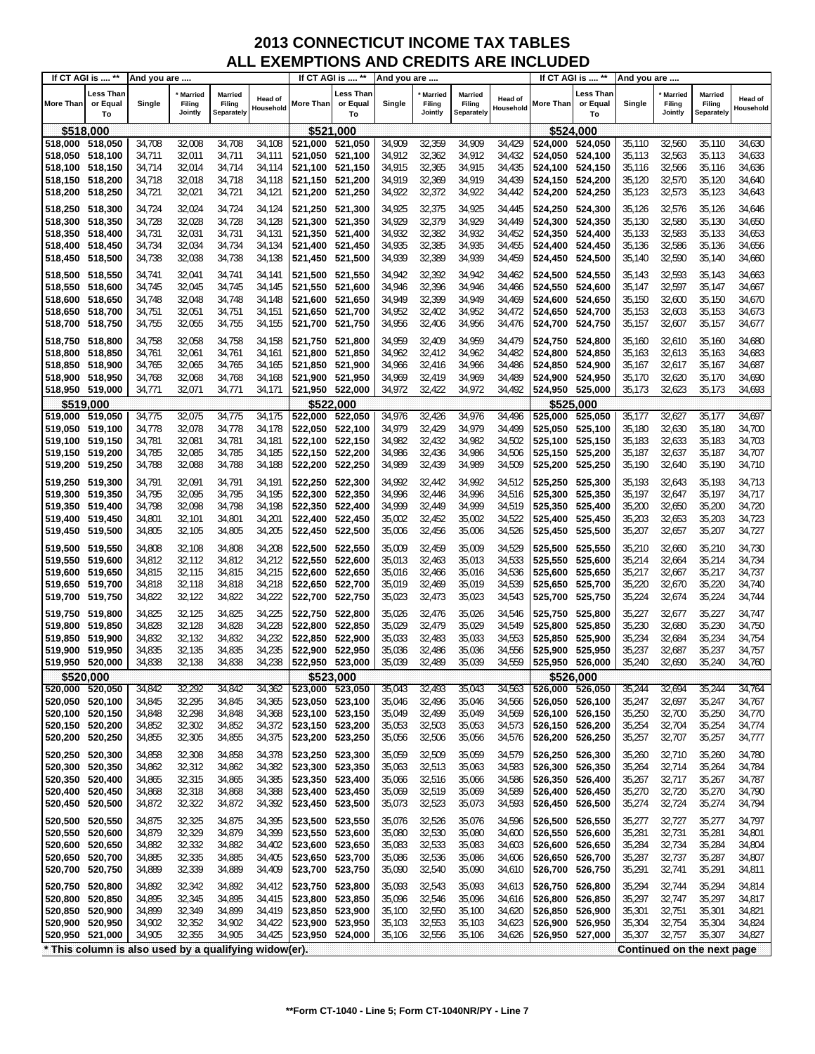|                                                       | If CT AGI is  **            | And you are      |                                     |                                        |                      |                 | If CT AGI is  **            | And you are      |                              |                                 |                      |                                    | If CT AGI is  **            | And you are      |                                     |                                        |                      |
|-------------------------------------------------------|-----------------------------|------------------|-------------------------------------|----------------------------------------|----------------------|-----------------|-----------------------------|------------------|------------------------------|---------------------------------|----------------------|------------------------------------|-----------------------------|------------------|-------------------------------------|----------------------------------------|----------------------|
| More Than                                             | Less Than<br>or Equal<br>To | Single           | <b>Married</b><br>Filing<br>Jointly | Married<br>Filing<br><b>Separately</b> | Head of<br>Household | More Than       | Less Than<br>or Equal<br>To | Single           | Married<br>Filing<br>Jointly | Married<br>Filing<br>Separately | Head of<br>Household | More Than                          | ∟ess Than<br>or Equal<br>To | Single           | <b>Married</b><br>Filing<br>Jointly | <b>Married</b><br>Filing<br>Separately | Head of<br>Household |
| \$518,000                                             |                             |                  |                                     |                                        |                      | \$521,000       |                             |                  |                              |                                 |                      |                                    | \$524,000                   |                  |                                     |                                        |                      |
| 518,000 518,050                                       |                             | 34,708           | 32,008                              | 34,708                                 | 34,108               | 521,000         | 521,050                     | 34,909           | 32,359                       | 34,909                          | 34,429               | 524,000 524,050                    |                             | 35,110           | 32,560                              | 35,110                                 | 34,630               |
| 518,050 518,100                                       |                             | 34,711           | 32,011                              | 34,711                                 | 34,111               | 521,050         | 521,100                     | 34,912           | 32,362                       | 34,912                          | 34,432               | 524,050 524,100                    |                             | 35,113           | 32,563                              | 35,113                                 | 34,633               |
| 518,100 518,150                                       |                             | 34,714           | 32,014                              | 34,714                                 | 34,114               | 521,100         | 521,150                     | 34,915           | 32,365                       | 34,915                          | 34,435               | 524,100 524,150                    |                             | 35,116           | 32,566                              | 35,116                                 | 34,636               |
| 518,150 518,200                                       |                             | 34,718           | 32,018                              | 34,718                                 | 34,118               | 521,150         | 521,200                     | 34,919           | 32,369                       | 34,919                          | 34,439               | 524,150 524,200                    |                             | 35,120           | 32,570                              | 35,120                                 | 34,640               |
| 518,200 518,250                                       |                             | 34,721           | 32,021                              | 34,721                                 | 34,121               | 521,200         | 521,250                     | 34,922           | 32,372                       | 34,922                          | 34,442               | 524,200                            | 524,250                     | 35,123           | 32,573                              | 35,123                                 | 34,643               |
|                                                       |                             |                  |                                     |                                        |                      |                 |                             |                  |                              |                                 |                      |                                    |                             |                  |                                     |                                        |                      |
| 518,250 518,300                                       |                             | 34,724           | 32,024                              | 34,724                                 | 34,124               | 521,250 521,300 |                             | 34,925           | 32,375                       | 34,925                          | 34,445               | 524,250 524,300                    |                             | 35,126           | 32,576                              | 35,126                                 | 34,646               |
| 518,300 518,350                                       |                             | 34,728           | 32,028                              | 34,728                                 | 34,128               | 521,300         | 521,350                     | 34,929           | 32,379                       | 34,929                          | 34,449               | 524,300 524,350                    |                             | 35,130           | 32,580                              | 35,130                                 | 34,650               |
| 518,350                                               | 518,400                     | 34,731           | 32,031                              | 34,731                                 | 34,131               | 521,350         | 521,400                     | 34,932           | 32,382                       | 34,932                          | 34,452               | 524,350                            | 524,400                     | 35,133           | 32,583                              | 35,133                                 | 34,653               |
| 518,400 518,450                                       |                             | 34,734           | 32,034                              | 34,734                                 | 34,134               | 521,400         | 521,450                     | 34,935           | 32,385                       | 34,935                          | 34,455               | 524,400 524,450                    |                             | 35,136           | 32,586                              | 35,136                                 | 34,656               |
| 518,450 518,500                                       |                             | 34,738           | 32,038                              | 34,738                                 | 34,138               | 521,450         | 521,500                     | 34,939           | 32,389                       | 34,939                          | 34,459               | 524,450                            | 524,500                     | 35,140           | 32,590                              | 35,140                                 | 34,660               |
| 518,500 518,550                                       |                             | 34,741           | 32,041                              | 34,741                                 | 34,141               | 521,500 521,550 |                             | 34,942           | 32,392                       | 34,942                          | 34,462               | 524,500 524,550                    |                             | 35,143           | 32,593                              | 35,143                                 | 34,663               |
| 518,550 518,600                                       |                             | 34,745           | 32,045                              | 34,745                                 | 34,145               | 521,550         | 521,600                     | 34,946           | 32,396                       | 34,946                          | 34,466               | 524,550 524,600                    |                             | 35,147           | 32,597                              | 35,147                                 | 34,667               |
| 518,600                                               | 518,650                     | 34,748           | 32,048                              | 34,748                                 | 34,148               | 521,600         | 521,650                     | 34,949           | 32,399                       | 34,949                          | 34,469               | 524,600                            | 524,650                     | 35,150           | 32,600                              | 35,150                                 | 34,670               |
| 518,650 518,700                                       |                             | 34,751           | 32,051                              | 34,751                                 | 34,151               | 521,650         | 521,700                     | 34,952           | 32,402                       | 34,952                          | 34,472               | 524,650 524,700                    |                             | 35,153           | 32,603                              | 35,153                                 | 34,673               |
|                                                       |                             |                  |                                     |                                        |                      |                 |                             |                  |                              |                                 |                      |                                    |                             |                  |                                     |                                        |                      |
| 518,700 518,750                                       |                             | 34,755           | 32,055                              | 34,755                                 | 34,155               | 521,700         | 521,750                     | 34,956           | 32,406                       | 34,956                          | 34,476               | 524,700 524,750                    |                             | 35,157           | 32,607                              | 35,157                                 | 34,677               |
| 518,750 518,800                                       |                             | 34,758           | 32,058                              | 34,758                                 | 34,158               | 521,750 521,800 |                             | 34,959           | 32,409                       | 34,959                          | 34,479               | 524,750 524,800                    |                             | 35,160           | 32,610                              | 35,160                                 | 34,680               |
| 518,800                                               | 518,850                     | 34,761           | 32,061                              | 34,761                                 | 34,161               | 521,800         | 521,850                     | 34,962           | 32,412                       | 34,962                          | 34,482               | 524.800                            | 524,850                     | 35,163           | 32,613                              | 35,163                                 | 34,683               |
| 518,850 518,900                                       |                             | 34,765           | 32,065                              | 34,765                                 | 34,165               | 521,850         | 521,900                     | 34,966           | 32,416                       | 34,966                          | 34,486               | 524,850 524,900                    |                             | 35,167           | 32,617                              | 35,167                                 | 34,687               |
| 518,900 518,950                                       |                             | 34,768           | 32,068                              | 34,768                                 | 34,168               | 521,900         | 521,950                     | 34,969           | 32,419                       | 34,969                          | 34,489               | 524,900 524,950                    |                             | 35,170           | 32,620                              | 35,170                                 | 34,690               |
| 518,950 519,000                                       |                             | 34,771           | 32,071                              | 34,771                                 | 34,171               | 521,950 522,000 |                             | 34,972           | 32,422                       | 34,972                          | 34,492               | 524,950 525,000                    |                             | 35,173           | 32,623                              | 35,173                                 | 34,693               |
| \$519,000                                             |                             |                  |                                     |                                        |                      | \$522,000       |                             |                  |                              |                                 |                      |                                    | \$525.000                   |                  |                                     |                                        |                      |
| 519,000                                               | 519,050                     | 34,775           | 32,075                              | 34,775                                 | 34,175               | 522,000         | 522,050                     | 34,976           | 32,426                       | 34,976                          | 34,496               | 525,000 525,050                    |                             | 35,177           | 32,627                              | 35,177                                 | 34,697               |
| 519,050 519,100                                       |                             | 34,778           | 32,078                              | 34,778                                 | 34,178               | 522,050 522,100 |                             | 34,979           | 32,429                       | 34,979                          | 34,499               | 525,050 525,100                    |                             | 35,180           | 32,630                              | 35,180                                 | 34,700               |
| 519,100 519,150                                       |                             | 34,781           | 32,081                              | 34,781                                 | 34,181               | 522,100 522,150 |                             | 34,982           | 32,432                       | 34,982                          | 34,502               | 525,100 525,150                    |                             | 35,183           | 32,633                              | 35,183                                 | 34,703               |
| 519,150 519,200                                       |                             | 34,785           | 32,085                              | 34,785                                 | 34,185               | 522,150 522,200 |                             | 34,986           | 32,436                       | 34,986                          | 34,506               | 525,150 525,200                    |                             | 35,187           | 32,637                              | 35,187                                 | 34,707               |
| 519,200 519,250                                       |                             | 34,788           | 32,088                              | 34,788                                 | 34,188               | 522,200         | 522,250                     | 34,989           | 32,439                       | 34,989                          | 34,509               | 525,200                            | 525,250                     | 35,190           | 32,640                              | 35,190                                 | 34,710               |
|                                                       |                             |                  |                                     |                                        |                      |                 |                             |                  |                              |                                 |                      |                                    |                             |                  |                                     |                                        |                      |
| 519,250 519,300                                       |                             | 34,791           | 32,091                              | 34,791                                 | 34,191               | 522,250         | 522,300                     | 34,992           | 32,442                       | 34,992                          | 34,512               | 525,250 525,300                    |                             | 35,193           | 32,643                              | 35,193                                 | 34,713               |
| 519,300 519,350                                       |                             | 34,795           | 32,095                              | 34,795                                 | 34,195               | 522,300 522,350 |                             | 34,996           | 32,446                       | 34,996                          | 34,516               | 525,300 525,350                    |                             | 35,197           | 32,647                              | 35,197                                 | 34,717               |
| 519,350                                               | 519,400                     | 34,798           | 32,098                              | 34,798                                 | 34,198               | 522,350         | 522,400                     | 34,999           | 32,449                       | 34,999                          | 34,519               | 525,350                            | 525,400                     | 35,200           | 32,650                              | 35,200                                 | 34,720               |
| 519,400 519,450                                       |                             | 34,801           | 32,101                              | 34,801                                 | 34,201               | 522,400         | 522,450                     | 35,002           | 32,452                       | 35,002                          | 34,522               | 525,400 525,450                    |                             | 35,203           | 32,653                              | 35,203                                 | 34,723               |
| 519,450 519,500                                       |                             | 34,805           | 32,105                              | 34,805                                 | 34,205               | 522,450 522,500 |                             | 35,006           | 32,456                       | 35,006                          | 34,526               | 525,450 525,500                    |                             | 35,207           | 32,657                              | 35,207                                 | 34,727               |
| 519,500 519,550                                       |                             | 34,808           | 32,108                              | 34,808                                 | 34,208               | 522,500 522,550 |                             | 35,009           | 32,459                       | 35,009                          | 34,529               | 525,500 525,550                    |                             | 35,210           | 32,660                              | 35,210                                 | 34,730               |
| 519,550 519,600                                       |                             | 34,812           | 32,112                              | 34,812                                 | 34,212               | 522,550 522,600 |                             | 35,013           | 32,463                       | 35,013                          | 34,533               | 525,550                            | 525,600                     | 35,214           | 32,664                              | 35,214                                 | 34,734               |
| 519,600 519,650                                       |                             | 34,815           | 32,115                              | 34,815                                 | 34,215               | 522,600 522,650 |                             | 35,016           | 32,466                       | 35,016                          | 34,536               | 525,600 525,650                    |                             | 35,217           | 32,667                              | 35,217                                 | 34,737               |
| 519,650 519,700                                       |                             | 34,818           | 32,118                              | 34,818                                 | 34,218               | 522,650 522,700 |                             | 35,019           | 32,469                       | 35,019                          | 34,539               | 525,650 525,700                    |                             | 35,220           | 32,670                              | 35,220                                 | 34,740               |
| 519,700 519,750                                       |                             | 34,822           | 32,122                              | 34,822                                 | 34,222               | 522,700         | 522,750                     | 35,023           | 32,473                       | 35,023                          | 34,543               | 525,700                            | 525,750                     | 35,224           | 32,674                              | 35,224                                 | 34,744               |
| 519,750 519,800                                       |                             | 34,825           | 32,125                              | 34,825                                 | 34,225               | 522,750         | 522,800                     | 35,026           | 32,476                       | 35,026                          | 34,546               | 525,750                            | 525,800                     | 35,227           | 32,677                              | 35,227                                 | 34,747               |
| 519,800                                               | 519,850                     | 34,828           | 32,128                              | 34,828                                 | 34,228               | 522,800         | 522,850                     | 35,029           | 32,479                       | 35,029                          | 34,549               | 525,800                            | 525,850                     | 35,230           | 32,680                              | 35,230                                 | 34,750               |
| 519,850 519,900                                       |                             | 34,832           | 32,132                              | 34,832                                 | 34,232               | 522,850         | 522,900                     | 35,033           | 32,483                       | 35,033                          | 34,553               | 525,850                            | 525,900                     | 35,234           | 32,684                              | 35,234                                 | 34,754               |
| 519,900                                               | 519,950                     | 34,835           | 32,135                              | 34,835                                 | 34,235               | 522,900         | 522,950                     | 35,036           | 32,486                       | 35,036                          | 34,556               | 525,900                            | 525,950                     | 35,237           | 32,687                              | 35,237                                 | 34,757               |
| 519,950 520,000                                       |                             | 34,838           | 32,138                              | 34,838                                 | 34,238               | 522,950 523,000 |                             | 35,039           | 32,489                       | 35,039                          | 34,559               | 525,950 526,000                    |                             | 35,240           | 32,690                              | 35,240                                 | 34,760               |
|                                                       |                             |                  |                                     |                                        |                      |                 |                             |                  |                              |                                 |                      |                                    |                             |                  |                                     |                                        |                      |
| \$520,000<br>520,000 520,050                          |                             |                  |                                     |                                        |                      | 523,000 523,050 | \$523,000                   |                  | 32,493                       | 35,043                          | 34,563               | 526,000 526,050                    | \$526,000                   |                  | 32,694                              |                                        | 34,764               |
| 520,050 520,100                                       |                             | 34,842<br>34,845 | 32,292<br>32,295                    | 34,842<br>34,845                       | 34,362<br>34,365     | 523,050 523,100 |                             | 35,043<br>35,046 | 32,496                       | 35,046                          | 34,566               |                                    | 526,050 526,100             | 35,244<br>35,247 | 32,697                              | 35,244<br>35,247                       | 34,767               |
|                                                       |                             |                  | 32,298                              |                                        |                      | 523,100 523,150 |                             |                  | 32,499                       | 35,049                          |                      |                                    |                             | 35,250           | 32,700                              | 35,250                                 |                      |
| 520,100 520,150<br>520,150 520,200                    |                             | 34,848<br>34,852 | 32,302                              | 34,848<br>34,852                       | 34,368<br>34,372     | 523,150 523,200 |                             | 35,049<br>35,053 | 32,503                       | 35,053                          | 34,569<br>34,573     | 526,100 526,150<br>526,150 526,200 |                             | 35,254           | 32,704                              | 35,254                                 | 34,770<br>34,774     |
| 520,200                                               | 520,250                     | 34,855           | 32,305                              | 34,855                                 | 34,375               | 523,200         | 523,250                     | 35,056           | 32,506                       | 35,056                          | 34,576               | 526,200                            | 526,250                     | 35,257           | 32,707                              | 35,257                                 | 34,777               |
|                                                       |                             |                  |                                     |                                        |                      |                 |                             |                  |                              |                                 |                      |                                    |                             |                  |                                     |                                        |                      |
| 520,250                                               | 520,300                     | 34,858           | 32,308                              | 34,858                                 | 34,378               | 523,250 523,300 |                             | 35,059           | 32,509                       | 35,059                          | 34,579               | 526,250 526,300                    |                             | 35,260           | 32,710                              | 35,260                                 | 34,780               |
| 520,300                                               | 520,350                     | 34,862           | 32,312                              | 34,862                                 | 34,382               | 523,300         | 523,350                     | 35,063           | 32,513                       | 35,063                          | 34,583               | 526,300 526,350                    |                             | 35,264           | 32,714                              | 35,264                                 | 34,784               |
| 520,350                                               | 520,400                     | 34,865           | 32,315                              | 34,865                                 | 34,385               | 523,350 523,400 |                             | 35,066           | 32,516                       | 35,066                          | 34,586               | 526,350 526,400                    |                             | 35,267           | 32,717                              | 35,267                                 | 34,787               |
| 520,400                                               | 520,450                     | 34,868           | 32,318                              | 34,868                                 | 34,388               | 523,400 523,450 |                             | 35,069           | 32,519                       | 35,069                          | 34,589               | 526,400 526,450                    |                             | 35,270           | 32,720                              | 35,270                                 | 34,790               |
| 520,450                                               | 520,500                     | 34,872           | 32,322                              | 34,872                                 | 34,392               | 523,450 523,500 |                             | 35,073           | 32,523                       | 35,073                          | 34,593               | 526,450 526,500                    |                             | 35,274           | 32,724                              | 35,274                                 | 34,794               |
| 520,500 520,550                                       |                             | 34,875           | 32,325                              | 34,875                                 | 34,395               | 523,500 523,550 |                             | 35,076           | 32,526                       | 35,076                          | 34,596               | 526,500 526,550                    |                             | 35,277           | 32,727                              | 35,277                                 | 34,797               |
| 520,550                                               | 520,600                     | 34,879           | 32,329                              | 34,879                                 | 34,399               | 523,550         | 523,600                     | 35,080           | 32,530                       | 35,080                          | 34,600               | 526,550                            | 526,600                     | 35,281           | 32,731                              | 35,281                                 | 34,801               |
| 520,600                                               | 520,650                     | 34,882           | 32,332                              | 34,882                                 | 34,402               | 523,600         | 523,650                     | 35,083           | 32,533                       | 35,083                          | 34,603               | 526,600 526,650                    |                             | 35,284           | 32,734                              | 35,284                                 | 34,804               |
| 520,650                                               | 520,700                     | 34,885           | 32,335                              | 34,885                                 | 34,405               | 523,650 523,700 |                             | 35,086           | 32,536                       | 35,086                          | 34,606               | 526,650                            | 526,700                     | 35,287           | 32,737                              | 35,287                                 | 34,807               |
| 520,700                                               | 520,750                     | 34,889           | 32,339                              | 34,889                                 | 34,409               | 523,700         | 523,750                     | 35,090           | 32,540                       | 35,090                          | 34,610               | 526,700                            | 526,750                     | 35,291           | 32,741                              | 35,291                                 | 34,811               |
|                                                       |                             |                  |                                     |                                        |                      |                 |                             |                  |                              |                                 |                      |                                    |                             |                  |                                     |                                        |                      |
| 520,750                                               | 520,800                     | 34,892           | 32,342                              | 34,892                                 | 34,412               | 523,750 523,800 |                             | 35,093           | 32,543                       | 35,093                          | 34,613               | 526,750                            | 526,800                     | 35,294           | 32,744                              | 35,294                                 | 34,814               |
| 520,800                                               | 520,850                     | 34,895           | 32,345                              | 34,895                                 | 34,415               | 523,800         | 523,850                     | 35,096           | 32,546                       | 35,096                          | 34,616               | 526,800                            | 526,850                     | 35,297           | 32,747                              | 35,297                                 | 34,817               |
| 520,850                                               | 520,900                     | 34,899           | 32,349                              | 34,899                                 | 34,419               | 523,850 523,900 |                             | 35,100           | 32,550                       | 35,100                          | 34,620               | 526,850 526,900                    |                             | 35,301           | 32,751                              | 35,301                                 | 34,821               |
| 520,900 520,950                                       |                             | 34,902           | 32,352                              | 34,902                                 | 34,422               | 523,900 523,950 |                             | 35,103           | 32,553                       | 35,103                          | 34,623               | 526,900 526,950                    |                             | 35,304           | 32,754                              | 35,304                                 | 34,824               |
| 520,950 521,000                                       |                             | 34,905           | 32,355                              | 34,905                                 | 34,425               | 523,950 524,000 |                             | 35,106           | 32,556                       | 35,106                          | 34,626               | 526,950 527,000                    |                             | 35,307           | 32,757                              | 35,307                                 | 34,827               |
| * This column is also used by a qualifying widow(er). |                             |                  |                                     |                                        |                      |                 |                             |                  |                              |                                 |                      |                                    |                             |                  |                                     | Continued on the next page             |                      |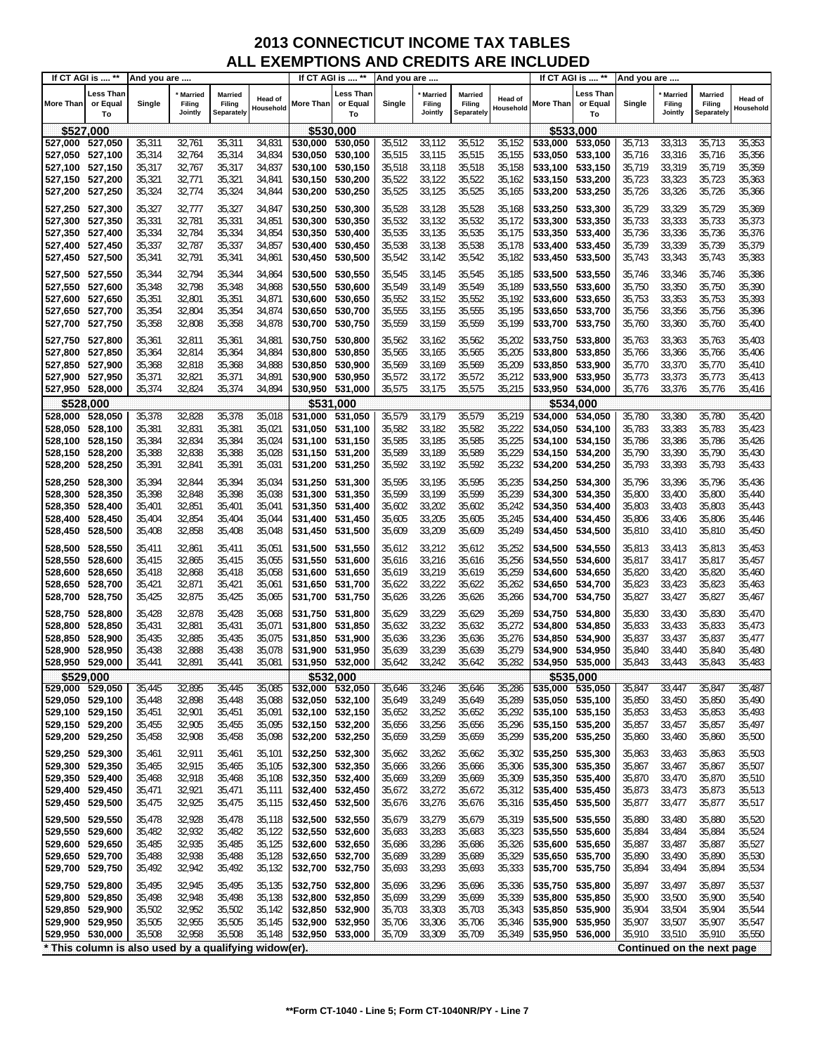|                                    | If CT AGI is  **                                      | And you are      |                              |                                        |                      |                                    | If CT AGI is  **            | And you are      |                                     |                                        |                             |                                    | If CT AGI is  **            | And you are      |                                     |                                 |                             |
|------------------------------------|-------------------------------------------------------|------------------|------------------------------|----------------------------------------|----------------------|------------------------------------|-----------------------------|------------------|-------------------------------------|----------------------------------------|-----------------------------|------------------------------------|-----------------------------|------------------|-------------------------------------|---------------------------------|-----------------------------|
| More Than                          | Less Than<br>or Equal<br>To                           | Single           | Married<br>Filing<br>Jointly | Married<br>Filing<br><b>Separately</b> | Head of<br>Household | More Than                          | Less Than<br>or Equal<br>To | Single           | <b>Married</b><br>Filing<br>Jointly | <b>Married</b><br>Filing<br>Separately | <b>Head of</b><br>Household | <b>More Than</b>                   | Less Than<br>or Equal<br>To | Single           | <b>Married</b><br>Filing<br>Jointly | Married<br>Filing<br>Separately | <b>Head of</b><br>Household |
| \$527,000                          |                                                       |                  |                              |                                        |                      | \$530,000                          |                             |                  |                                     |                                        |                             |                                    | \$533,000                   |                  |                                     |                                 |                             |
| 527,000                            | 527,050                                               | 35,311           | 32,761                       | 35,311                                 | 34,831               | 530,000                            | 530,050                     | 35,512           | 33,112                              | 35,512                                 | 35,152                      | 533,000                            | 533,050                     | 35,713           | 33,313                              | 35,713                          | 35,353                      |
| 527,050                            | 527,100                                               | 35,314           | 32,764                       | 35,314                                 | 34,834               | 530,050                            | 530,100                     | 35,515           | 33,115                              | 35,515                                 | 35,155                      | 533,050                            | 533,100                     | 35,716           | 33,316                              | 35,716                          | 35,356                      |
| 527,100 527,150                    |                                                       | 35,317           | 32,767                       | 35,317                                 | 34,837               | 530,100                            | 530,150                     | 35,518           | 33,118                              | 35,518                                 | 35,158                      | 533,100 533,150                    |                             | 35,719           | 33,319                              | 35,719                          | 35,359                      |
| 527,150 527,200                    |                                                       | 35,321           | 32,771                       | 35,321                                 | 34,841               | 530,150                            | 530,200                     | 35,522           | 33,122                              | 35,522                                 | 35,162                      | 533,150 533,200                    |                             | 35,723           | 33,323                              | 35,723                          | 35,363                      |
| 527,200 527,250                    |                                                       | 35,324           | 32,774                       | 35,324                                 | 34,844               | 530,200                            | 530,250                     | 35,525           | 33,125                              | 35,525                                 | 35,165                      | 533,200 533,250                    |                             | 35,726           | 33,326                              | 35,726                          | 35,366                      |
| 527,250 527,300                    |                                                       | 35,327           | 32,777                       | 35,327                                 | 34,847               | 530,250                            | 530.300                     | 35,528           | 33,128                              | 35,528                                 | 35,168                      | 533,250 533,300                    |                             | 35,729           | 33,329                              | 35,729                          | 35,369                      |
| 527,300 527,350                    |                                                       | 35,331           | 32,781                       | 35,331                                 | 34,851               | 530,300                            | 530,350                     | 35,532           | 33,132                              | 35,532                                 | 35,172                      | 533,300 533,350                    |                             | 35,733           | 33,333                              | 35,733                          | 35,373                      |
| 527,350 527,400                    |                                                       | 35,334           | 32,784                       | 35,334                                 | 34,854               | 530,350                            | 530,400                     | 35,535           | 33,135                              | 35,535                                 | 35,175                      | 533,350 533,400                    |                             | 35,736           | 33,336                              | 35,736                          | 35,376                      |
| 527,400 527,450                    |                                                       | 35,337           | 32,787                       | 35,337                                 | 34,857               | 530,400                            | 530,450                     | 35,538           | 33,138                              | 35,538                                 | 35,178                      | 533,400 533,450                    |                             | 35,739           | 33,339                              | 35,739                          | 35,379                      |
| 527,450 527,500                    |                                                       | 35,341           | 32,791                       | 35,341                                 | 34,861               | 530,450                            | 530,500                     | 35,542           | 33,142                              | 35,542                                 | 35,182                      | 533,450 533,500                    |                             | 35,743           | 33,343                              | 35,743                          | 35,383                      |
| 527,500 527,550                    |                                                       | 35,344           | 32,794                       | 35,344                                 | 34,864               | 530,500                            | 530,550                     | 35,545           | 33,145                              | 35,545                                 | 35,185                      | 533,500 533,550                    |                             | 35,746           | 33,346                              | 35,746                          | 35,386                      |
| 527,550 527,600                    |                                                       | 35,348           | 32,798                       | 35,348                                 | 34,868               | 530,550                            | 530,600                     | 35,549           | 33,149                              | 35,549                                 | 35,189                      | 533,550 533,600                    |                             | 35,750           | 33,350                              | 35,750                          | 35,390                      |
| 527,600<br>527,650 527,700         | 527,650                                               | 35,351<br>35,354 | 32,801<br>32,804             | 35,351<br>35,354                       | 34,871<br>34,874     | 530,600<br>530,650                 | 530,650<br>530,700          | 35,552<br>35,555 | 33,152<br>33,155                    | 35,552<br>35,555                       | 35,192<br>35,195            | 533,600<br>533,650 533,700         | 533,650                     | 35,753<br>35,756 | 33,353<br>33,356                    | 35,753<br>35,756                | 35,393<br>35,396            |
| 527,700 527,750                    |                                                       | 35,358           | 32,808                       | 35,358                                 | 34,878               | 530,700                            | 530,750                     | 35,559           | 33,159                              | 35,559                                 | 35,199                      | 533,700                            | 533,750                     | 35,760           | 33,360                              | 35,760                          | 35,400                      |
|                                    |                                                       |                  |                              |                                        |                      |                                    |                             |                  |                                     |                                        |                             |                                    |                             |                  |                                     |                                 |                             |
| 527,750 527,800                    |                                                       | 35,361           | 32,811                       | 35,361                                 | 34,881               | 530,750                            | 530,800                     | 35,562           | 33,162                              | 35,562                                 | 35,202                      | 533,750                            | 533,800                     | 35,763           | 33,363                              | 35,763                          | 35,403                      |
| 527,800<br>527,850                 | 527,850<br>527,900                                    | 35,364<br>35,368 | 32,814<br>32,818             | 35,364<br>35,368                       | 34,884<br>34,888     | 530,800<br>530,850                 | 530,850<br>530,900          | 35,565<br>35,569 | 33,165<br>33,169                    | 35,565<br>35,569                       | 35,205<br>35,209            | 533,800<br>533,850 533,900         | 533,850                     | 35,766<br>35,770 | 33,366<br>33,370                    | 35,766<br>35,770                | 35,406<br>35,410            |
| 527,900 527,950                    |                                                       | 35,371           | 32,821                       | 35,371                                 | 34,891               | 530,900                            | 530,950                     | 35,572           | 33,172                              | 35,572                                 | 35,212                      | 533,900 533,950                    |                             | 35,773           | 33,373                              | 35,773                          | 35,413                      |
| 527,950 528,000                    |                                                       | 35,374           | 32,824                       | 35,374                                 | 34,894               | 530,950 531,000                    |                             | 35,575           | 33,175                              | 35,575                                 | 35,215                      | 533,950 534,000                    |                             | 35,776           | 33,376                              | 35,776                          | 35,416                      |
| \$528,000                          |                                                       |                  |                              |                                        |                      |                                    | \$531,000                   |                  |                                     |                                        |                             |                                    | \$534.000                   |                  |                                     |                                 |                             |
| 528,000                            | 528,050                                               | 35,378           | 32,828                       | 35,378                                 | 35,018               | 531.000                            | 531,050                     | 35,579           | 33,179                              | 35,579                                 | 35,219                      | 534,000                            | 534,050                     | 35,780           | 33,380                              | 35,780                          | 35,420                      |
| 528,050                            | 528,100                                               | 35,381           | 32,831                       | 35,381                                 | 35,021               | 531,050                            | 531,100                     | 35,582           | 33,182                              | 35,582                                 | 35,222                      | 534,050 534,100                    |                             | 35,783           | 33,383                              | 35,783                          | 35,423                      |
| 528,100                            | 528,150                                               | 35,384           | 32,834                       | 35,384                                 | 35,024               | 531,100                            | 531,150                     | 35,585           | 33,185                              | 35,585                                 | 35,225                      | 534,100 534,150                    |                             | 35,786           | 33,386                              | 35,786                          | 35,426                      |
| 528,150 528,200                    |                                                       | 35,388           | 32,838                       | 35,388                                 | 35,028               | 531,150 531,200                    |                             | 35,589           | 33,189                              | 35,589                                 | 35,229                      | 534,150 534,200                    |                             | 35,790           | 33,390                              | 35,790                          | 35,430                      |
| 528,200                            | 528,250                                               | 35,391           | 32,841                       | 35,391                                 | 35,031               | 531,200                            | 531,250                     | 35,592           | 33,192                              | 35,592                                 | 35,232                      | 534,200 534,250                    |                             | 35,793           | 33,393                              | 35,793                          | 35,433                      |
| 528,250 528,300                    |                                                       | 35,394           | 32,844                       | 35,394                                 | 35,034               | 531,250 531,300                    |                             | 35,595           | 33,195                              | 35,595                                 | 35,235                      | 534,250 534,300                    |                             | 35,796           | 33,396                              | 35,796                          | 35,436                      |
| 528,300                            | 528,350                                               | 35,398           | 32,848                       | 35,398                                 | 35,038               | 531,300                            | 531,350                     | 35,599           | 33,199                              | 35,599                                 | 35,239                      | 534,300                            | 534,350                     | 35,800           | 33,400                              | 35,800                          | 35,440                      |
| 528,350                            | 528,400                                               | 35,401           | 32,851                       | 35,401                                 | 35,041               | 531,350                            | 531,400                     | 35,602           | 33,202                              | 35,602                                 | 35,242                      | 534,350                            | 534,400                     | 35,803           | 33,403                              | 35,803                          | 35,443                      |
| 528,400                            | 528,450                                               | 35,404           | 32,854                       | 35,404                                 | 35,044               | 531,400                            | 531,450                     | 35,605           | 33,205                              | 35,605                                 | 35,245                      | 534,400 534,450                    |                             | 35,806           | 33,406                              | 35,806                          | 35,446                      |
| 528,450 528,500                    |                                                       | 35,408           | 32,858                       | 35,408                                 | 35,048               | 531,450                            | 531,500                     | 35,609           | 33,209                              | 35,609                                 | 35,249                      | 534,450 534,500                    |                             | 35,810           | 33,410                              | 35,810                          | 35,450                      |
| 528,500                            | 528,550                                               | 35,411           | 32,861                       | 35,411                                 | 35,051               | 531,500                            | 531,550                     | 35,612           | 33,212                              | 35,612                                 | 35,252                      | 534,500                            | 534,550                     | 35,813           | 33,413                              | 35,813                          | 35,453                      |
| 528,550                            | 528,600                                               | 35,415           | 32,865                       | 35,415                                 | 35,055               | 531,550                            | 531,600                     | 35,616           | 33,216                              | 35,616                                 | 35,256                      | 534,550                            | 534,600                     | 35,817           | 33,417                              | 35,817                          | 35,457                      |
| 528,600<br>528,650                 | 528,650<br>528,700                                    | 35,418<br>35,421 | 32,868<br>32,871             | 35,418<br>35,421                       | 35,058<br>35,061     | 531,600<br>531,650 531,700         | 531,650                     | 35,619<br>35,622 | 33,219<br>33,222                    | 35,619<br>35,622                       | 35,259<br>35,262            | 534,600<br>534,650                 | 534,650<br>534,700          | 35,820<br>35,823 | 33,420<br>33,423                    | 35,820<br>35,823                | 35,460<br>35,463            |
| 528,700 528,750                    |                                                       | 35,425           | 32,875                       | 35,425                                 | 35,065               | 531,700 531,750                    |                             | 35,626           | 33,226                              | 35,626                                 | 35,266                      | 534,700 534,750                    |                             | 35,827           | 33,427                              | 35,827                          | 35,467                      |
|                                    |                                                       |                  |                              |                                        |                      |                                    |                             |                  |                                     |                                        |                             |                                    |                             |                  |                                     |                                 |                             |
| 528,750<br>528,800                 | 528,800<br>528,850                                    | 35,428<br>35,431 | 32,878<br>32,881             | 35,428<br>35,431                       | 35,068<br>35,071     | 531,750<br>531,800                 | 531,800<br>531,850          | 35,629<br>35,632 | 33,229<br>33,232                    | 35,629<br>35,632                       | 35,269<br>35,272            | 534,750<br>534,800                 | 534,800<br>534,850          | 35,830<br>35,833 | 33,430<br>33,433                    | 35,830<br>35,833                | 35,470<br>35,473            |
| 528,850                            | 528,900                                               | 35,435           | 32,885                       | 35,435                                 | 35,075               | 531,850                            | 531,900                     | 35,636           | 33,236                              | 35,636                                 | 35,276                      | 534,850                            | 534,900                     | 35,837           | 33,437                              | 35,837                          | 35,477                      |
| 528,900                            | 528,950                                               | 35,438           | 32,888                       | 35,438                                 | 35,078               | 531,900                            | 531,950                     | 35,639           | 33,239                              | 35,639                                 | 35,279                      | 534,900                            | 534,950                     | 35,840           | 33,440                              | 35,840                          | 35,480                      |
| 528,950 529,000                    |                                                       | 35,441           | 32,891                       | 35,441                                 | 35,081               | 531,950 532,000                    |                             | 35,642           | 33,242                              | 35,642                                 | 35,282                      | 534,950 535,000                    |                             | 35,843           | 33,443                              | 35,843                          | 35,483                      |
|                                    | \$529,000                                             |                  |                              |                                        |                      |                                    | \$532,000                   |                  |                                     |                                        |                             |                                    | \$535,000                   |                  |                                     |                                 |                             |
| 529,000 529,050                    |                                                       | 35,445           | 32,895                       | 35,445                                 | 35,085               | 532,000 532,050                    |                             | 35,646           | 33,246                              | 35,646                                 | 35,286                      | 535,000 535,050                    |                             | 35,847           | 33,447                              | 35,847                          | 35,487                      |
| 529,050 529,100                    |                                                       | 35,448           | 32,898                       | 35,448                                 | 35,088               | 532,050 532,100                    |                             | 35,649           | 33,249                              | 35,649                                 | 35,289                      | 535,050 535,100                    |                             | 35,850           | 33,450                              | 35,850                          | 35,490                      |
| 529,100 529,150<br>529,150 529,200 |                                                       | 35,451<br>35,455 | 32,901<br>32,905             | 35,451<br>35,455                       | 35,091<br>35,095     | 532,100 532,150<br>532,150 532,200 |                             | 35,652<br>35,656 | 33,252<br>33,256                    | 35,652<br>35,656                       | 35,292<br>35,296            | 535,100 535,150<br>535,150 535,200 |                             | 35,853<br>35,857 | 33,453<br>33,457                    | 35,853<br>35,857                | 35,493<br>35,497            |
| 529,200 529,250                    |                                                       | 35,458           | 32,908                       | 35,458                                 | 35,098               | 532,200 532,250                    |                             | 35,659           | 33,259                              | 35,659                                 | 35,299                      | 535,200 535,250                    |                             | 35,860           | 33,460                              | 35,860                          | 35,500                      |
|                                    |                                                       |                  |                              |                                        |                      |                                    |                             |                  |                                     |                                        |                             |                                    |                             |                  |                                     |                                 |                             |
| 529,250 529,300<br>529,300 529,350 |                                                       | 35,461<br>35,465 | 32,911<br>32,915             | 35,461<br>35,465                       | 35,101<br>35,105     | 532,250 532,300<br>532,300 532,350 |                             | 35,662<br>35,666 | 33,262<br>33,266                    | 35,662<br>35,666                       | 35,302<br>35,306            | 535,250 535,300<br>535,300 535,350 |                             | 35,863<br>35,867 | 33,463<br>33,467                    | 35,863<br>35,867                | 35,503<br>35,507            |
| 529,350                            | 529,400                                               | 35,468           | 32,918                       | 35,468                                 | 35,108               | 532,350 532,400                    |                             | 35,669           | 33,269                              | 35,669                                 | 35,309                      | 535,350 535,400                    |                             | 35,870           | 33,470                              | 35,870                          | 35,510                      |
| 529,400 529,450                    |                                                       | 35,471           | 32,921                       | 35,471                                 | 35,111               | 532,400 532,450                    |                             | 35,672           | 33,272                              | 35,672                                 | 35,312                      | 535,400 535,450                    |                             | 35,873           | 33,473                              | 35,873                          | 35,513                      |
| 529,450                            | 529,500                                               | 35,475           | 32,925                       | 35,475                                 | 35,115               | 532,450 532,500                    |                             | 35,676           | 33,276                              | 35,676                                 | 35,316                      | 535,450 535,500                    |                             | 35,877           | 33,477                              | 35,877                          | 35,517                      |
| 529,500 529,550                    |                                                       | 35,478           | 32,928                       | 35,478                                 | 35,118               | 532,500 532,550                    |                             | 35,679           | 33,279                              | 35,679                                 | 35,319                      | 535,500 535,550                    |                             | 35,880           | 33,480                              | 35,880                          | 35,520                      |
| 529,550                            | 529,600                                               | 35,482           | 32,932                       | 35,482                                 | 35,122               | 532,550 532,600                    |                             | 35,683           | 33,283                              | 35,683                                 | 35,323                      | 535,550 535,600                    |                             | 35,884           | 33,484                              | 35,884                          | 35,524                      |
| 529,600 529,650                    |                                                       | 35,485           | 32,935                       | 35,485                                 | 35,125               | 532,600 532,650                    |                             | 35,686           | 33,286                              | 35,686                                 | 35,326                      | 535,600 535,650                    |                             | 35,887           | 33,487                              | 35,887                          | 35,527                      |
| 529,650 529,700                    |                                                       | 35,488           | 32,938                       | 35,488                                 | 35,128               | 532,650 532,700                    |                             | 35,689           | 33,289                              | 35,689                                 | 35,329                      | 535,650 535,700                    |                             | 35,890           | 33,490                              | 35,890                          | 35,530                      |
| 529,700 529,750                    |                                                       | 35,492           | 32,942                       | 35,492                                 | 35,132               | 532,700 532,750                    |                             | 35,693           | 33,293                              | 35,693                                 | 35,333                      | 535,700 535,750                    |                             | 35,894           | 33,494                              | 35,894                          | 35,534                      |
| 529,750 529,800                    |                                                       | 35,495           | 32,945                       | 35,495                                 | 35,135               | 532,750 532,800                    |                             | 35,696           | 33,296                              | 35,696                                 | 35,336                      | 535,750 535,800                    |                             | 35,897           | 33,497                              | 35,897                          | 35,537                      |
| 529,800                            | 529,850                                               | 35,498           | 32,948                       | 35,498                                 | 35,138               | 532,800                            | 532,850                     | 35,699           | 33,299                              | 35,699                                 | 35,339                      | 535,800                            | 535,850                     | 35,900           | 33,500                              | 35,900                          | 35,540                      |
| 529,850                            | 529,900                                               | 35,502           | 32,952                       | 35,502                                 | 35,142               | 532,850 532,900                    |                             | 35,703           | 33,303                              | 35,703                                 | 35,343                      | 535,850 535,900                    |                             | 35,904           | 33,504                              | 35,904                          | 35,544                      |
| 529,900                            | 529,950                                               | 35,505           | 32,955                       | 35,505                                 | 35,145               | 532,900                            | 532,950                     | 35,706           | 33,306                              | 35,706                                 | 35,346                      | 535,900                            | 535,950                     | 35,907           | 33,507                              | 35,907                          | 35,547                      |
| 529,950 530,000                    |                                                       | 35,508           | 32,958                       | 35,508                                 | 35,148               | 532,950 533,000                    |                             | 35,709           | 33,309                              | 35,709                                 | 35,349                      | 535,950 536,000                    |                             | 35,910           | 33,510                              | 35,910                          | 35,550                      |
|                                    | * This column is also used by a qualifying widow(er). |                  |                              |                                        |                      |                                    |                             |                  |                                     |                                        |                             |                                    |                             |                  |                                     | Continued on the next page      |                             |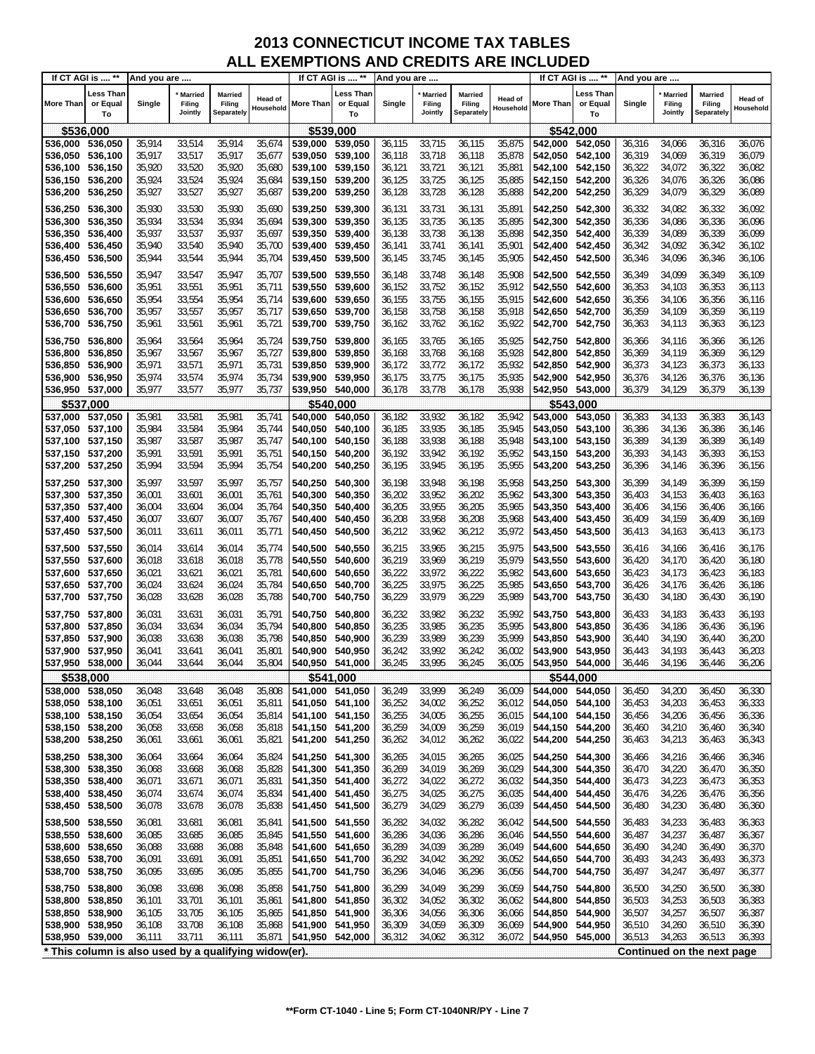| If CT AGI is  **   |                                                       | And you are      |                                |                                        |                      | If CT AGI is  **                   |                                    | And you are      |                                     |                                 | If CT AGI is  **     |                                    | And you are                 |                  |                                     |                                 |                             |
|--------------------|-------------------------------------------------------|------------------|--------------------------------|----------------------------------------|----------------------|------------------------------------|------------------------------------|------------------|-------------------------------------|---------------------------------|----------------------|------------------------------------|-----------------------------|------------------|-------------------------------------|---------------------------------|-----------------------------|
| <b>More Than</b>   | Less Than<br>or Equal<br>To                           | Single           | * Married<br>Filing<br>Jointly | <b>Married</b><br>Filing<br>Separately | Head of<br>Household | More Than                          | <b>Less Than</b><br>or Equal<br>To | Single           | <b>Married</b><br>Filing<br>Jointly | Married<br>Filing<br>Separately | Head of<br>Household | More Than                          | Less Than<br>or Equal<br>To | Single           | <b>Married</b><br>Filing<br>Jointly | Married<br>Filing<br>Separately | <b>Head of</b><br>Household |
| \$536,000          |                                                       |                  |                                |                                        |                      | \$539,000                          |                                    |                  |                                     |                                 |                      |                                    | \$542,000                   |                  |                                     |                                 |                             |
| 536,000            | 536,050                                               | 35,914           | 33,514                         | 35,914                                 | 35,674               | 539,000                            | 539,050                            | 36,115           | 33,715                              | 36,115                          | 35,875               | 542,000 542,050                    |                             | 36,316           | 34,066                              | 36,316                          | 36,076                      |
| 536,050            | 536,100                                               | 35,917           | 33,517                         | 35,917                                 | 35,677               | 539,050                            | 539,100                            | 36,118           | 33,718                              | 36,118                          | 35,878               | 542,050 542,100                    |                             | 36,319           | 34,069                              | 36,319                          | 36,079                      |
| 536,100            | 536,150                                               | 35,920           | 33,520                         | 35,920                                 | 35,680               | 539,100                            | 539,150                            | 36,121           | 33,721                              | 36,121                          | 35,881               | 542,100 542,150                    |                             | 36,322           | 34,072                              | 36,322                          | 36,082                      |
| 536,150            | 536,200                                               | 35,924           | 33,524                         | 35,924                                 | 35,684               | 539,150 539,200                    |                                    | 36,125           | 33,725                              | 36,125                          | 35,885               | 542,150 542,200                    |                             | 36,326           | 34,076                              | 36,326                          | 36,086                      |
| 536,200            | 536,250                                               | 35,927           | 33,527                         | 35,927                                 | 35,687               | 539,200                            | 539,250                            | 36,128           | 33,728                              | 36,128                          | 35,888               | 542,200                            | 542,250                     | 36,329           | 34,079                              | 36,329                          | 36,089                      |
| 536,250            | 536,300                                               | 35,930           | 33,530                         | 35,930                                 | 35,690               | 539,250 539,300                    |                                    | 36,131           | 33,731                              | 36,131                          | 35,891               | 542,250 542,300                    |                             | 36,332           | 34,082                              | 36,332                          | 36,092                      |
| 536,300            | 536,350                                               | 35,934           | 33,534                         | 35,934                                 | 35,694               | 539,300                            | 539,350                            | 36,135           | 33,735                              | 36,135                          | 35,895               | 542,300 542,350                    |                             | 36,336           | 34,086                              | 36,336                          | 36,096                      |
| 536,350            | 536,400                                               | 35,937           | 33,537                         | 35,937                                 | 35,697               | 539,350                            | 539,400                            | 36,138           | 33,738                              | 36,138                          | 35,898               | 542,350 542,400                    |                             | 36,339           | 34,089                              | 36,339                          | 36,099                      |
| 536,400            | 536,450                                               | 35,940           | 33,540                         | 35,940                                 | 35,700               | 539,400                            | 539,450                            | 36,141           | 33,741                              | 36,141                          | 35,901               | 542,400 542,450                    |                             | 36,342           | 34,092                              | 36,342                          | 36,102                      |
| 536,450            | 536,500                                               | 35,944           | 33,544                         | 35,944                                 | 35,704               | 539,450                            | 539,500                            | 36,145           | 33,745                              | 36,145                          | 35,905               | 542,450                            | 542,500                     | 36,346           | 34,096                              | 36,346                          | 36,106                      |
| 536,500            | 536,550                                               | 35,947           | 33,547                         | 35,947                                 | 35,707               | 539,500                            | 539,550                            | 36,148           | 33,748                              | 36,148                          | 35,908               | 542,500 542,550                    |                             | 36,349           | 34,099                              | 36,349                          | 36,109                      |
| 536,550            | 536,600                                               | 35,951           | 33,551                         | 35,951                                 | 35,711               | 539,550                            | 539,600                            | 36,152           | 33,752                              | 36,152                          | 35,912               | 542,550 542,600                    |                             | 36,353           | 34,103                              | 36,353                          | 36,113                      |
| 536,600            | 536,650                                               | 35,954           | 33,554                         | 35,954                                 | 35,714               | 539,600                            | 539,650                            | 36,155           | 33,755                              | 36,155                          | 35,915               | 542,600                            | 542,650                     | 36,356           | 34,106                              | 36,356                          | 36,116                      |
| 536,650<br>536,700 | 536,700<br>536,750                                    | 35,957<br>35,961 | 33,557<br>33,561               | 35,957<br>35,961                       | 35,717               | 539,650<br>539,700                 | 539,700<br>539,750                 | 36,158<br>36,162 | 33,758<br>33,762                    | 36,158<br>36,162                | 35,918<br>35,922     | 542,650 542,700<br>542,700         | 542,750                     | 36,359<br>36,363 | 34,109<br>34,113                    | 36,359<br>36,363                | 36,119                      |
|                    |                                                       |                  |                                |                                        | 35,721               |                                    |                                    |                  |                                     |                                 |                      |                                    |                             |                  |                                     |                                 | 36,123                      |
| 536,750            | 536,800                                               | 35,964           | 33,564                         | 35,964                                 | 35,724               | 539,750 539,800                    |                                    | 36,165           | 33,765                              | 36,165                          | 35,925               | 542,750                            | 542,800                     | 36,366           | 34,116                              | 36,366                          | 36,126                      |
| 536,800            | 536,850                                               | 35,967           | 33,567                         | 35,967                                 | 35,727               | 539,800                            | 539,850                            | 36,168           | 33,768                              | 36,168                          | 35,928               | 542.800                            | 542,850                     | 36,369           | 34,119                              | 36,369                          | 36,129                      |
| 536,850<br>536,900 | 536,900<br>536,950                                    | 35,971<br>35,974 | 33,571<br>33,574               | 35,971<br>35,974                       | 35,731<br>35,734     | 539,850<br>539,900                 | 539,900<br>539,950                 | 36,172<br>36,175 | 33,772<br>33,775                    | 36,172<br>36,175                | 35,932<br>35,935     | 542,850 542,900<br>542,900 542,950 |                             | 36,373<br>36,376 | 34,123<br>34,126                    | 36,373<br>36,376                | 36,133<br>36,136            |
| 536,950 537,000    |                                                       | 35,977           | 33,577                         | 35,977                                 | 35,737               | 539,950 540,000                    |                                    | 36,178           | 33,778                              | 36,178                          | 35,938               | 542,950 543,000                    |                             | 36,379           | 34,129                              | 36,379                          | 36,139                      |
| \$537,000          |                                                       |                  |                                |                                        |                      | \$540,000                          |                                    |                  |                                     |                                 |                      |                                    | \$543.000                   |                  |                                     |                                 |                             |
| 537,000            | 537,050                                               | 35,981           | 33,581                         | 35,981                                 | 35,741               | 540,000                            | 540,050                            | 36,182           | 33,932                              | 36,182                          | 35,942               | 543,000 543,050                    |                             | 36,383           | 34,133                              | 36,383                          | 36,143                      |
| 537,050            | 537,100                                               | 35,984           | 33,584                         | 35,984                                 | 35,744               | 540,050                            | 540,100                            | 36,185           | 33,935                              | 36,185                          | 35,945               | 543,050 543,100                    |                             | 36,386           | 34,136                              | 36,386                          | 36,146                      |
| 537,100            | 537,150                                               | 35,987           | 33,587                         | 35,987                                 | 35,747               | 540,100                            | 540,150                            | 36,188           | 33,938                              | 36,188                          | 35,948               | 543,100 543,150                    |                             | 36,389           | 34,139                              | 36,389                          | 36,149                      |
| 537,150 537,200    |                                                       | 35,991           | 33,591                         | 35,991                                 | 35,751               | 540,150                            | 540,200                            | 36,192           | 33,942                              | 36,192                          | 35,952               | 543,150 543,200                    |                             | 36,393           | 34,143                              | 36,393                          | 36,153                      |
| 537,200            | 537,250                                               | 35,994           | 33,594                         | 35,994                                 | 35,754               | 540,200                            | 540,250                            | 36,195           | 33,945                              | 36,195                          | 35,955               | 543,200                            | 543,250                     | 36,396           | 34,146                              | 36,396                          | 36,156                      |
| 537,250            | 537,300                                               | 35,997           | 33,597                         | 35,997                                 | 35,757               | 540,250                            | 540,300                            | 36,198           | 33,948                              | 36,198                          | 35,958               | 543,250 543,300                    |                             | 36,399           | 34,149                              | 36,399                          | 36,159                      |
| 537,300            | 537,350                                               | 36,001           | 33,601                         | 36,001                                 | 35,761               | 540,300                            | 540,350                            | 36,202           | 33,952                              | 36,202                          | 35,962               | 543,300 543,350                    |                             | 36,403           | 34,153                              | 36,403                          | 36,163                      |
| 537,350            | 537,400                                               | 36,004           | 33,604                         | 36,004                                 | 35,764               | 540,350                            | 540,400                            | 36,205           | 33,955                              | 36,205                          | 35,965               | 543,350 543,400                    |                             | 36,406           | 34,156                              | 36,406                          | 36,166                      |
| 537,400 537,450    |                                                       | 36,007           | 33,607                         | 36,007                                 | 35,767               | 540,400                            | 540,450                            | 36,208           | 33,958                              | 36,208                          | 35,968               | 543,400 543,450                    |                             | 36,409           | 34,159                              | 36,409                          | 36,169                      |
| 537,450 537,500    |                                                       | 36,011           | 33,611                         | 36,011                                 | 35,771               | 540,450                            | 540,500                            | 36,212           | 33,962                              | 36,212                          | 35,972               | 543,450 543,500                    |                             | 36,413           | 34,163                              | 36,413                          | 36,173                      |
| 537,500 537,550    |                                                       | 36,014           | 33,614                         | 36,014                                 | 35,774               | 540,500 540,550                    |                                    | 36,215           | 33,965                              | 36,215                          | 35,975               | 543,500 543,550                    |                             | 36,416           | 34,166                              | 36,416                          | 36,176                      |
| 537,550            | 537,600                                               | 36,018           | 33,618                         | 36,018                                 | 35,778               | 540,550                            | 540,600                            | 36,219           | 33,969                              | 36,219                          | 35,979               | 543,550 543,600                    |                             | 36,420           | 34,170                              | 36,420                          | 36,180                      |
| 537,600            | 537,650                                               | 36,021           | 33,621                         | 36,021                                 | 35,781               | 540,600                            | 540,650                            | 36,222           | 33,972                              | 36,222                          | 35,982               | 543,600 543,650                    |                             | 36,423           | 34,173                              | 36,423                          | 36,183                      |
| 537,650 537,700    |                                                       | 36,024           | 33,624                         | 36,024                                 | 35,784               | 540,650                            | 540,700                            | 36,225           | 33,975                              | 36,225                          | 35,985               | 543,650 543,700                    |                             | 36,426           | 34,176                              | 36,426                          | 36,186                      |
| 537,700            | 537,750                                               | 36,028           | 33,628                         | 36,028                                 | 35,788               | 540,700                            | 540,750                            | 36,229           | 33,979                              | 36,229                          | 35,989               | 543,700                            | 543,750                     | 36,430           | 34,180                              | 36,430                          | 36,190                      |
| 537,750            | 537,800                                               | 36,031           | 33,631                         | 36,031                                 | 35,791               | 540,750                            | 540,800                            | 36,232           | 33,982                              | 36,232                          | 35,992               | 543,750                            | 543,800                     | 36,433           | 34,183                              | 36,433                          | 36,193                      |
| 537,800            | 537,850                                               | 36,034           | 33,634                         | 36,034                                 | 35,794               | 540,800                            | 540,850                            | 36,235           | 33,985                              | 36,235                          | 35,995               | 543,800                            | 543,850                     | 36,436           | 34,186                              | 36,436                          | 36,196                      |
| 537,850<br>537,900 | 537,900<br>537,950                                    | 36,038<br>36,041 | 33,638<br>33,641               | 36,038<br>36,041                       | 35,798<br>35,801     | 540,850<br>540,900                 | 540.900<br>540,950                 | 36,239<br>36,242 | 33,989<br>33,992                    | 36,239<br>36,242                | 35,999<br>36,002     | 543,850<br>543,900                 | 543,900<br>543,950          | 36,440<br>36,443 | 34,190<br>34,193                    | 36,440<br>36,443                | 36,200<br>36,203            |
| 537,950 538,000    |                                                       | 36,044           | 33,644                         | 36,044                                 | 35,804               | 540,950 541,000                    |                                    | 36,245           | 33,995                              | 36,245                          | 36,005               | 543.950 544.000                    |                             | 36,446           | 34,196                              | 36,446                          | 36,206                      |
|                    | \$538,000                                             |                  |                                |                                        |                      | \$541,000                          |                                    |                  |                                     |                                 |                      |                                    | \$544,000                   |                  |                                     |                                 |                             |
| 538,000 538,050    |                                                       | 36,048           | 33,648                         | 36,048                                 | 35,808               | 541,000                            | 541,050                            | 36,249           | 33,999                              | 36,249                          | 36,009               | 544,000 544,050                    |                             | 36,450           | 34,200                              | 36,450                          | 36,330                      |
| 538,050 538,100    |                                                       | 36,051           | 33,651                         | 36,051                                 | 35,811               | 541,050 541,100                    |                                    | 36,252           | 34,002                              | 36,252                          | 36,012               |                                    | 544,050 544,100             | 36,453           | 34,203                              | 36,453                          | 36,333                      |
| 538,100            | 538,150                                               | 36,054           | 33,654                         | 36,054                                 | 35,814               | 541,100 541,150                    |                                    | 36,255           | 34,005                              | 36,255                          | 36,015               |                                    | 544,100 544,150             | 36,456           | 34,206                              | 36,456                          | 36,336                      |
| 538,150            | 538,200                                               | 36,058           | 33,658                         | 36,058                                 | 35,818               | 541,150 541,200                    |                                    | 36,259           | 34,009                              | 36,259                          | 36,019               | 544,150 544,200                    |                             | 36,460           | 34,210                              | 36,460                          | 36,340                      |
| 538,200            | 538,250                                               | 36,061           | 33,661                         | 36,061                                 | 35,821               | 541,200 541,250                    |                                    | 36,262           | 34,012                              | 36,262                          | 36,022               | 544,200                            | 544,250                     | 36,463           | 34,213                              | 36,463                          | 36,343                      |
| 538,250            | 538,300                                               | 36,064           | 33,664                         | 36,064                                 | 35,824               | 541,250 541,300                    |                                    | 36,265           | 34,015                              | 36,265                          | 36,025               | 544,250                            | 544,300                     | 36,466           | 34,216                              | 36,466                          | 36,346                      |
| 538,300            | 538,350                                               | 36,068           | 33,668                         | 36,068                                 | 35,828               | 541,300 541,350                    |                                    | 36,269           | 34,019                              | 36,269                          | 36,029               | 544,300                            | 544,350                     | 36,470           | 34,220                              | 36,470                          | 36,350                      |
| 538,350            | 538,400                                               | 36,071           | 33,671                         | 36,071                                 | 35,831               | 541,350 541,400                    |                                    | 36,272           | 34,022                              | 36,272                          | 36,032               | 544,350                            | 544,400                     | 36,473           | 34,223                              | 36,473                          | 36,353                      |
| 538,400            | 538,450                                               | 36,074           | 33,674                         | 36,074                                 | 35,834               | 541,400 541,450                    |                                    | 36,275           | 34,025                              | 36,275                          | 36,035               | 544,400                            | 544,450                     | 36,476           | 34,226                              | 36,476                          | 36,356                      |
| 538,450            | 538,500                                               | 36,078           | 33,678                         | 36,078                                 | 35,838               | 541,450                            | 541,500                            | 36,279           | 34,029                              | 36,279                          | 36,039               | 544,450                            | 544,500                     | 36,480           | 34,230                              | 36,480                          | 36,360                      |
| 538,500            | 538,550                                               | 36,081           | 33,681                         | 36,081                                 | 35,841               | 541,500 541,550                    |                                    | 36,282           | 34,032                              | 36,282                          | 36,042               | 544,500 544,550                    |                             | 36,483           | 34,233                              | 36,483                          | 36,363                      |
| 538,550            | 538,600                                               | 36,085           | 33,685                         | 36,085                                 | 35,845               | 541,550                            | 541,600                            | 36,286           | 34,036                              | 36,286                          | 36,046               | 544,550                            | 544,600                     | 36,487           | 34,237                              | 36,487                          | 36,367                      |
| 538,600            | 538,650                                               | 36,088           | 33,688                         | 36,088                                 | 35,848               | 541,600 541,650                    |                                    | 36,289<br>36,292 | 34,039                              | 36,289<br>36,292                | 36,049               | 544,600                            | 544,650                     | 36,490           | 34,240<br>34,243                    | 36,490                          | 36,370                      |
| 538,650<br>538,700 | 538,700<br>538,750                                    | 36,091<br>36,095 | 33,691<br>33,695               | 36,091<br>36,095                       | 35,851<br>35,855     | 541,650 541,700<br>541,700 541,750 |                                    | 36,296           | 34,042<br>34,046                    | 36,296                          | 36,052<br>36,056     | 544,650<br>544,700                 | 544,700<br>544,750          | 36,493<br>36,497 | 34,247                              | 36,493<br>36,497                | 36,373<br>36,377            |
|                    |                                                       |                  |                                |                                        |                      |                                    |                                    |                  |                                     |                                 |                      |                                    |                             |                  |                                     |                                 |                             |
| 538,750            | 538,800                                               | 36,098           | 33,698                         | 36,098                                 | 35,858               | 541,750 541,800                    |                                    | 36,299           | 34,049                              | 36,299                          | 36,059               | 544,750                            | 544,800                     | 36,500           | 34,250                              | 36,500                          | 36,380                      |
| 538,800<br>538,850 | 538,850<br>538,900                                    | 36,101<br>36,105 | 33,701<br>33,705               | 36,101<br>36,105                       | 35,861<br>35,865     | 541,800<br>541,850                 | 541,850<br>541,900                 | 36,302<br>36,306 | 34,052<br>34,056                    | 36,302<br>36,306                | 36,062<br>36,066     | 544,800<br>544,850                 | 544,850<br>544,900          | 36,503<br>36,507 | 34,253<br>34,257                    | 36,503<br>36,507                | 36,383<br>36,387            |
| 538,900            | 538,950                                               | 36,108           | 33,708                         | 36,108                                 | 35,868               | 541,900                            | 541,950                            | 36,309           | 34,059                              | 36,309                          | 36,069               | 544,900                            | 544,950                     | 36,510           | 34,260                              | 36,510                          | 36,390                      |
| 538,950            | 539,000                                               | 36,111           | 33,711                         | 36,111                                 | 35,871               | 541,950 542,000                    |                                    | 36,312           | 34,062                              | 36,312                          | 36,072               | 544,950                            | 545,000                     | 36,513           | 34,263                              | 36,513                          | 36,393                      |
|                    | * This column is also used by a qualifying widow(er). |                  |                                |                                        |                      |                                    |                                    |                  |                                     |                                 |                      |                                    |                             |                  |                                     | Continued on the next page      |                             |
|                    |                                                       |                  |                                |                                        |                      |                                    |                                    |                  |                                     |                                 |                      |                                    |                             |                  |                                     |                                 |                             |